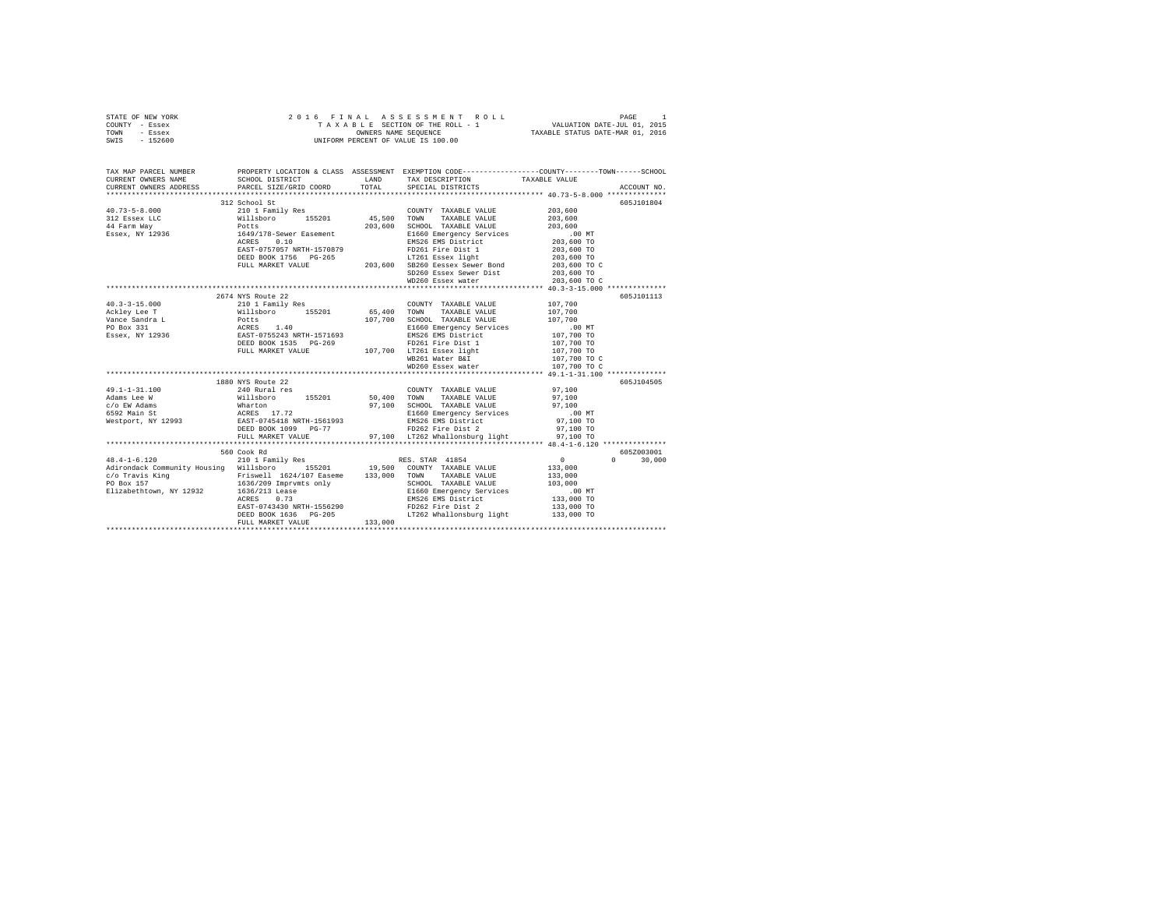| STATE OF NEW YORK<br>COUNTY - Essex<br>TOWN - Essex                                                                                            |                                                                                                                                                                                                                                |         |                                                                                                          |                            |               |
|------------------------------------------------------------------------------------------------------------------------------------------------|--------------------------------------------------------------------------------------------------------------------------------------------------------------------------------------------------------------------------------|---------|----------------------------------------------------------------------------------------------------------|----------------------------|---------------|
| SWIS - 152600                                                                                                                                  |                                                                                                                                                                                                                                |         |                                                                                                          |                            |               |
| TAX MAP PARCEL NUMBER<br>CURRENT ONNERS NAME SCHOOL DISTRICT & CLASS ASSESSMENT EXEMPTION CODE------------------COUNTY--------TOWN------SCHOOL |                                                                                                                                                                                                                                |         |                                                                                                          |                            |               |
| CURRENT OWNERS ADDRESS                                                                                                                         | PARCEL SIZE/GRID COORD                                                                                                                                                                                                         | TOTAL   | SPECIAL DISTRICTS                                                                                        |                            | ACCOUNT NO.   |
|                                                                                                                                                |                                                                                                                                                                                                                                |         |                                                                                                          |                            |               |
|                                                                                                                                                | 312 School St                                                                                                                                                                                                                  |         |                                                                                                          | 203,600                    | 605J101804    |
|                                                                                                                                                |                                                                                                                                                                                                                                |         | COUNTY TAXABLE VALUE<br>TAXABLE VALUE                                                                    | 203,600                    |               |
|                                                                                                                                                |                                                                                                                                                                                                                                |         | 203,600 SCHOOL TAXABLE VALUE                                                                             | 203,600                    |               |
|                                                                                                                                                |                                                                                                                                                                                                                                |         | E1660 Emergency Services                                                                                 |                            |               |
|                                                                                                                                                |                                                                                                                                                                                                                                |         | EMS26 EMS District                                                                                       | .00 MT<br>203,600 TO       |               |
|                                                                                                                                                |                                                                                                                                                                                                                                |         |                                                                                                          | 203,600 TO                 |               |
|                                                                                                                                                |                                                                                                                                                                                                                                |         |                                                                                                          | 203,600 TO                 |               |
|                                                                                                                                                |                                                                                                                                                                                                                                |         |                                                                                                          | 203,600 TO C               |               |
|                                                                                                                                                |                                                                                                                                                                                                                                |         |                                                                                                          | 203,600 TO                 |               |
|                                                                                                                                                | NOTE: 0.10<br>EAST-0757057 NRTH-1570879<br>DEED BOOK 1756 PG-265<br>PULL MARKET VALUE PG-265<br>PULL MARKET VALUE 203,600 SB260 Easex Sever Dist<br>WD260 Easex Newther All MD260 Easex Net                                    |         |                                                                                                          | 203,600 TO C               |               |
|                                                                                                                                                |                                                                                                                                                                                                                                |         |                                                                                                          |                            |               |
|                                                                                                                                                | 2674 NYS Route 22                                                                                                                                                                                                              |         |                                                                                                          |                            | 605J101113    |
|                                                                                                                                                |                                                                                                                                                                                                                                |         |                                                                                                          | 107,700                    |               |
|                                                                                                                                                |                                                                                                                                                                                                                                |         | TAXABLE VALUE                                                                                            | 107,700                    |               |
|                                                                                                                                                |                                                                                                                                                                                                                                |         | 107,700 SCHOOL TAXABLE VALUE                                                                             | 107,700                    |               |
|                                                                                                                                                |                                                                                                                                                                                                                                |         | E1660 Emergency Services<br>EMS26 EMS District                                                           | .00 MT                     |               |
|                                                                                                                                                |                                                                                                                                                                                                                                |         |                                                                                                          | 107,700 TO                 |               |
|                                                                                                                                                |                                                                                                                                                                                                                                |         |                                                                                                          | 107,700 TO                 |               |
|                                                                                                                                                |                                                                                                                                                                                                                                |         |                                                                                                          | 107,700 TO<br>107,700 TO C |               |
|                                                                                                                                                |                                                                                                                                                                                                                                |         | WD260 Essex water                                                                                        | 107,700 TO C               |               |
|                                                                                                                                                |                                                                                                                                                                                                                                |         |                                                                                                          |                            |               |
|                                                                                                                                                | 1880 NYS Route 22                                                                                                                                                                                                              |         |                                                                                                          |                            | 605J104505    |
| $49.1 - 1 - 31.100$                                                                                                                            | 240 Rural res                                                                                                                                                                                                                  |         | COUNTY TAXABLE VALUE 97,100                                                                              |                            |               |
| Adams Lee W                                                                                                                                    |                                                                                                                                                                                                                                |         | TAXABLE VALUE                                                                                            | 97,100                     |               |
| c/o EW Adams                                                                                                                                   |                                                                                                                                                                                                                                |         |                                                                                                          | 97,100                     |               |
|                                                                                                                                                |                                                                                                                                                                                                                                |         |                                                                                                          | 00 MT.<br>97,100 TO        |               |
| c/o EW Adams<br>6592 Main St<br>Westport, NY 12993                                                                                             |                                                                                                                                                                                                                                |         |                                                                                                          |                            |               |
|                                                                                                                                                | DEED BOOK 1099 PG-77                                                                                                                                                                                                           |         | 97,100 SCHOOL TAXABLE VALUE<br>E1660 Emergency Services<br>EMS26 EMS DESEN District<br>FD262 Fire Dist 2 | 97,100 TO                  |               |
|                                                                                                                                                | FULL MARKET VALUE                                                                                                                                                                                                              |         | 97,100 LT262 Whallonsburg light 97,100 TO                                                                |                            |               |
|                                                                                                                                                |                                                                                                                                                                                                                                |         |                                                                                                          |                            |               |
|                                                                                                                                                | 560 Cook Rd                                                                                                                                                                                                                    |         |                                                                                                          |                            | 605Z003001    |
| $48.4 - 1 - 6.120$                                                                                                                             | 210 1 Family Res                                                                                                                                                                                                               |         | RES. STAR 41854                                                                                          | $\sim$ 0                   | $0 \t 30.000$ |
| Adirondack Community Housing Willsboro 155201 19,500 COUNTY TAXABLE VALUE                                                                      |                                                                                                                                                                                                                                |         |                                                                                                          | 133,000<br>133,000         |               |
|                                                                                                                                                |                                                                                                                                                                                                                                |         | SCHOOL TAXABLE VALUE                                                                                     | 103,000                    |               |
|                                                                                                                                                |                                                                                                                                                                                                                                |         |                                                                                                          |                            |               |
|                                                                                                                                                |                                                                                                                                                                                                                                |         | E1660 Emergency Services                                                                                 | .00 MT<br>133,000 TO       |               |
|                                                                                                                                                |                                                                                                                                                                                                                                |         |                                                                                                          | 133,000 TO                 |               |
|                                                                                                                                                |                                                                                                                                                                                                                                |         | LT262 Whallonsburg light 133,000 TO                                                                      |                            |               |
|                                                                                                                                                | extra and the material of the state of the state of the state of the state of the state of the state of the state of the state of the state of the state of the state of the state of the state of the state of the state of t | 133,000 |                                                                                                          |                            |               |
|                                                                                                                                                |                                                                                                                                                                                                                                |         |                                                                                                          |                            |               |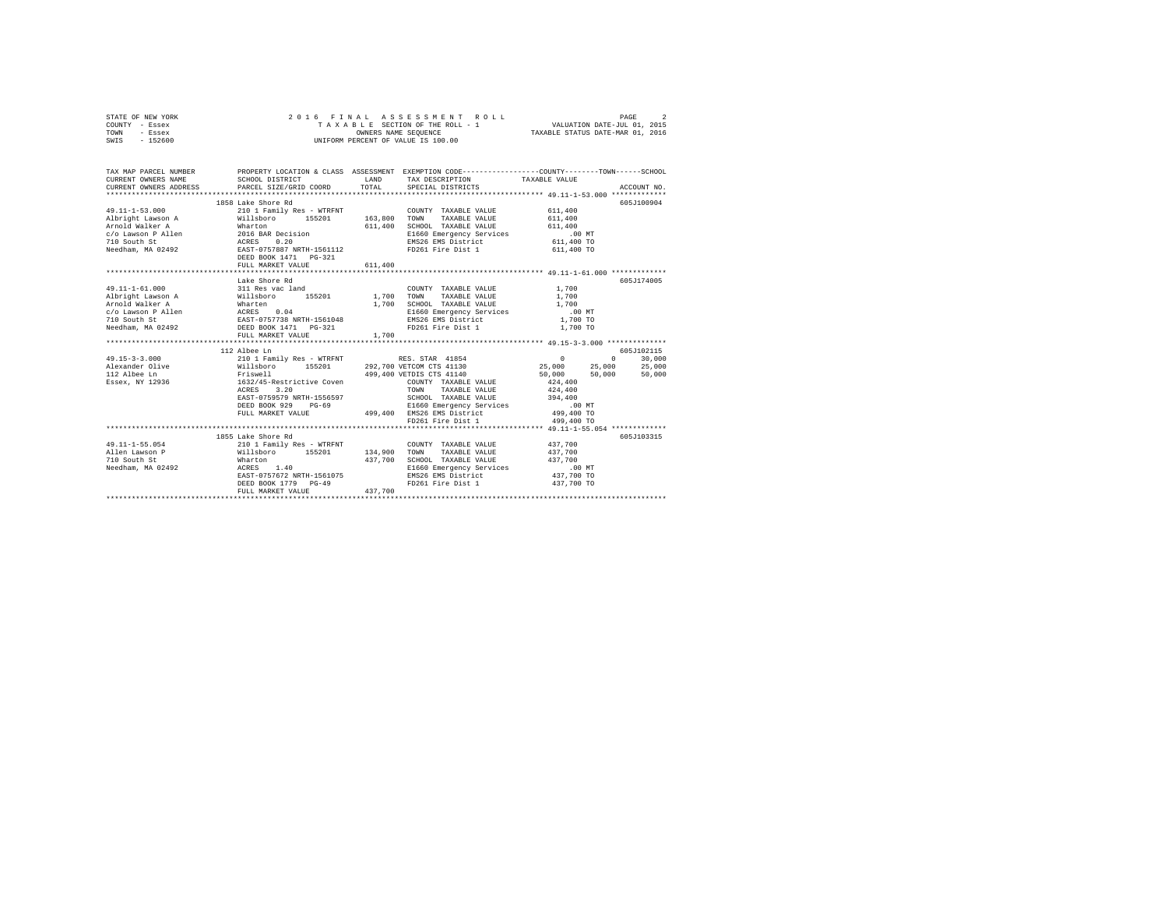| STATE OF NEW YORK<br>COUNTY - Essex<br>TOWN<br>- Essex<br>SWIS - 152600                                                                                                                                                                                                                                                                                                                        | 5 FINAL ASSESSMENT ROLL (PAGE 2<br>TAXABLE SECTION OF THE ROLL - 1 (VALUATION DATE-JUL 01, 2015)<br>OWNERS NAME SEQUENCE (TAXABLE STATUS DATE-MAR 01, 2016<br>2016 FINAL ASSESSMENT ROLL<br>UNIFORM PERCENT OF VALUE IS 100.00         |         |                                                                                                                                                                 |                                                           |                                |  |  |
|------------------------------------------------------------------------------------------------------------------------------------------------------------------------------------------------------------------------------------------------------------------------------------------------------------------------------------------------------------------------------------------------|----------------------------------------------------------------------------------------------------------------------------------------------------------------------------------------------------------------------------------------|---------|-----------------------------------------------------------------------------------------------------------------------------------------------------------------|-----------------------------------------------------------|--------------------------------|--|--|
| TAX MAP PARCEL NUMBER PROPERTY LOCATION & CLASS ASSESSMENT EXEMPTION CODE--------------COUNTY-------TOWN------SCHOOL<br>CURRENT OWNERS NAME<br>CURRENT OWNERS ADDRESS                                                                                                                                                                                                                          | SCHOOL DISTRICT<br>PARCEL SIZE/GRID COORD                                                                                                                                                                                              | TOTAL   | LAND TAX DESCRIPTION<br>SPECIAL DISTRICTS                                                                                                                       | TAXABLE VALUE                                             | ACCOUNT NO.                    |  |  |
|                                                                                                                                                                                                                                                                                                                                                                                                | 1858 Lake Shore Rd                                                                                                                                                                                                                     |         |                                                                                                                                                                 |                                                           | 605J100904                     |  |  |
| $\begin{tabular}{l c c c c c c c c} \multicolumn{3}{c c c c} \multicolumn{3}{c c c} \multicolumn{3}{c c c} \multicolumn{3}{c c c} \multicolumn{3}{c c c} \multicolumn{3}{c c c} \multicolumn{3}{c c c} \multicolumn{3}{c c c} \multicolumn{3}{c c c} \multicolumn{3}{c c c} \multicolumn{3}{c c c} \multicolumn{3}{c c c} \multicolumn{3}{c c c} \multicolumn{3}{c c c} \multicolumn{3}{c c c$ |                                                                                                                                                                                                                                        |         |                                                                                                                                                                 | .00 MT<br>611,400 TO<br>611,400 TO                        |                                |  |  |
|                                                                                                                                                                                                                                                                                                                                                                                                | FULL MARKET VALUE                                                                                                                                                                                                                      | 611,400 |                                                                                                                                                                 |                                                           |                                |  |  |
| 49.11-1-61.000                                                                                                                                                                                                                                                                                                                                                                                 | Lake Shore Rd<br>311 Res vac land                                                                                                                                                                                                      |         | COUNTY TAXABLE VALUE                                                                                                                                            | 1,700                                                     | 605J174005                     |  |  |
| Albright Lawson A Williaboro 155201 1,700 TOMM<br>Arbeid Walker A Marten 155201 1,700 SCHOOL<br>C/O Lawson P Allen ACRES 0.04 1,700 SCHOOL<br>2010 SOUth St RAST-075738 NRTH-1561048 11 1640<br>Meedham, MA 02492 DEED BOOK 1471 PG-32                                                                                                                                                         |                                                                                                                                                                                                                                        |         | TAXABLE VALUE<br>1,700 SCHOOL TAXABLE VALUE<br>E1660 Emergency Services                                                                                         | 1,700<br>1,700<br>.00 MT                                  |                                |  |  |
|                                                                                                                                                                                                                                                                                                                                                                                                | FULL MARKET VALUE                                                                                                                                                                                                                      | 1,700   | E1660 EMeryency Correct<br>FD261 Fire Dist 1                                                                                                                    | 1,700 TO<br>1,700 TO                                      |                                |  |  |
|                                                                                                                                                                                                                                                                                                                                                                                                |                                                                                                                                                                                                                                        |         |                                                                                                                                                                 |                                                           |                                |  |  |
| $49.15 - 3 - 3.000$<br>Alexander Olive<br>112 Albee Ln<br>Essex, NY 12936                                                                                                                                                                                                                                                                                                                      | 112 Albee Ln<br>210 1 Family Res - WTRFNT NES. STAR 41854<br>210 1 ramsiy Res - Wikinst 292,700 VETCOM CTS 41130<br>Friswell 118boro 155201 292,700 VETCOM CTS 41130<br>Triswell 499,400 VETDTS CTS 41140<br>1632/45-Restrictive Coven |         | 292,700 VETCOM CTS 41130                                                                                                                                        | $0$ 0 30,000<br>25,000 25,000 25,000<br>50,000<br>424,400 | 605J102115<br>50,000<br>50,000 |  |  |
|                                                                                                                                                                                                                                                                                                                                                                                                | ACRES 3.20<br>EAST-0759579 NRTH-1556597<br>DEED BOOK 929 PG-69<br>FULL MARKET VALUE                                                                                                                                                    |         | TOWN TAXABLE VALUE<br>SCHOOL TAXABLE VALUE<br>E1660 Emergency Services .00 MT<br>499,400 EMS26 EMS District 499,400 TO<br>FD261 Fire Dist 1                     | 424,400<br>394,400<br>499,400 TO                          |                                |  |  |
|                                                                                                                                                                                                                                                                                                                                                                                                |                                                                                                                                                                                                                                        |         |                                                                                                                                                                 |                                                           |                                |  |  |
|                                                                                                                                                                                                                                                                                                                                                                                                | 1855 Lake Shore Rd<br>EAST-0757672 NRTH-1561075<br>DEED BOOK 1779 PG-49<br>FULL MARKET VALUE                                                                                                                                           | 437,700 | COUNTY TAXABLE VALUE 437,700<br>TAXABLE VALUE<br>437,700 SCHOOL TAXABLE VALUE<br>E1660 Emergency Services<br>EMS26 EMS District<br>FD261 Fire Dist 1 437,700 TO | 437,700<br>437,700<br>.00MT<br>437,700 TO                 | 605J103315                     |  |  |
|                                                                                                                                                                                                                                                                                                                                                                                                |                                                                                                                                                                                                                                        |         |                                                                                                                                                                 |                                                           |                                |  |  |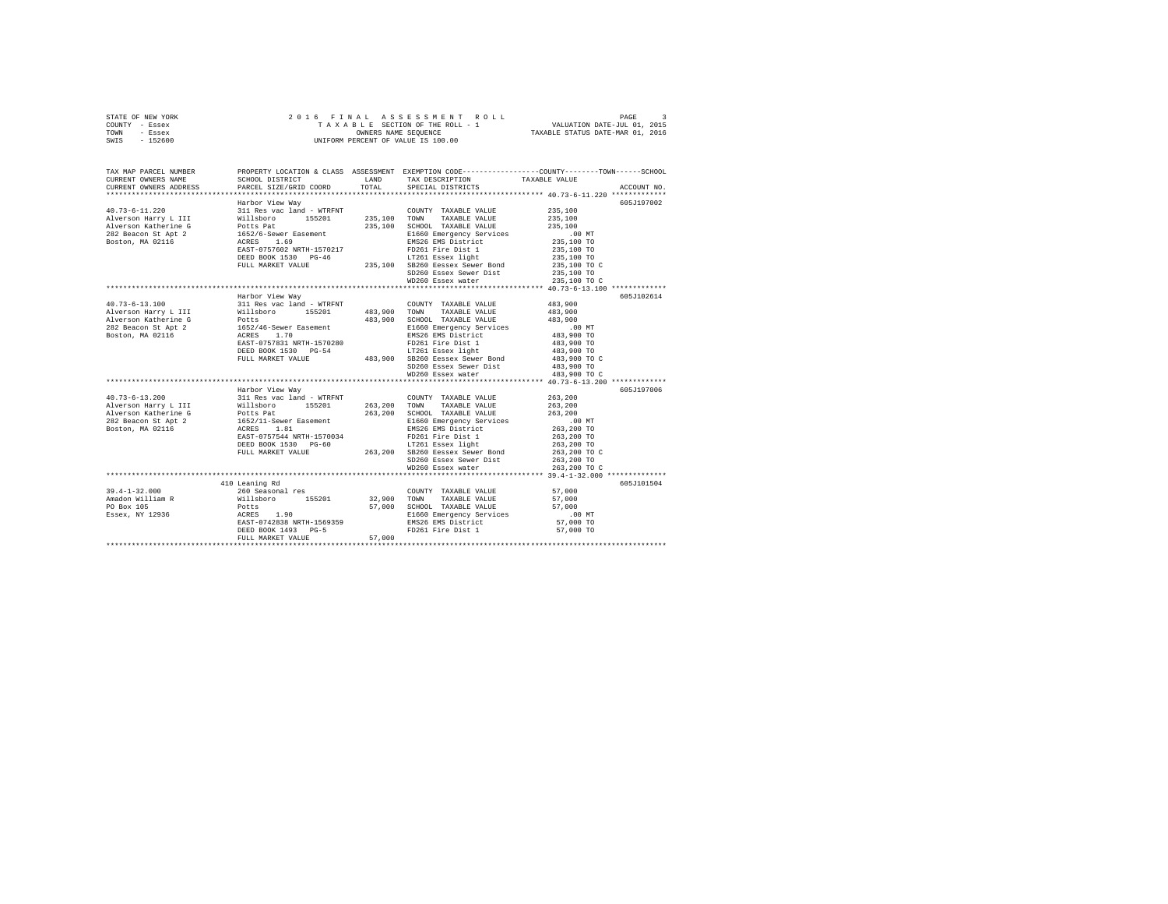| STATE OF NEW YORK | 2016 FINAL ASSESSMENT ROLL         | PAGE                             |
|-------------------|------------------------------------|----------------------------------|
| COUNTY - Essex    | TAXABLE SECTION OF THE ROLL - 1    | VALUATION DATE-JUL 01, 2015      |
| TOWN<br>- Essex   | OWNERS NAME SEOUENCE               | TAXABLE STATUS DATE-MAR 01, 2016 |
| $-152600$<br>SWIS | UNIFORM PERCENT OF VALUE IS 100.00 |                                  |

| TAX MAP PARCEL NUMBER<br>CURRENT OWNERS NAME                                                                                                                | SCHOOL DISTRICT                               | <b>T.AND</b>        | PROPERTY LOCATION & CLASS ASSESSMENT EXEMPTION CODE---------------COUNTY-------TOWN------SCHOOL<br>TAX DESCRIPTION | TAXABLE VALUE              |             |
|-------------------------------------------------------------------------------------------------------------------------------------------------------------|-----------------------------------------------|---------------------|--------------------------------------------------------------------------------------------------------------------|----------------------------|-------------|
| CURRENT OWNERS ADDRESS                                                                                                                                      | PARCEL SIZE/GRID COORD                        | TOTAL               | SPECIAL DISTRICTS                                                                                                  |                            | ACCOUNT NO. |
|                                                                                                                                                             | Harbor View Way                               |                     |                                                                                                                    |                            | 605J197002  |
| 40.73-6-11.220                                                                                                                                              | 311 Res vac land - WTRFNT                     |                     | COUNTY TAXABLE VALUE                                                                                               | 235,100                    |             |
|                                                                                                                                                             |                                               | 155201 235,100 TOWN | TAXABLE VALUE                                                                                                      | 235,100                    |             |
| Native School and Millsboro 155201<br>Alverson Katherine G Potts Pat<br>282 Beacon St Apt 2 1652/6-Sewer Easement<br>Boston, MA 02116 1672/6-Sewer Easement |                                               | 235,100             | SCHOOL TAXABLE VALUE                                                                                               | 235,100                    |             |
|                                                                                                                                                             |                                               |                     | E1660 Emergency Services                                                                                           | $.00$ MT                   |             |
|                                                                                                                                                             |                                               |                     | EMS26 EMS District                                                                                                 | 00 MT.<br>235,100 TO       |             |
|                                                                                                                                                             | EAST-0757602 NRTH-1570217                     |                     | FD261 Fire Dist 1                                                                                                  | 235,100 TO                 |             |
|                                                                                                                                                             | DEED BOOK 1530 PG-46                          |                     | LT261 Essex light                                                                                                  | 235,100 TO                 |             |
|                                                                                                                                                             | FULL MARKET VALUE                             |                     | 235,100 SB260 Eessex Sewer Bond                                                                                    | 235,100 TO C               |             |
|                                                                                                                                                             |                                               |                     | SD260 Essex Sewer Dist                                                                                             | 235,100 TO                 |             |
|                                                                                                                                                             |                                               |                     | WD260 Essex water                                                                                                  | 235,100 TO C               |             |
|                                                                                                                                                             |                                               |                     |                                                                                                                    |                            |             |
|                                                                                                                                                             | Harbor View Way                               |                     |                                                                                                                    |                            | 605J102614  |
| $40.73 - 6 - 13.100$                                                                                                                                        | 311 Res vac land - WTRFNT                     |                     | COUNTY TAXABLE VALUE                                                                                               | 483,900                    |             |
| Alverson Harry L III                                                                                                                                        | Willsboro<br>155201                           |                     | 483,900 TOWN<br>TAXABLE VALUE                                                                                      | 483,900                    |             |
| Alverson Katherine G                                                                                                                                        |                                               | 483,900             | SCHOOL TAXABLE VALUE                                                                                               | 483,900                    |             |
| 282 Beacon St Apt 2                                                                                                                                         | Potts<br>1652/46-Sewer Easement               |                     | E1660 Emergency Services                                                                                           | .00MT                      |             |
| Boston, MA 02116                                                                                                                                            | ACRES 1.70                                    |                     | EMS26 EMS District                                                                                                 | 483,900 TO                 |             |
|                                                                                                                                                             | EAST-0757831 NRTH-1570280                     |                     | FD261 Fire Dist 1                                                                                                  | 483,900 TO                 |             |
|                                                                                                                                                             | DEED BOOK 1530 PG-54                          |                     | LT261 Essex light                                                                                                  |                            |             |
|                                                                                                                                                             | FULL MARKET VALUE                             |                     | LT261 Essex light<br>483,900 SB260 Eessex Sewer Bond                                                               | 483,900 TO<br>483,900 TO C |             |
|                                                                                                                                                             |                                               |                     | SD260 Essex Sewer Dist<br>WD260 Essex water                                                                        | 483,900 TO                 |             |
|                                                                                                                                                             |                                               |                     |                                                                                                                    | 483,900 TO C               |             |
|                                                                                                                                                             |                                               |                     |                                                                                                                    |                            |             |
|                                                                                                                                                             | Harbor View Way                               |                     |                                                                                                                    |                            | 605J197006  |
| $40.73 - 6 - 13.200$                                                                                                                                        | 311 Res vac land - WTRFNT<br>Willsboro 155201 |                     | COUNTY TAXABLE VALUE                                                                                               | 263,200                    |             |
| Alverson Harry L III                                                                                                                                        |                                               |                     | 263, 200 TOWN TAXABLE VALUE                                                                                        | 263,200                    |             |
| Alverson Katherine G<br>282 Beacon St Apt 2 2 1652/11–Sewer Easement<br>Boston, MA 02116 2 2 1652/11–Sewer Easement                                         |                                               | 263,200             | SCHOOL TAXABLE VALUE                                                                                               | 263,200                    |             |
|                                                                                                                                                             |                                               |                     | E1660 Emergency Services                                                                                           | $.00$ MT                   |             |
|                                                                                                                                                             |                                               |                     | EMS26 EMS District                                                                                                 | 263,200 TO                 |             |
|                                                                                                                                                             | EAST-0757544 NRTH-1570034                     |                     | FD261 Fire Dist 1                                                                                                  | 263,200 TO                 |             |
|                                                                                                                                                             | DEED BOOK 1530 PG-60                          |                     | LT261 Essex light<br>LT261 Essex light<br>263,200 SB260 Eessex Sewer Bond                                          | 263,200 TO                 |             |
|                                                                                                                                                             | FULL MARKET VALUE                             |                     |                                                                                                                    | 263,200 TO C               |             |
|                                                                                                                                                             |                                               |                     | SD260 Essex Sewer Dist                                                                                             | 263,200 TO                 |             |
|                                                                                                                                                             |                                               |                     | WD260 Essex water                                                                                                  | 263,200 TO C               |             |
|                                                                                                                                                             |                                               |                     |                                                                                                                    |                            |             |
|                                                                                                                                                             | 410 Leaning Rd                                |                     |                                                                                                                    |                            | 605J101504  |
| $39.4 - 1 - 32.000$                                                                                                                                         | 260 Seasonal res                              |                     | COUNTY TAXABLE VALUE                                                                                               | 57,000                     |             |
| Amadon William R                                                                                                                                            | Willsboro<br>Potts<br>155201                  | 32,900 TOWN         | TAXABLE VALUE                                                                                                      | 57,000                     |             |
| PO Box 105                                                                                                                                                  |                                               | 57,000              | SCHOOL TAXABLE VALUE                                                                                               | 57,000                     |             |
| Essex, NY 12936                                                                                                                                             | ACRES 1.90                                    |                     | E1660 Emergency Services                                                                                           | $.00$ MT                   |             |
|                                                                                                                                                             | EAST-0742838 NRTH-1569359                     |                     | EMS26 EMS District                                                                                                 | 57,000 TO                  |             |
|                                                                                                                                                             | DEED BOOK 1493 PG-5                           |                     | FD261 Fire Dist 1                                                                                                  | 57,000 TO                  |             |
|                                                                                                                                                             | FULL MARKET VALUE                             | 57,000              |                                                                                                                    |                            |             |
|                                                                                                                                                             |                                               |                     |                                                                                                                    |                            |             |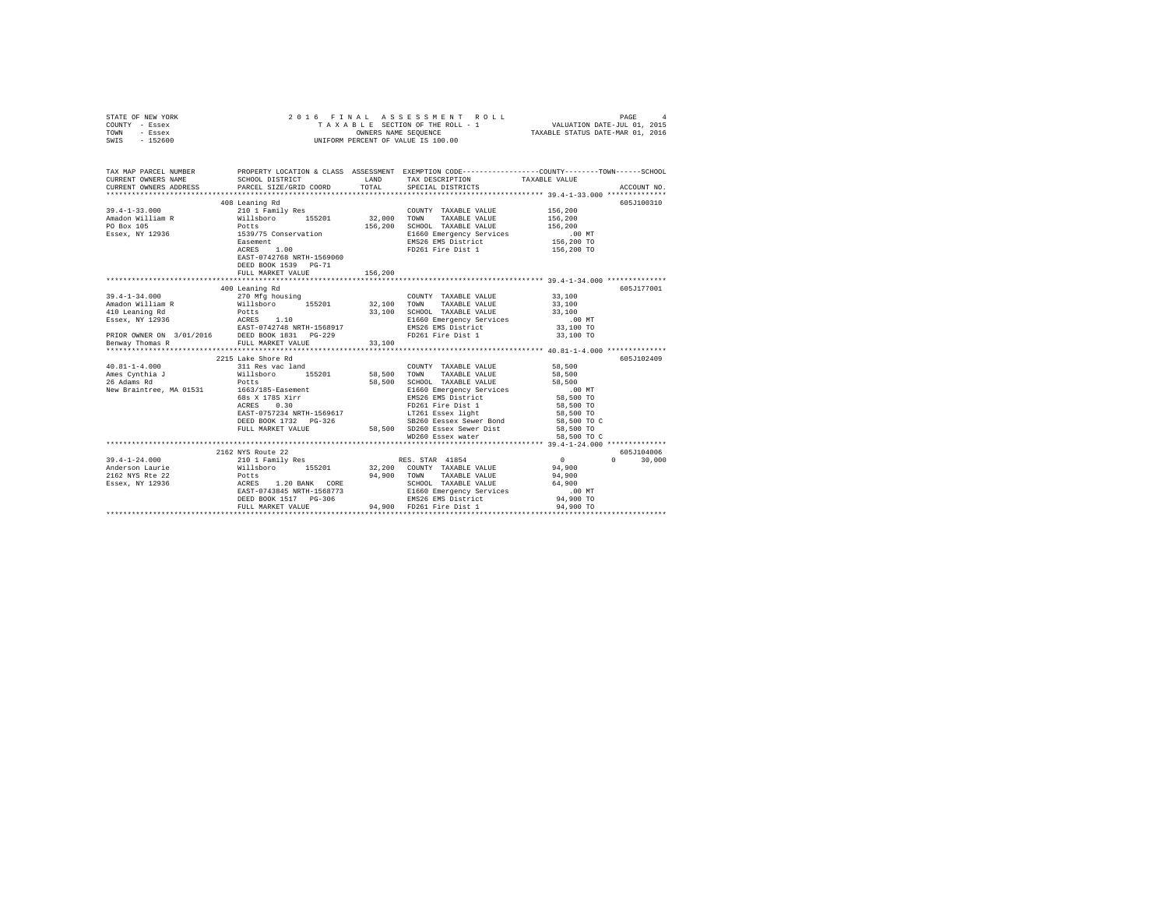| STATE OF NEW YORK<br>COUNTY - Essex<br>TOWN - Essex<br>SWIS - 152600                                                                                                                                                                                                                                                                                                                                                                                                 | 2016 FINAL ASSESSMENT I<br>TAXABLE SCTION OF THE ROLL -<br>UNIFORM PERCENT OF VALUE IS 100.00 |         |                                                                     |                      |                             |
|----------------------------------------------------------------------------------------------------------------------------------------------------------------------------------------------------------------------------------------------------------------------------------------------------------------------------------------------------------------------------------------------------------------------------------------------------------------------|-----------------------------------------------------------------------------------------------|---------|---------------------------------------------------------------------|----------------------|-----------------------------|
| TAX MAP PARCEL NUMBER PROPERTY LOCATION & CLASS ASSESSMENT EXEMPTION CODE--------------COUNTY-------TOWN-----SCHOOL<br>CURRENT OWNERS NAME                                                                                                                                                                                                                                                                                                                           | SCHOOL DISTRICT LAND                                                                          |         | TAX DESCRIPTION                                                     | TAXABLE VALUE        |                             |
| CURRENT OWNERS NAME SCHOOL DISINICI<br>CURRENT OWNERS ADDRESS PARCEL SIZE/GRID COORD                                                                                                                                                                                                                                                                                                                                                                                 |                                                                                               | TOTAL   | SPECIAL DISTRICTS                                                   |                      | ACCOUNT NO.                 |
|                                                                                                                                                                                                                                                                                                                                                                                                                                                                      |                                                                                               |         |                                                                     |                      |                             |
|                                                                                                                                                                                                                                                                                                                                                                                                                                                                      | 408 Leaning Rd                                                                                |         |                                                                     |                      | 605J100310                  |
|                                                                                                                                                                                                                                                                                                                                                                                                                                                                      |                                                                                               |         | COUNTY TAXABLE VALUE                                                | 156,200              |                             |
|                                                                                                                                                                                                                                                                                                                                                                                                                                                                      |                                                                                               |         | TAXABLE VALUE                                                       | 156,200              |                             |
|                                                                                                                                                                                                                                                                                                                                                                                                                                                                      |                                                                                               |         | 156,200 SCHOOL TAXABLE VALUE                                        | 156,200              |                             |
|                                                                                                                                                                                                                                                                                                                                                                                                                                                                      |                                                                                               |         | E1660 Emergency Services 6.00 MT<br>EMS26 EMS District 156,200 TO   |                      |                             |
|                                                                                                                                                                                                                                                                                                                                                                                                                                                                      |                                                                                               |         |                                                                     |                      |                             |
|                                                                                                                                                                                                                                                                                                                                                                                                                                                                      |                                                                                               |         | FD261 Fire Dist 1                                                   | 156,200 TO           |                             |
|                                                                                                                                                                                                                                                                                                                                                                                                                                                                      | EAST-0742768 NRTH-1569060                                                                     |         |                                                                     |                      |                             |
|                                                                                                                                                                                                                                                                                                                                                                                                                                                                      | DEED BOOK 1539    PG-71                                                                       |         |                                                                     |                      |                             |
|                                                                                                                                                                                                                                                                                                                                                                                                                                                                      | FULL MARKET VALUE                                                                             | 156,200 |                                                                     |                      |                             |
|                                                                                                                                                                                                                                                                                                                                                                                                                                                                      | 400 Leaning Rd                                                                                |         |                                                                     |                      | 605J177001                  |
|                                                                                                                                                                                                                                                                                                                                                                                                                                                                      |                                                                                               |         |                                                                     | 33,100               |                             |
|                                                                                                                                                                                                                                                                                                                                                                                                                                                                      |                                                                                               |         |                                                                     |                      |                             |
|                                                                                                                                                                                                                                                                                                                                                                                                                                                                      |                                                                                               |         |                                                                     | 33,100<br>33,100     |                             |
|                                                                                                                                                                                                                                                                                                                                                                                                                                                                      |                                                                                               |         |                                                                     |                      |                             |
|                                                                                                                                                                                                                                                                                                                                                                                                                                                                      |                                                                                               |         |                                                                     | .00 MT.<br>33,100 TO |                             |
|                                                                                                                                                                                                                                                                                                                                                                                                                                                                      |                                                                                               |         |                                                                     | 33,100 TO            |                             |
|                                                                                                                                                                                                                                                                                                                                                                                                                                                                      |                                                                                               |         |                                                                     |                      |                             |
|                                                                                                                                                                                                                                                                                                                                                                                                                                                                      |                                                                                               |         |                                                                     |                      |                             |
|                                                                                                                                                                                                                                                                                                                                                                                                                                                                      | 2215 Lake Shore Rd                                                                            |         |                                                                     |                      | 605J102409                  |
| $\begin{array}{cccccc} & & & & 2215\text{ Lake Since }\mathbb{R}\text{d} & \\ 40.81-1-4.000 && 311\text{ Res}\text{ vac}\cdot\text{land} & & & \text{COUNTY}\text{ TAXABLE VALUE}\\ \text{Ames Cynthia J} && 311\text{ Res}\text{ vac}\cdot\text{land} & & 155201 && 58,500\text{ TOWN} & \text{TAXABLE VALUE} \\ 26\text{ Adams }\mathbb{R}\text{d} & & & & \text{Potts} & & \\ & & & & & \text{Potts} & & & 58,500\text{ SCHOLD}\text{ TAXABLE VALUE} \end{array}$ |                                                                                               |         |                                                                     | 58,500               |                             |
|                                                                                                                                                                                                                                                                                                                                                                                                                                                                      |                                                                                               |         |                                                                     | 58,500               |                             |
|                                                                                                                                                                                                                                                                                                                                                                                                                                                                      |                                                                                               |         |                                                                     | 58,500               |                             |
| New Braintree, MA 01531 1663/185-Easement                                                                                                                                                                                                                                                                                                                                                                                                                            |                                                                                               |         |                                                                     | $.00$ MT             |                             |
|                                                                                                                                                                                                                                                                                                                                                                                                                                                                      | 68s X 178S Xirr<br>ACRES 0.30                                                                 |         | E1660 Emergency Services<br>EMS26 EMS District<br>FD261 Fire Dist 1 | 58,500 TO            |                             |
|                                                                                                                                                                                                                                                                                                                                                                                                                                                                      |                                                                                               |         |                                                                     | 58,500 TO            |                             |
|                                                                                                                                                                                                                                                                                                                                                                                                                                                                      |                                                                                               |         |                                                                     | 58,500 TO            |                             |
|                                                                                                                                                                                                                                                                                                                                                                                                                                                                      |                                                                                               |         |                                                                     | 58,500 TO C          |                             |
|                                                                                                                                                                                                                                                                                                                                                                                                                                                                      |                                                                                               |         | FULL MARKET VALUE 58,500 SD260 Essex Sewer Dist 58,500 TO           |                      |                             |
|                                                                                                                                                                                                                                                                                                                                                                                                                                                                      |                                                                                               |         | WD260 Essex water                                                   | 58,500 TO C          |                             |
|                                                                                                                                                                                                                                                                                                                                                                                                                                                                      |                                                                                               |         |                                                                     |                      |                             |
|                                                                                                                                                                                                                                                                                                                                                                                                                                                                      | 2162 NYS Route 22                                                                             |         |                                                                     | $\sim$ 0             | 605J104006<br>$0 \t 30,000$ |
|                                                                                                                                                                                                                                                                                                                                                                                                                                                                      |                                                                                               |         |                                                                     |                      |                             |
|                                                                                                                                                                                                                                                                                                                                                                                                                                                                      |                                                                                               |         |                                                                     |                      |                             |
|                                                                                                                                                                                                                                                                                                                                                                                                                                                                      |                                                                                               |         |                                                                     |                      |                             |
|                                                                                                                                                                                                                                                                                                                                                                                                                                                                      |                                                                                               |         |                                                                     | .00MT                |                             |
|                                                                                                                                                                                                                                                                                                                                                                                                                                                                      |                                                                                               |         |                                                                     | 94,900 TO            |                             |
|                                                                                                                                                                                                                                                                                                                                                                                                                                                                      |                                                                                               |         |                                                                     |                      |                             |
|                                                                                                                                                                                                                                                                                                                                                                                                                                                                      |                                                                                               |         |                                                                     |                      |                             |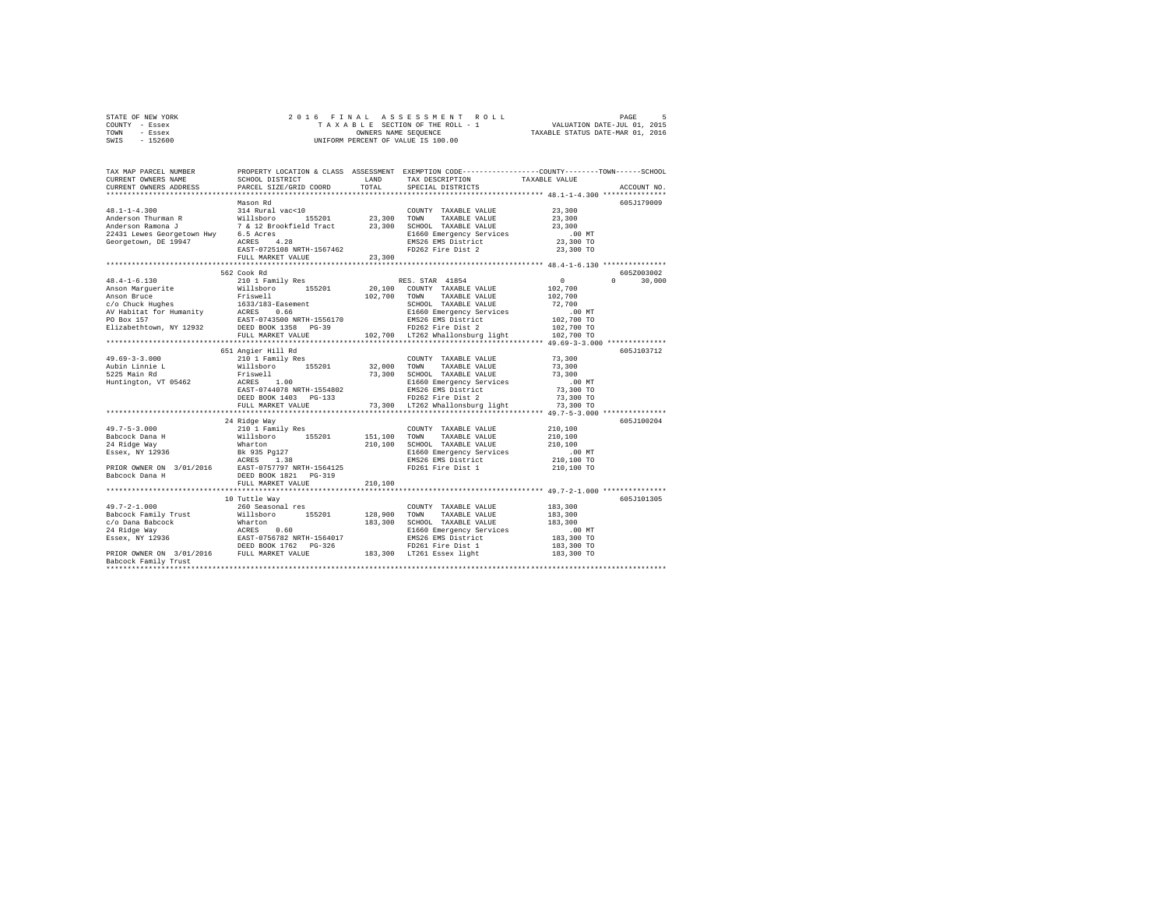| STATE OF NEW YORK | 2016 FINAL ASSESSMENT ROLL         | PAGE                             |
|-------------------|------------------------------------|----------------------------------|
| COUNTY - Essex    | TAXABLE SECTION OF THE ROLL - 1    | VALUATION DATE-JUL 01, 2015      |
| TOWN<br>- Essex   | OWNERS NAME SEOUENCE               | TAXABLE STATUS DATE-MAR 01, 2016 |
| $-152600$<br>SWIS | UNIFORM PERCENT OF VALUE IS 100.00 |                                  |

| TAX MAP PARCEL NUMBER<br>CURRENT OWNERS NAME<br>CURRENT OWNERS ADDRESS | SCHOOL DISTRICT<br>PARCEL SIZE/GRID COORD                                                                                                                                                                                      | LAND<br>TOTAL | TAX DESCRIPTION<br>SPECIAL DISTRICTS                                | PROPERTY LOCATION & CLASS ASSESSMENT EXEMPTION CODE----------------COUNTY-------TOWN-----SCHOOL<br>TAXABLE VALUE<br>ACCOUNT NO. |
|------------------------------------------------------------------------|--------------------------------------------------------------------------------------------------------------------------------------------------------------------------------------------------------------------------------|---------------|---------------------------------------------------------------------|---------------------------------------------------------------------------------------------------------------------------------|
|                                                                        |                                                                                                                                                                                                                                |               |                                                                     |                                                                                                                                 |
|                                                                        | Mason Rd                                                                                                                                                                                                                       |               |                                                                     | 605J179009<br>23,300                                                                                                            |
|                                                                        |                                                                                                                                                                                                                                |               |                                                                     | 23,300                                                                                                                          |
|                                                                        |                                                                                                                                                                                                                                |               |                                                                     | 23,300                                                                                                                          |
|                                                                        |                                                                                                                                                                                                                                |               |                                                                     | $.00$ MT                                                                                                                        |
|                                                                        |                                                                                                                                                                                                                                |               |                                                                     | 23,300 TO                                                                                                                       |
|                                                                        | EAST-0725108 NRTH-1567462                                                                                                                                                                                                      |               | EMS26 EMS District<br>FD262 Fire Dist 2                             | 23,300 TO                                                                                                                       |
|                                                                        | FULL MARKET VALUE                                                                                                                                                                                                              | 23,300        |                                                                     |                                                                                                                                 |
|                                                                        |                                                                                                                                                                                                                                |               |                                                                     |                                                                                                                                 |
|                                                                        | 562 Cook Rd                                                                                                                                                                                                                    |               |                                                                     | 605Z003002                                                                                                                      |
| $48.4 - 1 - 6.130$                                                     | 210 1 Family Res                                                                                                                                                                                                               |               | RES. STAR 41854                                                     | $\mathbf{0}$<br>30,000<br>$\Omega$                                                                                              |
| Anson Marguerite                                                       | 210 1 Family kes<br>Willsboro 155201 20,100<br>Friswell 102,700<br>1633/183-Easement 102,700<br>ACRES 0.66                                                                                                                     |               | 20,100 COUNTY TAXABLE VALUE                                         | 102,700                                                                                                                         |
| Anson Bruce                                                            |                                                                                                                                                                                                                                |               | 102,700 TOWN TAXABLE VALUE                                          | 102,700                                                                                                                         |
| $c$ /o Chuck Hughes                                                    |                                                                                                                                                                                                                                |               |                                                                     |                                                                                                                                 |
|                                                                        |                                                                                                                                                                                                                                |               |                                                                     |                                                                                                                                 |
|                                                                        |                                                                                                                                                                                                                                |               |                                                                     |                                                                                                                                 |
|                                                                        |                                                                                                                                                                                                                                |               |                                                                     |                                                                                                                                 |
|                                                                        |                                                                                                                                                                                                                                |               |                                                                     |                                                                                                                                 |
|                                                                        |                                                                                                                                                                                                                                |               |                                                                     | ****************** 49.69-3-3.000 ************                                                                                   |
|                                                                        | 651 Angier Hill Rd                                                                                                                                                                                                             |               |                                                                     | 605J103712                                                                                                                      |
| $49.69 - 3 - 3.000$                                                    |                                                                                                                                                                                                                                |               | COUNTY TAXABLE VALUE                                                | 73,300                                                                                                                          |
|                                                                        |                                                                                                                                                                                                                                |               | TAXABLE VALUE                                                       | 73,300                                                                                                                          |
| Aubin Linnie L<br>5225 Main Rd                                         |                                                                                                                                                                                                                                |               | 73,300 SCHOOL TAXABLE VALUE                                         | 73,300                                                                                                                          |
| Huntington, VT 05462                                                   |                                                                                                                                                                                                                                |               |                                                                     | $.00$ MT                                                                                                                        |
|                                                                        | EAST-0744078 NRTH-1554802                                                                                                                                                                                                      |               |                                                                     | 73,300 TO                                                                                                                       |
|                                                                        | DEED BOOK 1403 PG-133                                                                                                                                                                                                          |               | E1660 Emergency Services<br>EMS26 EMS District<br>FD262 Fire Dist 2 | 73,300 TO                                                                                                                       |
|                                                                        | FULL MARKET VALUE                                                                                                                                                                                                              |               | 73,300 LT262 Whallonsburg light                                     | 73,300 TO                                                                                                                       |
|                                                                        |                                                                                                                                                                                                                                |               |                                                                     |                                                                                                                                 |
|                                                                        | 24 Ridge Way                                                                                                                                                                                                                   |               |                                                                     | 605J100204                                                                                                                      |
| $49.7 - 5 - 3.000$                                                     | 210 1 Family Res                                                                                                                                                                                                               |               | COUNTY TAXABLE VALUE 210,100                                        |                                                                                                                                 |
|                                                                        | Willsboro 155201                                                                                                                                                                                                               | 151,100 TOWN  | TAXABLE VALUE                                                       | 210,100                                                                                                                         |
| 49.775 - 10<br>Babcock Dana H<br>^^ Bidde Way                          |                                                                                                                                                                                                                                |               |                                                                     | 210,100                                                                                                                         |
|                                                                        |                                                                                                                                                                                                                                |               | 210,100 SCHOOL TAXABLE VALUE<br>E1660 Emergency Services            | $.00$ MT                                                                                                                        |
|                                                                        | AMUCOLA DEMI MATERIAL MATERIAL PROPERTY AND THE SERVICE SERVICE SERVICE SERVICE SERVICE SERVICE SERVICE SERVICE SERVICE SERVICE SERVICE SERVICE SERVICE SERVICE SERVICE SERVICE SERVICE SERVICE SERVICE SERVICE SERVICE SERVIC |               | EMS26 EMS District                                                  | 210,100 TO                                                                                                                      |
|                                                                        |                                                                                                                                                                                                                                |               | FD261 Fire Dist 1                                                   | 210,100 TO                                                                                                                      |
|                                                                        |                                                                                                                                                                                                                                |               |                                                                     |                                                                                                                                 |
|                                                                        | FULL MARKET VALUE                                                                                                                                                                                                              | 210,100       |                                                                     |                                                                                                                                 |
|                                                                        |                                                                                                                                                                                                                                |               |                                                                     |                                                                                                                                 |
|                                                                        | 10 Tuttle Way                                                                                                                                                                                                                  |               |                                                                     | 605J101305                                                                                                                      |
| $49.7 - 2 - 1.000$                                                     | 260 Seasonal res                                                                                                                                                                                                               |               | COUNTY TAXABLE VALUE                                                | 183,300                                                                                                                         |
|                                                                        |                                                                                                                                                                                                                                |               | 155201 128,900 TOWN TAXABLE VALUE                                   | 183,300                                                                                                                         |
|                                                                        |                                                                                                                                                                                                                                |               | 183,300 SCHOOL TAXABLE VALUE                                        | 183,300                                                                                                                         |
|                                                                        | Babcock Family Trust Millsboro 155201<br>24 Ridge Way Mharton 0.60<br>24 Ridge Way 12936 12857-0756782 NRTH-1564017<br>25 Ridge Way 12936 12857-0756782 NRTH-1564017                                                           |               | E1660 Emergency Services                                            | $.00$ MT                                                                                                                        |
|                                                                        |                                                                                                                                                                                                                                |               | EMS26 EMS District                                                  | 183,300 TO                                                                                                                      |
|                                                                        |                                                                                                                                                                                                                                |               |                                                                     | 183,300 TO                                                                                                                      |
|                                                                        | DEED BOOK 1762 PG-326 FD261 Fire Dist 1<br>PRIOR OWNER ON 3/01/2016 FULL MARKET VALUE 183,300 LT261 Essex light                                                                                                                |               |                                                                     | 183,300 TO                                                                                                                      |
| Babcock Family Trust                                                   |                                                                                                                                                                                                                                |               |                                                                     |                                                                                                                                 |
|                                                                        |                                                                                                                                                                                                                                |               |                                                                     |                                                                                                                                 |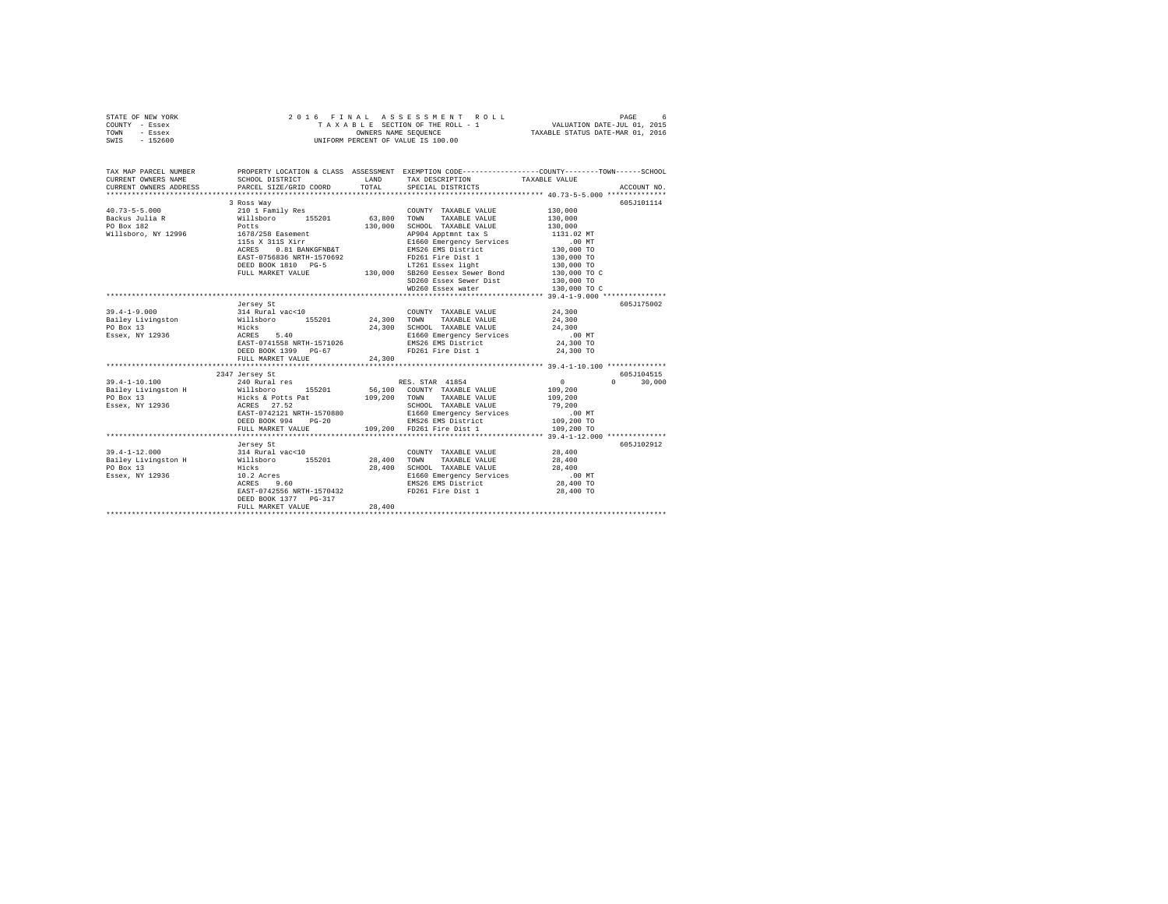| STATE OF NEW YORK |          |  |  | 2016 FINAL ASSESSMENT ROLL         |                                  | PAGE                        |  |
|-------------------|----------|--|--|------------------------------------|----------------------------------|-----------------------------|--|
| COUNTY - Essex    |          |  |  | TAXABLE SECTION OF THE ROLL - 1    |                                  | VALUATION DATE-JUL 01, 2015 |  |
| TOWN              | - Essex  |  |  | OWNERS NAME SEOUENCE               | TAXABLE STATUS DATE-MAR 01, 2016 |                             |  |
| SWIS              | - 152600 |  |  | UNIFORM PERCENT OF VALUE IS 100.00 |                                  |                             |  |

| 605J101114<br>3 Ross Way<br>$\begin{tabular}{lllllll} \multicolumn{2}{l}{{\text{COUNTY}}} & \multicolumn{2}{l}{\text{TAXABLE VALUE}} & \multicolumn{2}{l}{\text{YALUE}} & \multicolumn{2}{l}{\text{130,000}} \\ \multicolumn{2}{l}{\text{COUNTY}} & \multicolumn{2}{l}{\text{TAXABLE VALUE}} & \multicolumn{2}{l}{\text{YALUE}} & \multicolumn{2}{l}{\text{130,000}} \\ \multicolumn{2}{l}{\text{130}} & \multicolumn{2}{l}{\text{130}} & \multicolumn{2}{l}{\text{130}} & \multicolumn{2}{l}{\text{1$<br>130,000<br>130,000<br>SCHOOL TAXABLE VALUE<br>$1678/258\hbox{\hbox{Easement}}$ 1678/258 Easement 1131.02 MT<br>115s X11S Xirr 168 E1660 Energency Services 1131.02 MT<br>2000 TO 2010 ENS26 EMS District 130,000 TO<br>115s X 311S Xirr<br>${\tt BASET-0756836 \,\, {\tt NRTH-1570692}} \hskip 3.2cm {\tt FD261 \,\, Fire \,\, {\tt Dist\,\, 1} \qquad \qquad 130,000 \,\, {\tt TO} \, {\tt TO} \, {\tt TO} \, {\tt SU\,\, 000 \,\, {\tt TO}} \nonumber \, {\tt FUL\,\, \, \tt MARKEY \,\, {\tt NLDI\,\, 001 \,\, TO}} \hskip 3.2cm {\tt U30,001 \,\, TO} \, {\tt SU\,\, 001 \,\, TO} \, {\tt SU\,\, 002 \,\, TO} \, {\tt SU\,\, 001$<br>SD260 Essex Sewer Dist 130,000 TO<br>WD260 Essex water<br>130,000 TO C<br>605J175002<br>Jersey St<br>39.4-1-9.000 99.52 - 14 Aural vac-10<br>Bailey Livingston 314 Rural vac-10<br>Pailey Livingston 111.<br>PO Box 13 - Hicks 5.40 24,300 TOND TAXABLE VALUE 24,300<br>PO Box 13 - Hicks 5.40 24,300 BL660 Bareyency Services<br>Essex, NY 1<br>$$\tt DEED\ BOK\ 1399\  \  \, PG-67$ \hspace{3.2cm}$ FD261\  \,  Fire\  \, Dist\  \, 1\qquad \qquad 24\, , 300\  \, TO\  \,$<br>605.T104515<br>2347 Jersey St<br>240 Rural res 60 RES. STAR 41854<br>$39.4 - 1 - 10.100$<br>$\sim$ 0<br>$0 \t 30,000$<br>Bailey Livingston H Willsboro 155201 56,100 COUNTY TAXABLE VALUE 109,200<br>The South Sector of the Same of the Same of the Same of the Same of the Same of the Same of the Same of the Same of the Same of the Same of the Same of the Same of the Same of the Same of the Same of the Same of the Same o<br>PO Box 13<br>Essex, NY 12936<br>SCHOOL TAXABLE VALUE 79,200<br>E1660 Emergency Services .00 MT<br>EAST-0742121 NRTH-1570880<br>DEED BOOK 994 PG-20<br>FULL MARKET VALUE 109,200 PD261 Fire District 109,200 TO<br>FULL MARKET VALUE 109,200 FD261 Fire Dist 1 109,200 TO<br>605J102912<br>Jersey St<br>28,400 SCHOOL TAXABLE VALUE 28,400<br>E1660 Emergency Services 200 MT<br>EMS26 EMS District 28,400 TO<br>EAST-0742556 NRTH-1570432<br>FD261 Fire Dist 1<br>28,400 TO<br>DEED BOOK 1377 PG-317<br>28.400<br>FULL MARKET VALUE | TAX MAP PARCEL NUMBER |  | PROPERTY LOCATION & CLASS ASSESSMENT EXEMPTION CODE----------------COUNTY-------TOWN-----SCHOOL |  |
|----------------------------------------------------------------------------------------------------------------------------------------------------------------------------------------------------------------------------------------------------------------------------------------------------------------------------------------------------------------------------------------------------------------------------------------------------------------------------------------------------------------------------------------------------------------------------------------------------------------------------------------------------------------------------------------------------------------------------------------------------------------------------------------------------------------------------------------------------------------------------------------------------------------------------------------------------------------------------------------------------------------------------------------------------------------------------------------------------------------------------------------------------------------------------------------------------------------------------------------------------------------------------------------------------------------------------------------------------------------------------------------------------------------------------------------------------------------------------------------------------------------------------------------------------------------------------------------------------------------------------------------------------------------------------------------------------------------------------------------------------------------------------------------------------------------------------------------------------------------------------------------------------------------------------------------------------------------------------------------------------------------------------------------------------------------------------------------------------------------------------------------------------------------------------------------------------------------------------------------------------------------------------------------------------------------------------------------------------------------------------------------------------------------------------------------------------------------------------------------------------------------------------------------------------------------------------------------------------------------|-----------------------|--|-------------------------------------------------------------------------------------------------|--|
|                                                                                                                                                                                                                                                                                                                                                                                                                                                                                                                                                                                                                                                                                                                                                                                                                                                                                                                                                                                                                                                                                                                                                                                                                                                                                                                                                                                                                                                                                                                                                                                                                                                                                                                                                                                                                                                                                                                                                                                                                                                                                                                                                                                                                                                                                                                                                                                                                                                                                                                                                                                                                |                       |  |                                                                                                 |  |
|                                                                                                                                                                                                                                                                                                                                                                                                                                                                                                                                                                                                                                                                                                                                                                                                                                                                                                                                                                                                                                                                                                                                                                                                                                                                                                                                                                                                                                                                                                                                                                                                                                                                                                                                                                                                                                                                                                                                                                                                                                                                                                                                                                                                                                                                                                                                                                                                                                                                                                                                                                                                                |                       |  |                                                                                                 |  |
|                                                                                                                                                                                                                                                                                                                                                                                                                                                                                                                                                                                                                                                                                                                                                                                                                                                                                                                                                                                                                                                                                                                                                                                                                                                                                                                                                                                                                                                                                                                                                                                                                                                                                                                                                                                                                                                                                                                                                                                                                                                                                                                                                                                                                                                                                                                                                                                                                                                                                                                                                                                                                |                       |  |                                                                                                 |  |
|                                                                                                                                                                                                                                                                                                                                                                                                                                                                                                                                                                                                                                                                                                                                                                                                                                                                                                                                                                                                                                                                                                                                                                                                                                                                                                                                                                                                                                                                                                                                                                                                                                                                                                                                                                                                                                                                                                                                                                                                                                                                                                                                                                                                                                                                                                                                                                                                                                                                                                                                                                                                                |                       |  |                                                                                                 |  |
|                                                                                                                                                                                                                                                                                                                                                                                                                                                                                                                                                                                                                                                                                                                                                                                                                                                                                                                                                                                                                                                                                                                                                                                                                                                                                                                                                                                                                                                                                                                                                                                                                                                                                                                                                                                                                                                                                                                                                                                                                                                                                                                                                                                                                                                                                                                                                                                                                                                                                                                                                                                                                |                       |  |                                                                                                 |  |
|                                                                                                                                                                                                                                                                                                                                                                                                                                                                                                                                                                                                                                                                                                                                                                                                                                                                                                                                                                                                                                                                                                                                                                                                                                                                                                                                                                                                                                                                                                                                                                                                                                                                                                                                                                                                                                                                                                                                                                                                                                                                                                                                                                                                                                                                                                                                                                                                                                                                                                                                                                                                                |                       |  |                                                                                                 |  |
|                                                                                                                                                                                                                                                                                                                                                                                                                                                                                                                                                                                                                                                                                                                                                                                                                                                                                                                                                                                                                                                                                                                                                                                                                                                                                                                                                                                                                                                                                                                                                                                                                                                                                                                                                                                                                                                                                                                                                                                                                                                                                                                                                                                                                                                                                                                                                                                                                                                                                                                                                                                                                |                       |  |                                                                                                 |  |
|                                                                                                                                                                                                                                                                                                                                                                                                                                                                                                                                                                                                                                                                                                                                                                                                                                                                                                                                                                                                                                                                                                                                                                                                                                                                                                                                                                                                                                                                                                                                                                                                                                                                                                                                                                                                                                                                                                                                                                                                                                                                                                                                                                                                                                                                                                                                                                                                                                                                                                                                                                                                                |                       |  |                                                                                                 |  |
|                                                                                                                                                                                                                                                                                                                                                                                                                                                                                                                                                                                                                                                                                                                                                                                                                                                                                                                                                                                                                                                                                                                                                                                                                                                                                                                                                                                                                                                                                                                                                                                                                                                                                                                                                                                                                                                                                                                                                                                                                                                                                                                                                                                                                                                                                                                                                                                                                                                                                                                                                                                                                |                       |  |                                                                                                 |  |
|                                                                                                                                                                                                                                                                                                                                                                                                                                                                                                                                                                                                                                                                                                                                                                                                                                                                                                                                                                                                                                                                                                                                                                                                                                                                                                                                                                                                                                                                                                                                                                                                                                                                                                                                                                                                                                                                                                                                                                                                                                                                                                                                                                                                                                                                                                                                                                                                                                                                                                                                                                                                                |                       |  |                                                                                                 |  |
|                                                                                                                                                                                                                                                                                                                                                                                                                                                                                                                                                                                                                                                                                                                                                                                                                                                                                                                                                                                                                                                                                                                                                                                                                                                                                                                                                                                                                                                                                                                                                                                                                                                                                                                                                                                                                                                                                                                                                                                                                                                                                                                                                                                                                                                                                                                                                                                                                                                                                                                                                                                                                |                       |  |                                                                                                 |  |
|                                                                                                                                                                                                                                                                                                                                                                                                                                                                                                                                                                                                                                                                                                                                                                                                                                                                                                                                                                                                                                                                                                                                                                                                                                                                                                                                                                                                                                                                                                                                                                                                                                                                                                                                                                                                                                                                                                                                                                                                                                                                                                                                                                                                                                                                                                                                                                                                                                                                                                                                                                                                                |                       |  |                                                                                                 |  |
|                                                                                                                                                                                                                                                                                                                                                                                                                                                                                                                                                                                                                                                                                                                                                                                                                                                                                                                                                                                                                                                                                                                                                                                                                                                                                                                                                                                                                                                                                                                                                                                                                                                                                                                                                                                                                                                                                                                                                                                                                                                                                                                                                                                                                                                                                                                                                                                                                                                                                                                                                                                                                |                       |  |                                                                                                 |  |
|                                                                                                                                                                                                                                                                                                                                                                                                                                                                                                                                                                                                                                                                                                                                                                                                                                                                                                                                                                                                                                                                                                                                                                                                                                                                                                                                                                                                                                                                                                                                                                                                                                                                                                                                                                                                                                                                                                                                                                                                                                                                                                                                                                                                                                                                                                                                                                                                                                                                                                                                                                                                                |                       |  |                                                                                                 |  |
|                                                                                                                                                                                                                                                                                                                                                                                                                                                                                                                                                                                                                                                                                                                                                                                                                                                                                                                                                                                                                                                                                                                                                                                                                                                                                                                                                                                                                                                                                                                                                                                                                                                                                                                                                                                                                                                                                                                                                                                                                                                                                                                                                                                                                                                                                                                                                                                                                                                                                                                                                                                                                |                       |  |                                                                                                 |  |
|                                                                                                                                                                                                                                                                                                                                                                                                                                                                                                                                                                                                                                                                                                                                                                                                                                                                                                                                                                                                                                                                                                                                                                                                                                                                                                                                                                                                                                                                                                                                                                                                                                                                                                                                                                                                                                                                                                                                                                                                                                                                                                                                                                                                                                                                                                                                                                                                                                                                                                                                                                                                                |                       |  |                                                                                                 |  |
|                                                                                                                                                                                                                                                                                                                                                                                                                                                                                                                                                                                                                                                                                                                                                                                                                                                                                                                                                                                                                                                                                                                                                                                                                                                                                                                                                                                                                                                                                                                                                                                                                                                                                                                                                                                                                                                                                                                                                                                                                                                                                                                                                                                                                                                                                                                                                                                                                                                                                                                                                                                                                |                       |  |                                                                                                 |  |
|                                                                                                                                                                                                                                                                                                                                                                                                                                                                                                                                                                                                                                                                                                                                                                                                                                                                                                                                                                                                                                                                                                                                                                                                                                                                                                                                                                                                                                                                                                                                                                                                                                                                                                                                                                                                                                                                                                                                                                                                                                                                                                                                                                                                                                                                                                                                                                                                                                                                                                                                                                                                                |                       |  |                                                                                                 |  |
|                                                                                                                                                                                                                                                                                                                                                                                                                                                                                                                                                                                                                                                                                                                                                                                                                                                                                                                                                                                                                                                                                                                                                                                                                                                                                                                                                                                                                                                                                                                                                                                                                                                                                                                                                                                                                                                                                                                                                                                                                                                                                                                                                                                                                                                                                                                                                                                                                                                                                                                                                                                                                |                       |  |                                                                                                 |  |
|                                                                                                                                                                                                                                                                                                                                                                                                                                                                                                                                                                                                                                                                                                                                                                                                                                                                                                                                                                                                                                                                                                                                                                                                                                                                                                                                                                                                                                                                                                                                                                                                                                                                                                                                                                                                                                                                                                                                                                                                                                                                                                                                                                                                                                                                                                                                                                                                                                                                                                                                                                                                                |                       |  |                                                                                                 |  |
|                                                                                                                                                                                                                                                                                                                                                                                                                                                                                                                                                                                                                                                                                                                                                                                                                                                                                                                                                                                                                                                                                                                                                                                                                                                                                                                                                                                                                                                                                                                                                                                                                                                                                                                                                                                                                                                                                                                                                                                                                                                                                                                                                                                                                                                                                                                                                                                                                                                                                                                                                                                                                |                       |  |                                                                                                 |  |
|                                                                                                                                                                                                                                                                                                                                                                                                                                                                                                                                                                                                                                                                                                                                                                                                                                                                                                                                                                                                                                                                                                                                                                                                                                                                                                                                                                                                                                                                                                                                                                                                                                                                                                                                                                                                                                                                                                                                                                                                                                                                                                                                                                                                                                                                                                                                                                                                                                                                                                                                                                                                                |                       |  |                                                                                                 |  |
|                                                                                                                                                                                                                                                                                                                                                                                                                                                                                                                                                                                                                                                                                                                                                                                                                                                                                                                                                                                                                                                                                                                                                                                                                                                                                                                                                                                                                                                                                                                                                                                                                                                                                                                                                                                                                                                                                                                                                                                                                                                                                                                                                                                                                                                                                                                                                                                                                                                                                                                                                                                                                |                       |  |                                                                                                 |  |
|                                                                                                                                                                                                                                                                                                                                                                                                                                                                                                                                                                                                                                                                                                                                                                                                                                                                                                                                                                                                                                                                                                                                                                                                                                                                                                                                                                                                                                                                                                                                                                                                                                                                                                                                                                                                                                                                                                                                                                                                                                                                                                                                                                                                                                                                                                                                                                                                                                                                                                                                                                                                                |                       |  |                                                                                                 |  |
|                                                                                                                                                                                                                                                                                                                                                                                                                                                                                                                                                                                                                                                                                                                                                                                                                                                                                                                                                                                                                                                                                                                                                                                                                                                                                                                                                                                                                                                                                                                                                                                                                                                                                                                                                                                                                                                                                                                                                                                                                                                                                                                                                                                                                                                                                                                                                                                                                                                                                                                                                                                                                |                       |  |                                                                                                 |  |
|                                                                                                                                                                                                                                                                                                                                                                                                                                                                                                                                                                                                                                                                                                                                                                                                                                                                                                                                                                                                                                                                                                                                                                                                                                                                                                                                                                                                                                                                                                                                                                                                                                                                                                                                                                                                                                                                                                                                                                                                                                                                                                                                                                                                                                                                                                                                                                                                                                                                                                                                                                                                                |                       |  |                                                                                                 |  |
|                                                                                                                                                                                                                                                                                                                                                                                                                                                                                                                                                                                                                                                                                                                                                                                                                                                                                                                                                                                                                                                                                                                                                                                                                                                                                                                                                                                                                                                                                                                                                                                                                                                                                                                                                                                                                                                                                                                                                                                                                                                                                                                                                                                                                                                                                                                                                                                                                                                                                                                                                                                                                |                       |  |                                                                                                 |  |
|                                                                                                                                                                                                                                                                                                                                                                                                                                                                                                                                                                                                                                                                                                                                                                                                                                                                                                                                                                                                                                                                                                                                                                                                                                                                                                                                                                                                                                                                                                                                                                                                                                                                                                                                                                                                                                                                                                                                                                                                                                                                                                                                                                                                                                                                                                                                                                                                                                                                                                                                                                                                                |                       |  |                                                                                                 |  |
|                                                                                                                                                                                                                                                                                                                                                                                                                                                                                                                                                                                                                                                                                                                                                                                                                                                                                                                                                                                                                                                                                                                                                                                                                                                                                                                                                                                                                                                                                                                                                                                                                                                                                                                                                                                                                                                                                                                                                                                                                                                                                                                                                                                                                                                                                                                                                                                                                                                                                                                                                                                                                |                       |  |                                                                                                 |  |
|                                                                                                                                                                                                                                                                                                                                                                                                                                                                                                                                                                                                                                                                                                                                                                                                                                                                                                                                                                                                                                                                                                                                                                                                                                                                                                                                                                                                                                                                                                                                                                                                                                                                                                                                                                                                                                                                                                                                                                                                                                                                                                                                                                                                                                                                                                                                                                                                                                                                                                                                                                                                                |                       |  |                                                                                                 |  |
|                                                                                                                                                                                                                                                                                                                                                                                                                                                                                                                                                                                                                                                                                                                                                                                                                                                                                                                                                                                                                                                                                                                                                                                                                                                                                                                                                                                                                                                                                                                                                                                                                                                                                                                                                                                                                                                                                                                                                                                                                                                                                                                                                                                                                                                                                                                                                                                                                                                                                                                                                                                                                |                       |  |                                                                                                 |  |
|                                                                                                                                                                                                                                                                                                                                                                                                                                                                                                                                                                                                                                                                                                                                                                                                                                                                                                                                                                                                                                                                                                                                                                                                                                                                                                                                                                                                                                                                                                                                                                                                                                                                                                                                                                                                                                                                                                                                                                                                                                                                                                                                                                                                                                                                                                                                                                                                                                                                                                                                                                                                                |                       |  |                                                                                                 |  |
|                                                                                                                                                                                                                                                                                                                                                                                                                                                                                                                                                                                                                                                                                                                                                                                                                                                                                                                                                                                                                                                                                                                                                                                                                                                                                                                                                                                                                                                                                                                                                                                                                                                                                                                                                                                                                                                                                                                                                                                                                                                                                                                                                                                                                                                                                                                                                                                                                                                                                                                                                                                                                |                       |  |                                                                                                 |  |
|                                                                                                                                                                                                                                                                                                                                                                                                                                                                                                                                                                                                                                                                                                                                                                                                                                                                                                                                                                                                                                                                                                                                                                                                                                                                                                                                                                                                                                                                                                                                                                                                                                                                                                                                                                                                                                                                                                                                                                                                                                                                                                                                                                                                                                                                                                                                                                                                                                                                                                                                                                                                                |                       |  |                                                                                                 |  |
|                                                                                                                                                                                                                                                                                                                                                                                                                                                                                                                                                                                                                                                                                                                                                                                                                                                                                                                                                                                                                                                                                                                                                                                                                                                                                                                                                                                                                                                                                                                                                                                                                                                                                                                                                                                                                                                                                                                                                                                                                                                                                                                                                                                                                                                                                                                                                                                                                                                                                                                                                                                                                |                       |  |                                                                                                 |  |
|                                                                                                                                                                                                                                                                                                                                                                                                                                                                                                                                                                                                                                                                                                                                                                                                                                                                                                                                                                                                                                                                                                                                                                                                                                                                                                                                                                                                                                                                                                                                                                                                                                                                                                                                                                                                                                                                                                                                                                                                                                                                                                                                                                                                                                                                                                                                                                                                                                                                                                                                                                                                                |                       |  |                                                                                                 |  |
|                                                                                                                                                                                                                                                                                                                                                                                                                                                                                                                                                                                                                                                                                                                                                                                                                                                                                                                                                                                                                                                                                                                                                                                                                                                                                                                                                                                                                                                                                                                                                                                                                                                                                                                                                                                                                                                                                                                                                                                                                                                                                                                                                                                                                                                                                                                                                                                                                                                                                                                                                                                                                |                       |  |                                                                                                 |  |
|                                                                                                                                                                                                                                                                                                                                                                                                                                                                                                                                                                                                                                                                                                                                                                                                                                                                                                                                                                                                                                                                                                                                                                                                                                                                                                                                                                                                                                                                                                                                                                                                                                                                                                                                                                                                                                                                                                                                                                                                                                                                                                                                                                                                                                                                                                                                                                                                                                                                                                                                                                                                                |                       |  |                                                                                                 |  |
|                                                                                                                                                                                                                                                                                                                                                                                                                                                                                                                                                                                                                                                                                                                                                                                                                                                                                                                                                                                                                                                                                                                                                                                                                                                                                                                                                                                                                                                                                                                                                                                                                                                                                                                                                                                                                                                                                                                                                                                                                                                                                                                                                                                                                                                                                                                                                                                                                                                                                                                                                                                                                |                       |  |                                                                                                 |  |
|                                                                                                                                                                                                                                                                                                                                                                                                                                                                                                                                                                                                                                                                                                                                                                                                                                                                                                                                                                                                                                                                                                                                                                                                                                                                                                                                                                                                                                                                                                                                                                                                                                                                                                                                                                                                                                                                                                                                                                                                                                                                                                                                                                                                                                                                                                                                                                                                                                                                                                                                                                                                                |                       |  |                                                                                                 |  |
|                                                                                                                                                                                                                                                                                                                                                                                                                                                                                                                                                                                                                                                                                                                                                                                                                                                                                                                                                                                                                                                                                                                                                                                                                                                                                                                                                                                                                                                                                                                                                                                                                                                                                                                                                                                                                                                                                                                                                                                                                                                                                                                                                                                                                                                                                                                                                                                                                                                                                                                                                                                                                |                       |  |                                                                                                 |  |
|                                                                                                                                                                                                                                                                                                                                                                                                                                                                                                                                                                                                                                                                                                                                                                                                                                                                                                                                                                                                                                                                                                                                                                                                                                                                                                                                                                                                                                                                                                                                                                                                                                                                                                                                                                                                                                                                                                                                                                                                                                                                                                                                                                                                                                                                                                                                                                                                                                                                                                                                                                                                                |                       |  |                                                                                                 |  |
|                                                                                                                                                                                                                                                                                                                                                                                                                                                                                                                                                                                                                                                                                                                                                                                                                                                                                                                                                                                                                                                                                                                                                                                                                                                                                                                                                                                                                                                                                                                                                                                                                                                                                                                                                                                                                                                                                                                                                                                                                                                                                                                                                                                                                                                                                                                                                                                                                                                                                                                                                                                                                |                       |  |                                                                                                 |  |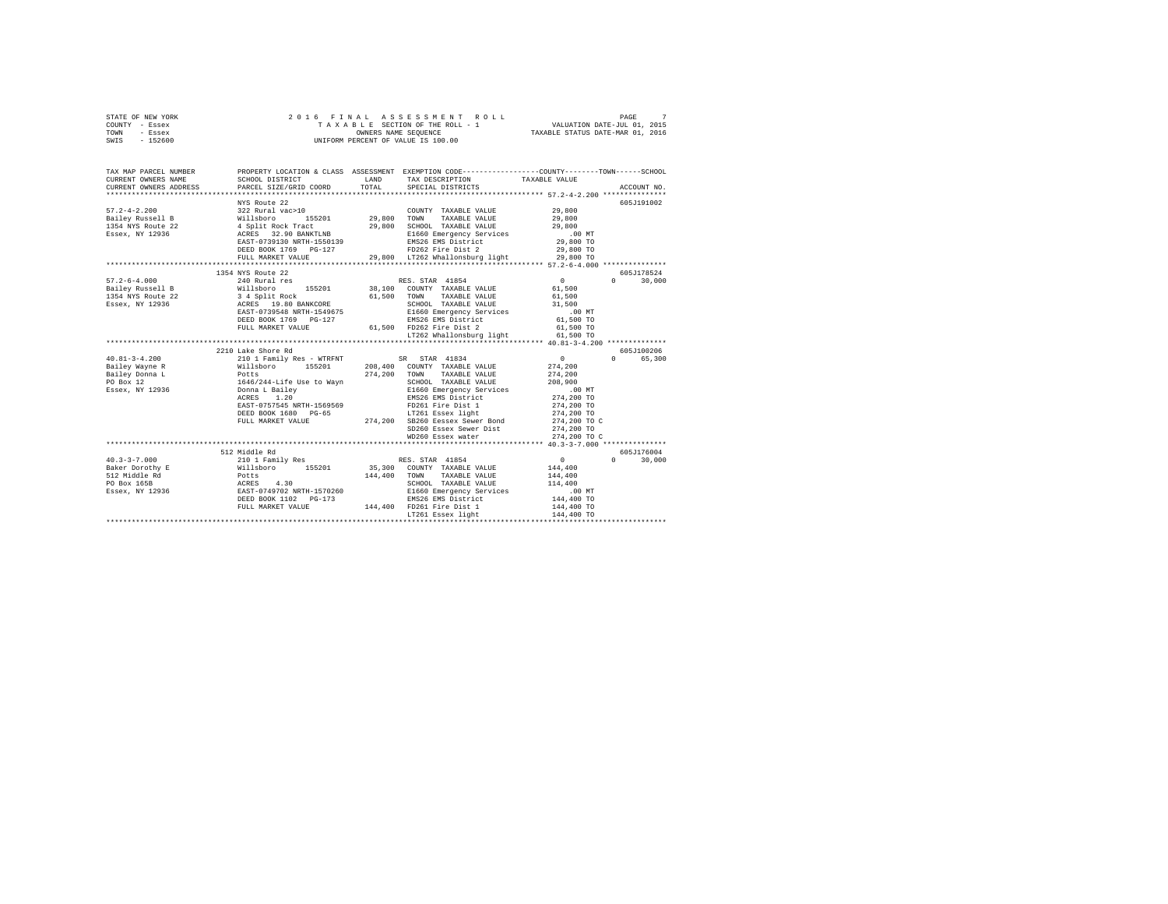| STATE OF NEW YORK | 2016 FINAL ASSESSMENT ROLL         | PAGE                             |
|-------------------|------------------------------------|----------------------------------|
| COUNTY - Essex    | TAXABLE SECTION OF THE ROLL - 1    | VALUATION DATE-JUL 01, 2015      |
| TOWN<br>- Essex   | OWNERS NAME SEOUENCE               | TAXABLE STATUS DATE-MAR 01, 2016 |
| - 152600<br>SWIS  | UNIFORM PERCENT OF VALUE IS 100.00 |                                  |

| TAX MAP PARCEL NUMBER<br>CURRENT OWNERS NAME                                                                                                                                                                                     | SCHOOL DISTRICT                                                                          |              | PROPERTY LOCATION & CLASS ASSESSMENT EXEMPTION CODE-----------------COUNTY-------TOWN------SCHOOL<br>LAND TAX DESCRIPTION                                                                                                                      | TAXABLE VALUE                         |            |
|----------------------------------------------------------------------------------------------------------------------------------------------------------------------------------------------------------------------------------|------------------------------------------------------------------------------------------|--------------|------------------------------------------------------------------------------------------------------------------------------------------------------------------------------------------------------------------------------------------------|---------------------------------------|------------|
|                                                                                                                                                                                                                                  |                                                                                          |              |                                                                                                                                                                                                                                                |                                       |            |
|                                                                                                                                                                                                                                  | NYS Route 22                                                                             |              |                                                                                                                                                                                                                                                |                                       | 605J191002 |
| 57, 2-4-2.200<br>Bailey Russell B = 822 = 824 = 85201 = 85201 = 842 = 85201 = 85201 = 85201 = 85201 = 85201 = 85201 = 85201 =<br>39.800 = 8525 = 8525 = 8525 = 8529 = 8525 = 8525 = 8525 = 8525 = 8525 = 8525 = 8525 = 8525 = 85 |                                                                                          |              | COUNTY TAXABLE VALUE 29,800                                                                                                                                                                                                                    |                                       |            |
|                                                                                                                                                                                                                                  |                                                                                          |              |                                                                                                                                                                                                                                                | 29,800                                |            |
|                                                                                                                                                                                                                                  |                                                                                          |              | $155201 \qquad 29,800 \qquad \text{TOWN} \qquad \text{TAXABLE VALUE}$ ck Tract $29,800 \qquad \text{SCHOOL} \qquad \text{TAXABLE VALUE}$                                                                                                       | 29,800                                |            |
|                                                                                                                                                                                                                                  |                                                                                          |              |                                                                                                                                                                                                                                                |                                       |            |
|                                                                                                                                                                                                                                  |                                                                                          |              | E1660 Emergency Services .00 MT<br>EMS26 EMS District 29,800 TO                                                                                                                                                                                |                                       |            |
|                                                                                                                                                                                                                                  |                                                                                          |              | DEED BOOK 1769 PG-127 FD262 Fire Dist 2                                                                                                                                                                                                        | 29,800 TO                             |            |
|                                                                                                                                                                                                                                  | FULL MARKET VALUE                                                                        |              | 29,800 LT262 Whallonsburg light 29,800 TO                                                                                                                                                                                                      |                                       |            |
|                                                                                                                                                                                                                                  |                                                                                          |              |                                                                                                                                                                                                                                                |                                       |            |
|                                                                                                                                                                                                                                  | 1354 NYS Route 22                                                                        |              |                                                                                                                                                                                                                                                |                                       | 605J178524 |
| $57.2 - 6 - 4.000$                                                                                                                                                                                                               | 240 Rural res                                                                            |              | RES. STAR 41854                                                                                                                                                                                                                                | $\mathbf{0}$<br>$\Omega$ and $\Omega$ | 30,000     |
|                                                                                                                                                                                                                                  |                                                                                          |              |                                                                                                                                                                                                                                                |                                       |            |
|                                                                                                                                                                                                                                  |                                                                                          |              | TAXABLE VALUE 61,500                                                                                                                                                                                                                           |                                       |            |
|                                                                                                                                                                                                                                  |                                                                                          |              | SCHOOL TAXABLE VALUE                                                                                                                                                                                                                           | 31,500                                |            |
|                                                                                                                                                                                                                                  | EAST-0739548 NRTH-1549675                                                                |              | E1660 Emergency Services .00 MT                                                                                                                                                                                                                |                                       |            |
|                                                                                                                                                                                                                                  | DEED BOOK 1769 PG-127                                                                    |              | EMS26 EMS District<br>61,500 FD262 Fire Dist 2                                                                                                                                                                                                 | 61,500 TO                             |            |
|                                                                                                                                                                                                                                  | FULL MARKET VALUE                                                                        |              |                                                                                                                                                                                                                                                | 61,500 TO                             |            |
|                                                                                                                                                                                                                                  |                                                                                          |              | LT262 Whallonsburg light 61,500 TO                                                                                                                                                                                                             |                                       |            |
|                                                                                                                                                                                                                                  |                                                                                          |              |                                                                                                                                                                                                                                                |                                       |            |
|                                                                                                                                                                                                                                  | 2210 Lake Shore Rd                                                                       |              |                                                                                                                                                                                                                                                |                                       | 605J100206 |
| $40.81 - 3 - 4.200$                                                                                                                                                                                                              | 210 1 Family Res - WTRFNT SR STAR 41834<br>Willsboro 155201 208,400 COUNTY TAXABLE VALUE |              |                                                                                                                                                                                                                                                | $\sim$ 0<br>$\Omega$<br>274,200       | 65,300     |
| Bailey Wayne R                                                                                                                                                                                                                   |                                                                                          |              |                                                                                                                                                                                                                                                |                                       |            |
|                                                                                                                                                                                                                                  |                                                                                          | 274.200 TOWN | TAXABLE VALUE                                                                                                                                                                                                                                  | 274,200                               |            |
| Bailey Wayne R<br>Bailey Donna L<br>Do Box 12 1646/244-Life Use to Wayn<br>Essex, NY 12936 Donna L Bailey<br>ACRES 1.20                                                                                                          |                                                                                          |              | SCHOOL TAXABLE VALUE 208,900<br>E1660 Emergency Services .00 MT                                                                                                                                                                                |                                       |            |
|                                                                                                                                                                                                                                  |                                                                                          |              |                                                                                                                                                                                                                                                |                                       |            |
|                                                                                                                                                                                                                                  |                                                                                          |              | EMS26 EMS District 274,200 TO<br>EMS26 EMS District<br>FD261 Fire Dist 1<br>LT261 Essex light<br>And Best Times Sewer Bond                                                                                                                     |                                       |            |
|                                                                                                                                                                                                                                  |                                                                                          |              |                                                                                                                                                                                                                                                | 274,200 TO<br>274,200 TO              |            |
|                                                                                                                                                                                                                                  |                                                                                          |              |                                                                                                                                                                                                                                                |                                       |            |
|                                                                                                                                                                                                                                  |                                                                                          |              |                                                                                                                                                                                                                                                | 274,200 TO C<br>274,200 TO            |            |
|                                                                                                                                                                                                                                  |                                                                                          |              | ACRES 1.20<br>EAST-0757545 NRTH-1569569 PD261 Fire Dist 1<br>DEED BOOK 1680 PG-65 274,200 SB260 Eesexx Sewer Bond<br>FULL MARKET VALUE 274,200 SB260 Essex Sewer Dist<br>SD260 Essex Sewer Dist<br>SD260 Essex Sewer Dist<br>WD260 Essex water | 274,200 TO C                          |            |
|                                                                                                                                                                                                                                  |                                                                                          |              |                                                                                                                                                                                                                                                |                                       |            |
|                                                                                                                                                                                                                                  | 512 Middle Rd                                                                            |              |                                                                                                                                                                                                                                                |                                       | 605J176004 |
| $40.3 - 3 - 7.000$                                                                                                                                                                                                               |                                                                                          |              | RES. STAR 41854                                                                                                                                                                                                                                | $\sim$ 0 $\sim$<br>$0 \qquad \qquad$  | 30,000     |
| Baker Dorothy E                                                                                                                                                                                                                  | 210 1 Family Res<br>Willsboro 155201                                                     |              | 35,300 COUNTY TAXABLE VALUE                                                                                                                                                                                                                    | 144,400                               |            |
|                                                                                                                                                                                                                                  |                                                                                          |              | 144,400 TOWN TAXABLE VALUE                                                                                                                                                                                                                     | 144,400                               |            |
|                                                                                                                                                                                                                                  |                                                                                          |              |                                                                                                                                                                                                                                                | 114,400                               |            |
|                                                                                                                                                                                                                                  |                                                                                          |              | SCHOOL TAXABLE VALUE<br>E1660 Emergency Services<br>EMS26 EMS District                                                                                                                                                                         | $.00$ MT                              |            |
|                                                                                                                                                                                                                                  | DEED BOOK 1102 PG-173                                                                    |              |                                                                                                                                                                                                                                                | 144,400 TO                            |            |
|                                                                                                                                                                                                                                  | FULL MARKET VALUE                                                                        |              |                                                                                                                                                                                                                                                | 144,400 TO                            |            |
|                                                                                                                                                                                                                                  |                                                                                          |              |                                                                                                                                                                                                                                                | 144,400 TO                            |            |
|                                                                                                                                                                                                                                  |                                                                                          |              |                                                                                                                                                                                                                                                |                                       |            |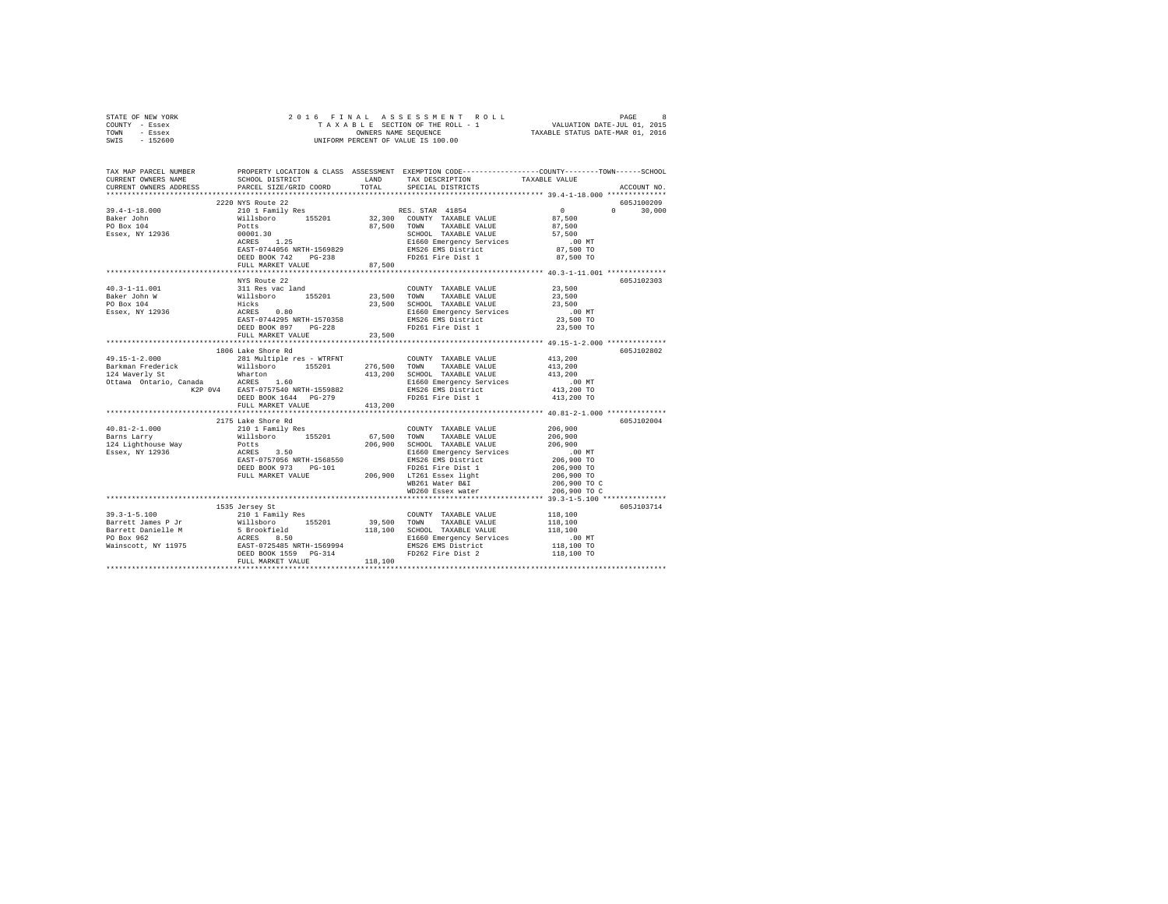| STATE OF NEW YORK                                                                                                                                                                                                                                                                                                                                                                           |                                                    |                                                    |                                                                                                                                                                                                |
|---------------------------------------------------------------------------------------------------------------------------------------------------------------------------------------------------------------------------------------------------------------------------------------------------------------------------------------------------------------------------------------------|----------------------------------------------------|----------------------------------------------------|------------------------------------------------------------------------------------------------------------------------------------------------------------------------------------------------|
| COUNTY - Essex                                                                                                                                                                                                                                                                                                                                                                              |                                                    |                                                    | 2016 FINAL ASSESSMENT ROLL PAGE 8<br>TAXABLE SECTION OF THE ROLL - 1 VALUATION DATE-JUL 01, 2015<br>OWNERS NAME SEQUENCE<br>UNIFORM PERCENT OF VALUE IS 100.00                                 |
| TOWN - Essex                                                                                                                                                                                                                                                                                                                                                                                |                                                    |                                                    |                                                                                                                                                                                                |
| SWIS - 152600                                                                                                                                                                                                                                                                                                                                                                               |                                                    |                                                    |                                                                                                                                                                                                |
|                                                                                                                                                                                                                                                                                                                                                                                             |                                                    |                                                    |                                                                                                                                                                                                |
|                                                                                                                                                                                                                                                                                                                                                                                             |                                                    |                                                    |                                                                                                                                                                                                |
|                                                                                                                                                                                                                                                                                                                                                                                             |                                                    |                                                    |                                                                                                                                                                                                |
|                                                                                                                                                                                                                                                                                                                                                                                             |                                                    |                                                    | TAX MAP PARCEL NUMBER PROPERTY LOCATION & CLASS ASSESSMENT EXEMPTION CODE--------------COUNTY-------TOWN------SCHOOL<br>CURRENT OWNERS NAME SCHOOL DISTRICT LAND TAX DESCRIPTION TAXARIR VALUE |
|                                                                                                                                                                                                                                                                                                                                                                                             |                                                    | SCHOOL DISTRICT LAND TAX DESCRIPTION TAXABLE VALUE |                                                                                                                                                                                                |
| CURRENT OWNERS ADDRESS PARCEL SIZE/GRID COORD TOTAL                                                                                                                                                                                                                                                                                                                                         |                                                    | SPECIAL DISTRICTS                                  | ACCOUNT NO.                                                                                                                                                                                    |
|                                                                                                                                                                                                                                                                                                                                                                                             |                                                    |                                                    |                                                                                                                                                                                                |
|                                                                                                                                                                                                                                                                                                                                                                                             | 2220 NYS Route 22                                  |                                                    | 605J100209                                                                                                                                                                                     |
|                                                                                                                                                                                                                                                                                                                                                                                             |                                                    |                                                    | $0 \t 30.000$                                                                                                                                                                                  |
|                                                                                                                                                                                                                                                                                                                                                                                             |                                                    |                                                    |                                                                                                                                                                                                |
|                                                                                                                                                                                                                                                                                                                                                                                             |                                                    |                                                    |                                                                                                                                                                                                |
|                                                                                                                                                                                                                                                                                                                                                                                             |                                                    |                                                    |                                                                                                                                                                                                |
|                                                                                                                                                                                                                                                                                                                                                                                             |                                                    |                                                    |                                                                                                                                                                                                |
|                                                                                                                                                                                                                                                                                                                                                                                             |                                                    |                                                    |                                                                                                                                                                                                |
|                                                                                                                                                                                                                                                                                                                                                                                             |                                                    |                                                    |                                                                                                                                                                                                |
|                                                                                                                                                                                                                                                                                                                                                                                             |                                                    |                                                    |                                                                                                                                                                                                |
|                                                                                                                                                                                                                                                                                                                                                                                             |                                                    |                                                    |                                                                                                                                                                                                |
|                                                                                                                                                                                                                                                                                                                                                                                             |                                                    |                                                    |                                                                                                                                                                                                |
|                                                                                                                                                                                                                                                                                                                                                                                             | NYS Route 22                                       |                                                    | 605J102303                                                                                                                                                                                     |
|                                                                                                                                                                                                                                                                                                                                                                                             |                                                    |                                                    |                                                                                                                                                                                                |
|                                                                                                                                                                                                                                                                                                                                                                                             |                                                    |                                                    |                                                                                                                                                                                                |
|                                                                                                                                                                                                                                                                                                                                                                                             |                                                    |                                                    |                                                                                                                                                                                                |
|                                                                                                                                                                                                                                                                                                                                                                                             |                                                    |                                                    |                                                                                                                                                                                                |
|                                                                                                                                                                                                                                                                                                                                                                                             |                                                    |                                                    |                                                                                                                                                                                                |
|                                                                                                                                                                                                                                                                                                                                                                                             |                                                    |                                                    |                                                                                                                                                                                                |
|                                                                                                                                                                                                                                                                                                                                                                                             |                                                    |                                                    |                                                                                                                                                                                                |
|                                                                                                                                                                                                                                                                                                                                                                                             |                                                    |                                                    |                                                                                                                                                                                                |
|                                                                                                                                                                                                                                                                                                                                                                                             |                                                    |                                                    |                                                                                                                                                                                                |
|                                                                                                                                                                                                                                                                                                                                                                                             | 1806 Lake Shore Rd                                 |                                                    | 605J102802                                                                                                                                                                                     |
|                                                                                                                                                                                                                                                                                                                                                                                             |                                                    |                                                    |                                                                                                                                                                                                |
|                                                                                                                                                                                                                                                                                                                                                                                             |                                                    |                                                    |                                                                                                                                                                                                |
|                                                                                                                                                                                                                                                                                                                                                                                             |                                                    |                                                    |                                                                                                                                                                                                |
|                                                                                                                                                                                                                                                                                                                                                                                             |                                                    |                                                    |                                                                                                                                                                                                |
|                                                                                                                                                                                                                                                                                                                                                                                             |                                                    |                                                    |                                                                                                                                                                                                |
|                                                                                                                                                                                                                                                                                                                                                                                             |                                                    |                                                    |                                                                                                                                                                                                |
|                                                                                                                                                                                                                                                                                                                                                                                             | DEED BOOK 1644 PG-279<br>FULL MARKET VALUE 413,200 |                                                    |                                                                                                                                                                                                |
|                                                                                                                                                                                                                                                                                                                                                                                             |                                                    |                                                    |                                                                                                                                                                                                |
|                                                                                                                                                                                                                                                                                                                                                                                             |                                                    |                                                    |                                                                                                                                                                                                |
| $\begin{tabular}{l c c c c c} \multicolumn{1}{c}{\textbf{40.81--2-1.000}} & \multicolumn{1}{c}{21/5} & \multicolumn{1}{c}{\textbf{210.81--2-1.000}} & \multicolumn{1}{c}{21/5} & \multicolumn{1}{c}{\textbf{210.81--2-1.000}} & \multicolumn{1}{c}{\textbf{210.82--2}} & \multicolumn{1}{c}{\textbf{210.83--2}} & \multicolumn{1}{c}{\textbf{210.84--2}} & \multicolumn{1}{c}{\textbf{210.$ | 2175 Lake Shore Rd                                 |                                                    | 605J102004                                                                                                                                                                                     |
|                                                                                                                                                                                                                                                                                                                                                                                             |                                                    |                                                    |                                                                                                                                                                                                |
|                                                                                                                                                                                                                                                                                                                                                                                             |                                                    |                                                    |                                                                                                                                                                                                |
|                                                                                                                                                                                                                                                                                                                                                                                             |                                                    |                                                    |                                                                                                                                                                                                |
|                                                                                                                                                                                                                                                                                                                                                                                             |                                                    |                                                    |                                                                                                                                                                                                |
|                                                                                                                                                                                                                                                                                                                                                                                             |                                                    |                                                    |                                                                                                                                                                                                |
|                                                                                                                                                                                                                                                                                                                                                                                             |                                                    |                                                    |                                                                                                                                                                                                |
|                                                                                                                                                                                                                                                                                                                                                                                             |                                                    |                                                    |                                                                                                                                                                                                |
|                                                                                                                                                                                                                                                                                                                                                                                             |                                                    |                                                    | 206,900 TO C                                                                                                                                                                                   |
|                                                                                                                                                                                                                                                                                                                                                                                             |                                                    |                                                    |                                                                                                                                                                                                |
|                                                                                                                                                                                                                                                                                                                                                                                             |                                                    |                                                    | 206,900 TO C                                                                                                                                                                                   |
|                                                                                                                                                                                                                                                                                                                                                                                             |                                                    |                                                    |                                                                                                                                                                                                |
|                                                                                                                                                                                                                                                                                                                                                                                             | 1535 Jersey St                                     |                                                    | 605J103714                                                                                                                                                                                     |
|                                                                                                                                                                                                                                                                                                                                                                                             |                                                    |                                                    |                                                                                                                                                                                                |
|                                                                                                                                                                                                                                                                                                                                                                                             |                                                    |                                                    |                                                                                                                                                                                                |
|                                                                                                                                                                                                                                                                                                                                                                                             |                                                    |                                                    |                                                                                                                                                                                                |
|                                                                                                                                                                                                                                                                                                                                                                                             |                                                    |                                                    |                                                                                                                                                                                                |
|                                                                                                                                                                                                                                                                                                                                                                                             |                                                    |                                                    |                                                                                                                                                                                                |
|                                                                                                                                                                                                                                                                                                                                                                                             |                                                    |                                                    |                                                                                                                                                                                                |
|                                                                                                                                                                                                                                                                                                                                                                                             |                                                    |                                                    |                                                                                                                                                                                                |
|                                                                                                                                                                                                                                                                                                                                                                                             |                                                    |                                                    |                                                                                                                                                                                                |
|                                                                                                                                                                                                                                                                                                                                                                                             |                                                    |                                                    |                                                                                                                                                                                                |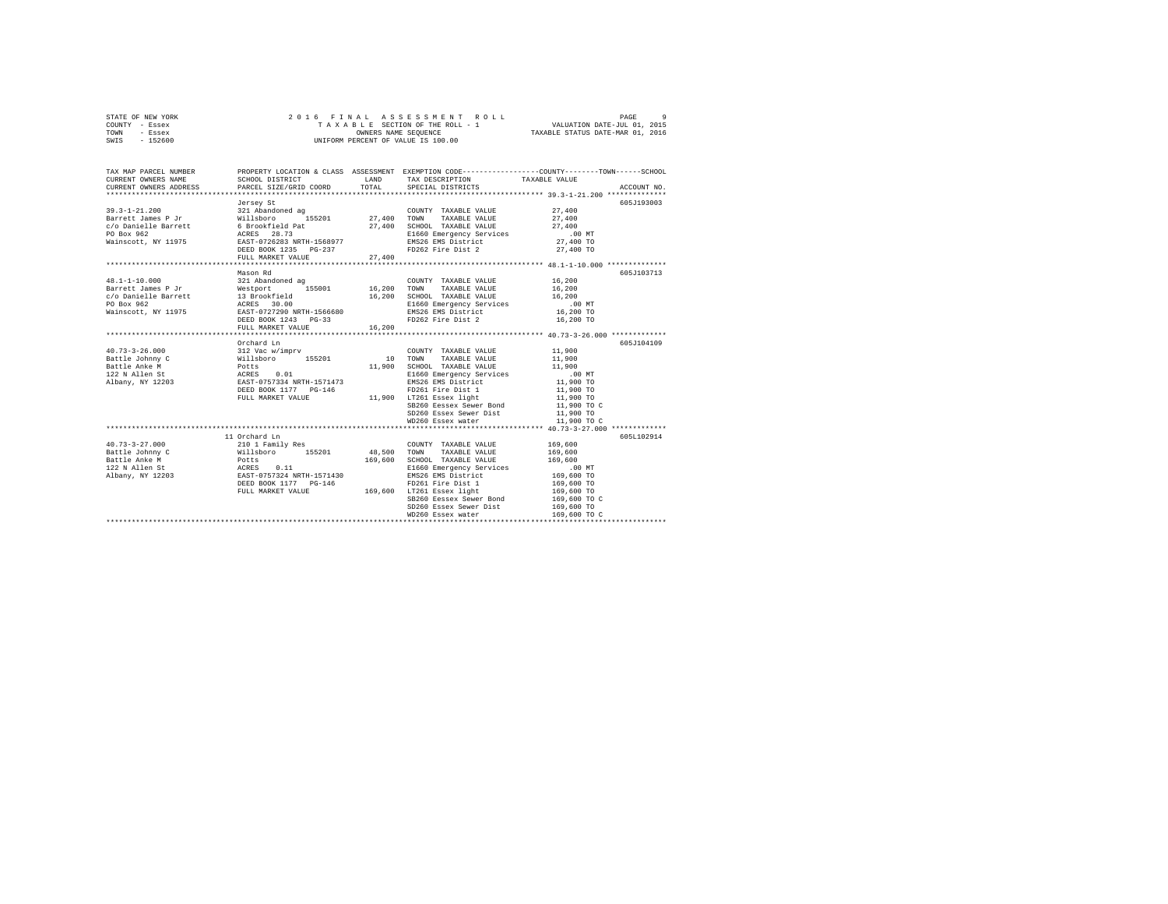| STATE OF NEW YORK |  | 2016 FINAL ASSESSMENT ROLL         | PAGE                             |  |
|-------------------|--|------------------------------------|----------------------------------|--|
| COUNTY - Essex    |  | TAXABLE SECTION OF THE ROLL - 1    | VALUATION DATE-JUL 01, 2015      |  |
| TOWN<br>- Essex   |  | OWNERS NAME SEOUENCE               | TAXABLE STATUS DATE-MAR 01, 2016 |  |
| $-152600$<br>SWIS |  | UNIFORM PERCENT OF VALUE IS 100.00 |                                  |  |

| 605J193003<br>Jersey St<br>27,400<br>FULL MARKET VALUE<br>605J103713<br>Mason Rd<br>605J104109<br>Orchard Ln<br>SCHOOL TAAABLE value<br>E1660 Emergency Services (00 MT<br>EMS26 EMS District (1,900 TO<br>FD261 Fire Dist 1 (1,900 TO<br>EMS26 EMS District<br>FD261 Fire Dist 1<br>11 Orchard Ln<br>605L102914<br>SB260 Eessex Sewer Bond 169,600 TO C<br>SD260 Essex Sewer Dist<br>169,600 TO<br>WD260 Essex water<br>169,600 TO C | TAX MAP PARCEL NUMBER |  | TAX DESCRIPTION TAXABLE VALUE SPECIAL DISTRICTS | PROPERTY LOCATION & CLASS ASSESSMENT EXEMPTION CODE----------------COUNTY-------TOWN------SCHOOL<br>ACCOUNT NO. |
|---------------------------------------------------------------------------------------------------------------------------------------------------------------------------------------------------------------------------------------------------------------------------------------------------------------------------------------------------------------------------------------------------------------------------------------|-----------------------|--|-------------------------------------------------|-----------------------------------------------------------------------------------------------------------------|
|                                                                                                                                                                                                                                                                                                                                                                                                                                       |                       |  |                                                 |                                                                                                                 |
|                                                                                                                                                                                                                                                                                                                                                                                                                                       |                       |  |                                                 |                                                                                                                 |
|                                                                                                                                                                                                                                                                                                                                                                                                                                       |                       |  |                                                 |                                                                                                                 |
|                                                                                                                                                                                                                                                                                                                                                                                                                                       |                       |  |                                                 |                                                                                                                 |
|                                                                                                                                                                                                                                                                                                                                                                                                                                       |                       |  |                                                 |                                                                                                                 |
|                                                                                                                                                                                                                                                                                                                                                                                                                                       |                       |  |                                                 |                                                                                                                 |
|                                                                                                                                                                                                                                                                                                                                                                                                                                       |                       |  |                                                 |                                                                                                                 |
|                                                                                                                                                                                                                                                                                                                                                                                                                                       |                       |  |                                                 |                                                                                                                 |
|                                                                                                                                                                                                                                                                                                                                                                                                                                       |                       |  |                                                 |                                                                                                                 |
|                                                                                                                                                                                                                                                                                                                                                                                                                                       |                       |  |                                                 |                                                                                                                 |
|                                                                                                                                                                                                                                                                                                                                                                                                                                       |                       |  |                                                 |                                                                                                                 |
|                                                                                                                                                                                                                                                                                                                                                                                                                                       |                       |  |                                                 |                                                                                                                 |
|                                                                                                                                                                                                                                                                                                                                                                                                                                       |                       |  |                                                 |                                                                                                                 |
|                                                                                                                                                                                                                                                                                                                                                                                                                                       |                       |  |                                                 |                                                                                                                 |
|                                                                                                                                                                                                                                                                                                                                                                                                                                       |                       |  |                                                 |                                                                                                                 |
|                                                                                                                                                                                                                                                                                                                                                                                                                                       |                       |  |                                                 |                                                                                                                 |
|                                                                                                                                                                                                                                                                                                                                                                                                                                       |                       |  |                                                 |                                                                                                                 |
|                                                                                                                                                                                                                                                                                                                                                                                                                                       |                       |  |                                                 |                                                                                                                 |
|                                                                                                                                                                                                                                                                                                                                                                                                                                       |                       |  |                                                 |                                                                                                                 |
|                                                                                                                                                                                                                                                                                                                                                                                                                                       |                       |  |                                                 |                                                                                                                 |
|                                                                                                                                                                                                                                                                                                                                                                                                                                       |                       |  |                                                 |                                                                                                                 |
|                                                                                                                                                                                                                                                                                                                                                                                                                                       |                       |  |                                                 |                                                                                                                 |
|                                                                                                                                                                                                                                                                                                                                                                                                                                       |                       |  |                                                 |                                                                                                                 |
|                                                                                                                                                                                                                                                                                                                                                                                                                                       |                       |  |                                                 |                                                                                                                 |
|                                                                                                                                                                                                                                                                                                                                                                                                                                       |                       |  |                                                 |                                                                                                                 |
|                                                                                                                                                                                                                                                                                                                                                                                                                                       |                       |  |                                                 |                                                                                                                 |
|                                                                                                                                                                                                                                                                                                                                                                                                                                       |                       |  |                                                 |                                                                                                                 |
|                                                                                                                                                                                                                                                                                                                                                                                                                                       |                       |  |                                                 |                                                                                                                 |
|                                                                                                                                                                                                                                                                                                                                                                                                                                       |                       |  |                                                 |                                                                                                                 |
|                                                                                                                                                                                                                                                                                                                                                                                                                                       |                       |  |                                                 |                                                                                                                 |
|                                                                                                                                                                                                                                                                                                                                                                                                                                       |                       |  |                                                 |                                                                                                                 |
|                                                                                                                                                                                                                                                                                                                                                                                                                                       |                       |  |                                                 |                                                                                                                 |
|                                                                                                                                                                                                                                                                                                                                                                                                                                       |                       |  |                                                 |                                                                                                                 |
|                                                                                                                                                                                                                                                                                                                                                                                                                                       |                       |  |                                                 |                                                                                                                 |
|                                                                                                                                                                                                                                                                                                                                                                                                                                       |                       |  |                                                 |                                                                                                                 |
|                                                                                                                                                                                                                                                                                                                                                                                                                                       |                       |  |                                                 |                                                                                                                 |
|                                                                                                                                                                                                                                                                                                                                                                                                                                       |                       |  |                                                 |                                                                                                                 |
|                                                                                                                                                                                                                                                                                                                                                                                                                                       |                       |  |                                                 |                                                                                                                 |
|                                                                                                                                                                                                                                                                                                                                                                                                                                       |                       |  |                                                 |                                                                                                                 |
|                                                                                                                                                                                                                                                                                                                                                                                                                                       |                       |  |                                                 |                                                                                                                 |
|                                                                                                                                                                                                                                                                                                                                                                                                                                       |                       |  |                                                 |                                                                                                                 |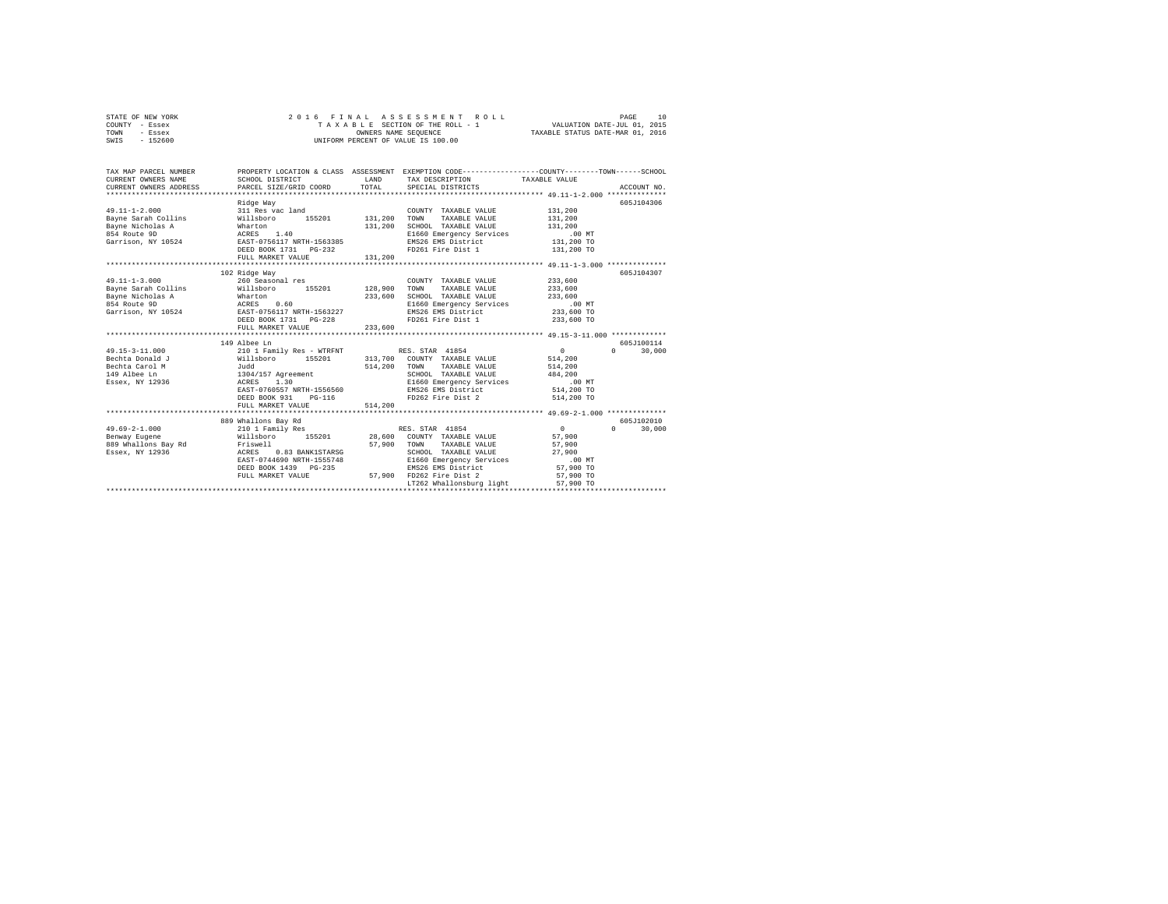|      | STATE OF NEW YORK |  |  | 2016 FINAL ASSESSMENT ROLL         | PAGE                             | 10 |
|------|-------------------|--|--|------------------------------------|----------------------------------|----|
|      | COUNTY - Essex    |  |  | TAXABLE SECTION OF THE ROLL - 1    | VALUATION DATE-JUL 01, 2015      |    |
| TOWN | - Essex           |  |  | OWNERS NAME SEOUENCE               | TAXABLE STATUS DATE-MAR 01, 2016 |    |
| SWIS | - 152600          |  |  | UNIFORM PERCENT OF VALUE IS 100.00 |                                  |    |

| TAX MAP PARCEL NUMBER<br>CURRENT OWNERS NAME<br>-CONNER TO THE SERVICE STATE OF THE SERVICE STATE OF THE SERVICE SERVICE SERVICE SERVICE SERVICE SERVICE SERVICE SERVICE SERVICES ADDRESS ADDRESS PRACED STATE OF THE SERVICE SERVICE SERVICES ARCOUNT NO. | SCHOOL DISTRICT                                                                            | LAND    | PROPERTY LOCATION & CLASS ASSESSMENT EXEMPTION CODE---------------COUNTY-------TOWN-----SCHOOL<br>TAX DESCRIPTION TAXABLE VALUE |            |                    |
|------------------------------------------------------------------------------------------------------------------------------------------------------------------------------------------------------------------------------------------------------------|--------------------------------------------------------------------------------------------|---------|---------------------------------------------------------------------------------------------------------------------------------|------------|--------------------|
|                                                                                                                                                                                                                                                            |                                                                                            |         |                                                                                                                                 |            |                    |
|                                                                                                                                                                                                                                                            | Ridge Way                                                                                  |         |                                                                                                                                 |            | 605J104306         |
| $49.11 - 1 - 2.000$                                                                                                                                                                                                                                        | 311 Res vac land                                                                           |         | COUNTY TAXABLE VALUE                                                                                                            | 131,200    |                    |
| Bayne Sarah Collins                                                                                                                                                                                                                                        | Willsboro 155201 131,200                                                                   |         | TOWN<br>TAXABLE VALUE                                                                                                           | 131,200    |                    |
| Bayne Nicholas A                                                                                                                                                                                                                                           | Wharton                                                                                    | 131,200 | SCHOOL TAXABLE VALUE                                                                                                            | 131,200    |                    |
| ACRES<br>854 Route 9D                                                                                                                                                                                                                                      | 1.40                                                                                       |         | E1660 Emergency Services                                                                                                        | $.00$ MT   |                    |
| Garrison, NY 10524 EAST-0756117 NRTH-1563385                                                                                                                                                                                                               |                                                                                            |         | EMS26 EMS District                                                                                                              | 131,200 TO |                    |
|                                                                                                                                                                                                                                                            | DEED BOOK 1731    PG-232                                                                   |         | FD261 Fire Dist 1                                                                                                               | 131,200 TO |                    |
|                                                                                                                                                                                                                                                            | FULL MARKET VALUE                                                                          | 131,200 |                                                                                                                                 |            |                    |
|                                                                                                                                                                                                                                                            |                                                                                            |         |                                                                                                                                 |            |                    |
| $49.11 - 1 - 3.000$                                                                                                                                                                                                                                        | 102 Ridge Way<br>260 Seasonal res                                                          |         | COUNTY TAXABLE VALUE                                                                                                            | 233,600    | 605J104307         |
| Bayne Sarah Collins                                                                                                                                                                                                                                        |                                                                                            |         | TAXABLE VALUE<br>TOWN                                                                                                           | 233,600    |                    |
|                                                                                                                                                                                                                                                            |                                                                                            | 233,600 | SCHOOL TAXABLE VALUE                                                                                                            | 233,600    |                    |
|                                                                                                                                                                                                                                                            |                                                                                            |         | E1660 Emergency Services                                                                                                        | . 00 MT    |                    |
| Express and terms of the methods and the methods and the methods of the methods of the methods of the methods o<br>Sayne Micholas A acres 0.60<br>Carrison, NY 10524 EAST-0756117 NRTH-1563227                                                             |                                                                                            |         | EMS26 EMS District                                                                                                              | 233,600 TO |                    |
|                                                                                                                                                                                                                                                            |                                                                                            |         | FD261 Fire Dist 1                                                                                                               | 233,600 TO |                    |
|                                                                                                                                                                                                                                                            | FULL MARKET VALUE                                                                          | 233,600 |                                                                                                                                 |            |                    |
|                                                                                                                                                                                                                                                            |                                                                                            |         |                                                                                                                                 |            |                    |
|                                                                                                                                                                                                                                                            | 149 Albee Ln                                                                               |         |                                                                                                                                 |            | 605J100114         |
| 49.15-3-11.000                                                                                                                                                                                                                                             | 210 1 Family Res - WTRFNT RES. STAR 41854<br>Willsboro 155201 313,700 COUNTY TAXABLE VALUE |         |                                                                                                                                 | $\sim$     | 30,000<br>$\Omega$ |
| Bechta Donald J                                                                                                                                                                                                                                            |                                                                                            |         |                                                                                                                                 | 514,200    |                    |
| and the state of the state of the state of the state of the state of the state of the state of the state of the<br>Bechta Carol M                                                                                                                          |                                                                                            | 514,200 | TOWN<br>TAXABLE VALUE                                                                                                           | 514,200    |                    |
| 149 Albee Ln                                                                                                                                                                                                                                               | 1304/157 Agreement                                                                         |         | SCHOOL TAXABLE VALUE                                                                                                            | 484,200    |                    |
| Essex, NY 12936                                                                                                                                                                                                                                            | 1.30<br>ACRES                                                                              |         | E1660 Emergency Services                                                                                                        | .00 MT     |                    |
|                                                                                                                                                                                                                                                            | EAST-0760557 NRTH-1556560                                                                  |         | EMS26 EMS District                                                                                                              | 514,200 TO |                    |
|                                                                                                                                                                                                                                                            | DEED BOOK 931<br>$PG-116$                                                                  |         | FD262 Fire Dist 2                                                                                                               | 514,200 TO |                    |
|                                                                                                                                                                                                                                                            | FULL MARKET VALUE                                                                          | 514,200 |                                                                                                                                 |            |                    |
|                                                                                                                                                                                                                                                            |                                                                                            |         |                                                                                                                                 |            | 605J102010         |
| $49.69 - 2 - 1.000$                                                                                                                                                                                                                                        | 889 Whallons Bay Rd<br>210 1 Family Res                                                    |         | RES. STAR 41854                                                                                                                 | $\sim$ 0   | $\Omega$<br>30,000 |
| Benway Eugene                                                                                                                                                                                                                                              | Willsboro 155201 28,600 COUNTY TAXABLE VALUE                                               |         |                                                                                                                                 | 57,900     |                    |
| 889 Whallons Bay Rd Friswell                                                                                                                                                                                                                               |                                                                                            | 57,900  | TOWN<br>TAXABLE VALUE                                                                                                           | 57,900     |                    |
| ACRES<br>Essex, NY 12936                                                                                                                                                                                                                                   | 0.83 BANK1STARSG                                                                           |         | SCHOOL TAXABLE VALUE                                                                                                            | 27,900     |                    |
|                                                                                                                                                                                                                                                            | EAST-0744690 NRTH-1555748                                                                  |         | E1660 Emergency Services                                                                                                        | $.00$ MT   |                    |
|                                                                                                                                                                                                                                                            | DEED BOOK 1439 PG-235                                                                      |         | EMS26 EMS District                                                                                                              | 57,900 TO  |                    |
|                                                                                                                                                                                                                                                            | FULL MARKET VALUE                                                                          |         | 57,900 FD262 Fire Dist 2                                                                                                        | 57,900 TO  |                    |
|                                                                                                                                                                                                                                                            |                                                                                            |         | LT262 Whallonsburg light                                                                                                        | 57,900 TO  |                    |
|                                                                                                                                                                                                                                                            |                                                                                            |         |                                                                                                                                 |            |                    |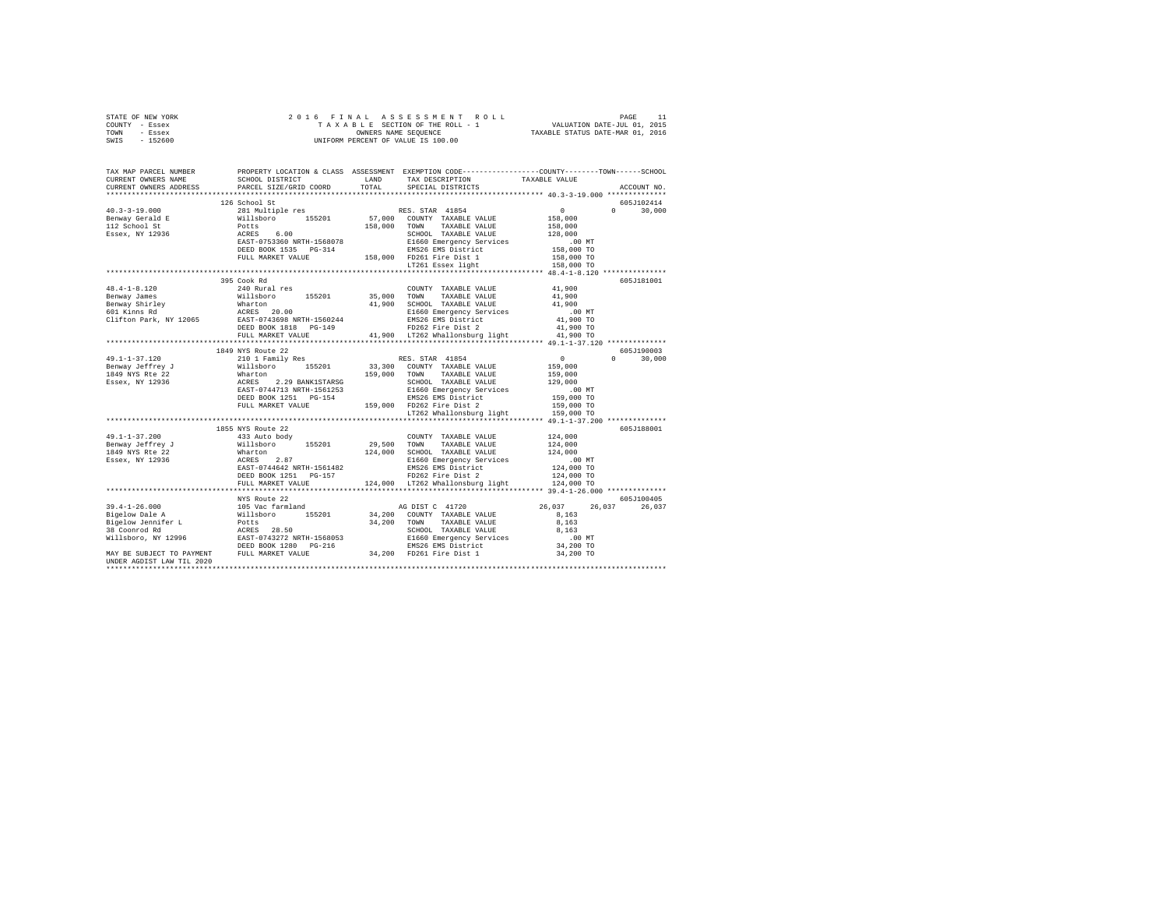| STATE OF NEW YORK |                                                                                                                                                                                                                                                                                                                                                                                                                                                     |       |                                                    |               |
|-------------------|-----------------------------------------------------------------------------------------------------------------------------------------------------------------------------------------------------------------------------------------------------------------------------------------------------------------------------------------------------------------------------------------------------------------------------------------------------|-------|----------------------------------------------------|---------------|
| COUNTY - Essex    |                                                                                                                                                                                                                                                                                                                                                                                                                                                     |       |                                                    |               |
| TOWN - Essex      |                                                                                                                                                                                                                                                                                                                                                                                                                                                     |       |                                                    |               |
| SWIS - 152600     |                                                                                                                                                                                                                                                                                                                                                                                                                                                     |       |                                                    |               |
|                   |                                                                                                                                                                                                                                                                                                                                                                                                                                                     |       |                                                    |               |
|                   |                                                                                                                                                                                                                                                                                                                                                                                                                                                     |       |                                                    |               |
|                   |                                                                                                                                                                                                                                                                                                                                                                                                                                                     |       |                                                    |               |
|                   | TAX MAP PARCEL NUMBER PROPERTY LOCATION & CLASS ASSESSMENT EXEMPTION CODE---------------COUNTY-------TOWN------SCHOOL<br>CURRENT OWNERS NAME SCHOOL DISTRICT LAND TAX DESCRIPTION TAXARLE VALUE                                                                                                                                                                                                                                                     |       |                                                    |               |
|                   |                                                                                                                                                                                                                                                                                                                                                                                                                                                     |       | SCHOOL DISTRICT LAND TAX DESCRIPTION TAXABLE VALUE |               |
|                   | CURRENT OWNERS ADDRESS PARCEL SIZE/GRID COORD                                                                                                                                                                                                                                                                                                                                                                                                       | TOTAL | SPECIAL DISTRICTS                                  | ACCOUNT NO.   |
|                   |                                                                                                                                                                                                                                                                                                                                                                                                                                                     |       |                                                    |               |
|                   | 126 School St                                                                                                                                                                                                                                                                                                                                                                                                                                       |       |                                                    | 605J102414    |
|                   |                                                                                                                                                                                                                                                                                                                                                                                                                                                     |       |                                                    | $0 \t 30,000$ |
|                   |                                                                                                                                                                                                                                                                                                                                                                                                                                                     |       |                                                    |               |
|                   |                                                                                                                                                                                                                                                                                                                                                                                                                                                     |       |                                                    |               |
|                   |                                                                                                                                                                                                                                                                                                                                                                                                                                                     |       |                                                    |               |
|                   |                                                                                                                                                                                                                                                                                                                                                                                                                                                     |       |                                                    |               |
|                   |                                                                                                                                                                                                                                                                                                                                                                                                                                                     |       |                                                    |               |
|                   |                                                                                                                                                                                                                                                                                                                                                                                                                                                     |       |                                                    |               |
|                   |                                                                                                                                                                                                                                                                                                                                                                                                                                                     |       |                                                    |               |
|                   |                                                                                                                                                                                                                                                                                                                                                                                                                                                     |       |                                                    |               |
|                   |                                                                                                                                                                                                                                                                                                                                                                                                                                                     |       |                                                    |               |
|                   | 395 Cook Rd                                                                                                                                                                                                                                                                                                                                                                                                                                         |       |                                                    | 605J181001    |
|                   | $\begin{tabular}{ccccc} 48.4-1-8.120 & 395\, \mbox{conver} {\small 35,000~mm} & 240~\mbox{Rural res} & 200\, \mbox{K,} & 41,900\, \mbox{N,} \\ \end{tabular} \begin{tabular}{ccccc} 395\, \mbox{conver} {\small 35,000~mm} & 35,000~\mbox{TOMN} & 34.8445\, \mbox{N,} \\ \end{tabular} \begin{tabular}{ccccc} 41,900 & 41,900 & 41,900 & 41,900 & 41$                                                                                               |       |                                                    |               |
|                   |                                                                                                                                                                                                                                                                                                                                                                                                                                                     |       |                                                    |               |
|                   |                                                                                                                                                                                                                                                                                                                                                                                                                                                     |       |                                                    |               |
|                   |                                                                                                                                                                                                                                                                                                                                                                                                                                                     |       |                                                    |               |
|                   |                                                                                                                                                                                                                                                                                                                                                                                                                                                     |       |                                                    |               |
|                   |                                                                                                                                                                                                                                                                                                                                                                                                                                                     |       |                                                    |               |
|                   |                                                                                                                                                                                                                                                                                                                                                                                                                                                     |       |                                                    |               |
|                   |                                                                                                                                                                                                                                                                                                                                                                                                                                                     |       |                                                    |               |
|                   |                                                                                                                                                                                                                                                                                                                                                                                                                                                     |       |                                                    |               |
|                   |                                                                                                                                                                                                                                                                                                                                                                                                                                                     |       |                                                    | 605J190003    |
|                   |                                                                                                                                                                                                                                                                                                                                                                                                                                                     |       |                                                    | $0 \t 30,000$ |
|                   |                                                                                                                                                                                                                                                                                                                                                                                                                                                     |       |                                                    |               |
|                   |                                                                                                                                                                                                                                                                                                                                                                                                                                                     |       |                                                    |               |
|                   |                                                                                                                                                                                                                                                                                                                                                                                                                                                     |       |                                                    |               |
|                   |                                                                                                                                                                                                                                                                                                                                                                                                                                                     |       |                                                    |               |
|                   |                                                                                                                                                                                                                                                                                                                                                                                                                                                     |       |                                                    |               |
|                   |                                                                                                                                                                                                                                                                                                                                                                                                                                                     |       |                                                    |               |
|                   |                                                                                                                                                                                                                                                                                                                                                                                                                                                     |       |                                                    |               |
|                   |                                                                                                                                                                                                                                                                                                                                                                                                                                                     |       |                                                    |               |
|                   | 1855 NYS Route 22<br>$\begin{tabular}{l c c c c c} \multicolumn{3}{c}{\textbf{49.1--1-37.200}} & \multicolumn{3}{c}{1855}{{\,\text{NTS}}&\text{ROLIC}} & \multicolumn{3}{c}{29.500} & \multicolumn{3}{c}{\text{COMITY}} & \multicolumn{3}{c}{\textbf{YANABLE VALUE}} & \multicolumn{3}{c}{124.000} \\ \multicolumn{3}{c}{\textbf{Benway} of ffrey J} & \multicolumn{3}{c}{433}{{\,\text{A10b}}{\,\text{B10b}}{\,\text{YO}}}} & \multicolumn{3}{c}{$ |       |                                                    | 605J188001    |
|                   |                                                                                                                                                                                                                                                                                                                                                                                                                                                     |       |                                                    |               |
|                   |                                                                                                                                                                                                                                                                                                                                                                                                                                                     |       |                                                    |               |
|                   |                                                                                                                                                                                                                                                                                                                                                                                                                                                     |       |                                                    |               |
|                   |                                                                                                                                                                                                                                                                                                                                                                                                                                                     |       |                                                    |               |
|                   |                                                                                                                                                                                                                                                                                                                                                                                                                                                     |       |                                                    |               |
|                   |                                                                                                                                                                                                                                                                                                                                                                                                                                                     |       |                                                    |               |
|                   |                                                                                                                                                                                                                                                                                                                                                                                                                                                     |       |                                                    |               |
|                   |                                                                                                                                                                                                                                                                                                                                                                                                                                                     |       |                                                    |               |
|                   |                                                                                                                                                                                                                                                                                                                                                                                                                                                     |       |                                                    |               |
|                   |                                                                                                                                                                                                                                                                                                                                                                                                                                                     |       |                                                    |               |
|                   |                                                                                                                                                                                                                                                                                                                                                                                                                                                     |       |                                                    |               |
|                   |                                                                                                                                                                                                                                                                                                                                                                                                                                                     |       |                                                    |               |
|                   |                                                                                                                                                                                                                                                                                                                                                                                                                                                     |       |                                                    |               |
|                   |                                                                                                                                                                                                                                                                                                                                                                                                                                                     |       |                                                    |               |
|                   |                                                                                                                                                                                                                                                                                                                                                                                                                                                     |       |                                                    |               |
|                   |                                                                                                                                                                                                                                                                                                                                                                                                                                                     |       |                                                    |               |
|                   |                                                                                                                                                                                                                                                                                                                                                                                                                                                     |       |                                                    |               |
|                   |                                                                                                                                                                                                                                                                                                                                                                                                                                                     |       |                                                    |               |
|                   |                                                                                                                                                                                                                                                                                                                                                                                                                                                     |       |                                                    |               |
|                   |                                                                                                                                                                                                                                                                                                                                                                                                                                                     |       |                                                    |               |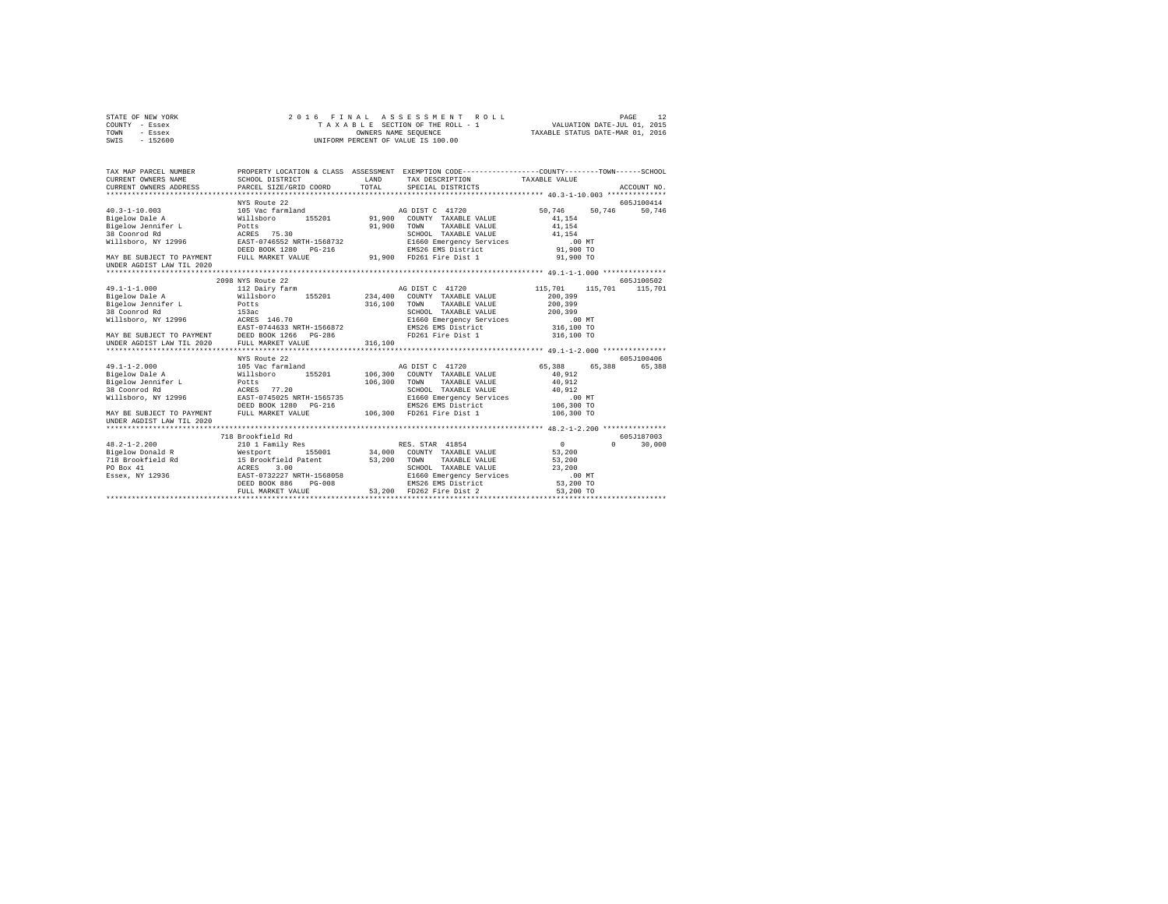| STATE OF NEW YORK<br>COUNTY - Essex                                                                                                                     | 2016 FINAL                                                                                  | ASSESSMENT<br>ROLL<br>TAXABLE SECTION OF THE ROLL - 1                                           | VALUATION DATE-JUL 01, 2015 | PAGE<br>12           |
|---------------------------------------------------------------------------------------------------------------------------------------------------------|---------------------------------------------------------------------------------------------|-------------------------------------------------------------------------------------------------|-----------------------------|----------------------|
| TOWN<br>- Essex                                                                                                                                         |                                                                                             | TAXABLE STATUS DATE-MAR 01, 2016                                                                |                             |                      |
| SWIS<br>$-152600$                                                                                                                                       |                                                                                             | UNIFORM PERCENT OF VALUE IS 100.00                                                              |                             |                      |
| TAX MAP PARCEL NUMBER                                                                                                                                   |                                                                                             | PROPERTY LOCATION & CLASS ASSESSMENT EXEMPTION CODE---------------COUNTY-------TOWN------SCHOOL |                             |                      |
| CURRENT OWNERS NAME                                                                                                                                     | SCHOOL DISTRICT                                                                             | LAND<br>TAX DESCRIPTION                                                                         | TAXABLE VALUE               |                      |
| CURRENT OWNERS ADDRESS                                                                                                                                  | PARCEL SIZE/GRID COORD                                                                      | TOTAL<br>SPECIAL DISTRICTS                                                                      |                             | ACCOUNT NO.          |
|                                                                                                                                                         |                                                                                             |                                                                                                 |                             |                      |
| $40.3 - 1 - 10.003$                                                                                                                                     | NYS Route 22<br>105 Vac farmland                                                            | AG DIST C 41720                                                                                 | 50,746<br>50.746            | 605J100414<br>50.746 |
| Bigelow Dale A                                                                                                                                          |                                                                                             | 91,900 COUNTY TAXABLE VALUE                                                                     | 41,154                      |                      |
| Bigelow Jennifer L                                                                                                                                      | Willsboro<br>Potts<br>ACRES 75.30<br>EAST-0746552 NRTH-1568732<br>EAST-0746552 NRTH-1568732 | 91,900<br>TOWN<br>TAXABLE VALUE                                                                 | 41.154                      |                      |
| 38 Coonrod Rd                                                                                                                                           |                                                                                             | SCHOOL TAXABLE VALUE                                                                            | 41.154                      |                      |
| Willsboro, NY 12996                                                                                                                                     |                                                                                             | E1660 Emergency Services                                                                        | $.00$ MT                    |                      |
|                                                                                                                                                         | DEED BOOK 1280 PG-216                                                                       | EMS26 EMS District                                                                              | 91,900 TO                   |                      |
| MAY BE SUBJECT TO PAYMENT FULL MARKET VALUE                                                                                                             |                                                                                             | 91,900 FD261 Fire Dist 1                                                                        | 91,900 TO                   |                      |
| UNDER AGDIST LAW TIL 2020                                                                                                                               |                                                                                             |                                                                                                 |                             |                      |
|                                                                                                                                                         |                                                                                             |                                                                                                 |                             |                      |
|                                                                                                                                                         | 2098 NYS Route 22                                                                           |                                                                                                 |                             | 605J100502           |
| $49.1 - 1 - 1.000$                                                                                                                                      | 112 Dairy farm                                                                              | AG DIST C 41720                                                                                 | 115,701<br>115,701          | 115,701              |
| Bigelow Dale A                                                                                                                                          | Willsboro 155201                                                                            | 234,400<br>COUNTY TAXABLE VALUE                                                                 | 200,399                     |                      |
| Bigelow Jennifer L                                                                                                                                      | Potts                                                                                       | 316,100<br>TOWN<br>TAXABLE VALUE                                                                | 200,399                     |                      |
| 38 Coonrod Rd                                                                                                                                           | 153ac                                                                                       | SCHOOL TAXABLE VALUE                                                                            | 200,399                     |                      |
|                                                                                                                                                         |                                                                                             | E1660 Emergency Services<br>EMS26 EMS District                                                  | $.00$ MT<br>316,100 TO      |                      |
|                                                                                                                                                         |                                                                                             | FD261 Fire Dist 1                                                                               | 316,100 TO                  |                      |
| WILLENDOW NY 12996<br>WAY BE SUBJECT TO PAYMENT<br>MAY BE SUBJECT TO PAYMENT<br>DEED BOOK 1266 PG-286<br>UNDER AGDIST LAN TIL 2020<br>PULL MARKET VALUE |                                                                                             | 316,100                                                                                         |                             |                      |
|                                                                                                                                                         | NYS Route 22                                                                                |                                                                                                 |                             | 605J100406           |
| $49.1 - 1 - 2.000$                                                                                                                                      | 105 Vac farmland                                                                            | AG DIST C 41720                                                                                 | 65,388<br>65,388            | 65,388               |
| Bigelow Dale A                                                                                                                                          | 155201<br>Willsboro                                                                         | 106,300<br>COUNTY TAXABLE VALUE                                                                 | 40,912                      |                      |
| Bigelow Jennifer L                                                                                                                                      | Potts                                                                                       | 106,300<br>TAXABLE VALUE<br>TOWN                                                                | 40,912                      |                      |
| 38 Coonrod Rd                                                                                                                                           |                                                                                             | SCHOOL TAXABLE VALUE                                                                            | 40.912                      |                      |
| Willsboro, NY 12996                                                                                                                                     | ACRES 77.20<br>EAST-0745025 NRTH-1565735                                                    | E1660 Emergency Services                                                                        | $.00$ MT                    |                      |
|                                                                                                                                                         | DEED BOOK 1280 PG-216                                                                       | EMS26 EMS District                                                                              | 106,300 TO                  |                      |
| MAY BE SUBJECT TO PAYMENT                                                                                                                               | FULL MARKET VALUE                                                                           | 106,300 FD261 Fire Dist 1                                                                       | 106,300 TO                  |                      |
| UNDER AGDIST LAW TIL 2020                                                                                                                               |                                                                                             |                                                                                                 |                             |                      |
|                                                                                                                                                         |                                                                                             |                                                                                                 |                             |                      |
|                                                                                                                                                         | 718 Brookfield Rd                                                                           |                                                                                                 |                             | 605J187003           |
| $48.2 - 1 - 2.200$                                                                                                                                      | 210 1 Family Res                                                                            | RES. STAR 41854                                                                                 | $\sim$ 0<br>$\Omega$        | 30,000               |
| Bigelow Donald R                                                                                                                                        | Westport 155001<br>15 Brookfield Patent<br>ACRES 3.00<br>EAST-0732227 NRTH-1568058          | 34,000<br>COUNTY TAXABLE VALUE                                                                  | 53,200                      |                      |
| 718 Brookfield Rd                                                                                                                                       |                                                                                             | 53,200<br>TAXABLE VALUE<br>TOWN                                                                 | 53,200                      |                      |
| PO Box 41                                                                                                                                               |                                                                                             | SCHOOL TAXABLE VALUE                                                                            | 23,200                      |                      |
| Essex, NY 12936                                                                                                                                         | DEED BOOK 886<br>$PG-008$                                                                   | E1660 Emergency Services<br>EMS26 EMS District                                                  | $.00$ MT                    |                      |
|                                                                                                                                                         | FULL MARKET VALUE                                                                           | 53,200<br>FD262 Fire Dist 2                                                                     | 53,200 TO                   |                      |
|                                                                                                                                                         |                                                                                             |                                                                                                 | 53,200 TO                   |                      |
|                                                                                                                                                         |                                                                                             |                                                                                                 |                             |                      |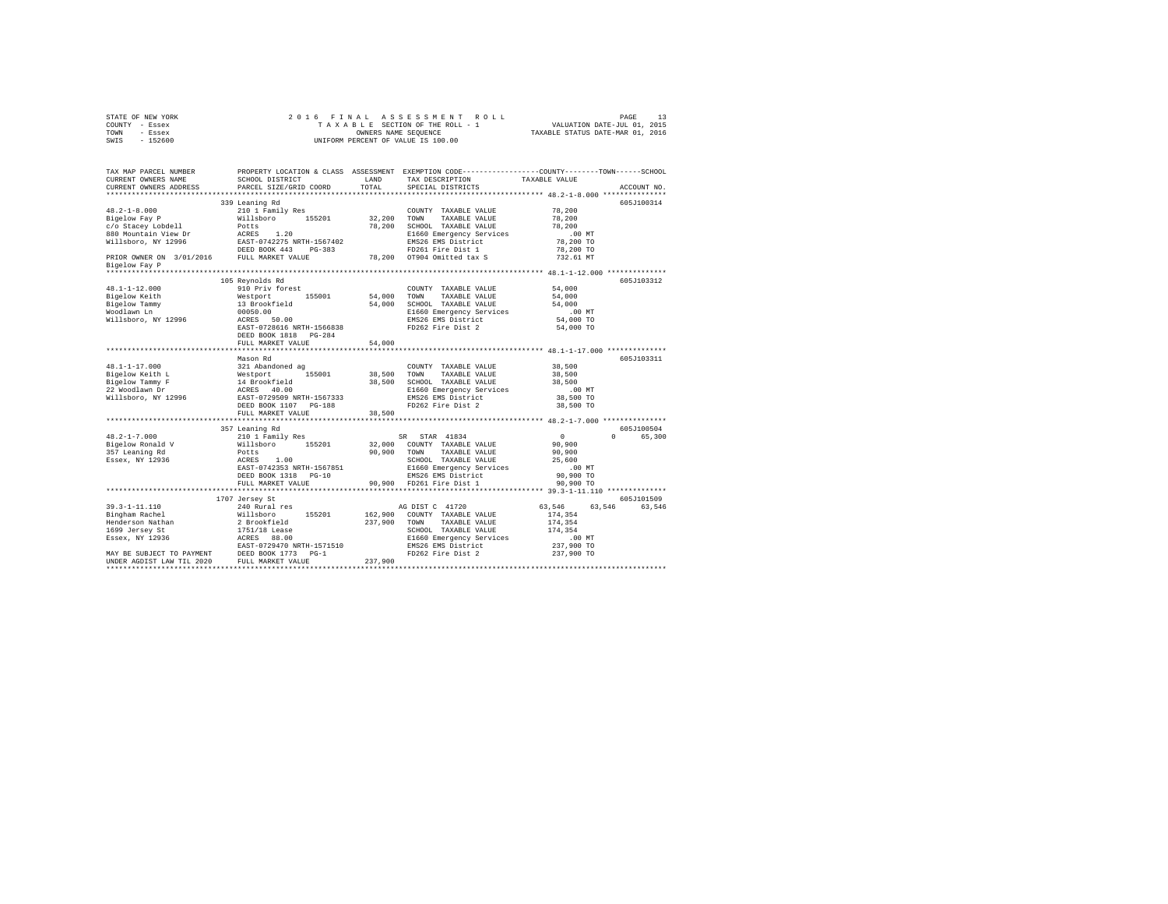|      | STATE OF NEW YORK |  | 2016 FINAL ASSESSMENT ROLL         | PAGE                             |  |
|------|-------------------|--|------------------------------------|----------------------------------|--|
|      | COUNTY - Essex    |  | TAXABLE SECTION OF THE ROLL - 1    | VALUATION DATE-JUL 01, 2015      |  |
| TOWN | - Essex           |  | OWNERS NAME SEOUENCE               | TAXABLE STATUS DATE-MAR 01, 2016 |  |
| SWIS | - 152600          |  | UNIFORM PERCENT OF VALUE IS 100.00 |                                  |  |

| TAX MAP PARCEL NUMBER<br>CURRENT OWNERS NAME<br>CURRENT OWNERS ADDRESS | SCHOOL DISTRICT<br>PARCEL SIZE/GRID COORD                           | LAND<br>TOTAL | TAX DESCRIPTION<br>SPECIAL DISTRICTS           | PROPERTY LOCATION & CLASS ASSESSMENT EXEMPTION CODE---------------COUNTY-------TOWN-----SCHOOL<br>TAXABLE VALUE<br>ACCOUNT NO. |  |
|------------------------------------------------------------------------|---------------------------------------------------------------------|---------------|------------------------------------------------|--------------------------------------------------------------------------------------------------------------------------------|--|
| ************************                                               |                                                                     |               |                                                |                                                                                                                                |  |
|                                                                        | 339 Leaning Rd                                                      |               |                                                | 605J100314                                                                                                                     |  |
| $48.2 - 1 - 8.000$                                                     | 210 1 Family Res                                                    |               | COUNTY TAXABLE VALUE                           | 78,200                                                                                                                         |  |
| Bigelow Fay P                                                          | Willsboro 155201                                                    | 32,200        | TOWN<br>TAXABLE VALUE                          | 78,200                                                                                                                         |  |
| c/o Stacey Lobdell                                                     |                                                                     |               | 78,200 SCHOOL TAXABLE VALUE                    | 78,200                                                                                                                         |  |
| 880 Mountain View Dr                                                   | Potts<br>ACRES 1.20                                                 |               | E1660 Emergency Services                       | $.00$ MT                                                                                                                       |  |
| Willsboro, NY 12996                                                    | EAST-0742275 NRTH-1567402                                           |               | EMS26 EMS District                             | 78,200 TO                                                                                                                      |  |
|                                                                        | DEED BOOK 443<br>PG-383                                             |               | FD261 Fire Dist 1                              | 78,200 TO                                                                                                                      |  |
| PRIOR OWNER ON 3/01/2016 FULL MARKET VALUE                             |                                                                     |               | 78,200 OT904 Omitted tax S                     | 732.61 MT                                                                                                                      |  |
| Bigelow Fay P                                                          |                                                                     |               |                                                |                                                                                                                                |  |
|                                                                        |                                                                     |               |                                                |                                                                                                                                |  |
|                                                                        | 105 Reynolds Rd                                                     |               |                                                | 605J103312                                                                                                                     |  |
| $48.1 - 1 - 12.000$                                                    | 910 Priv forest                                                     |               | COUNTY TAXABLE VALUE                           | 54,000                                                                                                                         |  |
| Bigelow Keith                                                          |                                                                     | 54,000        | TOWN<br>TAXABLE VALUE                          | 54,000                                                                                                                         |  |
| Bigelow Tammy                                                          | Westport 155001<br>13 Brookfield                                    | 54,000        | SCHOOL TAXABLE VALUE                           | 54,000                                                                                                                         |  |
| Woodlawn Ln                                                            | 00050.00                                                            |               | E1660 Emergency Services                       | .00 MT                                                                                                                         |  |
| Willsboro, NY 12996                                                    | ACRES 50.00                                                         |               | EMS26 EMS District                             | 54,000 TO                                                                                                                      |  |
|                                                                        | EAST-0728616 NRTH-1566838                                           |               | FD262 Fire Dist 2                              | 54,000 TO                                                                                                                      |  |
|                                                                        | DEED BOOK 1818 PG-284                                               |               |                                                |                                                                                                                                |  |
|                                                                        | FULL MARKET VALUE                                                   | 54,000        |                                                |                                                                                                                                |  |
|                                                                        |                                                                     |               |                                                |                                                                                                                                |  |
|                                                                        | Mason Rd                                                            |               |                                                | 605J103311                                                                                                                     |  |
| $48.1 - 1 - 17.000$                                                    | 321 Abandoned ag                                                    |               | COUNTY TAXABLE VALUE                           | 38,500                                                                                                                         |  |
| Bigelow Keith L                                                        |                                                                     | 38,500        | TOWN<br>TAXABLE VALUE                          | 38,500                                                                                                                         |  |
| Bigelow Tammy F                                                        |                                                                     |               | 38,500 SCHOOL TAXABLE VALUE                    | 38,500                                                                                                                         |  |
| 22 Woodlawn Dr                                                         |                                                                     |               | E1660 Emergency Services<br>EMS26 EMS District | $.00$ MT<br>38,500 TO                                                                                                          |  |
| Willsboro, NY 12996                                                    | DEED BOOK 1107 PG-188                                               |               | FD262 Fire Dist 2                              | 38,500 TO                                                                                                                      |  |
|                                                                        | FULL MARKET VALUE                                                   | 38,500        |                                                |                                                                                                                                |  |
|                                                                        |                                                                     |               |                                                |                                                                                                                                |  |
|                                                                        | 357 Leaning Rd                                                      |               |                                                | 605J100504                                                                                                                     |  |
| $48.2 - 1 - 7.000$                                                     | 210 1 Family Res                                                    |               | SR STAR 41834                                  | $\sim$ 0<br>$\Omega$<br>65,300                                                                                                 |  |
| Bigelow Ronald V                                                       | Willsboro 155201                                                    | 32,000        | COUNTY TAXABLE VALUE                           | 90,900                                                                                                                         |  |
| 357 Leaning Rd                                                         | Potts                                                               | 90,900        | TAXABLE VALUE<br>TOWN                          | 90,900                                                                                                                         |  |
| Essex, NY 12936                                                        | ACRES<br>1.00                                                       |               | SCHOOL TAXABLE VALUE                           | 25,600                                                                                                                         |  |
|                                                                        | EAST-0742353 NRTH-1567851                                           |               | E1660 Emergency Services                       | $.00$ MT                                                                                                                       |  |
|                                                                        | DEED BOOK 1318 PG-10                                                |               |                                                | 90,900 TO                                                                                                                      |  |
|                                                                        | FULL MARKET VALUE                                                   |               | EMS26 EMS District<br>90,900 FD261 Fire Dist 1 | 90,900 TO                                                                                                                      |  |
|                                                                        | ***************************                                         |               |                                                |                                                                                                                                |  |
|                                                                        | 1707 Jersey St                                                      |               |                                                | 605J101509                                                                                                                     |  |
| $39.3 - 1 - 11.110$                                                    | 240 Rural res                                                       |               | AG DIST C 41720                                | 63,546<br>63.546<br>63,546                                                                                                     |  |
| Bingham Rachel                                                         | 155201<br>Willsboro<br>2 Brookfield<br>1751/18 Lease<br>ACRES 88.00 | 162,900       | COUNTY TAXABLE VALUE                           | 174,354                                                                                                                        |  |
| Henderson Nathan                                                       |                                                                     | 237,900       | TOWN TAXABLE VALUE                             | 174,354                                                                                                                        |  |
| 1699 Jersey St                                                         |                                                                     |               | SCHOOL TAXABLE VALUE                           | 174,354                                                                                                                        |  |
| Essex, NY 12936                                                        |                                                                     |               | E1660 Emergency Services                       | $.00$ MT                                                                                                                       |  |
|                                                                        | EAST-0729470 NRTH-1571510                                           |               | EMS26 EMS District                             | 237,900 TO                                                                                                                     |  |
| MAY BE SUBJECT TO PAYMENT                                              | DEED BOOK 1773 PG-1<br>FULL MARKET VALUE                            |               | FD262 Fire Dist 2                              | 237,900 TO                                                                                                                     |  |
| UNDER AGDIST LAW TIL 2020                                              |                                                                     | 237,900       |                                                |                                                                                                                                |  |
|                                                                        |                                                                     |               |                                                |                                                                                                                                |  |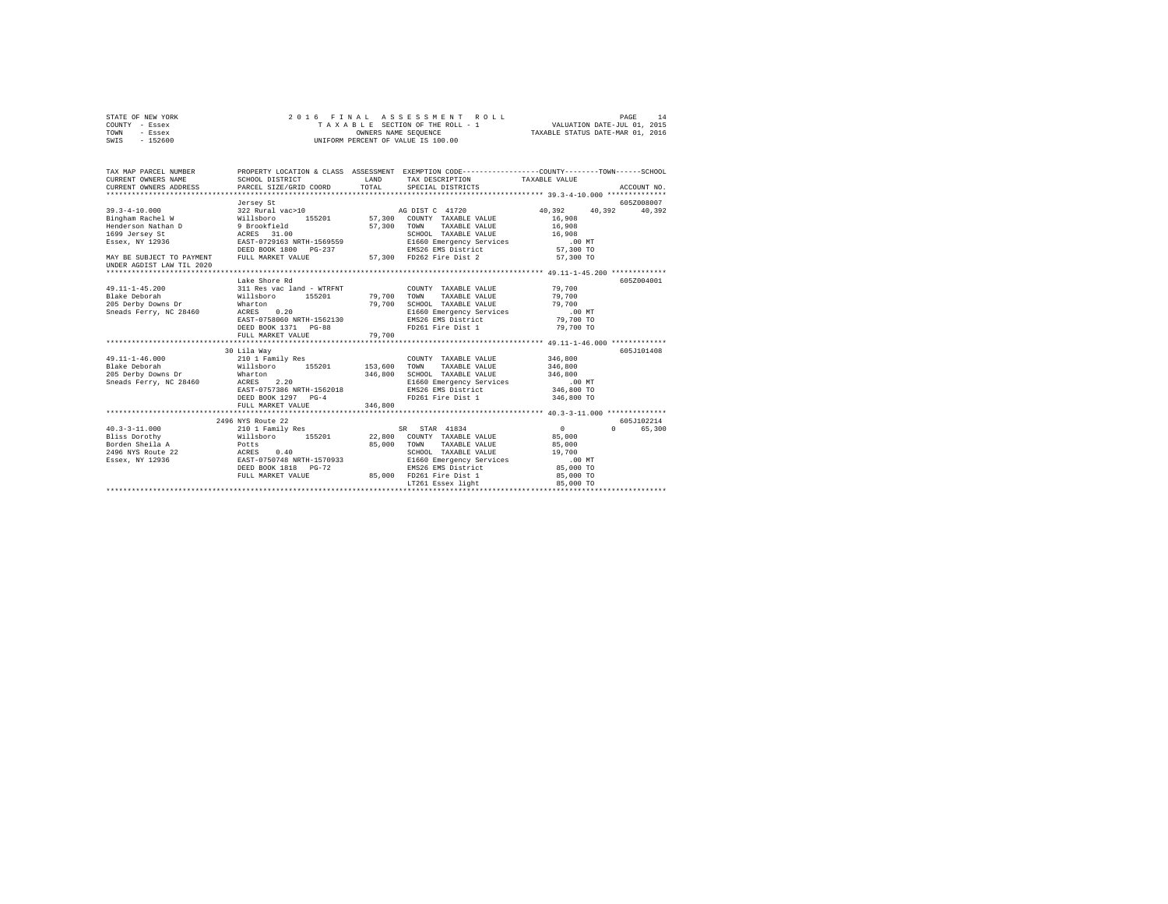| STATE OF NEW YORK<br>COUNTY - Essex | 2016 FINAL ASSESSMENT R<br>TAXABLE SECTION OF THE ROLL - 1<br>ONNERS NAME SEQUENCE<br>UNIFORM PERCENT OF VALUE IS 100.00 |                   |               |             |
|-------------------------------------|--------------------------------------------------------------------------------------------------------------------------|-------------------|---------------|-------------|
| TOWN - Essex                        |                                                                                                                          |                   |               |             |
| SWIS - 152600                       |                                                                                                                          |                   |               |             |
|                                     |                                                                                                                          |                   |               |             |
|                                     |                                                                                                                          |                   |               |             |
| CURRENT OWNERS ADDRESS              | PARCEL SIZE/GRID COORD TOTAL SPECIAL DISTRICTS                                                                           |                   | TAXABLE VALUE |             |
|                                     |                                                                                                                          |                   |               | ACCOUNT NO. |
|                                     |                                                                                                                          |                   |               |             |
|                                     |                                                                                                                          |                   |               |             |
|                                     |                                                                                                                          |                   |               |             |
|                                     |                                                                                                                          |                   |               |             |
|                                     |                                                                                                                          |                   |               |             |
|                                     |                                                                                                                          |                   |               |             |
|                                     |                                                                                                                          |                   |               |             |
|                                     |                                                                                                                          |                   |               |             |
| UNDER AGDIST LAW TIL 2020           |                                                                                                                          |                   |               |             |
|                                     |                                                                                                                          |                   |               |             |
|                                     | Lake Shore Rd                                                                                                            |                   |               | 605Z004001  |
|                                     |                                                                                                                          |                   |               |             |
|                                     |                                                                                                                          |                   |               |             |
|                                     |                                                                                                                          |                   |               |             |
|                                     |                                                                                                                          |                   |               |             |
|                                     |                                                                                                                          |                   |               |             |
|                                     | DEED BOOK 1371 PG-88<br>FULL MARKET VALUE 79.700                                                                         | FD261 Fire Dist 1 | 79,700 TO     |             |
|                                     |                                                                                                                          |                   |               |             |
|                                     | 30 Lila Wav                                                                                                              |                   |               | 605J101408  |
|                                     |                                                                                                                          |                   |               |             |
|                                     |                                                                                                                          |                   |               |             |
|                                     |                                                                                                                          |                   |               |             |
|                                     |                                                                                                                          |                   |               |             |
|                                     |                                                                                                                          |                   |               |             |
|                                     | DEED BOOK 1297 PG-4                                                                                                      | FD261 Fire Dist 1 | 346,800 TO    |             |
|                                     | FULL MARKET VALUE 346,800                                                                                                |                   |               |             |
|                                     |                                                                                                                          |                   |               |             |
|                                     | 2496 NYS Route 22                                                                                                        |                   |               | 605J102214  |
|                                     |                                                                                                                          |                   |               | 0 65,300    |
|                                     |                                                                                                                          |                   |               |             |
|                                     |                                                                                                                          |                   |               |             |
|                                     |                                                                                                                          |                   |               |             |
|                                     |                                                                                                                          |                   |               |             |
|                                     |                                                                                                                          |                   |               |             |
|                                     |                                                                                                                          | LT261 Essex light | 85,000 TO     |             |
|                                     |                                                                                                                          |                   |               |             |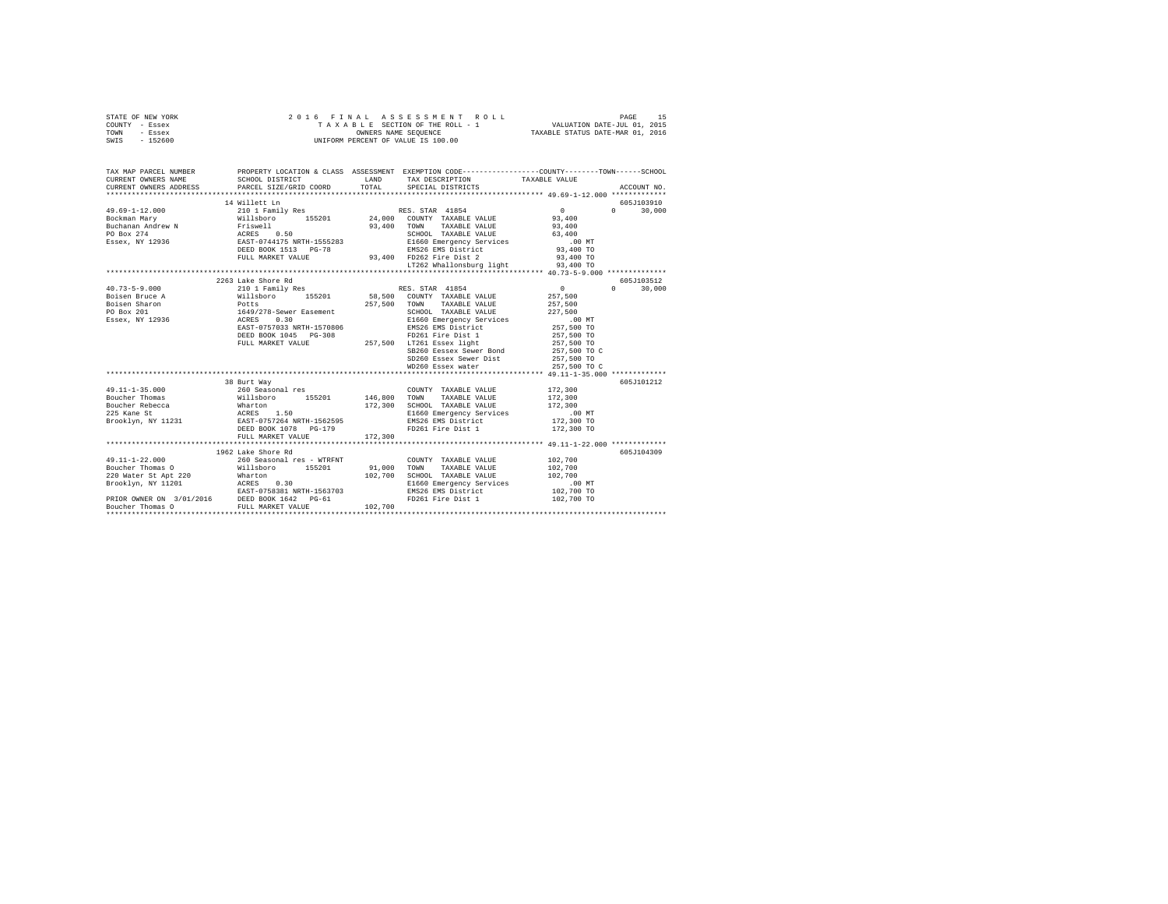| STATE OF NEW YORK<br>COUNTY - Essex<br>TOWN - Essex<br>SWIS - 152600                                                                                                                                                                                                                                                                                                                  | 2016 FINAL                                                                                                                              |              | ASSESSMENT ROLL<br>UNIFORM PERCENT OF VALUE IS 100.00 |                     | PAGE<br>15                       |
|---------------------------------------------------------------------------------------------------------------------------------------------------------------------------------------------------------------------------------------------------------------------------------------------------------------------------------------------------------------------------------------|-----------------------------------------------------------------------------------------------------------------------------------------|--------------|-------------------------------------------------------|---------------------|----------------------------------|
| CURRENT OWNERS NAME                                                                                                                                                                                                                                                                                                                                                                   | TAX MAP PARCEL NUMBER PROPERTY LOCATION & CLASS ASSESSMENT EXEMPTION CODE--------------COUNTY-------TOWN------SCHOOL<br>SCHOOL DISTRICT | LAND         | TAX DESCRIPTION                                       | TAXABLE VALUE       |                                  |
| CURRENT OWNERS ADDRESS                                                                                                                                                                                                                                                                                                                                                                | PARCEL SIZE/GRID COORD                                                                                                                  | TOTAL        | SPECIAL DISTRICTS                                     |                     | ACCOUNT NO.                      |
|                                                                                                                                                                                                                                                                                                                                                                                       |                                                                                                                                         |              |                                                       |                     |                                  |
| 49.69-1-12.000                                                                                                                                                                                                                                                                                                                                                                        | 14 Willett Ln<br>210 1 Family Res                                                                                                       |              | RES. STAR 41854                                       | $\sim$ 0            | 605J103910<br>$\Omega$<br>30,000 |
| $\begin{tabular}{l c c c c c c} \hline 49.69-1 & 14.7000 & 15.7000 & 15.7000 & 15.7000 & 15.7000 & 15.7000 & 15.7000 & 15.7000 & 15.7000 & 15.7000 & 15.7000 & 15.7000 & 15.7000 & 15.7000 & 15.7000 & 15.7000 & 15.7000 & 15.7000 & 15.7000 & 15.7000 & 15.7000$                                                                                                                     |                                                                                                                                         |              |                                                       | 93,400              |                                  |
|                                                                                                                                                                                                                                                                                                                                                                                       |                                                                                                                                         |              |                                                       | 93,400              |                                  |
|                                                                                                                                                                                                                                                                                                                                                                                       |                                                                                                                                         |              |                                                       | 63,400              |                                  |
|                                                                                                                                                                                                                                                                                                                                                                                       |                                                                                                                                         |              |                                                       | $.00$ MT            |                                  |
|                                                                                                                                                                                                                                                                                                                                                                                       |                                                                                                                                         |              |                                                       | 93,400 TO           |                                  |
|                                                                                                                                                                                                                                                                                                                                                                                       | FULL MARKET VALUE                                                                                                                       |              | EMS26 EMS District<br>93,400 FD262 Fire Dist 2        | 93,400 TO           |                                  |
|                                                                                                                                                                                                                                                                                                                                                                                       |                                                                                                                                         |              | LT262 Whallonsburg light                              | 93,400 TO           |                                  |
|                                                                                                                                                                                                                                                                                                                                                                                       |                                                                                                                                         |              |                                                       |                     |                                  |
|                                                                                                                                                                                                                                                                                                                                                                                       | 2263 Lake Shore Rd                                                                                                                      |              |                                                       |                     | 605J103512                       |
| $40.73 - 5 - 9.000$                                                                                                                                                                                                                                                                                                                                                                   | 210 1 Family Res                                                                                                                        |              | RES. STAR 41854                                       | $0 \qquad \qquad$   | $\Omega$<br>30,000               |
| Boisen Bruce A                                                                                                                                                                                                                                                                                                                                                                        |                                                                                                                                         |              | 58,500 COUNTY TAXABLE VALUE                           | 257,500             |                                  |
| Boisen Sharon                                                                                                                                                                                                                                                                                                                                                                         |                                                                                                                                         |              | 257,500 TOWN TAXABLE VALUE                            | 257,500             |                                  |
| PO Box 201                                                                                                                                                                                                                                                                                                                                                                            |                                                                                                                                         |              | SCHOOL TAXABLE VALUE                                  | 227,500<br>$.00$ MT |                                  |
| Essex, NY 12936                                                                                                                                                                                                                                                                                                                                                                       | EAST-0757033 NRTH-1570806                                                                                                               |              | E1660 Emergency Services<br>EMS26 EMS District        | 257,500 TO          |                                  |
|                                                                                                                                                                                                                                                                                                                                                                                       | DEED BOOK 1045 PG-308                                                                                                                   |              |                                                       | 257,500 TO          |                                  |
|                                                                                                                                                                                                                                                                                                                                                                                       | FULL MARKET VALUE                                                                                                                       |              | FD261 Fire Dist 1<br>257,500 LT261 Essex light        | 257,500 TO          |                                  |
|                                                                                                                                                                                                                                                                                                                                                                                       |                                                                                                                                         |              | SB260 Eessex Sewer Bond                               | 257,500 TO C        |                                  |
|                                                                                                                                                                                                                                                                                                                                                                                       |                                                                                                                                         |              | SD260 Essex Sewer Dist                                | 257,500 TO          |                                  |
|                                                                                                                                                                                                                                                                                                                                                                                       |                                                                                                                                         |              | WD260 Essex water                                     | 257,500 TO C        |                                  |
|                                                                                                                                                                                                                                                                                                                                                                                       |                                                                                                                                         |              |                                                       |                     |                                  |
|                                                                                                                                                                                                                                                                                                                                                                                       | 38 Burt Way                                                                                                                             |              |                                                       |                     | 605J101212                       |
| $49.11 - 1 - 35.000$                                                                                                                                                                                                                                                                                                                                                                  | 260 Seasonal res                                                                                                                        |              | COUNTY TAXABLE VALUE                                  | 172,300             |                                  |
| Boucher Thomas                                                                                                                                                                                                                                                                                                                                                                        | Willsboro 155201                                                                                                                        | 146,800 TOWN | TAXABLE VALUE                                         | 172,300             |                                  |
| Boucher Rebecca<br>225 Kane St                                                                                                                                                                                                                                                                                                                                                        | wharton<br>Wharton<br>ACRES 1.50<br>EAST-0757264 NRTH-1562595                                                                           | 172,300      | SCHOOL TAXABLE VALUE                                  | 172,300             |                                  |
|                                                                                                                                                                                                                                                                                                                                                                                       |                                                                                                                                         |              | E1660 Emergency Services                              | $.00$ MT            |                                  |
| Brooklyn, NY 11231                                                                                                                                                                                                                                                                                                                                                                    |                                                                                                                                         |              | EMS26 EMS District                                    | 172,300 TO          |                                  |
|                                                                                                                                                                                                                                                                                                                                                                                       | DEED BOOK 1078 PG-179<br>FULL MARKET VALUE                                                                                              | 172,300      | FD261 Fire Dist 1                                     | 172,300 TO          |                                  |
|                                                                                                                                                                                                                                                                                                                                                                                       |                                                                                                                                         |              |                                                       |                     |                                  |
|                                                                                                                                                                                                                                                                                                                                                                                       | 1962 Lake Shore Rd                                                                                                                      |              |                                                       |                     | 605J104309                       |
| $49.11 - 1 - 22.000$                                                                                                                                                                                                                                                                                                                                                                  |                                                                                                                                         |              | COUNTY TAXABLE VALUE                                  | 102,700             |                                  |
| Boucher Thomas O                                                                                                                                                                                                                                                                                                                                                                      | 260 Seasonal res - WTRFNT<br>Willsboro 155201                                                                                           | 91,000       | TOWN<br>TAXABLE VALUE                                 | 102,700             |                                  |
| $\begin{tabular}{lllllllllll} \hline Bourcir\mbox{ Tnonimes $v$} & \mbox{m--} & \mbox{m--} & \mbox{m--} & \mbox{m--} & \mbox{m--} & \mbox{m--} & \mbox{m--} & \mbox{m--} & \mbox{m--} & \mbox{m--} & \mbox{m--} & \mbox{m--} & \mbox{m--} & \mbox{m--} & \mbox{m--} & \mbox{m--} & \mbox{m--} & \mbox{m--} & \mbox{m--} & \mbox{m--} & \mbox{m--} & \mbox{m--} & \mbox{m--} & \mbox{$ |                                                                                                                                         |              | 102.700 SCHOOL TAXABLE VALUE                          | 102,700             |                                  |
|                                                                                                                                                                                                                                                                                                                                                                                       |                                                                                                                                         |              | E1660 Emergency Services                              | .00 MT              |                                  |
|                                                                                                                                                                                                                                                                                                                                                                                       | EAST-0758381 NRTH-1563703                                                                                                               |              | EMS26 EMS District                                    | 102,700 TO          |                                  |
|                                                                                                                                                                                                                                                                                                                                                                                       |                                                                                                                                         |              | FD261 Fire Dist 1                                     | 102,700 TO          |                                  |
|                                                                                                                                                                                                                                                                                                                                                                                       |                                                                                                                                         | 102,700      |                                                       |                     |                                  |
| *********************                                                                                                                                                                                                                                                                                                                                                                 |                                                                                                                                         |              |                                                       |                     |                                  |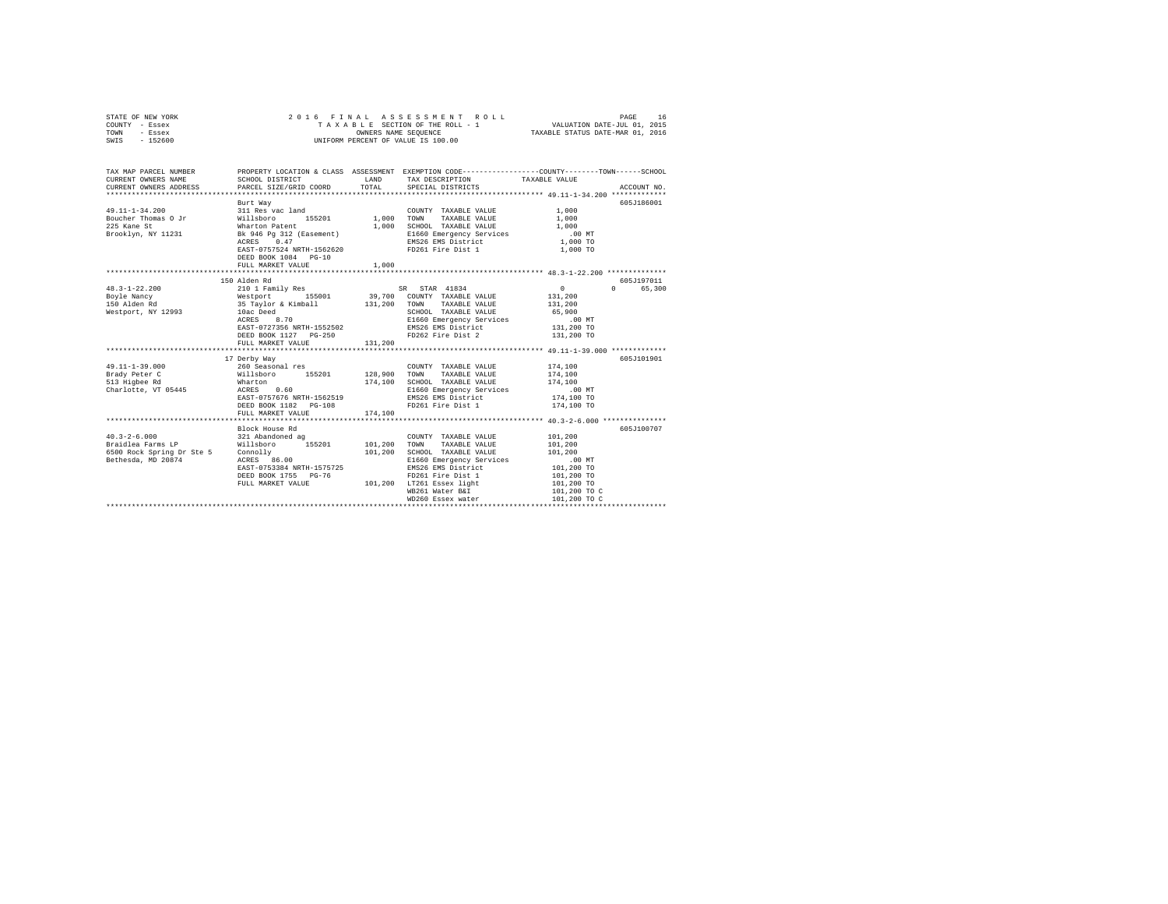| STATE OF NEW YORK<br>COUNTY - Essex<br>TOWN<br>- Essex<br>SWIS - 152600 | 2016 FINAL                                                                                     |                     | ASSESSMENT ROLL<br>T A X A B L E SECTION OF THE ROLL - 1<br>OWNERS NAME SEQUENCE<br>UNIFORM PERCENT OF VALUE IS 100.00                       | VALUATION DATE-JUL 01, 2015<br>TAXABLE STATUS DATE-MAR 01, 2016 | PAGE<br>16  |
|-------------------------------------------------------------------------|------------------------------------------------------------------------------------------------|---------------------|----------------------------------------------------------------------------------------------------------------------------------------------|-----------------------------------------------------------------|-------------|
| TAX MAP PARCEL NUMBER<br>CURRENT OWNERS NAME<br>CURRENT OWNERS ADDRESS  | SCHOOL DISTRICT<br>PARCEL SIZE/GRID COORD                                                      | TOTAL               | PROPERTY LOCATION & CLASS ASSESSMENT EXEMPTION CODE---------------COUNTY-------TOWN------SCHOOL<br>LAND TAX DESCRIPTION<br>SPECIAL DISTRICTS | TAXABLE VALUE                                                   | ACCOUNT NO. |
|                                                                         | Burt Way                                                                                       |                     |                                                                                                                                              |                                                                 | 605J186001  |
| $49.11 - 1 - 34.200$                                                    | 311 Res vac land                                                                               | COUNT<br>1,000 TOWN | COUNTY TAXABLE VALUE                                                                                                                         | $1\,,000$                                                       |             |
| Boucher Thomas O Jr                                                     | 311 Res vac land<br>Willsboro - 155201<br>Wharton Patent<br>Bk 946 Pg 312 (Easement)           |                     | TAXABLE VALUE                                                                                                                                | 1,000                                                           |             |
| 225 Kane St                                                             |                                                                                                | 1,000               | SCHOOL TAXABLE VALUE                                                                                                                         | 1,000                                                           |             |
| Brooklyn, NY 11231                                                      |                                                                                                |                     | E1660 Emergency Services                                                                                                                     | $.00$ MT                                                        |             |
|                                                                         | ACRES 0.47                                                                                     |                     | EMS26 EMS District                                                                                                                           | 1,000 TO                                                        |             |
|                                                                         | EAST-0757524 NRTH-1562620<br>DEED BOOK 1084 PG-10                                              |                     | FD261 Fire Dist 1                                                                                                                            | 1,000 TO                                                        |             |
|                                                                         | FULL MARKET VALUE                                                                              | 1,000               |                                                                                                                                              |                                                                 |             |
|                                                                         |                                                                                                |                     |                                                                                                                                              |                                                                 |             |
|                                                                         | 150 Alden Rd                                                                                   |                     |                                                                                                                                              |                                                                 | 605J197011  |
| $48.3 - 1 - 22.200$                                                     | 210 1 Family Res                                                                               |                     | SR STAR 41834                                                                                                                                | $\sim$ 0                                                        | 0 65,300    |
| Boyle Nancy                                                             | Westport 155001 199,700 COUNTY TAXABLE VALUE<br>35 Taylor & Kimball 131,200 TOWN TAXABLE VALUE |                     |                                                                                                                                              | 131,200                                                         |             |
| 150 Alden Rd                                                            |                                                                                                |                     |                                                                                                                                              | 131,200                                                         |             |
| Westport, NY 12993                                                      | 10ac Deed                                                                                      |                     | SCHOOL TAXABLE VALUE                                                                                                                         | 65,900                                                          |             |
|                                                                         |                                                                                                |                     | E1660 Emergency Services                                                                                                                     | .00 MT                                                          |             |
|                                                                         | EAST-0727356 NRTH-1552502                                                                      |                     | EMS26 EMS District<br>FD262 Fire Dist 2                                                                                                      | 131,200 TO                                                      |             |
|                                                                         | DEED BOOK 1127 PG-250<br>FULL MARKET VALUE                                                     | 131,200             |                                                                                                                                              | 131,200 TO                                                      |             |
|                                                                         |                                                                                                |                     |                                                                                                                                              |                                                                 |             |
|                                                                         | 17 Derby Way                                                                                   |                     |                                                                                                                                              |                                                                 | 605J101901  |
| $49.11 - 1 - 39.000$                                                    |                                                                                                |                     | COUNTY TAXABLE VALUE                                                                                                                         | 174,100                                                         |             |
| Brady Peter C                                                           | 260 Seasonal res<br>Willsboro 155201                                                           | 128,900 TOWN        | TAXABLE VALUE                                                                                                                                | 174,100                                                         |             |
| 513 Higbee Rd                                                           | Wharton                                                                                        | 174,100             | SCHOOL TAXABLE VALUE                                                                                                                         | 174,100                                                         |             |
| Charlotte, VT 05445                                                     | ACRES 0.60                                                                                     |                     | E1660 Emergency Services                                                                                                                     | $.00$ MT                                                        |             |
|                                                                         | EAST-0757676 NRTH-1562519                                                                      |                     | EMS26 EMS District                                                                                                                           | 174,100 TO                                                      |             |
|                                                                         | DEED BOOK 1182 PG-108                                                                          |                     | FD261 Fire Dist 1                                                                                                                            | 174,100 TO                                                      |             |
|                                                                         | FULL MARKET VALUE                                                                              | 174,100             |                                                                                                                                              |                                                                 |             |
|                                                                         |                                                                                                |                     |                                                                                                                                              |                                                                 |             |
|                                                                         | Block House Rd                                                                                 |                     |                                                                                                                                              |                                                                 | 605J100707  |
| $40.3 - 2 - 6.000$                                                      | 321 Abandoned ag                                                                               |                     | COUNTY TAXABLE VALUE                                                                                                                         | 101,200                                                         |             |
|                                                                         |                                                                                                | 101,200             | TOWN<br>TAXABLE VALUE                                                                                                                        | 101,200                                                         |             |
|                                                                         |                                                                                                | 101,200             | SCHOOL TAXABLE VALUE                                                                                                                         | 101,200                                                         |             |
|                                                                         |                                                                                                |                     | E1660 Emergency Services                                                                                                                     | .00 MT                                                          |             |
|                                                                         | EAST-0753384 NRTH-1575725                                                                      |                     | EMS26 EMS District                                                                                                                           | 101,200 TO                                                      |             |
|                                                                         | DEED BOOK 1755 PG-76                                                                           |                     | FD261 Fire Dist 1                                                                                                                            | 101,200 TO                                                      |             |
|                                                                         | FULL MARKET VALUE                                                                              |                     | 101,200 LT261 Essex light                                                                                                                    | 101,200 TO                                                      |             |
|                                                                         |                                                                                                |                     | WB261 Water B&I                                                                                                                              | 101,200 TO C                                                    |             |
|                                                                         |                                                                                                |                     | WD260 Essex water                                                                                                                            | 101,200 TO C                                                    |             |
|                                                                         |                                                                                                |                     |                                                                                                                                              |                                                                 |             |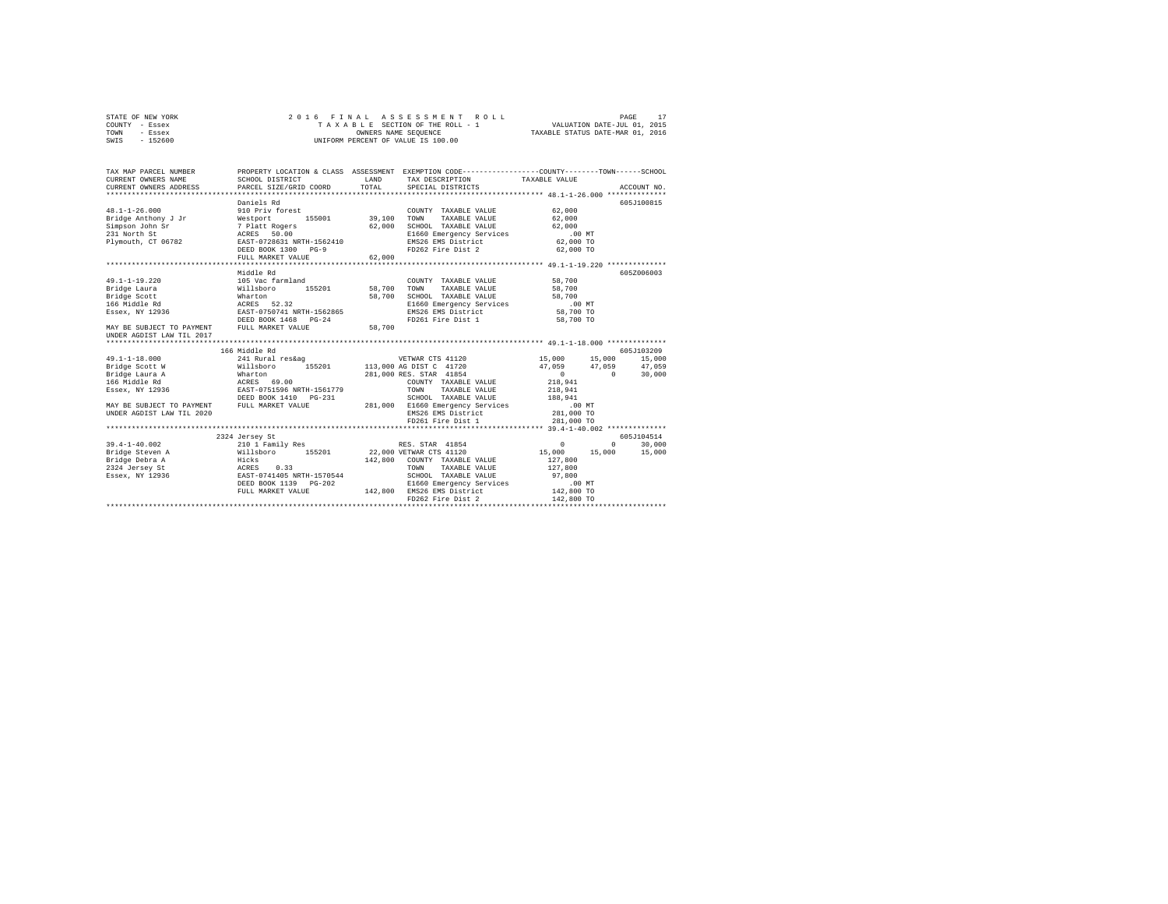| STATE OF NEW YORK | 2016 FINAL ASSESSMENT ROLL         | PAGE                             |
|-------------------|------------------------------------|----------------------------------|
| COUNTY - Essex    | TAXABLE SECTION OF THE ROLL - 1    | VALUATION DATE-JUL 01, 2015      |
| TOWN<br>- Essex   | OWNERS NAME SEOUENCE               | TAXABLE STATUS DATE-MAR 01, 2016 |
| $-152600$<br>SWIS | UNIFORM PERCENT OF VALUE IS 100.00 |                                  |

| TAX MAP PARCEL NUMBER<br>CURRENT OWNERS NAME<br>CURRENT OWNERS ADDRESS                                                                                              | SCHOOL DISTRICT<br>PARCEL SIZE/GRID COORD                                                                                                                                                                                                                                             | LAND<br>TOTAL    | PROPERTY LOCATION & CLASS ASSESSMENT EXEMPTION CODE---------------COUNTY-------TOWN-----SCHOOL<br>TAX DESCRIPTION TAXABLE VALUE<br>SPECIAL DISTRICTS                                 |                                                                                                                      | ACCOUNT NO.                               |
|---------------------------------------------------------------------------------------------------------------------------------------------------------------------|---------------------------------------------------------------------------------------------------------------------------------------------------------------------------------------------------------------------------------------------------------------------------------------|------------------|--------------------------------------------------------------------------------------------------------------------------------------------------------------------------------------|----------------------------------------------------------------------------------------------------------------------|-------------------------------------------|
| $48.1 - 1 - 26.000$                                                                                                                                                 | Daniels Rd<br>910 Priv forest<br>Bridge Anthony J Jr Mestport 155001 39,100 TOWN<br>DEED BOOK 1300 PG-9<br>FULL MARKET VALUE                                                                                                                                                          | 62,000           | COUNTY TAXABLE VALUE<br>TAXABLE VALUE 62,000<br>SCHOOL TAXABLE VALUE 62,000<br>E1660 Emergency Services .00 MT<br>EMS26 EMS District 62,000 TO<br>FD262 Fire Dist 2 62,000 TO        | 62,000                                                                                                               | 605J100815                                |
| $49.1 - 1 - 19.220$<br>Bridge Laura<br>Bridge Scott<br>166 Middle Rd<br>Essex, NY 12936<br>MAY BE SUBJECT TO PAYMENT FULL MARKET VALUE<br>UNDER AGDIST LAW TIL 2017 | Middle Rd<br>105 Vac farmland<br>Willsboro<br>155201 58,700 TOWN<br>Wharton<br>ACRES 52.32<br>EAST-0750741 NRTH-1562865<br>DEED BOOK 1468 PG-24                                                                                                                                       | 58,700<br>58,700 | COUNTY TAXABLE VALUE<br>TAXABLE VALUE<br>SCHOOL TAXABLE VALUE 58,700<br>E1660 Emergency Services .00 MT<br>EMS26 EMS District 58,700 TO<br>FD261 Fire Dist 1                         | 58,700<br>58,700<br>58,700 TO                                                                                        | 605Z006003                                |
| MAY BE SUBJECT TO PAYMENT FULL MARKET VALUE<br>UNDER AGDIST LAW TIL 2020                                                                                            | 166 Middle Rd<br>DEED BOOK 1410 PG-231                                                                                                                                                                                                                                                |                  | 281,000 RES. STAR 41854<br>COUNTY TAXABLE VALUE<br>TOWN TAXABLE VALUE<br>SCHOOL TAXABLE VALUE 188,941<br>281,000 E1660 Emergency Services<br>EMS26 EMS District<br>FD261 Fire Dist 1 | 15,000 15,000 15,000<br>47,059 47,059 47,059<br>$\sim$ 0<br>218,941<br>218,941<br>00 MT.<br>281,000 TO<br>281,000 TO | 605J103209<br>$0 \t 30,000$               |
| $39.4 - 1 - 40.002$                                                                                                                                                 | 2324 Jersey St<br>Bridge Steven A $\texttt{W11sboro}$ 155201 22,000 VETWAR CTS 41120<br>224 Jersey A Hicks 112,800 COUNTY TAXABLE VALUE<br>2324 Jersey St ACRES 0.33 TOWN TAXABLE VALUE<br>2324 Jersey St ACRES 0.33 TOWN TAXABLE VALUE<br>DEED BOOK 1139 PG-202<br>FULL MARKET VALUE |                  | SCHOOL TAXABLE VALUE 97,800<br>3-202 E1660 Emergency Services<br>142,800 EMS26 EMS District<br>FD262 Fire Dist 2                                                                     | 15,000 15,000 15,000<br>127,800<br>127,800<br>$.00$ MT<br>142,800 TO<br>142,800 TO                                   | 605J104514<br>$0 \qquad \qquad$<br>30,000 |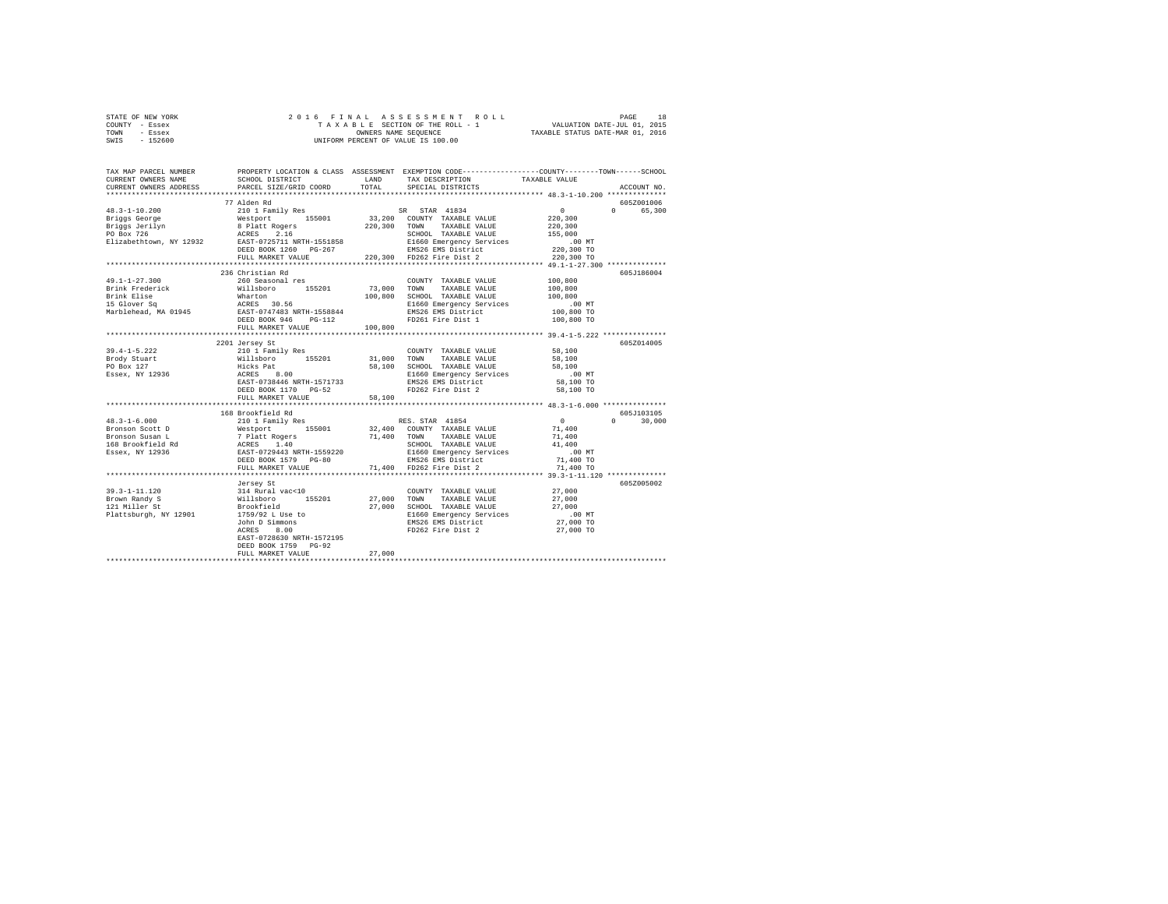|      | STATE OF NEW YORK |  | 2016 FINAL ASSESSMENT ROLL         |                                  | PAGE | 18 |
|------|-------------------|--|------------------------------------|----------------------------------|------|----|
|      | COUNTY - Essex    |  | TAXABLE SECTION OF THE ROLL - 1    | VALUATION DATE-JUL 01, 2015      |      |    |
| TOWN | - Essex           |  | OWNERS NAME SEOUENCE               | TAXABLE STATUS DATE-MAR 01, 2016 |      |    |
| SWIS | $-152600$         |  | UNIFORM PERCENT OF VALUE IS 100.00 |                                  |      |    |

| TAX MAP PARCEL NUMBER<br>CURRENT OWNERS NAME<br>CURRENT OWNERS ADDRESS                                                                                                                                                                                                                                                                                                                                                                                                                            | SCHOOL DISTRICT<br>PARCEL SIZE/GRID COORD | TOTAL  | PROPERTY LOCATION & CLASS ASSESSMENT EXEMPTION CODE---------------COUNTY-------TOWN-----SCHOOL<br>LAND TAX DESCRIPTION<br>SPECIAL DISTRICTS                                                                                                                                                                                                                | TAXABLE VALUE        | ACCOUNT NO.                 |
|---------------------------------------------------------------------------------------------------------------------------------------------------------------------------------------------------------------------------------------------------------------------------------------------------------------------------------------------------------------------------------------------------------------------------------------------------------------------------------------------------|-------------------------------------------|--------|------------------------------------------------------------------------------------------------------------------------------------------------------------------------------------------------------------------------------------------------------------------------------------------------------------------------------------------------------------|----------------------|-----------------------------|
|                                                                                                                                                                                                                                                                                                                                                                                                                                                                                                   |                                           |        |                                                                                                                                                                                                                                                                                                                                                            |                      |                             |
|                                                                                                                                                                                                                                                                                                                                                                                                                                                                                                   | 77 Alden Rd                               |        |                                                                                                                                                                                                                                                                                                                                                            |                      | 605Z001006                  |
|                                                                                                                                                                                                                                                                                                                                                                                                                                                                                                   |                                           |        |                                                                                                                                                                                                                                                                                                                                                            |                      | $0 \qquad \qquad$<br>65,300 |
|                                                                                                                                                                                                                                                                                                                                                                                                                                                                                                   |                                           |        |                                                                                                                                                                                                                                                                                                                                                            |                      |                             |
|                                                                                                                                                                                                                                                                                                                                                                                                                                                                                                   |                                           |        |                                                                                                                                                                                                                                                                                                                                                            |                      |                             |
|                                                                                                                                                                                                                                                                                                                                                                                                                                                                                                   |                                           |        |                                                                                                                                                                                                                                                                                                                                                            |                      |                             |
|                                                                                                                                                                                                                                                                                                                                                                                                                                                                                                   |                                           |        |                                                                                                                                                                                                                                                                                                                                                            |                      |                             |
|                                                                                                                                                                                                                                                                                                                                                                                                                                                                                                   |                                           |        |                                                                                                                                                                                                                                                                                                                                                            |                      |                             |
|                                                                                                                                                                                                                                                                                                                                                                                                                                                                                                   |                                           |        |                                                                                                                                                                                                                                                                                                                                                            |                      |                             |
|                                                                                                                                                                                                                                                                                                                                                                                                                                                                                                   |                                           |        |                                                                                                                                                                                                                                                                                                                                                            |                      |                             |
|                                                                                                                                                                                                                                                                                                                                                                                                                                                                                                   | 236 Christian Rd                          |        |                                                                                                                                                                                                                                                                                                                                                            |                      | 605J186004                  |
| $49.1 - 1 - 27.300$                                                                                                                                                                                                                                                                                                                                                                                                                                                                               | 260 Seasonal res                          |        | COUNTY TAXABLE VALUE 100,800                                                                                                                                                                                                                                                                                                                               |                      |                             |
|                                                                                                                                                                                                                                                                                                                                                                                                                                                                                                   |                                           |        |                                                                                                                                                                                                                                                                                                                                                            | 100,800              |                             |
|                                                                                                                                                                                                                                                                                                                                                                                                                                                                                                   |                                           |        |                                                                                                                                                                                                                                                                                                                                                            | 100,800              |                             |
|                                                                                                                                                                                                                                                                                                                                                                                                                                                                                                   |                                           |        |                                                                                                                                                                                                                                                                                                                                                            | .00 MT<br>100,800 TO |                             |
|                                                                                                                                                                                                                                                                                                                                                                                                                                                                                                   |                                           |        |                                                                                                                                                                                                                                                                                                                                                            |                      |                             |
|                                                                                                                                                                                                                                                                                                                                                                                                                                                                                                   |                                           |        |                                                                                                                                                                                                                                                                                                                                                            | 100,800 TO           |                             |
|                                                                                                                                                                                                                                                                                                                                                                                                                                                                                                   | FULL MARKET VALUE 100.800                 |        |                                                                                                                                                                                                                                                                                                                                                            |                      |                             |
|                                                                                                                                                                                                                                                                                                                                                                                                                                                                                                   |                                           |        |                                                                                                                                                                                                                                                                                                                                                            |                      |                             |
|                                                                                                                                                                                                                                                                                                                                                                                                                                                                                                   | 2201 Jersey St                            |        | COUNTY TAXABLE VALUE 58,100                                                                                                                                                                                                                                                                                                                                |                      | 605Z014005                  |
|                                                                                                                                                                                                                                                                                                                                                                                                                                                                                                   |                                           |        |                                                                                                                                                                                                                                                                                                                                                            |                      |                             |
|                                                                                                                                                                                                                                                                                                                                                                                                                                                                                                   |                                           |        |                                                                                                                                                                                                                                                                                                                                                            |                      |                             |
| $\texttt{39.4-1-5.222}\footnotesize \begin{array}{c}{2444\textwidth} \begin{array}{c}{2444\textwidth} \begin{array}{c}{2444\textwidth} \begin{array}{c}{2444\textwidth} \begin{array}{c}{2444\textwidth} \begin{array}{c}{2444\textwidth} \begin{array}{c}{2444\textwidth} \begin{array}{c}{244\textwidth} \begin{array}{c}{244\textwidth} \begin{array}{c}{244\textwidth} \begin{array}{c}{244\textwidth} \begin{array}{c}{244\textwidth} \begin{array}{c}{244\textwidth} \begin{array}{c}{244\$ |                                           |        |                                                                                                                                                                                                                                                                                                                                                            |                      |                             |
|                                                                                                                                                                                                                                                                                                                                                                                                                                                                                                   |                                           |        |                                                                                                                                                                                                                                                                                                                                                            |                      |                             |
|                                                                                                                                                                                                                                                                                                                                                                                                                                                                                                   | DEED BOOK 1170 PG-52                      |        | FD262 Fire Dist 2                                                                                                                                                                                                                                                                                                                                          | 58,100 TO            |                             |
|                                                                                                                                                                                                                                                                                                                                                                                                                                                                                                   | FULL MARKET VALUE                         | 58,100 |                                                                                                                                                                                                                                                                                                                                                            |                      |                             |
|                                                                                                                                                                                                                                                                                                                                                                                                                                                                                                   |                                           |        |                                                                                                                                                                                                                                                                                                                                                            |                      |                             |
| $\begin{tabular}{l c c c c c} \multicolumn{1}{c}{48.3-1-6.000} & \multicolumn{1}{c}{168\;B{\footnotesize{2-10.00}} & \multicolumn{1}{c}{168\;B{\footnotesize{2-10.00}} & \multicolumn{1}{c}{18.8\;B{\footnotesize{2-10.00}} & \multicolumn{1}{c}{18.8\;B{\footnotesize{2-10.00}} & \multicolumn{1}{c}{18.8\;B{\footnotesize{2-10.00}} & \multicolumn{1}{c}{18.8\;B{\footnotesize{2-10.00}} & \$                                                                                                   |                                           |        |                                                                                                                                                                                                                                                                                                                                                            |                      | 605J103105                  |
|                                                                                                                                                                                                                                                                                                                                                                                                                                                                                                   |                                           |        |                                                                                                                                                                                                                                                                                                                                                            |                      | $0 \t 30.000$               |
|                                                                                                                                                                                                                                                                                                                                                                                                                                                                                                   |                                           |        |                                                                                                                                                                                                                                                                                                                                                            |                      |                             |
|                                                                                                                                                                                                                                                                                                                                                                                                                                                                                                   |                                           |        |                                                                                                                                                                                                                                                                                                                                                            |                      |                             |
|                                                                                                                                                                                                                                                                                                                                                                                                                                                                                                   |                                           |        |                                                                                                                                                                                                                                                                                                                                                            |                      |                             |
|                                                                                                                                                                                                                                                                                                                                                                                                                                                                                                   |                                           |        |                                                                                                                                                                                                                                                                                                                                                            |                      |                             |
|                                                                                                                                                                                                                                                                                                                                                                                                                                                                                                   |                                           |        |                                                                                                                                                                                                                                                                                                                                                            |                      |                             |
|                                                                                                                                                                                                                                                                                                                                                                                                                                                                                                   |                                           |        |                                                                                                                                                                                                                                                                                                                                                            |                      |                             |
|                                                                                                                                                                                                                                                                                                                                                                                                                                                                                                   |                                           |        |                                                                                                                                                                                                                                                                                                                                                            |                      |                             |
|                                                                                                                                                                                                                                                                                                                                                                                                                                                                                                   | Jersey St                                 |        |                                                                                                                                                                                                                                                                                                                                                            |                      | 605Z005002                  |
|                                                                                                                                                                                                                                                                                                                                                                                                                                                                                                   |                                           |        |                                                                                                                                                                                                                                                                                                                                                            |                      |                             |
|                                                                                                                                                                                                                                                                                                                                                                                                                                                                                                   |                                           |        |                                                                                                                                                                                                                                                                                                                                                            |                      |                             |
|                                                                                                                                                                                                                                                                                                                                                                                                                                                                                                   |                                           |        | $\begin{array}{cccc} \text{COUNTY} & \text{TAXABLE VALUE} & 27,000 \\ 27,000 & \text{TOWN} & \text{TAXABLE VALUE} & 27,000 \\ 27,000 & \text{SCHOOL} & \text{TAXABLE VALUE} & 27,000 \\ \text{E1660 Emegereory Services} & .00 \text{ MT} \\ \text{ENS26 EMS District} & 27,000 \text{ TO} \\ \text{EN262 Fire Dist 2} & 27,000 \text{ TO} \\ \end{array}$ |                      |                             |
|                                                                                                                                                                                                                                                                                                                                                                                                                                                                                                   |                                           |        |                                                                                                                                                                                                                                                                                                                                                            |                      |                             |
|                                                                                                                                                                                                                                                                                                                                                                                                                                                                                                   | John D Simmons<br>ACRES 8.00              |        |                                                                                                                                                                                                                                                                                                                                                            |                      |                             |
|                                                                                                                                                                                                                                                                                                                                                                                                                                                                                                   | EAST-0728630 NRTH-1572195                 |        |                                                                                                                                                                                                                                                                                                                                                            |                      |                             |
|                                                                                                                                                                                                                                                                                                                                                                                                                                                                                                   | DEED BOOK 1759 PG-92                      |        |                                                                                                                                                                                                                                                                                                                                                            |                      |                             |
|                                                                                                                                                                                                                                                                                                                                                                                                                                                                                                   | FULL MARKET VALUE                         | 27,000 |                                                                                                                                                                                                                                                                                                                                                            |                      |                             |
|                                                                                                                                                                                                                                                                                                                                                                                                                                                                                                   |                                           |        |                                                                                                                                                                                                                                                                                                                                                            |                      |                             |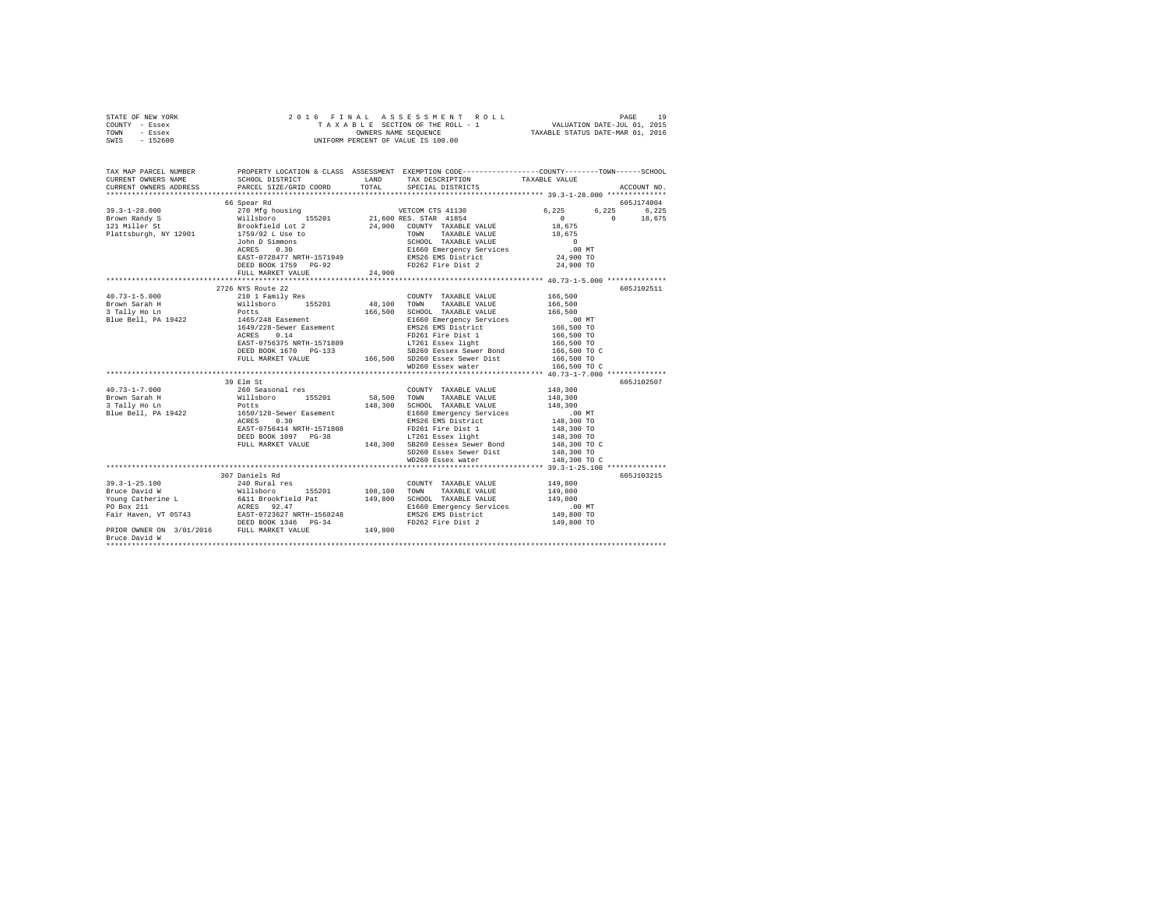| STATE OF NEW YORK | 2016 FINAL ASSESSMENT ROLL         | 19<br>PAGE                       |
|-------------------|------------------------------------|----------------------------------|
| COUNTY - Essex    | TAXABLE SECTION OF THE ROLL - 1    | VALUATION DATE-JUL 01, 2015      |
| TOWN<br>- Essex   | OWNERS NAME SEOUENCE               | TAXABLE STATUS DATE-MAR 01, 2016 |
| - 152600<br>SWIS  | UNIFORM PERCENT OF VALUE IS 100.00 |                                  |

| TAX MAP PARCEL NUMBER<br>CURRENT OWNERS NAME | SCHOOL DISTRICT TAND TAX DESCRIPTION<br>CURRENT OWNERS ADDRESS PARCEL SIZE/GRID COORD TOTAL                                                                                                                                           |        | SPECIAL DISTRICTS                                                | PROPERTY LOCATION & CLASS ASSESSMENT EXEMPTION CODE---------------COUNTY-------TOWN------SCHOOL<br>TAXABLE VALUE<br>ACCOUNT NO. |  |
|----------------------------------------------|---------------------------------------------------------------------------------------------------------------------------------------------------------------------------------------------------------------------------------------|--------|------------------------------------------------------------------|---------------------------------------------------------------------------------------------------------------------------------|--|
|                                              |                                                                                                                                                                                                                                       |        |                                                                  |                                                                                                                                 |  |
|                                              |                                                                                                                                                                                                                                       |        |                                                                  | 605J174004                                                                                                                      |  |
|                                              |                                                                                                                                                                                                                                       |        |                                                                  | 6,225 6,225<br>6,225                                                                                                            |  |
|                                              |                                                                                                                                                                                                                                       |        |                                                                  | $\sim$ 0<br>$\sim$ 0<br>18,675                                                                                                  |  |
|                                              |                                                                                                                                                                                                                                       |        |                                                                  | 18,675                                                                                                                          |  |
|                                              |                                                                                                                                                                                                                                       |        | TAXABLE VALUE                                                    | 18,675                                                                                                                          |  |
|                                              | John D Simmons<br>$n \times n \times n$ 0.30                                                                                                                                                                                          |        |                                                                  |                                                                                                                                 |  |
|                                              |                                                                                                                                                                                                                                       |        |                                                                  |                                                                                                                                 |  |
|                                              | EAST-0728477 NRTH-1571949                                                                                                                                                                                                             |        |                                                                  |                                                                                                                                 |  |
|                                              | DEED BOOK 1759 PG-92                                                                                                                                                                                                                  |        | FD262 Fire Dist 2 24,900 TO                                      |                                                                                                                                 |  |
|                                              | FULL MARKET VALUE                                                                                                                                                                                                                     | 24,900 |                                                                  |                                                                                                                                 |  |
|                                              | 2726 NYS Route 22                                                                                                                                                                                                                     |        |                                                                  | 605J102511                                                                                                                      |  |
| $40.73 - 1 - 5.000$                          |                                                                                                                                                                                                                                       |        | COUNTY TAXABLE VALUE 166,500                                     |                                                                                                                                 |  |
|                                              |                                                                                                                                                                                                                                       |        |                                                                  | 166,500                                                                                                                         |  |
| Brown Sarah H<br>3 Tally Ho Ln               |                                                                                                                                                                                                                                       |        | 166,500 SCHOOL TAXABLE VALUE                                     | 166,500                                                                                                                         |  |
| Blue Bell, PA 19422                          | 1465/248 Easement                                                                                                                                                                                                                     |        |                                                                  |                                                                                                                                 |  |
|                                              | 1649/228-Sewer Easement                                                                                                                                                                                                               |        |                                                                  |                                                                                                                                 |  |
|                                              |                                                                                                                                                                                                                                       |        |                                                                  |                                                                                                                                 |  |
|                                              |                                                                                                                                                                                                                                       |        |                                                                  |                                                                                                                                 |  |
|                                              | DEED BOOK 1670 PG-133                                                                                                                                                                                                                 |        | PG-133 SB260 Eessex Sewer Bond<br>166,500 SD260 Essex Sewer Dist | 166,500 TO C<br>166,500 TO                                                                                                      |  |
|                                              | FULL MARKET VALUE                                                                                                                                                                                                                     |        |                                                                  |                                                                                                                                 |  |
|                                              |                                                                                                                                                                                                                                       |        | WD260 Essex water                                                | 166,500 TO C                                                                                                                    |  |
|                                              |                                                                                                                                                                                                                                       |        |                                                                  |                                                                                                                                 |  |
|                                              | 39 Elm St                                                                                                                                                                                                                             |        |                                                                  | 605J102507                                                                                                                      |  |
| $40.73 - 1 - 7.000$                          | 260 Seasonal res                                                                                                                                                                                                                      |        | COUNTY TAXABLE VALUE 148,300                                     |                                                                                                                                 |  |
|                                              |                                                                                                                                                                                                                                       |        | TAXABLE VALUE                                                    | 148,300                                                                                                                         |  |
|                                              |                                                                                                                                                                                                                                       |        | 148,300 SCHOOL TAXABLE VALUE<br>E1660 Emergency Services         | 148,300                                                                                                                         |  |
|                                              |                                                                                                                                                                                                                                       |        | EMS26 EMS District                                               | .00 MT<br>148,300 TO                                                                                                            |  |
|                                              |                                                                                                                                                                                                                                       |        |                                                                  |                                                                                                                                 |  |
|                                              |                                                                                                                                                                                                                                       |        |                                                                  |                                                                                                                                 |  |
|                                              | EAST-0756414 NRTH-1571808 PD261 Fire Dist 1 148,300 TO<br>DEED BOOK 1097 PG-38 179261 ESSEX 11ght 148,300 TO<br>PULL MARKET VALUE 148,300 148,300 SB260 Eessex Sewer Bond 148,300 TO C                                                |        |                                                                  |                                                                                                                                 |  |
|                                              |                                                                                                                                                                                                                                       |        | SD260 Essex Sewer Dist                                           | 148,300 TO                                                                                                                      |  |
|                                              |                                                                                                                                                                                                                                       |        | WD260 Essex water                                                | 148,300 TO C                                                                                                                    |  |
|                                              |                                                                                                                                                                                                                                       |        |                                                                  |                                                                                                                                 |  |
|                                              | 307 Daniels Rd                                                                                                                                                                                                                        |        |                                                                  | 605J103215                                                                                                                      |  |
| $39.3 - 1 - 25.100$                          | 240 Rural res                                                                                                                                                                                                                         |        | COUNTY TAXABLE VALUE                                             | 149,800                                                                                                                         |  |
|                                              |                                                                                                                                                                                                                                       |        |                                                                  | 149,800                                                                                                                         |  |
|                                              |                                                                                                                                                                                                                                       |        |                                                                  | 149,800                                                                                                                         |  |
|                                              | 39.3-1-25.100<br>Bruce David Willshoro 155201 108,100 TOWN TAXABLE VALUE Young Catherine L<br>FOUR CALLE TO BOX 211 199,800 SCRIP 200 SCRIP 200 SCRIP 201<br>FO BOX 211 201<br>PD BOX 211 22557 92.47 22527 NETH-1568248 21660 Emerge |        |                                                                  | $149,800$ TO                                                                                                                    |  |
|                                              |                                                                                                                                                                                                                                       |        |                                                                  |                                                                                                                                 |  |
|                                              |                                                                                                                                                                                                                                       |        |                                                                  | 149,800 TO                                                                                                                      |  |
| Bruce David W                                |                                                                                                                                                                                                                                       |        |                                                                  |                                                                                                                                 |  |
|                                              |                                                                                                                                                                                                                                       |        |                                                                  |                                                                                                                                 |  |
|                                              |                                                                                                                                                                                                                                       |        |                                                                  |                                                                                                                                 |  |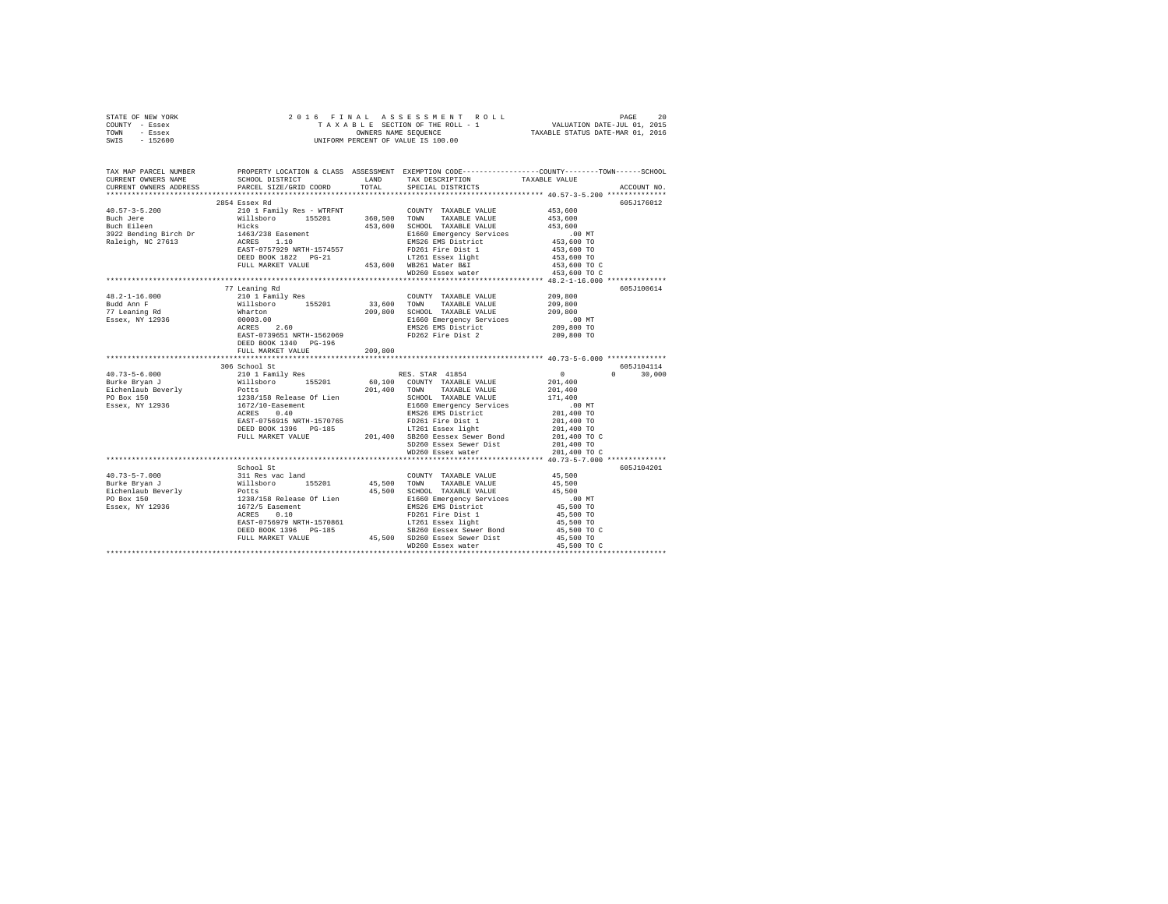|      | STATE OF NEW YORK |  |  | 2016 FINAL ASSESSMENT ROLL         | PAGE                             | 20 |
|------|-------------------|--|--|------------------------------------|----------------------------------|----|
|      | COUNTY - Essex    |  |  | TAXABLE SECTION OF THE ROLL - 1    | VALUATION DATE-JUL 01, 2015      |    |
| TOWN | - Essex           |  |  | OWNERS NAME SEOUENCE               | TAXABLE STATUS DATE-MAR 01, 2016 |    |
| SWIS | $-152600$         |  |  | UNIFORM PERCENT OF VALUE IS 100.00 |                                  |    |

| TAX MAP PARCEL NUMBER            | PROPERTY LOCATION & CLASS ASSESSMENT EXEMPTION CODE---------------COUNTY-------TOWN------SCHOOL<br>CURRENT OWNERS NAME SCHOOL DISTRICT LAND TAX DESCRIPTION TAXABLE VALUE                                                                                                                                                                                                                                                                   |                                                                 |                          |               |
|----------------------------------|---------------------------------------------------------------------------------------------------------------------------------------------------------------------------------------------------------------------------------------------------------------------------------------------------------------------------------------------------------------------------------------------------------------------------------------------|-----------------------------------------------------------------|--------------------------|---------------|
|                                  |                                                                                                                                                                                                                                                                                                                                                                                                                                             |                                                                 |                          |               |
|                                  | 2854 Essex Rd                                                                                                                                                                                                                                                                                                                                                                                                                               |                                                                 |                          | 605J176012    |
|                                  |                                                                                                                                                                                                                                                                                                                                                                                                                                             |                                                                 |                          |               |
|                                  |                                                                                                                                                                                                                                                                                                                                                                                                                                             |                                                                 |                          |               |
|                                  |                                                                                                                                                                                                                                                                                                                                                                                                                                             |                                                                 |                          |               |
|                                  |                                                                                                                                                                                                                                                                                                                                                                                                                                             |                                                                 |                          |               |
|                                  |                                                                                                                                                                                                                                                                                                                                                                                                                                             |                                                                 |                          |               |
|                                  |                                                                                                                                                                                                                                                                                                                                                                                                                                             |                                                                 |                          |               |
|                                  |                                                                                                                                                                                                                                                                                                                                                                                                                                             | LT261 Essex light                                               |                          |               |
|                                  | DEED BOOK 1822 PG-21 LT261 Essex light<br>FULL MARKET VALUE 453,600 WB261 Water B&I                                                                                                                                                                                                                                                                                                                                                         |                                                                 |                          |               |
|                                  |                                                                                                                                                                                                                                                                                                                                                                                                                                             |                                                                 |                          |               |
|                                  |                                                                                                                                                                                                                                                                                                                                                                                                                                             |                                                                 |                          |               |
|                                  | 77 Leaning Rd<br>209,800<br>2010 I Family Res<br>2010 I Family Res<br>2010 I Family Res<br>2010 155201<br>209,800<br>209,800<br>209,800<br>209,800<br>209,800<br>209,800<br>209,800<br>209,800<br>209,800<br>209,800<br>209,800<br>209,800<br>209,800<br>209,800<br>209,800<br>209,800<br>                                                                                                                                                  |                                                                 |                          | 605J100614    |
| $48.2 - 1 - 16.000$              |                                                                                                                                                                                                                                                                                                                                                                                                                                             |                                                                 |                          |               |
| Budd Ann F                       |                                                                                                                                                                                                                                                                                                                                                                                                                                             |                                                                 |                          |               |
| 77 Leaning Rd<br>Essex, NY 12936 |                                                                                                                                                                                                                                                                                                                                                                                                                                             |                                                                 |                          |               |
|                                  |                                                                                                                                                                                                                                                                                                                                                                                                                                             |                                                                 |                          |               |
|                                  |                                                                                                                                                                                                                                                                                                                                                                                                                                             |                                                                 |                          |               |
|                                  | DEED BOOK 1340 PG-196                                                                                                                                                                                                                                                                                                                                                                                                                       |                                                                 |                          |               |
|                                  | FULL MARKET VALUE 209,800                                                                                                                                                                                                                                                                                                                                                                                                                   |                                                                 |                          |               |
|                                  |                                                                                                                                                                                                                                                                                                                                                                                                                                             |                                                                 |                          |               |
|                                  | 306 School St                                                                                                                                                                                                                                                                                                                                                                                                                               |                                                                 |                          | 605J104114    |
|                                  |                                                                                                                                                                                                                                                                                                                                                                                                                                             |                                                                 |                          | $0 \t 30,000$ |
|                                  |                                                                                                                                                                                                                                                                                                                                                                                                                                             |                                                                 |                          |               |
|                                  |                                                                                                                                                                                                                                                                                                                                                                                                                                             |                                                                 |                          |               |
|                                  |                                                                                                                                                                                                                                                                                                                                                                                                                                             |                                                                 |                          |               |
|                                  |                                                                                                                                                                                                                                                                                                                                                                                                                                             |                                                                 |                          |               |
|                                  |                                                                                                                                                                                                                                                                                                                                                                                                                                             |                                                                 |                          |               |
|                                  |                                                                                                                                                                                                                                                                                                                                                                                                                                             |                                                                 |                          |               |
|                                  |                                                                                                                                                                                                                                                                                                                                                                                                                                             |                                                                 |                          |               |
|                                  |                                                                                                                                                                                                                                                                                                                                                                                                                                             |                                                                 |                          |               |
|                                  |                                                                                                                                                                                                                                                                                                                                                                                                                                             |                                                                 |                          |               |
|                                  | $\begin{tabular}{l c c c c} \multicolumn{3}{c}{\textbf{40.73--5-6.000}} & \multicolumn{3}{c}{306\text{ school St}} & \multicolumn{3}{c}{201\text{ and }\text{201.1400}} & \multicolumn{3}{c}{306\text{ school St}} & \multicolumn{3}{c}{201\text{ and }\text{201.400}} & \multicolumn{3}{c}{308\text{ school St}} & \multicolumn{3}{c}{301\text{ and }\text{201.400}} & \multicolumn{3}{c}{301\text{ and }\text{201.400}} & \multicolumn{3$ |                                                                 |                          |               |
|                                  |                                                                                                                                                                                                                                                                                                                                                                                                                                             | ************************************ 40.73-5-7.000 ************ |                          |               |
|                                  |                                                                                                                                                                                                                                                                                                                                                                                                                                             |                                                                 |                          | 605J104201    |
|                                  |                                                                                                                                                                                                                                                                                                                                                                                                                                             |                                                                 |                          |               |
|                                  |                                                                                                                                                                                                                                                                                                                                                                                                                                             |                                                                 |                          |               |
|                                  |                                                                                                                                                                                                                                                                                                                                                                                                                                             |                                                                 |                          |               |
|                                  |                                                                                                                                                                                                                                                                                                                                                                                                                                             |                                                                 |                          |               |
|                                  |                                                                                                                                                                                                                                                                                                                                                                                                                                             |                                                                 |                          |               |
|                                  |                                                                                                                                                                                                                                                                                                                                                                                                                                             |                                                                 |                          |               |
|                                  |                                                                                                                                                                                                                                                                                                                                                                                                                                             |                                                                 | 45,500 TO<br>45,500 TO C |               |
|                                  |                                                                                                                                                                                                                                                                                                                                                                                                                                             |                                                                 |                          |               |
|                                  | 1973-5-7.000 (1979)<br>Behool St<br>Behool St (1973-5-7.000 311 Res vac land (1973-5-7.000 311 Res vac land (1973-5-7.000 311 Res vac land (1974)<br>Burke Bryan J Potts (1982/138 Release Of Lien 1974)<br>Ficher and 1972/5 Rese                                                                                                                                                                                                          |                                                                 | 45,500 TO C              |               |
|                                  |                                                                                                                                                                                                                                                                                                                                                                                                                                             |                                                                 |                          |               |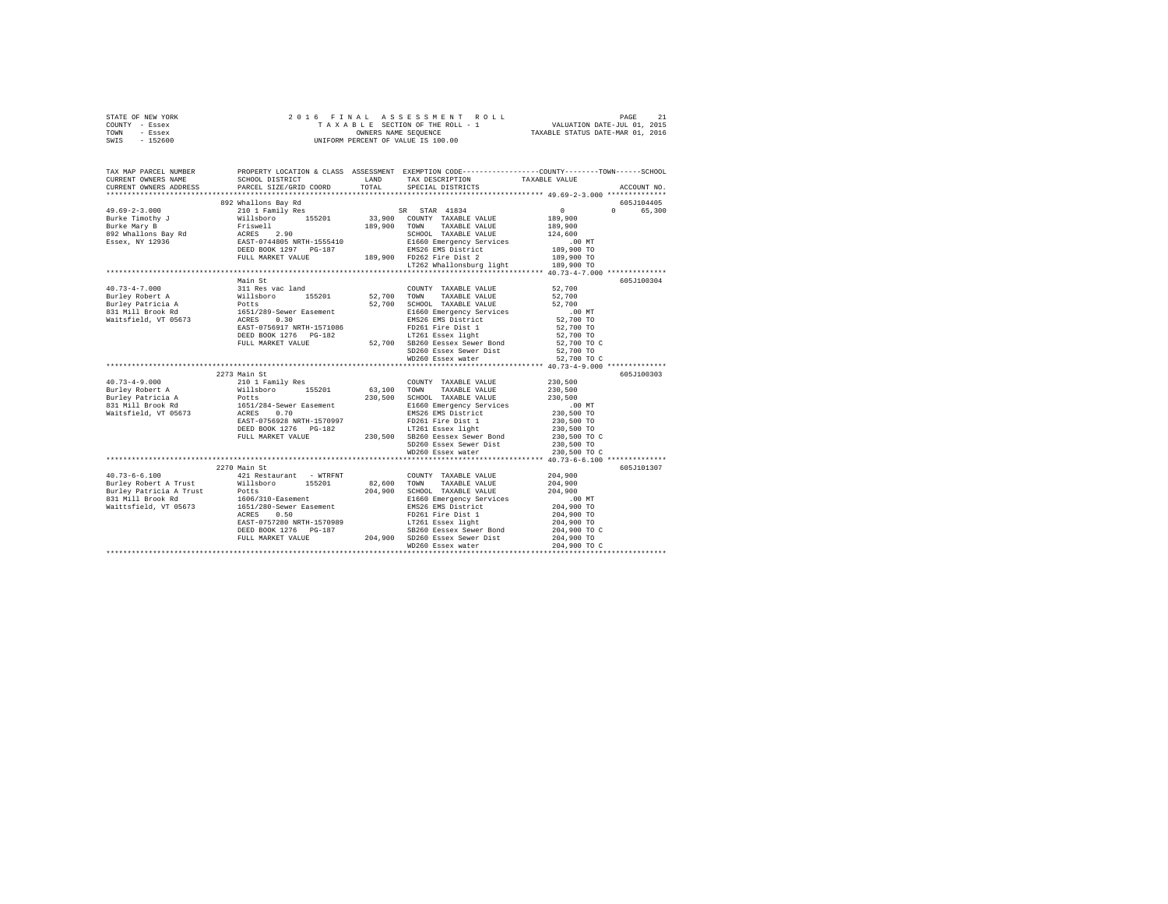| STATE OF NEW YORK<br>COUNTY - Essex<br>TOWN - Essex<br>SWIS<br>$-152600$ |                                                                          |             |                                                                                                                                                                                                                  |                                  |             |
|--------------------------------------------------------------------------|--------------------------------------------------------------------------|-------------|------------------------------------------------------------------------------------------------------------------------------------------------------------------------------------------------------------------|----------------------------------|-------------|
| TAX MAP PARCEL NUMBER<br>CURRENT OWNERS NAME<br>CURRENT OWNERS ADDRESS   |                                                                          |             | PROPERTY LOCATION & CLASS ASSESSMENT EXEMPTION CODE---------------COUNTY-------TOWN-----SCHOOL                                                                                                                   |                                  | ACCOUNT NO. |
|                                                                          |                                                                          |             |                                                                                                                                                                                                                  |                                  | 605J104405  |
|                                                                          |                                                                          |             |                                                                                                                                                                                                                  |                                  | 0 65,300    |
|                                                                          |                                                                          |             |                                                                                                                                                                                                                  |                                  |             |
|                                                                          |                                                                          |             |                                                                                                                                                                                                                  |                                  |             |
|                                                                          |                                                                          |             |                                                                                                                                                                                                                  |                                  |             |
|                                                                          |                                                                          |             |                                                                                                                                                                                                                  |                                  |             |
|                                                                          |                                                                          |             |                                                                                                                                                                                                                  |                                  |             |
|                                                                          |                                                                          |             |                                                                                                                                                                                                                  |                                  |             |
|                                                                          |                                                                          |             |                                                                                                                                                                                                                  |                                  |             |
|                                                                          |                                                                          |             |                                                                                                                                                                                                                  |                                  |             |
|                                                                          | Main St                                                                  |             |                                                                                                                                                                                                                  |                                  | 605J100304  |
| $40.73 - 4 - 7.000$                                                      |                                                                          |             | COUNTY TAXABLE VALUE 52.700                                                                                                                                                                                      |                                  |             |
|                                                                          |                                                                          | 52,700 TOWN | TAXABLE VALUE                                                                                                                                                                                                    | 52,700                           |             |
|                                                                          |                                                                          |             | 52,700 SCHOOL TAXABLE VALUE                                                                                                                                                                                      | 52,700                           |             |
| Burley Robert A<br>Burley Patricia A<br>831 Mill Brook Rd                | 311 Res vac land<br>Willsboro 155201<br>Potts<br>1651/289-Sewer Easement |             |                                                                                                                                                                                                                  |                                  |             |
| Waitsfield, VT 05673                                                     |                                                                          |             | E1660 Emergency Services<br>EMS26 EMS District                                                                                                                                                                   |                                  |             |
|                                                                          | ACRES 0.30<br>EAST-0756917 NRTH-1571086                                  |             |                                                                                                                                                                                                                  | 00 MT.<br>52,700 TO<br>52,700 TO |             |
|                                                                          | DEED BOOK 1276 PG-182                                                    |             | FD261 Fire Dist 1<br>LT261 Essex light                                                                                                                                                                           | 52,700 TO<br>52,700 TO C         |             |
|                                                                          |                                                                          |             | FULL MARKET VALUE 52,700 SB260 Eessex Sewer Bond                                                                                                                                                                 |                                  |             |
|                                                                          |                                                                          |             | SD260 Essex Sewer Dist<br>WD260 Essex water                                                                                                                                                                      | 52,700 TO                        |             |
|                                                                          |                                                                          |             |                                                                                                                                                                                                                  | 52,700 TO C                      |             |
|                                                                          |                                                                          |             |                                                                                                                                                                                                                  |                                  |             |
|                                                                          | 2273 Main St                                                             |             |                                                                                                                                                                                                                  |                                  | 605J100303  |
| $40.73 - 4 - 9.000$                                                      | 210 1 Family Res<br>Willsboro 155201                                     |             | COUNTY TAXABLE VALUE 230,500                                                                                                                                                                                     |                                  |             |
| Burley Robert A                                                          |                                                                          |             | 63,100 TOWN TAXABLE VALUE                                                                                                                                                                                        | 230,500                          |             |
| Burley Patricia A<br>831 Mill Brook Rd                                   | Potts<br>1651/284-Sewer Easement                                         |             | 230,500 SCHOOL TAXABLE VALUE                                                                                                                                                                                     | 230,500<br>.00 MT                |             |
|                                                                          |                                                                          |             | E1660 Emergency Services<br>EMS26 EMS District                                                                                                                                                                   |                                  |             |
| Waitsfield, VT 05673                                                     | ACRES 0.70<br>EAST-0756928 NRTH-1570997                                  |             |                                                                                                                                                                                                                  | 230,500 TO                       |             |
|                                                                          |                                                                          |             | FD261 Fire Dist 1<br>LT261 Essex light                                                                                                                                                                           | 230,500 TO<br>230,500 TO         |             |
|                                                                          |                                                                          |             |                                                                                                                                                                                                                  |                                  |             |
|                                                                          |                                                                          |             |                                                                                                                                                                                                                  | 230,500 TO C                     |             |
|                                                                          |                                                                          |             |                                                                                                                                                                                                                  | 230,500 TO                       |             |
|                                                                          |                                                                          |             | WD260 Essex water                                                                                                                                                                                                | 230,500 TO C                     |             |
|                                                                          | 2270 Main St                                                             |             |                                                                                                                                                                                                                  |                                  | 605J101307  |
| $40.73 - 6 - 6.100$                                                      | 421 Restaurant - WTRFNT                                                  |             | COUNTY TAXABLE VALUE 204,900                                                                                                                                                                                     |                                  |             |
|                                                                          |                                                                          |             | 82,600 TOWN TAXABLE VALUE                                                                                                                                                                                        | 204,900                          |             |
|                                                                          |                                                                          |             |                                                                                                                                                                                                                  | 204,900                          |             |
|                                                                          |                                                                          |             | 204,900 SCHOOL TAXABLE VALUE<br>E1660 Emergency Services                                                                                                                                                         | .00 MT                           |             |
| Waittsfield, VT 05673                                                    |                                                                          |             | EMS26 EMS District                                                                                                                                                                                               | 204,900 TO                       |             |
|                                                                          | 1651/280-Sewer Easement<br>ACRES 0.50                                    |             |                                                                                                                                                                                                                  | 204,900 TO                       |             |
|                                                                          |                                                                          |             |                                                                                                                                                                                                                  | 204,900 TO                       |             |
|                                                                          |                                                                          |             |                                                                                                                                                                                                                  | 204,900 TO C                     |             |
|                                                                          |                                                                          |             | ACRES 0.50 - PD261 Fire Dist 1<br>EAST-O757280 NRTH-1570989<br>DEED BOOK 1276 PG-187<br>DEED BOOK 1276 PG-187<br>PULL MARKET VALUE 204,900 SD260 Essex Sewer Dist<br>PULL MARKET VALUE 204,900 SD260 Essex water | 204,900 TO                       |             |
|                                                                          |                                                                          |             |                                                                                                                                                                                                                  | 204,900 TO C                     |             |
|                                                                          |                                                                          |             |                                                                                                                                                                                                                  |                                  |             |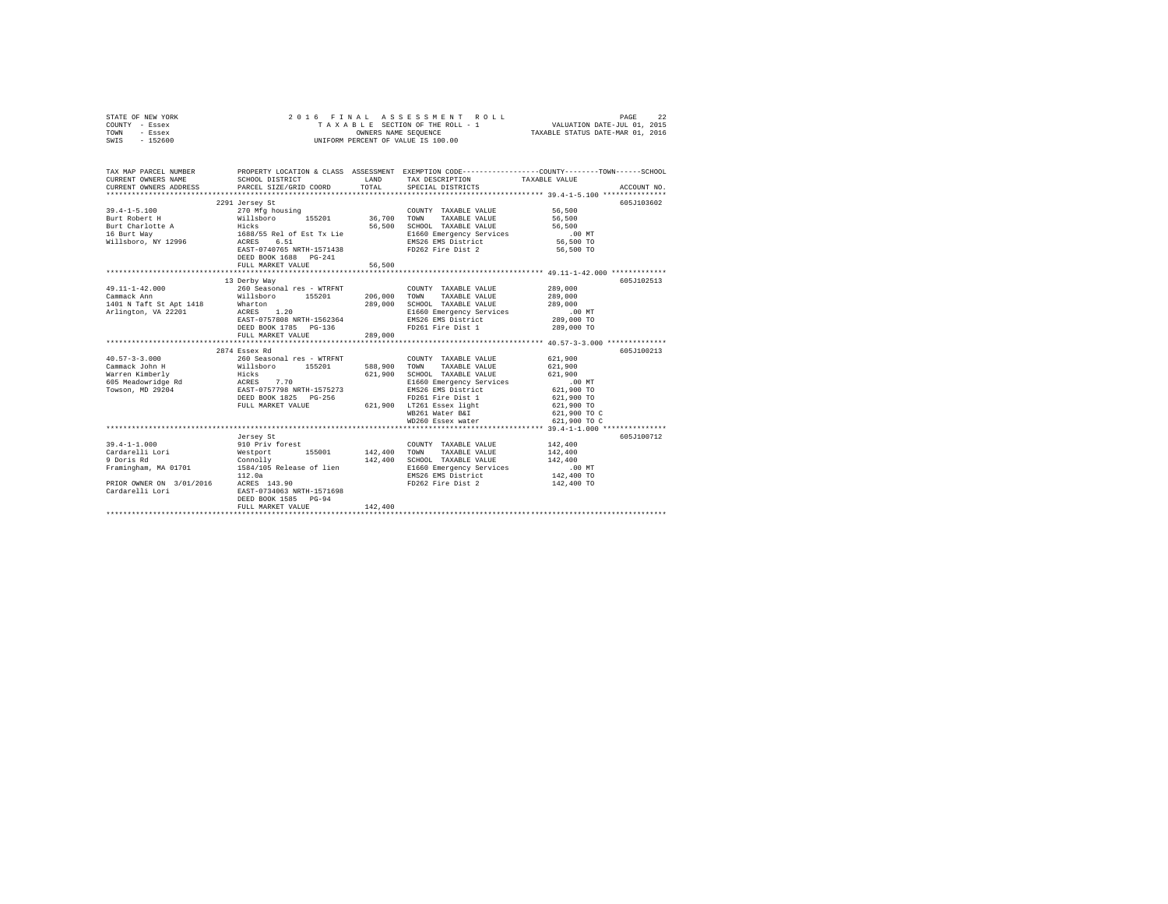| STATE OF NEW YORK<br>COUNTY - Essex<br>TOWN<br>- Essex<br>SWIS - 152600 |                                                               |         | 2016 FINAL ASSESSMENT ROLL<br>UNIFORM PERCENT OF VALUE IS 100.00 | PAGE<br>22                                                                                                                            |
|-------------------------------------------------------------------------|---------------------------------------------------------------|---------|------------------------------------------------------------------|---------------------------------------------------------------------------------------------------------------------------------------|
| CURRENT OWNERS NAME<br>CURRENT OWNERS ADDRESS PARCEL SIZE/GRID COORD    | SCHOOL DISTRICT                                               | LAND    | TAX DESCRIPTION                                                  | TAX MAP PARCEL NUMBER PROPERTY LOCATION & CLASS ASSESSMENT EXEMPTION CODE--------------COUNTY-------TOWN------SCHOOL<br>TAXABLE VALUE |
|                                                                         |                                                               | TOTAL   | SPECIAL DISTRICTS                                                | ACCOUNT NO.                                                                                                                           |
|                                                                         | 2291 Jersey St                                                |         |                                                                  | 605J103602                                                                                                                            |
| $39.4 - 1 - 5.100$                                                      | 270 Mfg housing                                               |         | COUNTY TAXABLE VALUE                                             | 56,500                                                                                                                                |
| Burt Robert H                                                           |                                                               |         |                                                                  | 56,500                                                                                                                                |
| Burt Charlotte A                                                        |                                                               |         |                                                                  | 56,500                                                                                                                                |
| 16 Burt Way<br>Willsboro, NY 12996                                      |                                                               |         |                                                                  | $.00$ MT                                                                                                                              |
|                                                                         |                                                               |         |                                                                  | $56,500$ TO                                                                                                                           |
|                                                                         |                                                               |         |                                                                  | 56,500 TO                                                                                                                             |
|                                                                         | DEED BOOK 1688 PG-241                                         |         |                                                                  |                                                                                                                                       |
|                                                                         | FULL MARKET VALUE                                             | 56,500  |                                                                  |                                                                                                                                       |
|                                                                         |                                                               |         |                                                                  |                                                                                                                                       |
| 49.11-1-42.000                                                          | 13 Derby Way                                                  |         |                                                                  | 605J102513                                                                                                                            |
| Cammack Ann                                                             | 260 Seasonal res - WTRFNT<br>Willsboro 155201                 | 206,000 | COUNTY TAXABLE VALUE<br>TOWN<br>TAXABLE VALUE                    | 289,000<br>289,000                                                                                                                    |
|                                                                         |                                                               |         | 289,000 SCHOOL TAXABLE VALUE                                     | 289,000                                                                                                                               |
| 1401 N Taft St Apt 1418 Wharton<br>Arlington, VA 22201 ACRES 1.20       |                                                               |         | E1660 Emergency Services                                         | .00 MT                                                                                                                                |
|                                                                         | EAST-0757808 NRTH-1562364                                     |         |                                                                  |                                                                                                                                       |
|                                                                         | DEED BOOK 1785 PG-136                                         |         | EMS26 EMS District<br>FD261 Fire Dist 1                          | 289,000 TO<br>289,000 TO                                                                                                              |
|                                                                         | FULL MARKET VALUE                                             | 289,000 |                                                                  |                                                                                                                                       |
|                                                                         |                                                               |         |                                                                  |                                                                                                                                       |
|                                                                         | 2874 Essex Rd                                                 |         |                                                                  | 605J100213                                                                                                                            |
|                                                                         |                                                               |         | COUNTY TAXABLE VALUE                                             | 621,900                                                                                                                               |
|                                                                         |                                                               |         | TOWN TAXABLE VALUE                                               | 621,900                                                                                                                               |
|                                                                         |                                                               |         | SCHOOL TAXABLE VALUE                                             | 621,900                                                                                                                               |
|                                                                         |                                                               |         | E1660 Emergency Services                                         | .00MT                                                                                                                                 |
|                                                                         |                                                               |         | EMS26 EMS District<br>FD261 Fire Dist 1                          | 621,900 TO<br>621,900 TO                                                                                                              |
|                                                                         | FULL MARKET VALUE                                             |         |                                                                  | 621,900 TO                                                                                                                            |
|                                                                         |                                                               |         | 621,900 LT261 Essex light<br>WB261 Water B&I                     | 621,900 TO C                                                                                                                          |
|                                                                         |                                                               |         | WD260 Essex water                                                | 621,900 TO C                                                                                                                          |
|                                                                         |                                                               |         |                                                                  |                                                                                                                                       |
|                                                                         | Jersey St                                                     |         |                                                                  | 605J100712                                                                                                                            |
| $39.4 - 1 - 1.000$                                                      | 910 Priv forest COUNTY COUNTY<br>Westport 155001 142,400 TOWN |         | COUNTY TAXABLE VALUE                                             | 142,400                                                                                                                               |
| Cardarelli Lori<br>9 Doris Rd                                           |                                                               |         | TAXABLE VALUE                                                    | 142,400                                                                                                                               |
|                                                                         | Connolly                                                      |         | 142,400 SCHOOL TAXABLE VALUE                                     | 142,400                                                                                                                               |
| Framingham, MA 01701 1584/105 Release of lien                           |                                                               |         | E1660 Emergency Services<br>EMS26 Emergency Services             | .00 MT                                                                                                                                |
|                                                                         | 112.0a                                                        |         | EMS26 EMS District                                               | 142,400 TO                                                                                                                            |
| PRIOR OWNER ON 3/01/2016 ACRES 143.90                                   |                                                               |         | FD262 Fire Dist 2                                                | 142,400 TO                                                                                                                            |
| Cardarelli Lori                                                         | EAST-0734063 NRTH-1571698                                     |         |                                                                  |                                                                                                                                       |
|                                                                         | DEED BOOK 1585 PG-94<br>FULL MARKET VALUE                     | 142,400 |                                                                  |                                                                                                                                       |
|                                                                         |                                                               |         |                                                                  |                                                                                                                                       |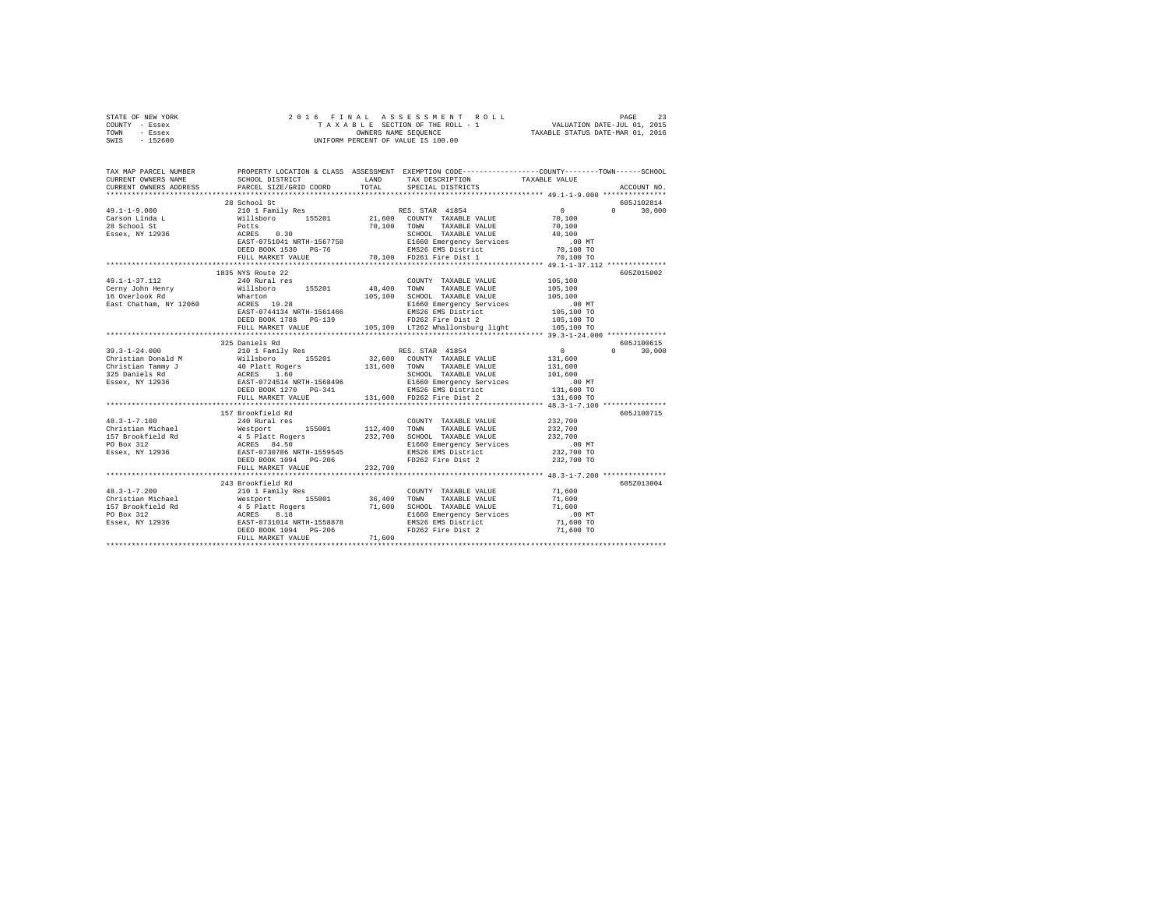| STATE OF NEW YORK | 2016 FINAL ASSESSMENT ROLL         | 23<br>PAGE                       |
|-------------------|------------------------------------|----------------------------------|
| COUNTY - Essex    | TAXABLE SECTION OF THE ROLL - 1    | VALUATION DATE-JUL 01, 2015      |
| TOWN<br>- Essex   | OWNERS NAME SEOUENCE               | TAXABLE STATUS DATE-MAR 01, 2016 |
| $-152600$<br>SWIS | UNIFORM PERCENT OF VALUE IS 100.00 |                                  |

| TAX MAP PARCEL NUMBER<br>CURRENT OWNERS NAME<br>CURRENT OWNERS ADDRESS                                                                                                                                                                                                                                                                                                                                                                                                                                                                                                                   | SCHOOL DISTRICT LAND<br>PARCEL SIZE/GRID COORD     | TOTAL   | PROPERTY LOCATION & CLASS ASSESSMENT EXEMPTION CODE---------------COUNTY-------TOWN------SCHOOL<br>TAX DESCRIPTION<br>SPECIAL DISTRICTS | TAXABLE VALUE | ACCOUNT NO.        |
|------------------------------------------------------------------------------------------------------------------------------------------------------------------------------------------------------------------------------------------------------------------------------------------------------------------------------------------------------------------------------------------------------------------------------------------------------------------------------------------------------------------------------------------------------------------------------------------|----------------------------------------------------|---------|-----------------------------------------------------------------------------------------------------------------------------------------|---------------|--------------------|
|                                                                                                                                                                                                                                                                                                                                                                                                                                                                                                                                                                                          |                                                    |         |                                                                                                                                         |               |                    |
|                                                                                                                                                                                                                                                                                                                                                                                                                                                                                                                                                                                          | 28 School St                                       |         |                                                                                                                                         |               | 605J102814         |
| $\begin{tabular}{lcccc} $\texttt{1.11} & $\color{red}$ & $\color{red}$ & $\color{red}$ & $\color{red}$ & $\color{red}$ & $\color{red}$ & $\color{red}$ & $\color{red}$ & $\color{red}$ & $\color{red}$ & $\color{red}$ & $\color{red}$ & $\color{red}$ & $\color{red}$ & $\color{red}$ & $\color{red}$ & $\color{red}$ & $\color{red}$ & $\color{red}$ & $\color{red}$ & $\color{red}$ & $\color{red}$ & $\color{red}$ & $\color{red}$ \\ \textbf{Case 1 1.1} & $\color{red}$ & $\color{red}$ & $\color{red}$ & $\color{red}$ & $\color{red}$ & $\color{red}$ & $\color{red}$ & $\color$ |                                                    |         |                                                                                                                                         |               | $0 \t 30.000$      |
|                                                                                                                                                                                                                                                                                                                                                                                                                                                                                                                                                                                          |                                                    |         |                                                                                                                                         |               |                    |
|                                                                                                                                                                                                                                                                                                                                                                                                                                                                                                                                                                                          |                                                    |         |                                                                                                                                         |               |                    |
|                                                                                                                                                                                                                                                                                                                                                                                                                                                                                                                                                                                          |                                                    |         |                                                                                                                                         |               |                    |
|                                                                                                                                                                                                                                                                                                                                                                                                                                                                                                                                                                                          |                                                    |         | E1660 Emergency Services<br>EMS26 EMS District<br>70,100 FD261 Fire Dist 1                                                              |               |                    |
|                                                                                                                                                                                                                                                                                                                                                                                                                                                                                                                                                                                          | DEED BOOK 1530 PG-76                               |         |                                                                                                                                         | 70,100 TO     |                    |
|                                                                                                                                                                                                                                                                                                                                                                                                                                                                                                                                                                                          | FULL MARKET VALUE                                  |         |                                                                                                                                         | 70,100 TO     |                    |
|                                                                                                                                                                                                                                                                                                                                                                                                                                                                                                                                                                                          |                                                    |         |                                                                                                                                         |               |                    |
|                                                                                                                                                                                                                                                                                                                                                                                                                                                                                                                                                                                          | 1835 NYS Route 22                                  |         |                                                                                                                                         |               | 6057015002         |
| $49.1 - 1 - 37.112$                                                                                                                                                                                                                                                                                                                                                                                                                                                                                                                                                                      |                                                    |         | COUNTY TAXABLE VALUE 105,100                                                                                                            |               |                    |
| Cerny John Henry<br>Annabody Ed                                                                                                                                                                                                                                                                                                                                                                                                                                                                                                                                                          |                                                    |         |                                                                                                                                         | 105,100       |                    |
|                                                                                                                                                                                                                                                                                                                                                                                                                                                                                                                                                                                          |                                                    |         | 105,100 SCHOOL TAXABLE VALUE $105,100$<br>R1660 Emergency Services 00                                                                   |               |                    |
| East Chatham, NY 12060                                                                                                                                                                                                                                                                                                                                                                                                                                                                                                                                                                   | EAST-0744134 NRTH-1561466<br>DEED ROOK 1799 -- - - |         |                                                                                                                                         |               |                    |
|                                                                                                                                                                                                                                                                                                                                                                                                                                                                                                                                                                                          |                                                    |         |                                                                                                                                         |               |                    |
|                                                                                                                                                                                                                                                                                                                                                                                                                                                                                                                                                                                          |                                                    |         |                                                                                                                                         |               |                    |
|                                                                                                                                                                                                                                                                                                                                                                                                                                                                                                                                                                                          |                                                    |         |                                                                                                                                         |               |                    |
|                                                                                                                                                                                                                                                                                                                                                                                                                                                                                                                                                                                          |                                                    |         |                                                                                                                                         |               |                    |
|                                                                                                                                                                                                                                                                                                                                                                                                                                                                                                                                                                                          | 325 Daniels Rd                                     |         |                                                                                                                                         |               | 605J100615         |
|                                                                                                                                                                                                                                                                                                                                                                                                                                                                                                                                                                                          |                                                    |         |                                                                                                                                         |               | 30,000<br>$\Omega$ |
|                                                                                                                                                                                                                                                                                                                                                                                                                                                                                                                                                                                          |                                                    |         |                                                                                                                                         |               |                    |
|                                                                                                                                                                                                                                                                                                                                                                                                                                                                                                                                                                                          |                                                    |         |                                                                                                                                         |               |                    |
|                                                                                                                                                                                                                                                                                                                                                                                                                                                                                                                                                                                          |                                                    |         |                                                                                                                                         |               |                    |
|                                                                                                                                                                                                                                                                                                                                                                                                                                                                                                                                                                                          |                                                    |         |                                                                                                                                         |               |                    |
|                                                                                                                                                                                                                                                                                                                                                                                                                                                                                                                                                                                          |                                                    |         |                                                                                                                                         |               |                    |
|                                                                                                                                                                                                                                                                                                                                                                                                                                                                                                                                                                                          |                                                    |         |                                                                                                                                         |               |                    |
|                                                                                                                                                                                                                                                                                                                                                                                                                                                                                                                                                                                          |                                                    |         |                                                                                                                                         |               |                    |
|                                                                                                                                                                                                                                                                                                                                                                                                                                                                                                                                                                                          | 157 Brookfield Rd                                  |         |                                                                                                                                         |               | 605J100715         |
|                                                                                                                                                                                                                                                                                                                                                                                                                                                                                                                                                                                          |                                                    |         |                                                                                                                                         |               |                    |
|                                                                                                                                                                                                                                                                                                                                                                                                                                                                                                                                                                                          |                                                    |         |                                                                                                                                         |               |                    |
|                                                                                                                                                                                                                                                                                                                                                                                                                                                                                                                                                                                          |                                                    |         |                                                                                                                                         |               |                    |
|                                                                                                                                                                                                                                                                                                                                                                                                                                                                                                                                                                                          |                                                    |         |                                                                                                                                         |               |                    |
|                                                                                                                                                                                                                                                                                                                                                                                                                                                                                                                                                                                          |                                                    |         |                                                                                                                                         |               |                    |
|                                                                                                                                                                                                                                                                                                                                                                                                                                                                                                                                                                                          | FULL MARKET VALUE                                  | 232,700 |                                                                                                                                         |               |                    |
|                                                                                                                                                                                                                                                                                                                                                                                                                                                                                                                                                                                          |                                                    |         |                                                                                                                                         |               |                    |
|                                                                                                                                                                                                                                                                                                                                                                                                                                                                                                                                                                                          | 243 Brookfield Rd                                  |         |                                                                                                                                         |               | 605Z013004         |
|                                                                                                                                                                                                                                                                                                                                                                                                                                                                                                                                                                                          |                                                    |         |                                                                                                                                         |               |                    |
|                                                                                                                                                                                                                                                                                                                                                                                                                                                                                                                                                                                          |                                                    |         |                                                                                                                                         |               |                    |
|                                                                                                                                                                                                                                                                                                                                                                                                                                                                                                                                                                                          |                                                    |         |                                                                                                                                         |               |                    |
|                                                                                                                                                                                                                                                                                                                                                                                                                                                                                                                                                                                          |                                                    |         |                                                                                                                                         |               |                    |
|                                                                                                                                                                                                                                                                                                                                                                                                                                                                                                                                                                                          |                                                    |         |                                                                                                                                         |               |                    |
|                                                                                                                                                                                                                                                                                                                                                                                                                                                                                                                                                                                          |                                                    |         | FD262 Fire Dist 2 71,600 TO                                                                                                             |               |                    |
|                                                                                                                                                                                                                                                                                                                                                                                                                                                                                                                                                                                          | DEED BOOK 1094 PG-206<br>FULL MARKET VALUE 71,600  |         |                                                                                                                                         |               |                    |
|                                                                                                                                                                                                                                                                                                                                                                                                                                                                                                                                                                                          |                                                    |         |                                                                                                                                         |               |                    |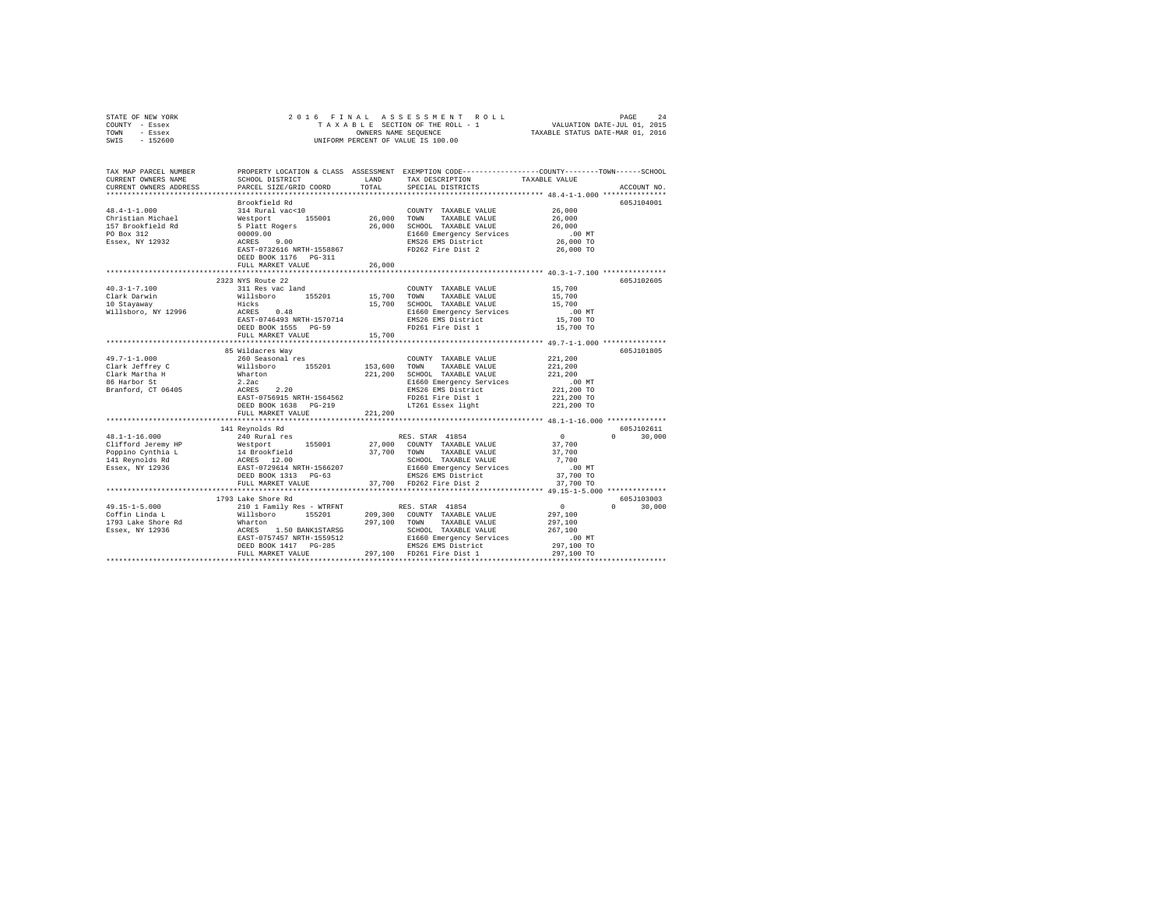| TAX MAP PARCEL NUMBER PROPERTY LOCATION & CLASS ASSESSMENT EXEMPTION CODE---------------COUNTY-------TOWN------SCHOOL<br>SCHOOL DISTRICT LAND TAX DESCRIPTION TAXABLE VALUE<br>CURRENT OWNERS NAME<br>PARCEL SIZE/GRID COORD TOTAL<br>SPECIAL DISTRICTS<br>CURRENT OWNERS ADDRESS<br>ACCOUNT NO.<br>605J104001<br>Brookfield Rd<br>Erookiela ka<br>131 Rural vac<br>-10<br>Westport 155001 26,000 TOWN TAXABLE VALUE Splatt Rogers 26,000 SCHOOL TAXABLE VALUE Splatt Rogers 9<br>26,000 SCHOOL TAXABLE VALUE Splatt CONSTRAINER PRODUCE 26,000 E1660 Emergency Servic<br> | STATE OF NEW YORK<br>COUNTY - Essex<br>TOWN - Essex | 2016 FINAL ASSESSMENT ROLL 1<br>TAXABLE SECTION OF THE ROLL -1<br>ONIFORM PERCENT OF VALUE IS 100.00 | 5 FINAL ASSESSMENT ROLL (2015)<br>TAXABLE SECTION OF THE ROLL - 1 (2015)<br>OWNERS NAME SEQUENCE (2015) TAXABLE STATUS DATE-JUL (2016) |  |
|----------------------------------------------------------------------------------------------------------------------------------------------------------------------------------------------------------------------------------------------------------------------------------------------------------------------------------------------------------------------------------------------------------------------------------------------------------------------------------------------------------------------------------------------------------------------------|-----------------------------------------------------|------------------------------------------------------------------------------------------------------|----------------------------------------------------------------------------------------------------------------------------------------|--|
|                                                                                                                                                                                                                                                                                                                                                                                                                                                                                                                                                                            | SWIS - 152600                                       |                                                                                                      |                                                                                                                                        |  |
|                                                                                                                                                                                                                                                                                                                                                                                                                                                                                                                                                                            |                                                     |                                                                                                      |                                                                                                                                        |  |
|                                                                                                                                                                                                                                                                                                                                                                                                                                                                                                                                                                            |                                                     |                                                                                                      |                                                                                                                                        |  |
|                                                                                                                                                                                                                                                                                                                                                                                                                                                                                                                                                                            |                                                     |                                                                                                      |                                                                                                                                        |  |
|                                                                                                                                                                                                                                                                                                                                                                                                                                                                                                                                                                            |                                                     |                                                                                                      |                                                                                                                                        |  |
|                                                                                                                                                                                                                                                                                                                                                                                                                                                                                                                                                                            |                                                     |                                                                                                      |                                                                                                                                        |  |
|                                                                                                                                                                                                                                                                                                                                                                                                                                                                                                                                                                            |                                                     |                                                                                                      |                                                                                                                                        |  |
|                                                                                                                                                                                                                                                                                                                                                                                                                                                                                                                                                                            |                                                     |                                                                                                      |                                                                                                                                        |  |
|                                                                                                                                                                                                                                                                                                                                                                                                                                                                                                                                                                            |                                                     |                                                                                                      |                                                                                                                                        |  |
|                                                                                                                                                                                                                                                                                                                                                                                                                                                                                                                                                                            |                                                     |                                                                                                      |                                                                                                                                        |  |
|                                                                                                                                                                                                                                                                                                                                                                                                                                                                                                                                                                            |                                                     |                                                                                                      |                                                                                                                                        |  |
|                                                                                                                                                                                                                                                                                                                                                                                                                                                                                                                                                                            |                                                     |                                                                                                      |                                                                                                                                        |  |
|                                                                                                                                                                                                                                                                                                                                                                                                                                                                                                                                                                            |                                                     |                                                                                                      |                                                                                                                                        |  |
|                                                                                                                                                                                                                                                                                                                                                                                                                                                                                                                                                                            |                                                     |                                                                                                      |                                                                                                                                        |  |
|                                                                                                                                                                                                                                                                                                                                                                                                                                                                                                                                                                            |                                                     |                                                                                                      |                                                                                                                                        |  |
|                                                                                                                                                                                                                                                                                                                                                                                                                                                                                                                                                                            |                                                     |                                                                                                      |                                                                                                                                        |  |
|                                                                                                                                                                                                                                                                                                                                                                                                                                                                                                                                                                            |                                                     |                                                                                                      |                                                                                                                                        |  |
|                                                                                                                                                                                                                                                                                                                                                                                                                                                                                                                                                                            |                                                     |                                                                                                      |                                                                                                                                        |  |
|                                                                                                                                                                                                                                                                                                                                                                                                                                                                                                                                                                            |                                                     |                                                                                                      |                                                                                                                                        |  |
|                                                                                                                                                                                                                                                                                                                                                                                                                                                                                                                                                                            |                                                     |                                                                                                      |                                                                                                                                        |  |
|                                                                                                                                                                                                                                                                                                                                                                                                                                                                                                                                                                            |                                                     |                                                                                                      |                                                                                                                                        |  |
|                                                                                                                                                                                                                                                                                                                                                                                                                                                                                                                                                                            |                                                     |                                                                                                      |                                                                                                                                        |  |
|                                                                                                                                                                                                                                                                                                                                                                                                                                                                                                                                                                            |                                                     |                                                                                                      |                                                                                                                                        |  |
|                                                                                                                                                                                                                                                                                                                                                                                                                                                                                                                                                                            |                                                     |                                                                                                      |                                                                                                                                        |  |
|                                                                                                                                                                                                                                                                                                                                                                                                                                                                                                                                                                            |                                                     |                                                                                                      |                                                                                                                                        |  |
|                                                                                                                                                                                                                                                                                                                                                                                                                                                                                                                                                                            |                                                     |                                                                                                      |                                                                                                                                        |  |
|                                                                                                                                                                                                                                                                                                                                                                                                                                                                                                                                                                            |                                                     |                                                                                                      |                                                                                                                                        |  |
|                                                                                                                                                                                                                                                                                                                                                                                                                                                                                                                                                                            |                                                     |                                                                                                      |                                                                                                                                        |  |
|                                                                                                                                                                                                                                                                                                                                                                                                                                                                                                                                                                            |                                                     |                                                                                                      |                                                                                                                                        |  |
|                                                                                                                                                                                                                                                                                                                                                                                                                                                                                                                                                                            |                                                     |                                                                                                      |                                                                                                                                        |  |
|                                                                                                                                                                                                                                                                                                                                                                                                                                                                                                                                                                            |                                                     |                                                                                                      |                                                                                                                                        |  |
|                                                                                                                                                                                                                                                                                                                                                                                                                                                                                                                                                                            |                                                     |                                                                                                      |                                                                                                                                        |  |
|                                                                                                                                                                                                                                                                                                                                                                                                                                                                                                                                                                            |                                                     |                                                                                                      |                                                                                                                                        |  |
|                                                                                                                                                                                                                                                                                                                                                                                                                                                                                                                                                                            |                                                     |                                                                                                      |                                                                                                                                        |  |
|                                                                                                                                                                                                                                                                                                                                                                                                                                                                                                                                                                            |                                                     |                                                                                                      |                                                                                                                                        |  |
|                                                                                                                                                                                                                                                                                                                                                                                                                                                                                                                                                                            |                                                     |                                                                                                      |                                                                                                                                        |  |
|                                                                                                                                                                                                                                                                                                                                                                                                                                                                                                                                                                            |                                                     |                                                                                                      |                                                                                                                                        |  |
| 46.1-1-1-0.000 COUNTY TAXABLE VALUE 27,000 COUNTY TAXABLE VALUE 27,700 COUNTY TAXABLE VALUE 27,700 COUNTY TAXABLE VALUE 27,700 POPPING CHITING AT 14 REVENUE 27,700 COUNTY TAXABLE VALUE 27,700 POPPING CHITING ACRES 12.00 20                                                                                                                                                                                                                                                                                                                                             |                                                     |                                                                                                      |                                                                                                                                        |  |
|                                                                                                                                                                                                                                                                                                                                                                                                                                                                                                                                                                            |                                                     |                                                                                                      |                                                                                                                                        |  |
| 605J103003<br>1793 Lake Shore Rd                                                                                                                                                                                                                                                                                                                                                                                                                                                                                                                                           |                                                     |                                                                                                      |                                                                                                                                        |  |
| $0 \t 30,000$                                                                                                                                                                                                                                                                                                                                                                                                                                                                                                                                                              |                                                     |                                                                                                      |                                                                                                                                        |  |
|                                                                                                                                                                                                                                                                                                                                                                                                                                                                                                                                                                            |                                                     |                                                                                                      |                                                                                                                                        |  |
|                                                                                                                                                                                                                                                                                                                                                                                                                                                                                                                                                                            |                                                     |                                                                                                      |                                                                                                                                        |  |
|                                                                                                                                                                                                                                                                                                                                                                                                                                                                                                                                                                            |                                                     |                                                                                                      |                                                                                                                                        |  |
|                                                                                                                                                                                                                                                                                                                                                                                                                                                                                                                                                                            |                                                     |                                                                                                      |                                                                                                                                        |  |
| $\begin{tabular}{ccccc} 49.15-1-5.000 & 1793 \text{ Lase Score} & 100 \text{ Family Res - WTRENT} & \text{RES. STAR } 41854 & 0 \\\hline \text{Coffin Linda L} & 21011 \text{Family Res - WTRENT} & \text{RES. STAR } 41854 & 297,100 \\\hline \text{1793 Lake Shorte Rd} & 1793 \text{ Lake for } 297,100 \\\text{ESsex, NY } 12936 & \text{ACRES} & 1.50 BANNISTARSG & \text{SCHODL } TAKABLE VALUE & 297,100 \\\text$                                                                                                                                                   |                                                     |                                                                                                      |                                                                                                                                        |  |
|                                                                                                                                                                                                                                                                                                                                                                                                                                                                                                                                                                            |                                                     |                                                                                                      |                                                                                                                                        |  |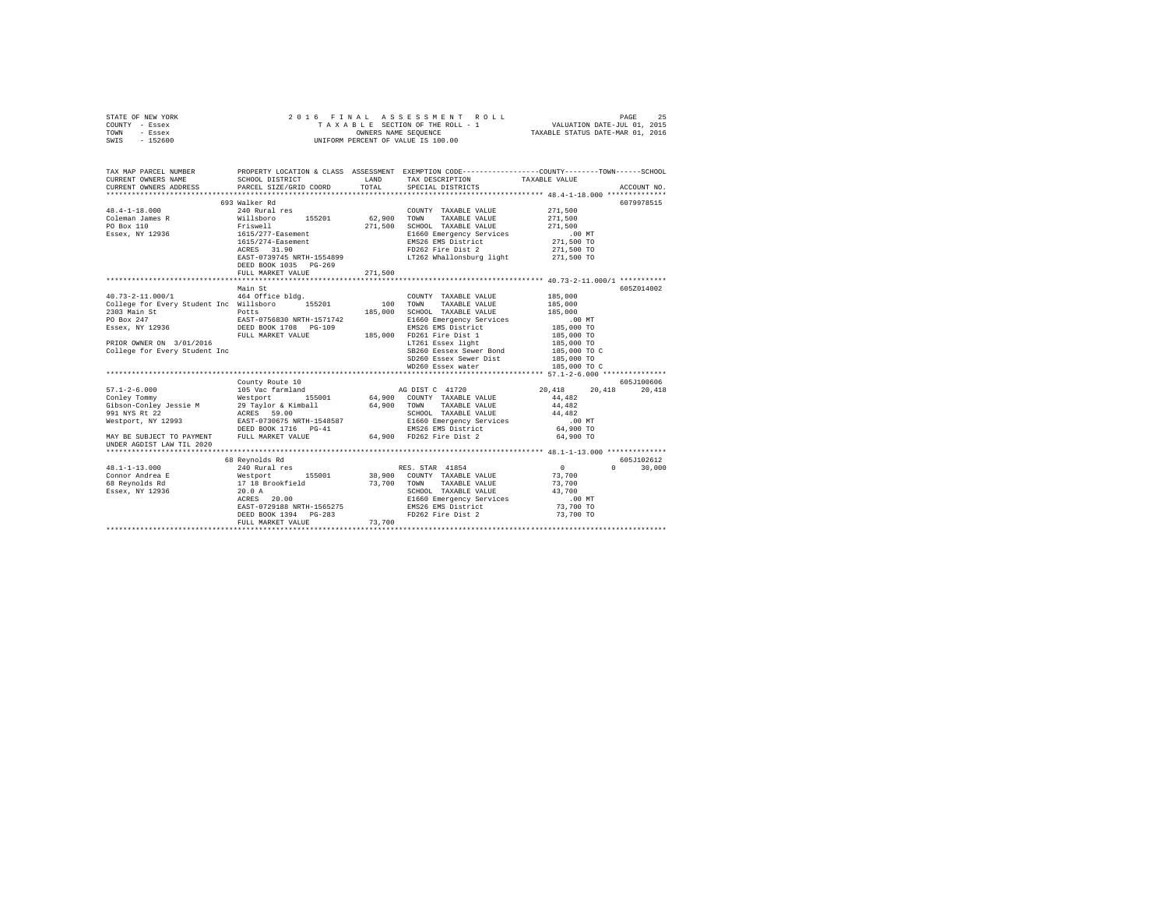| COUNTY - Essex<br>TOWN - Essex<br>SWIS - 152600                                                                                            | UNIFORM PERCENT OF VALUE IS 100.00        |        |                                                                                                                                                                                                                                                                                                                                                                                    |                                    |               |
|--------------------------------------------------------------------------------------------------------------------------------------------|-------------------------------------------|--------|------------------------------------------------------------------------------------------------------------------------------------------------------------------------------------------------------------------------------------------------------------------------------------------------------------------------------------------------------------------------------------|------------------------------------|---------------|
| TAX MAP PARCEL NUMBER<br>CURRENT OWNERS NAME<br>CURRENT OWNERS ADDRESS                                                                     | SCHOOL DISTRICT<br>PARCEL SIZE/GRID COORD |        | PROPERTY LOCATION & CLASS ASSESSMENT EXEMPTION CODE---------------COUNTY-------TOWN------SCHOOL<br>LAND TAX DESCRIPTION TAXABLE VALUE<br>TOTAL SPECIAL DISTRICTS                                                                                                                                                                                                                   |                                    | ACCOUNT NO.   |
|                                                                                                                                            |                                           |        |                                                                                                                                                                                                                                                                                                                                                                                    |                                    |               |
|                                                                                                                                            | 693 Walker Rd                             |        |                                                                                                                                                                                                                                                                                                                                                                                    |                                    | 6079978515    |
|                                                                                                                                            |                                           |        | COUNTY TAXABLE VALUE<br>TAXABLE VALUE                                                                                                                                                                                                                                                                                                                                              | $\scriptstyle{271,500}$<br>271,500 |               |
|                                                                                                                                            |                                           |        |                                                                                                                                                                                                                                                                                                                                                                                    |                                    |               |
|                                                                                                                                            |                                           |        | 271,500 SCHOOL TAXABLE VALUE 1600 271,500<br>E1660 Energency Services 271,500<br>ENS26 EMS District 271,500 TO<br>FD262 Fire Dist 271,500 TO<br>F262 Whallonsburg light 271,500 TO<br>LT262 Whallonsburg light 271,500 TO                                                                                                                                                          |                                    |               |
|                                                                                                                                            |                                           |        |                                                                                                                                                                                                                                                                                                                                                                                    |                                    |               |
|                                                                                                                                            | 1615/274-Easement<br>ACRES 31.90          |        |                                                                                                                                                                                                                                                                                                                                                                                    |                                    |               |
|                                                                                                                                            | EAST-0739745 NRTH-1554899                 |        |                                                                                                                                                                                                                                                                                                                                                                                    |                                    |               |
|                                                                                                                                            | DEED BOOK 1035 PG-269                     |        |                                                                                                                                                                                                                                                                                                                                                                                    |                                    |               |
|                                                                                                                                            | FULL MARKET VALUE 271,500                 |        |                                                                                                                                                                                                                                                                                                                                                                                    |                                    |               |
|                                                                                                                                            |                                           |        |                                                                                                                                                                                                                                                                                                                                                                                    |                                    |               |
|                                                                                                                                            | Main St                                   |        |                                                                                                                                                                                                                                                                                                                                                                                    |                                    | 6057014002    |
| $40.73 - 2 - 11.000 / 1$                                                                                                                   | 464 Office bldg.                          |        | COUNTY TAXABLE VALUE                                                                                                                                                                                                                                                                                                                                                               | 185,000                            |               |
| College for Every Student Inc Willsboro 155201 100 TOWN 2303 Main St Potts 2003 2009 20100                                                 |                                           |        |                                                                                                                                                                                                                                                                                                                                                                                    | 185,000<br>185,000                 |               |
|                                                                                                                                            |                                           |        |                                                                                                                                                                                                                                                                                                                                                                                    |                                    |               |
|                                                                                                                                            |                                           |        |                                                                                                                                                                                                                                                                                                                                                                                    |                                    |               |
|                                                                                                                                            |                                           |        | $\begin{tabular}{l c c c} \hline \texttt{E1660} & Remmeron P. & \texttt{S241} & \texttt{S241} & \texttt{0.0} & \texttt{MT} \\ \hline \texttt{R1826} & \texttt{R183} & \texttt{B184} & \texttt{10.0} & \texttt{10.0} & \texttt{10.0} & \texttt{10.0} & \texttt{10.0} \\ \texttt{F1261} & \texttt{F1F} & \texttt{D181} & \texttt{10.0} & \texttt{10.0} & \texttt{10.0} & \texttt{10$ |                                    |               |
|                                                                                                                                            |                                           |        |                                                                                                                                                                                                                                                                                                                                                                                    |                                    |               |
| College for Every Student Inc                                                                                                              |                                           |        |                                                                                                                                                                                                                                                                                                                                                                                    |                                    |               |
|                                                                                                                                            |                                           |        |                                                                                                                                                                                                                                                                                                                                                                                    |                                    |               |
|                                                                                                                                            |                                           |        |                                                                                                                                                                                                                                                                                                                                                                                    |                                    |               |
|                                                                                                                                            |                                           |        |                                                                                                                                                                                                                                                                                                                                                                                    |                                    |               |
| $57.1 - 2 - 6.000$                                                                                                                         |                                           |        |                                                                                                                                                                                                                                                                                                                                                                                    | 20,418 20,418 20,418               | 605J100606    |
|                                                                                                                                            |                                           |        |                                                                                                                                                                                                                                                                                                                                                                                    |                                    |               |
|                                                                                                                                            |                                           |        |                                                                                                                                                                                                                                                                                                                                                                                    |                                    |               |
|                                                                                                                                            |                                           |        |                                                                                                                                                                                                                                                                                                                                                                                    |                                    |               |
|                                                                                                                                            |                                           |        |                                                                                                                                                                                                                                                                                                                                                                                    |                                    |               |
|                                                                                                                                            |                                           |        |                                                                                                                                                                                                                                                                                                                                                                                    |                                    |               |
| MAY BE SUBJECT TO PAYMENT FULL MARKET VALUE 64,900 64,900 FD262 Fire Dist 2 64,900 TO<br>UNDER AGDIST LAW TIL 2020                         |                                           |        |                                                                                                                                                                                                                                                                                                                                                                                    |                                    |               |
|                                                                                                                                            |                                           |        |                                                                                                                                                                                                                                                                                                                                                                                    |                                    |               |
|                                                                                                                                            | 68 Reynolds Rd<br>240 Rural res           |        |                                                                                                                                                                                                                                                                                                                                                                                    |                                    | 605J102612    |
| 48.1-1-13.000                                                                                                                              |                                           |        | RES. STAR 41854                                                                                                                                                                                                                                                                                                                                                                    | $\overline{a}$                     | $0 \t 30,000$ |
| Connor Andrea E and Mestport 155001 38,900 COUNTY TAXABLE VALUE 73,700<br>68 Reynolds Rd 17 18 Brookfield 73,700 TOWN TAXABLE VALUE 73,700 |                                           |        |                                                                                                                                                                                                                                                                                                                                                                                    |                                    |               |
|                                                                                                                                            |                                           |        |                                                                                                                                                                                                                                                                                                                                                                                    |                                    |               |
| Essex, NY 12936 20.0 A                                                                                                                     |                                           |        |                                                                                                                                                                                                                                                                                                                                                                                    |                                    |               |
|                                                                                                                                            |                                           |        |                                                                                                                                                                                                                                                                                                                                                                                    |                                    |               |
|                                                                                                                                            |                                           |        |                                                                                                                                                                                                                                                                                                                                                                                    |                                    |               |
|                                                                                                                                            | FULL MARKET VALUE                         | 73,700 |                                                                                                                                                                                                                                                                                                                                                                                    |                                    |               |
|                                                                                                                                            |                                           |        |                                                                                                                                                                                                                                                                                                                                                                                    |                                    |               |

STATE OF NEW YORK 25 2016 FINAL ASSESSMENT ROLL CHARGE 25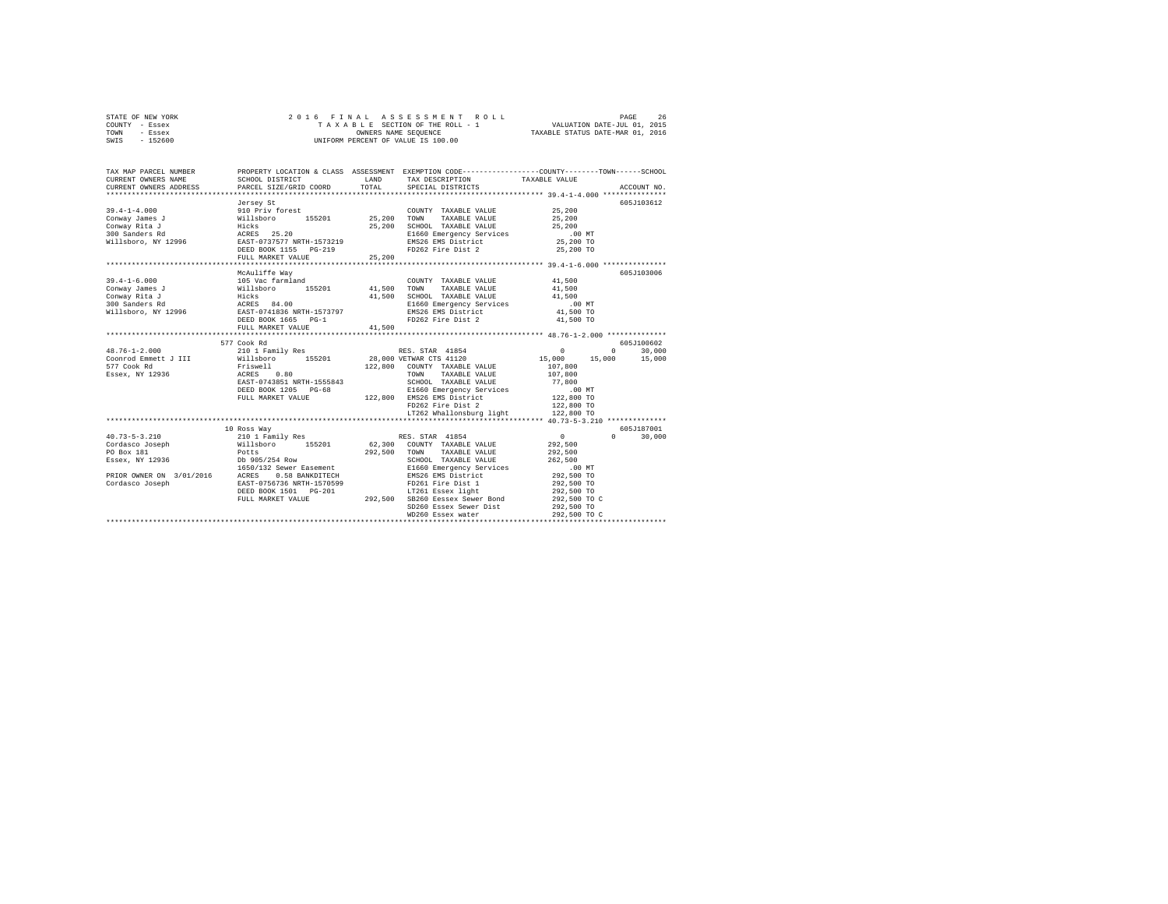|      | STATE OF NEW YORK |  |                      | 2016 FINAL ASSESSMENT ROLL         | 26<br>PAGE                  |
|------|-------------------|--|----------------------|------------------------------------|-----------------------------|
|      | COUNTY - Essex    |  |                      | TAXABLE SECTION OF THE ROLL - 1    | VALUATION DATE-JUL 01, 2015 |
| TOWN | - Essex           |  | OWNERS NAME SEOUENCE | TAXABLE STATUS DATE-MAR 01, 2016   |                             |
| SWIS | - 152600          |  |                      | UNIFORM PERCENT OF VALUE IS 100.00 |                             |

| TAX MAP PARCEL NUMBER<br>CURRENT OWNERS NAME<br>CURRENT OWNERS ADDRESS PARCEL SIZE/GRID COORD             | SCHOOL DISTRICT                                                                                                                                                                   | LAND<br>TOTAL               | TAX DESCRIPTION TAXABLE VALUE<br>SPECIAL DISTRICTS                                                                                                                                                                                                                    | PROPERTY LOCATION & CLASS ASSESSMENT EXEMPTION CODE---------------COUNTY-------TOWN------SCHOOL                                                      | ACCOUNT NO.           |
|-----------------------------------------------------------------------------------------------------------|-----------------------------------------------------------------------------------------------------------------------------------------------------------------------------------|-----------------------------|-----------------------------------------------------------------------------------------------------------------------------------------------------------------------------------------------------------------------------------------------------------------------|------------------------------------------------------------------------------------------------------------------------------------------------------|-----------------------|
| $39.4 - 1 - 4.000$<br>Conway James J<br>Conway Rita J<br>300 Sanders Rd<br>Willsboro, NY 12996            | Jersey St<br>910 Priv forest<br>155201 25,200<br>Willsboro<br>Hicks<br>ACRES 25.20<br>EAST-0737577 NRTH-1573219<br>DEED BOOK 1155 PG-219<br>FULL MARKET VALUE                     | 25,200                      | COUNTY TAXABLE VALUE<br>TAXABLE VALUE<br>TOWN<br>SCHOOL TAXABLE VALUE<br>E1660 Emergency Services<br>EMS26 EMS District<br>FD262 Fire Dist 2                                                                                                                          | 25,200<br>25,200<br>25,200<br>$.00$ MT<br>25,200 TO<br>25,200 TO                                                                                     | 605J103612            |
| $39.4 - 1 - 6.000$<br>Conway James J                                                                      | McAuliffe Way<br>105 Vac farmland<br>Willsboro 155201 41,500<br>DEED BOOK 1665 PG-1<br>FULL MARKET VALUE<br>*************************                                             | 25, 200<br>41,500<br>41,500 | COUNTY TAXABLE VALUE<br>TAXABLE VALUE<br>TOWN<br>SCHOOL TAXABLE VALUE<br>E1660 Emergency Services<br>EMS26 EMS District<br>FD262 Fire Dist 2                                                                                                                          | 41,500<br>41,500<br>41,500<br>.00 MT<br>41,500 TO<br>41,500 TO                                                                                       | 605J103006            |
| $48.76 - 1 - 2.000$<br>Coonrod Emmett J III<br>577 Cook Rd<br>Essex, NY 12936                             | 577 Cook Rd<br>210 1 Family Res<br>Willsboro 155201<br>Friswell<br>0.80<br>ACRES<br>EAST-0743851 NRTH-1555843<br>DEED BOOK 1205 PG-68<br>FULL MARKET VALUE                        |                             | RES. STAR 41854<br>28,000 VETWAR CTS 41120<br>122,800 COUNTY TAXABLE VALUE<br>TOWN<br>TAXABLE VALUE<br>SCHOOL TAXABLE VALUE<br>E1660 Emergency Services<br>122,800 EMS26 EMS District<br>FD262 Fire Dist 2<br>LT262 Whallonsburg light 122,800 TO                     | $^{\circ}$<br>$\circ$<br>15,000<br>15,000 15,000<br>107,800<br>107,800<br>77,800<br>$.00$ MT<br>122,800 TO<br>122,800 TO                             | 605-7100602<br>30,000 |
| $40.73 - 5 - 3.210$<br>Cordasco Joseph<br>PO Box 181<br>PRIOR OWNER ON 3/01/2016 ACRES<br>Cordasco Joseph | 10 Ross Way<br>210 1 Family Res<br>Willsboro 155201<br>Potts<br>0.58 BANKDITECH<br>ACRES 0.50 DENNISS.<br>EAST-0756736 NRTH-1570599<br>DEED BOOK 1501 PG-201<br>FULL MARKET VALUE | 292,500<br>292,500          | RES. STAR 41854<br>62,300 COUNTY TAXABLE VALUE<br>TAXABLE VALUE<br>TOWN<br>SCHOOL TAXABLE VALUE<br>E1660 Emergency Services<br>EMS26 EMS District<br>FD261 Fire Dist 1<br>LT261 Essex light<br>SB260 Eessex Sewer Bond<br>SD260 Essex Sewer Dist<br>WD260 Essex water | 0<br>$\mathbf{r}$<br>292.500<br>292,500<br>262,500<br>.00 MT<br>292,500 TO<br>292,500 TO<br>292,500 TO<br>292,500 TO C<br>292,500 TO<br>292,500 TO C | 605J187001<br>30,000  |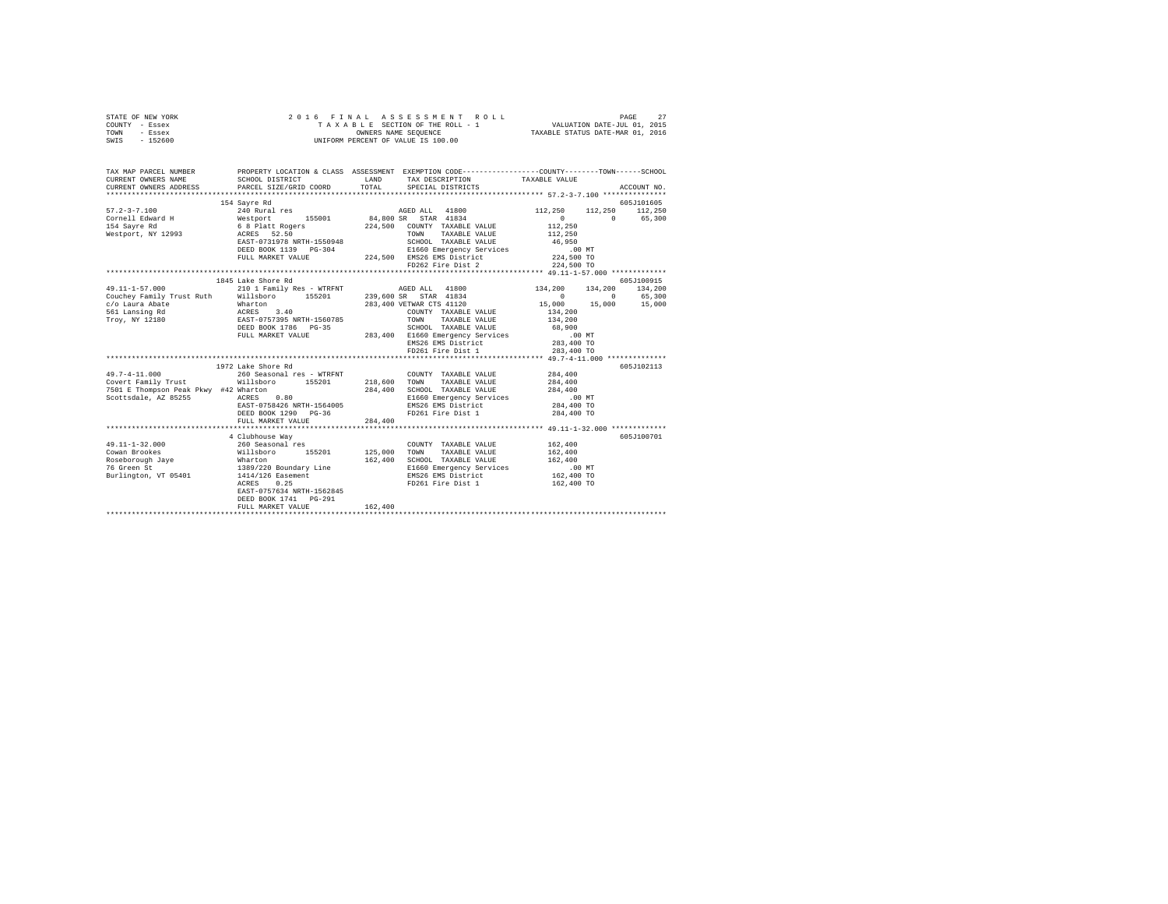| STATE OF NEW YORK<br>COUNTY - Essex<br>TOWN - Essex<br>SWIS - 152600 | 2016 FINAL ASSESSMENT R<br>TAXABLE SECTION OF THE ROLL - 1<br>OWNERS NAME SEQUENCE<br>UNIFORM PERCENT OF VALUE IS 100.00                                                                                                                                                                                                                                                                                                                         |         | 2016 FINAL ASSESSMENT ROLL   |                                |                         |
|----------------------------------------------------------------------|--------------------------------------------------------------------------------------------------------------------------------------------------------------------------------------------------------------------------------------------------------------------------------------------------------------------------------------------------------------------------------------------------------------------------------------------------|---------|------------------------------|--------------------------------|-------------------------|
| CURRENT OWNERS NAME                                                  | TAX MAP PARCEL NUMBER PROPERTY LOCATION & CLASS ASSESSMENT EXEMPTION CODE--------------COUNTY-------TOWN------SCHOOL<br>SCHOOL DISTRICT TAND TAX DESCRIPTION                                                                                                                                                                                                                                                                                     |         |                              | TAXABLE VALUE                  |                         |
|                                                                      | CURRENT OWNERS ADDRESS . PARCEL SIZE/GRID COORD . INN TOTAL SPECIAL DISTRICTS                                                                                                                                                                                                                                                                                                                                                                    |         |                              |                                | ACCOUNT NO.             |
|                                                                      | 154 Sayre Rd                                                                                                                                                                                                                                                                                                                                                                                                                                     |         |                              |                                | 605J101605              |
|                                                                      |                                                                                                                                                                                                                                                                                                                                                                                                                                                  |         |                              |                                | 112,250 112,250 112,250 |
|                                                                      |                                                                                                                                                                                                                                                                                                                                                                                                                                                  |         |                              |                                |                         |
|                                                                      |                                                                                                                                                                                                                                                                                                                                                                                                                                                  |         |                              |                                | $0$ 0 65,300<br>112,250 |
|                                                                      |                                                                                                                                                                                                                                                                                                                                                                                                                                                  |         |                              |                                |                         |
|                                                                      |                                                                                                                                                                                                                                                                                                                                                                                                                                                  |         |                              |                                |                         |
|                                                                      |                                                                                                                                                                                                                                                                                                                                                                                                                                                  |         |                              |                                |                         |
|                                                                      |                                                                                                                                                                                                                                                                                                                                                                                                                                                  |         | FD262 Fire Dist 2            | 224,500 TO                     |                         |
|                                                                      |                                                                                                                                                                                                                                                                                                                                                                                                                                                  |         |                              |                                |                         |
|                                                                      | 1845 Lake Shore Rd                                                                                                                                                                                                                                                                                                                                                                                                                               |         |                              |                                | 605J100915              |
|                                                                      |                                                                                                                                                                                                                                                                                                                                                                                                                                                  |         |                              |                                |                         |
|                                                                      |                                                                                                                                                                                                                                                                                                                                                                                                                                                  |         |                              |                                |                         |
|                                                                      |                                                                                                                                                                                                                                                                                                                                                                                                                                                  |         |                              |                                |                         |
|                                                                      |                                                                                                                                                                                                                                                                                                                                                                                                                                                  |         |                              |                                |                         |
|                                                                      |                                                                                                                                                                                                                                                                                                                                                                                                                                                  |         |                              |                                |                         |
|                                                                      |                                                                                                                                                                                                                                                                                                                                                                                                                                                  |         |                              |                                |                         |
|                                                                      |                                                                                                                                                                                                                                                                                                                                                                                                                                                  |         |                              |                                |                         |
|                                                                      |                                                                                                                                                                                                                                                                                                                                                                                                                                                  |         | FD261 Fire Dist 1            | 283,400 TO                     |                         |
|                                                                      |                                                                                                                                                                                                                                                                                                                                                                                                                                                  |         |                              |                                |                         |
|                                                                      | 1972 Lake Shore Rd                                                                                                                                                                                                                                                                                                                                                                                                                               |         |                              |                                | 605J102113              |
|                                                                      | $\begin{array}{l} \texttt{49.7-4-11.000} \end{array} \quad \begin{array}{l} \texttt{284.400} \\ \texttt{29.7-4-11.000} \end{array} \quad \begin{array}{l} \texttt{284.400} \\ \texttt{218.600} \end{array} \quad \begin{array}{l} \texttt{CONTY} \\ \texttt{20INT} \end{array} \quad \begin{array}{l} \texttt{28.400} \\ \texttt{218.600} \end{array} \quad \begin{array}{l} \texttt{TONNY} \\ \texttt{20INT} \end{array} \quad \begin{array}{l$ |         |                              |                                |                         |
|                                                                      |                                                                                                                                                                                                                                                                                                                                                                                                                                                  |         |                              |                                |                         |
|                                                                      |                                                                                                                                                                                                                                                                                                                                                                                                                                                  |         |                              |                                |                         |
|                                                                      |                                                                                                                                                                                                                                                                                                                                                                                                                                                  |         |                              |                                |                         |
|                                                                      |                                                                                                                                                                                                                                                                                                                                                                                                                                                  |         |                              |                                |                         |
|                                                                      | FULL MARKET VALUE                                                                                                                                                                                                                                                                                                                                                                                                                                | 284,400 |                              |                                |                         |
|                                                                      |                                                                                                                                                                                                                                                                                                                                                                                                                                                  |         |                              |                                |                         |
|                                                                      | 4 Clubhouse Way                                                                                                                                                                                                                                                                                                                                                                                                                                  |         |                              |                                | 605J100701              |
|                                                                      |                                                                                                                                                                                                                                                                                                                                                                                                                                                  |         |                              | 162,400<br>162,400             |                         |
|                                                                      |                                                                                                                                                                                                                                                                                                                                                                                                                                                  |         |                              |                                |                         |
|                                                                      |                                                                                                                                                                                                                                                                                                                                                                                                                                                  |         |                              | 162,400<br>00 MT<br>162,400 TO |                         |
|                                                                      |                                                                                                                                                                                                                                                                                                                                                                                                                                                  |         |                              |                                |                         |
|                                                                      |                                                                                                                                                                                                                                                                                                                                                                                                                                                  |         | FD261 Fire Dist 1 162.400 TO |                                |                         |
|                                                                      | EAST-0757634 NRTH-1562845                                                                                                                                                                                                                                                                                                                                                                                                                        |         |                              |                                |                         |
|                                                                      | DEED BOOK 1741    PG-291<br>FULL MARKET VALUE                                                                                                                                                                                                                                                                                                                                                                                                    | 162,400 |                              |                                |                         |
|                                                                      |                                                                                                                                                                                                                                                                                                                                                                                                                                                  |         |                              |                                |                         |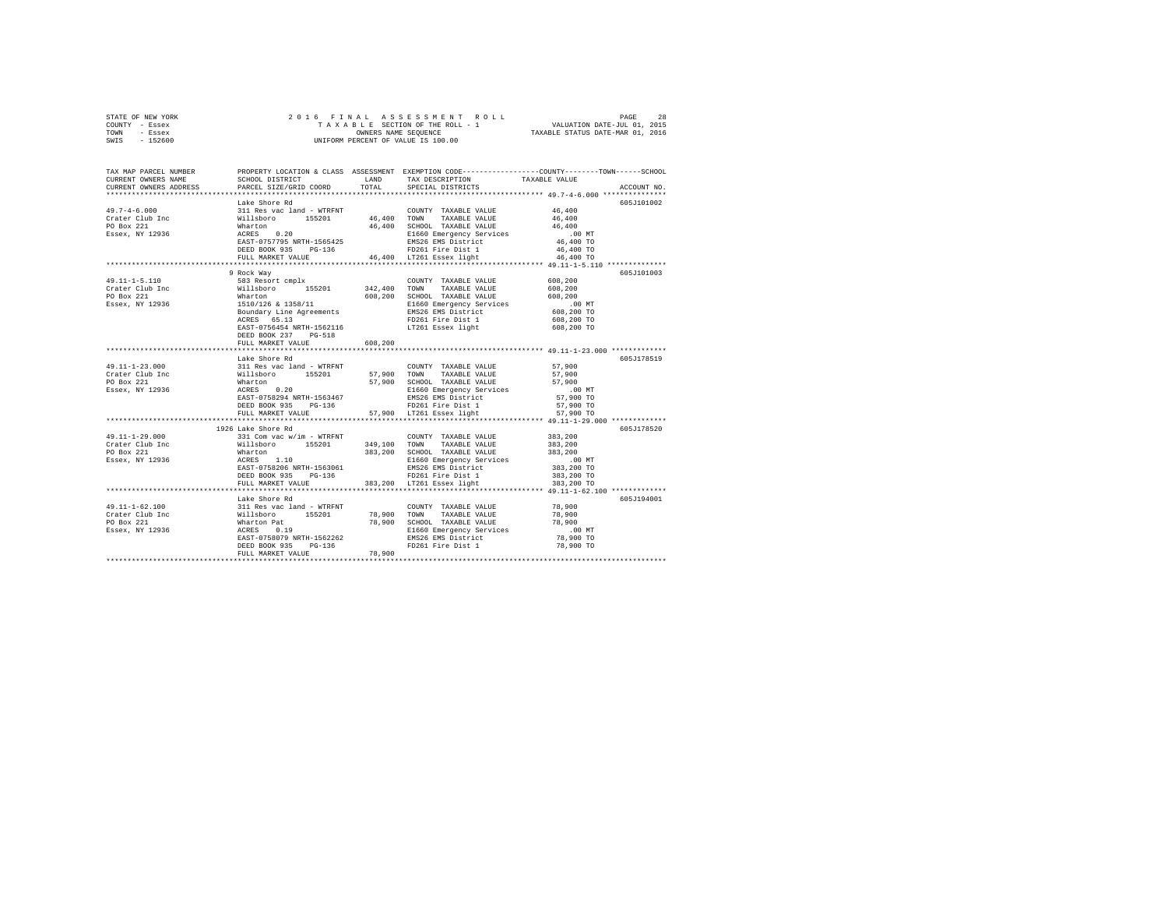| STATE OF NEW YORK | 2016 FINAL ASSESSMENT ROLL         | 28<br>PAGE                       |
|-------------------|------------------------------------|----------------------------------|
| COUNTY - Essex    | TAXABLE SECTION OF THE ROLL - 1    | VALUATION DATE-JUL 01, 2015      |
| TOWN<br>- Essex   | OWNERS NAME SEOUENCE               | TAXABLE STATUS DATE-MAR 01, 2016 |
| $-152600$<br>SWIS | UNIFORM PERCENT OF VALUE IS 100.00 |                                  |

| TAX MAP PARCEL NUMBER<br>CURRENT OWNERS NAME<br>CURRENT OWNERS ADDRESS                                                                                                                                                                                                                                                                                                                                                                       | SCHOOL DISTRICT TAND TAX DESCRIPTION<br>PARCEL SIZE/GRID COORD TOTAL                                                                                                                                                                                                                                                                                                                                               |         | SPECIAL DISTRICTS                      | PROPERTY LOCATION & CLASS ASSESSMENT EXEMPTION CODE----------------COUNTY-------TOWN-----SCHOOL<br>TAXABLE VALUE<br>ACCOUNT NO. |
|----------------------------------------------------------------------------------------------------------------------------------------------------------------------------------------------------------------------------------------------------------------------------------------------------------------------------------------------------------------------------------------------------------------------------------------------|--------------------------------------------------------------------------------------------------------------------------------------------------------------------------------------------------------------------------------------------------------------------------------------------------------------------------------------------------------------------------------------------------------------------|---------|----------------------------------------|---------------------------------------------------------------------------------------------------------------------------------|
|                                                                                                                                                                                                                                                                                                                                                                                                                                              |                                                                                                                                                                                                                                                                                                                                                                                                                    |         |                                        |                                                                                                                                 |
|                                                                                                                                                                                                                                                                                                                                                                                                                                              | Lake Shore Rd                                                                                                                                                                                                                                                                                                                                                                                                      |         |                                        | 605J101002                                                                                                                      |
| $\begin{tabular}{l c c c c c} \hline & \multicolumn{3}{c }{\textbf{19.7--4-6.000}} & \multicolumn{3}{c }{\textbf{19.8--4-6.000}} & \multicolumn{3}{c }{\textbf{19.8--4-6.000}} & \multicolumn{3}{c }{\textbf{19.8--4-6.000}} & \multicolumn{3}{c }{\textbf{19.8--4-6.000}} & \multicolumn{3}{c }{\textbf{19.8--4-6.000}} & \multicolumn{3}{c }{\textbf{19.8--4-6.000}} & \mult$                                                              |                                                                                                                                                                                                                                                                                                                                                                                                                    |         |                                        |                                                                                                                                 |
|                                                                                                                                                                                                                                                                                                                                                                                                                                              |                                                                                                                                                                                                                                                                                                                                                                                                                    |         |                                        |                                                                                                                                 |
|                                                                                                                                                                                                                                                                                                                                                                                                                                              |                                                                                                                                                                                                                                                                                                                                                                                                                    |         |                                        |                                                                                                                                 |
|                                                                                                                                                                                                                                                                                                                                                                                                                                              |                                                                                                                                                                                                                                                                                                                                                                                                                    |         |                                        | $.00$ MT                                                                                                                        |
|                                                                                                                                                                                                                                                                                                                                                                                                                                              |                                                                                                                                                                                                                                                                                                                                                                                                                    |         |                                        | $46,400$ TO                                                                                                                     |
|                                                                                                                                                                                                                                                                                                                                                                                                                                              |                                                                                                                                                                                                                                                                                                                                                                                                                    |         |                                        | 46,400 TO                                                                                                                       |
|                                                                                                                                                                                                                                                                                                                                                                                                                                              |                                                                                                                                                                                                                                                                                                                                                                                                                    |         |                                        | 46,400 TO                                                                                                                       |
|                                                                                                                                                                                                                                                                                                                                                                                                                                              |                                                                                                                                                                                                                                                                                                                                                                                                                    |         |                                        | *********************** 49.11-1-5.110 ************                                                                              |
| $\begin{tabular}{l c c c c c} \multicolumn{3}{c}{\textbf{C11}} & \multicolumn{3}{c}{\textbf{C21}} & \multicolumn{3}{c}{\textbf{C21}} & \multicolumn{3}{c}{\textbf{C11}} & \multicolumn{3}{c}{\textbf{C21}} & \multicolumn{3}{c}{\textbf{C11}} & \multicolumn{3}{c}{\textbf{C21}} & \multicolumn{3}{c}{\textbf{C12}} & \multicolumn{3}{c}{\textbf{C21}} & \multicolumn{3}{c}{\textbf{C12}} & \multicolumn{3}{c}{\textbf{C13}} & \multicolumn$ | 9 Rock Way                                                                                                                                                                                                                                                                                                                                                                                                         |         |                                        | 605J101003                                                                                                                      |
|                                                                                                                                                                                                                                                                                                                                                                                                                                              |                                                                                                                                                                                                                                                                                                                                                                                                                    |         |                                        |                                                                                                                                 |
|                                                                                                                                                                                                                                                                                                                                                                                                                                              |                                                                                                                                                                                                                                                                                                                                                                                                                    |         |                                        |                                                                                                                                 |
|                                                                                                                                                                                                                                                                                                                                                                                                                                              |                                                                                                                                                                                                                                                                                                                                                                                                                    |         |                                        |                                                                                                                                 |
|                                                                                                                                                                                                                                                                                                                                                                                                                                              |                                                                                                                                                                                                                                                                                                                                                                                                                    |         |                                        |                                                                                                                                 |
|                                                                                                                                                                                                                                                                                                                                                                                                                                              |                                                                                                                                                                                                                                                                                                                                                                                                                    |         |                                        |                                                                                                                                 |
|                                                                                                                                                                                                                                                                                                                                                                                                                                              | EAST-0756454 NRTH-1562116                                                                                                                                                                                                                                                                                                                                                                                          |         | FD261 Fire Dist 1<br>LT261 Essex light | 608,200 TO                                                                                                                      |
|                                                                                                                                                                                                                                                                                                                                                                                                                                              | DEED BOOK 237 PG-518                                                                                                                                                                                                                                                                                                                                                                                               |         |                                        |                                                                                                                                 |
|                                                                                                                                                                                                                                                                                                                                                                                                                                              | FULL MARKET VALUE                                                                                                                                                                                                                                                                                                                                                                                                  | 608,200 |                                        |                                                                                                                                 |
|                                                                                                                                                                                                                                                                                                                                                                                                                                              |                                                                                                                                                                                                                                                                                                                                                                                                                    |         |                                        |                                                                                                                                 |
|                                                                                                                                                                                                                                                                                                                                                                                                                                              | Lake Shore Rd                                                                                                                                                                                                                                                                                                                                                                                                      |         |                                        | 605J178519                                                                                                                      |
|                                                                                                                                                                                                                                                                                                                                                                                                                                              |                                                                                                                                                                                                                                                                                                                                                                                                                    |         |                                        |                                                                                                                                 |
|                                                                                                                                                                                                                                                                                                                                                                                                                                              |                                                                                                                                                                                                                                                                                                                                                                                                                    |         |                                        |                                                                                                                                 |
|                                                                                                                                                                                                                                                                                                                                                                                                                                              |                                                                                                                                                                                                                                                                                                                                                                                                                    |         |                                        |                                                                                                                                 |
|                                                                                                                                                                                                                                                                                                                                                                                                                                              |                                                                                                                                                                                                                                                                                                                                                                                                                    |         |                                        |                                                                                                                                 |
|                                                                                                                                                                                                                                                                                                                                                                                                                                              |                                                                                                                                                                                                                                                                                                                                                                                                                    |         |                                        |                                                                                                                                 |
|                                                                                                                                                                                                                                                                                                                                                                                                                                              |                                                                                                                                                                                                                                                                                                                                                                                                                    |         |                                        | 57,900 TO                                                                                                                       |
|                                                                                                                                                                                                                                                                                                                                                                                                                                              | DEED BOOK 935 PG-136 PD261 Fire Dist 1<br>FULL MARKET VALUE 57,900 LT261 Essex light                                                                                                                                                                                                                                                                                                                               |         |                                        | 57,900 TO                                                                                                                       |
|                                                                                                                                                                                                                                                                                                                                                                                                                                              |                                                                                                                                                                                                                                                                                                                                                                                                                    |         |                                        |                                                                                                                                 |
|                                                                                                                                                                                                                                                                                                                                                                                                                                              | 1926 Lake Shore Rd                                                                                                                                                                                                                                                                                                                                                                                                 |         |                                        | 605J178520                                                                                                                      |
| $49.11 - 1 - 29.000$                                                                                                                                                                                                                                                                                                                                                                                                                         |                                                                                                                                                                                                                                                                                                                                                                                                                    |         | COUNTY TAXABLE VALUE 383,200           |                                                                                                                                 |
| Crater Club Inc                                                                                                                                                                                                                                                                                                                                                                                                                              |                                                                                                                                                                                                                                                                                                                                                                                                                    |         |                                        |                                                                                                                                 |
| PO Box 221                                                                                                                                                                                                                                                                                                                                                                                                                                   | $\begin{tabular}{cccccc} \texttt{331} \texttt{Comvec} & \texttt{new} & \texttt{WTRFNT} & \texttt{COMNTY} & \texttt{TAXABLE VALUE} & 383,200 \\ \texttt{331} \texttt{Comvec} & \texttt{348,100} & \texttt{319,100} & \texttt{TAXABLE VALUE} & 383,200 \\ \texttt{WILIBDoror} & 155201 & 349,100 & \texttt{STAOD} & \texttt{TAXABLE VALUE} & 383,200 \\ \texttt{AMRE} & 110 & 383,200 & \texttt{SEHOOL} & \texttt{T$ |         |                                        |                                                                                                                                 |
| Essex, NY 12936                                                                                                                                                                                                                                                                                                                                                                                                                              |                                                                                                                                                                                                                                                                                                                                                                                                                    |         |                                        | 00 MT.<br>383,200 TO                                                                                                            |
|                                                                                                                                                                                                                                                                                                                                                                                                                                              |                                                                                                                                                                                                                                                                                                                                                                                                                    |         |                                        |                                                                                                                                 |
|                                                                                                                                                                                                                                                                                                                                                                                                                                              | DEED BOOK 935 PG-136 PD261 Fire Dist 1<br>FULL MARKET VALUE 383,200 LT261 Essex light                                                                                                                                                                                                                                                                                                                              |         |                                        | 383,200 TO<br>383,200 TO                                                                                                        |
|                                                                                                                                                                                                                                                                                                                                                                                                                                              |                                                                                                                                                                                                                                                                                                                                                                                                                    |         |                                        |                                                                                                                                 |
|                                                                                                                                                                                                                                                                                                                                                                                                                                              | Lake Shore Rd                                                                                                                                                                                                                                                                                                                                                                                                      |         |                                        | 605J194001                                                                                                                      |
|                                                                                                                                                                                                                                                                                                                                                                                                                                              |                                                                                                                                                                                                                                                                                                                                                                                                                    |         |                                        | 78,900                                                                                                                          |
|                                                                                                                                                                                                                                                                                                                                                                                                                                              |                                                                                                                                                                                                                                                                                                                                                                                                                    |         |                                        | 78,900                                                                                                                          |
|                                                                                                                                                                                                                                                                                                                                                                                                                                              |                                                                                                                                                                                                                                                                                                                                                                                                                    |         |                                        | 78,900                                                                                                                          |
|                                                                                                                                                                                                                                                                                                                                                                                                                                              |                                                                                                                                                                                                                                                                                                                                                                                                                    |         |                                        | $.00$ MT                                                                                                                        |
|                                                                                                                                                                                                                                                                                                                                                                                                                                              |                                                                                                                                                                                                                                                                                                                                                                                                                    |         |                                        | 78,900 TO                                                                                                                       |
|                                                                                                                                                                                                                                                                                                                                                                                                                                              |                                                                                                                                                                                                                                                                                                                                                                                                                    |         |                                        | 78,900 TO                                                                                                                       |
|                                                                                                                                                                                                                                                                                                                                                                                                                                              |                                                                                                                                                                                                                                                                                                                                                                                                                    |         |                                        |                                                                                                                                 |
|                                                                                                                                                                                                                                                                                                                                                                                                                                              |                                                                                                                                                                                                                                                                                                                                                                                                                    |         |                                        |                                                                                                                                 |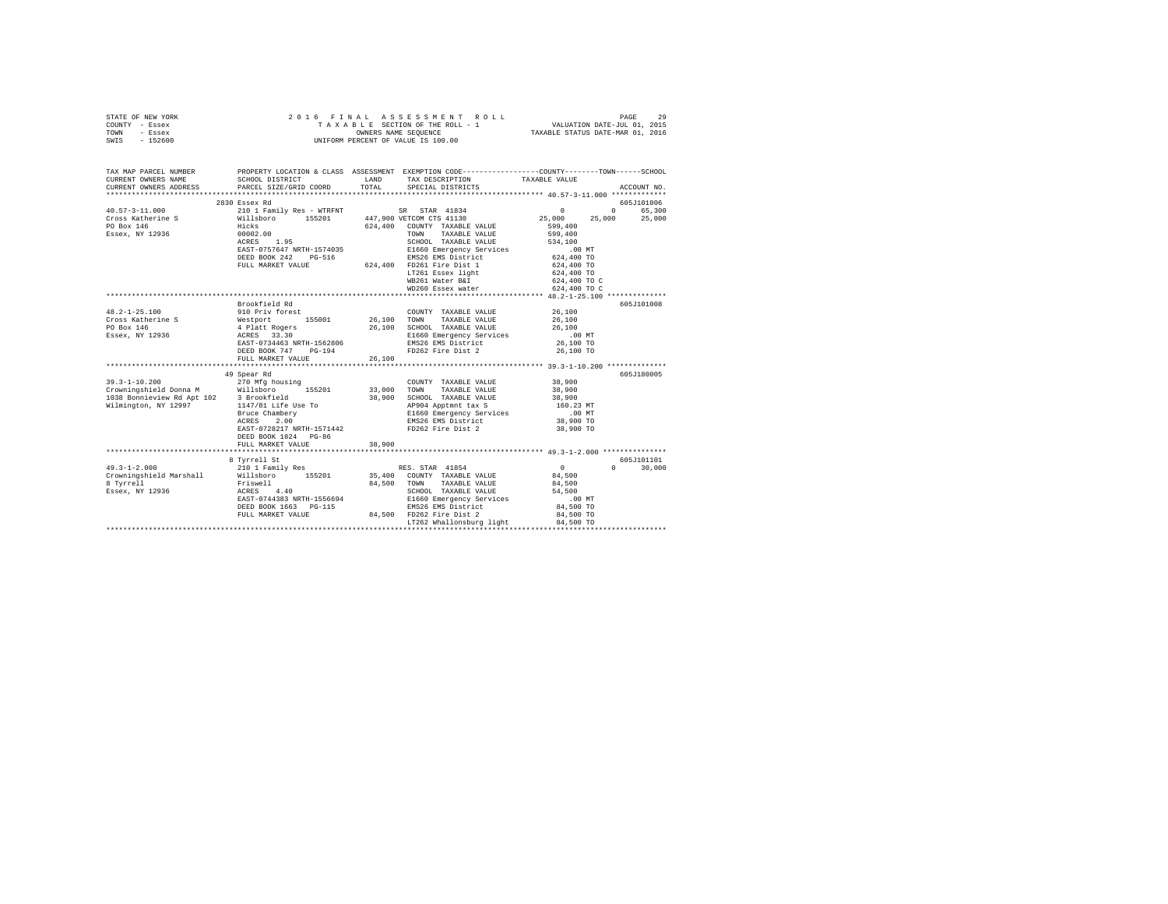| STATE OF NEW YORK<br>COUNTY - Essex<br>TOWN<br>$-$ Essex<br>SWIS - 152600                                                                  |                           |        | 2016 FINAL ASSESSMENT ROLL<br>TAXABLE SECTION OF THE ROLL - 1 VALUATION DATE-JUL 01, 2015<br>OWNERS NAME SEQUENCE TAXABLE STATUS DATE-MAR 01, 2016<br>UNIFORM PERCENT OF VALUE IS 100.00 |                      | 29<br>PAGE  |
|--------------------------------------------------------------------------------------------------------------------------------------------|---------------------------|--------|------------------------------------------------------------------------------------------------------------------------------------------------------------------------------------------|----------------------|-------------|
| TAX MAP PARCEL NUMBER PROPERTY LOCATION & CLASS ASSESSMENT EXEMPTION CODE--------------COUNTY-------TOWN-----SCHOOL<br>CURRENT OWNERS NAME | SCHOOL DISTRICT LAND      |        | TAX DESCRIPTION TAXABLE VALUE                                                                                                                                                            |                      |             |
| CURRENT OWNERS ADDRESS 6 PARCEL SIZE/GRID COORD TOTAL SPECIAL DISTRICTS                                                                    |                           |        |                                                                                                                                                                                          |                      | ACCOUNT NO. |
|                                                                                                                                            |                           |        |                                                                                                                                                                                          |                      |             |
|                                                                                                                                            | 2830 Essex Rd             |        |                                                                                                                                                                                          |                      | 605J101006  |
| $40.57 - 3 - 11.000$                                                                                                                       |                           |        | 210 1 Family Res - WTRFNT SR STAR 41834 0 0 65,300                                                                                                                                       |                      |             |
| Cross Katherine S                                                                                                                          |                           |        | Willsboro 155201 447,900 VETCOM CTS 41130                                                                                                                                                | 25,000 25,000 25,000 |             |
| PO Box 146                                                                                                                                 | Hicks                     |        | $624.400$ COUNTY TAXABLE VALUE 599.400                                                                                                                                                   |                      |             |
| Essex, NY 12936                                                                                                                            | 00002.00                  |        | TAXABLE VALUE 599,400<br>TOWN                                                                                                                                                            |                      |             |
|                                                                                                                                            | ACRES 1.95                |        | SCHOOL TAXABLE VALUE 534,100                                                                                                                                                             |                      |             |
|                                                                                                                                            | EAST-0757647 NRTH-1574035 |        | E1660 Emergency Services .00 MT                                                                                                                                                          |                      |             |
|                                                                                                                                            | DEED BOOK 242 PG-516      |        | EMS26 EMS District 624,400 TO                                                                                                                                                            |                      |             |
|                                                                                                                                            | FULL MARKET VALUE 624,400 |        | FD261 Fire Dist 1                                                                                                                                                                        | 624,400 TO           |             |
|                                                                                                                                            |                           |        | LT261 Essex light 624,400 TO                                                                                                                                                             |                      |             |
|                                                                                                                                            |                           |        | WB261 Water B&I 624,400 TO C                                                                                                                                                             |                      |             |
|                                                                                                                                            |                           |        | WD260 Essex water 624,400 TO C                                                                                                                                                           |                      |             |
|                                                                                                                                            |                           |        |                                                                                                                                                                                          |                      |             |
|                                                                                                                                            | Brookfield Rd             |        |                                                                                                                                                                                          |                      | 605J101008  |
| $48.2 - 1 - 25.100$                                                                                                                        | 910 Priv forest           |        | COUNTY TAXABLE VALUE                                                                                                                                                                     | 26,100               |             |
| Cross Katherine S 6,100                                                                                                                    |                           |        | TOWN<br>TAXABLE VALUE                                                                                                                                                                    | 26,100               |             |
| PO Box 146                                                                                                                                 | 4 Platt Rogers            | 26,100 | SCHOOL TAXABLE VALUE                                                                                                                                                                     | 26,100               |             |

| PO Box 146                 | 4 Platt Rogers            | 26,100 | SCHOOL TAXABLE VALUE     | 26,100    |             |
|----------------------------|---------------------------|--------|--------------------------|-----------|-------------|
| Essex, NY 12936            | ACRES 33.30               |        | E1660 Emergency Services | $.00$ MT  |             |
|                            | EAST-0734463 NRTH-1562806 |        | EMS26 EMS District       | 26,100 TO |             |
|                            | DEED BOOK 747<br>$PG-194$ |        | FD262 Fire Dist 2        | 26,100 TO |             |
|                            | FULL MARKET VALUE         | 26,100 |                          |           |             |
|                            |                           |        |                          |           |             |
|                            | 49 Spear Rd               |        |                          |           | 605J180005  |
| $39.3 - 1 - 10.200$        | 270 Mfg housing           |        | COUNTY<br>TAXABLE VALUE  | 38,900    |             |
| Crowningshield Donna M     | Willsboro<br>155201       | 33,000 | TAXABLE VALUE<br>TOWN    | 38,900    |             |
| 1038 Bonnieview Rd Apt 102 | 3 Brookfield              | 38,900 | SCHOOL<br>TAXABLE VALUE  | 38,900    |             |
| Wilmington, NY 12997       | 1147/81 Life Use To       |        | AP904 Apptmnt tax S      | 160.23 MT |             |
|                            | Bruce Chambery            |        | E1660 Emergency Services | .00MT     |             |
|                            | 2.00<br>ACRES             |        | EMS26 EMS District       | 38,900 TO |             |
|                            | EAST-0728217 NRTH-1571442 |        | FD262 Fire Dist 2        | 38,900 TO |             |
|                            | DEED BOOK 1824 PG-86      |        |                          |           |             |
|                            | FULL MARKET VALUE         | 38,900 |                          |           |             |
|                            |                           |        |                          |           |             |
|                            | 8 Tyrrell St              |        |                          |           | 605-7101101 |
| $49.3 - 1 - 2.000$         | 210 1 Family Res          |        | RES. STAR 41854          | $\Omega$  | 0<br>30,000 |
| Crowningshield Marshall    | Willsboro<br>155201       | 35,400 | COUNTY TAXABLE VALUE     | 84,500    |             |
| 8 Tyrrell                  | Friswell                  | 84,500 | TOWN<br>TAXABLE VALUE    | 84,500    |             |
| Essex, NY 12936            | 4.40<br>ACRES             |        | SCHOOL<br>TAXABLE VALUE  | 54,500    |             |
|                            | EAST-0744383 NRTH-1556694 |        | E1660 Emergency Services | .00MT     |             |
|                            | DEED BOOK 1663 PG-115     |        | EMS26 EMS District       | 84,500 TO |             |
|                            | FULL MARKET VALUE         | 84,500 | FD262 Fire Dist 2        | 84,500 TO |             |
|                            |                           |        | LT262 Whallonsburg light | 84,500 TO |             |
|                            |                           |        |                          |           |             |
|                            |                           |        |                          |           |             |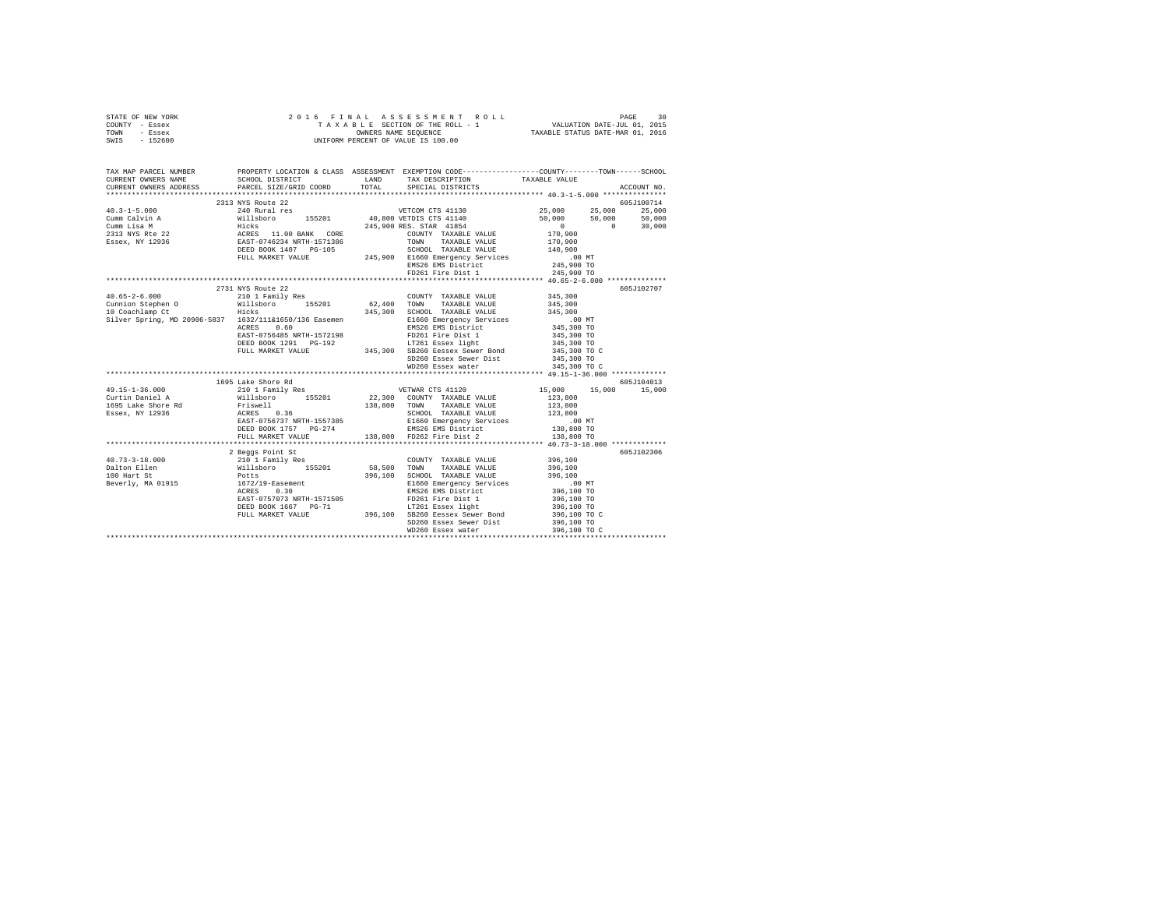| STATE OF NEW YORK | 2016 FINAL ASSESSMENT ROLL         | 30<br>PAGE                       |
|-------------------|------------------------------------|----------------------------------|
| COUNTY - Essex    | TAXABLE SECTION OF THE ROLL - 1    | VALUATION DATE-JUL 01, 2015      |
| TOWN<br>- Essex   | OWNERS NAME SEOUENCE               | TAXABLE STATUS DATE-MAR 01, 2016 |
| $-152600$<br>SWIS | UNIFORM PERCENT OF VALUE IS 100.00 |                                  |

| TAX MAP PARCEL NUMBER PROPERTY LOCATION & CLASS ASSESSMENT EXEMPTION CODE--------------COUNTY-------TOWN------SCHOOL<br>CURRENT OWNERS NAME SCHOOL DISTRICT TAND TAX DESCRIPTION TAXABLE VALUE                                                                      |                    |                           |                            |             |
|---------------------------------------------------------------------------------------------------------------------------------------------------------------------------------------------------------------------------------------------------------------------|--------------------|---------------------------|----------------------------|-------------|
| CURRENT OWNERS ADDRESS PARCEL SIZE/GRID COORD TOTAL                                                                                                                                                                                                                 |                    | SPECIAL DISTRICTS         |                            | ACCOUNT NO. |
|                                                                                                                                                                                                                                                                     |                    |                           |                            |             |
|                                                                                                                                                                                                                                                                     |                    |                           |                            |             |
|                                                                                                                                                                                                                                                                     |                    |                           |                            |             |
|                                                                                                                                                                                                                                                                     |                    |                           |                            |             |
|                                                                                                                                                                                                                                                                     |                    |                           |                            |             |
|                                                                                                                                                                                                                                                                     |                    |                           |                            |             |
|                                                                                                                                                                                                                                                                     |                    |                           |                            |             |
|                                                                                                                                                                                                                                                                     |                    |                           |                            |             |
|                                                                                                                                                                                                                                                                     |                    |                           |                            |             |
| 1999 11 1130 1131 1130 1245,000 125,000 125,000 125,000 125,000 125,000 125,000 125,000 125,000 125,000 125,000 125,000 125,000 125,000 125,000 125,000 125,000 125,000 125,000 125,000 125,000 125,000 125,000 125,000 125,00                                      |                    |                           |                            |             |
|                                                                                                                                                                                                                                                                     |                    |                           |                            |             |
|                                                                                                                                                                                                                                                                     |                    |                           |                            | 605J102707  |
|                                                                                                                                                                                                                                                                     |                    |                           |                            |             |
|                                                                                                                                                                                                                                                                     |                    |                           |                            |             |
|                                                                                                                                                                                                                                                                     |                    |                           |                            |             |
|                                                                                                                                                                                                                                                                     |                    |                           |                            |             |
|                                                                                                                                                                                                                                                                     |                    |                           |                            |             |
|                                                                                                                                                                                                                                                                     |                    |                           |                            |             |
|                                                                                                                                                                                                                                                                     |                    |                           | 345,300 TO<br>345,300 TO C |             |
|                                                                                                                                                                                                                                                                     |                    |                           |                            |             |
|                                                                                                                                                                                                                                                                     |                    |                           |                            |             |
|                                                                                                                                                                                                                                                                     |                    |                           | 345,300 TO C               |             |
|                                                                                                                                                                                                                                                                     |                    |                           |                            |             |
| 49.15-1-36.000 210 1 Family Res WETWAR CTS 41120 15,000 15,000 15,000 15,000                                                                                                                                                                                        | 1695 Lake Shore Rd |                           |                            | 605J104013  |
|                                                                                                                                                                                                                                                                     |                    |                           |                            |             |
|                                                                                                                                                                                                                                                                     |                    |                           |                            |             |
|                                                                                                                                                                                                                                                                     |                    |                           |                            |             |
| 121.1 - 123.800<br>121.1 - 123.800<br>124.1 - 124.800<br>124.800<br>124.825 - 138,800<br>124.825 - 138,800<br>124.825 - 138,800<br>124.800<br>124.800<br>124.800<br>124.800<br>124.800<br>124.800<br>124.800<br>124.800<br>124.800<br>124.800<br>124.800<br>124.80  |                    |                           |                            |             |
|                                                                                                                                                                                                                                                                     |                    |                           |                            |             |
|                                                                                                                                                                                                                                                                     | FULL MARKET VALUE  | 138,800 FD262 Fire Dist 2 | 138,800 TO                 |             |
|                                                                                                                                                                                                                                                                     |                    |                           |                            |             |
| 2 Beggs Point St<br>10 Beggs Point St<br>2 Beggs Point St<br>2 10 11 Family Res<br>2 Bollon 11 1 168201<br>2 196,100<br>2 10 Bert St<br>296,100<br>2 196,100<br>296,100<br>296,100<br>296,100<br>296,100<br>296,100<br>296,100<br>296,100<br>296,100<br>296,100<br> |                    |                           |                            | 605J102306  |
|                                                                                                                                                                                                                                                                     |                    |                           |                            |             |
|                                                                                                                                                                                                                                                                     |                    |                           |                            |             |
|                                                                                                                                                                                                                                                                     |                    |                           |                            |             |
|                                                                                                                                                                                                                                                                     |                    |                           |                            |             |
|                                                                                                                                                                                                                                                                     |                    |                           |                            |             |
|                                                                                                                                                                                                                                                                     |                    |                           |                            |             |
|                                                                                                                                                                                                                                                                     |                    |                           |                            |             |
|                                                                                                                                                                                                                                                                     |                    |                           |                            |             |
|                                                                                                                                                                                                                                                                     |                    |                           |                            |             |
|                                                                                                                                                                                                                                                                     |                    |                           |                            |             |
|                                                                                                                                                                                                                                                                     |                    |                           |                            |             |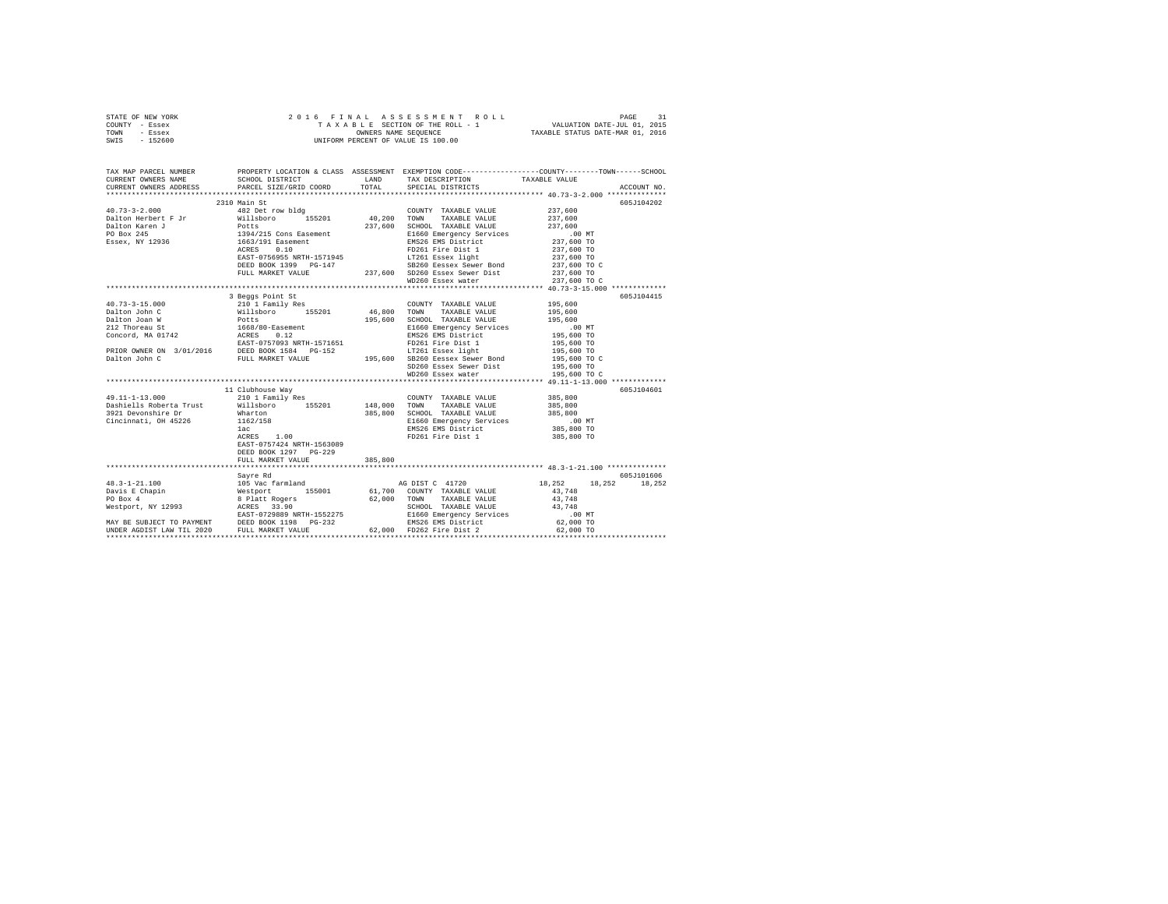|      | STATE OF NEW YORK |  |  | 2016 FINAL ASSESSMENT ROLL         |                                  | PAGE                        |  |
|------|-------------------|--|--|------------------------------------|----------------------------------|-----------------------------|--|
|      | COUNTY - Essex    |  |  | TAXABLE SECTION OF THE ROLL - 1    |                                  | VALUATION DATE-JUL 01, 2015 |  |
| TOWN | - Essex           |  |  | OWNERS NAME SEOUENCE               | TAXABLE STATUS DATE-MAR 01, 2016 |                             |  |
| SWIS | $-152600$         |  |  | UNIFORM PERCENT OF VALUE IS 100.00 |                                  |                             |  |

| TAX MAP PARCEL NUMBER<br>CURRENT OWNERS ADDRESS | CURRENT OWNERS NAME SCHOOL DISTRICT LAND TAX DESCRIPTION TAXABLE VALUE<br>PARCEL SIZE/GRID COORD | TOTAL   | SPECIAL DISTRICTS                                                                                                                                                     | PROPERTY LOCATION & CLASS ASSESSMENT EXEMPTION CODE---------------COUNTY------TOWN------SCHOOL<br>ACCOUNT NO. |  |
|-------------------------------------------------|--------------------------------------------------------------------------------------------------|---------|-----------------------------------------------------------------------------------------------------------------------------------------------------------------------|---------------------------------------------------------------------------------------------------------------|--|
|                                                 |                                                                                                  |         |                                                                                                                                                                       |                                                                                                               |  |
|                                                 | 2310 Main St                                                                                     |         |                                                                                                                                                                       | 605J104202                                                                                                    |  |
|                                                 |                                                                                                  |         | COUNTY TAXABLE VALUE 237,600                                                                                                                                          |                                                                                                               |  |
|                                                 |                                                                                                  |         |                                                                                                                                                                       |                                                                                                               |  |
|                                                 |                                                                                                  |         |                                                                                                                                                                       |                                                                                                               |  |
|                                                 |                                                                                                  |         |                                                                                                                                                                       | 605J104415                                                                                                    |  |
|                                                 | 11 Clubhouse Way                                                                                 |         |                                                                                                                                                                       | 605J104601                                                                                                    |  |
|                                                 | EAST-0757424 NRTH-1563089<br>DEED BOOK 1297 PG-229<br>FULL MARKET VALUE                          | 385,800 | COUNTY TAXABLE VALUE 385,800<br>385,800 SCHOOL TAXABLE VALUE 385,800<br>385,800 E1660 Emergency Services .00 MT<br>EMS26 EMS District 385,800 TO<br>FD261 Fire Dist 1 | 385,800<br>385,800 TO                                                                                         |  |
|                                                 |                                                                                                  |         |                                                                                                                                                                       |                                                                                                               |  |
|                                                 | Sayre Rd                                                                                         |         |                                                                                                                                                                       | 605J101606<br>18, 252 18, 252 18, 252                                                                         |  |
|                                                 |                                                                                                  |         |                                                                                                                                                                       |                                                                                                               |  |
|                                                 |                                                                                                  |         |                                                                                                                                                                       |                                                                                                               |  |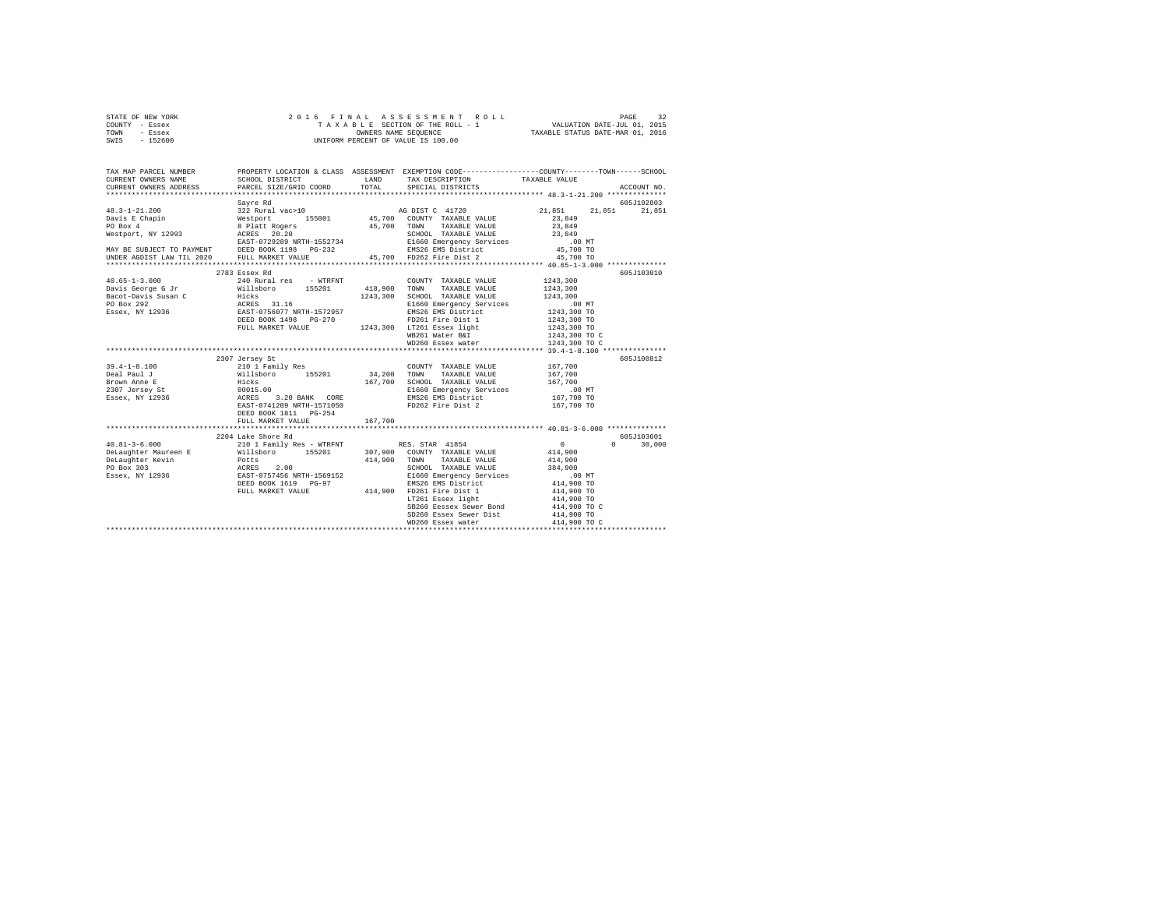| STATE OF NEW YORK | 2016 FINAL ASSESSMENT ROLL         | 32<br>PAGE                       |
|-------------------|------------------------------------|----------------------------------|
| COUNTY - Essex    | TAXABLE SECTION OF THE ROLL - 1    | VALUATION DATE-JUL 01, 2015      |
| TOWN<br>- Essex   | OWNERS NAME SEOUENCE               | TAXABLE STATUS DATE-MAR 01, 2016 |
| - 152600<br>SWIS  | UNIFORM PERCENT OF VALUE IS 100.00 |                                  |

| Sayre Rd<br>605J192003<br>2783 Essex Rd<br>605J103010                                                                                                                                                                                                                                                                                                                                                        | TAX MAP PARCEL NUMBER | PROPERTY LOCATION & CLASS ASSESSMENT EXEMPTION CODE----------------COUNTY-------TOWN------SCHOOL |  | ACCOUNT NO. |
|--------------------------------------------------------------------------------------------------------------------------------------------------------------------------------------------------------------------------------------------------------------------------------------------------------------------------------------------------------------------------------------------------------------|-----------------------|--------------------------------------------------------------------------------------------------|--|-------------|
| $\begin{tabular}{l c c c c c} \multicolumn{1}{c}{\textbf{40.65--1-3.000}} & \multicolumn{1}{c}{2765\texttt{\#S}} \texttt{sex and 1765--1-3.000} & \multicolumn{1}{c}{2765\texttt{\#S}} \texttt{sex} & \multicolumn{1}{c}{276\texttt{\#S}} \texttt{e0.00NTY} & \multicolumn{1}{c}{\textbf{C}0DTY} & \multicolumn{1}{c}{\textbf{TXABLE VALUE}} & \multicolumn{1}{c}{\textbf{1243,300}} & \multicolumn{1}{c}{\$ |                       |                                                                                                  |  |             |
|                                                                                                                                                                                                                                                                                                                                                                                                              |                       |                                                                                                  |  |             |
|                                                                                                                                                                                                                                                                                                                                                                                                              |                       |                                                                                                  |  |             |
|                                                                                                                                                                                                                                                                                                                                                                                                              |                       |                                                                                                  |  |             |
|                                                                                                                                                                                                                                                                                                                                                                                                              |                       |                                                                                                  |  |             |
|                                                                                                                                                                                                                                                                                                                                                                                                              |                       |                                                                                                  |  |             |
|                                                                                                                                                                                                                                                                                                                                                                                                              |                       |                                                                                                  |  |             |
|                                                                                                                                                                                                                                                                                                                                                                                                              |                       |                                                                                                  |  |             |
|                                                                                                                                                                                                                                                                                                                                                                                                              |                       |                                                                                                  |  |             |
|                                                                                                                                                                                                                                                                                                                                                                                                              |                       |                                                                                                  |  |             |
|                                                                                                                                                                                                                                                                                                                                                                                                              |                       |                                                                                                  |  |             |
|                                                                                                                                                                                                                                                                                                                                                                                                              |                       |                                                                                                  |  |             |
|                                                                                                                                                                                                                                                                                                                                                                                                              |                       |                                                                                                  |  |             |
|                                                                                                                                                                                                                                                                                                                                                                                                              |                       |                                                                                                  |  |             |
|                                                                                                                                                                                                                                                                                                                                                                                                              |                       |                                                                                                  |  |             |
|                                                                                                                                                                                                                                                                                                                                                                                                              |                       |                                                                                                  |  |             |
|                                                                                                                                                                                                                                                                                                                                                                                                              |                       |                                                                                                  |  |             |
| 1243,300 TO<br>1243,300 TO<br>1243,300 TO<br>1243,300 TO C                                                                                                                                                                                                                                                                                                                                                   |                       |                                                                                                  |  |             |
| WD260 Essex water 1243,300 TO C                                                                                                                                                                                                                                                                                                                                                                              |                       |                                                                                                  |  |             |
|                                                                                                                                                                                                                                                                                                                                                                                                              |                       |                                                                                                  |  |             |
| 605J100812                                                                                                                                                                                                                                                                                                                                                                                                   |                       |                                                                                                  |  |             |
|                                                                                                                                                                                                                                                                                                                                                                                                              |                       |                                                                                                  |  |             |
|                                                                                                                                                                                                                                                                                                                                                                                                              |                       |                                                                                                  |  |             |
|                                                                                                                                                                                                                                                                                                                                                                                                              |                       |                                                                                                  |  |             |
|                                                                                                                                                                                                                                                                                                                                                                                                              |                       |                                                                                                  |  |             |
|                                                                                                                                                                                                                                                                                                                                                                                                              |                       |                                                                                                  |  |             |
|                                                                                                                                                                                                                                                                                                                                                                                                              |                       |                                                                                                  |  |             |
| DEED BOOK 1811    PG-254                                                                                                                                                                                                                                                                                                                                                                                     |                       |                                                                                                  |  |             |
| 167,700<br>FULL MARKET VALUE                                                                                                                                                                                                                                                                                                                                                                                 |                       |                                                                                                  |  |             |
|                                                                                                                                                                                                                                                                                                                                                                                                              |                       |                                                                                                  |  |             |
| 2204 Lake Shore Rd<br>605J103601                                                                                                                                                                                                                                                                                                                                                                             |                       |                                                                                                  |  |             |
| $0 \t 30,000$                                                                                                                                                                                                                                                                                                                                                                                                |                       |                                                                                                  |  |             |
|                                                                                                                                                                                                                                                                                                                                                                                                              |                       |                                                                                                  |  |             |
|                                                                                                                                                                                                                                                                                                                                                                                                              |                       |                                                                                                  |  |             |
|                                                                                                                                                                                                                                                                                                                                                                                                              |                       |                                                                                                  |  |             |
|                                                                                                                                                                                                                                                                                                                                                                                                              |                       |                                                                                                  |  |             |
|                                                                                                                                                                                                                                                                                                                                                                                                              |                       |                                                                                                  |  |             |
| FULL MARKET VALUE 414,900 FD261 Fire Dist 1 414,900 TO 414,900 TO LT261 Essex light 414,900 TO                                                                                                                                                                                                                                                                                                               |                       |                                                                                                  |  |             |
| SB260 Eessex Sewer Bond 414,900 TO C                                                                                                                                                                                                                                                                                                                                                                         |                       |                                                                                                  |  |             |
|                                                                                                                                                                                                                                                                                                                                                                                                              |                       |                                                                                                  |  |             |
| SD260 Essex Sewer Dist 414,900 TO<br>WD260 Essex water 414,900 TO C                                                                                                                                                                                                                                                                                                                                          |                       |                                                                                                  |  |             |
|                                                                                                                                                                                                                                                                                                                                                                                                              |                       |                                                                                                  |  |             |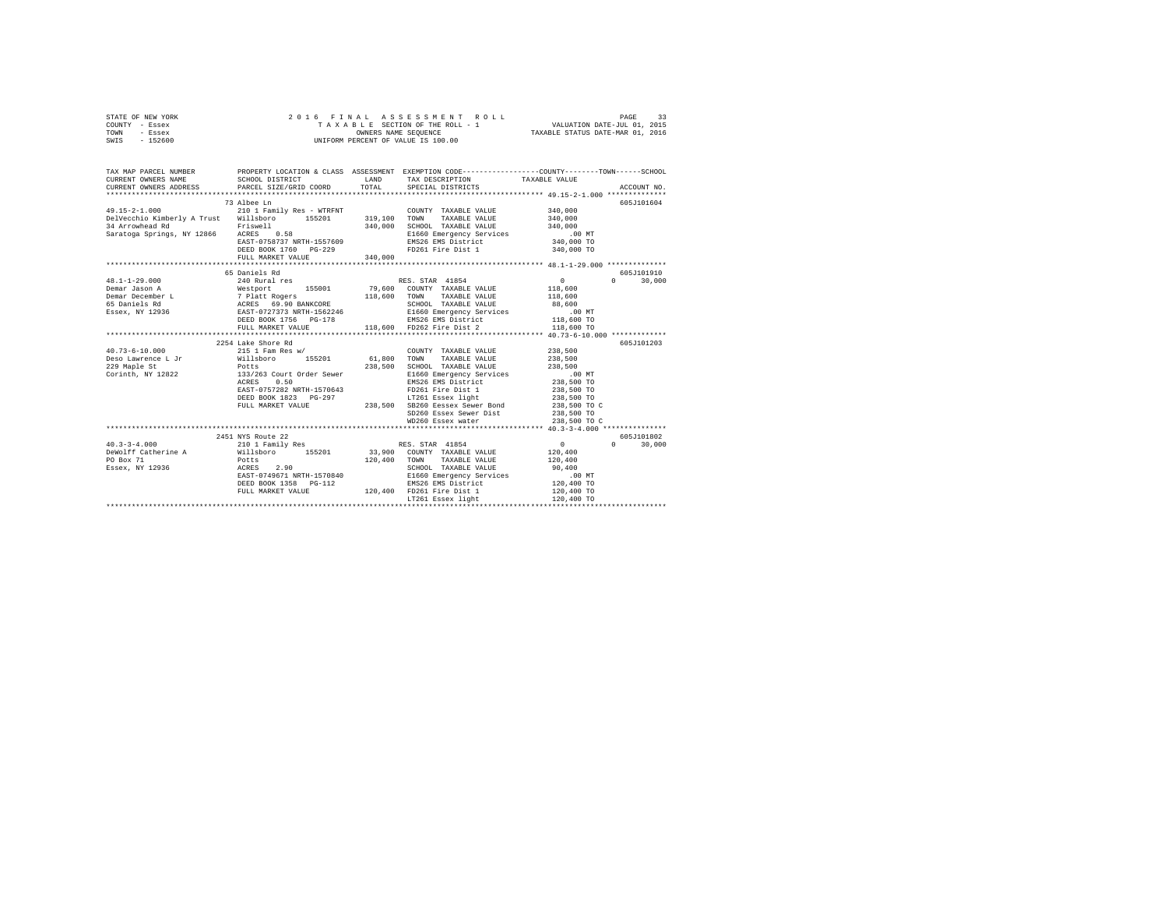| STATE OF NEW YORK | 2016 FINAL ASSESSMENT ROLL         | PAGE                             |
|-------------------|------------------------------------|----------------------------------|
| COUNTY - Essex    | TAXABLE SECTION OF THE ROLL - 1    | VALUATION DATE-JUL 01, 2015      |
| TOWN<br>- Essex   | OWNERS NAME SEOUENCE               | TAXABLE STATUS DATE-MAR 01, 2016 |
| - 152600<br>SWIS  | UNIFORM PERCENT OF VALUE IS 100.00 |                                  |

| TAX MAP PARCEL NUMBER                                                                                                                                                                                                                                                                  |                                                                                                                                             |                                                                                                                                                                                                                                                                                                                                                                                                    | PROPERTY LOCATION & CLASS ASSESSMENT EXEMPTION CODE---------------COUNTY-------TOWN------SCHOOL                                                                                                                                                        |        |
|----------------------------------------------------------------------------------------------------------------------------------------------------------------------------------------------------------------------------------------------------------------------------------------|---------------------------------------------------------------------------------------------------------------------------------------------|----------------------------------------------------------------------------------------------------------------------------------------------------------------------------------------------------------------------------------------------------------------------------------------------------------------------------------------------------------------------------------------------------|--------------------------------------------------------------------------------------------------------------------------------------------------------------------------------------------------------------------------------------------------------|--------|
| $49.15 - 2 - 1.000$<br>Delvecchio Kimberly A Trust Willsboro 155201 319,100 TOWN                                                                                                                                                                                                       | 73 Albee Ln<br>210 1 Family Res - WTRFNT<br>EAST-0758737 NRTH-1557609<br>EAST-0758737 NR14 1-2<br>DEED BOOK 1760 PG-229<br>-- YATHE 340,000 | COUNTY TAXABLE VALUE 340,000<br>TAXABLE VALUE 340,000<br>FD261 Fire Dist 1 340,000 TO                                                                                                                                                                                                                                                                                                              | 605J101604                                                                                                                                                                                                                                             |        |
| $48.1 - 1 - 29.000$<br>Demar Jason A<br>Demar December L<br>Demar December L<br>5 Demar December L<br>5 Demar December L<br>5 Demar December L<br>2 Platt Rogers<br>2000 1156 Demar December 202131 NRTH-1562246<br>E1660 Emergency Services<br>E1660 Emergency Services<br>288,600 MT | 65 Daniels Rd<br>Westport 155001 79,600 COUNTY TAXABLE VALUE 118,600                                                                        |                                                                                                                                                                                                                                                                                                                                                                                                    | 605J101910<br>$0 \t 30.000$<br>382, AT 12330<br>THE BOOK 1756 PG-178 RMS26 EMS District 118,600 TO<br>TULL MARKET VALUE 118,600 FD EDGE PT DISCO FOR STRICT 118,600 TO<br>THE BOOK 1756 PG-178 118,600 RMS26 Fire District 118,500 TO PHOTO 118,600 TO |        |
|                                                                                                                                                                                                                                                                                        | 2254 Lake Shore Rd<br>0.50<br>ACRES<br>EAST-0757282 NRTH-1570643                                                                            | COUNTY TAXABLE VALUE<br>238,500 SCHOOL TAXABLE VALUE 238,500<br>E1660 Emergency Services .00 MT<br>EMS26 EMS District 238,500 TO<br>FD261 Fire Dist 1 238,500 TO<br>02181 1991 1238,500 1239,500 1238,500 1238,500 1238,500 1238,500 1238,500 1238,500 1238,500 1238,500 1238,500 1238,500 1238,500 1238,500 1238,500 1238,500 1238,500 1238,500 1238,500 1238,500 1238,500 1238,500 1238,500 1238 | 605J101203<br>238,500<br>238,500                                                                                                                                                                                                                       |        |
| $40.3 - 3 - 4.000$<br>DeWolff Catherine A Willsboro 155201 33,900 COUNTY TAXABLE VALUE                                                                                                                                                                                                 | 2451 NYS Route 22<br>Potts<br>ACRES 2.90<br>EAST-0749671 NRTH-1570840<br>DEED BOOK 1358 PG-112<br>FULL MARKET VALUE                         | 120,400 TOWN TAXABLE VALUE<br>SCHOOL TAXABLE VALUE 90,400<br>E1660 Emergency Services .00 MT<br>EMS26 EMS District  120,400 TO<br>120,400 FD261 Fire Dist 1                                                                                                                                                                                                                                        | 605J101802<br>$\Omega$<br>120,400<br>120,400<br>120,400 TO                                                                                                                                                                                             | 30,000 |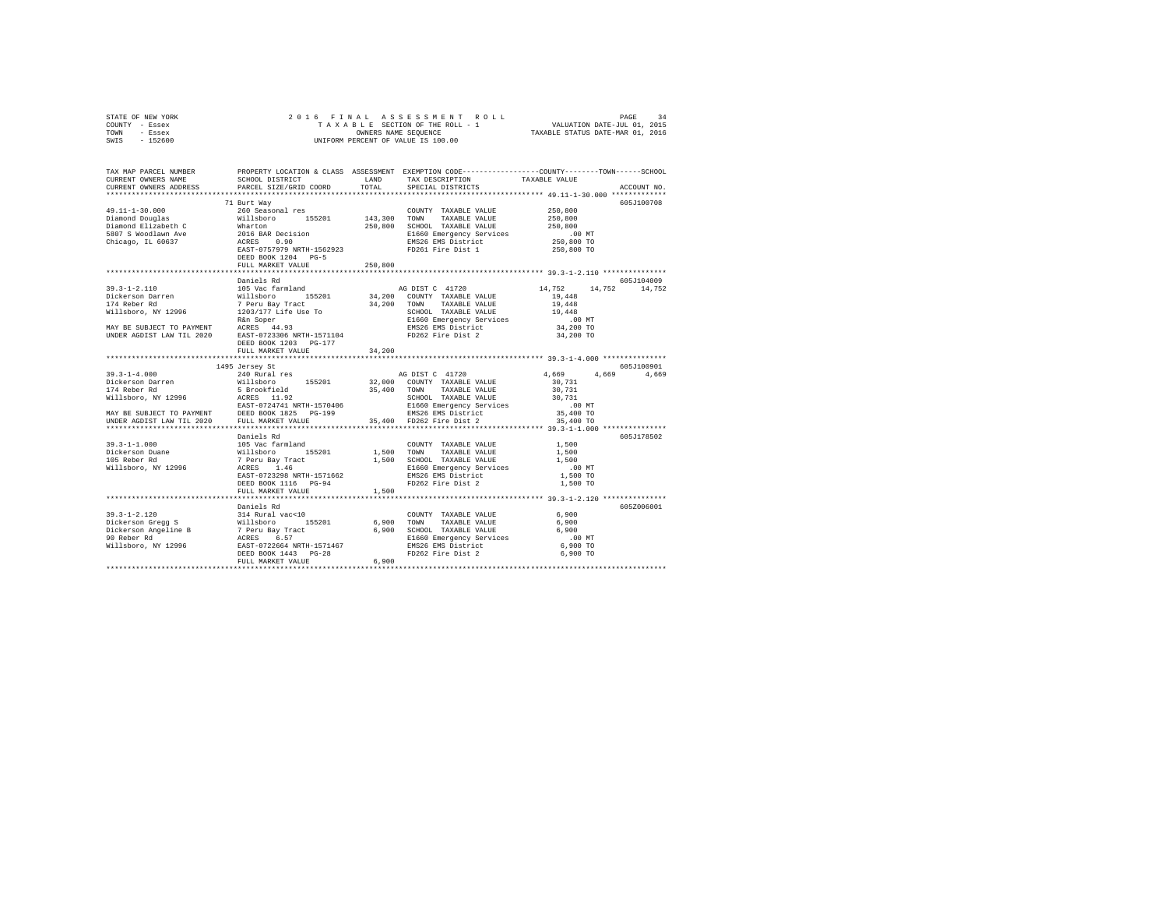|      | STATE OF NEW YORK |  | 2016 FINAL ASSESSMENT ROLL         | 34<br>PAGE                       |
|------|-------------------|--|------------------------------------|----------------------------------|
|      | COUNTY - Essex    |  | TAXABLE SECTION OF THE ROLL - 1    | VALUATION DATE-JUL 01, 2015      |
| TOWN | - Essex           |  | OWNERS NAME SEOUENCE               | TAXABLE STATUS DATE-MAR 01, 2016 |
| SWIS | - 152600          |  | UNIFORM PERCENT OF VALUE IS 100.00 |                                  |

| TAX MAP PARCEL NUMBER<br>CURRENT OWNERS NAME<br>CURRENT OWNERS ADDRESS                                                                                                                                                                                                                 | SCHOOL DISTRICT<br>PARCEL SIZE/GRID COORD | LAND<br>TOTAL | TAX DESCRIPTION<br>SPECIAL DISTRICTS    | PROPERTY LOCATION & CLASS ASSESSMENT EXEMPTION CODE----------------COUNTY-------TOWN------SCHOOL<br>TAXABLE VALUE<br>ACCOUNT NO |       |
|----------------------------------------------------------------------------------------------------------------------------------------------------------------------------------------------------------------------------------------------------------------------------------------|-------------------------------------------|---------------|-----------------------------------------|---------------------------------------------------------------------------------------------------------------------------------|-------|
|                                                                                                                                                                                                                                                                                        |                                           |               |                                         |                                                                                                                                 |       |
|                                                                                                                                                                                                                                                                                        | 71 Burt Way                               |               |                                         | 605J100708                                                                                                                      |       |
| 49.11-1-30.000<br>Diamond Douglas<br>Diamond Diamond Blazabeth C<br>Diamond Blazabeth C<br>S807 S Woodlawn Ave<br>Chicago, IL 60637<br>$\frac{\text{ATRES}}{\text{ATRES}}$ (1.90638)<br>$\frac{\text{ATRES}}{\text{ATRES}}$ (1.90638)<br>$\frac{\text{ATRES}}{\text{ATRES}}$ (1.90638) |                                           |               | COUNTY TAXABLE VALUE                    | 250,800                                                                                                                         |       |
|                                                                                                                                                                                                                                                                                        |                                           |               | 143,300 TOWN TAXABLE VALUE              | 250,800                                                                                                                         |       |
|                                                                                                                                                                                                                                                                                        |                                           |               | 250,800 SCHOOL TAXABLE VALUE            | 250,800                                                                                                                         |       |
|                                                                                                                                                                                                                                                                                        |                                           |               | E1660 Emergency Services                | .00 MT                                                                                                                          |       |
|                                                                                                                                                                                                                                                                                        |                                           |               |                                         | 250,800 TO                                                                                                                      |       |
|                                                                                                                                                                                                                                                                                        | EAST-0757979 NRTH-1562923                 |               | EMS26 EMS District<br>FD261 Fire Dist 1 | 250,800 TO                                                                                                                      |       |
|                                                                                                                                                                                                                                                                                        | DEED BOOK 1204 PG-5                       |               |                                         |                                                                                                                                 |       |
|                                                                                                                                                                                                                                                                                        | FULL MARKET VALUE                         | 250,800       |                                         |                                                                                                                                 |       |
|                                                                                                                                                                                                                                                                                        |                                           |               |                                         | **************** 39.3-1-2.110 **************                                                                                    |       |
|                                                                                                                                                                                                                                                                                        | Daniels Rd                                |               |                                         | 605J104009                                                                                                                      |       |
| $39.3 - 1 - 2.110$                                                                                                                                                                                                                                                                     | 105 Vac farmland                          |               | AG DIST C 41720                         | 14,752<br>14,752 14,752                                                                                                         |       |
| Dickerson Darren                                                                                                                                                                                                                                                                       |                                           |               | 34,200 COUNTY TAXABLE VALUE             | 19,448                                                                                                                          |       |
|                                                                                                                                                                                                                                                                                        |                                           |               | 34,200 TOWN TAXABLE VALUE               | 19,448                                                                                                                          |       |
| Dickerson Darren Millsboro 155201 34,200<br>174 Reber Rd 1996 1203/177 Life User 184,200<br>Millsboro, NY 12996 1203/177 Life Use To<br>MAY BE SUBJECT TO PAYMENT RACRES 44.93                                                                                                         |                                           |               |                                         |                                                                                                                                 |       |
|                                                                                                                                                                                                                                                                                        |                                           |               |                                         |                                                                                                                                 |       |
|                                                                                                                                                                                                                                                                                        |                                           |               | EMS26 EMS District                      | 34,200 TO                                                                                                                       |       |
| UNDER AGDIST LAW TIL 2020 EAST-0723306 NRTH-1571104                                                                                                                                                                                                                                    |                                           |               | FD262 Fire Dist 2                       | 34,200 TO                                                                                                                       |       |
|                                                                                                                                                                                                                                                                                        | DEED BOOK 1203 PG-177                     |               |                                         |                                                                                                                                 |       |
|                                                                                                                                                                                                                                                                                        | FULL MARKET VALUE                         | 34,200        |                                         |                                                                                                                                 |       |
|                                                                                                                                                                                                                                                                                        |                                           |               |                                         |                                                                                                                                 |       |
|                                                                                                                                                                                                                                                                                        | 1495 Jersey St                            |               |                                         | 605J100901                                                                                                                      |       |
| $139.3-1-4.000$ $149.5-40.000$ $149.5-40.000$ $149.5-40.000$ $149.5-40.000$ $149.5-40.000$ $149.5-40.000$ $149.5-40.000$ $155201$ $15201M21 1800M32.000M000M000M000M000M000M000M000M000M000M000M000$                                                                                   |                                           |               |                                         | 4.669                                                                                                                           | 4.669 |
|                                                                                                                                                                                                                                                                                        |                                           |               |                                         |                                                                                                                                 |       |
|                                                                                                                                                                                                                                                                                        |                                           |               |                                         |                                                                                                                                 |       |
|                                                                                                                                                                                                                                                                                        |                                           |               |                                         |                                                                                                                                 |       |
|                                                                                                                                                                                                                                                                                        |                                           |               |                                         |                                                                                                                                 |       |
|                                                                                                                                                                                                                                                                                        |                                           |               |                                         |                                                                                                                                 |       |
|                                                                                                                                                                                                                                                                                        |                                           |               |                                         |                                                                                                                                 |       |
|                                                                                                                                                                                                                                                                                        |                                           |               |                                         | ********************************** 39.3-1-1.000 **************                                                                  |       |
|                                                                                                                                                                                                                                                                                        | Daniels Rd                                |               |                                         | 605J178502                                                                                                                      |       |
| $39.3 - 1 - 1.000$                                                                                                                                                                                                                                                                     |                                           |               | COUNTY TAXABLE VALUE                    | 1,500                                                                                                                           |       |
|                                                                                                                                                                                                                                                                                        |                                           |               |                                         | 1,500                                                                                                                           |       |
| Dickerson Duane<br>105 Reber Rd                                                                                                                                                                                                                                                        |                                           |               |                                         | 1,500                                                                                                                           |       |
| Willsboro, NY 12996                                                                                                                                                                                                                                                                    |                                           |               |                                         | $.00$ MT                                                                                                                        |       |
|                                                                                                                                                                                                                                                                                        | EAST-0723298 NRTH-1571662                 |               | EMS26 EMS District<br>FD262 Fire Dist 2 | 1,500 TO                                                                                                                        |       |
|                                                                                                                                                                                                                                                                                        | DEED BOOK 1116 PG-94                      |               |                                         | 1,500 TO                                                                                                                        |       |
|                                                                                                                                                                                                                                                                                        | FULL MARKET VALUE                         | 1,500         |                                         |                                                                                                                                 |       |
|                                                                                                                                                                                                                                                                                        |                                           |               |                                         |                                                                                                                                 |       |
|                                                                                                                                                                                                                                                                                        | Daniels Rd                                |               |                                         | 605Z006001                                                                                                                      |       |
|                                                                                                                                                                                                                                                                                        |                                           |               |                                         | 6,900                                                                                                                           |       |
|                                                                                                                                                                                                                                                                                        |                                           |               |                                         | 6,900                                                                                                                           |       |
|                                                                                                                                                                                                                                                                                        |                                           |               |                                         | 6,900                                                                                                                           |       |
|                                                                                                                                                                                                                                                                                        |                                           |               |                                         | $.00$ MT                                                                                                                        |       |
|                                                                                                                                                                                                                                                                                        |                                           |               | EMS26 EMS District<br>FD262 Fire Dist 2 | 6,900 TO                                                                                                                        |       |
|                                                                                                                                                                                                                                                                                        |                                           |               |                                         | 6,900 TO                                                                                                                        |       |
|                                                                                                                                                                                                                                                                                        | FULL MARKET VALUE                         | 6,900         |                                         |                                                                                                                                 |       |
|                                                                                                                                                                                                                                                                                        |                                           |               |                                         |                                                                                                                                 |       |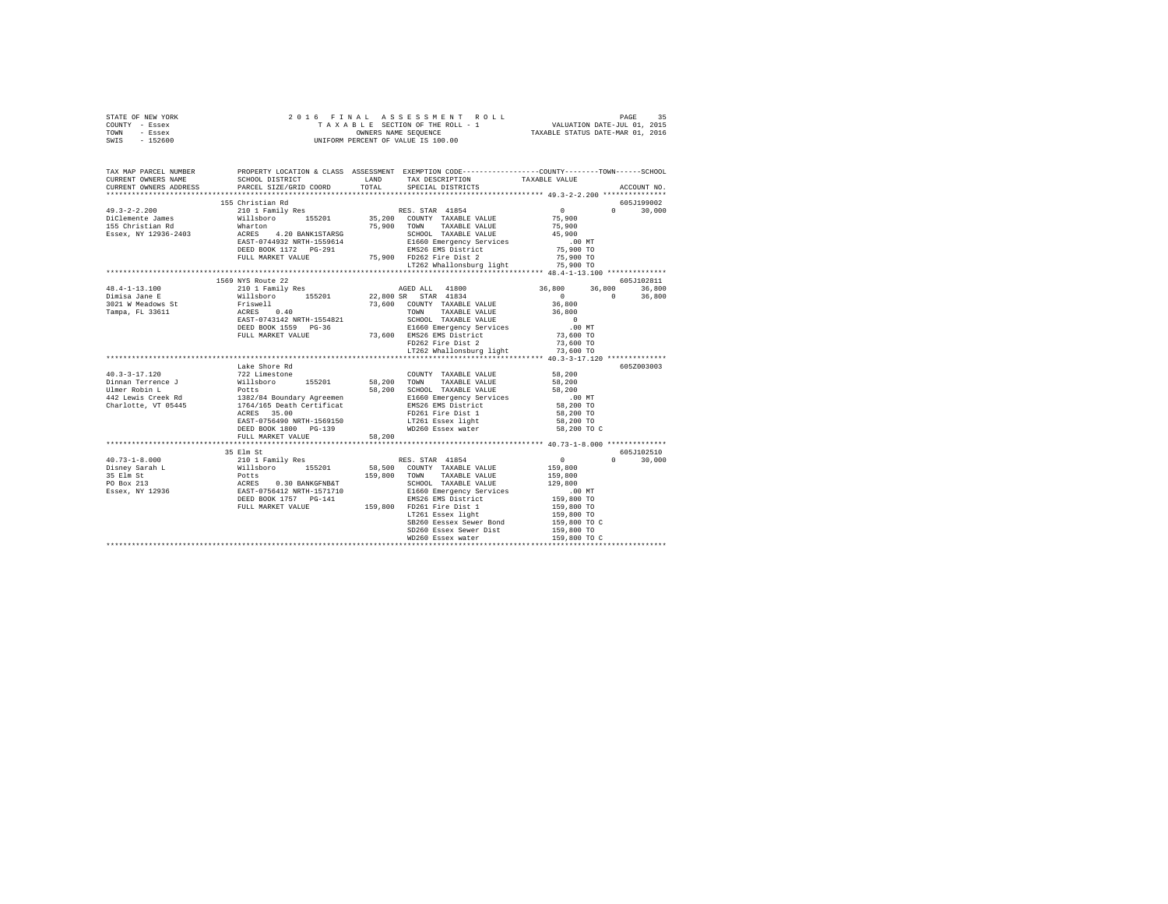| STATE OF NEW YORK<br>COUNTY - Essex<br>TOWN - Essex<br>SWIS - 152600                                                                                                                                                                                                                                                                                                                                 |                                                                                                                                                                                                                                                                                                                                                                                        |        |                                    |                                                                                                                                                 |               |
|------------------------------------------------------------------------------------------------------------------------------------------------------------------------------------------------------------------------------------------------------------------------------------------------------------------------------------------------------------------------------------------------------|----------------------------------------------------------------------------------------------------------------------------------------------------------------------------------------------------------------------------------------------------------------------------------------------------------------------------------------------------------------------------------------|--------|------------------------------------|-------------------------------------------------------------------------------------------------------------------------------------------------|---------------|
| TAX MAP PARCEL NUMBER<br>CURRENT OWNERS NAME<br>CURRENT OWNERS ADDRESS                                                                                                                                                                                                                                                                                                                               | PROPERTY LOCATION & CLASS ASSESSMENT EXEMPTION CODE----------------COUNTY-------TOWN-----SCHOOL                                                                                                                                                                                                                                                                                        |        |                                    |                                                                                                                                                 | ACCOUNT NO.   |
|                                                                                                                                                                                                                                                                                                                                                                                                      | 155 Christian Rd                                                                                                                                                                                                                                                                                                                                                                       |        |                                    |                                                                                                                                                 | 605J199002    |
| $49.3 - 2 - 2.200$                                                                                                                                                                                                                                                                                                                                                                                   |                                                                                                                                                                                                                                                                                                                                                                                        |        |                                    |                                                                                                                                                 |               |
|                                                                                                                                                                                                                                                                                                                                                                                                      |                                                                                                                                                                                                                                                                                                                                                                                        |        |                                    |                                                                                                                                                 |               |
|                                                                                                                                                                                                                                                                                                                                                                                                      |                                                                                                                                                                                                                                                                                                                                                                                        |        |                                    |                                                                                                                                                 |               |
| DiClemente James<br>155 Christian Rd<br>Essex, NY 12936-2403                                                                                                                                                                                                                                                                                                                                         |                                                                                                                                                                                                                                                                                                                                                                                        |        |                                    |                                                                                                                                                 |               |
|                                                                                                                                                                                                                                                                                                                                                                                                      | $\begin{tabular}{c cccc} 155 \text{ Christian Rd} & 605J199002 \\ 210 1 \text{ Family Res} & 15201 & 369000 \\ 210 1 \text{ family Res} & 35,200 & \text{COUNTY} & \text{TXABLE VALUE} & 75,900 \\ 100 \text{Wharton} & 75,900 & 700 \text{NN} & \text{TXABLE VALUE} & 75,900 \\ 210 \text{ARIN, 1570} & 75,900 & 700 \text{NN} & 75,200 \\ 210 \text{ACES} & 4.20 \text{ BANK1STARS}$ |        |                                    |                                                                                                                                                 |               |
|                                                                                                                                                                                                                                                                                                                                                                                                      |                                                                                                                                                                                                                                                                                                                                                                                        |        |                                    |                                                                                                                                                 |               |
|                                                                                                                                                                                                                                                                                                                                                                                                      |                                                                                                                                                                                                                                                                                                                                                                                        |        |                                    |                                                                                                                                                 |               |
|                                                                                                                                                                                                                                                                                                                                                                                                      |                                                                                                                                                                                                                                                                                                                                                                                        |        | LT262 Whallonsburg light 75,900 TO |                                                                                                                                                 |               |
|                                                                                                                                                                                                                                                                                                                                                                                                      |                                                                                                                                                                                                                                                                                                                                                                                        |        |                                    |                                                                                                                                                 |               |
|                                                                                                                                                                                                                                                                                                                                                                                                      | 1569 NYS Route 22                                                                                                                                                                                                                                                                                                                                                                      |        |                                    |                                                                                                                                                 | 605J102811    |
| 48.4-1-13.100                                                                                                                                                                                                                                                                                                                                                                                        |                                                                                                                                                                                                                                                                                                                                                                                        |        |                                    | $\begin{array}{cccc} 36,800 & 36,800 & 36,800 \\ 0 & 0 & 36,800 \\ 36,800 & 0 & 36,800 \\ 36,800 & 0 & 36,800 \\ 36,800 & 0 & 0 \\ \end{array}$ |               |
| Dimisa Jane E                                                                                                                                                                                                                                                                                                                                                                                        |                                                                                                                                                                                                                                                                                                                                                                                        |        |                                    |                                                                                                                                                 |               |
| 3021 W Meadows St<br>Tampa, FL 33611                                                                                                                                                                                                                                                                                                                                                                 |                                                                                                                                                                                                                                                                                                                                                                                        |        |                                    |                                                                                                                                                 |               |
|                                                                                                                                                                                                                                                                                                                                                                                                      |                                                                                                                                                                                                                                                                                                                                                                                        |        |                                    |                                                                                                                                                 |               |
|                                                                                                                                                                                                                                                                                                                                                                                                      |                                                                                                                                                                                                                                                                                                                                                                                        |        |                                    |                                                                                                                                                 |               |
|                                                                                                                                                                                                                                                                                                                                                                                                      |                                                                                                                                                                                                                                                                                                                                                                                        |        |                                    |                                                                                                                                                 |               |
|                                                                                                                                                                                                                                                                                                                                                                                                      |                                                                                                                                                                                                                                                                                                                                                                                        |        |                                    |                                                                                                                                                 |               |
|                                                                                                                                                                                                                                                                                                                                                                                                      |                                                                                                                                                                                                                                                                                                                                                                                        |        |                                    |                                                                                                                                                 |               |
|                                                                                                                                                                                                                                                                                                                                                                                                      |                                                                                                                                                                                                                                                                                                                                                                                        |        |                                    |                                                                                                                                                 |               |
|                                                                                                                                                                                                                                                                                                                                                                                                      |                                                                                                                                                                                                                                                                                                                                                                                        |        |                                    |                                                                                                                                                 | 605Z003003    |
|                                                                                                                                                                                                                                                                                                                                                                                                      |                                                                                                                                                                                                                                                                                                                                                                                        |        | COUNTY TAXABLE VALUE 58, 200       |                                                                                                                                                 |               |
|                                                                                                                                                                                                                                                                                                                                                                                                      |                                                                                                                                                                                                                                                                                                                                                                                        |        |                                    |                                                                                                                                                 |               |
|                                                                                                                                                                                                                                                                                                                                                                                                      |                                                                                                                                                                                                                                                                                                                                                                                        |        |                                    |                                                                                                                                                 |               |
|                                                                                                                                                                                                                                                                                                                                                                                                      |                                                                                                                                                                                                                                                                                                                                                                                        |        |                                    |                                                                                                                                                 |               |
|                                                                                                                                                                                                                                                                                                                                                                                                      |                                                                                                                                                                                                                                                                                                                                                                                        |        |                                    |                                                                                                                                                 |               |
|                                                                                                                                                                                                                                                                                                                                                                                                      |                                                                                                                                                                                                                                                                                                                                                                                        |        |                                    |                                                                                                                                                 |               |
|                                                                                                                                                                                                                                                                                                                                                                                                      |                                                                                                                                                                                                                                                                                                                                                                                        |        |                                    | 00 MT.<br>58,200 TO<br>58,200 TO<br>58,200 TO                                                                                                   |               |
|                                                                                                                                                                                                                                                                                                                                                                                                      |                                                                                                                                                                                                                                                                                                                                                                                        |        |                                    |                                                                                                                                                 |               |
|                                                                                                                                                                                                                                                                                                                                                                                                      | FULL MARKET VALUE                                                                                                                                                                                                                                                                                                                                                                      | 58,200 |                                    |                                                                                                                                                 |               |
|                                                                                                                                                                                                                                                                                                                                                                                                      |                                                                                                                                                                                                                                                                                                                                                                                        |        |                                    |                                                                                                                                                 |               |
|                                                                                                                                                                                                                                                                                                                                                                                                      |                                                                                                                                                                                                                                                                                                                                                                                        |        |                                    |                                                                                                                                                 | 605J102510    |
|                                                                                                                                                                                                                                                                                                                                                                                                      |                                                                                                                                                                                                                                                                                                                                                                                        |        |                                    |                                                                                                                                                 | $0 \t 30,000$ |
|                                                                                                                                                                                                                                                                                                                                                                                                      |                                                                                                                                                                                                                                                                                                                                                                                        |        |                                    |                                                                                                                                                 |               |
|                                                                                                                                                                                                                                                                                                                                                                                                      |                                                                                                                                                                                                                                                                                                                                                                                        |        |                                    |                                                                                                                                                 |               |
| $\begin{tabular}{lcccc} \textbf{40.73--1-8.000} & \textbf{35 Elm St} & \textbf{85.8201} & \textbf{85.833 Elm St} & \textbf{159.800} \\ \textbf{10.81 m} & \textbf{2101} & \texttt{Family Res} & \textbf{155201} & \textbf{58.900} & \texttt{COWRT} & \texttt{TAXABLE VALUE} & \textbf{159.800} \\ \textbf{15 Eml St} & \textbf{159.800} & \textbf{2101} & \texttt{Similarly} & \textbf{159.800} & \$ |                                                                                                                                                                                                                                                                                                                                                                                        |        |                                    |                                                                                                                                                 |               |
|                                                                                                                                                                                                                                                                                                                                                                                                      |                                                                                                                                                                                                                                                                                                                                                                                        |        |                                    |                                                                                                                                                 |               |
|                                                                                                                                                                                                                                                                                                                                                                                                      |                                                                                                                                                                                                                                                                                                                                                                                        |        |                                    |                                                                                                                                                 |               |
|                                                                                                                                                                                                                                                                                                                                                                                                      |                                                                                                                                                                                                                                                                                                                                                                                        |        |                                    |                                                                                                                                                 |               |
|                                                                                                                                                                                                                                                                                                                                                                                                      |                                                                                                                                                                                                                                                                                                                                                                                        |        | SB260 Eessex Sewer Bond            |                                                                                                                                                 |               |
|                                                                                                                                                                                                                                                                                                                                                                                                      |                                                                                                                                                                                                                                                                                                                                                                                        |        | SD260 Essex Sewer Dist             |                                                                                                                                                 |               |
|                                                                                                                                                                                                                                                                                                                                                                                                      |                                                                                                                                                                                                                                                                                                                                                                                        |        |                                    | 159,800 TO C<br>159,800 TO C<br>159,800 TO C                                                                                                    |               |
|                                                                                                                                                                                                                                                                                                                                                                                                      |                                                                                                                                                                                                                                                                                                                                                                                        |        |                                    |                                                                                                                                                 |               |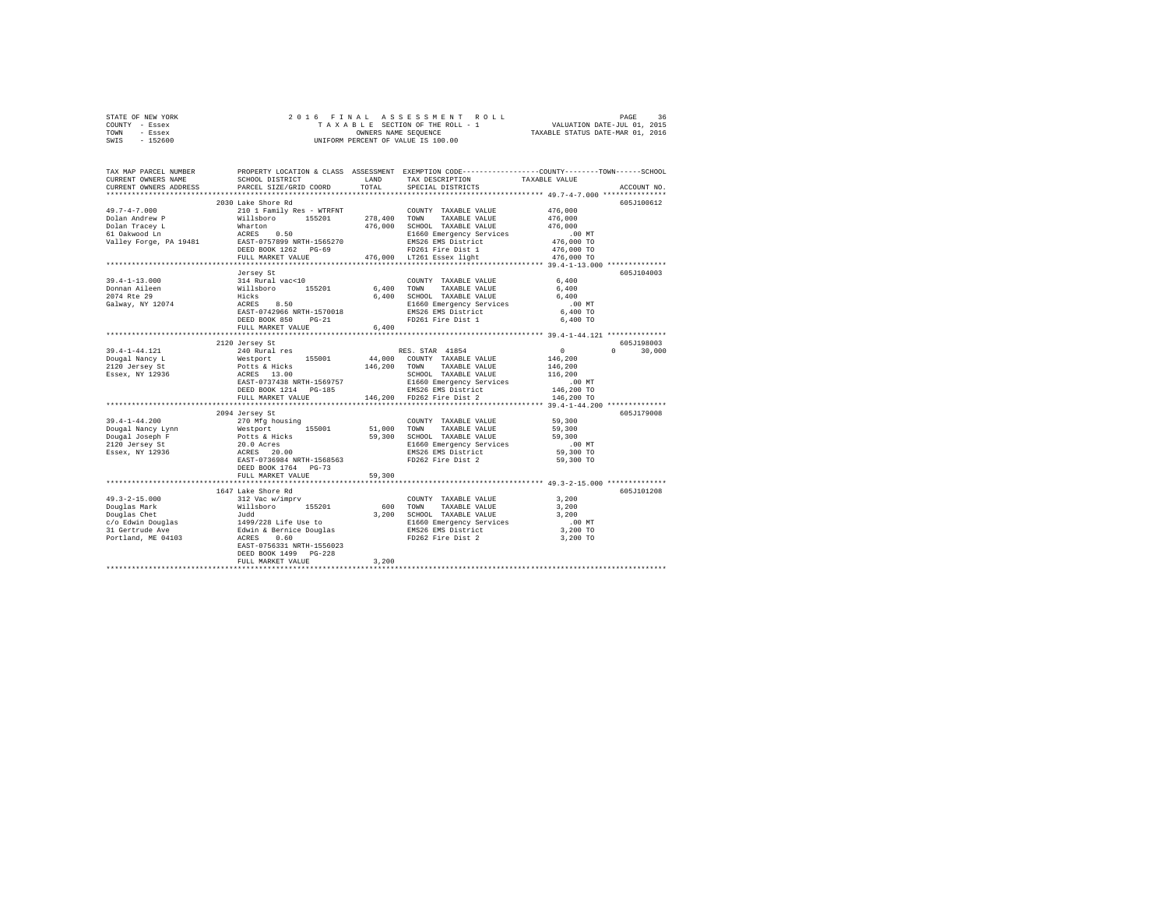| STATE OF NEW YORK | 2016 FINAL ASSESSMENT ROLL         | 36<br>PAGE                       |
|-------------------|------------------------------------|----------------------------------|
| COUNTY - Essex    | TAXABLE SECTION OF THE ROLL - 1    | VALUATION DATE-JUL 01, 2015      |
| TOWN<br>- Essex   | OWNERS NAME SEOUENCE               | TAXABLE STATUS DATE-MAR 01, 2016 |
| $-152600$<br>SWIS | UNIFORM PERCENT OF VALUE IS 100.00 |                                  |

| TAX MAP PARCEL NUMBER<br>CURRENT OWNERS NAME | SCHOOL DISTRICT                                                                              | LAND              | PROPERTY LOCATION & CLASS ASSESSMENT EXEMPTION CODE----------------COUNTY-------TOWN------SCHOOL<br>TAX DESCRIPTION                                                                                                                              | TAXABLE VALUE                    |                    |
|----------------------------------------------|----------------------------------------------------------------------------------------------|-------------------|--------------------------------------------------------------------------------------------------------------------------------------------------------------------------------------------------------------------------------------------------|----------------------------------|--------------------|
| CURRENT OWNERS ADDRESS                       | PARCEL SIZE/GRID COORD                                                                       | TOTAL             | SPECIAL DISTRICTS                                                                                                                                                                                                                                |                                  | ACCOUNT NO.        |
|                                              | 2030 Lake Shore Rd                                                                           |                   |                                                                                                                                                                                                                                                  |                                  | 605J100612         |
| $49.7 - 4 - 7.000$                           |                                                                                              |                   |                                                                                                                                                                                                                                                  | 476,000                          |                    |
| Dolan Andrew P                               |                                                                                              |                   |                                                                                                                                                                                                                                                  | 476,000                          |                    |
| Dolan Tracey L                               |                                                                                              |                   | 476,000 SCHOOL TAXABLE VALUE                                                                                                                                                                                                                     |                                  |                    |
|                                              | Wharton<br>ACRES 0.50                                                                        |                   | E1660 Emergency Services                                                                                                                                                                                                                         | 476,000<br>00 MT.<br>476,000 TO  |                    |
|                                              |                                                                                              |                   | EMS26 EMS District                                                                                                                                                                                                                               |                                  |                    |
|                                              | DEED BOOK $1262$ PG-69                                                                       |                   | FD261 Fire Dist 1                                                                                                                                                                                                                                | 476,000 TO                       |                    |
|                                              | FULL MARKET VALUE                                                                            |                   | 476,000 LT261 Essex light                                                                                                                                                                                                                        | 476,000 TO                       |                    |
|                                              |                                                                                              |                   |                                                                                                                                                                                                                                                  |                                  |                    |
|                                              | Jersey St<br>314 Rural vac<10<br>Willsboro 155201<br>Hicks<br>ACRES 8.50<br>EAST-0742966 NPT |                   |                                                                                                                                                                                                                                                  |                                  | 605J104003         |
| $39.4 - 1 - 13.000$                          |                                                                                              |                   |                                                                                                                                                                                                                                                  | 6,400                            |                    |
|                                              |                                                                                              | 6,400 TOWN        | COUNTY TAXABLE VALUE<br>TAXABLE VALUE                                                                                                                                                                                                            | 6,400                            |                    |
|                                              |                                                                                              |                   |                                                                                                                                                                                                                                                  | 6,400                            |                    |
|                                              |                                                                                              |                   |                                                                                                                                                                                                                                                  | $.00$ MT                         |                    |
|                                              |                                                                                              |                   |                                                                                                                                                                                                                                                  | 6,400 TO                         |                    |
| Rte 29<br>Galway, NY 12074                   | DEED BOOK 850<br>$PG-21$                                                                     |                   | 6,400 SCHOOL TAXABLE VALUE<br>E1660 Emergency Services<br>EMS26 EMS District<br>FD261 Fire Dist 1                                                                                                                                                | 6,400 TO                         |                    |
|                                              | FULL MARKET VALUE                                                                            | 6.400             |                                                                                                                                                                                                                                                  |                                  |                    |
|                                              | *************************                                                                    | ***************** | ***************** 39.4-1-44.121 *************                                                                                                                                                                                                    |                                  |                    |
|                                              |                                                                                              |                   |                                                                                                                                                                                                                                                  |                                  | 605J198003         |
| 39.4-1-44.121                                |                                                                                              |                   |                                                                                                                                                                                                                                                  | $\sim$ 0                         | $\Omega$<br>30,000 |
| Dougal Nancy L                               |                                                                                              |                   |                                                                                                                                                                                                                                                  | 146,200                          |                    |
|                                              |                                                                                              |                   |                                                                                                                                                                                                                                                  | 146,200                          |                    |
| 2120 Jersey St<br>Essex, NY 12936            |                                                                                              |                   |                                                                                                                                                                                                                                                  | 116,200                          |                    |
|                                              |                                                                                              |                   |                                                                                                                                                                                                                                                  | .00 MT                           |                    |
|                                              |                                                                                              |                   |                                                                                                                                                                                                                                                  | 146,200 TO                       |                    |
|                                              |                                                                                              |                   |                                                                                                                                                                                                                                                  | 146,200 TO                       |                    |
|                                              |                                                                                              |                   |                                                                                                                                                                                                                                                  |                                  |                    |
|                                              | 2094 Jersey St                                                                               |                   | 2120 Jersey St<br>2410 Rural res<br>2420 Rural res<br>2618 Rural res<br>2615101 244,000 COUNTY TAXABLE VALUE<br>261510 2018 RCHIS 200 TOWN TAXABLE VALUE<br>26251 2007 RASS BRES<br>26251 BOOK 1214 PG-185<br>26251 BOOK 1214 PG-185<br>26452 BA |                                  | 605J179008         |
| $39.4 - 1 - 44.200$                          | 270 Mfg housing                                                                              |                   | COUNTY TAXABLE VALUE                                                                                                                                                                                                                             | 59,300                           |                    |
|                                              |                                                                                              |                   |                                                                                                                                                                                                                                                  |                                  |                    |
|                                              |                                                                                              |                   |                                                                                                                                                                                                                                                  | $\frac{55}{59}$ , 300<br>59, 300 |                    |
|                                              |                                                                                              |                   |                                                                                                                                                                                                                                                  |                                  |                    |
|                                              |                                                                                              |                   |                                                                                                                                                                                                                                                  | 00 MT.<br>59,300 TO              |                    |
|                                              |                                                                                              |                   |                                                                                                                                                                                                                                                  | 59,300 TO                        |                    |
|                                              | DEED BOOK 1764 PG-73                                                                         |                   |                                                                                                                                                                                                                                                  |                                  |                    |
|                                              | FULL MARKET VALUE                                                                            | 59,300            |                                                                                                                                                                                                                                                  |                                  |                    |
|                                              |                                                                                              |                   |                                                                                                                                                                                                                                                  |                                  |                    |
|                                              | 1647 Lake Shore Rd                                                                           |                   |                                                                                                                                                                                                                                                  |                                  | 605J101208         |
|                                              |                                                                                              |                   | COUNTY TAXABLE VALUE                                                                                                                                                                                                                             | 3,200                            |                    |
|                                              |                                                                                              |                   | 600 TOWN TAXABLE VALUE                                                                                                                                                                                                                           | 3,200                            |                    |
|                                              |                                                                                              |                   | 3,200 SCHOOL TAXABLE VALUE                                                                                                                                                                                                                       | 3,200                            |                    |
|                                              |                                                                                              |                   |                                                                                                                                                                                                                                                  | $.00$ MT                         |                    |
|                                              |                                                                                              |                   | E1660 Emergency Services<br>EMS26 EMS District<br>FD262 Fire Dist 2                                                                                                                                                                              | 3,200 TO                         |                    |
|                                              |                                                                                              |                   |                                                                                                                                                                                                                                                  | 3,200 TO                         |                    |
|                                              |                                                                                              |                   |                                                                                                                                                                                                                                                  |                                  |                    |
|                                              | DEED BOOK 1499 PG-228                                                                        |                   |                                                                                                                                                                                                                                                  |                                  |                    |
|                                              | FULL MARKET VALUE                                                                            | 3,200             |                                                                                                                                                                                                                                                  |                                  |                    |
|                                              |                                                                                              |                   |                                                                                                                                                                                                                                                  |                                  |                    |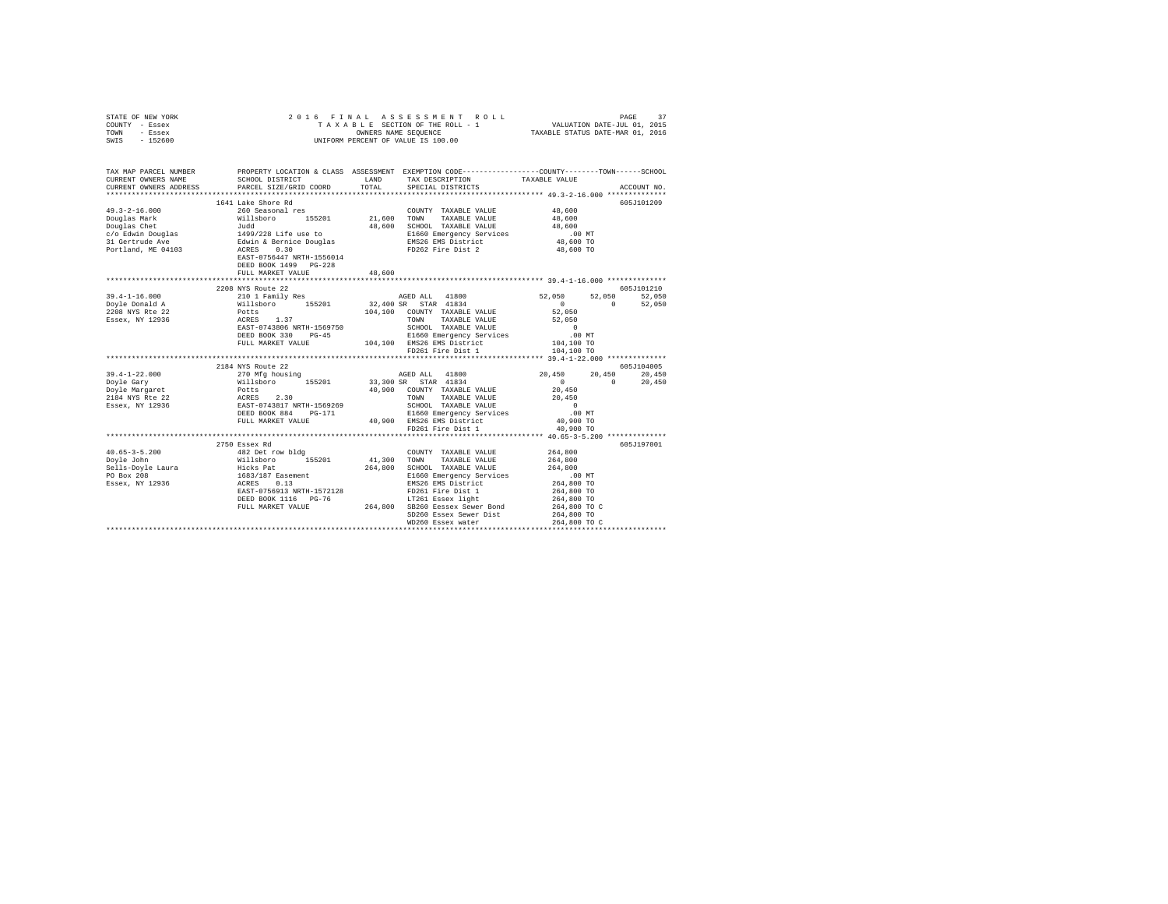| STATE OF NEW YORK                                                                                                                                                                                                                                                                                                                                                                                                                                    |                           |        |                                                                                                                                                                                                                                                                                                                                                                                                                                                                     |               |             |
|------------------------------------------------------------------------------------------------------------------------------------------------------------------------------------------------------------------------------------------------------------------------------------------------------------------------------------------------------------------------------------------------------------------------------------------------------|---------------------------|--------|---------------------------------------------------------------------------------------------------------------------------------------------------------------------------------------------------------------------------------------------------------------------------------------------------------------------------------------------------------------------------------------------------------------------------------------------------------------------|---------------|-------------|
| COUNTY - Essex                                                                                                                                                                                                                                                                                                                                                                                                                                       |                           |        |                                                                                                                                                                                                                                                                                                                                                                                                                                                                     |               |             |
| TOWN - Essex                                                                                                                                                                                                                                                                                                                                                                                                                                         |                           |        |                                                                                                                                                                                                                                                                                                                                                                                                                                                                     |               |             |
| SWIS - 152600                                                                                                                                                                                                                                                                                                                                                                                                                                        |                           |        |                                                                                                                                                                                                                                                                                                                                                                                                                                                                     |               |             |
|                                                                                                                                                                                                                                                                                                                                                                                                                                                      |                           |        |                                                                                                                                                                                                                                                                                                                                                                                                                                                                     |               |             |
|                                                                                                                                                                                                                                                                                                                                                                                                                                                      |                           |        |                                                                                                                                                                                                                                                                                                                                                                                                                                                                     |               |             |
|                                                                                                                                                                                                                                                                                                                                                                                                                                                      |                           |        |                                                                                                                                                                                                                                                                                                                                                                                                                                                                     |               |             |
| TAX MAP PARCEL NUMBER                                                                                                                                                                                                                                                                                                                                                                                                                                |                           |        | PROPERTY LOCATION & CLASS ASSESSMENT EXEMPTION CODE----------------COUNTY-------TOWN------SCHOOL                                                                                                                                                                                                                                                                                                                                                                    |               |             |
| CURRENT OWNERS NAME                                                                                                                                                                                                                                                                                                                                                                                                                                  | SCHOOL DISTRICT           | LAND   | TAX DESCRIPTION TAXABLE VALUE                                                                                                                                                                                                                                                                                                                                                                                                                                       |               |             |
| CURRENT OWNERS ADDRESS                                                                                                                                                                                                                                                                                                                                                                                                                               | PARCEL SIZE/GRID COORD    | TOTAL  | SPECIAL DISTRICTS                                                                                                                                                                                                                                                                                                                                                                                                                                                   |               | ACCOUNT NO. |
|                                                                                                                                                                                                                                                                                                                                                                                                                                                      |                           |        |                                                                                                                                                                                                                                                                                                                                                                                                                                                                     |               |             |
|                                                                                                                                                                                                                                                                                                                                                                                                                                                      | 1641 Lake Shore Rd        |        |                                                                                                                                                                                                                                                                                                                                                                                                                                                                     |               | 605J101209  |
| $49.3 - 2 - 16.000$                                                                                                                                                                                                                                                                                                                                                                                                                                  | 260 Seasonal res          |        |                                                                                                                                                                                                                                                                                                                                                                                                                                                                     |               |             |
|                                                                                                                                                                                                                                                                                                                                                                                                                                                      |                           |        | $\begin{tabular}{llllllll} \multicolumn{2}{c}{\textbf{COUNTY}} & \textbf{TAXABLE VALUE} & & \multicolumn{2}{c}{48\,600} \\ \multicolumn{2}{c}{\textbf{TOWN}} & \textbf{TAXABLE VALUE} & & \multicolumn{2}{c}{48\,600} \end{tabular}$                                                                                                                                                                                                                                |               |             |
|                                                                                                                                                                                                                                                                                                                                                                                                                                                      |                           |        |                                                                                                                                                                                                                                                                                                                                                                                                                                                                     | 48,600        |             |
|                                                                                                                                                                                                                                                                                                                                                                                                                                                      |                           |        | 48,600 SCHOOL TAXABLE VALUE<br>E1660 Emergency Services<br>EMS26 EMS District                                                                                                                                                                                                                                                                                                                                                                                       | .00MT         |             |
|                                                                                                                                                                                                                                                                                                                                                                                                                                                      |                           |        |                                                                                                                                                                                                                                                                                                                                                                                                                                                                     | 48,600 TO     |             |
|                                                                                                                                                                                                                                                                                                                                                                                                                                                      |                           |        | FD262 Fire Dist 2                                                                                                                                                                                                                                                                                                                                                                                                                                                   |               |             |
|                                                                                                                                                                                                                                                                                                                                                                                                                                                      |                           |        |                                                                                                                                                                                                                                                                                                                                                                                                                                                                     | 48,600 TO     |             |
|                                                                                                                                                                                                                                                                                                                                                                                                                                                      | EAST-0756447 NRTH-1556014 |        |                                                                                                                                                                                                                                                                                                                                                                                                                                                                     |               |             |
|                                                                                                                                                                                                                                                                                                                                                                                                                                                      | DEED BOOK 1499 PG-228     |        |                                                                                                                                                                                                                                                                                                                                                                                                                                                                     |               |             |
|                                                                                                                                                                                                                                                                                                                                                                                                                                                      | FULL MARKET VALUE         | 48,600 |                                                                                                                                                                                                                                                                                                                                                                                                                                                                     |               |             |
| $\begin{tabular}{lllllllllllll} \textbf{39.4--1--16.000} & \textbf{15.000} & \textbf{15.001} & \textbf{15.001} & \textbf{15.001} & \textbf{15.002} & \textbf{15.003} & \textbf{15.003} & \textbf{15.001} & \textbf{15.001} & \textbf{15.001} & \textbf{15.002} & \textbf{15.003} & \textbf{15.003} & \textbf{15.004} & \textbf{15.005} & \textbf{15.$                                                                                                |                           |        |                                                                                                                                                                                                                                                                                                                                                                                                                                                                     |               |             |
|                                                                                                                                                                                                                                                                                                                                                                                                                                                      |                           |        |                                                                                                                                                                                                                                                                                                                                                                                                                                                                     |               |             |
|                                                                                                                                                                                                                                                                                                                                                                                                                                                      |                           |        |                                                                                                                                                                                                                                                                                                                                                                                                                                                                     |               |             |
|                                                                                                                                                                                                                                                                                                                                                                                                                                                      |                           |        |                                                                                                                                                                                                                                                                                                                                                                                                                                                                     |               |             |
|                                                                                                                                                                                                                                                                                                                                                                                                                                                      |                           |        |                                                                                                                                                                                                                                                                                                                                                                                                                                                                     |               |             |
|                                                                                                                                                                                                                                                                                                                                                                                                                                                      |                           |        |                                                                                                                                                                                                                                                                                                                                                                                                                                                                     |               |             |
|                                                                                                                                                                                                                                                                                                                                                                                                                                                      |                           |        | SCHOOL TAXABLE VALUE<br>E1660 Emergency Services                                                                                                                                                                                                                                                                                                                                                                                                                    | $0$<br>.00 MT |             |
|                                                                                                                                                                                                                                                                                                                                                                                                                                                      | DEED BOOK 330 PG-45       |        |                                                                                                                                                                                                                                                                                                                                                                                                                                                                     |               |             |
|                                                                                                                                                                                                                                                                                                                                                                                                                                                      | FULL MARKET VALUE         |        |                                                                                                                                                                                                                                                                                                                                                                                                                                                                     | 104,100 TO    |             |
|                                                                                                                                                                                                                                                                                                                                                                                                                                                      |                           |        | 104,100 EMS26 EMS District<br>FD261 Fire Dist 1                                                                                                                                                                                                                                                                                                                                                                                                                     | 104,100 TO    |             |
|                                                                                                                                                                                                                                                                                                                                                                                                                                                      |                           |        |                                                                                                                                                                                                                                                                                                                                                                                                                                                                     |               |             |
|                                                                                                                                                                                                                                                                                                                                                                                                                                                      | 2184 NYS Route 22         |        |                                                                                                                                                                                                                                                                                                                                                                                                                                                                     |               | 605J104005  |
|                                                                                                                                                                                                                                                                                                                                                                                                                                                      |                           |        |                                                                                                                                                                                                                                                                                                                                                                                                                                                                     |               |             |
|                                                                                                                                                                                                                                                                                                                                                                                                                                                      |                           |        |                                                                                                                                                                                                                                                                                                                                                                                                                                                                     |               |             |
|                                                                                                                                                                                                                                                                                                                                                                                                                                                      |                           |        |                                                                                                                                                                                                                                                                                                                                                                                                                                                                     |               |             |
|                                                                                                                                                                                                                                                                                                                                                                                                                                                      |                           |        |                                                                                                                                                                                                                                                                                                                                                                                                                                                                     |               |             |
|                                                                                                                                                                                                                                                                                                                                                                                                                                                      |                           |        |                                                                                                                                                                                                                                                                                                                                                                                                                                                                     |               |             |
|                                                                                                                                                                                                                                                                                                                                                                                                                                                      |                           |        |                                                                                                                                                                                                                                                                                                                                                                                                                                                                     |               |             |
|                                                                                                                                                                                                                                                                                                                                                                                                                                                      |                           |        |                                                                                                                                                                                                                                                                                                                                                                                                                                                                     |               |             |
|                                                                                                                                                                                                                                                                                                                                                                                                                                                      |                           |        |                                                                                                                                                                                                                                                                                                                                                                                                                                                                     |               |             |
| $\begin{tabular}{cccccc} 39.4-1-22.000 & 2184 NTS Router & 22 & 605J104005 \\ \hline \end{tabular} \begin{tabular}{cccccc} 2184 NTS Router & 22 & 605J10405 \\ \hline \end{tabular} \begin{tabular}{cccccc} 2184 NTS Router & 22 & 770 Mfg housing \\ \hline \end{tabular} \end{tabular} \begin{tabular}{cccccc} 2184 NTS Router & 22 & 770 Mfg housing \\ \hline \end{tabular} \begin{tabular}{cccccc} 2184 NTS Router & 22 & 770 Mfg housing \\ \$ |                           |        |                                                                                                                                                                                                                                                                                                                                                                                                                                                                     |               |             |
|                                                                                                                                                                                                                                                                                                                                                                                                                                                      |                           |        |                                                                                                                                                                                                                                                                                                                                                                                                                                                                     |               |             |
|                                                                                                                                                                                                                                                                                                                                                                                                                                                      |                           |        |                                                                                                                                                                                                                                                                                                                                                                                                                                                                     |               | 605J197001  |
| $40.65 - 3 - 5.200$                                                                                                                                                                                                                                                                                                                                                                                                                                  |                           |        |                                                                                                                                                                                                                                                                                                                                                                                                                                                                     |               |             |
|                                                                                                                                                                                                                                                                                                                                                                                                                                                      |                           |        |                                                                                                                                                                                                                                                                                                                                                                                                                                                                     |               |             |
|                                                                                                                                                                                                                                                                                                                                                                                                                                                      |                           |        |                                                                                                                                                                                                                                                                                                                                                                                                                                                                     |               |             |
|                                                                                                                                                                                                                                                                                                                                                                                                                                                      |                           |        |                                                                                                                                                                                                                                                                                                                                                                                                                                                                     |               |             |
|                                                                                                                                                                                                                                                                                                                                                                                                                                                      |                           |        |                                                                                                                                                                                                                                                                                                                                                                                                                                                                     |               |             |
|                                                                                                                                                                                                                                                                                                                                                                                                                                                      |                           |        |                                                                                                                                                                                                                                                                                                                                                                                                                                                                     |               |             |
|                                                                                                                                                                                                                                                                                                                                                                                                                                                      |                           |        |                                                                                                                                                                                                                                                                                                                                                                                                                                                                     |               |             |
|                                                                                                                                                                                                                                                                                                                                                                                                                                                      |                           |        |                                                                                                                                                                                                                                                                                                                                                                                                                                                                     |               |             |
|                                                                                                                                                                                                                                                                                                                                                                                                                                                      |                           |        |                                                                                                                                                                                                                                                                                                                                                                                                                                                                     |               |             |
|                                                                                                                                                                                                                                                                                                                                                                                                                                                      |                           |        | $\begin{tabular}{c c c c} \multicolumn{4}{c c c} \multicolumn{4}{c c c} \multicolumn{4}{c c} \multicolumn{4}{c c} \multicolumn{4}{c} \multicolumn{4}{c} \multicolumn{4}{c} \multicolumn{4}{c} \multicolumn{4}{c} \multicolumn{4}{c} \multicolumn{4}{c} \multicolumn{4}{c} \multicolumn{4}{c} \multicolumn{4}{c} \multicolumn{4}{c} \multicolumn{4}{c} \multicolumn{4}{c} \multicolumn{4}{c} \multicolumn{4}{c} \multicolumn{4}{c} \multicolumn{4}{c} \multicolumn{$ |               |             |
|                                                                                                                                                                                                                                                                                                                                                                                                                                                      |                           |        |                                                                                                                                                                                                                                                                                                                                                                                                                                                                     |               |             |
|                                                                                                                                                                                                                                                                                                                                                                                                                                                      |                           |        |                                                                                                                                                                                                                                                                                                                                                                                                                                                                     |               |             |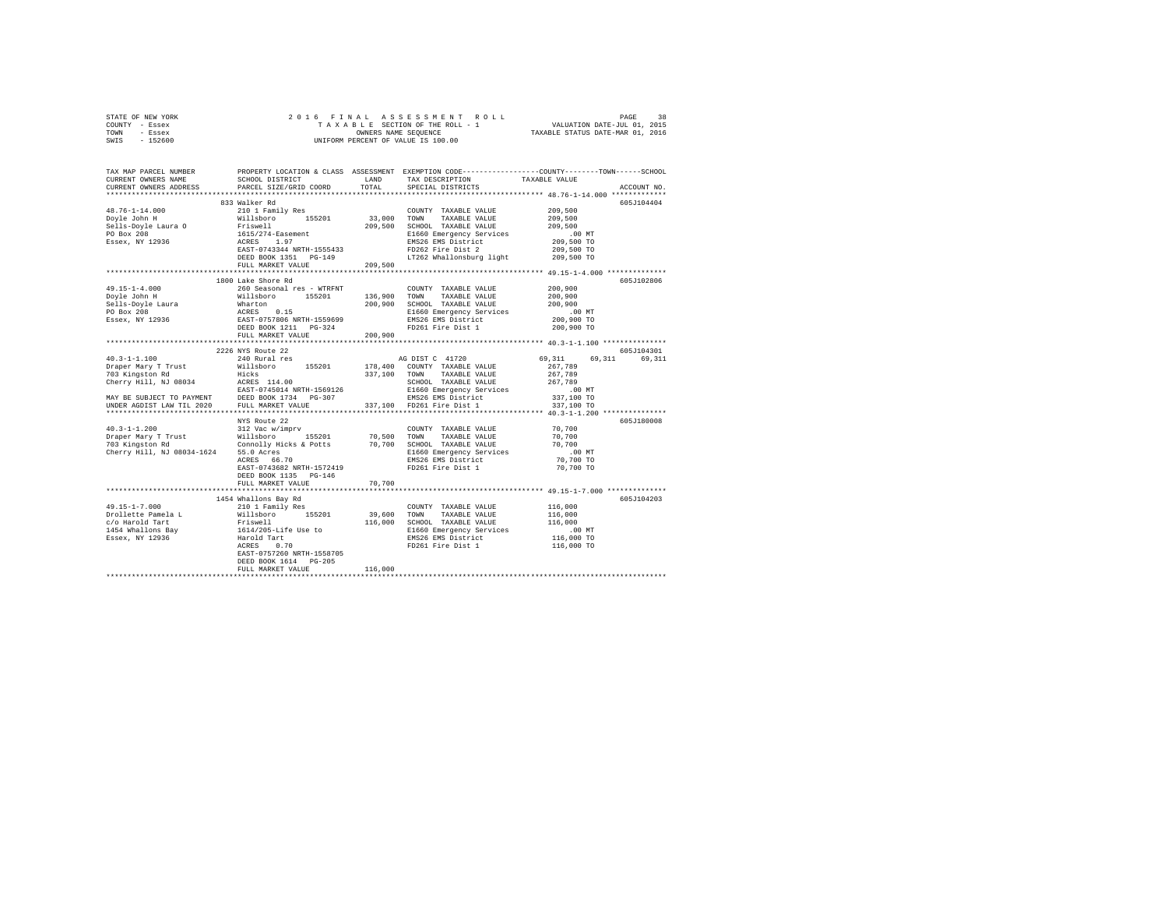|      | STATE OF NEW YORK |  |                      | 2016 FINAL ASSESSMENT ROLL         | 38<br>PAGE                  |  |
|------|-------------------|--|----------------------|------------------------------------|-----------------------------|--|
|      | COUNTY - Essex    |  |                      | TAXABLE SECTION OF THE ROLL - 1    | VALUATION DATE-JUL 01, 2015 |  |
| TOWN | - Essex           |  | OWNERS NAME SEOUENCE | TAXABLE STATUS DATE-MAR 01, 2016   |                             |  |
| SWIS | - 152600          |  |                      | UNIFORM PERCENT OF VALUE IS 100.00 |                             |  |

| TAX MAP PARCEL NUMBER<br>CURRENT OWNERS NAME<br>CURRENT OWNERS ADDRESS                                                                                                                                                                                                                                                                                                               | SCHOOL DISTRICT<br>PARCEL SIZE/GRID COORD                                                                                                                                      | LAND<br>TOTAL          | TAX DESCRIPTION<br>SPECIAL DISTRICTS                                                                                                                                                                                                                       | PROPERTY LOCATION & CLASS ASSESSMENT EXEMPTION CODE---------------COUNTY-------TOWN-----SCHOOL<br>TAXABLE VALUE<br>ACCOUNT NO.                                                       |
|--------------------------------------------------------------------------------------------------------------------------------------------------------------------------------------------------------------------------------------------------------------------------------------------------------------------------------------------------------------------------------------|--------------------------------------------------------------------------------------------------------------------------------------------------------------------------------|------------------------|------------------------------------------------------------------------------------------------------------------------------------------------------------------------------------------------------------------------------------------------------------|--------------------------------------------------------------------------------------------------------------------------------------------------------------------------------------|
| **********************                                                                                                                                                                                                                                                                                                                                                               |                                                                                                                                                                                |                        |                                                                                                                                                                                                                                                            |                                                                                                                                                                                      |
| $48.76 - 1 - 14.000$<br>-80.70-1-14.000<br>Doyle John H<br>Sells-Doyle Laura O<br>PO Box 208<br>Essex, NY 12936                                                                                                                                                                                                                                                                      | 833 Walker Rd<br>210 1 Family Res<br>Willsboro 155201<br>Friswell<br>Friswell<br>1615/274-Easement<br>ACRES 1.97<br>EAST-0743344<br>DEED BOOK 1351 PG-149<br>FULL MARKET VALUE | 33,000 TOWN<br>209,500 | COUNTY TAXABLE VALUE<br>TAXABLE VALUE<br>209,500 SCHOOL TAXABLE VALUE<br>E1660 Emergency Services<br>EMS26 EMS District<br>FD262 Fire Dist 2<br>LT262 Whallonsburg light                                                                                   | 605J104404<br>209,500<br>209,500<br>209,500<br>$.00$ MT<br>209,500 TO<br>209,500 TO<br>209,500 TO                                                                                    |
|                                                                                                                                                                                                                                                                                                                                                                                      |                                                                                                                                                                                |                        |                                                                                                                                                                                                                                                            |                                                                                                                                                                                      |
|                                                                                                                                                                                                                                                                                                                                                                                      | 1800 Lake Shore Rd                                                                                                                                                             |                        | COUNTY TAXABLE VALUE<br>136,900 TOWN TAXABLE VALUE<br>200,900 SCHOOL TAXABLE VALUE<br>E1660 Emergency Services<br>EMS26 EMS District<br>FD261 Fire Dist 1                                                                                                  | 605J102806<br>200,900<br>200,900<br>200,900<br>$.00$ MT<br>200,900 TO<br>200,900 TO                                                                                                  |
|                                                                                                                                                                                                                                                                                                                                                                                      | FULL MARKET VALUE                                                                                                                                                              | 200,900                |                                                                                                                                                                                                                                                            |                                                                                                                                                                                      |
|                                                                                                                                                                                                                                                                                                                                                                                      |                                                                                                                                                                                |                        |                                                                                                                                                                                                                                                            |                                                                                                                                                                                      |
| $40.3 - 1 - 1.100$<br>Draper Mary T Trust Willsboro 155201 178,400 COUNTY TAXABLE VALUE<br>703 Kingston Rd<br>Cherry Hill, NJ 08034 ACRES 114.00<br>MAY BE SUBJECT TO PAYMENT DEED BOOK 1734 PG-307<br>MAY BE SUBJECT LAW TIL 2020 PEUL MARKET VALUE<br>DEED BOOK 1734 PG-307<br>UNDER AGDIST LAW TIL 2020 PULL MARKET VALUE<br>Cherry Hill, NJ 08034-1624 55.0 Acres<br>ACRES 66.70 | 2226 NYS Route 22<br>240 Rural res<br>NYS Route 22<br>EAST-0743682 NRTH-1572419<br>DEED BOOK 1135 PG-146<br>FULL MARKET VALUE                                                  | 70,700                 | AG DIST C 41720<br>337,100 TOWN TAXABLE VALUE<br>SCHOOL TAXABLE VALUE<br>E1660 Emergency Services<br>EMS26 EMS District<br>337,100 FD261 Fire Dist 1<br>COUNTY TAXABLE VALUE 70,700<br>E1660 Emergency Services<br>EMS26 EMS District<br>FD261 Fire Dist 1 | 605J104301<br>69.311 69.311<br>69,311<br>267,789<br>267,789<br>267,789<br>$.00$ MT<br>337,100 TO<br>337,100 TO<br>605J180008<br>70,700<br>70,700<br>.00 MT<br>70,700 TO<br>70,700 TO |
|                                                                                                                                                                                                                                                                                                                                                                                      | 1454 Whallons Bay Rd                                                                                                                                                           |                        |                                                                                                                                                                                                                                                            | 605J104203                                                                                                                                                                           |
| $49.15 - 1 - 7.000$<br>Problette Pamela Land Millsboro 155201<br>1961 - Millsboro 155201<br>1454 Whallons Bay Priswell<br>1454 Whallons Bay 1614/205-Life Use to<br>Essex, NY 12936 Harold Tart<br>ACRES 0.70                                                                                                                                                                        | 210 1 Family Res<br>EAST-0757260 NRTH-1558705<br>DEED BOOK 1614 PG-205<br>FULL MARKET VALUE                                                                                    | 39,600 TOWN<br>116,000 | COUNTY TAXABLE VALUE<br>TAXABLE VALUE<br>116,000 SCHOOL TAXABLE VALUE<br>E1660 Emergency Services<br>EMS26 EMS District<br>FD261 Fire Dist 1                                                                                                               | 116,000<br>116,000<br>116,000<br>$.00$ MT<br>116,000 TO<br>116,000 TO                                                                                                                |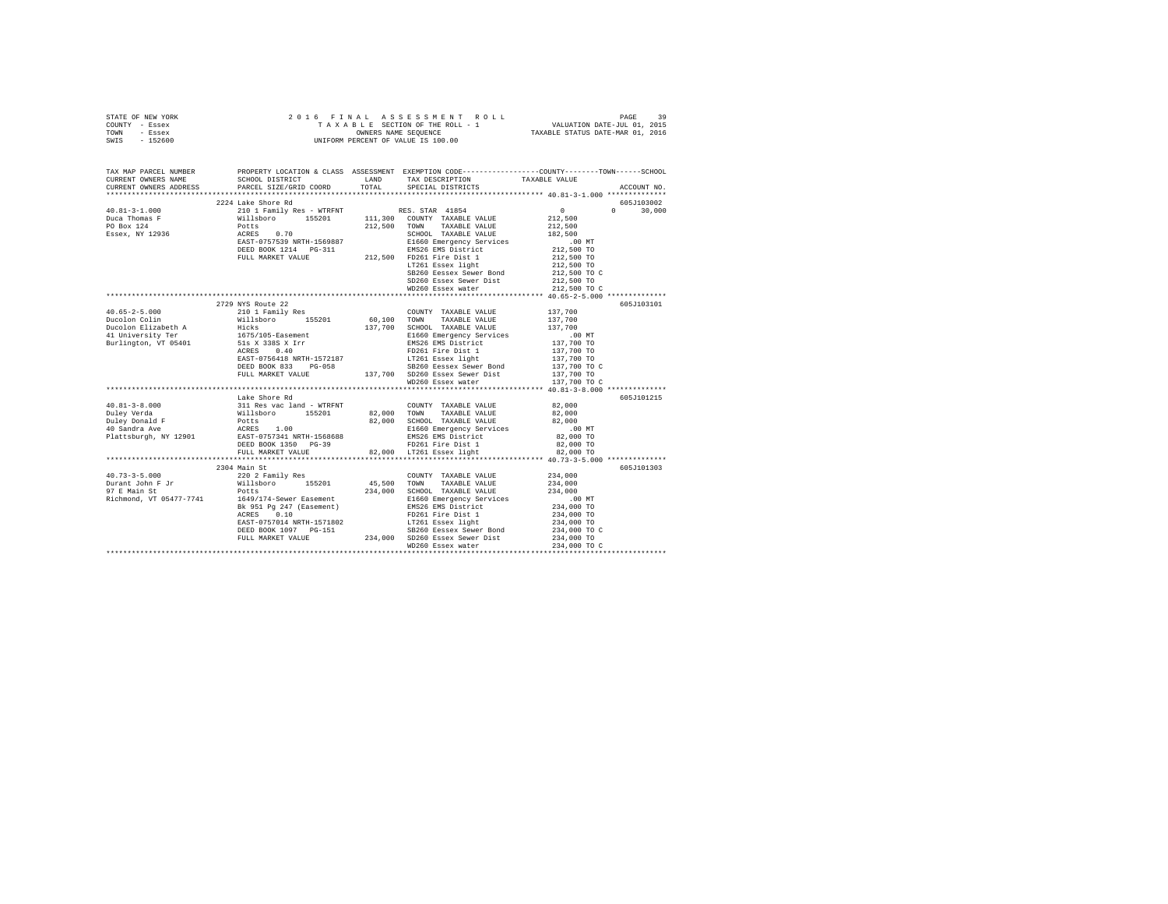| STATE OF NEW YORK | 2016 FINAL ASSESSMENT ROLL         | 39<br>PAGE                       |
|-------------------|------------------------------------|----------------------------------|
| COUNTY - Essex    | TAXABLE SECTION OF THE ROLL - 1    | VALUATION DATE-JUL 01, 2015      |
| TOWN<br>- Essex   | OWNERS NAME SEOUENCE               | TAXABLE STATUS DATE-MAR 01, 2016 |
| SWIS<br>- 152600  | UNIFORM PERCENT OF VALUE IS 100.00 |                                  |
|                   |                                    |                                  |
|                   |                                    |                                  |
|                   |                                    |                                  |

| TAX MAP PARCEL NUMBER<br>CURRENT OWNERS NAME<br>CURRENT OWNERS ADDRESS                                                                                                                                                                                                                                                                                                                                         | SCHOOL DISTRICT TAND TAX DESCRIPTION | ${\tt SCHOOL\ DISTRICT}\qquad\qquad {\tt LAND}\qquad\qquad {\tt TAX\ DESCRIPTION}\qquad\qquad {\tt TAXABLE\ VALUE}\label{thm:opt}$ PARCEL SIZE/GRID COORD $\qquad\qquad {\tt TOTAL}\qquad\qquad {\tt SPECTAL\ DISTRICTS}$                                                                                                                                                        | PROPERTY LOCATION & CLASS ASSESSMENT EXEMPTION CODE---------------COUNTY-------TOWN------SCHOOL<br>ACCOUNT NO. |
|----------------------------------------------------------------------------------------------------------------------------------------------------------------------------------------------------------------------------------------------------------------------------------------------------------------------------------------------------------------------------------------------------------------|--------------------------------------|----------------------------------------------------------------------------------------------------------------------------------------------------------------------------------------------------------------------------------------------------------------------------------------------------------------------------------------------------------------------------------|----------------------------------------------------------------------------------------------------------------|
|                                                                                                                                                                                                                                                                                                                                                                                                                |                                      |                                                                                                                                                                                                                                                                                                                                                                                  |                                                                                                                |
|                                                                                                                                                                                                                                                                                                                                                                                                                | 2224 Lake Shore Rd                   |                                                                                                                                                                                                                                                                                                                                                                                  | 605J103002                                                                                                     |
| $\begin{tabular}{l c c c c c} \multicolumn{3}{c c c} \multicolumn{3}{c c c} \multicolumn{3}{c c c} \multicolumn{3}{c c c} \multicolumn{3}{c c c} \multicolumn{3}{c c c} \multicolumn{3}{c c c} \multicolumn{3}{c c c} \multicolumn{3}{c c c} \multicolumn{3}{c c c} \multicolumn{3}{c c c} \multicolumn{3}{c c c} \multicolumn{3}{c c c} \multicolumn{3}{c c c} \multicolumn{3}{c c c} \multicolumn{3}{$       |                                      |                                                                                                                                                                                                                                                                                                                                                                                  | $0 \t 30,000$                                                                                                  |
|                                                                                                                                                                                                                                                                                                                                                                                                                |                                      |                                                                                                                                                                                                                                                                                                                                                                                  |                                                                                                                |
|                                                                                                                                                                                                                                                                                                                                                                                                                |                                      |                                                                                                                                                                                                                                                                                                                                                                                  |                                                                                                                |
|                                                                                                                                                                                                                                                                                                                                                                                                                |                                      |                                                                                                                                                                                                                                                                                                                                                                                  |                                                                                                                |
|                                                                                                                                                                                                                                                                                                                                                                                                                |                                      |                                                                                                                                                                                                                                                                                                                                                                                  |                                                                                                                |
|                                                                                                                                                                                                                                                                                                                                                                                                                |                                      |                                                                                                                                                                                                                                                                                                                                                                                  |                                                                                                                |
|                                                                                                                                                                                                                                                                                                                                                                                                                |                                      |                                                                                                                                                                                                                                                                                                                                                                                  |                                                                                                                |
|                                                                                                                                                                                                                                                                                                                                                                                                                |                                      |                                                                                                                                                                                                                                                                                                                                                                                  |                                                                                                                |
|                                                                                                                                                                                                                                                                                                                                                                                                                |                                      |                                                                                                                                                                                                                                                                                                                                                                                  |                                                                                                                |
|                                                                                                                                                                                                                                                                                                                                                                                                                |                                      | SD260 Essex Sewer Dist 212,500 TO<br>WD260 Essex water 212,500 TO C                                                                                                                                                                                                                                                                                                              |                                                                                                                |
|                                                                                                                                                                                                                                                                                                                                                                                                                |                                      |                                                                                                                                                                                                                                                                                                                                                                                  |                                                                                                                |
|                                                                                                                                                                                                                                                                                                                                                                                                                |                                      |                                                                                                                                                                                                                                                                                                                                                                                  |                                                                                                                |
|                                                                                                                                                                                                                                                                                                                                                                                                                | 2729 NYS Route 22                    |                                                                                                                                                                                                                                                                                                                                                                                  | 605J103101                                                                                                     |
|                                                                                                                                                                                                                                                                                                                                                                                                                |                                      |                                                                                                                                                                                                                                                                                                                                                                                  |                                                                                                                |
|                                                                                                                                                                                                                                                                                                                                                                                                                |                                      |                                                                                                                                                                                                                                                                                                                                                                                  |                                                                                                                |
|                                                                                                                                                                                                                                                                                                                                                                                                                |                                      |                                                                                                                                                                                                                                                                                                                                                                                  |                                                                                                                |
| Burlington, VT 05401                                                                                                                                                                                                                                                                                                                                                                                           |                                      |                                                                                                                                                                                                                                                                                                                                                                                  |                                                                                                                |
|                                                                                                                                                                                                                                                                                                                                                                                                                | 51s X 338S X Irr<br>ACRES 0.40       |                                                                                                                                                                                                                                                                                                                                                                                  |                                                                                                                |
|                                                                                                                                                                                                                                                                                                                                                                                                                |                                      |                                                                                                                                                                                                                                                                                                                                                                                  |                                                                                                                |
|                                                                                                                                                                                                                                                                                                                                                                                                                |                                      |                                                                                                                                                                                                                                                                                                                                                                                  |                                                                                                                |
|                                                                                                                                                                                                                                                                                                                                                                                                                |                                      |                                                                                                                                                                                                                                                                                                                                                                                  |                                                                                                                |
|                                                                                                                                                                                                                                                                                                                                                                                                                |                                      |                                                                                                                                                                                                                                                                                                                                                                                  |                                                                                                                |
|                                                                                                                                                                                                                                                                                                                                                                                                                |                                      | ${\small \begin{tabular}{lllllllllll} \textbf{Nil} & 55201 & 60,100 & T0WN & TAAABLE VALUE \\ \textbf{Hicks} & 137,700 & SCHOOL TATAABLE VALUE \\ \textbf{1675/105-Easement} & 137,700 & SCHOOL TATABLE VALUE \\ \textbf{518 X 338 S X Irr & E1660 Rmerency Sevivices & 0.00 M \\ \textbf{518 X 338 S Y1r} & 137,700 T0 \\ \textbf{528 X 338 S 161} & 137,700 T0 \\ \textbf{538$ |                                                                                                                |
|                                                                                                                                                                                                                                                                                                                                                                                                                | Lake Shore Rd                        |                                                                                                                                                                                                                                                                                                                                                                                  | 605J101215                                                                                                     |
|                                                                                                                                                                                                                                                                                                                                                                                                                |                                      |                                                                                                                                                                                                                                                                                                                                                                                  |                                                                                                                |
|                                                                                                                                                                                                                                                                                                                                                                                                                |                                      |                                                                                                                                                                                                                                                                                                                                                                                  |                                                                                                                |
|                                                                                                                                                                                                                                                                                                                                                                                                                |                                      |                                                                                                                                                                                                                                                                                                                                                                                  |                                                                                                                |
|                                                                                                                                                                                                                                                                                                                                                                                                                |                                      |                                                                                                                                                                                                                                                                                                                                                                                  |                                                                                                                |
|                                                                                                                                                                                                                                                                                                                                                                                                                |                                      |                                                                                                                                                                                                                                                                                                                                                                                  |                                                                                                                |
|                                                                                                                                                                                                                                                                                                                                                                                                                |                                      |                                                                                                                                                                                                                                                                                                                                                                                  |                                                                                                                |
| $\begin{tabular}{lcccc} 40.81-3-8.000 & \text{Lake Shorted R} & \text{Lip} & \text{COWITY} & \text{TXABLE VALUE} & 82,000 \\ \text{Duley Verda} & 311 \text{ Res vac land - WTRENT} & 82,000 & \text{TONITY} & \text{TXABLE VALUE} & 82,000 \\ \text{Duley Dene1} & 811 \text{lsboro} & 155201 & 82,000 & \text{TONIN} & \text{TXABLE VALUE} & 82,000 \\ \text{Duley Dene1} & 82,000 & 15201 & 82,000 & \text$ |                                      |                                                                                                                                                                                                                                                                                                                                                                                  |                                                                                                                |
|                                                                                                                                                                                                                                                                                                                                                                                                                |                                      |                                                                                                                                                                                                                                                                                                                                                                                  |                                                                                                                |
|                                                                                                                                                                                                                                                                                                                                                                                                                | 2304 Main St                         |                                                                                                                                                                                                                                                                                                                                                                                  | 605J101303                                                                                                     |
|                                                                                                                                                                                                                                                                                                                                                                                                                |                                      | $\begin{tabular}{llllll} \multicolumn{2}{c}{\textbf{COUNTY}} & \textbf{TAXABLE VALUE} & & & 234,000 \\ \multicolumn{2}{c}{\textbf{TOWN}} & \textbf{TAXABLE VALUE} & & 234,000 \\ \end{tabular}$                                                                                                                                                                                  |                                                                                                                |
|                                                                                                                                                                                                                                                                                                                                                                                                                |                                      |                                                                                                                                                                                                                                                                                                                                                                                  |                                                                                                                |
| 97 E Main St $\nonumber \begin{tabular}{lllll} \texttt{Potts} & \texttt{Potts} \\ \texttt{Richard, VT 05477-7741} & \texttt{1649/174-Sewer Easement} \end{tabular}$                                                                                                                                                                                                                                            |                                      |                                                                                                                                                                                                                                                                                                                                                                                  |                                                                                                                |
|                                                                                                                                                                                                                                                                                                                                                                                                                |                                      |                                                                                                                                                                                                                                                                                                                                                                                  |                                                                                                                |
|                                                                                                                                                                                                                                                                                                                                                                                                                |                                      |                                                                                                                                                                                                                                                                                                                                                                                  |                                                                                                                |
|                                                                                                                                                                                                                                                                                                                                                                                                                |                                      |                                                                                                                                                                                                                                                                                                                                                                                  |                                                                                                                |
|                                                                                                                                                                                                                                                                                                                                                                                                                |                                      |                                                                                                                                                                                                                                                                                                                                                                                  |                                                                                                                |
|                                                                                                                                                                                                                                                                                                                                                                                                                |                                      | $\begin{tabular}{lllllllllll} &\mbox{Milabor} & 45,500 &\mbox{TOMM} & \mbox{TXABLE VALUE} & 434,000 \\ \mbox{Polts} & 434,000 & \mbox{CHOOL} & \mbox{TXABLE VALUE} & 234,000 \\ \mbox{1649/174-Sewer Easement} & 234,000 & \mbox{E1660 Energy Services} & 234,000 \\ \mbox{BRC911 Pg 247 (Easement) & 234,000 T0 \\ \mbox{RCRBS} & 0.10 & \mbox{RCRBS} & 0.10 \\ \mbox{$         |                                                                                                                |
|                                                                                                                                                                                                                                                                                                                                                                                                                |                                      | A POIR 24 (1992)<br>ACRES 0.10<br>EDGE POIR 1971002<br>EDGE POIR 1971002<br>EDGE POIR 1971002<br>EDGE POIR 1971002<br>DEED BOOK 1097 PC-151<br>234,000 SD260 Essex Sever Bond<br>PULL MARKET VALUE<br>234,000 TOLL MARKET VALUE<br>234,000 TO                                                                                                                                    |                                                                                                                |
|                                                                                                                                                                                                                                                                                                                                                                                                                |                                      |                                                                                                                                                                                                                                                                                                                                                                                  | 234,000 TO C                                                                                                   |
|                                                                                                                                                                                                                                                                                                                                                                                                                |                                      |                                                                                                                                                                                                                                                                                                                                                                                  |                                                                                                                |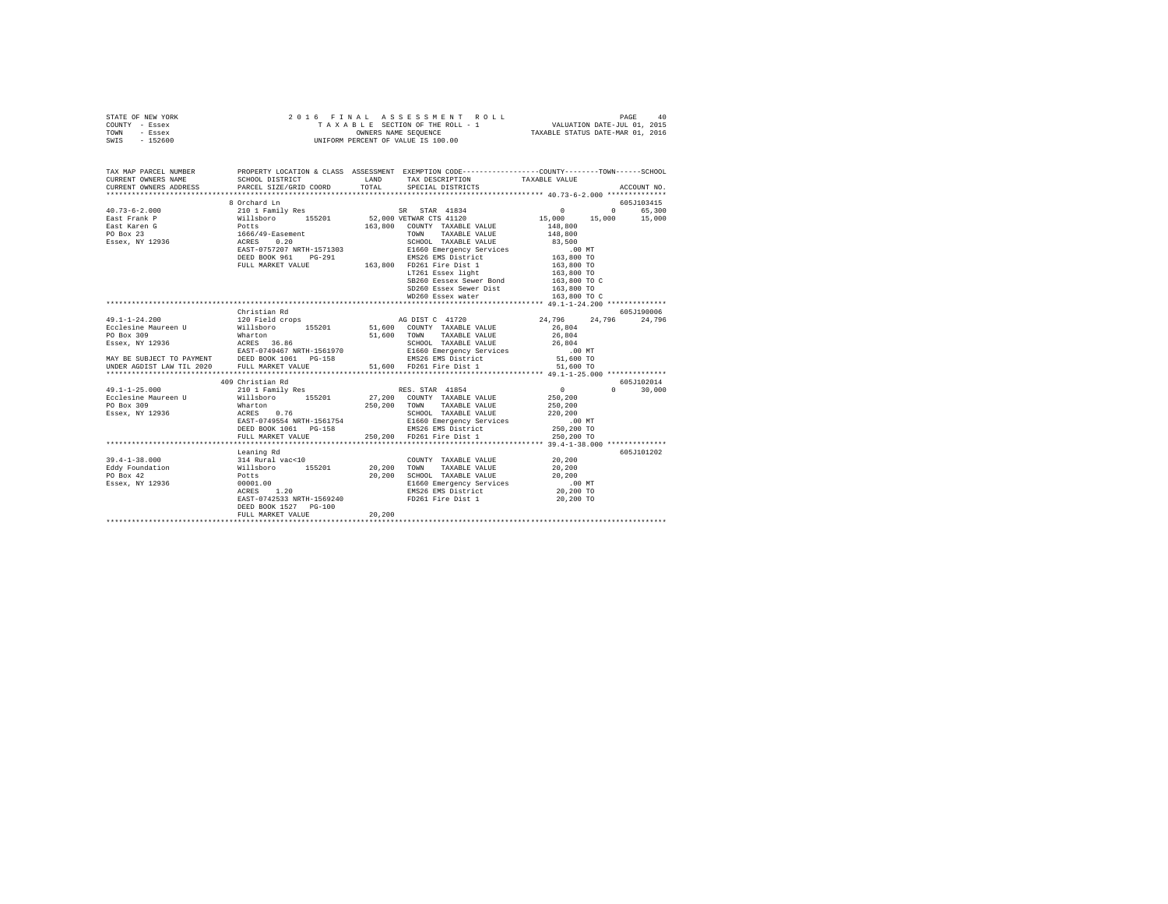|                | STATE OF NEW YORK |  |  | 2016 FINAL ASSESSMENT ROLL         |                                  | PAGE | 40 |
|----------------|-------------------|--|--|------------------------------------|----------------------------------|------|----|
| COUNTY - Essex |                   |  |  | TAXABLE SECTION OF THE ROLL - 1    | VALUATION DATE-JUL 01, 2015      |      |    |
| TOWN           | - Essex           |  |  | OWNERS NAME SEOUENCE               | TAXABLE STATUS DATE-MAR 01, 2016 |      |    |
| SWIS           | - 152600          |  |  | UNIFORM PERCENT OF VALUE IS 100.00 |                                  |      |    |
|                |                   |  |  |                                    |                                  |      |    |
|                |                   |  |  |                                    |                                  |      |    |

| TAX MAP PARCEL NUMBER                                                                                                                                                                                                                                                                                                                                                                                    |                           |         | PROPERTY LOCATION & CLASS ASSESSMENT EXEMPTION CODE----------------COUNTY-------TOWN------SCHOOL                                                                                                                                                                                                                                                                                                    |                                                               |               |
|----------------------------------------------------------------------------------------------------------------------------------------------------------------------------------------------------------------------------------------------------------------------------------------------------------------------------------------------------------------------------------------------------------|---------------------------|---------|-----------------------------------------------------------------------------------------------------------------------------------------------------------------------------------------------------------------------------------------------------------------------------------------------------------------------------------------------------------------------------------------------------|---------------------------------------------------------------|---------------|
|                                                                                                                                                                                                                                                                                                                                                                                                          |                           |         | TAX DESCRIPTION TAXABLE VALUE                                                                                                                                                                                                                                                                                                                                                                       |                                                               |               |
|                                                                                                                                                                                                                                                                                                                                                                                                          |                           |         |                                                                                                                                                                                                                                                                                                                                                                                                     |                                                               | ACCOUNT NO.   |
|                                                                                                                                                                                                                                                                                                                                                                                                          |                           |         |                                                                                                                                                                                                                                                                                                                                                                                                     |                                                               |               |
|                                                                                                                                                                                                                                                                                                                                                                                                          | 8 Orchard Ln              |         |                                                                                                                                                                                                                                                                                                                                                                                                     |                                                               | 605J103415    |
|                                                                                                                                                                                                                                                                                                                                                                                                          |                           |         |                                                                                                                                                                                                                                                                                                                                                                                                     |                                                               |               |
|                                                                                                                                                                                                                                                                                                                                                                                                          |                           |         |                                                                                                                                                                                                                                                                                                                                                                                                     |                                                               |               |
|                                                                                                                                                                                                                                                                                                                                                                                                          |                           |         |                                                                                                                                                                                                                                                                                                                                                                                                     |                                                               |               |
|                                                                                                                                                                                                                                                                                                                                                                                                          |                           |         |                                                                                                                                                                                                                                                                                                                                                                                                     |                                                               |               |
|                                                                                                                                                                                                                                                                                                                                                                                                          |                           |         |                                                                                                                                                                                                                                                                                                                                                                                                     |                                                               |               |
|                                                                                                                                                                                                                                                                                                                                                                                                          |                           |         |                                                                                                                                                                                                                                                                                                                                                                                                     |                                                               |               |
|                                                                                                                                                                                                                                                                                                                                                                                                          |                           |         | $\begin{tabular}{l c c c c} \hline \texttt{Potfs} & \texttt{A=0.20} & \texttt{X=0.30} & \texttt{TONN} & \texttt{TAXABLE VALUE} & \texttt{0.20} \\ \hline \texttt{AGKB} & 0.20 & \texttt{SCHODL} & \texttt{TAXABLE VALUE} & 83,500 \\ \texttt{EAST-057207 NRTH-1571303} & \texttt{EIG60} & \texttt{EIGC} & \texttt{SCG} & 0.0 & \texttt{NT} \\ \texttt{DEED BOK} & \texttt{POT} & \texttt{PGT-15713$ |                                                               |               |
|                                                                                                                                                                                                                                                                                                                                                                                                          |                           |         |                                                                                                                                                                                                                                                                                                                                                                                                     |                                                               |               |
|                                                                                                                                                                                                                                                                                                                                                                                                          |                           |         |                                                                                                                                                                                                                                                                                                                                                                                                     |                                                               |               |
|                                                                                                                                                                                                                                                                                                                                                                                                          |                           |         | SB260 Eessex Sewer Bond 163,800 TO C                                                                                                                                                                                                                                                                                                                                                                |                                                               |               |
|                                                                                                                                                                                                                                                                                                                                                                                                          |                           |         | SD260 Essex Sewer Dist<br>WD260 Essex water                                                                                                                                                                                                                                                                                                                                                         | 163,800 TO                                                    |               |
|                                                                                                                                                                                                                                                                                                                                                                                                          |                           |         |                                                                                                                                                                                                                                                                                                                                                                                                     | 163,800 TO C                                                  |               |
|                                                                                                                                                                                                                                                                                                                                                                                                          |                           |         |                                                                                                                                                                                                                                                                                                                                                                                                     |                                                               |               |
|                                                                                                                                                                                                                                                                                                                                                                                                          | Christian Rd              |         |                                                                                                                                                                                                                                                                                                                                                                                                     |                                                               | 605J190006    |
| $\begin{tabular}{l c c c c c} \multicolumn{1}{c c c} \multicolumn{1}{c c c} \multicolumn{1}{c c c} \multicolumn{1}{c c c} \multicolumn{1}{c c c} \multicolumn{1}{c c c} \multicolumn{1}{c c c} \multicolumn{1}{c c c} \multicolumn{1}{c c c} \multicolumn{1}{c c c} \multicolumn{1}{c c c} \multicolumn{1}{c c c} \multicolumn{1}{c c c} \multicolumn{1}{c c c} \multicolumn{1}{c c c} \multicolumn{1}{$ |                           |         | AG DIST C 41720 24,796 24,796 24,796                                                                                                                                                                                                                                                                                                                                                                |                                                               |               |
|                                                                                                                                                                                                                                                                                                                                                                                                          |                           |         |                                                                                                                                                                                                                                                                                                                                                                                                     |                                                               |               |
|                                                                                                                                                                                                                                                                                                                                                                                                          |                           |         |                                                                                                                                                                                                                                                                                                                                                                                                     |                                                               |               |
|                                                                                                                                                                                                                                                                                                                                                                                                          |                           |         |                                                                                                                                                                                                                                                                                                                                                                                                     |                                                               |               |
|                                                                                                                                                                                                                                                                                                                                                                                                          |                           |         |                                                                                                                                                                                                                                                                                                                                                                                                     |                                                               |               |
|                                                                                                                                                                                                                                                                                                                                                                                                          |                           |         |                                                                                                                                                                                                                                                                                                                                                                                                     |                                                               |               |
|                                                                                                                                                                                                                                                                                                                                                                                                          |                           |         |                                                                                                                                                                                                                                                                                                                                                                                                     |                                                               |               |
|                                                                                                                                                                                                                                                                                                                                                                                                          |                           |         |                                                                                                                                                                                                                                                                                                                                                                                                     |                                                               |               |
|                                                                                                                                                                                                                                                                                                                                                                                                          | 409 Christian Rd          |         |                                                                                                                                                                                                                                                                                                                                                                                                     |                                                               | 605J102014    |
|                                                                                                                                                                                                                                                                                                                                                                                                          |                           |         |                                                                                                                                                                                                                                                                                                                                                                                                     | $\begin{smallmatrix}&&0\250\,,200\250\,,200\end{smallmatrix}$ | $0 \t 30.000$ |
|                                                                                                                                                                                                                                                                                                                                                                                                          |                           |         |                                                                                                                                                                                                                                                                                                                                                                                                     |                                                               |               |
|                                                                                                                                                                                                                                                                                                                                                                                                          |                           |         |                                                                                                                                                                                                                                                                                                                                                                                                     |                                                               |               |
|                                                                                                                                                                                                                                                                                                                                                                                                          |                           |         |                                                                                                                                                                                                                                                                                                                                                                                                     |                                                               |               |
|                                                                                                                                                                                                                                                                                                                                                                                                          |                           |         |                                                                                                                                                                                                                                                                                                                                                                                                     |                                                               |               |
|                                                                                                                                                                                                                                                                                                                                                                                                          |                           |         |                                                                                                                                                                                                                                                                                                                                                                                                     |                                                               |               |
|                                                                                                                                                                                                                                                                                                                                                                                                          | FULL MARKET VALUE         |         | 250,200 FD261 Fire Dist 1                                                                                                                                                                                                                                                                                                                                                                           | 250,200 TO                                                    |               |
|                                                                                                                                                                                                                                                                                                                                                                                                          |                           |         |                                                                                                                                                                                                                                                                                                                                                                                                     |                                                               |               |
|                                                                                                                                                                                                                                                                                                                                                                                                          | Leaning Rd                |         |                                                                                                                                                                                                                                                                                                                                                                                                     |                                                               | 605J101202    |
| $39.4 - 1 - 38.000$                                                                                                                                                                                                                                                                                                                                                                                      |                           |         |                                                                                                                                                                                                                                                                                                                                                                                                     |                                                               |               |
| Eddy Foundation                                                                                                                                                                                                                                                                                                                                                                                          |                           |         |                                                                                                                                                                                                                                                                                                                                                                                                     |                                                               |               |
| PO Box 42                                                                                                                                                                                                                                                                                                                                                                                                |                           |         |                                                                                                                                                                                                                                                                                                                                                                                                     |                                                               |               |
| Essex, NY 12936                                                                                                                                                                                                                                                                                                                                                                                          |                           |         | E1660 Emergency Services .00 MT<br>EMS26 EMS District 20,200 TO                                                                                                                                                                                                                                                                                                                                     |                                                               |               |
|                                                                                                                                                                                                                                                                                                                                                                                                          |                           |         |                                                                                                                                                                                                                                                                                                                                                                                                     |                                                               |               |
|                                                                                                                                                                                                                                                                                                                                                                                                          | EAST-0742533 NRTH-1569240 |         | FD261 Fire Dist 1                                                                                                                                                                                                                                                                                                                                                                                   | 20,200 TO                                                     |               |
|                                                                                                                                                                                                                                                                                                                                                                                                          | DEED BOOK 1527 PG-100     |         |                                                                                                                                                                                                                                                                                                                                                                                                     |                                                               |               |
|                                                                                                                                                                                                                                                                                                                                                                                                          | FULL MARKET VALUE         | 20, 200 |                                                                                                                                                                                                                                                                                                                                                                                                     |                                                               |               |
|                                                                                                                                                                                                                                                                                                                                                                                                          |                           |         |                                                                                                                                                                                                                                                                                                                                                                                                     |                                                               |               |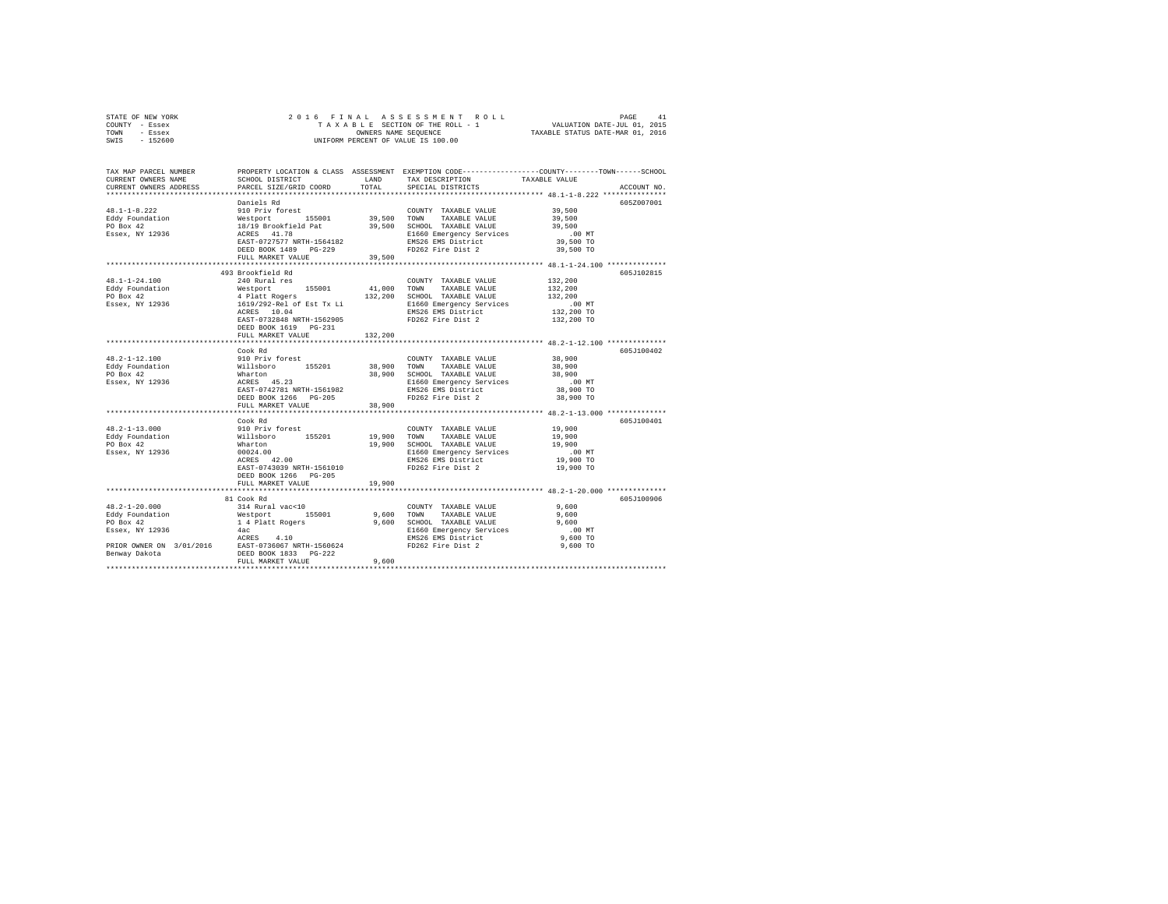| STATE OF NEW YORK | 2016 FINAL ASSESSMENT ROLL         | PAGE                             |
|-------------------|------------------------------------|----------------------------------|
| COUNTY - Essex    | TAXABLE SECTION OF THE ROLL - 1    | VALUATION DATE-JUL 01, 2015      |
| TOWN<br>- Essex   | OWNERS NAME SEOUENCE               | TAXABLE STATUS DATE-MAR 01, 2016 |
| $-152600$<br>SWIS | UNIFORM PERCENT OF VALUE IS 100.00 |                                  |

| TAX MAP PARCEL NUMBER<br>CURRENT OWNERS NAME<br>CURRENT OWNERS ADDRESS                                                                                                                                                              | SCHOOL DISTRICT<br>PARCEL SIZE/GRID COORD                  | TOTAL   | PROPERTY LOCATION & CLASS ASSESSMENT EXEMPTION CODE----------------COUNTY-------TOWN------SCHOOL<br>LAND TAX DESCRIPTION<br>SPECIAL DISTRICTS                                                                                                                             | TAXABLE VALUE        | ACCOUNT NO. |
|-------------------------------------------------------------------------------------------------------------------------------------------------------------------------------------------------------------------------------------|------------------------------------------------------------|---------|---------------------------------------------------------------------------------------------------------------------------------------------------------------------------------------------------------------------------------------------------------------------------|----------------------|-------------|
|                                                                                                                                                                                                                                     |                                                            |         |                                                                                                                                                                                                                                                                           |                      |             |
|                                                                                                                                                                                                                                     | Daniels Rd                                                 |         |                                                                                                                                                                                                                                                                           |                      | 605Z007001  |
| $48.1 - 1 - 8.222$                                                                                                                                                                                                                  |                                                            |         | 910 Priv forest<br>Westport 155001 39,500 SCHOOL TAXABLE VALUE<br>18/19 Brookfield Pat 39,500 SCHOOL TAXABLE VALUE<br>18/19 Brookfield Pat 39,500 SCHOOL TAXABLE VALUE<br>RCRES 41.78<br>EMS26 EMS POSCENT MENTHE-1564182<br>2020 PD262 Fi<br>COUNTY TAXABLE VALUE 39,500 |                      |             |
|                                                                                                                                                                                                                                     |                                                            |         |                                                                                                                                                                                                                                                                           | 39,500               |             |
|                                                                                                                                                                                                                                     |                                                            |         |                                                                                                                                                                                                                                                                           | 39,500               |             |
| Eddy Foundation<br>PO Box 42<br>Essex, NY 12936                                                                                                                                                                                     |                                                            |         |                                                                                                                                                                                                                                                                           |                      |             |
|                                                                                                                                                                                                                                     |                                                            |         |                                                                                                                                                                                                                                                                           | 00 MT.<br>39,500 TO  |             |
|                                                                                                                                                                                                                                     |                                                            |         | EMS26 EMS District<br>FD262 Fire Dist 2                                                                                                                                                                                                                                   | 39,500 TO            |             |
|                                                                                                                                                                                                                                     | FULL MARKET VALUE                                          | 39,500  |                                                                                                                                                                                                                                                                           |                      |             |
|                                                                                                                                                                                                                                     |                                                            |         |                                                                                                                                                                                                                                                                           |                      |             |
|                                                                                                                                                                                                                                     | 493 Brookfield Rd                                          |         |                                                                                                                                                                                                                                                                           |                      | 605J102815  |
| $48.1 - 1 - 24.100$                                                                                                                                                                                                                 | 240 Rural res                                              |         | COUNTY TAXABLE VALUE                                                                                                                                                                                                                                                      | 132,200              |             |
| Eddy Foundation                                                                                                                                                                                                                     |                                                            |         |                                                                                                                                                                                                                                                                           | 132,200              |             |
| PO Box 42<br>Essex, $\overline{NY}$ 12936                                                                                                                                                                                           |                                                            |         |                                                                                                                                                                                                                                                                           | 132,200              |             |
|                                                                                                                                                                                                                                     |                                                            |         |                                                                                                                                                                                                                                                                           | 00 MT.<br>132,200 TO |             |
|                                                                                                                                                                                                                                     | ACRES 10.04                                                |         |                                                                                                                                                                                                                                                                           |                      |             |
|                                                                                                                                                                                                                                     | EAST-0732848 NRTH-1562905                                  |         | E1660 Emergency Services<br>EMS26 EMS District<br>FD262 Fire Dist 2                                                                                                                                                                                                       | 132,200 TO           |             |
|                                                                                                                                                                                                                                     | DEED BOOK 1619 PG-231                                      |         |                                                                                                                                                                                                                                                                           |                      |             |
|                                                                                                                                                                                                                                     | FULL MARKET VALUE                                          | 132,200 |                                                                                                                                                                                                                                                                           |                      |             |
|                                                                                                                                                                                                                                     | Cook Rd                                                    |         |                                                                                                                                                                                                                                                                           |                      | 605J100402  |
| $48.2 - 1 - 12.100$                                                                                                                                                                                                                 |                                                            |         | OUNTY TAXABLE VALUE<br>Willaboro 155201 38,900 TOWN TAXABLE VALUE<br>Wharton 155201 38,900 SCHOOL TAXABLE VALUE<br>ACRES 45.23 38,900 SCHOOL TAXABLE VALUE<br>ACRES 45.23                                                                                                 | 38,900               |             |
|                                                                                                                                                                                                                                     |                                                            |         |                                                                                                                                                                                                                                                                           | 38,900               |             |
| Eddy Foundation<br>PO Box 42                                                                                                                                                                                                        |                                                            |         |                                                                                                                                                                                                                                                                           | 38,900               |             |
| Essex, NY 12936                                                                                                                                                                                                                     |                                                            |         |                                                                                                                                                                                                                                                                           | $.00$ MT             |             |
|                                                                                                                                                                                                                                     | EAST-0742781 NRTH-1561982                                  |         | E1660 Emergency Services<br>EMS26 EMS District                                                                                                                                                                                                                            | 38,900 TO            |             |
|                                                                                                                                                                                                                                     | DEED BOOK 1266 PG-205                                      |         | FD262 Fire Dist 2                                                                                                                                                                                                                                                         | 38,900 TO            |             |
|                                                                                                                                                                                                                                     | FULL MARKET VALUE                                          | 38,900  |                                                                                                                                                                                                                                                                           |                      |             |
|                                                                                                                                                                                                                                     |                                                            |         |                                                                                                                                                                                                                                                                           |                      |             |
|                                                                                                                                                                                                                                     | Cook Rd                                                    |         |                                                                                                                                                                                                                                                                           |                      | 605J100401  |
| $48.2 - 1 - 13.000$                                                                                                                                                                                                                 |                                                            |         | COUNTY TAXABLE VALUE 19,900                                                                                                                                                                                                                                               |                      |             |
| Eddy Foundation<br>PO Box 42                                                                                                                                                                                                        |                                                            |         | 19,900 TOWN TAXABLE VALUE                                                                                                                                                                                                                                                 | 19,900               |             |
|                                                                                                                                                                                                                                     | 910 Priv forest<br>Willsboro 155201<br>Wharton<br>00024.00 |         | 19,900 SCHOOL TAXABLE VALUE                                                                                                                                                                                                                                               | 19,900               |             |
| Essex, NY 12936                                                                                                                                                                                                                     |                                                            |         | E1660 Emergency Services                                                                                                                                                                                                                                                  | $.00$ MT             |             |
|                                                                                                                                                                                                                                     | $ACRES$ 42.00                                              |         | EMS26 EMS District                                                                                                                                                                                                                                                        | 19,900 TO            |             |
|                                                                                                                                                                                                                                     | EAST-0743039 NRTH-1561010                                  |         | FD262 Fire Dist 2                                                                                                                                                                                                                                                         | 19,900 TO            |             |
|                                                                                                                                                                                                                                     | DEED BOOK 1266 PG-205                                      |         |                                                                                                                                                                                                                                                                           |                      |             |
|                                                                                                                                                                                                                                     | FULL MARKET VALUE                                          | 19,900  |                                                                                                                                                                                                                                                                           |                      |             |
|                                                                                                                                                                                                                                     |                                                            |         |                                                                                                                                                                                                                                                                           |                      |             |
| 48.2-1-20.000                                                                                                                                                                                                                       | 81 Cook Rd<br>314 Rural vac<10                             |         | COUNTY TAXABLE VALUE                                                                                                                                                                                                                                                      | 9,600                | 605J100906  |
|                                                                                                                                                                                                                                     |                                                            |         |                                                                                                                                                                                                                                                                           | 9,600                |             |
| Eddy Foundation<br>Policy Foundation<br>Policy 42<br>1999 - 1999 - 1999 - 1999 - 1999 - 1999 - 1999 - 1999 - 1999 - 1999 - 1999 - 1999 - 1999 - 1999 - 1999 - 1999 - 1999 - 1999 - 1999 - 1999 - 1999 - 1999 - 1999 - 1999 - 1999 - |                                                            |         | 9,600 TOWN TAXABLE VALUE<br>9,600 SCHOOL TAXABLE VALUE                                                                                                                                                                                                                    | 9,600                |             |
| PO BOX 42<br>Essex, NY 12936                                                                                                                                                                                                        |                                                            |         |                                                                                                                                                                                                                                                                           | $.00$ MT             |             |
|                                                                                                                                                                                                                                     |                                                            |         | E1660 Emergency Services<br>EMS26 EMS District                                                                                                                                                                                                                            | $9,600$ TO           |             |
| Essex, NY 12936 4ac<br>ACRES 4.10<br>PRIOR OWNER ON 3/01/2016 EAST-0736067 NRTH-1560624<br>Benway Dakota DEED BOOK 1833 PG-222                                                                                                      |                                                            |         | FD262 Fire Dist 2                                                                                                                                                                                                                                                         | 9,600 TO             |             |
|                                                                                                                                                                                                                                     |                                                            |         |                                                                                                                                                                                                                                                                           |                      |             |
|                                                                                                                                                                                                                                     | FULL MARKET VALUE                                          | 9,600   |                                                                                                                                                                                                                                                                           |                      |             |
|                                                                                                                                                                                                                                     |                                                            |         |                                                                                                                                                                                                                                                                           |                      |             |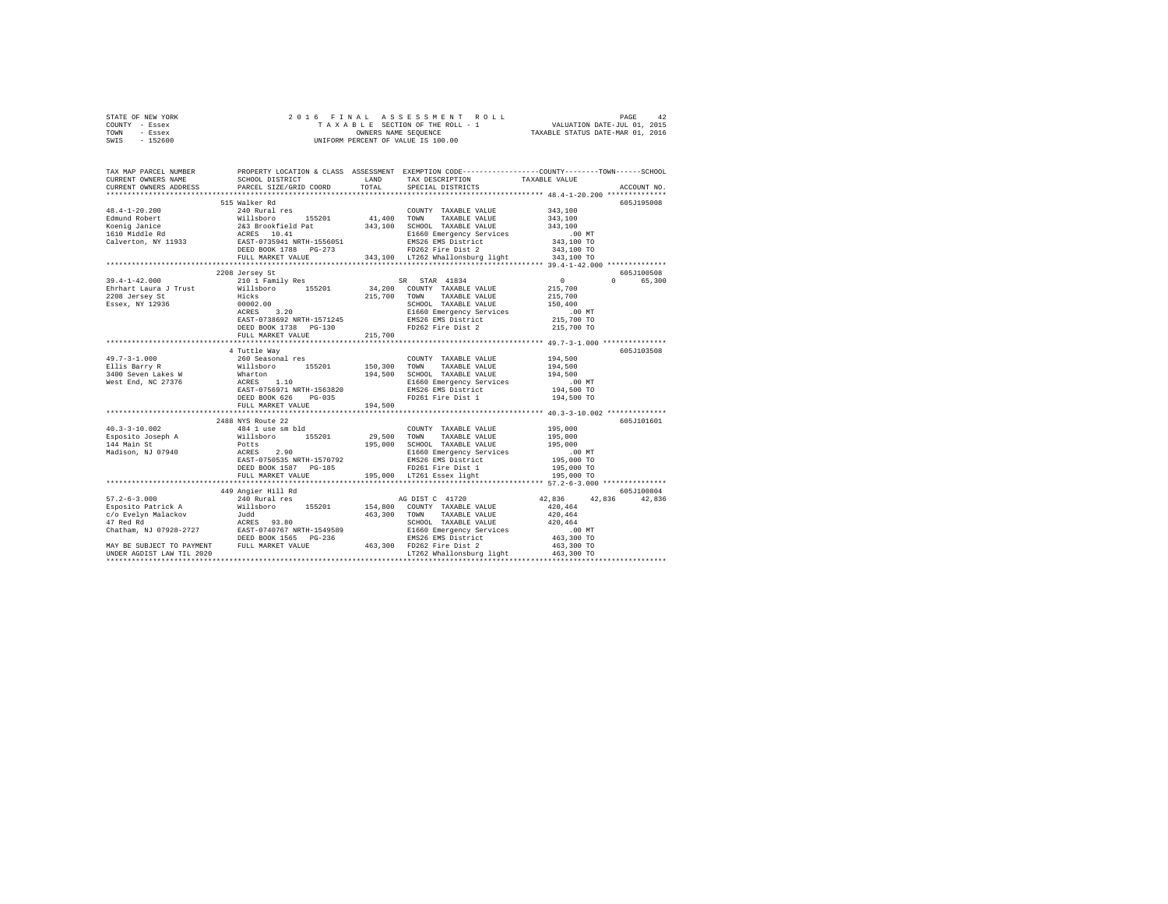|                | STATE OF NEW YORK |  |  | 2016 FINAL ASSESSMENT ROLL         |                                  | PAGE                        | 42 |
|----------------|-------------------|--|--|------------------------------------|----------------------------------|-----------------------------|----|
| COUNTY - Essex |                   |  |  | TAXABLE SECTION OF THE ROLL - 1    |                                  | VALUATION DATE-JUL 01, 2015 |    |
| TOWN           | - Essex           |  |  | OWNERS NAME SEOUENCE               | TAXABLE STATUS DATE-MAR 01, 2016 |                             |    |
| SWIS           | $-152600$         |  |  | UNIFORM PERCENT OF VALUE IS 100.00 |                                  |                             |    |

| TAX MAP PARCEL NUMBER<br>CURRENT OWNERS NAME | SCHOOL DISTRICT                                                                                                                                                                                                                        | LAND    | PROPERTY LOCATION & CLASS ASSESSMENT EXEMPTION CODE---------------COUNTY-------TOWN------SCHOOL<br>TAX DESCRIPTION | TAXABLE VALUE                      |                                     |
|----------------------------------------------|----------------------------------------------------------------------------------------------------------------------------------------------------------------------------------------------------------------------------------------|---------|--------------------------------------------------------------------------------------------------------------------|------------------------------------|-------------------------------------|
| CURRENT OWNERS ADDRESS                       | PARCEL SIZE/GRID COORD                                                                                                                                                                                                                 | TOTAL   | SPECIAL DISTRICTS                                                                                                  |                                    | ACCOUNT NO.                         |
|                                              |                                                                                                                                                                                                                                        |         |                                                                                                                    |                                    |                                     |
|                                              | 515 Walker Rd                                                                                                                                                                                                                          |         |                                                                                                                    |                                    | 605J195008                          |
|                                              |                                                                                                                                                                                                                                        |         | COUNTY TAXABLE VALUE 343,100                                                                                       |                                    |                                     |
|                                              |                                                                                                                                                                                                                                        |         |                                                                                                                    | 343,100                            |                                     |
|                                              |                                                                                                                                                                                                                                        |         |                                                                                                                    | 343,100                            |                                     |
|                                              |                                                                                                                                                                                                                                        |         |                                                                                                                    | .00 MT<br>343,100 TO               |                                     |
|                                              |                                                                                                                                                                                                                                        |         | EMS26 EMS District<br>FD262 Fire Dist 2                                                                            |                                    |                                     |
|                                              |                                                                                                                                                                                                                                        |         |                                                                                                                    | 343,100 TO                         |                                     |
|                                              | FULL MARKET VALUE                                                                                                                                                                                                                      |         | 343,100 LT262 Whallonsburg light 343,100 TO                                                                        |                                    |                                     |
|                                              |                                                                                                                                                                                                                                        |         |                                                                                                                    |                                    |                                     |
|                                              | 2208 Jersey St                                                                                                                                                                                                                         |         |                                                                                                                    |                                    | 605J100508<br>$\Omega$ and $\Omega$ |
| $39.4 - 1 - 42.000$                          | 210 1 Family Res<br>Ehrhart Laura J Trust and Millsboro 155201 34,200 COUNTY TAXABLE VALUE 2208 Jersey St<br>2208 Jersey St Hicks 155201 215,700 TOWN TAXABLE VALUE<br>239 Sesex, NY 12936 00002.00 SCRES 3.20 SCREE 2006 DESERT VALUE |         | SR STAR 41834                                                                                                      | $\sim$ 0<br>215,700                | 65,300                              |
|                                              |                                                                                                                                                                                                                                        |         |                                                                                                                    |                                    |                                     |
|                                              |                                                                                                                                                                                                                                        |         |                                                                                                                    | 215,700                            |                                     |
|                                              |                                                                                                                                                                                                                                        |         | SCHOOL TAXABLE VALUE                                                                                               | 150,400<br>00 MT.<br>215,700 TO    |                                     |
|                                              | EAST-0738692 NRTH-1571245                                                                                                                                                                                                              |         | E1660 Emergency Services                                                                                           |                                    |                                     |
|                                              |                                                                                                                                                                                                                                        |         | EMS26 EMS District<br>FD262 Fire Dist 2                                                                            |                                    |                                     |
|                                              | DEED BOOK 1738    PG-130                                                                                                                                                                                                               |         |                                                                                                                    | 215,700 TO                         |                                     |
|                                              | FULL MARKET VALUE<br>********************************                                                                                                                                                                                  | 215,700 |                                                                                                                    |                                    |                                     |
|                                              | 4 Tuttle Way                                                                                                                                                                                                                           |         |                                                                                                                    |                                    | 605J103508                          |
|                                              |                                                                                                                                                                                                                                        |         | COUNTY TAXABLE VALUE                                                                                               | $194,500$                          |                                     |
|                                              |                                                                                                                                                                                                                                        |         | COUNTY TAXABLE VALUE<br>150,300 TOWN TAXABLE VALUE                                                                 | 194,500                            |                                     |
|                                              |                                                                                                                                                                                                                                        |         |                                                                                                                    |                                    |                                     |
|                                              | 49.7-3-1.000<br>Ellis Barry R<br>Ellis Barry Res Wellsboro 155201<br>1400 Seven Lakes W Wharton<br>Mest End, NC 27376 ACRES 1.10<br>RAST-0756971 NRTH-1563820                                                                          |         | 194,500 SCHOOL TAXABLE VALUE<br>E1660 Emergency Services<br>EMS26 EMS District                                     | 194,500<br>00 MT.<br>194,500 TO    |                                     |
|                                              |                                                                                                                                                                                                                                        |         |                                                                                                                    |                                    |                                     |
|                                              | DEED BOOK 626 PG-035                                                                                                                                                                                                                   |         | EMS26 EMS District<br>FD261 Fire Dist 1                                                                            | 194,500 TO                         |                                     |
|                                              | FULL MARKET VALUE                                                                                                                                                                                                                      | 194,500 |                                                                                                                    |                                    |                                     |
|                                              |                                                                                                                                                                                                                                        |         |                                                                                                                    |                                    |                                     |
|                                              | 2488 NYS Route 22                                                                                                                                                                                                                      |         |                                                                                                                    |                                    | 605J101601                          |
| $40.3 - 3 - 10.002$                          |                                                                                                                                                                                                                                        |         | COUNTY TAXABLE VALUE 195,000                                                                                       |                                    |                                     |
|                                              |                                                                                                                                                                                                                                        |         | 29,500 TOWN TAXABLE VALUE                                                                                          | 195,000                            |                                     |
| Esposito Joseph A<br>144 Main St             |                                                                                                                                                                                                                                        |         | 195,000 SCHOOL TAXABLE VALUE 195,000                                                                               |                                    |                                     |
| Madison, NJ 07940                            |                                                                                                                                                                                                                                        |         |                                                                                                                    |                                    |                                     |
|                                              | 2100 A33 Audus 2m<br>484 1 use sm bld<br>Willaboro 155201<br>Potts<br>ACRES 2.90<br>EAST-0750535 NRTH-1570792<br>DEED BOOK 1587 PG-185                                                                                                 |         | E1660 Emergency Services<br>EMS26 EMS District                                                                     | 00 MT.<br>195,000 TO<br>195,000 TO |                                     |
|                                              |                                                                                                                                                                                                                                        |         | FD261 Fire Dist 1                                                                                                  |                                    |                                     |
|                                              | FULL MARKET VALUE                                                                                                                                                                                                                      |         | 195,000 LT261 Essex light                                                                                          | 195,000 TO                         |                                     |
|                                              |                                                                                                                                                                                                                                        |         |                                                                                                                    |                                    |                                     |
|                                              | 449 Angier Hill Rd                                                                                                                                                                                                                     |         |                                                                                                                    |                                    | 605J100804                          |
|                                              |                                                                                                                                                                                                                                        |         |                                                                                                                    | 42,836 42,836                      | 42,836                              |
|                                              |                                                                                                                                                                                                                                        |         |                                                                                                                    |                                    |                                     |
|                                              |                                                                                                                                                                                                                                        |         |                                                                                                                    |                                    |                                     |
|                                              |                                                                                                                                                                                                                                        |         |                                                                                                                    |                                    |                                     |
|                                              |                                                                                                                                                                                                                                        |         |                                                                                                                    |                                    |                                     |
|                                              |                                                                                                                                                                                                                                        |         |                                                                                                                    |                                    |                                     |
|                                              |                                                                                                                                                                                                                                        |         |                                                                                                                    |                                    |                                     |
|                                              |                                                                                                                                                                                                                                        |         |                                                                                                                    |                                    |                                     |
|                                              |                                                                                                                                                                                                                                        |         |                                                                                                                    |                                    |                                     |
|                                              |                                                                                                                                                                                                                                        |         |                                                                                                                    |                                    |                                     |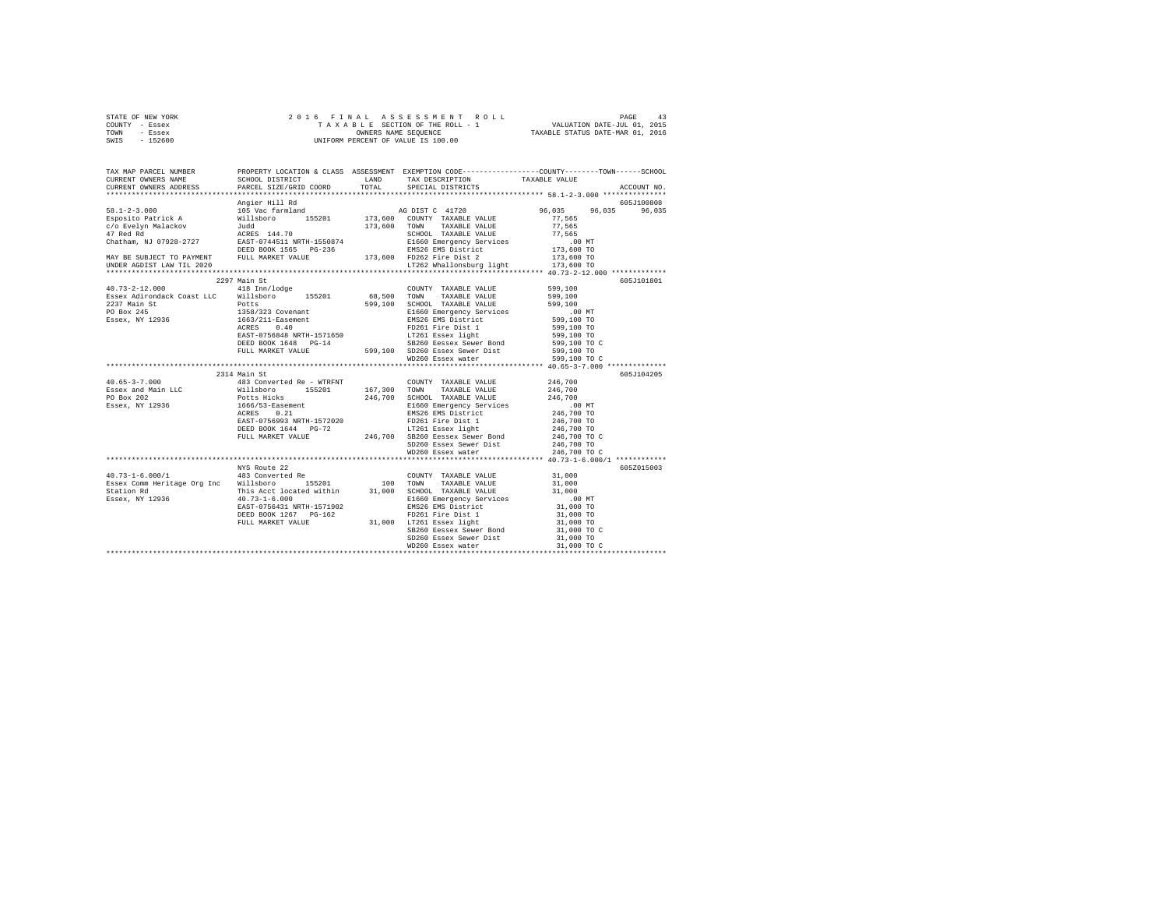| STATE OF NEW YORK |         |           |                      |  |  |  |  |  |                                    |  |  | 2016 FINAL ASSESSMENT ROLL |                                  | PAGE | 43 |
|-------------------|---------|-----------|----------------------|--|--|--|--|--|------------------------------------|--|--|----------------------------|----------------------------------|------|----|
| COUNTY - Essex    |         |           |                      |  |  |  |  |  | TAXABLE SECTION OF THE ROLL - 1    |  |  |                            | VALUATION DATE-JUL 01, 2015      |      |    |
| TOWN              | - Essex |           | OWNERS NAME SEOUENCE |  |  |  |  |  |                                    |  |  |                            | TAXABLE STATUS DATE-MAR 01, 2016 |      |    |
| SWIS              |         | $-152600$ |                      |  |  |  |  |  | UNIFORM PERCENT OF VALUE IS 100.00 |  |  |                            |                                  |      |    |

| TAX MAP PARCEL NUMBER<br>CURRENT OWNERS NAME      | SCHOOL DISTRICT TAND TAX DESCRIPTION                                                                                                                                                                                                                                                                                                                 |  | PROPERTY LOCATION & CLASS ASSESSMENT EXEMPTION CODE---------------COUNTY-------TOWN-----SCHOOL<br>TAXABLE VALUE |
|---------------------------------------------------|------------------------------------------------------------------------------------------------------------------------------------------------------------------------------------------------------------------------------------------------------------------------------------------------------------------------------------------------------|--|-----------------------------------------------------------------------------------------------------------------|
| CURRENT OWNERS ADDRESS                            | PARCEL SIZE/GRID COORD TOTAL SPECIAL DISTRICTS                                                                                                                                                                                                                                                                                                       |  | ACCOUNT NO.                                                                                                     |
|                                                   |                                                                                                                                                                                                                                                                                                                                                      |  | 605J100808                                                                                                      |
|                                                   |                                                                                                                                                                                                                                                                                                                                                      |  | 96,035 96,035<br>96,035                                                                                         |
|                                                   |                                                                                                                                                                                                                                                                                                                                                      |  |                                                                                                                 |
|                                                   |                                                                                                                                                                                                                                                                                                                                                      |  |                                                                                                                 |
|                                                   |                                                                                                                                                                                                                                                                                                                                                      |  |                                                                                                                 |
|                                                   |                                                                                                                                                                                                                                                                                                                                                      |  |                                                                                                                 |
|                                                   |                                                                                                                                                                                                                                                                                                                                                      |  |                                                                                                                 |
|                                                   |                                                                                                                                                                                                                                                                                                                                                      |  |                                                                                                                 |
|                                                   |                                                                                                                                                                                                                                                                                                                                                      |  |                                                                                                                 |
|                                                   |                                                                                                                                                                                                                                                                                                                                                      |  |                                                                                                                 |
|                                                   | 2297 Main St                                                                                                                                                                                                                                                                                                                                         |  | 605J101801                                                                                                      |
|                                                   |                                                                                                                                                                                                                                                                                                                                                      |  |                                                                                                                 |
|                                                   |                                                                                                                                                                                                                                                                                                                                                      |  |                                                                                                                 |
|                                                   |                                                                                                                                                                                                                                                                                                                                                      |  |                                                                                                                 |
|                                                   |                                                                                                                                                                                                                                                                                                                                                      |  |                                                                                                                 |
|                                                   |                                                                                                                                                                                                                                                                                                                                                      |  |                                                                                                                 |
|                                                   |                                                                                                                                                                                                                                                                                                                                                      |  |                                                                                                                 |
|                                                   |                                                                                                                                                                                                                                                                                                                                                      |  |                                                                                                                 |
|                                                   |                                                                                                                                                                                                                                                                                                                                                      |  |                                                                                                                 |
|                                                   |                                                                                                                                                                                                                                                                                                                                                      |  |                                                                                                                 |
|                                                   |                                                                                                                                                                                                                                                                                                                                                      |  |                                                                                                                 |
|                                                   |                                                                                                                                                                                                                                                                                                                                                      |  |                                                                                                                 |
|                                                   | 2314 Main St                                                                                                                                                                                                                                                                                                                                         |  | 605J104205                                                                                                      |
| 40.65-3-7.000<br>Essex and Main LLC<br>PO Box 202 | $\begin{tabular}{cccc} 2314 & 481 & \text{Co} & 167 \\ 483 & \text{Converted Re - WTRENT} & 167, 300 & \text{TANABLE VALUE} & 246, 700 \\ \text{Wills before} & 155201 & 167, 300 & \text{TANABLE VALUE} & 246, 700 \\ \text{Potts Hicks & 1665 & \text{TANABLE VALUE} & 246, 700 \\ \text{Potes } Hicks & 167, 300 & \text{STGNOL TANABLE VALUE} &$ |  |                                                                                                                 |
|                                                   |                                                                                                                                                                                                                                                                                                                                                      |  |                                                                                                                 |
|                                                   |                                                                                                                                                                                                                                                                                                                                                      |  |                                                                                                                 |
| Essex, NY 12936                                   |                                                                                                                                                                                                                                                                                                                                                      |  |                                                                                                                 |
|                                                   |                                                                                                                                                                                                                                                                                                                                                      |  |                                                                                                                 |
|                                                   |                                                                                                                                                                                                                                                                                                                                                      |  |                                                                                                                 |
|                                                   |                                                                                                                                                                                                                                                                                                                                                      |  |                                                                                                                 |
|                                                   |                                                                                                                                                                                                                                                                                                                                                      |  |                                                                                                                 |
|                                                   |                                                                                                                                                                                                                                                                                                                                                      |  |                                                                                                                 |
|                                                   |                                                                                                                                                                                                                                                                                                                                                      |  |                                                                                                                 |
|                                                   |                                                                                                                                                                                                                                                                                                                                                      |  |                                                                                                                 |
|                                                   |                                                                                                                                                                                                                                                                                                                                                      |  | 605Z015003                                                                                                      |
|                                                   |                                                                                                                                                                                                                                                                                                                                                      |  |                                                                                                                 |
|                                                   |                                                                                                                                                                                                                                                                                                                                                      |  |                                                                                                                 |
|                                                   |                                                                                                                                                                                                                                                                                                                                                      |  |                                                                                                                 |
|                                                   |                                                                                                                                                                                                                                                                                                                                                      |  |                                                                                                                 |
|                                                   |                                                                                                                                                                                                                                                                                                                                                      |  |                                                                                                                 |
|                                                   |                                                                                                                                                                                                                                                                                                                                                      |  |                                                                                                                 |
|                                                   |                                                                                                                                                                                                                                                                                                                                                      |  | 31,000 TO<br>31,000 TO C                                                                                        |
|                                                   |                                                                                                                                                                                                                                                                                                                                                      |  |                                                                                                                 |
|                                                   |                                                                                                                                                                                                                                                                                                                                                      |  |                                                                                                                 |
|                                                   | EAST-07093-1 WKIR-1273740<br>EDEED BOOK 1267 PG-162<br>FD261 Fire Dist 1<br>FD261 Fire Dist 1<br>FD261 Fire Dist 1<br>FD261 Fire Dist 1<br>SB260 Easex Sever Bond<br>SD260 Easex Sever Bond<br>SD260 Easex Sever Bond<br>SD260 Easex Sever Bond<br>                                                                                                  |  |                                                                                                                 |
|                                                   |                                                                                                                                                                                                                                                                                                                                                      |  |                                                                                                                 |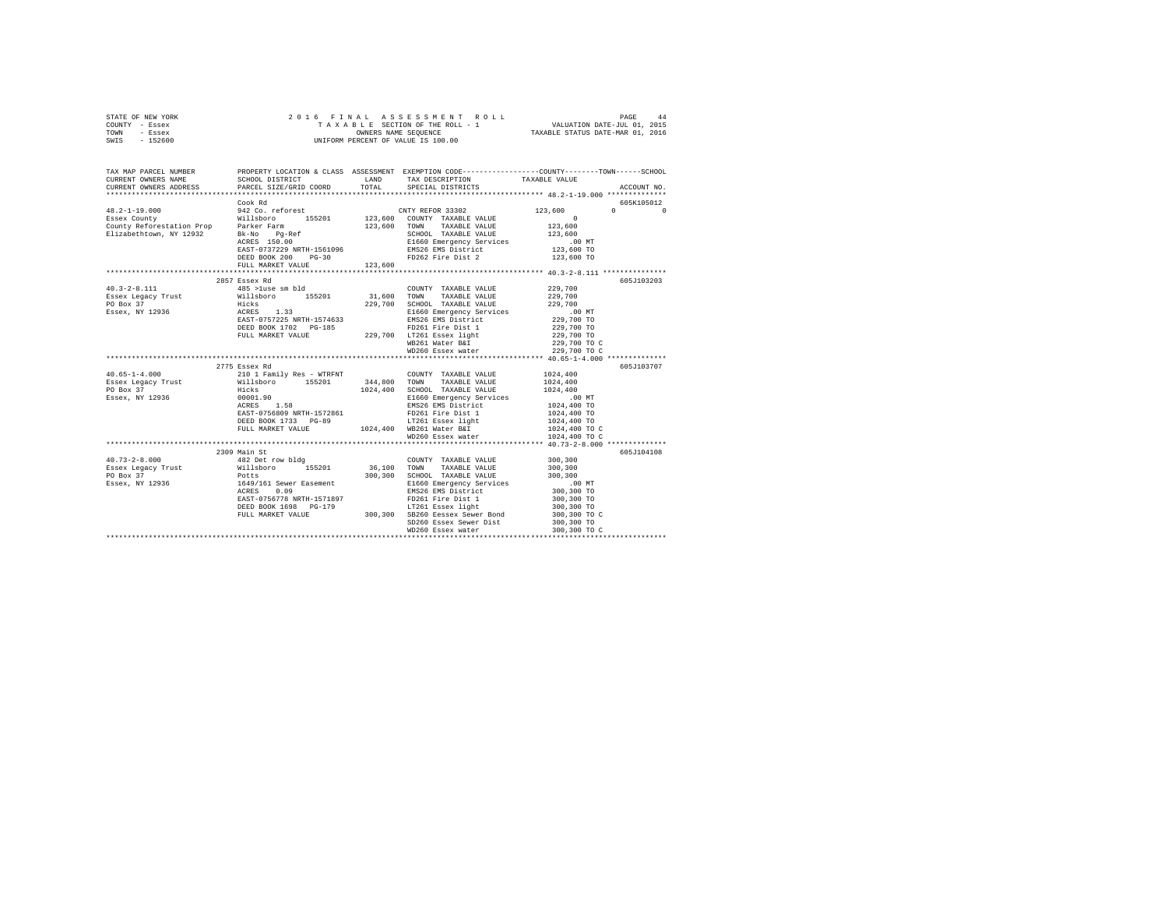|      | STATE OF NEW YORK |  | 2016 FINAL ASSESSMENT ROLL         | PAGE                             | 44 |
|------|-------------------|--|------------------------------------|----------------------------------|----|
|      | COUNTY - Essex    |  | TAXABLE SECTION OF THE ROLL - 1    | VALUATION DATE-JUL 01, 2015      |    |
| TOWN | - Essex           |  | OWNERS NAME SEOUENCE               | TAXABLE STATUS DATE-MAR 01, 2016 |    |
| SWIS | - 152600          |  | UNIFORM PERCENT OF VALUE IS 100.00 |                                  |    |

| TAX MAP PARCEL NUMBER<br>CURRENT OWNERS NAME<br>CURRENT OWNERS ADDRESS PARCEL SIZE/GRID COORD TOTAL SPECIAL DISTRICTS                                                                                                                                                                                                                                                                                                                                                                                      | SCHOOL DISTRICT TAND TAX DESCRIPTION                                                                                                                                                            |         |                                                                                                                                                                             | PROPERTY LOCATION & CLASS ASSESSMENT EXEMPTION CODE---------------COUNTY-------TOWN-----SCHOOL<br>TAXABLE VALUE | ACCOUNT NO.                                     |
|------------------------------------------------------------------------------------------------------------------------------------------------------------------------------------------------------------------------------------------------------------------------------------------------------------------------------------------------------------------------------------------------------------------------------------------------------------------------------------------------------------|-------------------------------------------------------------------------------------------------------------------------------------------------------------------------------------------------|---------|-----------------------------------------------------------------------------------------------------------------------------------------------------------------------------|-----------------------------------------------------------------------------------------------------------------|-------------------------------------------------|
|                                                                                                                                                                                                                                                                                                                                                                                                                                                                                                            | DEED BOOK 200<br>$PG-30$<br>FULL MARKET VALUE                                                                                                                                                   | 123,600 | FD262 Fire Dist 2 123,600 TO                                                                                                                                                | 123,600<br>$\begin{array}{r} 123,600 \\ 123,600 \\ 123,600 \end{array}$<br>00 MT.<br>123,600 TO                 | 605K105012<br>$\Omega$ and $\Omega$<br>$\Omega$ |
| $40.3 - 2 - 8.111$                                                                                                                                                                                                                                                                                                                                                                                                                                                                                         | 2857 Essex Rd<br>485 >luse sm bld                                                                                                                                                               |         | COUNTY TAXABLE VALUE 229,700<br>WD260 Essex water                                                                                                                           | 00 MT.<br>229,700 TO<br>229,700 TO<br>229,700 TO<br>229,700 TO C<br>229,700 TO C                                | 605J103203                                      |
| $\texttt{40.65-1-4.000}\begin{minipage}{0.65\textwidth} \begin{minipage}{0.65\textwidth} \begin{minipage}{0.65\textwidth} \begin{minipage}{0.65\textwidth} \begin{minipage}{0.65\textwidth} \begin{minipage}{0.65\textwidth} \begin{minipage}{0.65\textwidth} \begin{minipage}{0.65\textwidth} \begin{minipage}{0.65\textwidth} \begin{minipage}{0.65\textwidth} \begin{minipage}{0.65\textwidth} \begin{minipage}{0.65\textwidth} \begin{minipage}{0.65\textwidth} \begin{minipage}{0$<br>Essex, NY 12936 | 2775 Essex Rd<br>REST - 0756809 NRTH-1572861 - 20261 Fire Dist 1 2024,400 TO<br>DEED BOOK 1733 PC-89 - 1024,400 TO DEED 1024,400 TO<br>FULL MARKET VALUE 1024,400 MB261 Water BaI 1024,400 TO C |         | E1660 Emergency Services .00 MT<br>EMS26 EMS District 1024,400 TO<br>WD260 Essex water                                                                                      | 1024,400 TO C                                                                                                   | 605J103707                                      |
| 40.73-2-8.000 482 Det row bldg                                                                                                                                                                                                                                                                                                                                                                                                                                                                             | 2309 Main St<br>DEED BOOK 1698 PG-179                                                                                                                                                           |         | COUNTY TAXABLE VALUE 300,300<br>DEED BOOK 1698 PG-179 LT261 Essex light<br>FULL MARKET VALUE 300,300 SB260 Eessex Sewer Bond<br>SD260 Essex Sewer Dist<br>WD260 Essex water | 300,300 TO<br>300,300 TO C<br>300,300 TO                                                                        | 605J104108                                      |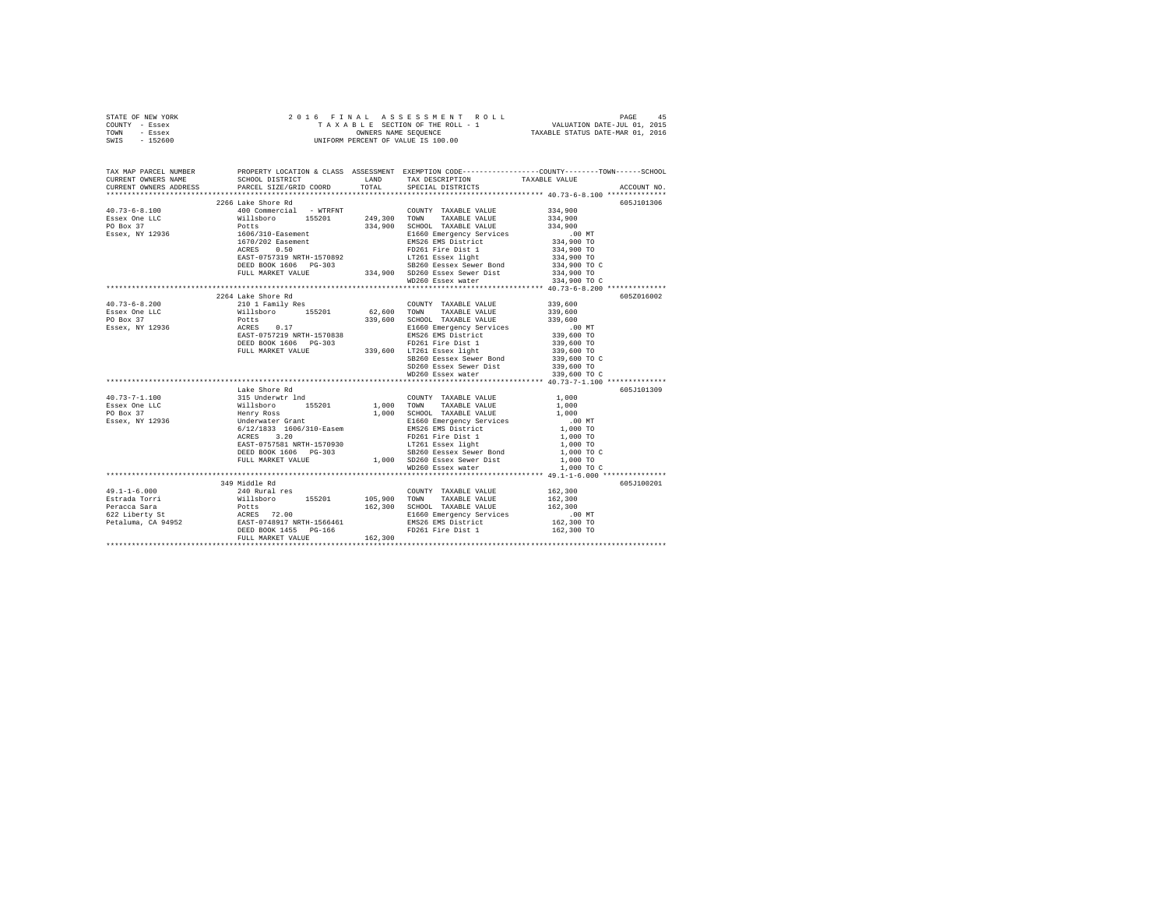| STATE OF NEW YORK | 2016 FINAL ASSESSMENT ROLL         | 45<br>PAGE                       |
|-------------------|------------------------------------|----------------------------------|
| COUNTY - Essex    | TAXABLE SECTION OF THE ROLL - 1    | VALUATION DATE-JUL 01, 2015      |
| TOWN<br>- Essex   | OWNERS NAME SEOUENCE               | TAXABLE STATUS DATE-MAR 01, 2016 |
| $-152600$<br>SWIS | UNIFORM PERCENT OF VALUE IS 100.00 |                                  |

| TAX MAP PARCEL NUMBER<br>CURRENT OWNERS NAME SCHOOL DISTRICT LAND TAX DESCRIPTION                                                                                                                                                                                                                                                                                                                        |                    |                   | PROPERTY LOCATION & CLASS ASSESSMENT EXEMPTION CODE----------------COUNTY-------TOWN-----SCHOOL<br>TAXABLE VALUE |
|----------------------------------------------------------------------------------------------------------------------------------------------------------------------------------------------------------------------------------------------------------------------------------------------------------------------------------------------------------------------------------------------------------|--------------------|-------------------|------------------------------------------------------------------------------------------------------------------|
| CURRENT OWNERS ADDRESS PARCEL SIZE/GRID COORD TOTAL SPECIAL DISTRICTS                                                                                                                                                                                                                                                                                                                                    |                    |                   | ACCOUNT NO.                                                                                                      |
|                                                                                                                                                                                                                                                                                                                                                                                                          | 2266 Lake Shore Rd |                   | 605J101306                                                                                                       |
| $\begin{tabular}{l c c c} \multicolumn{4}{c}{\textbf{40.73--6-8.100}} & \multicolumn{4}{c}{\textbf{40.73--6-8.100}} & \multicolumn{4}{c}{\textbf{40.73--6-8.100}} & \multicolumn{4}{c}{\textbf{40.73--6-8.100}} & \multicolumn{4}{c}{\textbf{40.73--6-8.100}} & \multicolumn{4}{c}{\textbf{40.73--6-8.100}} & \multicolumn{4}{c}{\textbf{40.73--6-8.100}} & \multicolumn{4}{c}{\$                        |                    |                   |                                                                                                                  |
|                                                                                                                                                                                                                                                                                                                                                                                                          |                    |                   |                                                                                                                  |
|                                                                                                                                                                                                                                                                                                                                                                                                          |                    |                   |                                                                                                                  |
|                                                                                                                                                                                                                                                                                                                                                                                                          |                    |                   |                                                                                                                  |
|                                                                                                                                                                                                                                                                                                                                                                                                          |                    |                   |                                                                                                                  |
|                                                                                                                                                                                                                                                                                                                                                                                                          |                    |                   |                                                                                                                  |
|                                                                                                                                                                                                                                                                                                                                                                                                          |                    |                   |                                                                                                                  |
|                                                                                                                                                                                                                                                                                                                                                                                                          |                    |                   |                                                                                                                  |
|                                                                                                                                                                                                                                                                                                                                                                                                          |                    |                   |                                                                                                                  |
|                                                                                                                                                                                                                                                                                                                                                                                                          |                    |                   |                                                                                                                  |
|                                                                                                                                                                                                                                                                                                                                                                                                          |                    |                   |                                                                                                                  |
| $\begin{tabular}{l c c c c c} \multicolumn{4}{c c c} \multicolumn{4}{c c c} \multicolumn{4}{c c c} \multicolumn{4}{c c c} \multicolumn{4}{c c c} \multicolumn{4}{c c c} \multicolumn{4}{c c c} \multicolumn{4}{c c c} \multicolumn{4}{c c c} \multicolumn{4}{c c c} \multicolumn{4}{c c c} \multicolumn{4}{c c c} \multicolumn{4}{c c c} \multicolumn{4}{c c c} \multicolumn{4}{c c c} \multicolumn{4}{$ |                    |                   | 605Z016002                                                                                                       |
|                                                                                                                                                                                                                                                                                                                                                                                                          |                    |                   |                                                                                                                  |
|                                                                                                                                                                                                                                                                                                                                                                                                          |                    |                   |                                                                                                                  |
|                                                                                                                                                                                                                                                                                                                                                                                                          |                    |                   |                                                                                                                  |
|                                                                                                                                                                                                                                                                                                                                                                                                          |                    |                   |                                                                                                                  |
|                                                                                                                                                                                                                                                                                                                                                                                                          |                    |                   |                                                                                                                  |
|                                                                                                                                                                                                                                                                                                                                                                                                          |                    |                   |                                                                                                                  |
|                                                                                                                                                                                                                                                                                                                                                                                                          |                    |                   |                                                                                                                  |
|                                                                                                                                                                                                                                                                                                                                                                                                          |                    |                   |                                                                                                                  |
|                                                                                                                                                                                                                                                                                                                                                                                                          |                    |                   |                                                                                                                  |
|                                                                                                                                                                                                                                                                                                                                                                                                          |                    |                   |                                                                                                                  |
|                                                                                                                                                                                                                                                                                                                                                                                                          |                    |                   |                                                                                                                  |
|                                                                                                                                                                                                                                                                                                                                                                                                          | Lake Shore Rd      |                   | 605J101309                                                                                                       |
| $40.73 - 7 - 1.100$                                                                                                                                                                                                                                                                                                                                                                                      |                    |                   |                                                                                                                  |
| Essex One LLC<br>PO Box 37                                                                                                                                                                                                                                                                                                                                                                               |                    |                   |                                                                                                                  |
|                                                                                                                                                                                                                                                                                                                                                                                                          |                    |                   |                                                                                                                  |
| Essex, NY 12936                                                                                                                                                                                                                                                                                                                                                                                          |                    |                   |                                                                                                                  |
|                                                                                                                                                                                                                                                                                                                                                                                                          |                    |                   |                                                                                                                  |
|                                                                                                                                                                                                                                                                                                                                                                                                          |                    |                   |                                                                                                                  |
|                                                                                                                                                                                                                                                                                                                                                                                                          |                    |                   |                                                                                                                  |
|                                                                                                                                                                                                                                                                                                                                                                                                          |                    |                   |                                                                                                                  |
|                                                                                                                                                                                                                                                                                                                                                                                                          |                    |                   |                                                                                                                  |
|                                                                                                                                                                                                                                                                                                                                                                                                          |                    | WD260 Essex water | 1,000 TO C                                                                                                       |
|                                                                                                                                                                                                                                                                                                                                                                                                          | 349 Middle Rd      |                   | 605J100201                                                                                                       |
|                                                                                                                                                                                                                                                                                                                                                                                                          |                    |                   |                                                                                                                  |
|                                                                                                                                                                                                                                                                                                                                                                                                          |                    |                   |                                                                                                                  |
|                                                                                                                                                                                                                                                                                                                                                                                                          |                    |                   |                                                                                                                  |
|                                                                                                                                                                                                                                                                                                                                                                                                          |                    |                   |                                                                                                                  |
|                                                                                                                                                                                                                                                                                                                                                                                                          |                    |                   |                                                                                                                  |
|                                                                                                                                                                                                                                                                                                                                                                                                          |                    |                   |                                                                                                                  |
| $\begin{tabular}{l c c c c c} \multicolumn{3}{c c c c} \multicolumn{3}{c c c} \multicolumn{3}{c c c} \multicolumn{3}{c c c} \multicolumn{3}{c c c} \multicolumn{3}{c c c} \multicolumn{3}{c c c} \multicolumn{3}{c c c} \multicolumn{3}{c c c} \multicolumn{3}{c c c} \multicolumn{3}{c c c} \multicolumn{3}{c c c} \multicolumn{3}{c c c} \multicolumn{3}{c c c} \multicolumn{3}{c c c} \multicolumn{$  |                    |                   |                                                                                                                  |
|                                                                                                                                                                                                                                                                                                                                                                                                          |                    |                   |                                                                                                                  |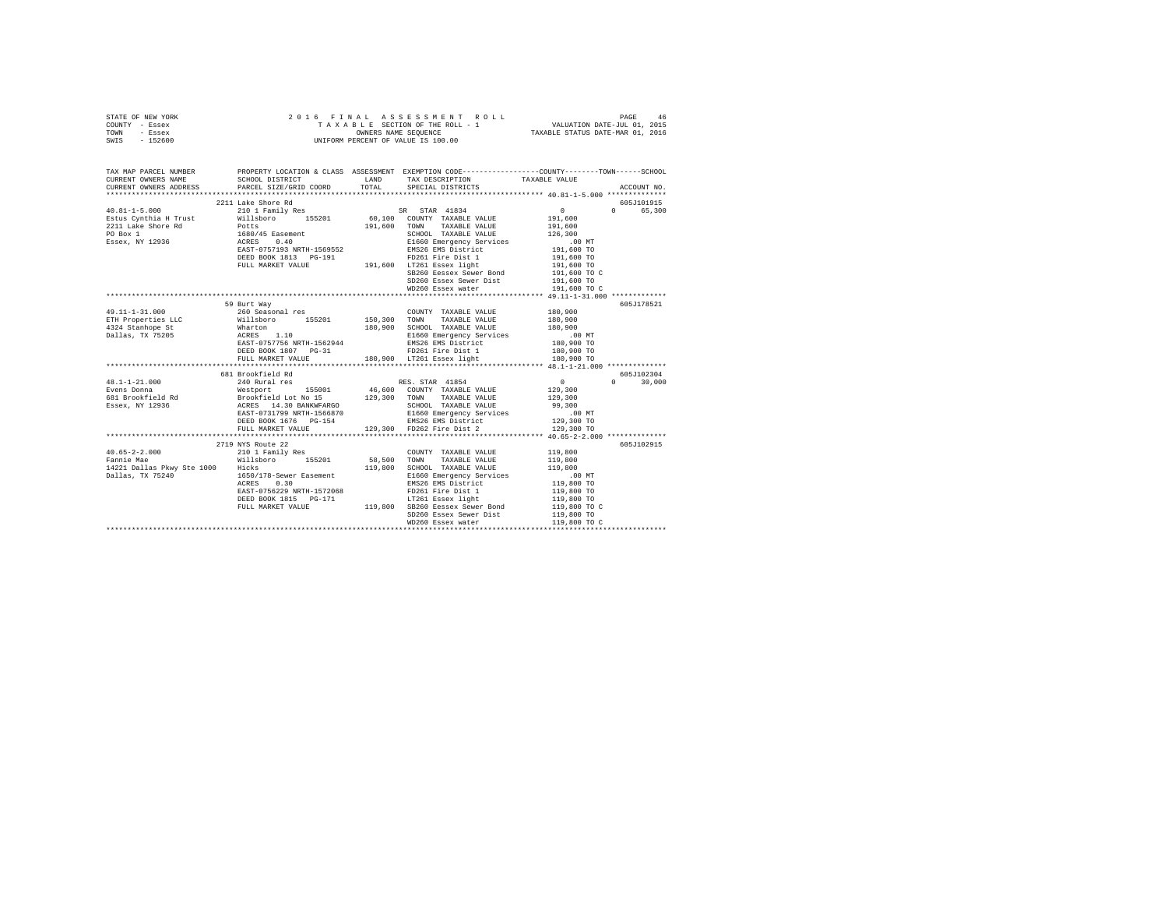|                | STATE OF NEW YORK |  |  | 2016 FINAL ASSESSMENT ROLL         | PAGE                             | 46 |
|----------------|-------------------|--|--|------------------------------------|----------------------------------|----|
| COUNTY - Essex |                   |  |  | TAXABLE SECTION OF THE ROLL - 1    | VALUATION DATE-JUL 01, 2015      |    |
| TOWN           | - Essex           |  |  | OWNERS NAME SEOUENCE               | TAXABLE STATUS DATE-MAR 01, 2016 |    |
| SWIS           | - 152600          |  |  | UNIFORM PERCENT OF VALUE IS 100.00 |                                  |    |

| TAX MAP PARCEL NUMBER                                                                                                                                                                                                                                                                                                                                                                                            | PROPERTY LOCATION & CLASS ASSESSMENT EXEMPTION CODE----------------COUNTY-------TOWN------SCHOOL |                                                                                                                                                                                                                           |                   |                        |
|------------------------------------------------------------------------------------------------------------------------------------------------------------------------------------------------------------------------------------------------------------------------------------------------------------------------------------------------------------------------------------------------------------------|--------------------------------------------------------------------------------------------------|---------------------------------------------------------------------------------------------------------------------------------------------------------------------------------------------------------------------------|-------------------|------------------------|
|                                                                                                                                                                                                                                                                                                                                                                                                                  |                                                                                                  |                                                                                                                                                                                                                           |                   |                        |
| CURRENT OWNERS ADDRESS PARCEL SIZE/GRID COORD TOTAL SPECIAL DISTRICTS                                                                                                                                                                                                                                                                                                                                            |                                                                                                  |                                                                                                                                                                                                                           |                   | ACCOUNT NO.            |
|                                                                                                                                                                                                                                                                                                                                                                                                                  |                                                                                                  |                                                                                                                                                                                                                           |                   |                        |
| $\begin{array}{l} \mbox{40.81--1--5.000} \qquad \qquad \mbox{2211 Lake Shock} \\ \mbox{40.81--1--5.000} \qquad \qquad \mbox{2101 Fameily Res} \qquad \qquad \mbox{5R} \quad \mbox{STR} \quad \mbox{41834} \qquad \qquad \mbox{0} \\ \mbox{Estus Cynthia H Trust} \qquad \qquad \mbox{111sboro} \qquad \qquad \mbox{155201} \qquad \qquad \mbox{60,100 COWTY TAXABLE VALUE} \qquad \mbox{191,600} \qquad \mbox{2$ |                                                                                                  |                                                                                                                                                                                                                           |                   | 605J101915<br>0 65,300 |
|                                                                                                                                                                                                                                                                                                                                                                                                                  |                                                                                                  |                                                                                                                                                                                                                           | $\sim$ 0 $\sim$ 0 |                        |
|                                                                                                                                                                                                                                                                                                                                                                                                                  |                                                                                                  |                                                                                                                                                                                                                           |                   |                        |
|                                                                                                                                                                                                                                                                                                                                                                                                                  |                                                                                                  |                                                                                                                                                                                                                           |                   |                        |
| 2211 Lake Shore Rd<br>2211 Lake Shore Rd<br>2211 Lake Shore Rd<br>2211 Lake Shore Rd<br>2212 Lake Shore Rd<br>2212 Lake Shore Rd<br>2212 Lake Shore Rd<br>2212 Lake Shore Rd<br>2212 Lake Shore Rd<br>2214 Lake Shore Rd<br>2214 Lake Shore Rd<br>22                                                                                                                                                             |                                                                                                  |                                                                                                                                                                                                                           |                   |                        |
|                                                                                                                                                                                                                                                                                                                                                                                                                  |                                                                                                  |                                                                                                                                                                                                                           |                   |                        |
|                                                                                                                                                                                                                                                                                                                                                                                                                  |                                                                                                  |                                                                                                                                                                                                                           | 191,600 TO        |                        |
|                                                                                                                                                                                                                                                                                                                                                                                                                  | DEED BOOK 1813 PG-191 FD261 Fire Dist 1<br>FULL MARKET VALUE 191,600 LT261 Essex light           |                                                                                                                                                                                                                           | 191,600 TO        |                        |
|                                                                                                                                                                                                                                                                                                                                                                                                                  |                                                                                                  | SB260 Eessex Sewer Bond 191,600 TO C                                                                                                                                                                                      |                   |                        |
|                                                                                                                                                                                                                                                                                                                                                                                                                  |                                                                                                  |                                                                                                                                                                                                                           | 191,600 TO        |                        |
|                                                                                                                                                                                                                                                                                                                                                                                                                  |                                                                                                  | SD260 Essex Sewer Dist<br>WD260 Essex water                                                                                                                                                                               | 191,600 TO C      |                        |
|                                                                                                                                                                                                                                                                                                                                                                                                                  |                                                                                                  |                                                                                                                                                                                                                           |                   |                        |
|                                                                                                                                                                                                                                                                                                                                                                                                                  | 59 Burt Way                                                                                      |                                                                                                                                                                                                                           |                   | 605J178521             |
|                                                                                                                                                                                                                                                                                                                                                                                                                  |                                                                                                  |                                                                                                                                                                                                                           |                   |                        |
|                                                                                                                                                                                                                                                                                                                                                                                                                  |                                                                                                  |                                                                                                                                                                                                                           |                   |                        |
|                                                                                                                                                                                                                                                                                                                                                                                                                  |                                                                                                  |                                                                                                                                                                                                                           |                   |                        |
|                                                                                                                                                                                                                                                                                                                                                                                                                  |                                                                                                  |                                                                                                                                                                                                                           |                   |                        |
|                                                                                                                                                                                                                                                                                                                                                                                                                  |                                                                                                  |                                                                                                                                                                                                                           |                   |                        |
|                                                                                                                                                                                                                                                                                                                                                                                                                  |                                                                                                  |                                                                                                                                                                                                                           |                   |                        |
|                                                                                                                                                                                                                                                                                                                                                                                                                  |                                                                                                  |                                                                                                                                                                                                                           |                   |                        |
| $\begin{tabular}{l c c c c c} \multicolumn{3}{c c c c} \multicolumn{3}{c c c} \multicolumn{3}{c c c} \multicolumn{3}{c c c} \multicolumn{3}{c c c} \multicolumn{3}{c c c} \multicolumn{3}{c c c} \multicolumn{3}{c c c} \multicolumn{3}{c c c} \multicolumn{3}{c c c} \multicolumn{3}{c c c} \multicolumn{3}{c c c} \multicolumn{3}{c c c} \multicolumn{3}{c c c} \multicolumn{3}{c c c} \multicolumn{$          |                                                                                                  |                                                                                                                                                                                                                           |                   |                        |
|                                                                                                                                                                                                                                                                                                                                                                                                                  | 681 Brookfield Rd                                                                                |                                                                                                                                                                                                                           |                   | 605J102304             |
|                                                                                                                                                                                                                                                                                                                                                                                                                  |                                                                                                  |                                                                                                                                                                                                                           |                   | $0 \t 30.000$          |
|                                                                                                                                                                                                                                                                                                                                                                                                                  |                                                                                                  |                                                                                                                                                                                                                           |                   |                        |
|                                                                                                                                                                                                                                                                                                                                                                                                                  |                                                                                                  |                                                                                                                                                                                                                           |                   |                        |
|                                                                                                                                                                                                                                                                                                                                                                                                                  |                                                                                                  |                                                                                                                                                                                                                           |                   |                        |
|                                                                                                                                                                                                                                                                                                                                                                                                                  |                                                                                                  |                                                                                                                                                                                                                           |                   |                        |
|                                                                                                                                                                                                                                                                                                                                                                                                                  |                                                                                                  |                                                                                                                                                                                                                           |                   |                        |
|                                                                                                                                                                                                                                                                                                                                                                                                                  |                                                                                                  |                                                                                                                                                                                                                           |                   |                        |
|                                                                                                                                                                                                                                                                                                                                                                                                                  |                                                                                                  |                                                                                                                                                                                                                           |                   |                        |
|                                                                                                                                                                                                                                                                                                                                                                                                                  | 2719 NYS Route 22                                                                                |                                                                                                                                                                                                                           |                   | 605J102915             |
| $\begin{array}{cccccc} 40.65-2-2.000 & & & & 210 \ 1 & Family Res & & & & \text{COUNTY TAXABLE VALUE} \\ \texttt{Fannie Mae} & & & & \texttt{Willsboro} & & 155201 & & 58,500 & \texttt{TOWN} & \texttt{TAXABLE VALUE} \end{array}$                                                                                                                                                                              |                                                                                                  | $\begin{tabular}{lllllllllllll} \multicolumn{4}{c}{\text{COUNTY}} & \text{TAXABLE} & \text{VALUE} & & \text{119,800} \\ \multicolumn{4}{c}{\text{TOWN}} & \text{TAXABLE} & \text{VALUE} & & \text{119,800} \end{tabular}$ |                   |                        |
|                                                                                                                                                                                                                                                                                                                                                                                                                  |                                                                                                  |                                                                                                                                                                                                                           |                   |                        |
| 19,800 CHOOL TAXABLE VALUE 119,800<br>14221 Dallas Pkwy Ste 1000 Hicks - 119,800 SCHOOL TAXABLE VALUE 119,800<br>19,800 Dallas, TX 75240 - 119,800 ACRES 0.30 - 119,800 E1650 EMS20 EMS20 LIB 105,800 NO<br>119,800 - ACRES 0.30 - EMS2                                                                                                                                                                          |                                                                                                  |                                                                                                                                                                                                                           |                   |                        |
|                                                                                                                                                                                                                                                                                                                                                                                                                  |                                                                                                  |                                                                                                                                                                                                                           |                   |                        |
|                                                                                                                                                                                                                                                                                                                                                                                                                  |                                                                                                  |                                                                                                                                                                                                                           |                   |                        |
|                                                                                                                                                                                                                                                                                                                                                                                                                  |                                                                                                  |                                                                                                                                                                                                                           |                   |                        |
|                                                                                                                                                                                                                                                                                                                                                                                                                  |                                                                                                  |                                                                                                                                                                                                                           |                   |                        |
|                                                                                                                                                                                                                                                                                                                                                                                                                  |                                                                                                  |                                                                                                                                                                                                                           |                   |                        |
|                                                                                                                                                                                                                                                                                                                                                                                                                  |                                                                                                  |                                                                                                                                                                                                                           |                   |                        |
|                                                                                                                                                                                                                                                                                                                                                                                                                  |                                                                                                  |                                                                                                                                                                                                                           |                   |                        |
|                                                                                                                                                                                                                                                                                                                                                                                                                  |                                                                                                  |                                                                                                                                                                                                                           |                   |                        |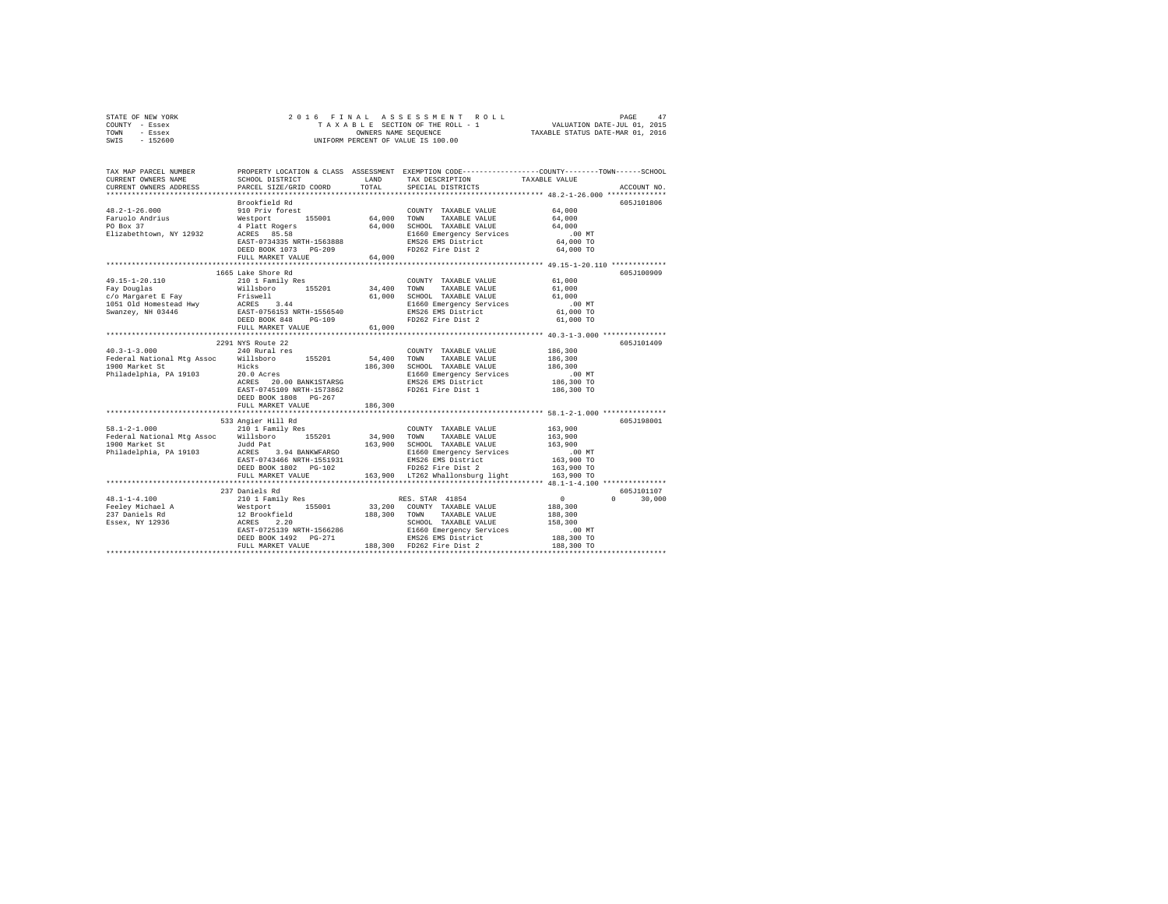| STATE OF NEW YORK |  | 2016 FINAL ASSESSMENT ROLL         | 47<br>PAGE                       |
|-------------------|--|------------------------------------|----------------------------------|
| COUNTY - Essex    |  | TAXABLE SECTION OF THE ROLL - 1    | VALUATION DATE-JUL 01, 2015      |
| TOWN<br>- Essex   |  | OWNERS NAME SEOUENCE               | TAXABLE STATUS DATE-MAR 01, 2016 |
| - 152600<br>SWIS  |  | UNIFORM PERCENT OF VALUE IS 100.00 |                                  |

| TAX MAP PARCEL NUMBER<br>CURRENT OWNERS NAME                                                                                                                                                                                                                                            | SCHOOL DISTRICT            | LAND<br>TOTAL | TAX DESCRIPTION                                                                                                                                                                                                                                                     | PROPERTY LOCATION & CLASS ASSESSMENT EXEMPTION CODE---------------COUNTY-------TOWN-----SCHOOL<br>TAXABLE VALUE |
|-----------------------------------------------------------------------------------------------------------------------------------------------------------------------------------------------------------------------------------------------------------------------------------------|----------------------------|---------------|---------------------------------------------------------------------------------------------------------------------------------------------------------------------------------------------------------------------------------------------------------------------|-----------------------------------------------------------------------------------------------------------------|
| CURRENT OWNERS ADDRESS                                                                                                                                                                                                                                                                  | PARCEL SIZE/GRID COORD     |               | SPECIAL DISTRICTS                                                                                                                                                                                                                                                   | ACCOUNT NO.                                                                                                     |
|                                                                                                                                                                                                                                                                                         | Brookfield Rd              |               |                                                                                                                                                                                                                                                                     | 605J101806                                                                                                      |
| 48.2-1-26.000<br>Faruolo Andrius (1992) and the Mestport of the Maximum of the Maximum of Taxable Value<br>Po Box 37 (2008) and 4 Platt Rogers (2008) and 4 Platt Rogers (2008) and 4 Platt Rogers (2008) and 4 Platt Rogers (200                                                       |                            |               | COUNTY TAXABLE VALUE 64,000                                                                                                                                                                                                                                         |                                                                                                                 |
|                                                                                                                                                                                                                                                                                         |                            |               |                                                                                                                                                                                                                                                                     | 64,000                                                                                                          |
|                                                                                                                                                                                                                                                                                         |                            |               |                                                                                                                                                                                                                                                                     | 64,000                                                                                                          |
|                                                                                                                                                                                                                                                                                         |                            |               |                                                                                                                                                                                                                                                                     | $.00$ MT                                                                                                        |
|                                                                                                                                                                                                                                                                                         |                            |               | E1660 Emergency Services<br>EMS26 EMS District                                                                                                                                                                                                                      | 64,000 TO                                                                                                       |
|                                                                                                                                                                                                                                                                                         | DEED BOOK 1073 PG-209      |               | FD262 Fire Dist 2                                                                                                                                                                                                                                                   | 64,000 TO                                                                                                       |
|                                                                                                                                                                                                                                                                                         | FULL MARKET VALUE          | 64,000        |                                                                                                                                                                                                                                                                     |                                                                                                                 |
|                                                                                                                                                                                                                                                                                         |                            |               |                                                                                                                                                                                                                                                                     |                                                                                                                 |
|                                                                                                                                                                                                                                                                                         | 1665 Lake Shore Rd         |               |                                                                                                                                                                                                                                                                     | 605J100909                                                                                                      |
| 49.15-1-20.110                                                                                                                                                                                                                                                                          | 210 1 Family Res           |               | COUNTY TAXABLE VALUE                                                                                                                                                                                                                                                | 61,000                                                                                                          |
| Fay Douglas                                                                                                                                                                                                                                                                             |                            |               | TAXABLE VALUE 61,000<br>TOWN                                                                                                                                                                                                                                        |                                                                                                                 |
| c/o Margaret E Fay Friswell (1,000 = 1,000 = 1,000 = 1,000 = 1,000 = 1,000 = 1,000 = 1,000 = 1,000 = 1,000 = 1<br>1051 Old Homestead Hwy = 1,000 = 1,000 = 1,000 = 1,000 = 1,000 = 1,000 = 1,000 = 1,000 = 1,000 = 1,000 = 1,00<br>1                                                    |                            |               | $\begin{tabular}{lcccc} 61,000 & SCHOL & TAXABLE VALUE & & & 61,000 \\ \texttt{E160 Energy} & & & .00 & & 0.00 \\ \texttt{E160 Energy} & & & .00 & MT \\ \texttt{ENS26 EMS District} & & & 61,000 TO \\ \texttt{FD262 Five Dist:} & & & 61,000 TO \\ \end{tabular}$ |                                                                                                                 |
|                                                                                                                                                                                                                                                                                         |                            |               |                                                                                                                                                                                                                                                                     |                                                                                                                 |
|                                                                                                                                                                                                                                                                                         |                            |               |                                                                                                                                                                                                                                                                     |                                                                                                                 |
|                                                                                                                                                                                                                                                                                         | FULL MARKET VALUE 61,000   |               |                                                                                                                                                                                                                                                                     |                                                                                                                 |
|                                                                                                                                                                                                                                                                                         |                            |               |                                                                                                                                                                                                                                                                     |                                                                                                                 |
|                                                                                                                                                                                                                                                                                         | 2291 NYS Route 22          |               |                                                                                                                                                                                                                                                                     | 605J101409                                                                                                      |
| $40.3 - 1 - 3.000$                                                                                                                                                                                                                                                                      | 240 Rural res              |               | COUNTY TAXABLE VALUE                                                                                                                                                                                                                                                | 186,300                                                                                                         |
|                                                                                                                                                                                                                                                                                         |                            |               |                                                                                                                                                                                                                                                                     | 186,300                                                                                                         |
|                                                                                                                                                                                                                                                                                         |                            |               | 186,300 SCHOOL TAXABLE VALUE                                                                                                                                                                                                                                        | 186,300                                                                                                         |
|                                                                                                                                                                                                                                                                                         |                            |               | E1660 Emergency Services<br>EMS26 EMS District                                                                                                                                                                                                                      | .00 MT                                                                                                          |
|                                                                                                                                                                                                                                                                                         | 20.00 BANK1STARSG<br>ACRES |               |                                                                                                                                                                                                                                                                     | 186,300 TO                                                                                                      |
|                                                                                                                                                                                                                                                                                         | EAST-0745109 NRTH-1573862  |               | FD261 Fire Dist 1                                                                                                                                                                                                                                                   | 186,300 TO                                                                                                      |
|                                                                                                                                                                                                                                                                                         | DEED BOOK 1808 PG-267      |               |                                                                                                                                                                                                                                                                     |                                                                                                                 |
|                                                                                                                                                                                                                                                                                         | FULL MARKET VALUE          | 186,300       |                                                                                                                                                                                                                                                                     |                                                                                                                 |
| 1991 - 11.000<br>1990 Market St. 1990 Market St. 2000 Market St. 2000 Market St. 2000 Market St. 2000 Market St. 2000 Market St<br>1990 Market St. 2000 Market St. 2000 Market St. 2000 Market St. 2000 Market St. 2000 Market St.                                                      |                            |               |                                                                                                                                                                                                                                                                     |                                                                                                                 |
|                                                                                                                                                                                                                                                                                         |                            |               |                                                                                                                                                                                                                                                                     | 605J198001                                                                                                      |
|                                                                                                                                                                                                                                                                                         |                            |               | COUNTY TAXABLE VALUE 163,900                                                                                                                                                                                                                                        |                                                                                                                 |
|                                                                                                                                                                                                                                                                                         |                            |               |                                                                                                                                                                                                                                                                     | 163,900<br>163,900                                                                                              |
|                                                                                                                                                                                                                                                                                         |                            |               |                                                                                                                                                                                                                                                                     | . 00 MT                                                                                                         |
|                                                                                                                                                                                                                                                                                         |                            |               |                                                                                                                                                                                                                                                                     | 163,900 TO                                                                                                      |
|                                                                                                                                                                                                                                                                                         |                            |               |                                                                                                                                                                                                                                                                     | 163,900 TO                                                                                                      |
|                                                                                                                                                                                                                                                                                         |                            |               | 163,900 LT262 Whallonsburg light 163,900 TO                                                                                                                                                                                                                         |                                                                                                                 |
|                                                                                                                                                                                                                                                                                         |                            |               |                                                                                                                                                                                                                                                                     |                                                                                                                 |
|                                                                                                                                                                                                                                                                                         | 237 Daniels Rd             |               |                                                                                                                                                                                                                                                                     | 605J101107                                                                                                      |
|                                                                                                                                                                                                                                                                                         |                            |               |                                                                                                                                                                                                                                                                     | $0 \t 30,000$                                                                                                   |
|                                                                                                                                                                                                                                                                                         |                            |               |                                                                                                                                                                                                                                                                     |                                                                                                                 |
|                                                                                                                                                                                                                                                                                         |                            |               |                                                                                                                                                                                                                                                                     |                                                                                                                 |
|                                                                                                                                                                                                                                                                                         |                            |               |                                                                                                                                                                                                                                                                     |                                                                                                                 |
|                                                                                                                                                                                                                                                                                         |                            |               |                                                                                                                                                                                                                                                                     |                                                                                                                 |
|                                                                                                                                                                                                                                                                                         |                            |               |                                                                                                                                                                                                                                                                     |                                                                                                                 |
| $\begin{tabular}{lcccc} 48.1-1-4.100 & 237\  \, & 210\  \, & 210\  \, & 210\  \, & 210\  \, & 210\  \, & 210\  \, & 210\  \, & 210\  \, & 210\  \, & 210\  \, & 210\  \, & 210\  \, & 210\  \, & 210\  \, & 210\  \, & 210\  \, & 210\  \, & 210\  \, & 210\  \, & 210\  \, & 210\  \,$ |                            |               |                                                                                                                                                                                                                                                                     |                                                                                                                 |
|                                                                                                                                                                                                                                                                                         |                            |               |                                                                                                                                                                                                                                                                     |                                                                                                                 |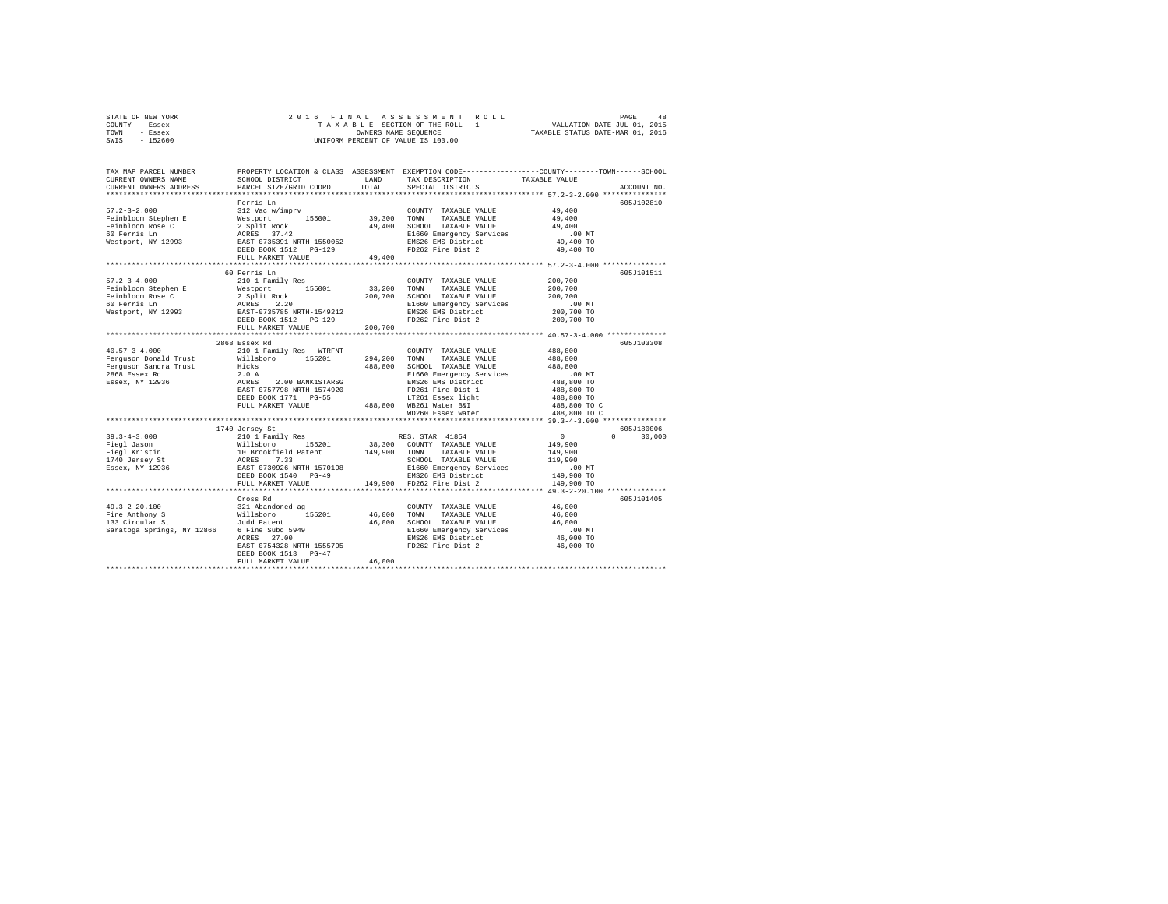| STATE OF NEW YORK |  |  | 2016 FINAL ASSESSMENT ROLL         |                                  | PAGE | 48 |
|-------------------|--|--|------------------------------------|----------------------------------|------|----|
| COUNTY - Essex    |  |  | TAXABLE SECTION OF THE ROLL - 1    | VALUATION DATE-JUL 01, 2015      |      |    |
| TOWN<br>- Essex   |  |  | OWNERS NAME SEOUENCE               | TAXABLE STATUS DATE-MAR 01, 2016 |      |    |
| $-152600$<br>SWIS |  |  | UNIFORM PERCENT OF VALUE IS 100.00 |                                  |      |    |

| TAX MAP PARCEL NUMBER<br>CURRENT OWNERS NAME<br>CURRENT OWNERS ADDRESS | SCHOOL DISTRICT<br>PARCEL SIZE/GRID COORD                                        | LAND<br>TOTAL | TAX DESCRIPTION<br>SPECIAL DISTRICTS                                                                                                                                                                                                   | PROPERTY LOCATION & CLASS ASSESSMENT EXEMPTION CODE---------------COUNTY-------TOWN-----SCHOOL<br>TAXABLE VALUE<br>ACCOUNT NO. |
|------------------------------------------------------------------------|----------------------------------------------------------------------------------|---------------|----------------------------------------------------------------------------------------------------------------------------------------------------------------------------------------------------------------------------------------|--------------------------------------------------------------------------------------------------------------------------------|
|                                                                        |                                                                                  |               |                                                                                                                                                                                                                                        |                                                                                                                                |
|                                                                        | Ferris Ln                                                                        |               |                                                                                                                                                                                                                                        | 605J102810                                                                                                                     |
|                                                                        |                                                                                  |               |                                                                                                                                                                                                                                        | 49,400                                                                                                                         |
|                                                                        |                                                                                  |               |                                                                                                                                                                                                                                        | 49,400                                                                                                                         |
|                                                                        |                                                                                  |               |                                                                                                                                                                                                                                        | 49,400                                                                                                                         |
|                                                                        |                                                                                  |               |                                                                                                                                                                                                                                        |                                                                                                                                |
|                                                                        |                                                                                  |               |                                                                                                                                                                                                                                        | 00 MT.<br>49,400 TO                                                                                                            |
|                                                                        |                                                                                  |               |                                                                                                                                                                                                                                        | 49,400 TO                                                                                                                      |
|                                                                        | FULL MARKET VALUE                                                                | 49,400        |                                                                                                                                                                                                                                        |                                                                                                                                |
|                                                                        |                                                                                  |               |                                                                                                                                                                                                                                        |                                                                                                                                |
|                                                                        | 60 Ferris Ln                                                                     |               |                                                                                                                                                                                                                                        | 605J101511                                                                                                                     |
| $57.2 - 3 - 4.000$                                                     | 210 1 Family Res                                                                 |               | COUNTY TAXABLE VALUE                                                                                                                                                                                                                   | 200,700                                                                                                                        |
|                                                                        | Westport 155001                                                                  | 33,200 TOWN   | TAXABLE VALUE                                                                                                                                                                                                                          | 200,700                                                                                                                        |
|                                                                        |                                                                                  | 200,700       | SCHOOL TAXABLE VALUE                                                                                                                                                                                                                   | 200,700                                                                                                                        |
| Feinbloom Stephen E<br>Feinbloom Rose C<br>60 Ferris Ln                | 2 Split Rock<br>ACRES 2.20<br>EAST-0735785 NRTH-1549212<br>DEED BOOK 1512 PG-129 |               | E1660 Emergency Services                                                                                                                                                                                                               |                                                                                                                                |
| Westport, NY 12993                                                     |                                                                                  |               | EMS26 EMS District                                                                                                                                                                                                                     | 00 MT.<br>200,700 TO                                                                                                           |
|                                                                        |                                                                                  |               | FD262 Fire Dist 2                                                                                                                                                                                                                      | 200,700 TO                                                                                                                     |
|                                                                        | FULL MARKET VALUE                                                                | 200,700       |                                                                                                                                                                                                                                        |                                                                                                                                |
|                                                                        |                                                                                  |               |                                                                                                                                                                                                                                        | *************** 40.57-3-4.000 ************                                                                                     |
|                                                                        | 2868 Essex Rd                                                                    |               |                                                                                                                                                                                                                                        | 605J103308                                                                                                                     |
| $40.57 - 3 - 4.000$                                                    |                                                                                  |               | COUNTY TAXABLE VALUE                                                                                                                                                                                                                   | 488,800                                                                                                                        |
| Ferguson Donald Trust                                                  | 210 1 Family Res - WTRFNT<br>Willsboro 155201                                    | 294.200 TOWN  | TAXABLE VALUE                                                                                                                                                                                                                          | 488,800                                                                                                                        |
| Ferguson Sandra Trust                                                  | Hicks                                                                            | 488,800       | SCHOOL TAXABLE VALUE                                                                                                                                                                                                                   | 488,800                                                                                                                        |
| 2868 Essex Rd                                                          |                                                                                  |               | SCHOOL TAXABLE VALUE<br>E1660 Emergency Services                                                                                                                                                                                       | $.00$ MT                                                                                                                       |
| Essex, NY 12936                                                        | $2.0$ A<br>ACRES<br>2.00 BANK1STARSG                                             |               | EMS26 EMS District                                                                                                                                                                                                                     | 488,800 TO                                                                                                                     |
|                                                                        | EAST-0757798 NRTH-1574920                                                        |               | FD261 Fire Dist 1                                                                                                                                                                                                                      | 488,800 TO                                                                                                                     |
|                                                                        | DEED BOOK 1771 PG-55                                                             |               | LT261 Essex light                                                                                                                                                                                                                      | 488,800 TO                                                                                                                     |
|                                                                        | FULL MARKET VALUE                                                                |               | 488,800 WB261 Water B&I                                                                                                                                                                                                                | 488,800 TO C                                                                                                                   |
|                                                                        |                                                                                  |               | WD260 Essex water                                                                                                                                                                                                                      | 488,800 TO C                                                                                                                   |
|                                                                        |                                                                                  |               |                                                                                                                                                                                                                                        |                                                                                                                                |
|                                                                        | 1740 Jersey St                                                                   |               |                                                                                                                                                                                                                                        | 605J180006                                                                                                                     |
| $39.3 - 4 - 3.000$                                                     |                                                                                  |               |                                                                                                                                                                                                                                        | $\sim$ 0<br>$\Omega$ and $\Omega$<br>30,000                                                                                    |
| Fiegl Jason                                                            |                                                                                  |               |                                                                                                                                                                                                                                        | 149,900                                                                                                                        |
| Fiegl Kristin                                                          |                                                                                  |               |                                                                                                                                                                                                                                        | 149,900                                                                                                                        |
|                                                                        |                                                                                  |               | SCHOOL TAXABLE VALUE                                                                                                                                                                                                                   | 119,900                                                                                                                        |
| Essex, NY 12936                                                        |                                                                                  |               | 210 1 Family Res RES. STAR 41854<br>Willshoro 155201 38,300 COUNTY TAXABLE VALUE<br>10 Brookfield Patent 149,900 COUNTY TAXABLE VALUE<br>ACRES 7.33<br>ERD BOK 1540 PG-49 EMS26 EMS District<br>DEED BOK 1540 PG-49 EMS26 EMS District | 00 MT.<br>149,900 TO                                                                                                           |
|                                                                        |                                                                                  |               | EMS26 EMS District<br>149,900 FD262 Fire District                                                                                                                                                                                      |                                                                                                                                |
|                                                                        | FULL MARKET VALUE                                                                |               |                                                                                                                                                                                                                                        | 149,900 TO                                                                                                                     |
|                                                                        |                                                                                  |               |                                                                                                                                                                                                                                        |                                                                                                                                |
|                                                                        | Cross Rd                                                                         |               |                                                                                                                                                                                                                                        | 605J101405                                                                                                                     |
| $49.3 - 2 - 20.100$                                                    |                                                                                  |               | COUNTY TAXABLE VALUE                                                                                                                                                                                                                   | 46,000                                                                                                                         |
| Fine Anthony S                                                         | 321 Abandoned ag<br>Willsboro 1<br>Judd Patent<br>155201                         |               | 46,000 TOWN TAXABLE VALUE                                                                                                                                                                                                              | 46,000                                                                                                                         |
| 133 Circular St                                                        |                                                                                  |               | 46,000 SCHOOL TAXABLE VALUE                                                                                                                                                                                                            | 46,000                                                                                                                         |
| Saratoga Springs, NY 12866 6 Fine Subd 5949<br>ACRES 27.00             |                                                                                  |               | E1660 Emergency Services<br>EMS26 EMS District                                                                                                                                                                                         | $.00$ MT<br>00 MT.<br>46,000 TO                                                                                                |
|                                                                        |                                                                                  |               |                                                                                                                                                                                                                                        |                                                                                                                                |
|                                                                        | EAST-0754328 NRTH-1555795 FD262 Fire Dist 2                                      |               |                                                                                                                                                                                                                                        | 46,000 TO                                                                                                                      |
|                                                                        | DEED BOOK 1513 PG-47                                                             |               |                                                                                                                                                                                                                                        |                                                                                                                                |
|                                                                        | FULL MARKET VALUE                                                                | 46,000        |                                                                                                                                                                                                                                        |                                                                                                                                |
|                                                                        |                                                                                  |               |                                                                                                                                                                                                                                        |                                                                                                                                |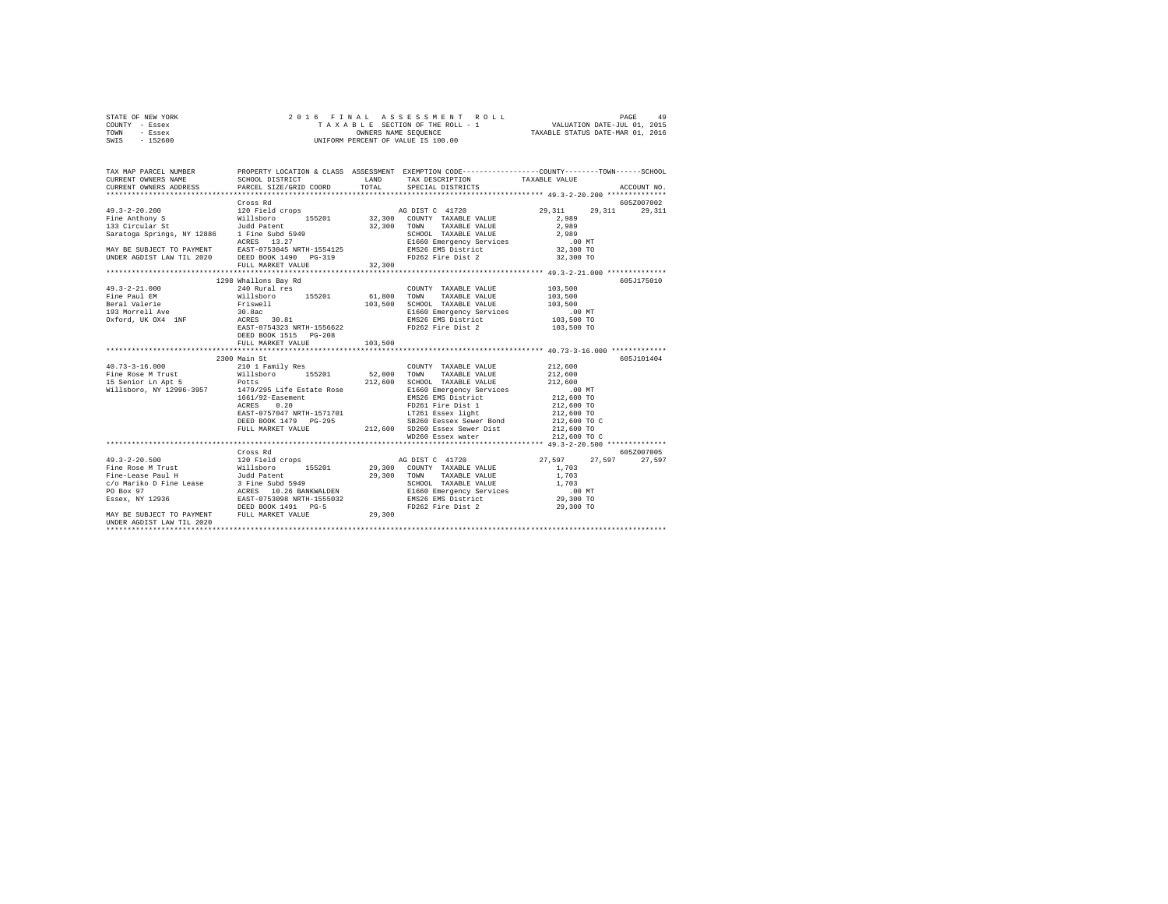| STATE OF NEW YORK | 2016 FINAL ASSESSMENT ROLL         | 49<br>PAGE                       |
|-------------------|------------------------------------|----------------------------------|
| COUNTY - Essex    | TAXABLE SECTION OF THE ROLL - 1    | VALUATION DATE-JUL 01, 2015      |
| TOWN<br>- Essex   | OWNERS NAME SEOUENCE               | TAXABLE STATUS DATE-MAR 01, 2016 |
| - 152600<br>SWIS  | UNIFORM PERCENT OF VALUE IS 100.00 |                                  |

| TAX MAP PARCEL NUMBER     | PROPERTY LOCATION & CLASS ASSESSMENT EXEMPTION CODE-----------------COUNTY-------TOWN------SCHOOL |         |                      |                                               | ACCOUNT NO. |
|---------------------------|---------------------------------------------------------------------------------------------------|---------|----------------------|-----------------------------------------------|-------------|
|                           |                                                                                                   |         |                      |                                               |             |
|                           | Cross Rd                                                                                          |         |                      |                                               | 605Z007002  |
|                           |                                                                                                   |         |                      |                                               |             |
|                           |                                                                                                   |         |                      |                                               |             |
|                           |                                                                                                   |         |                      |                                               |             |
|                           |                                                                                                   |         |                      |                                               |             |
|                           |                                                                                                   |         |                      |                                               |             |
|                           |                                                                                                   |         |                      |                                               |             |
|                           |                                                                                                   |         |                      |                                               |             |
|                           | FULL MARKET VALUE                                                                                 | 32,300  |                      |                                               |             |
|                           |                                                                                                   |         |                      |                                               |             |
|                           | 1298 Whallons Bay Rd                                                                              |         |                      |                                               | 605J175010  |
|                           |                                                                                                   |         | COUNTY TAXABLE VALUE |                                               |             |
|                           |                                                                                                   |         |                      |                                               |             |
|                           |                                                                                                   |         |                      |                                               |             |
|                           |                                                                                                   |         |                      |                                               |             |
|                           |                                                                                                   |         |                      |                                               |             |
|                           | DEED BOOK 1515 PG-208                                                                             |         |                      |                                               |             |
|                           | FULL MARKET VALUE                                                                                 | 103,500 |                      |                                               |             |
|                           |                                                                                                   |         |                      | **************** 40.73-3-16.000 ************* |             |
|                           |                                                                                                   |         |                      |                                               | 605J101404  |
|                           |                                                                                                   |         |                      |                                               |             |
|                           |                                                                                                   |         |                      |                                               |             |
|                           |                                                                                                   |         |                      |                                               |             |
|                           |                                                                                                   |         |                      |                                               |             |
|                           |                                                                                                   |         |                      |                                               |             |
|                           |                                                                                                   |         |                      |                                               |             |
|                           |                                                                                                   |         |                      |                                               |             |
|                           |                                                                                                   |         |                      |                                               |             |
|                           |                                                                                                   |         |                      |                                               |             |
|                           |                                                                                                   |         |                      |                                               |             |
|                           |                                                                                                   |         |                      |                                               | 605Z007005  |
|                           | Cross Rd                                                                                          |         |                      | 27,597 27,597 27,597                          |             |
|                           |                                                                                                   |         |                      |                                               |             |
|                           |                                                                                                   |         |                      |                                               |             |
|                           |                                                                                                   |         |                      |                                               |             |
|                           |                                                                                                   |         |                      |                                               |             |
|                           |                                                                                                   |         |                      |                                               |             |
|                           |                                                                                                   |         |                      |                                               |             |
| UNDER AGDIST LAW TIL 2020 |                                                                                                   |         |                      |                                               |             |
|                           |                                                                                                   |         |                      |                                               |             |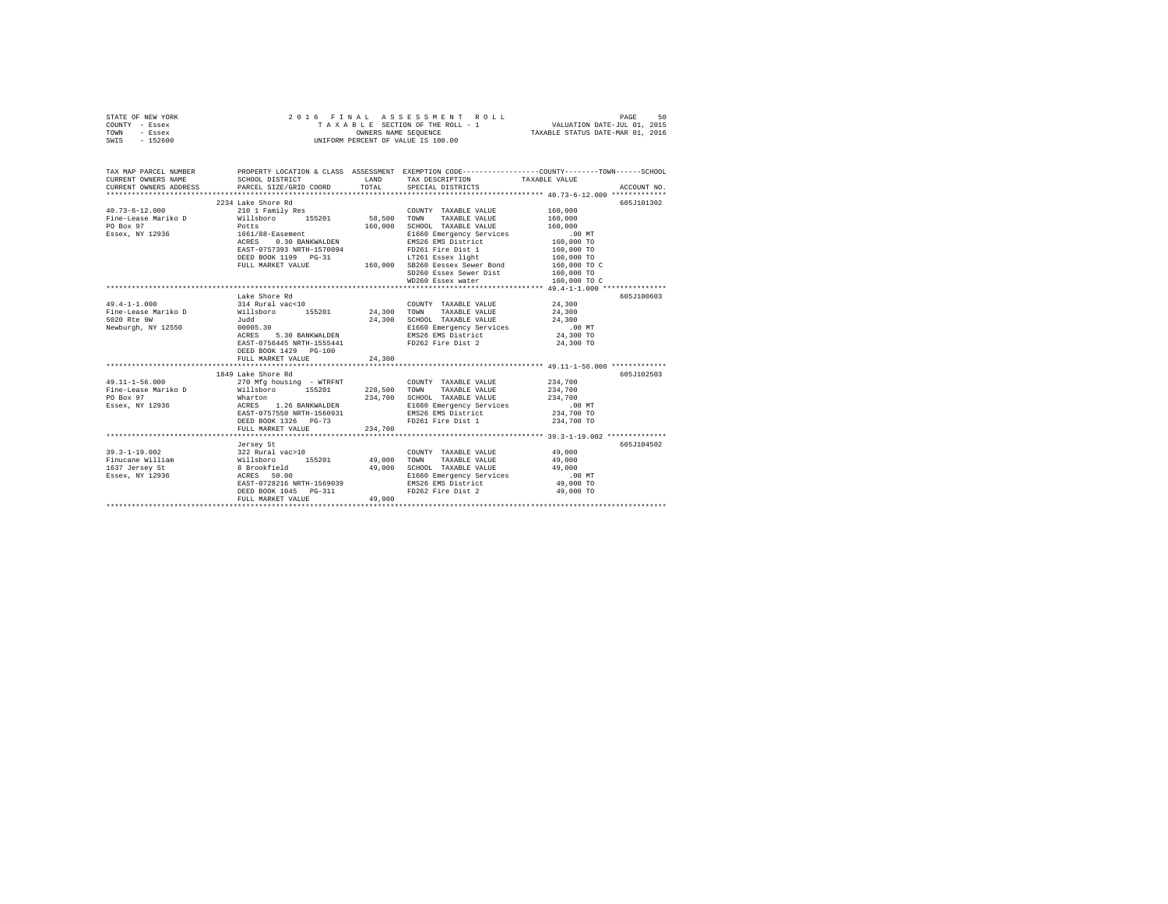| STATE OF NEW YORK<br>COUNTY - Essex<br>TOWN<br>- Essex<br>SWIS - 152600                                                                                                                                                                       | 2016 FINAL                                                                                                                                                                          |                                                  | ASSESSMENT ROLL<br>T A X A B L E SECTION OF THE ROLL - 1<br>OWNERS NAME SEQUENCE<br>UNIFORM PERCENT OF VALUE IS 100.00                       | 50<br>PAGE<br>VALUATION DATE-JUL 01, 2015<br>TAXABLE STATUS DATE-MAR 01, 2016                                                                        |
|-----------------------------------------------------------------------------------------------------------------------------------------------------------------------------------------------------------------------------------------------|-------------------------------------------------------------------------------------------------------------------------------------------------------------------------------------|--------------------------------------------------|----------------------------------------------------------------------------------------------------------------------------------------------|------------------------------------------------------------------------------------------------------------------------------------------------------|
| CURRENT OWNERS NAME<br>CURRENT OWNERS ADDRESS                                                                                                                                                                                                 | SCHOOL DISTRICT<br>PARCEL SIZE/GRID COORD                                                                                                                                           | TOTAL                                            | LAND TAX DESCRIPTION<br>SPECIAL DISTRICTS                                                                                                    | TAX MAP PARCEL NUMBER PROPERTY LOCATION & CLASS ASSESSMENT EXEMPTION CODE--------------COUNTY-------TOWN------SCHOOL<br>TAXABLE VALUE<br>ACCOUNT NO. |
| $40.73 - 6 - 12.000$<br>Fine-Lease Mariko D<br>PO Box 97<br>Essex, NY 12936                                                                                                                                                                   | 2234 Lake Shore Rd<br>210 1 Family Res<br>Willsboro 155201<br>Potts<br>1661/88-Easement<br>ACRES    0.30 BANKWALDEN                                                                 | 58,500<br>160,000                                | COUNTY TAXABLE VALUE<br>TOWN<br>TAXABLE VALUE<br>SCHOOL TAXABLE VALUE<br>E1660 Emergency Services<br>EMS26 EMS District                      | 605-7101302<br>160,000<br>160,000<br>160,000<br>.00 MT                                                                                               |
|                                                                                                                                                                                                                                               | EAST-0757393 NRTH-1570094<br>DEED BOOK 1199 PG-31<br>FULL MARKET VALUE                                                                                                              |                                                  | FD261 Fire Dist 1<br>LT261 Essex light<br>160,000 SB260 Eessex Sewer Bond<br>SD260 Essex Sewer Dist<br>WD260 Essex water                     | $160,000$ TO<br>$160,000$ TO<br>$160,000$ TO<br>$160,000$ TO C<br>160,000 TO<br>160,000 TO C                                                         |
| $49.4 - 1 - 1.000$<br>Newburgh, NY 12550 00005.30<br>ACRES                                                                                                                                                                                    | Lake Shore Rd<br>314 Rural vac<10<br>5.30 BANKWALDEN<br>EAST-0756445 NRTH-1555441<br>DEED BOOK 1429 PG-100<br>FULL MARKET VALUE                                                     | 24,300<br>24,300                                 | COUNTY TAXABLE VALUE<br>TOWN<br>TAXABLE VALUE<br>SCHOOL TAXABLE VALUE<br>E1660 Emergency Services<br>EMS26 EMS District<br>FD262 Fire Dist 2 | 605J100603<br>24,300<br>24,300<br>24,300<br>$.00$ MT<br>24,300 TO<br>24,300 TO                                                                       |
| $49.11 - 1 - 56.000$<br>Fine-Lease Mariko D<br>PO Box 97<br>Essex, NY 12936                                                                                                                                                                   | 1849 Lake Shore Rd<br>270 Mfg housing - WTRFNT<br>Willsboro 155201<br>Wharton<br>ACRES 1.26 BANKWALDEN<br>EAST-0757550 NRTH-1560931<br>DEED BOOK 1326    PG-73<br>FULL MARKET VALUE | 228,500 TOWN<br>234,700<br>234,700               | COUNTY TAXABLE VALUE<br>TAXABLE VALUE<br>SCHOOL TAXABLE VALUE<br>E1660 Emergency Services<br>EMS26 EMS District<br>FD261 Fire Dist 1         | 605J102503<br>234,700<br>234,700<br>234,700<br>.00 MT<br>234,700 TO<br>234,700 TO                                                                    |
| $\begin{tabular}{lllllllllll} 39.3-1-19.002 & 322 \text{ Rural vac}>10 \\ \text{Finucane William} & & & & \text{Willsboro} & 155201 \\ 1637 \text{ Jersey Set} & & & 8 \text{ Brookfield} \\ \text{Essex, NY 12936} & & & & \\ \end{tabular}$ | Jersey St<br>EAST-0728216 NRTH-1569039<br>DEED BOOK 1045 PG-311<br>FULL MARKET VALUE                                                                                                | 49,000<br>49,000<br>49,000<br>****************** | COUNTY TAXABLE VALUE<br>TOWN<br>TAXABLE VALUE<br>SCHOOL TAXABLE VALUE<br>E1660 Emergency Services<br>EMS26 EMS District<br>FD262 Fire Dist 2 | 605J104502<br>49,000<br>49,000<br>49,000<br>$.00$ MT<br>49,000 TO<br>49,000 TO                                                                       |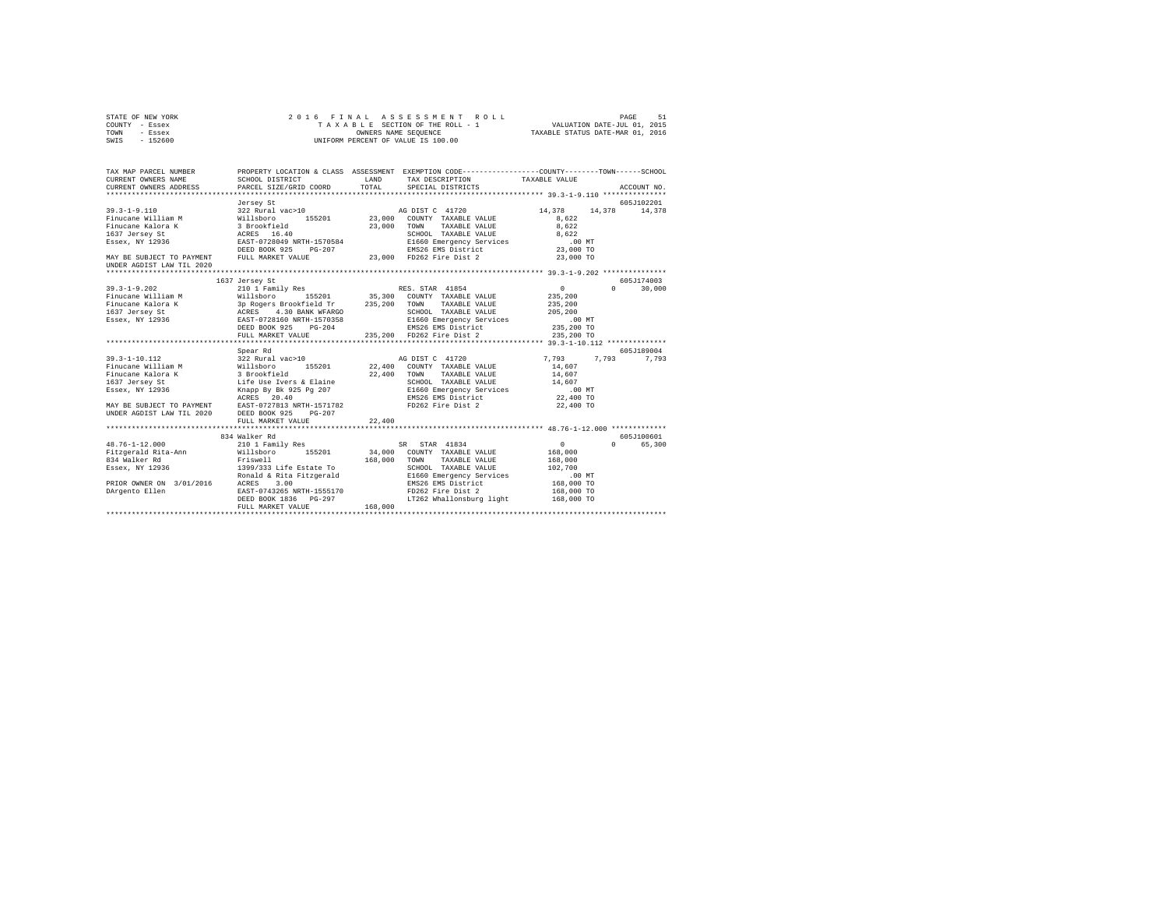|      | STATE OF NEW YORK |  | 2016 FINAL ASSESSMENT ROLL         |                                  | PAGE | 51 |
|------|-------------------|--|------------------------------------|----------------------------------|------|----|
|      | COUNTY - Essex    |  | TAXABLE SECTION OF THE ROLL - 1    | VALUATION DATE-JUL 01, 2015      |      |    |
| TOWN | - Essex           |  | OWNERS NAME SEOUENCE               | TAXABLE STATUS DATE-MAR 01, 2016 |      |    |
| SWIS | - 152600          |  | UNIFORM PERCENT OF VALUE IS 100.00 |                                  |      |    |

| TAX MAP PARCEL NUMBER                       |                                                                                                           |              | PROPERTY LOCATION & CLASS ASSESSMENT EXEMPTION CODE---------------COUNTY-------TOWN------SCHOOL |                     |                    |
|---------------------------------------------|-----------------------------------------------------------------------------------------------------------|--------------|-------------------------------------------------------------------------------------------------|---------------------|--------------------|
| CURRENT OWNERS NAME                         | SCHOOL DISTRICT                                                                                           | <b>T.AND</b> | TAX DESCRIPTION TAXABLE VALUE                                                                   |                     |                    |
|                                             | CURRENT OWNERS ADDRESS PARCEL SIZE/GRID COORD                                                             | TOTAL        | SPECIAL DISTRICTS                                                                               |                     | ACCOUNT NO.        |
|                                             |                                                                                                           |              |                                                                                                 |                     |                    |
|                                             | Jersey St                                                                                                 |              |                                                                                                 |                     | 605J102201         |
| $39.3 - 1 - 9.110$                          | 322 Rural vac>10                                                                                          |              | AG DIST C 41720                                                                                 | 14,378              | 14,378 14,378      |
| Finucane William M Willsboro                |                                                                                                           |              | 155201 23,000 COUNTY TAXABLE VALUE                                                              | 8.622               |                    |
| Finucane Kalora K                           | 3 Brookfield<br>ACRES 16.40                                                                               | 23,000 TOWN  | TAXABLE VALUE                                                                                   | 8.622               |                    |
| 1637 Jersey St                              |                                                                                                           |              | SCHOOL TAXABLE VALUE                                                                            | 8.622               |                    |
|                                             | Essex, NY 12936 EAST-0728049 NRTH-1570584                                                                 |              |                                                                                                 | .00 MT              |                    |
|                                             | $PG-207$<br>DEED BOOK 925                                                                                 |              |                                                                                                 | 23,000 TO           |                    |
| MAY BE SUBJECT TO PAYMENT FULL MARKET VALUE |                                                                                                           |              |                                                                                                 | 23,000 TO           |                    |
| UNDER AGDIST LAW TIL 2020                   |                                                                                                           |              |                                                                                                 |                     |                    |
|                                             |                                                                                                           |              |                                                                                                 |                     |                    |
|                                             | 1637 Jersey St                                                                                            |              |                                                                                                 |                     | 605J174003         |
|                                             |                                                                                                           |              | RES. STAR 41854                                                                                 | 0                   | $\Omega$<br>30,000 |
|                                             |                                                                                                           |              | 35,300 COUNTY TAXABLE VALUE                                                                     | 235,200             |                    |
|                                             |                                                                                                           |              | TAXABLE VALUE                                                                                   | 235,200             |                    |
|                                             |                                                                                                           |              | SCHOOL TAXABLE VALUE                                                                            | 205,200             |                    |
|                                             |                                                                                                           |              | E1660 Emergency Services                                                                        | $.00$ MT            |                    |
|                                             | DEED BOOK 925<br>$PG-204$                                                                                 |              | EMS26 EMS District                                                                              | 235,200 TO          |                    |
|                                             | FULL MARKET VALUE                                                                                         |              | 235,200 FD262 Fire Dist 2                                                                       | 235,200 TO          |                    |
|                                             | ***********************************                                                                       |              |                                                                                                 |                     |                    |
|                                             | Spear Rd                                                                                                  |              |                                                                                                 |                     | 605J189004         |
| $39.3 - 1 - 10.112$                         | %22 Rural vac>10<br>322 Rural vac>10<br>3 Brookfield<br>Life Use Ivers & Elaine<br>Knapp By Bk 925 Pg 207 |              |                                                                                                 | 7,793 7,793         | 7,793              |
| Finucane William M                          |                                                                                                           |              | AG DIST C 41720<br>22,400 COUNTY TAXABLE VALUE                                                  | 14,607              |                    |
| Finucane Kalora K                           |                                                                                                           | 22,400       | TOWN<br>TAXABLE VALUE                                                                           | 14,607              |                    |
| 1637 Jersev St                              |                                                                                                           |              |                                                                                                 | 14,607              |                    |
| Essex, NY 12936                             |                                                                                                           |              | SCHOOL TAXABLE VALUE<br>E1660 Emergency Services<br>EMS26 EMS District                          | $.00$ MT            |                    |
|                                             | ACRES 20.40                                                                                               |              |                                                                                                 | 22,400 TO           |                    |
|                                             |                                                                                                           |              | FD262 Fire Dist 2                                                                               | 22,400 TO           |                    |
|                                             | MAY BE SUBJECT TO PAYMENT EAST-0727813 NRTH-1571782<br>UNDER AGDIST LAW TIL 2020 DEED BOOK 925 PG-207     |              |                                                                                                 |                     |                    |
|                                             | FULL MARKET VALUE                                                                                         | 22,400       |                                                                                                 |                     |                    |
|                                             |                                                                                                           |              |                                                                                                 |                     |                    |
|                                             | 834 Walker Rd                                                                                             |              |                                                                                                 |                     | 605J100601         |
| $48.76 - 1 - 12.000$                        | 210 1 Family Res                                                                                          |              | SR STAR 41834                                                                                   | $\circ$             | 65,300<br>$\Omega$ |
| Fitzgerald Rita-Ann                         | Willsboro 155201                                                                                          |              | 34,000 COUNTY TAXABLE VALUE                                                                     | 168,000             |                    |
| 834 Walker Rd                               | Friswell                                                                                                  | 168,000      | TOWN<br>TAXABLE VALUE                                                                           |                     |                    |
|                                             |                                                                                                           |              |                                                                                                 | 168,000             |                    |
|                                             | Essex, NY 12936 1399/333 Life Estate To                                                                   |              | SCHOOL IMANALL .<br>E1660 Emergency Services                                                    | 102,700<br>$.00$ MT |                    |
| PRIOR OWNER ON 3/01/2016 ACRES              | Ronald & Rita Fitzgerald<br>3.00                                                                          |              | EMS26 EMS District                                                                              |                     |                    |
|                                             |                                                                                                           |              |                                                                                                 | 168,000 TO          |                    |
| DArgento Ellen                              | EAST-0743265 NRTH-1555170 FD262 Fire Dist 2                                                               |              |                                                                                                 | 168,000 TO          |                    |
|                                             | DEED BOOK 1836 PG-297                                                                                     |              | LT262 Whallonsburg light                                                                        | 168,000 TO          |                    |
|                                             | FULL MARKET VALUE                                                                                         | 168,000      |                                                                                                 |                     |                    |
|                                             |                                                                                                           |              |                                                                                                 |                     |                    |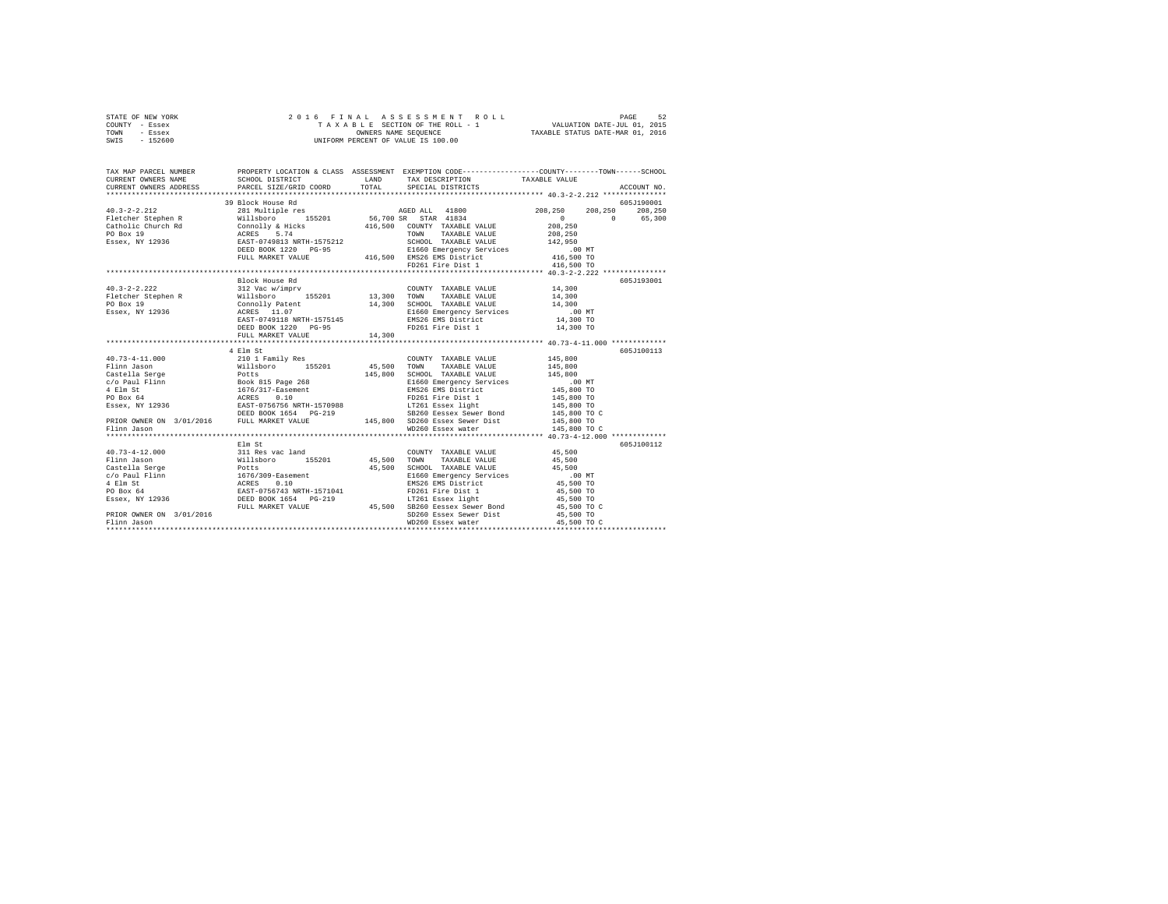| STATE OF NEW YORK                                                                                                                                                                                                                                                                                                                                                                                                 |                                                                                                  |       |                                    |                                                                                                            |                 |
|-------------------------------------------------------------------------------------------------------------------------------------------------------------------------------------------------------------------------------------------------------------------------------------------------------------------------------------------------------------------------------------------------------------------|--------------------------------------------------------------------------------------------------|-------|------------------------------------|------------------------------------------------------------------------------------------------------------|-----------------|
| COUNTY - Essex                                                                                                                                                                                                                                                                                                                                                                                                    |                                                                                                  |       |                                    |                                                                                                            |                 |
| TOWN - Essex                                                                                                                                                                                                                                                                                                                                                                                                      |                                                                                                  |       |                                    |                                                                                                            |                 |
| SWIS - 152600                                                                                                                                                                                                                                                                                                                                                                                                     |                                                                                                  |       |                                    |                                                                                                            |                 |
|                                                                                                                                                                                                                                                                                                                                                                                                                   |                                                                                                  |       |                                    |                                                                                                            |                 |
| TAX MAP PARCEL NUMBER                                                                                                                                                                                                                                                                                                                                                                                             | PROPERTY LOCATION & CLASS ASSESSMENT EXEMPTION CODE----------------COUNTY-------TOWN------SCHOOL |       |                                    |                                                                                                            |                 |
| CURRENT OWNERS NAME                                                                                                                                                                                                                                                                                                                                                                                               | SCHOOL DISTRICT                                                                                  |       | LAND TAX DESCRIPTION TAXABLE VALUE |                                                                                                            |                 |
| CURRENT OWNERS ADDRESS                                                                                                                                                                                                                                                                                                                                                                                            | PARCEL SIZE/GRID COORD                                                                           | TOTAL | SPECIAL DISTRICTS                  |                                                                                                            | ACCOUNT NO.     |
| ***********************                                                                                                                                                                                                                                                                                                                                                                                           |                                                                                                  |       |                                    |                                                                                                            |                 |
|                                                                                                                                                                                                                                                                                                                                                                                                                   | 39 Block House Rd                                                                                |       |                                    |                                                                                                            | 605J190001      |
|                                                                                                                                                                                                                                                                                                                                                                                                                   |                                                                                                  |       |                                    |                                                                                                            | 208,250 208,250 |
|                                                                                                                                                                                                                                                                                                                                                                                                                   |                                                                                                  |       |                                    | $0 \t 0 \t 65,300$                                                                                         |                 |
|                                                                                                                                                                                                                                                                                                                                                                                                                   |                                                                                                  |       |                                    |                                                                                                            |                 |
|                                                                                                                                                                                                                                                                                                                                                                                                                   |                                                                                                  |       |                                    |                                                                                                            |                 |
|                                                                                                                                                                                                                                                                                                                                                                                                                   |                                                                                                  |       |                                    |                                                                                                            |                 |
|                                                                                                                                                                                                                                                                                                                                                                                                                   |                                                                                                  |       |                                    |                                                                                                            |                 |
|                                                                                                                                                                                                                                                                                                                                                                                                                   |                                                                                                  |       |                                    |                                                                                                            |                 |
|                                                                                                                                                                                                                                                                                                                                                                                                                   |                                                                                                  |       | FD261 Fire Dist 1                  | 416,500 TO                                                                                                 |                 |
|                                                                                                                                                                                                                                                                                                                                                                                                                   |                                                                                                  |       |                                    |                                                                                                            |                 |
|                                                                                                                                                                                                                                                                                                                                                                                                                   | Block House Rd                                                                                   |       |                                    |                                                                                                            | 605J193001      |
|                                                                                                                                                                                                                                                                                                                                                                                                                   |                                                                                                  |       |                                    |                                                                                                            |                 |
|                                                                                                                                                                                                                                                                                                                                                                                                                   |                                                                                                  |       |                                    | $\begin{array}{lll} 14\,,300 \\ 14\,,300 \\ 14\,,300 \\ .00 \text{ MT} \\ 14\,,300 \text{ TO} \end{array}$ |                 |
|                                                                                                                                                                                                                                                                                                                                                                                                                   |                                                                                                  |       |                                    |                                                                                                            |                 |
|                                                                                                                                                                                                                                                                                                                                                                                                                   |                                                                                                  |       |                                    |                                                                                                            |                 |
|                                                                                                                                                                                                                                                                                                                                                                                                                   |                                                                                                  |       |                                    |                                                                                                            |                 |
|                                                                                                                                                                                                                                                                                                                                                                                                                   |                                                                                                  |       |                                    | 14,300 TO                                                                                                  |                 |
|                                                                                                                                                                                                                                                                                                                                                                                                                   | FULL MARKET VALUE 14,300                                                                         |       |                                    |                                                                                                            |                 |
|                                                                                                                                                                                                                                                                                                                                                                                                                   |                                                                                                  |       |                                    |                                                                                                            |                 |
|                                                                                                                                                                                                                                                                                                                                                                                                                   | 4 Elm St                                                                                         |       |                                    |                                                                                                            | 605J100113      |
|                                                                                                                                                                                                                                                                                                                                                                                                                   |                                                                                                  |       |                                    |                                                                                                            |                 |
|                                                                                                                                                                                                                                                                                                                                                                                                                   |                                                                                                  |       |                                    |                                                                                                            |                 |
|                                                                                                                                                                                                                                                                                                                                                                                                                   |                                                                                                  |       |                                    |                                                                                                            |                 |
|                                                                                                                                                                                                                                                                                                                                                                                                                   |                                                                                                  |       |                                    | .00 MT<br>145,800 TO                                                                                       |                 |
|                                                                                                                                                                                                                                                                                                                                                                                                                   |                                                                                                  |       |                                    |                                                                                                            |                 |
|                                                                                                                                                                                                                                                                                                                                                                                                                   |                                                                                                  |       |                                    |                                                                                                            |                 |
|                                                                                                                                                                                                                                                                                                                                                                                                                   |                                                                                                  |       |                                    | 145,800 TO<br>145,800 TO<br>145,800 TO C<br>145,800 TO                                                     |                 |
|                                                                                                                                                                                                                                                                                                                                                                                                                   |                                                                                                  |       |                                    |                                                                                                            |                 |
| $\begin{tabular}{l c c c c} \multicolumn{1}{c}{\textbf{40.73--4-11.000}} & \multicolumn{1}{c}{\textbf{41.800}} & \multicolumn{1}{c}{\textbf{42.80}} & \multicolumn{1}{c}{\textbf{20.11}} & \multicolumn{1}{c}{\textbf{20.12}} & \multicolumn{1}{c}{\textbf{20.13}} & \multicolumn{1}{c}{\textbf{20.14}} & \multicolumn{1}{c}{\textbf{20.15}} & \multicolumn{1}{c}{\textbf{20.16}} & \multicolumn{1}{c}{\textbf{2$ |                                                                                                  |       | WD260 Essex water                  |                                                                                                            |                 |
| Flinn Jason                                                                                                                                                                                                                                                                                                                                                                                                       |                                                                                                  |       |                                    | 145,800 TO C                                                                                               |                 |
|                                                                                                                                                                                                                                                                                                                                                                                                                   | Elm St                                                                                           |       |                                    |                                                                                                            | 605J100112      |
|                                                                                                                                                                                                                                                                                                                                                                                                                   |                                                                                                  |       |                                    |                                                                                                            |                 |
|                                                                                                                                                                                                                                                                                                                                                                                                                   |                                                                                                  |       |                                    |                                                                                                            |                 |
|                                                                                                                                                                                                                                                                                                                                                                                                                   |                                                                                                  |       |                                    |                                                                                                            |                 |
|                                                                                                                                                                                                                                                                                                                                                                                                                   |                                                                                                  |       |                                    |                                                                                                            |                 |
|                                                                                                                                                                                                                                                                                                                                                                                                                   |                                                                                                  |       |                                    |                                                                                                            |                 |
|                                                                                                                                                                                                                                                                                                                                                                                                                   |                                                                                                  |       |                                    |                                                                                                            |                 |
|                                                                                                                                                                                                                                                                                                                                                                                                                   |                                                                                                  |       |                                    |                                                                                                            |                 |
|                                                                                                                                                                                                                                                                                                                                                                                                                   |                                                                                                  |       |                                    | 45,500 TO C                                                                                                |                 |
| PRIOR OWNER ON 3/01/2016                                                                                                                                                                                                                                                                                                                                                                                          |                                                                                                  |       | SD260 Essex Sewer Dist             | 45,500 TO                                                                                                  |                 |
| Flinn Jason                                                                                                                                                                                                                                                                                                                                                                                                       |                                                                                                  |       | WD260 Essex water                  | 45,500 TO C                                                                                                |                 |
|                                                                                                                                                                                                                                                                                                                                                                                                                   |                                                                                                  |       |                                    |                                                                                                            |                 |
|                                                                                                                                                                                                                                                                                                                                                                                                                   |                                                                                                  |       |                                    |                                                                                                            |                 |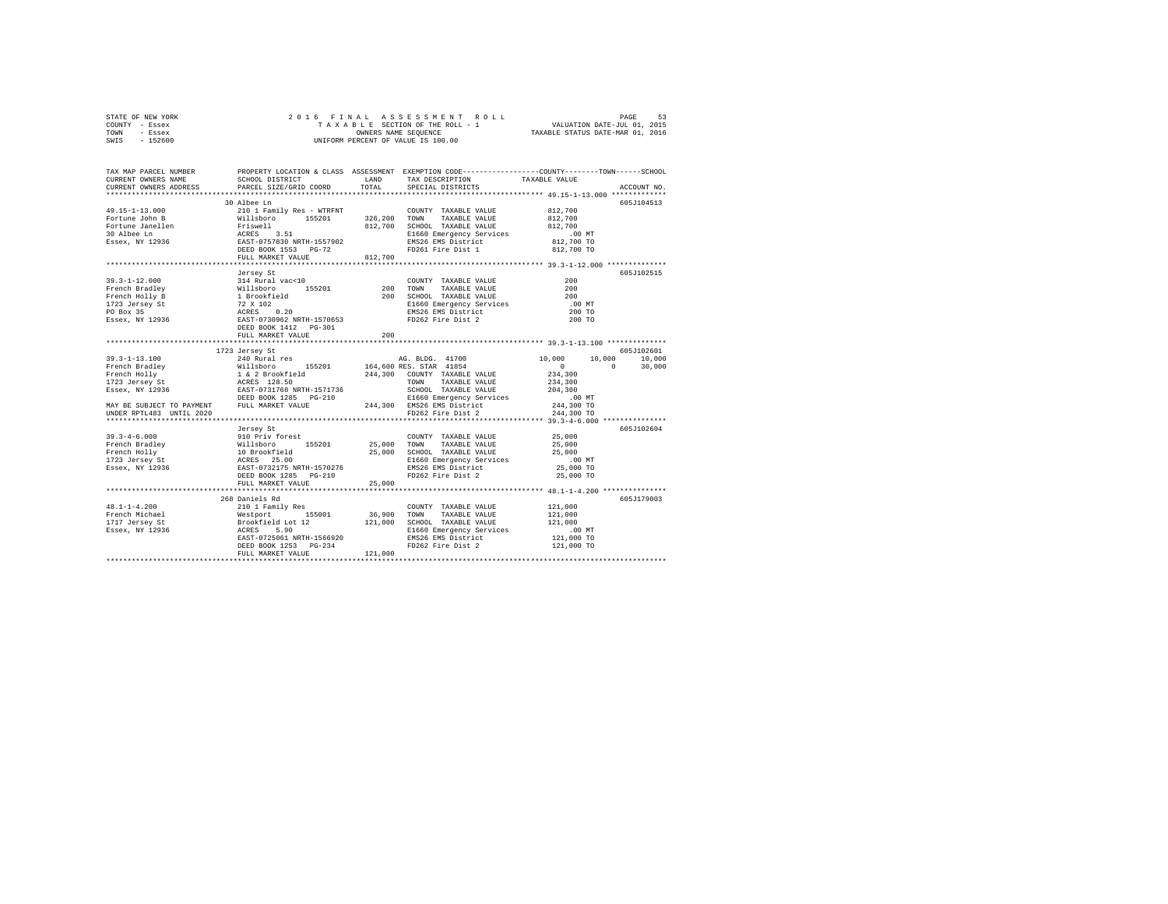| STATE OF NEW YORK | 2016 FINAL ASSESSMENT ROLL         | 53<br>PAGE                       |
|-------------------|------------------------------------|----------------------------------|
| COUNTY - Essex    | TAXABLE SECTION OF THE ROLL - 1    | VALUATION DATE-JUL 01, 2015      |
| TOWN<br>- Essex   | OWNERS NAME SEOUENCE               | TAXABLE STATUS DATE-MAR 01, 2016 |
| $-152600$<br>SWIS | UNIFORM PERCENT OF VALUE IS 100.00 |                                  |

| TAX MAP PARCEL NUMBER<br>CURRENT OWNERS NAME<br>CURRENT OWNERS ADDRESS | PROPERTY LOCATION & CLASS ASSESSMENT EXEMPTION CODE----------------COUNTY-------TOWN-----SCHOOL<br>SCHOOL DISTRICT TAND TAX DESCRIPTION<br>PARCEL SIZE/GRID COORD | TOTAL  | SPECIAL DISTRICTS                                                                                         | TAXABLE VALUE | ACCOUNT NO. |
|------------------------------------------------------------------------|-------------------------------------------------------------------------------------------------------------------------------------------------------------------|--------|-----------------------------------------------------------------------------------------------------------|---------------|-------------|
|                                                                        |                                                                                                                                                                   |        |                                                                                                           |               |             |
|                                                                        | 30 Albee Ln                                                                                                                                                       |        |                                                                                                           |               | 605J104513  |
|                                                                        |                                                                                                                                                                   |        |                                                                                                           |               |             |
|                                                                        |                                                                                                                                                                   |        |                                                                                                           |               |             |
|                                                                        |                                                                                                                                                                   |        |                                                                                                           |               |             |
|                                                                        |                                                                                                                                                                   |        |                                                                                                           |               |             |
|                                                                        |                                                                                                                                                                   |        |                                                                                                           |               |             |
|                                                                        |                                                                                                                                                                   |        |                                                                                                           |               |             |
|                                                                        | FULL MARKET VALUE 812,700                                                                                                                                         |        |                                                                                                           |               |             |
|                                                                        |                                                                                                                                                                   |        |                                                                                                           |               |             |
|                                                                        | Jersey St                                                                                                                                                         |        |                                                                                                           |               | 605J102515  |
| $39.3 - 1 - 12.000$                                                    | 314 Rural vac<10                                                                                                                                                  |        | COUNTY TAXABLE VALUE                                                                                      | 200           |             |
|                                                                        |                                                                                                                                                                   |        | TAXABLE VALUE<br>TAXABLE VALUE                                                                            | 200           |             |
|                                                                        |                                                                                                                                                                   |        | SCHOOL TAXABLE VALUE                                                                                      | 200           |             |
|                                                                        |                                                                                                                                                                   |        | E1660 Emergency Services<br>EMS26 EMS District                                                            | .00 MT        |             |
|                                                                        |                                                                                                                                                                   |        |                                                                                                           | 200 TO        |             |
|                                                                        |                                                                                                                                                                   |        | FD262 Fire Dist 2                                                                                         | 200 TO        |             |
|                                                                        |                                                                                                                                                                   |        |                                                                                                           |               |             |
|                                                                        | FULL MARKET VALUE                                                                                                                                                 | 200    |                                                                                                           |               |             |
|                                                                        |                                                                                                                                                                   |        |                                                                                                           |               | 605J102601  |
|                                                                        |                                                                                                                                                                   |        | AG. BLDG. 41700 10,000 10,000 10,000                                                                      |               |             |
|                                                                        |                                                                                                                                                                   |        |                                                                                                           | $\sim$ 0      | 30,000      |
|                                                                        |                                                                                                                                                                   |        |                                                                                                           |               |             |
|                                                                        |                                                                                                                                                                   |        |                                                                                                           |               |             |
|                                                                        |                                                                                                                                                                   |        |                                                                                                           |               |             |
|                                                                        |                                                                                                                                                                   |        |                                                                                                           |               |             |
|                                                                        |                                                                                                                                                                   |        |                                                                                                           |               |             |
|                                                                        |                                                                                                                                                                   |        |                                                                                                           |               |             |
|                                                                        |                                                                                                                                                                   |        |                                                                                                           |               |             |
|                                                                        |                                                                                                                                                                   |        |                                                                                                           |               | 605J102604  |
|                                                                        |                                                                                                                                                                   |        |                                                                                                           |               |             |
|                                                                        |                                                                                                                                                                   |        |                                                                                                           |               |             |
|                                                                        |                                                                                                                                                                   |        |                                                                                                           |               |             |
|                                                                        |                                                                                                                                                                   |        | 25,000 SCHOOL TAXABLE VALUE 25,000 MI<br>E1660 Emergency Services 2.00 MT<br>EMS26 EMS District 25,000 TO |               |             |
|                                                                        | DEED BOOK 1285 PG-210                                                                                                                                             |        | FD262 Fire Dist 2                                                                                         |               |             |
|                                                                        | FULL MARKET VALUE                                                                                                                                                 | 25,000 |                                                                                                           | 25,000 TO     |             |
|                                                                        |                                                                                                                                                                   |        |                                                                                                           |               |             |
|                                                                        | 268 Daniels Rd                                                                                                                                                    |        |                                                                                                           |               | 605J179003  |
|                                                                        |                                                                                                                                                                   |        |                                                                                                           | 121,000       |             |
|                                                                        |                                                                                                                                                                   |        |                                                                                                           | 121,000       |             |
|                                                                        |                                                                                                                                                                   |        |                                                                                                           | 121,000       |             |
|                                                                        |                                                                                                                                                                   |        |                                                                                                           | .00 MT        |             |
|                                                                        |                                                                                                                                                                   |        |                                                                                                           | 121,000 TO    |             |
|                                                                        |                                                                                                                                                                   |        |                                                                                                           | 121,000 TO    |             |
|                                                                        |                                                                                                                                                                   |        |                                                                                                           |               |             |
|                                                                        |                                                                                                                                                                   |        |                                                                                                           |               |             |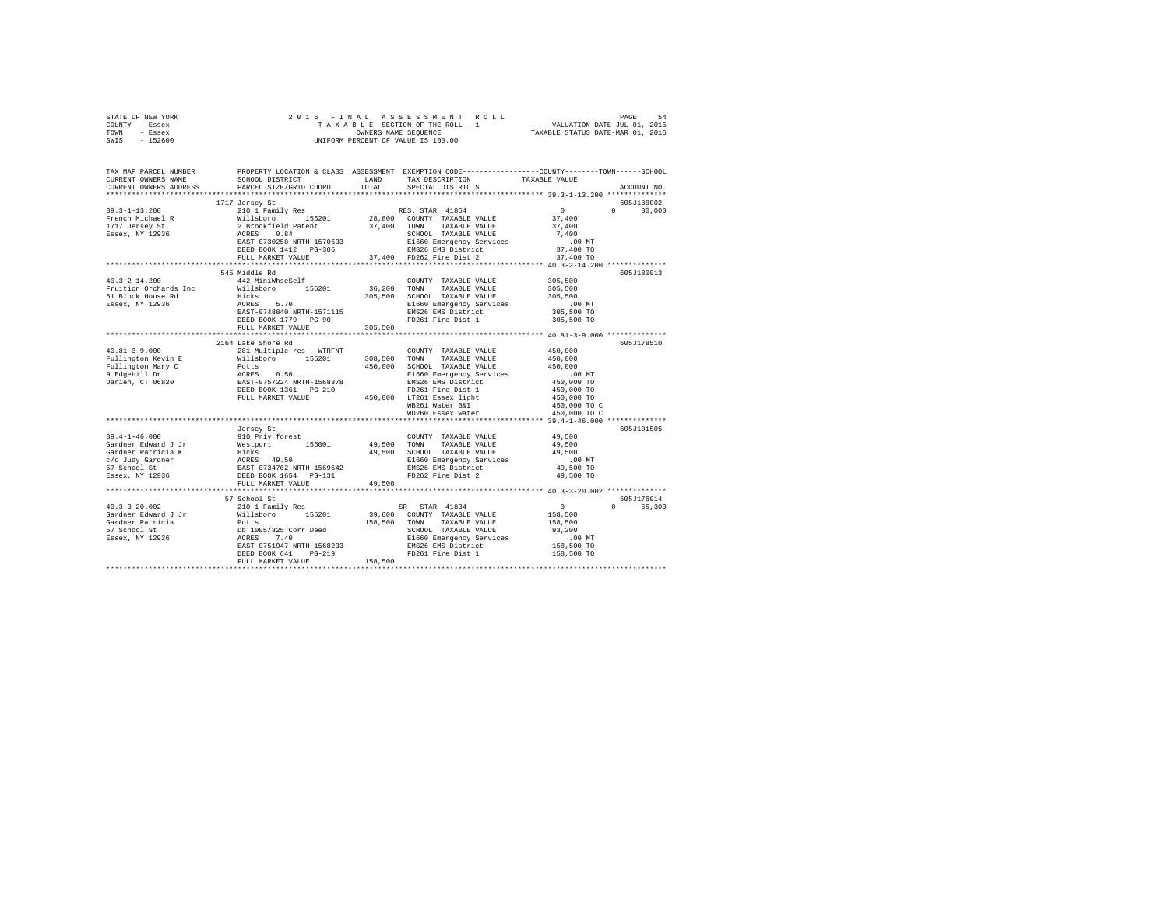| STATE OF NEW YORK                                                   | 2016 FINAL ASSESSMENT ROIT AXABLE SECTION OF THE ROLL - 1<br>TAXABLE SECTION OF THE ROLL - 1<br>ONNERS NAME SEQUENCE                                                                                                                                   |         | 5 FINAL ASSESSMENT ROLL TAXABLE 54 SESSMENT ROLL TAXABLE SECTION OF THE ROLL - 1<br>TAXABLE SECTION OF THE ROLL - 1 VALUATION DATE-JUL 01, 2015<br>OWNERS NAME SEQUENCE  TAXABLE STATUS DATE-MAR 01, 2016 |                                            |               |
|---------------------------------------------------------------------|--------------------------------------------------------------------------------------------------------------------------------------------------------------------------------------------------------------------------------------------------------|---------|-----------------------------------------------------------------------------------------------------------------------------------------------------------------------------------------------------------|--------------------------------------------|---------------|
| COUNTY - Essex                                                      |                                                                                                                                                                                                                                                        |         |                                                                                                                                                                                                           |                                            |               |
| TOWN - Essex                                                        |                                                                                                                                                                                                                                                        |         |                                                                                                                                                                                                           |                                            |               |
| SWIS - 152600                                                       |                                                                                                                                                                                                                                                        |         |                                                                                                                                                                                                           |                                            |               |
|                                                                     |                                                                                                                                                                                                                                                        |         |                                                                                                                                                                                                           |                                            |               |
|                                                                     |                                                                                                                                                                                                                                                        |         |                                                                                                                                                                                                           |                                            |               |
|                                                                     |                                                                                                                                                                                                                                                        |         |                                                                                                                                                                                                           |                                            |               |
| TAX MAP PARCEL NUMBER                                               |                                                                                                                                                                                                                                                        |         | PROPERTY LOCATION & CLASS ASSESSMENT EXEMPTION CODE---------------COUNTY-------TOWN-----SCHOOL                                                                                                            |                                            |               |
| CURRENT OWNERS NAME                                                 | SCHOOL DISTRICT LAND                                                                                                                                                                                                                                   |         | TAX DESCRIPTION TAXABLE VALUE                                                                                                                                                                             |                                            |               |
| CURRENT OWNERS ADDRESS                                              | PARCEL SIZE/GRID COORD                                                                                                                                                                                                                                 | TOTAL   | SPECIAL DISTRICTS                                                                                                                                                                                         |                                            | ACCOUNT NO.   |
|                                                                     |                                                                                                                                                                                                                                                        |         |                                                                                                                                                                                                           |                                            |               |
|                                                                     | 1717 Jersey St                                                                                                                                                                                                                                         |         |                                                                                                                                                                                                           |                                            | 605J188002    |
| $39.3 - 1 - 13.200$                                                 | 210 1 Family Res                                                                                                                                                                                                                                       |         | RES. STAR 41854                                                                                                                                                                                           | $\sim$ 0                                   | $0 \t 30.000$ |
|                                                                     |                                                                                                                                                                                                                                                        |         |                                                                                                                                                                                                           | 37,400                                     |               |
|                                                                     |                                                                                                                                                                                                                                                        |         |                                                                                                                                                                                                           | 37,400                                     |               |
| 33.3-4 AV.<br>French Michael R<br>1717 Jersey St<br>Essex, NY 12936 |                                                                                                                                                                                                                                                        |         |                                                                                                                                                                                                           | 7,400                                      |               |
|                                                                     | 210 1 Family Res 155201 28,800 COUNTY TAXABLE VALUE<br>2 Brookfield Patent 37,400 TOWN TAXABLE VALUE<br>2 ROSET-0730258 RETH-1570633 SCHOOL TAXABLE VALUE<br>EAST-0730258 RETH-1570633 BLE60 EMSPERP Services<br>DEED BOOK 1412 PG-305                 |         |                                                                                                                                                                                                           | $.00$ MT                                   |               |
|                                                                     |                                                                                                                                                                                                                                                        |         |                                                                                                                                                                                                           | 37,400 TO                                  |               |
|                                                                     |                                                                                                                                                                                                                                                        |         | FULL MARKET VALUE 37,400 FD262 Fire Dist 2 37,400 TO                                                                                                                                                      |                                            |               |
|                                                                     |                                                                                                                                                                                                                                                        |         |                                                                                                                                                                                                           |                                            |               |
|                                                                     | 545 Middle Rd                                                                                                                                                                                                                                          |         |                                                                                                                                                                                                           |                                            | 605J180013    |
| $40.3 - 2 - 14.200$                                                 | 442 MiniWhseSelf                                                                                                                                                                                                                                       |         | COUNTY TAXABLE VALUE                                                                                                                                                                                      | 305,500                                    |               |
| Fruition Orchards Inc                                               | Willsboro 155201 36,200 TOWN TAXABLE VALUE                                                                                                                                                                                                             |         |                                                                                                                                                                                                           | 305,500                                    |               |
|                                                                     | Hicks                                                                                                                                                                                                                                                  |         |                                                                                                                                                                                                           |                                            |               |
| 61 Block House Rd                                                   |                                                                                                                                                                                                                                                        |         | 305,500 SCHOOL TAXABLE VALUE                                                                                                                                                                              | 305,500                                    |               |
| Essex, NY 12936                                                     | ALCRES 5.70<br>EAST-0748840NRTH-1571115 – E1660 Emergency Services<br>DEED BOOK 1779 PG-90 – ENS26 EMS District<br>DEED BOOK 1779 PG-90 – FD261 Fire Dist 1                                                                                            |         | E1660 Emergency Services                                                                                                                                                                                  | .00 MT                                     |               |
|                                                                     |                                                                                                                                                                                                                                                        |         |                                                                                                                                                                                                           | 305,500 TO                                 |               |
|                                                                     |                                                                                                                                                                                                                                                        |         |                                                                                                                                                                                                           | 305,500 TO                                 |               |
|                                                                     | FULL MARKET VALUE                                                                                                                                                                                                                                      | 305,500 |                                                                                                                                                                                                           |                                            |               |
|                                                                     |                                                                                                                                                                                                                                                        |         |                                                                                                                                                                                                           |                                            |               |
|                                                                     | 2164 Lake Shore Rd                                                                                                                                                                                                                                     |         |                                                                                                                                                                                                           |                                            | 605J178510    |
| $40.81 - 3 - 9.000$                                                 | 281 Multiple res - WTRFNT                                                                                                                                                                                                                              |         | COUNTY TAXABLE VALUE                                                                                                                                                                                      | 450,000                                    |               |
| Fullington Kevin E                                                  | Willsboro 155201                                                                                                                                                                                                                                       |         | 308,500 TOWN TAXABLE VALUE                                                                                                                                                                                | 450,000                                    |               |
|                                                                     |                                                                                                                                                                                                                                                        |         | $450,000$ SCHOOL TAXABLE VALUE                                                                                                                                                                            | 450,000                                    |               |
|                                                                     |                                                                                                                                                                                                                                                        |         | E1660 Emergency Services                                                                                                                                                                                  | .00 MT                                     |               |
|                                                                     |                                                                                                                                                                                                                                                        |         | EMS26 EMS District                                                                                                                                                                                        | 450,000 TO                                 |               |
|                                                                     |                                                                                                                                                                                                                                                        |         |                                                                                                                                                                                                           | 450,000 TO                                 |               |
|                                                                     |                                                                                                                                                                                                                                                        |         |                                                                                                                                                                                                           |                                            |               |
|                                                                     |                                                                                                                                                                                                                                                        |         | WB261 Water B&I                                                                                                                                                                                           |                                            |               |
|                                                                     |                                                                                                                                                                                                                                                        |         | WD260 Essex water                                                                                                                                                                                         | 450,000 TO<br>450,000 TO C<br>450,000 TO C |               |
|                                                                     |                                                                                                                                                                                                                                                        |         |                                                                                                                                                                                                           |                                            |               |
|                                                                     | Jersey St                                                                                                                                                                                                                                              |         |                                                                                                                                                                                                           |                                            | 605J101505    |
| $39.4 - 1 - 46.000$                                                 | 910 Priv forest                                                                                                                                                                                                                                        |         | COUNTY TAXABLE VALUE                                                                                                                                                                                      | 49,500                                     |               |
| Gardner Edward J Jr                                                 | Westport 155001                                                                                                                                                                                                                                        |         | 49,500 TOWN TAXABLE VALUE                                                                                                                                                                                 | 49,500                                     |               |
|                                                                     |                                                                                                                                                                                                                                                        |         |                                                                                                                                                                                                           | 49,500                                     |               |
| Gardner Patricia K<br>c/o Judy Gardner                              | Hicks 49,500 SCHOOL TAXABLE VALUE<br>ACRES 49.50 E1660 Emergency Services                                                                                                                                                                              |         |                                                                                                                                                                                                           | .00 MT                                     |               |
|                                                                     | EAST-0734762 NRTH-1569642                                                                                                                                                                                                                              |         | EMS26 EMS District                                                                                                                                                                                        | 49,500 TO                                  |               |
|                                                                     | DEED BOOK 1654 PG-131                                                                                                                                                                                                                                  |         | FD262 Fire Dist 2                                                                                                                                                                                         | 49,500 TO                                  |               |
| 57 School St<br>Essex, NY 12936                                     | FULL MARKET VALUE                                                                                                                                                                                                                                      | 49,500  |                                                                                                                                                                                                           |                                            |               |
|                                                                     |                                                                                                                                                                                                                                                        |         |                                                                                                                                                                                                           |                                            |               |
|                                                                     | 57 School St                                                                                                                                                                                                                                           |         |                                                                                                                                                                                                           |                                            | 605J176014    |
|                                                                     | 210 1 Family Res                                                                                                                                                                                                                                       |         |                                                                                                                                                                                                           |                                            |               |
| $40.3 - 3 - 20.002$                                                 |                                                                                                                                                                                                                                                        |         | SR STAR 41834                                                                                                                                                                                             | $\sim$ 0                                   | 0 65,300      |
| Gardner Edward J Jr                                                 | Willsboro 155201 39,600 COUNTY TAXABLE VALUE                                                                                                                                                                                                           |         |                                                                                                                                                                                                           | 158,500                                    |               |
| Gardner Patricia<br>57 School St<br>Essex, NY 12936                 |                                                                                                                                                                                                                                                        |         |                                                                                                                                                                                                           | 158,500                                    |               |
|                                                                     |                                                                                                                                                                                                                                                        |         |                                                                                                                                                                                                           | 93,200                                     |               |
|                                                                     |                                                                                                                                                                                                                                                        |         |                                                                                                                                                                                                           | 00 MT.<br>158,500 TO                       |               |
|                                                                     |                                                                                                                                                                                                                                                        |         |                                                                                                                                                                                                           |                                            |               |
|                                                                     | Williams<br>Dology 235 Corr Deed<br>Dology 235 Corr Deed<br>Dology 25 Corr Deed<br>NGERS<br>20051947 NRTH-1568233<br>2006 2008 2009 2012<br>2006 2012<br>2013 2014 2014 2014<br>2026 2013 2014 2014<br>2026 2013 2014 2014<br>2026 2014 2014 2015<br>2 |         |                                                                                                                                                                                                           | 158,500 TO                                 |               |
|                                                                     |                                                                                                                                                                                                                                                        |         |                                                                                                                                                                                                           |                                            |               |
|                                                                     |                                                                                                                                                                                                                                                        |         |                                                                                                                                                                                                           |                                            |               |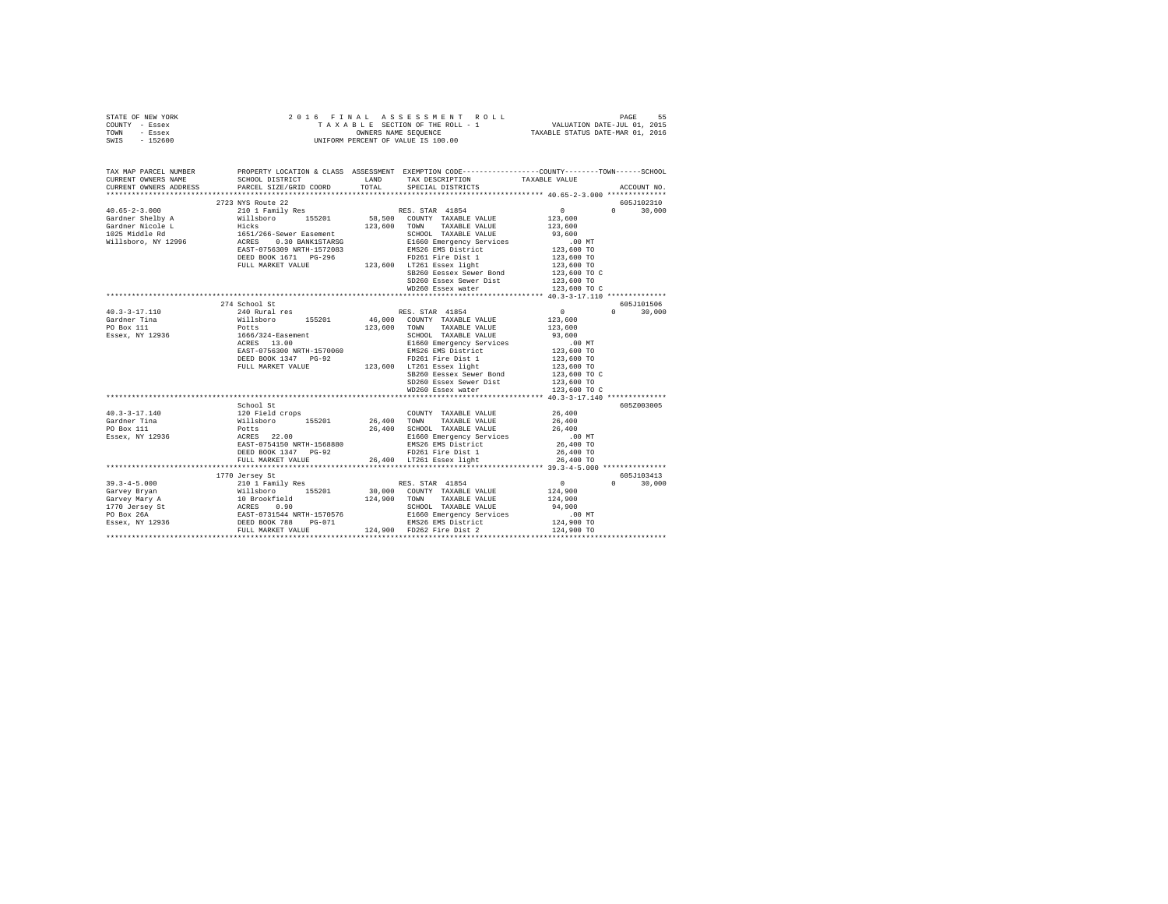| STATE OF NEW YORK<br>COUNTY - Essex<br>TOWN - Essex<br>SWIS - 152600   |                        |                                                                                                 |               |
|------------------------------------------------------------------------|------------------------|-------------------------------------------------------------------------------------------------|---------------|
| TAX MAP PARCEL NUMBER<br>CURRENT OWNERS NAME<br>CURRENT OWNERS ADDRESS | PARCEL SIZE/GRID COORD | PROPERTY LOCATION & CLASS ASSESSMENT EXEMPTION CODE----------------COUNTY-------TOWN-----SCHOOL | ACCOUNT NO.   |
|                                                                        |                        |                                                                                                 |               |
|                                                                        |                        |                                                                                                 | 605J102310    |
|                                                                        |                        |                                                                                                 | $0 \t 30.000$ |
|                                                                        |                        |                                                                                                 |               |
|                                                                        |                        |                                                                                                 |               |
|                                                                        |                        |                                                                                                 |               |
|                                                                        |                        |                                                                                                 |               |
|                                                                        |                        |                                                                                                 |               |
|                                                                        |                        |                                                                                                 |               |
|                                                                        |                        |                                                                                                 |               |
|                                                                        |                        |                                                                                                 |               |
|                                                                        |                        | SD260 Essex Sewer Dist 123,600 TO<br>WD260 Essex water 123,600 TO C                             |               |
|                                                                        |                        |                                                                                                 |               |
|                                                                        |                        |                                                                                                 |               |
|                                                                        | 274 School St          |                                                                                                 | 605J101506    |
|                                                                        |                        |                                                                                                 | $0 \t 30.000$ |
|                                                                        |                        |                                                                                                 |               |
|                                                                        |                        |                                                                                                 |               |
|                                                                        |                        |                                                                                                 |               |
|                                                                        |                        |                                                                                                 |               |
|                                                                        |                        |                                                                                                 |               |
|                                                                        |                        |                                                                                                 |               |
|                                                                        |                        |                                                                                                 |               |
|                                                                        |                        |                                                                                                 |               |
|                                                                        |                        |                                                                                                 |               |
|                                                                        |                        |                                                                                                 |               |
|                                                                        |                        |                                                                                                 |               |
|                                                                        | School St              |                                                                                                 | 605Z003005    |
|                                                                        |                        |                                                                                                 |               |
|                                                                        |                        |                                                                                                 |               |
|                                                                        |                        |                                                                                                 |               |
|                                                                        |                        |                                                                                                 |               |
|                                                                        |                        |                                                                                                 |               |
|                                                                        |                        |                                                                                                 |               |
|                                                                        |                        |                                                                                                 |               |
|                                                                        |                        |                                                                                                 | 605J103413    |
|                                                                        |                        |                                                                                                 | $0 \t 30.000$ |
|                                                                        |                        |                                                                                                 |               |
|                                                                        |                        |                                                                                                 |               |
|                                                                        |                        |                                                                                                 |               |
|                                                                        |                        |                                                                                                 |               |
|                                                                        |                        |                                                                                                 |               |
|                                                                        |                        |                                                                                                 |               |
|                                                                        |                        |                                                                                                 |               |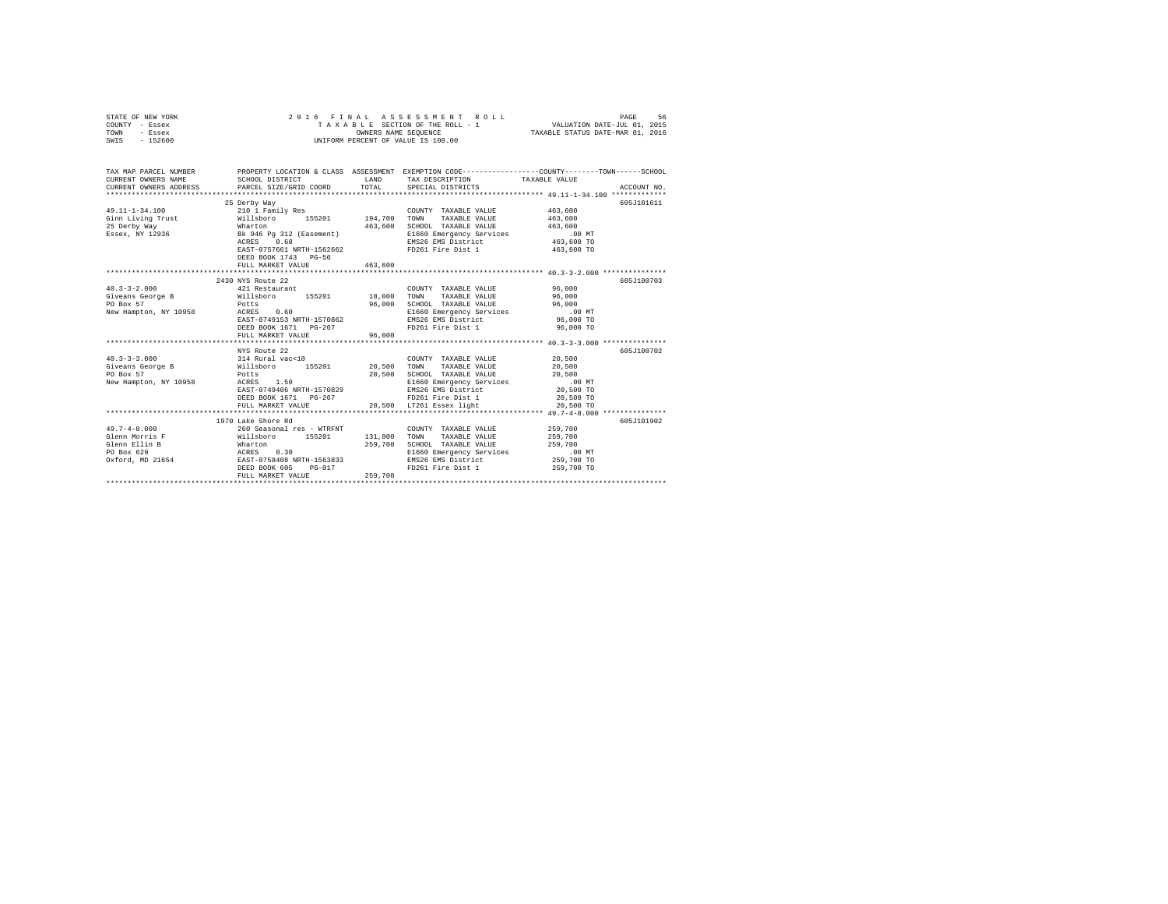| STATE OF NEW YORK                                                                                                                                                                                                                          |                       |                                                                                                                                                                                  | 2016 FINAL ASSESSMENT ROLL                                                                                                                                                   |                                                                                                                          |
|--------------------------------------------------------------------------------------------------------------------------------------------------------------------------------------------------------------------------------------------|-----------------------|----------------------------------------------------------------------------------------------------------------------------------------------------------------------------------|------------------------------------------------------------------------------------------------------------------------------------------------------------------------------|--------------------------------------------------------------------------------------------------------------------------|
| COUNTY - Essex                                                                                                                                                                                                                             |                       |                                                                                                                                                                                  |                                                                                                                                                                              |                                                                                                                          |
| TOWN<br>- Essex                                                                                                                                                                                                                            |                       | FINAL ASSESSMENT ROLL (PAGE 56 PINAL ASSESSMENT ROLL)<br>TAXABLE SECTION OF THE ROLL - 1 (VALUATION DATE-JUL 01, 2015)<br>OWNERS NAME SEQUENCE (TAXABLE STATUS DATE-MAR 01, 2016 |                                                                                                                                                                              |                                                                                                                          |
| $-152600$<br>SWIS                                                                                                                                                                                                                          |                       |                                                                                                                                                                                  | UNIFORM PERCENT OF VALUE IS 100.00                                                                                                                                           |                                                                                                                          |
|                                                                                                                                                                                                                                            |                       |                                                                                                                                                                                  |                                                                                                                                                                              |                                                                                                                          |
|                                                                                                                                                                                                                                            |                       |                                                                                                                                                                                  |                                                                                                                                                                              |                                                                                                                          |
|                                                                                                                                                                                                                                            |                       |                                                                                                                                                                                  |                                                                                                                                                                              |                                                                                                                          |
|                                                                                                                                                                                                                                            |                       |                                                                                                                                                                                  |                                                                                                                                                                              | TAX MAP PARCEL NUMBER THE PROPERTY LOCATION & CLASS ASSESSMENT EXEMPTION CODE--------------COUNTY-------TOWN------SCHOOL |
| CURRENT OWNERS NAME                                                                                                                                                                                                                        |                       |                                                                                                                                                                                  | TAX DESCRIPTION TAXABLE VALUE                                                                                                                                                |                                                                                                                          |
| CURRENT OWNERS ADDRESS                                                                                                                                                                                                                     |                       |                                                                                                                                                                                  |                                                                                                                                                                              | ACCOUNT NO.                                                                                                              |
|                                                                                                                                                                                                                                            |                       |                                                                                                                                                                                  |                                                                                                                                                                              |                                                                                                                          |
|                                                                                                                                                                                                                                            | 25 Derby Way          |                                                                                                                                                                                  |                                                                                                                                                                              | 605J101611                                                                                                               |
|                                                                                                                                                                                                                                            |                       |                                                                                                                                                                                  |                                                                                                                                                                              |                                                                                                                          |
|                                                                                                                                                                                                                                            |                       |                                                                                                                                                                                  |                                                                                                                                                                              |                                                                                                                          |
|                                                                                                                                                                                                                                            |                       |                                                                                                                                                                                  |                                                                                                                                                                              |                                                                                                                          |
|                                                                                                                                                                                                                                            |                       |                                                                                                                                                                                  |                                                                                                                                                                              |                                                                                                                          |
|                                                                                                                                                                                                                                            |                       |                                                                                                                                                                                  |                                                                                                                                                                              |                                                                                                                          |
|                                                                                                                                                                                                                                            |                       |                                                                                                                                                                                  |                                                                                                                                                                              |                                                                                                                          |
|                                                                                                                                                                                                                                            | DEED BOOK 1743 PG-56  |                                                                                                                                                                                  |                                                                                                                                                                              |                                                                                                                          |
|                                                                                                                                                                                                                                            | FULL MARKET VALUE     | 463,600                                                                                                                                                                          |                                                                                                                                                                              |                                                                                                                          |
|                                                                                                                                                                                                                                            |                       |                                                                                                                                                                                  |                                                                                                                                                                              |                                                                                                                          |
|                                                                                                                                                                                                                                            | 2430 NYS Route 22     |                                                                                                                                                                                  |                                                                                                                                                                              | 605J100703                                                                                                               |
| $40.3 - 3 - 2.000$                                                                                                                                                                                                                         | 421 Restaurant        |                                                                                                                                                                                  | COUNTY TAXABLE VALUE                                                                                                                                                         | 96,000                                                                                                                   |
| $\begin{array}{lllllll} \texttt{Givens George B} & \texttt{new} & \texttt{result} \\ \texttt{P0 Box 57} & \texttt{W1lsboro} & \texttt{155201} & \texttt{18,000} \\ \texttt{PO Box 57} & & \texttt{Potts} & & \texttt{P020} \\ \end{array}$ |                       |                                                                                                                                                                                  | TOWN<br>TAXABLE VALUE                                                                                                                                                        | 96,000                                                                                                                   |
|                                                                                                                                                                                                                                            | Potts<br>ACRES 0.60   |                                                                                                                                                                                  | $\begin{tabular}{lllllll} \multicolumn{2}{l}{{\bf SCHOOL}} & \multicolumn{2}{l}{\bf TAXABLE} & \multicolumn{2}{l}{\bf VALUE} & \multicolumn{2}{l}{\bf 96,000} \end{tabular}$ |                                                                                                                          |
| New Hampton, NY 10958                                                                                                                                                                                                                      |                       |                                                                                                                                                                                  |                                                                                                                                                                              |                                                                                                                          |
|                                                                                                                                                                                                                                            |                       |                                                                                                                                                                                  |                                                                                                                                                                              |                                                                                                                          |
|                                                                                                                                                                                                                                            | DEED BOOK 1671 PG-267 |                                                                                                                                                                                  | FD261 Fire Dist 1                                                                                                                                                            | 96,000 TO                                                                                                                |
|                                                                                                                                                                                                                                            | FULL MARKET VALUE     | 96,000                                                                                                                                                                           |                                                                                                                                                                              |                                                                                                                          |
|                                                                                                                                                                                                                                            |                       |                                                                                                                                                                                  |                                                                                                                                                                              |                                                                                                                          |
|                                                                                                                                                                                                                                            | NYS Route 22          |                                                                                                                                                                                  |                                                                                                                                                                              | 605J100702                                                                                                               |
|                                                                                                                                                                                                                                            |                       |                                                                                                                                                                                  | COUNTY TAXABLE VALUE                                                                                                                                                         | 20,500<br>20,500                                                                                                         |
|                                                                                                                                                                                                                                            |                       |                                                                                                                                                                                  | TAXABLE VALUE<br>TOWN                                                                                                                                                        |                                                                                                                          |
|                                                                                                                                                                                                                                            |                       |                                                                                                                                                                                  |                                                                                                                                                                              |                                                                                                                          |
| 40.3-3-3.000<br>WYS Route 22<br>Giveans George B Willsboro 155201 20,500<br>PO Box 57<br>New Hampton, NY 10958 ACRES 1.50<br>20,500<br>New Hampton, NY 10958 ACRES 1.50                                                                    |                       |                                                                                                                                                                                  |                                                                                                                                                                              |                                                                                                                          |
|                                                                                                                                                                                                                                            |                       |                                                                                                                                                                                  |                                                                                                                                                                              |                                                                                                                          |
|                                                                                                                                                                                                                                            | DEED BOOK 1671 PG-267 |                                                                                                                                                                                  | FD261 Fire Dist 1<br>20,500 LT261 Essex light                                                                                                                                | 20,500 TO                                                                                                                |
|                                                                                                                                                                                                                                            | FULL MARKET VALUE     |                                                                                                                                                                                  |                                                                                                                                                                              | 20,500 TO                                                                                                                |
|                                                                                                                                                                                                                                            |                       |                                                                                                                                                                                  |                                                                                                                                                                              |                                                                                                                          |
|                                                                                                                                                                                                                                            | 1970 Lake Shore Rd    |                                                                                                                                                                                  |                                                                                                                                                                              | 605J101902                                                                                                               |
|                                                                                                                                                                                                                                            |                       |                                                                                                                                                                                  | $\begin{tabular}{lllllll} \textbf{COUNTY} & \textbf{TAXABLE} & \textbf{VALUE} & & \textbf{259,700} \end{tabular}$                                                            |                                                                                                                          |
|                                                                                                                                                                                                                                            |                       |                                                                                                                                                                                  | TAXABLE VALUE<br>TOWN                                                                                                                                                        | 259,700                                                                                                                  |
|                                                                                                                                                                                                                                            |                       |                                                                                                                                                                                  | SCHOOL TAXABLE VALUE                                                                                                                                                         | 259,700                                                                                                                  |
|                                                                                                                                                                                                                                            |                       |                                                                                                                                                                                  | E1660 Emergency Services 6.00 MT<br>EMS26 EMS District 259,700 TO                                                                                                            | $.00$ MT                                                                                                                 |
|                                                                                                                                                                                                                                            |                       |                                                                                                                                                                                  |                                                                                                                                                                              |                                                                                                                          |
|                                                                                                                                                                                                                                            |                       |                                                                                                                                                                                  | FD261 Fire Dist 1                                                                                                                                                            | 259,700 TO                                                                                                               |
|                                                                                                                                                                                                                                            | FULL MARKET VALUE     | 259,700                                                                                                                                                                          |                                                                                                                                                                              |                                                                                                                          |
|                                                                                                                                                                                                                                            |                       |                                                                                                                                                                                  |                                                                                                                                                                              |                                                                                                                          |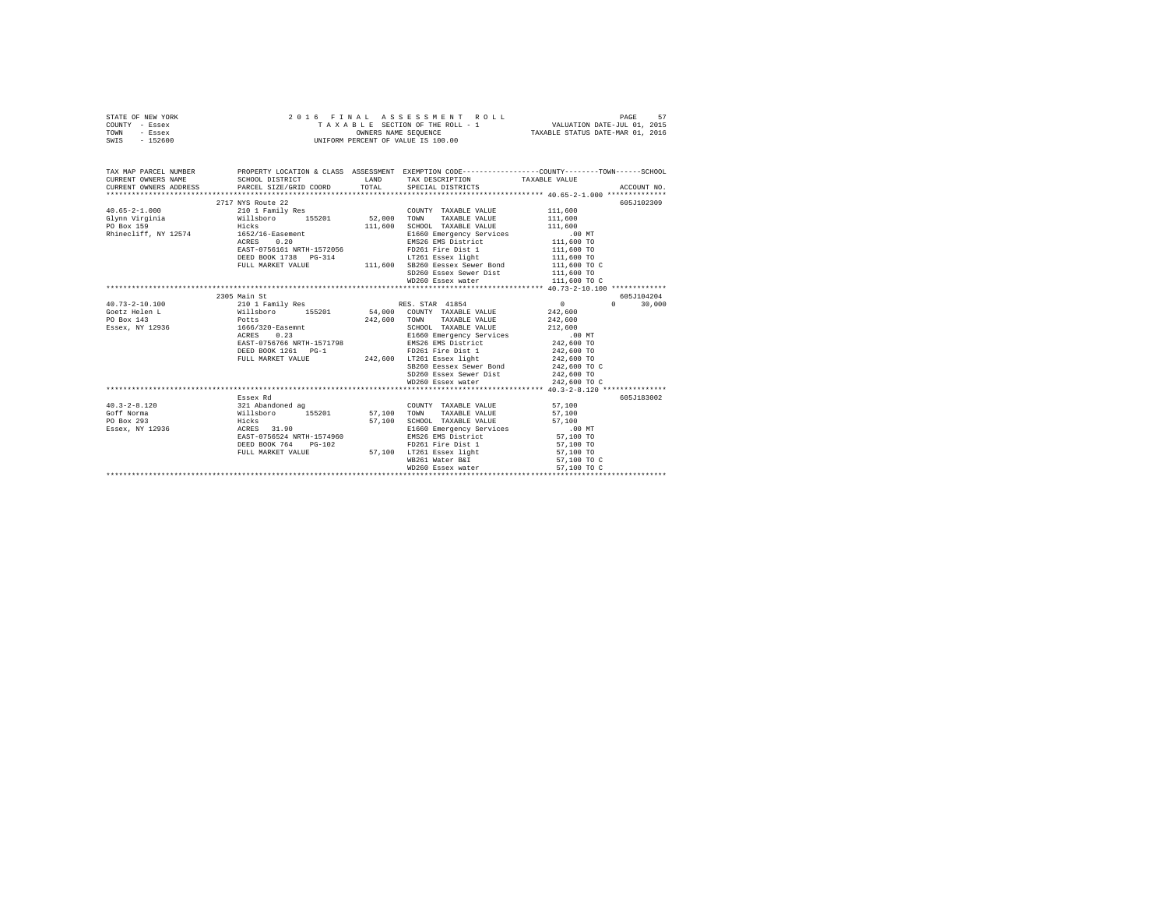|      | STATE OF NEW YORK |  | 2016 FINAL ASSESSMENT ROLL         | 57<br>PAGE                       |  |
|------|-------------------|--|------------------------------------|----------------------------------|--|
|      | COUNTY - Essex    |  | TAXABLE SECTION OF THE ROLL - 1    | VALUATION DATE-JUL 01, 2015      |  |
| TOWN | - Essex           |  | OWNERS NAME SEOUENCE               | TAXABLE STATUS DATE-MAR 01, 2016 |  |
| SWIS | - 152600          |  | UNIFORM PERCENT OF VALUE IS 100.00 |                                  |  |

| TAX MAP PARCEL NUMBER                                                  |                                                                                                                                                                                                                                     | PROPERTY LOCATION & CLASS ASSESSMENT EXEMPTION CODE----------------COUNTY-------TOWN-----SCHOOL                       |                          |               |
|------------------------------------------------------------------------|-------------------------------------------------------------------------------------------------------------------------------------------------------------------------------------------------------------------------------------|-----------------------------------------------------------------------------------------------------------------------|--------------------------|---------------|
|                                                                        | 2717 NYS Route 22                                                                                                                                                                                                                   |                                                                                                                       |                          | 605J102309    |
| 40.65-2-1.000 210 1 Family Res                                         |                                                                                                                                                                                                                                     | COUNTY TAXABLE VALUE 111,600                                                                                          |                          |               |
| Glynn Virginia $\mu$ illsboro 155201 52,000 TOWN TAXABLE VALUE 111,600 |                                                                                                                                                                                                                                     |                                                                                                                       |                          |               |
| PO Box 159                                                             | <b>Example 2018</b> Hicks and the set of the set of the set of the set of the set of the set of the set of the set of the set of the set of the set of the set of the set of the set of the set of the set of the set of the set of | 111,600 SCHOOL TAXABLE VALUE 111,600                                                                                  |                          |               |
| Rhinecliff, NY 12574 1652/16-Easement                                  |                                                                                                                                                                                                                                     |                                                                                                                       |                          |               |
|                                                                        | ACRES 0.20                                                                                                                                                                                                                          | E1660 Emergency Services .00 MT<br>EMS26 EMS District 111,600 TO                                                      |                          |               |
|                                                                        | EAST-0756161 NRTH-1572056                                                                                                                                                                                                           | EMS26 EMS District                                                                                                    |                          |               |
|                                                                        | DEED BOOK 1738 PG-314                                                                                                                                                                                                               | FD261 Fire Dist 1<br>LT261 Essex light                                                                                | 111,600 TO<br>111,600 TO |               |
|                                                                        |                                                                                                                                                                                                                                     | FULL MARKET VALUE $111,600$ SB260 Eessex Sewer Bond $111,600$ TO C                                                    |                          |               |
|                                                                        |                                                                                                                                                                                                                                     | SD260 Essex Sewer Dist 111,600 TO                                                                                     |                          |               |
|                                                                        |                                                                                                                                                                                                                                     | WD260 Essex water                                                                                                     | 111,600 TO C             |               |
|                                                                        |                                                                                                                                                                                                                                     |                                                                                                                       |                          |               |
|                                                                        | 2305 Main St                                                                                                                                                                                                                        |                                                                                                                       |                          | 605J104204    |
| $40.73 - 2 - 10.100$                                                   |                                                                                                                                                                                                                                     | 210 1 Family Res (RES. STAR 41854<br>Willsboro 155201 54,000 COUNTY TAXABLE VALUE<br>Potts 242,600 TOWN TAXABLE VALUE | $\sim$ 0 $\sim$          | $0 \t 30,000$ |
| Goetz Helen L                                                          |                                                                                                                                                                                                                                     |                                                                                                                       |                          |               |
| PO Box 143                                                             |                                                                                                                                                                                                                                     |                                                                                                                       | 242,600<br>242,600       |               |
| Essex, NY 12936 1666/320-Easemnt                                       |                                                                                                                                                                                                                                     | SCHOOL TAXABLE VALUE                                                                                                  | 212,600                  |               |
|                                                                        |                                                                                                                                                                                                                                     |                                                                                                                       |                          |               |
|                                                                        |                                                                                                                                                                                                                                     |                                                                                                                       |                          |               |
|                                                                        | DEED BOOK 1261 PG-1                                                                                                                                                                                                                 | FD261 Fire Dist 1 242,600 TO                                                                                          |                          |               |
|                                                                        |                                                                                                                                                                                                                                     |                                                                                                                       | 242,600 TO               |               |
|                                                                        |                                                                                                                                                                                                                                     | FULL MARKET VALUE $242,600$ LT261 Essex light<br>SB260 Eessex Sewer Bond                                              | 242,600 TO C             |               |
|                                                                        |                                                                                                                                                                                                                                     |                                                                                                                       | 242,600 TO               |               |
|                                                                        |                                                                                                                                                                                                                                     | SD260 Essex Sewer Dist<br>WD260 Essex water                                                                           | 242,600 TO C             |               |
|                                                                        |                                                                                                                                                                                                                                     |                                                                                                                       |                          |               |
|                                                                        | Essex Rd                                                                                                                                                                                                                            |                                                                                                                       |                          | 605J183002    |
| $40.3 - 2 - 8.120$                                                     | 321 Abandoned ag                                                                                                                                                                                                                    | $\begin{tabular}{lllllll} \multicolumn{2}{c}{\textbf{COUNTY}} & \textbf{TAXABLE VALUE} & & & & 57,100 \end{tabular}$  |                          |               |
| Goff Norma                                                             |                                                                                                                                                                                                                                     | TAXABLE VALUE 57,100                                                                                                  |                          |               |
| PO Box 293                                                             |                                                                                                                                                                                                                                     | SCHOOL TAXABLE VALUE                                                                                                  |                          |               |
| Essex, NY 12936                                                        |                                                                                                                                                                                                                                     |                                                                                                                       | 57,100<br>.00 MT         |               |
|                                                                        | Willsboro 155201 57,100 TOWN<br>Hicks 57,100 SCHOO<br>ACRES 31.90 E1660<br>EAST-0756524 NRTH-1574960 EMS26                                                                                                                          | E1660 Emergency Services<br>EMS26 EMS District                                                                        | 57,100 TO                |               |
|                                                                        | DEED BOOK 764 PG-102                                                                                                                                                                                                                | FD261 Fire Dist 1                                                                                                     | 57,100 TO                |               |
|                                                                        | FULL MARKET VALUE                                                                                                                                                                                                                   | 57,100 LT261 Essex light 57,100 TO                                                                                    |                          |               |
|                                                                        |                                                                                                                                                                                                                                     | WB261 Water B&I                                                                                                       | 57,100 TO C              |               |
|                                                                        |                                                                                                                                                                                                                                     |                                                                                                                       |                          |               |
|                                                                        |                                                                                                                                                                                                                                     |                                                                                                                       |                          |               |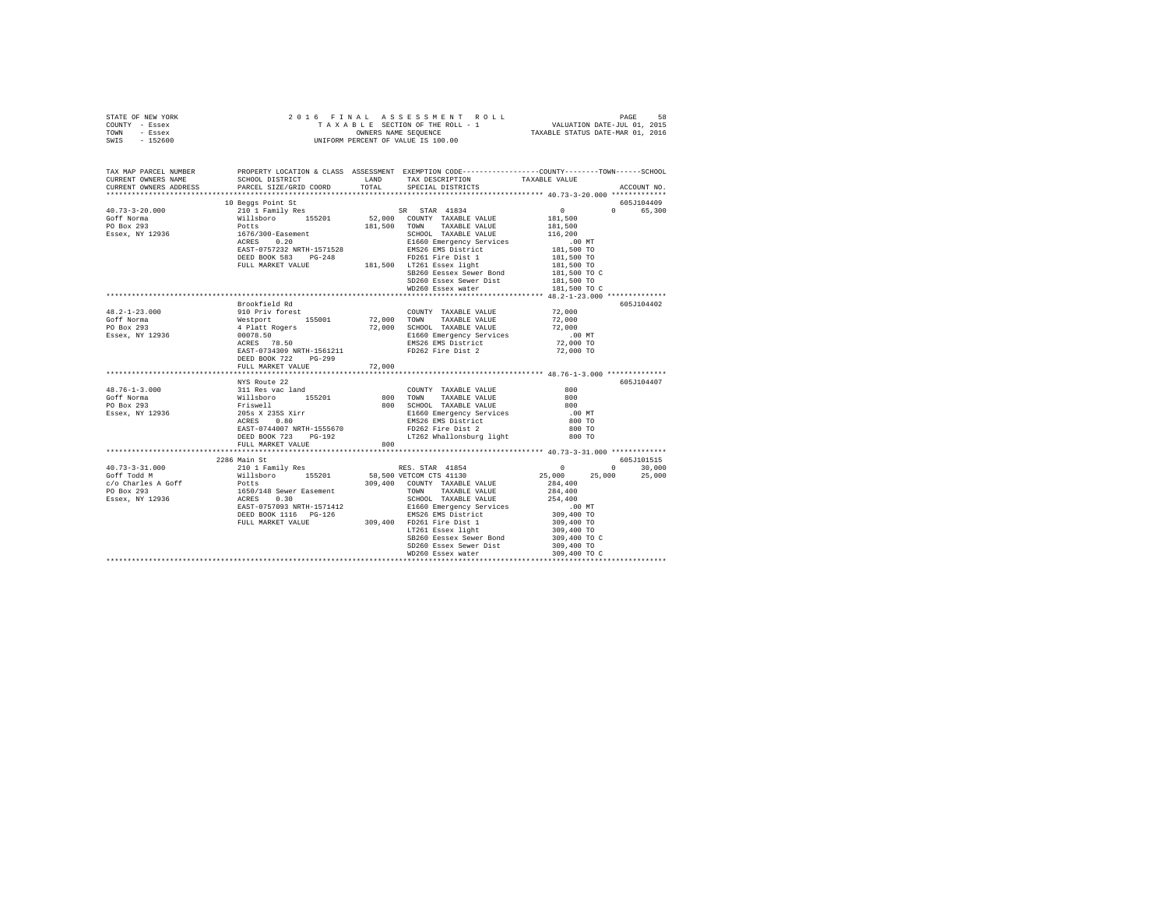| TAX MAP PARCEL NUMBER<br>CURRENT OWNERS NAME<br>CURRENT OWNERS ADDRESS | SCHOOL DISTRICT<br>PARCEL SIZE/GRID COORD                                                                                                                                       |        | PROPERTY LOCATION & CLASS ASSESSMENT EXEMPTION CODE----------------COUNTY-------TOWN-----SCHOOL<br>LAND TAX DESCRIPTION<br>TOTAL SPECIAL DISTRICTS | TAXABLE VALUE                        | ACCOUNT NO. |
|------------------------------------------------------------------------|---------------------------------------------------------------------------------------------------------------------------------------------------------------------------------|--------|----------------------------------------------------------------------------------------------------------------------------------------------------|--------------------------------------|-------------|
|                                                                        |                                                                                                                                                                                 |        |                                                                                                                                                    |                                      |             |
|                                                                        | 10 Beggs Point St                                                                                                                                                               |        |                                                                                                                                                    |                                      | 605J104409  |
| $40.73 - 3 - 20.000$                                                   |                                                                                                                                                                                 |        | SR STAR 41834                                                                                                                                      | $\overline{0}$                       | 0 65,300    |
| Goff Norma                                                             |                                                                                                                                                                                 |        |                                                                                                                                                    | 181,500<br>181,500                   |             |
| PO Box 293                                                             |                                                                                                                                                                                 |        |                                                                                                                                                    |                                      |             |
| Essex, NY 12936                                                        |                                                                                                                                                                                 |        | SCHOOL TAXABLE VALUE<br>E1660 Emergency Services<br>EMS26 EMS District                                                                             | 116,200                              |             |
|                                                                        |                                                                                                                                                                                 |        |                                                                                                                                                    | 00 MT.<br>181,500 TO                 |             |
|                                                                        |                                                                                                                                                                                 |        |                                                                                                                                                    | 181,500 TO                           |             |
|                                                                        |                                                                                                                                                                                 |        |                                                                                                                                                    | 181,500 TO                           |             |
|                                                                        |                                                                                                                                                                                 |        | SB260 Eessex Sewer Bond                                                                                                                            | 181,500 TO C                         |             |
|                                                                        |                                                                                                                                                                                 |        | SD260 Essex Sewer Dist                                                                                                                             | 181,500 TO                           |             |
|                                                                        |                                                                                                                                                                                 |        | WD260 Essex water                                                                                                                                  | 181,500 TO C                         |             |
|                                                                        |                                                                                                                                                                                 |        |                                                                                                                                                    |                                      |             |
|                                                                        | Brookfield Rd                                                                                                                                                                   |        |                                                                                                                                                    |                                      | 605J104402  |
| $48.2 - 1 - 23.000$                                                    |                                                                                                                                                                                 |        |                                                                                                                                                    | 72,000                               |             |
| Goff Norma                                                             |                                                                                                                                                                                 |        |                                                                                                                                                    | 72,000                               |             |
| PO Box 293                                                             |                                                                                                                                                                                 |        |                                                                                                                                                    | 72,000                               |             |
| Essex, NY 12936                                                        |                                                                                                                                                                                 |        | E1660 Emergency Services<br>EMS26 EMS District                                                                                                     | $.00$ MT                             |             |
|                                                                        |                                                                                                                                                                                 |        | EMS26 EMS District                                                                                                                                 | 72,000 TO                            |             |
|                                                                        | EAST-0734309 NRTH-1561211                                                                                                                                                       |        | FD262 Fire Dist 2                                                                                                                                  | 72,000 TO                            |             |
|                                                                        | DEED BOOK 722 PG-299                                                                                                                                                            |        |                                                                                                                                                    |                                      |             |
|                                                                        | FULL MARKET VALUE                                                                                                                                                               | 72,000 |                                                                                                                                                    |                                      |             |
|                                                                        | NYS Route 22                                                                                                                                                                    |        |                                                                                                                                                    |                                      | 605J104407  |
| $48.76 - 1 - 3.000$                                                    |                                                                                                                                                                                 |        | COUNTY TAXABLE VALUE                                                                                                                               | 800                                  |             |
| Goff Norma                                                             |                                                                                                                                                                                 |        |                                                                                                                                                    | 800                                  |             |
| PO Box 293                                                             | 311 Res vac land<br>Willsboro 155201<br>Friswell<br>205s x 2355 Xirr<br>ACRES 0.80                                                                                              |        | 800 TOWN TAXABLE VALUE<br>800 SCHOOL TAXABLE VALUE                                                                                                 | 800                                  |             |
| Essex, NY 12936                                                        |                                                                                                                                                                                 |        | E1660 Emergency Services                                                                                                                           | $.00$ MT                             |             |
|                                                                        |                                                                                                                                                                                 |        |                                                                                                                                                    | 800 TO                               |             |
|                                                                        | EAST-0744007 NRTH-1555670                                                                                                                                                       |        | EMS26 EMS District<br>FD262 Fire Dist 2                                                                                                            | 800 TO                               |             |
|                                                                        | DEED BOOK 723 PG-192                                                                                                                                                            |        | LT262 Whallonsburg light                                                                                                                           | 800 TO                               |             |
|                                                                        | FULL MARKET VALUE                                                                                                                                                               | 800    |                                                                                                                                                    |                                      |             |
|                                                                        |                                                                                                                                                                                 |        |                                                                                                                                                    |                                      |             |
|                                                                        | 2286 Main St                                                                                                                                                                    |        |                                                                                                                                                    |                                      | 605-7101515 |
| 40.73-3-31.000                                                         |                                                                                                                                                                                 |        | RES. STAR 41854                                                                                                                                    | $0$ 0 30,000<br>25,000 25,000 25,000 |             |
| Goff Todd M                                                            |                                                                                                                                                                                 |        | 58,500 VETCOM CTS 41130                                                                                                                            |                                      |             |
| c/o Charles A Goff                                                     | %200 AA211 3 \text{ 2010 1 Pamily Res<br>Willsboro 155201<br>Potts<br>IS50/148 Sewer Easement<br>IS50/148 Sewer Easement<br>REST-0757093 NRTH-1571412<br>DEED BOOK 1116 PG-1246 |        | 309,400 COUNTY TAXABLE VALUE                                                                                                                       | 284,400                              |             |
| PO Box 293<br>Essex, NY 12936                                          |                                                                                                                                                                                 |        | TOWN TAXABLE VALUE                                                                                                                                 | 284,400<br>254,400                   |             |
|                                                                        |                                                                                                                                                                                 |        | SCHOOL TAXABLE VALUE<br>E1660 Emergency Services                                                                                                   | .00 MT                               |             |
|                                                                        |                                                                                                                                                                                 |        | EMS26 EMS District                                                                                                                                 | 309,400 TO                           |             |
|                                                                        |                                                                                                                                                                                 |        | DEED BOOK 1116 PG-126 EMS26 EMS District<br>FULL MARKET VALUE 309,400 FD261 Fire Dist 1                                                            | 309,400 TO                           |             |
|                                                                        |                                                                                                                                                                                 |        | LT261 Essex light                                                                                                                                  | 309,400 TO                           |             |
|                                                                        |                                                                                                                                                                                 |        | SB260 Eessex Sewer Bond                                                                                                                            | 309,400 TO C                         |             |
|                                                                        |                                                                                                                                                                                 |        | SD260 Essex Sewer Dist                                                                                                                             | 309,400 TO                           |             |
|                                                                        |                                                                                                                                                                                 |        | WD260 Essex water                                                                                                                                  | 309,400 TO C                         |             |
|                                                                        |                                                                                                                                                                                 |        |                                                                                                                                                    |                                      |             |

STATE OF NEW YORK STATES ON A LASS ES MEN ROLL PARE SESS ON THE ROLL PACE SESS ON THE SESSENT OF A LASSE SESSE<br>TONNY - ESSEX CONFE-JULO 2015<br>SWIS - 152600 - UNIFORM PERCENT OF VALUE IS 100.00 - TAXABLE STATUS DATE-MAR 01,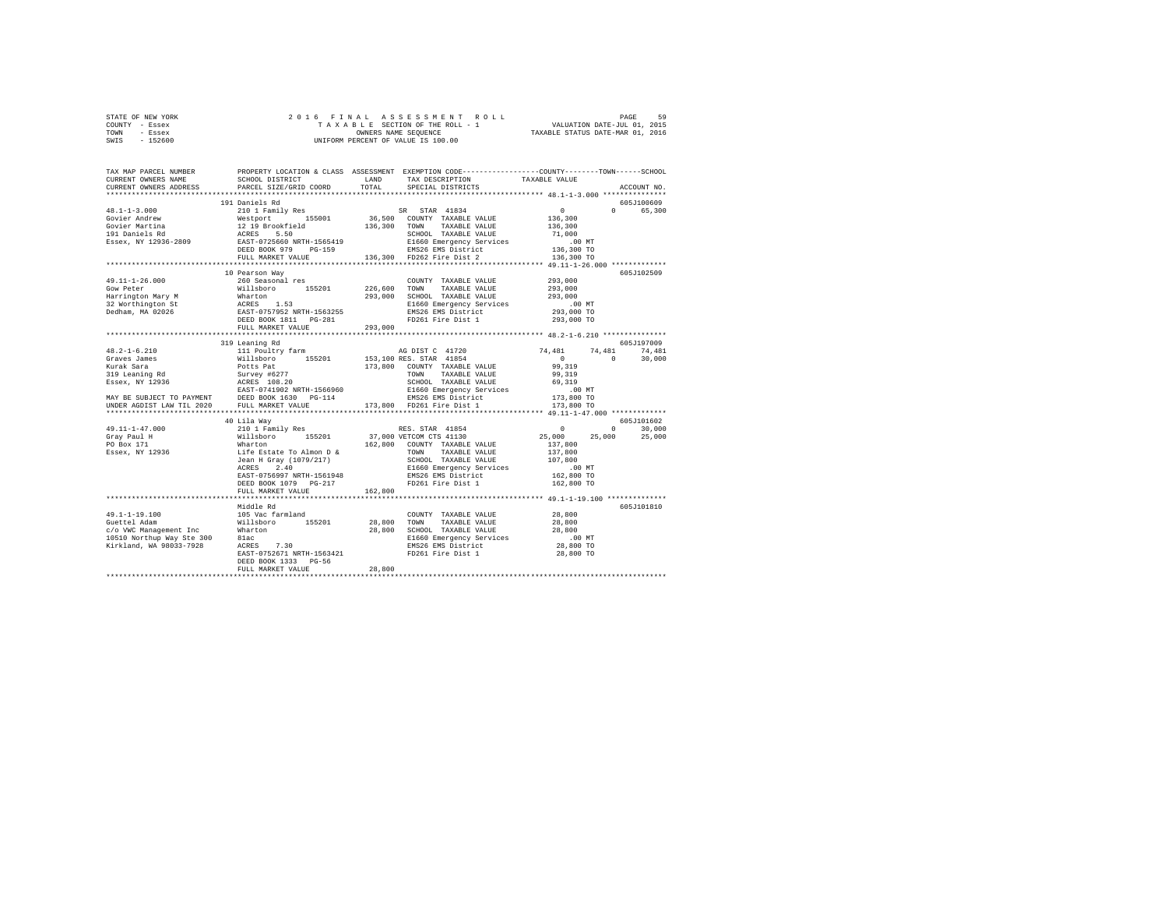|                | STATE OF NEW YORK |  | 2016 FINAL ASSESSMENT ROLL         | 59<br>PAGE                       |  |
|----------------|-------------------|--|------------------------------------|----------------------------------|--|
| COUNTY - Essex |                   |  | TAXABLE SECTION OF THE ROLL - 1    | VALUATION DATE-JUL 01, 2015      |  |
| TOWN           | - Essex           |  | OWNERS NAME SEOUENCE               | TAXABLE STATUS DATE-MAR 01, 2016 |  |
| SWIS           | - 152600          |  | UNIFORM PERCENT OF VALUE IS 100.00 |                                  |  |

| TOTAL SPECIAL DISTRICTS<br>PARCEL SIZE/GRID COORD<br>191 Daniels Rd<br>605J100609<br>$\begin{tabular}{l c c c c c} \multicolumn{1}{c}{\textbf{48.1-1-3.000}} & \multicolumn{1}{c}{\textbf{58.1-1-3.000}} & \multicolumn{1}{c}{\textbf{58.1-1-3.000}} & \multicolumn{1}{c}{\textbf{58.1-1-3.000}} & \multicolumn{1}{c}{\textbf{58.1-1-3.000}} & \multicolumn{1}{c}{\textbf{58.1-1-3.000}} & \multicolumn{1}{c}{\textbf{58.1-1-3.000}} & \multicolumn{1}{c}{\textbf{$<br>$\Omega$<br>10 Pearson Way<br>605J102509<br>COUNTY TAXABLE VALUE 293,000<br>260 Seasonal res<br>49.11-1-26.000<br>1991-11-2011 - 2001-2011 - 2001-2011 - 2001-11-2011<br>Harrington Mary M Millsboro 155201 226,600 TOWN TAXABLE VALUE<br>Harrington St Marton 153<br>32 Worthington St RATES 1.53<br>Dedham, MA 02026 EAST-0757952 NETH-1563255<br>Dedham<br>293,000<br>293,000<br>293,000<br>293,000 TO<br>293,000 TO<br>293,000 TO<br>FULL MARKET VALUE 293,000<br>319 Leaning Rd<br>605J197009<br>74,481 74,481<br>$\sim$ 0<br>30,000 | TAX MAP PARCEL NUMBER<br>CURRENT OWNERS NAME | PROPERTY LOCATION & CLASS ASSESSMENT EXEMPTION CODE---------------COUNTY-------TOWN-----SCHOOL<br>SCHOOL DISTRICT | LAND TAX DESCRIPTION | TAXABLE VALUE |             |
|------------------------------------------------------------------------------------------------------------------------------------------------------------------------------------------------------------------------------------------------------------------------------------------------------------------------------------------------------------------------------------------------------------------------------------------------------------------------------------------------------------------------------------------------------------------------------------------------------------------------------------------------------------------------------------------------------------------------------------------------------------------------------------------------------------------------------------------------------------------------------------------------------------------------------------------------------------------------------------------------------------------|----------------------------------------------|-------------------------------------------------------------------------------------------------------------------|----------------------|---------------|-------------|
|                                                                                                                                                                                                                                                                                                                                                                                                                                                                                                                                                                                                                                                                                                                                                                                                                                                                                                                                                                                                                  | CURRENT OWNERS ADDRESS                       |                                                                                                                   |                      |               | ACCOUNT NO. |
|                                                                                                                                                                                                                                                                                                                                                                                                                                                                                                                                                                                                                                                                                                                                                                                                                                                                                                                                                                                                                  |                                              |                                                                                                                   |                      |               |             |
|                                                                                                                                                                                                                                                                                                                                                                                                                                                                                                                                                                                                                                                                                                                                                                                                                                                                                                                                                                                                                  |                                              |                                                                                                                   |                      |               | 65,300      |
|                                                                                                                                                                                                                                                                                                                                                                                                                                                                                                                                                                                                                                                                                                                                                                                                                                                                                                                                                                                                                  |                                              |                                                                                                                   |                      |               |             |
|                                                                                                                                                                                                                                                                                                                                                                                                                                                                                                                                                                                                                                                                                                                                                                                                                                                                                                                                                                                                                  |                                              |                                                                                                                   |                      |               |             |
|                                                                                                                                                                                                                                                                                                                                                                                                                                                                                                                                                                                                                                                                                                                                                                                                                                                                                                                                                                                                                  |                                              |                                                                                                                   |                      |               |             |
|                                                                                                                                                                                                                                                                                                                                                                                                                                                                                                                                                                                                                                                                                                                                                                                                                                                                                                                                                                                                                  |                                              |                                                                                                                   |                      |               |             |
|                                                                                                                                                                                                                                                                                                                                                                                                                                                                                                                                                                                                                                                                                                                                                                                                                                                                                                                                                                                                                  |                                              |                                                                                                                   |                      |               |             |
|                                                                                                                                                                                                                                                                                                                                                                                                                                                                                                                                                                                                                                                                                                                                                                                                                                                                                                                                                                                                                  |                                              |                                                                                                                   |                      |               |             |
|                                                                                                                                                                                                                                                                                                                                                                                                                                                                                                                                                                                                                                                                                                                                                                                                                                                                                                                                                                                                                  |                                              |                                                                                                                   |                      |               |             |
|                                                                                                                                                                                                                                                                                                                                                                                                                                                                                                                                                                                                                                                                                                                                                                                                                                                                                                                                                                                                                  |                                              |                                                                                                                   |                      |               |             |
|                                                                                                                                                                                                                                                                                                                                                                                                                                                                                                                                                                                                                                                                                                                                                                                                                                                                                                                                                                                                                  |                                              |                                                                                                                   |                      |               |             |
|                                                                                                                                                                                                                                                                                                                                                                                                                                                                                                                                                                                                                                                                                                                                                                                                                                                                                                                                                                                                                  |                                              |                                                                                                                   |                      |               |             |
|                                                                                                                                                                                                                                                                                                                                                                                                                                                                                                                                                                                                                                                                                                                                                                                                                                                                                                                                                                                                                  |                                              |                                                                                                                   |                      |               |             |
|                                                                                                                                                                                                                                                                                                                                                                                                                                                                                                                                                                                                                                                                                                                                                                                                                                                                                                                                                                                                                  |                                              |                                                                                                                   |                      |               |             |
|                                                                                                                                                                                                                                                                                                                                                                                                                                                                                                                                                                                                                                                                                                                                                                                                                                                                                                                                                                                                                  |                                              |                                                                                                                   |                      |               |             |
|                                                                                                                                                                                                                                                                                                                                                                                                                                                                                                                                                                                                                                                                                                                                                                                                                                                                                                                                                                                                                  |                                              |                                                                                                                   |                      |               |             |
|                                                                                                                                                                                                                                                                                                                                                                                                                                                                                                                                                                                                                                                                                                                                                                                                                                                                                                                                                                                                                  |                                              |                                                                                                                   |                      |               |             |
|                                                                                                                                                                                                                                                                                                                                                                                                                                                                                                                                                                                                                                                                                                                                                                                                                                                                                                                                                                                                                  |                                              |                                                                                                                   |                      |               |             |
|                                                                                                                                                                                                                                                                                                                                                                                                                                                                                                                                                                                                                                                                                                                                                                                                                                                                                                                                                                                                                  |                                              |                                                                                                                   |                      |               |             |
|                                                                                                                                                                                                                                                                                                                                                                                                                                                                                                                                                                                                                                                                                                                                                                                                                                                                                                                                                                                                                  |                                              |                                                                                                                   |                      |               |             |
|                                                                                                                                                                                                                                                                                                                                                                                                                                                                                                                                                                                                                                                                                                                                                                                                                                                                                                                                                                                                                  |                                              |                                                                                                                   |                      |               |             |
| MAY BE SUBJECT TO PAYMENT DEED BOOK 1630 PG-114 BMS26 EMS District<br>UNDER AGDIST LAW TIL 2020 FULL MARKET VALUE 173,800 FD261 Fire Dist 1                                                                                                                                                                                                                                                                                                                                                                                                                                                                                                                                                                                                                                                                                                                                                                                                                                                                      |                                              |                                                                                                                   |                      |               |             |
| 173,800 TO                                                                                                                                                                                                                                                                                                                                                                                                                                                                                                                                                                                                                                                                                                                                                                                                                                                                                                                                                                                                       |                                              |                                                                                                                   |                      |               |             |
|                                                                                                                                                                                                                                                                                                                                                                                                                                                                                                                                                                                                                                                                                                                                                                                                                                                                                                                                                                                                                  |                                              |                                                                                                                   |                      |               |             |
| 605J101602<br>40 Lila Way<br>49.11-1-47.000<br>$0 \qquad \qquad$                                                                                                                                                                                                                                                                                                                                                                                                                                                                                                                                                                                                                                                                                                                                                                                                                                                                                                                                                 |                                              |                                                                                                                   |                      |               | 30,000      |
| 25,000 25,000                                                                                                                                                                                                                                                                                                                                                                                                                                                                                                                                                                                                                                                                                                                                                                                                                                                                                                                                                                                                    |                                              |                                                                                                                   |                      |               | 25,000      |
| Gray Paul H<br>PO Box 171                                                                                                                                                                                                                                                                                                                                                                                                                                                                                                                                                                                                                                                                                                                                                                                                                                                                                                                                                                                        |                                              |                                                                                                                   |                      |               |             |
| Essex, NY 12936                                                                                                                                                                                                                                                                                                                                                                                                                                                                                                                                                                                                                                                                                                                                                                                                                                                                                                                                                                                                  |                                              |                                                                                                                   |                      |               |             |
|                                                                                                                                                                                                                                                                                                                                                                                                                                                                                                                                                                                                                                                                                                                                                                                                                                                                                                                                                                                                                  |                                              |                                                                                                                   |                      |               |             |
|                                                                                                                                                                                                                                                                                                                                                                                                                                                                                                                                                                                                                                                                                                                                                                                                                                                                                                                                                                                                                  |                                              |                                                                                                                   |                      |               |             |
|                                                                                                                                                                                                                                                                                                                                                                                                                                                                                                                                                                                                                                                                                                                                                                                                                                                                                                                                                                                                                  |                                              |                                                                                                                   |                      |               |             |
|                                                                                                                                                                                                                                                                                                                                                                                                                                                                                                                                                                                                                                                                                                                                                                                                                                                                                                                                                                                                                  |                                              |                                                                                                                   |                      |               |             |
| FULL MARKET VALUE<br>162,800<br>********************************** 49.1-1-19.100 ************                                                                                                                                                                                                                                                                                                                                                                                                                                                                                                                                                                                                                                                                                                                                                                                                                                                                                                                    |                                              |                                                                                                                   |                      |               |             |
| Middle Rd<br>605J101810                                                                                                                                                                                                                                                                                                                                                                                                                                                                                                                                                                                                                                                                                                                                                                                                                                                                                                                                                                                          |                                              |                                                                                                                   |                      |               |             |
| $49.1 - 1 - 19.100$<br>105 Vac farmland<br>28,800<br>COUNTY TAXABLE VALUE                                                                                                                                                                                                                                                                                                                                                                                                                                                                                                                                                                                                                                                                                                                                                                                                                                                                                                                                        |                                              |                                                                                                                   |                      |               |             |
|                                                                                                                                                                                                                                                                                                                                                                                                                                                                                                                                                                                                                                                                                                                                                                                                                                                                                                                                                                                                                  |                                              |                                                                                                                   |                      |               |             |
|                                                                                                                                                                                                                                                                                                                                                                                                                                                                                                                                                                                                                                                                                                                                                                                                                                                                                                                                                                                                                  |                                              |                                                                                                                   |                      |               |             |
|                                                                                                                                                                                                                                                                                                                                                                                                                                                                                                                                                                                                                                                                                                                                                                                                                                                                                                                                                                                                                  |                                              |                                                                                                                   |                      |               |             |
|                                                                                                                                                                                                                                                                                                                                                                                                                                                                                                                                                                                                                                                                                                                                                                                                                                                                                                                                                                                                                  |                                              |                                                                                                                   |                      |               |             |
| EAST-0752671 NRTH-1563421 FD261 Fire Dist 1<br>28,800 TO                                                                                                                                                                                                                                                                                                                                                                                                                                                                                                                                                                                                                                                                                                                                                                                                                                                                                                                                                         |                                              |                                                                                                                   |                      |               |             |
| DEED BOOK 1333 PG-56<br>28,800<br>FULL MARKET VALUE                                                                                                                                                                                                                                                                                                                                                                                                                                                                                                                                                                                                                                                                                                                                                                                                                                                                                                                                                              |                                              |                                                                                                                   |                      |               |             |
|                                                                                                                                                                                                                                                                                                                                                                                                                                                                                                                                                                                                                                                                                                                                                                                                                                                                                                                                                                                                                  |                                              |                                                                                                                   |                      |               |             |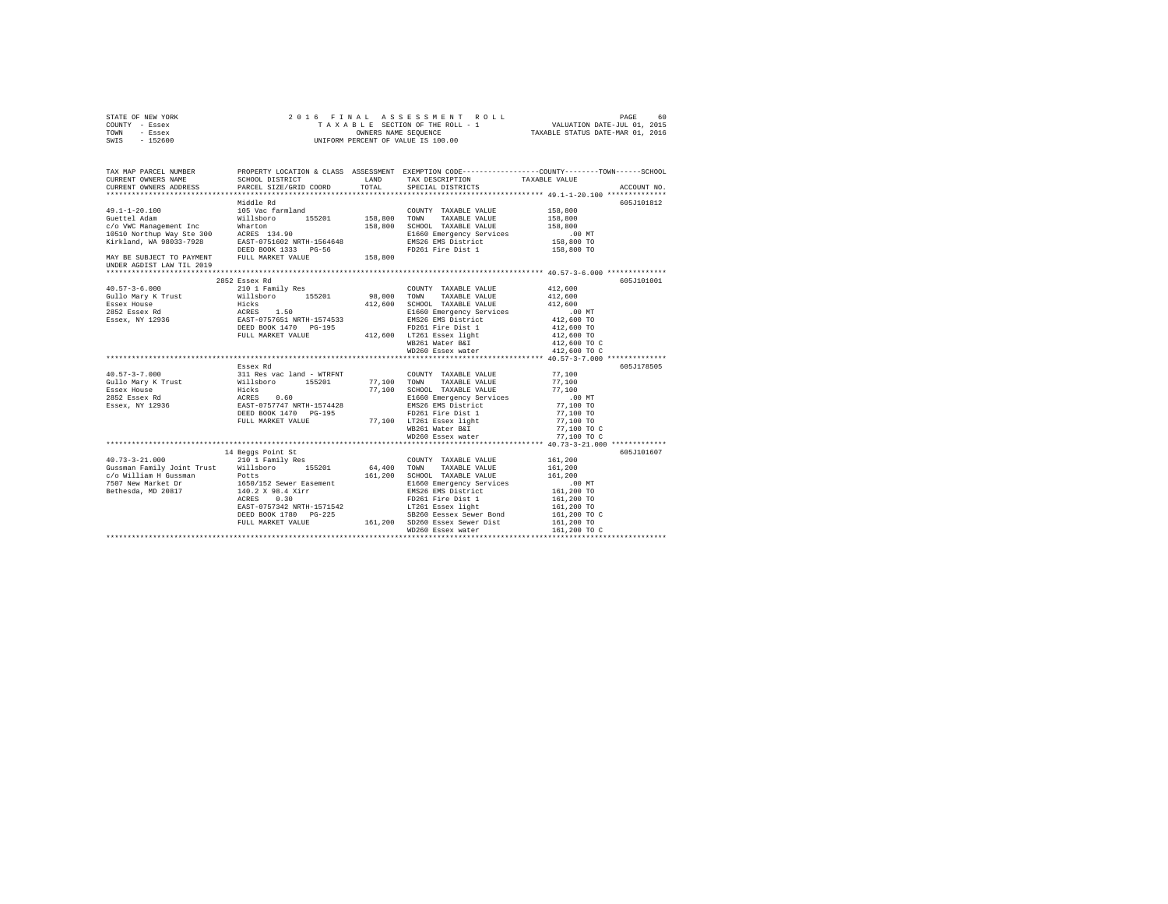| STATE OF NEW YORK<br>COUNTY - Essex<br>TOWN - Essex<br>SWIS - 152600                                                                                                                                                                                                                             |                                                                                                                                                                                                                                                                |                                                                                                                                                                                                                                                                                                                                                                                                                                              | TAXAL ASSESSMENT ROLL - 1<br>TAXABLE SECTION OF THE ROLL - 1<br>OWNERS NAME SEQUENCE TAXABLE STATUS DATE-JUL 12015<br>UNIFORM PERCENT OF VALUE IS 100.00 |
|--------------------------------------------------------------------------------------------------------------------------------------------------------------------------------------------------------------------------------------------------------------------------------------------------|----------------------------------------------------------------------------------------------------------------------------------------------------------------------------------------------------------------------------------------------------------------|----------------------------------------------------------------------------------------------------------------------------------------------------------------------------------------------------------------------------------------------------------------------------------------------------------------------------------------------------------------------------------------------------------------------------------------------|----------------------------------------------------------------------------------------------------------------------------------------------------------|
| CURRENT OWNERS NAME<br>CURRENT OWNERS ADDRESS                                                                                                                                                                                                                                                    | SCHOOL DISTRICT<br>PARCEL SIZE/GRID COORD                                                                                                                                                                                                                      | LAND TAX DESCRIPTION<br>TOTAL SPECIAL DISTRICTS                                                                                                                                                                                                                                                                                                                                                                                              | TAX MAP PARCEL NUMBER PROPERTY LOCATION & CLASS ASSESSMENT EXEMPTION CODE--------------COUNTY-------TOWN-----SCHOOL<br>TAXABLE VALUE<br>ACCOUNT NO.      |
|                                                                                                                                                                                                                                                                                                  | Middle Rd                                                                                                                                                                                                                                                      | COUNTY TAXABLE VALUE 158,800                                                                                                                                                                                                                                                                                                                                                                                                                 | 605J101812<br>158,800<br>158,800<br>$.00$ MT<br>158,800 TO<br>158,800 TO                                                                                 |
| UNDER AGDIST LAW TIL 2019<br>$40.57 - 3 - 6.000$<br>19.110 Mary K Trust 2011<br>20110 Mary K Trust 20111<br>20110 Mary K Trust 2012<br>20152 Essex Rd 2012<br>20152 Essex Rd 2012<br>20152 Essex, NY 12936<br>2026 EAST-0757551 NRTH-1574533<br>2026 EAST-0757551 NRTH-1574533<br>2026 EAST-0757 | 2852 Essex Rd<br>210 1 Family Res<br>DEED BOOK 1470 PG-195                                                                                                                                                                                                     | COUNTY TAXABLE VALUE<br>TAXABLE VALUE<br>412,600 SCHOOL TAXABLE VALUE<br>E1660 Emergency Services<br>EMS26 EMS District<br>FD261 Fire Dist 1                                                                                                                                                                                                                                                                                                 | 605J101001<br>412,600<br>412,600<br>412,600<br>.00 MT<br>412,600 TO<br>412,600 TO                                                                        |
|                                                                                                                                                                                                                                                                                                  | FULL MARKET VALUE 412,600 LT261 Essex light<br>WB261 Water B&I                                                                                                                                                                                                 | WD260 Essex water                                                                                                                                                                                                                                                                                                                                                                                                                            | 412,600 TO<br>412,600 TO C<br>412,600 TO C                                                                                                               |
| $40.57 - 3 - 7.000$<br>Gullo Mary K Trust<br>Essex House<br>2852 Essex Rd<br>Essex, NY 12936                                                                                                                                                                                                     | Essex Rd<br>311 Res vac land - WTRFNT<br>$\begin{array}{cccc}\n\text{Willsboro} & 155201 & 77,100 & \text{TOWN} \\ \text{Wilb} & \text{SVD} & 77,100 & \text{SVD} \\ \end{array}$<br>Hicks<br>ACRES 0.60<br>EAST-0757747 NRTH-1574428<br>DEED BOOK 1470 PG-195 | COUNTY TAXABLE VALUE<br>77,100 TOWN TAXABLE VALUE<br>77,100 SCHOOL TAXABLE VALUE<br>E1660 Emergency Services<br>EMS26 EMS District<br>FD261 Fire Dist 1<br>DELL MARKET VALUE<br>TULL MARKET VALUE<br>MB261 Warket VALUE<br>MB260 Essex water                                                                                                                                                                                                 | 605J178505<br>77.100<br>77,100<br>77.100<br>$.00$ MT<br>77,100 TO<br>77,100 TO<br>77,100 TO<br>77,100 TO C<br>77,100 TO C                                |
| $40.73 - 3 - 21.000$<br>Gussman Family Joint Trust Willsboro 155201 64,400 TOWN TAXABLE VALUE<br>Gussman Family Joint Lines<br>C/O William H Gussman<br><sup>7507 Maw Market Dr 1650/152 Sewer Easement</sup><br>Bethesda, MD 20817 140.2 X 98.4 Xirr<br>ACRES 0.30                              | 14 Beggs Point St<br>210 1 Family Res                                                                                                                                                                                                                          | COUNTY TAXABLE VALUE<br>$\begin{tabular}{lcccc} - . , & & . \\ 161 , 200 & SCHOOL & TAXABLE VALUE & 161 , 200 \\ & E1660 & Emergence & 161 , 200 \\ \end{tabular}$<br>E1660 Emergency Services<br>EMS26 EMS District<br>ED261 Five Bistrict<br>FD261 Fire Dist 1<br>ALASS (1990)<br>EAST-0757342 NRTH-1571542<br>DEED BOOK 1780 -225<br>PEUL MARKET VALUE (2000 SD260 Esseex Sewer Dist<br>FULL MARKET VALUE (16,200 SD260 Esseex Sewer Dist | 605J101607<br>161,200<br>. 00 MT<br>161,200 TO<br>161,200 TO<br>161,200 TO<br>161,200 TO C                                                               |
|                                                                                                                                                                                                                                                                                                  |                                                                                                                                                                                                                                                                | WD260 Essex water                                                                                                                                                                                                                                                                                                                                                                                                                            | 161,200 TO<br>161,200 TO C                                                                                                                               |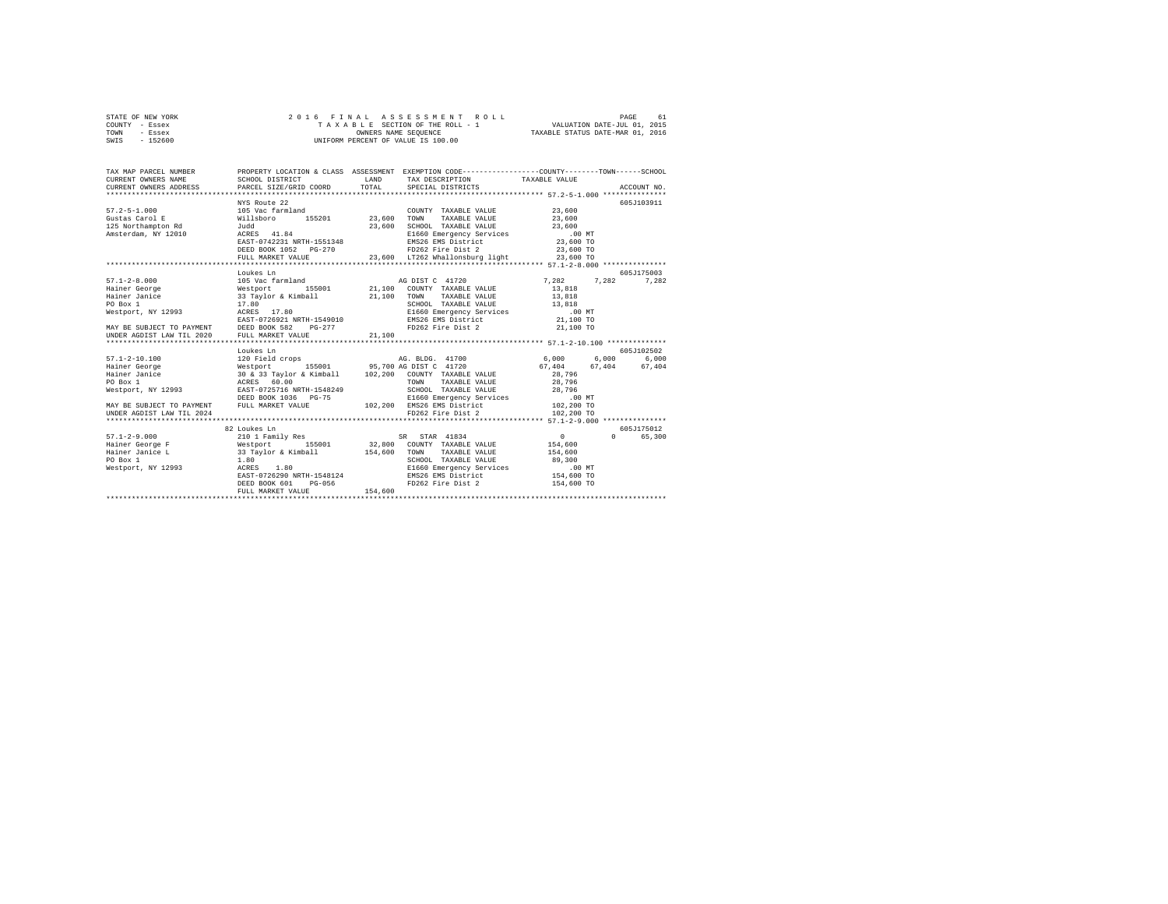| STATE OF NEW YORK | 2016 FINAL ASSESSMENT ROLL         | 61<br>PAGE                       |
|-------------------|------------------------------------|----------------------------------|
| COUNTY - Essex    | TAXABLE SECTION OF THE ROLL - 1    | VALUATION DATE-JUL 01, 2015      |
| TOWN<br>- Essex   | OWNERS NAME SEOUENCE               | TAXABLE STATUS DATE-MAR 01, 2016 |
| $-152600$<br>SWIS | UNIFORM PERCENT OF VALUE IS 100.00 |                                  |

| TAX MAP PARCEL NUMBER                                                                                                                                                                                                              |                                                                                                                                                                                                                                                      |         | PROPERTY LOCATION & CLASS ASSESSMENT EXEMPTION CODE----------------COUNTY-------TOWN-----SCHOOL                                           |                                                     |            |
|------------------------------------------------------------------------------------------------------------------------------------------------------------------------------------------------------------------------------------|------------------------------------------------------------------------------------------------------------------------------------------------------------------------------------------------------------------------------------------------------|---------|-------------------------------------------------------------------------------------------------------------------------------------------|-----------------------------------------------------|------------|
|                                                                                                                                                                                                                                    |                                                                                                                                                                                                                                                      |         |                                                                                                                                           |                                                     |            |
|                                                                                                                                                                                                                                    |                                                                                                                                                                                                                                                      |         |                                                                                                                                           |                                                     |            |
|                                                                                                                                                                                                                                    | NYS Route 22                                                                                                                                                                                                                                         |         |                                                                                                                                           |                                                     | 605J103911 |
|                                                                                                                                                                                                                                    |                                                                                                                                                                                                                                                      |         | COUNTY TAXABLE VALUE                                                                                                                      | 23,600                                              |            |
|                                                                                                                                                                                                                                    |                                                                                                                                                                                                                                                      |         |                                                                                                                                           | 23,600                                              |            |
| 125 Northampton Rd 5udd                                                                                                                                                                                                            |                                                                                                                                                                                                                                                      | 23,600  | SCHOOL TAXABLE VALUE 23,600                                                                                                               |                                                     |            |
| Amsterdam, NY 12010 aCRES 41.84                                                                                                                                                                                                    |                                                                                                                                                                                                                                                      |         |                                                                                                                                           |                                                     |            |
|                                                                                                                                                                                                                                    | EAST-0742231 NRTH-1551348                                                                                                                                                                                                                            |         | E1660 Emergency Services .00 MT<br>EMS26 EMS District 23,600 TO<br>FD262 Fire Dist 2 23,600 TO<br>EMS26 EMS District<br>FD262 Fire Dist 2 |                                                     |            |
|                                                                                                                                                                                                                                    | DEED BOOK 1052 PG-270                                                                                                                                                                                                                                |         |                                                                                                                                           |                                                     |            |
|                                                                                                                                                                                                                                    | FULL MARKET VALUE                                                                                                                                                                                                                                    |         | 23,600 LT262 Whallonsburg light 23,600 TO                                                                                                 |                                                     |            |
|                                                                                                                                                                                                                                    |                                                                                                                                                                                                                                                      |         |                                                                                                                                           |                                                     |            |
|                                                                                                                                                                                                                                    | Loukes Ln                                                                                                                                                                                                                                            |         |                                                                                                                                           |                                                     | 605J175003 |
| $57.1 - 2 - 8.000$                                                                                                                                                                                                                 | 105 Vac farmland                                                                                                                                                                                                                                     |         | AG DIST C 41720                                                                                                                           | 7,282 7,282 7,282                                   |            |
|                                                                                                                                                                                                                                    |                                                                                                                                                                                                                                                      |         | 155001 21,100 COUNTY TAXABLE VALUE 13,818                                                                                                 |                                                     |            |
|                                                                                                                                                                                                                                    |                                                                                                                                                                                                                                                      |         | TAXABLE VALUE 13,818                                                                                                                      |                                                     |            |
| 1991 - Hainer George 1991 - 1991 - 1992<br>Hainer Janice 1992 - 1993 - 1994 - 1994 - 1994 - 1994 - 1994 - 1994 - 1994 - 1994 - 1994 - 1994 - 1994 - 199<br>1994 - 1993 - 1994 - 1994 - 1994 - 1994 - 1994 - 1994 - 1994 - 1994 - 1 |                                                                                                                                                                                                                                                      |         | SCHOOL TAXABLE VALUE 13,818<br>E1660 Emergency Services .00 MT                                                                            |                                                     |            |
|                                                                                                                                                                                                                                    | and the state of the state of the state of the state of the state of the state of the state of the state of the<br>The state of the state of the state of the state of the state of the state of the state of the state of the st                    |         |                                                                                                                                           |                                                     |            |
|                                                                                                                                                                                                                                    |                                                                                                                                                                                                                                                      |         | EMS26 EMS District 21,100 TO                                                                                                              |                                                     |            |
|                                                                                                                                                                                                                                    |                                                                                                                                                                                                                                                      |         | FD262 Fire Dist 2                                                                                                                         | 21,100 TO                                           |            |
| EAST-072621 NRTH-1549010<br>MAY BE SUBJECT TO PAYMENT DEED BOOK 582 PG-277<br>UNDER AGDIST LAW TIL 2020 FULL MARKET VALUE 10-277 21,100                                                                                            |                                                                                                                                                                                                                                                      |         |                                                                                                                                           |                                                     |            |
|                                                                                                                                                                                                                                    |                                                                                                                                                                                                                                                      |         |                                                                                                                                           |                                                     |            |
|                                                                                                                                                                                                                                    | Loukes Ln                                                                                                                                                                                                                                            |         |                                                                                                                                           |                                                     | 605J102502 |
| $57.1 - 2 - 10.100$                                                                                                                                                                                                                |                                                                                                                                                                                                                                                      |         |                                                                                                                                           |                                                     |            |
| Hainer George                                                                                                                                                                                                                      |                                                                                                                                                                                                                                                      |         |                                                                                                                                           |                                                     |            |
| Hainer Janice                                                                                                                                                                                                                      |                                                                                                                                                                                                                                                      |         |                                                                                                                                           |                                                     |            |
| PO Box 1<br>Westport, NY 12993                                                                                                                                                                                                     |                                                                                                                                                                                                                                                      |         |                                                                                                                                           |                                                     |            |
|                                                                                                                                                                                                                                    | 1001 - 1200 - 1200 - 1200 - 1200 - 1200 - 1200 - 1200 - 1200 - 1210 - 1210 - 1210 - 1210 - 1210 - 1210 - 1210 - 1210 - 1210 - 1210 - 1210 - 1210 - 1210 - 1210 - 1210 - 1210 - 1210 - 1210 - 1210 - 1210 - 1210 - 1210 - 1210                        |         |                                                                                                                                           |                                                     |            |
|                                                                                                                                                                                                                                    | ACRES 60.00<br>EAST-0725716 NRTH-1548249<br>ERED BOOK 1036 PG-75<br>PEED BOOK 1036 PG-75<br>PULL MARKET VALUE<br>PULL MARKET VALUE<br>PULL MARKET VALUE<br>PULL MARKET VALUE<br>PULL MARKET VALUE<br>PULL MARKET VALUE<br>PULL MARKET VALUE<br>20, 2 |         |                                                                                                                                           |                                                     |            |
| MAY BE SUBJECT TO PAYMENT FULL MARKET VALUE                                                                                                                                                                                        |                                                                                                                                                                                                                                                      |         |                                                                                                                                           |                                                     |            |
| UNDER AGDIST LAW TIL 2024                                                                                                                                                                                                          |                                                                                                                                                                                                                                                      |         | FD262 Fire Dist 2                                                                                                                         | 102,200 TO                                          |            |
|                                                                                                                                                                                                                                    |                                                                                                                                                                                                                                                      |         |                                                                                                                                           |                                                     |            |
|                                                                                                                                                                                                                                    | 82 Loukes Ln                                                                                                                                                                                                                                         |         |                                                                                                                                           |                                                     | 605J175012 |
|                                                                                                                                                                                                                                    |                                                                                                                                                                                                                                                      |         |                                                                                                                                           | $\begin{array}{c}0\\154,600\end{array}$<br>$\Omega$ | 65,300     |
|                                                                                                                                                                                                                                    |                                                                                                                                                                                                                                                      |         |                                                                                                                                           |                                                     |            |
|                                                                                                                                                                                                                                    |                                                                                                                                                                                                                                                      |         |                                                                                                                                           | 154,600                                             |            |
|                                                                                                                                                                                                                                    |                                                                                                                                                                                                                                                      |         | SCHOOL TAXABLE VALUE 89,300                                                                                                               |                                                     |            |
|                                                                                                                                                                                                                                    |                                                                                                                                                                                                                                                      |         |                                                                                                                                           |                                                     |            |
|                                                                                                                                                                                                                                    |                                                                                                                                                                                                                                                      |         |                                                                                                                                           |                                                     |            |
|                                                                                                                                                                                                                                    | $PG-056$<br>DEED BOOK 601                                                                                                                                                                                                                            |         | FD262 Fire Dist 2 154,600 TO                                                                                                              |                                                     |            |
|                                                                                                                                                                                                                                    | FULL MARKET VALUE                                                                                                                                                                                                                                    | 154,600 |                                                                                                                                           | *****************************                       |            |
|                                                                                                                                                                                                                                    |                                                                                                                                                                                                                                                      |         |                                                                                                                                           |                                                     |            |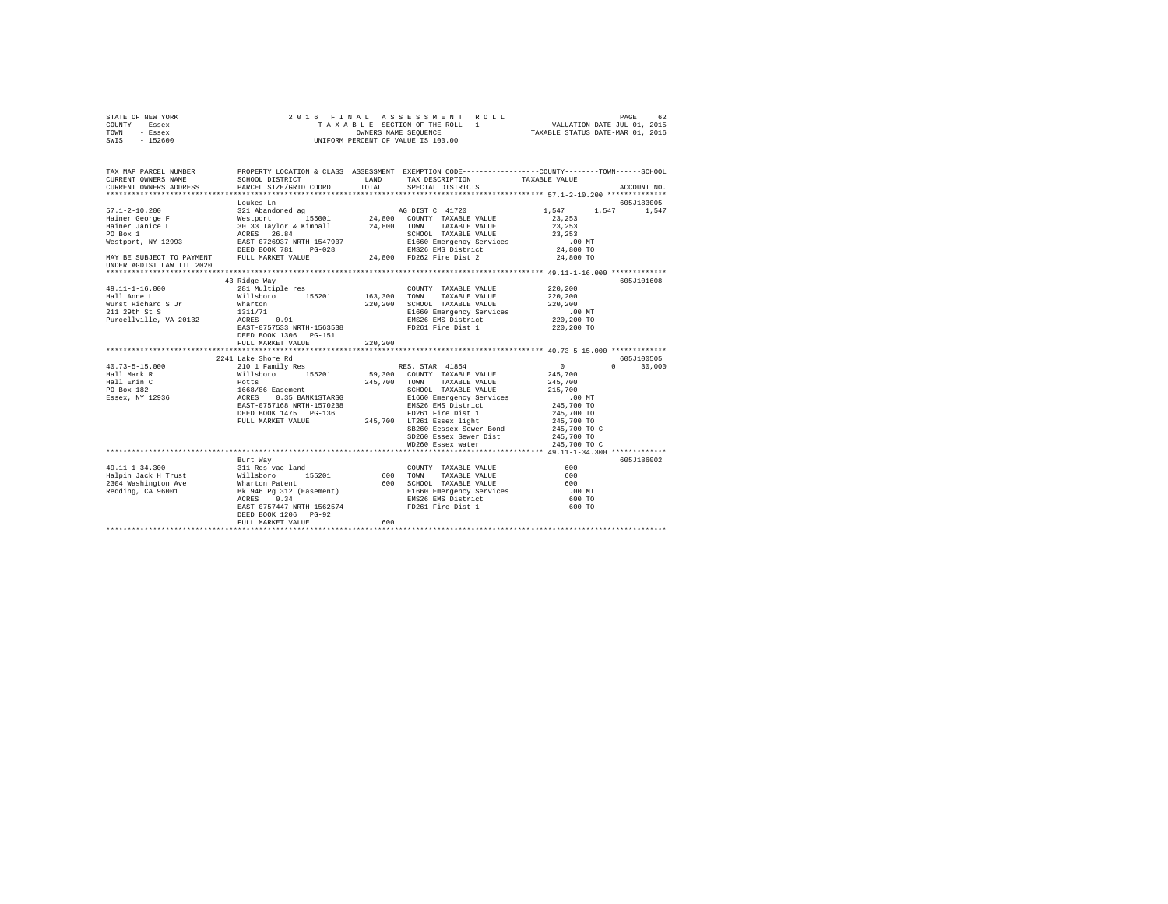| STATE OF NEW YORK                                                    |                                                                                                                                                                                                                                         |       |                                                                                                                                                                                                                                                                   |                                  |               |
|----------------------------------------------------------------------|-----------------------------------------------------------------------------------------------------------------------------------------------------------------------------------------------------------------------------------------|-------|-------------------------------------------------------------------------------------------------------------------------------------------------------------------------------------------------------------------------------------------------------------------|----------------------------------|---------------|
| COUNTY - Essex                                                       |                                                                                                                                                                                                                                         |       |                                                                                                                                                                                                                                                                   |                                  |               |
| TOWN - Essex                                                         |                                                                                                                                                                                                                                         |       |                                                                                                                                                                                                                                                                   |                                  |               |
| SWIS - 152600                                                        |                                                                                                                                                                                                                                         |       |                                                                                                                                                                                                                                                                   |                                  |               |
|                                                                      |                                                                                                                                                                                                                                         |       |                                                                                                                                                                                                                                                                   |                                  |               |
|                                                                      |                                                                                                                                                                                                                                         |       |                                                                                                                                                                                                                                                                   |                                  |               |
|                                                                      |                                                                                                                                                                                                                                         |       |                                                                                                                                                                                                                                                                   |                                  |               |
|                                                                      |                                                                                                                                                                                                                                         |       |                                                                                                                                                                                                                                                                   |                                  |               |
|                                                                      |                                                                                                                                                                                                                                         |       | SCHOOL DISTRICT $\hfill$ LAND $\hfill$ TAX DESCRIPTION $\hfill$ TAXABLE VALUE                                                                                                                                                                                     |                                  |               |
| CURRENT OWNERS ADDRESS                                               | PARCEL SIZE/GRID COORD                                                                                                                                                                                                                  | TOTAL | SPECIAL DISTRICTS                                                                                                                                                                                                                                                 |                                  | ACCOUNT NO.   |
|                                                                      |                                                                                                                                                                                                                                         |       |                                                                                                                                                                                                                                                                   |                                  |               |
|                                                                      | Loukes Ln                                                                                                                                                                                                                               |       |                                                                                                                                                                                                                                                                   |                                  | 605J183005    |
|                                                                      |                                                                                                                                                                                                                                         |       |                                                                                                                                                                                                                                                                   | $1,547$ $1,547$ $1,547$          |               |
|                                                                      |                                                                                                                                                                                                                                         |       |                                                                                                                                                                                                                                                                   | 23, 253                          |               |
|                                                                      |                                                                                                                                                                                                                                         |       |                                                                                                                                                                                                                                                                   | 23,253                           |               |
|                                                                      |                                                                                                                                                                                                                                         |       |                                                                                                                                                                                                                                                                   | 23,253                           |               |
|                                                                      |                                                                                                                                                                                                                                         |       |                                                                                                                                                                                                                                                                   |                                  |               |
|                                                                      |                                                                                                                                                                                                                                         |       |                                                                                                                                                                                                                                                                   |                                  |               |
|                                                                      |                                                                                                                                                                                                                                         |       |                                                                                                                                                                                                                                                                   | 00 MT.<br>24,800 TO<br>24,800 TO |               |
| UNDER AGDIST LAW TIL 2020                                            |                                                                                                                                                                                                                                         |       |                                                                                                                                                                                                                                                                   |                                  |               |
|                                                                      |                                                                                                                                                                                                                                         |       |                                                                                                                                                                                                                                                                   |                                  |               |
|                                                                      | 43 Ridge Way                                                                                                                                                                                                                            |       |                                                                                                                                                                                                                                                                   |                                  | 605J101608    |
| 49.11-1-16.000<br>Hall Anne L<br>Wurst Richard S Jr<br>211 29th St S | 281 Multiple res                                                                                                                                                                                                                        |       | COUNTY TAXABLE VALUE                                                                                                                                                                                                                                              | 220,200                          |               |
|                                                                      |                                                                                                                                                                                                                                         |       |                                                                                                                                                                                                                                                                   | 220,200                          |               |
|                                                                      |                                                                                                                                                                                                                                         |       | 220,200 SCHOOL TAXABLE VALUE                                                                                                                                                                                                                                      | 220,200                          |               |
|                                                                      | 281 Multiphe res<br>Willisboro 155201 163,300 TOWN TAXABLE VALUE<br>Minarton 155201 163,300 TOWN TAXABLE VALUE<br>Minarton 220,200 SCHOLD TAXABLE VALUE<br>1311/71 E1660 Emergency Services<br>EMS26 EMS District<br>EMS26 EMS District |       |                                                                                                                                                                                                                                                                   |                                  |               |
| Purcellville, VA 20132                                               |                                                                                                                                                                                                                                         |       |                                                                                                                                                                                                                                                                   |                                  |               |
|                                                                      |                                                                                                                                                                                                                                         |       |                                                                                                                                                                                                                                                                   |                                  |               |
|                                                                      | DEED BOOK 1306 PG-151                                                                                                                                                                                                                   |       |                                                                                                                                                                                                                                                                   |                                  |               |
|                                                                      | FULL MARKET VALUE 220,200                                                                                                                                                                                                               |       |                                                                                                                                                                                                                                                                   |                                  |               |
|                                                                      |                                                                                                                                                                                                                                         |       |                                                                                                                                                                                                                                                                   |                                  |               |
|                                                                      | 2241 Lake Shore Rd                                                                                                                                                                                                                      |       |                                                                                                                                                                                                                                                                   |                                  | 605J100505    |
| 40.73-5-15.000                                                       | 210 1 Family Res                                                                                                                                                                                                                        |       | RES. STAR 41854                                                                                                                                                                                                                                                   | $\sim$ 0 $\sim$                  | $0 \t 30,000$ |
| 40.73-3-15.000<br>Hall Mark R                                        |                                                                                                                                                                                                                                         |       |                                                                                                                                                                                                                                                                   |                                  |               |
| Hall Erin C                                                          |                                                                                                                                                                                                                                         |       |                                                                                                                                                                                                                                                                   |                                  |               |
| PO Box 182<br>Essex, NY 12936                                        |                                                                                                                                                                                                                                         |       |                                                                                                                                                                                                                                                                   |                                  |               |
|                                                                      |                                                                                                                                                                                                                                         |       |                                                                                                                                                                                                                                                                   |                                  |               |
|                                                                      |                                                                                                                                                                                                                                         |       |                                                                                                                                                                                                                                                                   |                                  |               |
|                                                                      |                                                                                                                                                                                                                                         |       |                                                                                                                                                                                                                                                                   |                                  |               |
|                                                                      |                                                                                                                                                                                                                                         |       |                                                                                                                                                                                                                                                                   |                                  |               |
|                                                                      |                                                                                                                                                                                                                                         |       | % XERA 41854 245,700<br>Willsboro 155201 59,300 COUNTY TAXABLE VALUE 245,700<br>Potts 245,700 TOWN TAXABLE VALUE 245,700<br>1668/86 Easement 245,700 SCHOOL TAXABLE VALUE 245,700<br>1668/86 Easement ST07238 E1660 Emergency Services<br>SB260 Eessex Sewer Bond |                                  |               |
|                                                                      |                                                                                                                                                                                                                                         |       | SD260 Essex Sewer Dist                                                                                                                                                                                                                                            | 245,700 TO C<br>245,700 TO       |               |
|                                                                      |                                                                                                                                                                                                                                         |       |                                                                                                                                                                                                                                                                   |                                  |               |
|                                                                      |                                                                                                                                                                                                                                         |       | WD260 Essex water                                                                                                                                                                                                                                                 | 245,700 TO C                     |               |
|                                                                      | Burt Way                                                                                                                                                                                                                                |       |                                                                                                                                                                                                                                                                   |                                  | 605J186002    |
|                                                                      |                                                                                                                                                                                                                                         |       |                                                                                                                                                                                                                                                                   | $600$                            |               |
|                                                                      |                                                                                                                                                                                                                                         |       |                                                                                                                                                                                                                                                                   |                                  |               |
|                                                                      |                                                                                                                                                                                                                                         |       |                                                                                                                                                                                                                                                                   |                                  |               |
|                                                                      |                                                                                                                                                                                                                                         |       |                                                                                                                                                                                                                                                                   |                                  |               |
|                                                                      |                                                                                                                                                                                                                                         |       |                                                                                                                                                                                                                                                                   |                                  |               |
|                                                                      |                                                                                                                                                                                                                                         |       |                                                                                                                                                                                                                                                                   |                                  |               |
|                                                                      | EAST-0757447 NRTH-1562574                                                                                                                                                                                                               |       | FD261 Fire Dist 1 600 TO                                                                                                                                                                                                                                          |                                  |               |
|                                                                      | DEED BOOK 1206 PG-92                                                                                                                                                                                                                    |       |                                                                                                                                                                                                                                                                   |                                  |               |
|                                                                      | FULL MARKET VALUE                                                                                                                                                                                                                       | 600   |                                                                                                                                                                                                                                                                   |                                  |               |
|                                                                      |                                                                                                                                                                                                                                         |       |                                                                                                                                                                                                                                                                   |                                  |               |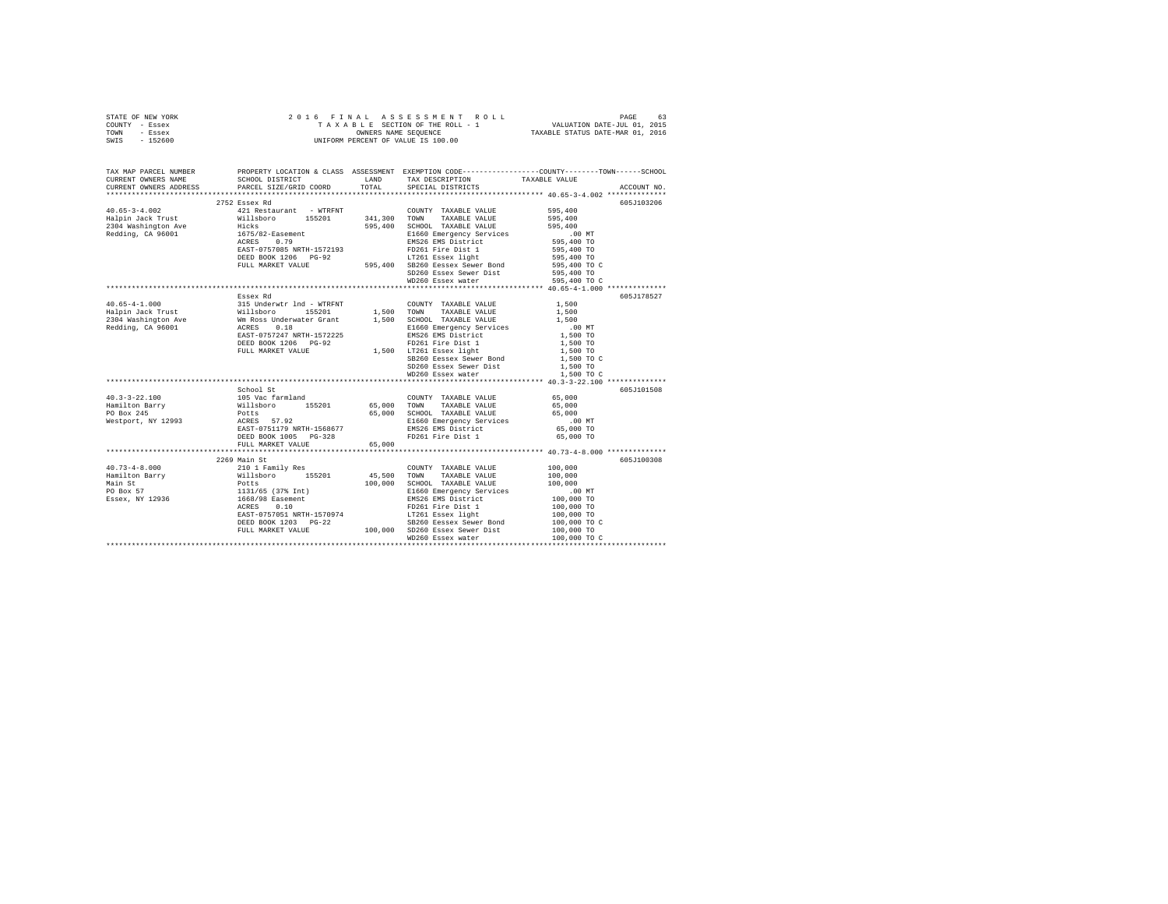| STATE OF NEW YORK |  | 2016 FINAL ASSESSMENT ROLL         | PAGE                             | 63 |
|-------------------|--|------------------------------------|----------------------------------|----|
| COUNTY - Essex    |  | TAXABLE SECTION OF THE ROLL - 1    | VALUATION DATE-JUL 01, 2015      |    |
| TOWN<br>- Essex   |  | OWNERS NAME SEOUENCE               | TAXABLE STATUS DATE-MAR 01, 2016 |    |
| - 152600<br>SWIS  |  | UNIFORM PERCENT OF VALUE IS 100.00 |                                  |    |

| TAX MAP PARCEL NUMBER<br>CURRENT OWNERS NAME                                                                                                                                                                              | SCHOOL DISTRICT TAND TAX DESCRIPTION                                                                                                                                                                                                 |        |                                                                       | PROPERTY LOCATION & CLASS ASSESSMENT EXEMPTION CODE----------------COUNTY-------TOWN------SCHOOL<br>TAXABLE VALUE |
|---------------------------------------------------------------------------------------------------------------------------------------------------------------------------------------------------------------------------|--------------------------------------------------------------------------------------------------------------------------------------------------------------------------------------------------------------------------------------|--------|-----------------------------------------------------------------------|-------------------------------------------------------------------------------------------------------------------|
| CURRENT OWNERS ADDRESS PARCEL SIZE/GRID COORD                                                                                                                                                                             |                                                                                                                                                                                                                                      | TOTAL  | SPECIAL DISTRICTS                                                     | ACCOUNT NO.                                                                                                       |
|                                                                                                                                                                                                                           |                                                                                                                                                                                                                                      |        |                                                                       |                                                                                                                   |
|                                                                                                                                                                                                                           | 2752 Essex Rd                                                                                                                                                                                                                        |        |                                                                       | 605J103206                                                                                                        |
|                                                                                                                                                                                                                           |                                                                                                                                                                                                                                      |        |                                                                       | 595,400                                                                                                           |
|                                                                                                                                                                                                                           |                                                                                                                                                                                                                                      |        |                                                                       |                                                                                                                   |
|                                                                                                                                                                                                                           |                                                                                                                                                                                                                                      |        |                                                                       |                                                                                                                   |
|                                                                                                                                                                                                                           |                                                                                                                                                                                                                                      |        |                                                                       |                                                                                                                   |
|                                                                                                                                                                                                                           |                                                                                                                                                                                                                                      |        |                                                                       | .00 MT<br>595,400 TO<br>595,400 TO<br>595,400 TO                                                                  |
|                                                                                                                                                                                                                           | ACAD - 1970, 2004 1972, 2004 1982 1984<br>DEED BOOK 1206 POST 1982 1984 1982 1994 1995,400 10<br>DEED BOOK 1206 POST 1994 1995,400 100 100 100 1995,400 100<br>PULL MARKET VALUE - 1995,400 202260 Eessex Sewer Bond - 1995,400 100  |        |                                                                       |                                                                                                                   |
|                                                                                                                                                                                                                           |                                                                                                                                                                                                                                      |        |                                                                       |                                                                                                                   |
|                                                                                                                                                                                                                           |                                                                                                                                                                                                                                      |        |                                                                       |                                                                                                                   |
|                                                                                                                                                                                                                           |                                                                                                                                                                                                                                      |        | SD260 Essex Sewer Dist 595,400 TO<br>WD260 Essex water 595,400 TO C   |                                                                                                                   |
|                                                                                                                                                                                                                           |                                                                                                                                                                                                                                      |        |                                                                       |                                                                                                                   |
|                                                                                                                                                                                                                           |                                                                                                                                                                                                                                      |        |                                                                       |                                                                                                                   |
|                                                                                                                                                                                                                           | Essex Rd                                                                                                                                                                                                                             |        |                                                                       | 605J178527                                                                                                        |
|                                                                                                                                                                                                                           |                                                                                                                                                                                                                                      |        |                                                                       |                                                                                                                   |
|                                                                                                                                                                                                                           |                                                                                                                                                                                                                                      |        |                                                                       |                                                                                                                   |
|                                                                                                                                                                                                                           |                                                                                                                                                                                                                                      |        |                                                                       |                                                                                                                   |
|                                                                                                                                                                                                                           |                                                                                                                                                                                                                                      |        |                                                                       |                                                                                                                   |
|                                                                                                                                                                                                                           |                                                                                                                                                                                                                                      |        |                                                                       |                                                                                                                   |
|                                                                                                                                                                                                                           |                                                                                                                                                                                                                                      |        |                                                                       |                                                                                                                   |
|                                                                                                                                                                                                                           |                                                                                                                                                                                                                                      |        |                                                                       |                                                                                                                   |
|                                                                                                                                                                                                                           |                                                                                                                                                                                                                                      |        |                                                                       |                                                                                                                   |
|                                                                                                                                                                                                                           |                                                                                                                                                                                                                                      |        | $SD260$ Essex Sewer Dist $1,500$ TO<br>WD260 Essex water $1,500$ TO C |                                                                                                                   |
|                                                                                                                                                                                                                           |                                                                                                                                                                                                                                      |        |                                                                       |                                                                                                                   |
|                                                                                                                                                                                                                           |                                                                                                                                                                                                                                      |        |                                                                       |                                                                                                                   |
|                                                                                                                                                                                                                           | School St                                                                                                                                                                                                                            |        |                                                                       | 605J101508                                                                                                        |
| 40.3-3-22.100<br>Hamilton Barry Millsboro 155201 65,000 TOMN TAXABLE VALUE<br>Hamilton Barry Willsboro 155201 65,000 TONN TAXABLE VALUE<br>PO Box 245<br>Mestport, NY 12993 RCRES 57.92<br>Mestport, NY 12993 RCRES 57.92 |                                                                                                                                                                                                                                      |        | COUNTY TAXABLE VALUE 65,000                                           |                                                                                                                   |
|                                                                                                                                                                                                                           |                                                                                                                                                                                                                                      |        |                                                                       | 65,000                                                                                                            |
|                                                                                                                                                                                                                           |                                                                                                                                                                                                                                      |        | 65,000 SCHOOL TAXABLE VALUE 65,000                                    |                                                                                                                   |
|                                                                                                                                                                                                                           |                                                                                                                                                                                                                                      |        |                                                                       |                                                                                                                   |
|                                                                                                                                                                                                                           |                                                                                                                                                                                                                                      |        |                                                                       |                                                                                                                   |
|                                                                                                                                                                                                                           | DEED BOOK 1005 PG-328                                                                                                                                                                                                                |        | FD261 Fire Dist 1                                                     | 65,000 TO                                                                                                         |
|                                                                                                                                                                                                                           | FULL MARKET VALUE                                                                                                                                                                                                                    | 65.000 |                                                                       |                                                                                                                   |
|                                                                                                                                                                                                                           |                                                                                                                                                                                                                                      |        |                                                                       |                                                                                                                   |
|                                                                                                                                                                                                                           | 2269 Main St                                                                                                                                                                                                                         |        |                                                                       | 605J100308                                                                                                        |
|                                                                                                                                                                                                                           |                                                                                                                                                                                                                                      |        |                                                                       | 100,000                                                                                                           |
|                                                                                                                                                                                                                           |                                                                                                                                                                                                                                      |        |                                                                       | 100,000                                                                                                           |
|                                                                                                                                                                                                                           |                                                                                                                                                                                                                                      |        |                                                                       | 100,000                                                                                                           |
|                                                                                                                                                                                                                           |                                                                                                                                                                                                                                      |        |                                                                       |                                                                                                                   |
|                                                                                                                                                                                                                           |                                                                                                                                                                                                                                      |        | EMS26 EMS District<br>FD261 Fire Dist 1                               |                                                                                                                   |
|                                                                                                                                                                                                                           |                                                                                                                                                                                                                                      |        |                                                                       |                                                                                                                   |
|                                                                                                                                                                                                                           |                                                                                                                                                                                                                                      |        |                                                                       | $00 \text{ MT}$<br>$100,000 \text{ TO}$<br>$100,000 \text{ TO}$<br>$100,000 \text{ TO}$<br>$100,000 \text{ TO}$ C |
|                                                                                                                                                                                                                           |                                                                                                                                                                                                                                      |        |                                                                       |                                                                                                                   |
|                                                                                                                                                                                                                           |                                                                                                                                                                                                                                      |        |                                                                       |                                                                                                                   |
|                                                                                                                                                                                                                           | ACRES 0.10 100,000 TO FUZOL FILE LIBRARY 100,000 TO FILE ASSESS TO THE LIBRARY 100,000 TO THE LIBRARY 100,000 TO<br>BEED BOOK 1203 PG-22 100,000 SD250 Eesex Sewer Bond 100,000 TO<br>FULL MARKET VALUE 100,000 SD250 Essex Sewer 11 |        |                                                                       | 100,000 TO C                                                                                                      |
|                                                                                                                                                                                                                           |                                                                                                                                                                                                                                      |        |                                                                       |                                                                                                                   |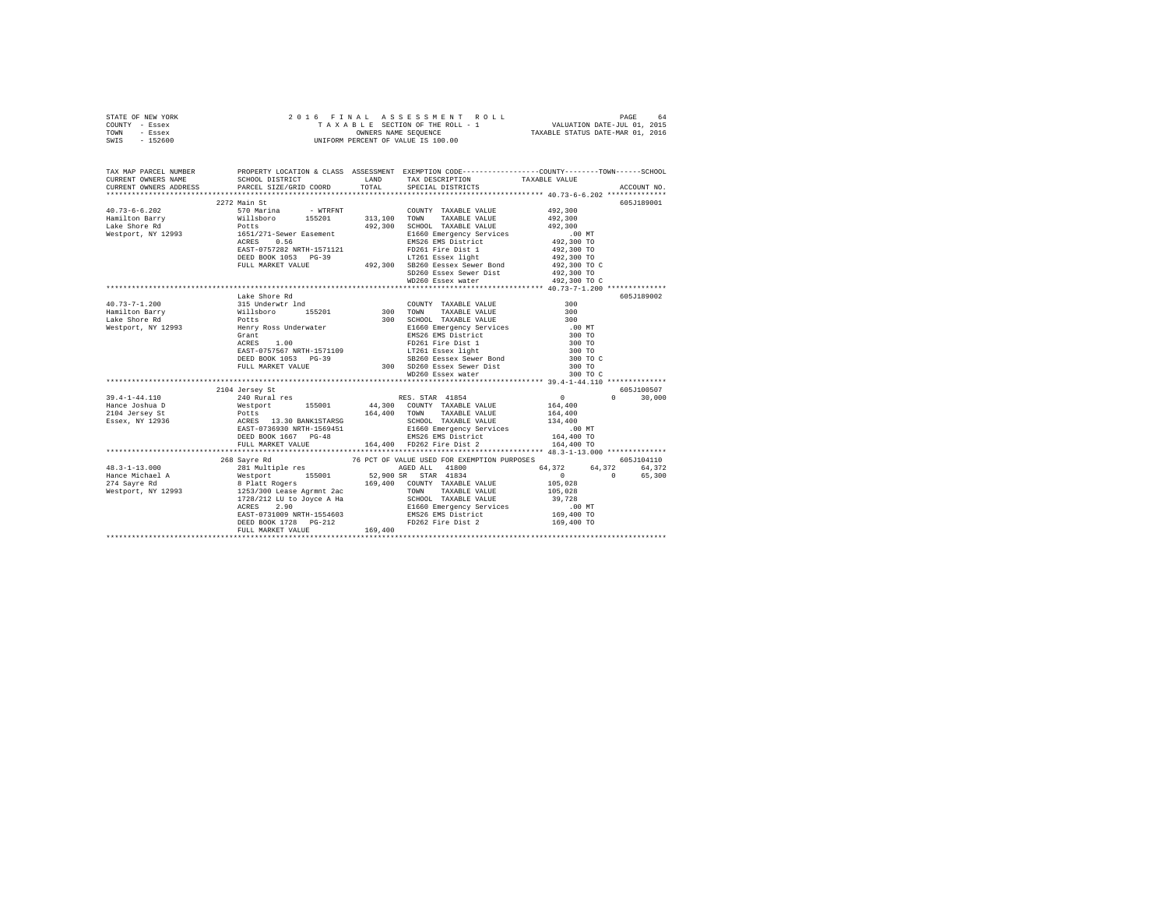| STATE OF NEW YORK |         |  |  |  | 2016 FINAL ASSESSMENT ROLL         |                                  | PAGE                        | 64 |
|-------------------|---------|--|--|--|------------------------------------|----------------------------------|-----------------------------|----|
| COUNTY - Essex    |         |  |  |  | TAXABLE SECTION OF THE ROLL - 1    |                                  | VALUATION DATE-JUL 01, 2015 |    |
| TOWN              | - Essex |  |  |  | OWNERS NAME SEOUENCE               | TAXABLE STATUS DATE-MAR 01, 2016 |                             |    |
| SWIS - 152600     |         |  |  |  | UNIFORM PERCENT OF VALUE IS 100.00 |                                  |                             |    |

| TAX MAP PARCEL NUMBER                                                                                                                                                                                                                                                                                                                                                                                                                           |               |                                                                                                                                                                                                                                  |                  |               |
|-------------------------------------------------------------------------------------------------------------------------------------------------------------------------------------------------------------------------------------------------------------------------------------------------------------------------------------------------------------------------------------------------------------------------------------------------|---------------|----------------------------------------------------------------------------------------------------------------------------------------------------------------------------------------------------------------------------------|------------------|---------------|
|                                                                                                                                                                                                                                                                                                                                                                                                                                                 |               |                                                                                                                                                                                                                                  |                  |               |
|                                                                                                                                                                                                                                                                                                                                                                                                                                                 | 2272 Main St  |                                                                                                                                                                                                                                  |                  | 605J189001    |
| $\begin{tabular}{l c c c c c} \multicolumn{3}{c}{\textbf{492,300}} & \multicolumn{3}{c}{2272} & \multicolumn{3}{c}{570}\text{Main St} & - & \multicolumn{3}{c}{\textbf{W1R}} & \multicolumn{3}{c}{\textbf{C} \textbf{OWITY}} & \multicolumn{3}{c}{\textbf{TAXABLE VALUE}} & \multicolumn{3}{c}{\textbf{492,300}} \\ \multicolumn{3}{c}{\textbf{Hale Shore Rd}} & \multicolumn{3}{c}{\textbf{M11k} \textbf{b} \textbf{V1k} \textbf{C} & \multic$ |               |                                                                                                                                                                                                                                  |                  |               |
|                                                                                                                                                                                                                                                                                                                                                                                                                                                 |               |                                                                                                                                                                                                                                  |                  |               |
|                                                                                                                                                                                                                                                                                                                                                                                                                                                 |               |                                                                                                                                                                                                                                  |                  |               |
|                                                                                                                                                                                                                                                                                                                                                                                                                                                 |               |                                                                                                                                                                                                                                  |                  |               |
|                                                                                                                                                                                                                                                                                                                                                                                                                                                 |               |                                                                                                                                                                                                                                  |                  |               |
|                                                                                                                                                                                                                                                                                                                                                                                                                                                 |               |                                                                                                                                                                                                                                  |                  |               |
|                                                                                                                                                                                                                                                                                                                                                                                                                                                 |               |                                                                                                                                                                                                                                  |                  |               |
|                                                                                                                                                                                                                                                                                                                                                                                                                                                 |               |                                                                                                                                                                                                                                  |                  |               |
|                                                                                                                                                                                                                                                                                                                                                                                                                                                 |               | SD260 Essex Sewer Dist (492,300 TO<br>WD260 Essex water (492,300 TO C)                                                                                                                                                           |                  |               |
|                                                                                                                                                                                                                                                                                                                                                                                                                                                 |               |                                                                                                                                                                                                                                  |                  |               |
|                                                                                                                                                                                                                                                                                                                                                                                                                                                 | Lake Shore Rd |                                                                                                                                                                                                                                  |                  | 605J189002    |
| 40.73-7-1.200 and an experiment of the served of the served of the served of the served of the served of the served of the served of the served of the served of the served of the served of the served of the served of the s                                                                                                                                                                                                                  |               |                                                                                                                                                                                                                                  |                  |               |
|                                                                                                                                                                                                                                                                                                                                                                                                                                                 |               |                                                                                                                                                                                                                                  |                  |               |
|                                                                                                                                                                                                                                                                                                                                                                                                                                                 |               |                                                                                                                                                                                                                                  |                  |               |
|                                                                                                                                                                                                                                                                                                                                                                                                                                                 |               | FERITY ROSE UNION CREATED FRAMENCIAL ENGINE CONTRACT AND RESULT AND RESULT AND RESULT AND RESULT AND RESULT AN<br>THE BASE CONSIDER PROPERTY AND RESULT AND RESULT AND RESULT ON A SURFACT VALUE TO A SURFACT VALUE OF THE MARKE |                  |               |
|                                                                                                                                                                                                                                                                                                                                                                                                                                                 |               |                                                                                                                                                                                                                                  |                  |               |
|                                                                                                                                                                                                                                                                                                                                                                                                                                                 |               |                                                                                                                                                                                                                                  | 300 TO<br>300 TO |               |
|                                                                                                                                                                                                                                                                                                                                                                                                                                                 |               |                                                                                                                                                                                                                                  | 300 TO C         |               |
|                                                                                                                                                                                                                                                                                                                                                                                                                                                 |               |                                                                                                                                                                                                                                  | 300 TO           |               |
|                                                                                                                                                                                                                                                                                                                                                                                                                                                 |               |                                                                                                                                                                                                                                  | 300 TO C         |               |
|                                                                                                                                                                                                                                                                                                                                                                                                                                                 |               |                                                                                                                                                                                                                                  |                  |               |
|                                                                                                                                                                                                                                                                                                                                                                                                                                                 |               |                                                                                                                                                                                                                                  |                  | 605J100507    |
|                                                                                                                                                                                                                                                                                                                                                                                                                                                 |               |                                                                                                                                                                                                                                  |                  | $0 \t 30,000$ |
|                                                                                                                                                                                                                                                                                                                                                                                                                                                 |               |                                                                                                                                                                                                                                  |                  |               |
|                                                                                                                                                                                                                                                                                                                                                                                                                                                 |               |                                                                                                                                                                                                                                  |                  |               |
|                                                                                                                                                                                                                                                                                                                                                                                                                                                 |               |                                                                                                                                                                                                                                  |                  |               |
|                                                                                                                                                                                                                                                                                                                                                                                                                                                 |               |                                                                                                                                                                                                                                  |                  |               |
|                                                                                                                                                                                                                                                                                                                                                                                                                                                 |               | DEED BOOK 1667 PG-48 EMS26 EMS District 164,400 TO<br>FULL MARKET VALUE 164,400 FD262 Fire Dist 2 164,400 TO                                                                                                                     |                  |               |
|                                                                                                                                                                                                                                                                                                                                                                                                                                                 |               |                                                                                                                                                                                                                                  |                  |               |
|                                                                                                                                                                                                                                                                                                                                                                                                                                                 | 268 Sayre Rd  | 76 PCT OF VALUE USED FOR EXEMPTION PURPOSES 605J104110                                                                                                                                                                           |                  |               |
|                                                                                                                                                                                                                                                                                                                                                                                                                                                 |               |                                                                                                                                                                                                                                  |                  |               |
|                                                                                                                                                                                                                                                                                                                                                                                                                                                 |               |                                                                                                                                                                                                                                  |                  |               |
|                                                                                                                                                                                                                                                                                                                                                                                                                                                 |               |                                                                                                                                                                                                                                  |                  |               |
|                                                                                                                                                                                                                                                                                                                                                                                                                                                 |               |                                                                                                                                                                                                                                  |                  |               |
|                                                                                                                                                                                                                                                                                                                                                                                                                                                 |               |                                                                                                                                                                                                                                  |                  |               |
|                                                                                                                                                                                                                                                                                                                                                                                                                                                 |               |                                                                                                                                                                                                                                  |                  |               |
|                                                                                                                                                                                                                                                                                                                                                                                                                                                 |               |                                                                                                                                                                                                                                  |                  |               |
| $\begin{tabular}{l c c c c c} \multicolumn{1}{c}{\textbf{48.3--1-13.000}} & \multicolumn{1}{c}{28.8204$\,\mathrm{EV} & 76$\,\mathrm{PCT} & 76$\,\mathrm{PCT} & 64.801$ $\mathrm{V} & 60.5101110$ \\ \multicolumn{1}{c}{\textbf{48.3--1-13.000}} & \multicolumn{1}{c}{\textbf{48.3--1001}} & \multicolumn{1}{c}{\textbf{48.3--1001}} & \multicolumn{1}{c}{\textbf{48.3--1001}} & \$                                                              |               |                                                                                                                                                                                                                                  |                  |               |
|                                                                                                                                                                                                                                                                                                                                                                                                                                                 |               |                                                                                                                                                                                                                                  |                  |               |
|                                                                                                                                                                                                                                                                                                                                                                                                                                                 |               |                                                                                                                                                                                                                                  |                  |               |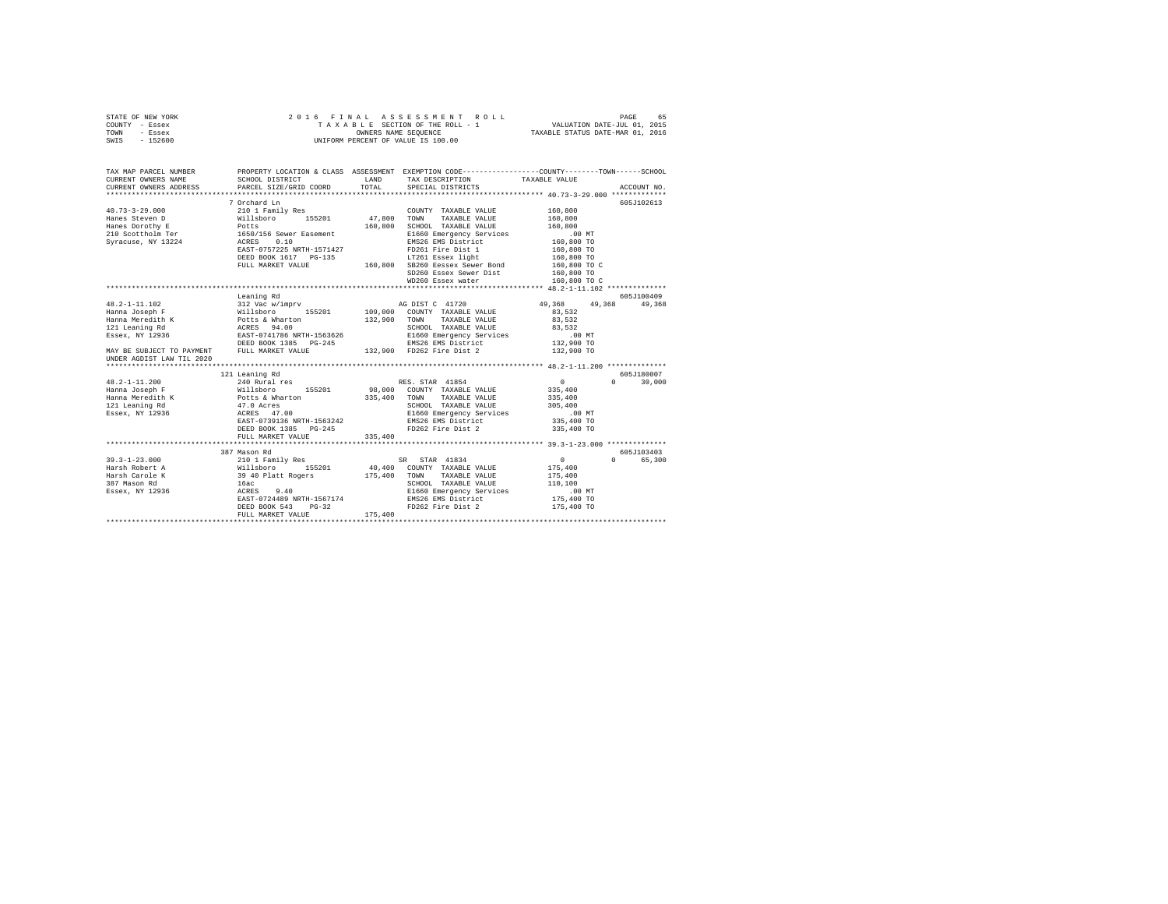| STATE OF NEW YORK<br>COUNTY - Essex<br>TOWN - Essex<br>SWIS - 152600                                                                                                                                                 |                                                                                                                                                                                         |               | 2016 FINAL ASSESSMENT ROLL<br>UNIFORM PERCENT OF VALUE IS 100.00                                                                                                                                                               |                                                                                          |                             |
|----------------------------------------------------------------------------------------------------------------------------------------------------------------------------------------------------------------------|-----------------------------------------------------------------------------------------------------------------------------------------------------------------------------------------|---------------|--------------------------------------------------------------------------------------------------------------------------------------------------------------------------------------------------------------------------------|------------------------------------------------------------------------------------------|-----------------------------|
| TAX MAP PARCEL NUMBER PROPERTY LOCATION & CLASS ASSESSMENT EXEMPTION CODE---------------COUNTY-------TOWN------SCHOOL<br>CURRENT OWNERS NAME<br>CURRENT OWNERS ADDRESS PARCEL SIZE/GRID COORD                        | SCHOOL DISTRICT                                                                                                                                                                         | LAND<br>TOTAL | TAX DESCRIPTION<br>SPECIAL DISTRICTS                                                                                                                                                                                           | TAXABLE VALUE                                                                            | ACCOUNT NO.                 |
| $40.73 - 3 - 29.000$<br>40.73-3-25.000<br>Hanes Dorchy E and Millsboro 155201<br>Hanes Dorchy E Potts<br>210 Scottholm Ter 1650/156 Sewer Easement<br>Syracuse, NY 13224<br>ACRES 0.10<br>ARATE-0757225 NRTH-1571427 | 7 Orchard Ln<br>210 1 Family Res<br>DEED BOOK 1617    PG-135                                                                                                                            | 47,800 TOWN   | COUNTY TAXABLE VALUE 160,800<br>TAXABLE VALUE<br>160,800 SCHOOL TAXABLE VALUE<br>E1660 Emergency Services<br>EMS26 EMS District<br>FD261 Fire Dist 1<br>LT261 Essex light<br>FULL MARKET VALUE 160,800 SB260 Eessex Sewer Bond | 160,800<br>160,800<br>.00 MT<br>160,800 TO<br>160,800 TO<br>160,800 TO<br>160,800 TO C   | 605J102613                  |
|                                                                                                                                                                                                                      | Leaning Rd                                                                                                                                                                              |               | SD260 Essex Sewer Dist<br>WD260 Essex water                                                                                                                                                                                    | 160,800 TO<br>160,800 TO C                                                               | 605J100409                  |
|                                                                                                                                                                                                                      | 312 Vac w/imprv AG DIST C 41720                                                                                                                                                         |               |                                                                                                                                                                                                                                | 49,368 49,368 49,368<br>83,532<br>83,532<br>83,532<br>00 MT.<br>132,900 TO<br>132,900 TO |                             |
|                                                                                                                                                                                                                      |                                                                                                                                                                                         |               |                                                                                                                                                                                                                                |                                                                                          |                             |
| $48.2 - 1 - 11.200$<br>Hanna Joseph F<br>Hanna Meredith K<br>121 Leaning Rd<br>Essex, NY 12936                                                                                                                       | 121 Leaning Rd<br>21 Leaning Rd<br>240 Rural res<br>Willsboro 155201<br>willsporo<br>Potts & Wharton<br>47.0 Acres<br>ACRES 47.00<br>EAST-0739136 NRTH-1563242<br>DEED BOOK 1385 PG-245 |               | RES. STAR 41854<br>98,000 COUNTY TAXABLE VALUE<br>335,400 TOWN TAXABLE VALUE<br>SCHOOL TAXABLE VALUE<br>E1660 Emergency Services<br>EMS26 EMS District<br>FD262 Fire Dist 2 335,400 TO                                         | $\sim$ 0<br>335,400<br>335,400<br>305,400<br>.00 MT<br>335,400 TO                        | 605J180007<br>$0 \t 30,000$ |
|                                                                                                                                                                                                                      | FULL MARKET VALUE                                                                                                                                                                       | 335,400       |                                                                                                                                                                                                                                |                                                                                          |                             |
|                                                                                                                                                                                                                      | 387 Mason Rd<br>EAST-0724489 NRTH-1567174<br>DEED BOOK 543 PG-32<br>FULL MARKET VALUE                                                                                                   | 175,400       | SR STAR 41834<br>40,400 COUNTY TAXABLE VALUE<br>175,400 TOWN TAXABLE VALUE<br>------- TAXABLE VALUE<br>E1660 Emergency Services<br>EMS26 EMS District<br>ED262 EM---                                                           | $\sim$ 0<br>175,400<br>175,400<br>110,100<br>.00 MT<br>175,400 TO<br>175,400 TO          | 605J103403<br>0 65,300      |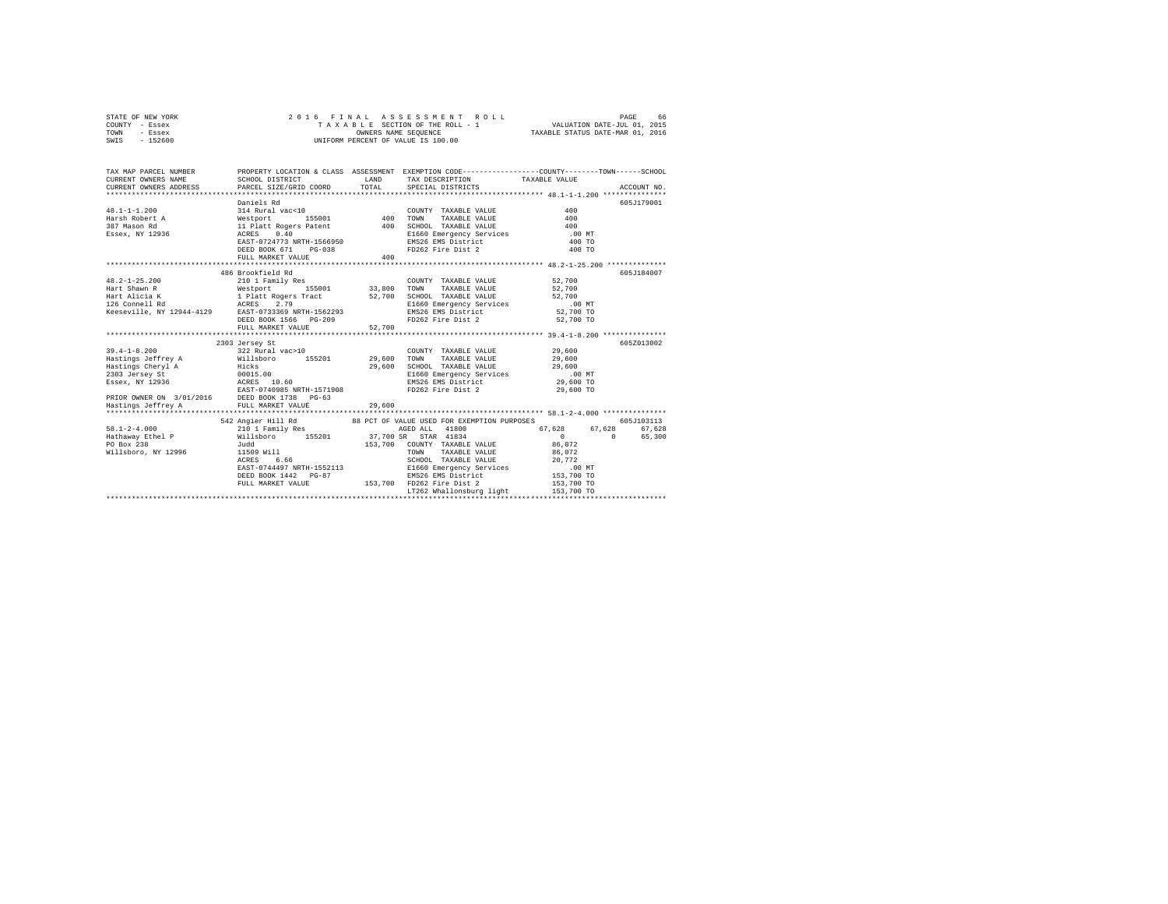| STATE OF NEW YORK | 2016 FINAL ASSESSMENT ROLL         | 66<br>PAGE                       |
|-------------------|------------------------------------|----------------------------------|
| COUNTY - Essex    | TAXABLE SECTION OF THE ROLL - 1    | VALUATION DATE-JUL 01, 2015      |
| TOWN<br>- Essex   | OWNERS NAME SEOUENCE               | TAXABLE STATUS DATE-MAR 01, 2016 |
| $-152600$<br>SWIS | UNIFORM PERCENT OF VALUE IS 100.00 |                                  |

| TAX MAP PARCEL NUMBER                                                                                                                                                         |                                                                                                                                                                                                                                              |        | PROPERTY LOCATION & CLASS ASSESSMENT EXEMPTION CODE----------------COUNTY-------TOWN-----SCHOOL                                               |                                                      |                    |
|-------------------------------------------------------------------------------------------------------------------------------------------------------------------------------|----------------------------------------------------------------------------------------------------------------------------------------------------------------------------------------------------------------------------------------------|--------|-----------------------------------------------------------------------------------------------------------------------------------------------|------------------------------------------------------|--------------------|
|                                                                                                                                                                               |                                                                                                                                                                                                                                              |        |                                                                                                                                               |                                                      |                    |
|                                                                                                                                                                               | Daniels Rd                                                                                                                                                                                                                                   |        |                                                                                                                                               |                                                      | 605J179001         |
|                                                                                                                                                                               |                                                                                                                                                                                                                                              |        | COUNTY TAXABLE VALUE                                                                                                                          | 400                                                  |                    |
|                                                                                                                                                                               |                                                                                                                                                                                                                                              |        | TAXABLE VALUE                                                                                                                                 | 400                                                  |                    |
|                                                                                                                                                                               |                                                                                                                                                                                                                                              |        | SCHOOL TAXABLE VALUE 400                                                                                                                      |                                                      |                    |
|                                                                                                                                                                               |                                                                                                                                                                                                                                              |        |                                                                                                                                               |                                                      |                    |
|                                                                                                                                                                               |                                                                                                                                                                                                                                              |        |                                                                                                                                               |                                                      |                    |
|                                                                                                                                                                               |                                                                                                                                                                                                                                              |        |                                                                                                                                               |                                                      |                    |
|                                                                                                                                                                               |                                                                                                                                                                                                                                              |        |                                                                                                                                               |                                                      |                    |
|                                                                                                                                                                               | 0.10 0.40<br>EAST-0724773 NRTH-1566950 EMS26 EMS District (100 MT<br>DEED BOOK 671 PG-038 EMS26 EMS District (400 TO<br>PD262 Fire Dist 2 400 TO<br>PD262 Fire Dist 2 400 TO<br>PD262 Fire Dist 2 400 TO<br>PLANER VILLE MARKET VALUE<br>PLA |        |                                                                                                                                               |                                                      |                    |
|                                                                                                                                                                               | 486 Brookfield Rd                                                                                                                                                                                                                            |        |                                                                                                                                               |                                                      | 605J184007         |
| $48.2 - 1 - 25.200$                                                                                                                                                           | 210 1 Family Res                                                                                                                                                                                                                             |        | COUNTY TAXABLE VALUE 52,700                                                                                                                   |                                                      |                    |
| Hart Shawn R                       Westport         155001           33,800   TOWN                                                                                            |                                                                                                                                                                                                                                              |        | TAXABLE VALUE 52,700                                                                                                                          |                                                      |                    |
|                                                                                                                                                                               |                                                                                                                                                                                                                                              |        |                                                                                                                                               |                                                      |                    |
|                                                                                                                                                                               |                                                                                                                                                                                                                                              |        |                                                                                                                                               |                                                      |                    |
|                                                                                                                                                                               |                                                                                                                                                                                                                                              |        | E1660 Emergency Services .00 MT<br>EMS26 EMS District 52,700 TO                                                                               |                                                      |                    |
|                                                                                                                                                                               | DEED BOOK 1566 PG-209                                                                                                                                                                                                                        |        | FD262 Fire Dist 2 52,700 TO                                                                                                                   |                                                      |                    |
|                                                                                                                                                                               | FULL MARKET VALUE                                                                                                                                                                                                                            | 52,700 |                                                                                                                                               |                                                      |                    |
|                                                                                                                                                                               |                                                                                                                                                                                                                                              |        |                                                                                                                                               |                                                      |                    |
|                                                                                                                                                                               | 2303 Jersey St                                                                                                                                                                                                                               |        |                                                                                                                                               |                                                      | 605Z013002         |
|                                                                                                                                                                               |                                                                                                                                                                                                                                              |        |                                                                                                                                               |                                                      |                    |
|                                                                                                                                                                               |                                                                                                                                                                                                                                              |        |                                                                                                                                               |                                                      |                    |
|                                                                                                                                                                               |                                                                                                                                                                                                                                              |        |                                                                                                                                               |                                                      |                    |
|                                                                                                                                                                               |                                                                                                                                                                                                                                              |        |                                                                                                                                               |                                                      |                    |
|                                                                                                                                                                               |                                                                                                                                                                                                                                              |        |                                                                                                                                               |                                                      |                    |
|                                                                                                                                                                               |                                                                                                                                                                                                                                              |        |                                                                                                                                               |                                                      |                    |
|                                                                                                                                                                               |                                                                                                                                                                                                                                              |        |                                                                                                                                               |                                                      |                    |
|                                                                                                                                                                               |                                                                                                                                                                                                                                              |        |                                                                                                                                               |                                                      |                    |
|                                                                                                                                                                               |                                                                                                                                                                                                                                              |        |                                                                                                                                               |                                                      |                    |
|                                                                                                                                                                               | 542 Angier Hill Rd 88 PCT OF VALUE USED FOR EXEMPTION PURPOSES                                                                                                                                                                               |        |                                                                                                                                               |                                                      | 605J103113         |
| $58.1 - 2 - 4.000$                                                                                                                                                            | 210 1 Family Res                                                                                                                                                                                                                             |        | AGED ALL 41800                                                                                                                                | 67,628 67,628                                        | 67.628             |
| Eathaway Ethel P = Millsboro = 155201 = 37,700 SR STAR 41834<br>PO Box 238 = 700 37 3748 3768 5788 5889 153,700 588 7788 5889 153,700 588 7788 589 169 169 169 169 169 169 16 |                                                                                                                                                                                                                                              |        |                                                                                                                                               | $\begin{smallmatrix}&&0\0&86\end{smallmatrix}$ , 072 | 65,300<br>$\sim$ 0 |
|                                                                                                                                                                               |                                                                                                                                                                                                                                              |        | $153,700 \quad \text{COUNTY} \quad \text{TAXABLE VALUE} \quad \text{86,072} \\ \text{TOWN} \quad \text{TAXABLE VALUE} \quad \text{86,072} \\$ |                                                      |                    |
|                                                                                                                                                                               |                                                                                                                                                                                                                                              |        |                                                                                                                                               |                                                      |                    |
|                                                                                                                                                                               |                                                                                                                                                                                                                                              |        | SCHOOL TAXABLE VALUE 20,772                                                                                                                   |                                                      |                    |
|                                                                                                                                                                               |                                                                                                                                                                                                                                              |        |                                                                                                                                               |                                                      |                    |
|                                                                                                                                                                               |                                                                                                                                                                                                                                              |        |                                                                                                                                               |                                                      |                    |
|                                                                                                                                                                               | FULL MARKET VALUE                                                                                                                                                                                                                            |        | 153.700 FD262 Fire Dist 2 153.700 TO                                                                                                          |                                                      |                    |
|                                                                                                                                                                               |                                                                                                                                                                                                                                              |        | LT262 Whallonsburg light                                                                                                                      | 153,700 TO                                           |                    |
|                                                                                                                                                                               |                                                                                                                                                                                                                                              |        |                                                                                                                                               |                                                      |                    |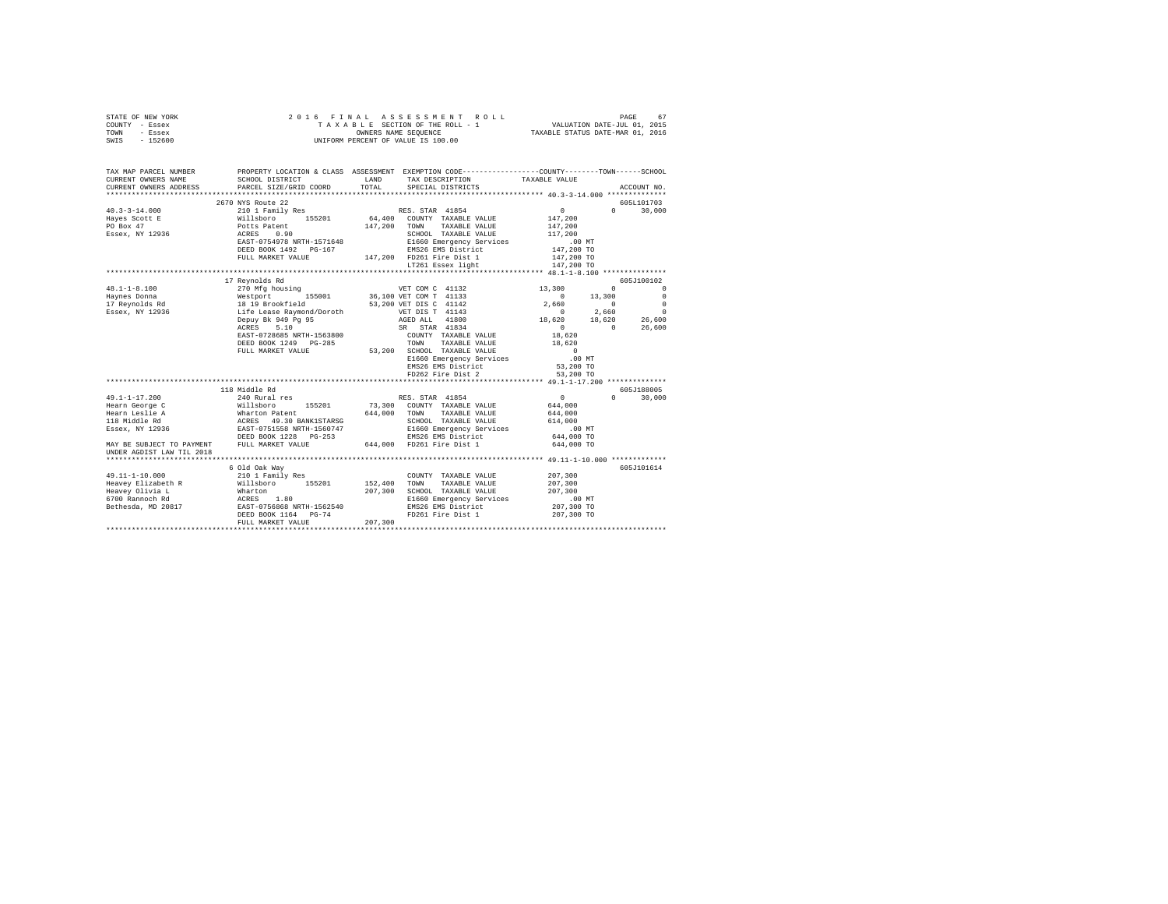| STATE OF NEW YORK      |                                                                                                                                                                                                                                                                                                                                                                                                                              |         |                                                                                                            |                                                     |               |
|------------------------|------------------------------------------------------------------------------------------------------------------------------------------------------------------------------------------------------------------------------------------------------------------------------------------------------------------------------------------------------------------------------------------------------------------------------|---------|------------------------------------------------------------------------------------------------------------|-----------------------------------------------------|---------------|
| COUNTY - Essex         |                                                                                                                                                                                                                                                                                                                                                                                                                              |         |                                                                                                            |                                                     |               |
| TOWN - Essex           |                                                                                                                                                                                                                                                                                                                                                                                                                              |         |                                                                                                            |                                                     |               |
| SWIS - 152600          |                                                                                                                                                                                                                                                                                                                                                                                                                              |         |                                                                                                            |                                                     |               |
|                        |                                                                                                                                                                                                                                                                                                                                                                                                                              |         |                                                                                                            |                                                     |               |
|                        |                                                                                                                                                                                                                                                                                                                                                                                                                              |         |                                                                                                            |                                                     |               |
|                        | TAX MAP PARCEL NUMBER PROPERTY LOCATION & CLASS ASSESSMENT EXEMPTION CODE--------------COUNTY-------TOWN-----SCHOOL                                                                                                                                                                                                                                                                                                          |         |                                                                                                            |                                                     |               |
| CURRENT OWNERS NAME    | SCHOOL DISTRICT                                                                                                                                                                                                                                                                                                                                                                                                              |         | LAND TAX DESCRIPTION TAXABLE VALUE                                                                         |                                                     |               |
| CURRENT OWNERS ADDRESS | PARCEL SIZE/GRID COORD                                                                                                                                                                                                                                                                                                                                                                                                       |         | TOTAL SPECIAL DISTRICTS                                                                                    |                                                     | ACCOUNT NO.   |
|                        |                                                                                                                                                                                                                                                                                                                                                                                                                              |         |                                                                                                            |                                                     |               |
|                        | 2670 NYS Route 22                                                                                                                                                                                                                                                                                                                                                                                                            |         |                                                                                                            |                                                     | 605L101703    |
|                        | $\begin{tabular}{l c c c c} \multicolumn{3}{c c c} \multicolumn{3}{c c c} \multicolumn{3}{c c c} \multicolumn{3}{c c} \multicolumn{3}{c c} \multicolumn{3}{c c} \multicolumn{3}{c c} \multicolumn{3}{c c} \multicolumn{3}{c c} \multicolumn{3}{c c} \multicolumn{3}{c c} \multicolumn{3}{c c} \multicolumn{3}{c c} \multicolumn{3}{c c} \multicolumn{3}{c c} \multicolumn{3}{c c} \multicolumn{3}{c c} \multicolumn{3}{c c}$ |         |                                                                                                            | $\begin{smallmatrix}&&0\147\end{smallmatrix}$ , 200 | $0 \t 30,000$ |
|                        |                                                                                                                                                                                                                                                                                                                                                                                                                              |         |                                                                                                            |                                                     |               |
|                        |                                                                                                                                                                                                                                                                                                                                                                                                                              |         |                                                                                                            | 147,200                                             |               |
|                        |                                                                                                                                                                                                                                                                                                                                                                                                                              |         |                                                                                                            | 117,200                                             |               |
|                        |                                                                                                                                                                                                                                                                                                                                                                                                                              |         |                                                                                                            | 00 MT.<br>147,200 TO<br>147,200 TO                  |               |
|                        |                                                                                                                                                                                                                                                                                                                                                                                                                              |         |                                                                                                            |                                                     |               |
|                        |                                                                                                                                                                                                                                                                                                                                                                                                                              |         |                                                                                                            |                                                     |               |
|                        |                                                                                                                                                                                                                                                                                                                                                                                                                              |         | LT261 Essex light                                                                                          | 147,200 TO                                          |               |
|                        |                                                                                                                                                                                                                                                                                                                                                                                                                              |         |                                                                                                            |                                                     | 605J100102    |
| $48.1 - 1 - 8.100$     | 17 Reynolds Rd<br>270 Mfg housing<br>$\begin{tabular}{lcccc} \textsc{m=1} & \textsc{m=1} & \textsc{m=1} & \textsc{1} & \textsc{1} & \textsc{1} & \textsc{1} & \textsc{1} & \textsc{1} & \textsc{1} & \textsc{1} & \textsc{1} & \textsc{1} & \textsc{1} & \textsc{1} \\ \textsc{1} & 19 & 19 & 10 & 10 & 13 & 100 & 0 & 0 & 0 & 0 & 0 & 0 \\ \textsc{1} & 19 & 19 & 15 & 10 & 11 & 11 & 11 & 11 & 11 & 11 & 11$               |         |                                                                                                            |                                                     |               |
|                        |                                                                                                                                                                                                                                                                                                                                                                                                                              |         |                                                                                                            |                                                     |               |
|                        |                                                                                                                                                                                                                                                                                                                                                                                                                              |         |                                                                                                            |                                                     |               |
|                        |                                                                                                                                                                                                                                                                                                                                                                                                                              |         |                                                                                                            |                                                     |               |
|                        |                                                                                                                                                                                                                                                                                                                                                                                                                              |         |                                                                                                            |                                                     |               |
|                        | $17 \text{ Reynolds and} \begin{tabular}{lcccc} 48.1-1-8.100 & 270 Mfg housing & VET COM C & 411.54 \\ Hayness Donna & & Westport & 155001 & 36,100 VET COM C & 41133 \\ H3 P3 F20801 & 1819 Brookfield & 53,200 VET CMS & 41141 \\ T3 P4811 & 14143 & 14143 & 14143 \\ ESsex, NY & 12936 & & Life Lease Raymond/Doroth & & VET DIS C & 41142 \\ & & DEPE A 1849 Pg 95 & &$                                                  |         |                                                                                                            |                                                     |               |
|                        |                                                                                                                                                                                                                                                                                                                                                                                                                              |         |                                                                                                            |                                                     |               |
|                        |                                                                                                                                                                                                                                                                                                                                                                                                                              |         |                                                                                                            |                                                     |               |
|                        | FULL MARKET VALUE                                                                                                                                                                                                                                                                                                                                                                                                            |         |                                                                                                            |                                                     |               |
|                        |                                                                                                                                                                                                                                                                                                                                                                                                                              |         |                                                                                                            | $0$ .00 MT                                          |               |
|                        |                                                                                                                                                                                                                                                                                                                                                                                                                              |         |                                                                                                            | 53,200 TO                                           |               |
|                        |                                                                                                                                                                                                                                                                                                                                                                                                                              |         | ANABLE VALUE<br>SHOOL TAXABLE VALUE<br>E1660 Emergency Services<br>EMS26 EMS District<br>FD262 Fire Dist 2 | 53,200 TO                                           |               |
|                        | **************************************                                                                                                                                                                                                                                                                                                                                                                                       |         |                                                                                                            |                                                     |               |
|                        |                                                                                                                                                                                                                                                                                                                                                                                                                              |         |                                                                                                            |                                                     | 605J188005    |
|                        |                                                                                                                                                                                                                                                                                                                                                                                                                              |         | RES. STAR $41854$ 0<br>73,300 COUNTY TAXABLE VALUE 644,000                                                 |                                                     | $0 \t 30,000$ |
|                        |                                                                                                                                                                                                                                                                                                                                                                                                                              |         |                                                                                                            |                                                     |               |
|                        |                                                                                                                                                                                                                                                                                                                                                                                                                              |         |                                                                                                            | 644,000                                             |               |
|                        |                                                                                                                                                                                                                                                                                                                                                                                                                              |         |                                                                                                            | 614,000                                             |               |
|                        |                                                                                                                                                                                                                                                                                                                                                                                                                              |         |                                                                                                            | 00 MT.<br>644,000 TO                                |               |
|                        |                                                                                                                                                                                                                                                                                                                                                                                                                              |         |                                                                                                            |                                                     |               |
|                        |                                                                                                                                                                                                                                                                                                                                                                                                                              |         |                                                                                                            | 644,000 TO                                          |               |
|                        |                                                                                                                                                                                                                                                                                                                                                                                                                              |         |                                                                                                            |                                                     |               |
|                        |                                                                                                                                                                                                                                                                                                                                                                                                                              |         |                                                                                                            |                                                     |               |
|                        | 6 Old Oak Way                                                                                                                                                                                                                                                                                                                                                                                                                |         |                                                                                                            |                                                     | 605J101614    |
| 49.11-1-10.000         | 210 1 Family Res                                                                                                                                                                                                                                                                                                                                                                                                             |         | COUNTY TAXABLE VALUE<br>152,400 TOWN TAXABLE VALUE<br>COUNTY TAXABLE VALUE 207,300                         |                                                     |               |
|                        |                                                                                                                                                                                                                                                                                                                                                                                                                              |         |                                                                                                            | 207,300                                             |               |
|                        |                                                                                                                                                                                                                                                                                                                                                                                                                              |         |                                                                                                            | 207,300                                             |               |
|                        |                                                                                                                                                                                                                                                                                                                                                                                                                              |         |                                                                                                            |                                                     |               |
|                        |                                                                                                                                                                                                                                                                                                                                                                                                                              |         | EMS26 EMS District<br>FD261 Fire Dist 1                                                                    | 00 MT.<br>207,300 TO<br>207,300 TO                  |               |
|                        | FULL MARKET VALUE                                                                                                                                                                                                                                                                                                                                                                                                            | 207,300 |                                                                                                            |                                                     |               |
|                        |                                                                                                                                                                                                                                                                                                                                                                                                                              |         |                                                                                                            |                                                     |               |
|                        |                                                                                                                                                                                                                                                                                                                                                                                                                              |         |                                                                                                            |                                                     |               |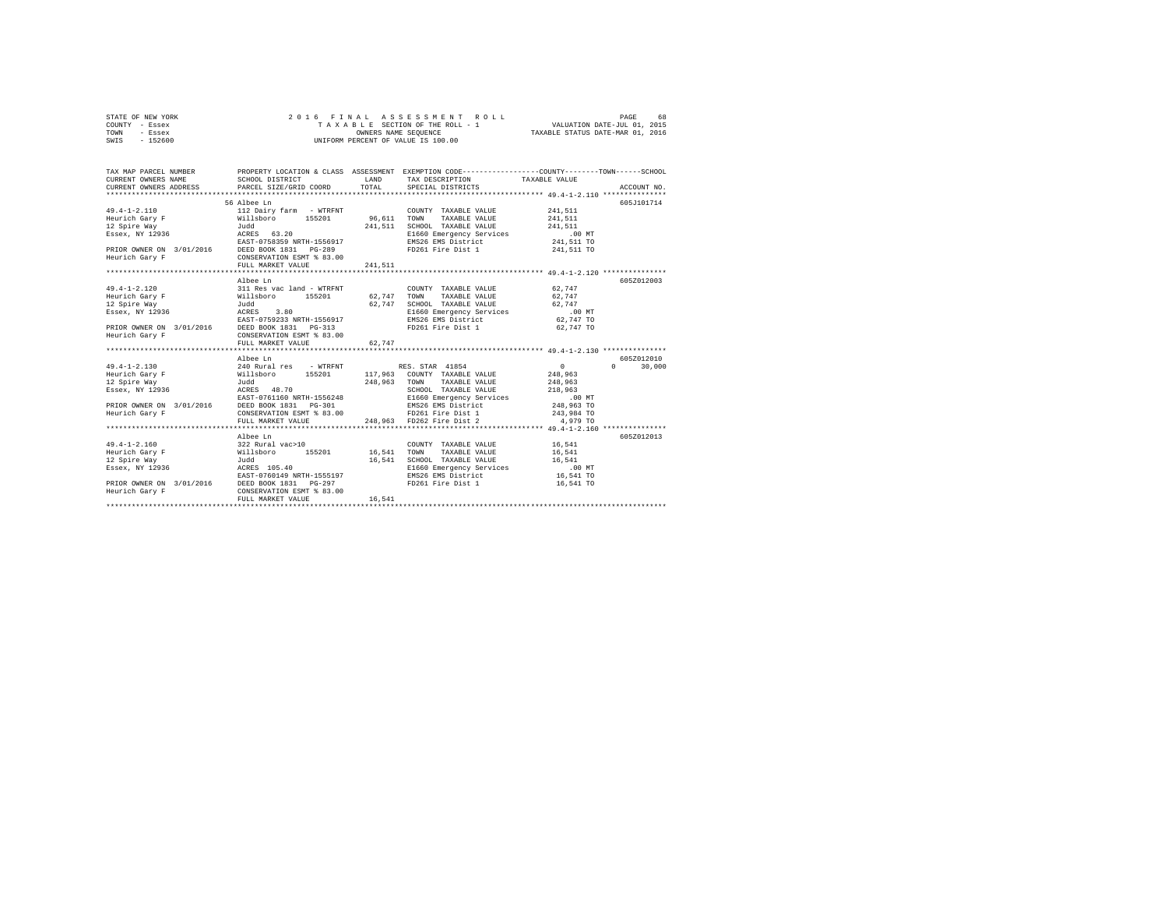| STATE OF NEW YORK |  |  | 2016 FINAL ASSESSMENT ROLL         |                                  | PAGE | 68 |
|-------------------|--|--|------------------------------------|----------------------------------|------|----|
| COUNTY - Essex    |  |  | TAXABLE SECTION OF THE ROLL - 1    | VALUATION DATE-JUL 01, 2015      |      |    |
| TOWN<br>- Essex   |  |  | OWNERS NAME SEOUENCE               | TAXABLE STATUS DATE-MAR 01, 2016 |      |    |
| $-152600$<br>SWIS |  |  | UNIFORM PERCENT OF VALUE IS 100.00 |                                  |      |    |

| TAX MAP PARCEL NUMBER                                                   |                                                                                                                                                                                                                                                   |                        | PROPERTY LOCATION & CLASS ASSESSMENT EXEMPTION CODE-----------------COUNTY-------TOWN------SCHOOL                                                                                                                                                             |                    |                             |
|-------------------------------------------------------------------------|---------------------------------------------------------------------------------------------------------------------------------------------------------------------------------------------------------------------------------------------------|------------------------|---------------------------------------------------------------------------------------------------------------------------------------------------------------------------------------------------------------------------------------------------------------|--------------------|-----------------------------|
| Essex, NY 12936<br>Heurich Gary F                                       | 56 Albee Ln<br>CONSERVATION ESMT % 83.00<br>FULL MARKET VALUE                                                                                                                                                                                     | 241.511                | COUNTY TAXABLE VALUE<br>0141.1111 SCHOOL TAXABLE VALUE 241,511<br>ACRES 63.20 MTM E1660 Emergency Services (1.00 MT<br>EAST-0758359 NRTH-1556917 EMS26 EMS District 241,511 TO<br>PRIOR OWNER ON 3/01/2016 DEED BOOK 1831 PG-289 50261 Fire Dist 1 241,511 TO | 241.511<br>241,511 | 605J101714                  |
|                                                                         |                                                                                                                                                                                                                                                   |                        |                                                                                                                                                                                                                                                               |                    |                             |
| $49.4 - 1 - 2.120$<br>12 Spire Way<br>Essex, NY 12936<br>Heurich Gary F | Albee Ln<br>311 Res vac land - WTRFNT<br>CONSERVATION ESMT % 83.00<br>FULL MARKET VALUE                                                                                                                                                           | 62,747                 | COUNTY TAXABLE VALUE 62,747<br>Heurich Gary F 62,747 (62,747 TOWN TAXABLE VALUE 62,747<br>PRIOR OWNER ON 3/01/2016 DEED BOOK 1831 PG-313 FD261 Fire Dist 1 62,747 TO                                                                                          |                    | 605Z012003                  |
|                                                                         |                                                                                                                                                                                                                                                   |                        |                                                                                                                                                                                                                                                               |                    |                             |
|                                                                         | Albee Ln                                                                                                                                                                                                                                          |                        | 2007 1160 EAST-0761160 NRTH-1556248<br>PRIOR OWNER ON 3/01/2016 DEED BOOK 1831 PG-301<br>Heurich Gary F CONSERVATION ESSAY 1833 DONE ENS26 EMS District 248,963 TO<br>Heurich Gary F CONSERVATION ESSAY & PD262 Pire Dist 2 248,984 TO                        | $\sim$ 0           | 605Z012010<br>$0 \t 30.000$ |
| $49.4 - 1 - 2.160$<br>Heurich Gary F                                    | Albee Ln<br>322 Rural vac>10<br>Willsboro 155201 16,541<br>Judd 16,541<br>$\begin{array}{lllll} \texttt{12} & \texttt{Spire Way} & \texttt{Judd} \\ \texttt{Essex, NY 12936} & \texttt{ACRES} & \texttt{105.40} \end{array}$<br>FULL MARKET VALUE | $16\,,\,541$<br>16,541 | COUNTY TAXABLE VALUE 16,541<br>TOWN TAXABLE VALUE 16,541<br>Judd 16,541 SCHOOL TAXABLE VALUE 16,541<br>ACRES 105.40 16.541 E1660 Emergency Services<br>EXAST-0760149 NRTH-1555197 EMS26 EMS District 16,541 TO<br>FD261 Fire Dist 1                           | 16,541 TO          | 605Z012013                  |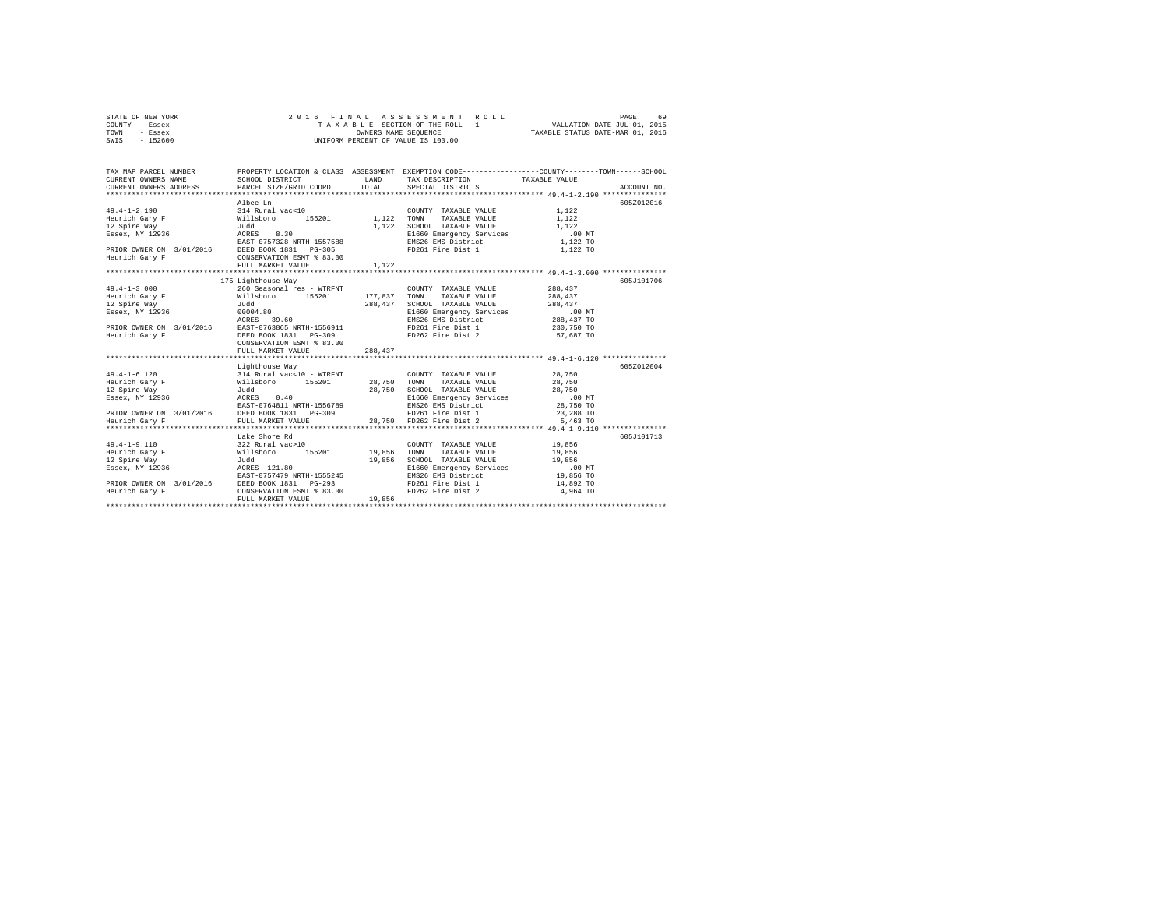| STATE OF NEW YORK | 2016 FINAL ASSESSMENT ROLL         | 69<br>PAGE                       |
|-------------------|------------------------------------|----------------------------------|
| COUNTY - Essex    | TAXABLE SECTION OF THE ROLL - 1    | VALUATION DATE-JUL 01, 2015      |
| TOWN<br>- Essex   | OWNERS NAME SEOUENCE               | TAXABLE STATUS DATE-MAR 01, 2016 |
| $-152600$<br>SWIS | UNIFORM PERCENT OF VALUE IS 100.00 |                                  |

| TAX MAP PARCEL NUMBER |                                                                                                                                                                                                                                                                                                                                                                                                                                                                |         |                                                                                                                                                                              | PROPERTY LOCATION & CLASS ASSESSMENT EXEMPTION CODE---------------COUNTY-------TOWN------SCHOOL |  |
|-----------------------|----------------------------------------------------------------------------------------------------------------------------------------------------------------------------------------------------------------------------------------------------------------------------------------------------------------------------------------------------------------------------------------------------------------------------------------------------------------|---------|------------------------------------------------------------------------------------------------------------------------------------------------------------------------------|-------------------------------------------------------------------------------------------------|--|
|                       | Albee Ln<br>PRIOR OWNER ON 3/01/2016 DEED BOOK 1831 PG-305 PD261 Fire Dist 1 1 1,122 TO<br>Heurich Gary F CONSERVATION ESMT \$ 83.00<br>FULL MARKET VALUE                                                                                                                                                                                                                                                                                                      | 1,122   |                                                                                                                                                                              | 605Z012016                                                                                      |  |
|                       |                                                                                                                                                                                                                                                                                                                                                                                                                                                                |         |                                                                                                                                                                              |                                                                                                 |  |
| $49.4 - 1 - 3.000$    | 175 Lighthouse Way<br>260 Seasonal res - WTRFNT<br>$\begin{array}{ccccccccc} \texttt{H3-1-3.000} & \texttt{200} & \texttt{200} & \texttt{200} & \texttt{200} & \texttt{200} & \texttt{200} & \texttt{200} & \texttt{200} & \texttt{200} & \texttt{200} & \texttt{200} & \texttt{200} & \texttt{200} & \texttt{200} & \texttt{200} & \texttt{200} & \texttt{200} & \texttt{200} & \texttt{200} & \texttt{200} & \texttt{200} & \texttt{20$<br>FULL MARKET VALUE | 288,437 | COUNTY TAXABLE VALUE<br>SCHOOL TAXABLE VALUE 288,437<br>E1660 Emergency Services .00 MT<br>EMS26 EMS District 288,437 TO                                                     | 605J101706<br>288,437<br>288,437                                                                |  |
|                       | Lighthouse Way<br>49.4-1-6.120 10<br>Heurich Gary F (1111) 714 Rural Vac<10 - WTRFNT (28,750 TOWN<br>Heurich Gary F (1111) 7128,750 7000<br>12 28,750 SCHOO 7136 7000 712936 7000 712936 7000 712936 71200 71200 71200 71200 71200 71200 71200 71200 7                                                                                                                                                                                                         |         | COUNTY TAXABLE VALUE 28,750<br>TAXABLE VALUE<br>SCHOOL TAXABLE VALUE 28,750<br>E1660 Emergency Services 00 MT<br>EMS26 EMS District 28,750 TO<br>28,750 TO                   | 605Z012004<br>28,750<br>23,288 TO<br>5,463 TO                                                   |  |
|                       | Lake Shore Rd<br>322 Rural vac>10<br>49.4-1-9.110 and more and 122 and 19.856<br>Heurich Gary F Willsboro 155201 19,856<br>12 Spire Way and 2021 19,856<br>12 Spire Way and 2028 12.80<br>Essex, NY 12936 ACEES 121.80<br>12 North Martin 1555245<br>EAST-0757479 NRTH-1555245<br>DEEDR OWNER ON 3/01/2016 DEED BOOK 1831 PG-293<br>Heurich Gary F<br>FULL MARKET VALUE                                                                                        | 19,856  | COUNTY TAXABLE VALUE 19,856<br>TOWN TAXABLE VALUE 19,856<br>SCHOOL TAXABLE VALUE<br>E1660 Emergency Services<br>EMS26 EMS District<br>FD261 Fire Dist 1<br>FD262 Fire Dist 2 | 605J101713<br>19,856<br>$.00$ MT<br>19,856 TO<br>14,892 TO<br>4,964 TO                          |  |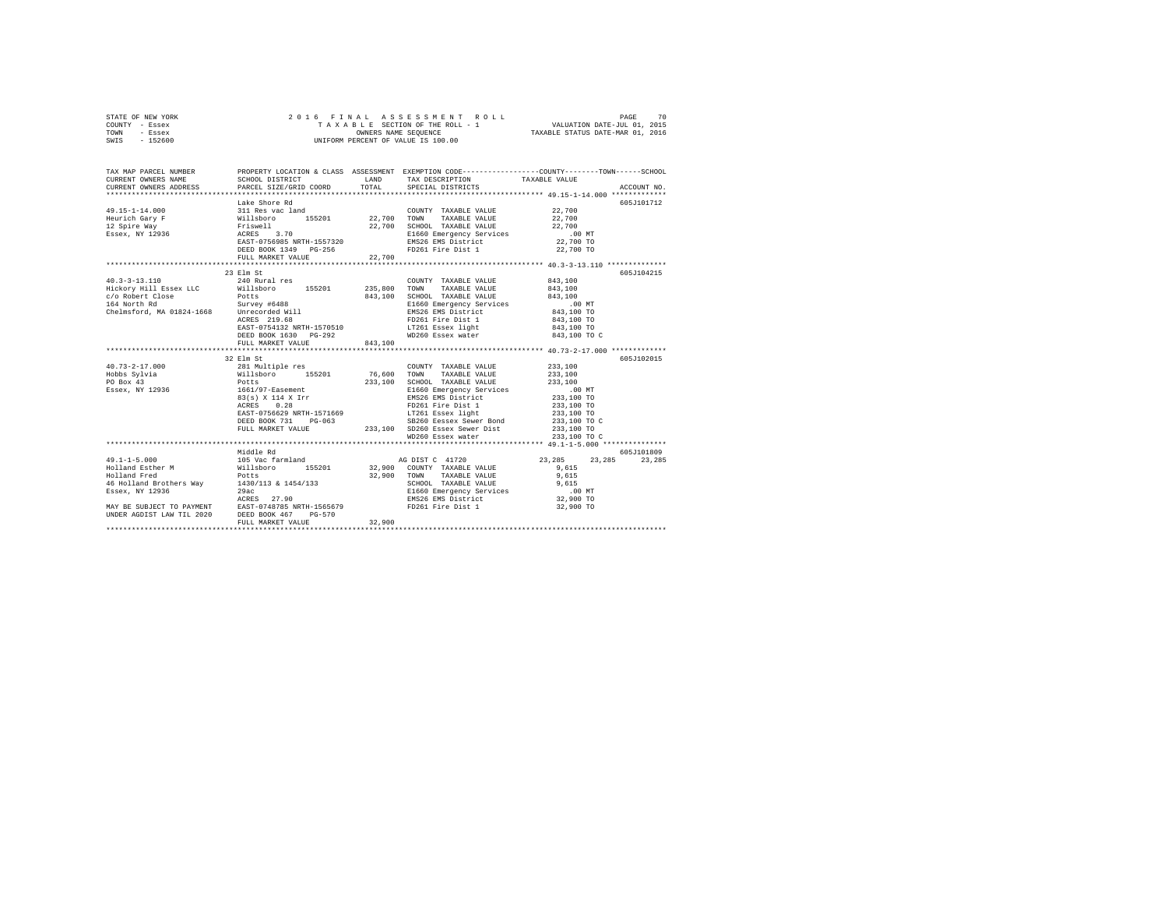| STATE OF NEW YORK |  |  | 2016 FINAL ASSESSMENT ROLL         | 70<br>PAGE                       |
|-------------------|--|--|------------------------------------|----------------------------------|
| COUNTY - Essex    |  |  | TAXABLE SECTION OF THE ROLL - 1    | VALUATION DATE-JUL 01, 2015      |
| TOWN<br>- Essex   |  |  | OWNERS NAME SEOUENCE               | TAXABLE STATUS DATE-MAR 01, 2016 |
| $-152600$<br>SWIS |  |  | UNIFORM PERCENT OF VALUE IS 100.00 |                                  |

|                                                                                                                                                                                                                                                                                                                                                                                                                                                                                         | Lake Shore Rd                                                                                                                                                                                                                                                                                                                                                                          |         |                                                                                                                                                                                                                                                                                                                  | 605J101712      |
|-----------------------------------------------------------------------------------------------------------------------------------------------------------------------------------------------------------------------------------------------------------------------------------------------------------------------------------------------------------------------------------------------------------------------------------------------------------------------------------------|----------------------------------------------------------------------------------------------------------------------------------------------------------------------------------------------------------------------------------------------------------------------------------------------------------------------------------------------------------------------------------------|---------|------------------------------------------------------------------------------------------------------------------------------------------------------------------------------------------------------------------------------------------------------------------------------------------------------------------|-----------------|
|                                                                                                                                                                                                                                                                                                                                                                                                                                                                                         |                                                                                                                                                                                                                                                                                                                                                                                        |         | $\begin{array}{lllll} \texttt{COUNTY} & \texttt{TAXABLE} & \texttt{VALUE} & & & 22,700 \\ \texttt{32,700} & \texttt{m} & \texttt{m} & \texttt{m} & \texttt{m} & \texttt{M} & \texttt{M} \\ \texttt{M} & \texttt{M} & \texttt{M} & \texttt{M} & \texttt{M} & \texttt{M} & \texttt{M} & \texttt{M} \\ \end{array}$ |                 |
|                                                                                                                                                                                                                                                                                                                                                                                                                                                                                         |                                                                                                                                                                                                                                                                                                                                                                                        |         |                                                                                                                                                                                                                                                                                                                  |                 |
|                                                                                                                                                                                                                                                                                                                                                                                                                                                                                         |                                                                                                                                                                                                                                                                                                                                                                                        |         |                                                                                                                                                                                                                                                                                                                  |                 |
|                                                                                                                                                                                                                                                                                                                                                                                                                                                                                         |                                                                                                                                                                                                                                                                                                                                                                                        |         |                                                                                                                                                                                                                                                                                                                  |                 |
|                                                                                                                                                                                                                                                                                                                                                                                                                                                                                         |                                                                                                                                                                                                                                                                                                                                                                                        |         |                                                                                                                                                                                                                                                                                                                  |                 |
|                                                                                                                                                                                                                                                                                                                                                                                                                                                                                         |                                                                                                                                                                                                                                                                                                                                                                                        |         | FD261 Fire Dist 1 22,700 TO                                                                                                                                                                                                                                                                                      |                 |
|                                                                                                                                                                                                                                                                                                                                                                                                                                                                                         | DEED BOOK 1349 PG-256<br>FULL MARKET VALUE 22,700                                                                                                                                                                                                                                                                                                                                      |         |                                                                                                                                                                                                                                                                                                                  |                 |
|                                                                                                                                                                                                                                                                                                                                                                                                                                                                                         |                                                                                                                                                                                                                                                                                                                                                                                        |         |                                                                                                                                                                                                                                                                                                                  |                 |
|                                                                                                                                                                                                                                                                                                                                                                                                                                                                                         | 23 Elm St                                                                                                                                                                                                                                                                                                                                                                              |         |                                                                                                                                                                                                                                                                                                                  | 605J104215      |
| $40.3 - 3 - 13.110$                                                                                                                                                                                                                                                                                                                                                                                                                                                                     | 240 Rural res                                                                                                                                                                                                                                                                                                                                                                          |         | COUNTY TAXABLE VALUE 843,100                                                                                                                                                                                                                                                                                     |                 |
|                                                                                                                                                                                                                                                                                                                                                                                                                                                                                         |                                                                                                                                                                                                                                                                                                                                                                                        |         |                                                                                                                                                                                                                                                                                                                  |                 |
|                                                                                                                                                                                                                                                                                                                                                                                                                                                                                         |                                                                                                                                                                                                                                                                                                                                                                                        |         |                                                                                                                                                                                                                                                                                                                  |                 |
|                                                                                                                                                                                                                                                                                                                                                                                                                                                                                         |                                                                                                                                                                                                                                                                                                                                                                                        |         |                                                                                                                                                                                                                                                                                                                  |                 |
|                                                                                                                                                                                                                                                                                                                                                                                                                                                                                         |                                                                                                                                                                                                                                                                                                                                                                                        |         |                                                                                                                                                                                                                                                                                                                  |                 |
|                                                                                                                                                                                                                                                                                                                                                                                                                                                                                         |                                                                                                                                                                                                                                                                                                                                                                                        |         | FD261 Fire Dist 1<br>LT261 Essex light                                                                                                                                                                                                                                                                           |                 |
|                                                                                                                                                                                                                                                                                                                                                                                                                                                                                         |                                                                                                                                                                                                                                                                                                                                                                                        |         |                                                                                                                                                                                                                                                                                                                  | 843,100 TO      |
|                                                                                                                                                                                                                                                                                                                                                                                                                                                                                         |                                                                                                                                                                                                                                                                                                                                                                                        |         |                                                                                                                                                                                                                                                                                                                  | 843,100 TO C    |
|                                                                                                                                                                                                                                                                                                                                                                                                                                                                                         | FULL MARKET VALUE                                                                                                                                                                                                                                                                                                                                                                      | 843,100 |                                                                                                                                                                                                                                                                                                                  |                 |
|                                                                                                                                                                                                                                                                                                                                                                                                                                                                                         |                                                                                                                                                                                                                                                                                                                                                                                        |         |                                                                                                                                                                                                                                                                                                                  |                 |
|                                                                                                                                                                                                                                                                                                                                                                                                                                                                                         | 32 Elm St                                                                                                                                                                                                                                                                                                                                                                              |         |                                                                                                                                                                                                                                                                                                                  | 605J102015      |
|                                                                                                                                                                                                                                                                                                                                                                                                                                                                                         |                                                                                                                                                                                                                                                                                                                                                                                        |         | COUNTY TAXABLE VALUE 233.100                                                                                                                                                                                                                                                                                     |                 |
|                                                                                                                                                                                                                                                                                                                                                                                                                                                                                         |                                                                                                                                                                                                                                                                                                                                                                                        |         |                                                                                                                                                                                                                                                                                                                  |                 |
|                                                                                                                                                                                                                                                                                                                                                                                                                                                                                         |                                                                                                                                                                                                                                                                                                                                                                                        |         |                                                                                                                                                                                                                                                                                                                  |                 |
| $\texttt{H0.73-2-17.000}\begin{minipage}{0.93\textwidth} \begin{minipage}{0.93\textwidth} \begin{minipage}{0.93\textwidth} \begin{minipage}{0.93\textwidth} \begin{minipage}{0.93\textwidth} \begin{minipage}{0.93\textwidth} \begin{minipage}{0.93\textwidth} \begin{minipage}{0.93\textwidth} \begin{minipage}{0.93\textwidth} \begin{minipage}{0.93\textwidth} \begin{minipage}{0.93\textwidth} \begin{minipage}{0.93\textwidth} \begin{minipage}{0.93\textwidth} \begin{minipage}{$ |                                                                                                                                                                                                                                                                                                                                                                                        |         |                                                                                                                                                                                                                                                                                                                  |                 |
|                                                                                                                                                                                                                                                                                                                                                                                                                                                                                         |                                                                                                                                                                                                                                                                                                                                                                                        |         |                                                                                                                                                                                                                                                                                                                  |                 |
|                                                                                                                                                                                                                                                                                                                                                                                                                                                                                         |                                                                                                                                                                                                                                                                                                                                                                                        |         |                                                                                                                                                                                                                                                                                                                  |                 |
|                                                                                                                                                                                                                                                                                                                                                                                                                                                                                         |                                                                                                                                                                                                                                                                                                                                                                                        |         |                                                                                                                                                                                                                                                                                                                  |                 |
|                                                                                                                                                                                                                                                                                                                                                                                                                                                                                         |                                                                                                                                                                                                                                                                                                                                                                                        |         |                                                                                                                                                                                                                                                                                                                  | 233,100 TO C    |
|                                                                                                                                                                                                                                                                                                                                                                                                                                                                                         | $\begin{tabular}{lllllllllllll} \texttt{ACRES} & 0.28 & \texttt{FD261} \texttt{Fire Dist 1} & 233,100 \texttt{ TO} \\ \texttt{EAST}-0756629 \texttt{NRTH-1571669} & \texttt{LTS261} \texttt{Essex 1ight} & 233,100 \texttt{ TO} \\ \texttt{DEED BOK29} & 731 & \texttt{PG-063} & 53260 \texttt{Eesex Sever Bond} & 233,100 \texttt{ TO} \\ \texttt{FULL MARKET VALUE} & 233,100 & 502$ |         |                                                                                                                                                                                                                                                                                                                  |                 |
|                                                                                                                                                                                                                                                                                                                                                                                                                                                                                         |                                                                                                                                                                                                                                                                                                                                                                                        |         | WD260 Essex water                                                                                                                                                                                                                                                                                                | 233,100 TO C    |
|                                                                                                                                                                                                                                                                                                                                                                                                                                                                                         |                                                                                                                                                                                                                                                                                                                                                                                        |         |                                                                                                                                                                                                                                                                                                                  |                 |
|                                                                                                                                                                                                                                                                                                                                                                                                                                                                                         | Middle Rd                                                                                                                                                                                                                                                                                                                                                                              |         |                                                                                                                                                                                                                                                                                                                  | 605J101809      |
|                                                                                                                                                                                                                                                                                                                                                                                                                                                                                         |                                                                                                                                                                                                                                                                                                                                                                                        |         |                                                                                                                                                                                                                                                                                                                  | 23, 285 23, 285 |
|                                                                                                                                                                                                                                                                                                                                                                                                                                                                                         |                                                                                                                                                                                                                                                                                                                                                                                        |         |                                                                                                                                                                                                                                                                                                                  |                 |
|                                                                                                                                                                                                                                                                                                                                                                                                                                                                                         |                                                                                                                                                                                                                                                                                                                                                                                        |         |                                                                                                                                                                                                                                                                                                                  |                 |
|                                                                                                                                                                                                                                                                                                                                                                                                                                                                                         |                                                                                                                                                                                                                                                                                                                                                                                        |         |                                                                                                                                                                                                                                                                                                                  |                 |
|                                                                                                                                                                                                                                                                                                                                                                                                                                                                                         |                                                                                                                                                                                                                                                                                                                                                                                        |         |                                                                                                                                                                                                                                                                                                                  |                 |
|                                                                                                                                                                                                                                                                                                                                                                                                                                                                                         |                                                                                                                                                                                                                                                                                                                                                                                        |         |                                                                                                                                                                                                                                                                                                                  |                 |
|                                                                                                                                                                                                                                                                                                                                                                                                                                                                                         |                                                                                                                                                                                                                                                                                                                                                                                        |         |                                                                                                                                                                                                                                                                                                                  | 32,900 TO       |
| MAY BE SUBJECT TO PAYMENT<br>DREE AGDIST LAW TIL 2020 DEED BOOK 467 PO-570 PD261 Fire Dist 1<br>DRDER AGDIST LAW TIL 2020 DEED BOOK 467 PALUE 32,900                                                                                                                                                                                                                                                                                                                                    |                                                                                                                                                                                                                                                                                                                                                                                        |         |                                                                                                                                                                                                                                                                                                                  |                 |
|                                                                                                                                                                                                                                                                                                                                                                                                                                                                                         |                                                                                                                                                                                                                                                                                                                                                                                        | 32,900  |                                                                                                                                                                                                                                                                                                                  |                 |
|                                                                                                                                                                                                                                                                                                                                                                                                                                                                                         |                                                                                                                                                                                                                                                                                                                                                                                        |         |                                                                                                                                                                                                                                                                                                                  |                 |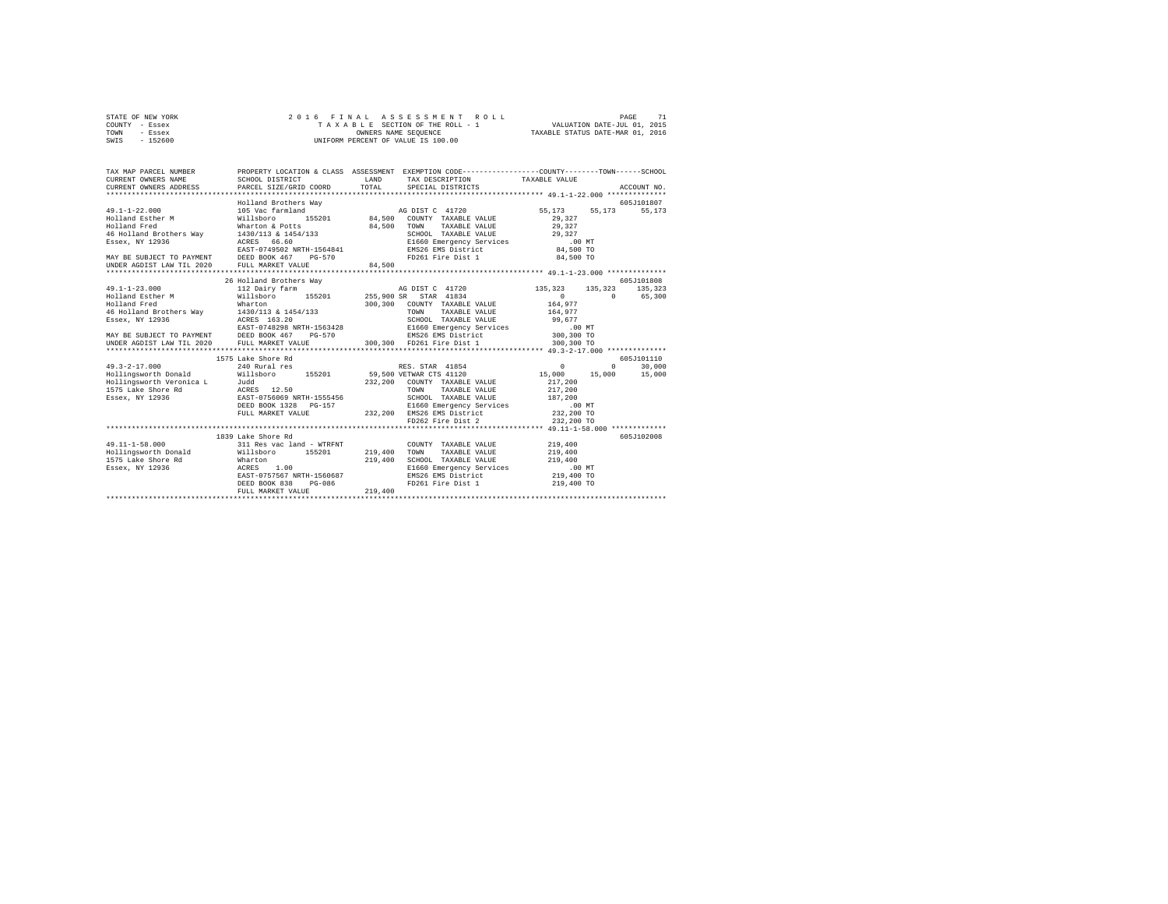|      | STATE OF NEW YORK |  | 2016 FINAL ASSESSMENT ROLL         | PAGE                             |
|------|-------------------|--|------------------------------------|----------------------------------|
|      | COUNTY - Essex    |  | TAXABLE SECTION OF THE ROLL - 1    | VALUATION DATE-JUL 01, 2015      |
| TOWN | - Essex           |  | OWNERS NAME SEOUENCE               | TAXABLE STATUS DATE-MAR 01, 2016 |
| SWIS | - 152600          |  | UNIFORM PERCENT OF VALUE IS 100.00 |                                  |

| TAX MAP PARCEL NUMBER<br>CURRENT OWNERS NAME<br>CURRENT OWNERS ADDRESS                                                       | SCHOOL DISTRICT<br>PARCEL SIZE/GRID COORD                                                                                                                                                                                                                                                            | PROPERTY LOCATION & CLASS ASSESSMENT EXEMPTION CODE----------------COUNTY-------TOWN------SCHOOL<br>LAND<br>TAX DESCRIPTION TAXABLE VALUE<br>TOTAL<br>SPECIAL DISTRICTS                                                                                                                                                                                                                                    | ACCOUNT NO.                                                                                                                                                       |
|------------------------------------------------------------------------------------------------------------------------------|------------------------------------------------------------------------------------------------------------------------------------------------------------------------------------------------------------------------------------------------------------------------------------------------------|------------------------------------------------------------------------------------------------------------------------------------------------------------------------------------------------------------------------------------------------------------------------------------------------------------------------------------------------------------------------------------------------------------|-------------------------------------------------------------------------------------------------------------------------------------------------------------------|
| $49.1 - 1 - 22.000$<br>49.1-1-44<br>Holland Esther M<br>MAY BE SUBJECT TO PAYMENT DEED BOOK 467<br>UNDER AGDIST LAW TIL 2020 | Holland Brothers Way<br>105 Vac farmland<br>Willsboro<br>Wharton & Potts<br>$145$ Holland Brothers Way<br>$1430/113$ & $1454/133$<br>Essex, NY 12936<br>$266.60$<br>$266.60$<br>$266.60$<br>$266.60$<br>$266.60$<br>$268.7 - 0749502$<br>$268.7 - 0749502$<br>$268.7 + 1564841$<br>FULL MARKET VALUE | TAXABLE VALUE 29,327<br>84.500 TOWN<br>SCHOOL TAXABLE VALUE 29,327<br>SCHOOL TAXABLE VALUE<br>E1660 Emergency Services .00 MT<br>Charles .00 TO 34,500 TO<br>FD261 Fire Dist 1 84,500 TO<br>$PG-570$<br>84,500                                                                                                                                                                                             | 605J101807<br>55.173 55.173<br>55,173<br>29,327                                                                                                                   |
| $49.1 - 1 - 23.000$<br>Holland Fred<br>UNDER AGDIST LAW TIL 2020                                                             | 26 Holland Brothers Way<br>112 Dairy farm<br>Wharton<br>46 Holland Brothers Way 1430/113 & 1454/133<br>FULL MARKET VALUE                                                                                                                                                                             | TAXABLE VALUE<br>300.300 FD261 Fire Dist 1                                                                                                                                                                                                                                                                                                                                                                 | 605J101808<br>135,323<br>AG DIST C 41720 135,323 135,323<br>$\begin{smallmatrix}&&0\\&&264\,,\,977\end{smallmatrix}$<br>$\sim$<br>65,300<br>164,977<br>300,300 TO |
| $49.3 - 2 - 17.000$<br>Hollingsworth Donald                                                                                  | 1575 Lake Shore Rd<br>240 Rural res<br>Hollingsworth Veronica Land Judd (1988)<br>1575 Lake Shore Rd (1988 12.50 )<br>1588 Exaex, NY 12936 (1988 1287-0756069 NRTH-1555456<br>DEED BOOK 1328 PG-157<br>FULL MARKET VALUE                                                                             | RES. STAR 41854 0<br>Willsboro 155201 59,500 VETWAR CTS 41120 15,000 15,000<br>TOWN<br>TAXABLE VALUE<br>SCHOOL TAXABLE VALUE 187.200<br>G-157 232,200 E1660 Emergency Services (160 MT<br>232,200 EMS26 EMS District<br>232,200 TD262 Fire Dist 2 232,200 TO                                                                                                                                               | 605J101110<br>$\Omega$<br>30,000<br>15,000<br>217,200<br>217,200                                                                                                  |
| 1575 Lake Shore Rd Wharton<br>Essex, NY 12936                                                                                | 1839 Lake Shore Rd<br>ACRES<br>1.00<br>EAST-0757567 NRTH-1560687<br>DEED BOOK 838<br>PG-086<br>FULL MARKET VALUE                                                                                                                                                                                     | $\verb+49.11-1-58.000   \hspace{2.2cm} 311\ Res\ vac\ land - WTRENT   \hspace{2.2cm} 219,400   \hspace{2.2cm} 700NTY   \hspace{2.2cm} TAXABLE\ VALUE   \hspace{2.2cm} Hollingsworth Donald   \hspace{2.2cm} 219,400   \hspace{2.2cm} 700N N   \hspace{2.2cm} TAXABLE VALUE   \hspace{2.2cm}$<br>COUNTY TAXABLE VALUE<br>219,400<br>SCHOOL TAXABLE VALUE 219,400<br>FD261 Fire Dist 1 219,400 TO<br>219,400 | 605J102008<br>219,400<br>219,400                                                                                                                                  |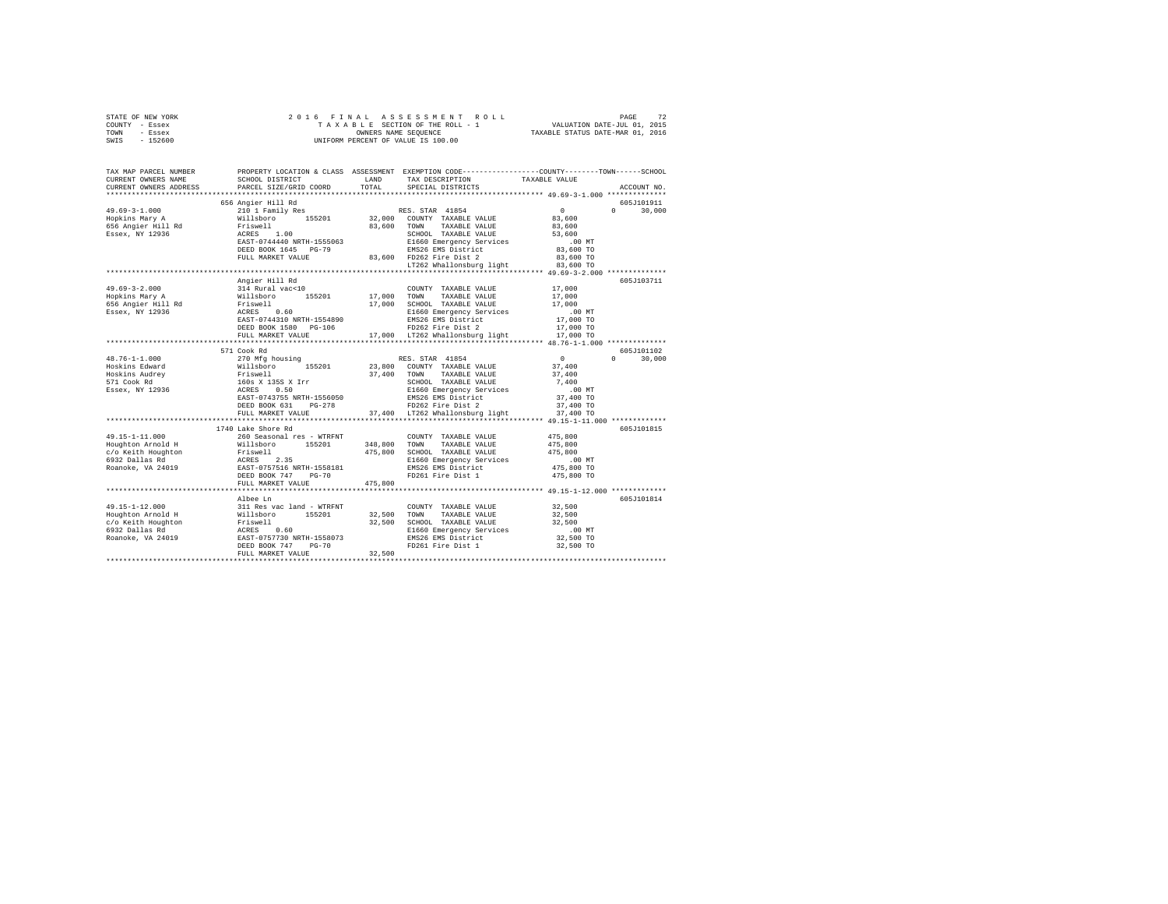| STATE OF NEW YORK<br>COUNTY - Essex<br>TOWN<br>- Essex                                                                                                                                                                                               | 2016 FINAL                |         | OWNERS NAME SEQUENCE<br>UNIFORM PERCENT OF VALUE IS 100.00          |                        |                        |
|------------------------------------------------------------------------------------------------------------------------------------------------------------------------------------------------------------------------------------------------------|---------------------------|---------|---------------------------------------------------------------------|------------------------|------------------------|
| $-152600$<br>SWIS                                                                                                                                                                                                                                    |                           |         |                                                                     |                        |                        |
| TAX MAP PARCEL NUMBER PROPERTY LOCATION & CLASS ASSESSMENT EXEMPTION CODE---------------COUNTY-------TOWN------SCHOOL                                                                                                                                |                           |         |                                                                     |                        |                        |
| CURRENT OWNERS NAME                                                                                                                                                                                                                                  | SCHOOL DISTRICT LAND      |         | TAX DESCRIPTION                                                     | TAXABLE VALUE          |                        |
| CURRENT OWNERS ADDRESS<br>************************                                                                                                                                                                                                   | PARCEL SIZE/GRID COORD    | TOTAL   | SPECIAL DISTRICTS                                                   |                        | ACCOUNT NO.            |
|                                                                                                                                                                                                                                                      |                           |         |                                                                     |                        | 605J101911             |
| $49.69 - 3 - 1.000$                                                                                                                                                                                                                                  |                           |         |                                                                     | $\sim$ 0               | $\mathbf{a}$<br>30,000 |
| Hopkins Mary A                                                                                                                                                                                                                                       |                           |         |                                                                     | 83,600                 |                        |
| 656 Angier Hill Rd                                                                                                                                                                                                                                   |                           |         |                                                                     | 83,600                 |                        |
| Essex, NY 12936                                                                                                                                                                                                                                      |                           |         |                                                                     | 53,600                 |                        |
|                                                                                                                                                                                                                                                      |                           |         |                                                                     | $.00$ MT               |                        |
|                                                                                                                                                                                                                                                      |                           |         |                                                                     | 83,600 TO              |                        |
|                                                                                                                                                                                                                                                      |                           |         |                                                                     | 83,600 TO              |                        |
|                                                                                                                                                                                                                                                      |                           |         | LT262 Whallonsburg light                                            | 83,600 TO              |                        |
|                                                                                                                                                                                                                                                      |                           |         |                                                                     |                        |                        |
|                                                                                                                                                                                                                                                      | Angier Hill Rd            |         |                                                                     |                        | 605J103711             |
| $49.69 - 3 - 2.000$                                                                                                                                                                                                                                  | 314 Rural vac<10          |         | COUNTY TAXABLE VALUE                                                | 17,000                 |                        |
|                                                                                                                                                                                                                                                      |                           |         |                                                                     | 17,000                 |                        |
|                                                                                                                                                                                                                                                      |                           |         |                                                                     | 17,000                 |                        |
|                                                                                                                                                                                                                                                      |                           |         |                                                                     | $.00$ MT               |                        |
|                                                                                                                                                                                                                                                      |                           |         |                                                                     | 17,000 TO              |                        |
|                                                                                                                                                                                                                                                      |                           |         |                                                                     | 17,000 TO<br>17,000 TO |                        |
|                                                                                                                                                                                                                                                      |                           |         |                                                                     |                        |                        |
|                                                                                                                                                                                                                                                      | 571 Cook Rd               |         |                                                                     |                        | 605J101102             |
| $48.76 - 1 - 1.000$                                                                                                                                                                                                                                  | 270 Mfg housing           |         | RES. STAR 41854                                                     | $\sim$ 0               | $0 \t 30.000$          |
|                                                                                                                                                                                                                                                      |                           |         | 23,800 COUNTY TAXABLE VALUE                                         | 37,400                 |                        |
|                                                                                                                                                                                                                                                      |                           |         | 37,400 TOWN TAXABLE VALUE                                           | 37,400                 |                        |
|                                                                                                                                                                                                                                                      |                           |         | SCHOOL TAXABLE VALUE<br>E1660 Texture                               | 7,400                  |                        |
| Holochina Roward Millsboro 155201<br>Hoskina Roward Millsboro 155201<br>Hoskina Roward Priswell<br>571 Cook Rd<br>572 Cook Rd<br>2008 2008 2008 2008<br>2008 2008 2008 2008<br>2008 2008 2009<br>2008 2009 2008 2009<br>2008 2019<br>2008 2019<br>20 |                           |         | E1660 Emergency Services<br>EMS26 EMS District<br>FD262 Fire Dist 2 | $.00$ MT               |                        |
|                                                                                                                                                                                                                                                      |                           |         |                                                                     | 37,400 TO              |                        |
|                                                                                                                                                                                                                                                      | DEED BOOK 631 PG-278      |         |                                                                     | 37,400 TO              |                        |
|                                                                                                                                                                                                                                                      | FULL MARKET VALUE         |         | 37,400 LT262 Whallonsburg light                                     | 37,400 TO              |                        |
|                                                                                                                                                                                                                                                      |                           |         |                                                                     |                        |                        |
|                                                                                                                                                                                                                                                      | 1740 Lake Shore Rd        |         |                                                                     |                        | 605J101815             |
| 49.15-1-11.000                                                                                                                                                                                                                                       | 260 Seasonal res - WTRFNT |         | COUNTY TAXABLE VALUE                                                | 475,800                |                        |
|                                                                                                                                                                                                                                                      |                           |         | 348,800 TOWN TAXABLE VALUE<br>475,800 SCHOOL TAXABLE VALUE          | 475,800<br>475,800     |                        |
|                                                                                                                                                                                                                                                      |                           |         | E1660 Emergency Services                                            | .00 MT                 |                        |
| Houghton Arnold H<br>c/o Keith Houghton<br>6932 Dallas Rd<br>Roanoke, VA 24019                                                                                                                                                                       |                           |         | E1660 Emeryency $\frac{1}{2}$<br>EMS26 EMS District                 | 475,800 TO             |                        |
|                                                                                                                                                                                                                                                      | DEED BOOK 747 PG-70       |         | FD261 Fire Dist 1                                                   | 475,800 TO             |                        |
|                                                                                                                                                                                                                                                      | FULL MARKET VALUE         | 475,800 |                                                                     |                        |                        |
|                                                                                                                                                                                                                                                      |                           |         |                                                                     |                        |                        |
|                                                                                                                                                                                                                                                      | Albee Ln                  |         |                                                                     |                        | 605J101814             |
|                                                                                                                                                                                                                                                      |                           |         |                                                                     | 32,500                 |                        |
|                                                                                                                                                                                                                                                      |                           |         |                                                                     | 32,500                 |                        |
|                                                                                                                                                                                                                                                      |                           |         |                                                                     | 32,500                 |                        |
|                                                                                                                                                                                                                                                      |                           |         |                                                                     | $.00$ MT               |                        |
|                                                                                                                                                                                                                                                      |                           |         |                                                                     | 32,500 TO              |                        |
|                                                                                                                                                                                                                                                      |                           |         |                                                                     | 32,500 TO              |                        |
|                                                                                                                                                                                                                                                      | FULL MARKET VALUE         | 32,500  |                                                                     |                        |                        |
|                                                                                                                                                                                                                                                      |                           |         |                                                                     |                        |                        |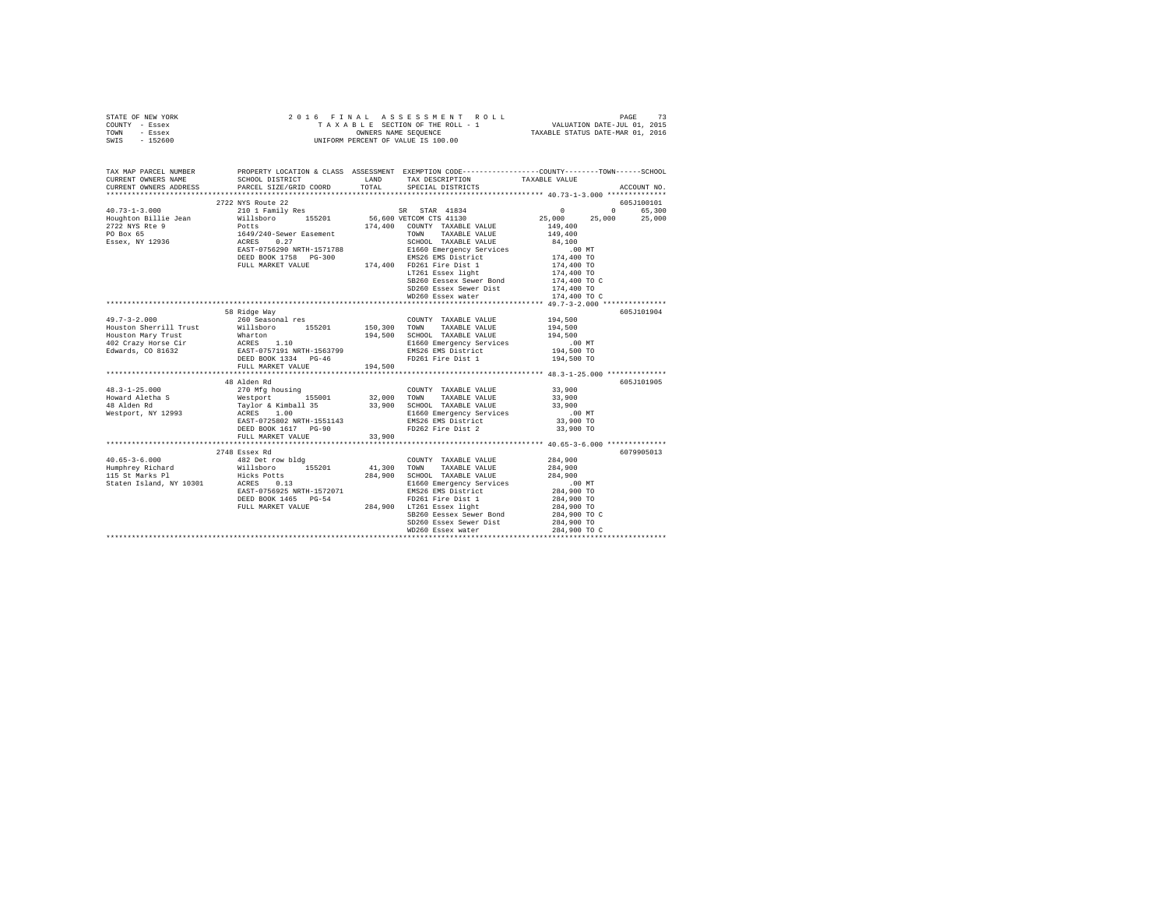| TOWN<br>- Essex<br>SWIS<br>$-152600$          | OWNERS NAME SEQUENCE<br>UNIFORM PERCENT OF VALUE IS 100.00<br>OWNERS NAME SEQUENCE                                                                                                                                                                                                                                                                                                                                                                                                      |         | TAXABLE STATUS DATE-MAR 01, 2016                                                                                                                                                             |                                    |             |
|-----------------------------------------------|-----------------------------------------------------------------------------------------------------------------------------------------------------------------------------------------------------------------------------------------------------------------------------------------------------------------------------------------------------------------------------------------------------------------------------------------------------------------------------------------|---------|----------------------------------------------------------------------------------------------------------------------------------------------------------------------------------------------|------------------------------------|-------------|
| TAX MAP PARCEL NUMBER                         |                                                                                                                                                                                                                                                                                                                                                                                                                                                                                         |         | PROPERTY LOCATION & CLASS ASSESSMENT EXEMPTION CODE---------------COUNTY-------TOWN------SCHOOL                                                                                              |                                    |             |
| CURRENT OWNERS NAME<br>CURRENT OWNERS ADDRESS | SCHOOL DISTRICT LAND<br>PARCEL SIZE/GRID COORD                                                                                                                                                                                                                                                                                                                                                                                                                                          | TOTAL   | TAX DESCRIPTION TAXABLE VALUE<br>SPECIAL DISTRICTS<br>SPECIAL DISTRICTS                                                                                                                      |                                    | ACCOUNT NO. |
|                                               |                                                                                                                                                                                                                                                                                                                                                                                                                                                                                         |         |                                                                                                                                                                                              |                                    |             |
|                                               | 2722 NYS Route 22                                                                                                                                                                                                                                                                                                                                                                                                                                                                       |         |                                                                                                                                                                                              |                                    | 605J100101  |
|                                               |                                                                                                                                                                                                                                                                                                                                                                                                                                                                                         |         |                                                                                                                                                                                              | $\sim$ 0                           | 0 65,300    |
|                                               |                                                                                                                                                                                                                                                                                                                                                                                                                                                                                         |         |                                                                                                                                                                                              | 25,000 25,000                      | 25,000      |
|                                               | $\texttt{H0.73-1-3.000}\begin{minipage}{0.73\textwidth} \begin{minipage}{0.73\textwidth} \begin{minipage}{0.73\textwidth} \begin{minipage}{0.73\textwidth} \begin{minipage}{0.73\textwidth} \begin{minipage}{0.73\textwidth} \begin{minipage}{0.73\textwidth} \begin{minipage}{0.73\textwidth} \begin{minipage}{0.73\textwidth} \begin{minipage}{0.73\textwidth} \begin{minipage}{0.73\textwidth} \begin{minipage}{0.73\textwidth} \begin{minipage}{0.73\textwidth} \begin{minipage}{0$ |         |                                                                                                                                                                                              | 149,400                            |             |
| PO Box 65<br>PO Box 65<br>Essex, NY 12936     | 1649/240-Sewer Easement<br>ACRES 0.27                                                                                                                                                                                                                                                                                                                                                                                                                                                   |         | TAXABLE VALUE<br>TOWN                                                                                                                                                                        | 149,400                            |             |
|                                               |                                                                                                                                                                                                                                                                                                                                                                                                                                                                                         |         | SCHOOL TAXABLE VALUE 84,100<br>ACRES 0.27<br>EAST-0756290 NRTH-1571788 E1660 Emergency Services<br>DEED BOOK 1758 PG-300 EMS26 EMS District<br>FULL MARKET VALUE 174,400 FD261 Fire Dist 1   |                                    |             |
|                                               | EAST-0756290 NRTH-1571788                                                                                                                                                                                                                                                                                                                                                                                                                                                               |         |                                                                                                                                                                                              | .00 MT                             |             |
|                                               |                                                                                                                                                                                                                                                                                                                                                                                                                                                                                         |         |                                                                                                                                                                                              | 00 MT.<br>174,400 TO<br>174,400 TO |             |
|                                               |                                                                                                                                                                                                                                                                                                                                                                                                                                                                                         |         | LT261 Essex light                                                                                                                                                                            |                                    |             |
|                                               |                                                                                                                                                                                                                                                                                                                                                                                                                                                                                         |         | SB260 Eessex Sewer Bond                                                                                                                                                                      | 174,400 TO<br>174,400 TO C         |             |
|                                               |                                                                                                                                                                                                                                                                                                                                                                                                                                                                                         |         | SD260 Essex Sewer Dist                                                                                                                                                                       | 174,400 TO                         |             |
|                                               |                                                                                                                                                                                                                                                                                                                                                                                                                                                                                         |         | WD260 Essex water                                                                                                                                                                            | 174,400 TO C                       |             |
|                                               |                                                                                                                                                                                                                                                                                                                                                                                                                                                                                         |         |                                                                                                                                                                                              |                                    |             |
|                                               | 58 Ridge Way                                                                                                                                                                                                                                                                                                                                                                                                                                                                            |         |                                                                                                                                                                                              |                                    | 605J101904  |
| $49.7 - 3 - 2.000$                            |                                                                                                                                                                                                                                                                                                                                                                                                                                                                                         |         | COUNTY TAXABLE VALUE 194,500                                                                                                                                                                 |                                    |             |
| Houston Sherrill Trust                        |                                                                                                                                                                                                                                                                                                                                                                                                                                                                                         |         | TAXABLE VALUE                                                                                                                                                                                | 194,500                            |             |
|                                               |                                                                                                                                                                                                                                                                                                                                                                                                                                                                                         |         |                                                                                                                                                                                              |                                    |             |
|                                               |                                                                                                                                                                                                                                                                                                                                                                                                                                                                                         |         |                                                                                                                                                                                              |                                    |             |
|                                               |                                                                                                                                                                                                                                                                                                                                                                                                                                                                                         |         |                                                                                                                                                                                              | 00 MT<br>194,500 TO<br>194,500 TO  |             |
|                                               | FULL MARKET VALUE                                                                                                                                                                                                                                                                                                                                                                                                                                                                       | 194,500 |                                                                                                                                                                                              |                                    |             |
|                                               |                                                                                                                                                                                                                                                                                                                                                                                                                                                                                         |         |                                                                                                                                                                                              |                                    |             |
|                                               | 48 Alden Rd                                                                                                                                                                                                                                                                                                                                                                                                                                                                             |         |                                                                                                                                                                                              |                                    | 605J101905  |
| $48.3 - 1 - 25.000$                           | 270 Mfg housing<br>Westport 155001                                                                                                                                                                                                                                                                                                                                                                                                                                                      |         | $\begin{tabular}{lllllllllll} \multicolumn{2}{c}{\text{COUNTY}} & \text{TAXABLE VALUE} & & & 33,900 \\ \multicolumn{2}{c}{\text{TOWN}} & \text{TAXABLE VALUE} & & & 33,900 \\ \end{tabular}$ |                                    |             |
| Howard Aletha S                               |                                                                                                                                                                                                                                                                                                                                                                                                                                                                                         |         | 32,000 TOWN TAXABLE VALUE                                                                                                                                                                    |                                    |             |
| 48 Alden Rd                                   | Taylor & Kimball 35 33,900<br>ACRES 1.00                                                                                                                                                                                                                                                                                                                                                                                                                                                |         | SCHOOL TAXABLE VALUE                                                                                                                                                                         | 33,900                             |             |
| Westport, NY 12993                            | EAST-0725802 NRTH-1551143                                                                                                                                                                                                                                                                                                                                                                                                                                                               |         | E1660 Emergency Services<br>E1660 Emergency Services<br>EMS26 EMS District                                                                                                                   | 00 MT.<br>33,900 TO                |             |
|                                               | DEED BOOK 1617 PG-90                                                                                                                                                                                                                                                                                                                                                                                                                                                                    |         | FD262 Fire Dist 2                                                                                                                                                                            | 33,900 TO                          |             |
|                                               | FULL MARKET VALUE                                                                                                                                                                                                                                                                                                                                                                                                                                                                       | 33,900  |                                                                                                                                                                                              |                                    |             |
|                                               |                                                                                                                                                                                                                                                                                                                                                                                                                                                                                         |         |                                                                                                                                                                                              |                                    |             |
|                                               | 2748 Essex Rd                                                                                                                                                                                                                                                                                                                                                                                                                                                                           |         |                                                                                                                                                                                              |                                    | 6079905013  |
|                                               |                                                                                                                                                                                                                                                                                                                                                                                                                                                                                         |         | COUNTY TAXABLE VALUE                                                                                                                                                                         | 284,900                            |             |
|                                               |                                                                                                                                                                                                                                                                                                                                                                                                                                                                                         |         | TOWN<br>TAXABLE VALUE                                                                                                                                                                        | 284,900                            |             |
|                                               |                                                                                                                                                                                                                                                                                                                                                                                                                                                                                         |         |                                                                                                                                                                                              | 284,900                            |             |
|                                               |                                                                                                                                                                                                                                                                                                                                                                                                                                                                                         |         | E1660 Emergency Services                                                                                                                                                                     | 00 MT.<br>284,900 TO               |             |
|                                               | EAST-0756925 NRTH-1572071                                                                                                                                                                                                                                                                                                                                                                                                                                                               |         | EMS26 EMS District                                                                                                                                                                           |                                    |             |
|                                               |                                                                                                                                                                                                                                                                                                                                                                                                                                                                                         |         | DEED BOOK 1465 PG-54 PD261 Fire Dist 1 284,900 TO<br>FULL MARKET VALUE 284,900 LT261 Essex light 284,900 TO 284,900 TO<br>284,900 TO 284,900 SB260 Eessex Sewer Bond 284,900 TO C            |                                    |             |
|                                               |                                                                                                                                                                                                                                                                                                                                                                                                                                                                                         |         |                                                                                                                                                                                              |                                    |             |
|                                               |                                                                                                                                                                                                                                                                                                                                                                                                                                                                                         |         | SD260 Essex Sewer Dist                                                                                                                                                                       | 284,900 TO                         |             |
|                                               |                                                                                                                                                                                                                                                                                                                                                                                                                                                                                         |         | WD260 Essex water                                                                                                                                                                            | 284,900 TO C                       |             |
|                                               |                                                                                                                                                                                                                                                                                                                                                                                                                                                                                         |         |                                                                                                                                                                                              |                                    |             |

STATE OF NEW YORK 2 0 1 6 F I N A L A S S E S S M E N T R O L L PAGE 73 COUNTY - Essex T A X A B L E SECTION OF THE ROLL - 1 VALUATION DATE-JUL 01, 2015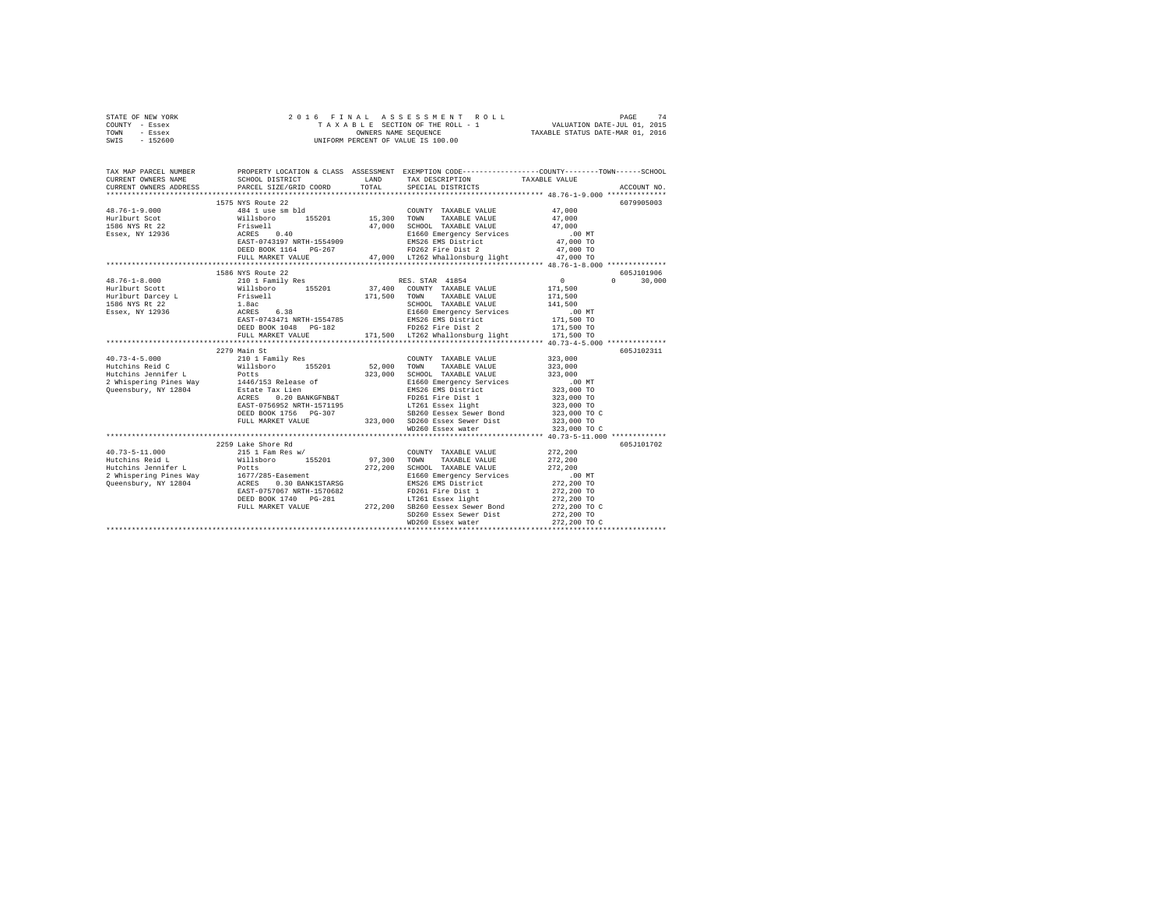| STATE OF NEW YORK                                                                                                                                                                                                                                                                                                                                                                                         |                    |       |                                                                                                                                                                                                                                  |               |               |
|-----------------------------------------------------------------------------------------------------------------------------------------------------------------------------------------------------------------------------------------------------------------------------------------------------------------------------------------------------------------------------------------------------------|--------------------|-------|----------------------------------------------------------------------------------------------------------------------------------------------------------------------------------------------------------------------------------|---------------|---------------|
| COUNTY - Essex                                                                                                                                                                                                                                                                                                                                                                                            |                    |       |                                                                                                                                                                                                                                  |               |               |
| TOWN - Essex                                                                                                                                                                                                                                                                                                                                                                                              |                    |       |                                                                                                                                                                                                                                  |               |               |
| SWIS - 152600                                                                                                                                                                                                                                                                                                                                                                                             |                    |       |                                                                                                                                                                                                                                  |               |               |
|                                                                                                                                                                                                                                                                                                                                                                                                           |                    |       |                                                                                                                                                                                                                                  |               |               |
|                                                                                                                                                                                                                                                                                                                                                                                                           |                    |       |                                                                                                                                                                                                                                  |               |               |
|                                                                                                                                                                                                                                                                                                                                                                                                           |                    |       |                                                                                                                                                                                                                                  |               |               |
|                                                                                                                                                                                                                                                                                                                                                                                                           |                    |       |                                                                                                                                                                                                                                  |               |               |
|                                                                                                                                                                                                                                                                                                                                                                                                           |                    |       | TAX DESCRIPTION                                                                                                                                                                                                                  | TAXABLE VALUE |               |
| CURRENT OWNERS ADDRESS PARCEL SIZE/GRID COORD                                                                                                                                                                                                                                                                                                                                                             |                    | TOTAL | SPECIAL DISTRICTS                                                                                                                                                                                                                |               | ACCOUNT NO.   |
|                                                                                                                                                                                                                                                                                                                                                                                                           |                    |       |                                                                                                                                                                                                                                  |               |               |
|                                                                                                                                                                                                                                                                                                                                                                                                           | 1575 NYS Route 22  |       |                                                                                                                                                                                                                                  |               | 6079905003    |
|                                                                                                                                                                                                                                                                                                                                                                                                           |                    |       |                                                                                                                                                                                                                                  |               |               |
|                                                                                                                                                                                                                                                                                                                                                                                                           |                    |       |                                                                                                                                                                                                                                  |               |               |
|                                                                                                                                                                                                                                                                                                                                                                                                           |                    |       |                                                                                                                                                                                                                                  |               |               |
|                                                                                                                                                                                                                                                                                                                                                                                                           |                    |       |                                                                                                                                                                                                                                  |               |               |
|                                                                                                                                                                                                                                                                                                                                                                                                           |                    |       |                                                                                                                                                                                                                                  |               |               |
|                                                                                                                                                                                                                                                                                                                                                                                                           |                    |       |                                                                                                                                                                                                                                  |               |               |
|                                                                                                                                                                                                                                                                                                                                                                                                           |                    |       |                                                                                                                                                                                                                                  |               |               |
| $\begin{tabular}{lllllllllllll} \multicolumn{3}{l}{{\small 48.76-1-9.000}}&\multicolumn{3}{l}{{\small 48.76-1-9.000}}&\multicolumn{3}{l}{{\small 47.000}}&\multicolumn{3}{l}{{\small 47.000}}&\multicolumn{3}{l}{{\small 47.000}}&\multicolumn{3}{l}{{\small 47.000}}&\multicolumn{3}{l}{{\small 47.000}}&\multicolumn{3}{l}{{\small 47.000}}&\multicolumn{3}{l}{{\small 47.000}}&\multic$                |                    |       |                                                                                                                                                                                                                                  |               |               |
| $\begin{tabular}{l c c c c c} \multicolumn{1}{c}{\textbf{48.76--1-8.000}} & \multicolumn{1}{c}{1586 $\text{NYS} $ \text{ RUC} $ \multicolumn{1}{c}{\textbf{48.76--1-8.000}} & \multicolumn{1}{c}{1586 $\text{NYS} $ \text{ RUC} $ \multicolumn{1}{c}{\textbf{55201}}$ & \multicolumn{1}{c}{\textbf{RES. STRA 41854}} & \multicolumn{1}{c}{\textbf{RUS. STRA 41854}} & \multicolumn{1}{c}{\textbf{171,500$ |                    |       |                                                                                                                                                                                                                                  |               | 605J101906    |
|                                                                                                                                                                                                                                                                                                                                                                                                           |                    |       |                                                                                                                                                                                                                                  |               | $0 \t 30.000$ |
|                                                                                                                                                                                                                                                                                                                                                                                                           |                    |       |                                                                                                                                                                                                                                  |               |               |
|                                                                                                                                                                                                                                                                                                                                                                                                           |                    |       |                                                                                                                                                                                                                                  |               |               |
|                                                                                                                                                                                                                                                                                                                                                                                                           |                    |       |                                                                                                                                                                                                                                  |               |               |
|                                                                                                                                                                                                                                                                                                                                                                                                           |                    |       |                                                                                                                                                                                                                                  |               |               |
|                                                                                                                                                                                                                                                                                                                                                                                                           |                    |       |                                                                                                                                                                                                                                  |               |               |
|                                                                                                                                                                                                                                                                                                                                                                                                           |                    |       |                                                                                                                                                                                                                                  |               |               |
|                                                                                                                                                                                                                                                                                                                                                                                                           |                    |       | FULL MARKET VALUE 171,500 17262 Whallonsburg light 171,500 TO                                                                                                                                                                    |               |               |
|                                                                                                                                                                                                                                                                                                                                                                                                           |                    |       |                                                                                                                                                                                                                                  |               |               |
|                                                                                                                                                                                                                                                                                                                                                                                                           | 2279 Main St       |       |                                                                                                                                                                                                                                  |               | 605J102311    |
|                                                                                                                                                                                                                                                                                                                                                                                                           |                    |       |                                                                                                                                                                                                                                  |               |               |
|                                                                                                                                                                                                                                                                                                                                                                                                           |                    |       |                                                                                                                                                                                                                                  |               |               |
|                                                                                                                                                                                                                                                                                                                                                                                                           |                    |       |                                                                                                                                                                                                                                  |               |               |
|                                                                                                                                                                                                                                                                                                                                                                                                           |                    |       |                                                                                                                                                                                                                                  |               |               |
|                                                                                                                                                                                                                                                                                                                                                                                                           |                    |       |                                                                                                                                                                                                                                  |               |               |
|                                                                                                                                                                                                                                                                                                                                                                                                           |                    |       |                                                                                                                                                                                                                                  |               |               |
|                                                                                                                                                                                                                                                                                                                                                                                                           |                    |       |                                                                                                                                                                                                                                  |               |               |
|                                                                                                                                                                                                                                                                                                                                                                                                           |                    |       |                                                                                                                                                                                                                                  | 323,000 TO    |               |
|                                                                                                                                                                                                                                                                                                                                                                                                           |                    |       | ACRES 0.20 BANKGFNBAT<br>EAST-0756952 NRTH-1571195<br>DEED BOOK 1756 DC-307<br>DEED BOOK 1756 DC-307 5223,000 SD260 Essex Sewer Bist<br>FULL MARKET VALUE 323,000 SD260 Essex Sewer Dist<br>SB260 Eessex Sewer Bond 323,000 TO C |               |               |
|                                                                                                                                                                                                                                                                                                                                                                                                           |                    |       |                                                                                                                                                                                                                                  | 323,000 TO    |               |
|                                                                                                                                                                                                                                                                                                                                                                                                           |                    |       | WD260 Essex water                                                                                                                                                                                                                | 323,000 TO C  |               |
|                                                                                                                                                                                                                                                                                                                                                                                                           |                    |       |                                                                                                                                                                                                                                  |               |               |
|                                                                                                                                                                                                                                                                                                                                                                                                           | 2259 Lake Shore Rd |       |                                                                                                                                                                                                                                  |               | 605J101702    |
|                                                                                                                                                                                                                                                                                                                                                                                                           |                    |       | COUNTY TAXABLE VALUE 272,200                                                                                                                                                                                                     |               |               |
|                                                                                                                                                                                                                                                                                                                                                                                                           |                    |       |                                                                                                                                                                                                                                  | 272,200       |               |
|                                                                                                                                                                                                                                                                                                                                                                                                           |                    |       |                                                                                                                                                                                                                                  | 272,200       |               |
|                                                                                                                                                                                                                                                                                                                                                                                                           |                    |       |                                                                                                                                                                                                                                  | .00MT         |               |
|                                                                                                                                                                                                                                                                                                                                                                                                           |                    |       |                                                                                                                                                                                                                                  | 272,200 TO    |               |
|                                                                                                                                                                                                                                                                                                                                                                                                           |                    |       |                                                                                                                                                                                                                                  |               |               |
|                                                                                                                                                                                                                                                                                                                                                                                                           |                    |       |                                                                                                                                                                                                                                  |               |               |
|                                                                                                                                                                                                                                                                                                                                                                                                           | FULL MARKET VALUE  |       | LT261 Essex light<br>272,200 SB260 Eessex Sewer Bond                                                                                                                                                                             | 272,200 TO C  |               |
|                                                                                                                                                                                                                                                                                                                                                                                                           |                    |       | SD260 Essex Sewer Dist                                                                                                                                                                                                           | $272,200$ TO  |               |
|                                                                                                                                                                                                                                                                                                                                                                                                           |                    |       | WD260 Essex water                                                                                                                                                                                                                | 272,200 TO C  |               |
|                                                                                                                                                                                                                                                                                                                                                                                                           |                    |       |                                                                                                                                                                                                                                  |               |               |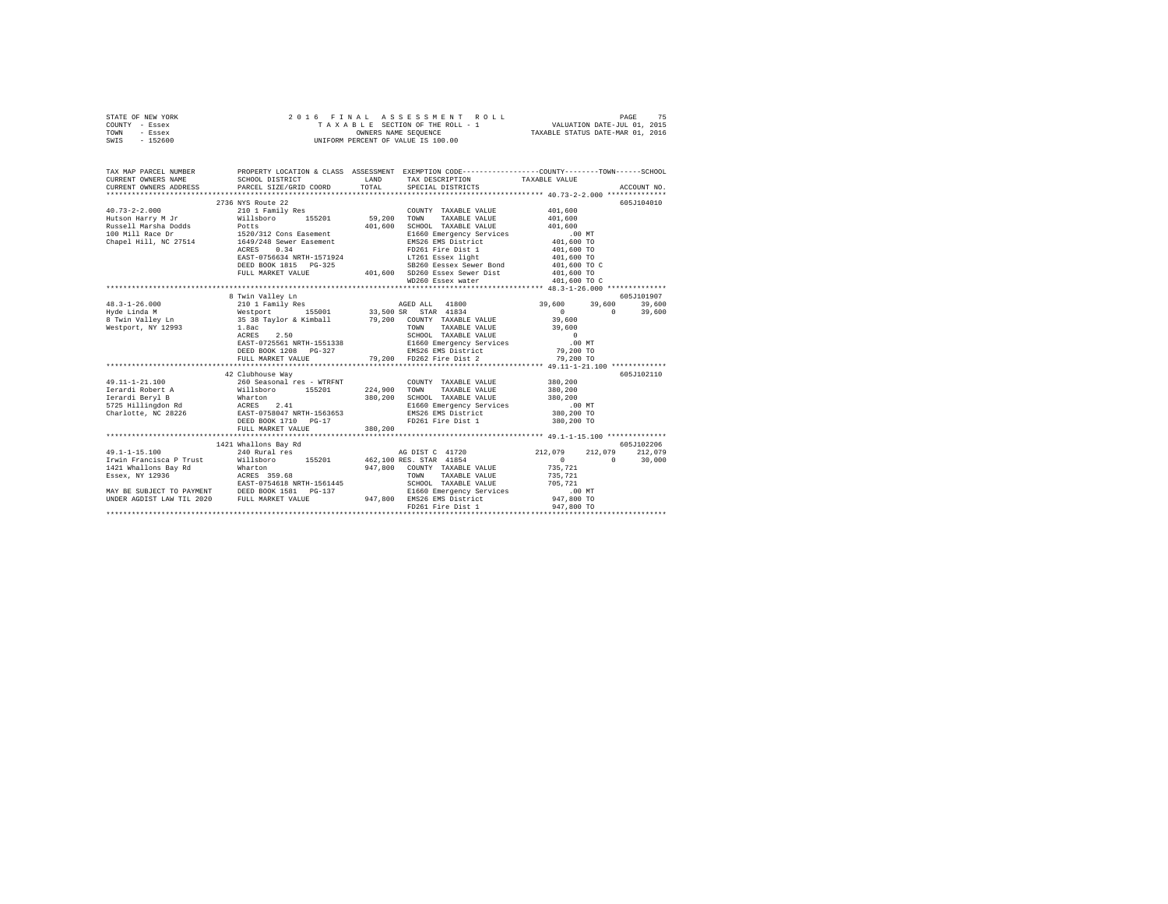| STATE OF NEW YORK | 2016 FINAL ASSESSMENT ROLL         | 75<br>PAGE                       |
|-------------------|------------------------------------|----------------------------------|
| COUNTY - Essex    | TAXABLE SECTION OF THE ROLL - 1    | VALUATION DATE-JUL 01, 2015      |
| TOWN<br>- Essex   | OWNERS NAME SEOUENCE               | TAXABLE STATUS DATE-MAR 01, 2016 |
| $-152600$<br>SWIS | UNIFORM PERCENT OF VALUE IS 100.00 |                                  |

| TAX MAP PARCEL NUMBER |                                                                                                                                                                                                                                              |         |                                                                                                                                                                                                                                                     | PROPERTY LOCATION & CLASS ASSESSMENT EXEMPTION CODE---------------COUNTY-------TOWN------SCHOOL |            |
|-----------------------|----------------------------------------------------------------------------------------------------------------------------------------------------------------------------------------------------------------------------------------------|---------|-----------------------------------------------------------------------------------------------------------------------------------------------------------------------------------------------------------------------------------------------------|-------------------------------------------------------------------------------------------------|------------|
|                       |                                                                                                                                                                                                                                              |         |                                                                                                                                                                                                                                                     |                                                                                                 |            |
|                       | 2736 NYS Route 22                                                                                                                                                                                                                            |         |                                                                                                                                                                                                                                                     |                                                                                                 | 605J104010 |
| $40.73 - 2 - 2.000$   | 210 1 Family Res                                                                                                                                                                                                                             |         | COUNTY TAXABLE VALUE                                                                                                                                                                                                                                | 401,600                                                                                         |            |
|                       |                                                                                                                                                                                                                                              |         | TOWN<br>TAXABLE VALUE                                                                                                                                                                                                                               | 401,600                                                                                         |            |
|                       |                                                                                                                                                                                                                                              |         | SCHOOL TAXABLE VALUE                                                                                                                                                                                                                                | 401,600                                                                                         |            |
|                       |                                                                                                                                                                                                                                              |         |                                                                                                                                                                                                                                                     |                                                                                                 |            |
|                       |                                                                                                                                                                                                                                              |         |                                                                                                                                                                                                                                                     |                                                                                                 |            |
|                       | 0.34<br>ACRES                                                                                                                                                                                                                                |         |                                                                                                                                                                                                                                                     |                                                                                                 |            |
|                       | ACRES 0.34<br>EAST-0756634 NRTH-1571924                                                                                                                                                                                                      |         |                                                                                                                                                                                                                                                     |                                                                                                 |            |
|                       | DEED BOOK 1815 PG-325                                                                                                                                                                                                                        |         |                                                                                                                                                                                                                                                     |                                                                                                 |            |
|                       | FULL MARKET VALUE                                                                                                                                                                                                                            |         |                                                                                                                                                                                                                                                     |                                                                                                 |            |
|                       |                                                                                                                                                                                                                                              |         | = 1,000 SCROOL TAXABLY VALUE = 10.00 MT<br>= 101,000 SCROOL TAXABLY VALUE = 101,600 TO<br>= 101,600 TO<br>= 101,600 TO<br>= 101,600 TO<br>= 101,600 TO<br>= 101,600 TO<br>= 101,600 TO<br>= 101,600 TO<br>= 101,600 TO<br>= 101,600 TO<br>= 101,600 |                                                                                                 |            |
|                       |                                                                                                                                                                                                                                              |         |                                                                                                                                                                                                                                                     |                                                                                                 |            |
|                       | 8 Twin Valley Ln                                                                                                                                                                                                                             |         |                                                                                                                                                                                                                                                     |                                                                                                 | 605J101907 |
|                       |                                                                                                                                                                                                                                              |         | AGED ALL 41800 39,600 39,600                                                                                                                                                                                                                        |                                                                                                 | 39,600     |
|                       |                                                                                                                                                                                                                                              |         |                                                                                                                                                                                                                                                     | $\begin{array}{c} 0 \\ 39,600 \end{array}$<br>$\Omega$                                          | 39,600     |
|                       |                                                                                                                                                                                                                                              |         |                                                                                                                                                                                                                                                     |                                                                                                 |            |
|                       |                                                                                                                                                                                                                                              |         | TAXABLE VALUE 39,600                                                                                                                                                                                                                                |                                                                                                 |            |
|                       |                                                                                                                                                                                                                                              |         |                                                                                                                                                                                                                                                     |                                                                                                 |            |
|                       |                                                                                                                                                                                                                                              |         |                                                                                                                                                                                                                                                     |                                                                                                 |            |
|                       |                                                                                                                                                                                                                                              |         |                                                                                                                                                                                                                                                     |                                                                                                 |            |
|                       | ACRES 2.50 SCHOOL TAXABLE VALUE<br>BASE-0725561 NRTH-1551338 SCHOOL TAXABLE VALUE<br>DEED BOOK 1208 PG-327 EMS26 EMS District 79,200 TO<br>FULL MARKET VALUE<br>PULL ARKET VALUE<br>PULL ARKET VALUE<br>PULL ARKET VALUE<br>PULL ARKET VALUE |         |                                                                                                                                                                                                                                                     |                                                                                                 |            |
|                       |                                                                                                                                                                                                                                              |         |                                                                                                                                                                                                                                                     |                                                                                                 |            |
|                       | 42 Clubhouse Way                                                                                                                                                                                                                             |         |                                                                                                                                                                                                                                                     |                                                                                                 | 605J102110 |
|                       |                                                                                                                                                                                                                                              |         |                                                                                                                                                                                                                                                     | 380,200                                                                                         |            |
|                       |                                                                                                                                                                                                                                              |         |                                                                                                                                                                                                                                                     |                                                                                                 |            |
|                       |                                                                                                                                                                                                                                              |         | SCHOOL TAXABLE VALUE 380,200<br>E1660 Emergency Services .00                                                                                                                                                                                        |                                                                                                 |            |
|                       |                                                                                                                                                                                                                                              |         | E1660 Emergency Services .00 MT<br>EMS26 EMS District 380,200 TO                                                                                                                                                                                    |                                                                                                 |            |
|                       | DEED BOOK 1710 PG-17                                                                                                                                                                                                                         |         | FD261 Fire Dist 1 380,200 TO                                                                                                                                                                                                                        |                                                                                                 |            |
|                       | FULL MARKET VALUE                                                                                                                                                                                                                            | 380,200 |                                                                                                                                                                                                                                                     |                                                                                                 |            |
|                       |                                                                                                                                                                                                                                              |         |                                                                                                                                                                                                                                                     |                                                                                                 |            |
|                       |                                                                                                                                                                                                                                              |         |                                                                                                                                                                                                                                                     |                                                                                                 | 605J102206 |
|                       | 1421 Whallons Bay Rd<br>240 Rural res                                                                                                                                                                                                        |         |                                                                                                                                                                                                                                                     | 212,079 212,079                                                                                 |            |
|                       | 49.1-1-15.100 240 Rural res AG DIST C 41720 212,079<br>19.1-1-15.100 212,079 113boro 155201 462,100 RES. STAR 41854                                                                                                                          |         |                                                                                                                                                                                                                                                     | $\Omega$                                                                                        | 30,000     |
|                       |                                                                                                                                                                                                                                              |         |                                                                                                                                                                                                                                                     |                                                                                                 |            |
|                       |                                                                                                                                                                                                                                              |         |                                                                                                                                                                                                                                                     | 735,721<br>735,721                                                                              |            |
|                       |                                                                                                                                                                                                                                              |         | SCHOOL TAXABLE VALUE 705,721                                                                                                                                                                                                                        |                                                                                                 |            |
|                       |                                                                                                                                                                                                                                              |         |                                                                                                                                                                                                                                                     |                                                                                                 |            |
|                       | MAY BE SUBJECT TO PAYMENT DEED BOOK 1581 PG-137<br>UNDER AGDIST LAW TIL 2020 FULL MARKET VALUE                                                                                                                                               |         |                                                                                                                                                                                                                                                     |                                                                                                 |            |
|                       |                                                                                                                                                                                                                                              |         | E137 1970 11660 Emergency Services 1987, 00 MT<br>1947,800 EMS26 EMS District 1987,800 TO<br>1947,800 19261 Fire Dist 1 1987,800 TO                                                                                                                 |                                                                                                 |            |
|                       |                                                                                                                                                                                                                                              |         |                                                                                                                                                                                                                                                     |                                                                                                 |            |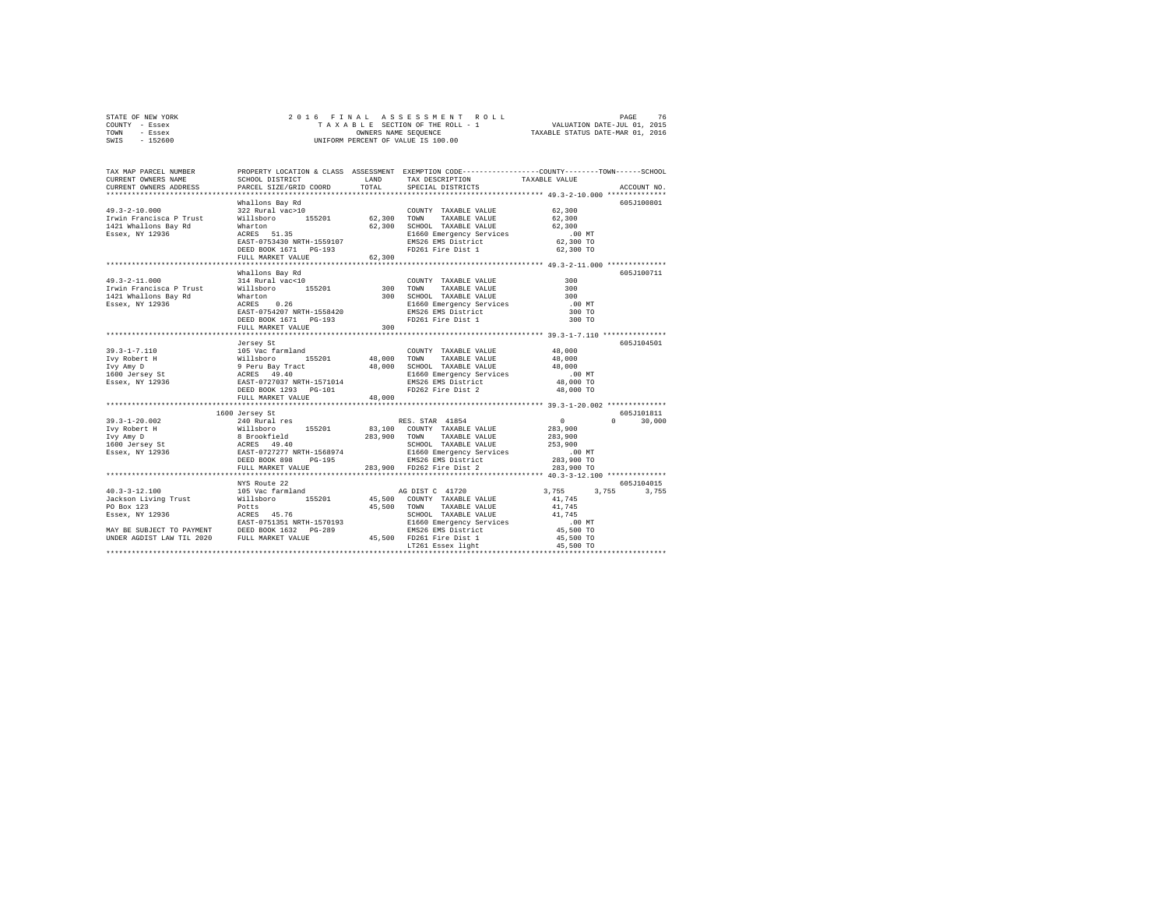| STATE OF NEW YORK | 2016 FINAL ASSESSMENT ROLL         | 76<br>PAGE                       |
|-------------------|------------------------------------|----------------------------------|
| COUNTY - Essex    | TAXABLE SECTION OF THE ROLL - 1    | VALUATION DATE-JUL 01, 2015      |
| TOWN<br>- Essex   | OWNERS NAME SEOUENCE               | TAXABLE STATUS DATE-MAR 01, 2016 |
| - 152600<br>SWIS  | UNIFORM PERCENT OF VALUE IS 100.00 |                                  |

| TAX MAP PARCEL NUMBER<br>CURRENT OWNERS NAME<br>CURRENT OWNERS ADDRESS                                                                                                                                                               | SCHOOL DISTRICT<br>PARCEL SIZE/GRID COORD        | LAND<br>TOTAL | TAX DESCRIPTION<br>SPECIAL DISTRICTS                                                                                                                                                        | PROPERTY LOCATION & CLASS ASSESSMENT EXEMPTION CODE---------------COUNTY-------TOWN-----SCHOOL<br>TAXABLE VALUE<br>ACCOUNT NO. |
|--------------------------------------------------------------------------------------------------------------------------------------------------------------------------------------------------------------------------------------|--------------------------------------------------|---------------|---------------------------------------------------------------------------------------------------------------------------------------------------------------------------------------------|--------------------------------------------------------------------------------------------------------------------------------|
|                                                                                                                                                                                                                                      |                                                  |               |                                                                                                                                                                                             |                                                                                                                                |
|                                                                                                                                                                                                                                      | Whallons Bay Rd                                  |               |                                                                                                                                                                                             | 605J100801                                                                                                                     |
| $49.3 - 2 - 10.000$                                                                                                                                                                                                                  | 322 Rural vac>10                                 |               | COUNTY TAXABLE VALUE                                                                                                                                                                        | 62,300                                                                                                                         |
|                                                                                                                                                                                                                                      |                                                  |               | TAXABLE VALUE 62,300                                                                                                                                                                        |                                                                                                                                |
|                                                                                                                                                                                                                                      |                                                  |               | 62,300 SCHOOL TAXABLE VALUE                                                                                                                                                                 | 62,300                                                                                                                         |
| 12000 12000 12000 12000 12000 12000 12000 12000 131421 Whallons Bay Rd Willsboro<br>1421 Whallons Bay Rd Wharton 62,300 12000 162600<br>1289ex, NY 12936 13660 12000 12000 12000 12000 12000 1201<br>16826 12000 12010 12020 1203    |                                                  |               | E1660 Emergency Services<br>EMS26 EMS District                                                                                                                                              |                                                                                                                                |
|                                                                                                                                                                                                                                      | DEED BOOK 1671 PG-193                            |               | FD261 Fire Dist 1 62,300 TO                                                                                                                                                                 | $62,300$ TO                                                                                                                    |
|                                                                                                                                                                                                                                      | FULL MARKET VALUE                                | 62,300        |                                                                                                                                                                                             |                                                                                                                                |
|                                                                                                                                                                                                                                      |                                                  |               |                                                                                                                                                                                             |                                                                                                                                |
|                                                                                                                                                                                                                                      | Whallons Bay Rd                                  |               |                                                                                                                                                                                             | 605-7100711                                                                                                                    |
| $49.3 - 2 - 11.000$                                                                                                                                                                                                                  |                                                  |               | COUNTY TAXABLE VALUE                                                                                                                                                                        | 300                                                                                                                            |
| Irwin Francisca P Trust                                                                                                                                                                                                              | 314 Rural vac<10 COUNT Villsboro 155201 300 TOWN |               | TAXABLE VALUE                                                                                                                                                                               | 300                                                                                                                            |
| 1421 Whallons Bay Rd                                                                                                                                                                                                                 |                                                  |               |                                                                                                                                                                                             | 300                                                                                                                            |
| Essex, NY 12936                                                                                                                                                                                                                      |                                                  |               |                                                                                                                                                                                             | $.00$ MT                                                                                                                       |
|                                                                                                                                                                                                                                      |                                                  |               |                                                                                                                                                                                             | 300 TO                                                                                                                         |
|                                                                                                                                                                                                                                      |                                                  |               |                                                                                                                                                                                             | 300 TO                                                                                                                         |
|                                                                                                                                                                                                                                      | FULL MARKET VALUE                                | 300           |                                                                                                                                                                                             |                                                                                                                                |
|                                                                                                                                                                                                                                      |                                                  |               |                                                                                                                                                                                             |                                                                                                                                |
|                                                                                                                                                                                                                                      | Jersey St                                        |               |                                                                                                                                                                                             | 605J104501                                                                                                                     |
|                                                                                                                                                                                                                                      |                                                  |               | COUNTY TAXABLE VALUE 48,000                                                                                                                                                                 |                                                                                                                                |
|                                                                                                                                                                                                                                      |                                                  |               |                                                                                                                                                                                             | 48,000                                                                                                                         |
|                                                                                                                                                                                                                                      |                                                  |               |                                                                                                                                                                                             | 48,000                                                                                                                         |
|                                                                                                                                                                                                                                      |                                                  |               |                                                                                                                                                                                             | $.00$ MT                                                                                                                       |
|                                                                                                                                                                                                                                      |                                                  |               |                                                                                                                                                                                             | 48,000 TO                                                                                                                      |
| 39.3-1-7.110 105 Vac farmland COUNTY TAXABLE VALUE<br>IVY Robert H (105 Vac farmland 155201 48,000 TOWN TAXABLE VALUE<br>IVY Robert H (105 Vac farmland 48,000 SCHOOL TAXABLE VALUE<br>1600 Jersey St (19.400 ACRES 49.40) 21660 Eme |                                                  |               |                                                                                                                                                                                             | 48,000 TO                                                                                                                      |
|                                                                                                                                                                                                                                      | FULL MARKET VALUE                                | 48,000        |                                                                                                                                                                                             |                                                                                                                                |
|                                                                                                                                                                                                                                      |                                                  |               |                                                                                                                                                                                             |                                                                                                                                |
|                                                                                                                                                                                                                                      | 1600 Jersey St                                   |               |                                                                                                                                                                                             | 605J101811                                                                                                                     |
| $39.3 - 1 - 20.002$                                                                                                                                                                                                                  | 240 Rural res                                    |               | RES. STAR 41854                                                                                                                                                                             | $\sim$ 0<br>$0 \t 30,000$                                                                                                      |
|                                                                                                                                                                                                                                      |                                                  |               |                                                                                                                                                                                             | 283,900                                                                                                                        |
|                                                                                                                                                                                                                                      |                                                  |               |                                                                                                                                                                                             | 283,900                                                                                                                        |
|                                                                                                                                                                                                                                      |                                                  |               | SCHOOL TAXABLE VALUE                                                                                                                                                                        | 253,900                                                                                                                        |
| Notice that the mail of the control of the mail of the mail of the mail of the mail of the mail of the mail of<br>The mail of the second the service of the service of the services of the services of the services of the servic    |                                                  |               | E1660 Emergency Services                                                                                                                                                                    | $.00$ MT                                                                                                                       |
|                                                                                                                                                                                                                                      | $PG-195$<br>DEED BOOK 898                        |               | EMS26 EMS District                                                                                                                                                                          | 283,900 TO                                                                                                                     |
|                                                                                                                                                                                                                                      | FULL MARKET VALUE                                |               | 283,900 FD262 Fire Dist 2                                                                                                                                                                   | 283,900 TO                                                                                                                     |
|                                                                                                                                                                                                                                      | **********************                           |               |                                                                                                                                                                                             |                                                                                                                                |
|                                                                                                                                                                                                                                      | NYS Route 22                                     |               |                                                                                                                                                                                             | 605J104015                                                                                                                     |
|                                                                                                                                                                                                                                      |                                                  |               |                                                                                                                                                                                             | 3,755 3,755<br>3,755                                                                                                           |
|                                                                                                                                                                                                                                      |                                                  |               |                                                                                                                                                                                             | 41,745                                                                                                                         |
|                                                                                                                                                                                                                                      |                                                  |               | TAXABLE VALUE                                                                                                                                                                               | 41,745                                                                                                                         |
|                                                                                                                                                                                                                                      |                                                  |               |                                                                                                                                                                                             |                                                                                                                                |
|                                                                                                                                                                                                                                      |                                                  |               |                                                                                                                                                                                             |                                                                                                                                |
|                                                                                                                                                                                                                                      |                                                  |               |                                                                                                                                                                                             |                                                                                                                                |
|                                                                                                                                                                                                                                      |                                                  |               | 1570193<br>1570193<br>1660 Emergency Services<br>2.89<br>1660 TO EMS26 EMS District<br>16,500 TO<br>165,500 TO<br>17261 Essex light<br>165,500 TO<br>165,500 TO<br>165,500 TO<br>165,500 TO |                                                                                                                                |
|                                                                                                                                                                                                                                      |                                                  |               |                                                                                                                                                                                             |                                                                                                                                |
|                                                                                                                                                                                                                                      |                                                  |               |                                                                                                                                                                                             |                                                                                                                                |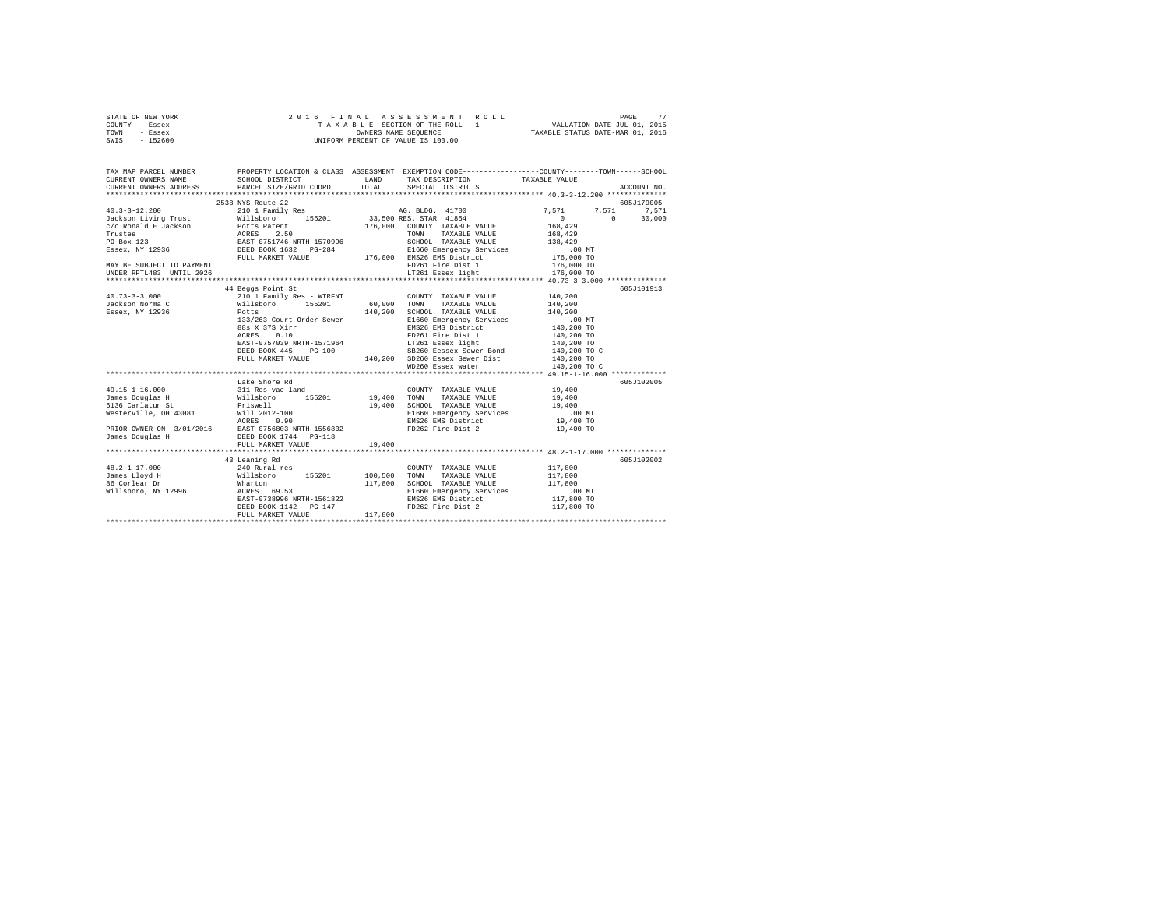| STATE OF NEW YORK | 2016 FINAL ASSESSMENT ROLL         | 77<br>PAGE                       |
|-------------------|------------------------------------|----------------------------------|
| COUNTY - Essex    | TAXABLE SECTION OF THE ROLL - 1    | VALUATION DATE-JUL 01, 2015      |
| TOWN<br>- Essex   | OWNERS NAME SEOUENCE               | TAXABLE STATUS DATE-MAR 01, 2016 |
| - 152600<br>SWIS  | UNIFORM PERCENT OF VALUE IS 100.00 |                                  |

| TAX MAP PARCEL NUMBER<br>CURRENT OWNERS NAME |                                                                                                                                                                                                                                      |        |                              |                                                                                                                          |             |
|----------------------------------------------|--------------------------------------------------------------------------------------------------------------------------------------------------------------------------------------------------------------------------------------|--------|------------------------------|--------------------------------------------------------------------------------------------------------------------------|-------------|
|                                              | CURRENT OWNERS ADDRESS PARCEL SIZE/GRID COORD TOTAL SPECIAL DISTRICTS                                                                                                                                                                |        |                              |                                                                                                                          | ACCOUNT NO. |
|                                              |                                                                                                                                                                                                                                      |        |                              |                                                                                                                          |             |
|                                              | 2538 NYS Route 22                                                                                                                                                                                                                    |        |                              |                                                                                                                          | 605J179005  |
|                                              |                                                                                                                                                                                                                                      |        |                              | $\begin{array}{ccc} 7 \,, 571 & \quad & 7 \,, 571 & \quad & 7 \,, 571 \\ 0 & \quad & 0 & \quad & 30 \,, 000 \end{array}$ |             |
|                                              |                                                                                                                                                                                                                                      |        |                              |                                                                                                                          |             |
|                                              |                                                                                                                                                                                                                                      |        |                              |                                                                                                                          |             |
|                                              |                                                                                                                                                                                                                                      |        |                              |                                                                                                                          |             |
|                                              |                                                                                                                                                                                                                                      |        |                              |                                                                                                                          |             |
|                                              |                                                                                                                                                                                                                                      |        |                              |                                                                                                                          |             |
|                                              |                                                                                                                                                                                                                                      |        |                              |                                                                                                                          |             |
|                                              |                                                                                                                                                                                                                                      |        |                              |                                                                                                                          |             |
|                                              |                                                                                                                                                                                                                                      |        |                              |                                                                                                                          |             |
|                                              |                                                                                                                                                                                                                                      |        |                              |                                                                                                                          |             |
|                                              | 44 Beggs Point St                                                                                                                                                                                                                    |        |                              |                                                                                                                          | 605J101913  |
|                                              |                                                                                                                                                                                                                                      |        |                              |                                                                                                                          |             |
|                                              |                                                                                                                                                                                                                                      |        |                              |                                                                                                                          |             |
|                                              |                                                                                                                                                                                                                                      |        |                              |                                                                                                                          |             |
|                                              |                                                                                                                                                                                                                                      |        |                              |                                                                                                                          |             |
|                                              |                                                                                                                                                                                                                                      |        |                              |                                                                                                                          |             |
|                                              |                                                                                                                                                                                                                                      |        |                              |                                                                                                                          |             |
|                                              |                                                                                                                                                                                                                                      |        |                              |                                                                                                                          |             |
|                                              |                                                                                                                                                                                                                                      |        |                              |                                                                                                                          |             |
|                                              |                                                                                                                                                                                                                                      |        |                              |                                                                                                                          |             |
|                                              |                                                                                                                                                                                                                                      |        |                              |                                                                                                                          |             |
|                                              |                                                                                                                                                                                                                                      |        |                              |                                                                                                                          |             |
|                                              | Lake Shore Rd                                                                                                                                                                                                                        |        |                              |                                                                                                                          | 605J102005  |
| 49.15-1-16.000                               | 311 Res vac land                                                                                                                                                                                                                     |        | COUNTY TAXABLE VALUE 19,400  |                                                                                                                          |             |
|                                              |                                                                                                                                                                                                                                      |        |                              |                                                                                                                          |             |
|                                              |                                                                                                                                                                                                                                      |        |                              |                                                                                                                          |             |
|                                              |                                                                                                                                                                                                                                      |        |                              |                                                                                                                          |             |
|                                              |                                                                                                                                                                                                                                      |        |                              |                                                                                                                          |             |
|                                              |                                                                                                                                                                                                                                      |        |                              |                                                                                                                          |             |
|                                              |                                                                                                                                                                                                                                      |        |                              |                                                                                                                          |             |
|                                              |                                                                                                                                                                                                                                      | 19,400 |                              |                                                                                                                          |             |
|                                              | FULL MARKET VALUE                                                                                                                                                                                                                    |        |                              |                                                                                                                          |             |
|                                              |                                                                                                                                                                                                                                      |        |                              |                                                                                                                          |             |
|                                              | 43 Leaning Rd<br>43 Leaning Rd<br>240 Rural res                                                                                                                                                                                      |        | COUNTY TAXABLE VALUE 117,800 |                                                                                                                          | 605J102002  |
| $48.2 - 1 - 17.000$                          |                                                                                                                                                                                                                                      |        |                              |                                                                                                                          |             |
|                                              |                                                                                                                                                                                                                                      |        |                              |                                                                                                                          |             |
|                                              | 19.4-11.000 1000 1000 1000 1000 10000 10000 10000 10000 10000 10000 10000 10000 10000 10000 10000 10000 10000<br>19.4-2.1.000 10000 10000 10000 10000 10000 10000 10000 10000 10000 10000 10000 10000 10000 10000 10000 10000<br>117 |        |                              |                                                                                                                          |             |
|                                              |                                                                                                                                                                                                                                      |        |                              |                                                                                                                          |             |
|                                              |                                                                                                                                                                                                                                      |        |                              |                                                                                                                          |             |
|                                              | DEED BOOK 1142 PG-147<br>FULL MARKET VALUE 117,800                                                                                                                                                                                   |        | FD262 Fire Dist 2            | 117,800 TO                                                                                                               |             |
|                                              |                                                                                                                                                                                                                                      |        |                              |                                                                                                                          |             |
|                                              |                                                                                                                                                                                                                                      |        |                              |                                                                                                                          |             |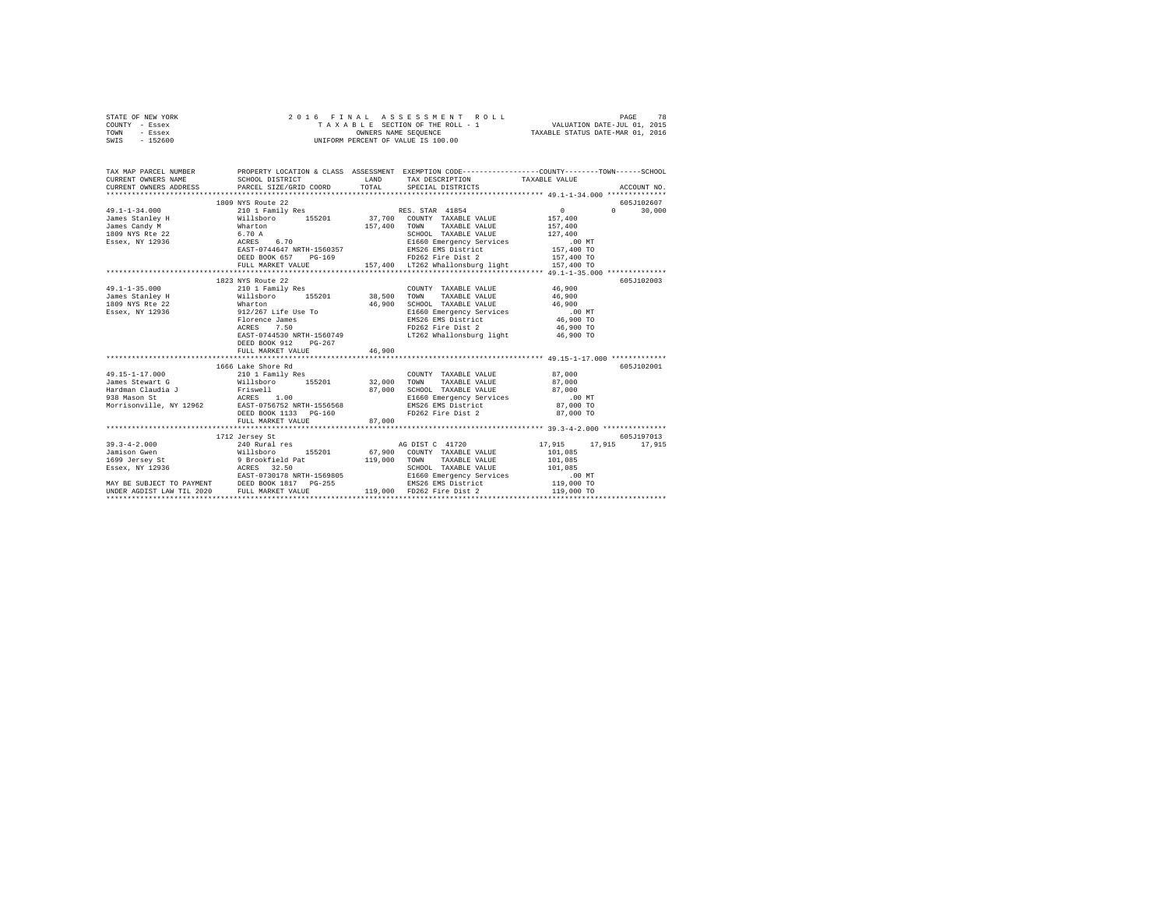| STATE OF NEW YORK<br>COUNTY - Essex<br>TOWN - Essex<br>SWIS - 152600                                                                                                                                                            | 2016 FINAL ASSESSMENT R<br>TAXABLE SECTION OF THE ROLL - 1<br>ONNERS NAME SEQUENCE<br>UNIFORM PERCENT OF VALUE IS 100.00 |        | FINAL ASSESSMENT ROLL PAGE 78<br>TAXABLE SECTION OF THE ROLL - 1 VALUATION DATE-JUL 01, 2015<br>OWNERS NAME SEQUENCE TAXABLE STATUS DATE-MAR 01, 2016 |             |                             |
|---------------------------------------------------------------------------------------------------------------------------------------------------------------------------------------------------------------------------------|--------------------------------------------------------------------------------------------------------------------------|--------|-------------------------------------------------------------------------------------------------------------------------------------------------------|-------------|-----------------------------|
| TAX MAP PARCEL NUMBER     PROPERTY LOCATION & CLASS ASSESSMENT EXEMPTION CODE--------------COUNTY-------TOWN------SCHOOL DISTRICT     LAND   TAX DESCRIPTION     TAXABLE VALUE<br>CURRENT OWNERS NAME<br>CURRENT OWNERS ADDRESS | PARCEL SIZE/GRID COORD TOTAL                                                                                             |        | SPECIAL DISTRICTS                                                                                                                                     |             | ACCOUNT NO.                 |
|                                                                                                                                                                                                                                 |                                                                                                                          |        |                                                                                                                                                       |             |                             |
|                                                                                                                                                                                                                                 | 1809 NYS Route 22                                                                                                        |        |                                                                                                                                                       |             | 605J102607                  |
|                                                                                                                                                                                                                                 |                                                                                                                          |        |                                                                                                                                                       |             |                             |
|                                                                                                                                                                                                                                 | FULL MARKET VALUE 157,400 LT262 Whallonsburg light 157,400 TO                                                            |        |                                                                                                                                                       |             |                             |
|                                                                                                                                                                                                                                 |                                                                                                                          |        |                                                                                                                                                       |             |                             |
|                                                                                                                                                                                                                                 | 1823 NYS Route 22                                                                                                        |        |                                                                                                                                                       |             | 605J102003                  |
|                                                                                                                                                                                                                                 |                                                                                                                          |        |                                                                                                                                                       |             |                             |
|                                                                                                                                                                                                                                 |                                                                                                                          |        |                                                                                                                                                       |             |                             |
|                                                                                                                                                                                                                                 |                                                                                                                          |        |                                                                                                                                                       |             |                             |
|                                                                                                                                                                                                                                 |                                                                                                                          |        |                                                                                                                                                       |             |                             |
|                                                                                                                                                                                                                                 |                                                                                                                          |        |                                                                                                                                                       |             |                             |
|                                                                                                                                                                                                                                 | ACRES 7.50 FD262 Fire Dist 2<br>EAST-0744530 NRTH-1560749 LT262 Whallonsburg light                                       |        |                                                                                                                                                       |             |                             |
|                                                                                                                                                                                                                                 | DEED BOOK 912 PG-267<br>FULL MARKET VALUE                                                                                | 46,900 |                                                                                                                                                       | $46,900$ TO |                             |
|                                                                                                                                                                                                                                 |                                                                                                                          |        |                                                                                                                                                       |             |                             |
|                                                                                                                                                                                                                                 | 1666 Lake Shore Rd                                                                                                       |        |                                                                                                                                                       |             | 605J102001                  |
|                                                                                                                                                                                                                                 |                                                                                                                          |        |                                                                                                                                                       |             |                             |
|                                                                                                                                                                                                                                 | FULL MARKET VALUE 87,000                                                                                                 |        |                                                                                                                                                       |             |                             |
|                                                                                                                                                                                                                                 |                                                                                                                          |        |                                                                                                                                                       |             |                             |
|                                                                                                                                                                                                                                 | 1712 Jersey St                                                                                                           |        | AG DIST C 41720 17,915                                                                                                                                |             | 605J197013<br>17,915 17,915 |
|                                                                                                                                                                                                                                 |                                                                                                                          |        |                                                                                                                                                       |             |                             |
|                                                                                                                                                                                                                                 |                                                                                                                          |        |                                                                                                                                                       |             |                             |
|                                                                                                                                                                                                                                 |                                                                                                                          |        |                                                                                                                                                       |             |                             |
|                                                                                                                                                                                                                                 |                                                                                                                          |        |                                                                                                                                                       |             |                             |
|                                                                                                                                                                                                                                 |                                                                                                                          |        |                                                                                                                                                       |             |                             |
|                                                                                                                                                                                                                                 |                                                                                                                          |        |                                                                                                                                                       |             |                             |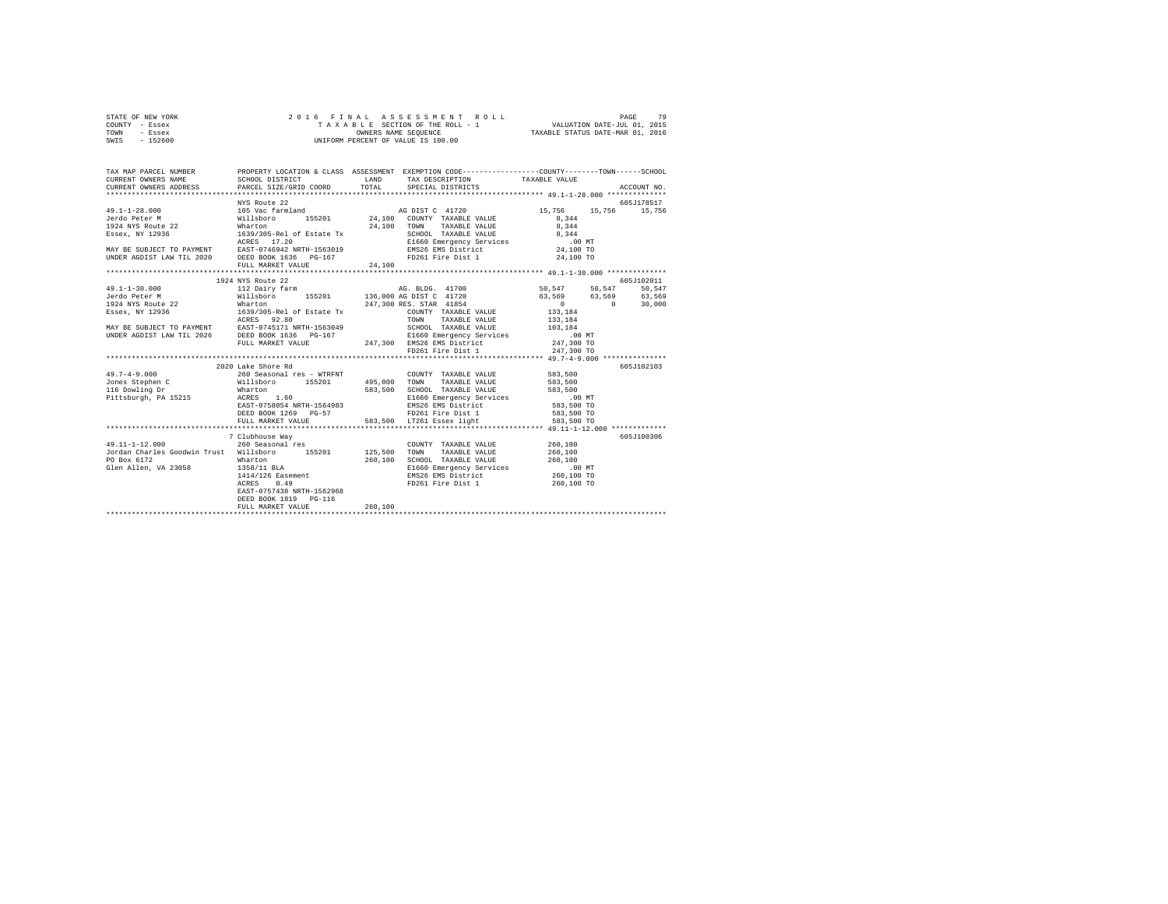| STATE OF NEW YORK | 2016 FINAL ASSESSMENT ROLL         | 79<br>PAGE                       |
|-------------------|------------------------------------|----------------------------------|
| COUNTY - Essex    | TAXABLE SECTION OF THE ROLL - 1    | VALUATION DATE-JUL 01, 2015      |
| TOWN<br>- Essex   | OWNERS NAME SEOUENCE               | TAXABLE STATUS DATE-MAR 01, 2016 |
| $-152600$<br>SWIS | UNIFORM PERCENT OF VALUE IS 100.00 |                                  |

| TAX MAP PARCEL NUMBER                                                                                                                                                                                                                          |                                     |         | PROPERTY LOCATION & CLASS ASSESSMENT EXEMPTION CODE----------------COUNTY-------TOWN-----SCHOOL |            |            |
|------------------------------------------------------------------------------------------------------------------------------------------------------------------------------------------------------------------------------------------------|-------------------------------------|---------|-------------------------------------------------------------------------------------------------|------------|------------|
|                                                                                                                                                                                                                                                |                                     |         |                                                                                                 |            |            |
|                                                                                                                                                                                                                                                |                                     |         |                                                                                                 |            |            |
|                                                                                                                                                                                                                                                |                                     |         |                                                                                                 |            |            |
|                                                                                                                                                                                                                                                |                                     |         |                                                                                                 |            |            |
|                                                                                                                                                                                                                                                |                                     |         |                                                                                                 |            |            |
|                                                                                                                                                                                                                                                |                                     |         |                                                                                                 |            |            |
|                                                                                                                                                                                                                                                |                                     |         |                                                                                                 |            |            |
|                                                                                                                                                                                                                                                |                                     |         |                                                                                                 |            |            |
|                                                                                                                                                                                                                                                |                                     |         |                                                                                                 |            |            |
| 1974 AG DIST C 41720<br>1974 AG DIST C 41720<br>1974 AG DIST C 41720<br>1974 AG DIST C 41720<br>1974 AG DIST C 41720<br>1974 AG DIST C 41720<br>1974 AG DIST C 41720<br>1974 AG DIST C 4174 AG DIST C 41720<br>1974 AG DIST C 4174 AG DIST C 4 |                                     |         |                                                                                                 |            |            |
|                                                                                                                                                                                                                                                |                                     |         |                                                                                                 |            |            |
|                                                                                                                                                                                                                                                | 1924 NYS Route 22                   |         |                                                                                                 |            | 605J102011 |
|                                                                                                                                                                                                                                                |                                     |         |                                                                                                 |            |            |
|                                                                                                                                                                                                                                                |                                     |         |                                                                                                 |            |            |
|                                                                                                                                                                                                                                                |                                     |         |                                                                                                 |            |            |
|                                                                                                                                                                                                                                                |                                     |         |                                                                                                 |            |            |
|                                                                                                                                                                                                                                                |                                     |         |                                                                                                 |            |            |
|                                                                                                                                                                                                                                                |                                     |         |                                                                                                 |            |            |
|                                                                                                                                                                                                                                                |                                     |         |                                                                                                 |            |            |
|                                                                                                                                                                                                                                                |                                     |         | FD261 Fire Dist 1                                                                               | 247,300 TO |            |
|                                                                                                                                                                                                                                                |                                     |         |                                                                                                 |            |            |
|                                                                                                                                                                                                                                                | 2020 Lake Shore Rd                  |         |                                                                                                 |            | 605J102103 |
|                                                                                                                                                                                                                                                |                                     |         |                                                                                                 |            |            |
|                                                                                                                                                                                                                                                |                                     |         |                                                                                                 |            |            |
|                                                                                                                                                                                                                                                |                                     |         |                                                                                                 |            |            |
|                                                                                                                                                                                                                                                |                                     |         |                                                                                                 |            |            |
|                                                                                                                                                                                                                                                |                                     |         |                                                                                                 |            |            |
|                                                                                                                                                                                                                                                |                                     |         |                                                                                                 |            |            |
|                                                                                                                                                                                                                                                |                                     |         |                                                                                                 |            |            |
|                                                                                                                                                                                                                                                |                                     |         |                                                                                                 |            |            |
|                                                                                                                                                                                                                                                | 7 Clubhouse Way<br>260 Seasonal res |         |                                                                                                 |            | 605J100306 |
|                                                                                                                                                                                                                                                |                                     |         |                                                                                                 |            |            |
|                                                                                                                                                                                                                                                |                                     |         |                                                                                                 |            |            |
|                                                                                                                                                                                                                                                |                                     |         |                                                                                                 |            |            |
|                                                                                                                                                                                                                                                |                                     |         |                                                                                                 |            |            |
|                                                                                                                                                                                                                                                |                                     |         |                                                                                                 |            |            |
|                                                                                                                                                                                                                                                |                                     |         |                                                                                                 |            |            |
|                                                                                                                                                                                                                                                | EAST-0757438 NRTH-1562968           |         |                                                                                                 |            |            |
|                                                                                                                                                                                                                                                | DEED BOOK 1819 PG-116               |         |                                                                                                 |            |            |
|                                                                                                                                                                                                                                                | FULL MARKET VALUE                   | 260,100 |                                                                                                 |            |            |
|                                                                                                                                                                                                                                                |                                     |         |                                                                                                 |            |            |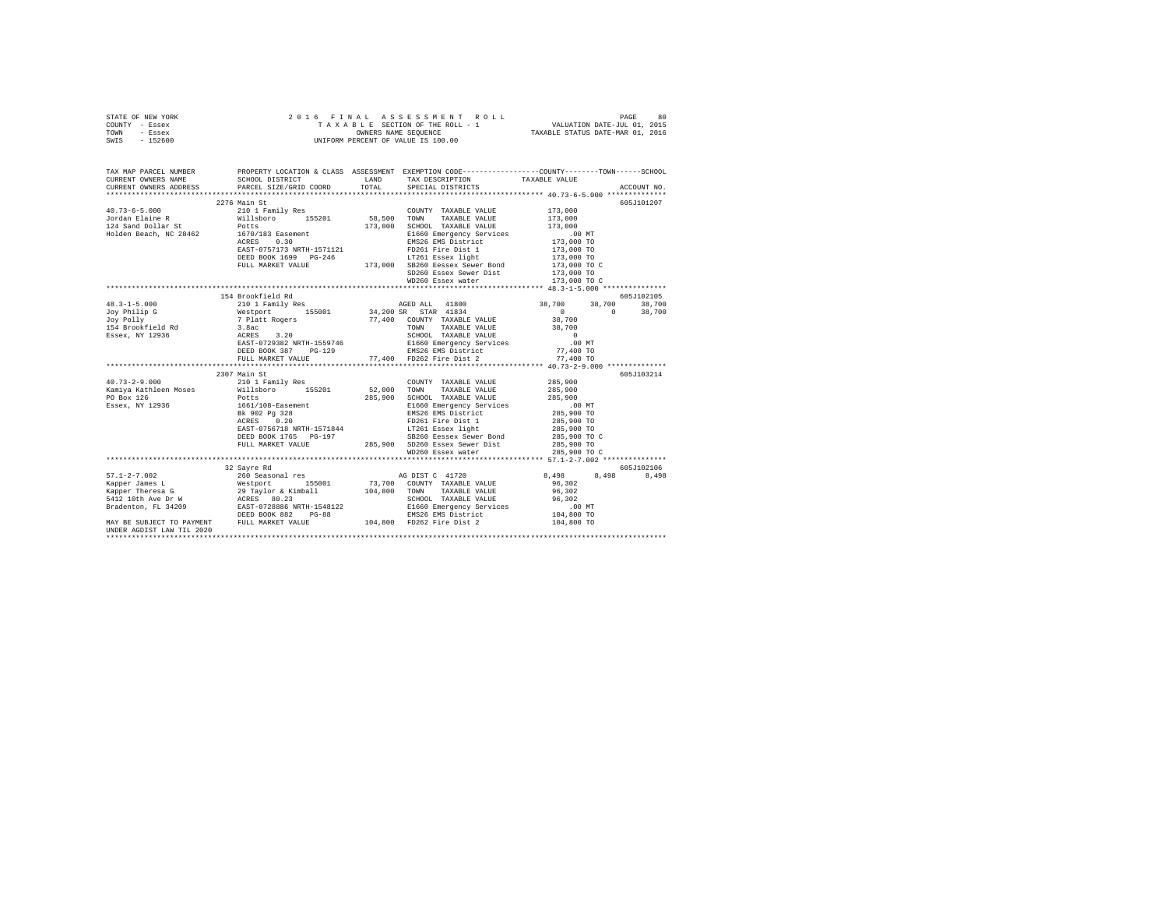| STATE OF NEW YORK | 2016 FINAL ASSESSMENT ROLL         | 80<br>PAGE                       |
|-------------------|------------------------------------|----------------------------------|
| COUNTY - Essex    | TAXABLE SECTION OF THE ROLL - 1    | VALUATION DATE-JUL 01, 2015      |
| TOWN<br>- Essex   | OWNERS NAME SEOUENCE               | TAXABLE STATUS DATE-MAR 01, 2016 |
| $-152600$<br>SWIS | UNIFORM PERCENT OF VALUE IS 100.00 |                                  |

| TAX MAP PARCEL NUMBER | PROPERTY LOCATION & CLASS ASSESSMENT EXEMPTION CODE-----------------COUNTY--------TOWN------SCHOOL<br>CURRENT OWNERS NAME SCHOOL DISTRICT WE LAND TAX DESCRIPTION TAXABLE VALUE |                                                                                                               |                            |             |
|-----------------------|---------------------------------------------------------------------------------------------------------------------------------------------------------------------------------|---------------------------------------------------------------------------------------------------------------|----------------------------|-------------|
|                       | CURRENT OWNERS ADDRESS PARCEL SIZE/GRID COORD TOTAL                                                                                                                             | SPECIAL DISTRICTS                                                                                             |                            | ACCOUNT NO. |
|                       |                                                                                                                                                                                 |                                                                                                               |                            |             |
|                       | 2276 Main St                                                                                                                                                                    |                                                                                                               |                            | 605J101207  |
|                       |                                                                                                                                                                                 |                                                                                                               |                            |             |
|                       |                                                                                                                                                                                 |                                                                                                               |                            |             |
|                       |                                                                                                                                                                                 |                                                                                                               |                            |             |
|                       |                                                                                                                                                                                 |                                                                                                               |                            |             |
|                       |                                                                                                                                                                                 |                                                                                                               |                            |             |
|                       |                                                                                                                                                                                 |                                                                                                               |                            |             |
|                       | DEED BOOK 1699 PG-246 173,000 EDSER 113,000 TO<br>FULL MARKET VALUE 173,000 SB260 Eessex Sewer Bond 173,000 TO C                                                                |                                                                                                               |                            |             |
|                       |                                                                                                                                                                                 |                                                                                                               |                            |             |
|                       |                                                                                                                                                                                 | SD260 Essex Sewer Dist                                                                                        | 173,000 TO<br>173,000 TO C |             |
|                       |                                                                                                                                                                                 |                                                                                                               |                            |             |
|                       | 154 Brookfield Rd                                                                                                                                                               |                                                                                                               |                            | 605J102105  |
|                       |                                                                                                                                                                                 |                                                                                                               |                            |             |
|                       |                                                                                                                                                                                 | 41800 18,700 38,700 38,700 38,700 38,700 38,700 38,700 38,700<br>34,200 SR STAR 41834 50 38,700 38,700 38,700 |                            |             |
|                       |                                                                                                                                                                                 |                                                                                                               |                            |             |
|                       |                                                                                                                                                                                 |                                                                                                               |                            |             |
|                       |                                                                                                                                                                                 |                                                                                                               |                            |             |
|                       |                                                                                                                                                                                 |                                                                                                               |                            |             |
|                       |                                                                                                                                                                                 |                                                                                                               |                            |             |
|                       |                                                                                                                                                                                 |                                                                                                               |                            |             |
|                       |                                                                                                                                                                                 |                                                                                                               |                            |             |
|                       | 2307 Main St                                                                                                                                                                    |                                                                                                               |                            | 605J103214  |
|                       |                                                                                                                                                                                 |                                                                                                               |                            |             |
|                       |                                                                                                                                                                                 |                                                                                                               |                            |             |
|                       |                                                                                                                                                                                 |                                                                                                               |                            |             |
|                       |                                                                                                                                                                                 |                                                                                                               |                            |             |
|                       |                                                                                                                                                                                 |                                                                                                               |                            |             |
|                       |                                                                                                                                                                                 |                                                                                                               |                            |             |
|                       |                                                                                                                                                                                 |                                                                                                               |                            |             |
|                       |                                                                                                                                                                                 |                                                                                                               |                            |             |
|                       |                                                                                                                                                                                 |                                                                                                               |                            |             |
|                       |                                                                                                                                                                                 | WD260 Essex water                                                                                             | 285,900 TO C               |             |
|                       |                                                                                                                                                                                 |                                                                                                               |                            |             |
|                       |                                                                                                                                                                                 |                                                                                                               |                            |             |
|                       |                                                                                                                                                                                 |                                                                                                               |                            |             |
|                       |                                                                                                                                                                                 |                                                                                                               |                            |             |
|                       |                                                                                                                                                                                 |                                                                                                               |                            |             |
|                       |                                                                                                                                                                                 |                                                                                                               |                            |             |
|                       |                                                                                                                                                                                 |                                                                                                               |                            |             |
|                       |                                                                                                                                                                                 |                                                                                                               |                            |             |
|                       |                                                                                                                                                                                 |                                                                                                               |                            |             |
|                       |                                                                                                                                                                                 |                                                                                                               |                            |             |
|                       |                                                                                                                                                                                 |                                                                                                               |                            |             |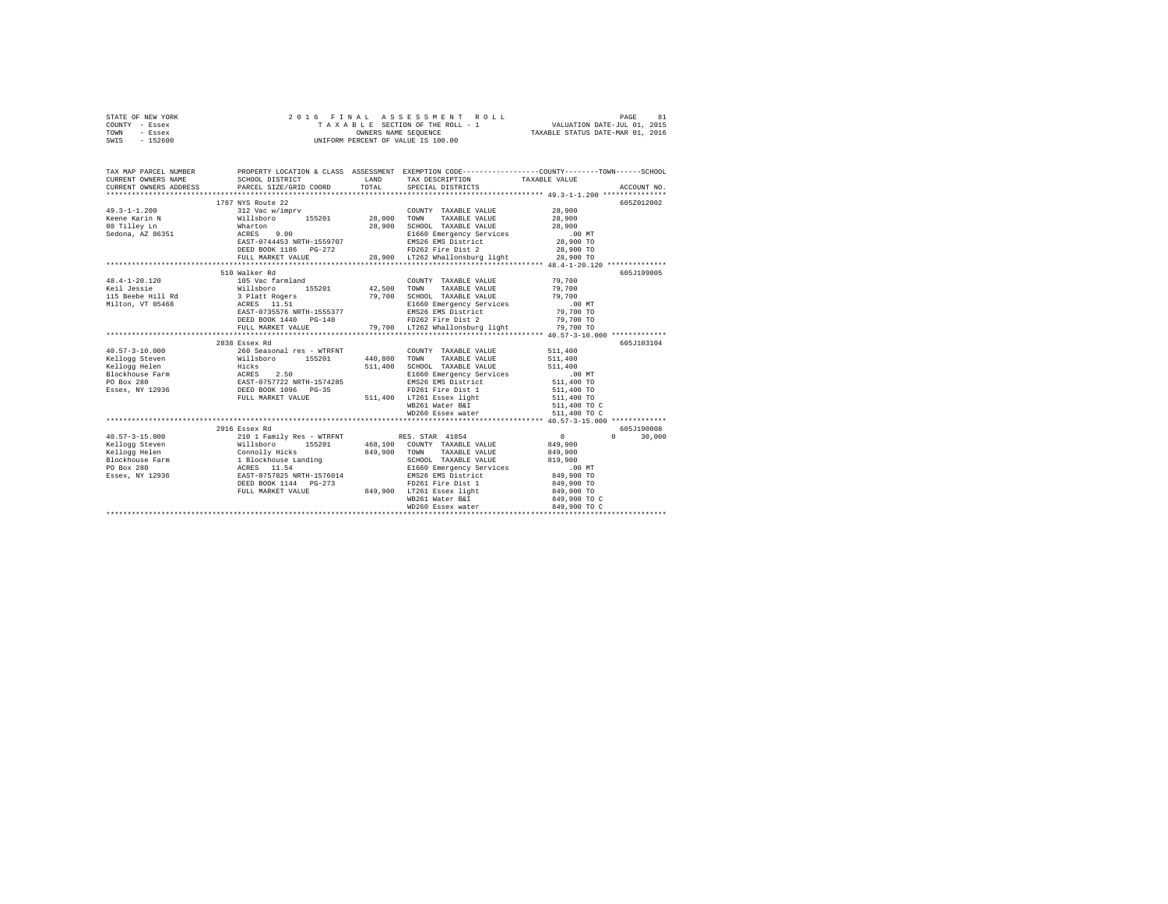|      | STATE OF NEW YORK |  | 2016 FINAL ASSESSMENT ROLL         | 81<br>PAGE                       |  |
|------|-------------------|--|------------------------------------|----------------------------------|--|
|      | COUNTY - Essex    |  | TAXABLE SECTION OF THE ROLL - 1    | VALUATION DATE-JUL 01, 2015      |  |
| TOWN | - Essex           |  | OWNERS NAME SEOUENCE               | TAXABLE STATUS DATE-MAR 01, 2016 |  |
| SWIS | - 152600          |  | UNIFORM PERCENT OF VALUE IS 100.00 |                                  |  |

| TAX MAP PARCEL NUMBER<br>$\begin{tabular}{lllllllll} \texttt{CURRENT} & & & & & & & \texttt{TAXABLE} & \texttt{WALUE} \\ \texttt{CURRENT} & & & & & \texttt{SCE0-BTE} & \texttt{CLOCD} & \texttt{ISTRICT} & \texttt{LAND} & \texttt{TAXABLE} & \texttt{SPECEIPTION} & & & & & \\ \texttt{CURRENT} & & & & & & \texttt{SPE0-BTE} & \texttt{PACEB} & \texttt{PACEB} & \texttt{PACEB} & \texttt{PACEB} & \texttt{PACEB} \\ \texttt{CUCIRT} & & & & & \texttt{SPE0-BTE}$ |                                           | PROPERTY LOCATION & CLASS ASSESSMENT EXEMPTION CODE----------------COUNTY-------TOWN------SCHOOL                                                                                                                               |                 |                        |
|----------------------------------------------------------------------------------------------------------------------------------------------------------------------------------------------------------------------------------------------------------------------------------------------------------------------------------------------------------------------------------------------------------------------------------------------------------------------|-------------------------------------------|--------------------------------------------------------------------------------------------------------------------------------------------------------------------------------------------------------------------------------|-----------------|------------------------|
|                                                                                                                                                                                                                                                                                                                                                                                                                                                                      |                                           |                                                                                                                                                                                                                                |                 |                        |
|                                                                                                                                                                                                                                                                                                                                                                                                                                                                      | 1787 NYS Route 22                         |                                                                                                                                                                                                                                |                 | 605Z012002             |
| $49.3 - 1 - 1.200$                                                                                                                                                                                                                                                                                                                                                                                                                                                   | 312 Vac w/imprv                           | COUNTY TAXABLE VALUE                                                                                                                                                                                                           | 28,900          |                        |
|                                                                                                                                                                                                                                                                                                                                                                                                                                                                      |                                           | TAXABLE VALUE 28,900<br>TOWN                                                                                                                                                                                                   |                 |                        |
|                                                                                                                                                                                                                                                                                                                                                                                                                                                                      |                                           | SCHOOL TAXABLE VALUE                                                                                                                                                                                                           | 28,900          |                        |
| Eeene Karin N Millsboro - 155201 28,000<br>28 Tilley Ln Marton Marton - 155201 28,900<br>29 Sedona, AZ 86351 - ACRES 9.00                                                                                                                                                                                                                                                                                                                                            |                                           | SCHOOL TAXABLE VALUE<br>E1660 Emergency Services .00 MT<br>EMERGY EMS District 28,900 TO                                                                                                                                       |                 |                        |
|                                                                                                                                                                                                                                                                                                                                                                                                                                                                      |                                           |                                                                                                                                                                                                                                |                 |                        |
|                                                                                                                                                                                                                                                                                                                                                                                                                                                                      |                                           | EAST-0744453 NRTH-1559707 28,900 TO 28,900 TO 28,900 TO 28,900 TO 28,900 TO 28,900 TO 28,900 TO 28,900 TO 28,900 TO 28,900 TO 28,900 TO 28,900 TO 28,900 TO 28,900 TO 28,900 TO 28,900 TO 28,900 TO 28,900 TO 28,900 TO 28,900 |                 |                        |
|                                                                                                                                                                                                                                                                                                                                                                                                                                                                      |                                           |                                                                                                                                                                                                                                |                 |                        |
|                                                                                                                                                                                                                                                                                                                                                                                                                                                                      |                                           |                                                                                                                                                                                                                                |                 |                        |
|                                                                                                                                                                                                                                                                                                                                                                                                                                                                      | 510 Walker Rd                             |                                                                                                                                                                                                                                |                 | 605J199005             |
| 48.4-1-20.120 105 Vac farmland                                                                                                                                                                                                                                                                                                                                                                                                                                       |                                           | COUNTY TAXABLE VALUE 79,700                                                                                                                                                                                                    |                 |                        |
|                                                                                                                                                                                                                                                                                                                                                                                                                                                                      |                                           |                                                                                                                                                                                                                                | 79,700          |                        |
|                                                                                                                                                                                                                                                                                                                                                                                                                                                                      |                                           | SCHOOL TAXABLE VALUE<br>SCHOOL TAXABLE VALUE<br>E1660 Emergency Services 00 MT                                                                                                                                                 |                 |                        |
|                                                                                                                                                                                                                                                                                                                                                                                                                                                                      |                                           |                                                                                                                                                                                                                                |                 |                        |
|                                                                                                                                                                                                                                                                                                                                                                                                                                                                      |                                           |                                                                                                                                                                                                                                |                 |                        |
|                                                                                                                                                                                                                                                                                                                                                                                                                                                                      |                                           |                                                                                                                                                                                                                                |                 |                        |
|                                                                                                                                                                                                                                                                                                                                                                                                                                                                      |                                           |                                                                                                                                                                                                                                |                 |                        |
| 1.0.01, V1 03960<br>ERST-0735576 NRTH-1555377<br>DEED BOOK 1440 PG-140<br>DEED BOOK 1440 PG-140<br>THE MESSE EMS District 79,700 TO<br>TO TO TO TO 1.000 TO TO THE MARKET VALUE AND TO THE THE MARKET OF THE MARKET CHARGE THE PS TO TO<br>                                                                                                                                                                                                                          |                                           |                                                                                                                                                                                                                                |                 |                        |
|                                                                                                                                                                                                                                                                                                                                                                                                                                                                      | 2838 Essex Rd                             |                                                                                                                                                                                                                                |                 | 605J103104             |
|                                                                                                                                                                                                                                                                                                                                                                                                                                                                      |                                           |                                                                                                                                                                                                                                |                 |                        |
|                                                                                                                                                                                                                                                                                                                                                                                                                                                                      |                                           |                                                                                                                                                                                                                                |                 |                        |
|                                                                                                                                                                                                                                                                                                                                                                                                                                                                      |                                           |                                                                                                                                                                                                                                |                 |                        |
|                                                                                                                                                                                                                                                                                                                                                                                                                                                                      |                                           |                                                                                                                                                                                                                                |                 |                        |
|                                                                                                                                                                                                                                                                                                                                                                                                                                                                      |                                           |                                                                                                                                                                                                                                |                 |                        |
|                                                                                                                                                                                                                                                                                                                                                                                                                                                                      |                                           |                                                                                                                                                                                                                                |                 |                        |
|                                                                                                                                                                                                                                                                                                                                                                                                                                                                      |                                           |                                                                                                                                                                                                                                |                 |                        |
|                                                                                                                                                                                                                                                                                                                                                                                                                                                                      |                                           | WB261 Water B&I<br>WD260 Essex water                                                                                                                                                                                           |                 |                        |
|                                                                                                                                                                                                                                                                                                                                                                                                                                                                      |                                           |                                                                                                                                                                                                                                | 511,400 TO C    |                        |
|                                                                                                                                                                                                                                                                                                                                                                                                                                                                      |                                           |                                                                                                                                                                                                                                |                 |                        |
|                                                                                                                                                                                                                                                                                                                                                                                                                                                                      | 2916 Essex Rd                             |                                                                                                                                                                                                                                |                 | 605J190008             |
| $40.57 - 3 - 15.000$                                                                                                                                                                                                                                                                                                                                                                                                                                                 | 210 1 Family Res - WTRFNT RES. STAR 41854 |                                                                                                                                                                                                                                | $\sim$ 0 $\sim$ | $\mathbf{0}$<br>30,000 |
|                                                                                                                                                                                                                                                                                                                                                                                                                                                                      |                                           | 155201 468,100 COUNTY TAXABLE VALUE                                                                                                                                                                                            | 849,900         |                        |
|                                                                                                                                                                                                                                                                                                                                                                                                                                                                      |                                           | TAXABLE VALUE                                                                                                                                                                                                                  | 849,900         |                        |
|                                                                                                                                                                                                                                                                                                                                                                                                                                                                      |                                           | SCHOOL TAXABLE VALUE                                                                                                                                                                                                           | 819,900         |                        |
|                                                                                                                                                                                                                                                                                                                                                                                                                                                                      |                                           | E1660 Emergency Services 6.00 MT<br>EMS26 EMS District 849,900 TO                                                                                                                                                              |                 |                        |
| $\begin{tabular}{l c c c c c} \hline $\mathsf{u} \cup \mathsf{v} \neg \mathsf{u} \cup \mathsf{u} \lor \mathsf{u} \lor \mathsf{u} \lor \mathsf{u} \lor \mathsf{u} \lor \mathsf{u} \lor \mathsf{u} \lor \mathsf{u} \lor \mathsf{u} \lor \mathsf{u} \lor \mathsf{u} \lor \mathsf{u} \lor \mathsf{u} \lor \mathsf{u} \lor \mathsf{u} \lor \mathsf{u} \lor \mathsf{u} \lor \mathsf{u} \lor \mathsf{u} \lor \mathsf{u} \lor \mathsf{u} \lor \mathsf{u} \$                  |                                           |                                                                                                                                                                                                                                |                 |                        |
|                                                                                                                                                                                                                                                                                                                                                                                                                                                                      |                                           | FD261 Fire Dist 1 849,900 TO<br>DEED BOOK 1144 PG-273 FD261 Fire Dist 1<br>FULL MARKET VALUE 849,900 LT261 Essex light                                                                                                         |                 |                        |
|                                                                                                                                                                                                                                                                                                                                                                                                                                                                      |                                           |                                                                                                                                                                                                                                | 849,900 TO      |                        |
|                                                                                                                                                                                                                                                                                                                                                                                                                                                                      |                                           | WB261 Water B&I                                                                                                                                                                                                                | 849,900 TO C    |                        |
|                                                                                                                                                                                                                                                                                                                                                                                                                                                                      |                                           | WD260 Essex water                                                                                                                                                                                                              | 849,900 TO C    |                        |
|                                                                                                                                                                                                                                                                                                                                                                                                                                                                      |                                           |                                                                                                                                                                                                                                |                 |                        |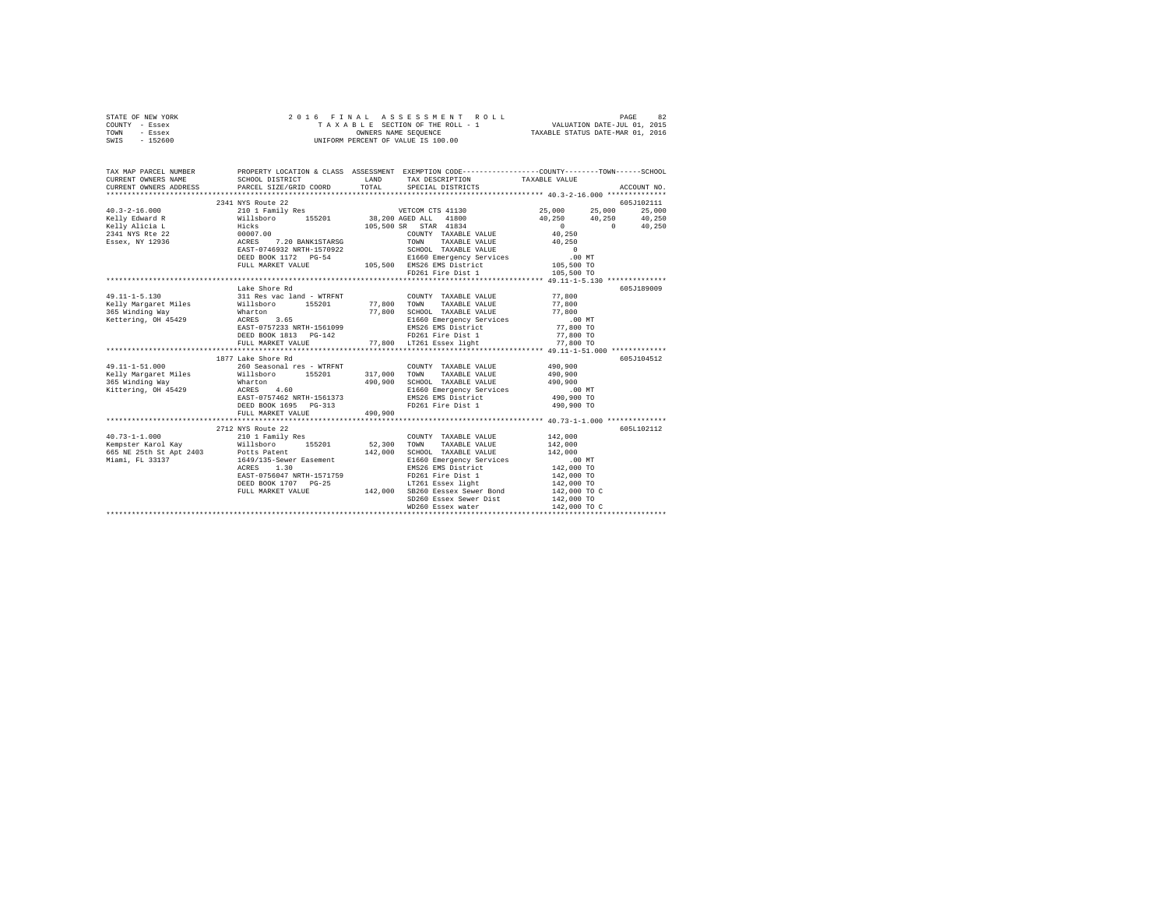| TOWN<br>- Essex                        |                                                                                                                                              | OWNERS NAME SEQUENCE |                                                                                                 |                            | TAXABLE STATUS DATE-MAR 01, 2016                  |
|----------------------------------------|----------------------------------------------------------------------------------------------------------------------------------------------|----------------------|-------------------------------------------------------------------------------------------------|----------------------------|---------------------------------------------------|
| SWIS<br>$-152600$                      |                                                                                                                                              |                      | UNIFORM PERCENT OF VALUE IS 100.00                                                              |                            |                                                   |
|                                        |                                                                                                                                              |                      |                                                                                                 |                            |                                                   |
|                                        |                                                                                                                                              |                      |                                                                                                 |                            |                                                   |
| TAX MAP PARCEL NUMBER                  |                                                                                                                                              |                      | PROPERTY LOCATION & CLASS ASSESSMENT EXEMPTION CODE---------------COUNTY-------TOWN------SCHOOL |                            |                                                   |
| CURRENT OWNERS NAME                    | SCHOOL DISTRICT LAND                                                                                                                         |                      | TAX DESCRIPTION TAXABLE VALUE                                                                   |                            |                                                   |
|                                        | CURRENT OWNERS ADDRESS PARCEL SIZE/GRID COORD                                                                                                | TOTAL                | SPECIAL DISTRICTS                                                                               |                            | ACCOUNT NO.                                       |
|                                        |                                                                                                                                              |                      |                                                                                                 |                            |                                                   |
|                                        |                                                                                                                                              |                      |                                                                                                 |                            | 605J102111                                        |
| $40.3 - 2 - 16.000$                    |                                                                                                                                              |                      |                                                                                                 | 25,000                     | 25,000 25,000                                     |
| Kelly Edward R                         |                                                                                                                                              |                      |                                                                                                 |                            |                                                   |
| Kelly Alicia L                         |                                                                                                                                              |                      | $105,500$ SR STAR $41834$                                                                       |                            | $40,250$ $40,250$ $40,250$ $40,250$<br>0 $40,250$ |
| 2341 NYS Rte 22                        |                                                                                                                                              |                      | COUNTY TAXABLE VALUE                                                                            | 40.250                     |                                                   |
| Essex, NY 12936                        |                                                                                                                                              |                      |                                                                                                 | 40,250                     |                                                   |
|                                        |                                                                                                                                              |                      |                                                                                                 |                            |                                                   |
|                                        |                                                                                                                                              |                      | E1660 Emergency Services                                                                        | $0$ .00 MT                 |                                                   |
|                                        | FULL MARKET VALUE                                                                                                                            |                      | 105,500 EMS26 EMS District                                                                      | 105,500 TO                 |                                                   |
|                                        |                                                                                                                                              |                      | FD261 Fire Dist 1                                                                               | 105,500 TO                 |                                                   |
|                                        |                                                                                                                                              |                      |                                                                                                 |                            |                                                   |
|                                        | Lake Shore Rd                                                                                                                                |                      |                                                                                                 |                            | 605J189009                                        |
| $49.11 - 1 - 5.130$                    |                                                                                                                                              |                      | COUNTY TAXABLE VALUE                                                                            |                            |                                                   |
| Kelly Margaret Miles                   | 311 Res vac land - WTRFNT COUNT<br>Willsboro 155201 77,800 TOWN                                                                              |                      | TAXABLE VALUE                                                                                   | 77,800<br>77,800           |                                                   |
|                                        |                                                                                                                                              |                      |                                                                                                 |                            |                                                   |
| 365 Winding Way<br>Kettering, OH 45429 | Wharton<br>ACRES 3.65                                                                                                                        |                      | 77,800 SCHOOL TAXABLE VALUE<br>E1660 Emergency Services                                         | 77,800<br>.00 MT           |                                                   |
|                                        | EAST-0757233 NRTH-1561099                                                                                                                    |                      | EMS26 EMS District                                                                              | 77,800 TO                  |                                                   |
|                                        | DEED BOOK 1813 PG-142                                                                                                                        |                      | FD261 Fire Dist 1                                                                               | 77,800 TO                  |                                                   |
|                                        | FULL MARKET VALUE                                                                                                                            |                      | 77,800 LT261 Essex light                                                                        | 77,800 TO                  |                                                   |
|                                        |                                                                                                                                              |                      |                                                                                                 |                            |                                                   |
|                                        | 1877 Lake Shore Rd                                                                                                                           |                      |                                                                                                 |                            | 605J104512                                        |
| 49.11-1-51.000                         | 260 Seasonal res - WTRFNT                                                                                                                    |                      | COUNTY TAXABLE VALUE                                                                            | 490,900                    |                                                   |
|                                        |                                                                                                                                              | 317,000              | TAXABLE VALUE<br>TOWN                                                                           | 490,900                    |                                                   |
|                                        | Kelly Margaret Miles = 155201<br>365 Winding Way = 155201                                                                                    | 490,900              | SCHOOL TAXABLE VALUE                                                                            | 490,900                    |                                                   |
| Kittering, OH 45429                    | Wharton<br>ACRES 4.60                                                                                                                        |                      | E1660 Emergency Services                                                                        | $.00$ MT                   |                                                   |
|                                        | EAST-0757462 NRTH-1561373                                                                                                                    |                      | E1660 Emergency Services<br>EMS26 EMS District                                                  | 490,900 TO                 |                                                   |
|                                        | DEED BOOK 1695 PG-313                                                                                                                        |                      | FD261 Fire Dist 1 490,900 TO                                                                    |                            |                                                   |
|                                        | FULL MARKET VALUE                                                                                                                            | 490,900              |                                                                                                 |                            |                                                   |
|                                        |                                                                                                                                              |                      |                                                                                                 |                            |                                                   |
|                                        | 2712 NYS Route 22                                                                                                                            |                      |                                                                                                 |                            | 605L102112                                        |
| $40.73 - 1 - 1.000$                    | 210 1 Family Res                                                                                                                             |                      | COUNTY TAXABLE VALUE                                                                            | 142,000                    |                                                   |
|                                        |                                                                                                                                              | 52,300               | TAXABLE VALUE<br>TOWN                                                                           | 142,000                    |                                                   |
|                                        | 40.75-1-1.000<br>Kempster Karol Kay (1980)<br>Follshoro 155201<br>Folls Patent Miami, FL 33137<br>Miami, FL 33137<br>1649/135-Sewer Easement | 142,000              | SCHOOL TAXABLE VALUE                                                                            | 142,000                    |                                                   |
|                                        |                                                                                                                                              |                      | E1660 Emergency Services                                                                        | $.00$ MT                   |                                                   |
|                                        | 1.30<br>ACRES                                                                                                                                |                      | EMS26 EMS District                                                                              |                            |                                                   |
|                                        | EAST-0756047 NRTH-1571759                                                                                                                    |                      | FD261 Fire Dist 1                                                                               | 142,000 TO<br>142,000 TO   |                                                   |
|                                        | DEED BOOK 1707 PG-25                                                                                                                         |                      | LT261 Essex light                                                                               |                            |                                                   |
|                                        |                                                                                                                                              |                      | LT261 Essex light<br>142,000 SB260 Eessex Sewer Bond                                            | 142,000 TO<br>142,000 TO C |                                                   |
|                                        | FULL MARKET VALUE                                                                                                                            |                      | SD260 Essex Sewer Dist                                                                          |                            |                                                   |
|                                        |                                                                                                                                              |                      | WD260 Essex water                                                                               | 142,000 TO<br>142,000 TO C |                                                   |
|                                        |                                                                                                                                              |                      |                                                                                                 |                            |                                                   |
|                                        |                                                                                                                                              |                      |                                                                                                 |                            |                                                   |

STATE OF NEW YORK 2 0 1 6 F I N A L A S S E S S M E N T R O L L PAGE 82 COUNTY - Essex T A X A B L E SECTION OF THE ROLL - 1 VALUATION DATE-JUL 01, 2015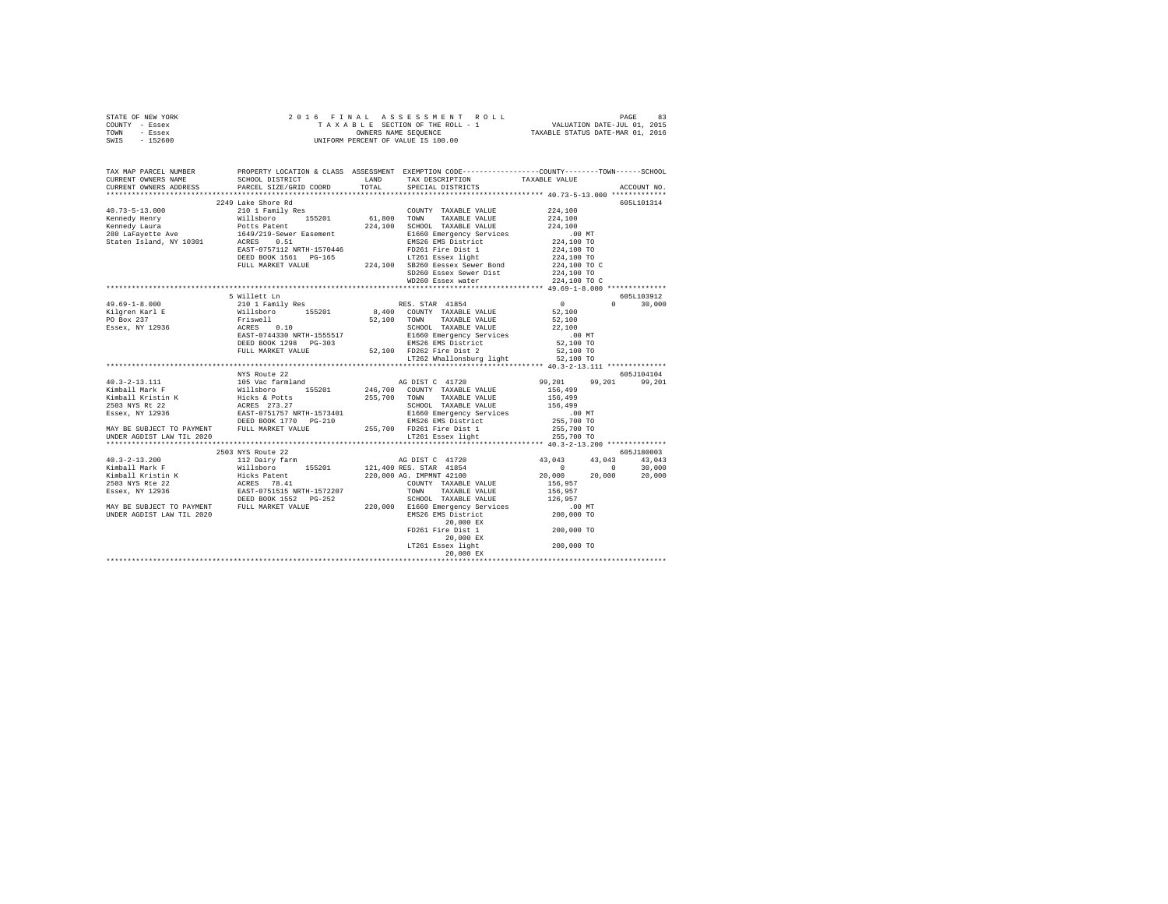| STATE OF NEW YORK | 2016 FINAL ASSESSMENT ROLL         | 83<br>PAGE                       |
|-------------------|------------------------------------|----------------------------------|
| COUNTY - Essex    | TAXABLE SECTION OF THE ROLL - 1    | VALUATION DATE-JUL 01, 2015      |
| TOWN<br>- Essex   | OWNERS NAME SEOUENCE               | TAXABLE STATUS DATE-MAR 01, 2016 |
| $-152600$<br>SWIS | UNIFORM PERCENT OF VALUE IS 100.00 |                                  |

| TAX MAP PARCEL NUMBER<br>CURRENT OWNERS NAME       | PROPERTY LOCATION & CLASS ASSESSMENT EXEMPTION CODE----------------COUNTY-------TOWN------SCHOOL<br>SCHOOL DISTRICT                                                                                                                                                                                                                                                                               | LAND TAX DESCRIPTION TAXABLE VALUE                                                                                                                                                                                                                                                                                                                                                                                |              |               |
|----------------------------------------------------|---------------------------------------------------------------------------------------------------------------------------------------------------------------------------------------------------------------------------------------------------------------------------------------------------------------------------------------------------------------------------------------------------|-------------------------------------------------------------------------------------------------------------------------------------------------------------------------------------------------------------------------------------------------------------------------------------------------------------------------------------------------------------------------------------------------------------------|--------------|---------------|
| CURRENT OWNERS ADDRESS<br>************************ | PARCEL SIZE/GRID COORD                                                                                                                                                                                                                                                                                                                                                                            | TOTAL SPECIAL DISTRICTS                                                                                                                                                                                                                                                                                                                                                                                           |              | ACCOUNT NO.   |
|                                                    | 2249 Lake Shore Rd                                                                                                                                                                                                                                                                                                                                                                                |                                                                                                                                                                                                                                                                                                                                                                                                                   |              | 6051101314    |
|                                                    | $\begin{tabular}{l c c c c c} \multicolumn{1}{c}{\textbf{40.73--5--13.000}} & \multicolumn{1}{c}{224\text{ false} $\,$ Since $R$ be a number of 1500 and $101$ and $101$ and $101$ and $101$ and $101$ and $101$ and $101$ and $101$ and $101$ and $101$ and $101$ and $101$ and $101$ and $101$ and $101$ and $101$ and $101$ and $101$ and $101$ and $101$ and $101$ and $101$ and $101$ and $$ |                                                                                                                                                                                                                                                                                                                                                                                                                   |              |               |
|                                                    |                                                                                                                                                                                                                                                                                                                                                                                                   |                                                                                                                                                                                                                                                                                                                                                                                                                   |              |               |
|                                                    |                                                                                                                                                                                                                                                                                                                                                                                                   |                                                                                                                                                                                                                                                                                                                                                                                                                   |              |               |
|                                                    |                                                                                                                                                                                                                                                                                                                                                                                                   |                                                                                                                                                                                                                                                                                                                                                                                                                   |              |               |
|                                                    |                                                                                                                                                                                                                                                                                                                                                                                                   |                                                                                                                                                                                                                                                                                                                                                                                                                   |              |               |
|                                                    |                                                                                                                                                                                                                                                                                                                                                                                                   |                                                                                                                                                                                                                                                                                                                                                                                                                   |              |               |
|                                                    |                                                                                                                                                                                                                                                                                                                                                                                                   |                                                                                                                                                                                                                                                                                                                                                                                                                   |              |               |
|                                                    |                                                                                                                                                                                                                                                                                                                                                                                                   | SD260 Essex Sewer Dist                                                                                                                                                                                                                                                                                                                                                                                            | 224,100 TO   |               |
|                                                    |                                                                                                                                                                                                                                                                                                                                                                                                   | WD260 Essex water                                                                                                                                                                                                                                                                                                                                                                                                 | 224,100 TO C |               |
|                                                    |                                                                                                                                                                                                                                                                                                                                                                                                   |                                                                                                                                                                                                                                                                                                                                                                                                                   |              |               |
|                                                    | 5 Willett Ln                                                                                                                                                                                                                                                                                                                                                                                      |                                                                                                                                                                                                                                                                                                                                                                                                                   |              | 605L103912    |
| 49.69-1-8.000                                      | 210 1 Family Res                                                                                                                                                                                                                                                                                                                                                                                  | RES. STAR 41854                                                                                                                                                                                                                                                                                                                                                                                                   | $\sim$ 0     | $0 \t 30,000$ |
|                                                    |                                                                                                                                                                                                                                                                                                                                                                                                   |                                                                                                                                                                                                                                                                                                                                                                                                                   |              |               |
|                                                    |                                                                                                                                                                                                                                                                                                                                                                                                   |                                                                                                                                                                                                                                                                                                                                                                                                                   |              |               |
|                                                    |                                                                                                                                                                                                                                                                                                                                                                                                   |                                                                                                                                                                                                                                                                                                                                                                                                                   |              |               |
|                                                    |                                                                                                                                                                                                                                                                                                                                                                                                   |                                                                                                                                                                                                                                                                                                                                                                                                                   |              |               |
|                                                    |                                                                                                                                                                                                                                                                                                                                                                                                   |                                                                                                                                                                                                                                                                                                                                                                                                                   |              |               |
|                                                    |                                                                                                                                                                                                                                                                                                                                                                                                   |                                                                                                                                                                                                                                                                                                                                                                                                                   |              |               |
|                                                    |                                                                                                                                                                                                                                                                                                                                                                                                   |                                                                                                                                                                                                                                                                                                                                                                                                                   |              |               |
|                                                    | NYS Route 22                                                                                                                                                                                                                                                                                                                                                                                      |                                                                                                                                                                                                                                                                                                                                                                                                                   |              | 605J104104    |
|                                                    |                                                                                                                                                                                                                                                                                                                                                                                                   |                                                                                                                                                                                                                                                                                                                                                                                                                   |              |               |
|                                                    |                                                                                                                                                                                                                                                                                                                                                                                                   |                                                                                                                                                                                                                                                                                                                                                                                                                   |              |               |
|                                                    |                                                                                                                                                                                                                                                                                                                                                                                                   |                                                                                                                                                                                                                                                                                                                                                                                                                   |              |               |
|                                                    |                                                                                                                                                                                                                                                                                                                                                                                                   |                                                                                                                                                                                                                                                                                                                                                                                                                   |              |               |
|                                                    |                                                                                                                                                                                                                                                                                                                                                                                                   |                                                                                                                                                                                                                                                                                                                                                                                                                   |              |               |
|                                                    |                                                                                                                                                                                                                                                                                                                                                                                                   |                                                                                                                                                                                                                                                                                                                                                                                                                   |              |               |
|                                                    |                                                                                                                                                                                                                                                                                                                                                                                                   |                                                                                                                                                                                                                                                                                                                                                                                                                   |              |               |
| UNDER AGDIST LAW TIL 2020                          |                                                                                                                                                                                                                                                                                                                                                                                                   | LT261 Essex light                                                                                                                                                                                                                                                                                                                                                                                                 | 255,700 TO   |               |
|                                                    |                                                                                                                                                                                                                                                                                                                                                                                                   |                                                                                                                                                                                                                                                                                                                                                                                                                   |              |               |
|                                                    |                                                                                                                                                                                                                                                                                                                                                                                                   |                                                                                                                                                                                                                                                                                                                                                                                                                   |              | 605J180003    |
|                                                    |                                                                                                                                                                                                                                                                                                                                                                                                   | $\begin{array}{cccc} \texttt{AG DIST} & \texttt{C} & \texttt{41720} & \texttt{43,043} & \texttt{43,043} & \texttt{43,043} \\ \texttt{0 RES} & \texttt{STAR} & \texttt{41854} & \texttt{0} & \texttt{0} & \texttt{30,000} \\ \texttt{0 RES} & \texttt{STAR} & \texttt{41854} & \texttt{0} & \texttt{0} & \texttt{0} & \texttt{0} \\ \texttt{0 RST} & \texttt{1} & \texttt{1} & \texttt{1} & \texttt{1} & \texttt{$ |              |               |
|                                                    |                                                                                                                                                                                                                                                                                                                                                                                                   |                                                                                                                                                                                                                                                                                                                                                                                                                   |              |               |
|                                                    |                                                                                                                                                                                                                                                                                                                                                                                                   |                                                                                                                                                                                                                                                                                                                                                                                                                   |              |               |
|                                                    |                                                                                                                                                                                                                                                                                                                                                                                                   |                                                                                                                                                                                                                                                                                                                                                                                                                   |              |               |
|                                                    |                                                                                                                                                                                                                                                                                                                                                                                                   |                                                                                                                                                                                                                                                                                                                                                                                                                   |              |               |
|                                                    |                                                                                                                                                                                                                                                                                                                                                                                                   |                                                                                                                                                                                                                                                                                                                                                                                                                   |              |               |
|                                                    |                                                                                                                                                                                                                                                                                                                                                                                                   |                                                                                                                                                                                                                                                                                                                                                                                                                   |              |               |
|                                                    |                                                                                                                                                                                                                                                                                                                                                                                                   | 20,000 EX                                                                                                                                                                                                                                                                                                                                                                                                         |              |               |
|                                                    |                                                                                                                                                                                                                                                                                                                                                                                                   | FD261 Fire Dist 1                                                                                                                                                                                                                                                                                                                                                                                                 | 200,000 TO   |               |
|                                                    |                                                                                                                                                                                                                                                                                                                                                                                                   | 20,000 EX                                                                                                                                                                                                                                                                                                                                                                                                         |              |               |
|                                                    |                                                                                                                                                                                                                                                                                                                                                                                                   | LT261 Essex light                                                                                                                                                                                                                                                                                                                                                                                                 | 200,000 TO   |               |
|                                                    |                                                                                                                                                                                                                                                                                                                                                                                                   | 20,000 EX                                                                                                                                                                                                                                                                                                                                                                                                         |              |               |
|                                                    |                                                                                                                                                                                                                                                                                                                                                                                                   |                                                                                                                                                                                                                                                                                                                                                                                                                   |              |               |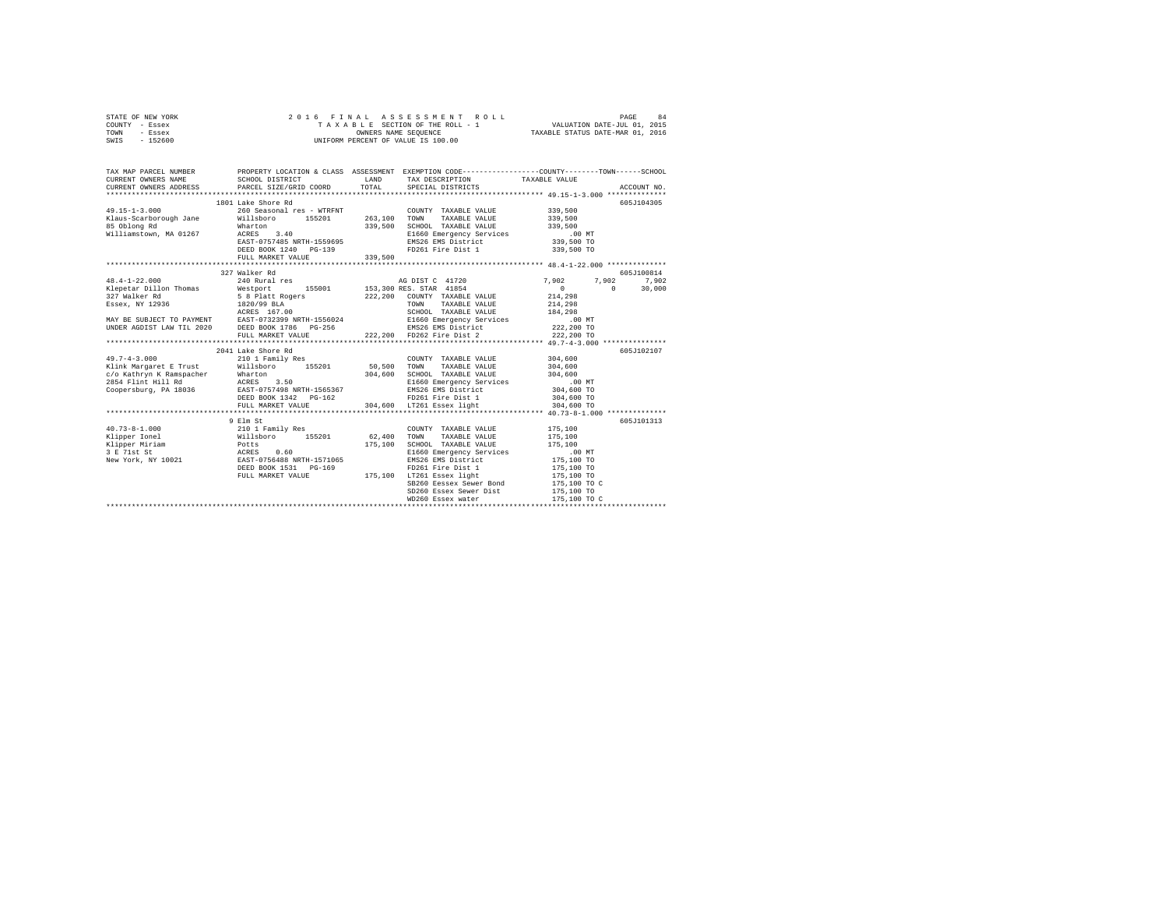|      | STATE OF NEW YORK |  |  | 2016 FINAL ASSESSMENT ROLL         |                                  | PAGE | 84 |
|------|-------------------|--|--|------------------------------------|----------------------------------|------|----|
|      | COUNTY - Essex    |  |  | TAXABLE SECTION OF THE ROLL - 1    | VALUATION DATE-JUL 01, 2015      |      |    |
| TOWN | - Essex           |  |  | OWNERS NAME SEOUENCE               | TAXABLE STATUS DATE-MAR 01, 2016 |      |    |
| SWIS | - 152600          |  |  | UNIFORM PERCENT OF VALUE IS 100.00 |                                  |      |    |

| TAX MAP PARCEL NUMBER                  |                                                                                                                                                                                                                                                                                                                                                                                     |         |                                                                                           | PROPERTY LOCATION & CLASS ASSESSMENT EXEMPTION CODE----------------COUNTY-------TOWN-----SCHOOL                                                                                                                                                                                                                                                                                        |
|----------------------------------------|-------------------------------------------------------------------------------------------------------------------------------------------------------------------------------------------------------------------------------------------------------------------------------------------------------------------------------------------------------------------------------------|---------|-------------------------------------------------------------------------------------------|----------------------------------------------------------------------------------------------------------------------------------------------------------------------------------------------------------------------------------------------------------------------------------------------------------------------------------------------------------------------------------------|
| 85 Oblong Rd<br>Williamstown, MA 01267 | 1801 Lake Shore Rd<br>$\begin{array}{lllllllllll} 49.15\texttt{--}1\texttt{-}3.000 & 339\texttt{,}500 & 260\texttt{}\end{array} \qquad \begin{array}{lllllllllllll} 263 & 5200 & 15000 & 15000 & 15000 & 15000 & 15000 & 15000 & 15000 & 15000 & 15000 & 15000 & 15000 & 15000 & 15000 & 15000 & 15000 & 15000 & 15000 & 15000 & 150$<br>DEED BOOK 1240 PG-139<br>FULL MARKET VALUE | 339,500 | FD261 Fire Dist 1 339,500 TO                                                              | 605J104305                                                                                                                                                                                                                                                                                                                                                                             |
|                                        | 327 Walker Rd                                                                                                                                                                                                                                                                                                                                                                       |         |                                                                                           | 605J100814<br>$\begin{tabular}{l c c c c c} \multicolumn{1}{c}{\textbf{48.4--1--22.000}} & \multicolumn{1}{c}{327\text{ walker } \text{Rd}} & \multicolumn{1}{c}{348\text{ Ruar } 1481\text{ res}} & \multicolumn{1}{c}{\textbf{A0}\text{ DIST C}} & \multicolumn{1}{c}{41720} & \multicolumn{1}{c}{7,902} & 7,902 & 7,902 & 7,902 & 7,902 & 7,902 & 7,902 & 7,902 & 7,902 & 7,902 & $ |
|                                        | 2041 Lake Shore Rd<br>$\begin{array}{cccccc} 49.7-4-3.000 & 210 & 1 & Family Res & & \multicolumn{2}{c}{\textbf{COMNY}} & \textbf{TAXABLE VALUE} & 304,600 \\ \textbf{Klink Margaret E Trust} & \textbf{WillsDoro} & 155201 & 50,500 & \textbf{TOMN} & \textbf{TAXABLE VALUE} & 304,600 \\ \end{array}$<br>DEED BOOK 1342    PG-162<br>FULL MARKET VALUE                            |         | COUNTY TAXABLE VALUE 304,600<br>FD261 Fire Dist 1 304,600 TO<br>304,600 LT261 Essex light | 605J102107<br>304,600 TO                                                                                                                                                                                                                                                                                                                                                               |
|                                        | 40.73-8-1.000<br>9 Elm stress (2000 MTY TAXABLE VALUE 175,100<br>Xipper Ionel Willsboro 155201<br>2010 Family Res (2000 MTY TAXABLE VALUE 175,100<br>Xipper Miriam Potts (2010 TONE 175,100 SCHOOL TAXABLE VALUE 175,100<br>2 71st Stres                                                                                                                                            |         | WD260 Essex water                                                                         | 605J101313<br>175,100 TO C                                                                                                                                                                                                                                                                                                                                                             |
|                                        |                                                                                                                                                                                                                                                                                                                                                                                     |         |                                                                                           |                                                                                                                                                                                                                                                                                                                                                                                        |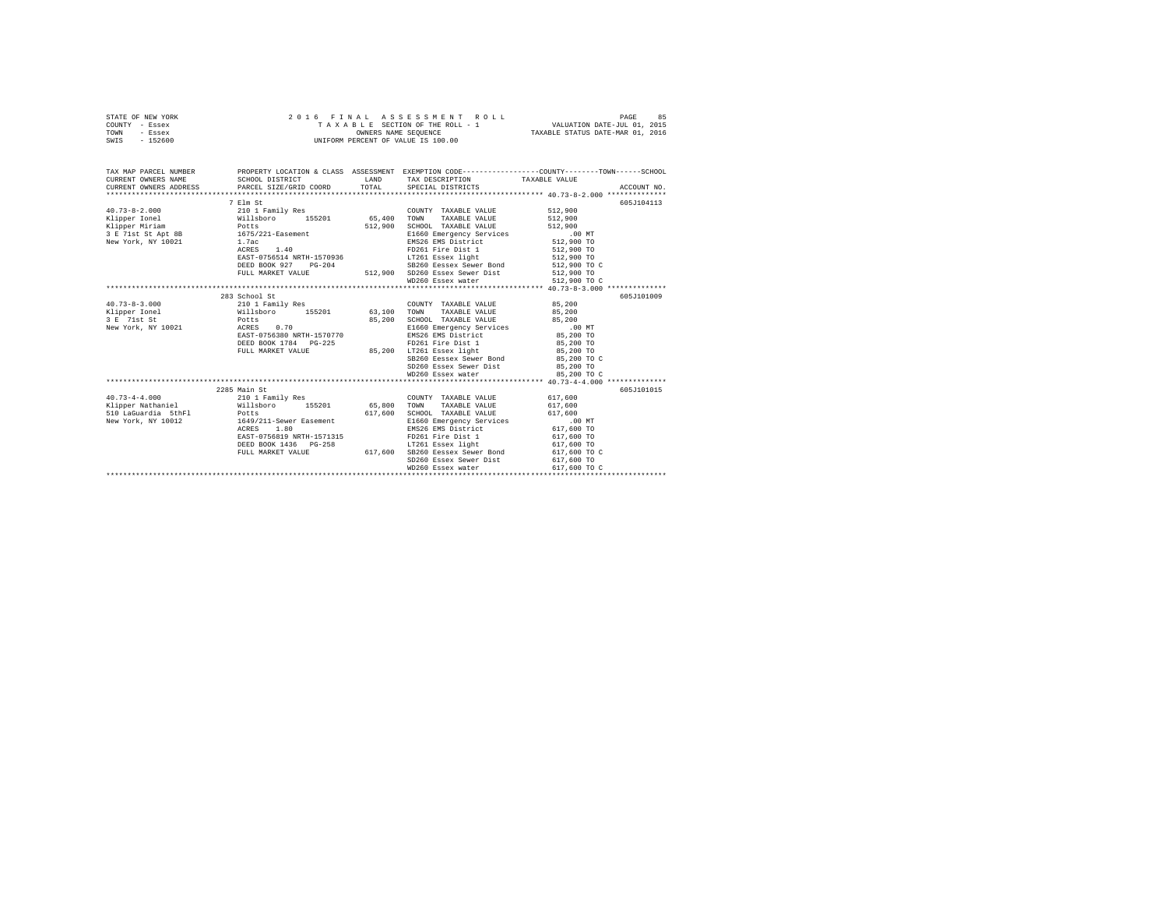|      | STATE OF NEW YORK |  | 2016 FINAL ASSESSMENT ROLL         | 85<br>PAGE                       |
|------|-------------------|--|------------------------------------|----------------------------------|
|      | COUNTY - Essex    |  | TAXABLE SECTION OF THE ROLL - 1    | VALUATION DATE-JUL 01, 2015      |
| TOWN | - Essex           |  | OWNERS NAME SEOUENCE               | TAXABLE STATUS DATE-MAR 01, 2016 |
| SWIS | - 152600          |  | UNIFORM PERCENT OF VALUE IS 100.00 |                                  |

| CURRENT OWNERS NAME SCHOOL DISTRICT<br>TAX DESCRIPTION TAXABLE VALUE                                                                                                                                                                                                                                                                                               |             |
|--------------------------------------------------------------------------------------------------------------------------------------------------------------------------------------------------------------------------------------------------------------------------------------------------------------------------------------------------------------------|-------------|
| CURRENT OWNERS ADDRESS PARCEL SIZE/GRID COORD TOTAL SPECIAL DISTRICTS                                                                                                                                                                                                                                                                                              | ACCOUNT NO. |
| 7 Elm St                                                                                                                                                                                                                                                                                                                                                           | 605J104113  |
| COUNTY TAXABLE VALUE 512,900                                                                                                                                                                                                                                                                                                                                       |             |
| 512,900                                                                                                                                                                                                                                                                                                                                                            |             |
| Klipper Miriam Potts<br>SCHOOL TAXABLE VALUE 512,900<br>512,900                                                                                                                                                                                                                                                                                                    |             |
| 3 E 71st St Apt 8B 1675/221-Easement                                                                                                                                                                                                                                                                                                                               |             |
| E1660 Emergency Services .00 MT<br>EMS26 EMS District 512,900 TO<br>New York, NY 10021 1.7ac                                                                                                                                                                                                                                                                       |             |
|                                                                                                                                                                                                                                                                                                                                                                    |             |
|                                                                                                                                                                                                                                                                                                                                                                    |             |
|                                                                                                                                                                                                                                                                                                                                                                    |             |
|                                                                                                                                                                                                                                                                                                                                                                    |             |
|                                                                                                                                                                                                                                                                                                                                                                    |             |
| 1675/221-basement<br>1.7ac EMS26 EMS District<br>RCRES 1.40 FD261 Fire Dist 1<br>EMS26 EMS PIRE 151 512,900 TO<br>DEED BOOK 927 PG-204 512,900 SD260 Essex Sewer Bord 512,900 TO<br>FULL MARKET VALUE 512,900 SD260 Essex Sewer Dist 512                                                                                                                           |             |
| 283 School St                                                                                                                                                                                                                                                                                                                                                      | 605J101009  |
| 40.73-8-3.000 210 1 Family Res<br>COUNTY TAXABLE VALUE 85,200                                                                                                                                                                                                                                                                                                      |             |
| TAXABLE VALUE 85,200                                                                                                                                                                                                                                                                                                                                               |             |
|                                                                                                                                                                                                                                                                                                                                                                    |             |
| $3 E$ 71st St $3 E$ Potts<br>New York, NY 10021 $3 E$ ACRES 0.70<br>85,200 SCHOOL TAXABLE VALUE 85,200<br>E1660 Emergency Services :00 MT<br>EMS26 EMS District 85,200 TO                                                                                                                                                                                          |             |
| EAST-0756380 NRTH-1570770                                                                                                                                                                                                                                                                                                                                          |             |
| FD261 Fire Dist 1 85,200 TO<br>DEED BOOK 1784 PG-225                                                                                                                                                                                                                                                                                                               |             |
| 85,200 LT261 Essex light 85,200 TO<br>FULL MARKET VALUE                                                                                                                                                                                                                                                                                                            |             |
| SB260 Eessex Sewer Bond 85,200 TO C                                                                                                                                                                                                                                                                                                                                |             |
| SD260 Essex Sewer Dist 85,200 TO                                                                                                                                                                                                                                                                                                                                   |             |
| 85,200 TO C<br>WD260 Essex water                                                                                                                                                                                                                                                                                                                                   |             |
|                                                                                                                                                                                                                                                                                                                                                                    |             |
| 2285 Main St                                                                                                                                                                                                                                                                                                                                                       | 605J101015  |
| COUNTY TAXABLE VALUE 617.600<br>40.73-4-4.000 210 1 Family Res                                                                                                                                                                                                                                                                                                     |             |
| Klipper Nathaniel (Willsboro 155201 65.800 TOWN TAXABLE VALUE 617.600                                                                                                                                                                                                                                                                                              |             |
| 510 LaGuardia 5thF1 Potts<br>SCHOOL TAXABLE VALUE 617,600<br>617,600                                                                                                                                                                                                                                                                                               |             |
| 1649/211-Sewer Easement<br>E1660 Emergency Services .00 MT<br>EMS26 EMS District 617,600 TO<br>New York, NY 10012                                                                                                                                                                                                                                                  |             |
| ACRES 1.80                                                                                                                                                                                                                                                                                                                                                         |             |
| ${\tt BASET-0756819 \,\, {\tt NRTH-1571315}} \hskip 3.2cm {\tt FD261 \,\, Fire \,\, Dist \,\, 1} \hskip 3.2cm {\tt S17,600 \,\, TO} \hskip 1.2cm {\tt T361 \,\, 1} \hskip 1.2cm {\tt S17,600 \,\, TO} \hskip 1.2cm {\tt S17,600 \,\, TO} \hskip 1.2cm {\tt S17,600 \,\, TO} \hskip 1.2cm {\tt S18,600 \,\, TO} \hskip 1.2cm {\tt S19,600 \,\, TO} \hskip 1.2cm {\$ |             |
|                                                                                                                                                                                                                                                                                                                                                                    |             |
| SD260 Essex Sewer Dist 617,600 TO                                                                                                                                                                                                                                                                                                                                  |             |
|                                                                                                                                                                                                                                                                                                                                                                    |             |
|                                                                                                                                                                                                                                                                                                                                                                    |             |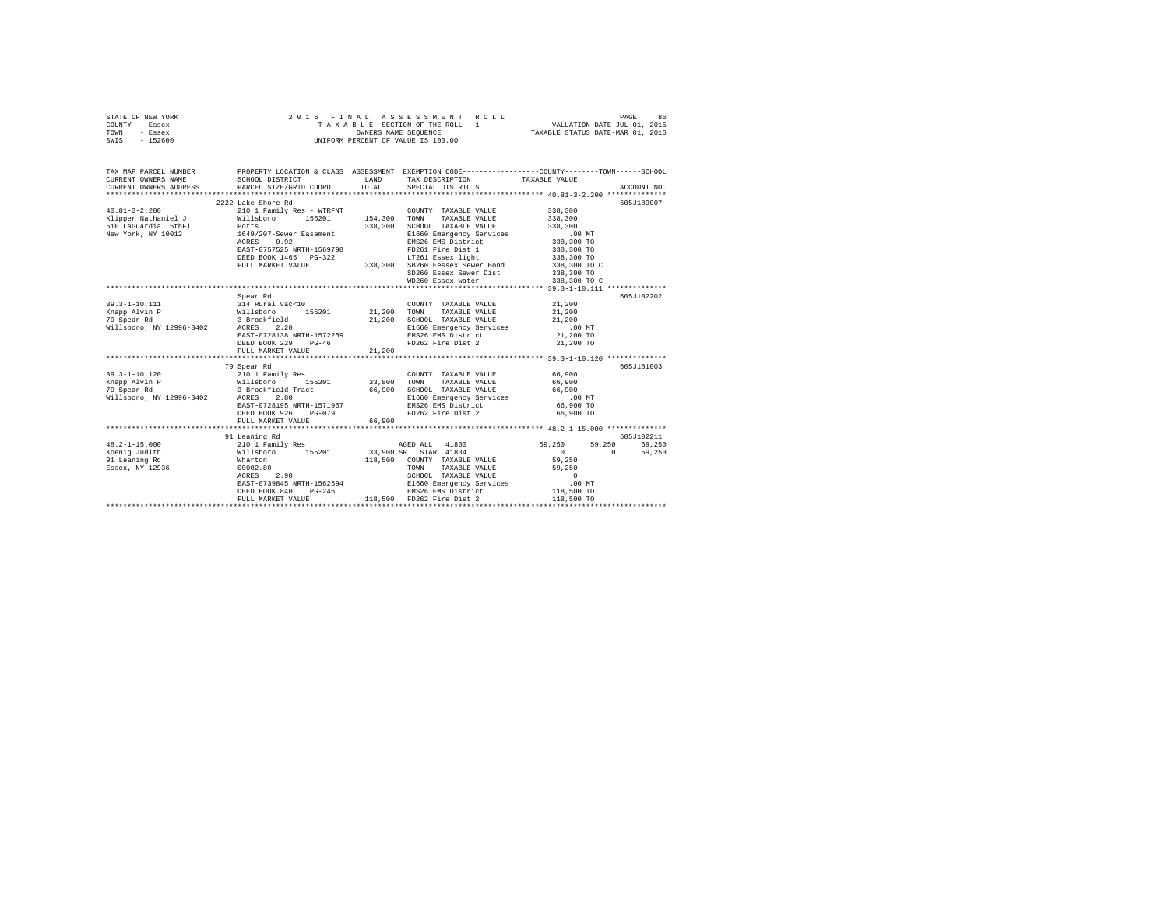|      | STATE OF NEW YORK |  |  |  |  | 2016 FINAL ASSESSMENT ROLL         |  |  |  |                                  |                             | PAGE | 86 |
|------|-------------------|--|--|--|--|------------------------------------|--|--|--|----------------------------------|-----------------------------|------|----|
|      | COUNTY - Essex    |  |  |  |  | TAXABLE SECTION OF THE ROLL - 1    |  |  |  |                                  | VALUATION DATE-JUL 01, 2015 |      |    |
| TOWN | - Essex           |  |  |  |  | OWNERS NAME SEOUENCE               |  |  |  | TAXABLE STATUS DATE-MAR 01, 2016 |                             |      |    |
| SWIS | - 152600          |  |  |  |  | UNIFORM PERCENT OF VALUE IS 100.00 |  |  |  |                                  |                             |      |    |
|      |                   |  |  |  |  |                                    |  |  |  |                                  |                             |      |    |
|      |                   |  |  |  |  |                                    |  |  |  |                                  |                             |      |    |

| TAX MAP PARCEL NUMBER                         |                                                                   |                                  |                                                                                                                                                                                              | PROPERTY LOCATION & CLASS ASSESSMENT EXEMPTION CODE----------------COUNTY-------TOWN-----SCHOOL |        |
|-----------------------------------------------|-------------------------------------------------------------------|----------------------------------|----------------------------------------------------------------------------------------------------------------------------------------------------------------------------------------------|-------------------------------------------------------------------------------------------------|--------|
| CURRENT OWNERS NAME                           | SCHOOL DISTRICT                                                   | <b>EXAMPLE AND SERVICE STATE</b> | TAX DESCRIPTION TAXABLE VALUE                                                                                                                                                                |                                                                                                 |        |
| CURRENT OWNERS ADDRESS PARCEL SIZE/GRID COORD |                                                                   | TOTAL                            | SPECIAL DISTRICTS                                                                                                                                                                            | ACCOUNT NO.                                                                                     |        |
|                                               |                                                                   |                                  |                                                                                                                                                                                              |                                                                                                 |        |
|                                               | 2222 Lake Shore Rd                                                |                                  |                                                                                                                                                                                              | 605-7189007                                                                                     |        |
| $40.81 - 3 - 2.200$                           |                                                                   |                                  | 210 1 Family Res - WTRFNT COUNTY TAXABLE VALUE 338,300                                                                                                                                       |                                                                                                 |        |
|                                               | Willsboro 155201                                                  |                                  | 154,300 TOWN TAXABLE VALUE                                                                                                                                                                   |                                                                                                 |        |
| Klipper Nathaniel J<br>510 LaGuardia 5thFl    | Potts                                                             |                                  | 338,300 SCHOOL TAXABLE VALUE                                                                                                                                                                 | 338,300                                                                                         |        |
| New York, NY 10012                            | 1649/207-Sewer Easement                                           |                                  | CHI<br>SCHOOL TAXABLE VALUE<br>EI660 Emergency Services<br>EMS26 EMS District 338,300 TO<br>NASE 1 338,300 TO<br>238,300 TO                                                                  |                                                                                                 |        |
|                                               | 0.92<br>ACRES                                                     |                                  |                                                                                                                                                                                              |                                                                                                 |        |
|                                               | EAST-0757525 NRTH-1569798                                         |                                  |                                                                                                                                                                                              |                                                                                                 |        |
|                                               |                                                                   |                                  | LT261 Essex light 338,300 TO                                                                                                                                                                 |                                                                                                 |        |
|                                               | DEED BOOK 1465 PG-322                                             |                                  |                                                                                                                                                                                              |                                                                                                 |        |
|                                               | FULL MARKET VALUE                                                 |                                  | 338,300 SB260 Eessex Sewer Bond                                                                                                                                                              | 338,300 TO C                                                                                    |        |
|                                               |                                                                   |                                  | SD260 Essex Sewer Dist                                                                                                                                                                       | 338,300 TO                                                                                      |        |
|                                               |                                                                   |                                  | WD260 Essex water                                                                                                                                                                            | 338,300 TO C                                                                                    |        |
|                                               |                                                                   |                                  |                                                                                                                                                                                              |                                                                                                 |        |
|                                               | Spear Rd                                                          |                                  |                                                                                                                                                                                              | 605J102202                                                                                      |        |
| 39.3-1-10.111 314 Rural vac<10                |                                                                   |                                  | COUNTY TAXABLE VALUE 21,200                                                                                                                                                                  |                                                                                                 |        |
| Knapp Alvin P                                 | Willsboro 155201 21,200 TOWN TAXABLE VALUE $21,200$               |                                  |                                                                                                                                                                                              |                                                                                                 |        |
|                                               |                                                                   |                                  | ${\tt 21,200} \begin{tabular}{lcccc} 21,200 & SCHOOL & TAXABLE VALUE & & & & 21,200 \\ E1660 & Emeergency & Services & & & 0.00 MT \\ E1826 & EMS District & & & 21,200 T0 \\ \end{tabular}$ |                                                                                                 |        |
|                                               |                                                                   |                                  |                                                                                                                                                                                              |                                                                                                 |        |
|                                               | EAST-0728138 NRTH-1572259                                         |                                  |                                                                                                                                                                                              |                                                                                                 |        |
|                                               | DEED BOOK 229 PG-46                                               |                                  | FD262 Fire Dist 2                                                                                                                                                                            | 21,200 TO                                                                                       |        |
|                                               | FULL MARKET VALUE                                                 | 21,200                           |                                                                                                                                                                                              |                                                                                                 |        |
|                                               |                                                                   |                                  |                                                                                                                                                                                              |                                                                                                 |        |
|                                               | 79 Spear Rd                                                       |                                  |                                                                                                                                                                                              | 605-1181003                                                                                     |        |
| $39.3 - 1 - 10.120$                           | 210 1 Family Res                                                  |                                  | COUNTY TAXABLE VALUE 66,900                                                                                                                                                                  |                                                                                                 |        |
|                                               |                                                                   |                                  | TAXABLE VALUE 66,900                                                                                                                                                                         |                                                                                                 |        |
|                                               |                                                                   |                                  | 66,900 SCHOOL TAXABLE VALUE 66,900<br>E1660 Emergency Services .00 MT                                                                                                                        |                                                                                                 |        |
| Willsboro, NY 12996-3402 ACRES 2.80           |                                                                   |                                  |                                                                                                                                                                                              |                                                                                                 |        |
|                                               | EAST-0728195 NRTH-1571967                                         |                                  | EMS26 EMS District 66,900 TO                                                                                                                                                                 |                                                                                                 |        |
|                                               | DEED BOOK 926 PG-079                                              |                                  | FD262 Fire Dist 2                                                                                                                                                                            | 66,900 TO                                                                                       |        |
|                                               | FULL MARKET VALUE                                                 | 66,900                           |                                                                                                                                                                                              |                                                                                                 |        |
|                                               |                                                                   |                                  |                                                                                                                                                                                              |                                                                                                 |        |
|                                               | 91 Leaning Rd                                                     |                                  |                                                                                                                                                                                              | 605J102211                                                                                      |        |
| $48.2 - 1 - 15.000$                           | 21 Distribution of the Search of the MCBD ALL 41800 59,250 59,250 |                                  |                                                                                                                                                                                              | 59,250                                                                                          | 59,250 |
| Koenig Judith North                           |                                                                   |                                  | Willsboro 155201 33,900 SR STAR 41834                                                                                                                                                        | $0 \qquad \qquad$<br>$\Omega$                                                                   | 59,250 |
| Abenity value.<br>91 Leaning Rd<br>- ** 12936 | Wharton                                                           |                                  | 118,500 COUNTY TAXABLE VALUE                                                                                                                                                                 | 59,250                                                                                          |        |
|                                               | 00002.80                                                          |                                  | TAXABLE VALUE<br>TOWN                                                                                                                                                                        | 59,250                                                                                          |        |
|                                               | n<br>80<br>2.90<br>ACRES                                          |                                  | SCHOOL TAXABLE VALUE                                                                                                                                                                         | $\qquad \qquad 0$                                                                               |        |
|                                               | EAST-0739845 NRTH-1562594                                         |                                  |                                                                                                                                                                                              | .00MT                                                                                           |        |
|                                               | DEED BOOK 840 PG-246                                              |                                  | E1660 Emergency Services<br>EMS26 EMS District                                                                                                                                               | 118,500 TO                                                                                      |        |
|                                               |                                                                   |                                  | 118,500 FD262 Fire Dist 2                                                                                                                                                                    | 118,500 TO                                                                                      |        |
|                                               | FULL MARKET VALUE                                                 |                                  |                                                                                                                                                                                              |                                                                                                 |        |
|                                               |                                                                   |                                  |                                                                                                                                                                                              |                                                                                                 |        |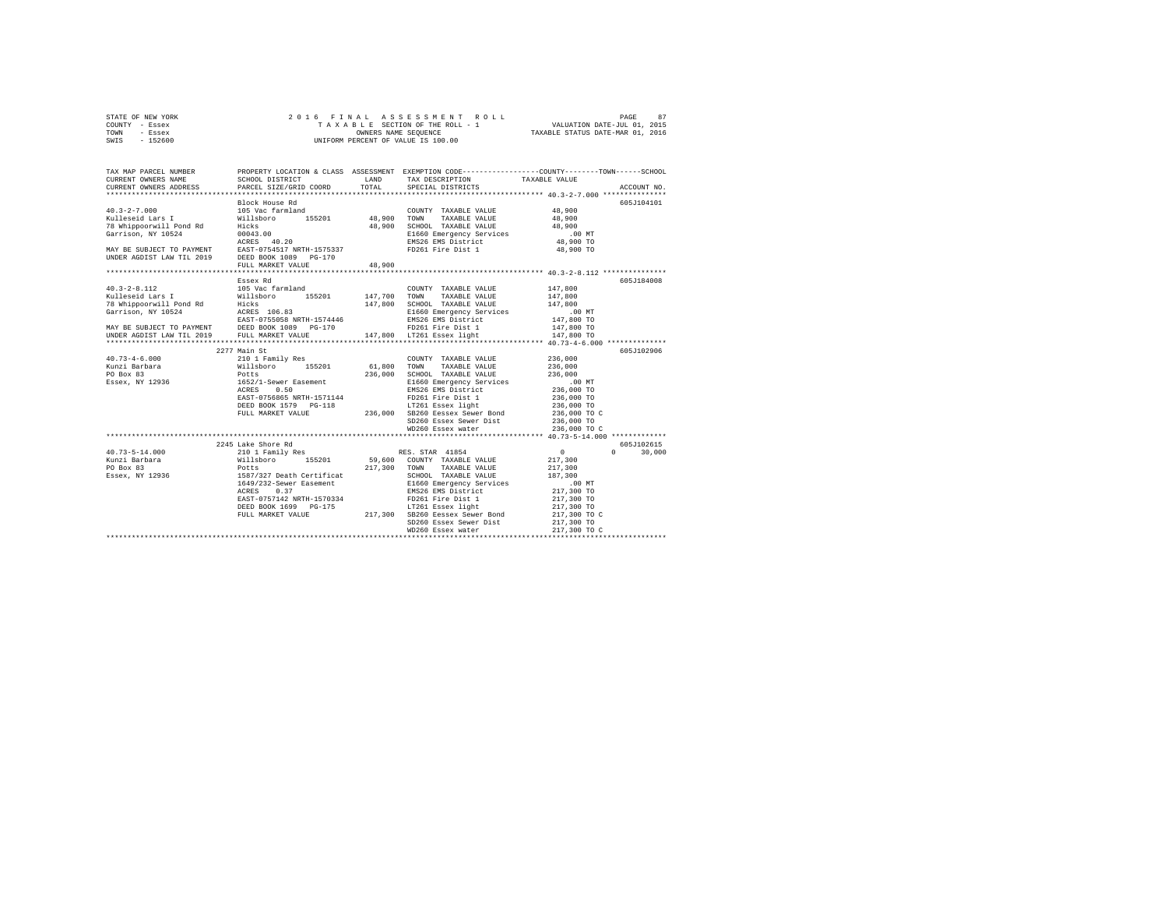| STATE OF NEW YORK                                                                                                                                                                                                              |                                           |        |                                                                                                                                                                                                                                             |                                        |               |
|--------------------------------------------------------------------------------------------------------------------------------------------------------------------------------------------------------------------------------|-------------------------------------------|--------|---------------------------------------------------------------------------------------------------------------------------------------------------------------------------------------------------------------------------------------------|----------------------------------------|---------------|
| COUNTY - Essex                                                                                                                                                                                                                 |                                           |        |                                                                                                                                                                                                                                             |                                        |               |
| TOWN - Essex                                                                                                                                                                                                                   |                                           |        |                                                                                                                                                                                                                                             |                                        |               |
| SWIS - 152600                                                                                                                                                                                                                  |                                           |        |                                                                                                                                                                                                                                             |                                        |               |
|                                                                                                                                                                                                                                |                                           |        |                                                                                                                                                                                                                                             |                                        |               |
|                                                                                                                                                                                                                                |                                           |        |                                                                                                                                                                                                                                             |                                        |               |
|                                                                                                                                                                                                                                |                                           |        |                                                                                                                                                                                                                                             |                                        |               |
| TAX MAP PARCEL NUMBER                                                                                                                                                                                                          |                                           |        | PROPERTY LOCATION & CLASS ASSESSMENT EXEMPTION CODE---------------COUNTY-------TOWN------SCHOOL                                                                                                                                             |                                        |               |
| CURRENT OWNERS NAME                                                                                                                                                                                                            | SCHOOL DISTRICT LAND                      |        | TAX DESCRIPTION TAXABLE VALUE                                                                                                                                                                                                               |                                        |               |
| CURRENT OWNERS ADDRESS                                                                                                                                                                                                         | SCHOOL DISTRICT<br>PARCEL SIZE/GRID COORD |        | TOTAL SPECIAL DISTRICTS                                                                                                                                                                                                                     |                                        | ACCOUNT NO.   |
|                                                                                                                                                                                                                                |                                           |        |                                                                                                                                                                                                                                             |                                        |               |
|                                                                                                                                                                                                                                | Block House Rd                            |        |                                                                                                                                                                                                                                             |                                        | 605J104101    |
|                                                                                                                                                                                                                                |                                           |        | COUNTY TAXABLE VALUE                                                                                                                                                                                                                        | 48,900                                 |               |
|                                                                                                                                                                                                                                |                                           |        | TAXABLE VALUE                                                                                                                                                                                                                               | 48,900                                 |               |
|                                                                                                                                                                                                                                |                                           |        | SCHOOL TAXABLE VALUE                                                                                                                                                                                                                        | 48,900                                 |               |
|                                                                                                                                                                                                                                |                                           |        |                                                                                                                                                                                                                                             | .00MT                                  |               |
|                                                                                                                                                                                                                                |                                           |        | E1660 Emergency Services<br>EMS26 EMS District                                                                                                                                                                                              | 48,900 TO                              |               |
|                                                                                                                                                                                                                                |                                           |        |                                                                                                                                                                                                                                             | 48,900 TO                              |               |
|                                                                                                                                                                                                                                |                                           |        |                                                                                                                                                                                                                                             |                                        |               |
|                                                                                                                                                                                                                                |                                           |        |                                                                                                                                                                                                                                             |                                        |               |
|                                                                                                                                                                                                                                | FULL MARKET VALUE                         | 48,900 | ******************************** 40.3-2-8.112 ****************                                                                                                                                                                              |                                        |               |
|                                                                                                                                                                                                                                |                                           |        |                                                                                                                                                                                                                                             |                                        |               |
|                                                                                                                                                                                                                                | Essex Rd                                  |        |                                                                                                                                                                                                                                             |                                        | 605J184008    |
| $40.3 - 2 - 8.112$                                                                                                                                                                                                             | 105 Vac farmland                          |        | COUNTY TAXABLE VALUE 147,800                                                                                                                                                                                                                |                                        |               |
|                                                                                                                                                                                                                                |                                           |        |                                                                                                                                                                                                                                             | 147,800                                |               |
| Voltage (112 1993)<br>Kulleseid Lars I – Willsboro 155201 – 147,700 TOWN TAXABLE VALUE<br>T8 Whipporwill Pond Rd Hicks – 155201 – 147,800 SCHOOL TAXABLE VALUE<br>Garrison, NY 10524 – ACRES 106.83 – 14660 Emergency Services |                                           |        |                                                                                                                                                                                                                                             | 147,800                                |               |
| Garrison, NY 10524                                                                                                                                                                                                             |                                           |        | E1660 Emergency Services<br>EMS26 EMS District<br>FD261 Fire Dist 1                                                                                                                                                                         | .00 MT                                 |               |
|                                                                                                                                                                                                                                | EAST-0755058 NRTH-1574446                 |        |                                                                                                                                                                                                                                             | 147,800 TO                             |               |
|                                                                                                                                                                                                                                |                                           |        |                                                                                                                                                                                                                                             | 147,800 TO                             |               |
| MAY BE SUBJECT TO PAYMENT DEED BOOK 1089 PG-170<br>UNDER AGDIST LAW TIL 2019 FULL MARKET VALUE                                                                                                                                 |                                           |        | FD261 Fire Dist 1<br>147,800 LT261 Essex light                                                                                                                                                                                              | 147,800 TO                             |               |
|                                                                                                                                                                                                                                |                                           |        |                                                                                                                                                                                                                                             |                                        |               |
|                                                                                                                                                                                                                                | 2277 Main St                              |        |                                                                                                                                                                                                                                             |                                        | 605J102906    |
|                                                                                                                                                                                                                                |                                           |        | COUNTY TAXABLE VALUE                                                                                                                                                                                                                        | 236,000                                |               |
|                                                                                                                                                                                                                                |                                           | 61,800 |                                                                                                                                                                                                                                             | 236,000                                |               |
|                                                                                                                                                                                                                                |                                           |        | 61,800 TOWN TAXABLE VALUE<br>236,000 SCHOOL TAXABLE VALUE                                                                                                                                                                                   | 236,000                                |               |
|                                                                                                                                                                                                                                |                                           |        |                                                                                                                                                                                                                                             | .00 MT                                 |               |
|                                                                                                                                                                                                                                |                                           |        | E1660 Emergency Services<br>EMS26 EMS District                                                                                                                                                                                              | $236,000$ TO                           |               |
|                                                                                                                                                                                                                                |                                           |        |                                                                                                                                                                                                                                             |                                        |               |
|                                                                                                                                                                                                                                |                                           |        | ----<br>FD261 Fire Dist 1<br>LT261 Essex light                                                                                                                                                                                              | 236,000 TO                             |               |
|                                                                                                                                                                                                                                | DEED BOOK 1579 PG-118                     |        |                                                                                                                                                                                                                                             | 236,000 TO                             |               |
|                                                                                                                                                                                                                                |                                           |        | FULL MARKET VALUE 236,000 SB260 Eessex Sewer Bond                                                                                                                                                                                           | 236,000 TO C                           |               |
|                                                                                                                                                                                                                                |                                           |        | SD260 Essex Sewer Dist                                                                                                                                                                                                                      | 236,000 TO                             |               |
|                                                                                                                                                                                                                                |                                           |        | WD260 Essex water                                                                                                                                                                                                                           | 236,000 TO C                           |               |
|                                                                                                                                                                                                                                |                                           |        |                                                                                                                                                                                                                                             |                                        |               |
|                                                                                                                                                                                                                                | 2245 Lake Shore Rd                        |        |                                                                                                                                                                                                                                             |                                        | 605J102615    |
|                                                                                                                                                                                                                                |                                           |        |                                                                                                                                                                                                                                             | $\sim$ 0                               | $0 \t 30.000$ |
|                                                                                                                                                                                                                                |                                           |        |                                                                                                                                                                                                                                             | 217,300                                |               |
| 40.73-5-14.000<br>Kunzi Barbara<br>PO Box 83                                                                                                                                                                                   |                                           |        |                                                                                                                                                                                                                                             | 217,300                                |               |
| Essex, NY 12936                                                                                                                                                                                                                |                                           |        |                                                                                                                                                                                                                                             | 187,300                                |               |
|                                                                                                                                                                                                                                |                                           |        | 2495 Lane success RES. STAR 41854<br>210 1 Family Res<br>Potts 155201 59,600 COUNTY TAXABLE VALUE<br>POtts 1587/327 Death Certificat<br>1649/232-Sewer Easement<br>217,300 TOWN TAXABLE VALUE<br>1649/232-Sewer Easement<br>21660 Emergency | .00 MT                                 |               |
|                                                                                                                                                                                                                                | ACRES 0.37                                |        | EMS26 EMS District                                                                                                                                                                                                                          |                                        |               |
|                                                                                                                                                                                                                                | EAST-0757142 NRTH-1570334                 |        | FD261 Fire Dist 1<br>LT261 Essex light                                                                                                                                                                                                      | 217,300 TO<br>217,300 TO<br>217,300 TO |               |
|                                                                                                                                                                                                                                | DEED BOOK 1699 PG-175                     |        |                                                                                                                                                                                                                                             |                                        |               |
|                                                                                                                                                                                                                                | FULL MARKET VALUE                         |        | 217,300 SB260 Eessex Sewer Bond                                                                                                                                                                                                             | 217,300 TO C                           |               |
|                                                                                                                                                                                                                                |                                           |        | SD260 Essex Sewer Dist                                                                                                                                                                                                                      |                                        |               |
|                                                                                                                                                                                                                                |                                           |        |                                                                                                                                                                                                                                             | 217,300 TO                             |               |
|                                                                                                                                                                                                                                |                                           |        | WD260 Essex water                                                                                                                                                                                                                           | 217,300 TO C                           |               |
|                                                                                                                                                                                                                                |                                           |        |                                                                                                                                                                                                                                             |                                        |               |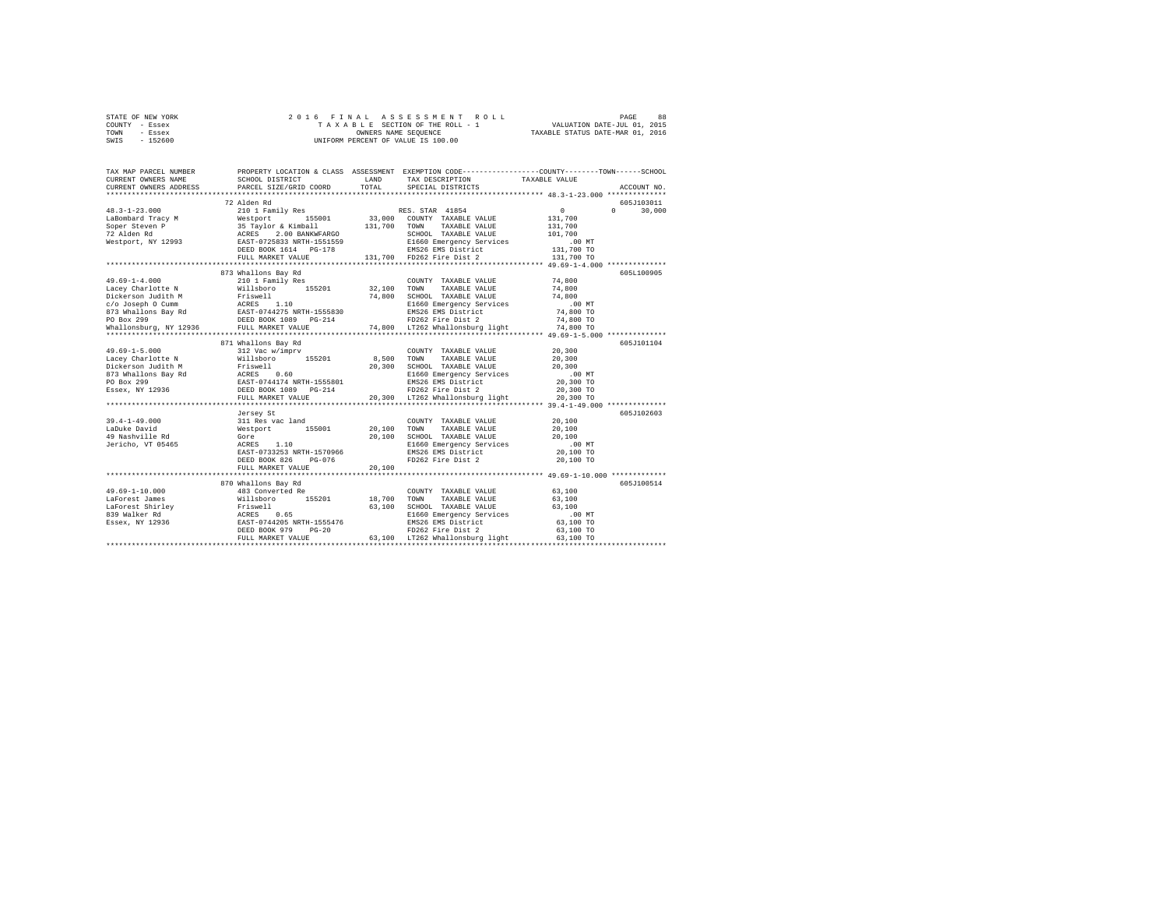| STATE OF NEW YORK | 2016 FINAL ASSESSMENT ROLL         | 88<br>PAGE                       |
|-------------------|------------------------------------|----------------------------------|
| COUNTY - Essex    | TAXABLE SECTION OF THE ROLL - 1    | VALUATION DATE-JUL 01, 2015      |
| TOWN<br>- Essex   | OWNERS NAME SEOUENCE               | TAXABLE STATUS DATE-MAR 01, 2016 |
| - 152600<br>SWIS  | UNIFORM PERCENT OF VALUE IS 100.00 |                                  |

| TAX MAP PARCEL NUMBER<br>CURRENT OWNERS NAME<br>CURRENT OWNERS ADDRESS                                                                                                                                                                     | SCHOOL DISTRICT<br>PARCEL SIZE/GRID COORD                               | <b>T.AND</b><br>TOTAL. | PROPERTY LOCATION & CLASS ASSESSMENT EXEMPTION CODE----------------COUNTY-------TOWN------SCHOOL<br>TAX DESCRIPTION<br>SPECIAL DISTRICTS | TAXABLE VALUE              | ACCOUNT NO.        |
|--------------------------------------------------------------------------------------------------------------------------------------------------------------------------------------------------------------------------------------------|-------------------------------------------------------------------------|------------------------|------------------------------------------------------------------------------------------------------------------------------------------|----------------------------|--------------------|
|                                                                                                                                                                                                                                            |                                                                         |                        |                                                                                                                                          |                            |                    |
|                                                                                                                                                                                                                                            | 72 Alden Rd                                                             |                        |                                                                                                                                          |                            | 605J103011         |
| $48.3 - 1 - 23.000$                                                                                                                                                                                                                        | 210 1 Family Res RES. STAR 41854                                        |                        |                                                                                                                                          | $\sim$ 0                   | $\Omega$<br>30,000 |
| 19.3-172.000<br>19.3000 ELEMENT MESTRATHER MESTRATH 155001 13,000<br>19.3000 ESPER STRATH 155001 131,700<br>19.100 MESTRATH 151559<br>19.300 EAST-0725833 NRTH-15515555<br>19.300 EAST-0725833 NRTH-15515555<br>19.300 EAST-0725833 NRTH-1 |                                                                         |                        | 33,000 COUNTY TAXABLE VALUE                                                                                                              | 131,700                    |                    |
|                                                                                                                                                                                                                                            |                                                                         |                        | 131,700 TOWN TAXABLE VALUE                                                                                                               | 131,700                    |                    |
|                                                                                                                                                                                                                                            |                                                                         |                        | SCHOOL TAXABLE VALUE                                                                                                                     | 101,700                    |                    |
|                                                                                                                                                                                                                                            |                                                                         |                        | E1660 Emergency Services .00 MT<br>EMS26 EMS District  131,700 TO                                                                        |                            |                    |
|                                                                                                                                                                                                                                            |                                                                         |                        |                                                                                                                                          |                            |                    |
|                                                                                                                                                                                                                                            | FULL MARKET VALUE                                                       |                        | 131,700 FD262 Fire Dist 2                                                                                                                | 131,700 TO                 |                    |
|                                                                                                                                                                                                                                            |                                                                         |                        |                                                                                                                                          |                            |                    |
|                                                                                                                                                                                                                                            | 873 Whallons Bay Rd                                                     |                        |                                                                                                                                          |                            | 6051100905         |
| $49.69 - 1 - 4.000$                                                                                                                                                                                                                        | 210 1 Family Res                                                        |                        | COUNTY TAXABLE VALUE                                                                                                                     | 74,800                     |                    |
| Lacey Charlotte N                                                                                                                                                                                                                          | Willsboro 155201                                                        | 32,100 TOWN            | TAXABLE VALUE                                                                                                                            | 74,800                     |                    |
|                                                                                                                                                                                                                                            |                                                                         |                        |                                                                                                                                          |                            |                    |
|                                                                                                                                                                                                                                            |                                                                         |                        |                                                                                                                                          |                            |                    |
|                                                                                                                                                                                                                                            |                                                                         |                        |                                                                                                                                          |                            |                    |
|                                                                                                                                                                                                                                            |                                                                         |                        |                                                                                                                                          |                            |                    |
|                                                                                                                                                                                                                                            |                                                                         |                        |                                                                                                                                          |                            |                    |
|                                                                                                                                                                                                                                            |                                                                         |                        |                                                                                                                                          |                            |                    |
|                                                                                                                                                                                                                                            | 871 Whallons Bay Rd                                                     |                        |                                                                                                                                          |                            | 605J101104         |
| $49.69 - 1 - 5.000$                                                                                                                                                                                                                        |                                                                         |                        | COUNTY TAXABLE VALUE                                                                                                                     | 20,300<br>20,300           |                    |
| Lacev Charlotte N                                                                                                                                                                                                                          |                                                                         |                        | TAXABLE VALUE                                                                                                                            |                            |                    |
|                                                                                                                                                                                                                                            |                                                                         |                        |                                                                                                                                          | 20,300<br>20,300<br>.00 MT |                    |
|                                                                                                                                                                                                                                            |                                                                         |                        |                                                                                                                                          | 20,300 TO                  |                    |
|                                                                                                                                                                                                                                            |                                                                         |                        |                                                                                                                                          | 20,300 TO                  |                    |
|                                                                                                                                                                                                                                            | FULL MARKET VALUE                                                       |                        | 20,300 LT262 Whallonsburg light 20,300 TO                                                                                                |                            |                    |
|                                                                                                                                                                                                                                            |                                                                         |                        |                                                                                                                                          |                            |                    |
|                                                                                                                                                                                                                                            |                                                                         |                        |                                                                                                                                          |                            | 605J102603         |
| $39.4 - 1 - 49.000$                                                                                                                                                                                                                        | 31 Res vac land<br>Westport 155001 20,100<br>Gore 155001 20,100         |                        | COUNTY TAXABLE VALUE                                                                                                                     | 20,100                     |                    |
| LaDuke David                                                                                                                                                                                                                               |                                                                         |                        | TOWN<br>TAXABLE VALUE                                                                                                                    | 20,100                     |                    |
| 49 Nashville Rd                                                                                                                                                                                                                            |                                                                         |                        |                                                                                                                                          |                            |                    |
| Jericho, VT 05465                                                                                                                                                                                                                          | ACRES 1.10                                                              |                        | SCHOOL TAXABLE VALUE 20,100<br>ENG60 Emergency Services 20,000 MT<br>EMS26 EMS District 20,100 TO<br>FD262 Fire Dist 2 20,100 TO         |                            |                    |
|                                                                                                                                                                                                                                            | EAST-0733253 NRTH-1570966                                               |                        |                                                                                                                                          |                            |                    |
|                                                                                                                                                                                                                                            | $PG-076$<br>DEED BOOK 826                                               |                        |                                                                                                                                          |                            |                    |
|                                                                                                                                                                                                                                            | FULL MARKET VALUE                                                       | 20,100                 |                                                                                                                                          |                            |                    |
|                                                                                                                                                                                                                                            |                                                                         |                        |                                                                                                                                          |                            |                    |
|                                                                                                                                                                                                                                            | 870 Whallons Bay Rd                                                     |                        |                                                                                                                                          |                            | 605J100514         |
| $49.69 - 1 - 10.000$                                                                                                                                                                                                                       | 483 Converted Re                                                        |                        | COUNTY TAXABLE VALUE                                                                                                                     | 63,100                     |                    |
| LaForest James                                                                                                                                                                                                                             |                                                                         | 18,700                 | TOWN<br>TAXABLE VALUE                                                                                                                    | 63,100                     |                    |
| Larorest James<br>LaForest Shirley                                                                                                                                                                                                         | Willsboro 155201<br>Friswell<br>ACRES 0.65<br>EAST-0744205 NRTH-1555476 | 63,100                 | SCHOOL TAXABLE VALUE                                                                                                                     | 63,100                     |                    |
| 839 Walker Rd                                                                                                                                                                                                                              |                                                                         |                        | E1660 Emergency Services                                                                                                                 | $.00$ MT                   |                    |
| Essex, NY 12936                                                                                                                                                                                                                            |                                                                         |                        |                                                                                                                                          | 63,100 TO                  |                    |
|                                                                                                                                                                                                                                            | DEED BOOK 979<br>$PG-20$                                                |                        |                                                                                                                                          | 63,100 TO                  |                    |
|                                                                                                                                                                                                                                            | FULL MARKET VALUE                                                       |                        | EMS26 EMS District<br>FD262 Fire District<br>FD262 Fire Dist 2<br>63,100 LT262 Whallonsburg light                                        | 63,100 TO                  |                    |
|                                                                                                                                                                                                                                            |                                                                         |                        |                                                                                                                                          |                            |                    |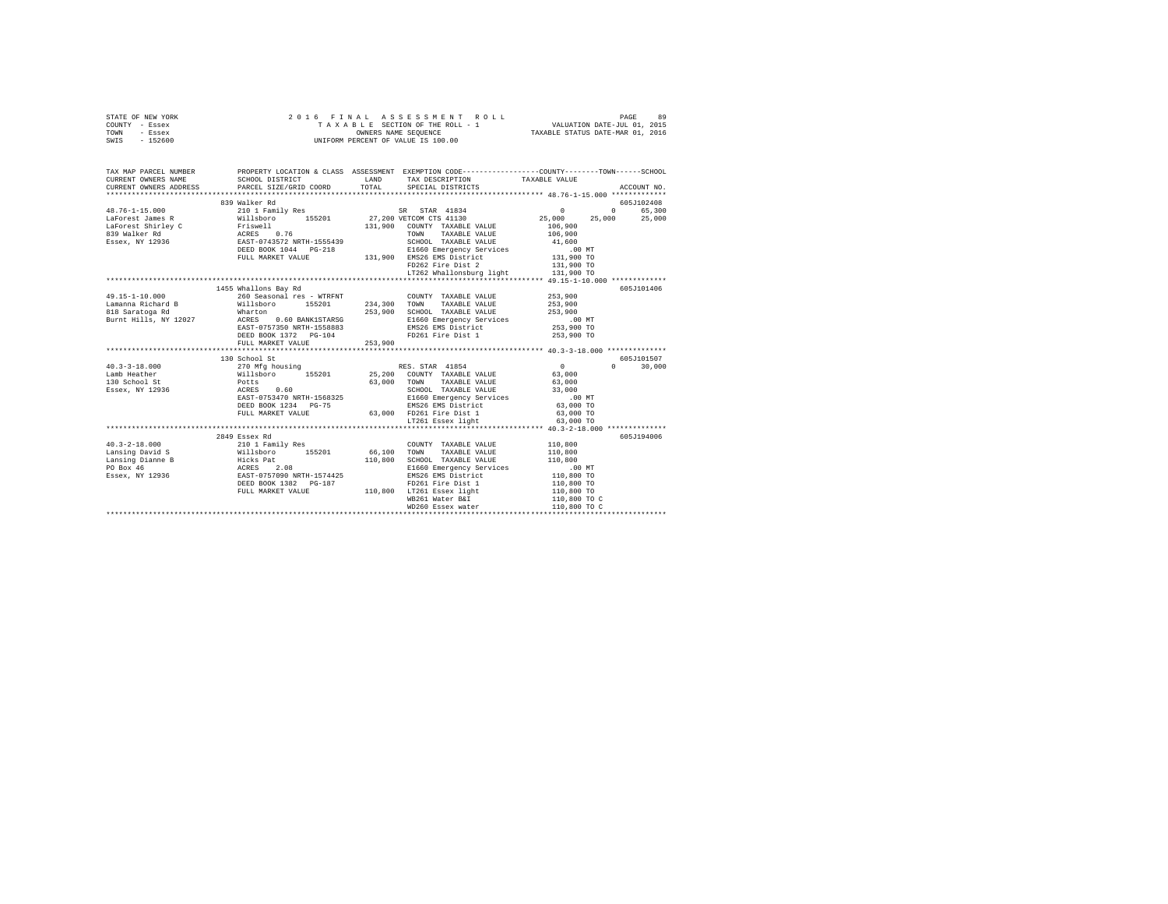| STATE OF NEW YORK<br>COUNTY - Essex<br>TOWN - Essex<br>SWIS - 152600                                                                                                                                                                                                                                                                                                                                     | 2016 FINAL ASSESSMENT R<br>TAXABLE SECTION OF THE ROLL - 1<br>OWNERS NAME SEQUENCE<br>UNIFORM PERCENT OF VALUE IS 100.00                                                                                                         | 2016 FINAL ASSESSMENT ROLL                                                                                         |                    |               |
|----------------------------------------------------------------------------------------------------------------------------------------------------------------------------------------------------------------------------------------------------------------------------------------------------------------------------------------------------------------------------------------------------------|----------------------------------------------------------------------------------------------------------------------------------------------------------------------------------------------------------------------------------|--------------------------------------------------------------------------------------------------------------------|--------------------|---------------|
| TAX MAP PARCEL NUMBER PROPERTY LOCATION & CLASS ASSESSMENT EXEMPTION CODE---------------COUNTY-------TOWN------SCHOOL<br>CURRENT OWNERS NAME                                                                                                                                                                                                                                                             | SCHOOL DISTRICT                                                                                                                                                                                                                  | LAND TAX DESCRIPTION                                                                                               | TAXABLE VALUE      |               |
| CURRENT OWNERS ADDRESS PARCEL SIZE/GRID COORD                                                                                                                                                                                                                                                                                                                                                            |                                                                                                                                                                                                                                  | TOTAL SPECIAL DISTRICTS                                                                                            |                    | ACCOUNT NO.   |
|                                                                                                                                                                                                                                                                                                                                                                                                          |                                                                                                                                                                                                                                  |                                                                                                                    |                    |               |
|                                                                                                                                                                                                                                                                                                                                                                                                          | 839 Walker Rd                                                                                                                                                                                                                    |                                                                                                                    |                    | 605J102408    |
|                                                                                                                                                                                                                                                                                                                                                                                                          |                                                                                                                                                                                                                                  |                                                                                                                    |                    | 0 65,300      |
|                                                                                                                                                                                                                                                                                                                                                                                                          |                                                                                                                                                                                                                                  |                                                                                                                    |                    | 25,000 25,000 |
| $\begin{tabular}{l c c c c c} \multicolumn{3}{c c c} \multicolumn{3}{c c c} \multicolumn{3}{c c c} \multicolumn{3}{c c c} \multicolumn{3}{c c c} \multicolumn{3}{c c c} \multicolumn{3}{c c c} \multicolumn{3}{c c c} \multicolumn{3}{c c c} \multicolumn{3}{c c c} \multicolumn{3}{c c c} \multicolumn{3}{c c c} \multicolumn{3}{c c c} \multicolumn{3}{c c c} \multicolumn{3}{c c c} \multicolumn{3}{$ |                                                                                                                                                                                                                                  |                                                                                                                    |                    |               |
|                                                                                                                                                                                                                                                                                                                                                                                                          |                                                                                                                                                                                                                                  |                                                                                                                    |                    |               |
|                                                                                                                                                                                                                                                                                                                                                                                                          |                                                                                                                                                                                                                                  |                                                                                                                    |                    |               |
|                                                                                                                                                                                                                                                                                                                                                                                                          |                                                                                                                                                                                                                                  |                                                                                                                    |                    |               |
|                                                                                                                                                                                                                                                                                                                                                                                                          |                                                                                                                                                                                                                                  |                                                                                                                    |                    |               |
|                                                                                                                                                                                                                                                                                                                                                                                                          |                                                                                                                                                                                                                                  | LT262 Whallonsburg light 131,900 TO                                                                                |                    |               |
|                                                                                                                                                                                                                                                                                                                                                                                                          |                                                                                                                                                                                                                                  |                                                                                                                    |                    |               |
|                                                                                                                                                                                                                                                                                                                                                                                                          | 1455 Whallons Bay Rd                                                                                                                                                                                                             |                                                                                                                    |                    | 605J101406    |
|                                                                                                                                                                                                                                                                                                                                                                                                          |                                                                                                                                                                                                                                  |                                                                                                                    | 253,900            |               |
|                                                                                                                                                                                                                                                                                                                                                                                                          |                                                                                                                                                                                                                                  |                                                                                                                    | 253,900<br>253,900 |               |
|                                                                                                                                                                                                                                                                                                                                                                                                          |                                                                                                                                                                                                                                  |                                                                                                                    | .00MT              |               |
|                                                                                                                                                                                                                                                                                                                                                                                                          |                                                                                                                                                                                                                                  |                                                                                                                    | 253,900 TO         |               |
|                                                                                                                                                                                                                                                                                                                                                                                                          |                                                                                                                                                                                                                                  |                                                                                                                    | 253,900 TO         |               |
|                                                                                                                                                                                                                                                                                                                                                                                                          | FULL MARKET VALUE 253,900                                                                                                                                                                                                        |                                                                                                                    |                    |               |
|                                                                                                                                                                                                                                                                                                                                                                                                          |                                                                                                                                                                                                                                  |                                                                                                                    |                    |               |
| 40.3-3-18.000<br>40.3-3-18.000<br>40.3-3-18.000<br>1308chool St<br>270 Mfg housing<br>270 Mfg housing<br>270 Mfg housing<br>28.200 COUNTY TAXABLE VALUE 63,000<br>28.900 TOWN TAXABLE VALUE 63,000<br>28.900 TOWN TAXABLE VALUE 63,000<br>28.900 T                                                                                                                                                       |                                                                                                                                                                                                                                  |                                                                                                                    |                    | 605J101507    |
|                                                                                                                                                                                                                                                                                                                                                                                                          |                                                                                                                                                                                                                                  |                                                                                                                    |                    | $0 \t 30,000$ |
|                                                                                                                                                                                                                                                                                                                                                                                                          |                                                                                                                                                                                                                                  |                                                                                                                    |                    |               |
|                                                                                                                                                                                                                                                                                                                                                                                                          |                                                                                                                                                                                                                                  |                                                                                                                    |                    |               |
|                                                                                                                                                                                                                                                                                                                                                                                                          |                                                                                                                                                                                                                                  |                                                                                                                    |                    |               |
|                                                                                                                                                                                                                                                                                                                                                                                                          |                                                                                                                                                                                                                                  |                                                                                                                    |                    |               |
|                                                                                                                                                                                                                                                                                                                                                                                                          |                                                                                                                                                                                                                                  | DEED BOOK 1234 PG-75 2000 POEM BASS EMS District 63,000 TO<br>FULL MARKET VALUE 63,000 PD261 Fire Dist 1 63,000 TO |                    |               |
|                                                                                                                                                                                                                                                                                                                                                                                                          |                                                                                                                                                                                                                                  | LT261 Essex light                                                                                                  | 63,000 TO          |               |
|                                                                                                                                                                                                                                                                                                                                                                                                          |                                                                                                                                                                                                                                  | *********************************** 40.3-2-18.000 ***************                                                  |                    |               |
|                                                                                                                                                                                                                                                                                                                                                                                                          | 2849 Essex Rd                                                                                                                                                                                                                    |                                                                                                                    |                    | 605J194006    |
|                                                                                                                                                                                                                                                                                                                                                                                                          |                                                                                                                                                                                                                                  |                                                                                                                    |                    |               |
|                                                                                                                                                                                                                                                                                                                                                                                                          |                                                                                                                                                                                                                                  |                                                                                                                    |                    |               |
|                                                                                                                                                                                                                                                                                                                                                                                                          |                                                                                                                                                                                                                                  |                                                                                                                    |                    |               |
|                                                                                                                                                                                                                                                                                                                                                                                                          |                                                                                                                                                                                                                                  |                                                                                                                    |                    |               |
|                                                                                                                                                                                                                                                                                                                                                                                                          |                                                                                                                                                                                                                                  |                                                                                                                    |                    |               |
|                                                                                                                                                                                                                                                                                                                                                                                                          |                                                                                                                                                                                                                                  |                                                                                                                    | 110,800 TO         |               |
|                                                                                                                                                                                                                                                                                                                                                                                                          |                                                                                                                                                                                                                                  | DEED BOOK 1382 PG-187<br>FULL MARKET VALUE 110,800 LT261 Essex light<br>WB261 Water B&I                            | 110,800 TO C       |               |
|                                                                                                                                                                                                                                                                                                                                                                                                          | maler par الله maler par الله مع maler par الله مع الله مع الله مع الله مع الله مع الله مع الله مع الله مع الل<br>W D260 Essex water (10,800 maler ) - 110,800 maler (10,800 maler ) - 110,800 maler (10,800 maler ) - 110 maler |                                                                                                                    |                    |               |
|                                                                                                                                                                                                                                                                                                                                                                                                          |                                                                                                                                                                                                                                  |                                                                                                                    |                    |               |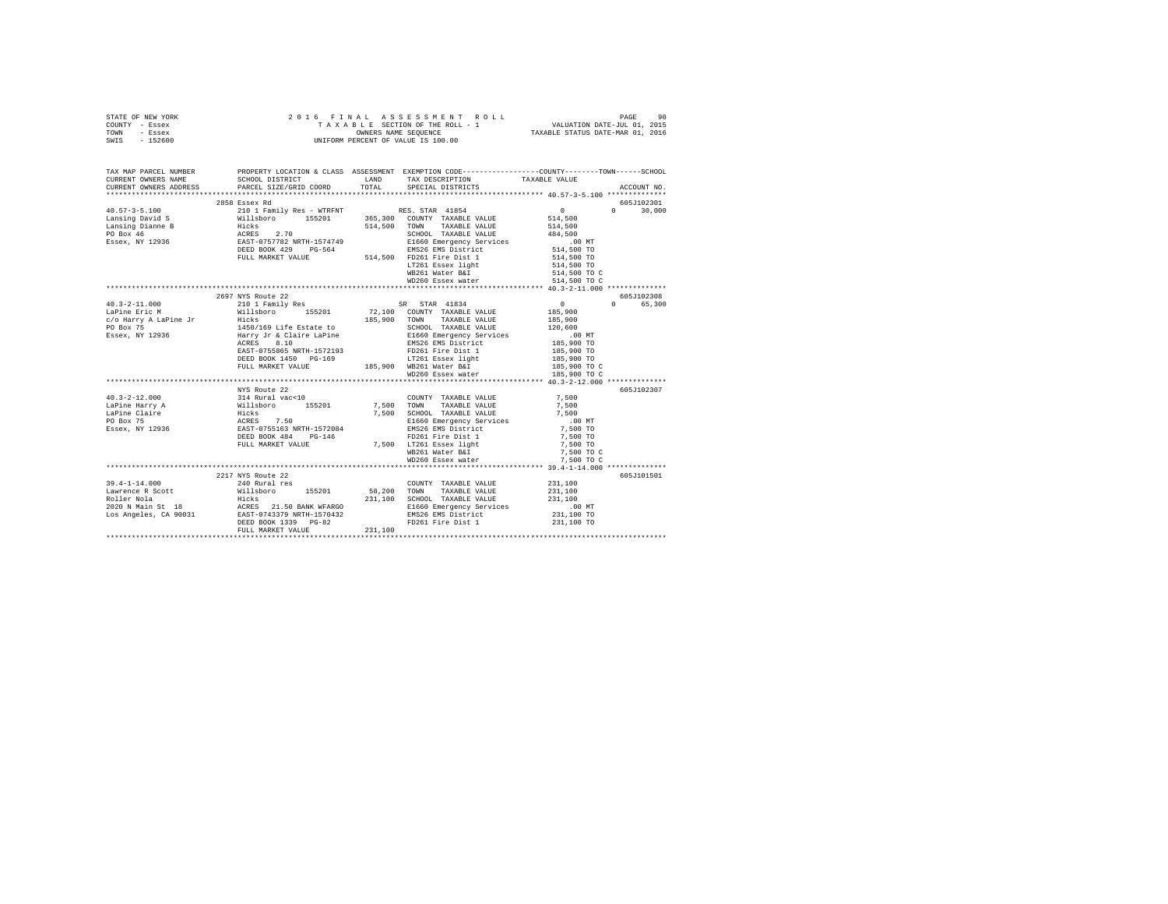|                | STATE OF NEW YORK |  | 2016 FINAL ASSESSMENT ROLL         | PAGE                             | 90 |
|----------------|-------------------|--|------------------------------------|----------------------------------|----|
| COUNTY - Essex |                   |  | TAXABLE SECTION OF THE ROLL - 1    | VALUATION DATE-JUL 01, 2015      |    |
| TOWN           | - Essex           |  | OWNERS NAME SEOUENCE               | TAXABLE STATUS DATE-MAR 01, 2016 |    |
| SWIS           | - 152600          |  | UNIFORM PERCENT OF VALUE IS 100.00 |                                  |    |

| TAX MAP PARCEL NUMBER | PROPERTY LOCATION & CLASS ASSESSMENT EXEMPTION CODE----------------COUNTY-------TOWN------SCHOOL                                                                                                                                                             |                                                       |                                              |               |
|-----------------------|--------------------------------------------------------------------------------------------------------------------------------------------------------------------------------------------------------------------------------------------------------------|-------------------------------------------------------|----------------------------------------------|---------------|
|                       | CURRENT OWNERS NAME SCHOOL DISTRICT WE LAND TAX DESCRIPTION TAXABLE VALUE                                                                                                                                                                                    |                                                       |                                              |               |
|                       |                                                                                                                                                                                                                                                              |                                                       |                                              |               |
|                       | 2858 Essex Rd                                                                                                                                                                                                                                                |                                                       |                                              | 605J102301    |
|                       |                                                                                                                                                                                                                                                              |                                                       |                                              | $0 \t 30,000$ |
|                       |                                                                                                                                                                                                                                                              |                                                       |                                              |               |
|                       |                                                                                                                                                                                                                                                              |                                                       |                                              |               |
|                       |                                                                                                                                                                                                                                                              |                                                       |                                              |               |
|                       |                                                                                                                                                                                                                                                              |                                                       |                                              |               |
|                       |                                                                                                                                                                                                                                                              |                                                       |                                              |               |
|                       |                                                                                                                                                                                                                                                              |                                                       |                                              |               |
|                       |                                                                                                                                                                                                                                                              |                                                       |                                              |               |
|                       |                                                                                                                                                                                                                                                              |                                                       |                                              |               |
|                       |                                                                                                                                                                                                                                                              | 0 514,500 TO C 514,500 TO C 514,500 TO C 514,500 TO C |                                              |               |
|                       |                                                                                                                                                                                                                                                              |                                                       |                                              |               |
|                       | 2697 NYS Route 22                                                                                                                                                                                                                                            |                                                       |                                              | 605J102308    |
|                       | 40.3-2-11.000<br>LaPine Eric M 2019/NYS KOME 22<br>LaPine Eric M Willsboro 155201<br>$\sigma/9$ Barry A LaPine Jr Hicks<br>$\sigma/8$ Barry A LaPine Jr Hicks<br>$\sigma/8$ Barry Jr & Claire LaPine<br>Essex, NY 12936<br>Essex, NY 12936<br>$\sigma$ Barry |                                                       | $\begin{array}{c}0\\185,900\end{array}$      | 0 65,300      |
|                       |                                                                                                                                                                                                                                                              |                                                       |                                              |               |
|                       |                                                                                                                                                                                                                                                              |                                                       | 185,900                                      |               |
|                       |                                                                                                                                                                                                                                                              |                                                       |                                              |               |
|                       |                                                                                                                                                                                                                                                              |                                                       | 120,600<br>00 MT<br>185,900 TO<br>185,900 TO |               |
|                       |                                                                                                                                                                                                                                                              |                                                       |                                              |               |
|                       |                                                                                                                                                                                                                                                              |                                                       |                                              |               |
|                       | 01 150 161 161 162 163 164 164 165,900 165,900 165,900 165,900 165,900 165,900 165,900 165,900 165,900 165,900 165,900 165,900 165,900 165,900 166,900 166,900 166,900 166,900 166,900 166,900 166,900 166,900 166,900 166,900                               |                                                       |                                              |               |
|                       |                                                                                                                                                                                                                                                              |                                                       |                                              |               |
|                       |                                                                                                                                                                                                                                                              | WD260 Essex water 185,900 TO C                        |                                              |               |
|                       |                                                                                                                                                                                                                                                              |                                                       |                                              |               |
|                       | NYS Route 22                                                                                                                                                                                                                                                 |                                                       |                                              | 605J102307    |
|                       |                                                                                                                                                                                                                                                              |                                                       |                                              |               |
|                       |                                                                                                                                                                                                                                                              |                                                       |                                              |               |
|                       |                                                                                                                                                                                                                                                              |                                                       |                                              |               |
|                       |                                                                                                                                                                                                                                                              |                                                       |                                              |               |
|                       |                                                                                                                                                                                                                                                              |                                                       |                                              |               |
|                       |                                                                                                                                                                                                                                                              |                                                       |                                              |               |
|                       |                                                                                                                                                                                                                                                              |                                                       |                                              |               |
|                       |                                                                                                                                                                                                                                                              |                                                       |                                              |               |
|                       |                                                                                                                                                                                                                                                              |                                                       |                                              |               |
|                       |                                                                                                                                                                                                                                                              |                                                       |                                              |               |
|                       | 2217 NYS Route 22                                                                                                                                                                                                                                            |                                                       |                                              | 605J101501    |
|                       |                                                                                                                                                                                                                                                              |                                                       |                                              |               |
|                       |                                                                                                                                                                                                                                                              |                                                       |                                              |               |
|                       |                                                                                                                                                                                                                                                              |                                                       |                                              |               |
|                       |                                                                                                                                                                                                                                                              |                                                       |                                              |               |
|                       |                                                                                                                                                                                                                                                              |                                                       |                                              |               |
|                       |                                                                                                                                                                                                                                                              |                                                       |                                              |               |
|                       | 39.4-1-14.000<br>29.4-1-14.000<br>29.4-1-14.000<br>29.4-1-14.000<br>29.200 MM 2020 MM 2020 MM 2020 MM 2020 MM 2020 MM 2020 MM 2020 MM 2020 MM 2020 MM 2020 MM 2020 MM 2021<br>2020 MM 2020 MM 2020 MM 2020 MM 2020 MM 2020 MM 2020 MM 20                     |                                                       |                                              |               |
|                       |                                                                                                                                                                                                                                                              |                                                       |                                              |               |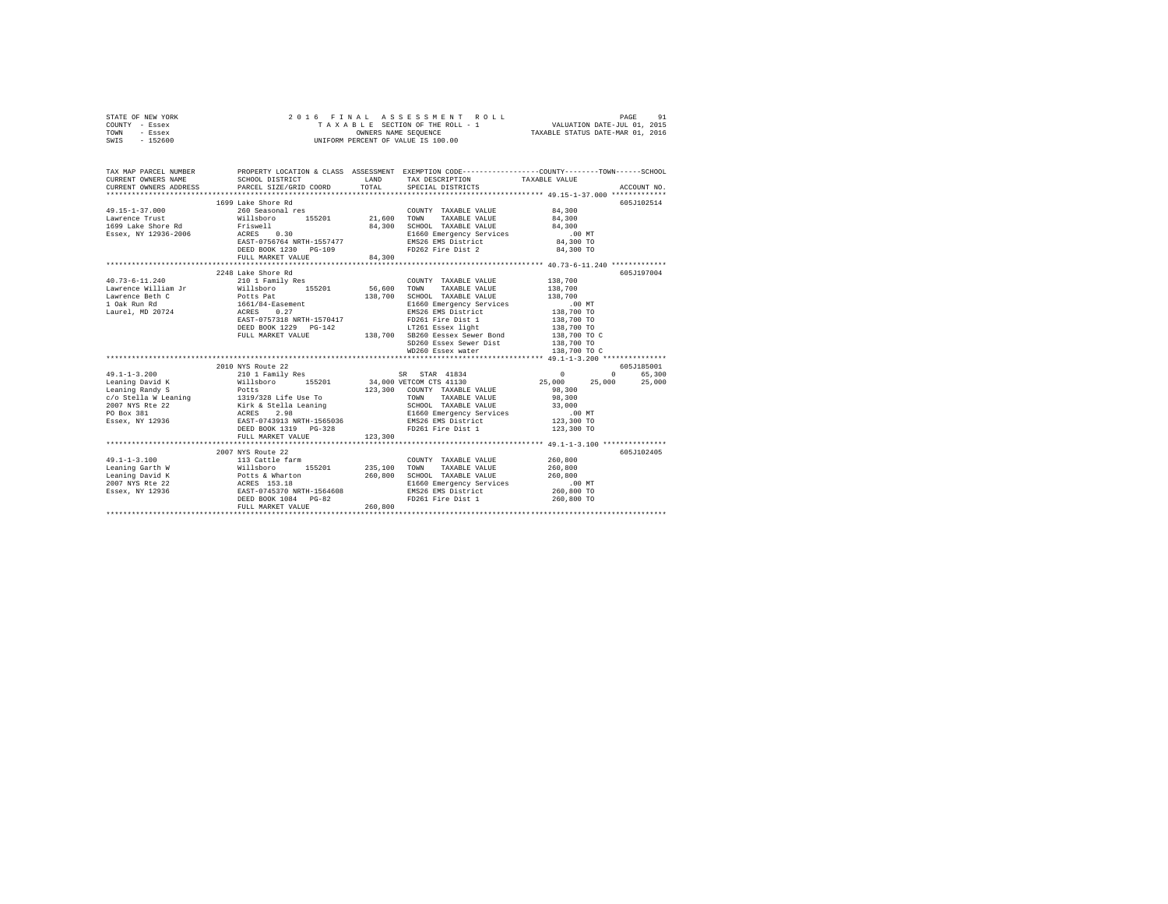|      | STATE OF NEW YORK |  | 2016 FINAL ASSESSMENT ROLL         | 91<br>PAGE                       |  |
|------|-------------------|--|------------------------------------|----------------------------------|--|
|      | COUNTY - Essex    |  | TAXABLE SECTION OF THE ROLL - 1    | VALUATION DATE-JUL 01, 2015      |  |
| TOWN | - Essex           |  | OWNERS NAME SEOUENCE               | TAXABLE STATUS DATE-MAR 01, 2016 |  |
| SWIS | - 152600          |  | UNIFORM PERCENT OF VALUE IS 100.00 |                                  |  |

| TAX MAP PARCEL NUMBER | PROPERTY LOCATION & CLASS ASSESSMENT EXEMPTION CODE----------------COUNTY-------TOWN------SCHOOL<br>$\begin{tabular}{lllllllll} \texttt{CURERENT} & & & & & & & \texttt{TAXABLE} & \texttt{WALUE} \\ \texttt{CURERENT} & & & & & \texttt{SCEOCEID} & & & \texttt{PACECIE} & \texttt{TQTL} & & \texttt{PACECIE} \\ \texttt{CURERENT} & & & & & \texttt{PACECIE} & \texttt{SPECIE} & \texttt{PACECIE} & \texttt{SPECICID} & & \texttt{NCCFIE} & \texttt{PACECIE} \\ & & & & & \texttt{PACECIE} & \texttt{PACECIE} & \texttt{SPECIE} & \texttt{S$ |         |                                                                                                                                                                                                                                                                                             |                                                                  |                                                      |
|-----------------------|------------------------------------------------------------------------------------------------------------------------------------------------------------------------------------------------------------------------------------------------------------------------------------------------------------------------------------------------------------------------------------------------------------------------------------------------------------------------------------------------------------------------------------------------|---------|---------------------------------------------------------------------------------------------------------------------------------------------------------------------------------------------------------------------------------------------------------------------------------------------|------------------------------------------------------------------|------------------------------------------------------|
| $49.15 - 1 - 37.000$  | 1699 Lake Shore Rd<br>260 Seasonal res<br>DEED BOOK 1230 PG-109<br>FULL MARKET VALUE                                                                                                                                                                                                                                                                                                                                                                                                                                                           | 84,300  | COUNTY TAXABLE VALUE 84,300<br>TAXABLE VALUE<br>TOWN<br>NOTE THAT THE SCHOOL TAXABLE VALUE 50 10 MT<br>ELECTOL TAXABLE VALUE 50 10 MT<br>EMS26 EMS District 50 44 300 TO<br>FD262 Fire Dist 2                                                                                               | 84,300<br>84,300 TO                                              | 605J102514                                           |
| $40.73 - 6 - 11.240$  | 2248 Lake Shore Rd<br>210 1 Family Res<br>10.13-70-11.2320<br>10.23201 Mayrence Beth C 2011 Millsboro 155201<br>10.24 Millsboro 155201<br>10.24 Millsboro 1661/84-Easement<br>10.24 Millsboro 1661/84-Easement<br>10.24 Millsboro 127<br>2022 MaxrH-1570417<br>2022 MaxrH-1570417                                                                                                                                                                                                                                                              | 138,700 | COUNTY TAXABLE VALUE 138,700<br>56,600 TOWN TAXABLE VALUE<br>SCHOOL TAXABLE VALUE<br>E1660 Emergency Services<br>E1660 Emergency Services<br>EMS26 EMS District 138,700 TO<br>FD261 Fire Dist 1 138,700 TO<br>LT261 Essex light 138,700 TO<br>138,700 TO<br>138,700 TO<br>WD260 Essex water | 138,700<br>138,700<br>138,700 TO C<br>138,700 TO<br>138,700 TO C | 605J197004                                           |
|                       | 2010 NYS Route 22<br>DEED BOOK 1319 PG-328<br>FULL MARKET VALUE                                                                                                                                                                                                                                                                                                                                                                                                                                                                                | 123,300 | TOWN TAXABLE VALUE<br>SCHOOL TAXABLE VALUE 33,000<br>E1660 Emergency Services (1980)<br>23,300 TO<br>FD261 Fire Dist 1                                                                                                                                                                      | $^{\circ}$<br>25,000<br>25,000<br>98,300<br>123,300 TO           | 605-7185001<br>65,300<br>$0 \qquad \qquad$<br>25,000 |
| $49.1 - 1 - 3.100$    | 2007 NYS Route 22<br>113 Cattle farm<br>Validation of the Milleboro Community (1990)<br>1991 - The Milleboro Community (1990)<br>1991 - The Milleboro Community (1990)<br>1993 - The Milleboro Community (1990)<br>1993 - The Milleboro Community (1990)<br>1994 - The Milleboro<br>FULL MARKET VALUE                                                                                                                                                                                                                                          | 260,800 | COUNTY TAXABLE VALUE 260.800                                                                                                                                                                                                                                                                |                                                                  | 605J102405                                           |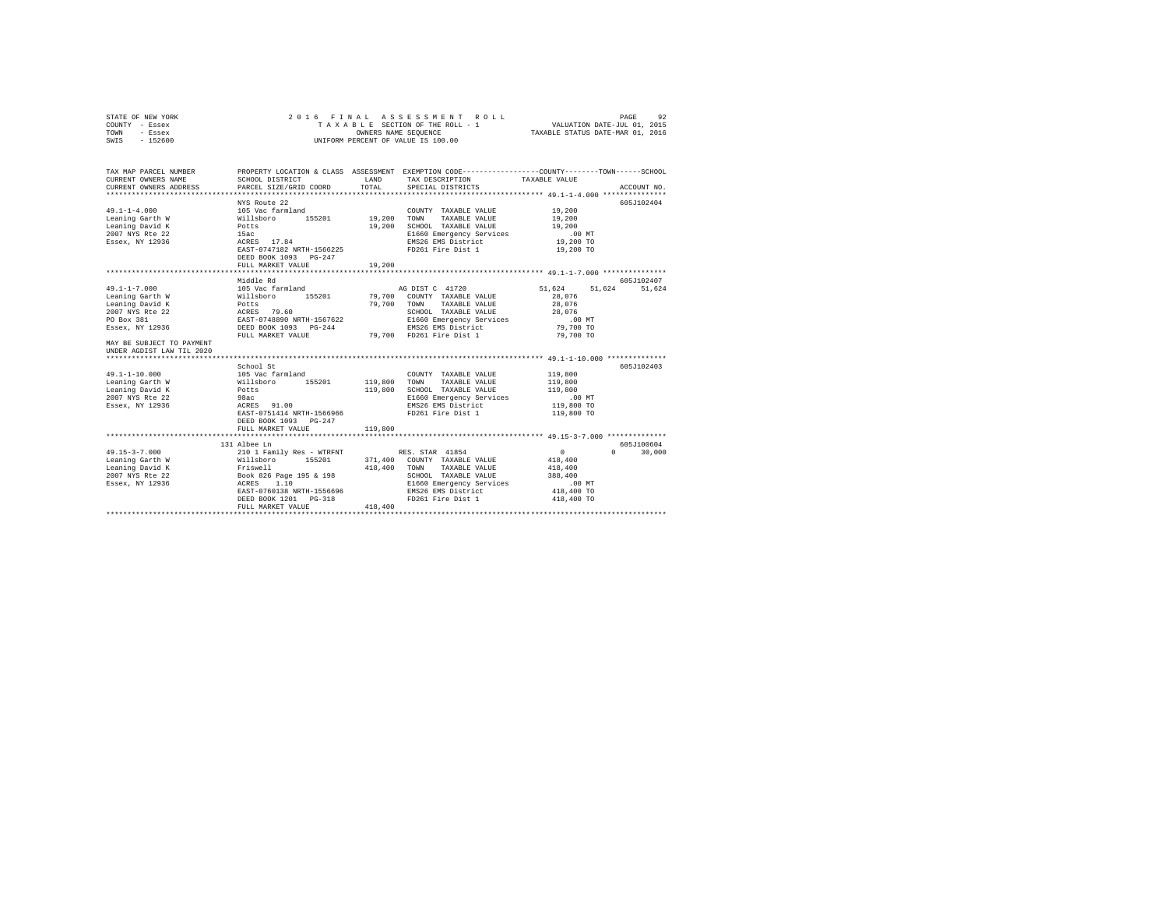| STATE OF NEW YORK<br>COUNTY - Essex<br>TOWN<br>- Essex<br>SWIS - 152600 | 2016 FINAL<br>TAXABLE SECTION OF THE ROLL - 1<br>UNIFORM PERCENT OF VALUE IS 100.00                                                                                                                                                              | ASSESSMENT ROLL<br>92<br>PAGE<br>VALUATION DATE-JUL 01, 2015<br>OLL - 1 VALUATION DATE-JUL 01, 2015<br>TAXABLE STATUS DATE-MAR 01, 2016 |                                                                            |                                                    |             |
|-------------------------------------------------------------------------|--------------------------------------------------------------------------------------------------------------------------------------------------------------------------------------------------------------------------------------------------|-----------------------------------------------------------------------------------------------------------------------------------------|----------------------------------------------------------------------------|----------------------------------------------------|-------------|
| TAX MAP PARCEL NUMBER<br>CURRENT OWNERS NAME                            | PROPERTY LOCATION & CLASS ASSESSMENT EXEMPTION CODE---------------COUNTY-------TOWN-----SCHOOL<br>SCHOOL DISTRICT                                                                                                                                | LAND                                                                                                                                    | TAX DESCRIPTION                                                            | TAXABLE VALUE                                      |             |
| CURRENT OWNERS ADDRESS                                                  | PARCEL SIZE/GRID COORD                                                                                                                                                                                                                           | TOTAL                                                                                                                                   | SPECIAL DISTRICTS                                                          |                                                    | ACCOUNT NO. |
|                                                                         |                                                                                                                                                                                                                                                  |                                                                                                                                         |                                                                            |                                                    |             |
|                                                                         | NYS Route 22                                                                                                                                                                                                                                     |                                                                                                                                         |                                                                            |                                                    | 605J102404  |
| $49.1 - 1 - 4.000$                                                      |                                                                                                                                                                                                                                                  |                                                                                                                                         | COUNTY TAXABLE VALUE                                                       | 19,200                                             |             |
| Leaning Garth W                                                         |                                                                                                                                                                                                                                                  | 19,200                                                                                                                                  | TOWN<br>TAXABLE VALUE                                                      | 19,200                                             |             |
| Leaning David K                                                         |                                                                                                                                                                                                                                                  | 19,200                                                                                                                                  | SCHOOL TAXABLE VALUE                                                       | 19,200                                             |             |
| 2007 NYS Rte 22                                                         |                                                                                                                                                                                                                                                  |                                                                                                                                         | E1660 Emergency Services<br>EMS26 EMS District                             | $.00$ MT<br>19,200 TO                              |             |
| Essex, NY 12936                                                         | AIS Succession<br>105 Vac farmland<br>Willsboro<br>Potts<br>15ac<br>ACRES 17.84<br>EAST-0747182 NRTH-1566225                                                                                                                                     |                                                                                                                                         | FD261 Fire Dist 1                                                          | 19,200 TO                                          |             |
|                                                                         | DEED BOOK 1093 PG-247                                                                                                                                                                                                                            |                                                                                                                                         |                                                                            |                                                    |             |
|                                                                         | FULL MARKET VALUE                                                                                                                                                                                                                                | 19,200                                                                                                                                  |                                                                            |                                                    |             |
|                                                                         |                                                                                                                                                                                                                                                  |                                                                                                                                         |                                                                            |                                                    |             |
|                                                                         | Middle Rd                                                                                                                                                                                                                                        |                                                                                                                                         |                                                                            |                                                    | 605J102407  |
| $49.1 - 1 - 7.000$                                                      |                                                                                                                                                                                                                                                  |                                                                                                                                         |                                                                            | 51,624 51,624                                      | 51.624      |
| Leaning Garth W                                                         |                                                                                                                                                                                                                                                  |                                                                                                                                         |                                                                            | 28,076                                             |             |
| Leaning David K                                                         |                                                                                                                                                                                                                                                  |                                                                                                                                         |                                                                            | 28,076                                             |             |
| 2007 NYS Rte 22                                                         |                                                                                                                                                                                                                                                  |                                                                                                                                         |                                                                            | 28,076                                             |             |
| PO Box 381<br>Essex, NY 12936                                           | NG DIST C 41720<br>Willaboro 155201 79,700 COWNT TAXABLE VALUE<br>POLES<br>POLES<br>POLES<br>RATES 79.60 79,700 COWNT TAXABLE VALUE<br>RATES 79.60 79.700 TOWN TAXABLE VALUE<br>RAST-0748890 NETH-1567622<br>RESP DOOK 1093 POLES<br>POLES RAS D |                                                                                                                                         |                                                                            | $.00$ MT                                           |             |
|                                                                         | FULL MARKET VALUE 79,700 FD261 Fire Dist 1                                                                                                                                                                                                       |                                                                                                                                         |                                                                            | 79,700 TO                                          |             |
| MAY BE SUBJECT TO PAYMENT                                               |                                                                                                                                                                                                                                                  |                                                                                                                                         |                                                                            | 79,700 TO                                          |             |
| UNDER AGDIST LAW TIL 2020                                               |                                                                                                                                                                                                                                                  |                                                                                                                                         |                                                                            |                                                    |             |
| ***************************                                             |                                                                                                                                                                                                                                                  |                                                                                                                                         |                                                                            | ************* 49.1-1-10.000 ***************        |             |
|                                                                         | School St                                                                                                                                                                                                                                        |                                                                                                                                         |                                                                            |                                                    | 605J102403  |
| $49.1 - 1 - 10.000$                                                     |                                                                                                                                                                                                                                                  |                                                                                                                                         | COUNTY TAXABLE VALUE                                                       | 119,800                                            |             |
| Leaning Garth W                                                         |                                                                                                                                                                                                                                                  | 119,800 TOWN                                                                                                                            | TAXABLE VALUE                                                              | 119,800                                            |             |
| Leaning David K                                                         |                                                                                                                                                                                                                                                  | 119,800                                                                                                                                 | SCHOOL TAXABLE VALUE                                                       | 119,800                                            |             |
| 2007 NYS Rte 22                                                         | 105 Vac farmland<br>Willsboro 155201<br>Potts<br>98ac<br>ACRES 91.00                                                                                                                                                                             |                                                                                                                                         | E1660 Emergency Services                                                   | $.00$ MT                                           |             |
| Essex, NY 12936                                                         |                                                                                                                                                                                                                                                  |                                                                                                                                         | EMS26 EMS District                                                         | 119,800 TO                                         |             |
|                                                                         | EAST-0751414 NRTH-1566966                                                                                                                                                                                                                        |                                                                                                                                         | FD261 Fire Dist 1                                                          | 119,800 TO                                         |             |
|                                                                         | DEED BOOK 1093 PG-247                                                                                                                                                                                                                            |                                                                                                                                         |                                                                            |                                                    |             |
|                                                                         | FULL MARKET VALUE                                                                                                                                                                                                                                | 119,800                                                                                                                                 |                                                                            | ********************* 49.15-3-7.000 ************** |             |
|                                                                         | 131 Albee Ln                                                                                                                                                                                                                                     |                                                                                                                                         |                                                                            |                                                    | 605J100604  |
| $49.15 - 3 - 7.000$                                                     | 210 1 Family Res - WTRFNT                                                                                                                                                                                                                        |                                                                                                                                         | RES. STAR 41854                                                            | $\sim$ 0<br>$\Omega$                               | 30,000      |
|                                                                         |                                                                                                                                                                                                                                                  |                                                                                                                                         | 371,400 COUNTY TAXABLE VALUE                                               | 418,400                                            |             |
|                                                                         |                                                                                                                                                                                                                                                  |                                                                                                                                         | 418,400 TOWN TAXABLE VALUE                                                 | 418,400                                            |             |
|                                                                         |                                                                                                                                                                                                                                                  |                                                                                                                                         | SCHOOL TAXABLE VALUE                                                       | 388,400                                            |             |
|                                                                         |                                                                                                                                                                                                                                                  |                                                                                                                                         | E1660 Emergency Services<br>E1660 Emergency Services<br>EMS26 EMS District | $.00$ MT                                           |             |
|                                                                         | EAST-0760138 NRTH-1556696                                                                                                                                                                                                                        |                                                                                                                                         |                                                                            | 418,400 TO                                         |             |
|                                                                         | DEED BOOK 1201    PG-318                                                                                                                                                                                                                         |                                                                                                                                         | FD261 Fire Dist 1                                                          | 418,400 TO                                         |             |
|                                                                         | FULL MARKET VALUE                                                                                                                                                                                                                                | 418,400                                                                                                                                 |                                                                            |                                                    |             |
|                                                                         |                                                                                                                                                                                                                                                  |                                                                                                                                         |                                                                            |                                                    |             |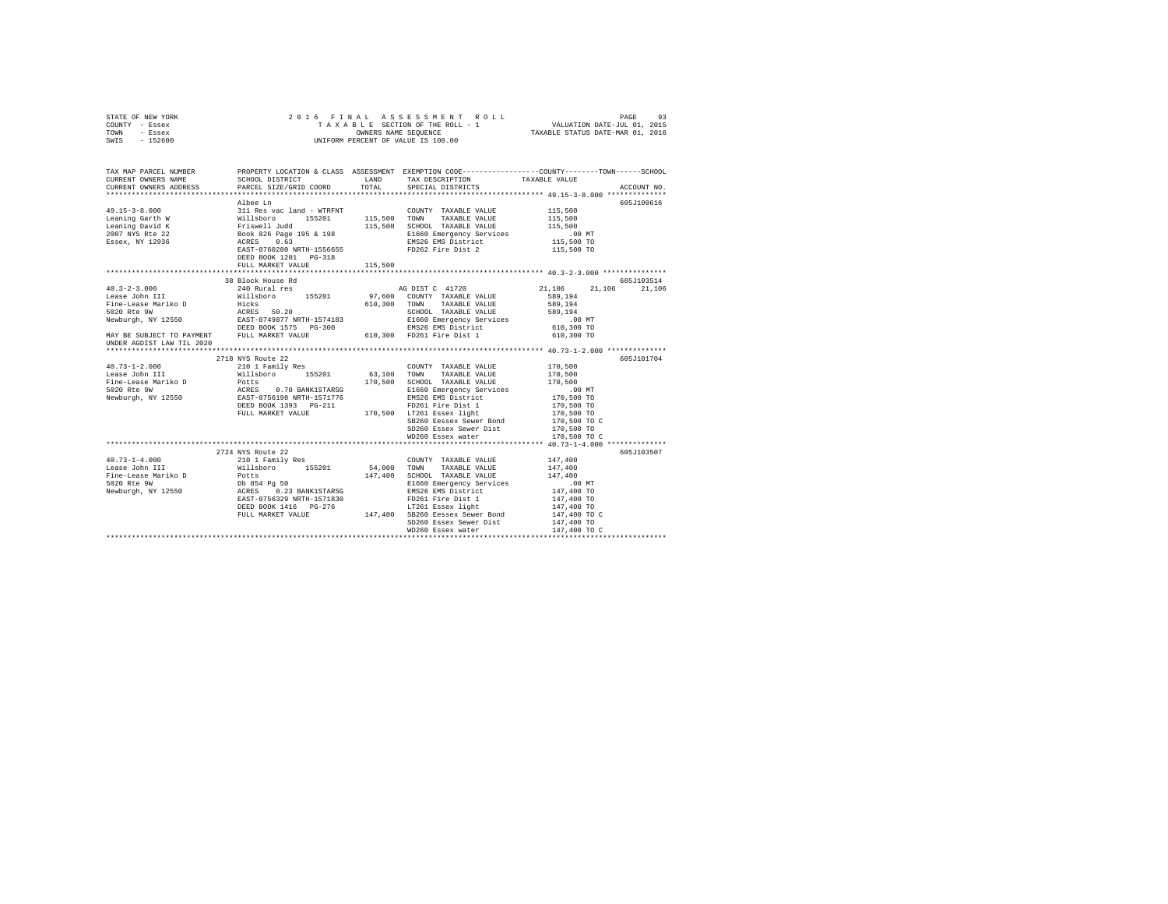| STATE OF NEW YORK                                                                                                                                                                                                                                                                                                                                                                                                |                                                                                                 |         |                        |                                    |             |
|------------------------------------------------------------------------------------------------------------------------------------------------------------------------------------------------------------------------------------------------------------------------------------------------------------------------------------------------------------------------------------------------------------------|-------------------------------------------------------------------------------------------------|---------|------------------------|------------------------------------|-------------|
| COUNTY - Essex                                                                                                                                                                                                                                                                                                                                                                                                   |                                                                                                 |         |                        |                                    |             |
| TOWN - Essex                                                                                                                                                                                                                                                                                                                                                                                                     |                                                                                                 |         |                        |                                    |             |
| SWIS - 152600                                                                                                                                                                                                                                                                                                                                                                                                    |                                                                                                 |         |                        |                                    |             |
|                                                                                                                                                                                                                                                                                                                                                                                                                  |                                                                                                 |         |                        |                                    |             |
|                                                                                                                                                                                                                                                                                                                                                                                                                  |                                                                                                 |         |                        |                                    |             |
|                                                                                                                                                                                                                                                                                                                                                                                                                  |                                                                                                 |         |                        |                                    |             |
| TAX MAP PARCEL NUMBER                                                                                                                                                                                                                                                                                                                                                                                            | PROPERTY LOCATION & CLASS ASSESSMENT EXEMPTION CODE---------------COUNTY-------TOWN------SCHOOL |         |                        |                                    |             |
|                                                                                                                                                                                                                                                                                                                                                                                                                  |                                                                                                 |         |                        |                                    |             |
|                                                                                                                                                                                                                                                                                                                                                                                                                  |                                                                                                 |         |                        |                                    | ACCOUNT NO. |
|                                                                                                                                                                                                                                                                                                                                                                                                                  |                                                                                                 |         |                        |                                    |             |
|                                                                                                                                                                                                                                                                                                                                                                                                                  | Albee Ln                                                                                        |         |                        |                                    | 605J100616  |
|                                                                                                                                                                                                                                                                                                                                                                                                                  |                                                                                                 |         |                        |                                    |             |
|                                                                                                                                                                                                                                                                                                                                                                                                                  |                                                                                                 |         |                        |                                    |             |
|                                                                                                                                                                                                                                                                                                                                                                                                                  |                                                                                                 |         |                        |                                    |             |
|                                                                                                                                                                                                                                                                                                                                                                                                                  |                                                                                                 |         |                        | 00 MT.<br>115,500 TO<br>115,500 TO |             |
|                                                                                                                                                                                                                                                                                                                                                                                                                  |                                                                                                 |         |                        |                                    |             |
|                                                                                                                                                                                                                                                                                                                                                                                                                  |                                                                                                 |         |                        |                                    |             |
|                                                                                                                                                                                                                                                                                                                                                                                                                  | DEED BOOK 1201 PG-318                                                                           |         |                        |                                    |             |
|                                                                                                                                                                                                                                                                                                                                                                                                                  | FULL MARKET VALUE                                                                               | 115,500 |                        |                                    |             |
|                                                                                                                                                                                                                                                                                                                                                                                                                  |                                                                                                 |         |                        |                                    |             |
| $\begin{tabular}{l c c c c c} \multicolumn{4}{c c c c} \multicolumn{4}{c c c} \textbf{30} & \multicolumn{4}{c c c} \textbf{31} & \multicolumn{4}{c c c} \textbf{32} & \multicolumn{4}{c c c} \textbf{33} & \multicolumn{4}{c c c} \textbf{34} & \multicolumn{4}{c c c} \textbf{35} & \multicolumn{4}{c c c} \textbf{36} & \multicolumn{4}{c c c} \textbf{37} & \multicolumn{4}{c c c} \textbf{38$                |                                                                                                 |         |                        |                                    |             |
|                                                                                                                                                                                                                                                                                                                                                                                                                  |                                                                                                 |         |                        |                                    |             |
|                                                                                                                                                                                                                                                                                                                                                                                                                  |                                                                                                 |         |                        |                                    |             |
|                                                                                                                                                                                                                                                                                                                                                                                                                  |                                                                                                 |         |                        |                                    |             |
|                                                                                                                                                                                                                                                                                                                                                                                                                  |                                                                                                 |         |                        |                                    |             |
|                                                                                                                                                                                                                                                                                                                                                                                                                  |                                                                                                 |         |                        |                                    |             |
|                                                                                                                                                                                                                                                                                                                                                                                                                  |                                                                                                 |         |                        |                                    |             |
|                                                                                                                                                                                                                                                                                                                                                                                                                  |                                                                                                 |         |                        |                                    |             |
|                                                                                                                                                                                                                                                                                                                                                                                                                  |                                                                                                 |         |                        |                                    |             |
| $\begin{tabular}{l c c c c c} \multicolumn{4}{c c c} \multicolumn{4}{c}{\text{\textbf{0.73--1-2.000}}} & \multicolumn{4}{c}{270} \text{ BWS R} & \text{R} & \text{R} & \text{R} & \text{C} & \text{C} & \text{C} & \text{C} & \text{C} & \text{W} & \text{Y} & \text{Y} & \text{X} & \text{X} & \text{A} & \text{D} & \text{D} & \text{D} & \text{D} & \text{D} & \text{D} & \text{D} & \text{D} & \text{D} & \$ |                                                                                                 |         |                        |                                    |             |
|                                                                                                                                                                                                                                                                                                                                                                                                                  |                                                                                                 |         |                        |                                    | 605J101704  |
|                                                                                                                                                                                                                                                                                                                                                                                                                  |                                                                                                 |         |                        |                                    |             |
|                                                                                                                                                                                                                                                                                                                                                                                                                  |                                                                                                 |         |                        |                                    |             |
|                                                                                                                                                                                                                                                                                                                                                                                                                  |                                                                                                 |         |                        |                                    |             |
|                                                                                                                                                                                                                                                                                                                                                                                                                  |                                                                                                 |         |                        |                                    |             |
|                                                                                                                                                                                                                                                                                                                                                                                                                  |                                                                                                 |         |                        |                                    |             |
|                                                                                                                                                                                                                                                                                                                                                                                                                  |                                                                                                 |         |                        |                                    |             |
|                                                                                                                                                                                                                                                                                                                                                                                                                  |                                                                                                 |         |                        |                                    |             |
|                                                                                                                                                                                                                                                                                                                                                                                                                  |                                                                                                 |         |                        |                                    |             |
|                                                                                                                                                                                                                                                                                                                                                                                                                  |                                                                                                 |         |                        |                                    |             |
|                                                                                                                                                                                                                                                                                                                                                                                                                  |                                                                                                 |         |                        | 170,500 TO C                       |             |
|                                                                                                                                                                                                                                                                                                                                                                                                                  |                                                                                                 |         |                        |                                    |             |
|                                                                                                                                                                                                                                                                                                                                                                                                                  |                                                                                                 |         |                        |                                    | 605J103507  |
|                                                                                                                                                                                                                                                                                                                                                                                                                  |                                                                                                 |         |                        |                                    |             |
|                                                                                                                                                                                                                                                                                                                                                                                                                  |                                                                                                 |         |                        |                                    |             |
|                                                                                                                                                                                                                                                                                                                                                                                                                  |                                                                                                 |         |                        |                                    |             |
| 2724 NYS Route 22<br>2724 NYS Route 22<br>147,400 TOWNY TAXABLE VALUE 10.73-1-4.00<br>Fine-Lease Mariko D<br>Fine-Lease Mariko D<br>Fine-Lease Mariko D<br>Fine-Lease Mariko D<br>2724 NYS Route 22<br>2724 NYS Route 22<br>2724 NYS Route 22<br>2                                                                                                                                                               |                                                                                                 |         |                        |                                    |             |
|                                                                                                                                                                                                                                                                                                                                                                                                                  |                                                                                                 |         |                        |                                    |             |
|                                                                                                                                                                                                                                                                                                                                                                                                                  |                                                                                                 |         |                        |                                    |             |
|                                                                                                                                                                                                                                                                                                                                                                                                                  |                                                                                                 |         |                        |                                    |             |
|                                                                                                                                                                                                                                                                                                                                                                                                                  |                                                                                                 |         |                        |                                    |             |
|                                                                                                                                                                                                                                                                                                                                                                                                                  |                                                                                                 |         | SD260 Essex Sewer Dist | 147,400 TO C<br>147,400 TO         |             |
|                                                                                                                                                                                                                                                                                                                                                                                                                  |                                                                                                 |         |                        |                                    |             |
|                                                                                                                                                                                                                                                                                                                                                                                                                  |                                                                                                 |         | WD260 Essex water      | 147,400 TO C                       |             |
|                                                                                                                                                                                                                                                                                                                                                                                                                  |                                                                                                 |         |                        |                                    |             |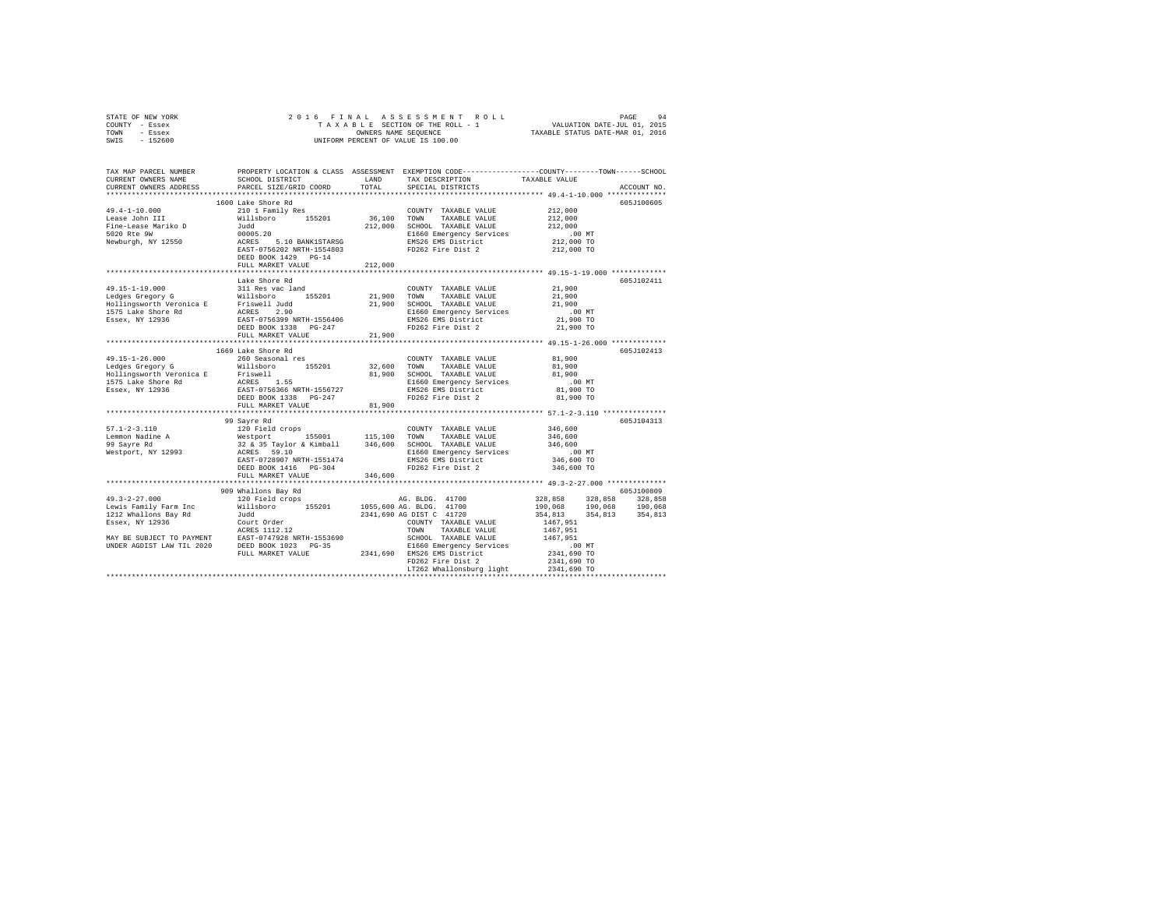| STATE OF NEW YORK                                                                                                                                                                                                                                                                                                                                                                                                                                              |                                        |         |                                      |                                                                               |             |
|----------------------------------------------------------------------------------------------------------------------------------------------------------------------------------------------------------------------------------------------------------------------------------------------------------------------------------------------------------------------------------------------------------------------------------------------------------------|----------------------------------------|---------|--------------------------------------|-------------------------------------------------------------------------------|-------------|
| COUNTY - Essex                                                                                                                                                                                                                                                                                                                                                                                                                                                 |                                        |         |                                      |                                                                               |             |
| TOWN - Essex                                                                                                                                                                                                                                                                                                                                                                                                                                                   |                                        |         |                                      |                                                                               |             |
| SWIS - 152600                                                                                                                                                                                                                                                                                                                                                                                                                                                  |                                        |         |                                      |                                                                               |             |
|                                                                                                                                                                                                                                                                                                                                                                                                                                                                |                                        |         |                                      |                                                                               |             |
|                                                                                                                                                                                                                                                                                                                                                                                                                                                                |                                        |         |                                      |                                                                               |             |
|                                                                                                                                                                                                                                                                                                                                                                                                                                                                |                                        |         |                                      |                                                                               |             |
|                                                                                                                                                                                                                                                                                                                                                                                                                                                                |                                        |         |                                      |                                                                               |             |
| CURRENT OWNERS ADDRESS                                                                                                                                                                                                                                                                                                                                                                                                                                         | PARCEL SIZE/GRID COORD                 | TOTAL   | SPECIAL DISTRICTS                    |                                                                               | ACCOUNT NO. |
|                                                                                                                                                                                                                                                                                                                                                                                                                                                                |                                        |         |                                      |                                                                               |             |
|                                                                                                                                                                                                                                                                                                                                                                                                                                                                | 1600 Lake Shore Rd                     |         |                                      |                                                                               | 605J100605  |
|                                                                                                                                                                                                                                                                                                                                                                                                                                                                |                                        |         | COUNTY TAXABLE VALUE 212,000         |                                                                               |             |
|                                                                                                                                                                                                                                                                                                                                                                                                                                                                |                                        |         |                                      | 212,000                                                                       |             |
|                                                                                                                                                                                                                                                                                                                                                                                                                                                                |                                        |         |                                      | 212,000                                                                       |             |
|                                                                                                                                                                                                                                                                                                                                                                                                                                                                |                                        |         |                                      |                                                                               |             |
| $\begin{tabular}{lcccc} \multicolumn{4}{c}{\textbf{Fine-Lease Marity} & \multicolumn{4}{c}{\textbf{2101} Family Res}} & \multicolumn{4}{c}{\textbf{CUNNTY} & \textbf{TAXABLE VALUE} \\ \textbf{Lease John III} & \textbf{Mills Dose} & \textbf{36,100} & \textbf{155201} & \textbf{36,100} & \textbf{TAXABLE VALUE} \\ \textbf{File-Lease Marity D} & \textbf{Judd} & \textbf{212,000} & \textbf{SCHOOL} & \textbf{TAXABLE VALUE} \\ \textbf{5020 Rte 9W} & \$ |                                        |         |                                      | .00 MT<br>212,000 TO                                                          |             |
|                                                                                                                                                                                                                                                                                                                                                                                                                                                                |                                        |         |                                      | 212,000 TO                                                                    |             |
|                                                                                                                                                                                                                                                                                                                                                                                                                                                                |                                        |         |                                      |                                                                               |             |
|                                                                                                                                                                                                                                                                                                                                                                                                                                                                | FULL MARKET VALUE                      | 212,000 |                                      |                                                                               |             |
|                                                                                                                                                                                                                                                                                                                                                                                                                                                                |                                        |         |                                      |                                                                               |             |
|                                                                                                                                                                                                                                                                                                                                                                                                                                                                | Lake Shore Rd                          |         |                                      |                                                                               | 605J102411  |
|                                                                                                                                                                                                                                                                                                                                                                                                                                                                |                                        |         |                                      |                                                                               |             |
|                                                                                                                                                                                                                                                                                                                                                                                                                                                                |                                        |         |                                      | 21,900                                                                        |             |
|                                                                                                                                                                                                                                                                                                                                                                                                                                                                |                                        |         |                                      | 21,900                                                                        |             |
|                                                                                                                                                                                                                                                                                                                                                                                                                                                                |                                        |         |                                      | 21,900                                                                        |             |
|                                                                                                                                                                                                                                                                                                                                                                                                                                                                |                                        |         |                                      | 00 MT.<br>21,900 TO                                                           |             |
|                                                                                                                                                                                                                                                                                                                                                                                                                                                                |                                        |         |                                      |                                                                               |             |
|                                                                                                                                                                                                                                                                                                                                                                                                                                                                |                                        |         |                                      | 21,900 TO                                                                     |             |
|                                                                                                                                                                                                                                                                                                                                                                                                                                                                |                                        |         |                                      |                                                                               |             |
|                                                                                                                                                                                                                                                                                                                                                                                                                                                                |                                        |         |                                      |                                                                               |             |
|                                                                                                                                                                                                                                                                                                                                                                                                                                                                | 1669 Lake Shore Rd                     |         |                                      |                                                                               | 605J102413  |
|                                                                                                                                                                                                                                                                                                                                                                                                                                                                |                                        |         |                                      |                                                                               |             |
|                                                                                                                                                                                                                                                                                                                                                                                                                                                                |                                        |         |                                      |                                                                               |             |
|                                                                                                                                                                                                                                                                                                                                                                                                                                                                |                                        |         |                                      |                                                                               |             |
|                                                                                                                                                                                                                                                                                                                                                                                                                                                                |                                        |         |                                      | $.00$ MT                                                                      |             |
|                                                                                                                                                                                                                                                                                                                                                                                                                                                                |                                        |         |                                      | 81,900 TO<br>81,900 TO                                                        |             |
|                                                                                                                                                                                                                                                                                                                                                                                                                                                                |                                        |         |                                      |                                                                               |             |
|                                                                                                                                                                                                                                                                                                                                                                                                                                                                | FULL MARKET VALUE                      | 81,900  |                                      |                                                                               |             |
|                                                                                                                                                                                                                                                                                                                                                                                                                                                                |                                        |         |                                      |                                                                               |             |
|                                                                                                                                                                                                                                                                                                                                                                                                                                                                |                                        |         |                                      |                                                                               | 605J104313  |
|                                                                                                                                                                                                                                                                                                                                                                                                                                                                |                                        |         | COUNTY TAXABLE VALUE 346,600         |                                                                               |             |
|                                                                                                                                                                                                                                                                                                                                                                                                                                                                |                                        |         |                                      | 346,600                                                                       |             |
|                                                                                                                                                                                                                                                                                                                                                                                                                                                                |                                        |         |                                      | 346,600                                                                       |             |
|                                                                                                                                                                                                                                                                                                                                                                                                                                                                |                                        |         |                                      | $.00$ MT                                                                      |             |
| $\begin{tabular}{lcccc} \textbf{3.4cm} & \textbf{3.4cm} & \textbf{3.4cm} & \textbf{3.4cm} & \textbf{3.4cm} \\ \textbf{5.7.1-2-3.110} & \textbf{12.9cm} & \textbf{12.9cm} & \textbf{12.9cm} \\ \textbf{13.9cm} & \textbf{12.9cm} & \textbf{12.9cm} & \textbf{13.9cm} & \textbf{13.9cm} & \textbf{13.9cm} & \textbf{13.9cm} \\ \textbf{14.9cm} & \textbf{15.9cm} & \textbf{15.9cm}$                                                                              |                                        |         |                                      | 346,600 TO                                                                    |             |
|                                                                                                                                                                                                                                                                                                                                                                                                                                                                |                                        |         |                                      | 346,600 TO                                                                    |             |
|                                                                                                                                                                                                                                                                                                                                                                                                                                                                |                                        |         |                                      |                                                                               |             |
|                                                                                                                                                                                                                                                                                                                                                                                                                                                                | ***************************            |         |                                      |                                                                               |             |
|                                                                                                                                                                                                                                                                                                                                                                                                                                                                |                                        |         |                                      |                                                                               |             |
|                                                                                                                                                                                                                                                                                                                                                                                                                                                                | 909 Whallons Bay Rd<br>120 Field crops |         |                                      |                                                                               | 605J100809  |
|                                                                                                                                                                                                                                                                                                                                                                                                                                                                |                                        |         |                                      |                                                                               |             |
|                                                                                                                                                                                                                                                                                                                                                                                                                                                                |                                        |         |                                      | 328,858 328,858 328,858<br>190,068 190,068 190,068<br>354,813 354,813 354,813 |             |
|                                                                                                                                                                                                                                                                                                                                                                                                                                                                |                                        |         |                                      |                                                                               |             |
|                                                                                                                                                                                                                                                                                                                                                                                                                                                                |                                        |         |                                      |                                                                               |             |
|                                                                                                                                                                                                                                                                                                                                                                                                                                                                |                                        |         |                                      |                                                                               |             |
|                                                                                                                                                                                                                                                                                                                                                                                                                                                                |                                        |         |                                      |                                                                               |             |
|                                                                                                                                                                                                                                                                                                                                                                                                                                                                |                                        |         |                                      |                                                                               |             |
|                                                                                                                                                                                                                                                                                                                                                                                                                                                                |                                        |         |                                      |                                                                               |             |
|                                                                                                                                                                                                                                                                                                                                                                                                                                                                |                                        |         |                                      |                                                                               |             |
|                                                                                                                                                                                                                                                                                                                                                                                                                                                                |                                        |         | LT262 Whallonsburg light 2341,690 TO |                                                                               |             |
|                                                                                                                                                                                                                                                                                                                                                                                                                                                                |                                        |         |                                      |                                                                               |             |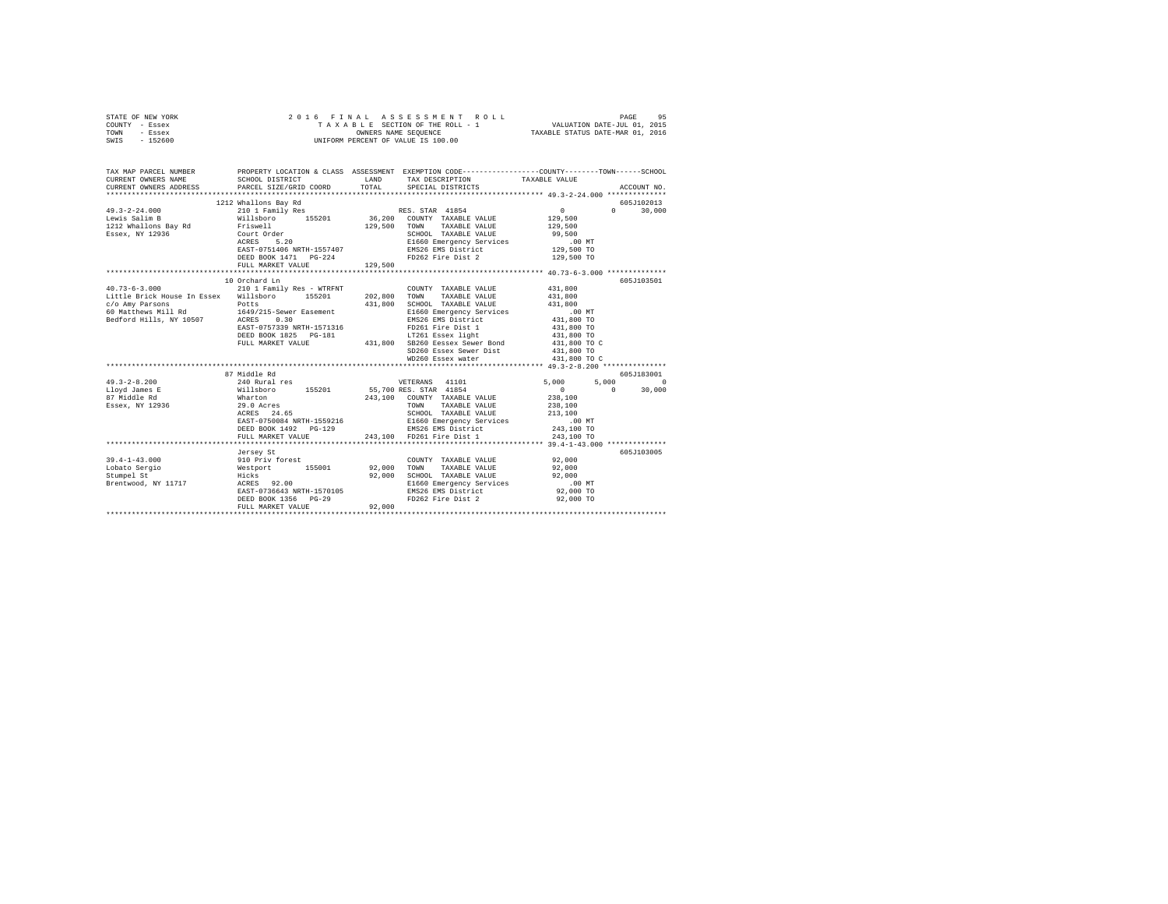| STATE OF NEW YORK<br>COUNTY - Essex<br>TOWN<br>- Essex<br>SWIS - 152600                                                                      | 2016 FINAL ASSESSMENT F<br>TAXABLE SECTION OF THE ROLL - 1<br>UNIFORM PERCENT OF VALUE IS 100.00 |             | 6 FINAL ASSESSMENT ROLL (1975)<br>TAXABLE SECTION OF THE ROLL - 1 VALUATION DATE-JUL 01, 2015<br>OWNERS NAME SEQUENCE  TAXABLE STATUS DATE-MAR 01, 2016 |                          |                                 |
|----------------------------------------------------------------------------------------------------------------------------------------------|--------------------------------------------------------------------------------------------------|-------------|---------------------------------------------------------------------------------------------------------------------------------------------------------|--------------------------|---------------------------------|
| TAX MAP PARCEL NUMBER PROPERTY LOCATION & CLASS ASSESSMENT EXEMPTION CODE---------------COUNTY-------TOWN------SCHOOL<br>CURRENT OWNERS NAME | SCHOOL DISTRICT                                                                                  | LAND        | TAX DESCRIPTION                                                                                                                                         | TAXABLE VALUE            |                                 |
| CURRENT OWNERS ADDRESS                                                                                                                       | PARCEL SIZE/GRID COORD                                                                           | TOTAL       | SPECIAL DISTRICTS                                                                                                                                       |                          | ACCOUNT NO.                     |
|                                                                                                                                              |                                                                                                  |             |                                                                                                                                                         |                          |                                 |
| $49.3 - 2 - 24.000$                                                                                                                          | 1212 Whallons Bay Rd                                                                             |             | RES. STAR 41854                                                                                                                                         | $\sim$ 0                 | 605J102013<br>$0 \qquad \qquad$ |
| Lewis Salim B                                                                                                                                | 210 1 Family Res                                                                                 |             | 36,200 COUNTY TAXABLE VALUE                                                                                                                             | 129,500                  | 30,000                          |
| 1212 Whallons Bay Rd                                                                                                                         | willsboro 155201<br>Friswell                                                                     |             | 129,500 TOWN TAXABLE VALUE                                                                                                                              | 129,500                  |                                 |
| Essex, NY 12936                                                                                                                              | Friswell<br>Court Order<br>ACRES 5.20<br>RATE (111)                                              |             | SCHOOL TAXABLE VALUE                                                                                                                                    | 99,500                   |                                 |
|                                                                                                                                              |                                                                                                  |             | E1660 Emergency Services                                                                                                                                | $.00$ MT                 |                                 |
|                                                                                                                                              | EAST-0751406 NRTH-1557407                                                                        |             | EMS26 EMS District                                                                                                                                      | 129,500 TO               |                                 |
|                                                                                                                                              |                                                                                                  |             | FD262 Fire Dist 2                                                                                                                                       | 129,500 TO               |                                 |
|                                                                                                                                              | FULL MARKET VALUE                                                                                | 129,500     |                                                                                                                                                         |                          |                                 |
|                                                                                                                                              |                                                                                                  |             |                                                                                                                                                         |                          |                                 |
|                                                                                                                                              | 10 Orchard Ln                                                                                    |             |                                                                                                                                                         |                          | 605J103501                      |
| 40.73-6-3.000 210 1 Family Res - WTRFNT                                                                                                      |                                                                                                  |             | COUNTY TAXABLE VALUE                                                                                                                                    | 431,800                  |                                 |
| Little Brick House In Essex Willsboro 155201                                                                                                 |                                                                                                  |             | 202,800 TOWN TAXABLE VALUE                                                                                                                              | 431,800                  |                                 |
| $c$ /o Amy Parsons $Potts$<br>60 Matthews Mill Rd $1649/215$ -Sewer Easement                                                                 |                                                                                                  |             | 431,800 SCHOOL TAXABLE VALUE                                                                                                                            | 431,800                  |                                 |
| Bedford Hills, NY 10507 ACRES 0.30                                                                                                           |                                                                                                  |             | E1660 Emergency Services<br>EMS26 EMS District                                                                                                          | .00 MT<br>431,800 TO     |                                 |
|                                                                                                                                              | EAST-0757339 NRTH-1571316                                                                        |             | FD261 Fire Dist 1                                                                                                                                       | 431,800 TO               |                                 |
|                                                                                                                                              | DEED BOOK 1825 PG-181                                                                            |             | LT261 Essex light                                                                                                                                       | 431,800 TO               |                                 |
|                                                                                                                                              | FULL MARKET VALUE                                                                                |             | 431,800 SB260 Eessex Sewer Bond                                                                                                                         | 431,800 TO C             |                                 |
|                                                                                                                                              |                                                                                                  |             | SD260 Essex Sewer Dist                                                                                                                                  | 431,800 TO               |                                 |
|                                                                                                                                              |                                                                                                  |             | WD260 Essex water                                                                                                                                       | 431,800 TO C             |                                 |
|                                                                                                                                              |                                                                                                  |             |                                                                                                                                                         |                          |                                 |
|                                                                                                                                              | 87 Middle Rd                                                                                     |             |                                                                                                                                                         |                          | 605-7183001                     |
| $49.3 - 2 - 8.200$                                                                                                                           | 240 Rural res                                                                                    |             | VETERANS 41101                                                                                                                                          | 5,000                    | $5.000$ 0                       |
| Lloyd James E                                                                                                                                |                                                                                                  |             | 55,700 RES. STAR 41854                                                                                                                                  | $\sim$ 0<br>$\mathbf{0}$ | 30,000                          |
| 87 Middle Rd                                                                                                                                 | Willsboro 155201<br>Wharton 155201<br>29.0 Acres                                                 |             | 243.100 COUNTY TAXABLE VALUE                                                                                                                            | 238,100                  |                                 |
| Essex, NY 12936                                                                                                                              | Wharton<br>29.0 Acres<br>ACRES 24.65                                                             |             | TOWN TAXABLE VALUE                                                                                                                                      | 238,100                  |                                 |
|                                                                                                                                              | EAST-0750084 NRTH-1559216                                                                        |             | SCHOOL TAXABLE VALUE<br>E1660 Emergency Services                                                                                                        | 213,100<br>$.00$ MT      |                                 |
|                                                                                                                                              | DEED BOOK 1492    PG-129                                                                         |             | EMS26 EMS District                                                                                                                                      | 243,100 TO               |                                 |
|                                                                                                                                              | FULL MARKET VALUE                                                                                |             | 243,100 FD261 Fire Dist 1                                                                                                                               | 243,100 TO               |                                 |
|                                                                                                                                              |                                                                                                  |             |                                                                                                                                                         |                          |                                 |
|                                                                                                                                              | Jersey St                                                                                        |             |                                                                                                                                                         |                          | 605J103005                      |
| $39.4 - 1 - 43.000$                                                                                                                          | 910 Priv forest<br>Westport 155001<br>Hicks                                                      |             | COUNTY TAXABLE VALUE                                                                                                                                    | 92,000                   |                                 |
| Lobato Sergio                                                                                                                                |                                                                                                  | 92,000 TOWN | TAXABLE VALUE                                                                                                                                           | 92,000                   |                                 |
| Stumpel St                                                                                                                                   |                                                                                                  |             | 92.000 SCHOOL TAXABLE VALUE                                                                                                                             | 92,000                   |                                 |
| Brentwood, NY 11717 ACRES 92.00                                                                                                              |                                                                                                  |             | E1660 Emergency Services                                                                                                                                | .00MT                    |                                 |
|                                                                                                                                              | EAST-0736643 NRTH-1570105                                                                        |             | EMS26 EMS District                                                                                                                                      | 92,000 TO                |                                 |
|                                                                                                                                              | DEED BOOK 1356 PG-29                                                                             |             | FD262 Fire Dist 2                                                                                                                                       | 92,000 TO                |                                 |
|                                                                                                                                              | FULL MARKET VALUE                                                                                | 92,000      |                                                                                                                                                         |                          |                                 |
|                                                                                                                                              |                                                                                                  |             |                                                                                                                                                         |                          |                                 |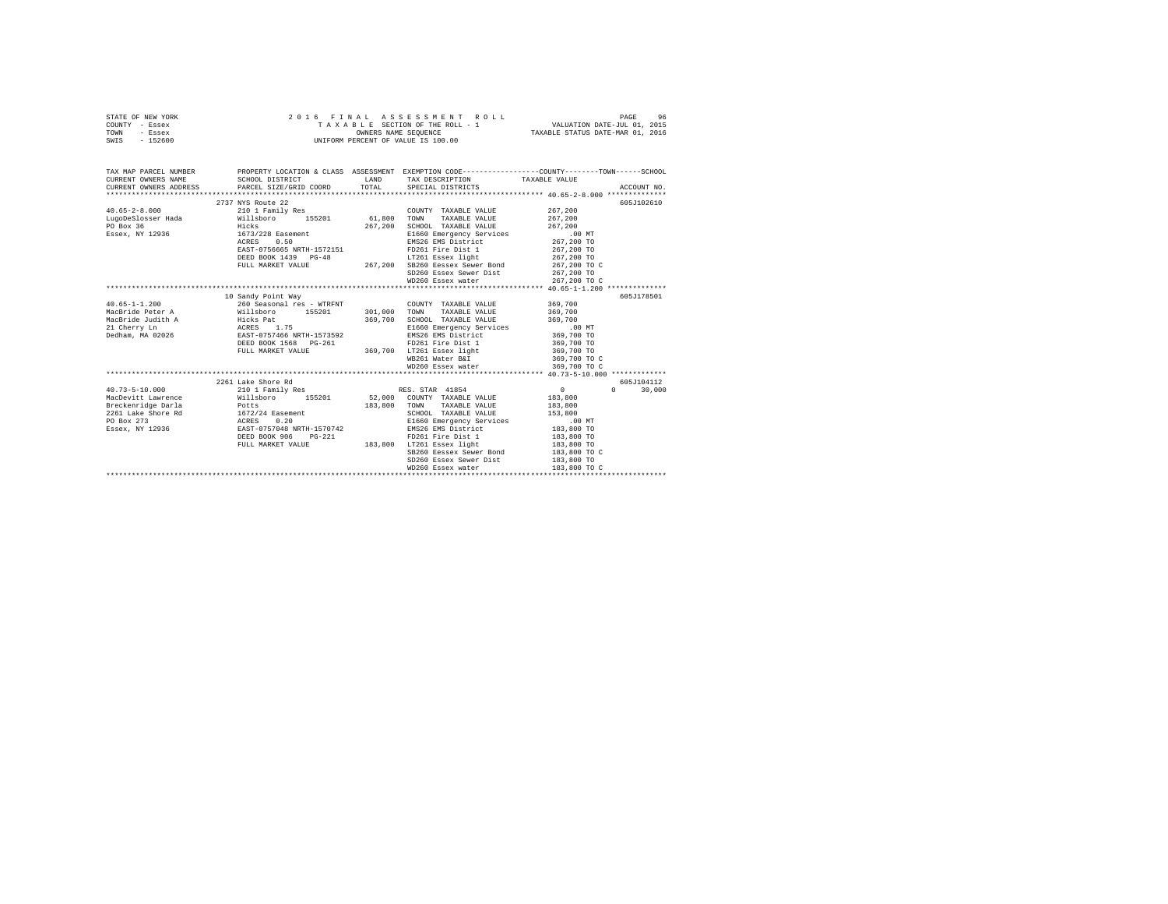| STATE OF NEW YORK<br>COUNTY - Essex | 2016 FINAL ASSESSMENT ROTTAXABLE SECTION OF THE ROLL - 1<br>TAXABLE SECTION OF THE ROLL - 1<br>UNIFORM PERCENT OF VALUE IS 100.00<br>2016 FINAL ASSESSMENT ROLL                                                                                                                                                                                                                                                          |       |                                                                                                                                                                                                                                                                                                                                                                                                                        |                            |               |  |  |  |
|-------------------------------------|--------------------------------------------------------------------------------------------------------------------------------------------------------------------------------------------------------------------------------------------------------------------------------------------------------------------------------------------------------------------------------------------------------------------------|-------|------------------------------------------------------------------------------------------------------------------------------------------------------------------------------------------------------------------------------------------------------------------------------------------------------------------------------------------------------------------------------------------------------------------------|----------------------------|---------------|--|--|--|
| TOWN - Essex                        |                                                                                                                                                                                                                                                                                                                                                                                                                          |       |                                                                                                                                                                                                                                                                                                                                                                                                                        |                            |               |  |  |  |
| SWIS - 152600                       |                                                                                                                                                                                                                                                                                                                                                                                                                          |       |                                                                                                                                                                                                                                                                                                                                                                                                                        |                            |               |  |  |  |
|                                     |                                                                                                                                                                                                                                                                                                                                                                                                                          |       |                                                                                                                                                                                                                                                                                                                                                                                                                        |                            |               |  |  |  |
|                                     | TAX MAP PARCEL NUMBER PROPERTY LOCATION & CLASS ASSESSMENT EXEMPTION CODE--------------COUNTY-------TOWN------SCHOOL                                                                                                                                                                                                                                                                                                     |       |                                                                                                                                                                                                                                                                                                                                                                                                                        |                            |               |  |  |  |
|                                     | CURRENT OWNERS NAME SCHOOL DISTRICT LAND                                                                                                                                                                                                                                                                                                                                                                                 |       | TAX DESCRIPTION TAXABLE VALUE                                                                                                                                                                                                                                                                                                                                                                                          |                            |               |  |  |  |
|                                     | CURRENT OWNERS ADDRESS PARCEL SIZE/GRID COORD                                                                                                                                                                                                                                                                                                                                                                            | TOTAL | SPECIAL DISTRICTS                                                                                                                                                                                                                                                                                                                                                                                                      |                            | ACCOUNT NO.   |  |  |  |
|                                     |                                                                                                                                                                                                                                                                                                                                                                                                                          |       |                                                                                                                                                                                                                                                                                                                                                                                                                        |                            |               |  |  |  |
|                                     | 2737 NYS Route 22                                                                                                                                                                                                                                                                                                                                                                                                        |       |                                                                                                                                                                                                                                                                                                                                                                                                                        |                            | 605J102610    |  |  |  |
|                                     |                                                                                                                                                                                                                                                                                                                                                                                                                          |       | COUNTY TAXABLE VALUE                                                                                                                                                                                                                                                                                                                                                                                                   | 267,200                    |               |  |  |  |
|                                     |                                                                                                                                                                                                                                                                                                                                                                                                                          |       | TOWN TAXABLE VALUE                                                                                                                                                                                                                                                                                                                                                                                                     | 267,200                    |               |  |  |  |
|                                     |                                                                                                                                                                                                                                                                                                                                                                                                                          |       | $\begin{tabular}{cccc} 267,200 & \texttt{SCHOOL} & \texttt{TXABLE} & \texttt{VALUE} & 267,200 \\ \texttt{E1660 Emergency Services} & & & 0.00 \texttt{NT} \\ \texttt{EMS26 EMS} & \texttt{MSE District} & & 267,200 \texttt{ TT} \\ \texttt{ENS26 EMS} & \texttt{MSE District} & & 267,200 \texttt{ TO} \\ \texttt{TP261 Easex light} & & 267,200 \texttt{ TO} \\ \texttt{L} & & 267,200 \texttt{ TO} \\ \end{tabular$ |                            |               |  |  |  |
|                                     |                                                                                                                                                                                                                                                                                                                                                                                                                          |       |                                                                                                                                                                                                                                                                                                                                                                                                                        |                            |               |  |  |  |
|                                     |                                                                                                                                                                                                                                                                                                                                                                                                                          |       |                                                                                                                                                                                                                                                                                                                                                                                                                        |                            |               |  |  |  |
|                                     |                                                                                                                                                                                                                                                                                                                                                                                                                          |       |                                                                                                                                                                                                                                                                                                                                                                                                                        |                            |               |  |  |  |
|                                     |                                                                                                                                                                                                                                                                                                                                                                                                                          |       |                                                                                                                                                                                                                                                                                                                                                                                                                        |                            |               |  |  |  |
|                                     |                                                                                                                                                                                                                                                                                                                                                                                                                          |       | SB260 Eessex Sewer Bond 267,200 TO C<br>SD260 Essex Sewer Dist 267,200 TO                                                                                                                                                                                                                                                                                                                                              |                            |               |  |  |  |
|                                     |                                                                                                                                                                                                                                                                                                                                                                                                                          |       |                                                                                                                                                                                                                                                                                                                                                                                                                        |                            |               |  |  |  |
|                                     |                                                                                                                                                                                                                                                                                                                                                                                                                          |       | WD260 Essex water 267,200 TO C                                                                                                                                                                                                                                                                                                                                                                                         |                            |               |  |  |  |
|                                     | 10 Sandy Point Way                                                                                                                                                                                                                                                                                                                                                                                                       |       |                                                                                                                                                                                                                                                                                                                                                                                                                        |                            | 605J178501    |  |  |  |
|                                     |                                                                                                                                                                                                                                                                                                                                                                                                                          |       |                                                                                                                                                                                                                                                                                                                                                                                                                        |                            |               |  |  |  |
|                                     |                                                                                                                                                                                                                                                                                                                                                                                                                          |       |                                                                                                                                                                                                                                                                                                                                                                                                                        |                            |               |  |  |  |
|                                     |                                                                                                                                                                                                                                                                                                                                                                                                                          |       |                                                                                                                                                                                                                                                                                                                                                                                                                        |                            |               |  |  |  |
|                                     |                                                                                                                                                                                                                                                                                                                                                                                                                          |       |                                                                                                                                                                                                                                                                                                                                                                                                                        |                            |               |  |  |  |
|                                     |                                                                                                                                                                                                                                                                                                                                                                                                                          |       |                                                                                                                                                                                                                                                                                                                                                                                                                        |                            |               |  |  |  |
|                                     |                                                                                                                                                                                                                                                                                                                                                                                                                          |       |                                                                                                                                                                                                                                                                                                                                                                                                                        |                            |               |  |  |  |
|                                     | $\begin{tabular}{l c c c c c} \multicolumn{3}{c c c c} \multicolumn{3}{c c c} \multicolumn{3}{c c c} \multicolumn{3}{c c c} \multicolumn{3}{c c c} \multicolumn{3}{c c c} \multicolumn{3}{c c c} \multicolumn{3}{c c c} \multicolumn{3}{c c c} \multicolumn{3}{c c c} \multicolumn{3}{c c c} \multicolumn{3}{c c c} \multicolumn{3}{c c c} \multicolumn{3}{c c c} \multicolumn{3}{c c c} \multicolumn{$                  |       |                                                                                                                                                                                                                                                                                                                                                                                                                        |                            |               |  |  |  |
|                                     |                                                                                                                                                                                                                                                                                                                                                                                                                          |       | WB261 Water B&I                                                                                                                                                                                                                                                                                                                                                                                                        | 369,700 TO C               |               |  |  |  |
|                                     |                                                                                                                                                                                                                                                                                                                                                                                                                          |       | WD260 Essex water                                                                                                                                                                                                                                                                                                                                                                                                      | 369,700 TO C               |               |  |  |  |
|                                     |                                                                                                                                                                                                                                                                                                                                                                                                                          |       |                                                                                                                                                                                                                                                                                                                                                                                                                        |                            |               |  |  |  |
|                                     | 2261 Lake Shore Rd                                                                                                                                                                                                                                                                                                                                                                                                       |       |                                                                                                                                                                                                                                                                                                                                                                                                                        |                            | 605J104112    |  |  |  |
|                                     |                                                                                                                                                                                                                                                                                                                                                                                                                          |       |                                                                                                                                                                                                                                                                                                                                                                                                                        |                            | $0 \t 30.000$ |  |  |  |
|                                     |                                                                                                                                                                                                                                                                                                                                                                                                                          |       |                                                                                                                                                                                                                                                                                                                                                                                                                        |                            |               |  |  |  |
|                                     |                                                                                                                                                                                                                                                                                                                                                                                                                          |       |                                                                                                                                                                                                                                                                                                                                                                                                                        |                            |               |  |  |  |
|                                     |                                                                                                                                                                                                                                                                                                                                                                                                                          |       |                                                                                                                                                                                                                                                                                                                                                                                                                        |                            |               |  |  |  |
|                                     |                                                                                                                                                                                                                                                                                                                                                                                                                          |       |                                                                                                                                                                                                                                                                                                                                                                                                                        |                            |               |  |  |  |
|                                     |                                                                                                                                                                                                                                                                                                                                                                                                                          |       |                                                                                                                                                                                                                                                                                                                                                                                                                        |                            |               |  |  |  |
|                                     | $\begin{tabular}{l c c c c c} \hline \texttt{W}=0: \texttt{J} & \texttt{M} & \texttt{M} & \texttt{M} & \texttt{M} & \texttt{M} & \texttt{M} & \texttt{M} & \texttt{M} & \texttt{M} & \texttt{M} & \texttt{M} & \texttt{M} & \texttt{M} & \texttt{M} & \texttt{M} & \texttt{M} & \texttt{M} & \texttt{M} & \texttt{M} & \texttt{M} & \texttt{M} & \texttt{M} & \texttt{M} & \texttt{M} & \texttt{M} & \texttt{M} & \text$ |       |                                                                                                                                                                                                                                                                                                                                                                                                                        |                            |               |  |  |  |
|                                     |                                                                                                                                                                                                                                                                                                                                                                                                                          |       |                                                                                                                                                                                                                                                                                                                                                                                                                        |                            |               |  |  |  |
|                                     |                                                                                                                                                                                                                                                                                                                                                                                                                          |       | SB260 Eessex Sewer Bond 183,800 TO C<br>SD260 Essex Sewer Dist                                                                                                                                                                                                                                                                                                                                                         |                            |               |  |  |  |
|                                     |                                                                                                                                                                                                                                                                                                                                                                                                                          |       |                                                                                                                                                                                                                                                                                                                                                                                                                        | 183,800 TO<br>183,800 TO C |               |  |  |  |
|                                     |                                                                                                                                                                                                                                                                                                                                                                                                                          |       |                                                                                                                                                                                                                                                                                                                                                                                                                        |                            |               |  |  |  |
|                                     |                                                                                                                                                                                                                                                                                                                                                                                                                          |       |                                                                                                                                                                                                                                                                                                                                                                                                                        |                            |               |  |  |  |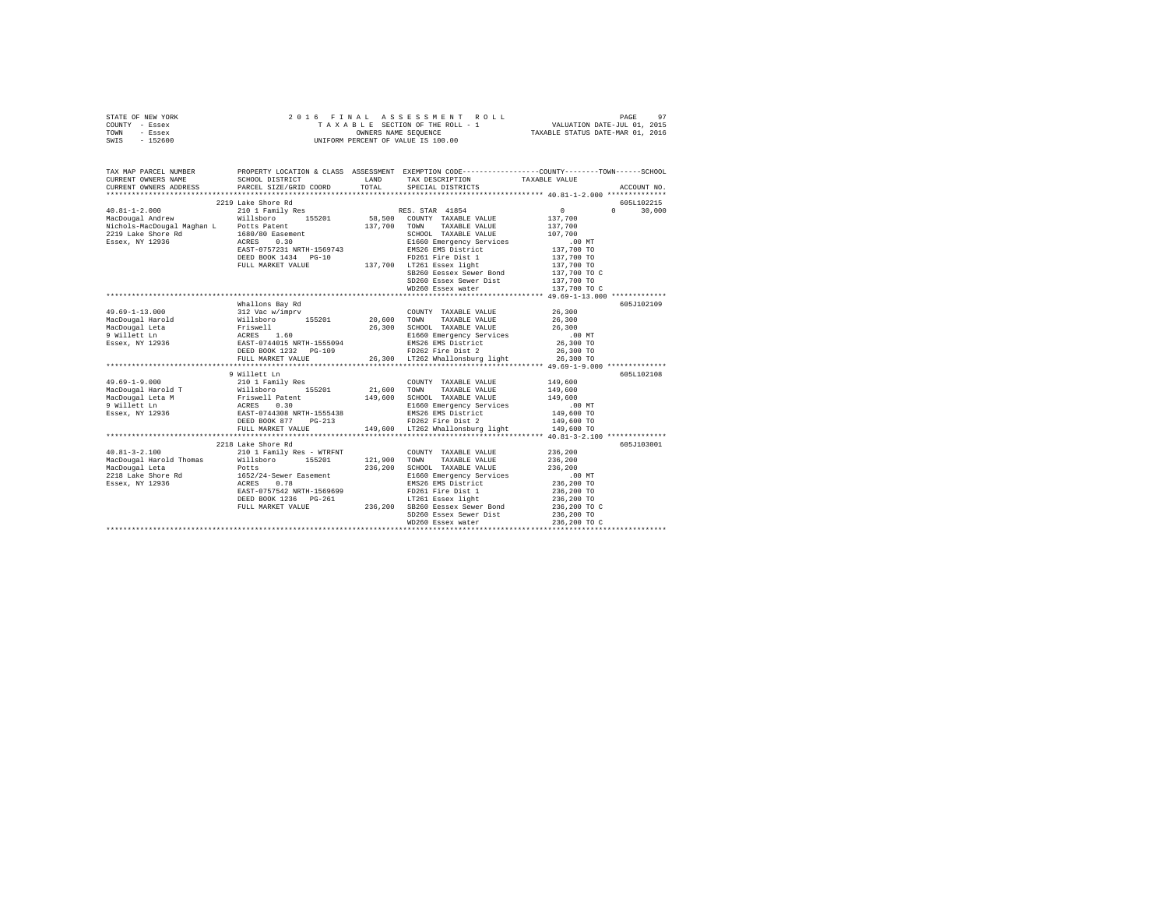| STATE OF NEW YORK | 2016 FINAL ASSESSMENT ROLL         | 97<br>PAGE                       |
|-------------------|------------------------------------|----------------------------------|
| COUNTY - Essex    | TAXABLE SECTION OF THE ROLL - 1    | VALUATION DATE-JUL 01, 2015      |
| TOWN<br>- Essex   | OWNERS NAME SEOUENCE               | TAXABLE STATUS DATE-MAR 01, 2016 |
| - 152600<br>SWIS  | UNIFORM PERCENT OF VALUE IS 100.00 |                                  |

| TAX MAP PARCEL NUMBER<br>CURRENT OWNERS NAME | SCHOOL DISTRICT                                                                                  | LAND TAX DESCRIPTION                                             | PROPERTY LOCATION & CLASS ASSESSMENT EXEMPTION CODE----------------COUNTY--------TOWN-----SCHOOL<br>TAXABLE VALUE                                                                                                                                   |  |
|----------------------------------------------|--------------------------------------------------------------------------------------------------|------------------------------------------------------------------|-----------------------------------------------------------------------------------------------------------------------------------------------------------------------------------------------------------------------------------------------------|--|
|                                              |                                                                                                  |                                                                  |                                                                                                                                                                                                                                                     |  |
|                                              | 2219 Lake Shore Rd                                                                               |                                                                  | 605L102215                                                                                                                                                                                                                                          |  |
|                                              |                                                                                                  |                                                                  | $0 \t 30,000$                                                                                                                                                                                                                                       |  |
|                                              |                                                                                                  |                                                                  |                                                                                                                                                                                                                                                     |  |
|                                              |                                                                                                  |                                                                  |                                                                                                                                                                                                                                                     |  |
|                                              |                                                                                                  |                                                                  |                                                                                                                                                                                                                                                     |  |
|                                              |                                                                                                  |                                                                  |                                                                                                                                                                                                                                                     |  |
|                                              |                                                                                                  |                                                                  |                                                                                                                                                                                                                                                     |  |
|                                              |                                                                                                  |                                                                  |                                                                                                                                                                                                                                                     |  |
|                                              | FULL MARKET VALUE 137,700 LT261 Essex light<br>EULL MARKET VALUE 137,700 SB260 Eessex Sewer Bond |                                                                  | 137,700 TO<br>137,700 TO C                                                                                                                                                                                                                          |  |
|                                              |                                                                                                  |                                                                  |                                                                                                                                                                                                                                                     |  |
|                                              |                                                                                                  | SD260 Essex Sewer Dist 137,700 TO                                |                                                                                                                                                                                                                                                     |  |
|                                              |                                                                                                  | WD260 Essex water                                                | 137,700 TO C                                                                                                                                                                                                                                        |  |
|                                              |                                                                                                  |                                                                  |                                                                                                                                                                                                                                                     |  |
|                                              | Whallons Bay Rd                                                                                  |                                                                  | 605J102109                                                                                                                                                                                                                                          |  |
|                                              |                                                                                                  |                                                                  |                                                                                                                                                                                                                                                     |  |
|                                              |                                                                                                  |                                                                  |                                                                                                                                                                                                                                                     |  |
|                                              |                                                                                                  |                                                                  |                                                                                                                                                                                                                                                     |  |
|                                              |                                                                                                  |                                                                  |                                                                                                                                                                                                                                                     |  |
|                                              |                                                                                                  |                                                                  |                                                                                                                                                                                                                                                     |  |
|                                              |                                                                                                  |                                                                  |                                                                                                                                                                                                                                                     |  |
|                                              |                                                                                                  |                                                                  |                                                                                                                                                                                                                                                     |  |
|                                              |                                                                                                  |                                                                  |                                                                                                                                                                                                                                                     |  |
|                                              | 9 Willett Ln                                                                                     |                                                                  | 605L102108                                                                                                                                                                                                                                          |  |
|                                              |                                                                                                  |                                                                  |                                                                                                                                                                                                                                                     |  |
|                                              |                                                                                                  |                                                                  |                                                                                                                                                                                                                                                     |  |
|                                              |                                                                                                  |                                                                  |                                                                                                                                                                                                                                                     |  |
|                                              |                                                                                                  |                                                                  |                                                                                                                                                                                                                                                     |  |
|                                              |                                                                                                  |                                                                  |                                                                                                                                                                                                                                                     |  |
|                                              |                                                                                                  |                                                                  |                                                                                                                                                                                                                                                     |  |
|                                              |                                                                                                  | FULL MARKET VALUE 149,600 LT262 Whallonsburg light 149,600 TO    |                                                                                                                                                                                                                                                     |  |
|                                              |                                                                                                  |                                                                  |                                                                                                                                                                                                                                                     |  |
|                                              | 2218 Lake Shore Rd                                                                               |                                                                  | 605J103001                                                                                                                                                                                                                                          |  |
|                                              |                                                                                                  | COUNTY TAXABLE VALUE 236,200                                     |                                                                                                                                                                                                                                                     |  |
|                                              |                                                                                                  |                                                                  | 236,200                                                                                                                                                                                                                                             |  |
|                                              |                                                                                                  | 236,200 SCHOOL TAXABLE VALUE 236,200                             |                                                                                                                                                                                                                                                     |  |
|                                              |                                                                                                  | E1660 Emergency Services .00 MT<br>EMS26 EMS District 236,200 TO |                                                                                                                                                                                                                                                     |  |
|                                              |                                                                                                  |                                                                  |                                                                                                                                                                                                                                                     |  |
|                                              |                                                                                                  |                                                                  |                                                                                                                                                                                                                                                     |  |
|                                              |                                                                                                  |                                                                  |                                                                                                                                                                                                                                                     |  |
|                                              |                                                                                                  |                                                                  |                                                                                                                                                                                                                                                     |  |
|                                              |                                                                                                  |                                                                  |                                                                                                                                                                                                                                                     |  |
|                                              |                                                                                                  |                                                                  | EAST-0757542 NRTH-1569699<br>EAST-0757542 NRTH-1569699<br>DEED BOOK 1236 PG-261<br>DEED BOOK 1236 PG-261<br>PULL MARKET VALUE<br>PULL MARKET VALUE<br>PULL MARKET VALUE<br>PULL MARKET VALUE<br>MEAST-0757542 NRTH-1569699<br>PULL MARKET VALUE<br> |  |
|                                              |                                                                                                  |                                                                  |                                                                                                                                                                                                                                                     |  |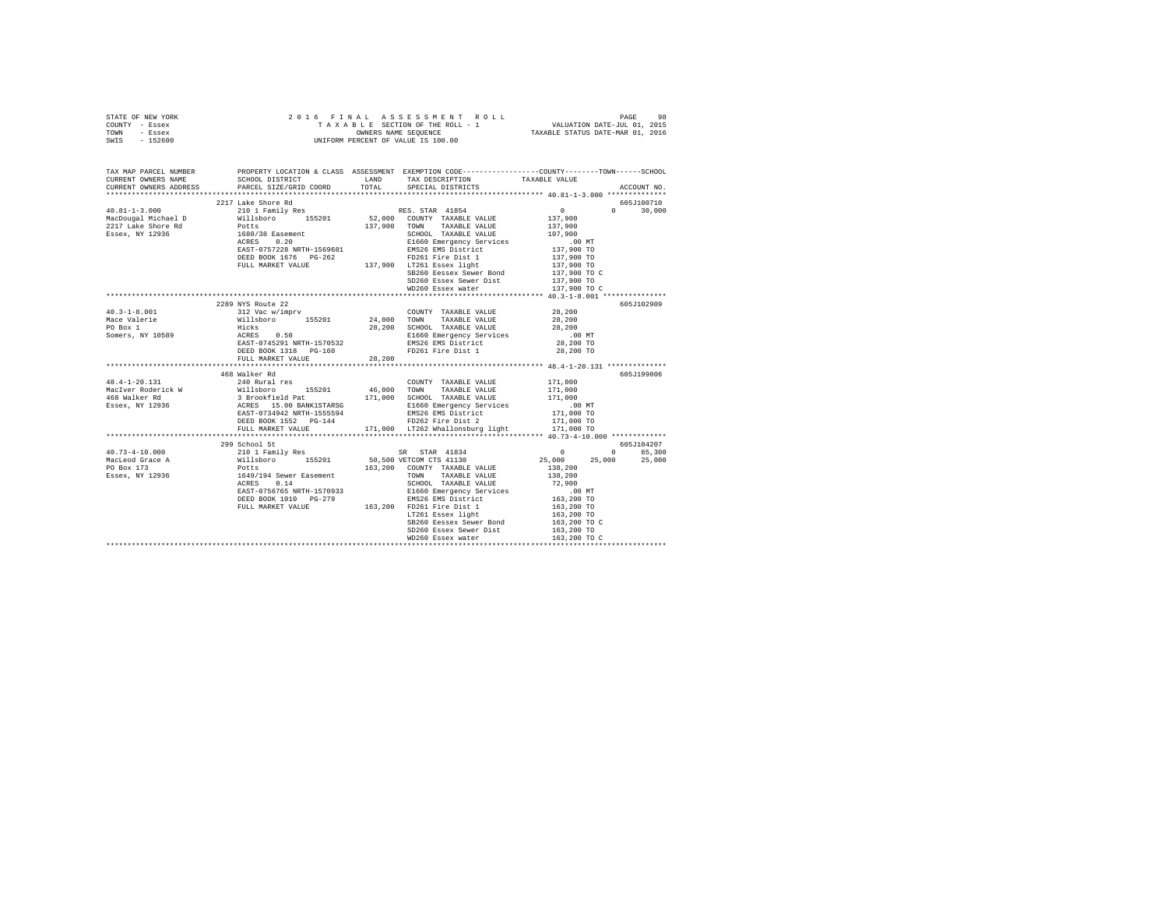|      | STATE OF NEW YORK |  | 2016 FINAL ASSESSMENT ROLL         | PAGE                             | 98 |
|------|-------------------|--|------------------------------------|----------------------------------|----|
|      | COUNTY - Essex    |  | TAXABLE SECTION OF THE ROLL - 1    | VALUATION DATE-JUL 01, 2015      |    |
| TOWN | - Essex           |  | OWNERS NAME SEOUENCE               | TAXABLE STATUS DATE-MAR 01, 2016 |    |
| SWIS | - 152600          |  | UNIFORM PERCENT OF VALUE IS 100.00 |                                  |    |

| TAX MAP PARCEL NUMBER  | PROPERTY LOCATION & CLASS ASSESSMENT EXEMPTION CODE---------------COUNTY-------TOWN-----SCHOOL<br>CURRENT OWNERS NAME SCHOOL DISTRICT TAX DESCRIPTION TAXABLE VALUE                                                                                                                                                                                                                                                                                     |        |                                                                                                                                                                                                                                                                                                                                                                                                                                                    |                                                        |               |
|------------------------|---------------------------------------------------------------------------------------------------------------------------------------------------------------------------------------------------------------------------------------------------------------------------------------------------------------------------------------------------------------------------------------------------------------------------------------------------------|--------|----------------------------------------------------------------------------------------------------------------------------------------------------------------------------------------------------------------------------------------------------------------------------------------------------------------------------------------------------------------------------------------------------------------------------------------------------|--------------------------------------------------------|---------------|
| CURRENT OWNERS ADDRESS | PARCEL SIZE/GRID COORD                                                                                                                                                                                                                                                                                                                                                                                                                                  |        | TOTAL SPECIAL DISTRICTS                                                                                                                                                                                                                                                                                                                                                                                                                            |                                                        | ACCOUNT NO.   |
|                        |                                                                                                                                                                                                                                                                                                                                                                                                                                                         |        |                                                                                                                                                                                                                                                                                                                                                                                                                                                    |                                                        |               |
|                        | $\begin{tabular}{lcccc} \texttt{40.81--1-3.000} & & & & & & & \\ \texttt{40.81--1-3.000} & & & & & & & & \\ \texttt{40.81--1-3.000} & & & & & & & & \\ \texttt{MacDoygal Michael D} & & & & & & & & & \\ \texttt{MacDoyal Michael D} & & & & & & & & & \\ \texttt{2217 Lake Short R} & & & & & & & & \\ \texttt{2217 Lake Short R} & & & & & & & & \\ \texttt{2217 Lake Short R} & & & & & & & & \\ \texttt{2217 Lake S} & & & & & & & & \\ \texttt{22$ |        |                                                                                                                                                                                                                                                                                                                                                                                                                                                    |                                                        | 605J100710    |
|                        |                                                                                                                                                                                                                                                                                                                                                                                                                                                         |        |                                                                                                                                                                                                                                                                                                                                                                                                                                                    | $\begin{array}{c} 0 \\ 137,900 \\ 137,900 \end{array}$ | $0 \t 30,000$ |
|                        |                                                                                                                                                                                                                                                                                                                                                                                                                                                         |        |                                                                                                                                                                                                                                                                                                                                                                                                                                                    |                                                        |               |
|                        |                                                                                                                                                                                                                                                                                                                                                                                                                                                         |        |                                                                                                                                                                                                                                                                                                                                                                                                                                                    |                                                        |               |
|                        |                                                                                                                                                                                                                                                                                                                                                                                                                                                         |        | SCHOOL TAXABLE VALUE 107,900<br>E1660 Emergency Services 00 MM DV TO<br>EMS26 EMS District 137,900 TO<br>FD261 Fire Dist 1 137,900 TO                                                                                                                                                                                                                                                                                                              |                                                        |               |
|                        |                                                                                                                                                                                                                                                                                                                                                                                                                                                         |        |                                                                                                                                                                                                                                                                                                                                                                                                                                                    |                                                        |               |
|                        | EAST-0757228 NRTH-1569681 EMS26 EMS District<br>DEED BOOK 1676 PG-262<br>FULL MARKET VALUE 137,900 FD261 Eiser light                                                                                                                                                                                                                                                                                                                                    |        |                                                                                                                                                                                                                                                                                                                                                                                                                                                    | 137,900 TO                                             |               |
|                        |                                                                                                                                                                                                                                                                                                                                                                                                                                                         |        |                                                                                                                                                                                                                                                                                                                                                                                                                                                    | 137,900 TO                                             |               |
|                        |                                                                                                                                                                                                                                                                                                                                                                                                                                                         |        | SB260 Eessex Sewer Bond                                                                                                                                                                                                                                                                                                                                                                                                                            | 137,900 TO C                                           |               |
|                        |                                                                                                                                                                                                                                                                                                                                                                                                                                                         |        |                                                                                                                                                                                                                                                                                                                                                                                                                                                    |                                                        |               |
|                        |                                                                                                                                                                                                                                                                                                                                                                                                                                                         |        | SD260 Essex Sewer Dist 137,900 TO<br>WD260 Essex water                                                                                                                                                                                                                                                                                                                                                                                             | 137,900 TO C                                           |               |
|                        |                                                                                                                                                                                                                                                                                                                                                                                                                                                         |        |                                                                                                                                                                                                                                                                                                                                                                                                                                                    |                                                        |               |
|                        | 2289 NYS Route 22                                                                                                                                                                                                                                                                                                                                                                                                                                       |        |                                                                                                                                                                                                                                                                                                                                                                                                                                                    |                                                        | 605J102909    |
| $40.3 - 1 - 8.001$     |                                                                                                                                                                                                                                                                                                                                                                                                                                                         |        | COUNTY TAXABLE VALUE 28,200                                                                                                                                                                                                                                                                                                                                                                                                                        |                                                        |               |
| Mace Valerie           |                                                                                                                                                                                                                                                                                                                                                                                                                                                         |        |                                                                                                                                                                                                                                                                                                                                                                                                                                                    | 28,200                                                 |               |
| PO Box 1               |                                                                                                                                                                                                                                                                                                                                                                                                                                                         |        | 28,200 SCHOOL TAXABLE VALUE 28,200                                                                                                                                                                                                                                                                                                                                                                                                                 |                                                        |               |
| Somers, NY 10589       |                                                                                                                                                                                                                                                                                                                                                                                                                                                         |        |                                                                                                                                                                                                                                                                                                                                                                                                                                                    | .00MT                                                  |               |
|                        |                                                                                                                                                                                                                                                                                                                                                                                                                                                         |        | E1660 Emergency Services<br>EMS26 EMS District                                                                                                                                                                                                                                                                                                                                                                                                     | 28,200 TO                                              |               |
|                        | DEED BOOK 1318 PG-160                                                                                                                                                                                                                                                                                                                                                                                                                                   |        | FD261 Fire Dist 1                                                                                                                                                                                                                                                                                                                                                                                                                                  | 28,200 TO                                              |               |
|                        | FULL MARKET VALUE                                                                                                                                                                                                                                                                                                                                                                                                                                       | 28,200 |                                                                                                                                                                                                                                                                                                                                                                                                                                                    |                                                        |               |
|                        |                                                                                                                                                                                                                                                                                                                                                                                                                                                         |        |                                                                                                                                                                                                                                                                                                                                                                                                                                                    |                                                        |               |
|                        | 468 Walker Rd                                                                                                                                                                                                                                                                                                                                                                                                                                           |        |                                                                                                                                                                                                                                                                                                                                                                                                                                                    |                                                        | 605J199006    |
|                        |                                                                                                                                                                                                                                                                                                                                                                                                                                                         |        |                                                                                                                                                                                                                                                                                                                                                                                                                                                    |                                                        |               |
|                        |                                                                                                                                                                                                                                                                                                                                                                                                                                                         |        |                                                                                                                                                                                                                                                                                                                                                                                                                                                    |                                                        |               |
|                        |                                                                                                                                                                                                                                                                                                                                                                                                                                                         |        |                                                                                                                                                                                                                                                                                                                                                                                                                                                    |                                                        |               |
|                        |                                                                                                                                                                                                                                                                                                                                                                                                                                                         |        |                                                                                                                                                                                                                                                                                                                                                                                                                                                    |                                                        |               |
|                        |                                                                                                                                                                                                                                                                                                                                                                                                                                                         |        |                                                                                                                                                                                                                                                                                                                                                                                                                                                    |                                                        |               |
|                        |                                                                                                                                                                                                                                                                                                                                                                                                                                                         |        |                                                                                                                                                                                                                                                                                                                                                                                                                                                    |                                                        |               |
|                        |                                                                                                                                                                                                                                                                                                                                                                                                                                                         |        |                                                                                                                                                                                                                                                                                                                                                                                                                                                    |                                                        |               |
|                        |                                                                                                                                                                                                                                                                                                                                                                                                                                                         |        |                                                                                                                                                                                                                                                                                                                                                                                                                                                    |                                                        |               |
|                        | 299 School St                                                                                                                                                                                                                                                                                                                                                                                                                                           |        |                                                                                                                                                                                                                                                                                                                                                                                                                                                    |                                                        | 605J104207    |
|                        |                                                                                                                                                                                                                                                                                                                                                                                                                                                         |        |                                                                                                                                                                                                                                                                                                                                                                                                                                                    | $\sim$ 0                                               | 0 65,300      |
|                        |                                                                                                                                                                                                                                                                                                                                                                                                                                                         |        |                                                                                                                                                                                                                                                                                                                                                                                                                                                    | 25,000 25,000 25,000                                   |               |
|                        |                                                                                                                                                                                                                                                                                                                                                                                                                                                         |        |                                                                                                                                                                                                                                                                                                                                                                                                                                                    |                                                        |               |
|                        |                                                                                                                                                                                                                                                                                                                                                                                                                                                         |        |                                                                                                                                                                                                                                                                                                                                                                                                                                                    |                                                        |               |
|                        |                                                                                                                                                                                                                                                                                                                                                                                                                                                         |        |                                                                                                                                                                                                                                                                                                                                                                                                                                                    |                                                        |               |
|                        |                                                                                                                                                                                                                                                                                                                                                                                                                                                         |        |                                                                                                                                                                                                                                                                                                                                                                                                                                                    |                                                        |               |
|                        | DEED BOOK 1010 PG-279<br>FULL MARKET VALUE 163,200 FD261 Fire Dist 1<br>DEED BOOK 1010 PG-279                                                                                                                                                                                                                                                                                                                                                           |        |                                                                                                                                                                                                                                                                                                                                                                                                                                                    |                                                        |               |
|                        |                                                                                                                                                                                                                                                                                                                                                                                                                                                         |        |                                                                                                                                                                                                                                                                                                                                                                                                                                                    |                                                        |               |
|                        |                                                                                                                                                                                                                                                                                                                                                                                                                                                         |        | $163,200 \begin{tabular}{lcccc} \texttt{S0},\texttt{S00 V2TCOM} & \texttt{CTS} & 41130 \\ \texttt{163,200} & \texttt{COUNTY} & \texttt{TAXABLE} & \texttt{VALUE} \\ \texttt{TS00} & \texttt{ITWANABLE} & \texttt{VALUE} & 138,200 \\ \texttt{SCHOOL} & \texttt{TAXABLE} & \texttt{VALUE} & 72,900 \\ \texttt{E1660} & \texttt{Bergency} & \texttt{Service} & 72,900 \\ \texttt{ENS26 EMS} & \texttt{Distric} & 163,200 \text$<br>LT261 Essex light | 163,200 TO                                             |               |
|                        |                                                                                                                                                                                                                                                                                                                                                                                                                                                         |        | SB260 Eessex Sewer Bond                                                                                                                                                                                                                                                                                                                                                                                                                            | 163,200 TO C                                           |               |
|                        |                                                                                                                                                                                                                                                                                                                                                                                                                                                         |        | SD260 Essex Sewer Dist 163,200 TO                                                                                                                                                                                                                                                                                                                                                                                                                  |                                                        |               |
|                        |                                                                                                                                                                                                                                                                                                                                                                                                                                                         |        |                                                                                                                                                                                                                                                                                                                                                                                                                                                    |                                                        |               |
|                        |                                                                                                                                                                                                                                                                                                                                                                                                                                                         |        |                                                                                                                                                                                                                                                                                                                                                                                                                                                    |                                                        |               |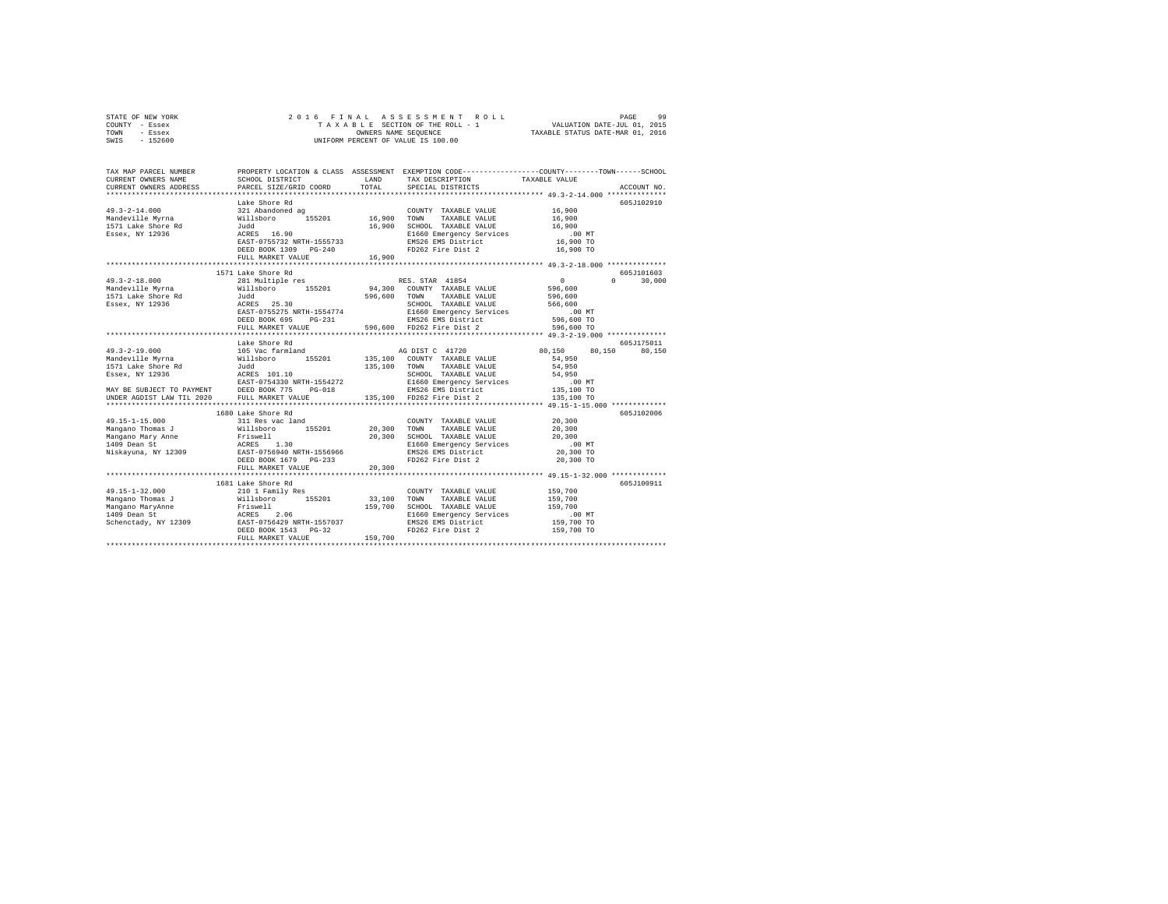| STATE OF NEW YORK | 2016 FINAL ASSESSMENT ROLL         | 99<br>PAGE                       |
|-------------------|------------------------------------|----------------------------------|
| COUNTY - Essex    | TAXABLE SECTION OF THE ROLL - 1    | VALUATION DATE-JUL 01, 2015      |
| TOWN<br>- Essex   | OWNERS NAME SEOUENCE               | TAXABLE STATUS DATE-MAR 01, 2016 |
| - 152600<br>SWIS  | UNIFORM PERCENT OF VALUE IS 100.00 |                                  |

| TAX MAP PARCEL NUMBER<br>CURRENT OWNERS NAME<br>CURRENT OWNERS ADDRESS                                                                                                                                                                                                                                                                                                                                                      | SCHOOL DISTRICT<br>PARCEL SIZE/GRID COORD        | LAND<br>TOTAL  | TAX DESCRIPTION<br>SPECIAL DISTRICTS                                                                                                                                                                                                                                                                         | PROPERTY LOCATION & CLASS ASSESSMENT EXEMPTION CODE---------------COUNTY-------TOWN-----SCHOOL<br>TAXABLE VALUE<br>ACCOUNT NO. |
|-----------------------------------------------------------------------------------------------------------------------------------------------------------------------------------------------------------------------------------------------------------------------------------------------------------------------------------------------------------------------------------------------------------------------------|--------------------------------------------------|----------------|--------------------------------------------------------------------------------------------------------------------------------------------------------------------------------------------------------------------------------------------------------------------------------------------------------------|--------------------------------------------------------------------------------------------------------------------------------|
|                                                                                                                                                                                                                                                                                                                                                                                                                             |                                                  |                |                                                                                                                                                                                                                                                                                                              |                                                                                                                                |
|                                                                                                                                                                                                                                                                                                                                                                                                                             | Lake Shore Rd                                    |                |                                                                                                                                                                                                                                                                                                              | 605J102910                                                                                                                     |
|                                                                                                                                                                                                                                                                                                                                                                                                                             |                                                  |                | COUNTY TAXABLE VALUE                                                                                                                                                                                                                                                                                         | 16,900                                                                                                                         |
|                                                                                                                                                                                                                                                                                                                                                                                                                             |                                                  |                | TAXABLE VALUE 16,900                                                                                                                                                                                                                                                                                         |                                                                                                                                |
| 1571 Lake Shore Rd<br>Essex, NY 12936                                                                                                                                                                                                                                                                                                                                                                                       | Judd<br>ACRES 16.90                              |                | 16,900 SCHOOL TAXABLE VALUE<br>E1660 Emergency Services                                                                                                                                                                                                                                                      | 16,900                                                                                                                         |
|                                                                                                                                                                                                                                                                                                                                                                                                                             |                                                  |                |                                                                                                                                                                                                                                                                                                              | .00MT                                                                                                                          |
|                                                                                                                                                                                                                                                                                                                                                                                                                             | EAST-0755732 NRTH-1555733                        |                | EMS26 EMS District<br>FD262 Fire Dist 2                                                                                                                                                                                                                                                                      | 16,900 TO                                                                                                                      |
|                                                                                                                                                                                                                                                                                                                                                                                                                             | DEED BOOK 1309 PG-240                            |                |                                                                                                                                                                                                                                                                                                              | 16,900 TO                                                                                                                      |
|                                                                                                                                                                                                                                                                                                                                                                                                                             | FULL MARKET VALUE                                | 16,900         |                                                                                                                                                                                                                                                                                                              |                                                                                                                                |
|                                                                                                                                                                                                                                                                                                                                                                                                                             |                                                  |                |                                                                                                                                                                                                                                                                                                              |                                                                                                                                |
|                                                                                                                                                                                                                                                                                                                                                                                                                             | 1571 Lake Shore Rd                               |                |                                                                                                                                                                                                                                                                                                              | 605J101603                                                                                                                     |
| $49.3 - 2 - 18.000$                                                                                                                                                                                                                                                                                                                                                                                                         | 281 Multiple res                                 |                | RES. STAR 41854                                                                                                                                                                                                                                                                                              | $\sim$ 0<br>$\cap$<br>30,000                                                                                                   |
|                                                                                                                                                                                                                                                                                                                                                                                                                             |                                                  |                | 94,300 COUNTY TAXABLE VALUE                                                                                                                                                                                                                                                                                  | 596,600<br>596,600                                                                                                             |
|                                                                                                                                                                                                                                                                                                                                                                                                                             |                                                  | $596,600$ TOWN | TAXABLE VALUE                                                                                                                                                                                                                                                                                                |                                                                                                                                |
| Essex, NY 12936                                                                                                                                                                                                                                                                                                                                                                                                             |                                                  |                | SCHOOL TAXABLE VALUE<br>E1660 Emergency Services                                                                                                                                                                                                                                                             | 566,600<br>00 MT.                                                                                                              |
|                                                                                                                                                                                                                                                                                                                                                                                                                             | Judd<br>ACRES 25.30<br>EAST-0755275 NRTH-1554774 |                |                                                                                                                                                                                                                                                                                                              |                                                                                                                                |
|                                                                                                                                                                                                                                                                                                                                                                                                                             | DEED BOOK 695                                    |                | PG-231 EMS26 EMS District<br>E 596,600 FD262 Fire Dist 2                                                                                                                                                                                                                                                     | 596,600 TO                                                                                                                     |
|                                                                                                                                                                                                                                                                                                                                                                                                                             | FULL MARKET VALUE                                |                |                                                                                                                                                                                                                                                                                                              | 596,600 TO                                                                                                                     |
|                                                                                                                                                                                                                                                                                                                                                                                                                             |                                                  |                |                                                                                                                                                                                                                                                                                                              |                                                                                                                                |
|                                                                                                                                                                                                                                                                                                                                                                                                                             | Lake Shore Rd                                    |                |                                                                                                                                                                                                                                                                                                              | 605J175011                                                                                                                     |
| $49.3 - 2 - 19.000$                                                                                                                                                                                                                                                                                                                                                                                                         | 105 Vac farmland<br>Willsboro 155201             |                | AG DIST C 41720<br>135,100 COUNTY TAXABLE VALUE                                                                                                                                                                                                                                                              | 80,150 80,150<br>80,150                                                                                                        |
| Mandeville Myrna                                                                                                                                                                                                                                                                                                                                                                                                            |                                                  |                |                                                                                                                                                                                                                                                                                                              | 54,950                                                                                                                         |
|                                                                                                                                                                                                                                                                                                                                                                                                                             |                                                  | 135,100 TOWN   | TAXABLE VALUE                                                                                                                                                                                                                                                                                                | 54,950                                                                                                                         |
|                                                                                                                                                                                                                                                                                                                                                                                                                             |                                                  |                |                                                                                                                                                                                                                                                                                                              |                                                                                                                                |
|                                                                                                                                                                                                                                                                                                                                                                                                                             |                                                  |                |                                                                                                                                                                                                                                                                                                              |                                                                                                                                |
|                                                                                                                                                                                                                                                                                                                                                                                                                             |                                                  |                |                                                                                                                                                                                                                                                                                                              |                                                                                                                                |
| Mandeville Myrna (1948)<br>1571 Lake Shore Rd<br>1582 - ACRES 101.10<br>1582 - ACRES 101.10<br>1682 - ACRES 101.10<br>16920 - FORD 10000 775 - PG-018<br>1992 - FORD 1992 - THE MARKET VALUE<br>19920 - FULL MARKET VALUE<br>19920 - FULL MARK                                                                                                                                                                              |                                                  |                | $\begin{tabular}{ccccc} & 135,100 & {\tt TONN} & TAXABLE VALUE & & 54,950 \\ & SCHOOL & TAXABLE VALUE & & 54,950 \\ & E1660 Energy Service & & & 54,950 \\ & E1660 Energy Service & & & 135,100 TO \\ G-018 & & BMS26 EWS & & & 135,100 TO \\ & & & 135,100 & FD262 First & & & 135,100 TO \\ \end{tabular}$ |                                                                                                                                |
|                                                                                                                                                                                                                                                                                                                                                                                                                             |                                                  |                |                                                                                                                                                                                                                                                                                                              |                                                                                                                                |
|                                                                                                                                                                                                                                                                                                                                                                                                                             | 1680 Lake Shore Rd                               |                |                                                                                                                                                                                                                                                                                                              | 605J102006                                                                                                                     |
|                                                                                                                                                                                                                                                                                                                                                                                                                             |                                                  |                | COUNTY TAXABLE VALUE                                                                                                                                                                                                                                                                                         | 20,300                                                                                                                         |
|                                                                                                                                                                                                                                                                                                                                                                                                                             |                                                  |                | TAXABLE VALUE 20,300                                                                                                                                                                                                                                                                                         |                                                                                                                                |
|                                                                                                                                                                                                                                                                                                                                                                                                                             |                                                  |                |                                                                                                                                                                                                                                                                                                              |                                                                                                                                |
| $[100] \begin{tabular}{lcccc} \texttt{49.15--1-15.000} & \texttt{source\_unc} & \texttt{conv} \\ \texttt{Mangano Thomas J} & 311 Res vac land & 20,300 TOMN \\ \texttt{Mangano Mary Anne} & 111 Res vac land & 20,300 TOMN \\ \texttt{Mangano Mary Anne} & 130 & \texttt{STE18} & 20,300 SCHOC \\ \texttt{Magano Mary} & \texttt{ACE1} & 130 & 20,300 SCHOC \\ \texttt{Miskayuna, NY 12309} & \texttt{EASST} & 130 & 20,30$ |                                                  |                | 20,300 SCHOOL TAXABLE VALUE 20,300<br>E1660 Emergency Services .00 MT                                                                                                                                                                                                                                        |                                                                                                                                |
|                                                                                                                                                                                                                                                                                                                                                                                                                             |                                                  |                | EMS26 EMS District<br>FD262 Fire Dist 2                                                                                                                                                                                                                                                                      | 20,300 TO                                                                                                                      |
|                                                                                                                                                                                                                                                                                                                                                                                                                             |                                                  |                |                                                                                                                                                                                                                                                                                                              | 20,300 TO                                                                                                                      |
|                                                                                                                                                                                                                                                                                                                                                                                                                             | FULL MARKET VALUE                                | 20,300         |                                                                                                                                                                                                                                                                                                              |                                                                                                                                |
|                                                                                                                                                                                                                                                                                                                                                                                                                             |                                                  |                |                                                                                                                                                                                                                                                                                                              |                                                                                                                                |
|                                                                                                                                                                                                                                                                                                                                                                                                                             | 1681 Lake Shore Rd                               |                |                                                                                                                                                                                                                                                                                                              | 605J100911                                                                                                                     |
|                                                                                                                                                                                                                                                                                                                                                                                                                             |                                                  |                | COUNTY TAXABLE VALUE                                                                                                                                                                                                                                                                                         | 159,700                                                                                                                        |
|                                                                                                                                                                                                                                                                                                                                                                                                                             |                                                  |                | TOWN<br>TAXABLE VALUE                                                                                                                                                                                                                                                                                        | 159,700                                                                                                                        |
|                                                                                                                                                                                                                                                                                                                                                                                                                             |                                                  |                | SCHOOL TAXABLE VALUE                                                                                                                                                                                                                                                                                         | 159,700                                                                                                                        |
|                                                                                                                                                                                                                                                                                                                                                                                                                             |                                                  |                | E1660 Emergency Services                                                                                                                                                                                                                                                                                     |                                                                                                                                |
|                                                                                                                                                                                                                                                                                                                                                                                                                             |                                                  |                | EMS26 EMS District                                                                                                                                                                                                                                                                                           | 00 MT.<br>159,700 TO                                                                                                           |
|                                                                                                                                                                                                                                                                                                                                                                                                                             | DEED BOOK 1543 PG-32                             |                | FD262 Fire Dist 2                                                                                                                                                                                                                                                                                            | 159,700 TO                                                                                                                     |
|                                                                                                                                                                                                                                                                                                                                                                                                                             | FULL MARKET VALUE                                | 159,700        |                                                                                                                                                                                                                                                                                                              |                                                                                                                                |
|                                                                                                                                                                                                                                                                                                                                                                                                                             |                                                  |                |                                                                                                                                                                                                                                                                                                              | **********************************                                                                                             |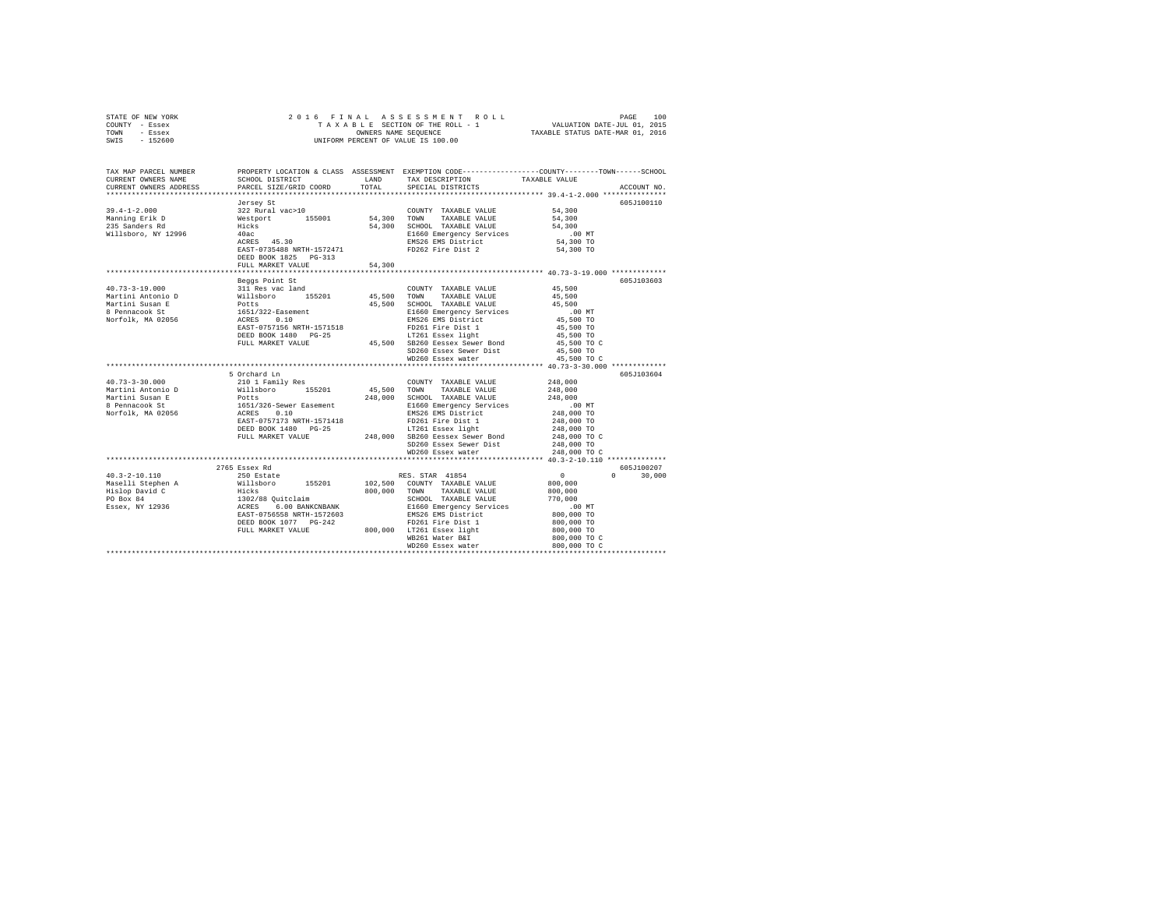| STATE OF NEW YORK<br>COUNTY - Essex  | ${\tt AS} \, \, {\tt S} \, \, {\tt E} \, \, {\tt S} \, \, {\tt S} \, \, {\tt M} \, \, {\tt E} \, \, {\tt N} \, \, {\tt N} \, \, {\tt N} \, \, {\tt L} \, \, {\tt L} \, \, {\tt L} \, \, {\tt L} \, \, {\tt L} \, \, {\tt L} \, \, {\tt L} \, \, {\tt L} \, \, {\tt L} \, \, {\tt L} \, {\tt L} \, {\tt L} \, {\tt L} \, {\tt L} \, {\tt L} \, {\tt L} \, {\tt L} \, {\tt L} \, {\tt L} \, {\tt L} \, {\tt$<br>2016 FINAL |             |                                                                                                 |                                     |               |  |  |  |
|--------------------------------------|--------------------------------------------------------------------------------------------------------------------------------------------------------------------------------------------------------------------------------------------------------------------------------------------------------------------------------------------------------------------------------------------------------------------------|-------------|-------------------------------------------------------------------------------------------------|-------------------------------------|---------------|--|--|--|
| TOWN<br>- Essex<br>$-152600$<br>SWIS | TAXABLE STATUS DATE-MAR 01, 2016                                                                                                                                                                                                                                                                                                                                                                                         |             |                                                                                                 |                                     |               |  |  |  |
|                                      |                                                                                                                                                                                                                                                                                                                                                                                                                          |             |                                                                                                 |                                     |               |  |  |  |
|                                      |                                                                                                                                                                                                                                                                                                                                                                                                                          |             |                                                                                                 |                                     |               |  |  |  |
| TAX MAP PARCEL NUMBER                |                                                                                                                                                                                                                                                                                                                                                                                                                          |             | PROPERTY LOCATION & CLASS ASSESSMENT EXEMPTION CODE---------------COUNTY-------TOWN------SCHOOL |                                     |               |  |  |  |
| CURRENT OWNERS NAME                  | SCHOOL DISTRICT                                                                                                                                                                                                                                                                                                                                                                                                          | LAND        | TAX DESCRIPTION                                                                                 | TAXABLE VALUE                       |               |  |  |  |
| CURRENT OWNERS ADDRESS               | PARCEL SIZE/GRID COORD                                                                                                                                                                                                                                                                                                                                                                                                   | TOTAL       | SPECIAL DISTRICTS                                                                               |                                     | ACCOUNT NO.   |  |  |  |
|                                      |                                                                                                                                                                                                                                                                                                                                                                                                                          |             |                                                                                                 |                                     |               |  |  |  |
|                                      | Jersey St                                                                                                                                                                                                                                                                                                                                                                                                                |             |                                                                                                 |                                     | 605J100110    |  |  |  |
| $39.4 - 1 - 2.000$                   | 322 Rural vac>10                                                                                                                                                                                                                                                                                                                                                                                                         |             | COUNTY TAXABLE VALUE                                                                            | 54,300                              |               |  |  |  |
| Manning Erik D<br>235 Sanders Rd     | Westport 155001<br>Hicks                                                                                                                                                                                                                                                                                                                                                                                                 | 54,300 TOWN | TAXABLE VALUE<br>54,300 SCHOOL TAXABLE VALUE                                                    | 54,300<br>54,300                    |               |  |  |  |
| Willsboro, NY 12996                  | 40ac                                                                                                                                                                                                                                                                                                                                                                                                                     |             | E1660 Emergency Services                                                                        | $.00$ MT                            |               |  |  |  |
|                                      | ACRES 45.30                                                                                                                                                                                                                                                                                                                                                                                                              |             | EMS26 EMS District                                                                              | 54,300 TO                           |               |  |  |  |
|                                      | EAST-0735488 NRTH-1572471                                                                                                                                                                                                                                                                                                                                                                                                |             | FD262 Fire Dist 2                                                                               | 54,300 TO                           |               |  |  |  |
|                                      | DEED BOOK 1825 PG-313                                                                                                                                                                                                                                                                                                                                                                                                    |             |                                                                                                 |                                     |               |  |  |  |
|                                      | FULL MARKET VALUE                                                                                                                                                                                                                                                                                                                                                                                                        | 54,300      |                                                                                                 |                                     |               |  |  |  |
|                                      |                                                                                                                                                                                                                                                                                                                                                                                                                          |             |                                                                                                 |                                     |               |  |  |  |
|                                      | Beggs Point St                                                                                                                                                                                                                                                                                                                                                                                                           |             |                                                                                                 |                                     | 605J103603    |  |  |  |
| $40.73 - 3 - 19.000$                 | 311 Res vac land                                                                                                                                                                                                                                                                                                                                                                                                         |             | COUNTY TAXABLE VALUE                                                                            | 45,500                              |               |  |  |  |
| Martini Antonio D                    | sir Aes vac Tanu<br>Willsboro 155201<br>Potts<br>1651/322-Easement<br>ACRES 0.10<br>10<br>16110                                                                                                                                                                                                                                                                                                                          |             | 45,500 TOWN TAXABLE VALUE                                                                       | 45,500                              |               |  |  |  |
| Martini Susan E                      |                                                                                                                                                                                                                                                                                                                                                                                                                          | 45,500      | SCHOOL TAXABLE VALUE                                                                            | 45,500                              |               |  |  |  |
| 8 Pennacook St                       |                                                                                                                                                                                                                                                                                                                                                                                                                          |             | E1660 Emergency Services                                                                        | $.00$ MT                            |               |  |  |  |
| Norfolk, MA 02056                    |                                                                                                                                                                                                                                                                                                                                                                                                                          |             | EMS26 EMS District                                                                              | 45,500 TO                           |               |  |  |  |
|                                      | EAST-0757156 NRTH-1571518                                                                                                                                                                                                                                                                                                                                                                                                |             | FD261 Fire Dist 1<br>LT261 Essex light                                                          | 45,500 TO                           |               |  |  |  |
|                                      | DEED BOOK 1480 PG-25                                                                                                                                                                                                                                                                                                                                                                                                     |             |                                                                                                 | 45,500 TO                           |               |  |  |  |
|                                      | FULL MARKET VALUE                                                                                                                                                                                                                                                                                                                                                                                                        |             | 45,500 SB260 Eessex Sewer Bond                                                                  | 45,500 TO C                         |               |  |  |  |
|                                      |                                                                                                                                                                                                                                                                                                                                                                                                                          |             | SD260 Essex Sewer Dist                                                                          | 45,500 TO                           |               |  |  |  |
|                                      |                                                                                                                                                                                                                                                                                                                                                                                                                          |             | WD260 Essex water                                                                               | 45,500 TO C                         |               |  |  |  |
|                                      |                                                                                                                                                                                                                                                                                                                                                                                                                          |             |                                                                                                 |                                     |               |  |  |  |
|                                      | 5 Orchard Ln                                                                                                                                                                                                                                                                                                                                                                                                             |             |                                                                                                 |                                     | 605J103604    |  |  |  |
| $40.73 - 3 - 30.000$                 | 210 1 Family Res                                                                                                                                                                                                                                                                                                                                                                                                         |             | COUNTY TAXABLE VALUE                                                                            | 248,000                             |               |  |  |  |
| Martini Antonio D                    | Willsboro 155201                                                                                                                                                                                                                                                                                                                                                                                                         |             | 45,500 TOWN TAXABLE VALUE                                                                       | 248,000                             |               |  |  |  |
| Martini Susan E                      | Potts                                                                                                                                                                                                                                                                                                                                                                                                                    |             | 248.000 SCHOOL TAXABLE VALUE                                                                    | 248,000                             |               |  |  |  |
| 8 Pennacook St                       | 1651/326-Sewer Easement                                                                                                                                                                                                                                                                                                                                                                                                  |             | E1660 Emergency Services                                                                        | $.00$ MT                            |               |  |  |  |
| Norfolk, MA 02056                    | ACRES 0.10<br>EAST-0757173 NRTH-1571418                                                                                                                                                                                                                                                                                                                                                                                  |             | EMS26 EMS District<br>FD261 Fire Dist 1                                                         | 248,000 TO<br>248,000 TO            |               |  |  |  |
|                                      | DEED BOOK 1480 PG-25                                                                                                                                                                                                                                                                                                                                                                                                     |             | LT261 Essex light                                                                               | 248,000 TO                          |               |  |  |  |
|                                      | FULL MARKET VALUE                                                                                                                                                                                                                                                                                                                                                                                                        |             | 248,000 SB260 Eessex Sewer Bond                                                                 | 248,000 TO C                        |               |  |  |  |
|                                      |                                                                                                                                                                                                                                                                                                                                                                                                                          |             | SD260 Essex Sewer Dist                                                                          | 248,000 TO                          |               |  |  |  |
|                                      |                                                                                                                                                                                                                                                                                                                                                                                                                          |             | WD260 Essex water                                                                               | 248,000 TO C                        |               |  |  |  |
|                                      |                                                                                                                                                                                                                                                                                                                                                                                                                          |             |                                                                                                 |                                     |               |  |  |  |
|                                      | 2765 Essex Rd                                                                                                                                                                                                                                                                                                                                                                                                            |             |                                                                                                 |                                     | 605J100207    |  |  |  |
| $40.3 - 2 - 10.110$                  | 250 Estate                                                                                                                                                                                                                                                                                                                                                                                                               |             | RES. STAR 41854                                                                                 | $\sim$ 0                            | $0 \t 30,000$ |  |  |  |
| Maselli Stephen A                    | Willsboro 155201                                                                                                                                                                                                                                                                                                                                                                                                         |             | 102,500 COUNTY TAXABLE VALUE                                                                    | 800,000                             |               |  |  |  |
| Hislop David C                       | Hicks                                                                                                                                                                                                                                                                                                                                                                                                                    | 800,000     | TOWN TAXABLE VALUE                                                                              | 800,000                             |               |  |  |  |
| PO Box 84                            | 1302/88 Quitclaim<br>ACRES 6.00 BANKCNBANK                                                                                                                                                                                                                                                                                                                                                                               |             | SCHOOL TAXABLE VALUE                                                                            | 770,000                             |               |  |  |  |
| Essex, NY 12936                      |                                                                                                                                                                                                                                                                                                                                                                                                                          |             | E1660 Emergency Services                                                                        | .00 MT                              |               |  |  |  |
|                                      | EAST-0756558 NRTH-1572603                                                                                                                                                                                                                                                                                                                                                                                                |             | EMS26 EMS District                                                                              | 800,000 TO                          |               |  |  |  |
|                                      | DEED BOOK 1077 PG-242                                                                                                                                                                                                                                                                                                                                                                                                    |             | FD261 Fire Dist 1                                                                               | 800,000 TO                          |               |  |  |  |
|                                      | FULL MARKET VALUE                                                                                                                                                                                                                                                                                                                                                                                                        |             | 800,000 LT261 Essex light                                                                       | 800,000 TO                          |               |  |  |  |
|                                      |                                                                                                                                                                                                                                                                                                                                                                                                                          |             | WB261 Water B&I                                                                                 | 800,000 TO C                        |               |  |  |  |
|                                      |                                                                                                                                                                                                                                                                                                                                                                                                                          |             | WD260 Essex water                                                                               | 800,000 TO C                        |               |  |  |  |
|                                      |                                                                                                                                                                                                                                                                                                                                                                                                                          |             |                                                                                                 | *********************************** |               |  |  |  |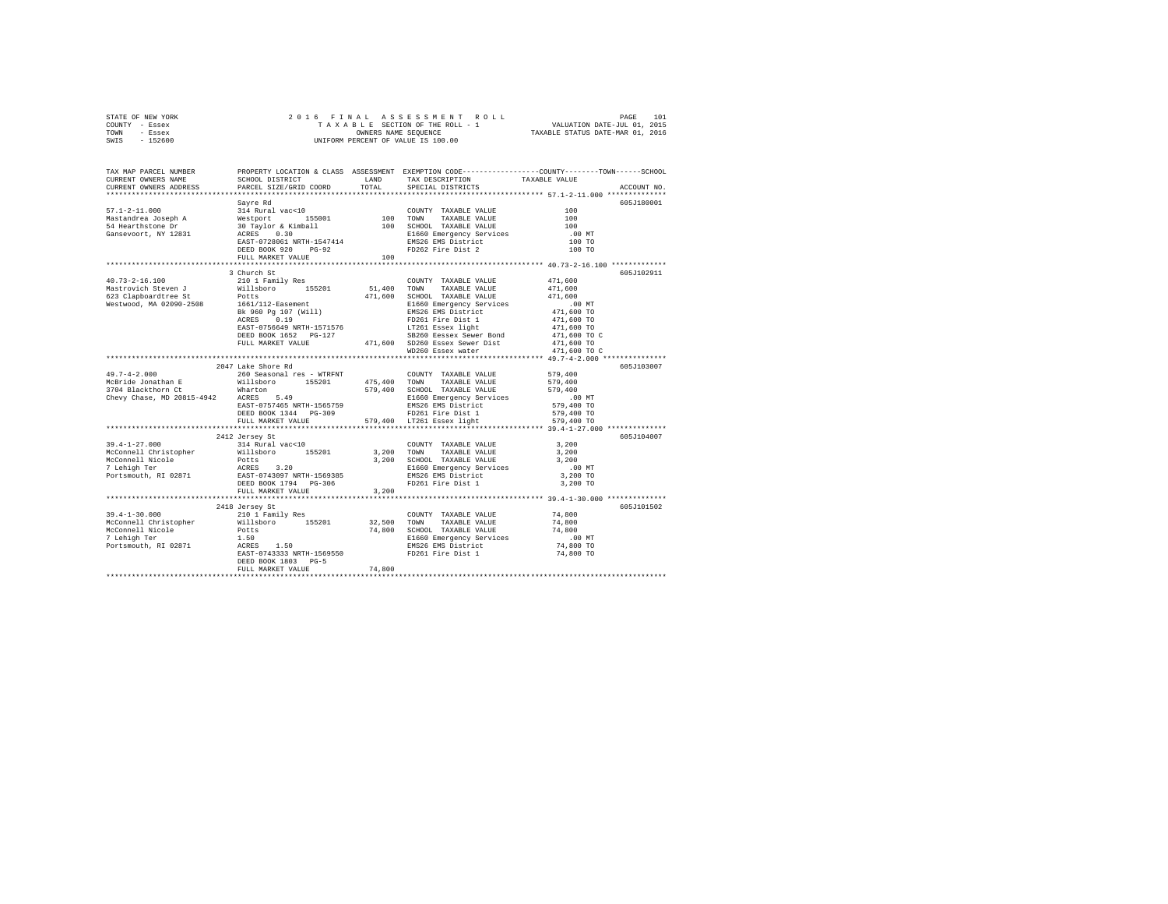| STATE OF NEW YORK | 2016 FINAL ASSESSMENT ROLL         | 101<br>PAGE                      |
|-------------------|------------------------------------|----------------------------------|
| COUNTY - Essex    | TAXABLE SECTION OF THE ROLL - 1    | VALUATION DATE-JUL 01, 2015      |
| TOWN<br>- Essex   | OWNERS NAME SEOUENCE               | TAXABLE STATUS DATE-MAR 01, 2016 |
| $-152600$<br>SWIS | UNIFORM PERCENT OF VALUE IS 100.00 |                                  |

| TAX MAP PARCEL NUMBER<br>CURRENT OWNERS NAME<br>CURRENT OWNERS ADDRESS                                                                                                                                                                                                                                                                                       | SCHOOL DISTRICT LAND<br>PARCEL SIZE/GRID COORD                                                                                                                                                                                                         | TOTAL  | TAX DESCRIPTION<br>SPECIAL DISTRICTS | PROPERTY LOCATION & CLASS ASSESSMENT EXEMPTION CODE---------------COUNTY-------TOWN-----SCHOOL<br>TAXABLE VALUE<br>ACCOUNT NO. |
|--------------------------------------------------------------------------------------------------------------------------------------------------------------------------------------------------------------------------------------------------------------------------------------------------------------------------------------------------------------|--------------------------------------------------------------------------------------------------------------------------------------------------------------------------------------------------------------------------------------------------------|--------|--------------------------------------|--------------------------------------------------------------------------------------------------------------------------------|
|                                                                                                                                                                                                                                                                                                                                                              |                                                                                                                                                                                                                                                        |        |                                      |                                                                                                                                |
|                                                                                                                                                                                                                                                                                                                                                              | Savre Rd                                                                                                                                                                                                                                               |        |                                      | 605J180001                                                                                                                     |
| $57.1 - 2 - 11.000$                                                                                                                                                                                                                                                                                                                                          | 314 Rural vac<10<br>314 Rural vac<10<br>Westport & Kimball<br>20 Taylor & Kimball<br>20 Taylor & Kimball<br>20 Taylor & Kimball<br>20 Taylor 2010<br>2010<br>2020 PEED BOOK 920<br>2020 PEED BOOK 920<br>2020 PEED BOOK 920<br>2020 PEED BOOK 920<br>2 |        |                                      |                                                                                                                                |
|                                                                                                                                                                                                                                                                                                                                                              |                                                                                                                                                                                                                                                        |        |                                      |                                                                                                                                |
| Mastandrea Joseph A<br>54 Hearthstone Dr                                                                                                                                                                                                                                                                                                                     |                                                                                                                                                                                                                                                        |        |                                      |                                                                                                                                |
| Gansevoort, NY 12831                                                                                                                                                                                                                                                                                                                                         |                                                                                                                                                                                                                                                        |        |                                      | $.00$ MT                                                                                                                       |
|                                                                                                                                                                                                                                                                                                                                                              |                                                                                                                                                                                                                                                        |        |                                      | 100 TO                                                                                                                         |
|                                                                                                                                                                                                                                                                                                                                                              |                                                                                                                                                                                                                                                        |        |                                      | 100 TO                                                                                                                         |
|                                                                                                                                                                                                                                                                                                                                                              | FULL MARKET VALUE                                                                                                                                                                                                                                      | 100    |                                      |                                                                                                                                |
|                                                                                                                                                                                                                                                                                                                                                              |                                                                                                                                                                                                                                                        |        |                                      |                                                                                                                                |
|                                                                                                                                                                                                                                                                                                                                                              | 3 Church St                                                                                                                                                                                                                                            |        |                                      | 605J102911                                                                                                                     |
| $40.73 - 2 - 16.100$                                                                                                                                                                                                                                                                                                                                         | 210 1 Family Res                                                                                                                                                                                                                                       |        | COUNTY TAXABLE VALUE                 | 471,600                                                                                                                        |
|                                                                                                                                                                                                                                                                                                                                                              |                                                                                                                                                                                                                                                        |        |                                      |                                                                                                                                |
|                                                                                                                                                                                                                                                                                                                                                              |                                                                                                                                                                                                                                                        |        |                                      |                                                                                                                                |
|                                                                                                                                                                                                                                                                                                                                                              |                                                                                                                                                                                                                                                        |        |                                      |                                                                                                                                |
|                                                                                                                                                                                                                                                                                                                                                              |                                                                                                                                                                                                                                                        |        |                                      |                                                                                                                                |
|                                                                                                                                                                                                                                                                                                                                                              |                                                                                                                                                                                                                                                        |        |                                      |                                                                                                                                |
|                                                                                                                                                                                                                                                                                                                                                              |                                                                                                                                                                                                                                                        |        |                                      |                                                                                                                                |
|                                                                                                                                                                                                                                                                                                                                                              |                                                                                                                                                                                                                                                        |        |                                      |                                                                                                                                |
|                                                                                                                                                                                                                                                                                                                                                              |                                                                                                                                                                                                                                                        |        |                                      |                                                                                                                                |
|                                                                                                                                                                                                                                                                                                                                                              |                                                                                                                                                                                                                                                        |        |                                      |                                                                                                                                |
|                                                                                                                                                                                                                                                                                                                                                              | 2047 Lake Shore Rd                                                                                                                                                                                                                                     |        |                                      | 605J103007                                                                                                                     |
|                                                                                                                                                                                                                                                                                                                                                              |                                                                                                                                                                                                                                                        |        |                                      |                                                                                                                                |
|                                                                                                                                                                                                                                                                                                                                                              |                                                                                                                                                                                                                                                        |        |                                      |                                                                                                                                |
|                                                                                                                                                                                                                                                                                                                                                              |                                                                                                                                                                                                                                                        |        |                                      |                                                                                                                                |
|                                                                                                                                                                                                                                                                                                                                                              |                                                                                                                                                                                                                                                        |        |                                      |                                                                                                                                |
|                                                                                                                                                                                                                                                                                                                                                              |                                                                                                                                                                                                                                                        |        |                                      |                                                                                                                                |
|                                                                                                                                                                                                                                                                                                                                                              |                                                                                                                                                                                                                                                        |        |                                      |                                                                                                                                |
|                                                                                                                                                                                                                                                                                                                                                              |                                                                                                                                                                                                                                                        |        |                                      |                                                                                                                                |
|                                                                                                                                                                                                                                                                                                                                                              |                                                                                                                                                                                                                                                        |        |                                      |                                                                                                                                |
|                                                                                                                                                                                                                                                                                                                                                              | 2412 Jersey St                                                                                                                                                                                                                                         |        |                                      | 605J104007                                                                                                                     |
|                                                                                                                                                                                                                                                                                                                                                              |                                                                                                                                                                                                                                                        |        |                                      |                                                                                                                                |
|                                                                                                                                                                                                                                                                                                                                                              |                                                                                                                                                                                                                                                        |        |                                      |                                                                                                                                |
|                                                                                                                                                                                                                                                                                                                                                              |                                                                                                                                                                                                                                                        |        |                                      |                                                                                                                                |
| $\begin{tabular}{cccc} 39.4-1-27.000 & 2412~6ergs~\text{st} & 314~\text{Rural vac} & 100~\text{CUNITY} & TAKABLE VALUE & 3,200~\text{CUNITY} & TAKABLE VALUE & 3,200~\text{CUNITY} & 3,200~\text{CUNITY} & 3,200~\text{CUNITY} & 3,200~\text{CUNITY} & 3,200~\text{CUNITY} & 3,200~\text{CUNITY} & 3,200~\text{CUNITY} & 3,200~\text{CUNITY} & 3,200~\text{$ |                                                                                                                                                                                                                                                        |        |                                      | $.00$ MT                                                                                                                       |
|                                                                                                                                                                                                                                                                                                                                                              |                                                                                                                                                                                                                                                        |        |                                      | 3,200 TO                                                                                                                       |
|                                                                                                                                                                                                                                                                                                                                                              |                                                                                                                                                                                                                                                        |        | FD261 Fire Dist 1                    | 3,200 TO                                                                                                                       |
|                                                                                                                                                                                                                                                                                                                                                              | FULL MARKET VALUE<br>*********************************                                                                                                                                                                                                 | 3,200  |                                      |                                                                                                                                |
|                                                                                                                                                                                                                                                                                                                                                              |                                                                                                                                                                                                                                                        |        |                                      | 605J101502                                                                                                                     |
| $39.4 - 1 - 30.000$                                                                                                                                                                                                                                                                                                                                          | 2418 Jersey St<br>210 1 Family Res                                                                                                                                                                                                                     |        | COUNTY TAXABLE VALUE                 | 74,800                                                                                                                         |
|                                                                                                                                                                                                                                                                                                                                                              |                                                                                                                                                                                                                                                        |        |                                      |                                                                                                                                |
|                                                                                                                                                                                                                                                                                                                                                              |                                                                                                                                                                                                                                                        |        |                                      |                                                                                                                                |
|                                                                                                                                                                                                                                                                                                                                                              |                                                                                                                                                                                                                                                        |        |                                      |                                                                                                                                |
|                                                                                                                                                                                                                                                                                                                                                              |                                                                                                                                                                                                                                                        |        |                                      |                                                                                                                                |
|                                                                                                                                                                                                                                                                                                                                                              |                                                                                                                                                                                                                                                        |        |                                      |                                                                                                                                |
|                                                                                                                                                                                                                                                                                                                                                              | DEED BOOK 1803 PG-5                                                                                                                                                                                                                                    |        |                                      |                                                                                                                                |
|                                                                                                                                                                                                                                                                                                                                                              | FULL MARKET VALUE                                                                                                                                                                                                                                      | 74,800 |                                      |                                                                                                                                |
|                                                                                                                                                                                                                                                                                                                                                              |                                                                                                                                                                                                                                                        |        |                                      |                                                                                                                                |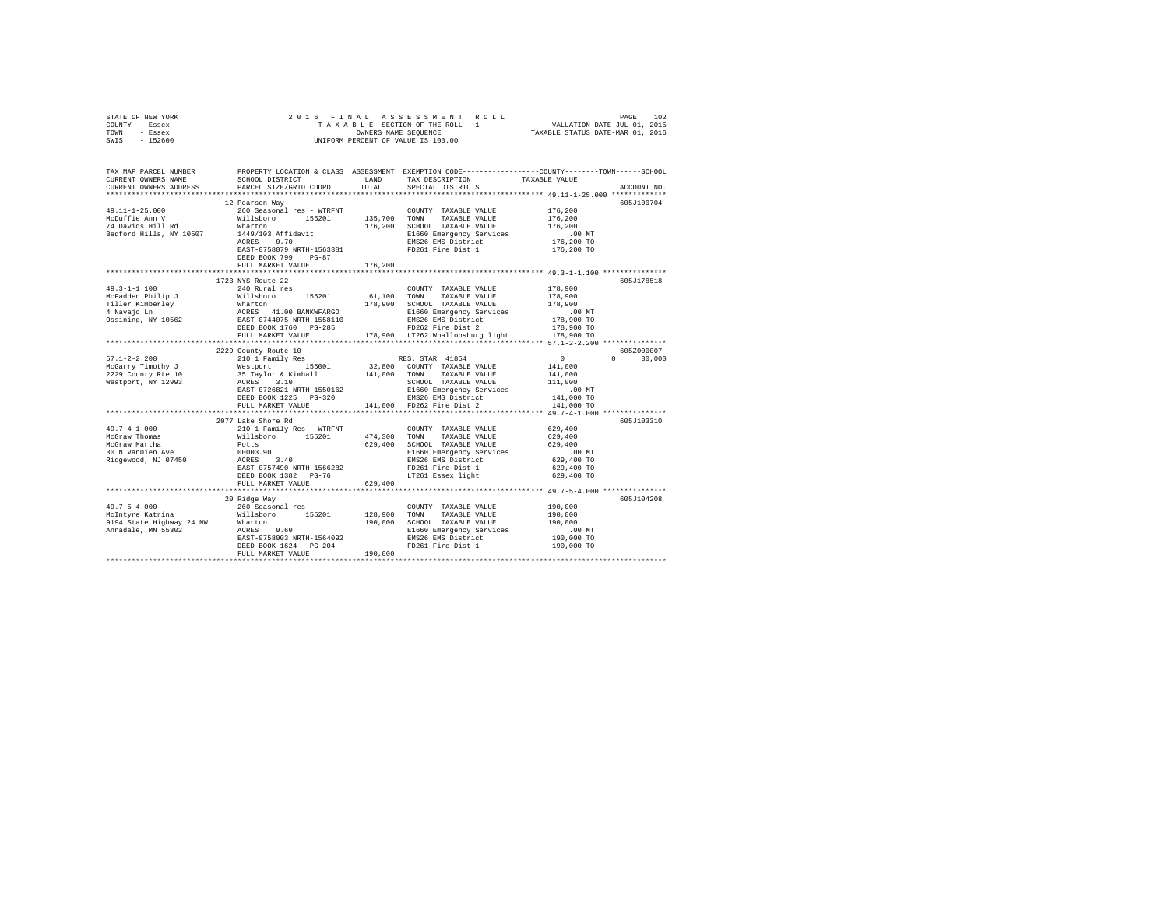|      | STATE OF NEW YORK |  | 2016 FINAL ASSESSMENT ROLL         | 102<br>PAGE                      |
|------|-------------------|--|------------------------------------|----------------------------------|
|      | COUNTY - Essex    |  | TAXABLE SECTION OF THE ROLL - 1    | VALUATION DATE-JUL 01, 2015      |
| TOWN | - Essex           |  | OWNERS NAME SEOUENCE               | TAXABLE STATUS DATE-MAR 01, 2016 |
| SWIS | - 152600          |  | UNIFORM PERCENT OF VALUE IS 100.00 |                                  |

| TAX MAP PARCEL NUMBER<br>CURRENT OWNERS NAME<br>CURRENT OWNERS ADDRESS | SCHOOL DISTRICT<br>PARCEL SIZE/GRID COORD                                                                                                                                                  | LAND<br>TOTAL | TAX DESCRIPTION<br>SPECIAL DISTRICTS           | PROPERTY LOCATION & CLASS ASSESSMENT EXEMPTION CODE---------------COUNTY-------TOWN------SCHOOL<br>TAXABLE VALUE<br>ACCOUNT NO. |
|------------------------------------------------------------------------|--------------------------------------------------------------------------------------------------------------------------------------------------------------------------------------------|---------------|------------------------------------------------|---------------------------------------------------------------------------------------------------------------------------------|
|                                                                        |                                                                                                                                                                                            |               |                                                |                                                                                                                                 |
|                                                                        | 12 Pearson Way                                                                                                                                                                             |               |                                                | 605J100704                                                                                                                      |
| $49.11 - 1 - 25.000$                                                   | 260 Seasonal res - WTRFNT                                                                                                                                                                  |               | COUNTY TAXABLE VALUE                           | 176,200                                                                                                                         |
| McDuffie Ann V                                                         | Willsboro 155201                                                                                                                                                                           | 135,700 TOWN  | TAXABLE VALUE                                  | 176,200                                                                                                                         |
| 74 Davids Hill Rd                                                      | Wharton                                                                                                                                                                                    | 176,200       | SCHOOL TAXABLE VALUE                           | 176,200                                                                                                                         |
| Bedford Hills, NY 10507                                                | 1449/103 Affidavit                                                                                                                                                                         |               | E1660 Emergency Services                       | $.00$ MT                                                                                                                        |
|                                                                        | ACRES<br>0.70                                                                                                                                                                              |               | EMS26 EMS District                             | 176,200 TO                                                                                                                      |
|                                                                        | EAST-0758079 NRTH-1563381                                                                                                                                                                  |               | FD261 Fire Dist 1                              | 176,200 TO                                                                                                                      |
|                                                                        | DEED BOOK 799<br>$PG-87$                                                                                                                                                                   |               |                                                |                                                                                                                                 |
|                                                                        | FULL MARKET VALUE                                                                                                                                                                          | 176,200       |                                                |                                                                                                                                 |
|                                                                        |                                                                                                                                                                                            |               |                                                |                                                                                                                                 |
|                                                                        | 1723 NYS Route 22                                                                                                                                                                          |               |                                                | 605J178518                                                                                                                      |
| $49.3 - 1 - 1.100$                                                     | 240 Rural res                                                                                                                                                                              |               | COUNTY TAXABLE VALUE                           | 178,900                                                                                                                         |
| McFadden Philip J                                                      | Willsboro<br>155201                                                                                                                                                                        | 61,100 TOWN   | TAXABLE VALUE                                  | 178,900                                                                                                                         |
| Tiller Kimberley<br>4 Navajo Ln                                        | Wharton<br>ACRES 41.00 BANKWFARGO<br>EAST-0744075 NRTH-1558110                                                                                                                             | 178,900       | SCHOOL TAXABLE VALUE                           | 178,900                                                                                                                         |
|                                                                        |                                                                                                                                                                                            |               | E1660 Emergency Services                       | $.00$ MT                                                                                                                        |
| Ossining, NY 10562                                                     |                                                                                                                                                                                            |               | EMS26 EMS District<br>FD262 Fire Dist 2        | 178,900 TO                                                                                                                      |
|                                                                        | DEED BOOK 1760 PG-285                                                                                                                                                                      |               |                                                | 178,900 TO                                                                                                                      |
|                                                                        | FULL MARKET VALUE                                                                                                                                                                          |               | 178,900 LT262 Whallonsburg light               | 178,900 TO                                                                                                                      |
|                                                                        |                                                                                                                                                                                            |               |                                                |                                                                                                                                 |
| $57.1 - 2 - 2.200$                                                     | 2229 County Route 10<br>------- ------ --- --<br>210 1 Family Res .<br>Nestport . 155001 . 32,800 COUNTY TAXABLE VALUE<br>35 Taylor & Kimball . 141,000 TOWN TAXABLE VALUE<br>ACRES . 3.10 |               |                                                | 605Z000007<br>$\sim$ 0 $\sim$<br>$\Omega$<br>30,000                                                                             |
| McGarry Timothy J                                                      |                                                                                                                                                                                            |               |                                                | 141,000                                                                                                                         |
|                                                                        |                                                                                                                                                                                            |               |                                                | 141,000                                                                                                                         |
| $2229$ County Rte $10$<br>Westport, NY 12993                           |                                                                                                                                                                                            |               |                                                | 111,000                                                                                                                         |
|                                                                        | EAST-0726821 NRTH-1550162                                                                                                                                                                  |               |                                                | .00 MT                                                                                                                          |
|                                                                        | DEED BOOK 1225 PG-320                                                                                                                                                                      |               | E1660 Emergency Services<br>EMS26 EMS District | 141,000 TO                                                                                                                      |
|                                                                        | FULL MARKET VALUE                                                                                                                                                                          |               | 141,000 FD262 Fire Dist 2                      | 141,000 TO                                                                                                                      |
|                                                                        |                                                                                                                                                                                            |               |                                                | ************************* 49.7-4-1.000 ****************                                                                         |
|                                                                        | 2077 Lake Shore Rd                                                                                                                                                                         |               |                                                | 605J103310                                                                                                                      |
| $49.7 - 4 - 1.000$                                                     | 210 1 Family Res - WTRFNT<br>Willsboro 155201                                                                                                                                              |               | COUNTY TAXABLE VALUE                           | 629,400                                                                                                                         |
| McGraw Thomas                                                          |                                                                                                                                                                                            | 474,300 TOWN  | TAXABLE VALUE                                  | 629,400                                                                                                                         |
| McGraw Martha                                                          | Potts                                                                                                                                                                                      | 629,400       | SCHOOL TAXABLE VALUE                           | 629,400                                                                                                                         |
| 30 N VanDien Ave                                                       | 00003.90                                                                                                                                                                                   |               |                                                | .00 MT                                                                                                                          |
|                                                                        |                                                                                                                                                                                            |               | E1660 Emergency Services<br>EMS26 EMS District | 629,400 TO                                                                                                                      |
|                                                                        |                                                                                                                                                                                            |               | FD261 Fire Dist 1                              | 629,400 TO                                                                                                                      |
|                                                                        | DEED BOOK 1382 PG-76                                                                                                                                                                       |               | LT261 Essex light                              | 629,400 TO                                                                                                                      |
|                                                                        | FULL MARKET VALUE                                                                                                                                                                          | 629,400       |                                                |                                                                                                                                 |
|                                                                        |                                                                                                                                                                                            |               |                                                |                                                                                                                                 |
|                                                                        | 20 Ridge Way                                                                                                                                                                               |               |                                                | 605J104208                                                                                                                      |
|                                                                        |                                                                                                                                                                                            | 128,900 TOWN  | COUNTY TAXABLE VALUE<br>TAXABLE VALUE          | 190,000<br>190,000                                                                                                              |
|                                                                        |                                                                                                                                                                                            | 190,000       | SCHOOL TAXABLE VALUE                           | 190,000                                                                                                                         |
|                                                                        |                                                                                                                                                                                            |               | E1660 Emergency Services                       | $.00$ MT                                                                                                                        |
|                                                                        |                                                                                                                                                                                            |               | EMS26 EMS District                             | 190,000 TO                                                                                                                      |
|                                                                        |                                                                                                                                                                                            |               | FD261 Fire Dist 1                              | 190,000 TO                                                                                                                      |
|                                                                        |                                                                                                                                                                                            |               |                                                |                                                                                                                                 |
|                                                                        |                                                                                                                                                                                            |               |                                                |                                                                                                                                 |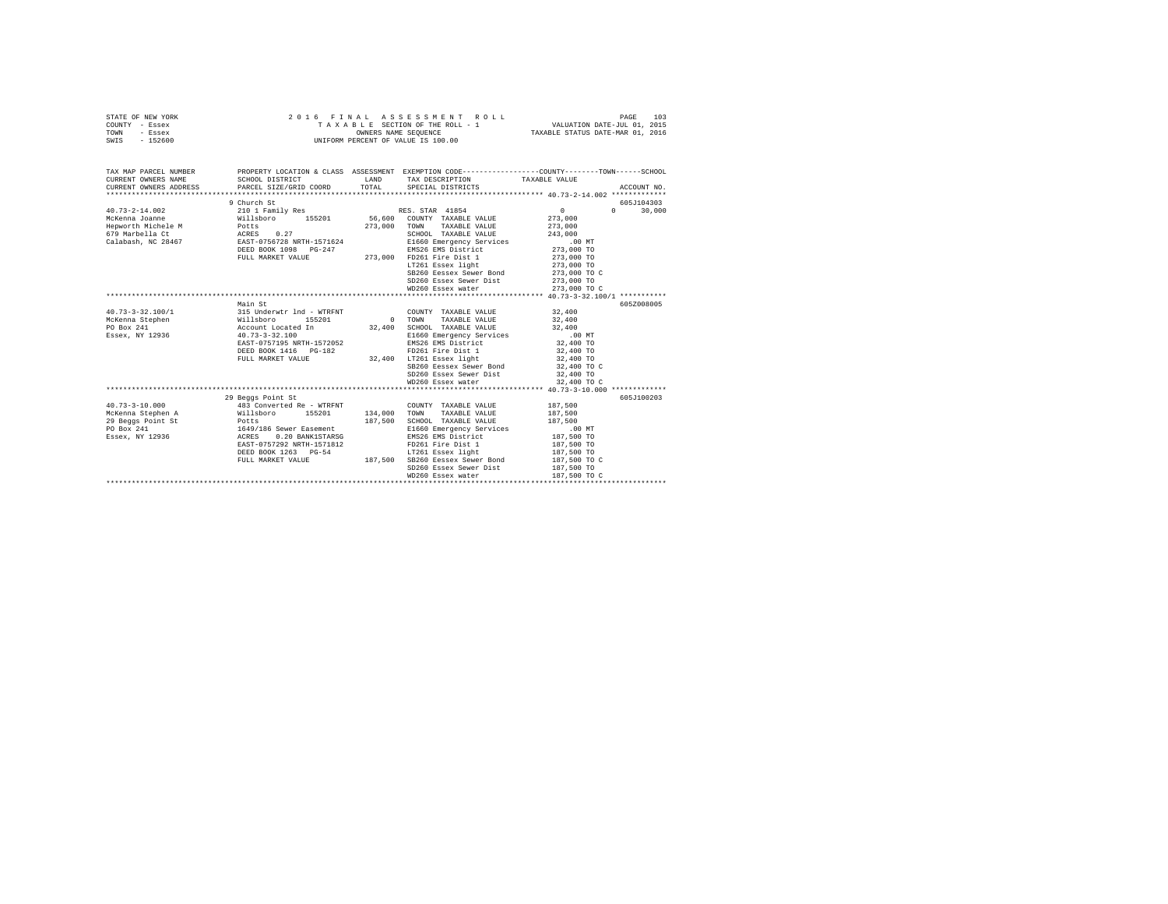| STATE OF NEW YORK<br>COUNTY - Essex<br>TOWN<br>- Essex<br>$-152600$<br>SWIS | 2016 FINAL ASSESSMENT ROLL<br>TAXABLE SECTION OF THE ROLL - 1<br>OWNERS NAME SEOUENCE<br>UNIFORM PERCENT OF VALUE IS 100.00 | 103<br>PAGE<br>VALUATION DATE-JUL 01, 2015<br>TAXABLE STATUS DATE-MAR 01, 2016 |
|-----------------------------------------------------------------------------|-----------------------------------------------------------------------------------------------------------------------------|--------------------------------------------------------------------------------|
| TAV MAD DAD/UT MIIMDUD                                                      | EVEMBETON COBE----------------<br><b>ACCPCCMPMT</b><br>DRABBEV IACATION C. CLASS                                            |                                                                                |

| TAX MAP PARCEL NUMBER                                                                                                                                   |                                                                                         |         | PROPERTY LOCATION & CLASS ASSESSMENT EXEMPTION CODE---------------COUNTY-------TOWN------SCHOOL       |                 |               |
|---------------------------------------------------------------------------------------------------------------------------------------------------------|-----------------------------------------------------------------------------------------|---------|-------------------------------------------------------------------------------------------------------|-----------------|---------------|
| CURRENT OWNERS NAME                                                                                                                                     |                                                                                         |         | SCHOOL DISTRICT                      LAND         TAX DESCRIPTION                   TAXABLE VALUE     |                 |               |
| CURRENT OWNERS ADDRESS                                                                                                                                  |                                                                                         |         | PARCEL SIZE/GRID COORD TOTAL SPECIAL DISTRICTS                                                        |                 | ACCOUNT NO.   |
|                                                                                                                                                         |                                                                                         |         |                                                                                                       |                 |               |
|                                                                                                                                                         | 9 Church St                                                                             |         |                                                                                                       |                 | 605J104303    |
| $40.73 - 2 - 14.002$                                                                                                                                    |                                                                                         |         |                                                                                                       | $\sim$ 0 $\sim$ | $0 \t 30.000$ |
| McKenna Joanne                                                                                                                                          |                                                                                         |         |                                                                                                       |                 |               |
| Hepworth Michele M Potts                                                                                                                                |                                                                                         |         | 273,000 TOWN TAXABLE VALUE 273,000                                                                    |                 |               |
| 679 Marbella Ct                                                                                                                                         | ACRES 0.27                                                                              |         | SCHOOL TAXABLE VALUE 243,000                                                                          |                 |               |
| Calabash, NC 28467 EAST-0756728 NRTH-1571624                                                                                                            |                                                                                         |         |                                                                                                       |                 |               |
|                                                                                                                                                         |                                                                                         |         |                                                                                                       |                 |               |
|                                                                                                                                                         | DEED BOOK 1098 PG-247 EMS26 EMS District<br>FULL MARKET VALUE 273,000 FD261 Fire Dist.1 |         | E1660 Emergency Services<br>EMS26 EMS District the 273,000 TO<br>273,000 FD261 Fire Dist 1 273,000 TO |                 |               |
|                                                                                                                                                         |                                                                                         |         | LT261 Essex light 273,000 TO                                                                          |                 |               |
|                                                                                                                                                         |                                                                                         |         | SB260 Eessex Sewer Bond 273,000 TO C                                                                  |                 |               |
|                                                                                                                                                         |                                                                                         |         | SD260 Essex Sewer Dist 273,000 TO                                                                     |                 |               |
|                                                                                                                                                         |                                                                                         |         | WD260 Essex water                                                                                     | 273,000 TO C    |               |
|                                                                                                                                                         |                                                                                         |         |                                                                                                       |                 |               |
|                                                                                                                                                         | Main St                                                                                 |         |                                                                                                       |                 | 605Z008005    |
|                                                                                                                                                         |                                                                                         |         |                                                                                                       |                 |               |
|                                                                                                                                                         |                                                                                         |         |                                                                                                       |                 |               |
|                                                                                                                                                         |                                                                                         |         |                                                                                                       |                 |               |
| Essex, NY 12936 40.73-3-32.100                                                                                                                          |                                                                                         |         |                                                                                                       |                 |               |
|                                                                                                                                                         | EAST-0757195 NRTH-1572052                                                               |         |                                                                                                       |                 |               |
|                                                                                                                                                         | DEED BOOK 1416    PG-182                                                                |         |                                                                                                       |                 |               |
|                                                                                                                                                         |                                                                                         |         | FULL MARKET VALUE 32,400 LT261 Essex light                                                            |                 |               |
|                                                                                                                                                         |                                                                                         |         | SB260 Eessex Sewer Bond 32,400 TO C                                                                   |                 |               |
|                                                                                                                                                         |                                                                                         |         | SD260 Essex Sewer Dist 32,400 TO                                                                      |                 |               |
|                                                                                                                                                         |                                                                                         |         | WD260 Essex water                                                                                     | 32,400 TO C     |               |
|                                                                                                                                                         |                                                                                         |         |                                                                                                       |                 |               |
|                                                                                                                                                         | 29 Beggs Point St                                                                       |         |                                                                                                       |                 | 605J100203    |
| $40.73 - 3 - 10.000$                                                                                                                                    |                                                                                         |         | $483$ Converted Re - WTRFNT $\qquad$ COUNTY TAXABLE VALUE $187,500$                                   |                 |               |
| McKenna Stephen A (Willsboro 155201 134,000 TOWN TAXABLE VALUE                                                                                          |                                                                                         |         |                                                                                                       | 187,500         |               |
|                                                                                                                                                         |                                                                                         | 187,500 | SCHOOL TAXABLE VALUE 187,500                                                                          |                 |               |
|                                                                                                                                                         |                                                                                         |         |                                                                                                       |                 |               |
| 29 Beggs Point St<br>Potts - Potts - 1649/186 Sewer Easement<br>Essex, NY 12936 - 1649/186 Sewer Easement<br>Essex, NY 12936 - ACRES - 0.20 BANKISTARSG |                                                                                         |         | E1660 Emergency Services .00 MT<br>EMS26 EMS District 187,500 TO<br>EMS26 EMS District                |                 |               |
|                                                                                                                                                         | EAST-0757292 NRTH-1571812<br>DEED BOOK 1263 PG-54                                       |         | FD261 Fire Dist 1<br>LT261 Essex light                                                                | 187,500 TO      |               |
|                                                                                                                                                         |                                                                                         |         |                                                                                                       | 187,500 TO      |               |
|                                                                                                                                                         |                                                                                         |         | FULL MARKET VALUE 187,500 SB260 Eessex Sewer Bond 187,500 TO C                                        |                 |               |
|                                                                                                                                                         |                                                                                         |         | SD260 Essex Sewer Dist 187,500 TO                                                                     |                 |               |
|                                                                                                                                                         |                                                                                         |         |                                                                                                       |                 |               |
|                                                                                                                                                         |                                                                                         |         |                                                                                                       |                 |               |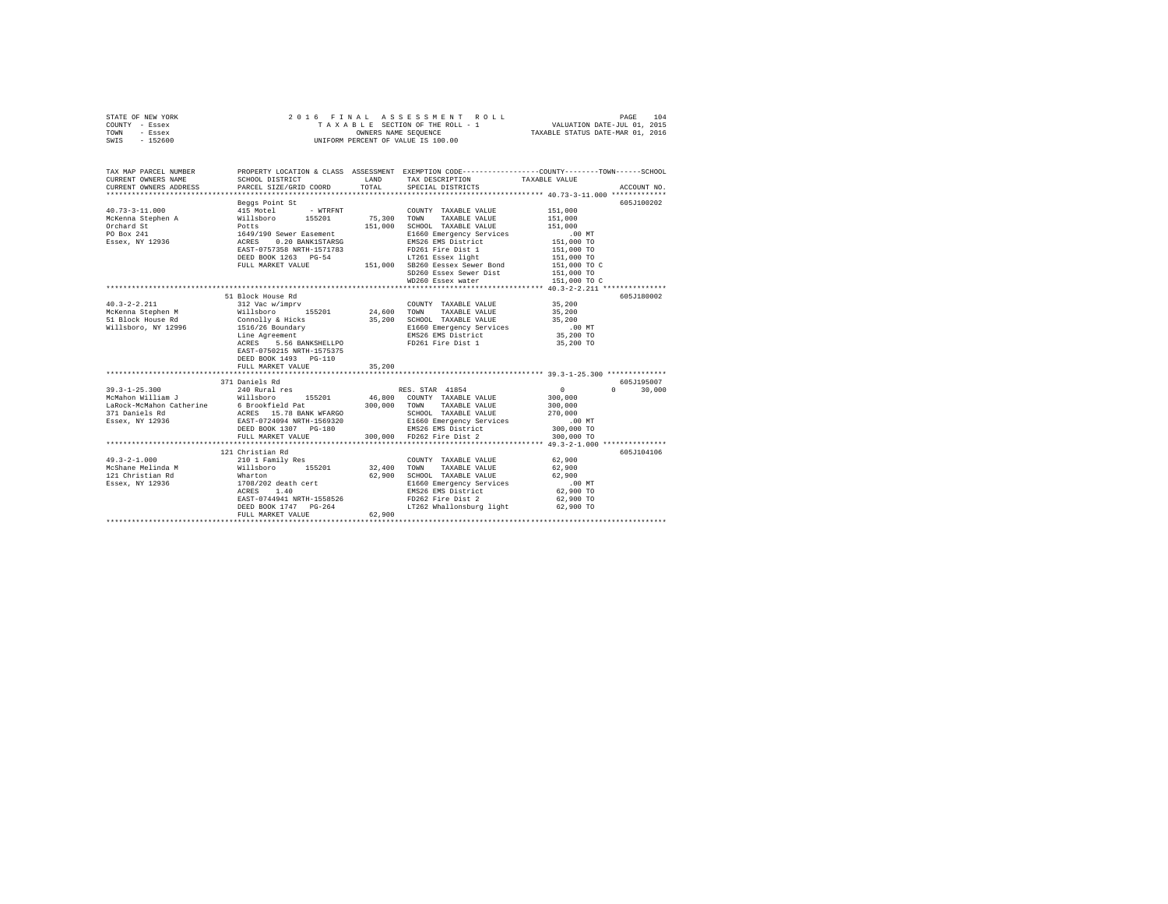| STATE OF NEW YORK<br>COUNTY - Essex | 2016 FINAL                                                                                                  |         | ASSESSMENT ROLL<br>TAXABLE SECTION OF THE ROLL - 1 | 104<br>PAGE<br>VALUATION DATE-JUL 01, 2015                                                     |  |  |
|-------------------------------------|-------------------------------------------------------------------------------------------------------------|---------|----------------------------------------------------|------------------------------------------------------------------------------------------------|--|--|
| TOWN<br>- Essex                     | TAXABLE STATUS DATE-MAR 01, 2016<br>OWNERS NAME SEQUENCE                                                    |         |                                                    |                                                                                                |  |  |
| $-152600$<br>SWIS                   | UNIFORM PERCENT OF VALUE IS 100.00                                                                          |         |                                                    |                                                                                                |  |  |
|                                     |                                                                                                             |         |                                                    |                                                                                                |  |  |
| TAX MAP PARCEL NUMBER               |                                                                                                             |         |                                                    | PROPERTY LOCATION & CLASS ASSESSMENT EXEMPTION CODE---------------COUNTY-------TOWN-----SCHOOL |  |  |
| CURRENT OWNERS NAME                 | SCHOOL DISTRICT                                                                                             | LAND    | TAX DESCRIPTION                                    | TAXABLE VALUE                                                                                  |  |  |
| CURRENT OWNERS ADDRESS              | PARCEL SIZE/GRID COORD                                                                                      | TOTAL   | SPECIAL DISTRICTS                                  | ACCOUNT NO.                                                                                    |  |  |
|                                     | Beggs Point St                                                                                              |         |                                                    | 605J100202                                                                                     |  |  |
| $40.73 - 3 - 11.000$                | 415 Motel<br>- WTRFNT                                                                                       |         | COUNTY TAXABLE VALUE                               | 151,000                                                                                        |  |  |
| McKenna Stephen A                   | Willsboro 155201<br>Potts<br>1649/190 Sewer Easement<br>ACRES 0.20 BANKISTARSG<br>EAST-0757358 NRTH-1571783 | 75,300  | TOWN<br>TAXABLE VALUE                              | 151,000                                                                                        |  |  |
| Orchard St                          |                                                                                                             | 151,000 | SCHOOL TAXABLE VALUE                               | 151,000                                                                                        |  |  |
| PO Box 241                          |                                                                                                             |         | E1660 Emergency Services                           | $.00$ MT                                                                                       |  |  |
| Essex, NY 12936                     |                                                                                                             |         | EMS26 EMS District                                 | 151,000 TO                                                                                     |  |  |
|                                     |                                                                                                             |         | FD261 Fire Dist 1                                  | 151,000 TO                                                                                     |  |  |
|                                     | DEED BOOK 1263 PG-54                                                                                        |         | LT261 Essex light                                  | 151,000 TO                                                                                     |  |  |
|                                     | FULL MARKET VALUE                                                                                           |         | 151,000 SB260 Eessex Sewer Bond                    | 151,000 TO C                                                                                   |  |  |
|                                     |                                                                                                             |         | SD260 Essex Sewer Dist                             | 151,000 TO                                                                                     |  |  |
|                                     |                                                                                                             |         | WD260 Essex water                                  | 151,000 TO C                                                                                   |  |  |
|                                     |                                                                                                             |         |                                                    |                                                                                                |  |  |
|                                     | 51 Block House Rd                                                                                           |         |                                                    | 605J180002                                                                                     |  |  |
| $40.3 - 2 - 2.211$                  | 312 Vac w/imprv                                                                                             |         | COUNTY TAXABLE VALUE                               | 35,200                                                                                         |  |  |
| McKenna Stephen M                   | Willsboro<br>155201                                                                                         | 24,600  | TOWN<br>TAXABLE VALUE                              | 35,200                                                                                         |  |  |
| 51 Block House Rd                   | Connolly & Hicks                                                                                            | 35,200  | SCHOOL TAXABLE VALUE                               | 35,200                                                                                         |  |  |
| Willsboro, NY 12996                 | 1516/26 Boundary                                                                                            |         | E1660 Emergency Services                           | $.00$ MT                                                                                       |  |  |
|                                     | Line Agreement                                                                                              |         | EMS26 EMS District                                 | 35,200 TO                                                                                      |  |  |
|                                     | ACRES<br>5.56 BANKSHELLPO                                                                                   |         | FD261 Fire Dist 1                                  | 35,200 TO                                                                                      |  |  |
|                                     | EAST-0750215 NRTH-1575375<br>DEED BOOK 1493 PG-110                                                          |         |                                                    |                                                                                                |  |  |
|                                     | FULL MARKET VALUE                                                                                           | 35,200  |                                                    |                                                                                                |  |  |
|                                     |                                                                                                             |         |                                                    | *********************** 39.3-1-25.300 **************                                           |  |  |
|                                     | 371 Daniels Rd                                                                                              |         |                                                    | 605-7195007                                                                                    |  |  |
| $39.3 - 1 - 25.300$                 | 240 Rural res                                                                                               |         | RES. STAR 41854                                    | $\circ$<br>$\Omega$<br>30,000                                                                  |  |  |
| McMahon William J                   | Willsboro<br>155201                                                                                         | 46,800  | COUNTY TAXABLE VALUE                               | 300,000                                                                                        |  |  |
| LaRock-McMahon Catherine            | 6 Brookfield Pat                                                                                            | 300,000 | TOWN<br>TAXABLE VALUE                              | 300,000                                                                                        |  |  |
| 371 Daniels Rd                      | ACRES 15.78 BANK WFARGO                                                                                     |         | SCHOOL TAXABLE VALUE                               | 270,000                                                                                        |  |  |
| Essex, NY 12936                     | EAST-0724094 NRTH-1569320                                                                                   |         | E1660 Emergency Services                           | $.00$ MT                                                                                       |  |  |
|                                     | DEED BOOK 1307 PG-180                                                                                       |         | EMS26 EMS District                                 | 300,000 TO                                                                                     |  |  |
|                                     | FULL MARKET VALUE                                                                                           | 300,000 | FD262 Fire Dist 2                                  | 300,000 TO                                                                                     |  |  |
|                                     |                                                                                                             |         |                                                    |                                                                                                |  |  |
|                                     | 121 Christian Rd                                                                                            |         |                                                    | 605J104106                                                                                     |  |  |
| $49.3 - 2 - 1.000$                  | 210 1 Family Res                                                                                            |         | COUNTY TAXABLE VALUE                               | 62,900                                                                                         |  |  |
| McShane Melinda M                   | Willsboro<br>155201                                                                                         | 32,400  | TOWN<br>TAXABLE VALUE                              | 62,900                                                                                         |  |  |
| 121 Christian Rd                    | Wharton                                                                                                     | 62,900  | SCHOOL TAXABLE VALUE                               | 62,900                                                                                         |  |  |
| Essex, NY 12936                     | 1708/202 death cert                                                                                         |         | E1660 Emergency Services                           | .00 MT                                                                                         |  |  |
|                                     | 1.40<br>ACRES                                                                                               |         | EMS26 EMS District                                 | 62,900 TO                                                                                      |  |  |
|                                     | EAST-0744941 NRTH-1558526                                                                                   |         | FD262 Fire Dist 2                                  | 62,900 TO                                                                                      |  |  |
|                                     | DEED BOOK 1747 PG-264                                                                                       |         | LT262 Whallonsburg light                           | 62,900 TO                                                                                      |  |  |
|                                     | FULL MARKET VALUE                                                                                           | 62,900  |                                                    |                                                                                                |  |  |
|                                     |                                                                                                             |         |                                                    |                                                                                                |  |  |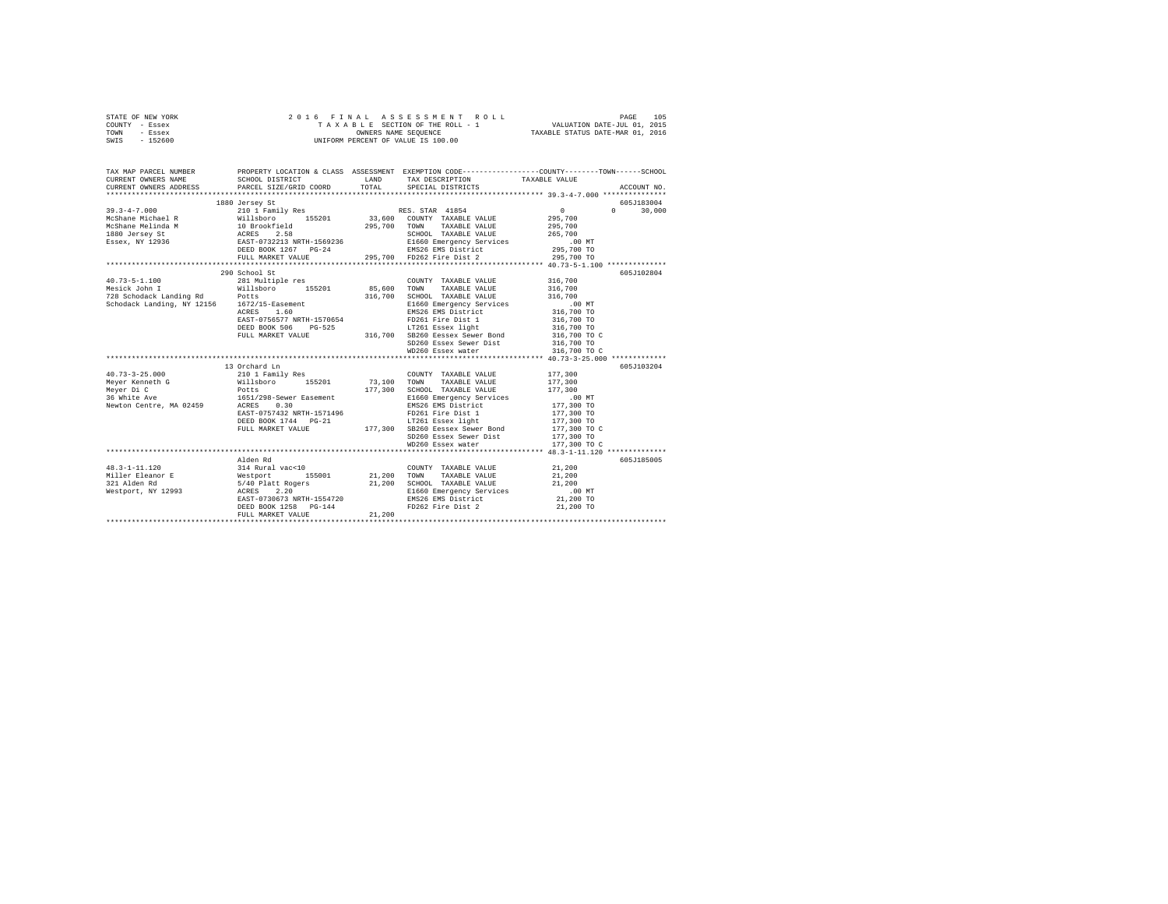| STATE OF NEW YORK | 2016 FINAL ASSESSMENT ROLL         | 105<br>PAGE                      |
|-------------------|------------------------------------|----------------------------------|
| COUNTY - Essex    | TAXABLE SECTION OF THE ROLL - 1    | VALUATION DATE-JUL 01, 2015      |
| TOWN<br>- Essex   | OWNERS NAME SEOUENCE               | TAXABLE STATUS DATE-MAR 01, 2016 |
| $-152600$<br>SWIS | UNIFORM PERCENT OF VALUE IS 100.00 |                                  |

|                                                                                                                                                                                                                                                                                                                                                                                             | 1880 Jersey St                                 |        |                                                                                                | 605J183004 |
|---------------------------------------------------------------------------------------------------------------------------------------------------------------------------------------------------------------------------------------------------------------------------------------------------------------------------------------------------------------------------------------------|------------------------------------------------|--------|------------------------------------------------------------------------------------------------|------------|
|                                                                                                                                                                                                                                                                                                                                                                                             |                                                |        |                                                                                                |            |
|                                                                                                                                                                                                                                                                                                                                                                                             | 290 School St                                  |        | SD260 Essex Sewer Dist 316,700 TO<br>WD260 Essex water 316,700 TO C                            | 605J102804 |
| $\begin{tabular}{l c c c c c} \multicolumn{4}{c}{\textbf{10.73--3-25.000}} & \multicolumn{4}{c}{\textbf{10.73--3-25.000}} & \multicolumn{4}{c}{\textbf{10.73--3-25.000}} & \multicolumn{4}{c}{\textbf{10.73--3-25.000}} & \multicolumn{4}{c}{\textbf{2101 Fami1y Res}} & \multicolumn{4}{c}{\textbf{10.73--3-25.000}} & \multicolumn{4}{c}{\textbf{2101 Fami1y Res}} & \multicolumn{4}{c}{$ |                                                |        |                                                                                                | 605J103204 |
| 48.3-1-11.120<br>48.3-1-11.120<br>Miller Eleanor B Westport (155001 21,200 TOWN TAXABLE VALUE 21,200 100<br>21.200 SCHOOL TAXABLE VALUE 21,200<br>21.200 SCHOOL TAXABLE VALUE 21,200 E1660 Emergency Services<br>1.200 E1660 Emergenc                                                                                                                                                       | DEED BOOK $1258$ $PG-144$<br>FULL MARKET VALUE | 21,200 | E1660 Emergency Services .00 MT<br>EMS26 EMS District 21,200 TO<br>FD262 Fire Dist 2 21,200 TO | 605J185005 |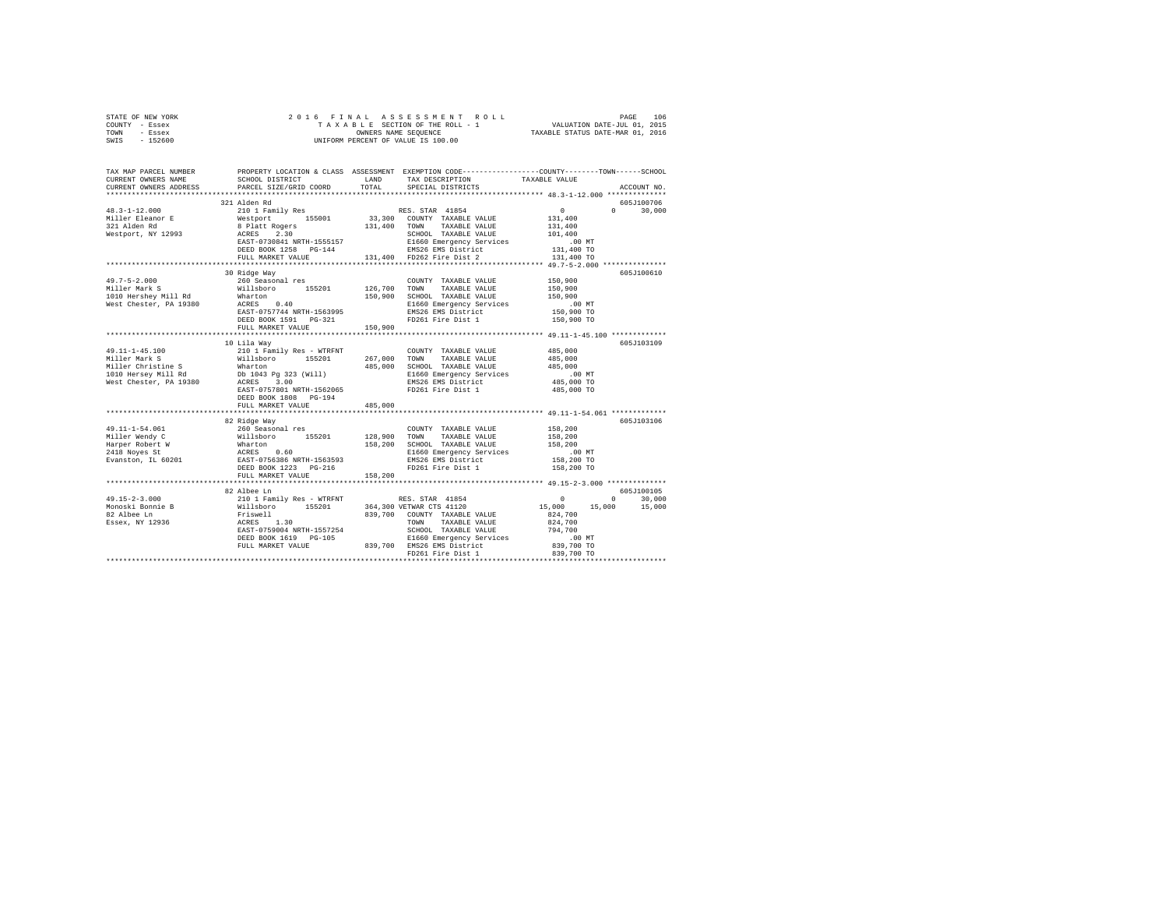| STATE OF NEW YORK<br>COUNTY - Essex<br>TOWN - Essex<br>SWIS - 152600                                                                                                                                                                                                                                                                                                                                                                        |                                                      |         |                                                                  |                                   |               |  |
|---------------------------------------------------------------------------------------------------------------------------------------------------------------------------------------------------------------------------------------------------------------------------------------------------------------------------------------------------------------------------------------------------------------------------------------------|------------------------------------------------------|---------|------------------------------------------------------------------|-----------------------------------|---------------|--|
| TAX MAP PARCEL NUMBER PROPERTY LOCATION & CLASS ASSESSMENT EXEMPTION CODE---------------COUNTY--------TOWN-----SCHOOL<br>CURRENT OWNERS NAME<br>CURRENT OWNERS ADDRESS                                                                                                                                                                                                                                                                      | SCHOOL DISTRICT LAND<br>PARCEL SIZE/GRID COORD TOTAL |         | TAX DESCRIPTION TAXABLE VALUE<br>SPECIAL DISTRICTS TAXABLE VALUE |                                   | ACCOUNT NO.   |  |
|                                                                                                                                                                                                                                                                                                                                                                                                                                             | 321 Alden Rd                                         |         |                                                                  |                                   | 605J100706    |  |
|                                                                                                                                                                                                                                                                                                                                                                                                                                             |                                                      |         |                                                                  |                                   | $0 \t 30,000$ |  |
|                                                                                                                                                                                                                                                                                                                                                                                                                                             |                                                      |         |                                                                  |                                   |               |  |
| 30 Ridge Way<br>100 Ridge Way<br>1010 Hershey Mill Rd<br>260 Seasonal res<br>1010 Hershey Mill Rd<br>260 Seasonal res<br>200 1205,900 TOWN TAXABLE VALUE<br>150,900<br>200 1205,900 RD<br>200 200 200 RASES<br>200 RASES<br>200 RASES<br>200 RASES<br>20                                                                                                                                                                                    |                                                      |         |                                                                  |                                   | 605J100610    |  |
|                                                                                                                                                                                                                                                                                                                                                                                                                                             |                                                      |         |                                                                  |                                   |               |  |
|                                                                                                                                                                                                                                                                                                                                                                                                                                             | 10 Lila Way<br>DEED BOOK 1808 PG-194                 |         |                                                                  |                                   | 605J103109    |  |
|                                                                                                                                                                                                                                                                                                                                                                                                                                             | FULL MARKET VALUE                                    | 485,000 |                                                                  |                                   |               |  |
|                                                                                                                                                                                                                                                                                                                                                                                                                                             | 82 Ridge Way                                         |         | *************************** 49.11-1-54.061 *************         | .00MT<br>158,200 TO<br>158,200 TO | 605J103106    |  |
|                                                                                                                                                                                                                                                                                                                                                                                                                                             |                                                      |         |                                                                  |                                   |               |  |
| $\begin{tabular}{l c c c c c} \multicolumn{1}{c}{\textbf{49.15--2-3.000}} & \multicolumn{1}{c}{82.} \text{Albee Ln} & \multicolumn{1}{c}{82.} \text{Albee Ln} & \multicolumn{1}{c}{82.} \text{Albee Ln} & \multicolumn{1}{c}{82.} \text{Albee Ln} & \multicolumn{1}{c}{82.} \text{Albee Ln} & \multicolumn{1}{c}{82.} \text{Albee Ln} & \multicolumn{1}{c}{82.} \text{Albee Ln} & \multicolumn{1}{c}{82.} \text{Albee Ln} & \multicolumn{1$ |                                                      |         |                                                                  |                                   |               |  |
|                                                                                                                                                                                                                                                                                                                                                                                                                                             |                                                      |         |                                                                  |                                   |               |  |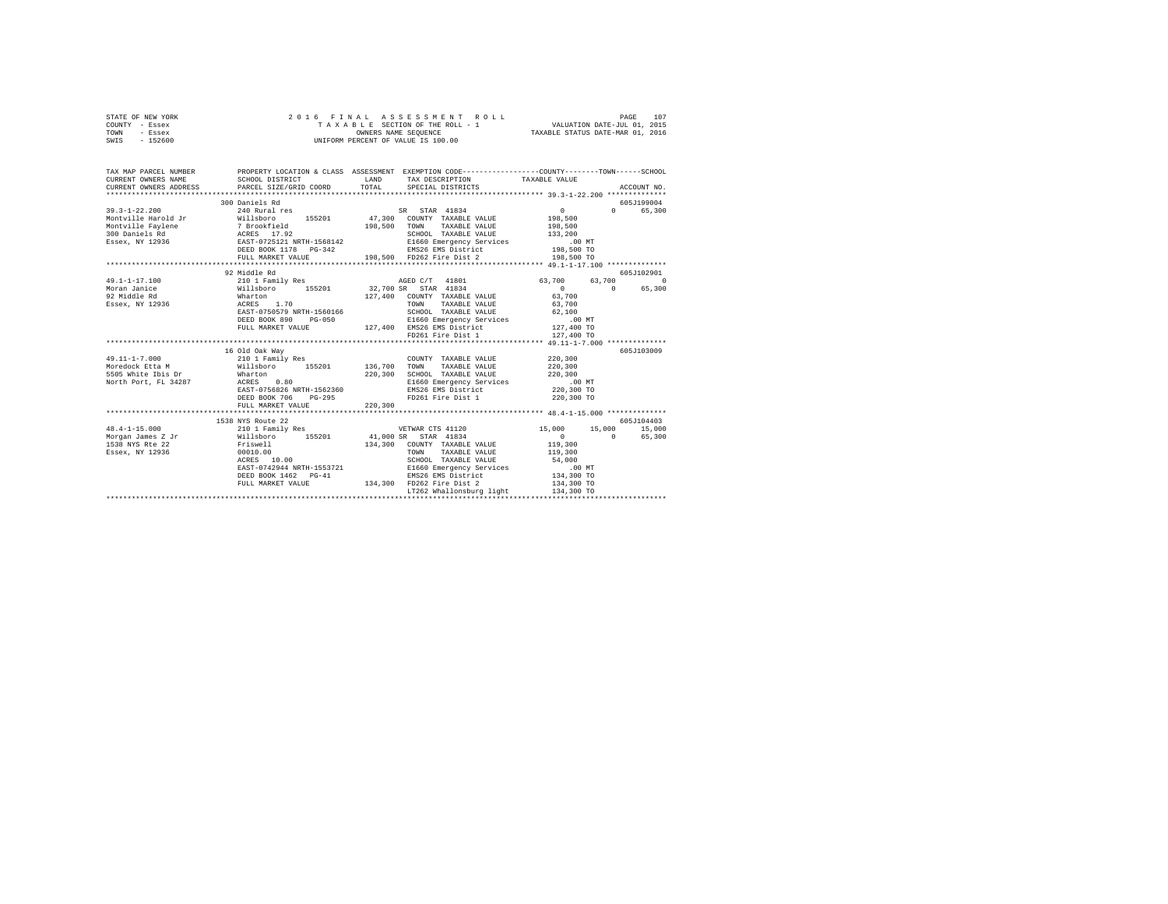|      | STATE OF NEW YORK |  | 2016 FINAL ASSESSMENT ROLL         |                                  | PAGE                        | 107 |
|------|-------------------|--|------------------------------------|----------------------------------|-----------------------------|-----|
|      | COUNTY - Essex    |  | TAXABLE SECTION OF THE ROLL - 1    |                                  | VALUATION DATE-JUL 01, 2015 |     |
| TOWN | - Essex           |  | OWNERS NAME SEOUENCE               | TAXABLE STATUS DATE-MAR 01, 2016 |                             |     |
| SWIS | - 152600          |  | UNIFORM PERCENT OF VALUE IS 100.00 |                                  |                             |     |

|                      |                                                                       |               |                                             | ACCOUNT NO.                                                                                                                                                                                                                                                                                                                                                                                                                                                                                                                                                                                                                                                                                                                                                                                                                                                                                                                                                                                                                                                                                                                                                                                                                                                                                                                                                                                                                                                                                                                                                                                                                                                                                                                                                                                                                                                                                                               |
|----------------------|-----------------------------------------------------------------------|---------------|---------------------------------------------|---------------------------------------------------------------------------------------------------------------------------------------------------------------------------------------------------------------------------------------------------------------------------------------------------------------------------------------------------------------------------------------------------------------------------------------------------------------------------------------------------------------------------------------------------------------------------------------------------------------------------------------------------------------------------------------------------------------------------------------------------------------------------------------------------------------------------------------------------------------------------------------------------------------------------------------------------------------------------------------------------------------------------------------------------------------------------------------------------------------------------------------------------------------------------------------------------------------------------------------------------------------------------------------------------------------------------------------------------------------------------------------------------------------------------------------------------------------------------------------------------------------------------------------------------------------------------------------------------------------------------------------------------------------------------------------------------------------------------------------------------------------------------------------------------------------------------------------------------------------------------------------------------------------------------|
|                      |                                                                       |               |                                             | 605J199004                                                                                                                                                                                                                                                                                                                                                                                                                                                                                                                                                                                                                                                                                                                                                                                                                                                                                                                                                                                                                                                                                                                                                                                                                                                                                                                                                                                                                                                                                                                                                                                                                                                                                                                                                                                                                                                                                                                |
|                      |                                                                       |               |                                             | 605J102901                                                                                                                                                                                                                                                                                                                                                                                                                                                                                                                                                                                                                                                                                                                                                                                                                                                                                                                                                                                                                                                                                                                                                                                                                                                                                                                                                                                                                                                                                                                                                                                                                                                                                                                                                                                                                                                                                                                |
| DEED BOOK 706 PG-295 |                                                                       | TAXABLE VALUE | 220,300<br>220,300<br>220,300<br>220,300 TO | 63,700 0<br>$\Omega$<br>65,300<br>605J103009                                                                                                                                                                                                                                                                                                                                                                                                                                                                                                                                                                                                                                                                                                                                                                                                                                                                                                                                                                                                                                                                                                                                                                                                                                                                                                                                                                                                                                                                                                                                                                                                                                                                                                                                                                                                                                                                              |
| FULL MARKET VALUE    |                                                                       |               |                                             |                                                                                                                                                                                                                                                                                                                                                                                                                                                                                                                                                                                                                                                                                                                                                                                                                                                                                                                                                                                                                                                                                                                                                                                                                                                                                                                                                                                                                                                                                                                                                                                                                                                                                                                                                                                                                                                                                                                           |
|                      |                                                                       |               |                                             | 605J104403                                                                                                                                                                                                                                                                                                                                                                                                                                                                                                                                                                                                                                                                                                                                                                                                                                                                                                                                                                                                                                                                                                                                                                                                                                                                                                                                                                                                                                                                                                                                                                                                                                                                                                                                                                                                                                                                                                                |
|                      |                                                                       |               |                                             |                                                                                                                                                                                                                                                                                                                                                                                                                                                                                                                                                                                                                                                                                                                                                                                                                                                                                                                                                                                                                                                                                                                                                                                                                                                                                                                                                                                                                                                                                                                                                                                                                                                                                                                                                                                                                                                                                                                           |
|                      | 300 Daniels Rd<br>92 Middle Rd<br>16 Old Oak Way<br>1538 NYS Route 22 |               | 220,300                                     | PROPERTY LOCATION & CLASS ASSESSMENT EXEMPTION CODE----------------COUNTY-------TOWN------SCHOOL<br>TAX DESCRIPTION TAXABLE VALUE<br>$\begin{array}{cccccccc} 49.1-1-17.100 & 210 & 1 Fami 1y Res & 0.3700 \\ \text{Moran Janice} & 63.700 & 155201 & 32.700 SR & SRAR & 41834 & 0 \\ \end{array}$<br>$\sim$ 0 $\sim$ 0 $\sim$ 0 $\sim$ 0 $\sim$ 0 $\sim$ 0 $\sim$ 0 $\sim$ 0 $\sim$ 0 $\sim$ 0 $\sim$ 0 $\sim$ 0 $\sim$ 0 $\sim$ 0 $\sim$ 0 $\sim$ 0 $\sim$ 0 $\sim$ 0 $\sim$ 0 $\sim$ 0 $\sim$ 0 $\sim$ 0 $\sim$ 0 $\sim$ 0 $\sim$ 0 $\sim$ 0 $\sim$ 0 $\sim$ 0 $\sim$ 0 $\sim$ 0 $\sim$ 0 $\sim$<br>127,400 COUNTY TAXABLE VALUE 63,700<br>36 ACRES 1.70 TAXABLE VALUE 63,700<br>26 EAST-0750579 NRTH-1560166 SCHOOL TAXABLE VALUE 62,100<br>COUNTY TAXABLE VALUE<br>"-220,300 AM-220,300 AM-220,300 AM-220,300 AM-220,300 AM-220,300<br>S505 White Ibis Dr Marton (200,300 B1600 Bmargency Services (200,300 Morth Port, FL 34287 (200,300 EXAM-220,30<br>Morth Port, FL 34287 (285T-0756826 NRTH-15623<br>FD261 Fire Dist 1<br>1538 NYS Route 22<br>19.4-1-15.000 15,000 15,000 1210 1 Family Res WETWAR CTS 41120 15,000 15,000 15,000 15,000<br>165,000 15,000 15,000 155201 41,000 SR STAR 41834 0 0 65,000 15,000<br>$\begin{tabular}{lcccc} \multicolumn{4}{c}{\textbf{0.011} \begin{tabular}{lcccc} \multicolumn{4}{c}{\textbf{0.02} \begin{tabular}{lcccc} \multicolumn{4}{c}{\textbf{0.03} \begin{tabular}{lcccc} \multicolumn{4}{c}{\textbf{0.04} \begin{tabular}{lcccc} \multicolumn{4}{c}{\textbf{0.04} \begin{tabular}{lcccc} \multicolumn{4}{c}{\textbf{0.04} \begin{tabular}{lcccc} \multicolumn{4}{c}{\textbf{0.04} \begin{tabular}{lcccc} \multicolumn{4}{c}{\textbf{0.04} \begin{$<br>${\tt DEED\ BOOK\ 1462\quad PG-41}\qquad \qquad {\tt EMS26\ EMS\ 1347300\quad 134, 300\  \, TO}$ ${\tt FUL\ 1347300\quad TOL\ 134, 300\quad TOL\ 134, 300\  \, TO}$<br>LT262 Whallonsburg light<br>134,300 TO |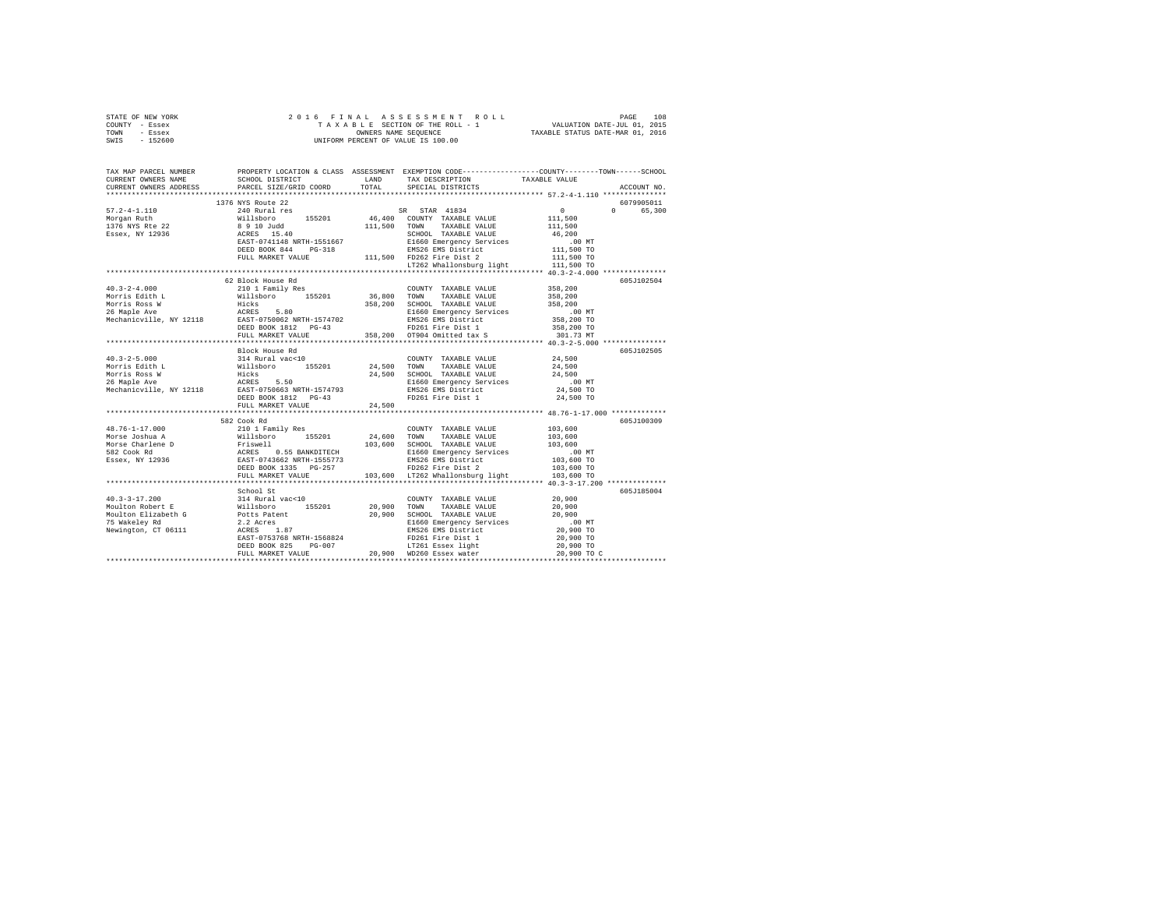| STATE OF NEW YORK<br>COUNTY - Essex                                                                                                                                                                                                                                                                                                                                                                              |                           |  |  |  |             |  |  |  |
|------------------------------------------------------------------------------------------------------------------------------------------------------------------------------------------------------------------------------------------------------------------------------------------------------------------------------------------------------------------------------------------------------------------|---------------------------|--|--|--|-------------|--|--|--|
| TOWN - Essex                                                                                                                                                                                                                                                                                                                                                                                                     |                           |  |  |  |             |  |  |  |
| SWIS - 152600                                                                                                                                                                                                                                                                                                                                                                                                    |                           |  |  |  |             |  |  |  |
|                                                                                                                                                                                                                                                                                                                                                                                                                  |                           |  |  |  |             |  |  |  |
| TAX MAP PARCEL NUMBER PROPERTY LOCATION & CLASS ASSESSMENT EXEMPTION CODE--------------COUNTY-------TOWN-----SCHOOL                                                                                                                                                                                                                                                                                              |                           |  |  |  |             |  |  |  |
| CURRENT OWNERS NAME                                                                                                                                                                                                                                                                                                                                                                                              |                           |  |  |  |             |  |  |  |
| CURRENT OWNERS ADDRESS PARCEL SIZE/GRID COORD TOTAL                                                                                                                                                                                                                                                                                                                                                              |                           |  |  |  | ACCOUNT NO. |  |  |  |
|                                                                                                                                                                                                                                                                                                                                                                                                                  |                           |  |  |  |             |  |  |  |
|                                                                                                                                                                                                                                                                                                                                                                                                                  | 1376 NYS Route 22         |  |  |  | 6079905011  |  |  |  |
|                                                                                                                                                                                                                                                                                                                                                                                                                  |                           |  |  |  | 0 65,300    |  |  |  |
|                                                                                                                                                                                                                                                                                                                                                                                                                  |                           |  |  |  |             |  |  |  |
|                                                                                                                                                                                                                                                                                                                                                                                                                  |                           |  |  |  |             |  |  |  |
|                                                                                                                                                                                                                                                                                                                                                                                                                  |                           |  |  |  |             |  |  |  |
|                                                                                                                                                                                                                                                                                                                                                                                                                  |                           |  |  |  |             |  |  |  |
|                                                                                                                                                                                                                                                                                                                                                                                                                  |                           |  |  |  |             |  |  |  |
|                                                                                                                                                                                                                                                                                                                                                                                                                  |                           |  |  |  |             |  |  |  |
| $\begin{tabular}{ccccc} 57.2-4-1.110 & 1376 WYS Route 22 & 38.978 W3 Route 240 Route 25201 & 46,4000 COWTYY TANDR RuitP115001376 WYS Rte 22 & 89 10 Judd & 111,500 COWTYY TANDRLE VALUE & 111,5001376 WIS Rte 22 & 89 10 Judd & 111,500 TOWY TANDRLE VALUE & 111,500233.910 Judd & 111,500 TOWR YANDRLE VALUE & 4$                                                                                               |                           |  |  |  |             |  |  |  |
|                                                                                                                                                                                                                                                                                                                                                                                                                  |                           |  |  |  |             |  |  |  |
|                                                                                                                                                                                                                                                                                                                                                                                                                  | 62 Block House Rd         |  |  |  | 605J102504  |  |  |  |
|                                                                                                                                                                                                                                                                                                                                                                                                                  |                           |  |  |  |             |  |  |  |
|                                                                                                                                                                                                                                                                                                                                                                                                                  |                           |  |  |  |             |  |  |  |
|                                                                                                                                                                                                                                                                                                                                                                                                                  |                           |  |  |  |             |  |  |  |
|                                                                                                                                                                                                                                                                                                                                                                                                                  |                           |  |  |  |             |  |  |  |
|                                                                                                                                                                                                                                                                                                                                                                                                                  |                           |  |  |  |             |  |  |  |
|                                                                                                                                                                                                                                                                                                                                                                                                                  |                           |  |  |  |             |  |  |  |
|                                                                                                                                                                                                                                                                                                                                                                                                                  |                           |  |  |  |             |  |  |  |
|                                                                                                                                                                                                                                                                                                                                                                                                                  | Block House Rd            |  |  |  | 605J102505  |  |  |  |
|                                                                                                                                                                                                                                                                                                                                                                                                                  |                           |  |  |  |             |  |  |  |
|                                                                                                                                                                                                                                                                                                                                                                                                                  |                           |  |  |  |             |  |  |  |
|                                                                                                                                                                                                                                                                                                                                                                                                                  |                           |  |  |  |             |  |  |  |
|                                                                                                                                                                                                                                                                                                                                                                                                                  |                           |  |  |  |             |  |  |  |
|                                                                                                                                                                                                                                                                                                                                                                                                                  |                           |  |  |  |             |  |  |  |
|                                                                                                                                                                                                                                                                                                                                                                                                                  |                           |  |  |  |             |  |  |  |
|                                                                                                                                                                                                                                                                                                                                                                                                                  | FULL MARKET VALUE 24,500  |  |  |  |             |  |  |  |
|                                                                                                                                                                                                                                                                                                                                                                                                                  |                           |  |  |  |             |  |  |  |
|                                                                                                                                                                                                                                                                                                                                                                                                                  | 582 Cook Rd               |  |  |  | 605J100309  |  |  |  |
|                                                                                                                                                                                                                                                                                                                                                                                                                  |                           |  |  |  |             |  |  |  |
|                                                                                                                                                                                                                                                                                                                                                                                                                  |                           |  |  |  |             |  |  |  |
| $\begin{tabular}{l c c c c c} \multicolumn{1}{c}{\textbf{48.76--1-17.000}} & \multicolumn{1}{c}{582\,\mathrm{Cook\,\,Rd}} & \multicolumn{1}{c}{201\,\mathrm{I\,\,Fani1y\,\,Res}} & \multicolumn{1}{c}{\textbf{COUNTY\_TXABLE\,\,VALBLE}\,\,VALUE} & \multicolumn{1}{c}{103\,,600} \\ \multicolumn{1}{c}{\textbf{Morse\,\,Coshua\,\,A}} & \multicolumn{1}{c}{\textbf{Willabor}} & \multicolumn{1}{c}{155201} & 2$ |                           |  |  |  |             |  |  |  |
|                                                                                                                                                                                                                                                                                                                                                                                                                  |                           |  |  |  |             |  |  |  |
|                                                                                                                                                                                                                                                                                                                                                                                                                  |                           |  |  |  |             |  |  |  |
|                                                                                                                                                                                                                                                                                                                                                                                                                  |                           |  |  |  |             |  |  |  |
|                                                                                                                                                                                                                                                                                                                                                                                                                  |                           |  |  |  |             |  |  |  |
|                                                                                                                                                                                                                                                                                                                                                                                                                  | ************************* |  |  |  |             |  |  |  |
|                                                                                                                                                                                                                                                                                                                                                                                                                  | School St                 |  |  |  | 605J185004  |  |  |  |
|                                                                                                                                                                                                                                                                                                                                                                                                                  |                           |  |  |  |             |  |  |  |
|                                                                                                                                                                                                                                                                                                                                                                                                                  |                           |  |  |  |             |  |  |  |
|                                                                                                                                                                                                                                                                                                                                                                                                                  |                           |  |  |  |             |  |  |  |
|                                                                                                                                                                                                                                                                                                                                                                                                                  |                           |  |  |  |             |  |  |  |
|                                                                                                                                                                                                                                                                                                                                                                                                                  |                           |  |  |  |             |  |  |  |
|                                                                                                                                                                                                                                                                                                                                                                                                                  |                           |  |  |  |             |  |  |  |
|                                                                                                                                                                                                                                                                                                                                                                                                                  |                           |  |  |  |             |  |  |  |
|                                                                                                                                                                                                                                                                                                                                                                                                                  |                           |  |  |  |             |  |  |  |
|                                                                                                                                                                                                                                                                                                                                                                                                                  |                           |  |  |  |             |  |  |  |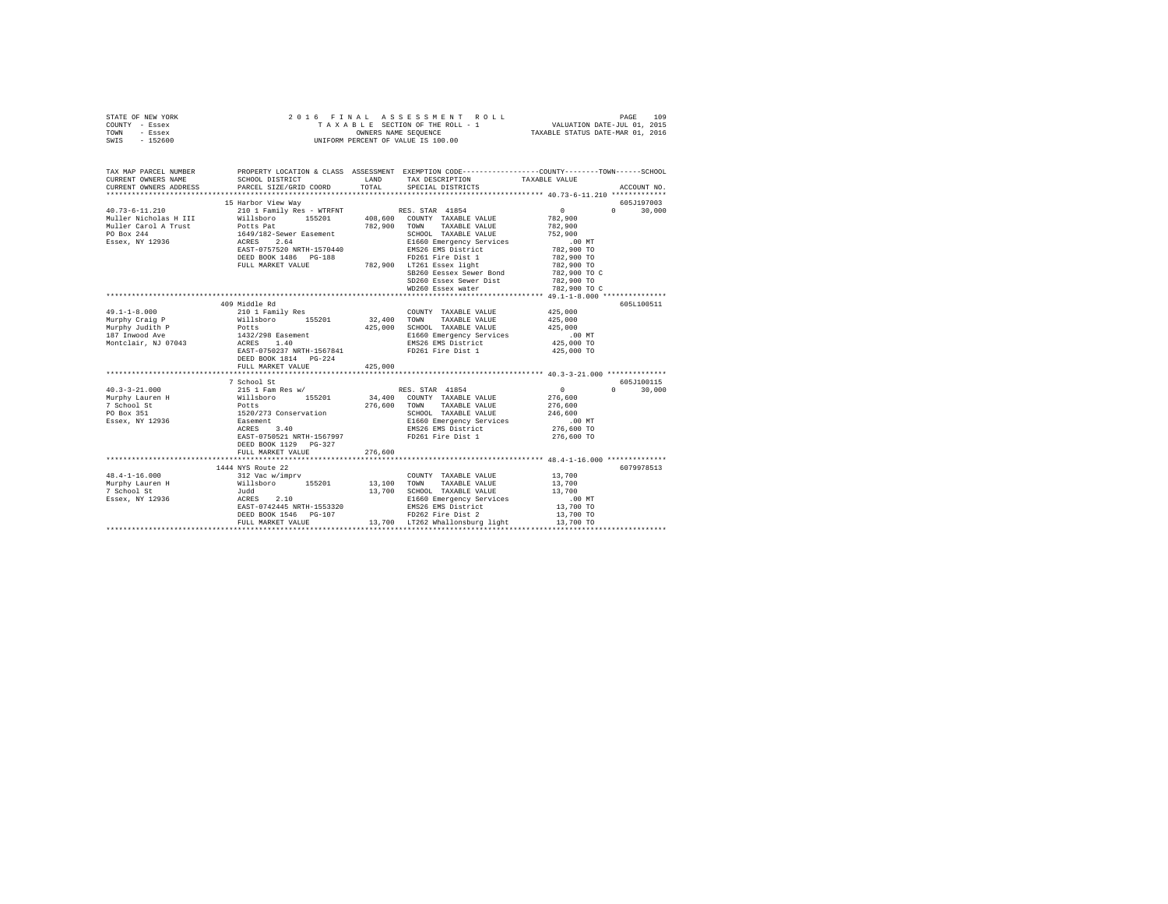| STATE OF NEW YORK<br>COUNTY - Essex<br>TOWN - Essex<br>SWIS - 152600                                                    |                                                                                                                                                                                                                                   |               | 2016 FINAL ASSESSMENT ROLL VALUATION DATE-JUL 01, 2015<br>TAKABLE SECTION OF THE ROLL - 1 VALUATION DATE-JUL 01, 2015<br>TAXABLE STATUS DATE-MAR 01, 2016<br>UNIFORM PERCENT OF VALUE IS 100.00                                                     |                                                                                                                                            |                                           |
|-------------------------------------------------------------------------------------------------------------------------|-----------------------------------------------------------------------------------------------------------------------------------------------------------------------------------------------------------------------------------|---------------|-----------------------------------------------------------------------------------------------------------------------------------------------------------------------------------------------------------------------------------------------------|--------------------------------------------------------------------------------------------------------------------------------------------|-------------------------------------------|
| TAX MAP PARCEL NUMBER<br>CURRENT OWNERS NAME<br>CURRENT OWNERS ADDRESS                                                  | SCHOOL DISTRICT<br>PARCEL SIZE/GRID COORD                                                                                                                                                                                         | LAND<br>TOTAL | PROPERTY LOCATION & CLASS ASSESSMENT EXEMPTION CODE---------------COUNTY-------TOWN------SCHOOL<br>TAX DESCRIPTION<br>SPECIAL DISTRICTS                                                                                                             | TAXABLE VALUE                                                                                                                              | ACCOUNT NO.                               |
|                                                                                                                         |                                                                                                                                                                                                                                   |               |                                                                                                                                                                                                                                                     |                                                                                                                                            |                                           |
| $40.73 - 6 - 11.210$<br>Muller Nicholas H III<br>Muller Carol A Trust<br>PO Box 244<br>Essex, NY 12936                  | 15 Harbor View Way<br>210 1 Family Res - WTRFNT<br>Willsboro 155201 408,600 COUNTY TAXABLE VALUE<br>Potts Pat<br>1649/182-Sewer Easement<br>ACRES 2.64<br>EAST-0757520 NRTH-1570440<br>DEED BOOK 1486 PG-188<br>FULL MARKET VALUE |               | RES. STAR 41854<br>782,900 TOWN TAXABLE VALUE<br>SCHOOL TAXABLE VALUE<br>E1660 Emergency Services<br>EMS26 EMS District<br>FD261 Fire Dist 1<br>782,900 LT261 Essex light<br>SB260 Eessex Sewer Bond<br>SD260 Essex Sewer Dist<br>WD260 Essex water | $\sim$ 0<br>782,900<br>782,900<br>752,900<br>.00MT<br>782,900 TO<br>782,900 TO<br>782,900 TO<br>782,900 TO C<br>782,900 TO<br>782,900 TO C | 605J197003<br>$0 \t 30,000$               |
|                                                                                                                         |                                                                                                                                                                                                                                   |               |                                                                                                                                                                                                                                                     |                                                                                                                                            |                                           |
| $49.1 - 1 - 8.000$<br>Murphy Craig P<br>Murphy Judith P<br>187 Inwood Ave<br>Montclair, NJ 07043<br>$40.3 - 3 - 21.000$ | 409 Middle Rd<br>210 1 Family Res<br>Willsboro 155201<br>Potts<br>1432/298 Easement<br>ACRES 1.40<br>EAST-0750237 NRTH-1567841<br>DEED BOOK 1814 PG-224<br>FULL MARKET VALUE<br>7 School St<br>215 1 Fam Res w/                   | 425,000       | COUNTY TAXABLE VALUE<br>$32\,,400$ $\,$ TOWN $\,$ TAXABLE VALUE<br>425,000 SCHOOL TAXABLE VALUE<br>E1660 Emergency Services<br>EMS26 EMS District<br>FD261 Fire Dist 1<br>RES. STAR 41854                                                           | 425,000<br>425,000<br>425,000<br>.00 MT<br>425,000 TO<br>425,000 TO<br>$\sim$ 0                                                            | 605L100511<br>605J100115<br>$0 \t 30.000$ |
| Murphy Lauren H<br>PO Box 351<br>Essex, NY 12936                                                                        | %111sboro 155201<br>Potts<br>1520/273 Conservation<br>Easement<br>ACRES 3.40<br>EAST-0750521 NRTH-1567997<br>DEED BOOK 1129 PG-327<br>FULL MARKET VALUE                                                                           | 276,600       | 34,400 COUNTY TAXABLE VALUE<br>276,600 TOWN TAXABLE VALUE<br>SCHOOL TAXABLE VALUE<br>E1660 Emergency Services<br>EMS26 EMS District<br>FD261 Fire Dist 1                                                                                            | 276,600<br>276,600<br>246,600<br>.00 MT<br>276,600 TO<br>276,600 TO                                                                        |                                           |
|                                                                                                                         |                                                                                                                                                                                                                                   |               |                                                                                                                                                                                                                                                     |                                                                                                                                            | 6079978513                                |
| $48.4 - 1 - 16.000$<br>48.4-1-10<br>Murphy Lauren H<br>- cheol St<br>Essex, NY 12936                                    | scoute 22<br>312 Vac w/imprv<br>Willisboro 155201<br>Judd<br>ACRES 2.10<br>EAST-0742445 NRTH-1553200<br>EAST-0742445 NRTH-1553320<br>DEED BOOK 1546 PG-107<br>FULL MARKET VALUE                                                   |               | COUNTY TAXABLE VALUE 13,700<br>13,100 TOWN TAXABLE VALUE<br>13,700 SCHOOL TAXABLE VALUE<br>E1660 Emergency Services<br>EMS26 EMS District<br>FD262 Fire Dist 2<br>13,700 LT262 Whallonsburg light                                                   | 13,700<br>13,700<br>$.00$ MT<br>13,700 TO<br>13,700 TO<br>13,700 TO                                                                        |                                           |
|                                                                                                                         |                                                                                                                                                                                                                                   |               |                                                                                                                                                                                                                                                     |                                                                                                                                            |                                           |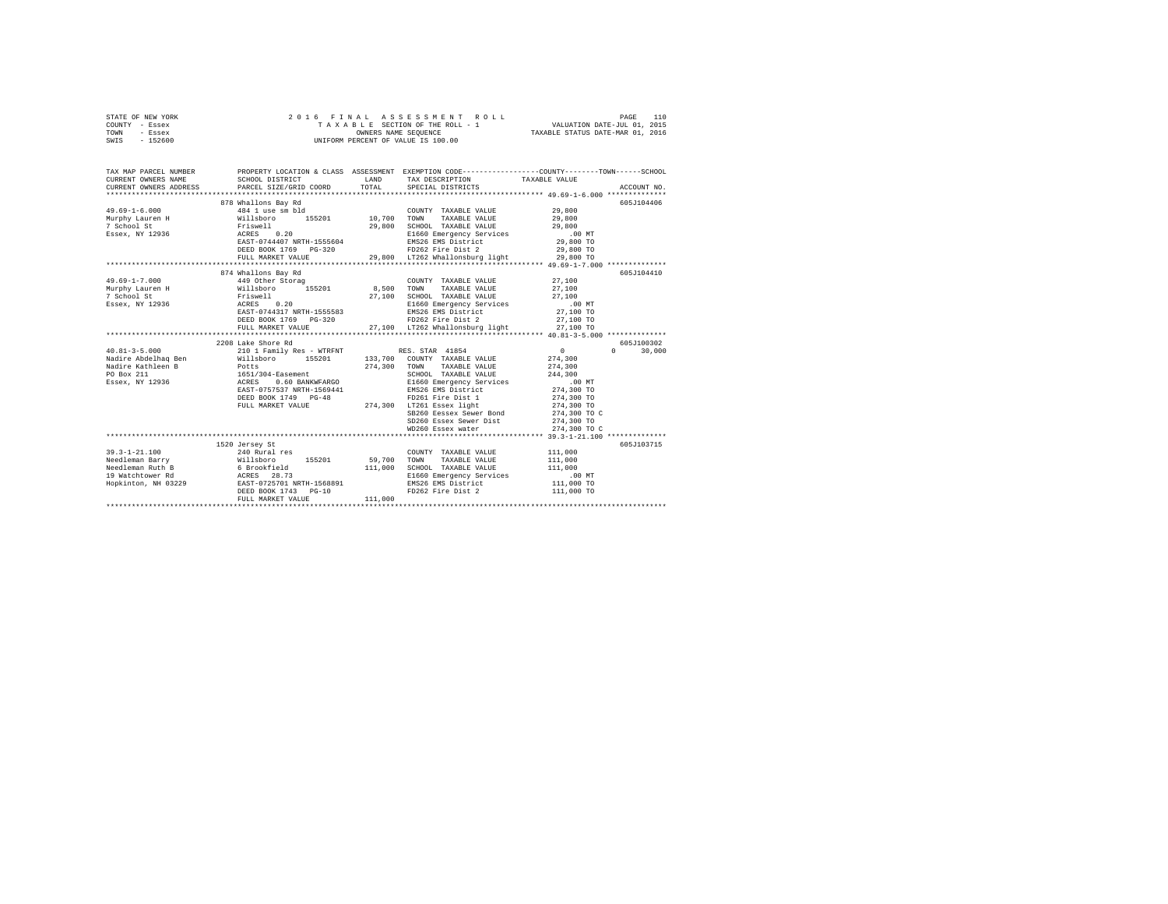|                | STATE OF NEW YORK |  | 2016 FINAL ASSESSMENT ROLL         |                                  | PAGE | 110 |
|----------------|-------------------|--|------------------------------------|----------------------------------|------|-----|
| COUNTY - Essex |                   |  | TAXABLE SECTION OF THE ROLL - 1    | VALUATION DATE-JUL 01, 2015      |      |     |
| TOWN           | - Essex           |  | OWNERS NAME SEOUENCE               | TAXABLE STATUS DATE-MAR 01, 2016 |      |     |
| SWIS           | $-152600$         |  | UNIFORM PERCENT OF VALUE IS 100.00 |                                  |      |     |
|                |                   |  |                                    |                                  |      |     |

| TAX MAP PARCEL NUMBER               |                                                                                                                                                                                                                                                                |             | PROPERTY LOCATION & CLASS ASSESSMENT EXEMPTION CODE---------------COUNTY-------TOWN------SCHOOL                                   |                   |               |
|-------------------------------------|----------------------------------------------------------------------------------------------------------------------------------------------------------------------------------------------------------------------------------------------------------------|-------------|-----------------------------------------------------------------------------------------------------------------------------------|-------------------|---------------|
| CURRENT OWNERS NAME SCHOOL DISTRICT |                                                                                                                                                                                                                                                                | <b>LAND</b> | TAX DESCRIPTION TAXABLE VALUE                                                                                                     |                   |               |
| CURRENT OWNERS ADDRESS              | PARCEL SIZE/GRID COORD TOTAL SPECIAL DISTRICTS                                                                                                                                                                                                                 |             |                                                                                                                                   |                   |               |
|                                     |                                                                                                                                                                                                                                                                |             |                                                                                                                                   |                   |               |
|                                     |                                                                                                                                                                                                                                                                |             |                                                                                                                                   |                   | 605J104406    |
|                                     |                                                                                                                                                                                                                                                                |             | $\begin{tabular}{lllllll} \textbf{COUNTY} & \textbf{TAXABLE} & \textbf{VALUE} & & \textbf{29,800} \end{tabular}$                  |                   |               |
|                                     |                                                                                                                                                                                                                                                                |             |                                                                                                                                   | 29,800<br>29,800  |               |
|                                     |                                                                                                                                                                                                                                                                |             | 29,800 SCHOOL TAXABLE VALUE                                                                                                       |                   |               |
|                                     | EAST-0744407 NRTH-1555604                                                                                                                                                                                                                                      |             | E1660 Emergency Services .00 MT<br>E1660 Emergency Services .00 MT<br>EMS26 EMS District  29,800 TO                               |                   |               |
|                                     |                                                                                                                                                                                                                                                                |             | EMS26 EMS District<br>FD262 Fire Dist 2                                                                                           |                   |               |
|                                     | DEED BOOK 1769 PG-320                                                                                                                                                                                                                                          |             |                                                                                                                                   | 29,800 TO         |               |
|                                     | FULL MARKET VALUE                                                                                                                                                                                                                                              |             | 29,800 LT262 Whallonsburg light 29,800 TO                                                                                         |                   |               |
|                                     |                                                                                                                                                                                                                                                                |             |                                                                                                                                   |                   |               |
|                                     | 874 Whallons Bay Rd                                                                                                                                                                                                                                            |             |                                                                                                                                   |                   | 605-7104410   |
| $49.69 - 1 - 7.000$                 | 449 Other Storag                                                                                                                                                                                                                                               |             | COUNTY TAXABLE VALUE 27,100                                                                                                       |                   |               |
|                                     | Murphy Lauren H $\texttt{Willsboro}$ 155201 8,500 TOWN TAXABLE VALUE 27,100                                                                                                                                                                                    |             |                                                                                                                                   |                   |               |
| 7 School St                         | Friswell<br>ACRES 0.20                                                                                                                                                                                                                                         |             | $27,100 \quad \text{SCHOOL} \quad \text{TAXABLE VALUE} \quad \text{27,100} \\ \text{E1660 emergency Services} \quad \text{00 MT}$ |                   |               |
| Essex, NY 12936                     |                                                                                                                                                                                                                                                                |             |                                                                                                                                   |                   |               |
|                                     | EAST-0744317 NRTH-1555583                                                                                                                                                                                                                                      |             | EMS26 EMS District 27,100 TO                                                                                                      |                   |               |
|                                     |                                                                                                                                                                                                                                                                |             |                                                                                                                                   |                   |               |
|                                     |                                                                                                                                                                                                                                                                |             |                                                                                                                                   |                   |               |
|                                     |                                                                                                                                                                                                                                                                |             |                                                                                                                                   |                   |               |
|                                     | 2208 Lake Shore Rd                                                                                                                                                                                                                                             |             |                                                                                                                                   |                   | 605J100302    |
|                                     | $\begin{array}{cccccccc} 40.81-3-5.000 & & & & 210 & 1\text{ Family Res - WTRINT} & & & \text{RES. STAR} & 41854 & & & 0\\ \text{Nadire Abdelhag Ben} & & & & \text{Willsboro} & & 155201 & & 133,700 & \text{COUNTY TAXABLE VALUE} & & & 274,300 \end{array}$ |             |                                                                                                                                   | $\sim$ 0 $\sim$   | $0 \t 30.000$ |
|                                     |                                                                                                                                                                                                                                                                |             |                                                                                                                                   |                   |               |
|                                     |                                                                                                                                                                                                                                                                |             | TAXABLE VALUE 274,300                                                                                                             |                   |               |
|                                     |                                                                                                                                                                                                                                                                |             | 274,300 TOWN TAXABLE VALUE<br>304-Easement 2014<br>0.60 BANKWFARGO 51660 Emergency Services                                       | 244,300<br>.00 MT |               |
|                                     |                                                                                                                                                                                                                                                                |             |                                                                                                                                   |                   |               |
|                                     | EAST-0757537 NRTH-1569441                                                                                                                                                                                                                                      |             | EMS26 EMS District 274,300 TO                                                                                                     |                   |               |
|                                     |                                                                                                                                                                                                                                                                |             |                                                                                                                                   |                   |               |
|                                     |                                                                                                                                                                                                                                                                |             |                                                                                                                                   |                   |               |
|                                     |                                                                                                                                                                                                                                                                |             |                                                                                                                                   |                   |               |
|                                     |                                                                                                                                                                                                                                                                |             |                                                                                                                                   |                   |               |
|                                     |                                                                                                                                                                                                                                                                |             | WD260 Essex water                                                                                                                 | 274,300 TO C      |               |
|                                     |                                                                                                                                                                                                                                                                |             |                                                                                                                                   |                   |               |
|                                     | 1520 Jersey St                                                                                                                                                                                                                                                 |             |                                                                                                                                   |                   | 605J103715    |
|                                     |                                                                                                                                                                                                                                                                |             | COUNTY TAXABLE VALUE                                                                                                              | 111,000           |               |
|                                     |                                                                                                                                                                                                                                                                |             | 111,000 SCHOOL TAXABLE VALUE 111,000                                                                                              | 111,000           |               |
| 19 Watchtower Rd                    |                                                                                                                                                                                                                                                                |             |                                                                                                                                   |                   |               |
| Hopkinton, NH 03229                 | 9<br>29<br>29 EAST-0725701 NRTH-1568891<br>DEED BOOK 1743 PG-10                                                                                                                                                                                                |             | E1660 Emergency Services .00 MT<br>EMS26 EMS District 111,000 TO<br>EMS26 EMS District                                            |                   |               |
|                                     | DEED BOOK 1743 PG-10                                                                                                                                                                                                                                           |             | FD262 Fire Dist 2                                                                                                                 | 111,000 TO        |               |
|                                     | FULL MARKET VALUE                                                                                                                                                                                                                                              | 111,000     |                                                                                                                                   |                   |               |
|                                     |                                                                                                                                                                                                                                                                |             |                                                                                                                                   |                   |               |
|                                     |                                                                                                                                                                                                                                                                |             |                                                                                                                                   |                   |               |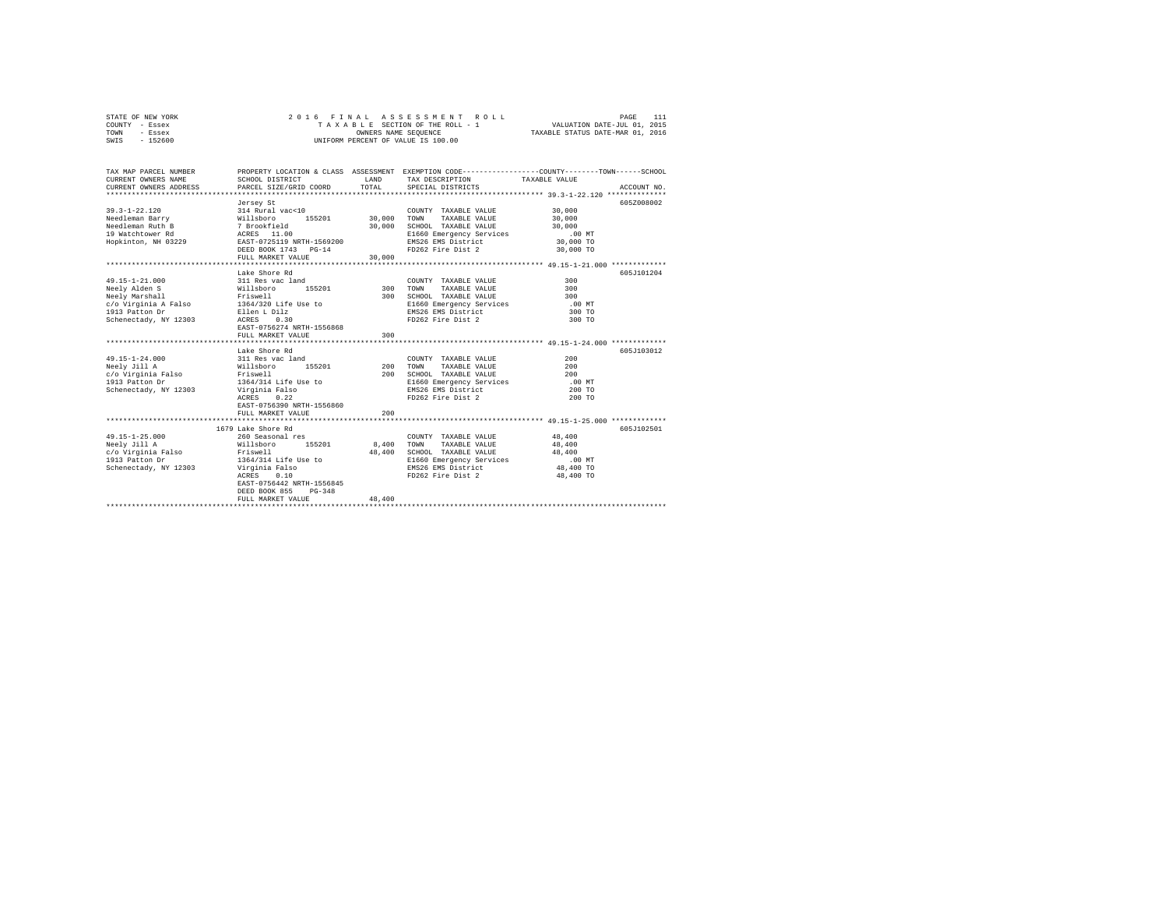| STATE OF NEW YORK | 2016 FINAL ASSESSMENT ROLL         | PAGE                             |
|-------------------|------------------------------------|----------------------------------|
| COUNTY - Essex    | TAXABLE SECTION OF THE ROLL - 1    | VALUATION DATE-JUL 01, 2015      |
| TOWN<br>- Essex   | OWNERS NAME SEOUENCE               | TAXABLE STATUS DATE-MAR 01, 2016 |
| $-152600$<br>SWIS | UNIFORM PERCENT OF VALUE IS 100.00 |                                  |

| TAX MAP PARCEL NUMBER<br>CURRENT OWNERS NAME<br>CURRENT OWNERS ADDRESS                                                                          | SCHOOL DISTRICT<br>PARCEL SIZE/GRID COORD                                                                                                                                                               | <b>T.AND</b><br>TOTAL.    | PROPERTY LOCATION & CLASS ASSESSMENT EXEMPTION CODE---------------COUNTY-------TOWN-----SCHOOL<br>TAX DESCRIPTION TAXABLE VALUE<br>SPECIAL DISTRICTS | ACCOUNT NO.                                                                    |  |
|-------------------------------------------------------------------------------------------------------------------------------------------------|---------------------------------------------------------------------------------------------------------------------------------------------------------------------------------------------------------|---------------------------|------------------------------------------------------------------------------------------------------------------------------------------------------|--------------------------------------------------------------------------------|--|
| $39.3 - 1 - 22.120$<br>Needleman Barry<br>Needleman Ruth B<br>19 Watchtower Rd<br>Hopkinton, NH 03229                                           | Jersey St<br>314 Rural vac<10<br>155201 30,000<br>Willsboro<br>7 Brookfield<br>ACRES 11.00<br>EAST-0725119 NRTH-1569200<br>DEED BOOK 1743 PG-14<br>FULL MARKET VALUE                                    | 30,000<br>30,000          | COUNTY TAXABLE VALUE<br>TOWN<br>TAXABLE VALUE<br>SCHOOL TAXABLE VALUE<br>E1660 Emergency Services<br>EMS26 EMS District<br>FD262 Fire Dist 2         | 605Z008002<br>30,000<br>30,000<br>30,000<br>$.00$ MT<br>30,000 TO<br>30,000 TO |  |
| $49.15 - 1 - 21.000$<br>Neely Alden S<br>Neely Marshall<br>c/o Virginia A Falso 1364/320 Life Use to<br>1913 Patton Dr<br>Schenectady, NY 12303 | Lake Shore Rd<br>311 Res vac land<br>155201<br>Willsboro<br>Friswell<br>Ellen L Dilz<br>0.30<br>ACRES<br>EAST-0756274 NRTH-1556868<br>FULL MARKET VALUE                                                 | 300<br>300<br>300         | COUNTY TAXABLE VALUE<br>TOWN<br>TAXABLE VALUE<br>SCHOOL TAXABLE VALUE<br>E1660 Emergency Services<br>EMS26 EMS District<br>FD262 Fire Dist 2         | 605J101204<br>300<br>300<br>300<br>.00MT<br>300 TO<br>300 TO                   |  |
| $49.15 - 1 - 24.000$<br>Neelv Jill A<br>c/o Virginia Falso Friswell<br>1913 Patton Dr<br>Schenectady, NY 12303                                  | Lake Shore Rd<br>311 Res vac land<br>311 Res va<br>Willsboro<br>155201<br>1364/314 Life Use to<br>Virginia Falso<br>0.22<br>ACRES<br>EAST-0756390 NRTH-1556860<br>FULL MARKET VALUE                     | 200<br>200<br>200         | COUNTY TAXABLE VALUE<br>TOWN<br>TAXABLE VALUE<br>SCHOOL TAXABLE VALUE<br>E1660 Emergency Services<br>EMS26 EMS District<br>FD262 Fire Dist 2         | 605J103012<br>200<br>200<br>200<br>$.00$ MT<br>200 TO<br>200 TO                |  |
| $49.15 - 1 - 25.000$<br>Neelv Jill A<br>c/o Virginia Falso Friswell<br>1913 Patton Dr<br>Schenectady, NY 12303                                  | 1679 Lake Shore Rd<br>260 Seasonal res<br>Willsboro<br>155201<br>1364/314 Life Use to<br>Virginia Falso<br>ACRES<br>0.10<br>EAST-0756442 NRTH-1556845<br>DEED BOOK 855<br>$PG-348$<br>FULL MARKET VALUE | 8,400<br>48,400<br>48,400 | COUNTY TAXABLE VALUE<br>TOWN<br>TAXABLE VALUE<br>SCHOOL TAXABLE VALUE<br>E1660 Emergency Services<br>EMS26 EMS District<br>FD262 Fire Dist 2         | 605J102501<br>48,400<br>48,400<br>48,400<br>.00MT<br>48,400 TO<br>48,400 TO    |  |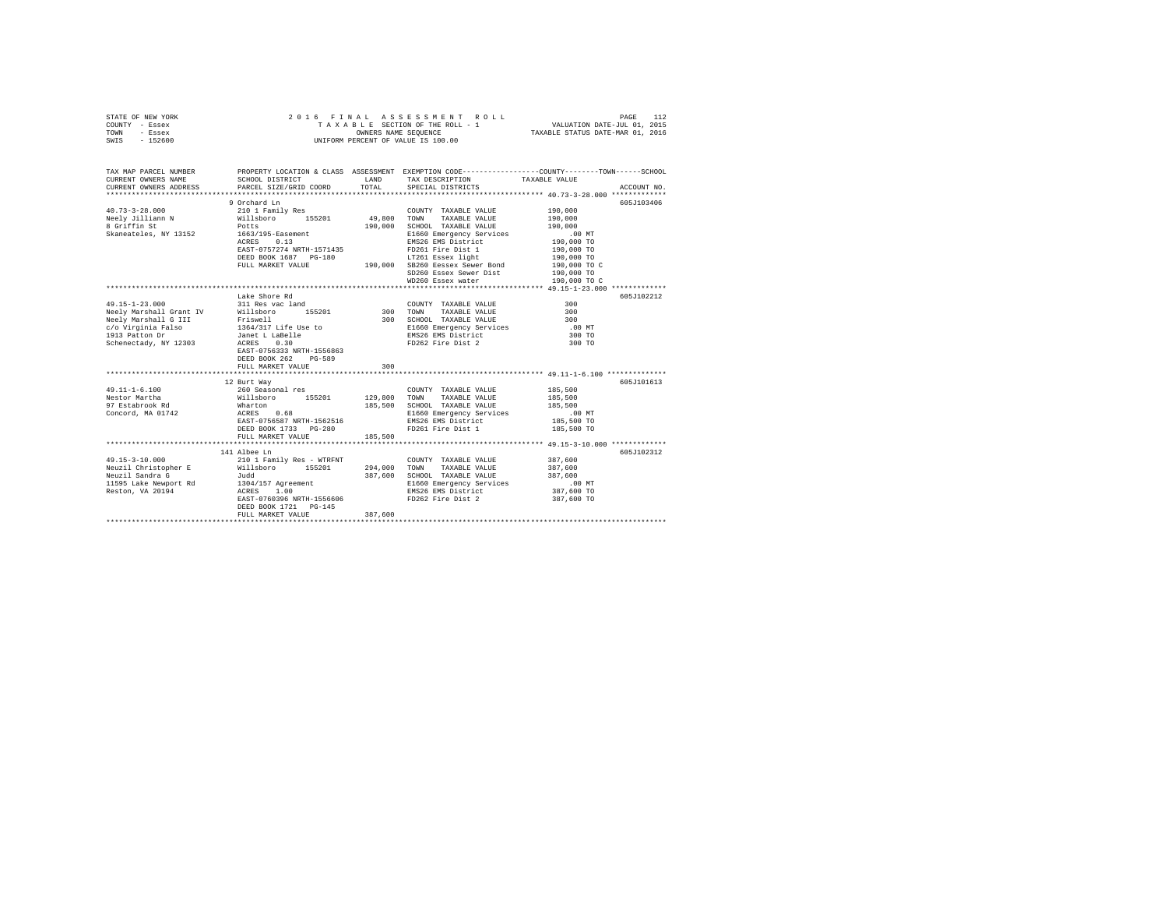|      | STATE OF NEW YORK |  | 2016 FINAL ASSESSMENT ROLL         | PAGE                             | 112 |
|------|-------------------|--|------------------------------------|----------------------------------|-----|
|      | COUNTY - Essex    |  | TAXABLE SECTION OF THE ROLL - 1    | VALUATION DATE-JUL 01, 2015      |     |
| TOWN | - Essex           |  | OWNERS NAME SEOUENCE               | TAXABLE STATUS DATE-MAR 01, 2016 |     |
| SWIS | $-152600$         |  | UNIFORM PERCENT OF VALUE IS 100.00 |                                  |     |

| TAX MAP PARCEL NUMBER<br>CURRENT OWNERS NAME<br>CURRENT OWNERS ADDRESS PARCEL SIZE/GRID COORD                                                                                                               | SCHOOL DISTRICT                                                                                                                                        | LAND<br>TOTAL                 | TAX DESCRIPTION TAXABLE VALUE SPECIAL DISTRICTS                                                                                                                                                                                                                      | PROPERTY LOCATION & CLASS ASSESSMENT EXEMPTION CODE---------------COUNTY-------TOWN------SCHOOL<br>ACCOUNT NO.                       |  |
|-------------------------------------------------------------------------------------------------------------------------------------------------------------------------------------------------------------|--------------------------------------------------------------------------------------------------------------------------------------------------------|-------------------------------|----------------------------------------------------------------------------------------------------------------------------------------------------------------------------------------------------------------------------------------------------------------------|--------------------------------------------------------------------------------------------------------------------------------------|--|
| $40.73 - 3 - 28.000$<br>Neely Jilliann N<br>0 Griffin St                                                                                                                                                    | 9 Orchard Ln<br>210 1 Family Res<br>Willsboro 155201<br>Potts<br>ACRES 0.13<br>EAST-0757274 NRTH-1571435<br>DEED BOOK 1687 PG-180<br>FULL MARKET VALUE | 49,800<br>190,000             | COUNTY TAXABLE VALUE<br>TAXABLE VALUE<br>TOWN<br>SCHOOL TAXABLE VALUE<br>E1660 Emergency Services<br>EMS26 EMS District<br>FD261 Fire Dist 1<br>3-180 LT261 Essex light<br>190,000 SB260 Eessex Sewer Bond<br>SD260 Essex Sewer Dist 190,000 TO<br>WD260 Essex water | 605.7103406<br>190,000<br>190,000<br>190,000<br>$.00$ MT<br>190,000 TO<br>190,000 TO<br>190,000 TO<br>$190,000$ TO C<br>190,000 TO C |  |
| $49.15 - 1 - 23.000$<br>Neely Marshall Grant IV Willsboro<br>Neely Marshall G III Friswell<br>c/o Virginia Falso 1964/317 Life Use to<br>1913 Patton Dr Jamet L LaBelle<br>Schenectady, NY 12303 ACRES 0.30 | Lake Shore Rd<br>311 Res vac land<br>EAST-0756333 NRTH-1556863<br>DEED BOOK 262<br>PG-589<br>FULL MARKET VALUE                                         | 155201 300<br>300             | COUNTY TAXABLE VALUE<br>TAXABLE VALUE<br>TOWN<br>300 SCHOOL TAXABLE VALUE<br>E1660 Emergency Services<br>EMS26 EMS District<br>FD262 Fire Dist 2                                                                                                                     | 605J102212<br>300<br>300<br>300<br>$.00$ MT<br>300 TO<br>300 TO                                                                      |  |
| $49.11 - 1 - 6.100$<br>Nestor Martha<br>97 Estabrook Rd<br>Concord, MA 01742                                                                                                                                | 12 Burt Way<br>260 Seasonal res<br>% Willsboro 155201 129,800<br>d Wharton 185,500<br>ACRES<br>0.68<br>FULL MARKET VALUE                               | 185,500<br>185,500            | COUNTY TAXABLE VALUE<br>TOWN<br>TAXABLE VALUE<br>SCHOOL TAXABLE VALUE<br>E1660 Emergency Services                                                                                                                                                                    | 605J101613<br>185,500<br>185,500<br>185,500<br>.00 MT<br>185,500 TO<br>185,500 TO                                                    |  |
| $49.15 - 3 - 10.000$<br>Neuzil Sandra G                                                                                                                                                                     | 141 Albee Ln<br>210 1 Family Res - WTRFNT<br>Judd<br>EAST-0760396 NRTH-1556606<br>DEED BOOK 1721 PG-145<br>FULL MARKET VALUE                           | 294,000<br>387,600<br>387,600 | COUNTY TAXABLE VALUE<br>TOWN<br>TAXABLE VALUE<br>SCHOOL TAXABLE VALUE<br>E1660 Emergency Services<br>EMS26 EMS District<br>FD262 Fire Dist 2 387,600 TO                                                                                                              | 605J102312<br>387,600<br>387,600<br>387,600<br>$.00$ MT<br>387,600 TO                                                                |  |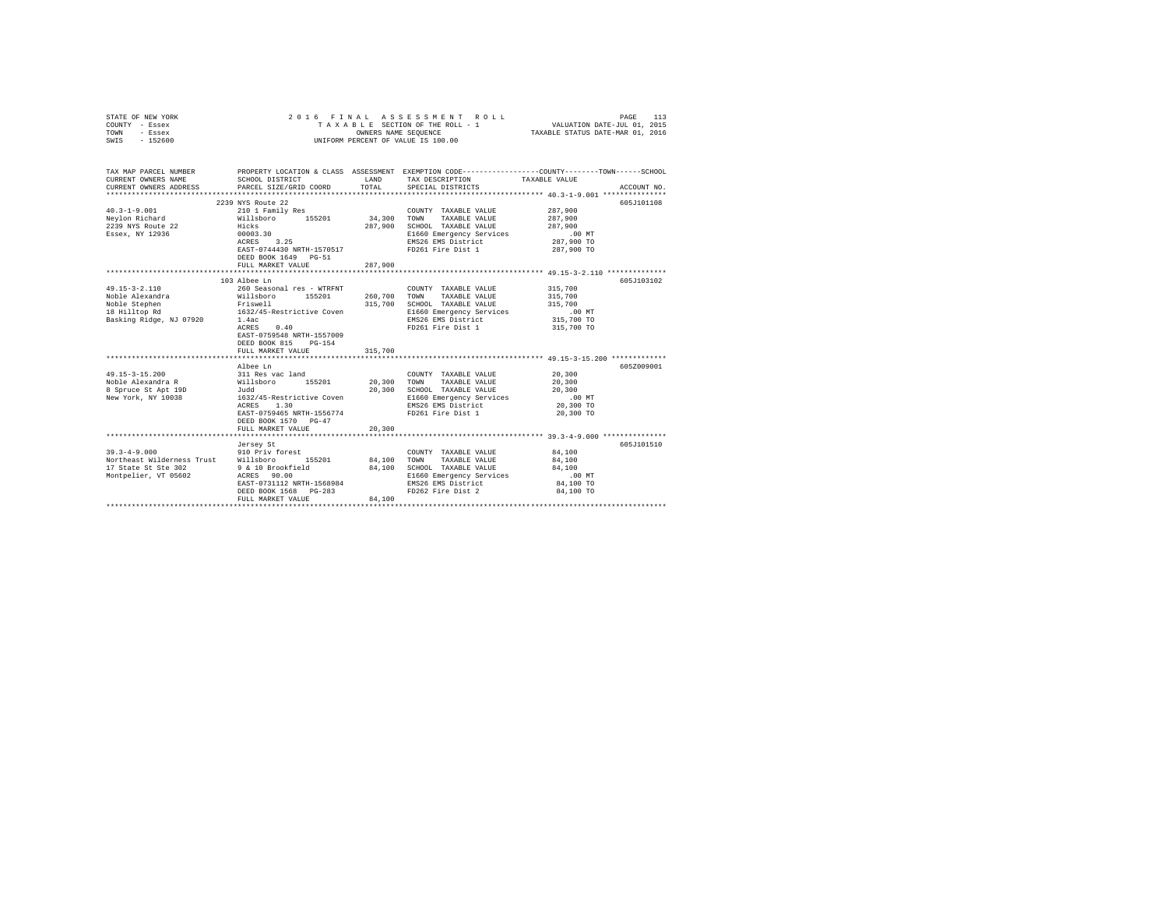| COUNTY - Essex<br>TOWN<br>- Essex<br>SWIS<br>$-152600$                                                                                                                                        | TAXABLE SECTION OF THE ROLL - 1<br>OWNERS NAME SEQUENCE<br>UNIFORM PERCENT OF VALUE IS 100.00                                                                                                                                                                                                                                                                                        |                                                   |                                                                                                                                                                                                                                                                                              | VALUATION DATE-JUL 01, 2015<br>TAXABLE STATUS DATE-MAR 01, 2016                                                                                                       |  |
|-----------------------------------------------------------------------------------------------------------------------------------------------------------------------------------------------|--------------------------------------------------------------------------------------------------------------------------------------------------------------------------------------------------------------------------------------------------------------------------------------------------------------------------------------------------------------------------------------|---------------------------------------------------|----------------------------------------------------------------------------------------------------------------------------------------------------------------------------------------------------------------------------------------------------------------------------------------------|-----------------------------------------------------------------------------------------------------------------------------------------------------------------------|--|
| TAX MAP PARCEL NUMBER<br>CURRENT OWNERS NAME<br>CURRENT OWNERS ADDRESS                                                                                                                        | SCHOOL DISTRICT<br>PARCEL SIZE/GRID COORD                                                                                                                                                                                                                                                                                                                                            | LAND<br>TOTAL                                     | TAX DESCRIPTION<br>SPECIAL DISTRICTS                                                                                                                                                                                                                                                         | PROPERTY LOCATION & CLASS ASSESSMENT EXEMPTION CODE---------------COUNTY-------TOWN-----SCHOOL<br>TAXABLE VALUE<br>ACCOUNT NO.                                        |  |
| $40.3 - 1 - 9.001$<br>Neylon Richard<br>2239 NYS Route 22<br>Essex, NY 12936                                                                                                                  | 2239 NYS Route 22<br>210 1 Family Res<br>Willsboro 155201<br>Hicks<br>00003.30<br>3.25<br>ACRES<br>EAST-0744430 NRTH-1570517<br>DEED BOOK 1649 PG-51<br>FULL MARKET VALUE                                                                                                                                                                                                            | 34,300<br>287,900<br>287,900                      | COUNTY TAXABLE VALUE<br>TAXABLE VALUE<br>TOWN<br>SCHOOL TAXABLE VALUE<br>E1660 Emergency Services<br>EMS26 EMS District<br>FD261 Fire Dist 1                                                                                                                                                 | 605J101108<br>287,900<br>287,900<br>287,900<br>$.00$ MT<br>287,900 TO<br>287,900 TO                                                                                   |  |
|                                                                                                                                                                                               |                                                                                                                                                                                                                                                                                                                                                                                      |                                                   |                                                                                                                                                                                                                                                                                              |                                                                                                                                                                       |  |
| $49.15 - 3 - 2.110$<br>Noble Alexandra<br>Noble Stephen<br>18 Hilltop Rd<br>Basking Ridge, NJ 07920<br>$49.15 - 3 - 15.200$<br>Noble Alexandra R<br>8 Spruce St Apt 19D<br>New York, NY 10038 | 103 Albee Ln<br>260 Seasonal res - WTRFNT<br>Willsboro<br>155201<br>Friswell<br>1632/45-Restrictive Coven<br>1.4ac<br>0.40<br>ACRES<br>EAST-0759548 NRTH-1557009<br>DEED BOOK 815<br>$PG-154$<br>FULL MARKET VALUE<br>Albee Ln<br>311 Res vac land<br>155201<br>Willsboro<br>Judd<br>1632/45-Restrictive Coven<br>1.30<br>ACRES<br>EAST-0759465 NRTH-1556774<br>DEED BOOK 1570 PG-47 | 260,700<br>315,700<br>315,700<br>20,300<br>20,300 | COUNTY TAXABLE VALUE<br>TOWN<br>TAXABLE VALUE<br>SCHOOL TAXABLE VALUE<br>E1660 Emergency Services<br>EMS26 EMS District<br>FD261 Fire Dist 1<br>COUNTY TAXABLE VALUE<br>TOWN<br>TAXABLE VALUE<br>SCHOOL TAXABLE VALUE<br>E1660 Emergency Services<br>EMS26 EMS District<br>FD261 Fire Dist 1 | 605J103102<br>315,700<br>315,700<br>315,700<br>$.00$ MT<br>315,700 TO<br>315,700 TO<br>605Z009001<br>20,300<br>20,300<br>20,300<br>$.00$ MT<br>20,300 TO<br>20,300 TO |  |
|                                                                                                                                                                                               | FULL MARKET VALUE                                                                                                                                                                                                                                                                                                                                                                    | 20,300                                            |                                                                                                                                                                                                                                                                                              |                                                                                                                                                                       |  |
| $39.3 - 4 - 9.000$<br>Northeast Wilderness Trust<br>17 State St Ste 302<br>Montpelier, VT 05602                                                                                               | Jersey St<br>910 Priv forest<br>Willsboro<br>155201<br>9 & 10 Brookfield<br>ACRES 90.00<br>EAST-0731112 NRTH-1568984<br>DEED BOOK 1568<br>$PG-283$<br>FULL MARKET VALUE                                                                                                                                                                                                              | 84,100<br>84,100<br>84,100                        | COUNTY TAXABLE VALUE<br>TAXABLE VALUE<br>TOWN<br>SCHOOL TAXABLE VALUE<br>E1660 Emergency Services<br>EMS26 EMS District<br>FD262 Fire Dist 2                                                                                                                                                 | 605J101510<br>84,100<br>84,100<br>84,100<br>.00 MT<br>84,100 TO<br>84,100 TO                                                                                          |  |

STATE OF NEW YORK 2 0 1 6 F I N A L A S S E S S M E N T R O L L PAGE 113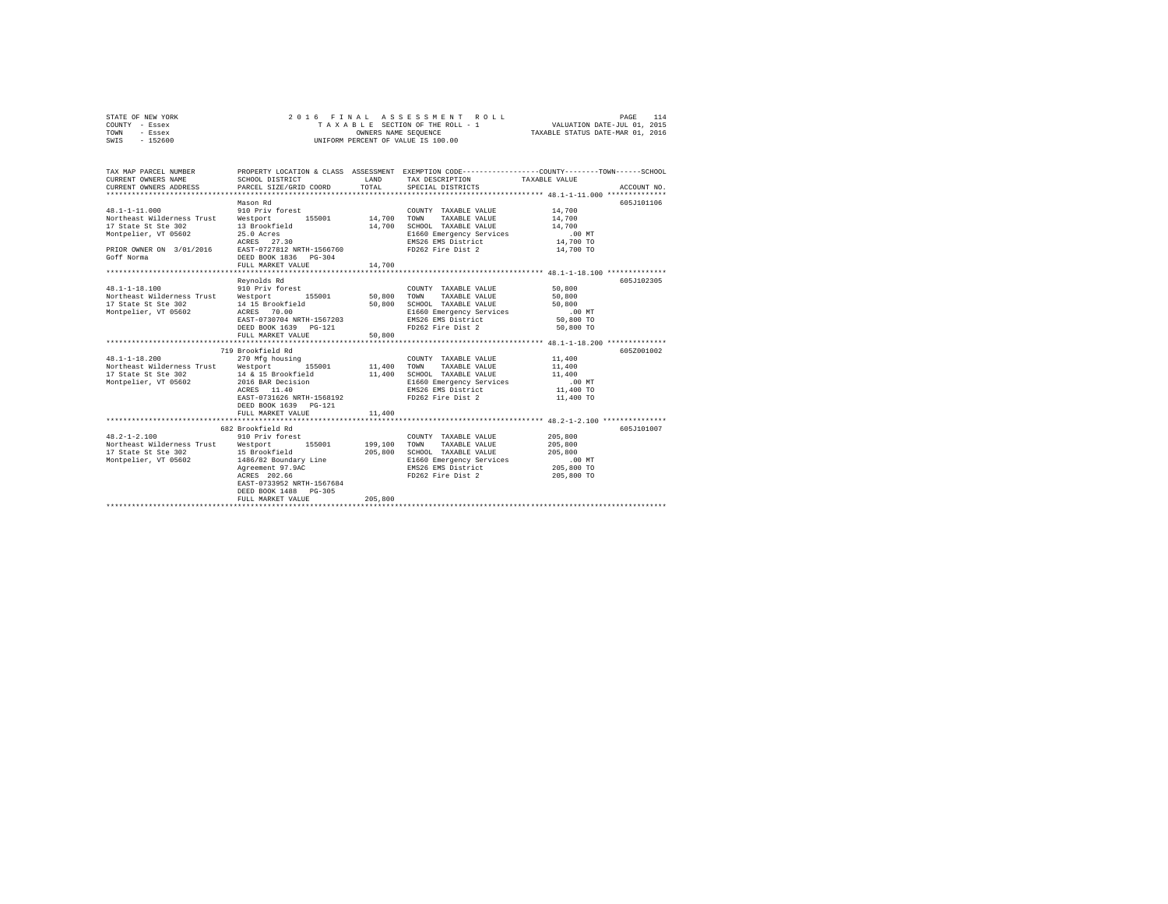| STATE OF NEW YORK | 2016 FINAL ASSESSMENT ROLL         | 114<br>PAGE                      |
|-------------------|------------------------------------|----------------------------------|
| COUNTY - Essex    | TAXABLE SECTION OF THE ROLL - 1    | VALUATION DATE-JUL 01, 2015      |
| TOWN<br>- Essex   | OWNERS NAME SEOUENCE               | TAXABLE STATUS DATE-MAR 01, 2016 |
| $-152600$<br>SWIS | UNIFORM PERCENT OF VALUE IS 100.00 |                                  |

| TAX MAP PARCEL NUMBER<br>CURRENT OWNERS NAME<br>CURRENT OWNERS ADDRESS                                                                                                        | SCHOOL DISTRICT<br>PARCEL SIZE/GRID COORD                                                                                                                                 | <b>T.AND</b><br>TOTAL. | PROPERTY LOCATION & CLASS ASSESSMENT EXEMPTION CODE---------------COUNTY-------TOWN-----SCHOOL<br>TAX DESCRIPTION TAXABLE VALUE<br>SPECIAL DISTRICTS |                                                                    | ACCOUNT NO. |
|-------------------------------------------------------------------------------------------------------------------------------------------------------------------------------|---------------------------------------------------------------------------------------------------------------------------------------------------------------------------|------------------------|------------------------------------------------------------------------------------------------------------------------------------------------------|--------------------------------------------------------------------|-------------|
| $48.1 - 1 - 11.000$<br>Northeast Wilderness Trust Westport<br>17 State St Ste 302<br>Montpelier, VT 05602<br>PRIOR OWNER ON 3/01/2016 EAST-0727812 NRTH-1566760<br>Goff Norma | Mason Rd<br>910 Priv forest<br>155001 14,700 TOWN<br>13 Brookfield<br>25.0 Acres<br>ACRES 27.30<br>DEED BOOK 1836    PG-304<br>FULL MARKET VALUE                          | 14,700<br>14,700       | COUNTY TAXABLE VALUE<br>TAXABLE VALUE<br>SCHOOL TAXABLE VALUE<br>E1660 Emergency Services<br>EMS26 EMS District<br>FD262 Fire Dist 2                 | 14,700<br>14,700<br>14,700<br>$.00$ MT<br>14,700 TO<br>14,700 TO   | 605J101106  |
| $48.1 - 1 - 18.100$                                                                                                                                                           | Revnolds Rd<br>910 Priv forest                                                                                                                                            |                        | COUNTY TAXABLE VALUE                                                                                                                                 | 50,800                                                             | 605-7102305 |
| Northeast Wilderness Trust Westport 155001 50,800<br>17 State St Ste 302<br>Montpelier, VT 05602                                                                              | 14 15 Brookfield<br>ACRES 70.00<br>EAST-0730704 NRTH-1567203<br>DEED BOOK 1639 PG-121                                                                                     | 50,800                 | TOWN TAXABLE VALUE<br>SCHOOL TAXABLE VALUE<br>E1660 Emergency Services<br>EMS26 EMS District<br>FD262 Fire Dist 2 50,800 TO                          | 50,800<br>50,800<br>$.00$ MT<br>50,800 TO                          |             |
|                                                                                                                                                                               | FULL MARKET VALUE                                                                                                                                                         | 50,800                 |                                                                                                                                                      |                                                                    |             |
| $48.1 - 1 - 18.200$<br>Northeast Wilderness Trust Westport 155001 11,400 TOWN<br>17 State St Ste 302<br>Montpelier, VT 05602                                                  | 719 Brookfield Rd<br>270 Mfg housing<br>14 & 15 Brookfield<br>2016 BAR Decision<br>ACRES 11.40<br>EAST-0731626 NRTH-1568192<br>DEED BOOK 1639 PG-121<br>FULL MARKET VALUE | 11,400<br>11,400       | COUNTY TAXABLE VALUE<br>TAXABLE VALUE<br>SCHOOL TAXABLE VALUE<br>E1660 Emergency Services<br>EMS26 EMS District<br>FD262 Fire Dist 2                 | 11,400<br>11,400<br>11,400<br>$.00$ MT<br>11,400 TO<br>11,400 TO   | 605Z001002  |
|                                                                                                                                                                               | 682 Brookfield Rd                                                                                                                                                         |                        |                                                                                                                                                      |                                                                    | 605J101007  |
| $48.2 - 1 - 2.100$<br>Northeast Wilderness Trust Westport<br>17 State St Ste 302<br>Montpelier, VT 05602                                                                      | 910 Priv forest<br>155001<br>15 Brookfield<br>1486/82 Boundary Line<br>Agreement 97.9AC<br>ACRES 202.66<br>EAST-0733952 NRTH-1567684<br>DEED BOOK 1488 PG-305             | 199,100<br>205,800     | COUNTY TAXABLE VALUE<br>TOWN<br>TAXABLE VALUE<br>SCHOOL TAXABLE VALUE<br>E1660 Emergency Services<br>EMS26 EMS District<br>FD262 Fire Dist 2         | 205,800<br>205,800<br>205,800<br>.00MT<br>205,800 TO<br>205,800 TO |             |
|                                                                                                                                                                               | FULL MARKET VALUE                                                                                                                                                         | 205,800                |                                                                                                                                                      |                                                                    |             |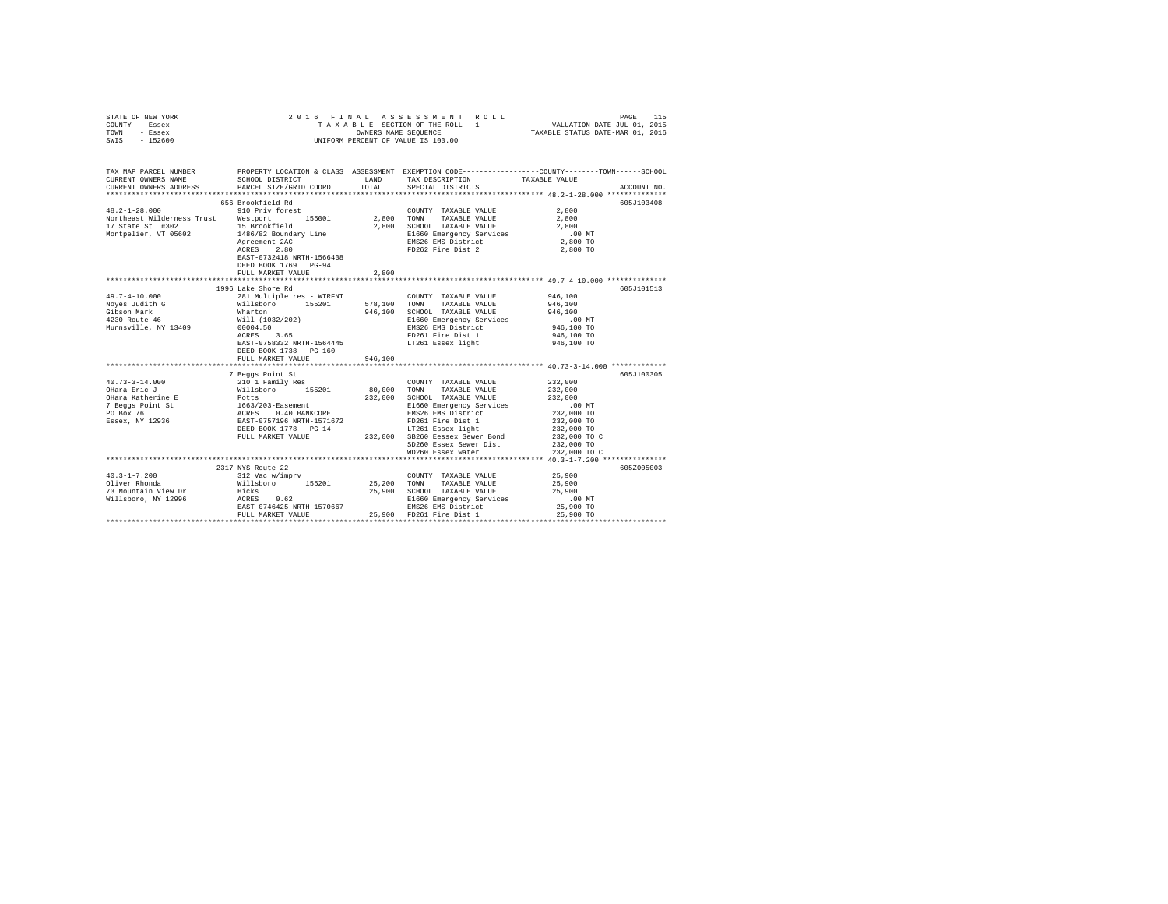| STATE OF NEW YORK | 2016 FINAL ASSESSMENT ROLL         | 115<br>PAGE                      |
|-------------------|------------------------------------|----------------------------------|
| COUNTY - Essex    | TAXABLE SECTION OF THE ROLL - 1    | VALUATION DATE-JUL 01, 2015      |
| TOWN<br>- Essex   | OWNERS NAME SEOUENCE               | TAXABLE STATUS DATE-MAR 01, 2016 |
| $-152600$<br>SWIS | UNIFORM PERCENT OF VALUE IS 100.00 |                                  |

| TAX MAP PARCEL NUMBER<br>CURRENT OWNERS NAME<br>CURRENT OWNERS ADDRESS | SCHOOL DISTRICT<br>PARCEL SIZE/GRID COORD                                                                                                              | TOTAL   | LAND TAX DESCRIPTION<br>SPECIAL DISTRICTS                                                                                                                                                         | PROPERTY LOCATION & CLASS ASSESSMENT EXEMPTION CODE----------------COUNTY-------TOWN------SCHOOL<br>TAXABLE VALUE<br>ACCOUNT NO. |
|------------------------------------------------------------------------|--------------------------------------------------------------------------------------------------------------------------------------------------------|---------|---------------------------------------------------------------------------------------------------------------------------------------------------------------------------------------------------|----------------------------------------------------------------------------------------------------------------------------------|
|                                                                        |                                                                                                                                                        |         |                                                                                                                                                                                                   |                                                                                                                                  |
| 17 State St #302 15 Brookfield                                         | 656 Brookfield Rd                                                                                                                                      |         | COUNTY TAXABLE VALUE<br>2,800 SCHOOL TAXABLE VALUE                                                                                                                                                | 605J103408<br>2,800<br>2,800<br>2,800                                                                                            |
|                                                                        | Montpelier, VT 05602 1486/82 Boundary Line<br>Agreement 2AC<br>ACRES<br>2.80<br>EAST-0732418 NRTH-1566408<br>DEED BOOK 1769 PG-94<br>FULL MARKET VALUE | 2,800   | E1660 Emergency Services 6.00 MT<br>EMS26 EMS District 2,800 TO<br>FD262 Fire Dist 2                                                                                                              | 2,800 TO                                                                                                                         |
|                                                                        |                                                                                                                                                        |         |                                                                                                                                                                                                   |                                                                                                                                  |
|                                                                        | 1996 Lake Shore Rd                                                                                                                                     |         |                                                                                                                                                                                                   | 605J101513                                                                                                                       |
|                                                                        |                                                                                                                                                        |         | 946,100 SCHOOL TAXABLE VALUE 946,100                                                                                                                                                              | 946,100<br>946,100                                                                                                               |
|                                                                        | 00004.50<br>ACRES 3.65<br>EAST-0758332 NRTH-1564445                                                                                                    |         | E1660 Emergency Services .00 MT<br>EMS26 EMS District 946,100 TO<br>FD261 Fire Dist 1<br>LT261 Essex light                                                                                        | 946,100 TO<br>946,100 TO                                                                                                         |
|                                                                        | DEED BOOK 1738 PG-160<br>FULL MARKET VALUE                                                                                                             | 946,100 |                                                                                                                                                                                                   |                                                                                                                                  |
|                                                                        |                                                                                                                                                        |         |                                                                                                                                                                                                   | 605J100305                                                                                                                       |
| $40.73 - 3 - 14.000$                                                   | 7 Beggs Point St<br>210 1 Family Res                                                                                                                   |         | COUNTY TAXABLE VALUE<br>232,000 SCHOOL TAXABLE VALUE<br>EAsement E1660 Emergency Services<br>0.40 BANKCORE EMS26 EMS District<br>E1660 Emergency Services .00 MT<br>EMS26 EMS District 232,000 TO | 232,000<br>232,000<br>232,000 TO<br>232,000 TO                                                                                   |
|                                                                        |                                                                                                                                                        |         | FULL MARKET VALUE 232,000 SB260 Eessex Sewer Bond 232,000 TO C<br>SD260 Essex Sewer Dist<br>WD260 Essex water                                                                                     | 232,000 TO<br>232,000 TO C                                                                                                       |
|                                                                        |                                                                                                                                                        |         |                                                                                                                                                                                                   |                                                                                                                                  |
|                                                                        | 2317 NYS Route 22                                                                                                                                      |         |                                                                                                                                                                                                   | 605Z005003                                                                                                                       |
| $40.3 - 1 - 7.200$                                                     |                                                                                                                                                        |         | COUNTY TAXABLE VALUE 25,900                                                                                                                                                                       |                                                                                                                                  |
| Oliver Rhonda                                                          |                                                                                                                                                        |         |                                                                                                                                                                                                   | 25,900                                                                                                                           |
| 73 Mountain View Dr. Hicks Hicks                                       |                                                                                                                                                        |         | 25,900 SCHOOL TAXABLE VALUE                                                                                                                                                                       | 25,900                                                                                                                           |
|                                                                        | villsboro, NY 12996<br>EAST-0746425 NRTH-1570667<br>FULL MARKET VALUE                                                                                  |         | E1660 Emergency Services<br>EMS26 EMS District<br>25,900 FD261 Fire Dist 1                                                                                                                        | .00MT<br>25,900 TO<br>25,900 TO                                                                                                  |
|                                                                        |                                                                                                                                                        |         |                                                                                                                                                                                                   |                                                                                                                                  |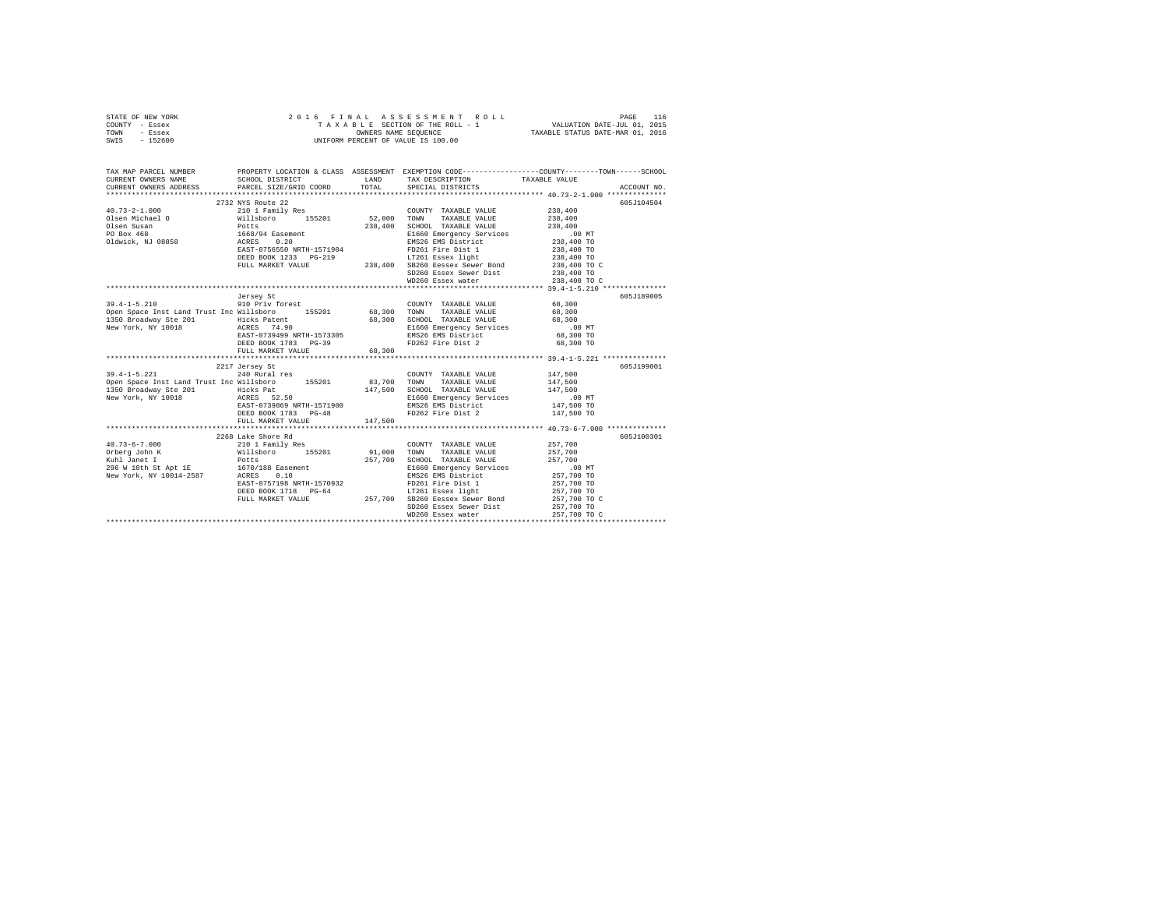|                                                         |                                                     | TAX DESCRIPTION TAXABLE VALUE<br>SPECIAL DISTRICTS                                                                                          | ACCOUNT NO.                                                                                                                                                                                                                                                                                                                                                                                                                                                                                                                                                                                                                                                                                                                                                                                                                                                                                                                                                                                                                                                                                                                                                                                                                                                                                                                                                                                                                       |
|---------------------------------------------------------|-----------------------------------------------------|---------------------------------------------------------------------------------------------------------------------------------------------|-----------------------------------------------------------------------------------------------------------------------------------------------------------------------------------------------------------------------------------------------------------------------------------------------------------------------------------------------------------------------------------------------------------------------------------------------------------------------------------------------------------------------------------------------------------------------------------------------------------------------------------------------------------------------------------------------------------------------------------------------------------------------------------------------------------------------------------------------------------------------------------------------------------------------------------------------------------------------------------------------------------------------------------------------------------------------------------------------------------------------------------------------------------------------------------------------------------------------------------------------------------------------------------------------------------------------------------------------------------------------------------------------------------------------------------|
|                                                         |                                                     |                                                                                                                                             |                                                                                                                                                                                                                                                                                                                                                                                                                                                                                                                                                                                                                                                                                                                                                                                                                                                                                                                                                                                                                                                                                                                                                                                                                                                                                                                                                                                                                                   |
|                                                         |                                                     |                                                                                                                                             | 605J104504                                                                                                                                                                                                                                                                                                                                                                                                                                                                                                                                                                                                                                                                                                                                                                                                                                                                                                                                                                                                                                                                                                                                                                                                                                                                                                                                                                                                                        |
|                                                         |                                                     |                                                                                                                                             |                                                                                                                                                                                                                                                                                                                                                                                                                                                                                                                                                                                                                                                                                                                                                                                                                                                                                                                                                                                                                                                                                                                                                                                                                                                                                                                                                                                                                                   |
|                                                         |                                                     | WD260 Essex water                                                                                                                           | 238,400 TO C                                                                                                                                                                                                                                                                                                                                                                                                                                                                                                                                                                                                                                                                                                                                                                                                                                                                                                                                                                                                                                                                                                                                                                                                                                                                                                                                                                                                                      |
|                                                         |                                                     |                                                                                                                                             | 605J189005                                                                                                                                                                                                                                                                                                                                                                                                                                                                                                                                                                                                                                                                                                                                                                                                                                                                                                                                                                                                                                                                                                                                                                                                                                                                                                                                                                                                                        |
|                                                         |                                                     | COUNTY TAXABLE VALUE 68,300                                                                                                                 | 68,300<br>68,300<br>.00 MT<br>68,300 TO<br>68,300 TO                                                                                                                                                                                                                                                                                                                                                                                                                                                                                                                                                                                                                                                                                                                                                                                                                                                                                                                                                                                                                                                                                                                                                                                                                                                                                                                                                                              |
|                                                         |                                                     |                                                                                                                                             |                                                                                                                                                                                                                                                                                                                                                                                                                                                                                                                                                                                                                                                                                                                                                                                                                                                                                                                                                                                                                                                                                                                                                                                                                                                                                                                                                                                                                                   |
| 2217 Jersey St<br>240 Rural res<br>DEED BOOK 1783 PG-48 |                                                     | COUNTY TAXABLE VALUE<br>SCHOOL TAXABLE VALUE<br>E1660 Emergency Services<br>FD262 Fire Dist 2                                               | 605J199001<br>147,500<br>147,500<br>147.500<br>00 MT.<br>147,500 TO<br>147,500 TO                                                                                                                                                                                                                                                                                                                                                                                                                                                                                                                                                                                                                                                                                                                                                                                                                                                                                                                                                                                                                                                                                                                                                                                                                                                                                                                                                 |
|                                                         |                                                     |                                                                                                                                             |                                                                                                                                                                                                                                                                                                                                                                                                                                                                                                                                                                                                                                                                                                                                                                                                                                                                                                                                                                                                                                                                                                                                                                                                                                                                                                                                                                                                                                   |
|                                                         |                                                     |                                                                                                                                             | 605J100301<br>257,700 TO C<br>257,700 TO C                                                                                                                                                                                                                                                                                                                                                                                                                                                                                                                                                                                                                                                                                                                                                                                                                                                                                                                                                                                                                                                                                                                                                                                                                                                                                                                                                                                        |
|                                                         | 2732 NYS Route 22<br>Jersey St<br>FULL MARKET VALUE | FULL MARKET VALUE 68,300<br>91.1350 Broadway Ste 201<br>1350 Broadway Ste 201<br>New York, NY 10018<br>RAST-0739869 NRTH-1571900<br>147.500 | 2016 FINAL ASSESSMENT F<br>TAXABLE SECTION OF THE ROLL - 1<br>UNIFORM PERCENT OF VALUE IS 100.00<br>TAX MAP PARCEL NUMBER PROPERTY LOCATION & CLASS ASSESSMENT EXEMPTION CODE---------------COUNTY-------TOWN------SCHOOL<br>SCHOOL DISTRICT LAND<br>CURRENT OWNERS ADDRESS PARCEL SIZE/GRID COORD TOTAL<br>$\begin{array}{lllllll} 39.4\mbox{--}1-5.210 & 910\mbox{ Priy forest} & 68,300\mbox{ TOWTY} & \texttt{TAXABLE VALUE} \\ \texttt{Open Space Inst Land Trust Inc Willsboro} & 155201 & 68,300\mbox{ TOWN} & \texttt{TAXABLE VALUE} \end{array}$<br>- 2001 SUGGIOUS TAXABLE VALUE<br>1350 Broadway Ste 2011<br>2018 - Hicks Patent<br>2019 - Hicks Patent<br>2021 - Hicks Patent<br>2022 - Electromagnet CAST -0739499<br>2022 - ENS26 EMS District<br>2022 - ENS26 EMS District<br>2023 - ENS26 E<br>Open Space Inst Land Trust Inc Willsboro 155201 83,700 TOWN TAXABLE VALUE<br>147.500<br>E1660 Emergency Services<br>EMS26 EMS District<br>$\begin{tabular}{l c c c c c} \multicolumn{4}{c}{\textbf{1}} & \multicolumn{4}{c}{256\text{ Lake} Street Red} & \multicolumn{4}{c}{\textbf{1}} & \multicolumn{4}{c}{\textbf{2}} & \multicolumn{4}{c}{\textbf{2}} & \multicolumn{4}{c}{\textbf{2}} & \multicolumn{4}{c}{\textbf{2}} & \multicolumn{4}{c}{\textbf{2}} & \multicolumn{4}{c}{\textbf{2}} & \multicolumn{4}{c}{\textbf{2}} & \multicolumn{4}{c}{\textbf{2}} & \multicolumn{4}{c}{\textbf{2}} & \multicolumn{$ |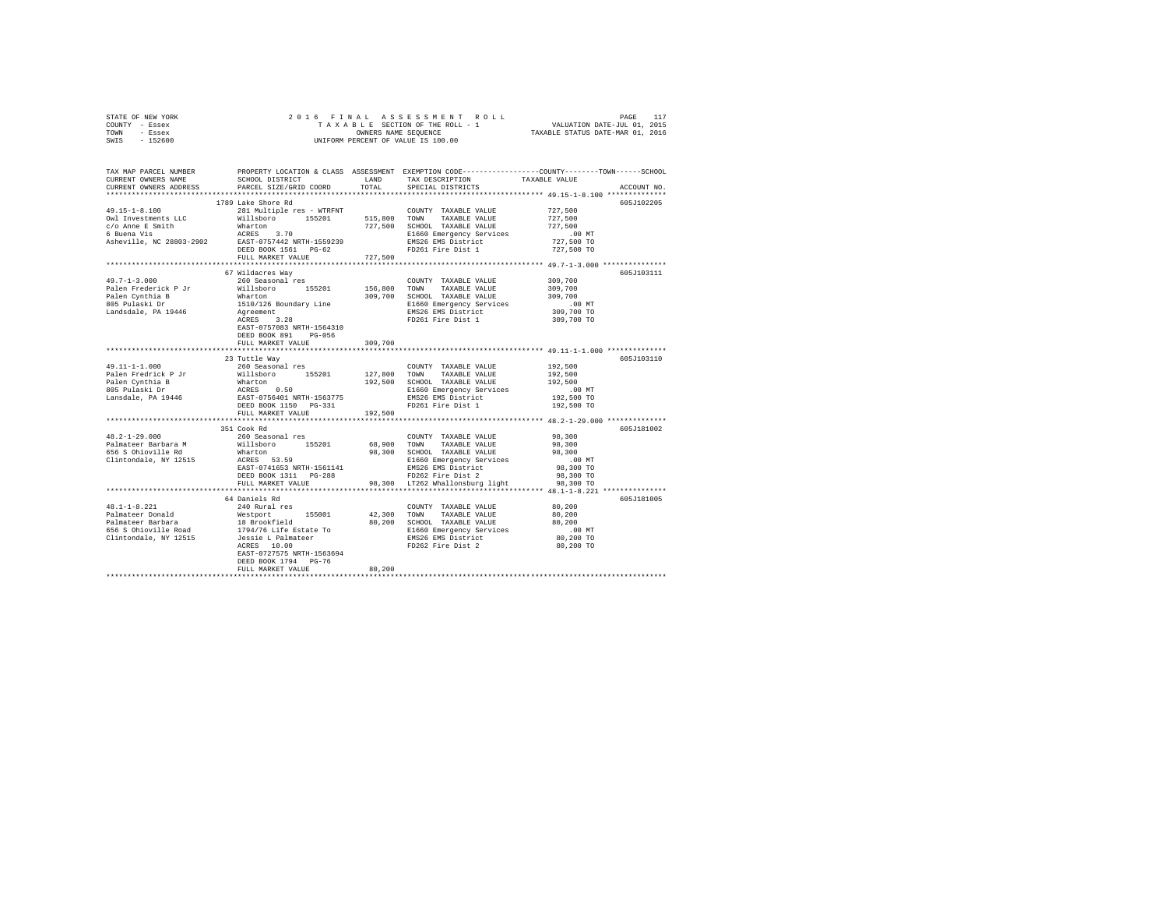|      | STATE OF NEW YORK |  | 2016 FINAL ASSESSMENT ROLL         | PAGE                             |
|------|-------------------|--|------------------------------------|----------------------------------|
|      | COUNTY - Essex    |  | TAXABLE SECTION OF THE ROLL - 1    | VALUATION DATE-JUL 01, 2015      |
| TOWN | - Essex           |  | OWNERS NAME SEOUENCE               | TAXABLE STATUS DATE-MAR 01, 2016 |
| SWIS | - 152600          |  | UNIFORM PERCENT OF VALUE IS 100.00 |                                  |

| TAX MAP PARCEL NUMBER<br>CURRENT OWNERS NAME<br>CURRENT OWNERS ADDRESS                                    | SCHOOL DISTRICT<br>PARCEL SIZE/GRID COORD                                                                                                                                                                                                                                     | LAND<br>TOTAL                   | TAX DESCRIPTION<br>SPECIAL DISTRICTS                                                                                                                                                                 | PROPERTY LOCATION & CLASS ASSESSMENT EXEMPTION CODE---------------COUNTY-------TOWN-----SCHOOL<br>TAXABLE VALUE<br>ACCOUNT NO. |
|-----------------------------------------------------------------------------------------------------------|-------------------------------------------------------------------------------------------------------------------------------------------------------------------------------------------------------------------------------------------------------------------------------|---------------------------------|------------------------------------------------------------------------------------------------------------------------------------------------------------------------------------------------------|--------------------------------------------------------------------------------------------------------------------------------|
| *********************                                                                                     |                                                                                                                                                                                                                                                                               |                                 |                                                                                                                                                                                                      |                                                                                                                                |
| $49.15 - 1 - 8.100$<br>Owl Investments LLC<br>c/o Anne E Smith<br>6 Buena Vis<br>Asheville, NC 28803-2902 | 1789 Lake Shore Rd<br>281 Multiple res - WTRFNT<br>Willsboro 155201<br>Wharton<br>ACRES 3.70<br>EAST-0757442 NRTH-1559239<br>DEED BOOK 1561 PG-62<br>FULL MARKET VALUE                                                                                                        | 515,800 TOWN<br>727,500         | COUNTY TAXABLE VALUE<br>TAXABLE VALUE<br>727,500 SCHOOL TAXABLE VALUE<br>E1660 Emergency Services<br>EMS26 EMS District<br>FD261 Fire Dist 1                                                         | 605J102205<br>727,500<br>727,500<br>727,500<br>$.00$ MT<br>727,500 TO<br>727,500 TO                                            |
|                                                                                                           | 67 Wildacres Way                                                                                                                                                                                                                                                              |                                 |                                                                                                                                                                                                      | 605J103111                                                                                                                     |
| $49.7 - 1 - 3.000$<br>Palen Frederick P Jr<br>Palen Cynthia B<br>805 Pulaski Dr<br>Landsdale, PA 19446    | 260 Seasonal res<br>Willsboro 155201<br>Wharton<br>1510/126 Boundary Line<br>Agreement<br>Agreement<br>ACRES 3.28<br>EAST-0757083 NRTH-1564310<br>DEED BOOK 891 PG-056                                                                                                        |                                 | COUNTY TAXABLE VALUE<br>156,800 TOWN TAXABLE VALUE<br>309,700 SCHOOL TAXABLE VALUE<br>E1660 Emergency Services<br>EMS26 EMS District<br>FD261 Fire Dist 1                                            | 309,700<br>309,700<br>309,700<br>$.00$ MT<br>309,700 TO<br>309,700 TO                                                          |
|                                                                                                           | FULL MARKET VALUE                                                                                                                                                                                                                                                             | 309,700<br>*************        |                                                                                                                                                                                                      | ********************************* 49.11-1-1.000 **************                                                                 |
| 49.11-1-1.000<br>Palen Fredrick P Jr<br>Palen Cynthia B<br>805 Pulaski Dr<br>Lansdale, PA 19446           | 23 Tuttle Way<br>260 Seasonal res<br>Willsboro 155201<br>Willsboro 155201<br>ACRES 0.50<br>EAST-0756401 NRTH-1563775<br>DEED BOOK 1150 PG-331<br>FULL MARKET VALUE                                                                                                            | 127,800 TOWN<br>192,500         | COUNTY TAXABLE VALUE<br>TAXABLE VALUE<br>192,500 SCHOOL TAXABLE VALUE<br>E1660 Emergency Services<br>EMS26 EMS District<br>FD261 Fire Dist 1                                                         | 605J103110<br>192,500<br>192,500<br>192,500<br>$.00$ MT<br>192,500 TO<br>192,500 TO                                            |
|                                                                                                           |                                                                                                                                                                                                                                                                               |                                 |                                                                                                                                                                                                      |                                                                                                                                |
| $48.2 - 1 - 29.000$<br>Palmateer Barbara M<br>656 S Ohioville Rd<br>Clintondale, NY 12515                 | 351 Cook Rd<br>260 Seasonal res<br>Willsboro<br>155201<br>Wharton<br>ACRES 53.59<br>EAST-0741653 NRTH-1561141<br>DEED BOOK 1311 PG-288<br>FULL MARKET VALUE                                                                                                                   |                                 | COUNTY TAXABLE VALUE<br>68,900 TOWN TAXABLE VALUE<br>98,300 SCHOOL TAXABLE VALUE<br>E1660 Emergency Services<br>EMS26 EMS District<br>FD262 Fire Dist 2<br>98,300 LT262 Whallonsburg light 98,300 TO | 605J181002<br>98,300<br>98,300<br>98,300<br>.00 MT<br>98,300 TO<br>98,300 TO                                                   |
|                                                                                                           | 64 Daniels Rd                                                                                                                                                                                                                                                                 |                                 |                                                                                                                                                                                                      | 605J181005                                                                                                                     |
| $48.1 - 1 - 8.221$                                                                                        | 240 Rural res<br>Palmateer Donald Westport 155001<br>Palmateer Barbara 18 B Brookfield<br>Folio Socioloville Road 1794/76 Life Estate To<br>Clintondale, NY 12515 Jessie L Palmateer<br>ACRES 10.00<br>EAST-0727575 NRTH-1563694<br>DEED BOOK 1794 PG-76<br>FULL MARKET VALUE | 42,300 TOWN<br>80,200<br>80,200 | COUNTY TAXABLE VALUE<br>TAXABLE VALUE<br>SCHOOL TAXABLE VALUE<br>E1660 Emergency Services<br>EMS26 EMS District<br>FD262 Fire Dist 2                                                                 | 80,200<br>80,200<br>80,200<br>$.00$ MT<br>80,200 TO<br>80,200 TO                                                               |
|                                                                                                           |                                                                                                                                                                                                                                                                               |                                 |                                                                                                                                                                                                      |                                                                                                                                |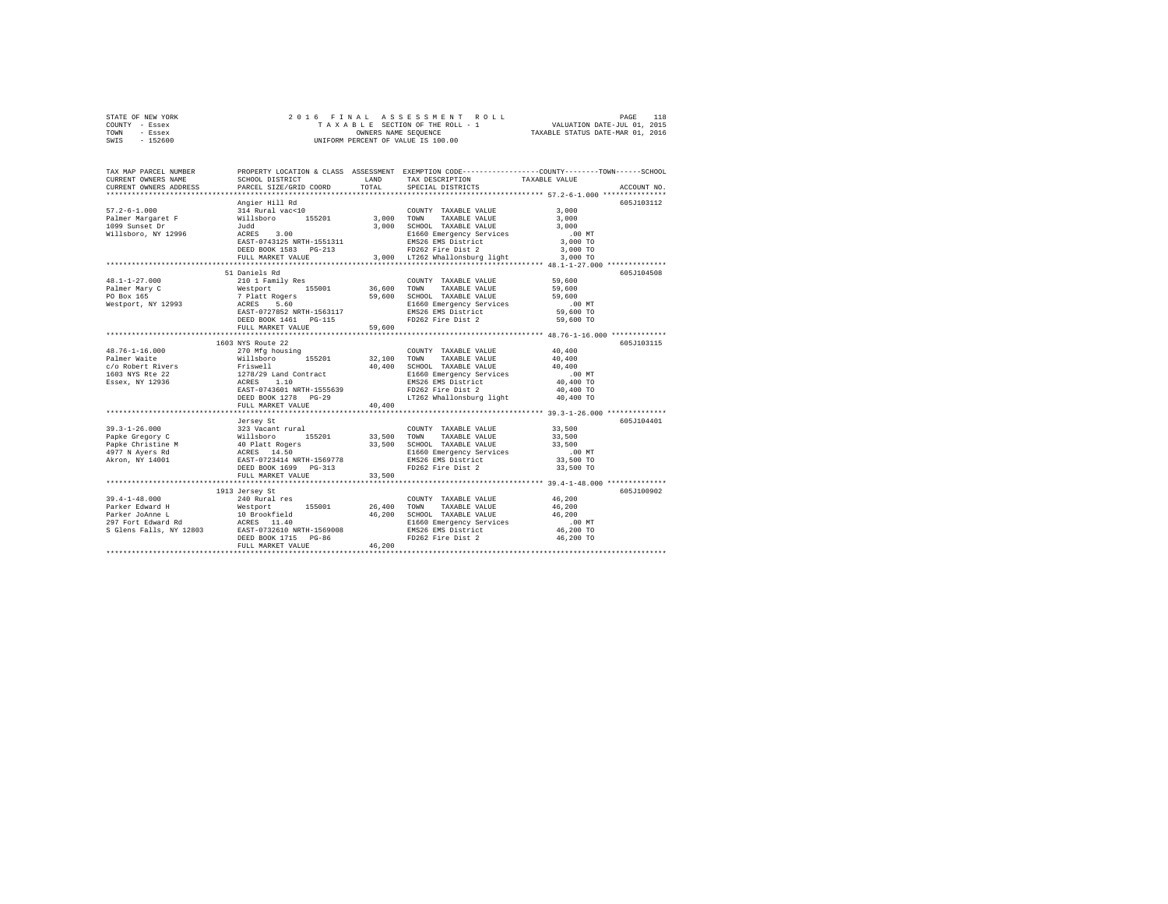| STATE OF NEW YORK | 2016 FINAL ASSESSMENT ROLL         | 118<br>PAGE                      |
|-------------------|------------------------------------|----------------------------------|
| COUNTY - Essex    | TAXABLE SECTION OF THE ROLL - 1    | VALUATION DATE-JUL 01, 2015      |
| TOWN<br>- Essex   | OWNERS NAME SEOUENCE               | TAXABLE STATUS DATE-MAR 01, 2016 |
| $-152600$<br>SWIS | UNIFORM PERCENT OF VALUE IS 100.00 |                                  |

| TAX MAP PARCEL NUMBER<br>CURRENT OWNERS NAME<br>CURRENT OWNERS ADDRESS                                                                                                                                                        | SCHOOL DISTRICT<br>PARCEL SIZE/GRID COORD                                        | LAND<br>TOTAL | TAX DESCRIPTION<br>SPECIAL DISTRICTS                                                                                                                                                    | PROPERTY LOCATION & CLASS ASSESSMENT EXEMPTION CODE----------------COUNTY-------TOWN------SCHOOL<br>TAXABLE VALUE<br>ACCOUNT NO. |
|-------------------------------------------------------------------------------------------------------------------------------------------------------------------------------------------------------------------------------|----------------------------------------------------------------------------------|---------------|-----------------------------------------------------------------------------------------------------------------------------------------------------------------------------------------|----------------------------------------------------------------------------------------------------------------------------------|
|                                                                                                                                                                                                                               | ***************************                                                      |               |                                                                                                                                                                                         |                                                                                                                                  |
|                                                                                                                                                                                                                               | Angier Hill Rd                                                                   |               |                                                                                                                                                                                         | 605J103112                                                                                                                       |
| $57.2 - 6 - 1.000$                                                                                                                                                                                                            | 314 Rural vac<10                                                                 |               | COUNTY TAXABLE VALUE                                                                                                                                                                    | 3,000                                                                                                                            |
| Palmer Margaret F Millsboro 155201 3,000 TOWN<br>Palmer Margaret F Millsboro 155201 3,000 TOWN<br>1099 Sunset Dr 3,000 SCHOO                                                                                                  |                                                                                  |               | TAXABLE VALUE 3,000                                                                                                                                                                     |                                                                                                                                  |
|                                                                                                                                                                                                                               |                                                                                  |               | 3,000 SCHOOL TAXABLE VALUE                                                                                                                                                              | 3,000                                                                                                                            |
| = 1.11 sboro, NY 12996<br>Willsboro, NY 12996<br>EAST-0743125 NRTH-1551311                                                                                                                                                    |                                                                                  |               |                                                                                                                                                                                         |                                                                                                                                  |
|                                                                                                                                                                                                                               |                                                                                  |               |                                                                                                                                                                                         |                                                                                                                                  |
|                                                                                                                                                                                                                               | DEED BOOK 1583 PG-213                                                            |               | Examples and the matter of the matter of the FR (100 MT)<br>FR (200 MT) FR (200 MT)<br>FR (200 MT) FR (200 MT)<br>TR262 Fire Dist 2 (300 MT)<br>3,000 TR262 Whallonsburg light 3,000 TO |                                                                                                                                  |
|                                                                                                                                                                                                                               | FULL MARKET VALUE                                                                |               |                                                                                                                                                                                         |                                                                                                                                  |
|                                                                                                                                                                                                                               |                                                                                  |               |                                                                                                                                                                                         |                                                                                                                                  |
|                                                                                                                                                                                                                               | 51 Daniels Rd                                                                    |               |                                                                                                                                                                                         | 605-7104508                                                                                                                      |
| $48.1 - 1 - 27.000$                                                                                                                                                                                                           |                                                                                  |               |                                                                                                                                                                                         | 59,600                                                                                                                           |
| Palmer Mary C                                                                                                                                                                                                                 |                                                                                  |               |                                                                                                                                                                                         | 59,600                                                                                                                           |
| PO Box 165<br>Westport, NY 12993                                                                                                                                                                                              |                                                                                  |               |                                                                                                                                                                                         | 59,600                                                                                                                           |
|                                                                                                                                                                                                                               | ACKES 5.60<br>EAST-0727852 NRTH-1563117<br>DEED BOOK 1461 PG-115<br>FUIT MENT-11 |               |                                                                                                                                                                                         | .00 MT                                                                                                                           |
|                                                                                                                                                                                                                               |                                                                                  |               |                                                                                                                                                                                         | 59,600 TO                                                                                                                        |
|                                                                                                                                                                                                                               |                                                                                  |               | FD262 Fire Dist 2                                                                                                                                                                       | 59,600 TO                                                                                                                        |
|                                                                                                                                                                                                                               | FULL MARKET VALUE                                                                | 59,600        |                                                                                                                                                                                         |                                                                                                                                  |
|                                                                                                                                                                                                                               |                                                                                  |               |                                                                                                                                                                                         |                                                                                                                                  |
|                                                                                                                                                                                                                               | 1603 NYS Route 22                                                                |               |                                                                                                                                                                                         | 605J103115                                                                                                                       |
|                                                                                                                                                                                                                               |                                                                                  |               | COUNTY TAXABLE VALUE                                                                                                                                                                    | 40,400                                                                                                                           |
|                                                                                                                                                                                                                               |                                                                                  |               | TAXABLE VALUE                                                                                                                                                                           | 40,400                                                                                                                           |
|                                                                                                                                                                                                                               |                                                                                  |               | SCHOOL TAXABLE VALUE                                                                                                                                                                    | 40,400                                                                                                                           |
|                                                                                                                                                                                                                               |                                                                                  |               | E1660 Emergency Services<br>EMS26 EMS District                                                                                                                                          | .00 MT                                                                                                                           |
|                                                                                                                                                                                                                               |                                                                                  |               |                                                                                                                                                                                         | 40,400 TO                                                                                                                        |
|                                                                                                                                                                                                                               | EAST-0743601 NRTH-1555639                                                        |               | FD262 Fire Dist 2                                                                                                                                                                       | 40,400 TO                                                                                                                        |
|                                                                                                                                                                                                                               | DEED BOOK 1278 PG-29                                                             |               | LT262 Whallonsburg light                                                                                                                                                                | 40,400 TO                                                                                                                        |
|                                                                                                                                                                                                                               | FULL MARKET VALUE                                                                | 40,400        |                                                                                                                                                                                         |                                                                                                                                  |
|                                                                                                                                                                                                                               |                                                                                  |               |                                                                                                                                                                                         |                                                                                                                                  |
|                                                                                                                                                                                                                               | Jersey St                                                                        |               |                                                                                                                                                                                         | 605J104401                                                                                                                       |
|                                                                                                                                                                                                                               |                                                                                  |               | COUNTY TAXABLE VALUE                                                                                                                                                                    | 33,500                                                                                                                           |
|                                                                                                                                                                                                                               |                                                                                  |               | 33,500 TOWN TAXABLE VALUE<br>33,500 SCHOOL TAXABLE VALUE                                                                                                                                | 33,500<br>33,500                                                                                                                 |
|                                                                                                                                                                                                                               |                                                                                  |               |                                                                                                                                                                                         | $.00$ MT                                                                                                                         |
|                                                                                                                                                                                                                               |                                                                                  |               | E1660 Emergency Services<br>EMS26 EMS District                                                                                                                                          | 33,500 TO                                                                                                                        |
|                                                                                                                                                                                                                               | DEED BOOK 1699 PG-313                                                            |               | FD262 Fire Dist 2                                                                                                                                                                       | 33,500 TO                                                                                                                        |
|                                                                                                                                                                                                                               | FULL MARKET VALUE                                                                | 33,500        |                                                                                                                                                                                         |                                                                                                                                  |
| ********************************                                                                                                                                                                                              |                                                                                  |               |                                                                                                                                                                                         |                                                                                                                                  |
|                                                                                                                                                                                                                               | 1913 Jersey St                                                                   |               |                                                                                                                                                                                         | 605J100902                                                                                                                       |
| $39.4 - 1 - 48.000$                                                                                                                                                                                                           |                                                                                  |               |                                                                                                                                                                                         | 46,200                                                                                                                           |
|                                                                                                                                                                                                                               | 240 Rural res                                                                    | 26,400        | COUNTY TAXABLE VALUE<br>TOWN<br>TAXABLE VALUE                                                                                                                                           | 46,200                                                                                                                           |
|                                                                                                                                                                                                                               |                                                                                  | 46,200        | SCHOOL TAXABLE VALUE                                                                                                                                                                    | 46,200                                                                                                                           |
| 1971 - 1976 - 1987 - 1988 - 1989 - 1989 - 1989 - 1989 - 1989 - 1989 - 1989 - 1989 - 1989 - 1989 - 1989 - 1989 - 1989 - 1989 - 1989 - 1989 - 1989 - 1989 - 1989 - 1989 - 1989 - 1989 - 1989 - 1989 - 1989 - 1989 - 1989 - 1989 |                                                                                  |               |                                                                                                                                                                                         | .00 MT                                                                                                                           |
|                                                                                                                                                                                                                               |                                                                                  |               | E1660 Emergency Services<br>EMS26 EMS District                                                                                                                                          | 46,200 TO                                                                                                                        |
|                                                                                                                                                                                                                               | DEED BOOK 1715 PG-86                                                             |               | FD262 Fire Dist 2                                                                                                                                                                       | 46,200 TO                                                                                                                        |
|                                                                                                                                                                                                                               | FULL MARKET VALUE                                                                | 46,200        |                                                                                                                                                                                         |                                                                                                                                  |
|                                                                                                                                                                                                                               |                                                                                  |               |                                                                                                                                                                                         |                                                                                                                                  |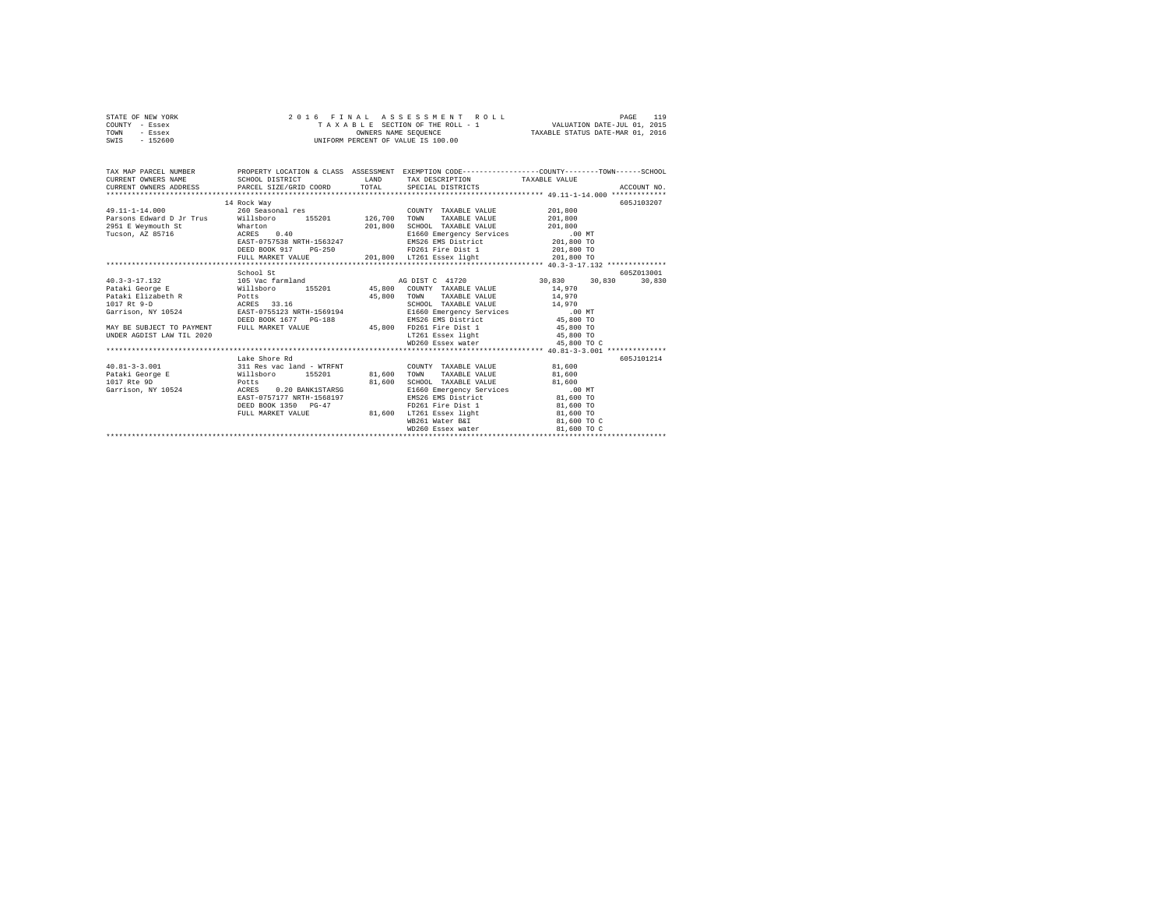|      | STATE OF NEW YORK |  |  | 2016 FINAL ASSESSMENT ROLL         | PAGE                             | 119 |
|------|-------------------|--|--|------------------------------------|----------------------------------|-----|
|      | COUNTY - Essex    |  |  | TAXABLE SECTION OF THE ROLL - 1    | VALUATION DATE-JUL 01, 2015      |     |
| TOWN | - Essex           |  |  | OWNERS NAME SEOUENCE               | TAXABLE STATUS DATE-MAR 01, 2016 |     |
| SWIS | $-152600$         |  |  | UNIFORM PERCENT OF VALUE IS 100.00 |                                  |     |

| TAX MAP PARCEL NUMBER PROPERTY LOCATION & CLASS ASSESSMENT EXEMPTION CODE---------------COUNTY-------TOWN------SCHOOL<br>$\texttt{CUREN} \texttt{T} \texttt{OWNERS} \texttt{NAME} \texttt{NAME} \texttt{SCHOOL} \texttt{DISTRIC} \texttt{I} \texttt{C} \texttt{I} \texttt{AND} \texttt{I} \texttt{PAX} \texttt{DESCRIPTION} \texttt{TAXABLE} \texttt{VALUE} \texttt{I} \texttt{0} \texttt{I} \texttt{0} \texttt{I} \texttt{0} \texttt{I} \texttt{0} \texttt{I} \texttt{1} \texttt{0} \texttt{I} \texttt{1} \texttt{0} \texttt{I} \texttt{1} \texttt{0} \texttt{I} \text$ |                                                                     |         |                                                                                                                    |             |             |
|--------------------------------------------------------------------------------------------------------------------------------------------------------------------------------------------------------------------------------------------------------------------------------------------------------------------------------------------------------------------------------------------------------------------------------------------------------------------------------------------------------------------------------------------------------------------------|---------------------------------------------------------------------|---------|--------------------------------------------------------------------------------------------------------------------|-------------|-------------|
| CURRENT OWNERS ADDRESS PARCEL SIZE/GRID COORD TOTAL SPECIAL DISTRICTS                                                                                                                                                                                                                                                                                                                                                                                                                                                                                                    |                                                                     |         |                                                                                                                    |             | ACCOUNT NO. |
|                                                                                                                                                                                                                                                                                                                                                                                                                                                                                                                                                                          |                                                                     |         |                                                                                                                    |             |             |
|                                                                                                                                                                                                                                                                                                                                                                                                                                                                                                                                                                          | 14 Rock Way                                                         |         |                                                                                                                    |             | 605J103207  |
| 49.11-1-14.000 260 Seasonal res                                                                                                                                                                                                                                                                                                                                                                                                                                                                                                                                          |                                                                     |         | COUNTY TAXABLE VALUE                                                                                               | 201,800     |             |
| Parsons Edward D Jr Trus Millsboro 155201 126.700 TOWN TAXABLE VALUE                                                                                                                                                                                                                                                                                                                                                                                                                                                                                                     |                                                                     |         |                                                                                                                    | 201,800     |             |
| 2951 E Weymouth St                                                                                                                                                                                                                                                                                                                                                                                                                                                                                                                                                       | St Wharton<br>ACRES 0.40                                            | 201,800 | SCHOOL TAXABLE VALUE                                                                                               | 201,800     |             |
| Tucson, AZ 85716                                                                                                                                                                                                                                                                                                                                                                                                                                                                                                                                                         |                                                                     |         |                                                                                                                    |             |             |
|                                                                                                                                                                                                                                                                                                                                                                                                                                                                                                                                                                          | EAST-0757538 NRTH-1563247                                           |         | E1660 Emergency Services<br>ENS26 EMS District<br>EMS26 EMS District<br>FD261 Fire Dist 1 201,800 TO<br>201,800 TO |             |             |
|                                                                                                                                                                                                                                                                                                                                                                                                                                                                                                                                                                          | DEED BOOK 917 PG-250<br>FULL MARKET VALUE 201,800 LT261 Essex light |         |                                                                                                                    |             |             |
|                                                                                                                                                                                                                                                                                                                                                                                                                                                                                                                                                                          |                                                                     |         |                                                                                                                    | 201,800 TO  |             |
|                                                                                                                                                                                                                                                                                                                                                                                                                                                                                                                                                                          |                                                                     |         |                                                                                                                    |             |             |
|                                                                                                                                                                                                                                                                                                                                                                                                                                                                                                                                                                          | School St                                                           |         |                                                                                                                    |             | 605Z013001  |
| $40.3 - 3 - 17.132$                                                                                                                                                                                                                                                                                                                                                                                                                                                                                                                                                      | 105 Vac farmland 105 C 41720 30,830 30,830                          |         |                                                                                                                    |             | 30,830      |
| Pataki George E Willsboro                                                                                                                                                                                                                                                                                                                                                                                                                                                                                                                                                |                                                                     |         | 155201 45.800 COUNTY TAXABLE VALUE 14.970                                                                          |             |             |
| Pataki Bulizabeth R (1995)<br>Pataki Elizabeth R (1996) Pataki Elizabeth R (1996) SCHOOL TAXABLE VALUE<br>1990 14, 2009 14, 2009 14, 2009 14, 2009 14, 2009 14, 2009 14, 2009 14, 2009 14, 2009 14, 2009 14, 2009 14, 20<br>1990 145,80                                                                                                                                                                                                                                                                                                                                  |                                                                     |         |                                                                                                                    |             |             |
|                                                                                                                                                                                                                                                                                                                                                                                                                                                                                                                                                                          |                                                                     |         |                                                                                                                    |             |             |
|                                                                                                                                                                                                                                                                                                                                                                                                                                                                                                                                                                          |                                                                     |         |                                                                                                                    |             |             |
|                                                                                                                                                                                                                                                                                                                                                                                                                                                                                                                                                                          |                                                                     |         |                                                                                                                    |             |             |
| MAY BE SUBJECT TO PAYMENT FULL MARKET VALUE                                                                                                                                                                                                                                                                                                                                                                                                                                                                                                                              |                                                                     |         | 45,800 FD261 Fire Dist 1 45,800 TO                                                                                 |             |             |
| UNDER AGDIST LAW TIL 2020                                                                                                                                                                                                                                                                                                                                                                                                                                                                                                                                                |                                                                     |         | LT261 Essex light 6 45,800 TO                                                                                      |             |             |
|                                                                                                                                                                                                                                                                                                                                                                                                                                                                                                                                                                          |                                                                     |         | WD260 Essex water 45,800 TO C                                                                                      |             |             |
|                                                                                                                                                                                                                                                                                                                                                                                                                                                                                                                                                                          |                                                                     |         |                                                                                                                    |             |             |
|                                                                                                                                                                                                                                                                                                                                                                                                                                                                                                                                                                          | Lake Shore Rd                                                       |         |                                                                                                                    |             | 605J101214  |
| $40.81 - 3 - 3.001$                                                                                                                                                                                                                                                                                                                                                                                                                                                                                                                                                      |                                                                     |         |                                                                                                                    |             |             |
| Pataki George E                                                                                                                                                                                                                                                                                                                                                                                                                                                                                                                                                          |                                                                     |         |                                                                                                                    |             |             |
| 1017 Rte 9D                                                                                                                                                                                                                                                                                                                                                                                                                                                                                                                                                              | Potts                                                               | 81,600  | SCHOOL TAXABLE VALUE                                                                                               | 81,600      |             |
| Garrison, NY 10524 ACRES                                                                                                                                                                                                                                                                                                                                                                                                                                                                                                                                                 | 0.20 BANK1STARSG                                                    |         | E1660 Emergency Services                                                                                           | $.00$ MT    |             |
|                                                                                                                                                                                                                                                                                                                                                                                                                                                                                                                                                                          | EAST-0757177 NRTH-1568197                                           |         | EMS26 EMS District 81,600 TO                                                                                       |             |             |
|                                                                                                                                                                                                                                                                                                                                                                                                                                                                                                                                                                          | DEED BOOK 1350 PG-47                                                |         | FD261 Fire Dist 1 81,600 TO                                                                                        |             |             |
|                                                                                                                                                                                                                                                                                                                                                                                                                                                                                                                                                                          | FULL MARKET VALUE                                                   | 81,600  | LT261 Essex light                                                                                                  | 81,600 TO   |             |
|                                                                                                                                                                                                                                                                                                                                                                                                                                                                                                                                                                          |                                                                     |         | WB261 Water B&I                                                                                                    | 81,600 TO C |             |
|                                                                                                                                                                                                                                                                                                                                                                                                                                                                                                                                                                          |                                                                     |         |                                                                                                                    | 81,600 TO C |             |
|                                                                                                                                                                                                                                                                                                                                                                                                                                                                                                                                                                          |                                                                     |         |                                                                                                                    |             |             |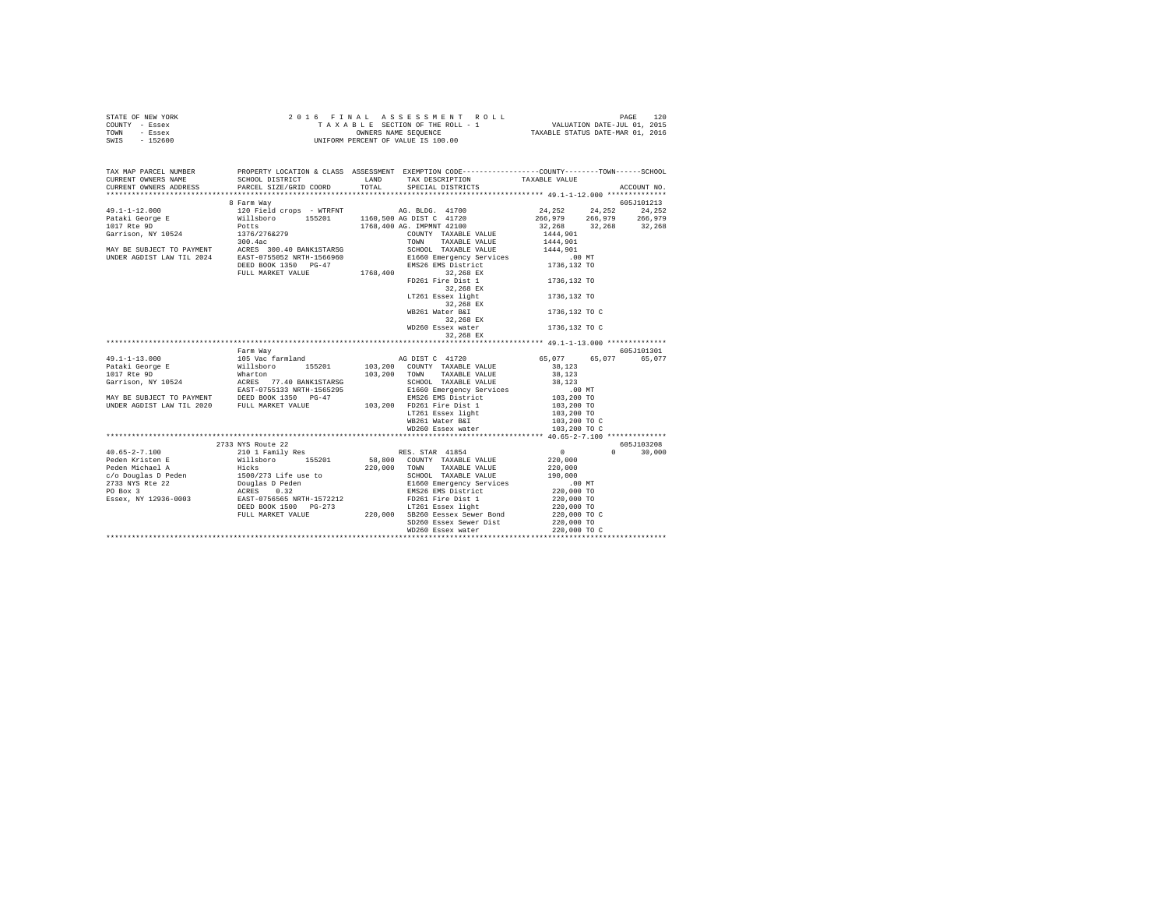| STATE OF NEW YORK |  |  |  |  | 2016 FINAL ASSESSMENT ROLL         |                                  | PAGE                        | 120 |
|-------------------|--|--|--|--|------------------------------------|----------------------------------|-----------------------------|-----|
| COUNTY - Essex    |  |  |  |  | TAXABLE SECTION OF THE ROLL - 1    |                                  | VALUATION DATE-JUL 01, 2015 |     |
| TOWN<br>- Essex   |  |  |  |  | OWNERS NAME SEOUENCE               | TAXABLE STATUS DATE-MAR 01, 2016 |                             |     |
| $-152600$<br>SWIS |  |  |  |  | UNIFORM PERCENT OF VALUE IS 100.00 |                                  |                             |     |

| TAX MAP PARCEL NUMBER<br>CURRENT OWNERS NAME | SCHOOL DISTRICT LAND TAX DESCRIPTION           | PROPERTY LOCATION & CLASS ASSESSMENT EXEMPTION CODE---------------COUNTY-------TOWN------SCHOOL | TAXABLE VALUE |               |
|----------------------------------------------|------------------------------------------------|-------------------------------------------------------------------------------------------------|---------------|---------------|
| CURRENT OWNERS ADDRESS                       | PARCEL SIZE/GRID COORD TOTAL SPECIAL DISTRICTS |                                                                                                 |               | ACCOUNT NO.   |
|                                              | 8 Farm Way                                     |                                                                                                 |               | 605J101213    |
|                                              |                                                |                                                                                                 |               |               |
|                                              |                                                |                                                                                                 |               |               |
|                                              |                                                |                                                                                                 |               |               |
|                                              |                                                |                                                                                                 |               |               |
|                                              |                                                |                                                                                                 |               |               |
|                                              |                                                |                                                                                                 |               |               |
|                                              |                                                |                                                                                                 |               |               |
|                                              |                                                |                                                                                                 |               |               |
|                                              |                                                |                                                                                                 |               |               |
|                                              |                                                | FD261 Fire Dist 1                                                                               | 1736,132 TO   |               |
|                                              |                                                | 32,268 EX                                                                                       |               |               |
|                                              |                                                | LT261 Essex light                                                                               | 1736,132 TO   |               |
|                                              |                                                | 32,268 EX                                                                                       |               |               |
|                                              |                                                | WB261 Water B&I                                                                                 | 1736,132 TO C |               |
|                                              |                                                | 32,268 EX                                                                                       |               |               |
|                                              |                                                | WD260 Essex water                                                                               | 1736,132 TO C |               |
|                                              |                                                | 32,268 EX                                                                                       |               |               |
|                                              |                                                |                                                                                                 |               |               |
|                                              | Farm Wav                                       |                                                                                                 |               | 605J101301    |
|                                              |                                                |                                                                                                 |               |               |
|                                              |                                                |                                                                                                 |               | 65,077        |
|                                              |                                                |                                                                                                 |               |               |
|                                              |                                                |                                                                                                 |               |               |
|                                              |                                                |                                                                                                 |               |               |
|                                              |                                                |                                                                                                 |               |               |
|                                              |                                                |                                                                                                 |               |               |
|                                              |                                                |                                                                                                 |               |               |
|                                              |                                                |                                                                                                 |               |               |
|                                              |                                                |                                                                                                 |               |               |
|                                              |                                                | LT261 Essex light 103,200 TO WB261 Water B&I 103,200 TO C                                       |               |               |
|                                              |                                                |                                                                                                 |               |               |
|                                              |                                                |                                                                                                 |               | 605J103208    |
|                                              |                                                |                                                                                                 |               | $0 \t 30,000$ |
|                                              |                                                |                                                                                                 |               |               |
|                                              |                                                |                                                                                                 |               |               |
|                                              |                                                |                                                                                                 |               |               |
|                                              |                                                |                                                                                                 |               |               |
|                                              |                                                |                                                                                                 |               |               |
|                                              |                                                |                                                                                                 |               |               |
|                                              |                                                |                                                                                                 |               |               |
|                                              |                                                |                                                                                                 |               |               |
|                                              |                                                |                                                                                                 |               |               |
|                                              |                                                | SD260 Essex Sewer Dist 220,000 TO<br>WD260 Essex water 220,000 TO                               |               |               |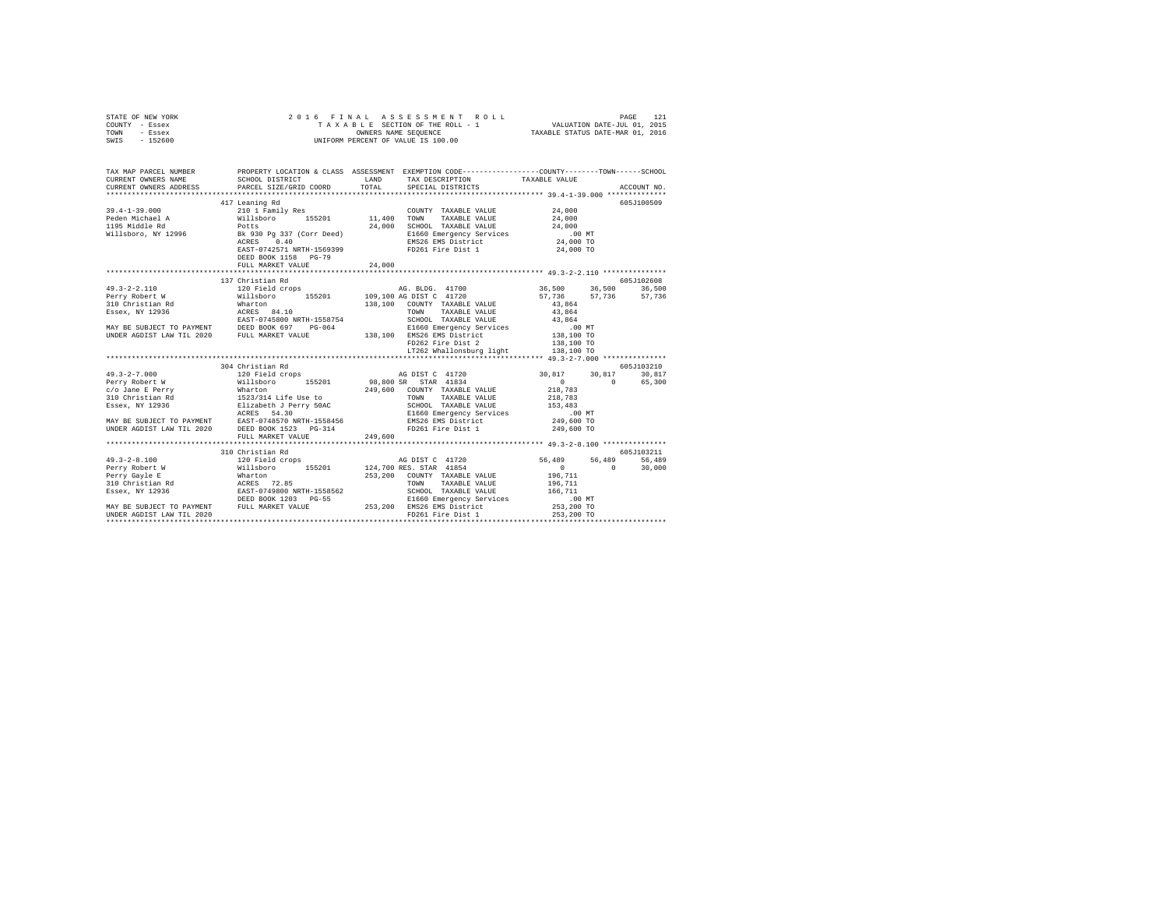|      | STATE OF NEW YORK |  | 2016 FINAL ASSESSMENT ROLL         |                                  | PAGE                        | 121 |
|------|-------------------|--|------------------------------------|----------------------------------|-----------------------------|-----|
|      | COUNTY - Essex    |  | TAXABLE SECTION OF THE ROLL - 1    |                                  | VALUATION DATE-JUL 01, 2015 |     |
| TOWN | - Essex           |  | OWNERS NAME SEOUENCE               | TAXABLE STATUS DATE-MAR 01, 2016 |                             |     |
| SWIS | - 152600          |  | UNIFORM PERCENT OF VALUE IS 100.00 |                                  |                             |     |

| TAX MAP PARCEL NUMBER | PROPERTY LOCATION & CLASS ASSESSMENT EXEMPTION CODE----------------COUNTY-------TOWN------SCHOOL |                                                                                                      |            |
|-----------------------|--------------------------------------------------------------------------------------------------|------------------------------------------------------------------------------------------------------|------------|
|                       |                                                                                                  |                                                                                                      |            |
|                       |                                                                                                  |                                                                                                      |            |
|                       | 417 Leaning Rd                                                                                   |                                                                                                      | 605J100509 |
|                       |                                                                                                  |                                                                                                      |            |
|                       |                                                                                                  |                                                                                                      |            |
|                       |                                                                                                  |                                                                                                      |            |
|                       |                                                                                                  |                                                                                                      |            |
|                       |                                                                                                  |                                                                                                      |            |
|                       |                                                                                                  |                                                                                                      |            |
|                       | DEED BOOK 1158 PG-79                                                                             |                                                                                                      |            |
|                       |                                                                                                  |                                                                                                      |            |
|                       |                                                                                                  |                                                                                                      |            |
|                       | 137 Christian Rd                                                                                 |                                                                                                      | 605J102608 |
|                       |                                                                                                  |                                                                                                      |            |
|                       |                                                                                                  |                                                                                                      |            |
|                       |                                                                                                  |                                                                                                      |            |
|                       |                                                                                                  |                                                                                                      |            |
|                       |                                                                                                  |                                                                                                      |            |
|                       |                                                                                                  |                                                                                                      |            |
|                       |                                                                                                  |                                                                                                      |            |
|                       |                                                                                                  |                                                                                                      |            |
|                       |                                                                                                  |                                                                                                      |            |
|                       |                                                                                                  |                                                                                                      |            |
|                       | 304 Christian Rd                                                                                 |                                                                                                      | 605J103210 |
|                       |                                                                                                  |                                                                                                      |            |
|                       |                                                                                                  |                                                                                                      |            |
|                       |                                                                                                  |                                                                                                      |            |
|                       |                                                                                                  |                                                                                                      |            |
|                       |                                                                                                  |                                                                                                      |            |
|                       |                                                                                                  |                                                                                                      |            |
|                       |                                                                                                  |                                                                                                      |            |
|                       |                                                                                                  |                                                                                                      |            |
|                       |                                                                                                  |                                                                                                      |            |
|                       |                                                                                                  |                                                                                                      |            |
|                       | 310 Christian Rd                                                                                 |                                                                                                      | 605J103211 |
|                       |                                                                                                  |                                                                                                      |            |
|                       |                                                                                                  | 40 DIST C 41720<br>19 RES. STAR 41854 H1854 H185 (1974)<br>19 COUNTY TAXABLE VALUE 196,711 10 30,000 |            |
|                       |                                                                                                  |                                                                                                      |            |
|                       |                                                                                                  |                                                                                                      |            |
|                       |                                                                                                  |                                                                                                      |            |
|                       |                                                                                                  |                                                                                                      |            |
|                       |                                                                                                  |                                                                                                      |            |
|                       |                                                                                                  |                                                                                                      |            |
|                       |                                                                                                  |                                                                                                      |            |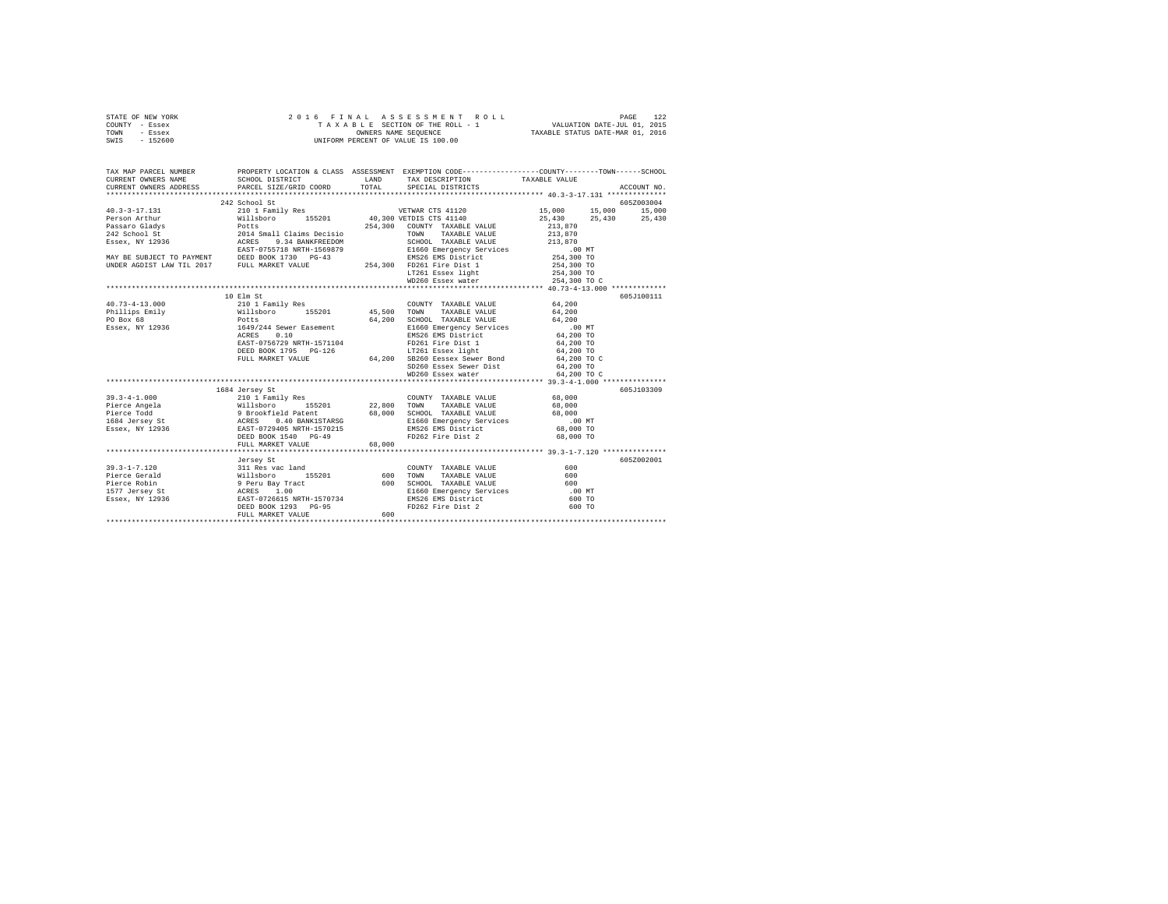| STATE OF NEW YORK | 2016 FINAL ASSESSMENT ROLL         | 122<br>PAGE                      |
|-------------------|------------------------------------|----------------------------------|
| COUNTY - Essex    | TAXABLE SECTION OF THE ROLL - 1    | VALUATION DATE-JUL 01, 2015      |
| TOWN<br>- Essex   | OWNERS NAME SEOUENCE               | TAXABLE STATUS DATE-MAR 01, 2016 |
| $-152600$<br>SWIS | UNIFORM PERCENT OF VALUE IS 100.00 |                                  |

| TAX MAP PARCEL NUMBER |                   |        |                   | PROPERTY LOCATION & CLASS ASSESSMENT EXEMPTION CODE---------------COUNTY-------TOWN-----SCHOOL |  |
|-----------------------|-------------------|--------|-------------------|------------------------------------------------------------------------------------------------|--|
|                       |                   |        |                   |                                                                                                |  |
|                       | 242 School St     |        |                   | 605Z003004                                                                                     |  |
|                       |                   |        |                   |                                                                                                |  |
|                       |                   |        |                   | 25,430 25,430                                                                                  |  |
|                       |                   |        |                   |                                                                                                |  |
|                       |                   |        |                   |                                                                                                |  |
|                       |                   |        |                   |                                                                                                |  |
|                       |                   |        |                   |                                                                                                |  |
|                       |                   |        |                   |                                                                                                |  |
|                       |                   |        |                   |                                                                                                |  |
|                       |                   |        |                   |                                                                                                |  |
|                       |                   |        | WD260 Essex water | 254,300 TO C                                                                                   |  |
|                       |                   |        |                   |                                                                                                |  |
|                       |                   |        |                   | 605J100111                                                                                     |  |
|                       |                   |        |                   |                                                                                                |  |
|                       |                   |        |                   |                                                                                                |  |
|                       |                   |        |                   |                                                                                                |  |
|                       |                   |        |                   |                                                                                                |  |
|                       |                   |        |                   |                                                                                                |  |
|                       |                   |        |                   |                                                                                                |  |
|                       |                   |        |                   |                                                                                                |  |
|                       |                   |        |                   |                                                                                                |  |
|                       |                   |        |                   |                                                                                                |  |
|                       |                   |        |                   |                                                                                                |  |
|                       |                   |        |                   |                                                                                                |  |
|                       | 1684 Jersey St    |        |                   | 605J103309                                                                                     |  |
|                       |                   |        |                   |                                                                                                |  |
|                       |                   |        |                   |                                                                                                |  |
|                       |                   |        |                   |                                                                                                |  |
|                       |                   |        |                   |                                                                                                |  |
|                       |                   |        |                   |                                                                                                |  |
|                       |                   |        |                   |                                                                                                |  |
|                       | FULL MARKET VALUE | 68,000 |                   |                                                                                                |  |
|                       |                   |        |                   |                                                                                                |  |
|                       | Jersey St         |        |                   | 605Z002001                                                                                     |  |
|                       |                   |        |                   |                                                                                                |  |
|                       |                   |        |                   |                                                                                                |  |
|                       |                   |        |                   |                                                                                                |  |
|                       |                   |        |                   |                                                                                                |  |
|                       |                   |        |                   |                                                                                                |  |
|                       |                   |        |                   |                                                                                                |  |
|                       |                   |        |                   |                                                                                                |  |
|                       |                   |        |                   |                                                                                                |  |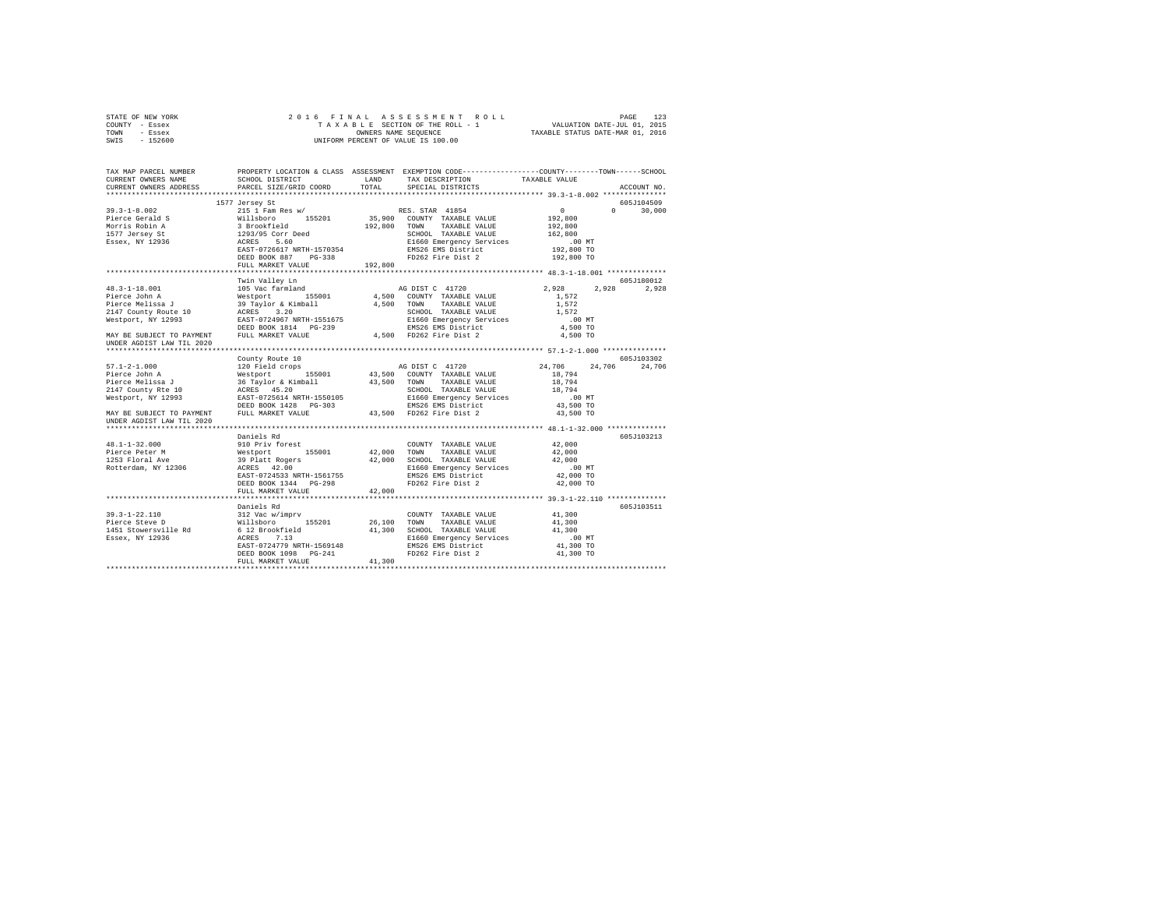| STATE OF NEW YORK                                          |                                                                                                                                                                                                                                                      |         | 2016 FINAL ASSESSMENT ROLL                                                                                                                                                                                                 |                    | PAGE<br>123   |
|------------------------------------------------------------|------------------------------------------------------------------------------------------------------------------------------------------------------------------------------------------------------------------------------------------------------|---------|----------------------------------------------------------------------------------------------------------------------------------------------------------------------------------------------------------------------------|--------------------|---------------|
| COUNTY - Essex                                             |                                                                                                                                                                                                                                                      |         | $\mathtt{T\texttt{A}}\ \mathtt{X\texttt{A}}\ \mathtt{B\texttt{L}}\ \mathtt{E}\quad \mathtt{SECTION\ \texttt{OF}\ \texttt{THE\ \texttt{ROLL}}\ -\ 1} \qquad \qquad \mathtt{VALUATION\ \texttt{DATE-JUL\ \texttt{01, 2015}}$ |                    |               |
| TOWN<br>- Essex                                            |                                                                                                                                                                                                                                                      |         | OWNERS NAME SEQUENCE TAXABLE STATUS DATE-MAR 01, 2016                                                                                                                                                                      |                    |               |
| SWIS - 152600                                              |                                                                                                                                                                                                                                                      |         | UNIFORM PERCENT OF VALUE IS 100.00                                                                                                                                                                                         |                    |               |
|                                                            |                                                                                                                                                                                                                                                      |         |                                                                                                                                                                                                                            |                    |               |
| TAX MAP PARCEL NUMBER                                      |                                                                                                                                                                                                                                                      |         | PROPERTY LOCATION & CLASS ASSESSMENT EXEMPTION CODE----------------COUNTY-------TOWN------SCHOOL                                                                                                                           |                    |               |
| CURRENT OWNERS NAME                                        | SCHOOL DISTRICT                                                                                                                                                                                                                                      |         | LAND TAX DESCRIPTION TAXABLE VALUE                                                                                                                                                                                         |                    |               |
| CURRENT OWNERS ADDRESS                                     | PARCEL SIZE/GRID COORD TOTAL SPECIAL DISTRICTS                                                                                                                                                                                                       |         |                                                                                                                                                                                                                            |                    | ACCOUNT NO.   |
|                                                            |                                                                                                                                                                                                                                                      |         |                                                                                                                                                                                                                            |                    |               |
|                                                            | 1577 Jersey St                                                                                                                                                                                                                                       |         |                                                                                                                                                                                                                            |                    | 605.T104509   |
| $39.3 - 1 - 8.002$                                         | 215 1 Fam Res w/ RES. STAR 41854<br>Willsboro        155201            35,900   COUNTY   TAXABLE VALUE                                                                                                                                               |         |                                                                                                                                                                                                                            | $\sim$ 0 $\sim$ 0  | $0 \t 30.000$ |
| Pierce Gerald S                                            |                                                                                                                                                                                                                                                      |         |                                                                                                                                                                                                                            | 192,800            |               |
|                                                            |                                                                                                                                                                                                                                                      |         | 192,800 TOWN TAXABLE VALUE                                                                                                                                                                                                 | 192,800            |               |
|                                                            | 1577 Jersey St 1293/95 Corr Deed                                                                                                                                                                                                                     |         | SCHOOL TAXABLE VALUE                                                                                                                                                                                                       | 162,800            |               |
| Essex, NY 12936                                            | ACRES 5.60                                                                                                                                                                                                                                           |         | E1660 Emergency Services .00 MT<br>EMS26 EMS District 192,800 TO                                                                                                                                                           |                    |               |
|                                                            | EAST-0726617 NRTH-1570354<br>DEED BOOK 887 PG-338                                                                                                                                                                                                    |         | EMS26 EMS District<br>FD262 Fire Dist 2                                                                                                                                                                                    |                    |               |
|                                                            |                                                                                                                                                                                                                                                      |         |                                                                                                                                                                                                                            | 192,800 TO         |               |
|                                                            | FULL MARKET VALUE                                                                                                                                                                                                                                    | 192,800 |                                                                                                                                                                                                                            |                    |               |
|                                                            |                                                                                                                                                                                                                                                      |         |                                                                                                                                                                                                                            |                    | 605-7180012   |
| $48.3 - 1 - 18.001$                                        | Twin Valley Ln                                                                                                                                                                                                                                       |         |                                                                                                                                                                                                                            | 2.928              | 2,928 2,928   |
| Pierce John A                                              |                                                                                                                                                                                                                                                      |         |                                                                                                                                                                                                                            |                    |               |
|                                                            |                                                                                                                                                                                                                                                      |         |                                                                                                                                                                                                                            | 1,572              |               |
|                                                            | Pierce Melissa J 39 Taylor & Kimball 4,500 TOWN TAXABLE VALUE 1,572                                                                                                                                                                                  |         |                                                                                                                                                                                                                            |                    |               |
| 2147 County Route 10 ACRES 3.20                            | ACRES 3.20<br>EAST-0724967 NRTH-1551675                                                                                                                                                                                                              |         | SCHOOL TAXABLE VALUE $1,572$                                                                                                                                                                                               |                    |               |
| Westport, NY 12993                                         |                                                                                                                                                                                                                                                      |         |                                                                                                                                                                                                                            | 00 MT.<br>4,500 TO |               |
|                                                            | Westport, NY 12993 EAST-0724967 NRTH-1551675 E1660 Emergency Services<br>DEED BOOK 1814 PG-239<br>MAY BE SUBJECT TO PAYMENT FULL MARKET VALUE 4,500 FD262 Fire Dist 2                                                                                |         |                                                                                                                                                                                                                            |                    |               |
| UNDER AGDIST LAW TIL 2020                                  |                                                                                                                                                                                                                                                      |         |                                                                                                                                                                                                                            | 4,500 TO           |               |
|                                                            |                                                                                                                                                                                                                                                      |         |                                                                                                                                                                                                                            |                    |               |
|                                                            | County Route 10                                                                                                                                                                                                                                      |         |                                                                                                                                                                                                                            |                    | 605J103302    |
|                                                            | 57.1-2-1.000<br>24,706 24,706<br>24,706 24,706<br>24,706<br>24,706<br>24,706<br>24,706<br>24,706<br>24,706<br>24,706<br>24,706<br>24,706<br>24,706<br>24,706<br>24,706<br>24,706<br>24,706<br>24,706<br>24,206<br>24,206<br>24,206<br>24,206<br>24,2 |         |                                                                                                                                                                                                                            |                    |               |
|                                                            |                                                                                                                                                                                                                                                      |         |                                                                                                                                                                                                                            |                    |               |
| Pierce Melissa J                                           | 36 Taylor & Kimball 43,500 TOWN                                                                                                                                                                                                                      |         | TAXABLE VALUE 18,794                                                                                                                                                                                                       |                    |               |
| 2147 County Rte 10<br>Westport, NY 12993<br>EAST-0725614 M |                                                                                                                                                                                                                                                      |         |                                                                                                                                                                                                                            | 18,794<br>.00 MT   |               |
| Westport, NY 12993                                         |                                                                                                                                                                                                                                                      |         |                                                                                                                                                                                                                            |                    |               |
|                                                            |                                                                                                                                                                                                                                                      |         |                                                                                                                                                                                                                            | 43,500 TO          |               |
| MAY BE SUBJECT TO PAYMENT<br>UNDER AGDIST LAW TIL 2020     |                                                                                                                                                                                                                                                      |         | FULL MARKET VALUE 43,500 FD262 Fire Dist 2                                                                                                                                                                                 | 43,500 TO          |               |
|                                                            |                                                                                                                                                                                                                                                      |         |                                                                                                                                                                                                                            |                    |               |
|                                                            | Daniels Rd                                                                                                                                                                                                                                           |         |                                                                                                                                                                                                                            |                    | 605J103213    |

| Westport, NY 12993                                                       | EAST-0725614 NRTH-1550105<br>DEED BOOK 1428 PG-303 |        | E1660 Emergency Services<br>EMS26 EMS District | $.00$ MT<br>43,500 TO |            |
|--------------------------------------------------------------------------|----------------------------------------------------|--------|------------------------------------------------|-----------------------|------------|
| MAY BE SUBJECT TO PAYMENT FULL MARKET VALUE<br>UNDER AGDIST LAW TIL 2020 |                                                    |        | 43,500 FD262 Fire Dist 2                       | 43,500 TO             |            |
|                                                                          |                                                    |        |                                                |                       |            |
|                                                                          | Daniels Rd                                         |        |                                                |                       | 605J103213 |
| 48.1-1-32.000                                                            | 910 Priv forest                                    |        | COUNTY TAXABLE VALUE                           | 42,000                |            |
| Pierce Peter M                                                           | Westport 155001 42,000                             |        | TOWN<br>TAXABLE VALUE                          | 42,000                |            |
| 1253 Floral Ave                                                          | 39 Platt Rogers                                    | 42,000 | SCHOOL TAXABLE VALUE                           | 42,000                |            |
| Rotterdam, NY 12306                                                      | ACRES 42.00                                        |        | E1660 Emergency Services                       | $.00$ MT              |            |
|                                                                          | EAST-0724533 NRTH-1561755                          |        | EMS26 EMS District                             | 42,000 TO             |            |
|                                                                          | DEED BOOK 1344 PG-298                              |        | FD262 Fire Dist 2                              | 42,000 TO             |            |
|                                                                          | FULL MARKET VALUE                                  | 42,000 |                                                |                       |            |
|                                                                          |                                                    |        |                                                |                       |            |
|                                                                          | Daniels Rd                                         |        |                                                |                       | 605J103511 |
| 39.3-1-22.110 312 Vac w/impry                                            |                                                    |        | COUNTY TAXABLE VALUE                           | 41,300                |            |
| Pierce Steve D<br>Willsboro                                              | 155201                                             | 26,100 | TAXABLE VALUE<br>TOWN                          | 41,300                |            |
| 1451 Stowersville Rd 6 12 Brookfield                                     |                                                    | 41,300 | SCHOOL TAXABLE VALUE                           | 41,300                |            |
|                                                                          |                                                    |        |                                                |                       |            |
| Essex, NY 12936                                                          | 7.13<br>ACRES                                      |        | E1660 Emergency Services                       | $.00$ MT              |            |
|                                                                          | EAST-0724779 NRTH-1569148                          |        | EMS26 EMS District                             | 41,300 TO             |            |
|                                                                          | DEED BOOK 1098 PG-241                              |        | FD262 Fire Dist 2                              | 41,300 TO             |            |
|                                                                          | FULL MARKET VALUE                                  | 41,300 |                                                |                       |            |
|                                                                          |                                                    |        |                                                |                       |            |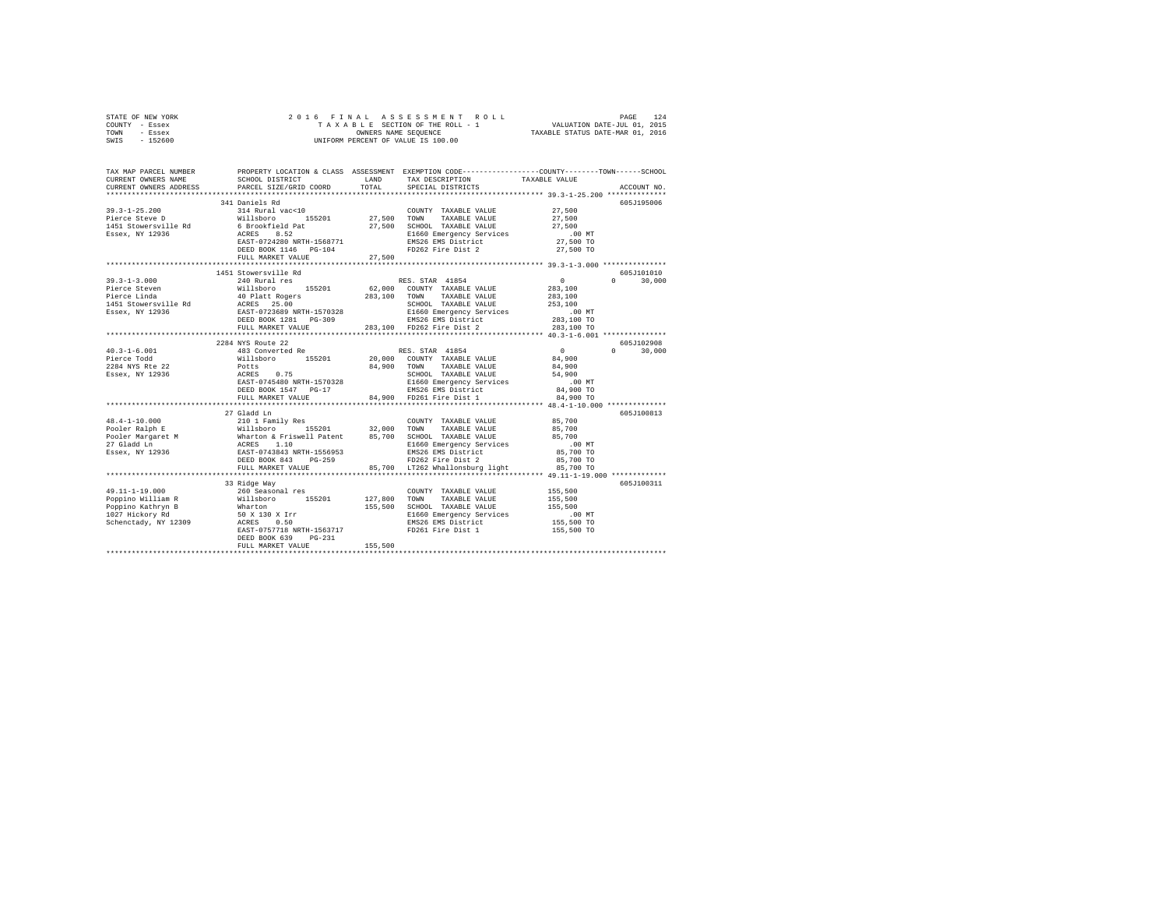| STATE OF NEW YORK | 2016 FINAL ASSESSMENT ROLL         | 124<br>PAGE                      |
|-------------------|------------------------------------|----------------------------------|
| COUNTY - Essex    | TAXABLE SECTION OF THE ROLL - 1    | VALUATION DATE-JUL 01, 2015      |
| TOWN<br>- Essex   | OWNERS NAME SEOUENCE               | TAXABLE STATUS DATE-MAR 01, 2016 |
| - 152600<br>SWIS  | UNIFORM PERCENT OF VALUE IS 100.00 |                                  |

| TAX MAP PARCEL NUMBER<br>CURRENT OWNERS NAME<br>CURRENT OWNERS ADDRESS                                                                                                                                                                                                                                                                                                                        | SCHOOL DISTRICT<br>PARCEL SIZE/GRID COORD | LAND<br>TOTAL. | PROPERTY LOCATION & CLASS ASSESSMENT EXEMPTION CODE---------------COUNTY-------TOWN-----SCHOOL<br>TAXABLE VALUE<br>TAX DESCRIPTION<br>SPECIAL DISTRICTS                                                                                                                                                                                         | ACCOUNT NO.                          |
|-----------------------------------------------------------------------------------------------------------------------------------------------------------------------------------------------------------------------------------------------------------------------------------------------------------------------------------------------------------------------------------------------|-------------------------------------------|----------------|-------------------------------------------------------------------------------------------------------------------------------------------------------------------------------------------------------------------------------------------------------------------------------------------------------------------------------------------------|--------------------------------------|
|                                                                                                                                                                                                                                                                                                                                                                                               |                                           |                |                                                                                                                                                                                                                                                                                                                                                 |                                      |
|                                                                                                                                                                                                                                                                                                                                                                                               | 341 Daniels Rd                            |                |                                                                                                                                                                                                                                                                                                                                                 | 605J195006                           |
| $39.3 - 1 - 25.200$                                                                                                                                                                                                                                                                                                                                                                           | 314 Rural vac<10                          |                | COUNTY TAXABLE VALUE 27,500                                                                                                                                                                                                                                                                                                                     |                                      |
|                                                                                                                                                                                                                                                                                                                                                                                               |                                           |                | 99.3-1-20.2000 Millisboro 155201 27,500 TOWN TAXABLE VAUUE 27,500<br>1451 Stowersville Rd 6 Brookfield Pat 27,500 TOWN TAXABLE VAUUE 27,500<br>1451 Stowersville Rd 6 Brookfield Pat 27,500 ECHOL TAXABLE VAUUE 27,500<br>1451 Stowers                                                                                                          |                                      |
|                                                                                                                                                                                                                                                                                                                                                                                               |                                           |                |                                                                                                                                                                                                                                                                                                                                                 |                                      |
|                                                                                                                                                                                                                                                                                                                                                                                               |                                           |                |                                                                                                                                                                                                                                                                                                                                                 |                                      |
|                                                                                                                                                                                                                                                                                                                                                                                               |                                           |                |                                                                                                                                                                                                                                                                                                                                                 |                                      |
|                                                                                                                                                                                                                                                                                                                                                                                               | DEED BOOK 1146 PG-104                     |                | FD262 Fire Dist 2 27,500 TO                                                                                                                                                                                                                                                                                                                     |                                      |
|                                                                                                                                                                                                                                                                                                                                                                                               | FULL MARKET VALUE                         | 27,500         |                                                                                                                                                                                                                                                                                                                                                 |                                      |
|                                                                                                                                                                                                                                                                                                                                                                                               |                                           |                |                                                                                                                                                                                                                                                                                                                                                 |                                      |
|                                                                                                                                                                                                                                                                                                                                                                                               | 1451 Stowersville Rd                      |                |                                                                                                                                                                                                                                                                                                                                                 | 605J101010                           |
| $39.3 - 1 - 3.000$                                                                                                                                                                                                                                                                                                                                                                            | 240 Rural res                             |                | RES. STAR 41854                                                                                                                                                                                                                                                                                                                                 | $\overline{0}$<br>$\Omega$<br>30,000 |
|                                                                                                                                                                                                                                                                                                                                                                                               |                                           |                |                                                                                                                                                                                                                                                                                                                                                 |                                      |
|                                                                                                                                                                                                                                                                                                                                                                                               |                                           |                |                                                                                                                                                                                                                                                                                                                                                 |                                      |
|                                                                                                                                                                                                                                                                                                                                                                                               |                                           |                |                                                                                                                                                                                                                                                                                                                                                 |                                      |
|                                                                                                                                                                                                                                                                                                                                                                                               |                                           |                |                                                                                                                                                                                                                                                                                                                                                 |                                      |
|                                                                                                                                                                                                                                                                                                                                                                                               |                                           |                |                                                                                                                                                                                                                                                                                                                                                 |                                      |
|                                                                                                                                                                                                                                                                                                                                                                                               |                                           |                |                                                                                                                                                                                                                                                                                                                                                 |                                      |
|                                                                                                                                                                                                                                                                                                                                                                                               |                                           |                |                                                                                                                                                                                                                                                                                                                                                 |                                      |
|                                                                                                                                                                                                                                                                                                                                                                                               |                                           |                |                                                                                                                                                                                                                                                                                                                                                 | 605J102908                           |
|                                                                                                                                                                                                                                                                                                                                                                                               |                                           |                |                                                                                                                                                                                                                                                                                                                                                 | $0 \qquad \qquad$<br>30,000          |
|                                                                                                                                                                                                                                                                                                                                                                                               |                                           |                |                                                                                                                                                                                                                                                                                                                                                 |                                      |
|                                                                                                                                                                                                                                                                                                                                                                                               |                                           |                |                                                                                                                                                                                                                                                                                                                                                 |                                      |
|                                                                                                                                                                                                                                                                                                                                                                                               |                                           |                |                                                                                                                                                                                                                                                                                                                                                 |                                      |
|                                                                                                                                                                                                                                                                                                                                                                                               |                                           |                |                                                                                                                                                                                                                                                                                                                                                 |                                      |
|                                                                                                                                                                                                                                                                                                                                                                                               |                                           |                |                                                                                                                                                                                                                                                                                                                                                 |                                      |
|                                                                                                                                                                                                                                                                                                                                                                                               |                                           |                |                                                                                                                                                                                                                                                                                                                                                 |                                      |
|                                                                                                                                                                                                                                                                                                                                                                                               |                                           |                | $\begin{tabular}{lcccc} 40.3-1-6.001 & 2284 WYS Route & 22 & 40.3-1-6.001 & 483 Concorrected Re \\ 40.3-1-6.001 & 483 Concorrected Re \\ 2284 W/S Rate & 22 & 43.312284 W/S Rate & 22 & 44.9002284 W/S RE 22 & 20.000 COUNT TAXABLE VALUE & 84.9002284 W/S RE 22 & 20.001 TAXABLE VALUE & 84.9002284 W/S RE 22 & 20.001 TAXABLE VALUE & 84.900$ |                                      |
| $48.4 - 1 - 10.000$                                                                                                                                                                                                                                                                                                                                                                           | 27 Gladd Ln<br>210 1 Family Res           |                | COUNTY TAXABLE VALUE 85,700                                                                                                                                                                                                                                                                                                                     | 605J100813                           |
|                                                                                                                                                                                                                                                                                                                                                                                               |                                           |                |                                                                                                                                                                                                                                                                                                                                                 |                                      |
|                                                                                                                                                                                                                                                                                                                                                                                               |                                           |                |                                                                                                                                                                                                                                                                                                                                                 |                                      |
|                                                                                                                                                                                                                                                                                                                                                                                               |                                           |                |                                                                                                                                                                                                                                                                                                                                                 |                                      |
|                                                                                                                                                                                                                                                                                                                                                                                               |                                           |                |                                                                                                                                                                                                                                                                                                                                                 |                                      |
|                                                                                                                                                                                                                                                                                                                                                                                               |                                           |                |                                                                                                                                                                                                                                                                                                                                                 |                                      |
|                                                                                                                                                                                                                                                                                                                                                                                               |                                           |                |                                                                                                                                                                                                                                                                                                                                                 |                                      |
|                                                                                                                                                                                                                                                                                                                                                                                               | ************************                  |                | ************************************ 49.11-1-19.000 **********                                                                                                                                                                                                                                                                                  |                                      |
|                                                                                                                                                                                                                                                                                                                                                                                               | 33 Ridge Way                              |                |                                                                                                                                                                                                                                                                                                                                                 | 605J100311                           |
|                                                                                                                                                                                                                                                                                                                                                                                               |                                           |                | COUNTY TAXABLE VALUE 455,500                                                                                                                                                                                                                                                                                                                    |                                      |
|                                                                                                                                                                                                                                                                                                                                                                                               |                                           | 127,800 TOWN   | TAXABLE VALUE                                                                                                                                                                                                                                                                                                                                   | 155,500                              |
|                                                                                                                                                                                                                                                                                                                                                                                               |                                           |                | 127,800 TOWN TAAABLE VALUE<br>155,500 SCHOOL TAXABLE VALUE 155,500 NT<br>E1660 Emergency Services .00 MT                                                                                                                                                                                                                                        |                                      |
|                                                                                                                                                                                                                                                                                                                                                                                               |                                           |                |                                                                                                                                                                                                                                                                                                                                                 |                                      |
| $\begin{tabular}{lllllllllll} \textbf{49.11--1-19.000} & \textbf{260 Seasonal res} \\ \textbf{Poppino~Kalt11am~R} & \textbf{Willabor} & \textbf{35201} & \textbf{127,800} \\ \textbf{Poppino~Kaltryn~B} & \textbf{Willabor} & \textbf{155201} & \textbf{127,800} \\ \textbf{1027 Hickory Rd} & \textbf{50 X 130 X 1rr} & \textbf{155,500} \\ \textbf{Schentbacky, NY 12309} & \textbf{50 X 1$ |                                           |                | EMS26 EMS District                                                                                                                                                                                                                                                                                                                              | 155,500 TO                           |
|                                                                                                                                                                                                                                                                                                                                                                                               | EAST-0757718 NRTH-1563717                 |                | FD261 Fire Dist 1                                                                                                                                                                                                                                                                                                                               | 155,500 TO                           |
|                                                                                                                                                                                                                                                                                                                                                                                               | DEED BOOK 639<br>PG-231                   |                |                                                                                                                                                                                                                                                                                                                                                 |                                      |
|                                                                                                                                                                                                                                                                                                                                                                                               | FULL MARKET VALUE                         | 155,500        |                                                                                                                                                                                                                                                                                                                                                 |                                      |
|                                                                                                                                                                                                                                                                                                                                                                                               |                                           |                |                                                                                                                                                                                                                                                                                                                                                 |                                      |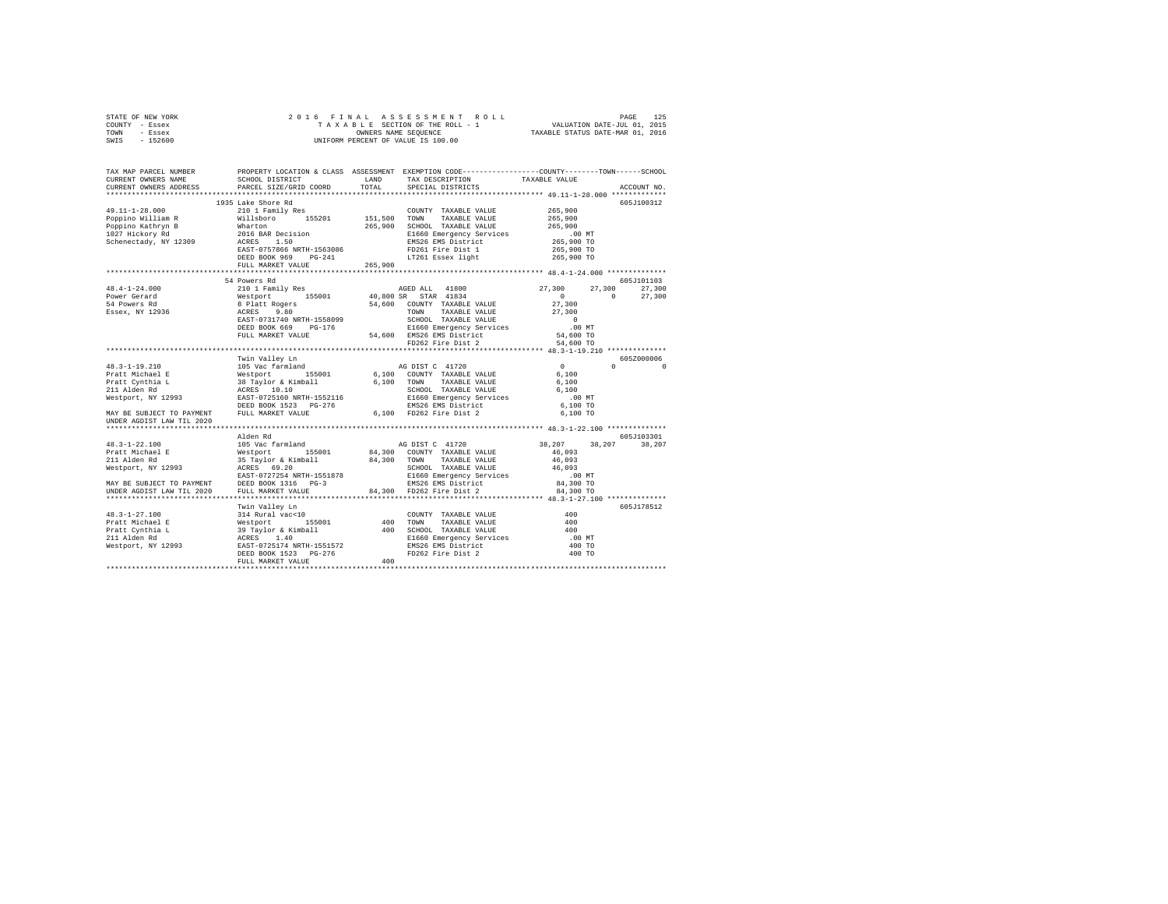|      | STATE OF NEW YORK |  | 2016 FINAL ASSESSMENT ROLL         | 125<br>PAGE                      |  |
|------|-------------------|--|------------------------------------|----------------------------------|--|
|      | COUNTY - Essex    |  | TAXABLE SECTION OF THE ROLL - 1    | VALUATION DATE-JUL 01, 2015      |  |
| TOWN | - Essex           |  | OWNERS NAME SEOUENCE               | TAXABLE STATUS DATE-MAR 01, 2016 |  |
| SWIS | - 152600          |  | UNIFORM PERCENT OF VALUE IS 100.00 |                                  |  |

| TAX MAP PARCEL NUMBER<br>CURRENT OWNERS NAME | SCHOOL DISTRICT                                                                                                                                                                      | LAND    | PROPERTY LOCATION & CLASS ASSESSMENT EXEMPTION CODE----------------COUNTY-------TOWN------SCHOOL<br>TAX DESCRIPTION                                                                | TAXABLE VALUE        |                                               |
|----------------------------------------------|--------------------------------------------------------------------------------------------------------------------------------------------------------------------------------------|---------|------------------------------------------------------------------------------------------------------------------------------------------------------------------------------------|----------------------|-----------------------------------------------|
| CURRENT OWNERS ADDRESS                       | PARCEL SIZE/GRID COORD                                                                                                                                                               | TOTAL   | SPECIAL DISTRICTS                                                                                                                                                                  |                      | ACCOUNT NO.                                   |
| ************************                     |                                                                                                                                                                                      |         |                                                                                                                                                                                    |                      |                                               |
|                                              | 1935 Lake Shore Rd                                                                                                                                                                   |         |                                                                                                                                                                                    |                      | 605J100312                                    |
| $49.11 - 1 - 28.000$                         |                                                                                                                                                                                      |         | COUNTY TAXABLE VALUE<br>151,500 TOWN TAXABLE VALUE<br>COUNTY TAXABLE VALUE                                                                                                         | 265,900              |                                               |
| Poppino William R                            |                                                                                                                                                                                      |         |                                                                                                                                                                                    | 265,900              |                                               |
| Poppino Kathryn B                            |                                                                                                                                                                                      |         | 265,900 SCHOOL TAXABLE VALUE                                                                                                                                                       | 265,900              |                                               |
| 1027 Hickory Rd                              |                                                                                                                                                                                      |         | E1660 Emergency Services                                                                                                                                                           | 00 MT.<br>265,900 TO |                                               |
| Schenectady, NY 12309                        | EXAMPLE 210 1 Family Res<br>R Willisboro<br>B Whatton<br>2016 BAR Decision<br>2016 BAR Decision<br>2016 BAR Decision<br>2010 BAR BOOTBOOT<br>ACRES 1.50<br>EAST-0757866 NRTH-1563086 |         | EMS26 EMS District                                                                                                                                                                 |                      |                                               |
|                                              |                                                                                                                                                                                      |         | FD261 Fire Dist 1                                                                                                                                                                  | 265,900 TO           |                                               |
|                                              | DEED BOOK 969 PG-241                                                                                                                                                                 |         | LT261 Essex light                                                                                                                                                                  | 265,900 TO           |                                               |
|                                              | FULL MARKET VALUE                                                                                                                                                                    | 265,900 |                                                                                                                                                                                    |                      |                                               |
|                                              |                                                                                                                                                                                      |         |                                                                                                                                                                                    |                      |                                               |
|                                              | 54 Powers Rd                                                                                                                                                                         |         |                                                                                                                                                                                    |                      | 605J101103                                    |
| $48.4 - 1 - 24.000$                          | 210 1 Family Res                                                                                                                                                                     |         | AGED ALL 41800                                                                                                                                                                     | 27,300<br>27,300     | 27,300                                        |
| Power Gerard                                 | Westport 155001 40,80<br>8 Platt Rogers 54,60<br>ACRES 9.80 54,60<br>EAST-0731740 NRTH-1558099                                                                                       |         | 40,800 SR STAR 41834                                                                                                                                                               | $\sim$ 0             | $0 \qquad \qquad$<br>27,300                   |
| 54 Powers Rd                                 |                                                                                                                                                                                      |         | 54,600 COUNTY TAXABLE VALUE                                                                                                                                                        | 27,300               |                                               |
| Essex, NY 12936                              |                                                                                                                                                                                      |         | TOWN<br>TAXABLE VALUE                                                                                                                                                              | 27,300               |                                               |
|                                              |                                                                                                                                                                                      |         |                                                                                                                                                                                    | $\qquad \qquad 0$    |                                               |
|                                              | DEED BOOK 669 PG-176                                                                                                                                                                 |         | ALASS 7.00<br>EAST-0731740 NRTH-1558099<br>DEED BOOK 669 PG-176<br>FULL MARKET VALUE<br>FULL MARKET VALUE<br>FULL MARKET VALUE<br>$54,600$ EMS26 EMS District<br>PD262 Fire Dist 2 | .00MT                |                                               |
|                                              |                                                                                                                                                                                      |         |                                                                                                                                                                                    | 54,600 TO            |                                               |
|                                              |                                                                                                                                                                                      |         |                                                                                                                                                                                    | 54,600 TO            |                                               |
|                                              |                                                                                                                                                                                      |         |                                                                                                                                                                                    |                      |                                               |
|                                              | Twin Valley Ln                                                                                                                                                                       |         |                                                                                                                                                                                    |                      | 605Z000006                                    |
| 48.3-1-19.210                                | 105 Vac farmland                                                                                                                                                                     |         | AG DIST C 41720                                                                                                                                                                    | $\mathbf{0}$         | $\mathfrak{a}$ and $\mathfrak{a}$<br>$\Omega$ |
| Pratt Michael E                              | Nestport 155001<br>38 Taylor & Kimball<br>ACRES 10.10<br>EAST-0725160 NRTH-1552116                                                                                                   |         | 6,100 COUNTY TAXABLE VALUE                                                                                                                                                         | 6.100                |                                               |
| Pratt Cynthia L                              |                                                                                                                                                                                      |         | 6.100 TOWN TAXABLE VALUE                                                                                                                                                           | 6.100                |                                               |
| 211 Alden Rd                                 |                                                                                                                                                                                      |         | SCHOOL TAXABLE VALUE                                                                                                                                                               | 6,100                |                                               |
| Westport, NY 12993                           |                                                                                                                                                                                      |         |                                                                                                                                                                                    | $.00$ MT             |                                               |
|                                              | DEED BOOK 1523 PG-276                                                                                                                                                                |         |                                                                                                                                                                                    | 6,100 TO             |                                               |
| MAY BE SUBJECT TO PAYMENT                    | FULL MARKET VALUE                                                                                                                                                                    |         | E1660 Emergency Services<br>EMS26 EMS District<br>6,100 FD262 Fire Dist 2                                                                                                          | 6,100 TO             |                                               |
| UNDER AGDIST LAW TIL 2020                    |                                                                                                                                                                                      |         |                                                                                                                                                                                    |                      |                                               |
|                                              |                                                                                                                                                                                      |         |                                                                                                                                                                                    |                      |                                               |
|                                              | Alden Rd                                                                                                                                                                             |         |                                                                                                                                                                                    |                      | 605J103301                                    |
| $48.3 - 1 - 22.100$                          |                                                                                                                                                                                      |         |                                                                                                                                                                                    | 38,207<br>38,207     | 38,207                                        |
| Pratt Michael E                              |                                                                                                                                                                                      |         |                                                                                                                                                                                    | 46,093               |                                               |
| 211 Alden Rd                                 |                                                                                                                                                                                      |         |                                                                                                                                                                                    | 46,093               |                                               |
| Westport, NY 12993                           |                                                                                                                                                                                      |         | SCHOOL TAXABLE VALUE                                                                                                                                                               | 46,093               |                                               |
|                                              | EAST-0727254 NRTH-1551878                                                                                                                                                            |         | E1660 Emergency Services<br>EMS26 EMS District                                                                                                                                     | $.00$ MT             |                                               |
|                                              | MAY BE SUBJECT TO PAYMENT DEED BOOK 1316 PG-3                                                                                                                                        |         |                                                                                                                                                                                    | 84,300 TO            |                                               |
| UNDER AGDIST LAW TIL 2020                    | FULL MARKET VALUE                                                                                                                                                                    |         | 84,300 FD262 Fire Dist 2                                                                                                                                                           | 84,300 TO            |                                               |
|                                              |                                                                                                                                                                                      |         |                                                                                                                                                                                    |                      |                                               |
|                                              | Twin Valley Ln                                                                                                                                                                       |         |                                                                                                                                                                                    |                      | 605J178512                                    |
|                                              |                                                                                                                                                                                      |         |                                                                                                                                                                                    | 400                  |                                               |
|                                              |                                                                                                                                                                                      |         |                                                                                                                                                                                    | 400                  |                                               |
|                                              |                                                                                                                                                                                      |         |                                                                                                                                                                                    | 400                  |                                               |
|                                              |                                                                                                                                                                                      |         |                                                                                                                                                                                    | $.00$ MT             |                                               |
|                                              |                                                                                                                                                                                      |         |                                                                                                                                                                                    | 400 TO               |                                               |
|                                              |                                                                                                                                                                                      |         |                                                                                                                                                                                    | 400 TO               |                                               |
|                                              | FULL MARKET VALUE                                                                                                                                                                    | 400     |                                                                                                                                                                                    |                      |                                               |
|                                              |                                                                                                                                                                                      |         |                                                                                                                                                                                    |                      |                                               |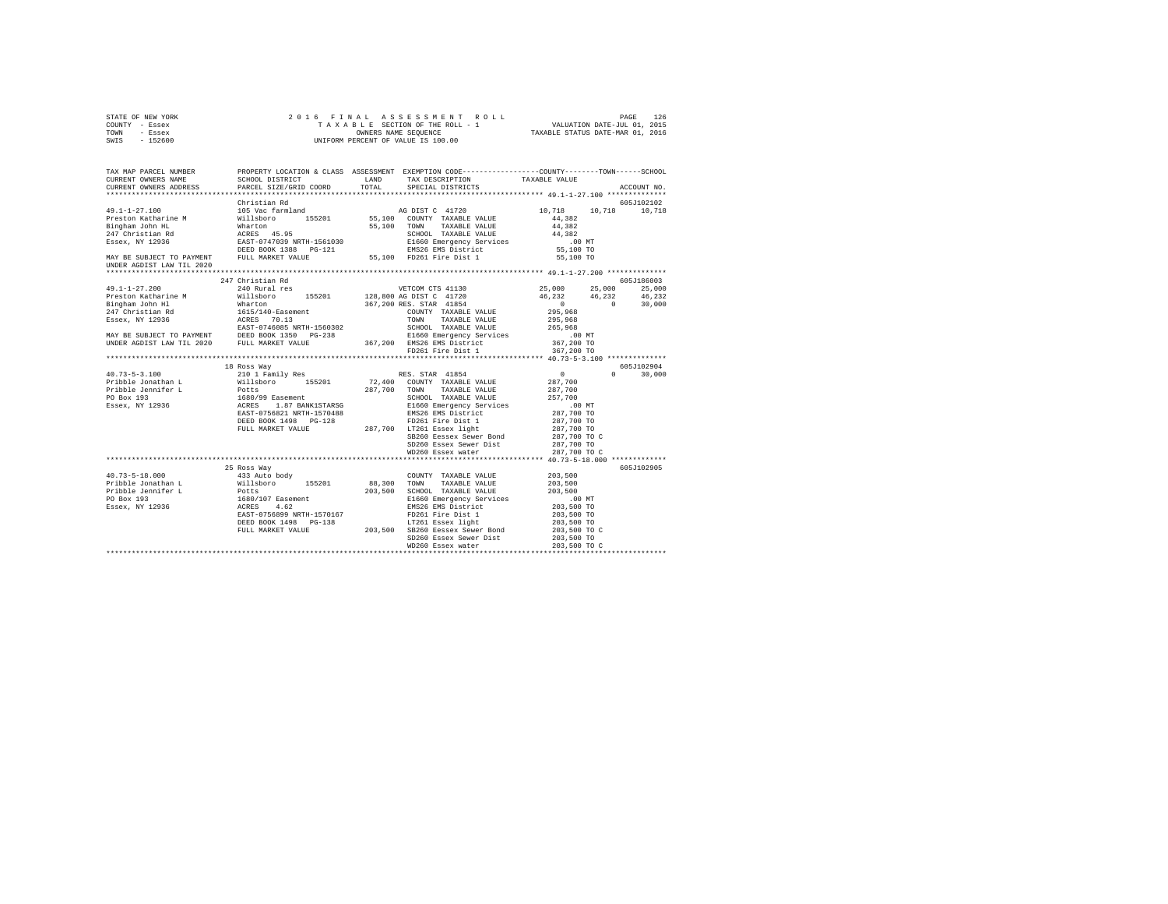|      | STATE OF NEW YORK |  | 2016 FINAL ASSESSMENT ROLL         | 126<br>PAGE                      |  |
|------|-------------------|--|------------------------------------|----------------------------------|--|
|      | COUNTY - Essex    |  | TAXABLE SECTION OF THE ROLL - 1    | VALUATION DATE-JUL 01, 2015      |  |
| TOWN | - Essex           |  | OWNERS NAME SEOUENCE               | TAXABLE STATUS DATE-MAR 01, 2016 |  |
| SWIS | - 152600          |  | UNIFORM PERCENT OF VALUE IS 100.00 |                                  |  |

|                                                                                                                                                                                                                                                                                                                                                                                                            | 605J102102 |
|------------------------------------------------------------------------------------------------------------------------------------------------------------------------------------------------------------------------------------------------------------------------------------------------------------------------------------------------------------------------------------------------------------|------------|
| 10,718   10,718   10,718<br>$\bf 4\,4$ , $\bf 3\,8\,2$<br>44.382<br>COMM FAARBLE VALUE<br>SCHOOL TAXABLE VALUE<br>E1660 Emergency Services 14,382<br>EMS26 EMS District 55,100 TO                                                                                                                                                                                                                          |            |
| 55,100 TO<br>UNDER AGDIST LAW TIL 2020                                                                                                                                                                                                                                                                                                                                                                     |            |
|                                                                                                                                                                                                                                                                                                                                                                                                            |            |
| 247 Christian Rd                                                                                                                                                                                                                                                                                                                                                                                           | 605J186003 |
| 240 Rural res<br>25,000 25,000<br>$49.1 - 1 - 27.200$<br>VETCOM CTS 41130                                                                                                                                                                                                                                                                                                                                  | 25,000     |
|                                                                                                                                                                                                                                                                                                                                                                                                            |            |
|                                                                                                                                                                                                                                                                                                                                                                                                            |            |
|                                                                                                                                                                                                                                                                                                                                                                                                            |            |
|                                                                                                                                                                                                                                                                                                                                                                                                            |            |
|                                                                                                                                                                                                                                                                                                                                                                                                            |            |
|                                                                                                                                                                                                                                                                                                                                                                                                            |            |
|                                                                                                                                                                                                                                                                                                                                                                                                            |            |
|                                                                                                                                                                                                                                                                                                                                                                                                            |            |
|                                                                                                                                                                                                                                                                                                                                                                                                            |            |
| 18 Ross Way                                                                                                                                                                                                                                                                                                                                                                                                | 605J102904 |
| $\mathbf{a}$                                                                                                                                                                                                                                                                                                                                                                                               | 30,000     |
|                                                                                                                                                                                                                                                                                                                                                                                                            |            |
|                                                                                                                                                                                                                                                                                                                                                                                                            |            |
|                                                                                                                                                                                                                                                                                                                                                                                                            |            |
|                                                                                                                                                                                                                                                                                                                                                                                                            |            |
|                                                                                                                                                                                                                                                                                                                                                                                                            |            |
|                                                                                                                                                                                                                                                                                                                                                                                                            |            |
|                                                                                                                                                                                                                                                                                                                                                                                                            |            |
|                                                                                                                                                                                                                                                                                                                                                                                                            |            |
|                                                                                                                                                                                                                                                                                                                                                                                                            |            |
|                                                                                                                                                                                                                                                                                                                                                                                                            |            |
| 25 Ross Way                                                                                                                                                                                                                                                                                                                                                                                                | 605J102905 |
|                                                                                                                                                                                                                                                                                                                                                                                                            |            |
| 40.73-5-18.000<br>Pribble Jonathan L<br>433 Auto body<br>Willsboro 155201<br>COUNTY TAXABLE VALUE 203,500<br>88,300 TOWN TAXABLE VALUE<br>203,500                                                                                                                                                                                                                                                          |            |
| 203,500 SCHOOL TAXABLE VALUE 203,500                                                                                                                                                                                                                                                                                                                                                                       |            |
|                                                                                                                                                                                                                                                                                                                                                                                                            |            |
|                                                                                                                                                                                                                                                                                                                                                                                                            |            |
|                                                                                                                                                                                                                                                                                                                                                                                                            |            |
| $\begin{tabular}{l c c c} \texttt{R1660 Energy} \texttt{Server} & \texttt{Service} & \texttt{3449} & \texttt{00 MT} \\ \texttt{RM826 EMS} & \texttt{M181} & \texttt{105} & \texttt{203,500 TO} \\ \texttt{F7261 First} & \texttt{111} & \texttt{203,500 TO} \\ \texttt{FT261 Basex light} & \texttt{203,500 TO} \\ \texttt{S1260 Besser System Bond} & \texttt{203,500 TO} & \texttt{00} \\ \end{tabular}$ |            |
|                                                                                                                                                                                                                                                                                                                                                                                                            |            |
|                                                                                                                                                                                                                                                                                                                                                                                                            |            |
| Pribble Jonathan L<br>Pribble Jonathan L<br>Pribble Jonathan L<br>Pribble Jonathan L<br>PO Box 193<br>1660/107 Easement<br>PO Box 193<br>1660/107 Easement<br>PO Box 1498<br>203,500 ESED BORS<br>PO261 ERES BOX 1498<br>PO261 ERES BOX 1498<br>PO261                                                                                                                                                      |            |
|                                                                                                                                                                                                                                                                                                                                                                                                            |            |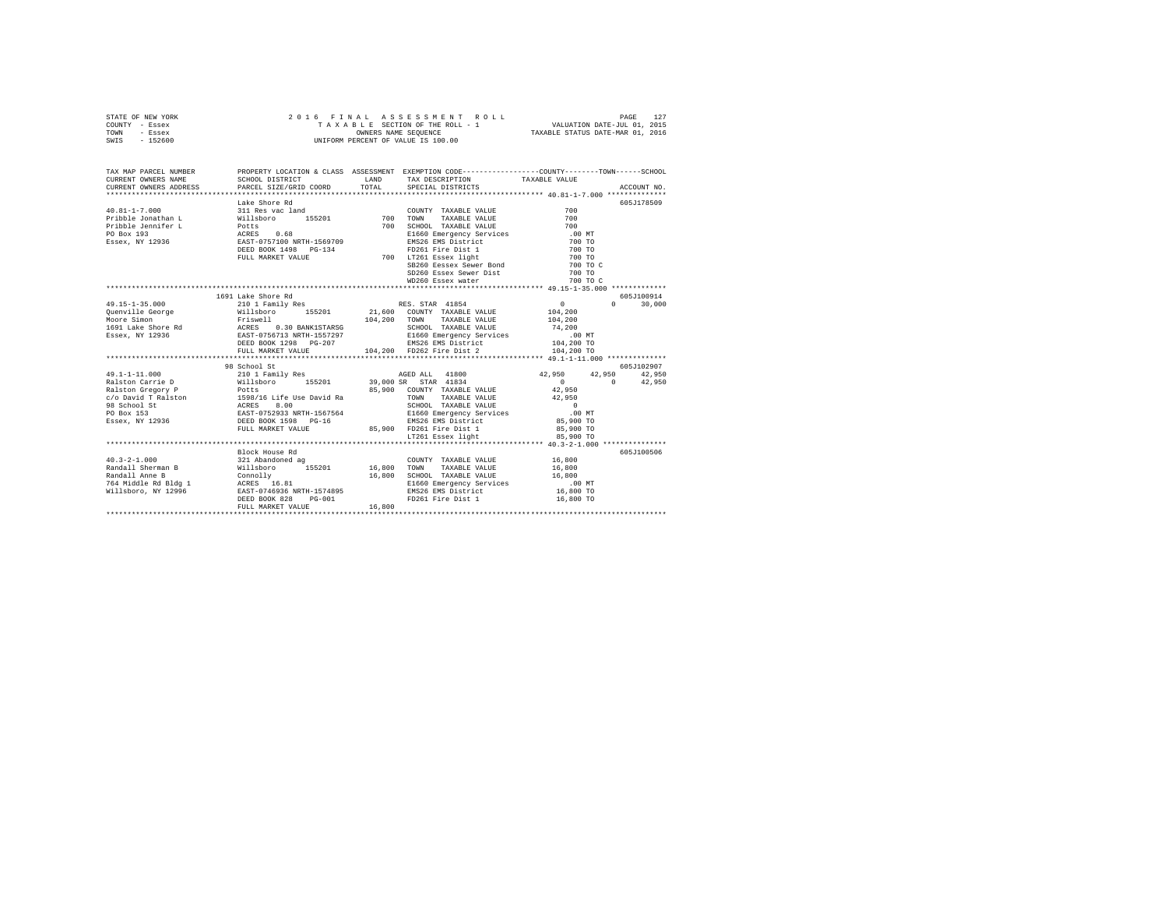| STATE OF NEW YORK |         |  |  |  | 2016 FINAL ASSESSMENT ROLL         |                                  | PAGE                        |  |
|-------------------|---------|--|--|--|------------------------------------|----------------------------------|-----------------------------|--|
| COUNTY - Essex    |         |  |  |  | TAXABLE SECTION OF THE ROLL - 1    |                                  | VALUATION DATE-JUL 01, 2015 |  |
| TOWN              | - Essex |  |  |  | OWNERS NAME SEOUENCE               | TAXABLE STATUS DATE-MAR 01, 2016 |                             |  |
| SWIS - 152600     |         |  |  |  | UNIFORM PERCENT OF VALUE IS 100.00 |                                  |                             |  |

| TAX MAP PARCEL NUMBER                                                                                                                                                                                                                                                                                                                                                                                            |                    |        | PROPERTY LOCATION & CLASS ASSESSMENT EXEMPTION CODE----------------COUNTY-------TOWN-----SCHOOL |             |
|------------------------------------------------------------------------------------------------------------------------------------------------------------------------------------------------------------------------------------------------------------------------------------------------------------------------------------------------------------------------------------------------------------------|--------------------|--------|-------------------------------------------------------------------------------------------------|-------------|
|                                                                                                                                                                                                                                                                                                                                                                                                                  |                    |        |                                                                                                 |             |
|                                                                                                                                                                                                                                                                                                                                                                                                                  |                    |        |                                                                                                 | 605J178509  |
|                                                                                                                                                                                                                                                                                                                                                                                                                  |                    |        |                                                                                                 |             |
|                                                                                                                                                                                                                                                                                                                                                                                                                  |                    |        |                                                                                                 |             |
|                                                                                                                                                                                                                                                                                                                                                                                                                  |                    |        |                                                                                                 |             |
|                                                                                                                                                                                                                                                                                                                                                                                                                  |                    |        |                                                                                                 |             |
|                                                                                                                                                                                                                                                                                                                                                                                                                  |                    |        |                                                                                                 |             |
|                                                                                                                                                                                                                                                                                                                                                                                                                  |                    |        |                                                                                                 |             |
|                                                                                                                                                                                                                                                                                                                                                                                                                  |                    |        |                                                                                                 |             |
|                                                                                                                                                                                                                                                                                                                                                                                                                  |                    |        |                                                                                                 |             |
|                                                                                                                                                                                                                                                                                                                                                                                                                  |                    |        |                                                                                                 |             |
|                                                                                                                                                                                                                                                                                                                                                                                                                  |                    |        |                                                                                                 |             |
| $\begin{tabular}{l c c c c} \hline \texttt{XERENT} & \texttt{MMDR} & \texttt{LARENT} & \texttt{MMDR} & \texttt{SURRE} & \texttt{WUUE} & \texttt{WUUE} & \texttt{WUUE} & \texttt{WUUE} & \texttt{WUUE} & \texttt{WUUE} & \texttt{WUUE} & \texttt{WUUE} & \texttt{WUUE} & \texttt{WUUE} & \texttt{WUUE} & \texttt{WUUE} & \texttt{WUUE} & \texttt{WUUE} & \texttt{WUUE} & \texttt{WUUE} & \texttt{WUUE} & \texttt$ |                    |        |                                                                                                 |             |
|                                                                                                                                                                                                                                                                                                                                                                                                                  | 1691 Lake Shore Rd |        |                                                                                                 | 605J100914  |
|                                                                                                                                                                                                                                                                                                                                                                                                                  |                    |        |                                                                                                 |             |
|                                                                                                                                                                                                                                                                                                                                                                                                                  |                    |        |                                                                                                 |             |
|                                                                                                                                                                                                                                                                                                                                                                                                                  |                    |        |                                                                                                 |             |
|                                                                                                                                                                                                                                                                                                                                                                                                                  |                    |        |                                                                                                 |             |
|                                                                                                                                                                                                                                                                                                                                                                                                                  |                    |        |                                                                                                 |             |
|                                                                                                                                                                                                                                                                                                                                                                                                                  |                    |        |                                                                                                 |             |
|                                                                                                                                                                                                                                                                                                                                                                                                                  |                    |        |                                                                                                 |             |
| $\begin{tabular}{l c c c c c} \multicolumn{1}{c}{\textbf{49.15--1-35.000}} & \multicolumn{1}{c}{1691} & \multicolumn{1}{c}{\textbf{1691} & \multicolumn{1}{c}{\textbf{1691} & \multicolumn{1}{c}{\textbf{1691} & \multicolumn{1}{c}{\textbf{1691} & \multicolumn{1}{c}{\textbf{1691} & \multicolumn{1}{c}{\textbf{1691} & \multicolumn{1}{c}{\textbf{1691} & \multicolumn{1}{c}{\textbf{1691} & \multicolumn{1$  |                    |        |                                                                                                 |             |
|                                                                                                                                                                                                                                                                                                                                                                                                                  | 98 School St       |        |                                                                                                 | 605.7102907 |
|                                                                                                                                                                                                                                                                                                                                                                                                                  |                    |        |                                                                                                 |             |
|                                                                                                                                                                                                                                                                                                                                                                                                                  |                    |        |                                                                                                 |             |
|                                                                                                                                                                                                                                                                                                                                                                                                                  |                    |        |                                                                                                 |             |
|                                                                                                                                                                                                                                                                                                                                                                                                                  |                    |        |                                                                                                 |             |
|                                                                                                                                                                                                                                                                                                                                                                                                                  |                    |        |                                                                                                 |             |
|                                                                                                                                                                                                                                                                                                                                                                                                                  |                    |        |                                                                                                 |             |
|                                                                                                                                                                                                                                                                                                                                                                                                                  |                    |        |                                                                                                 |             |
|                                                                                                                                                                                                                                                                                                                                                                                                                  |                    |        |                                                                                                 |             |
|                                                                                                                                                                                                                                                                                                                                                                                                                  |                    |        |                                                                                                 |             |
| $\begin{tabular}{l c c c c c} \multicolumn{1}{c}{\textbf{43.1--1--11.000}} & \multicolumn{1}{c}{98.6500151} & \multicolumn{1}{c}{18.650151029797} & \multicolumn{1}{c}{18.650151029797} & \multicolumn{1}{c}{18.65015102977} & \multicolumn{1}{c}{18.65015102977} & \multicolumn{1}{c}{18.65015102977} & \multicolumn{1}{c}{18.65015102977} & \$                                                                 |                    |        |                                                                                                 |             |
|                                                                                                                                                                                                                                                                                                                                                                                                                  | Block House Rd     |        |                                                                                                 | 605J100506  |
|                                                                                                                                                                                                                                                                                                                                                                                                                  |                    |        |                                                                                                 |             |
|                                                                                                                                                                                                                                                                                                                                                                                                                  |                    |        |                                                                                                 |             |
|                                                                                                                                                                                                                                                                                                                                                                                                                  |                    |        |                                                                                                 |             |
|                                                                                                                                                                                                                                                                                                                                                                                                                  |                    |        |                                                                                                 |             |
| 40.3-2-1.000<br>321 Abandoned ag COUNTY TAXABLE VALUE 16,800<br>Randall Sherman B Willsboro 155201 16,800 TOWN TAXABLE VALUE 16,800<br>Randall Ame B Willsboro 155201 16,800 SCHOOL TAXABLE VALUE<br>764 Middle Rd Bldg 1 ACRES 16.81                                                                                                                                                                            |                    |        |                                                                                                 |             |
|                                                                                                                                                                                                                                                                                                                                                                                                                  |                    |        |                                                                                                 |             |
|                                                                                                                                                                                                                                                                                                                                                                                                                  | FULL MARKET VALUE  | 16,800 |                                                                                                 |             |
|                                                                                                                                                                                                                                                                                                                                                                                                                  |                    |        |                                                                                                 |             |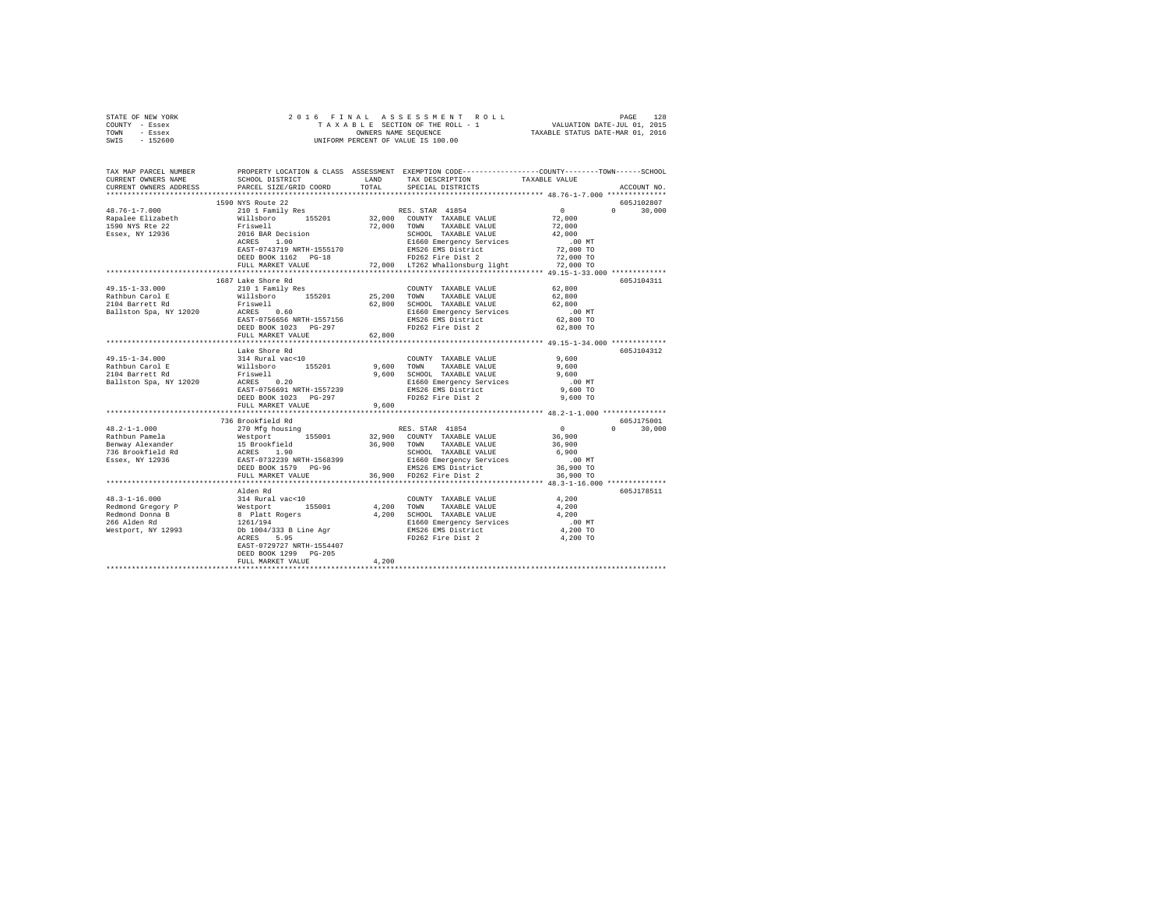| STATE OF NEW YORK                  |                                                                                                                                                                                                                                                                                                                                                                                                                      |       |                                                                                                                                                                                                                                                                                                                                                                                                                                                                          |                                              |               |
|------------------------------------|----------------------------------------------------------------------------------------------------------------------------------------------------------------------------------------------------------------------------------------------------------------------------------------------------------------------------------------------------------------------------------------------------------------------|-------|--------------------------------------------------------------------------------------------------------------------------------------------------------------------------------------------------------------------------------------------------------------------------------------------------------------------------------------------------------------------------------------------------------------------------------------------------------------------------|----------------------------------------------|---------------|
| COUNTY - Essex                     |                                                                                                                                                                                                                                                                                                                                                                                                                      |       |                                                                                                                                                                                                                                                                                                                                                                                                                                                                          |                                              |               |
| TOWN - Essex                       |                                                                                                                                                                                                                                                                                                                                                                                                                      |       |                                                                                                                                                                                                                                                                                                                                                                                                                                                                          |                                              |               |
| SWIS - 152600                      |                                                                                                                                                                                                                                                                                                                                                                                                                      |       |                                                                                                                                                                                                                                                                                                                                                                                                                                                                          |                                              |               |
|                                    |                                                                                                                                                                                                                                                                                                                                                                                                                      |       |                                                                                                                                                                                                                                                                                                                                                                                                                                                                          |                                              |               |
|                                    |                                                                                                                                                                                                                                                                                                                                                                                                                      |       |                                                                                                                                                                                                                                                                                                                                                                                                                                                                          |                                              |               |
|                                    |                                                                                                                                                                                                                                                                                                                                                                                                                      |       |                                                                                                                                                                                                                                                                                                                                                                                                                                                                          |                                              |               |
|                                    | TAX MAP PARCEL NUMBER PROPERTY LOCATION & CLASS ASSESSMENT EXEMPTION CODE--------------COUNTY-------TOWN------SCHOOL<br>CURRENT OWNERS NAME SCHOOL DISTRICT LAND TAX DESCRIPTION TAXARLE VALUE                                                                                                                                                                                                                       |       |                                                                                                                                                                                                                                                                                                                                                                                                                                                                          |                                              |               |
|                                    | SCHOOL DISTRICT <b>LAND</b> TAX DESCRIPTION TAXABLE VALUE                                                                                                                                                                                                                                                                                                                                                            |       |                                                                                                                                                                                                                                                                                                                                                                                                                                                                          |                                              |               |
|                                    | CURRENT OWNERS ADDRESS PARCEL SIZE/GRID COORD TOTAL                                                                                                                                                                                                                                                                                                                                                                  |       | SPECIAL DISTRICTS                                                                                                                                                                                                                                                                                                                                                                                                                                                        |                                              | ACCOUNT NO.   |
|                                    |                                                                                                                                                                                                                                                                                                                                                                                                                      |       |                                                                                                                                                                                                                                                                                                                                                                                                                                                                          |                                              |               |
|                                    | 1590 NYS Route 22                                                                                                                                                                                                                                                                                                                                                                                                    |       |                                                                                                                                                                                                                                                                                                                                                                                                                                                                          |                                              | 605J102807    |
|                                    |                                                                                                                                                                                                                                                                                                                                                                                                                      |       |                                                                                                                                                                                                                                                                                                                                                                                                                                                                          |                                              | $0 \t 30,000$ |
|                                    |                                                                                                                                                                                                                                                                                                                                                                                                                      |       |                                                                                                                                                                                                                                                                                                                                                                                                                                                                          |                                              |               |
|                                    |                                                                                                                                                                                                                                                                                                                                                                                                                      |       |                                                                                                                                                                                                                                                                                                                                                                                                                                                                          |                                              |               |
|                                    |                                                                                                                                                                                                                                                                                                                                                                                                                      |       |                                                                                                                                                                                                                                                                                                                                                                                                                                                                          |                                              |               |
|                                    |                                                                                                                                                                                                                                                                                                                                                                                                                      |       |                                                                                                                                                                                                                                                                                                                                                                                                                                                                          |                                              |               |
|                                    | $\begin{tabular}{l c c c c} \multicolumn{1}{c}{\textbf{48.76--1--7.000}} & \multicolumn{1}{c}{1-500} & \multicolumn{1}{c}{1-500} & \multicolumn{1}{c}{1-500} & \multicolumn{1}{c}{1-500} & \multicolumn{1}{c}{1-500} & \multicolumn{1}{c}{1-500} & \multicolumn{1}{c}{1-500} & \multicolumn{1}{c}{1-500} & \multicolumn{1}{c}{1-500} & \multicolumn{1}{c}{1-500} & \multicolumn{1}{c}{1-500} &$                      |       |                                                                                                                                                                                                                                                                                                                                                                                                                                                                          |                                              |               |
|                                    |                                                                                                                                                                                                                                                                                                                                                                                                                      |       |                                                                                                                                                                                                                                                                                                                                                                                                                                                                          |                                              |               |
|                                    |                                                                                                                                                                                                                                                                                                                                                                                                                      |       |                                                                                                                                                                                                                                                                                                                                                                                                                                                                          |                                              |               |
|                                    |                                                                                                                                                                                                                                                                                                                                                                                                                      |       |                                                                                                                                                                                                                                                                                                                                                                                                                                                                          |                                              |               |
|                                    |                                                                                                                                                                                                                                                                                                                                                                                                                      |       |                                                                                                                                                                                                                                                                                                                                                                                                                                                                          |                                              |               |
|                                    | 1687 Lake Shore Rd                                                                                                                                                                                                                                                                                                                                                                                                   |       |                                                                                                                                                                                                                                                                                                                                                                                                                                                                          |                                              | 605J104311    |
|                                    |                                                                                                                                                                                                                                                                                                                                                                                                                      |       | $\begin{tabular}{lllll} \multicolumn{2}{l}{{\text{COUNTY}}} & \multicolumn{2}{l}{\text{TAXABLE VALUE}} & \multicolumn{2}{l}{\text{S2,800}}\\ \multicolumn{2}{l}{\text{COUNTY}} & \multicolumn{2}{l}{\text{TAXABLE VALUE}} & \multicolumn{2}{l}{\text{S2,800}}\\ \multicolumn{2}{l}{\text{S3,90}} & \multicolumn{2}{l}{\text{S4,90}} & \multicolumn{2}{l}{\text{S5}} & \multicolumn{2}{l}{\text{S6}}\\ \multicolumn{2}{l}{\text{C4}} & \multicolumn{2}{l}{\text{S4}} & \$ |                                              |               |
|                                    |                                                                                                                                                                                                                                                                                                                                                                                                                      |       |                                                                                                                                                                                                                                                                                                                                                                                                                                                                          | 62,800                                       |               |
|                                    |                                                                                                                                                                                                                                                                                                                                                                                                                      |       |                                                                                                                                                                                                                                                                                                                                                                                                                                                                          |                                              |               |
|                                    |                                                                                                                                                                                                                                                                                                                                                                                                                      |       |                                                                                                                                                                                                                                                                                                                                                                                                                                                                          | 62,800                                       |               |
|                                    |                                                                                                                                                                                                                                                                                                                                                                                                                      |       |                                                                                                                                                                                                                                                                                                                                                                                                                                                                          | .00 MT                                       |               |
|                                    |                                                                                                                                                                                                                                                                                                                                                                                                                      |       |                                                                                                                                                                                                                                                                                                                                                                                                                                                                          | 62,800 TO                                    |               |
|                                    |                                                                                                                                                                                                                                                                                                                                                                                                                      |       |                                                                                                                                                                                                                                                                                                                                                                                                                                                                          | 62,800 TO                                    |               |
|                                    |                                                                                                                                                                                                                                                                                                                                                                                                                      |       |                                                                                                                                                                                                                                                                                                                                                                                                                                                                          |                                              |               |
|                                    |                                                                                                                                                                                                                                                                                                                                                                                                                      |       |                                                                                                                                                                                                                                                                                                                                                                                                                                                                          |                                              |               |
|                                    | Lake Shore Rd                                                                                                                                                                                                                                                                                                                                                                                                        |       |                                                                                                                                                                                                                                                                                                                                                                                                                                                                          |                                              | 605J104312    |
| 49.15-1-34.000                     |                                                                                                                                                                                                                                                                                                                                                                                                                      |       |                                                                                                                                                                                                                                                                                                                                                                                                                                                                          | 9,600                                        |               |
|                                    |                                                                                                                                                                                                                                                                                                                                                                                                                      |       |                                                                                                                                                                                                                                                                                                                                                                                                                                                                          |                                              |               |
| Rathbun Carol E<br>2104 Barrett Rd |                                                                                                                                                                                                                                                                                                                                                                                                                      |       |                                                                                                                                                                                                                                                                                                                                                                                                                                                                          | 9,600<br>9,600                               |               |
| Ballston Spa, NY 12020             |                                                                                                                                                                                                                                                                                                                                                                                                                      |       |                                                                                                                                                                                                                                                                                                                                                                                                                                                                          | $.00$ MT                                     |               |
|                                    |                                                                                                                                                                                                                                                                                                                                                                                                                      |       |                                                                                                                                                                                                                                                                                                                                                                                                                                                                          | 9,600 TO                                     |               |
|                                    |                                                                                                                                                                                                                                                                                                                                                                                                                      |       |                                                                                                                                                                                                                                                                                                                                                                                                                                                                          | $9.600$ TO                                   |               |
|                                    |                                                                                                                                                                                                                                                                                                                                                                                                                      |       |                                                                                                                                                                                                                                                                                                                                                                                                                                                                          |                                              |               |
|                                    |                                                                                                                                                                                                                                                                                                                                                                                                                      |       |                                                                                                                                                                                                                                                                                                                                                                                                                                                                          |                                              |               |
|                                    |                                                                                                                                                                                                                                                                                                                                                                                                                      |       |                                                                                                                                                                                                                                                                                                                                                                                                                                                                          |                                              |               |
|                                    | 736 Brookfield Rd                                                                                                                                                                                                                                                                                                                                                                                                    |       |                                                                                                                                                                                                                                                                                                                                                                                                                                                                          |                                              | 605J175001    |
|                                    |                                                                                                                                                                                                                                                                                                                                                                                                                      |       |                                                                                                                                                                                                                                                                                                                                                                                                                                                                          |                                              | $0 \t 30,000$ |
|                                    |                                                                                                                                                                                                                                                                                                                                                                                                                      |       |                                                                                                                                                                                                                                                                                                                                                                                                                                                                          |                                              |               |
|                                    | $\begin{tabular}{ccccc} \textbf{48.2--1-1.000} & \textbf{758.900} \textbf{TPAC} & \textbf{76.901} & \textbf{8.901} \textbf{TPAC} \\ \textbf{Rathbin plane} & \textbf{270} \textbf{Mfg} \textbf{housing} & \textbf{RES, STRR} & \textbf{41854} & 0 \\ \textbf{Rathbin plane} & \textbf{8.900} & \textbf{7.800} \textbf{Nfg} \textbf{h} & \textbf{155001} & \textbf{32.900} & \textbf{CUNITY} & \textbf{TAXABLE VALUE$ |       |                                                                                                                                                                                                                                                                                                                                                                                                                                                                          |                                              |               |
|                                    |                                                                                                                                                                                                                                                                                                                                                                                                                      |       |                                                                                                                                                                                                                                                                                                                                                                                                                                                                          |                                              |               |
|                                    |                                                                                                                                                                                                                                                                                                                                                                                                                      |       |                                                                                                                                                                                                                                                                                                                                                                                                                                                                          |                                              |               |
|                                    |                                                                                                                                                                                                                                                                                                                                                                                                                      |       |                                                                                                                                                                                                                                                                                                                                                                                                                                                                          |                                              |               |
|                                    |                                                                                                                                                                                                                                                                                                                                                                                                                      |       |                                                                                                                                                                                                                                                                                                                                                                                                                                                                          |                                              |               |
|                                    |                                                                                                                                                                                                                                                                                                                                                                                                                      |       |                                                                                                                                                                                                                                                                                                                                                                                                                                                                          | *************** 48.3-1-16.000 ************** |               |
|                                    |                                                                                                                                                                                                                                                                                                                                                                                                                      |       |                                                                                                                                                                                                                                                                                                                                                                                                                                                                          |                                              |               |
|                                    | Alden Rd                                                                                                                                                                                                                                                                                                                                                                                                             |       |                                                                                                                                                                                                                                                                                                                                                                                                                                                                          |                                              | 605J178511    |
|                                    |                                                                                                                                                                                                                                                                                                                                                                                                                      |       |                                                                                                                                                                                                                                                                                                                                                                                                                                                                          |                                              |               |
|                                    |                                                                                                                                                                                                                                                                                                                                                                                                                      |       |                                                                                                                                                                                                                                                                                                                                                                                                                                                                          |                                              |               |
|                                    |                                                                                                                                                                                                                                                                                                                                                                                                                      |       |                                                                                                                                                                                                                                                                                                                                                                                                                                                                          |                                              |               |
|                                    |                                                                                                                                                                                                                                                                                                                                                                                                                      |       |                                                                                                                                                                                                                                                                                                                                                                                                                                                                          |                                              |               |
|                                    |                                                                                                                                                                                                                                                                                                                                                                                                                      |       |                                                                                                                                                                                                                                                                                                                                                                                                                                                                          |                                              |               |
|                                    |                                                                                                                                                                                                                                                                                                                                                                                                                      |       |                                                                                                                                                                                                                                                                                                                                                                                                                                                                          |                                              |               |
|                                    | EAST-0729727 NRTH-1554407                                                                                                                                                                                                                                                                                                                                                                                            |       |                                                                                                                                                                                                                                                                                                                                                                                                                                                                          |                                              |               |
|                                    | DEED BOOK 1299 PG-205                                                                                                                                                                                                                                                                                                                                                                                                |       |                                                                                                                                                                                                                                                                                                                                                                                                                                                                          |                                              |               |
|                                    | FULL MARKET VALUE                                                                                                                                                                                                                                                                                                                                                                                                    | 4,200 |                                                                                                                                                                                                                                                                                                                                                                                                                                                                          |                                              |               |
|                                    |                                                                                                                                                                                                                                                                                                                                                                                                                      |       |                                                                                                                                                                                                                                                                                                                                                                                                                                                                          |                                              |               |
|                                    |                                                                                                                                                                                                                                                                                                                                                                                                                      |       |                                                                                                                                                                                                                                                                                                                                                                                                                                                                          |                                              |               |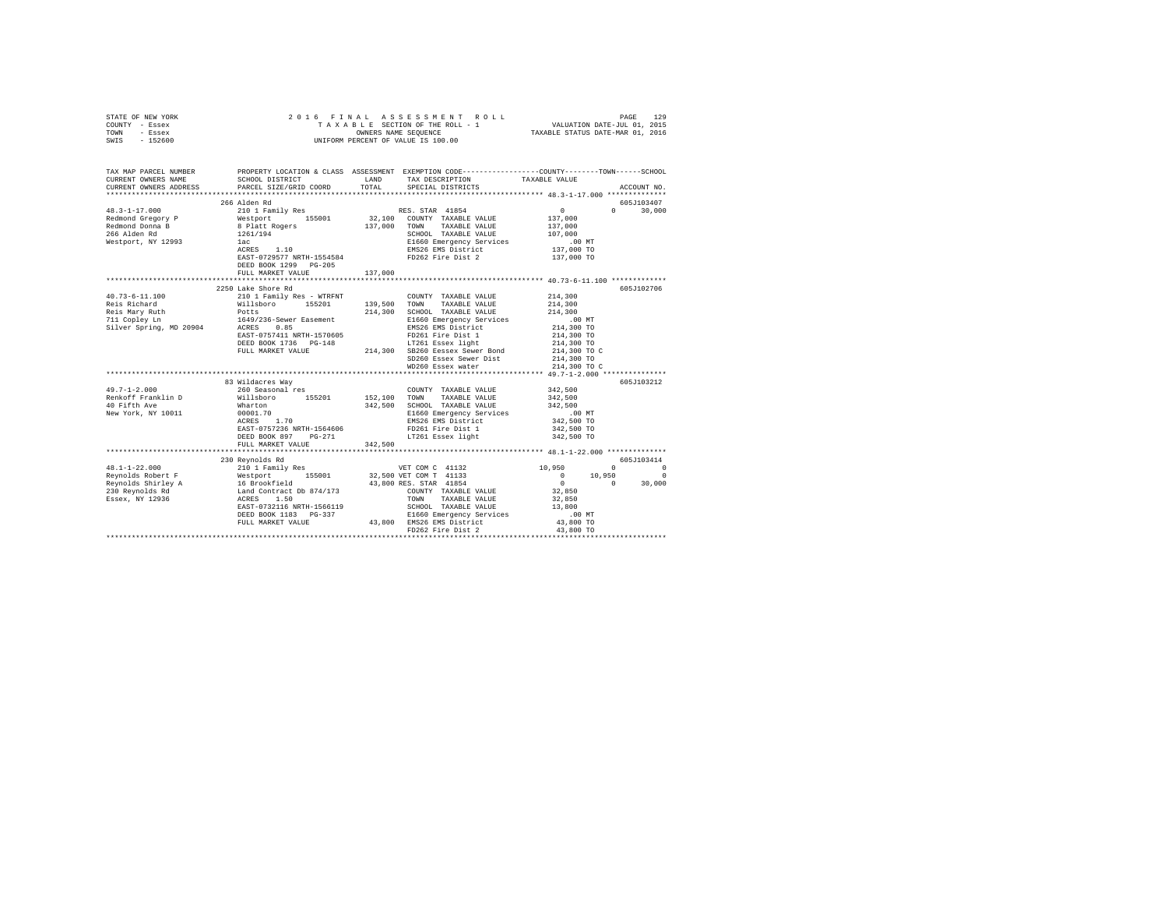| STATE OF NEW YORK                                                                                                                                                                                                                                                                                                                                                                                        |                                                                                                                          |                                                                                 |                                                                                                                                                       |                            |                                   |
|----------------------------------------------------------------------------------------------------------------------------------------------------------------------------------------------------------------------------------------------------------------------------------------------------------------------------------------------------------------------------------------------------------|--------------------------------------------------------------------------------------------------------------------------|---------------------------------------------------------------------------------|-------------------------------------------------------------------------------------------------------------------------------------------------------|----------------------------|-----------------------------------|
| COUNTY - Essex                                                                                                                                                                                                                                                                                                                                                                                           |                                                                                                                          |                                                                                 |                                                                                                                                                       |                            |                                   |
| TOWN - Essex                                                                                                                                                                                                                                                                                                                                                                                             |                                                                                                                          |                                                                                 |                                                                                                                                                       |                            |                                   |
| SWIS - 152600                                                                                                                                                                                                                                                                                                                                                                                            |                                                                                                                          |                                                                                 |                                                                                                                                                       |                            |                                   |
|                                                                                                                                                                                                                                                                                                                                                                                                          |                                                                                                                          |                                                                                 |                                                                                                                                                       |                            |                                   |
|                                                                                                                                                                                                                                                                                                                                                                                                          |                                                                                                                          |                                                                                 |                                                                                                                                                       |                            |                                   |
|                                                                                                                                                                                                                                                                                                                                                                                                          |                                                                                                                          |                                                                                 |                                                                                                                                                       |                            |                                   |
| TAX MAP PARCEL NUMBER                                                                                                                                                                                                                                                                                                                                                                                    |                                                                                                                          |                                                                                 | PROPERTY LOCATION & CLASS ASSESSMENT EXEMPTION CODE----------------COUNTY-------TOWN------SCHOOL                                                      |                            |                                   |
| CURRENT OWNERS NAME                                                                                                                                                                                                                                                                                                                                                                                      |                                                                                                                          |                                                                                 |                                                                                                                                                       |                            |                                   |
| CURRENT OWNERS ADDRESS                                                                                                                                                                                                                                                                                                                                                                                   | PARCEL SIZE/GRID COORD                                                                                                   |                                                                                 |                                                                                                                                                       |                            | ACCOUNT NO.                       |
|                                                                                                                                                                                                                                                                                                                                                                                                          |                                                                                                                          |                                                                                 |                                                                                                                                                       |                            |                                   |
|                                                                                                                                                                                                                                                                                                                                                                                                          | 266 Alden Rd                                                                                                             |                                                                                 |                                                                                                                                                       |                            | 605J103407                        |
| $\begin{tabular}{l c c c c c} \multicolumn{3}{c c c} \multicolumn{3}{c c c} \multicolumn{3}{c c c} \multicolumn{3}{c c c} \multicolumn{3}{c c c} \multicolumn{3}{c c c} \multicolumn{3}{c c c} \multicolumn{3}{c c c} \multicolumn{3}{c c c} \multicolumn{3}{c c c} \multicolumn{3}{c c c} \multicolumn{3}{c c c} \multicolumn{3}{c c c} \multicolumn{3}{c c c} \multicolumn{3}{c c c} \multicolumn{3}{$ |                                                                                                                          |                                                                                 |                                                                                                                                                       |                            | $0 \t 30.000$                     |
|                                                                                                                                                                                                                                                                                                                                                                                                          |                                                                                                                          |                                                                                 |                                                                                                                                                       |                            |                                   |
|                                                                                                                                                                                                                                                                                                                                                                                                          |                                                                                                                          |                                                                                 |                                                                                                                                                       |                            |                                   |
|                                                                                                                                                                                                                                                                                                                                                                                                          |                                                                                                                          |                                                                                 |                                                                                                                                                       |                            |                                   |
|                                                                                                                                                                                                                                                                                                                                                                                                          |                                                                                                                          |                                                                                 |                                                                                                                                                       |                            |                                   |
|                                                                                                                                                                                                                                                                                                                                                                                                          |                                                                                                                          |                                                                                 |                                                                                                                                                       |                            |                                   |
|                                                                                                                                                                                                                                                                                                                                                                                                          |                                                                                                                          |                                                                                 |                                                                                                                                                       |                            |                                   |
|                                                                                                                                                                                                                                                                                                                                                                                                          |                                                                                                                          |                                                                                 |                                                                                                                                                       |                            |                                   |
|                                                                                                                                                                                                                                                                                                                                                                                                          | DEED BOOK 1299 PG-205                                                                                                    |                                                                                 |                                                                                                                                                       |                            |                                   |
|                                                                                                                                                                                                                                                                                                                                                                                                          | FULL MARKET VALUE                                                                                                        | 137,000                                                                         |                                                                                                                                                       |                            |                                   |
|                                                                                                                                                                                                                                                                                                                                                                                                          |                                                                                                                          |                                                                                 |                                                                                                                                                       |                            |                                   |
|                                                                                                                                                                                                                                                                                                                                                                                                          | 2250 Lake Shore Rd                                                                                                       |                                                                                 |                                                                                                                                                       |                            | 605J102706                        |
|                                                                                                                                                                                                                                                                                                                                                                                                          |                                                                                                                          |                                                                                 |                                                                                                                                                       | 214,300                    |                                   |
|                                                                                                                                                                                                                                                                                                                                                                                                          |                                                                                                                          |                                                                                 |                                                                                                                                                       | 214,300                    |                                   |
|                                                                                                                                                                                                                                                                                                                                                                                                          |                                                                                                                          |                                                                                 | 214,300 SCHOOL TAXABLE VALUE<br>214,300 SCHOOL TAXABLE VALUE<br>214,300 TO EMS26 EMS District 214,300 TO<br>214,300 TO TALLA TAXABLE VALUE 214,300 TO |                            |                                   |
|                                                                                                                                                                                                                                                                                                                                                                                                          |                                                                                                                          |                                                                                 |                                                                                                                                                       |                            |                                   |
|                                                                                                                                                                                                                                                                                                                                                                                                          |                                                                                                                          |                                                                                 |                                                                                                                                                       |                            |                                   |
|                                                                                                                                                                                                                                                                                                                                                                                                          | EAST-0757411 NRTH-1570605 FD261 Fire Dist 1<br>DEED BOOK 1736 PG-148<br>FULL MARKET VALUE 214,300 SB260 Eesex Sewer Bond |                                                                                 |                                                                                                                                                       |                            |                                   |
|                                                                                                                                                                                                                                                                                                                                                                                                          |                                                                                                                          |                                                                                 |                                                                                                                                                       | 214,300 TO                 |                                   |
|                                                                                                                                                                                                                                                                                                                                                                                                          |                                                                                                                          |                                                                                 |                                                                                                                                                       | $214,300$ TO C             |                                   |
|                                                                                                                                                                                                                                                                                                                                                                                                          |                                                                                                                          |                                                                                 | SD260 Essex Sewer Dist                                                                                                                                | 214,300 TO                 |                                   |
|                                                                                                                                                                                                                                                                                                                                                                                                          |                                                                                                                          |                                                                                 | WD260 Essex water                                                                                                                                     | 214,300 TO C               |                                   |
|                                                                                                                                                                                                                                                                                                                                                                                                          |                                                                                                                          |                                                                                 |                                                                                                                                                       |                            |                                   |
|                                                                                                                                                                                                                                                                                                                                                                                                          | 83 Wildacres Way                                                                                                         |                                                                                 |                                                                                                                                                       |                            | 605J103212                        |
| $49.7 - 1 - 2.000$                                                                                                                                                                                                                                                                                                                                                                                       |                                                                                                                          |                                                                                 | COUNTY TAXABLE VALUE                                                                                                                                  | 342,500                    |                                   |
| Renkoff Franklin D                                                                                                                                                                                                                                                                                                                                                                                       | % millancies way<br>260 Seasonal res<br>Willsboro 155201<br>Wharton<br>00001.70<br>ACRES 1.70                            | $\begin{array}{cc}\n\text{COUNTY} \\ \text{152,100} & \text{TOWN}\n\end{array}$ | TAXABLE VALUE                                                                                                                                         | 342,500                    |                                   |
|                                                                                                                                                                                                                                                                                                                                                                                                          |                                                                                                                          |                                                                                 |                                                                                                                                                       |                            |                                   |
| 40 Fifth Ave                                                                                                                                                                                                                                                                                                                                                                                             |                                                                                                                          |                                                                                 | 342,500 SCHOOL TAXABLE VALUE<br>E1660 Emergency Services                                                                                              | 342,500                    |                                   |
| New York, NY 10011                                                                                                                                                                                                                                                                                                                                                                                       |                                                                                                                          |                                                                                 |                                                                                                                                                       | 00 MT.<br>342,500 TO       |                                   |
|                                                                                                                                                                                                                                                                                                                                                                                                          |                                                                                                                          |                                                                                 | EMS26 EMS District                                                                                                                                    |                            |                                   |
|                                                                                                                                                                                                                                                                                                                                                                                                          | EAST-0757236 NRTH-1564606 FD261 Fire Dist 1<br>DEED BOOK 897 PG-271 LT261 Essex light                                    |                                                                                 |                                                                                                                                                       | 342,500 TO                 |                                   |
|                                                                                                                                                                                                                                                                                                                                                                                                          |                                                                                                                          |                                                                                 |                                                                                                                                                       | 342,500 TO                 |                                   |
|                                                                                                                                                                                                                                                                                                                                                                                                          | FULL MARKET VALUE                                                                                                        | 342.500                                                                         |                                                                                                                                                       |                            |                                   |
|                                                                                                                                                                                                                                                                                                                                                                                                          |                                                                                                                          |                                                                                 |                                                                                                                                                       |                            |                                   |
|                                                                                                                                                                                                                                                                                                                                                                                                          | 230 Revnolds Rd                                                                                                          |                                                                                 |                                                                                                                                                       |                            | 605J103414                        |
|                                                                                                                                                                                                                                                                                                                                                                                                          |                                                                                                                          |                                                                                 |                                                                                                                                                       |                            | $\overline{0}$ and $\overline{0}$ |
|                                                                                                                                                                                                                                                                                                                                                                                                          |                                                                                                                          |                                                                                 |                                                                                                                                                       |                            |                                   |
|                                                                                                                                                                                                                                                                                                                                                                                                          |                                                                                                                          |                                                                                 |                                                                                                                                                       | $0$ 10,950 0<br>0 0 30,000 |                                   |
|                                                                                                                                                                                                                                                                                                                                                                                                          |                                                                                                                          |                                                                                 |                                                                                                                                                       | 32,850                     |                                   |
|                                                                                                                                                                                                                                                                                                                                                                                                          |                                                                                                                          |                                                                                 |                                                                                                                                                       | 32,850<br>32,850           |                                   |
|                                                                                                                                                                                                                                                                                                                                                                                                          |                                                                                                                          |                                                                                 |                                                                                                                                                       |                            |                                   |
|                                                                                                                                                                                                                                                                                                                                                                                                          |                                                                                                                          |                                                                                 |                                                                                                                                                       |                            |                                   |
|                                                                                                                                                                                                                                                                                                                                                                                                          |                                                                                                                          |                                                                                 |                                                                                                                                                       | 00 MT.<br>43,800 TO        |                                   |
| $\begin{tabular}{l c c c c c} \multicolumn{3}{c c c c} \multicolumn{3}{c c c} \multicolumn{3}{c c c} \multicolumn{3}{c c c} \multicolumn{3}{c c c} \multicolumn{3}{c c c} \multicolumn{3}{c c c} \multicolumn{3}{c c c} \multicolumn{3}{c c c} \multicolumn{3}{c c c} \multicolumn{3}{c c c} \multicolumn{3}{c c c} \multicolumn{3}{c c c} \multicolumn{3}{c c c} \multicolumn{3}{c c c} \multicolumn{$  |                                                                                                                          |                                                                                 | FD262 Fire Dist 2                                                                                                                                     | 43,800 TO                  |                                   |
|                                                                                                                                                                                                                                                                                                                                                                                                          |                                                                                                                          |                                                                                 |                                                                                                                                                       |                            |                                   |
|                                                                                                                                                                                                                                                                                                                                                                                                          |                                                                                                                          |                                                                                 |                                                                                                                                                       |                            |                                   |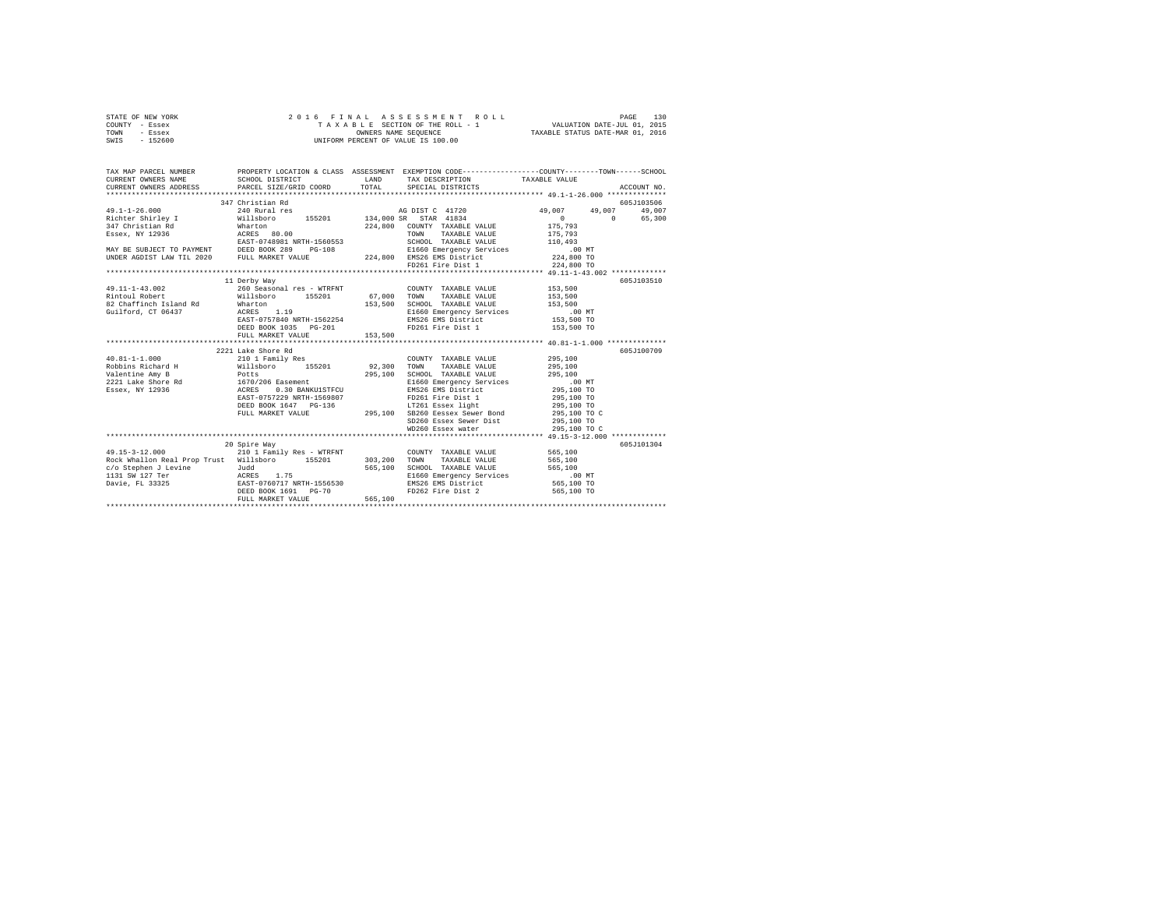| STATE OF NEW YORK<br>COUNTY - Essex<br>TOWN<br>- Essex<br>SWIS - 152600                                                                     | 2 0 1 6                                                                |                                     | 5 FINAL ASSESSMENT ROLL (2015 PLE 130 PAGE 130 PAGE 130 PLE SECTION OF THE ROLL - 1 VALUATION DATE-JUL 01, 2015 PLE 130 PLE 120 PLE 2015 PLE 2016 PLE 2015 PLE 2016 PLE 2016 PLE 2016 PLE 2016 PLE 2016 PLE 2016 PLE 2016 PLE<br>UNIFORM PERCENT OF VALUE IS 100.00 |                                                     |               |
|---------------------------------------------------------------------------------------------------------------------------------------------|------------------------------------------------------------------------|-------------------------------------|---------------------------------------------------------------------------------------------------------------------------------------------------------------------------------------------------------------------------------------------------------------------|-----------------------------------------------------|---------------|
| TAX MAP PARCEL NUMBER PROPERTY LOCATION & CLASS ASSESSMENT EXEMPTION CODE--------------COUNTY-------TOWN------SCHOOL<br>CURRENT OWNERS NAME | SCHOOL DISTRICT                                                        |                                     | LAND TAX DESCRIPTION                                                                                                                                                                                                                                                | TAXABLE VALUE                                       |               |
| CURRENT OWNERS ADDRESS                                                                                                                      | PARCEL SIZE/GRID COORD                                                 |                                     | TOTAL SPECIAL DISTRICTS                                                                                                                                                                                                                                             |                                                     | ACCOUNT NO.   |
|                                                                                                                                             |                                                                        |                                     |                                                                                                                                                                                                                                                                     |                                                     |               |
|                                                                                                                                             |                                                                        |                                     |                                                                                                                                                                                                                                                                     |                                                     | 605J103506    |
|                                                                                                                                             |                                                                        |                                     |                                                                                                                                                                                                                                                                     | 49,007<br>$\mathbf{0}$                              | 49,007 49,007 |
|                                                                                                                                             |                                                                        |                                     |                                                                                                                                                                                                                                                                     | 175,793                                             | 0 65,300      |
|                                                                                                                                             |                                                                        |                                     |                                                                                                                                                                                                                                                                     | 175,793                                             |               |
|                                                                                                                                             |                                                                        |                                     |                                                                                                                                                                                                                                                                     | 110,493                                             |               |
|                                                                                                                                             |                                                                        |                                     |                                                                                                                                                                                                                                                                     | .00MT                                               |               |
|                                                                                                                                             |                                                                        |                                     |                                                                                                                                                                                                                                                                     | 224,800 TO                                          |               |
|                                                                                                                                             |                                                                        |                                     |                                                                                                                                                                                                                                                                     | 224,800 TO                                          |               |
|                                                                                                                                             |                                                                        |                                     |                                                                                                                                                                                                                                                                     |                                                     |               |
|                                                                                                                                             | 11 Derby Way                                                           |                                     |                                                                                                                                                                                                                                                                     |                                                     | 605J103510    |
| 49.11-1-43.002                                                                                                                              | 260 Seasonal res - WTRFNT                                              |                                     | COUNTY TAXABLE VALUE                                                                                                                                                                                                                                                | 153,500                                             |               |
| Rintoul Robert                                                                                                                              |                                                                        | 67,000 TOWN                         | TAXABLE VALUE                                                                                                                                                                                                                                                       | 153,500                                             |               |
| 82 Chaffinch Island Rd                                                                                                                      | Willsboro 155201<br>Wharton<br>ACRES 1.19<br>EAST-0757840 NRTH-1562254 |                                     | 153,500 SCHOOL TAXABLE VALUE                                                                                                                                                                                                                                        | 153,500                                             |               |
| Guilford, CT 06437                                                                                                                          |                                                                        |                                     | E1660 Emergency Services                                                                                                                                                                                                                                            | .00 MT.<br>153,500 TO                               |               |
|                                                                                                                                             |                                                                        |                                     | EMS26 EMS District                                                                                                                                                                                                                                                  |                                                     |               |
|                                                                                                                                             | DEED BOOK 1035 PG-201                                                  |                                     | FD261 Fire Dist 1                                                                                                                                                                                                                                                   | 153,500 TO                                          |               |
|                                                                                                                                             | FULL MARKET VALUE<br>*******************************                   | 153,500<br>************************ |                                                                                                                                                                                                                                                                     | ********************* 40.81-1-1.000 *************** |               |
|                                                                                                                                             | 2221 Lake Shore Rd                                                     |                                     |                                                                                                                                                                                                                                                                     |                                                     | 605J100709    |
|                                                                                                                                             |                                                                        |                                     |                                                                                                                                                                                                                                                                     | 295,100                                             |               |
|                                                                                                                                             |                                                                        |                                     |                                                                                                                                                                                                                                                                     | 295,100                                             |               |
|                                                                                                                                             |                                                                        |                                     | SCHOOL TAXABLE VALUE                                                                                                                                                                                                                                                | 295,100                                             |               |
|                                                                                                                                             |                                                                        |                                     | E1660 Emergency Services                                                                                                                                                                                                                                            | .00 MT                                              |               |
|                                                                                                                                             |                                                                        |                                     | EMS26 EMS District                                                                                                                                                                                                                                                  | 295,100 TO                                          |               |
|                                                                                                                                             |                                                                        |                                     |                                                                                                                                                                                                                                                                     | 295,100 TO                                          |               |
|                                                                                                                                             | DEED BOOK 1647 PG-136                                                  |                                     | LT261 Essex light<br>295,100 SB260 Eessex Sewer Bond                                                                                                                                                                                                                | 295,100 TO                                          |               |
|                                                                                                                                             | FULL MARKET VALUE                                                      |                                     |                                                                                                                                                                                                                                                                     | 295,100 TO C                                        |               |
|                                                                                                                                             |                                                                        |                                     | SD260 Essex Sewer Dist                                                                                                                                                                                                                                              | 295,100 TO                                          |               |
|                                                                                                                                             |                                                                        |                                     | WD260 Essex water                                                                                                                                                                                                                                                   | 295,100 TO C                                        |               |
|                                                                                                                                             |                                                                        |                                     |                                                                                                                                                                                                                                                                     |                                                     |               |
| 49.15-3-12.000 210 1 Family Res - WTRFNT                                                                                                    | 20 Spire Way                                                           |                                     |                                                                                                                                                                                                                                                                     | 565,100                                             | 605J101304    |
| Rock Whallon Real Prop Trust Willsboro 155201                                                                                               |                                                                        | 303,200                             | COUNTY TAXABLE VALUE<br>TAXABLE VALUE<br>TOWN                                                                                                                                                                                                                       | 565,100                                             |               |
|                                                                                                                                             |                                                                        |                                     | 565,100 SCHOOL TAXABLE VALUE                                                                                                                                                                                                                                        | 565,100                                             |               |
|                                                                                                                                             |                                                                        |                                     | E1660 Emergency Services                                                                                                                                                                                                                                            | .00 MT                                              |               |
|                                                                                                                                             |                                                                        |                                     | EMS26 EMS District                                                                                                                                                                                                                                                  | 565,100 TO                                          |               |
|                                                                                                                                             | DEED BOOK 1691 PG-70                                                   |                                     | FD262 Fire Dist 2 565,100 TO                                                                                                                                                                                                                                        |                                                     |               |
|                                                                                                                                             | FULL MARKET VALUE                                                      | 565,100                             |                                                                                                                                                                                                                                                                     |                                                     |               |
|                                                                                                                                             |                                                                        |                                     |                                                                                                                                                                                                                                                                     |                                                     |               |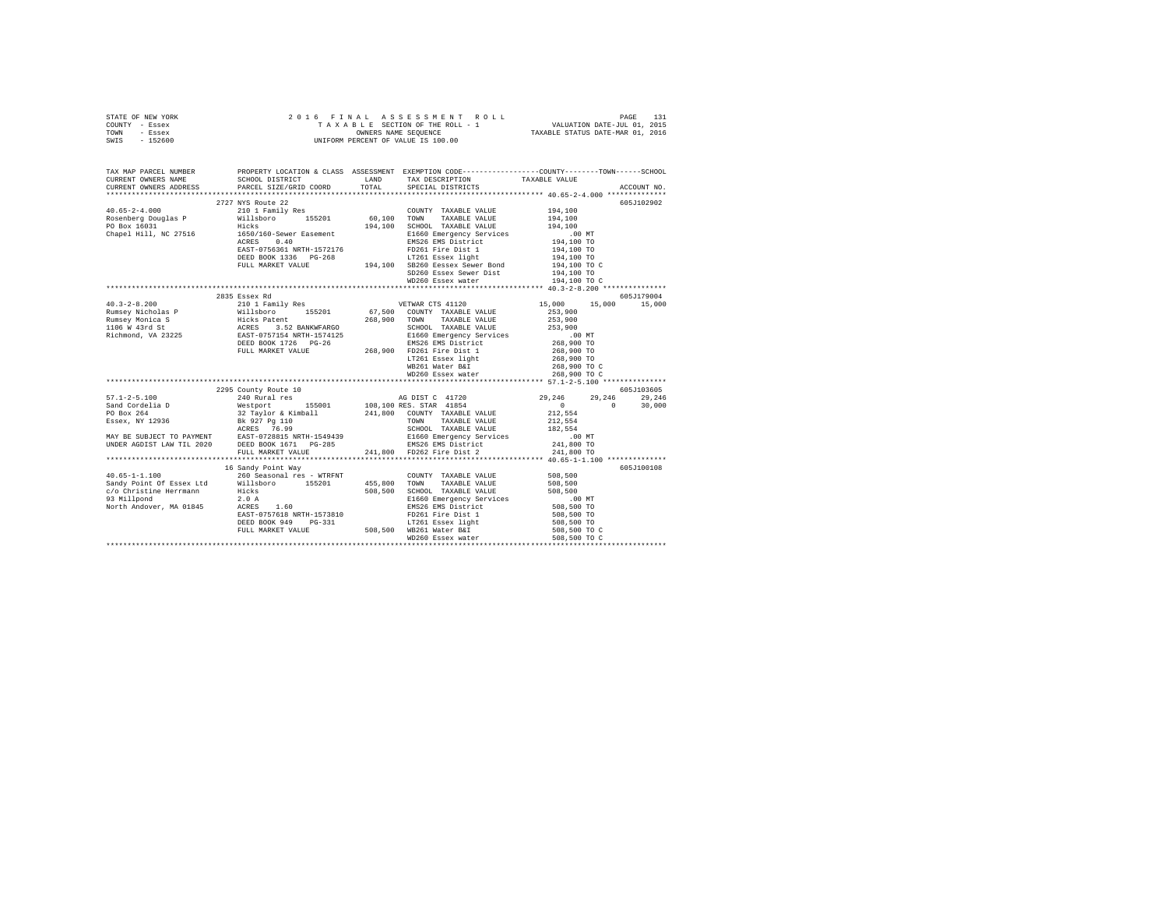|      | STATE OF NEW YORK |  | 2016 FINAL ASSESSMENT ROLL         |                                  | PAGE                        | 131 |
|------|-------------------|--|------------------------------------|----------------------------------|-----------------------------|-----|
|      | COUNTY - Essex    |  | TAXABLE SECTION OF THE ROLL - 1    |                                  | VALUATION DATE-JUL 01, 2015 |     |
| TOWN | - Essex           |  | OWNERS NAME SEOUENCE               | TAXABLE STATUS DATE-MAR 01, 2016 |                             |     |
| SWIS | $-152600$         |  | UNIFORM PERCENT OF VALUE IS 100.00 |                                  |                             |     |

| TAX MAP PARCEL NUMBER<br>CURRENT OWNERS NAME | PROPERTY LOCATION & CLASS ASSESSMENT EXEMPTION CODE----------------COUNTY-------TOWN------SCHOOL<br>SCHOOL DISTRICT                                                                                                                            |       | LAND TAX DESCRIPTION                                                                                               | TAXABLE VALUE                                    |             |
|----------------------------------------------|------------------------------------------------------------------------------------------------------------------------------------------------------------------------------------------------------------------------------------------------|-------|--------------------------------------------------------------------------------------------------------------------|--------------------------------------------------|-------------|
| CURRENT OWNERS ADDRESS                       | PARCEL SIZE/GRID COORD                                                                                                                                                                                                                         | TOTAL | SPECIAL DISTRICTS                                                                                                  |                                                  | ACCOUNT NO. |
|                                              |                                                                                                                                                                                                                                                |       |                                                                                                                    |                                                  |             |
|                                              | 2727 NYS Route 22                                                                                                                                                                                                                              |       |                                                                                                                    |                                                  | 605J102902  |
|                                              |                                                                                                                                                                                                                                                |       | COUNTY TAXABLE VALUE                                                                                               | 194,100                                          |             |
|                                              |                                                                                                                                                                                                                                                |       | TAXABLE VALUE                                                                                                      | 194,100<br>194,100                               |             |
|                                              |                                                                                                                                                                                                                                                |       | 194,100 SCHOOL TAXABLE VALUE<br>E1660 Emergency Services                                                           |                                                  |             |
|                                              |                                                                                                                                                                                                                                                |       |                                                                                                                    |                                                  |             |
|                                              | 1650/160-Sever Easement 16 1660 Emergency Services<br>2008 1914,100 TO 2012 16826 EMS District 1914,100 TO<br>2012 194,100 TO 2013 16 PO261 Fire District 1914,100 TO 2014<br>2014,100 TOREN 1760 TERRET PORT PORTLAND 16-11-1-1<br>ACRES 0.40 |       |                                                                                                                    |                                                  |             |
|                                              |                                                                                                                                                                                                                                                |       |                                                                                                                    |                                                  |             |
|                                              |                                                                                                                                                                                                                                                |       |                                                                                                                    |                                                  |             |
|                                              |                                                                                                                                                                                                                                                |       |                                                                                                                    |                                                  |             |
|                                              |                                                                                                                                                                                                                                                |       |                                                                                                                    |                                                  |             |
|                                              |                                                                                                                                                                                                                                                |       |                                                                                                                    |                                                  |             |
|                                              |                                                                                                                                                                                                                                                |       |                                                                                                                    |                                                  |             |
|                                              |                                                                                                                                                                                                                                                |       |                                                                                                                    |                                                  | 605J179004  |
|                                              |                                                                                                                                                                                                                                                |       |                                                                                                                    | 15,000 15,000 15,000                             |             |
|                                              |                                                                                                                                                                                                                                                |       |                                                                                                                    | 253,900                                          |             |
|                                              |                                                                                                                                                                                                                                                |       |                                                                                                                    | 253,900                                          |             |
|                                              |                                                                                                                                                                                                                                                |       |                                                                                                                    | 253,900                                          |             |
|                                              |                                                                                                                                                                                                                                                |       |                                                                                                                    |                                                  |             |
|                                              |                                                                                                                                                                                                                                                |       |                                                                                                                    |                                                  |             |
|                                              |                                                                                                                                                                                                                                                |       |                                                                                                                    |                                                  |             |
|                                              |                                                                                                                                                                                                                                                |       |                                                                                                                    | 00 MT.<br>268,900 TO<br>268,900 TO<br>268,900 TO |             |
|                                              |                                                                                                                                                                                                                                                |       |                                                                                                                    | 268,900 TO C<br>268,900 TO C                     |             |
|                                              |                                                                                                                                                                                                                                                |       |                                                                                                                    |                                                  |             |
|                                              |                                                                                                                                                                                                                                                |       |                                                                                                                    |                                                  |             |
|                                              |                                                                                                                                                                                                                                                |       |                                                                                                                    |                                                  | 605J103605  |
|                                              |                                                                                                                                                                                                                                                |       |                                                                                                                    | 29,246                                           | 29,246      |
|                                              |                                                                                                                                                                                                                                                |       |                                                                                                                    | $\Omega$                                         | 30,000      |
|                                              |                                                                                                                                                                                                                                                |       |                                                                                                                    |                                                  |             |
|                                              |                                                                                                                                                                                                                                                |       |                                                                                                                    |                                                  |             |
|                                              |                                                                                                                                                                                                                                                |       |                                                                                                                    |                                                  |             |
|                                              |                                                                                                                                                                                                                                                |       |                                                                                                                    |                                                  |             |
|                                              |                                                                                                                                                                                                                                                |       |                                                                                                                    |                                                  |             |
|                                              |                                                                                                                                                                                                                                                |       |                                                                                                                    |                                                  |             |
|                                              |                                                                                                                                                                                                                                                |       |                                                                                                                    |                                                  |             |
|                                              | 16 Sandy Point Way                                                                                                                                                                                                                             |       |                                                                                                                    |                                                  | 605J100108  |
| $40.65 - 1 - 1.100$                          |                                                                                                                                                                                                                                                |       | ${\tt 260\ Seasonal} \ {\tt res\ - \ WTRINT} \hspace{2cm} {\tt CONTY\ \ TXABLE\ VALUE} \hspace{2cm} {\tt 508,500}$ |                                                  |             |
|                                              | Sandy Point Of Essex Ltd Willsboro 155201<br>c/o Christine Herrmann Hicks                                                                                                                                                                      |       | 455,800 TOWN TAXABLE VALUE                                                                                         | 508,500                                          |             |
|                                              |                                                                                                                                                                                                                                                |       | 508,500 SCHOOL TAXABLE VALUE                                                                                       | 508,500                                          |             |
|                                              |                                                                                                                                                                                                                                                |       | E1660 Emergency Services .00 MT<br>EMS26 EMS District 508,500 TO                                                   |                                                  |             |
|                                              |                                                                                                                                                                                                                                                |       |                                                                                                                    |                                                  |             |
|                                              | EAST-0757618 NRTH-1573810                                                                                                                                                                                                                      |       |                                                                                                                    | 508,500 TO<br>508,500 TO                         |             |
|                                              |                                                                                                                                                                                                                                                |       |                                                                                                                    |                                                  |             |
|                                              |                                                                                                                                                                                                                                                |       |                                                                                                                    | 508,500 TO C                                     |             |
|                                              | ACRES 1.60<br>EAST-0757618 NRTH-1573810 PD261 Fire Dist 1<br>DEED BOOK 949 PG-331 17261 Essex light<br>FULL MARKET VALUE 508,500 NB260 Essex water                                                                                             |       |                                                                                                                    | 508,500 TO C                                     |             |
|                                              |                                                                                                                                                                                                                                                |       |                                                                                                                    |                                                  |             |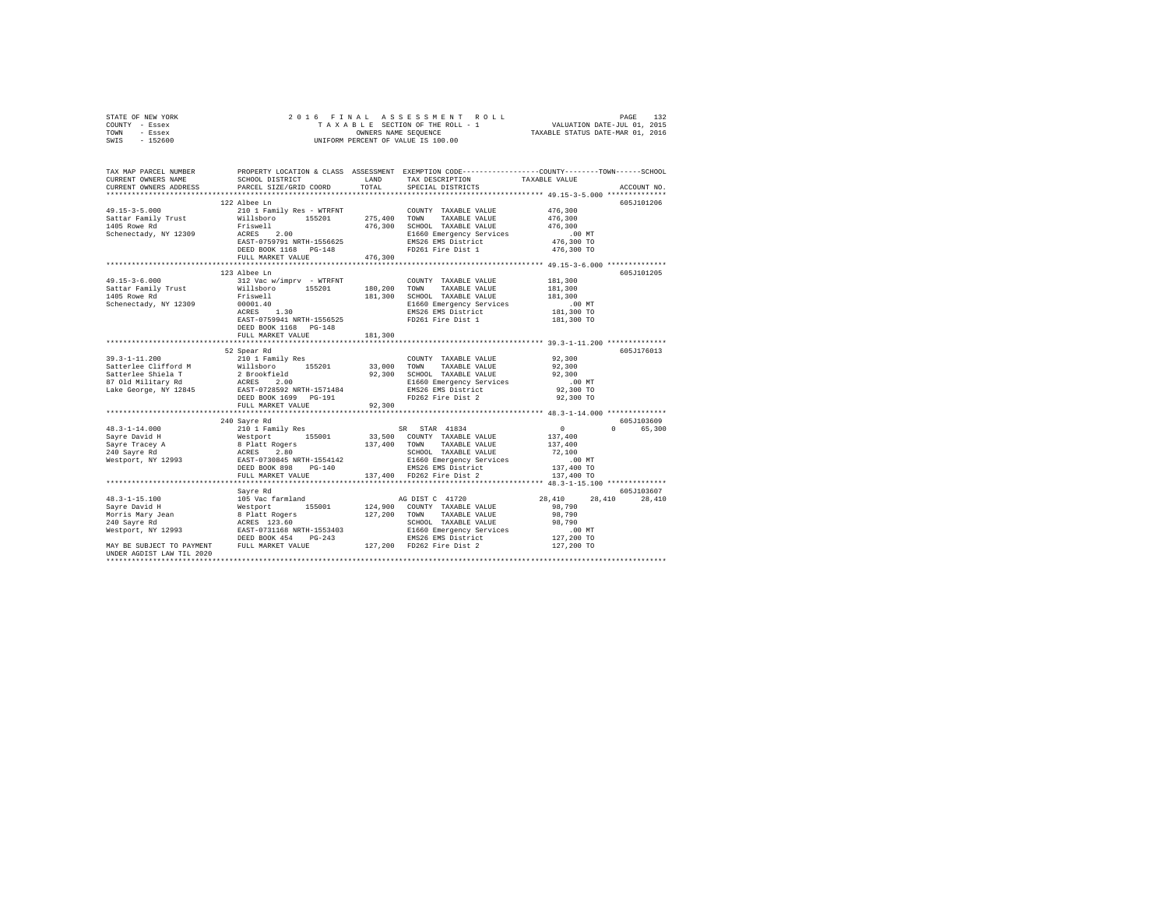| TOWN<br>- Essex<br>SWIS - 152600                                                                                       | UNIFORM PERCENT OF VALUE IS 100.00                                                                                                                                                                                            | OWNERS NAME SEQUENCE<br>TAXABLE STATUS DATE-MAR 01, 2016 |                                                                                                                                                                                                                  |                                                        |               |
|------------------------------------------------------------------------------------------------------------------------|-------------------------------------------------------------------------------------------------------------------------------------------------------------------------------------------------------------------------------|----------------------------------------------------------|------------------------------------------------------------------------------------------------------------------------------------------------------------------------------------------------------------------|--------------------------------------------------------|---------------|
|                                                                                                                        |                                                                                                                                                                                                                               |                                                          |                                                                                                                                                                                                                  |                                                        |               |
| TAX MAP PARCEL NUMBER PROPERTY LOCATION & CLASS ASSESSMENT EXEMPTION CODE--------------COUNTY-------TOWN-----SCHOOL    |                                                                                                                                                                                                                               |                                                          |                                                                                                                                                                                                                  |                                                        |               |
| CURRENT OWNERS NAME<br>CURRENT OWNERS ADDRESS                                                                          | SCHOOL DISTRICT TAND TAX DESCRIPTION<br>PARCEL SIZE/GRID COORD                                                                                                                                                                | TOTAL                                                    | SPECIAL DISTRICTS                                                                                                                                                                                                | TAXABLE VALUE                                          | ACCOUNT NO.   |
|                                                                                                                        | *************************                                                                                                                                                                                                     | **************************                               |                                                                                                                                                                                                                  | ************************* 49.15-3-5.000 ************** |               |
|                                                                                                                        | 122 Albee Ln                                                                                                                                                                                                                  |                                                          |                                                                                                                                                                                                                  |                                                        | 605J101206    |
| 49.15-3-5.000 210 1 Family Res - WTRFNT COUNT<br>Sattar Family Trust Willsboro 155201 275,400 TOWN Sattar Family Trust |                                                                                                                                                                                                                               |                                                          | COUNTY TAXABLE VALUE                                                                                                                                                                                             | 476,300<br>476,300                                     |               |
| 1405 Rowe Rd                                                                                                           |                                                                                                                                                                                                                               |                                                          | TAXABLE VALUE                                                                                                                                                                                                    | 476,300                                                |               |
| Schenectady, NY 12309                                                                                                  |                                                                                                                                                                                                                               |                                                          |                                                                                                                                                                                                                  | $.00$ MT                                               |               |
|                                                                                                                        |                                                                                                                                                                                                                               |                                                          |                                                                                                                                                                                                                  | 476,300 TO                                             |               |
|                                                                                                                        |                                                                                                                                                                                                                               |                                                          |                                                                                                                                                                                                                  | 476,300 TO                                             |               |
|                                                                                                                        | Friswell $RES = 0.00$<br>RCESS 2.00 476,300 SCHOOL TAXABLE VALUE<br>REST-0759791 NRTH-1556625 EMS26 EMS District<br>DEED BOOK 1168 PG-148<br>PULL MARKET VALUE<br>PULL MARKET VALUE<br>PULL MARKET VALUE<br>PULL MARKET VALUE |                                                          |                                                                                                                                                                                                                  |                                                        |               |
|                                                                                                                        |                                                                                                                                                                                                                               |                                                          |                                                                                                                                                                                                                  |                                                        |               |
| $49.15 - 3 - 6.000$                                                                                                    | 123 Albee Ln                                                                                                                                                                                                                  |                                                          |                                                                                                                                                                                                                  |                                                        | 605-7101205   |
| Sattar Family Trust Willsboro 155201 180,200 TOWN TAXABLE VALUE                                                        | 312 Vac w/imprv - WTRFNT                                                                                                                                                                                                      |                                                          | COUNTY TAXABLE VALUE                                                                                                                                                                                             | 181,300<br>181,300                                     |               |
| 1405 Rowe Rd                                                                                                           |                                                                                                                                                                                                                               |                                                          | 181,300 SCHOOL TAXABLE VALUE                                                                                                                                                                                     | 181,300                                                |               |
| Schenectady, NY 12309                                                                                                  | Friswell<br>00001.40<br>ACRES 1.30                                                                                                                                                                                            |                                                          |                                                                                                                                                                                                                  |                                                        |               |
|                                                                                                                        |                                                                                                                                                                                                                               |                                                          | E1660 Emergency Services .00 MT<br>EMS26 EMS District 181,300 TO                                                                                                                                                 |                                                        |               |
|                                                                                                                        | EAST-0759941 NRTH-1556525                                                                                                                                                                                                     |                                                          | FD261 Fire Dist 1                                                                                                                                                                                                | 181,300 TO                                             |               |
|                                                                                                                        | DEED BOOK 1168 PG-148                                                                                                                                                                                                         |                                                          |                                                                                                                                                                                                                  |                                                        |               |
|                                                                                                                        | FULL MARKET VALUE                                                                                                                                                                                                             | 181,300                                                  |                                                                                                                                                                                                                  |                                                        |               |
|                                                                                                                        | 52 Spear Rd                                                                                                                                                                                                                   |                                                          |                                                                                                                                                                                                                  |                                                        | 605J176013    |
|                                                                                                                        |                                                                                                                                                                                                                               |                                                          |                                                                                                                                                                                                                  |                                                        |               |
|                                                                                                                        |                                                                                                                                                                                                                               |                                                          | $\begin{tabular}{lllllllllll} \multicolumn{2}{c}{\text{\small COUNTY}} & \texttt{TAXABLE VALUE} & & & & 92,300 \\ \multicolumn{2}{c}{\text{\small TOWN}} & \texttt{TAXABLE VALUE} & & & 92,300 \\ \end{tabular}$ |                                                        |               |
|                                                                                                                        |                                                                                                                                                                                                                               |                                                          |                                                                                                                                                                                                                  | 92,300                                                 |               |
|                                                                                                                        |                                                                                                                                                                                                                               |                                                          |                                                                                                                                                                                                                  | 00 MT.<br>92,300 TO                                    |               |
|                                                                                                                        |                                                                                                                                                                                                                               |                                                          |                                                                                                                                                                                                                  |                                                        |               |
|                                                                                                                        |                                                                                                                                                                                                                               |                                                          |                                                                                                                                                                                                                  | 92,300 TO                                              |               |
|                                                                                                                        | FULL MARKET VALUE                                                                                                                                                                                                             | 92,300                                                   |                                                                                                                                                                                                                  |                                                        |               |
|                                                                                                                        | 240 Sayre Rd                                                                                                                                                                                                                  |                                                          |                                                                                                                                                                                                                  |                                                        | 605J103609    |
|                                                                                                                        |                                                                                                                                                                                                                               |                                                          |                                                                                                                                                                                                                  | $\sim$ 0                                               | 0 65,300      |
|                                                                                                                        |                                                                                                                                                                                                                               |                                                          | SR STAR 41834<br>33,500 COUNTY TAXABLE VALUE                                                                                                                                                                     | 137,400                                                |               |
|                                                                                                                        |                                                                                                                                                                                                                               |                                                          |                                                                                                                                                                                                                  | 137,400                                                |               |
|                                                                                                                        |                                                                                                                                                                                                                               |                                                          |                                                                                                                                                                                                                  | 72,100                                                 |               |
|                                                                                                                        |                                                                                                                                                                                                                               |                                                          | 137,400 TOWN TAXABLE VALUE<br>SCHOOL TAXABLE VALUE<br>E1660 Emergency Services<br>EMS26 EMS District                                                                                                             | $.00$ MT                                               |               |
|                                                                                                                        |                                                                                                                                                                                                                               |                                                          |                                                                                                                                                                                                                  | 137,400 TO                                             |               |
|                                                                                                                        | FULL MARKET VALUE                                                                                                                                                                                                             |                                                          | 137,400 FD262 Fire Dist 2                                                                                                                                                                                        | 137,400 TO                                             |               |
|                                                                                                                        | Sayre Rd                                                                                                                                                                                                                      |                                                          |                                                                                                                                                                                                                  |                                                        | 605J103607    |
|                                                                                                                        |                                                                                                                                                                                                                               |                                                          |                                                                                                                                                                                                                  | 28,410                                                 | 28,410 28,410 |
|                                                                                                                        |                                                                                                                                                                                                                               |                                                          |                                                                                                                                                                                                                  | 98,790                                                 |               |
|                                                                                                                        |                                                                                                                                                                                                                               |                                                          |                                                                                                                                                                                                                  | 98,790                                                 |               |
|                                                                                                                        |                                                                                                                                                                                                                               |                                                          |                                                                                                                                                                                                                  | 98,790                                                 |               |
|                                                                                                                        |                                                                                                                                                                                                                               |                                                          |                                                                                                                                                                                                                  |                                                        |               |
|                                                                                                                        |                                                                                                                                                                                                                               |                                                          |                                                                                                                                                                                                                  | 00 MT.<br>127,200 TO<br>127,200 TO                     |               |
| HNDER AGDIST LAW TIL 2020                                                                                              |                                                                                                                                                                                                                               |                                                          |                                                                                                                                                                                                                  |                                                        |               |
|                                                                                                                        |                                                                                                                                                                                                                               |                                                          |                                                                                                                                                                                                                  |                                                        |               |

STATE OF NEW YORK 2 0 1 6 F I N A L A S S E S S M E N T R O L L PAGE 132 COUNTY - Essex T A X A B L E SECTION OF THE ROLL - 1 VALUATION DATE-JUL 01, 2015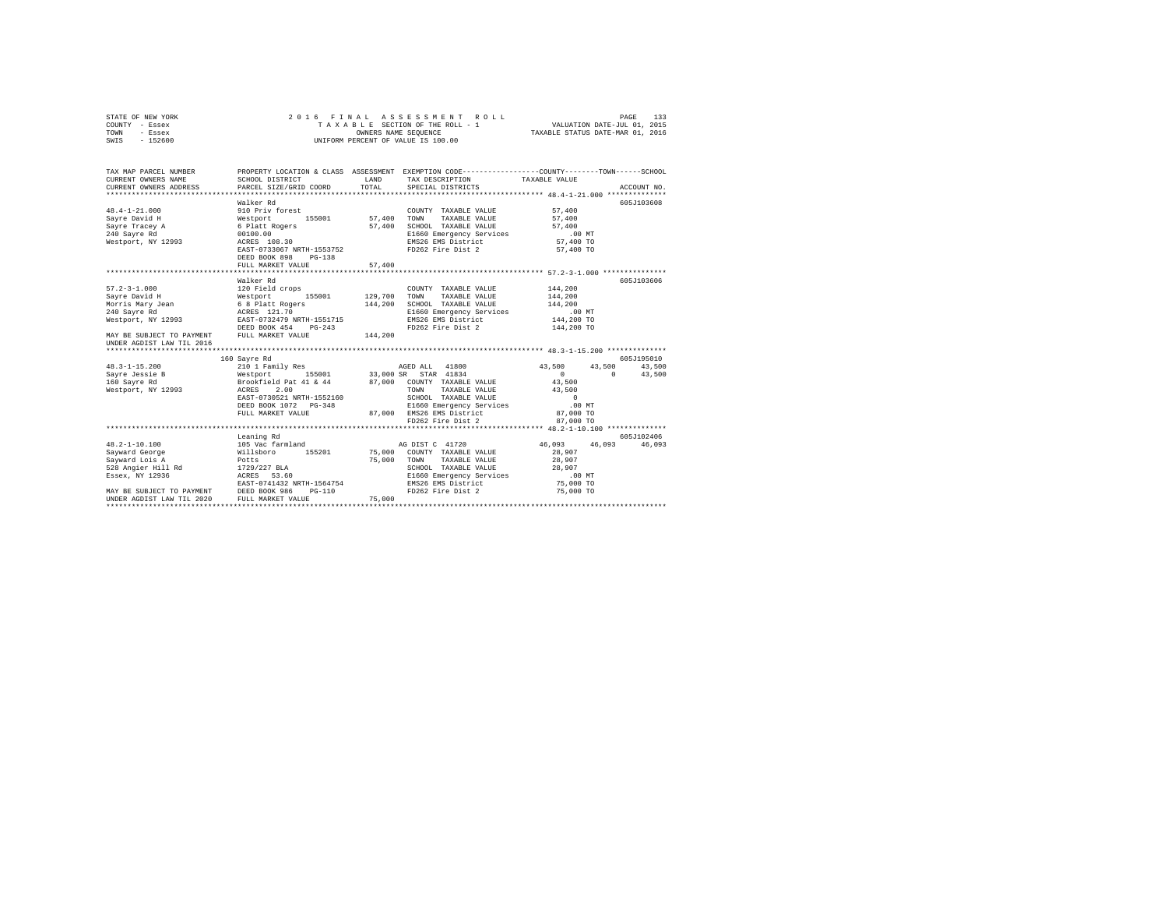| STATE OF NEW YORK<br>COUNTY - Essex<br>TOWN - Essex<br>SWIS - 152600                                                                                                                                                                                                                                                                                                         | 2016 FINAL                                                                                                                                                                   |                  | ASSESSMENT ROLL<br>UNIFORM PERCENT OF VALUE IS 100.00                                                                                                                  |                                                                                              | 133<br>PAGE                    |
|------------------------------------------------------------------------------------------------------------------------------------------------------------------------------------------------------------------------------------------------------------------------------------------------------------------------------------------------------------------------------|------------------------------------------------------------------------------------------------------------------------------------------------------------------------------|------------------|------------------------------------------------------------------------------------------------------------------------------------------------------------------------|----------------------------------------------------------------------------------------------|--------------------------------|
| TAX MAP PARCEL NUMBER<br>CURRENT OWNERS NAME<br>CURRENT OWNERS ADDRESS                                                                                                                                                                                                                                                                                                       | SCHOOL DISTRICT<br>PARCEL SIZE/GRID COORD TOTAL                                                                                                                              |                  | PROPERTY LOCATION & CLASS ASSESSMENT EXEMPTION CODE---------------COUNTY-------TOWN------SCHOOL<br>LAND TAX DESCRIPTION<br>SPECIAL DISTRICTS                           | TAXABLE VALUE                                                                                | ACCOUNT NO.                    |
| $48.4 - 1 - 21.000$<br>Sayre David H<br>Sayre Davis<br>Sayre Tracey A<br>240 Sayre Rd                                                                                                                                                                                                                                                                                        | Walker Rd<br>910 Priv forest<br>Westport 155001<br>6 Platt Rogers<br>00100.00<br>ACRES 108.30                                                                                | 57,400<br>57,400 | COUNTY TAXABLE VALUE<br>TOWN<br>TAXABLE VALUE<br>SCHOOL TAXABLE VALUE<br>E1660 Emergency Services                                                                      | $57\,, 400$<br>57,400<br>57,400<br>$.00$ MT                                                  | 605J103608                     |
| Westport, NY 12993                                                                                                                                                                                                                                                                                                                                                           | EAST-0733067 NRTH-1553752<br>DEED BOOK 898 PG-138<br>FULL MARKET VALUE                                                                                                       | 57,400           | EMS26 EMS District<br>FD262 Fire Dist 2                                                                                                                                | 57,400 TO<br>57,400 TO                                                                       |                                |
| $57.2 - 3 - 1.000$<br>$\begin{tabular}{l c c c c} \hline $5,011$ & $129\,,700$ & $129\,,700$ & $129\,,700$ & $129\,,700$ & $129\,,700$ & $129\,,700$ & $129\,,700$ & $144\,,200$ & $144\,,200$ & $144\,,200$ & $144\,,200$ & $144\,,200$ & $145\,,200$ & $145\,,200$ & $146\,,200$ & $146\,,200$ & $147\,,200$ & $147\,,$<br>Sayre Dures<br>Morris Mary Jean<br>210 Sayre Rd | Walker Rd<br>120 Field crops                                                                                                                                                 |                  | COUNTY TAXABLE VALUE<br>TOWN<br>TAXABLE VALUE<br>SCHOOL TAXABLE VALUE<br>E1660 Emergency Services                                                                      | 144,200<br>144,200<br>144,200<br>.00 MT<br>144,200 TO                                        | 605J103606                     |
| UNDER AGDIST LAW TIL 2016                                                                                                                                                                                                                                                                                                                                                    |                                                                                                                                                                              |                  | EMS26 EMS District<br>FD262 Fire Dist 2                                                                                                                                | 144,200 TO                                                                                   |                                |
|                                                                                                                                                                                                                                                                                                                                                                              |                                                                                                                                                                              |                  |                                                                                                                                                                        |                                                                                              | 605J195010                     |
| $48.3 - 1 - 15.200$<br>Sayre Jessie B<br>160 Sayre Rd<br>Westport, NY 12993                                                                                                                                                                                                                                                                                                  | EAST-0730521 NRTH-1552160<br>DEED BOOK 1072 PG-348<br>FULL MARKET VALUE                                                                                                      |                  | TOWN TAXABLE VALUE<br>SCHOOL TAXABLE VALUE<br>E1660 Emergency Services<br>87,000 EMS26 EMS District<br>FD262 Fire Dist 2                                               | 43,500<br>$\mathbf{0}$<br>43,500<br>43,500<br>$\sim$ 0<br>$.00$ MT<br>87,000 TO<br>87,000 TO | 43,500 43,500<br>$0 \t 43,500$ |
|                                                                                                                                                                                                                                                                                                                                                                              |                                                                                                                                                                              |                  |                                                                                                                                                                        |                                                                                              |                                |
| $48.2 - 1 - 10.100$<br>Sayward George<br>Savward Lois A<br>528 Angier Hill Rd<br>Essex, NY 12936<br>MAY BE SUBJECT TO PAYMENT DEED BOOK 986<br>UNDER AGDIST LAW TIL 2020 FULL MARKET VE                                                                                                                                                                                      | Leaning Rd<br>105 Vac farmland<br>105 Vac farmland<br>Willsboro 155201<br>Potts<br>1729/227 BLA<br>ACRES 53.60<br>EAST-0741432 NRTH-1564754<br>$PG-110$<br>FULL MARKET VALUE | 75,000<br>75,000 | AG DIST C 41720<br>75,000 COUNTY TAXABLE VALUE<br>TOWN<br>TAXABLE VALUE<br>SCHOOL TAXABLE VALUE<br>E1660 Emergency Services<br>EMS26 EMS District<br>FD262 Fire Dist 2 | 46,093 46,093 46,093<br>28,907<br>28,907<br>28,907<br>$.00$ MT<br>75,000 TO<br>75,000 TO     | 605J102406                     |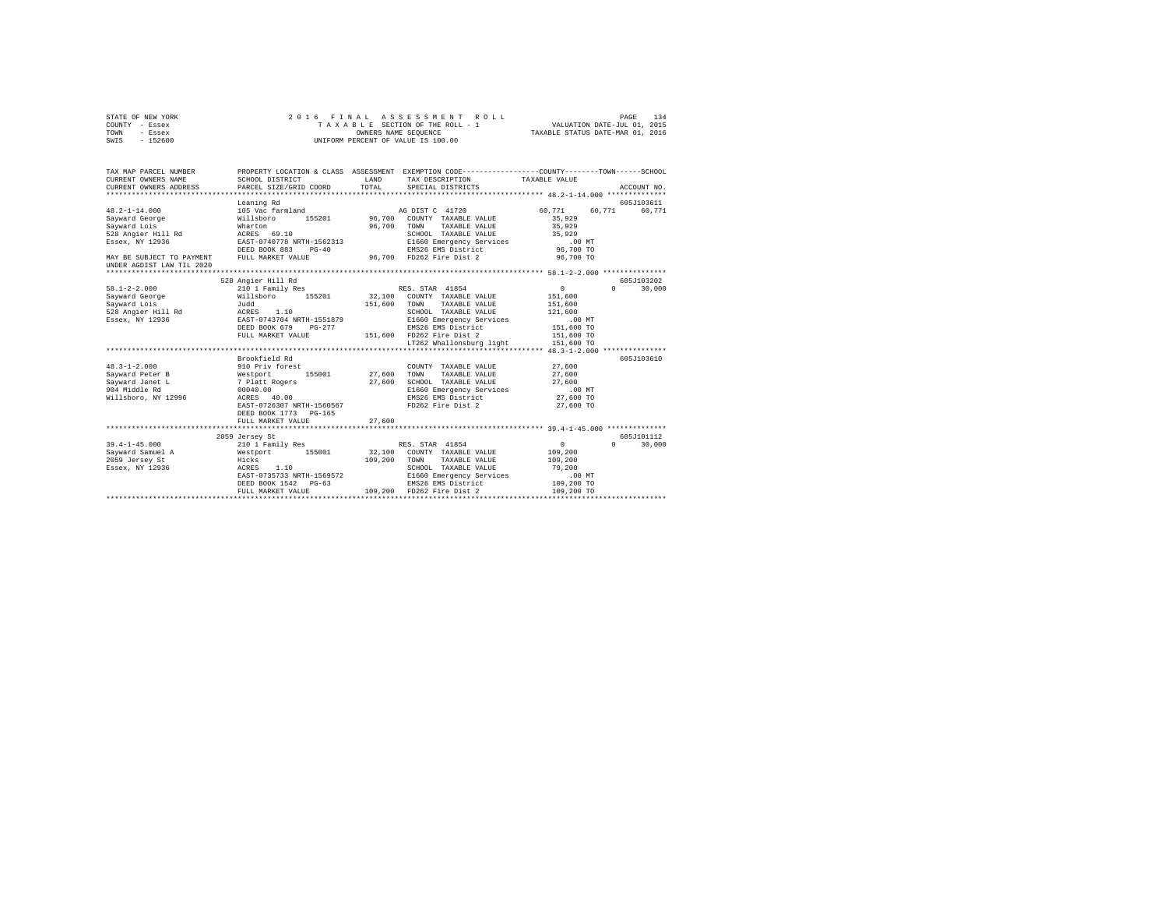|                   |                                                                                                                                                                                                                                                                                                             |                                                                                               | VALUATION DATE-JUL 01, 2015<br>TAXABLE STATUS DATE-MAR 01, 2016                                                                                                                                                                                                                                                             |                                                                                                                                                                                                                                                                                                                                                                                                                                                                                                                                                                                                                                                                                                                                                                                                                                                                                                                                                     |  |
|-------------------|-------------------------------------------------------------------------------------------------------------------------------------------------------------------------------------------------------------------------------------------------------------------------------------------------------------|-----------------------------------------------------------------------------------------------|-----------------------------------------------------------------------------------------------------------------------------------------------------------------------------------------------------------------------------------------------------------------------------------------------------------------------------|-----------------------------------------------------------------------------------------------------------------------------------------------------------------------------------------------------------------------------------------------------------------------------------------------------------------------------------------------------------------------------------------------------------------------------------------------------------------------------------------------------------------------------------------------------------------------------------------------------------------------------------------------------------------------------------------------------------------------------------------------------------------------------------------------------------------------------------------------------------------------------------------------------------------------------------------------------|--|
|                   |                                                                                                                                                                                                                                                                                                             |                                                                                               |                                                                                                                                                                                                                                                                                                                             |                                                                                                                                                                                                                                                                                                                                                                                                                                                                                                                                                                                                                                                                                                                                                                                                                                                                                                                                                     |  |
|                   |                                                                                                                                                                                                                                                                                                             |                                                                                               |                                                                                                                                                                                                                                                                                                                             |                                                                                                                                                                                                                                                                                                                                                                                                                                                                                                                                                                                                                                                                                                                                                                                                                                                                                                                                                     |  |
|                   |                                                                                                                                                                                                                                                                                                             |                                                                                               |                                                                                                                                                                                                                                                                                                                             |                                                                                                                                                                                                                                                                                                                                                                                                                                                                                                                                                                                                                                                                                                                                                                                                                                                                                                                                                     |  |
|                   |                                                                                                                                                                                                                                                                                                             |                                                                                               |                                                                                                                                                                                                                                                                                                                             |                                                                                                                                                                                                                                                                                                                                                                                                                                                                                                                                                                                                                                                                                                                                                                                                                                                                                                                                                     |  |
|                   |                                                                                                                                                                                                                                                                                                             |                                                                                               |                                                                                                                                                                                                                                                                                                                             | ACCOUNT NO.                                                                                                                                                                                                                                                                                                                                                                                                                                                                                                                                                                                                                                                                                                                                                                                                                                                                                                                                         |  |
|                   |                                                                                                                                                                                                                                                                                                             |                                                                                               |                                                                                                                                                                                                                                                                                                                             |                                                                                                                                                                                                                                                                                                                                                                                                                                                                                                                                                                                                                                                                                                                                                                                                                                                                                                                                                     |  |
|                   |                                                                                                                                                                                                                                                                                                             |                                                                                               |                                                                                                                                                                                                                                                                                                                             | 605J103611                                                                                                                                                                                                                                                                                                                                                                                                                                                                                                                                                                                                                                                                                                                                                                                                                                                                                                                                          |  |
|                   |                                                                                                                                                                                                                                                                                                             |                                                                                               |                                                                                                                                                                                                                                                                                                                             |                                                                                                                                                                                                                                                                                                                                                                                                                                                                                                                                                                                                                                                                                                                                                                                                                                                                                                                                                     |  |
|                   |                                                                                                                                                                                                                                                                                                             |                                                                                               |                                                                                                                                                                                                                                                                                                                             |                                                                                                                                                                                                                                                                                                                                                                                                                                                                                                                                                                                                                                                                                                                                                                                                                                                                                                                                                     |  |
|                   |                                                                                                                                                                                                                                                                                                             |                                                                                               |                                                                                                                                                                                                                                                                                                                             |                                                                                                                                                                                                                                                                                                                                                                                                                                                                                                                                                                                                                                                                                                                                                                                                                                                                                                                                                     |  |
|                   |                                                                                                                                                                                                                                                                                                             |                                                                                               |                                                                                                                                                                                                                                                                                                                             |                                                                                                                                                                                                                                                                                                                                                                                                                                                                                                                                                                                                                                                                                                                                                                                                                                                                                                                                                     |  |
|                   |                                                                                                                                                                                                                                                                                                             |                                                                                               |                                                                                                                                                                                                                                                                                                                             |                                                                                                                                                                                                                                                                                                                                                                                                                                                                                                                                                                                                                                                                                                                                                                                                                                                                                                                                                     |  |
|                   |                                                                                                                                                                                                                                                                                                             |                                                                                               |                                                                                                                                                                                                                                                                                                                             |                                                                                                                                                                                                                                                                                                                                                                                                                                                                                                                                                                                                                                                                                                                                                                                                                                                                                                                                                     |  |
|                   |                                                                                                                                                                                                                                                                                                             |                                                                                               |                                                                                                                                                                                                                                                                                                                             |                                                                                                                                                                                                                                                                                                                                                                                                                                                                                                                                                                                                                                                                                                                                                                                                                                                                                                                                                     |  |
|                   |                                                                                                                                                                                                                                                                                                             |                                                                                               |                                                                                                                                                                                                                                                                                                                             |                                                                                                                                                                                                                                                                                                                                                                                                                                                                                                                                                                                                                                                                                                                                                                                                                                                                                                                                                     |  |
|                   |                                                                                                                                                                                                                                                                                                             |                                                                                               |                                                                                                                                                                                                                                                                                                                             | 605-103202                                                                                                                                                                                                                                                                                                                                                                                                                                                                                                                                                                                                                                                                                                                                                                                                                                                                                                                                          |  |
|                   |                                                                                                                                                                                                                                                                                                             |                                                                                               | $\sim$ 0                                                                                                                                                                                                                                                                                                                    | $0 \t 30.000$                                                                                                                                                                                                                                                                                                                                                                                                                                                                                                                                                                                                                                                                                                                                                                                                                                                                                                                                       |  |
|                   |                                                                                                                                                                                                                                                                                                             |                                                                                               |                                                                                                                                                                                                                                                                                                                             |                                                                                                                                                                                                                                                                                                                                                                                                                                                                                                                                                                                                                                                                                                                                                                                                                                                                                                                                                     |  |
| Judd              |                                                                                                                                                                                                                                                                                                             | TOWN                                                                                          | 151,600                                                                                                                                                                                                                                                                                                                     |                                                                                                                                                                                                                                                                                                                                                                                                                                                                                                                                                                                                                                                                                                                                                                                                                                                                                                                                                     |  |
|                   |                                                                                                                                                                                                                                                                                                             |                                                                                               |                                                                                                                                                                                                                                                                                                                             |                                                                                                                                                                                                                                                                                                                                                                                                                                                                                                                                                                                                                                                                                                                                                                                                                                                                                                                                                     |  |
|                   |                                                                                                                                                                                                                                                                                                             |                                                                                               |                                                                                                                                                                                                                                                                                                                             |                                                                                                                                                                                                                                                                                                                                                                                                                                                                                                                                                                                                                                                                                                                                                                                                                                                                                                                                                     |  |
|                   |                                                                                                                                                                                                                                                                                                             |                                                                                               |                                                                                                                                                                                                                                                                                                                             |                                                                                                                                                                                                                                                                                                                                                                                                                                                                                                                                                                                                                                                                                                                                                                                                                                                                                                                                                     |  |
|                   |                                                                                                                                                                                                                                                                                                             |                                                                                               |                                                                                                                                                                                                                                                                                                                             |                                                                                                                                                                                                                                                                                                                                                                                                                                                                                                                                                                                                                                                                                                                                                                                                                                                                                                                                                     |  |
|                   |                                                                                                                                                                                                                                                                                                             |                                                                                               |                                                                                                                                                                                                                                                                                                                             |                                                                                                                                                                                                                                                                                                                                                                                                                                                                                                                                                                                                                                                                                                                                                                                                                                                                                                                                                     |  |
|                   |                                                                                                                                                                                                                                                                                                             |                                                                                               |                                                                                                                                                                                                                                                                                                                             | 605J103610                                                                                                                                                                                                                                                                                                                                                                                                                                                                                                                                                                                                                                                                                                                                                                                                                                                                                                                                          |  |
|                   |                                                                                                                                                                                                                                                                                                             |                                                                                               |                                                                                                                                                                                                                                                                                                                             |                                                                                                                                                                                                                                                                                                                                                                                                                                                                                                                                                                                                                                                                                                                                                                                                                                                                                                                                                     |  |
|                   |                                                                                                                                                                                                                                                                                                             |                                                                                               |                                                                                                                                                                                                                                                                                                                             |                                                                                                                                                                                                                                                                                                                                                                                                                                                                                                                                                                                                                                                                                                                                                                                                                                                                                                                                                     |  |
|                   |                                                                                                                                                                                                                                                                                                             |                                                                                               |                                                                                                                                                                                                                                                                                                                             |                                                                                                                                                                                                                                                                                                                                                                                                                                                                                                                                                                                                                                                                                                                                                                                                                                                                                                                                                     |  |
|                   |                                                                                                                                                                                                                                                                                                             |                                                                                               |                                                                                                                                                                                                                                                                                                                             |                                                                                                                                                                                                                                                                                                                                                                                                                                                                                                                                                                                                                                                                                                                                                                                                                                                                                                                                                     |  |
|                   |                                                                                                                                                                                                                                                                                                             |                                                                                               |                                                                                                                                                                                                                                                                                                                             |                                                                                                                                                                                                                                                                                                                                                                                                                                                                                                                                                                                                                                                                                                                                                                                                                                                                                                                                                     |  |
|                   |                                                                                                                                                                                                                                                                                                             |                                                                                               |                                                                                                                                                                                                                                                                                                                             |                                                                                                                                                                                                                                                                                                                                                                                                                                                                                                                                                                                                                                                                                                                                                                                                                                                                                                                                                     |  |
|                   |                                                                                                                                                                                                                                                                                                             |                                                                                               |                                                                                                                                                                                                                                                                                                                             |                                                                                                                                                                                                                                                                                                                                                                                                                                                                                                                                                                                                                                                                                                                                                                                                                                                                                                                                                     |  |
| FULL MARKET VALUE | 27,600                                                                                                                                                                                                                                                                                                      |                                                                                               |                                                                                                                                                                                                                                                                                                                             |                                                                                                                                                                                                                                                                                                                                                                                                                                                                                                                                                                                                                                                                                                                                                                                                                                                                                                                                                     |  |
|                   | CURRENT OWNERS NAME<br>CURRENT OWNERS ADDRESS<br>Leaning Rd<br>105 Vac farmland<br>Wharton<br>ACRES 69.10<br>528 Angier Hill Rd<br>ACRES 1.10<br>FULL MARKET VALUE<br>Brookfield Rd<br>$48.3 - 1 - 2.000$<br>910 Priv forest<br>Sayward Janet L<br>00040.00<br>Willsboro, NY 12996<br>DEED BOOK 1773 PG-165 | EAST-0743704 NRTH-1551879<br>DEED BOOK 679 PG-277<br>ACRES 40.00<br>EAST-0726307 NRTH-1560567 | TAXABLE SECTION OF THE ROLL - 1<br>OWNERS NAME SEQUENCE<br>UNIFORM PERCENT OF VALUE IS 100.00<br>PARCEL SIZE/GRID COORD TOTAL<br>SPECIAL DISTRICTS<br>AG DIST C 41720<br>Willsboro 155201 96,700 COUNTY TAXABLE VALUE<br>96,700 TOWN<br>TAXABLE VALUE<br>151,600<br>Westport 155001 27,600<br>TOWN<br>7 Platt Rogers 27,600 | PROPERTY LOCATION & CLASS ASSESSMENT EXEMPTION CODE---------------COUNTY-------TOWN------SCHOOL<br>SCHOOL DISTRICT                     LAND        TAX DESCRIPTION                 TAXABLE VALUE<br>60.771 60.771 60.771<br>35,929<br>35,929<br>SCHOOL TAXABLE VALUE<br>35,929<br>EAST-0740778 NRTH-1562313 E1660 Emergency Services<br>.00 MT<br>DEED BOOK 883 PG-40 EMS26 EMS District 96,700 TO<br>FULL MARKET VALUE 96,700 FD262 Fire Dist 2 96,700 TO<br>Willsboro 155201 32,100 COUNTY TAXABLE VALUE 151,600<br>TAXABLE VALUE<br>SCHOOL TAXABLE VALUE<br>121,600<br>E1660 Emergency Services<br>$.00$ MT<br>21331675<br>EMS26 EMS District 151,600 TO<br>151,600 FD262 Fire Dist 2 151,600 TO<br>LT262 Whallonsburg light 151.600 TO<br>COUNTY TAXABLE VALUE 27,600<br>TAXABLE VALUE<br>27,600<br>SCHOOL TAXABLE VALUE<br>27.600<br>E1660 Emergency Services<br>$.00$ MT<br>EMS26 EMS District<br>27,600 TO<br>FD262 Fire Dist 2<br>27,600 TO |  |

STATE OF NEW YORK 2016 FINAL ASSESSMENT ROLL PAGE 134

|                     | 2059 Jersey St            |        |         |                 |                          |            |  | 605J101112 |
|---------------------|---------------------------|--------|---------|-----------------|--------------------------|------------|--|------------|
| $39.4 - 1 - 45.000$ | 210 1 Family Res          |        |         | RES. STAR 41854 |                          |            |  | 30,000     |
| Sayward Samuel A    | Westport                  | 155001 | 32,100  |                 | COUNTY TAXABLE VALUE     | 109,200    |  |            |
| 2059 Jersey St      | Hicks                     |        | 109,200 | TOWN            | TAXABLE VALUE            | 109,200    |  |            |
| Essex, NY 12936     | 1.10<br>ACRES             |        |         | SCHOOL          | TAXABLE VALUE            | 79,200     |  |            |
|                     | EAST-0735733 NRTH-1569572 |        |         |                 | E1660 Emergency Services | $.00$ MT   |  |            |
|                     | DEED BOOK 1542 PG-63      |        |         |                 | EMS26 EMS District       | 109,200 TO |  |            |
|                     | FULL MARKET VALUE         |        | 109,200 |                 | FD262 Fire Dist 2        | 109,200 TO |  |            |
|                     |                           |        |         |                 |                          |            |  |            |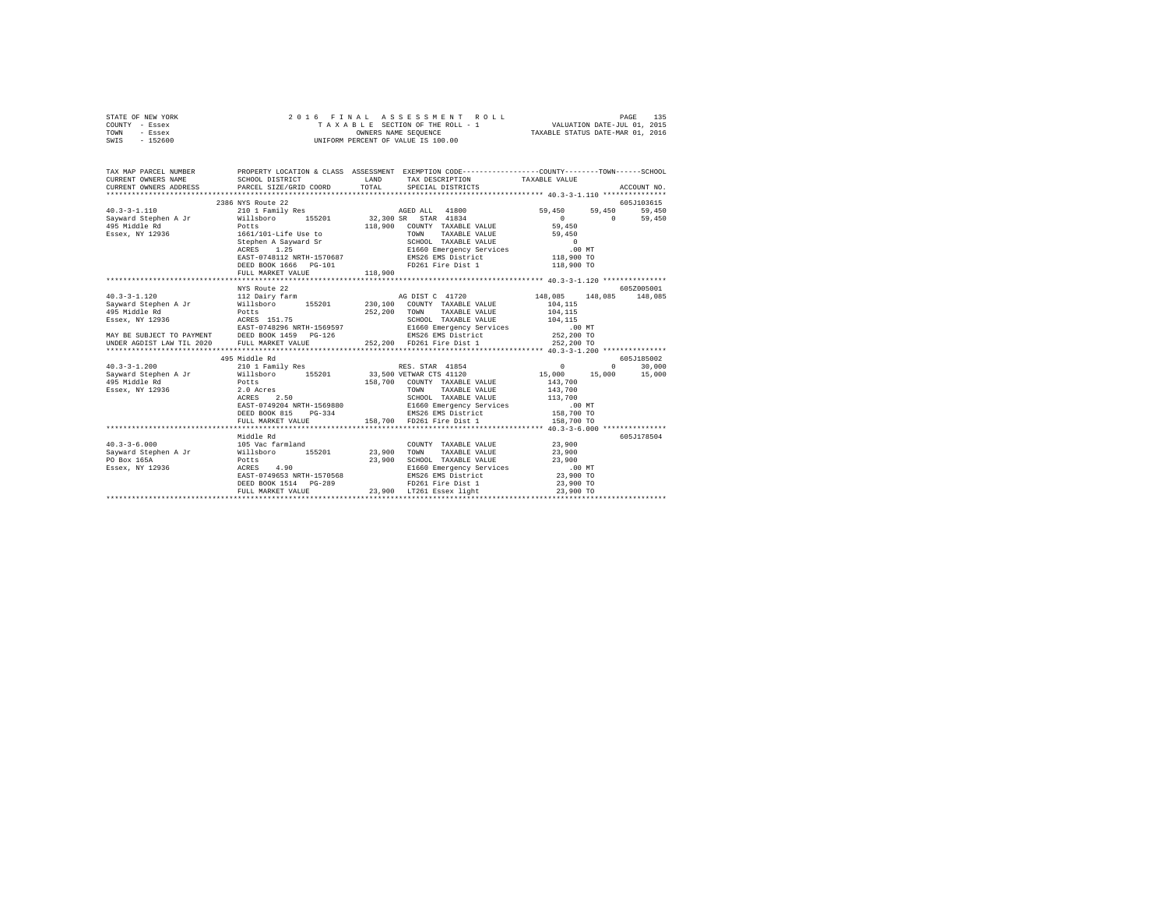| STATE OF NEW YORK<br>- Essex<br>COUNTY<br>TOWN<br>- Essex<br>- 152600<br>SWIS |                                                                        |                             | 2016 FINAL ASSESSMENT ROLL<br>TAXABLE SECTION OF THE ROLL - 1<br>OWNERS NAME SEOUENCE<br>UNIFORM PERCENT OF VALUE IS 100.00 | 135<br>PAGE<br>VALUATION DATE-JUL 01, 2015<br>TAXABLE STATUS DATE-MAR 01, 2016               |
|-------------------------------------------------------------------------------|------------------------------------------------------------------------|-----------------------------|-----------------------------------------------------------------------------------------------------------------------------|----------------------------------------------------------------------------------------------|
| TAX MAP PARCEL NUMBER<br>CURRENT OWNERS NAME<br>CURRENT OWNERS ADDRESS        | PROPERTY LOCATION & CLASS<br>SCHOOL DISTRICT<br>PARCEL SIZE/GRID COORD | ASSESSMENT<br>LAND<br>TOTAL | TAX DESCRIPTION<br>SPECIAL DISTRICTS                                                                                        | EXEMPTION CODE-----------------COUNTY-------TOWN------SCHOOL<br>TAXABLE VALUE<br>ACCOUNT NO. |

|                                             |                                                 |                                                                                                                                                                                                                                                                                                                | ************** 40.3-3-1.110 ****************     |
|---------------------------------------------|-------------------------------------------------|----------------------------------------------------------------------------------------------------------------------------------------------------------------------------------------------------------------------------------------------------------------------------------------------------------------|--------------------------------------------------|
|                                             | 2386 NYS Route 22                               |                                                                                                                                                                                                                                                                                                                | 605-103615                                       |
| $40.3 - 3 - 1.110$                          | 210 1 Family Res                                | AGED ALL 41800 59,450 59,450                                                                                                                                                                                                                                                                                   | 59,450                                           |
|                                             |                                                 | Sayward Stephen A Jr 	 Willsboro 	 155201 	 32,300 SR STAR 41834                                                                                                                                                                                                                                               | $\sim$ 0<br>$0 \qquad \qquad$<br>59,450          |
| 495 Middle Rd Potts                         |                                                 | 118,900 COUNTY TAXABLE VALUE                                                                                                                                                                                                                                                                                   | 59,450                                           |
|                                             | Essex, NY 12936 1661/101-Life Use to            |                                                                                                                                                                                                                                                                                                                |                                                  |
|                                             |                                                 |                                                                                                                                                                                                                                                                                                                |                                                  |
|                                             | Stephen A Sayward Sr<br>ACRES 1.25              |                                                                                                                                                                                                                                                                                                                |                                                  |
|                                             | EAST-0748112 NRTH-1570687                       |                                                                                                                                                                                                                                                                                                                |                                                  |
|                                             | DEED BOOK 1666    PG-101                        |                                                                                                                                                                                                                                                                                                                |                                                  |
|                                             | FULL MARKET VALUE                               | 116, NOW TAXABLE VALUE 0<br>SCHOOL TAXABLE VALUE 0<br>ELGO Energency Services 00 MT<br>EMS26 EMS District 118, 900 TO<br>EMS26 EMS District 118, 900 TO<br>118,900                                                                                                                                             |                                                  |
|                                             | **********************                          | .                                                                                                                                                                                                                                                                                                              | ******************** 40.3-3-1.120 ************** |
|                                             | NYS Route 22                                    |                                                                                                                                                                                                                                                                                                                | 605Z005001                                       |
| $40.3 - 3 - 1.120$                          | 112 Dairy farm                                  |                                                                                                                                                                                                                                                                                                                | AG DIST C 41720 148,085 148,085 148,085          |
|                                             |                                                 | Sayward Stephen A Jr         Willsboro     155201       230,100 COUNTY TAXABLE VALUE                                                                                                                                                                                                                           |                                                  |
| 495 Middle Rd                               | Potts<br>ACRES 151.75                           |                                                                                                                                                                                                                                                                                                                |                                                  |
| $Essex,$ NY 12936                           |                                                 |                                                                                                                                                                                                                                                                                                                |                                                  |
|                                             | EAST-0748296 NRTH-1569597                       | $\begin{tabular}{ccccc} 230, 100 & \text{COUNT} & \text{TAXABLE VALUE} & 104, 115 \\ 252, 200 & \text{TOWIN} & \text{TAXABLE VALUE} & 104, 115 \\ \text{SGHODL} & \text{TAXABLE VALUE} & 104, 115 \\ & \text{BIG60 Energy} & \text{SPIY} & 0.00 \\ & \text{BIG86 EMS District} & 252, 200 T0 \\ \end{tabular}$ |                                                  |
|                                             | MAY BE SUBJECT TO PAYMENT DEED BOOK 1459 PG-126 |                                                                                                                                                                                                                                                                                                                |                                                  |
| UNDER AGDIST LAW TIL 2020 FULL MARKET VALUE |                                                 | 252,200 FD261 Fire Dist 1 252,200 TO                                                                                                                                                                                                                                                                           |                                                  |
|                                             |                                                 |                                                                                                                                                                                                                                                                                                                |                                                  |
|                                             | 495 Middle Rd                                   |                                                                                                                                                                                                                                                                                                                | 605J185002                                       |
|                                             |                                                 |                                                                                                                                                                                                                                                                                                                |                                                  |
|                                             |                                                 |                                                                                                                                                                                                                                                                                                                |                                                  |
|                                             |                                                 |                                                                                                                                                                                                                                                                                                                |                                                  |
|                                             | Essex, NY 12936 Potts<br>2.0 Acres              | TOWN TAXABLE VALUE 143,700                                                                                                                                                                                                                                                                                     |                                                  |
|                                             | 2.50<br>ACRES                                   | SCHOOL TAXABLE VALUE 113,700                                                                                                                                                                                                                                                                                   |                                                  |
|                                             |                                                 | EAST-0749204 NRTH-1569880 E1660 Emergency Services 158,700 NT<br>DEED BOOK 815 PG-334 200 EMS26 EMS District 158,700 TO                                                                                                                                                                                        |                                                  |
|                                             |                                                 |                                                                                                                                                                                                                                                                                                                |                                                  |
|                                             |                                                 | FULL MARKET VALUE 158,700 FD261 Fire Dist 1                                                                                                                                                                                                                                                                    | 158,700 TO                                       |
|                                             | ************************                        |                                                                                                                                                                                                                                                                                                                |                                                  |
|                                             | Middle Rd                                       |                                                                                                                                                                                                                                                                                                                | 605J178504                                       |
| $40.3 - 3 - 6.000$                          | 105 Vac farmland                                | COUNTY TAXABLE VALUE 23,900                                                                                                                                                                                                                                                                                    |                                                  |
|                                             |                                                 | Sayward Stephen A Jr           Willsboro       155201           23,900   TOWN     TAXABLE VALUE                                                                                                                                                                                                                | 23,900                                           |
| PO Box 165A                                 | Potts                                           | SCHOOL TAXABLE VALUE 23,900<br>23,900                                                                                                                                                                                                                                                                          |                                                  |
| Essex, NY 12936                             | ACRES 4.90                                      | E1660 Emergency Services .00 MT                                                                                                                                                                                                                                                                                |                                                  |
|                                             | EAST-0749653 NRTH-1570568                       | EMS26 EMS District 23,900 TO                                                                                                                                                                                                                                                                                   |                                                  |
|                                             |                                                 | FD261 Fire Dist 1                                                                                                                                                                                                                                                                                              | 23,900 TO                                        |
|                                             | FULL MARKET VALUE                               | 23,900 LT261 Essex light                                                                                                                                                                                                                                                                                       | 23,900 TO                                        |
|                                             |                                                 |                                                                                                                                                                                                                                                                                                                |                                                  |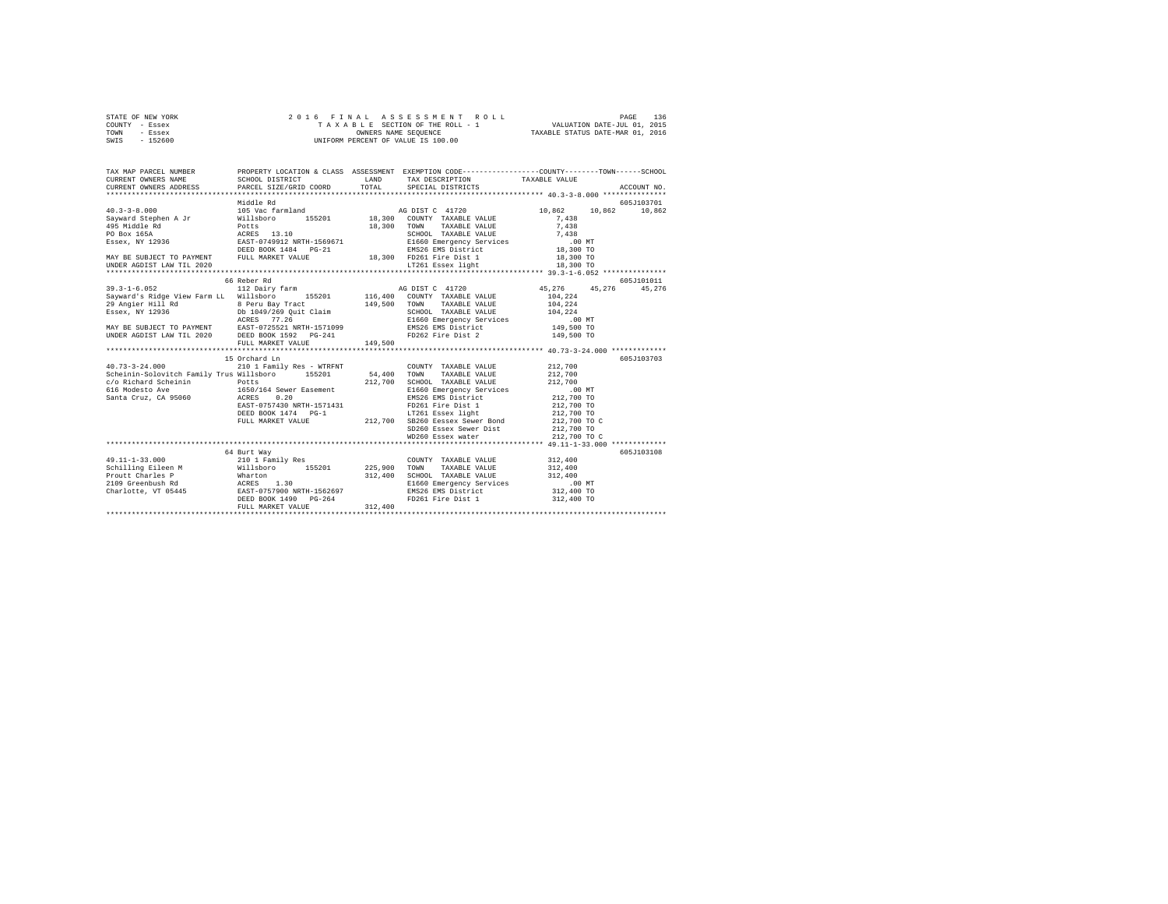| STATE OF NEW YORK | 2016 FINAL ASSESSMENT ROLL         | 136<br>PAGE                      |
|-------------------|------------------------------------|----------------------------------|
| COUNTY - Essex    | TAXABLE SECTION OF THE ROLL - 1    | VALUATION DATE-JUL 01, 2015      |
| TOWN<br>- Essex   | OWNERS NAME SEOUENCE               | TAXABLE STATUS DATE-MAR 01, 2016 |
| $-152600$<br>SWIS | UNIFORM PERCENT OF VALUE IS 100.00 |                                  |

| TAX MAP PARCEL NUMBER                                                                                                                                                                                                                                                |                                                                                                                                                                              |                                 |                                                                           | PROPERTY LOCATION & CLASS ASSESSMENT EXEMPTION CODE---------------COUNTY-------TOWN------SCHOOL |            |
|----------------------------------------------------------------------------------------------------------------------------------------------------------------------------------------------------------------------------------------------------------------------|------------------------------------------------------------------------------------------------------------------------------------------------------------------------------|---------------------------------|---------------------------------------------------------------------------|-------------------------------------------------------------------------------------------------|------------|
|                                                                                                                                                                                                                                                                      |                                                                                                                                                                              |                                 |                                                                           |                                                                                                 |            |
|                                                                                                                                                                                                                                                                      | Middle Rd                                                                                                                                                                    |                                 |                                                                           |                                                                                                 | 605J103701 |
|                                                                                                                                                                                                                                                                      |                                                                                                                                                                              |                                 | AG DIST C 41720                                                           | 10,862<br>10,862 10,862                                                                         |            |
|                                                                                                                                                                                                                                                                      |                                                                                                                                                                              |                                 | 155201 18,300 COUNTY TAXABLE VALUE                                        | 7.438                                                                                           |            |
|                                                                                                                                                                                                                                                                      |                                                                                                                                                                              | $18\,,\,300\qquad\, {\rm TOWN}$ |                                                                           |                                                                                                 |            |
|                                                                                                                                                                                                                                                                      |                                                                                                                                                                              |                                 |                                                                           |                                                                                                 |            |
|                                                                                                                                                                                                                                                                      |                                                                                                                                                                              |                                 |                                                                           |                                                                                                 |            |
|                                                                                                                                                                                                                                                                      |                                                                                                                                                                              |                                 |                                                                           |                                                                                                 |            |
|                                                                                                                                                                                                                                                                      |                                                                                                                                                                              |                                 |                                                                           |                                                                                                 |            |
| UNDER AGDIST LAW TIL 2020                                                                                                                                                                                                                                            |                                                                                                                                                                              |                                 | LT261 Essex light 18,300 TO                                               |                                                                                                 |            |
|                                                                                                                                                                                                                                                                      |                                                                                                                                                                              |                                 |                                                                           |                                                                                                 |            |
|                                                                                                                                                                                                                                                                      | 66 Reber Rd                                                                                                                                                                  |                                 |                                                                           | 45, 276 45, 276 45, 276                                                                         | 605J101011 |
|                                                                                                                                                                                                                                                                      |                                                                                                                                                                              |                                 |                                                                           |                                                                                                 |            |
|                                                                                                                                                                                                                                                                      |                                                                                                                                                                              |                                 |                                                                           |                                                                                                 |            |
|                                                                                                                                                                                                                                                                      |                                                                                                                                                                              |                                 |                                                                           |                                                                                                 |            |
|                                                                                                                                                                                                                                                                      |                                                                                                                                                                              |                                 |                                                                           |                                                                                                 |            |
|                                                                                                                                                                                                                                                                      |                                                                                                                                                                              |                                 |                                                                           |                                                                                                 |            |
|                                                                                                                                                                                                                                                                      |                                                                                                                                                                              |                                 |                                                                           |                                                                                                 |            |
|                                                                                                                                                                                                                                                                      |                                                                                                                                                                              |                                 |                                                                           |                                                                                                 |            |
|                                                                                                                                                                                                                                                                      |                                                                                                                                                                              |                                 |                                                                           |                                                                                                 |            |
|                                                                                                                                                                                                                                                                      | 15 Orchard Ln                                                                                                                                                                |                                 |                                                                           |                                                                                                 | 605J103703 |
| $40.73 - 3 - 24.000$                                                                                                                                                                                                                                                 | 210 1 Family Res - WTRFNT                                                                                                                                                    |                                 | COUNTY TAXABLE VALUE 212,700                                              |                                                                                                 |            |
| Scheinin-Solovitch Family Trus Willsboro 155201 54,400 TOWN TAXABLE VALUE 212,700                                                                                                                                                                                    |                                                                                                                                                                              |                                 |                                                                           |                                                                                                 |            |
|                                                                                                                                                                                                                                                                      |                                                                                                                                                                              |                                 |                                                                           |                                                                                                 |            |
|                                                                                                                                                                                                                                                                      |                                                                                                                                                                              |                                 |                                                                           |                                                                                                 |            |
| CONSTRUCTED THE POLICE 212,700 SCHOOL TAXABLE VALUE 212,700<br>Single State And the police of the same and the same specific and the same conditional conditional conditional<br>Santa Cruz, CA 95060 ACRES 0.20 20 EMS26 EMS Distri                                 |                                                                                                                                                                              |                                 |                                                                           |                                                                                                 |            |
|                                                                                                                                                                                                                                                                      |                                                                                                                                                                              |                                 |                                                                           |                                                                                                 |            |
|                                                                                                                                                                                                                                                                      |                                                                                                                                                                              |                                 |                                                                           |                                                                                                 |            |
|                                                                                                                                                                                                                                                                      | ACAGO NRTH-1571431 – 2000 ENDER 11 212,700 TO<br>DEED BOOK 1474 PG-1 – 17261 ESSEX 119ht – 212,700 TO<br>DEED BOOK 1474 PG-1 – 212,700 SB260 Essex Sewer Bond – 212,700 TO C |                                 |                                                                           |                                                                                                 |            |
|                                                                                                                                                                                                                                                                      |                                                                                                                                                                              |                                 | $5D260$ Essex Sewer Dist $212,700$ TO<br>$0.700$ Essex water $212,700$ TO |                                                                                                 |            |
|                                                                                                                                                                                                                                                                      |                                                                                                                                                                              |                                 | WD260 Essex water                                                         | 212,700 TO C                                                                                    |            |
|                                                                                                                                                                                                                                                                      |                                                                                                                                                                              |                                 |                                                                           |                                                                                                 |            |
| 49.11-1-33.000                                                                                                                                                                                                                                                       | 64 Burt Way<br>210 1 Family Res                                                                                                                                              |                                 | COUNTY TAXABLE VALUE 312.400                                              |                                                                                                 | 605J103108 |
|                                                                                                                                                                                                                                                                      |                                                                                                                                                                              |                                 |                                                                           |                                                                                                 |            |
|                                                                                                                                                                                                                                                                      |                                                                                                                                                                              |                                 |                                                                           |                                                                                                 |            |
|                                                                                                                                                                                                                                                                      |                                                                                                                                                                              |                                 | SCHOOL TAXABLE VALUE 312,400<br>E1660 Emergency Services .00 MT           |                                                                                                 |            |
| Charlotte, VT 05445<br>2011 111 111 1225,900<br>2025,900<br>2025,900<br>2027,000<br>2027,900<br>2027,900<br>2027,900<br>2027,900<br>2027,900<br>2027,900<br>2025,900<br>2027,900<br>2027,900<br>2027,900<br>2027,900<br>2027,900<br>2027,900<br>2027,900<br>2027,900 |                                                                                                                                                                              |                                 |                                                                           | 312,400 TO                                                                                      |            |
|                                                                                                                                                                                                                                                                      |                                                                                                                                                                              |                                 |                                                                           | 312,400 TO                                                                                      |            |
|                                                                                                                                                                                                                                                                      | FULL MARKET VALUE                                                                                                                                                            | 312,400                         |                                                                           |                                                                                                 |            |
|                                                                                                                                                                                                                                                                      |                                                                                                                                                                              |                                 |                                                                           |                                                                                                 |            |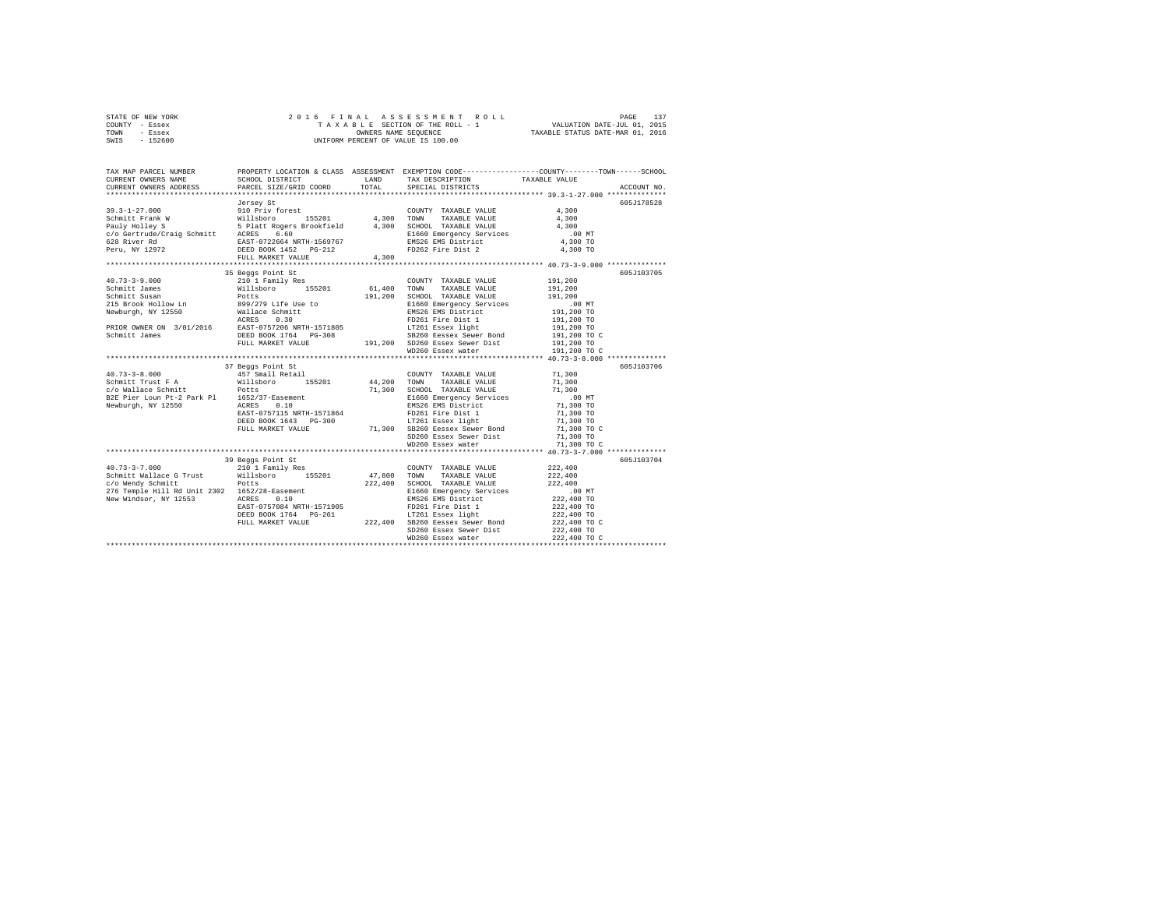| STATE OF NEW YORK | 2016 FINAL ASSESSMENT ROLL         | PAGE                             |
|-------------------|------------------------------------|----------------------------------|
| COUNTY - Essex    | TAXABLE SECTION OF THE ROLL - 1    | VALUATION DATE-JUL 01, 2015      |
| TOWN<br>- Essex   | OWNERS NAME SEOUENCE               | TAXABLE STATUS DATE-MAR 01, 2016 |
| $-152600$<br>SWIS | UNIFORM PERCENT OF VALUE IS 100.00 |                                  |

| TAX MAP PARCEL NUMBER<br>CURRENT OWNERS NAME<br>CURRENT OWNERS ADDRESS                                                                                                                                                                       |                                                                                                                                                                                                                                                                                                         |       |                                                                            | PROPERTY LOCATION & CLASS ASSESSMENT EXEMPTION CODE----------------COUNTY-------TOWN------SCHOOL<br>ACCOUNT NO.                                     |
|----------------------------------------------------------------------------------------------------------------------------------------------------------------------------------------------------------------------------------------------|---------------------------------------------------------------------------------------------------------------------------------------------------------------------------------------------------------------------------------------------------------------------------------------------------------|-------|----------------------------------------------------------------------------|-----------------------------------------------------------------------------------------------------------------------------------------------------|
|                                                                                                                                                                                                                                              | Jersey St<br>FULL MARKET VALUE                                                                                                                                                                                                                                                                          | 4,300 |                                                                            | 605J178528<br>$.00$ MT<br>4,300 TO<br>$4,300$ TO                                                                                                    |
| 40.73-3-9.000<br>40.73-3-9.000<br>35 Brook Hollow Lm and Willshoro 155201<br>Schmitt James Willshoro 155201<br>Schmitt James Willshoro 155201<br>36.400 SCHOOL TAXABLE VALUE 191,200<br>2015 Brook Hollow Lm and Willshoro 155201<br>2015 Br |                                                                                                                                                                                                                                                                                                         |       |                                                                            | 605J103705                                                                                                                                          |
|                                                                                                                                                                                                                                              | 37 Beggs Point St<br>37 Beggs Point St<br>457 Small Retail                                                                                                                                                                                                                                              |       |                                                                            | 605J103706                                                                                                                                          |
| $40.73 - 3 - 8.000$                                                                                                                                                                                                                          |                                                                                                                                                                                                                                                                                                         |       | COUNTY TAXABLE VALUE 71.300<br>SD260 Essex Sewer Dist<br>WD260 Essex water | 71,300 TO<br>71,300 TO C                                                                                                                            |
|                                                                                                                                                                                                                                              |                                                                                                                                                                                                                                                                                                         |       |                                                                            |                                                                                                                                                     |
| $40.73 - 3 - 7.000$<br>Schmitt Wallace G Trust Willsboro 155201 47,800 TOWN<br>c/o Wendy Schmitt Potts<br>276 Temple Hill Rd Unit 2302 1652/28-Easement<br>New Windsor, NY 12553 202 1652/28-Easement<br>New Windsor, NY 12553 ACRES 0.10    | 39 Beggs Point St<br>Beggs Point St<br>210 1 Family Res<br>Potts 222,400 SCHOOL TAXABLE VALUE<br>POTTS 222,400 SCHOOL TAXABLE VALUE<br>1652/28-Easement<br>222,400 EMS26 EMS District<br>222,400 EMS26 EMS District<br>222,400 EMS26 EMS District<br>DEED BOOK 1764 PC-261<br>222,400 SE260 Eesex 19ewe |       | COUNTY TAXABLE VALUE<br>TAXABLE VALUE<br>SD260 Essex Sewer Dist            | 605J103704<br>222,400<br>222,400<br>$222,400$<br>$100$ MT $222,400$<br>$222,400$ TO<br>$222,400$ TO<br>$222,400$ TO<br>$222,400$ TO C<br>222,400 TO |
|                                                                                                                                                                                                                                              |                                                                                                                                                                                                                                                                                                         |       |                                                                            |                                                                                                                                                     |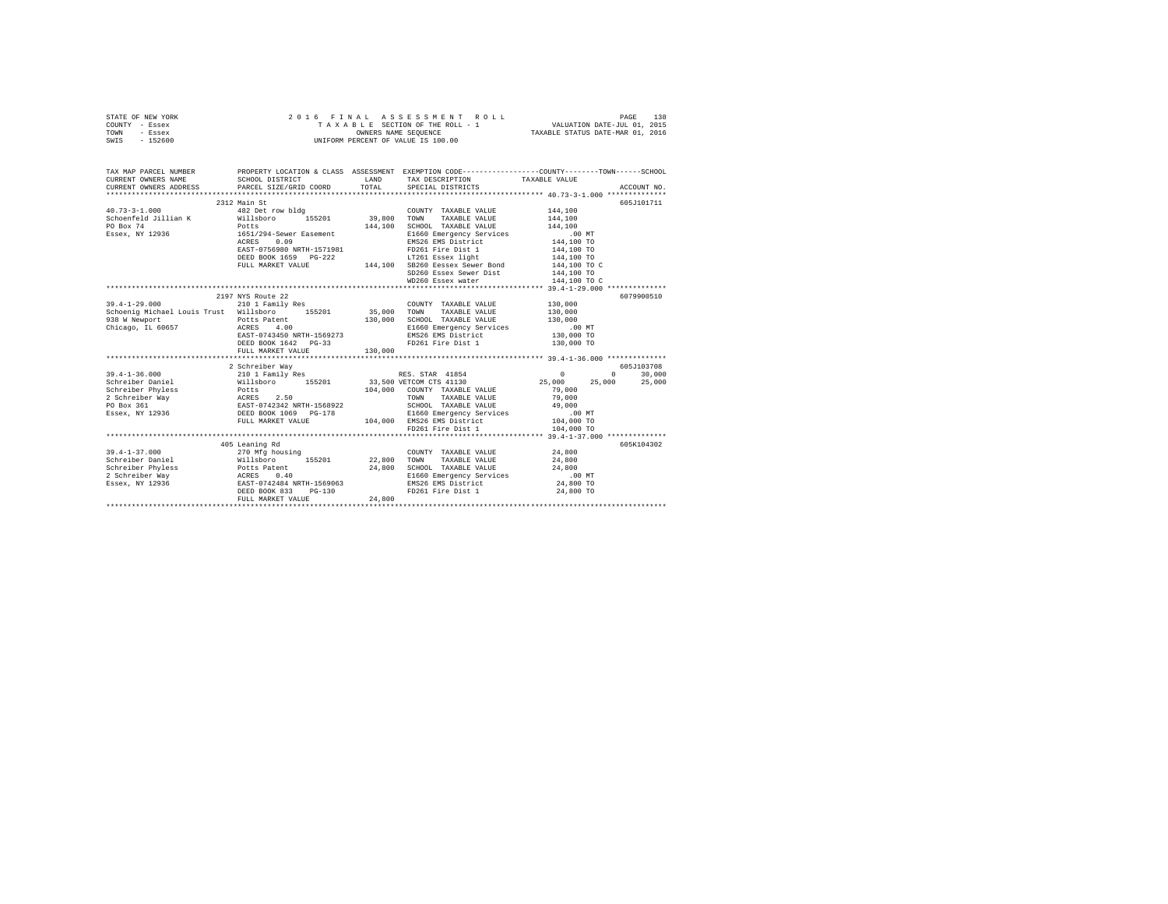|      | STATE OF NEW YORK |  | 2016 FINAL ASSESSMENT ROLL         | 138<br>PAGE                      |  |
|------|-------------------|--|------------------------------------|----------------------------------|--|
|      | COUNTY - Essex    |  | TAXABLE SECTION OF THE ROLL - 1    | VALUATION DATE-JUL 01, 2015      |  |
| TOWN | - Essex           |  | OWNERS NAME SEOUENCE               | TAXABLE STATUS DATE-MAR 01, 2016 |  |
| SWIS | - 152600          |  | UNIFORM PERCENT OF VALUE IS 100.00 |                                  |  |

| TAX MAP PARCEL NUMBER<br>CURRENT OWNERS NAME SCHOOL DISTRICT LAND TAX DESCRIPTION TAXABLE VALUE ACCOUNT NO. ACCOUNT NO SCHOOL DISTRICT LAND TAX DESCRIPTION TAXABLE VALUE ACCOUNT NO.                                                                                                                                                                                                                   | PROPERTY LOCATION & CLASS ASSESSMENT EXEMPTION CODE----------------COUNTY-------TOWN------SCHOOL<br>SCHOOL DISTRICT LAND TAX DESCRIPTION TAXABLE VALUE                                                                                   |         |                                                                                                |                    |            |
|---------------------------------------------------------------------------------------------------------------------------------------------------------------------------------------------------------------------------------------------------------------------------------------------------------------------------------------------------------------------------------------------------------|------------------------------------------------------------------------------------------------------------------------------------------------------------------------------------------------------------------------------------------|---------|------------------------------------------------------------------------------------------------|--------------------|------------|
|                                                                                                                                                                                                                                                                                                                                                                                                         | 2312 Main St                                                                                                                                                                                                                             |         |                                                                                                |                    | 605J101711 |
|                                                                                                                                                                                                                                                                                                                                                                                                         |                                                                                                                                                                                                                                          |         | COUNTY TAXABLE VALUE 144,100                                                                   |                    |            |
|                                                                                                                                                                                                                                                                                                                                                                                                         |                                                                                                                                                                                                                                          |         | TAXABLE VALUE 144,100                                                                          |                    |            |
|                                                                                                                                                                                                                                                                                                                                                                                                         |                                                                                                                                                                                                                                          |         |                                                                                                |                    |            |
|                                                                                                                                                                                                                                                                                                                                                                                                         |                                                                                                                                                                                                                                          |         |                                                                                                |                    |            |
|                                                                                                                                                                                                                                                                                                                                                                                                         |                                                                                                                                                                                                                                          |         |                                                                                                |                    |            |
|                                                                                                                                                                                                                                                                                                                                                                                                         | 1991/277-08890 MRTH-1571981 – 1992<br>REST 0.09 – 1993<br>REST 0.09 – 1993<br>PDAGE DESS 1992<br>144,100 TOLL MARKET VALUE – 144,100 – 144,100 – 17261 Essex 1ight<br>144,100 – 144,100 – 144,100 – 144,100 – 144,100 – 144,100 – 144,10 |         |                                                                                                |                    |            |
|                                                                                                                                                                                                                                                                                                                                                                                                         |                                                                                                                                                                                                                                          |         |                                                                                                |                    |            |
|                                                                                                                                                                                                                                                                                                                                                                                                         |                                                                                                                                                                                                                                          |         |                                                                                                |                    |            |
|                                                                                                                                                                                                                                                                                                                                                                                                         |                                                                                                                                                                                                                                          |         | SD260 Essex Sewer Dist 144,100 TO                                                              |                    |            |
|                                                                                                                                                                                                                                                                                                                                                                                                         |                                                                                                                                                                                                                                          |         | WD260 Essex water                                                                              | 144,100 TO C       |            |
|                                                                                                                                                                                                                                                                                                                                                                                                         |                                                                                                                                                                                                                                          |         |                                                                                                |                    |            |
|                                                                                                                                                                                                                                                                                                                                                                                                         | 2197 NYS Route 22                                                                                                                                                                                                                        |         |                                                                                                |                    | 6079900510 |
|                                                                                                                                                                                                                                                                                                                                                                                                         |                                                                                                                                                                                                                                          |         | COUNTY TAXABLE VALUE                                                                           |                    |            |
| 39.4-1-29.000 210 1 Family Res COUNTY TAXABLE VALUE<br>Schoenig Michael Louis Trust Willsboro 155201 35,000 TOWN TAXABLE VALUE                                                                                                                                                                                                                                                                          |                                                                                                                                                                                                                                          |         |                                                                                                | 130,000<br>130,000 |            |
|                                                                                                                                                                                                                                                                                                                                                                                                         |                                                                                                                                                                                                                                          |         |                                                                                                |                    |            |
|                                                                                                                                                                                                                                                                                                                                                                                                         |                                                                                                                                                                                                                                          |         |                                                                                                |                    |            |
|                                                                                                                                                                                                                                                                                                                                                                                                         |                                                                                                                                                                                                                                          |         |                                                                                                |                    |            |
|                                                                                                                                                                                                                                                                                                                                                                                                         | DEED BOOK 1642 PG-33                                                                                                                                                                                                                     |         | FD261 Fire Dist 1 130,000 TO                                                                   |                    |            |
|                                                                                                                                                                                                                                                                                                                                                                                                         | FULL MARKET VALUE                                                                                                                                                                                                                        | 130,000 |                                                                                                |                    |            |
|                                                                                                                                                                                                                                                                                                                                                                                                         |                                                                                                                                                                                                                                          |         |                                                                                                |                    |            |
| $\begin{tabular}{l c c c c c} \multicolumn{4}{c c c c} \multicolumn{4}{c c c} \multicolumn{4}{c c c} \multicolumn{4}{c c c} \multicolumn{4}{c c c} \multicolumn{4}{c c c} \multicolumn{4}{c c c} \multicolumn{4}{c c c} \multicolumn{4}{c c c} \multicolumn{4}{c c c} \multicolumn{4}{c c c} \multicolumn{4}{c c c} \multicolumn{4}{c c c} \multicolumn{4}{c c c} \multicolumn{4}{c c c} \multicolumn{$ |                                                                                                                                                                                                                                          |         |                                                                                                |                    |            |
|                                                                                                                                                                                                                                                                                                                                                                                                         |                                                                                                                                                                                                                                          |         |                                                                                                |                    |            |
|                                                                                                                                                                                                                                                                                                                                                                                                         |                                                                                                                                                                                                                                          |         |                                                                                                |                    |            |
|                                                                                                                                                                                                                                                                                                                                                                                                         |                                                                                                                                                                                                                                          |         |                                                                                                |                    |            |
|                                                                                                                                                                                                                                                                                                                                                                                                         |                                                                                                                                                                                                                                          |         |                                                                                                |                    |            |
|                                                                                                                                                                                                                                                                                                                                                                                                         |                                                                                                                                                                                                                                          |         |                                                                                                |                    |            |
|                                                                                                                                                                                                                                                                                                                                                                                                         |                                                                                                                                                                                                                                          |         |                                                                                                |                    |            |
|                                                                                                                                                                                                                                                                                                                                                                                                         |                                                                                                                                                                                                                                          |         |                                                                                                |                    |            |
|                                                                                                                                                                                                                                                                                                                                                                                                         |                                                                                                                                                                                                                                          |         | FD261 Fire Dist 1                                                                              | 104,000 TO         |            |
|                                                                                                                                                                                                                                                                                                                                                                                                         |                                                                                                                                                                                                                                          |         |                                                                                                |                    |            |
|                                                                                                                                                                                                                                                                                                                                                                                                         | 405 Leaning Rd                                                                                                                                                                                                                           |         |                                                                                                |                    | 605K104302 |
|                                                                                                                                                                                                                                                                                                                                                                                                         |                                                                                                                                                                                                                                          |         |                                                                                                |                    |            |
|                                                                                                                                                                                                                                                                                                                                                                                                         |                                                                                                                                                                                                                                          |         |                                                                                                |                    |            |
|                                                                                                                                                                                                                                                                                                                                                                                                         |                                                                                                                                                                                                                                          |         |                                                                                                |                    |            |
|                                                                                                                                                                                                                                                                                                                                                                                                         |                                                                                                                                                                                                                                          |         | E1660 Emergency Services 100 MT<br>EMS26 EMS District 24,800 TO<br>FD261 Fire Dist 1 24,800 TO |                    |            |
|                                                                                                                                                                                                                                                                                                                                                                                                         |                                                                                                                                                                                                                                          |         |                                                                                                |                    |            |
|                                                                                                                                                                                                                                                                                                                                                                                                         |                                                                                                                                                                                                                                          |         |                                                                                                |                    |            |
|                                                                                                                                                                                                                                                                                                                                                                                                         | FULL MARKET VALUE                                                                                                                                                                                                                        | 24,800  |                                                                                                |                    |            |
|                                                                                                                                                                                                                                                                                                                                                                                                         |                                                                                                                                                                                                                                          |         |                                                                                                |                    |            |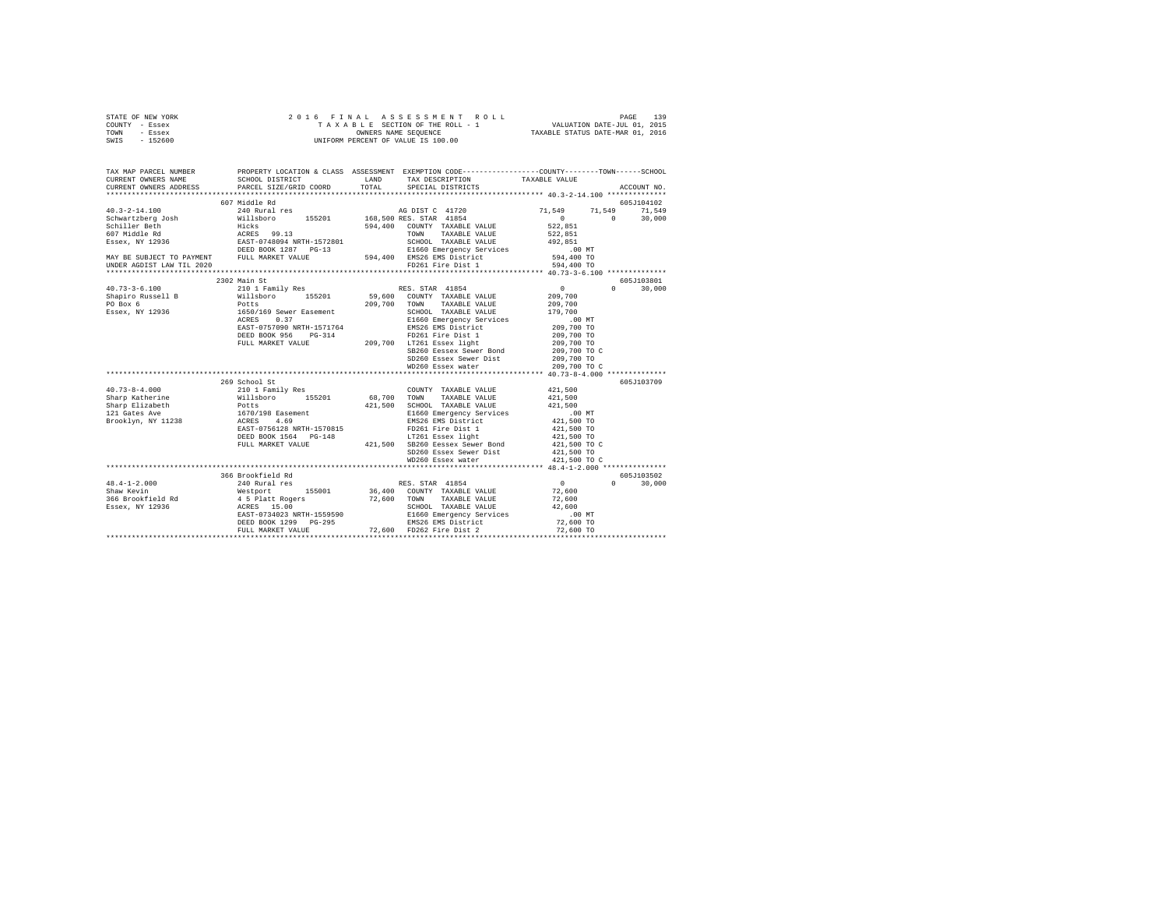|      | STATE OF NEW YORK |  |  |  | 2016 FINAL ASSESSMENT ROLL         |                                  | PAGE                        | 139 |
|------|-------------------|--|--|--|------------------------------------|----------------------------------|-----------------------------|-----|
|      | COUNTY - Essex    |  |  |  | TAXABLE SECTION OF THE ROLL - 1    |                                  | VALUATION DATE-JUL 01, 2015 |     |
| TOWN | - Essex           |  |  |  | OWNERS NAME SEOUENCE               | TAXABLE STATUS DATE-MAR 01, 2016 |                             |     |
| SWIS | $-152600$         |  |  |  | UNIFORM PERCENT OF VALUE IS 100.00 |                                  |                             |     |

| TAX MAP PARCEL NUMBER | PROPERTY LOCATION & CLASS ASSESSMENT EXEMPTION CODE---------------COUNTY-------TOWN-----SCHOOL                                                                                                                                                                                                                                                                                                           |                                                                                                                                                |                            |                    |
|-----------------------|----------------------------------------------------------------------------------------------------------------------------------------------------------------------------------------------------------------------------------------------------------------------------------------------------------------------------------------------------------------------------------------------------------|------------------------------------------------------------------------------------------------------------------------------------------------|----------------------------|--------------------|
|                       | CURRENT OWNERS ADDRESS PARCEL SIZE/GRID COORD TOTAL                                                                                                                                                                                                                                                                                                                                                      | SPECIAL DISTRICTS                                                                                                                              |                            | ACCOUNT NO.        |
|                       |                                                                                                                                                                                                                                                                                                                                                                                                          |                                                                                                                                                |                            | 605J104102         |
|                       |                                                                                                                                                                                                                                                                                                                                                                                                          |                                                                                                                                                | 71,549 71,549 71,549       |                    |
|                       |                                                                                                                                                                                                                                                                                                                                                                                                          |                                                                                                                                                |                            | $0 \t 30.000$      |
|                       |                                                                                                                                                                                                                                                                                                                                                                                                          |                                                                                                                                                |                            |                    |
|                       |                                                                                                                                                                                                                                                                                                                                                                                                          |                                                                                                                                                |                            |                    |
|                       |                                                                                                                                                                                                                                                                                                                                                                                                          |                                                                                                                                                |                            |                    |
|                       |                                                                                                                                                                                                                                                                                                                                                                                                          |                                                                                                                                                |                            |                    |
|                       |                                                                                                                                                                                                                                                                                                                                                                                                          |                                                                                                                                                |                            |                    |
|                       |                                                                                                                                                                                                                                                                                                                                                                                                          |                                                                                                                                                |                            |                    |
|                       |                                                                                                                                                                                                                                                                                                                                                                                                          |                                                                                                                                                |                            |                    |
|                       | 2302 Main St                                                                                                                                                                                                                                                                                                                                                                                             |                                                                                                                                                |                            | 605J103801         |
|                       |                                                                                                                                                                                                                                                                                                                                                                                                          |                                                                                                                                                |                            | $\Omega$<br>30,000 |
|                       |                                                                                                                                                                                                                                                                                                                                                                                                          |                                                                                                                                                |                            |                    |
|                       |                                                                                                                                                                                                                                                                                                                                                                                                          |                                                                                                                                                |                            |                    |
|                       |                                                                                                                                                                                                                                                                                                                                                                                                          |                                                                                                                                                |                            |                    |
|                       |                                                                                                                                                                                                                                                                                                                                                                                                          |                                                                                                                                                |                            |                    |
|                       |                                                                                                                                                                                                                                                                                                                                                                                                          |                                                                                                                                                |                            |                    |
|                       |                                                                                                                                                                                                                                                                                                                                                                                                          |                                                                                                                                                |                            |                    |
|                       |                                                                                                                                                                                                                                                                                                                                                                                                          | SB260 Eessex Sewer Bond                                                                                                                        | 209,700 TO<br>209,700 TO C |                    |
|                       |                                                                                                                                                                                                                                                                                                                                                                                                          | $5D260$ Essex Sewer Dist 209,700 TO                                                                                                            |                            |                    |
|                       |                                                                                                                                                                                                                                                                                                                                                                                                          | WD260 Essex water                                                                                                                              | 209,700 TO C               |                    |
|                       |                                                                                                                                                                                                                                                                                                                                                                                                          |                                                                                                                                                |                            |                    |
|                       | 269 School St                                                                                                                                                                                                                                                                                                                                                                                            |                                                                                                                                                |                            | 605J103709         |
|                       |                                                                                                                                                                                                                                                                                                                                                                                                          |                                                                                                                                                |                            |                    |
|                       |                                                                                                                                                                                                                                                                                                                                                                                                          |                                                                                                                                                |                            |                    |
|                       |                                                                                                                                                                                                                                                                                                                                                                                                          |                                                                                                                                                |                            |                    |
|                       |                                                                                                                                                                                                                                                                                                                                                                                                          |                                                                                                                                                |                            |                    |
|                       |                                                                                                                                                                                                                                                                                                                                                                                                          |                                                                                                                                                |                            |                    |
|                       |                                                                                                                                                                                                                                                                                                                                                                                                          |                                                                                                                                                |                            |                    |
|                       |                                                                                                                                                                                                                                                                                                                                                                                                          |                                                                                                                                                |                            |                    |
|                       | $\begin{tabular}{l c c c c} \multicolumn{3}{c c c} \multicolumn{3}{c c c} \multicolumn{3}{c c c} \multicolumn{3}{c c c} \multicolumn{3}{c c c} \multicolumn{3}{c c c} \multicolumn{3}{c c c} \multicolumn{3}{c c c} \multicolumn{3}{c c c} \multicolumn{3}{c c c} \multicolumn{3}{c c c} \multicolumn{3}{c c c} \multicolumn{3}{c c c} \multicolumn{3}{c c c} \multicolumn{3}{c c c} \multicolumn{3}{c $ |                                                                                                                                                |                            |                    |
|                       |                                                                                                                                                                                                                                                                                                                                                                                                          | $\begin{tabular}{llllll} \texttt{SD260 Essex Sewer Dist} & & & & 421,500 T0 \\ \texttt{WD260 Essex water} & & & 421,500 T0 C \\ \end{tabular}$ |                            |                    |
|                       |                                                                                                                                                                                                                                                                                                                                                                                                          |                                                                                                                                                |                            |                    |
|                       | 366 Brookfield Rd                                                                                                                                                                                                                                                                                                                                                                                        |                                                                                                                                                |                            | 605J103502         |
|                       |                                                                                                                                                                                                                                                                                                                                                                                                          |                                                                                                                                                |                            | $\Omega$<br>30,000 |
|                       |                                                                                                                                                                                                                                                                                                                                                                                                          |                                                                                                                                                |                            |                    |
|                       |                                                                                                                                                                                                                                                                                                                                                                                                          |                                                                                                                                                |                            |                    |
|                       |                                                                                                                                                                                                                                                                                                                                                                                                          |                                                                                                                                                |                            |                    |
|                       |                                                                                                                                                                                                                                                                                                                                                                                                          |                                                                                                                                                |                            |                    |
|                       |                                                                                                                                                                                                                                                                                                                                                                                                          |                                                                                                                                                |                            |                    |
|                       |                                                                                                                                                                                                                                                                                                                                                                                                          |                                                                                                                                                |                            |                    |
|                       |                                                                                                                                                                                                                                                                                                                                                                                                          |                                                                                                                                                |                            |                    |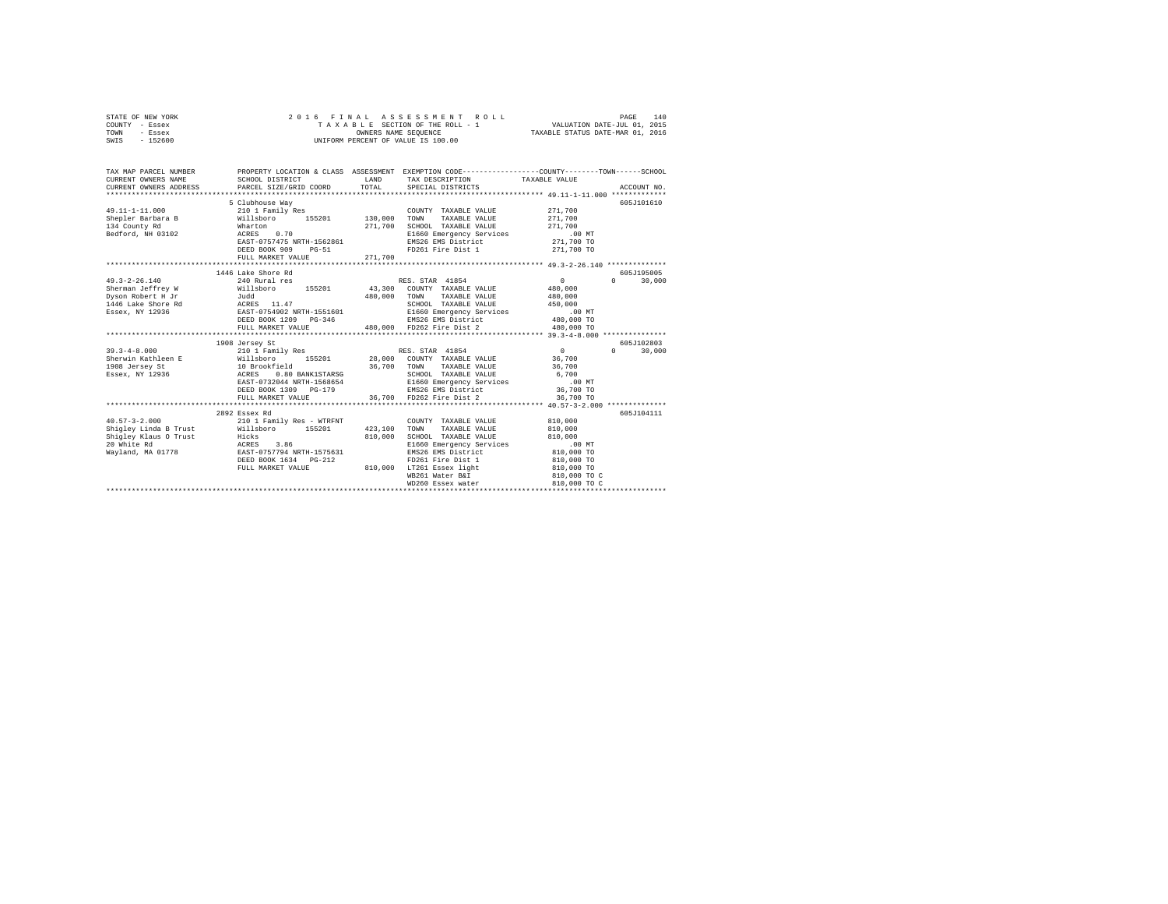|      | STATE OF NEW YORK |  |  |  | 2016 FINAL ASSESSMENT ROLL         |                                  | PAGE | 140 |
|------|-------------------|--|--|--|------------------------------------|----------------------------------|------|-----|
|      | COUNTY - Essex    |  |  |  | TAXABLE SECTION OF THE ROLL - 1    | VALUATION DATE-JUL 01, 2015      |      |     |
| TOWN | - Essex           |  |  |  | OWNERS NAME SEOUENCE               | TAXABLE STATUS DATE-MAR 01, 2016 |      |     |
| SWIS | $-152600$         |  |  |  | UNIFORM PERCENT OF VALUE IS 100.00 |                                  |      |     |

| TAX MAP PARCEL NUMBER<br>$\begin{tabular}{lllllllllll} \multicolumn{2}{c}{\textbf{CURRENT}} & \multicolumn{2}{c}{\textbf{OWNERS}} & \multicolumn{2}{c}{\textbf{NAME}} & \multicolumn{2}{c}{\textbf{SCHOOL}} & \multicolumn{2}{c}{\textbf{DISTRICT}} \\ \multicolumn{2}{c}{\textbf{CURRENT}} & \multicolumn{2}{c}{\textbf{OWNERS}} & \multicolumn{2}{c}{\textbf{ADDRES}} & \multicolumn{2}{c}{\textbf{PARCEL}} & \multicolumn{2}{c}{\textbf{SIZE/GRID}} & \multicolumn{2}{c}{\textbf{COORD}} \\ \multicolumn{2$ |                                                                                                                                                                                                                                                                              | LAND    | PROPERTY LOCATION & CLASS ASSESSMENT EXEMPTION CODE----------------COUNTY-------TOWN-----SCHOOL<br>TAX DESCRIPTION TAXABLE VALUE<br>TOTAL SPECIAL DISTRICTS                                                                                                                                      |                                                                                 | ACCOUNT NO.                                   |
|----------------------------------------------------------------------------------------------------------------------------------------------------------------------------------------------------------------------------------------------------------------------------------------------------------------------------------------------------------------------------------------------------------------------------------------------------------------------------------------------------------------|------------------------------------------------------------------------------------------------------------------------------------------------------------------------------------------------------------------------------------------------------------------------------|---------|--------------------------------------------------------------------------------------------------------------------------------------------------------------------------------------------------------------------------------------------------------------------------------------------------|---------------------------------------------------------------------------------|-----------------------------------------------|
| $49.11 - 1 - 11.000$<br>Shepler Barbara B<br>134 County Rd 130,000 TOWN<br>134 County Rd 130,000 TOWN<br>Bedford, NH 03102 MCRES 0.70 271,700 E1660                                                                                                                                                                                                                                                                                                                                                            | 5 Clubhouse Way<br>210 1 Family Res<br>EAST-0757475 NRTH-1562861<br>DEED BOOK 909<br>$PG-51$<br>FULL MARKET VALUE                                                                                                                                                            | 271,700 | COUNTY TAXABLE VALUE<br>$\begin{tabular}{lcccc} 130,000 & TOMN & TAXABLE VALUE & & 271,700 \\ 271,700 & SCHODL & TXABLE VALUE & & 271,700 \\ & SCHODL & & 271,700 \\ & E1660 Emergency Services & & 0.0 MT \\ & EMS26 EMS District & & 271,700 TO \end{tabular}$<br>FD261 Fire Dist 1 271,700 TO | 271,700                                                                         | 605J101610                                    |
| $49.3 - 2 - 26.140$                                                                                                                                                                                                                                                                                                                                                                                                                                                                                            | 1446 Lake Shore Rd<br>240 Rural res                                                                                                                                                                                                                                          |         | RES. STAR 41854<br>$\begin{tabular}{lllllllll} \textsc{TOWN} & \textsc{TAXABLE} & \textsc{VALUE} & \textsc{480,000} \\ \textsc{SCHOOL} & \textsc{TAXABLE} & \textsc{VALUE} & \textsc{450,000} \\ \end{tabular}$<br>E1660 Emergency Services .00 MT                                               | $\sim$ 0<br>480,000                                                             | 605J195005<br>$\Omega$ and $\Omega$<br>30,000 |
| $19.3-4-8.000 \begin{array}{l} \texttt{39.3-4-8.000} \\ \texttt{Sherwin } \texttt{Kathleen } E \end{array} \hspace{1cm} \texttt{210 1 Family } \texttt{Res} \hspace{1cm} \texttt{RES. STAR} \hspace{1cm} \texttt{41854} \\ \texttt{36.700} \hspace{1cm} \texttt{COMNT} \hspace{1cm} \texttt{TAXABLE VALUE} \\ \texttt{198 0ersey } \texttt{SE} \hspace{1cm} \texttt{36.700} \hspace{1cm} \texttt{36.700} \hspace{1cm$                                                                                          | 1908 Jersey St<br>EAST-0732044 NRTH-1568654<br>DEED BOOK 1309 PG-179                                                                                                                                                                                                         |         | COUNTY TAXABLE VALUE 36,700<br>TOWN TAXABLE VALUE 36,700<br>SCHOOL TAXABLE VALUE 36,700<br>FI660 Technology Taxable 1<br>E1660 Emergency Services .00 MT<br>EMS26 EMS District 36,700 TO                                                                                                         | $\mathbf{0}$                                                                    | 605J102803<br>$\Omega$<br>30,000              |
| $40.57 - 3 - 2.000$<br>Shigley Linda B Trust Willsboro 155201 423,100<br>Shigley Klaus 0 Trust<br>Shigley Klaus O Trust Hicks<br>20 White Rd Marks RCRES 3.86<br>Wayland, MA 01778 EAST-0757794 NRTH-1575631                                                                                                                                                                                                                                                                                                   | 2892 Essex Rd<br>210 1 Family Res - WTRFNT<br>EXPLOSIVE THE USE POST PRESS PRESS NORTH PRESS NORTH POST PRESS PRESS PRESS PRESS PRESS PRESS PRESS PRESS PRESS PRESS PRESS PRESS PRESS PRESS PRESS PRESS PRESS PRESS PRESS PRESS PRESS PRESS PRESS PRESS PRESS PRESS PRESS PR | 810,000 | COUNTY TAXABLE VALUE 810,000<br>TOWN TAXABLE VALUE 810,000<br>SCHOOL TAXABLE VALUE<br>E1660 Emergency Services<br>EMS26 EMS District 810,000 TO<br>FD261 Fire Dist 1<br>WB261 Water B&I<br>WD260 Essex water                                                                                     | 810,000<br>$.00$ MT<br>810,000 TO<br>810,000 TO<br>810,000 TO C<br>810,000 TO C | 605J104111                                    |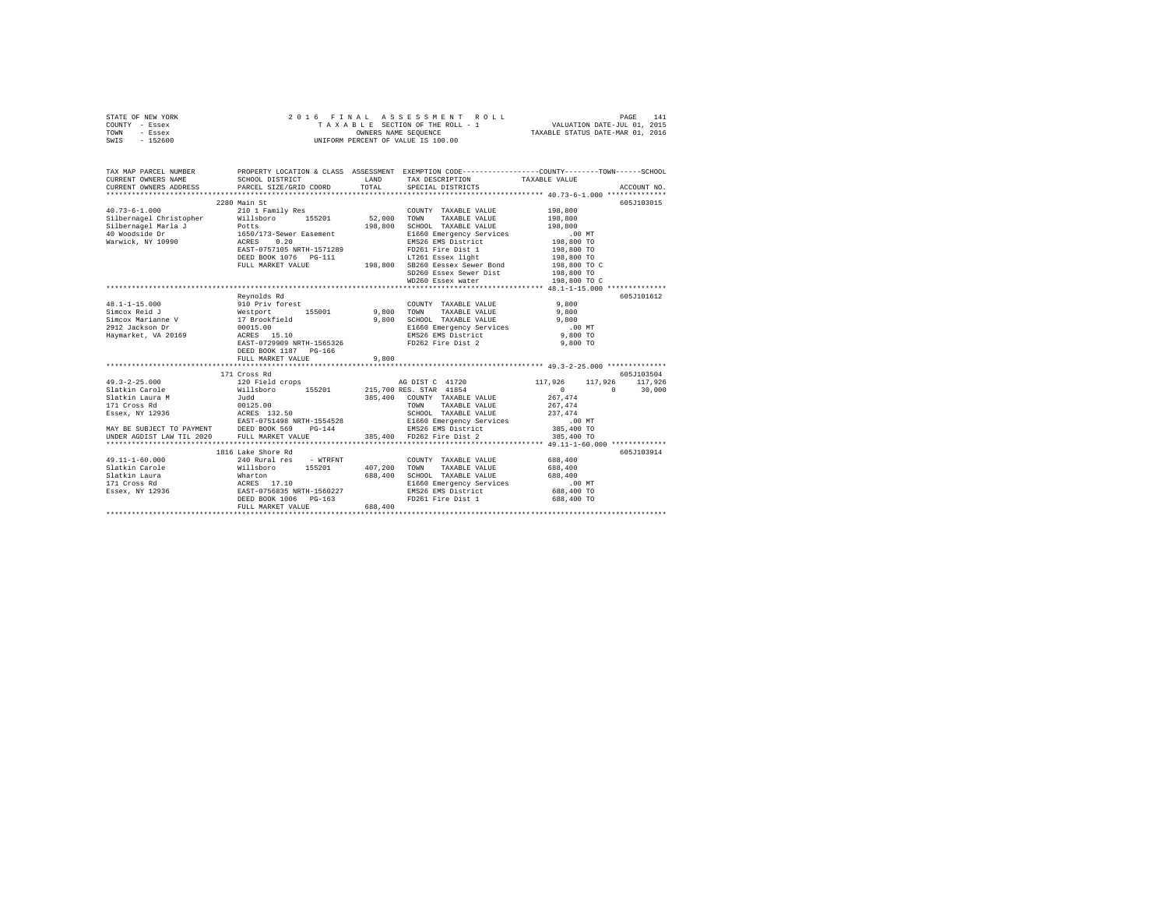| STATE OF NEW YORK | 2016 FINAL ASSESSMENT ROLL         | 141<br>PAGE                      |
|-------------------|------------------------------------|----------------------------------|
| COUNTY - Essex    | TAXABLE SECTION OF THE ROLL - 1    | VALUATION DATE-JUL 01, 2015      |
| TOWN<br>- Essex   | OWNERS NAME SEOUENCE               | TAXABLE STATUS DATE-MAR 01, 2016 |
| $-152600$<br>SWIS | UNIFORM PERCENT OF VALUE IS 100.00 |                                  |

| TAX MAP PARCEL NUMBER<br>CURRENT OWNERS NAME SCHOOL DISTRICT LAND TAX DESCRIPTION TAXABLE VALUE ACCOUNT NO. ACCOUNT NO. ANNO TRANSMENT OWNERS ADDRESS PART SCHOOL DISTRICT LAND TO A MACHINE TRANSMENT ON ACCOUNT NO.                         |                                                                                                                               |         |                                                                                                                                                                                                                                        | PROPERTY LOCATION & CLASS ASSESSMENT EXEMPTION CODE----------------COUNTY-------TOWN------SCHOOL |            |
|-----------------------------------------------------------------------------------------------------------------------------------------------------------------------------------------------------------------------------------------------|-------------------------------------------------------------------------------------------------------------------------------|---------|----------------------------------------------------------------------------------------------------------------------------------------------------------------------------------------------------------------------------------------|--------------------------------------------------------------------------------------------------|------------|
|                                                                                                                                                                                                                                               |                                                                                                                               |         |                                                                                                                                                                                                                                        |                                                                                                  |            |
|                                                                                                                                                                                                                                               | 2280 Main St                                                                                                                  |         |                                                                                                                                                                                                                                        |                                                                                                  | 605J103015 |
| $40.73 - 6 - 1.000$                                                                                                                                                                                                                           | 210 1 Family Res                                                                                                              |         | COUNTY TAXABLE VALUE                                                                                                                                                                                                                   | 198,800                                                                                          |            |
|                                                                                                                                                                                                                                               |                                                                                                                               |         | TOWN<br>TAXABLE VALUE                                                                                                                                                                                                                  | 198,800                                                                                          |            |
|                                                                                                                                                                                                                                               |                                                                                                                               |         | SCHOOL TAXABLE VALUE                                                                                                                                                                                                                   | 198,800                                                                                          |            |
| Chine Christopher Millsboro 155201 52,000<br>Silbernagel Christopher Millsboro 155201 52,000<br>Silbernagel Marla J 1650/173-Sewer Easement 198,800<br>Warwick, NY 10990 ACRES 0.20<br>Marwick, NY 10990 RAST-0757105<br>NATH-1571289         |                                                                                                                               |         | E1660 Emergency Services                                                                                                                                                                                                               | .00 MT                                                                                           |            |
|                                                                                                                                                                                                                                               |                                                                                                                               |         | EMS26 EMS District<br>ED261 Fire Dist 1                                                                                                                                                                                                | 198,800 TO                                                                                       |            |
|                                                                                                                                                                                                                                               |                                                                                                                               |         | FD261 Fire Dist 1 198,800 TO<br>LT261 Essex light 198,800 TO                                                                                                                                                                           |                                                                                                  |            |
|                                                                                                                                                                                                                                               |                                                                                                                               |         |                                                                                                                                                                                                                                        |                                                                                                  |            |
|                                                                                                                                                                                                                                               |                                                                                                                               |         |                                                                                                                                                                                                                                        |                                                                                                  |            |
|                                                                                                                                                                                                                                               |                                                                                                                               |         |                                                                                                                                                                                                                                        |                                                                                                  |            |
|                                                                                                                                                                                                                                               |                                                                                                                               |         | EAST-0757105 NRTH-1571267<br>DEED BOOK 1076 PG-111 198,800 SB260 Eessex Sewer Bond 198,800 TO<br>FULL MARKET VALUE 198,800 SB260 Eessex Sewer Dist 198,800 TO<br>SD260 Essex Sewer Dist 198,800 TO C<br>SD260 Essex Sewer Dist 198,800 |                                                                                                  |            |
|                                                                                                                                                                                                                                               |                                                                                                                               |         |                                                                                                                                                                                                                                        |                                                                                                  |            |
|                                                                                                                                                                                                                                               | Revnolds Rd                                                                                                                   |         |                                                                                                                                                                                                                                        |                                                                                                  | 605J101612 |
|                                                                                                                                                                                                                                               | Forest<br>155001 9,800                                                                                                        |         | COUNTY TAXABLE VALUE                                                                                                                                                                                                                   | 9,800                                                                                            |            |
|                                                                                                                                                                                                                                               |                                                                                                                               |         | TOWN<br>TAXABLE VALUE                                                                                                                                                                                                                  | 9,800                                                                                            |            |
|                                                                                                                                                                                                                                               |                                                                                                                               | 9,800   |                                                                                                                                                                                                                                        |                                                                                                  |            |
|                                                                                                                                                                                                                                               |                                                                                                                               |         |                                                                                                                                                                                                                                        |                                                                                                  |            |
| Haymarket, VA 20169                                                                                                                                                                                                                           | acres 15.10<br>EAST-0729909 NRTH-1565326<br>ACRES 15.10                                                                       |         |                                                                                                                                                                                                                                        |                                                                                                  |            |
|                                                                                                                                                                                                                                               |                                                                                                                               |         | - ------- IRARBLE VALUE<br>2000 EMS26 EMS District Captures<br>2000 EMS26 EMS District<br>2009 PD262 Fire Dist 2                                                                                                                       |                                                                                                  |            |
|                                                                                                                                                                                                                                               | DEED BOOK 1187 PG-166                                                                                                         |         |                                                                                                                                                                                                                                        |                                                                                                  |            |
|                                                                                                                                                                                                                                               | FULL MARKET VALUE                                                                                                             | 9,800   |                                                                                                                                                                                                                                        |                                                                                                  |            |
|                                                                                                                                                                                                                                               |                                                                                                                               |         |                                                                                                                                                                                                                                        |                                                                                                  |            |
|                                                                                                                                                                                                                                               | 171 Cross Rd                                                                                                                  |         |                                                                                                                                                                                                                                        |                                                                                                  | 605J103504 |
|                                                                                                                                                                                                                                               |                                                                                                                               |         | AG DIST C 41720                                                                                                                                                                                                                        | 117,926 117,926 117,926                                                                          |            |
|                                                                                                                                                                                                                                               |                                                                                                                               |         |                                                                                                                                                                                                                                        | $0 \t 30,000$<br>$\sim$ 0 $\sim$                                                                 |            |
|                                                                                                                                                                                                                                               |                                                                                                                               |         |                                                                                                                                                                                                                                        |                                                                                                  |            |
|                                                                                                                                                                                                                                               |                                                                                                                               |         |                                                                                                                                                                                                                                        |                                                                                                  |            |
|                                                                                                                                                                                                                                               |                                                                                                                               |         |                                                                                                                                                                                                                                        |                                                                                                  |            |
| 318.14kin Laura M<br>326.401 - 267,474<br>267,474<br>271 - Cross Rd (2012).00<br>285,400 - COUNTY TAXABLE VALUE 267,474<br>285 - 27,474<br>285,400 - 285,400 - 285,400 - 285,400 - 285,400 - 285,400 - 286,400 - 287,474<br>27,474<br>285,400 |                                                                                                                               |         |                                                                                                                                                                                                                                        |                                                                                                  |            |
|                                                                                                                                                                                                                                               |                                                                                                                               |         |                                                                                                                                                                                                                                        |                                                                                                  |            |
|                                                                                                                                                                                                                                               |                                                                                                                               |         |                                                                                                                                                                                                                                        |                                                                                                  |            |
|                                                                                                                                                                                                                                               |                                                                                                                               |         |                                                                                                                                                                                                                                        |                                                                                                  |            |
|                                                                                                                                                                                                                                               | 1816 Lake Shore Rd                                                                                                            |         |                                                                                                                                                                                                                                        |                                                                                                  | 605J103914 |
| $49.11 - 1 - 60.000$                                                                                                                                                                                                                          | 240 Rural res - WTRFNT                                                                                                        |         | COUNTY TAXABLE VALUE 688.400                                                                                                                                                                                                           |                                                                                                  |            |
| Slatkin Carole                                                                                                                                                                                                                                |                                                                                                                               |         | 407,200 TOWN TAXABLE VALUE                                                                                                                                                                                                             | 688,400                                                                                          |            |
| Slatkin Laura                                                                                                                                                                                                                                 |                                                                                                                               | 688,400 | SCHOOL TAXABLE VALUE                                                                                                                                                                                                                   | 688,400                                                                                          |            |
| 171 Cross Rd                                                                                                                                                                                                                                  | e Willaboro 155201 407,20<br>Wharton 15201 688,40<br>MARES 17.10 688,40<br>EAST-0756835 NRTH-1560227<br>DEED BOOK 1006 PG-163 |         | E1660 Emergency Services                                                                                                                                                                                                               | $.00 \text{ MT}$                                                                                 |            |
| Essex, NY 12936                                                                                                                                                                                                                               |                                                                                                                               |         | EMS26 EMS District                                                                                                                                                                                                                     | 688,400 TO                                                                                       |            |
|                                                                                                                                                                                                                                               |                                                                                                                               |         | FD261 Fire Dist 1                                                                                                                                                                                                                      | 688,400 TO                                                                                       |            |
|                                                                                                                                                                                                                                               | FULL MARKET VALUE                                                                                                             | 688,400 |                                                                                                                                                                                                                                        |                                                                                                  |            |
|                                                                                                                                                                                                                                               |                                                                                                                               |         |                                                                                                                                                                                                                                        |                                                                                                  |            |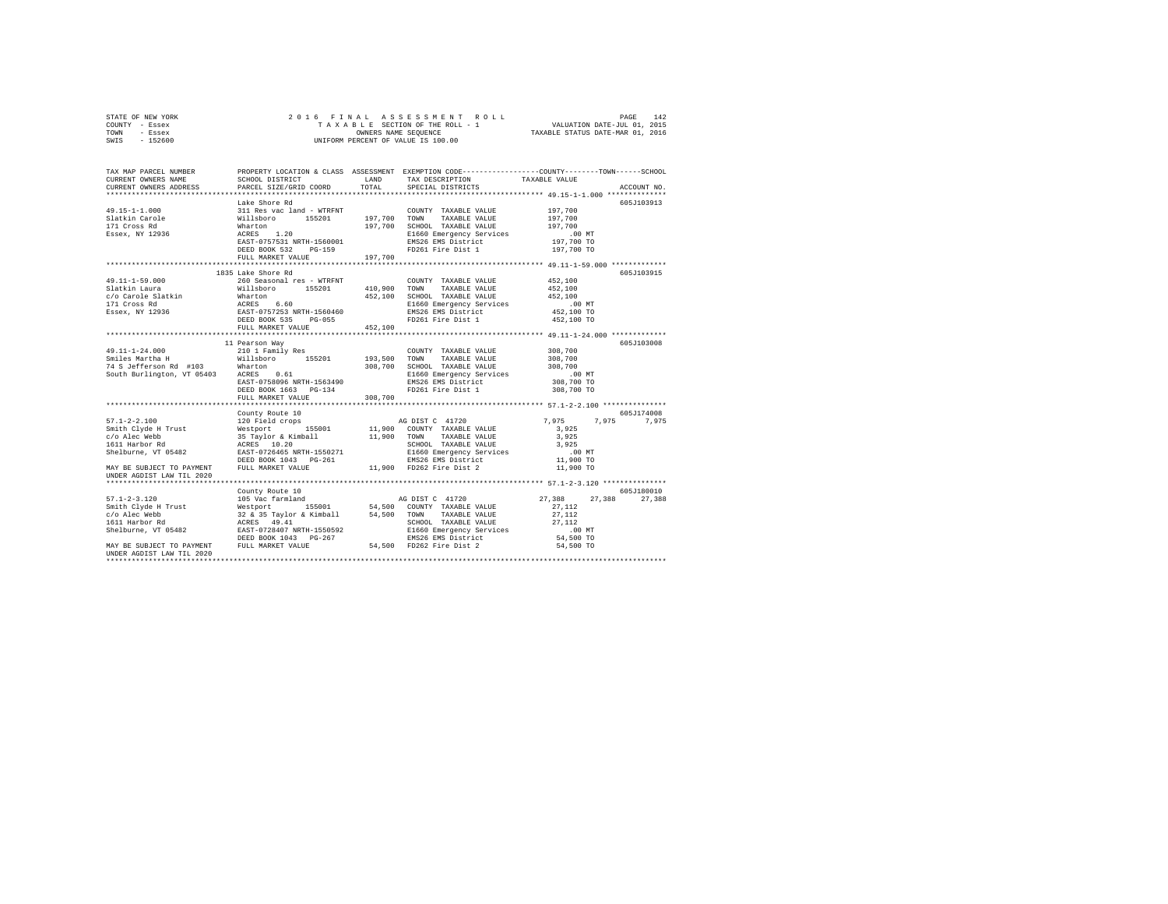| STATE OF NEW YORK | 2016 FINAL ASSESSMENT ROLL         | 142<br>PAGE                      |
|-------------------|------------------------------------|----------------------------------|
| COUNTY - Essex    | TAXABLE SECTION OF THE ROLL - 1    | VALUATION DATE-JUL 01, 2015      |
| TOWN<br>- Essex   | OWNERS NAME SEOUENCE               | TAXABLE STATUS DATE-MAR 01, 2016 |
| $-152600$<br>SWIS | UNIFORM PERCENT OF VALUE IS 100.00 |                                  |

| TAX MAP PARCEL NUMBER<br>CURRENT OWNERS NAME<br>CURRENT OWNERS ADDRESS                                                                                                                                                     | SCHOOL DISTRICT<br>PARCEL SIZE/GRID COORD                                                                                                                                                                                                      | LAND<br>TOTAL | TAX DESCRIPTION<br>SPECIAL DISTRICTS             | PROPERTY LOCATION & CLASS ASSESSMENT EXEMPTION CODE---------------COUNTY-------TOWN-----SCHOOL<br>TAXABLE VALUE<br>ACCOUNT NO. |
|----------------------------------------------------------------------------------------------------------------------------------------------------------------------------------------------------------------------------|------------------------------------------------------------------------------------------------------------------------------------------------------------------------------------------------------------------------------------------------|---------------|--------------------------------------------------|--------------------------------------------------------------------------------------------------------------------------------|
|                                                                                                                                                                                                                            |                                                                                                                                                                                                                                                |               |                                                  |                                                                                                                                |
|                                                                                                                                                                                                                            | Lake Shore Rd                                                                                                                                                                                                                                  |               |                                                  | 605J103913                                                                                                                     |
| 49.15-1-1.000                                                                                                                                                                                                              | 311 Res vac land - WTRFNT COUNTY TAXABLE VALUE Nillsboro 155201 197,700 TONN TAXABLE VALUE Nature 16201 197,700 SCHOOL TAXABLE VALUE ACRES 1.20                                                                                                |               | COUNTY TAXABLE VALUE                             | 197,700                                                                                                                        |
| Slatkin Carole<br>171 Cross Rd                                                                                                                                                                                             |                                                                                                                                                                                                                                                |               |                                                  | 197,700                                                                                                                        |
|                                                                                                                                                                                                                            |                                                                                                                                                                                                                                                |               | 197,700 SCHOOL TAXABLE VALUE                     | 197,700                                                                                                                        |
| Essex, NY 12936                                                                                                                                                                                                            |                                                                                                                                                                                                                                                |               | E1660 Emergency Services                         | .00 MT                                                                                                                         |
|                                                                                                                                                                                                                            | EAST-0757531 NRTH-1560001                                                                                                                                                                                                                      |               | EMS26 EMS District                               | 197,700 TO                                                                                                                     |
|                                                                                                                                                                                                                            | DEED BOOK 532 PG-159                                                                                                                                                                                                                           |               | FD261 Fire Dist 1                                | 197,700 TO                                                                                                                     |
|                                                                                                                                                                                                                            | FULL MARKET VALUE                                                                                                                                                                                                                              | 197,700       |                                                  |                                                                                                                                |
|                                                                                                                                                                                                                            |                                                                                                                                                                                                                                                |               |                                                  |                                                                                                                                |
|                                                                                                                                                                                                                            | 1835 Lake Shore Rd                                                                                                                                                                                                                             |               |                                                  | 605J103915                                                                                                                     |
| 49.11-1-59.000                                                                                                                                                                                                             | 260 Seasonal res - WTRFNT                                                                                                                                                                                                                      |               | COUNTY TAXABLE VALUE                             | 452,100                                                                                                                        |
|                                                                                                                                                                                                                            |                                                                                                                                                                                                                                                | 410,900 TOWN  | TAXABLE VALUE                                    | 452,100                                                                                                                        |
|                                                                                                                                                                                                                            |                                                                                                                                                                                                                                                | 452,100       | SCHOOL TAXABLE VALUE                             | 452,100                                                                                                                        |
| 1991-11-1991-1000<br>1992-11-1992-10000 1120000 1120001 113201<br>1992-10000 113201 113201 113201 113201<br>1992-101 12036 120589 120589 120589 120589<br>1992-19936 1282-19972535 120-055<br>1992-1992-1992-19938 120-055 |                                                                                                                                                                                                                                                |               | E1660 Emergency Services<br>EMS26 EMS District   | .00 MT<br>452,100 TO                                                                                                           |
|                                                                                                                                                                                                                            |                                                                                                                                                                                                                                                |               | FD261 Fire Dist 1                                | 452,100 TO                                                                                                                     |
|                                                                                                                                                                                                                            | FULL MARKET VALUE                                                                                                                                                                                                                              | 452,100       |                                                  |                                                                                                                                |
|                                                                                                                                                                                                                            |                                                                                                                                                                                                                                                |               |                                                  |                                                                                                                                |
|                                                                                                                                                                                                                            | 11 Pearson Way                                                                                                                                                                                                                                 |               |                                                  | 605J103008                                                                                                                     |
| 49.11-1-24.000                                                                                                                                                                                                             | 210 1 Family Res                                                                                                                                                                                                                               |               | COUNTY TAXABLE VALUE                             | 308,700                                                                                                                        |
|                                                                                                                                                                                                                            |                                                                                                                                                                                                                                                |               |                                                  |                                                                                                                                |
| Smiles Martha H Millsboro 155201 193,500 TOWN TAXABLE VALUE<br>T4 S Jefferson Rd #103 Mharton 155201 308,700 SCHOOL TAXABLE VALUE<br>South Burlington, VT 05403 ACRES 0.61 308,700 SCHOOL TAXABLE VALUE                    |                                                                                                                                                                                                                                                |               |                                                  | 308,700<br>308,700                                                                                                             |
|                                                                                                                                                                                                                            |                                                                                                                                                                                                                                                |               |                                                  | $.00$ MT                                                                                                                       |
|                                                                                                                                                                                                                            | EAST-0758096 NRTH-1563490                                                                                                                                                                                                                      |               | EMS26 EMS District                               | 00 MT.<br>308,700 TO                                                                                                           |
|                                                                                                                                                                                                                            | DEED BOOK 1663 PG-134                                                                                                                                                                                                                          |               | FD261 Fire Dist 1                                | 308,700 TO                                                                                                                     |
|                                                                                                                                                                                                                            | FULL MARKET VALUE                                                                                                                                                                                                                              | 308,700       |                                                  |                                                                                                                                |
|                                                                                                                                                                                                                            |                                                                                                                                                                                                                                                |               |                                                  |                                                                                                                                |
|                                                                                                                                                                                                                            | County Route 10                                                                                                                                                                                                                                |               |                                                  | 605J174008                                                                                                                     |
| $57.1 - 2 - 2.100$                                                                                                                                                                                                         | 120 Field crops                                                                                                                                                                                                                                |               | AG DIST C 41720                                  | 7,975 7,975<br>7,975                                                                                                           |
| Smith Clyde H Trust                                                                                                                                                                                                        |                                                                                                                                                                                                                                                |               |                                                  | 3,925                                                                                                                          |
| c/o Alec Webb                                                                                                                                                                                                              |                                                                                                                                                                                                                                                |               |                                                  | 3,925                                                                                                                          |
| 1611 Harbor Rd                                                                                                                                                                                                             |                                                                                                                                                                                                                                                |               | SCHOOL TAXABLE VALUE                             | 3,925                                                                                                                          |
| Shelburne, VT 05482                                                                                                                                                                                                        | Nestport 155001 11,900 CODNTY TAXABLE VALUE<br>35 Taylor & Kimball 11,900 TONNY TAXABLE VALUE<br>25 Taylor & Kimball 11,900 TONNY TAXABLE VALUE<br>25 ACRES 10.20 2000 SCHOOL TAXABLE VALUE<br>25 EAST-0726465 NRTH-1550271 21660 Emergenc     |               | E1660 Emergency Services<br>EMS26 EMS District   | .00 MT                                                                                                                         |
| MAY BE SUBJECT TO PAYMENT FULL MARKET VALUE                                                                                                                                                                                | DEED BOOK 1043 PG-261                                                                                                                                                                                                                          |               | EMS26 EMS District<br>11,900 FD262 Fire Dist 2   | 11,900 TO                                                                                                                      |
|                                                                                                                                                                                                                            |                                                                                                                                                                                                                                                |               |                                                  | 11,900 TO                                                                                                                      |
| UNDER AGDIST LAW TIL 2020                                                                                                                                                                                                  |                                                                                                                                                                                                                                                |               |                                                  |                                                                                                                                |
|                                                                                                                                                                                                                            | County Route 10                                                                                                                                                                                                                                |               |                                                  | 605J180010                                                                                                                     |
| $57.1 - 2 - 3.120$                                                                                                                                                                                                         |                                                                                                                                                                                                                                                |               | AG DIST C 41720                                  | 27,388<br>27,388<br>27,388                                                                                                     |
| Smith Clyde H Trust                                                                                                                                                                                                        |                                                                                                                                                                                                                                                |               |                                                  | 27.112                                                                                                                         |
| c/o Alec Webb                                                                                                                                                                                                              |                                                                                                                                                                                                                                                |               |                                                  | 27,112                                                                                                                         |
| 1611 Harbor Rd                                                                                                                                                                                                             | 105 Vac farmland<br>Me Discort and Discolar USA CONNEY TAXABLE VALUE<br>Me Le S Taylor & Kimball<br>S4,500 TOWN TAXABLE VALUE<br>ACRES 49.41<br>SCHOOL TAXABLE VALUE<br>EXECT 0728407 NRTH-1550592<br>SCHOOL TAXABLE VALUE<br>EXECT 0728407 NR |               |                                                  | 27.112                                                                                                                         |
| Shelburne, VT 05482                                                                                                                                                                                                        |                                                                                                                                                                                                                                                |               | SCHOOL TAXABLE VALUE<br>E1660 Emergency Services | $.00$ MT                                                                                                                       |
|                                                                                                                                                                                                                            | DEED BOOK 1043 PG-267                                                                                                                                                                                                                          |               | EMS26 EMS District                               | 54,500 TO                                                                                                                      |
| MAY BE SUBJECT TO PAYMENT FULL MARKET VALUE                                                                                                                                                                                |                                                                                                                                                                                                                                                |               | 54,500 FD262 Fire Dist 2                         | 54,500 TO                                                                                                                      |
| UNDER AGDIST LAW TIL 2020                                                                                                                                                                                                  |                                                                                                                                                                                                                                                |               |                                                  |                                                                                                                                |
|                                                                                                                                                                                                                            |                                                                                                                                                                                                                                                |               |                                                  |                                                                                                                                |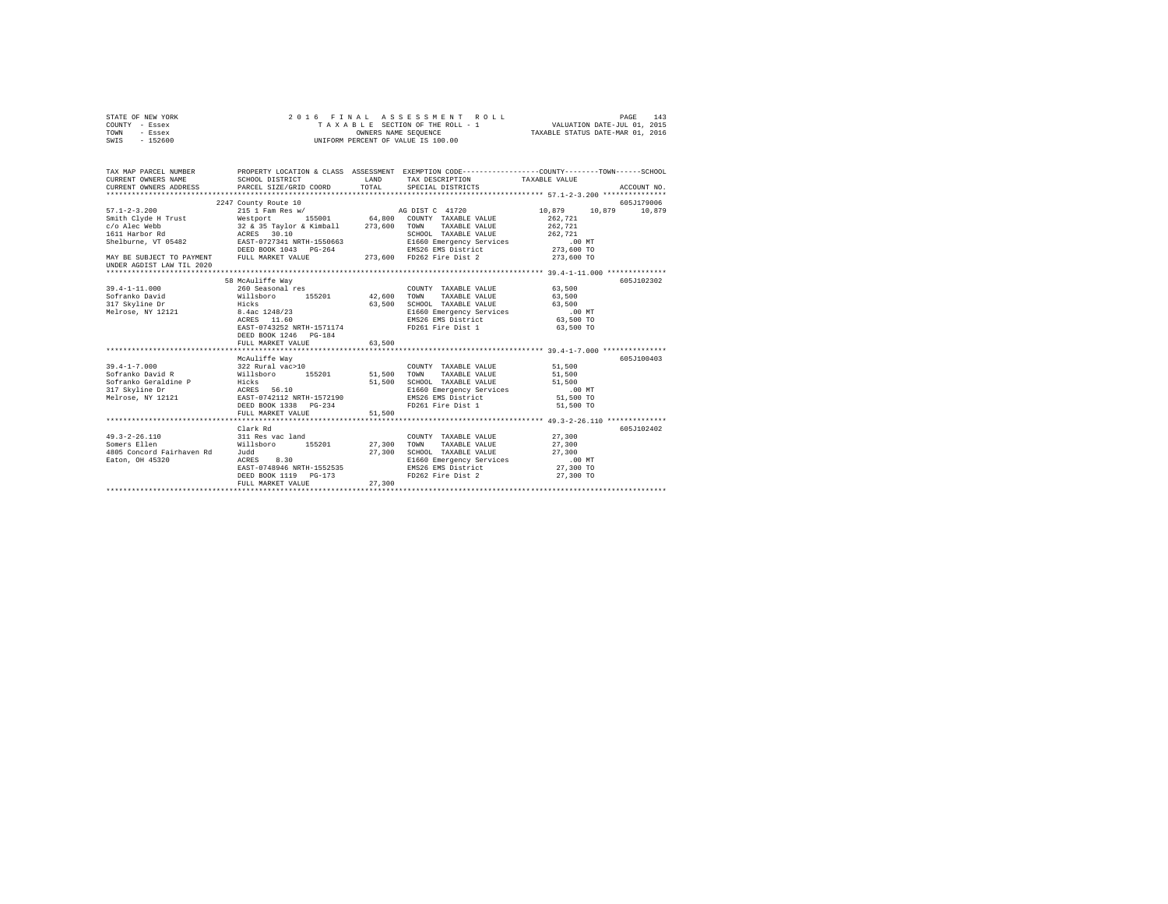| STATE OF NEW YORK<br>COUNTY - Essex | FINAL ASSESSMENT ROLL (PAGE 143)<br>TAXABLE SECTION OF THE ROLL - 1<br>OWNERS NAME SEQUENCE (TAXABLE STATUS DATE-MAR 01, 2016<br>2016 FINAL ASSESSMENT ROLL |        |                                                                    |                      |             |  |  |  |  |
|-------------------------------------|-------------------------------------------------------------------------------------------------------------------------------------------------------------|--------|--------------------------------------------------------------------|----------------------|-------------|--|--|--|--|
| TOWN - Essex                        |                                                                                                                                                             |        |                                                                    |                      |             |  |  |  |  |
| SWIS - 152600                       | UNIFORM PERCENT OF VALUE IS 100.00                                                                                                                          |        |                                                                    |                      |             |  |  |  |  |
|                                     |                                                                                                                                                             |        |                                                                    |                      |             |  |  |  |  |
|                                     | TAX MAP PARCEL NUMBER PROPERTY LOCATION & CLASS ASSESSMENT EXEMPTION CODE--------------COUNTY-------TOWN-----SCHOOL                                         |        |                                                                    |                      |             |  |  |  |  |
| CURRENT OWNERS NAME                 | SCHOOL DISTRICT - - - - LAND - TAX DESCRIPTION                                                                                                              |        |                                                                    | TAXABLE VALUE        |             |  |  |  |  |
| CURRENT OWNERS ADDRESS              | PARCEL SIZE/GRID COORD TOTAL                                                                                                                                |        | SPECIAL DISTRICTS                                                  |                      | ACCOUNT NO. |  |  |  |  |
|                                     |                                                                                                                                                             |        |                                                                    |                      |             |  |  |  |  |
|                                     |                                                                                                                                                             |        |                                                                    |                      | 605J179006  |  |  |  |  |
|                                     |                                                                                                                                                             |        |                                                                    | 10,879 10,879 10,879 |             |  |  |  |  |
|                                     |                                                                                                                                                             |        |                                                                    |                      |             |  |  |  |  |
|                                     |                                                                                                                                                             |        |                                                                    |                      |             |  |  |  |  |
|                                     |                                                                                                                                                             |        |                                                                    |                      |             |  |  |  |  |
|                                     |                                                                                                                                                             |        |                                                                    |                      |             |  |  |  |  |
|                                     |                                                                                                                                                             |        |                                                                    |                      |             |  |  |  |  |
|                                     |                                                                                                                                                             |        |                                                                    |                      |             |  |  |  |  |
| UNDER AGDIST LAW TIL 2020           |                                                                                                                                                             |        |                                                                    |                      |             |  |  |  |  |
|                                     | 58 McAuliffe Way                                                                                                                                            |        |                                                                    |                      | 605J102302  |  |  |  |  |
|                                     |                                                                                                                                                             |        | COUNTY TAXABLE VALUE 63,500                                        |                      |             |  |  |  |  |
|                                     |                                                                                                                                                             |        | TAXABLE VALUE                                                      | 63,500               |             |  |  |  |  |
|                                     |                                                                                                                                                             |        | 63,500 SCHOOL TAXABLE VALUE 63,500                                 |                      |             |  |  |  |  |
|                                     |                                                                                                                                                             |        |                                                                    |                      |             |  |  |  |  |
|                                     |                                                                                                                                                             |        | E1660 Emergency Services 63,500 MT<br>EMS26 EMS District 63,500 TO |                      |             |  |  |  |  |
|                                     | EAST-0743252 NRTH-1571174                                                                                                                                   |        | FD261 Fire Dist 1                                                  | 63,500 TO            |             |  |  |  |  |
|                                     |                                                                                                                                                             |        |                                                                    |                      |             |  |  |  |  |
|                                     | FULL MARKET VALUE                                                                                                                                           | 63,500 |                                                                    |                      |             |  |  |  |  |
|                                     |                                                                                                                                                             |        |                                                                    |                      |             |  |  |  |  |
|                                     | McAuliffe Way                                                                                                                                               |        |                                                                    |                      | 605J100403  |  |  |  |  |
|                                     |                                                                                                                                                             |        | COUNTY TAXABLE VALUE 51,500                                        |                      |             |  |  |  |  |
|                                     |                                                                                                                                                             |        | TAXABLE VALUE                                                      | 51,500               |             |  |  |  |  |
|                                     |                                                                                                                                                             |        | 51,500 SCHOOL TAXABLE VALUE                                        | 51,500               |             |  |  |  |  |
|                                     |                                                                                                                                                             |        |                                                                    |                      |             |  |  |  |  |
|                                     |                                                                                                                                                             |        |                                                                    |                      |             |  |  |  |  |
|                                     |                                                                                                                                                             |        | FD261 Fire Dist 1 51,500 TO                                        |                      |             |  |  |  |  |
|                                     | FULL MARKET VALUE                                                                                                                                           | 51,500 |                                                                    |                      |             |  |  |  |  |
|                                     | Clark Rd                                                                                                                                                    |        |                                                                    |                      | 605J102402  |  |  |  |  |
| $49.3 - 2 - 26.110$                 |                                                                                                                                                             |        | COUNTY TAXABLE VALUE 27,300                                        |                      |             |  |  |  |  |
| Somers Ellen                        | 311 Res vac land COUNTY<br>Willsboro 155201 27,300 TOWN                                                                                                     |        | TAXABLE VALUE                                                      | 27,300               |             |  |  |  |  |
| 4805 Concord Fairhaven Rd Judd      |                                                                                                                                                             | 27,300 | SCHOOL TAXABLE VALUE                                               | 27,300               |             |  |  |  |  |
| Eaton, OH 45320                     | Judd<br>ACRES 8.30                                                                                                                                          |        |                                                                    | .00 MT               |             |  |  |  |  |
|                                     | ACRES 8.30 B1660 Emergency Services<br>EAST-0748946 NRTH-1552535 EMS26 EMS District                                                                         |        |                                                                    | 27,300 TO            |             |  |  |  |  |
|                                     |                                                                                                                                                             |        | FD262 Fire Dist 2 27,300 TO                                        |                      |             |  |  |  |  |
|                                     | FULL MARKET VALUE                                                                                                                                           | 27,300 |                                                                    |                      |             |  |  |  |  |
|                                     |                                                                                                                                                             |        |                                                                    |                      |             |  |  |  |  |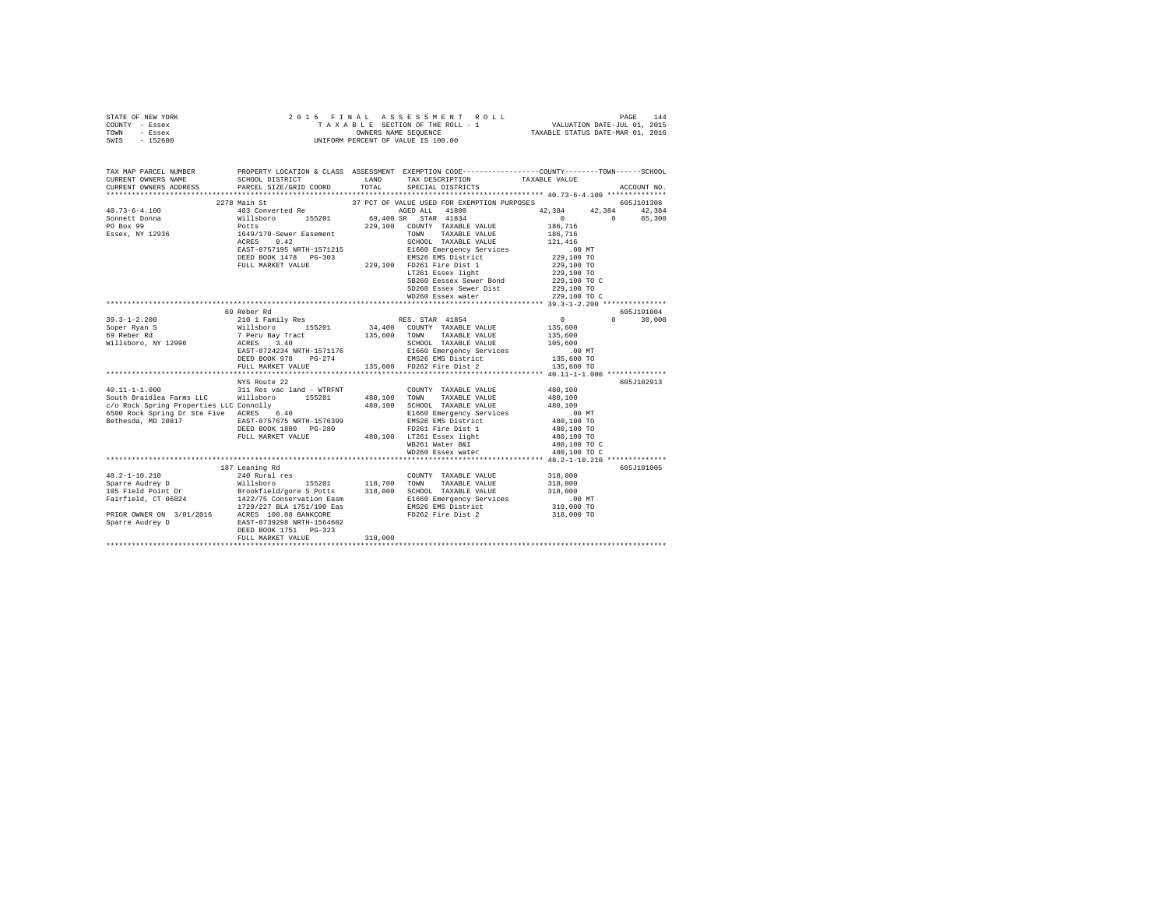| STATE OF NEW YORK                            |                                                |         |                                                                                                                                                                                |                                             |               |  |  |  |  |
|----------------------------------------------|------------------------------------------------|---------|--------------------------------------------------------------------------------------------------------------------------------------------------------------------------------|---------------------------------------------|---------------|--|--|--|--|
| COUNTY - Essex                               |                                                |         |                                                                                                                                                                                |                                             |               |  |  |  |  |
| TOWN - Essex                                 |                                                |         |                                                                                                                                                                                |                                             |               |  |  |  |  |
| SWIS - 152600                                |                                                |         |                                                                                                                                                                                |                                             |               |  |  |  |  |
|                                              |                                                |         |                                                                                                                                                                                |                                             |               |  |  |  |  |
| TAX MAP PARCEL NUMBER                        |                                                |         | PROPERTY LOCATION & CLASS ASSESSMENT EXEMPTION CODE---------------COUNTY-------TOWN-----SCHOOL                                                                                 |                                             |               |  |  |  |  |
| CURRENT OWNERS NAME                          | PARCEL SIZE/GRID COORD TOTAL SPECIAL DISTRICTS |         | ${\tt SCHOOL\,\,\,DISTRICT} \qquad \qquad {\tt LAND} \qquad \qquad {\tt TAX\,\,\,DESCRIPITION} \qquad \qquad {\tt TAXABLE\,\,\,VALUE}$                                         |                                             |               |  |  |  |  |
| CURRENT OWNERS ADDRESS                       |                                                |         |                                                                                                                                                                                |                                             | ACCOUNT NO.   |  |  |  |  |
|                                              |                                                |         |                                                                                                                                                                                |                                             |               |  |  |  |  |
|                                              |                                                |         |                                                                                                                                                                                |                                             |               |  |  |  |  |
|                                              |                                                |         |                                                                                                                                                                                |                                             |               |  |  |  |  |
|                                              |                                                |         |                                                                                                                                                                                |                                             |               |  |  |  |  |
|                                              |                                                |         |                                                                                                                                                                                |                                             |               |  |  |  |  |
|                                              |                                                |         |                                                                                                                                                                                |                                             |               |  |  |  |  |
|                                              |                                                |         |                                                                                                                                                                                |                                             |               |  |  |  |  |
|                                              |                                                |         |                                                                                                                                                                                |                                             |               |  |  |  |  |
|                                              |                                                |         |                                                                                                                                                                                |                                             |               |  |  |  |  |
|                                              |                                                |         |                                                                                                                                                                                |                                             |               |  |  |  |  |
|                                              |                                                |         |                                                                                                                                                                                |                                             |               |  |  |  |  |
|                                              |                                                |         | SD260 Essex Sewer Dist<br>WD260 Essex water                                                                                                                                    | 229,100 TO                                  |               |  |  |  |  |
|                                              |                                                |         |                                                                                                                                                                                | 229,100 TO C                                |               |  |  |  |  |
|                                              | 69 Reber Rd                                    |         |                                                                                                                                                                                |                                             | 605J191004    |  |  |  |  |
|                                              |                                                |         |                                                                                                                                                                                | $\begin{array}{c} 0 \\ 135,600 \end{array}$ | $0 \t 30,000$ |  |  |  |  |
|                                              |                                                |         |                                                                                                                                                                                |                                             |               |  |  |  |  |
|                                              |                                                |         |                                                                                                                                                                                | 135,600                                     |               |  |  |  |  |
|                                              |                                                |         |                                                                                                                                                                                | 105,600                                     |               |  |  |  |  |
|                                              |                                                |         |                                                                                                                                                                                | .00 MT                                      |               |  |  |  |  |
|                                              |                                                |         |                                                                                                                                                                                | 135,600 TO                                  |               |  |  |  |  |
|                                              |                                                |         |                                                                                                                                                                                | 135,600 TO                                  |               |  |  |  |  |
|                                              |                                                |         |                                                                                                                                                                                |                                             |               |  |  |  |  |
|                                              |                                                |         |                                                                                                                                                                                |                                             | 605J102913    |  |  |  |  |
|                                              |                                                |         | COUNTY TAXABLE VALUE 480,100                                                                                                                                                   |                                             |               |  |  |  |  |
|                                              |                                                |         |                                                                                                                                                                                | 480,100                                     |               |  |  |  |  |
|                                              |                                                |         |                                                                                                                                                                                |                                             |               |  |  |  |  |
| Bethesda, MD 20817 EAST-0757675 NRTH-1576399 |                                                |         | EMS26 EMS District                                                                                                                                                             | 480,100<br>.00 MT<br>480,100 TO             |               |  |  |  |  |
|                                              |                                                |         |                                                                                                                                                                                | 480,100 TO                                  |               |  |  |  |  |
|                                              |                                                |         | ACRES 6.40 E1660 Emergency Services<br>EAST-07576 NRTH-1576399 EMS26 EMS District<br>DEED BOOK 1800 PG-280<br>FD261 Fire Dist 1<br>FULL MARKET VALUE 480,100 LT261 Essex light | 480,100 TO<br>480,100 TO C                  |               |  |  |  |  |
|                                              |                                                |         | LT261 Essex light<br>WB261 Water B&I 480,100 TO C<br>WD260 Essex water 480,100 TO C<br>WB261 Water B&I                                                                         |                                             |               |  |  |  |  |
|                                              |                                                |         |                                                                                                                                                                                |                                             |               |  |  |  |  |
|                                              |                                                |         |                                                                                                                                                                                |                                             |               |  |  |  |  |
|                                              |                                                |         |                                                                                                                                                                                |                                             | 605J191005    |  |  |  |  |
|                                              |                                                |         |                                                                                                                                                                                |                                             |               |  |  |  |  |
|                                              |                                                |         |                                                                                                                                                                                |                                             |               |  |  |  |  |
|                                              |                                                |         |                                                                                                                                                                                |                                             |               |  |  |  |  |
|                                              |                                                |         |                                                                                                                                                                                |                                             |               |  |  |  |  |
|                                              |                                                |         |                                                                                                                                                                                |                                             |               |  |  |  |  |
|                                              |                                                |         |                                                                                                                                                                                |                                             |               |  |  |  |  |
|                                              |                                                |         |                                                                                                                                                                                |                                             |               |  |  |  |  |
|                                              | FULL MARKET VALUE                              | 318,000 |                                                                                                                                                                                |                                             |               |  |  |  |  |
|                                              |                                                |         |                                                                                                                                                                                |                                             |               |  |  |  |  |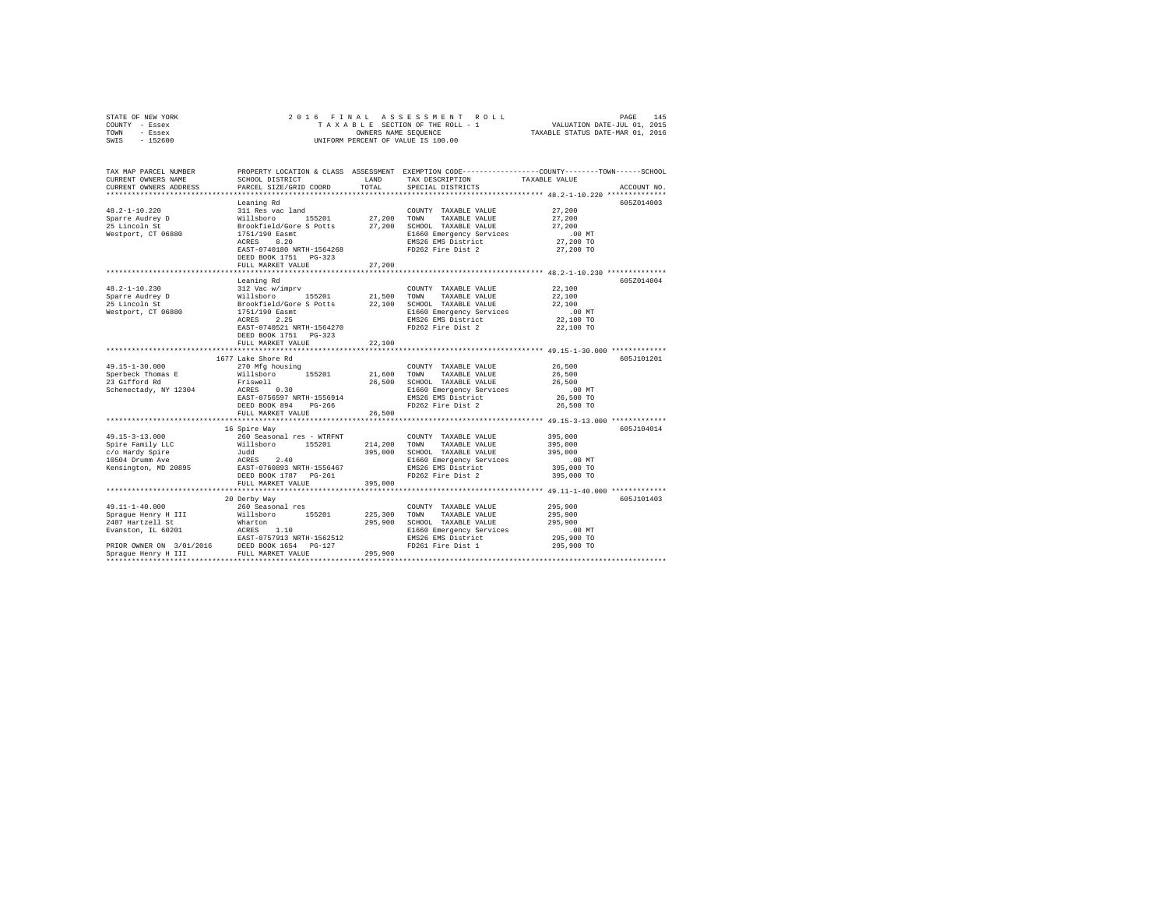| STATE OF NEW YORK<br>COUNTY - Essex<br>TOWN<br>- Essex<br>SWIS<br>$-152600$                                                                                                                                                              | 2016 FINAL                                                                                                                                                                                           |                                          | ASSESSMENT ROLL<br>TAXABLE SECTION OF THE ROLL - 1<br>OWNERS NAME SEQUENCE<br>UNIFORM PERCENT OF VALUE IS 100.00                                                   | $\begin{tabular}{lllllllll} \texttt{L} & \texttt{PAGE} & \texttt{145} \\ & \texttt{VALUATION DATE-JUL 01, 2015} \end{tabular}$<br>TAXABLE STATUS DATE-MAR 01, 2016 |
|------------------------------------------------------------------------------------------------------------------------------------------------------------------------------------------------------------------------------------------|------------------------------------------------------------------------------------------------------------------------------------------------------------------------------------------------------|------------------------------------------|--------------------------------------------------------------------------------------------------------------------------------------------------------------------|--------------------------------------------------------------------------------------------------------------------------------------------------------------------|
| TAX MAP PARCEL NUMBER<br>CURRENT OWNERS NAME<br>CURRENT OWNERS ADDRESS                                                                                                                                                                   | SCHOOL DISTRICT<br>PARCEL SIZE/GRID COORD                                                                                                                                                            | LAND<br>TOTAL                            | TAX DESCRIPTION<br>SPECIAL DISTRICTS                                                                                                                               | PROPERTY LOCATION & CLASS ASSESSMENT EXEMPTION CODE---------------COUNTY-------TOWN-----SCHOOL<br>TAXABLE VALUE<br>ACCOUNT NO.                                     |
| $48.2 - 1 - 10.220$<br>Sparre Audrey D<br>25 Lincoln St<br>Westport, CT 06880                                                                                                                                                            | Leaning Rd<br>311 Res vac land<br>Willsboro 155201<br>Brookfield/Gore S Potts<br>1751/190 Easmt<br>ACRES 8.20<br>EAST-0740180 NRTH-1564268<br>DEED BOOK 1751 PG-323<br>FULL MARKET VALUE             | 27,200<br>27,200<br>27,200               | COUNTY TAXABLE VALUE<br>TOWN<br>TAXABLE VALUE<br>SCHOOL TAXABLE VALUE<br>E1660 Emergency Services<br>EMS26 EMS District<br>FD262 Fire Dist 2                       | 605Z014003<br>27,200<br>27,200<br>27,200<br>$.00$ MT<br>27,200 TO<br>27,200 TO                                                                                     |
|                                                                                                                                                                                                                                          |                                                                                                                                                                                                      |                                          |                                                                                                                                                                    |                                                                                                                                                                    |
| 48.2-1-10.230<br>Sparre Audrey D<br>25 Lincoln St<br>25 Lincoln St<br>Westport, CT 06880                                                                                                                                                 | Leaning Rd<br>312 Vac w/imprv<br>155201<br>Willsboro 155201<br>Brookfield/Gore S Potts<br>1751/190 Easmt<br>ACRES 2.25<br>EAST-0740521 NRTH-1564270<br>DEED BOOK 1751    PG-323<br>FULL MARKET VALUE | 21,500<br>22,100<br>22,100<br>********** | COUNTY TAXABLE VALUE<br>TOWN<br>TAXABLE VALUE<br>SCHOOL TAXABLE VALUE<br>E1660 Emergency Services<br>EMS26 EMS District<br>FD262 Fire Dist 2                       | 605Z014004<br>22,100<br>22,100<br>22,100<br>$.00$ MT<br>22,100 TO<br>22,100 TO                                                                                     |
|                                                                                                                                                                                                                                          | 1677 Lake Shore Rd                                                                                                                                                                                   |                                          |                                                                                                                                                                    | 605J101201                                                                                                                                                         |
| 49.15-1-30.000<br>Sperbeck Thomas E<br>23 Gifford Rd<br>Schenectady, NY 12304                                                                                                                                                            | 270 Mfg housing<br>Willsboro 155201<br>Friswell<br>ACRES 0.30<br>EAST-0756597 NRTH-1556914<br>DEED BOOK 894 PG-266                                                                                   | 21,600<br>26,500                         | COUNTY TAXABLE VALUE<br>TOWN<br>TAXABLE VALUE<br>SCHOOL TAXABLE VALUE<br>E1660 Emergency Services<br>EMS26 EMS District<br>BMS40 BMS Distinct<br>FD262 Fire Dist 2 | 26,500<br>26,500<br>26,500<br>$.00$ MT<br>26,500 TO<br>26,500 TO                                                                                                   |
|                                                                                                                                                                                                                                          | FULL MARKET VALUE<br>**********************************                                                                                                                                              | 26,500                                   |                                                                                                                                                                    |                                                                                                                                                                    |
| $49.15 - 3 - 13.000$<br>Spire Family LLC<br>c/o Hardy Spire<br>10504 Drumm Ave<br>Kensington, MD 20895                                                                                                                                   | 16 Spire Way<br>260 Seasonal res - WTRFNT<br>Willsboro 155201<br>Judd<br>ACRES 2.40<br>EAST-0760893 NRTH-1556467<br>DEED BOOK 1787 PG-261<br>FULL MARKET VALUE                                       | 214,200<br>395,000<br>395,000            | COUNTY TAXABLE VALUE<br>TAXABLE VALUE<br>TOWN<br>SCHOOL TAXABLE VALUE<br>E1660 Emergency Services<br>EMS26 EMS District<br>FD262 Fire Dist 2                       | 605J104014<br>395,000<br>395,000<br>395,000<br>.00 MT<br>395,000 TO<br>395,000 TO                                                                                  |
|                                                                                                                                                                                                                                          |                                                                                                                                                                                                      |                                          |                                                                                                                                                                    |                                                                                                                                                                    |
| 49.11-1-40.000<br>Spraque Henry H III<br>2407 Hartzell St<br>Evanston, IL 60201 $ACRES$ 1.10<br>EAST-0757913 NPT<br>EAST-0797313 NKTH-1562512<br>PRIOR OWNER ON 3/01/2016 DEED BOOK 1654 PG-127<br>Sprague Henry H III FULL MARKET VALUE | 20 Derby Way<br>260 Seasonal res<br>Willsboro 155201<br>Wharton<br>EAST-0757913 NRTH-1562512                                                                                                         | 225,300<br>295,900<br>295,900            | COUNTY TAXABLE VALUE<br>TOWN<br>TAXABLE VALUE<br>SCHOOL TAXABLE VALUE<br>E1660 Emergency Services<br>EMS26 EMS District<br>FD261 Fire Dist 1                       | 605J101403<br>295,900<br>295,900<br>295,900<br>.00 MT<br>295,900 TO<br>295,900 TO                                                                                  |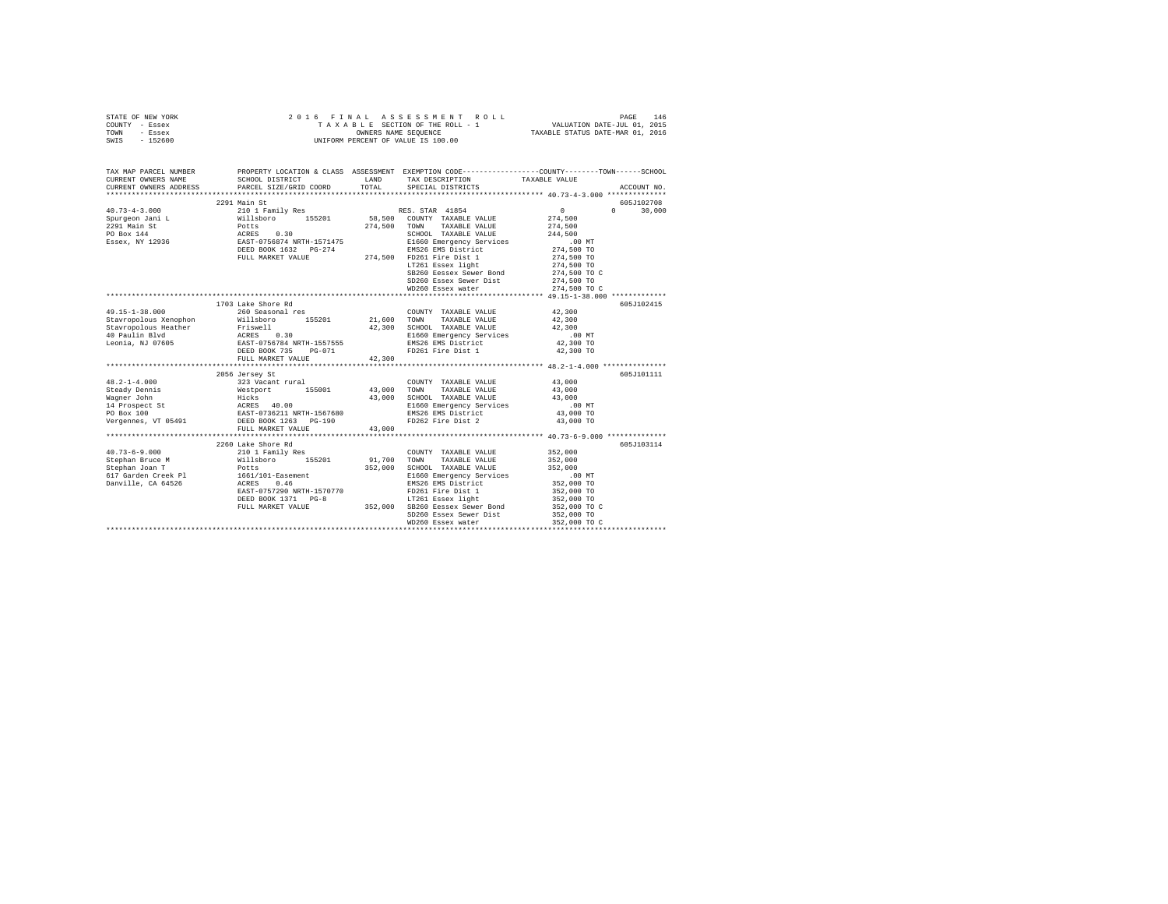|      | STATE OF NEW YORK |  | 2016 FINAL ASSESSMENT ROLL         | PAGE                             | 146 |
|------|-------------------|--|------------------------------------|----------------------------------|-----|
|      | COUNTY - Essex    |  | TAXABLE SECTION OF THE ROLL - 1    | VALUATION DATE-JUL 01, 2015      |     |
| TOWN | - Essex           |  | OWNERS NAME SEOUENCE               | TAXABLE STATUS DATE-MAR 01, 2016 |     |
| SWIS | - 152600          |  | UNIFORM PERCENT OF VALUE IS 100.00 |                                  |     |

| TAX MAP PARCEL NUMBER<br>CURRENT OWNERS NAME | SCHOOL DISTRICT<br>CURRENT OWNERS ADDRESS PARCEL SIZE/GRID COORD TOTAL                                                                                                                                                     | LAND    | TAX DESCRIPTION<br>SPECIAL DISTRICTS                                   | PROPERTY LOCATION & CLASS ASSESSMENT EXEMPTION CODE---------------COUNTY-------TOWN------SCHOOL<br>TAXABLE VALUE<br>ACCOUNT NO. |  |
|----------------------------------------------|----------------------------------------------------------------------------------------------------------------------------------------------------------------------------------------------------------------------------|---------|------------------------------------------------------------------------|---------------------------------------------------------------------------------------------------------------------------------|--|
|                                              |                                                                                                                                                                                                                            |         |                                                                        |                                                                                                                                 |  |
|                                              | 2291 Main St                                                                                                                                                                                                               |         |                                                                        | 605J102708<br>$0 \t 30,000$<br>$\sim$ 0                                                                                         |  |
|                                              |                                                                                                                                                                                                                            |         | TAXABLE VALUE 274,500<br>TAXABLE VALUE 244,500                         | 274,500                                                                                                                         |  |
|                                              | DEED BOOK 1632 PG-274<br>FULL MARKET VALUE 274,500 FD261 Fire Dist 1                                                                                                                                                       |         |                                                                        | 00 MT.<br>274,500 TO<br>274,500 TO                                                                                              |  |
|                                              |                                                                                                                                                                                                                            |         | LT261 Essex light<br>SB260 Eessex Sewer Bond<br>SD260 Essex Sewer Dist | 274,500 TO<br>274,500 TO C<br>274,500 TO                                                                                        |  |
|                                              |                                                                                                                                                                                                                            |         | WD260 Essex water                                                      | 274,500 TO C                                                                                                                    |  |
|                                              |                                                                                                                                                                                                                            |         |                                                                        |                                                                                                                                 |  |
| 49.15-1-38.000                               | 1703 Lake Shore Rd<br>260 Seasonal res                                                                                                                                                                                     |         | COUNTY TAXABLE VALUE 42,300                                            | 605J102415                                                                                                                      |  |
|                                              | Stavropolous Xenophon Millsboro 155201 21,600                                                                                                                                                                              |         | TOWN<br>TAXABLE VALUE                                                  | 42,300<br>42,300                                                                                                                |  |
|                                              | Stavropolous Heather Friswell 42,300 SCHOOL TAXABLE VALUE<br>40 Paulin Blvd ACRES 0.30 ACRES 10.30 E1660 Emergency Services<br>10 Eeonia, NJ 07605 EAST-0756784 NRTH-1557555<br>DEED BOOK 735 PG-071 PD261 Fire Dist 1     |         |                                                                        | 42,300 TO                                                                                                                       |  |
|                                              | FULL MARKET VALUE 42,300                                                                                                                                                                                                   |         | EMS26 EMS District<br>FD261 Fire Dist 1                                | 42,300 TO                                                                                                                       |  |
|                                              |                                                                                                                                                                                                                            |         |                                                                        |                                                                                                                                 |  |
|                                              | 2056 Jersey St                                                                                                                                                                                                             |         |                                                                        | 605J101111                                                                                                                      |  |
| $48.2 - 1 - 4.000$                           | 323 Vacant rural                                                                                                                                                                                                           |         | COUNTY TAXABLE VALUE                                                   | 43,000                                                                                                                          |  |
|                                              |                                                                                                                                                                                                                            |         |                                                                        |                                                                                                                                 |  |
| Wagner John                                  | Hicks 43,000 SCHOOL TAXABLE VALUE 43,000<br>ACRES 40.00 11660 Emergency Services .00<br>EAST-0736211 NRTH-1567680 EMS26 EMS District 43,000<br>EMS262 Fire Dist 2 43,000<br>DEED BOOK 1263 PG-190 FD262 Fire Dist 2 43,000 |         |                                                                        | .00 MT                                                                                                                          |  |
| 14 Prospect St<br>PO Box 100                 |                                                                                                                                                                                                                            |         |                                                                        | 43,000 TO                                                                                                                       |  |
| Vergennes, VT 05491                          |                                                                                                                                                                                                                            |         |                                                                        | 43,000 TO                                                                                                                       |  |
|                                              | FULL MARKET VALUE                                                                                                                                                                                                          | 43,000  |                                                                        |                                                                                                                                 |  |
|                                              |                                                                                                                                                                                                                            |         |                                                                        |                                                                                                                                 |  |
|                                              | 2260 Lake Shore Rd                                                                                                                                                                                                         |         |                                                                        | 605J103114                                                                                                                      |  |
|                                              |                                                                                                                                                                                                                            |         | COUNTY TAXABLE VALUE                                                   | 352,000                                                                                                                         |  |
|                                              |                                                                                                                                                                                                                            |         | 91,700 TOWN TAXABLE VALUE                                              | 352,000                                                                                                                         |  |
|                                              |                                                                                                                                                                                                                            | 352,000 | SCHOOL TAXABLE VALUE 352,000                                           |                                                                                                                                 |  |
|                                              | 40.73-6-9.000<br>Stephan Bruce M = 210 1 Family Res<br>Stephan Bruce M = 210 1 Family Res<br>Stephan Joan T<br>Panville, CA 64526 = 1661/101-Easement<br>Danville, CA 64526 = 2012 0.46                                    |         | E1660 Emergency Services<br>EMS26 EMS District                         | 00 MT.<br>352,000 TO                                                                                                            |  |
|                                              | EAST-0757290 NRTH-1570770                                                                                                                                                                                                  |         |                                                                        | 352,000 TO                                                                                                                      |  |
|                                              | DEED BOOK 1371 PG-8                                                                                                                                                                                                        |         | FD261 Fire Dist 1<br>LT261 Essex light                                 | 352,000 TO                                                                                                                      |  |
|                                              |                                                                                                                                                                                                                            |         |                                                                        | 352,000 TO C                                                                                                                    |  |
|                                              |                                                                                                                                                                                                                            |         | SD260 Essex Sewer Dist                                                 | 352,000 TO                                                                                                                      |  |
|                                              |                                                                                                                                                                                                                            |         |                                                                        | $352,000$ TO C                                                                                                                  |  |
|                                              |                                                                                                                                                                                                                            |         |                                                                        |                                                                                                                                 |  |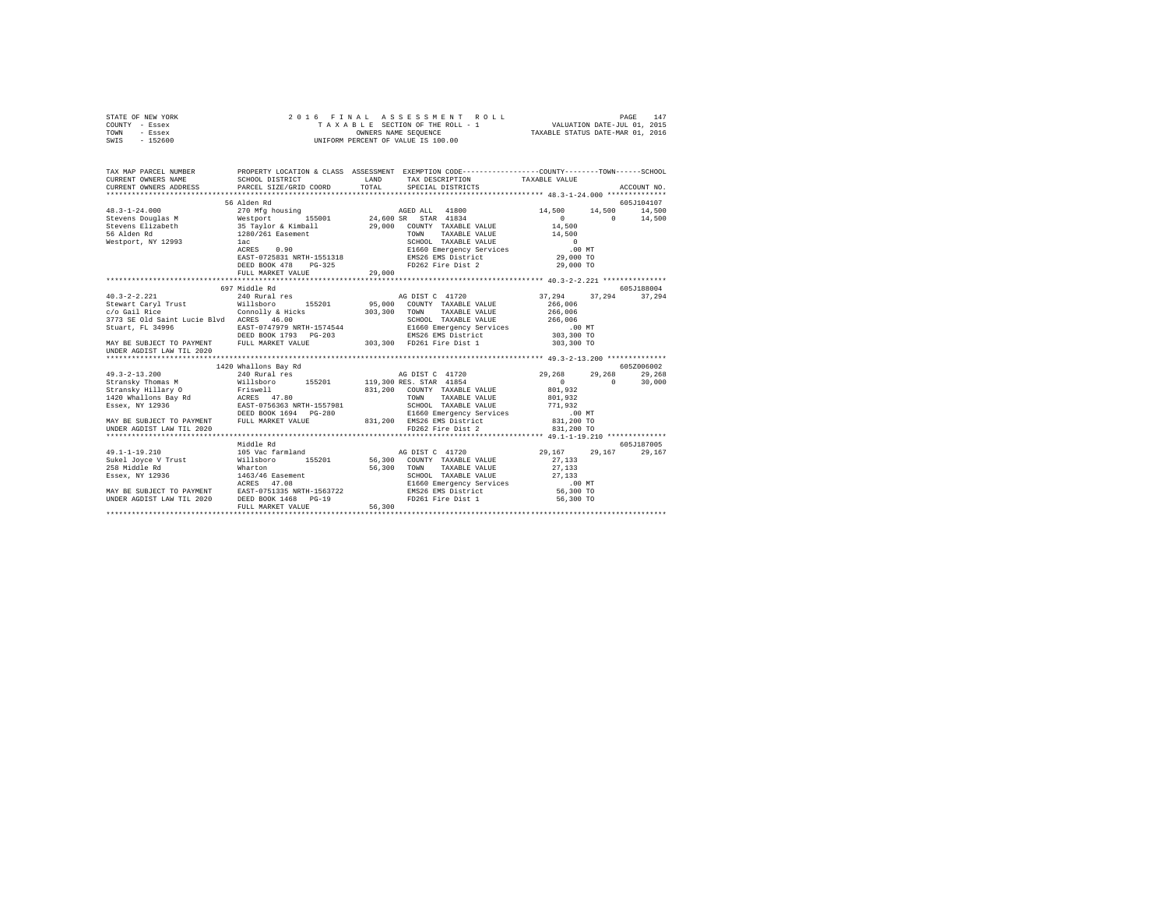|      | STATE OF NEW YORK |  | 2016 FINAL ASSESSMENT ROLL         |                                  | PAGE | 147 |
|------|-------------------|--|------------------------------------|----------------------------------|------|-----|
|      | COUNTY - Essex    |  | TAXABLE SECTION OF THE ROLL - 1    | VALUATION DATE-JUL 01, 2015      |      |     |
| TOWN | - Essex           |  | OWNERS NAME SEOUENCE               | TAXABLE STATUS DATE-MAR 01, 2016 |      |     |
| SWIS | - 152600          |  | UNIFORM PERCENT OF VALUE IS 100.00 |                                  |      |     |

| TAX MAP PARCEL NUMBER<br>CURRENT OWNERS RAME SCHOOL DISTRICT LAND TAX DESCRIPTION CODE--------------CUNTY--------TOWN------SCHOOL<br>CURRENT OWNERS AME PARCEL SIZE/GRID COORD TAX SPECIAL SPECIFITNCTS ACCOUNT NO.<br>**************** |                      |  |            |
|-----------------------------------------------------------------------------------------------------------------------------------------------------------------------------------------------------------------------------------------|----------------------|--|------------|
|                                                                                                                                                                                                                                         |                      |  |            |
|                                                                                                                                                                                                                                         |                      |  |            |
|                                                                                                                                                                                                                                         | 56 Alden Rd          |  | 605J104107 |
|                                                                                                                                                                                                                                         |                      |  |            |
|                                                                                                                                                                                                                                         |                      |  |            |
|                                                                                                                                                                                                                                         |                      |  |            |
|                                                                                                                                                                                                                                         |                      |  |            |
|                                                                                                                                                                                                                                         |                      |  |            |
|                                                                                                                                                                                                                                         |                      |  |            |
|                                                                                                                                                                                                                                         |                      |  |            |
|                                                                                                                                                                                                                                         |                      |  |            |
|                                                                                                                                                                                                                                         |                      |  |            |
|                                                                                                                                                                                                                                         |                      |  |            |
|                                                                                                                                                                                                                                         | 697 Middle Rd        |  | 605J188004 |
|                                                                                                                                                                                                                                         |                      |  |            |
|                                                                                                                                                                                                                                         |                      |  |            |
|                                                                                                                                                                                                                                         |                      |  |            |
|                                                                                                                                                                                                                                         |                      |  |            |
|                                                                                                                                                                                                                                         |                      |  |            |
|                                                                                                                                                                                                                                         |                      |  |            |
|                                                                                                                                                                                                                                         |                      |  |            |
| UNDER AGDIST LAW TIL 2020                                                                                                                                                                                                               |                      |  |            |
|                                                                                                                                                                                                                                         |                      |  |            |
|                                                                                                                                                                                                                                         | 1420 Whallons Bay Rd |  | 605Z006002 |
|                                                                                                                                                                                                                                         |                      |  |            |
|                                                                                                                                                                                                                                         |                      |  |            |
|                                                                                                                                                                                                                                         |                      |  |            |
|                                                                                                                                                                                                                                         |                      |  |            |
|                                                                                                                                                                                                                                         |                      |  |            |
|                                                                                                                                                                                                                                         |                      |  |            |
|                                                                                                                                                                                                                                         |                      |  |            |
|                                                                                                                                                                                                                                         |                      |  |            |
|                                                                                                                                                                                                                                         |                      |  |            |
|                                                                                                                                                                                                                                         |                      |  |            |
|                                                                                                                                                                                                                                         |                      |  |            |
|                                                                                                                                                                                                                                         |                      |  |            |
|                                                                                                                                                                                                                                         |                      |  |            |
|                                                                                                                                                                                                                                         |                      |  |            |
|                                                                                                                                                                                                                                         |                      |  |            |
|                                                                                                                                                                                                                                         |                      |  |            |
|                                                                                                                                                                                                                                         |                      |  |            |
|                                                                                                                                                                                                                                         |                      |  |            |
|                                                                                                                                                                                                                                         |                      |  |            |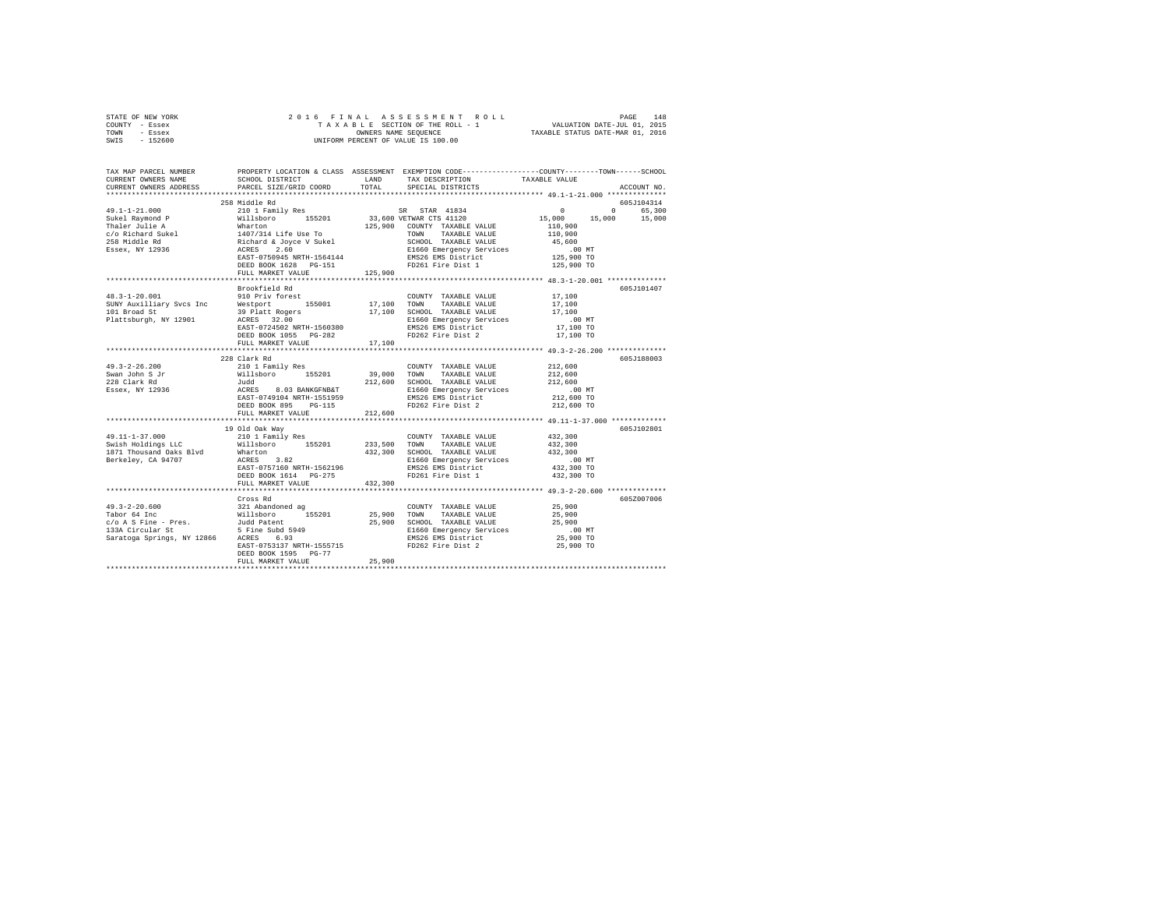| STATE OF NEW YORK | 2016 FINAL ASSESSMENT ROLL         | 148<br>PAGE                      |
|-------------------|------------------------------------|----------------------------------|
| COUNTY - Essex    | TAXABLE SECTION OF THE ROLL - 1    | VALUATION DATE-JUL 01, 2015      |
| TOWN<br>- Essex   | OWNERS NAME SEOUENCE               | TAXABLE STATUS DATE-MAR 01, 2016 |
| $-152600$<br>SWIS | UNIFORM PERCENT OF VALUE IS 100.00 |                                  |

| TAX MAP PARCEL NUMBER<br>CURRENT OWNERS NAME                                                                                                                                                                                            | SCHOOL DISTRICT           |         | LAND TAX DESCRIPTION                        | PROPERTY LOCATION & CLASS ASSESSMENT EXEMPTION CODE----------------COUNTY-------TOWN-----SCHOOL<br>TAXABLE VALUE |
|-----------------------------------------------------------------------------------------------------------------------------------------------------------------------------------------------------------------------------------------|---------------------------|---------|---------------------------------------------|------------------------------------------------------------------------------------------------------------------|
| CURRENT OWNERS ADDRESS                                                                                                                                                                                                                  | PARCEL SIZE/GRID COORD    |         | TOTAL SPECIAL DISTRICTS                     | ACCOUNT NO.                                                                                                      |
|                                                                                                                                                                                                                                         | 258 Middle Rd             |         |                                             | 605J104314                                                                                                       |
|                                                                                                                                                                                                                                         |                           |         |                                             |                                                                                                                  |
|                                                                                                                                                                                                                                         |                           |         |                                             |                                                                                                                  |
|                                                                                                                                                                                                                                         |                           |         |                                             |                                                                                                                  |
|                                                                                                                                                                                                                                         |                           |         |                                             |                                                                                                                  |
|                                                                                                                                                                                                                                         |                           |         |                                             |                                                                                                                  |
|                                                                                                                                                                                                                                         |                           |         |                                             |                                                                                                                  |
|                                                                                                                                                                                                                                         |                           |         |                                             |                                                                                                                  |
|                                                                                                                                                                                                                                         |                           |         |                                             |                                                                                                                  |
|                                                                                                                                                                                                                                         | FULL MARKET VALUE         | 125,900 |                                             |                                                                                                                  |
|                                                                                                                                                                                                                                         |                           |         |                                             |                                                                                                                  |
|                                                                                                                                                                                                                                         | Brookfield Rd             |         |                                             | 605J101407                                                                                                       |
|                                                                                                                                                                                                                                         |                           |         |                                             |                                                                                                                  |
|                                                                                                                                                                                                                                         |                           |         |                                             |                                                                                                                  |
|                                                                                                                                                                                                                                         |                           |         |                                             |                                                                                                                  |
|                                                                                                                                                                                                                                         |                           |         |                                             |                                                                                                                  |
|                                                                                                                                                                                                                                         |                           |         |                                             |                                                                                                                  |
|                                                                                                                                                                                                                                         |                           |         |                                             |                                                                                                                  |
|                                                                                                                                                                                                                                         |                           |         |                                             |                                                                                                                  |
|                                                                                                                                                                                                                                         | 228 Clark Rd              |         |                                             | 605J188003                                                                                                       |
|                                                                                                                                                                                                                                         |                           |         |                                             |                                                                                                                  |
|                                                                                                                                                                                                                                         |                           |         |                                             |                                                                                                                  |
|                                                                                                                                                                                                                                         |                           |         |                                             |                                                                                                                  |
|                                                                                                                                                                                                                                         |                           |         |                                             |                                                                                                                  |
|                                                                                                                                                                                                                                         |                           |         |                                             | .00 MT.<br>212,600 TO                                                                                            |
|                                                                                                                                                                                                                                         | DEED BOOK 895 PG-115      |         | FD262 Fire Dist 2                           | 212,600 TO                                                                                                       |
|                                                                                                                                                                                                                                         | FULL MARKET VALUE         | 212,600 |                                             |                                                                                                                  |
|                                                                                                                                                                                                                                         |                           |         |                                             |                                                                                                                  |
|                                                                                                                                                                                                                                         | 19 Old Oak Way            |         |                                             | 605J102801                                                                                                       |
|                                                                                                                                                                                                                                         |                           |         |                                             | 432,300                                                                                                          |
|                                                                                                                                                                                                                                         |                           |         |                                             | 432,300<br>432,300                                                                                               |
|                                                                                                                                                                                                                                         |                           |         |                                             |                                                                                                                  |
|                                                                                                                                                                                                                                         |                           |         |                                             | 00 MT.<br>432,300 TO                                                                                             |
|                                                                                                                                                                                                                                         |                           |         |                                             |                                                                                                                  |
| 49.11-1-37.000<br>Swish Roldings LC 210 1 Family Res 2011<br>Swish Roldings LC Willshoro 155201 233,500 TOWN TAXABLE VALUE<br>SWISH Thousand Oaks Blvd Whatton 432,300 SCHOOL TAXABLE VALUE<br>Rerkeley, CA 94707 ACRES 3.82<br>Berkele |                           |         |                                             | 432,300 TO                                                                                                       |
|                                                                                                                                                                                                                                         | FULL MARKET VALUE 432,300 |         |                                             |                                                                                                                  |
|                                                                                                                                                                                                                                         |                           |         |                                             |                                                                                                                  |
|                                                                                                                                                                                                                                         |                           |         |                                             | 605Z007006                                                                                                       |
|                                                                                                                                                                                                                                         |                           |         |                                             |                                                                                                                  |
|                                                                                                                                                                                                                                         |                           |         |                                             |                                                                                                                  |
|                                                                                                                                                                                                                                         |                           |         |                                             |                                                                                                                  |
|                                                                                                                                                                                                                                         |                           |         |                                             |                                                                                                                  |
|                                                                                                                                                                                                                                         |                           |         | EAST-0753137 NRTH-1555715 FD262 Fire Dist 2 | 25,900 TO                                                                                                        |
|                                                                                                                                                                                                                                         | DEED BOOK 1595 PG-77      |         |                                             |                                                                                                                  |
|                                                                                                                                                                                                                                         | FULL MARKET VALUE         | 25,900  |                                             |                                                                                                                  |
|                                                                                                                                                                                                                                         |                           |         |                                             |                                                                                                                  |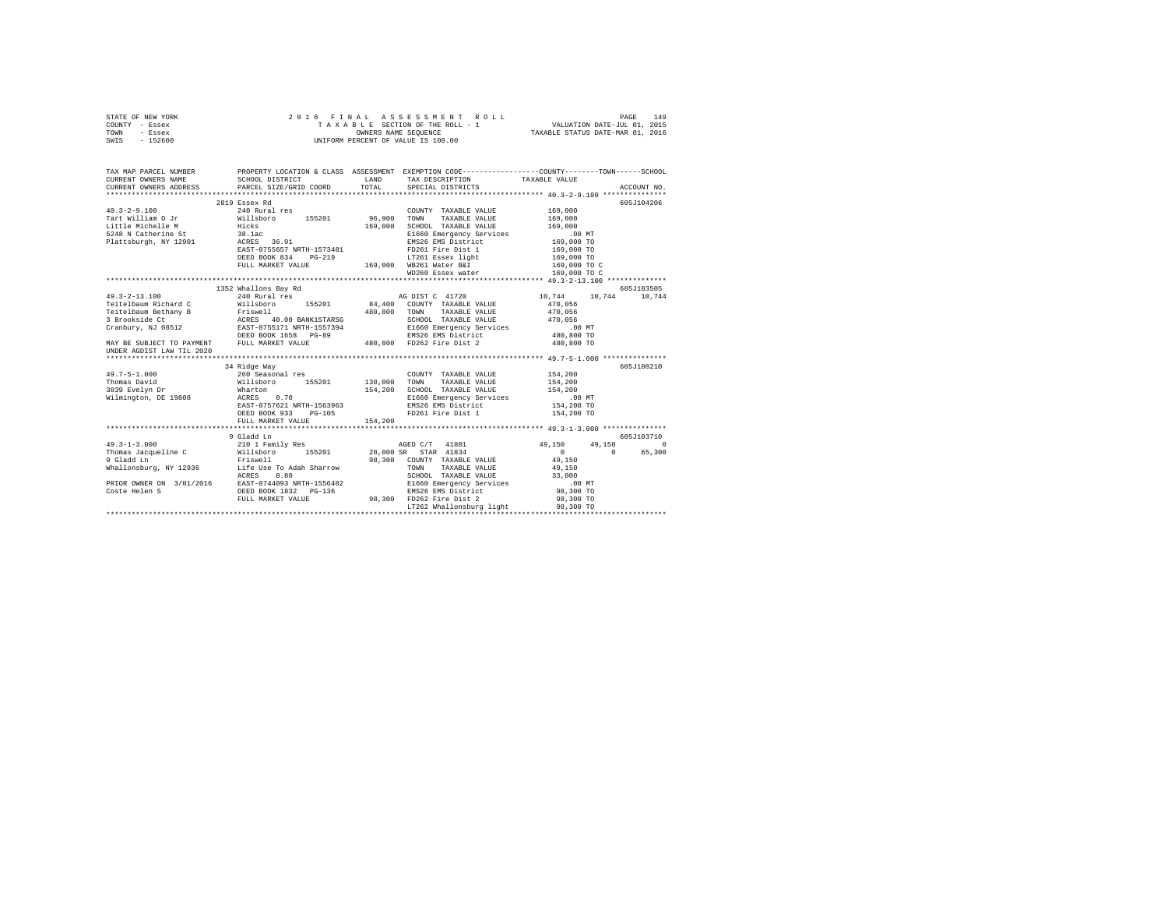|      | STATE OF NEW YORK |  |  | 2016 FINAL ASSESSMENT ROLL         | PAGE                             | 149 |
|------|-------------------|--|--|------------------------------------|----------------------------------|-----|
|      | COUNTY - Essex    |  |  | TAXABLE SECTION OF THE ROLL - 1    | VALUATION DATE-JUL 01, 2015      |     |
| TOWN | - Essex           |  |  | OWNERS NAME SEOUENCE               | TAXABLE STATUS DATE-MAR 01, 2016 |     |
| SWIS | $-152600$         |  |  | UNIFORM PERCENT OF VALUE IS 100.00 |                                  |     |

| TAX MAP PARCEL NUMBER<br>CURRENT OWNERS NAME SCHOOL DISTRICT LAND TAX DESCRIPTION CODE--------------COUNTY--------TOWN-------SCHOOL<br>CURRENT OWNERS AMERIC SIZE/GRID COORD TOTAL SPECIAL DESTRICTS ACCOUNT NO.<br>*******************                                                                                                                          |                      |                                    |            |
|------------------------------------------------------------------------------------------------------------------------------------------------------------------------------------------------------------------------------------------------------------------------------------------------------------------------------------------------------------------|----------------------|------------------------------------|------------|
|                                                                                                                                                                                                                                                                                                                                                                  |                      |                                    |            |
|                                                                                                                                                                                                                                                                                                                                                                  |                      |                                    |            |
|                                                                                                                                                                                                                                                                                                                                                                  | 2819 Essex Rd        |                                    | 605J104206 |
|                                                                                                                                                                                                                                                                                                                                                                  |                      |                                    |            |
|                                                                                                                                                                                                                                                                                                                                                                  |                      |                                    |            |
|                                                                                                                                                                                                                                                                                                                                                                  |                      |                                    |            |
|                                                                                                                                                                                                                                                                                                                                                                  |                      |                                    |            |
|                                                                                                                                                                                                                                                                                                                                                                  |                      |                                    |            |
|                                                                                                                                                                                                                                                                                                                                                                  |                      |                                    |            |
|                                                                                                                                                                                                                                                                                                                                                                  |                      |                                    |            |
|                                                                                                                                                                                                                                                                                                                                                                  |                      |                                    |            |
|                                                                                                                                                                                                                                                                                                                                                                  |                      |                                    |            |
|                                                                                                                                                                                                                                                                                                                                                                  |                      |                                    |            |
|                                                                                                                                                                                                                                                                                                                                                                  | 1352 Whallons Bay Rd |                                    | 605J103505 |
| 49.3-2-13.100 240 Rural res                                                                                                                                                                                                                                                                                                                                      |                      |                                    |            |
|                                                                                                                                                                                                                                                                                                                                                                  |                      |                                    |            |
|                                                                                                                                                                                                                                                                                                                                                                  |                      |                                    |            |
|                                                                                                                                                                                                                                                                                                                                                                  |                      |                                    |            |
|                                                                                                                                                                                                                                                                                                                                                                  |                      |                                    |            |
|                                                                                                                                                                                                                                                                                                                                                                  |                      |                                    |            |
| 1991 - 1992 - 1992 - 1992 - 1993 - 1994 - 1994 - 1994 - 1994 - 1994 - 1994 - 1994 - 1994 - 1994 - 1994 - 1994<br>1996 - 1994 - 1994 - 1994 - 1994 - 1994 - 1994 - 1994 - 1994 - 1994 - 1994 - 1994 - 1994 - 1994 - 1994 - 1994<br>19                                                                                                                             |                      |                                    |            |
| UNDER AGDIST LAW TIL 2020                                                                                                                                                                                                                                                                                                                                        |                      |                                    |            |
|                                                                                                                                                                                                                                                                                                                                                                  |                      |                                    |            |
|                                                                                                                                                                                                                                                                                                                                                                  | 34 Ridge Way         |                                    | 605J100210 |
|                                                                                                                                                                                                                                                                                                                                                                  |                      |                                    |            |
|                                                                                                                                                                                                                                                                                                                                                                  |                      |                                    |            |
| 49.7-5-1.000 <sup>34</sup> King Way 155201 COUNTY TAXABLE VALUE 154,200<br>Thomas David Willishoro 155201 130,000 TOWN TAXABLE VALUE 154,200<br>3839 Evelyn Dr Waltsboro 155201 154,200 SCHOOL TAXABLE VALUE 154,200<br>3839 Evelyn Dr Warton                                                                                                                    |                      |                                    |            |
|                                                                                                                                                                                                                                                                                                                                                                  |                      |                                    |            |
|                                                                                                                                                                                                                                                                                                                                                                  |                      |                                    |            |
|                                                                                                                                                                                                                                                                                                                                                                  |                      |                                    |            |
|                                                                                                                                                                                                                                                                                                                                                                  |                      |                                    |            |
|                                                                                                                                                                                                                                                                                                                                                                  |                      |                                    |            |
|                                                                                                                                                                                                                                                                                                                                                                  |                      |                                    | 605J103710 |
|                                                                                                                                                                                                                                                                                                                                                                  |                      |                                    | $\sim$     |
|                                                                                                                                                                                                                                                                                                                                                                  |                      |                                    | 65,300     |
|                                                                                                                                                                                                                                                                                                                                                                  |                      |                                    |            |
|                                                                                                                                                                                                                                                                                                                                                                  |                      |                                    |            |
|                                                                                                                                                                                                                                                                                                                                                                  |                      |                                    |            |
| $\begin{tabular}{l c c c c c} \hline 49.3-1-3.000 & 9 \text{ Gladd In} & 605J1 \\ 49.3-1-3.000 & 21011 Family Res & 28,000 SR STRA 41834 & 49,150 & 49,150 & 49,150 \\ 9 \text{Gladd In} & 98,300 CNNT Y RABLE VALUE & 0 & 0 \\ 9 \text{Gladd In} & 98,300 CONT Y RABLE VALUE & 49,150 & 0 \\ 9 \text{Khalolomburg, NY 12936} & 1 \text{ife Use To Adah Sharrow$ |                      |                                    |            |
|                                                                                                                                                                                                                                                                                                                                                                  |                      |                                    |            |
|                                                                                                                                                                                                                                                                                                                                                                  |                      |                                    |            |
|                                                                                                                                                                                                                                                                                                                                                                  |                      | LT262 Whallonsburg light 98,300 TO |            |
|                                                                                                                                                                                                                                                                                                                                                                  |                      |                                    |            |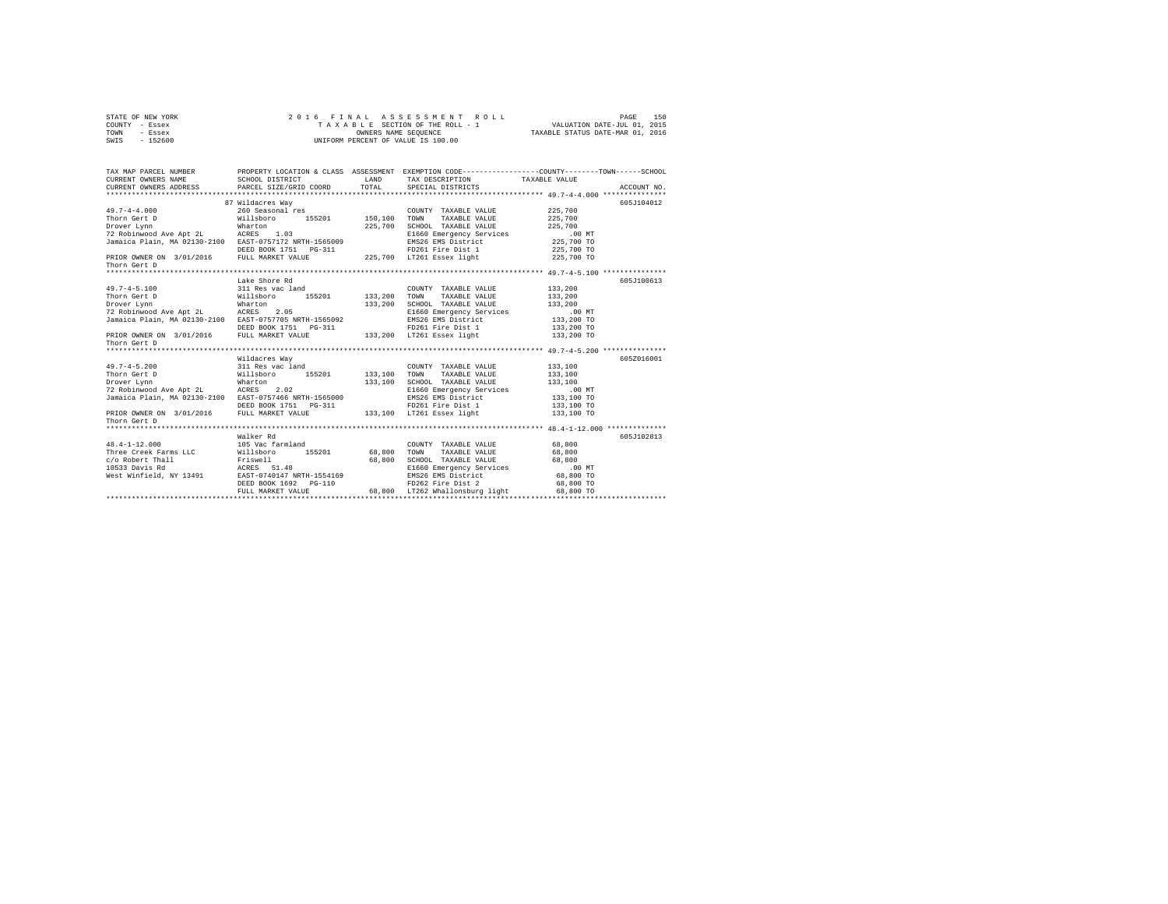| STATE OF NEW YORK | 2016 FINAL ASSESSMENT ROLL         | 150<br>PAGE                      |
|-------------------|------------------------------------|----------------------------------|
| COUNTY - Essex    | TAXABLE SECTION OF THE ROLL - 1    | VALUATION DATE-JUL 01, 2015      |
| TOWN<br>- Essex   | OWNERS NAME SEOUENCE               | TAXABLE STATUS DATE-MAR 01, 2016 |
| - 152600<br>SWIS  | UNIFORM PERCENT OF VALUE IS 100.00 |                                  |

| TAX MAP PARCEL NUMBER<br>CURRENT OWNERS NAME<br>CURRENT OWNERS ADDRESS                                                                                                                                                            | SCHOOL DISTRICT<br>PARCEL SIZE/GRID COORD                                                                                                     | LAND<br>TOTAL             | TAX DESCRIPTION TAXABLE VALUE<br>SPECIAL DISTRICTS                                                                                                                                                   | PROPERTY LOCATION & CLASS ASSESSMENT EXEMPTION CODE----------------COUNTY-------TOWN-----SCHOOL<br>ACCOUNT NO. |  |
|-----------------------------------------------------------------------------------------------------------------------------------------------------------------------------------------------------------------------------------|-----------------------------------------------------------------------------------------------------------------------------------------------|---------------------------|------------------------------------------------------------------------------------------------------------------------------------------------------------------------------------------------------|----------------------------------------------------------------------------------------------------------------|--|
| $49.7 - 4 - 4.000$<br>Thorn Gert D<br>Drover Lynn<br>72 Robinwood Ave Apt 2L ACRES 1.03<br>Jamaica Plain, MA 02130-2100 EAST-0757172 NRTH-1565009<br>PRIOR OWNER ON 3/01/2016 FULL MARKET VALUE<br>Thorn Gert D                   | 87 Wildacres Way<br>260 Seasonal res<br>al res<br>155201 150,100<br>Willsboro<br>Wharton<br>DEED BOOK 1751    PG-311                          | 225,700                   | COUNTY TAXABLE VALUE<br>TAXABLE VALUE<br>TOWN<br>SCHOOL TAXABLE VALUE<br>E1660 Emergency Services<br>EMS26 EMS District<br>FD261 Fire Dist 1<br>225,700 LT261 Essex light                            | 605J104012<br>225,700<br>225,700<br>225,700<br>$.00$ MT<br>225,700 TO<br>225,700 TO<br>225,700 TO              |  |
| $49.7 - 4 - 5.100$<br>Thorn Gert D<br>Drover Lynn<br>220001 - 2011<br>T2 Robinwood Ave Apt 2L (ACRES 2.05<br>Jamaica Plain, MA 02130-2100 EAST-0757705 NRTH-1565092<br>PRIOR OWNER ON 3/01/2016 FULL MARKET VALUE<br>Thorn Gert D | Lake Shore Rd<br>311 Res vac land<br>Willsboro<br>Wharton<br>DEED BOOK 1751    PG-311                                                         | 155201 133,200<br>133,200 | COUNTY TAXABLE VALUE<br>TOWN<br>TAXABLE VALUE<br>SCHOOL TAXABLE VALUE<br>E1660 Emergency Services<br>EMS26 EMS District<br>FD261 Fire Dist 1<br>133,200 LT261 Essex light                            | 605J100613<br>133,200<br>133,200<br>133,200<br>$.00$ MT<br>133,200 TO<br>133,200 TO<br>133,200 TO              |  |
| $49.7 - 4 - 5.200$<br>Thorn Gert D<br>Wharton<br>Drover Lynn<br>72 Robinwood Ave Apt 2L ACRES 2.02<br>Jamaica Plain, MA 02130-2100 EAST-0757466 NRTH-1565000<br>PRIOR OWNER ON 3/01/2016 FULL MARKET VALUE<br>Thorn Gert D        | Wildacres Way<br>311 Res vac land<br>Willsboro<br>155201<br>DEED BOOK 1751 PG-311                                                             | 133,100<br>133,100        | COUNTY TAXABLE VALUE<br>TOWN<br>TAXABLE VALUE<br>SCHOOL TAXABLE VALUE<br>E1660 Emergency Services<br>EMS26 EMS District<br>FD261 Fire Dist 1<br>3-311 FD261 Fire Dist 1<br>133,100 LT261 Essex light | 605Z016001<br>133,100<br>133,100<br>133,100<br>$.00$ MT<br>133,100 TO<br>133,100 TO<br>133,100 TO              |  |
| $48.4 - 1 - 12.000$<br>Three Creek Farms LLC Willsboro<br>c/o Robert Thall<br>10533 Davis Rd<br>West Winfield, NY 13491                                                                                                           | Walker Rd<br>105 Vac farmland<br>155201<br>Friswell<br>ACRES 51.48<br>EAST-0740147 NRTH-1554169<br>DEED BOOK 1692 PG-110<br>FULL MARKET VALUE | 68,800<br>68,800          | COUNTY TAXABLE VALUE<br>TOWN<br>TAXABLE VALUE<br>SCHOOL TAXABLE VALUE<br>E1660 Emergency Services<br>EMS26 EMS District<br>FD262 Fire Dist 2<br>68.800 LT262 Whallonsburg light                      | 605J102813<br>68,800<br>68,800<br>68,800<br>$.00$ MT<br>68,800 TO<br>68,800 TO<br>68,800 TO                    |  |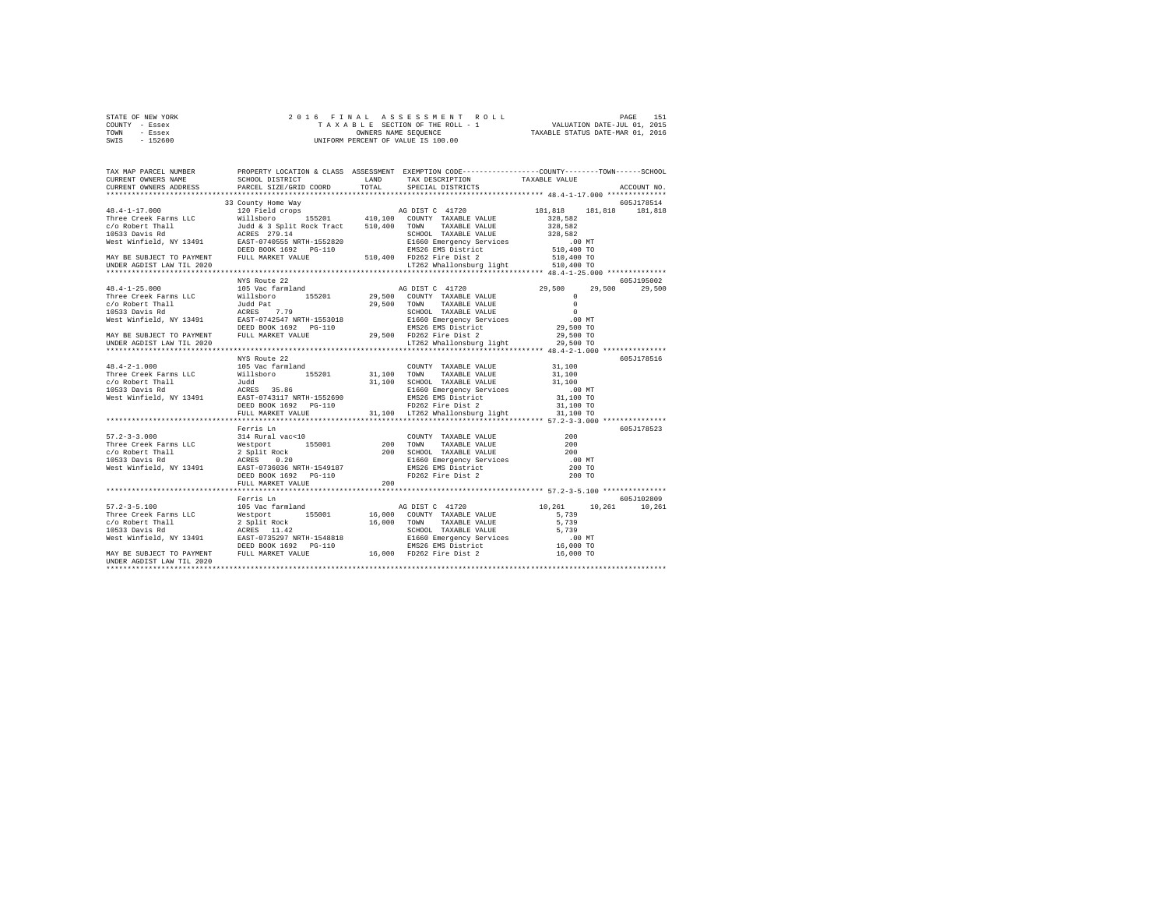| STATE OF NEW YORK |  |  |  | 2016 FINAL ASSESSMENT ROLL         |                                  | PAGE                        | 151 |
|-------------------|--|--|--|------------------------------------|----------------------------------|-----------------------------|-----|
| COUNTY - Essex    |  |  |  | TAXABLE SECTION OF THE ROLL - 1    |                                  | VALUATION DATE-JUL 01, 2015 |     |
| TOWN<br>- Essex   |  |  |  | OWNERS NAME SEOUENCE               | TAXABLE STATUS DATE-MAR 01, 2016 |                             |     |
| $-152600$<br>SWIS |  |  |  | UNIFORM PERCENT OF VALUE IS 100.00 |                                  |                             |     |

| 19.1-17.000<br>19.000 155101 1000 155201 117162 1200<br>19.1000 155201 1200 1200 1200 13530 121,818<br>19.100 1200 1200 1200 135201 1200 1200 13530 131,818<br>19.100 1200 1200 1200 1200 1200 1200 13530 131,818<br>19.10533 Davis Rd<br> |  |  |  |
|--------------------------------------------------------------------------------------------------------------------------------------------------------------------------------------------------------------------------------------------|--|--|--|
|                                                                                                                                                                                                                                            |  |  |  |
|                                                                                                                                                                                                                                            |  |  |  |
| 19.12.000 MYS Route 22<br>The Creek Farms LLC and Path (1950 Martin 29,500 Martin 29,500 Martin 29,500 Martin 29,500 Martin 29,500 Martin 29,500 Martin 29,500 Martin 29,500 Martin 29,500 Martin 29,500 Martin 29,500 Martin 29           |  |  |  |
|                                                                                                                                                                                                                                            |  |  |  |
|                                                                                                                                                                                                                                            |  |  |  |
|                                                                                                                                                                                                                                            |  |  |  |
| 991 - 23.000 MM (6051178523<br>First Erris In COUNTY TAXABLE VALUE (1992)<br>Three Creek Farms LLC Methoric 155001 200 TOWN TAXABLE VALUE 200<br>FICS33 Davis Rd ACRES 0.200 SCHOOL TAXABLE VALUE 200<br>FICS33 Davis Rd ACRES 0.200 S     |  |  |  |
|                                                                                                                                                                                                                                            |  |  |  |
| 1971 - 2010<br>Ferris Lm (105 Vac farmland 16,000 COUNTY TAXABLE VALUE (2010)<br>Three Creek Farms LLC Westport 155001 16,000 COUNTY TAXABLE VALUE (2010)<br>2010 2011 RAST (103 COUNTY TAXABLE VALUE 5,739<br>19533 Davis Rd 2011 RAS     |  |  |  |
|                                                                                                                                                                                                                                            |  |  |  |
| UNDER AGDIST LAW TIL 2020                                                                                                                                                                                                                  |  |  |  |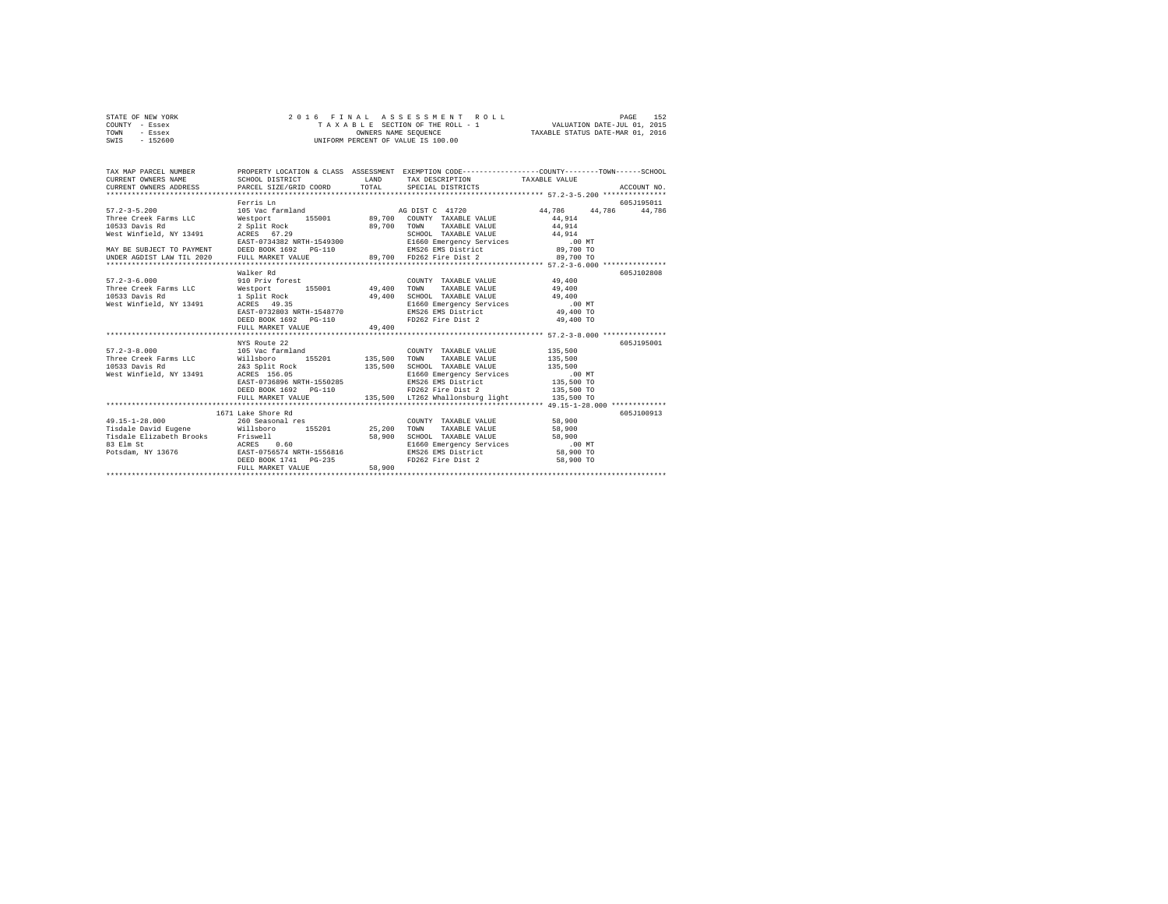| STATE OF NEW YORK | 2016 FINAL ASSESSMENT ROLL         | 152<br>PAGE                      |
|-------------------|------------------------------------|----------------------------------|
| COUNTY - Essex    | TAXABLE SECTION OF THE ROLL - 1    | VALUATION DATE-JUL 01, 2015      |
| TOWN<br>- Essex   | OWNERS NAME SEOUENCE               | TAXABLE STATUS DATE-MAR 01, 2016 |
| $-152600$<br>SWIS | UNIFORM PERCENT OF VALUE IS 100.00 |                                  |

| TAX MAP PARCEL NUMBER<br>CURRENT OWNERS NAME<br>CURRENT OWNERS ADDRESS                                                                                                                                                                                                                     | SCHOOL DISTRICT<br>PARCEL SIZE/GRID COORD TOTAL SPECIAL DISTRICTS                                                                                                                     |                  | LAND TAX DESCRIPTION TAXABLE VALUE                                                                                                                                                         | PROPERTY LOCATION & CLASS ASSESSMENT EXEMPTION CODE---------------COUNTY-------TOWN------SCHOOL | ACCOUNT NO.          |
|--------------------------------------------------------------------------------------------------------------------------------------------------------------------------------------------------------------------------------------------------------------------------------------------|---------------------------------------------------------------------------------------------------------------------------------------------------------------------------------------|------------------|--------------------------------------------------------------------------------------------------------------------------------------------------------------------------------------------|-------------------------------------------------------------------------------------------------|----------------------|
|                                                                                                                                                                                                                                                                                            | Ferris Ln                                                                                                                                                                             |                  |                                                                                                                                                                                            |                                                                                                 | 605J195011<br>44.786 |
|                                                                                                                                                                                                                                                                                            |                                                                                                                                                                                       |                  |                                                                                                                                                                                            |                                                                                                 |                      |
|                                                                                                                                                                                                                                                                                            |                                                                                                                                                                                       |                  |                                                                                                                                                                                            |                                                                                                 |                      |
| $\begin{array}{cccc} 57.2-3-6.000 & 910 & \text{Priv forest} & \text{COUNTY TAXABLE VALUE} & 49,400 \\ \text{Three Creek Farms LLC} & \text{Westport} & 155001 & 49,400 & \text{TONN} & \text{TXABLE VALUE} & 49,400 \end{array}$<br>10533 Davis Rd<br>West Winfield, NY 13491 ACRES 49.35 | Walker Rd<br>---<br>1 Split Rock (1994)<br>13491 - ACRES (1993)<br>EAST-0732803 NRTH-1548770<br>DEED BOOK 1692 PG-110<br>FULL MARKET VALUE                                            | 49,400           | COUNTY TAXABLE VALUE 49,400<br>SCHOOL TAXABLE VALUE 49,400<br>FD262 Fire Dist 2 49,400 TO                                                                                                  |                                                                                                 | 605J102808           |
|                                                                                                                                                                                                                                                                                            |                                                                                                                                                                                       |                  |                                                                                                                                                                                            |                                                                                                 |                      |
| 57.2-3-8.000 105 Vac farmland<br>Three Creek Farms LLC Willsboro<br>10533 Davis Rd<br>West Winfield, NY 13491 ACRES 156.05                                                                                                                                                                 | NYS Route 22<br>155201 135,500 TOWN<br>2&3 Split Rock 135,500 SCHOOL TAXABLE VALUE 135,500<br>ACRES 156.05<br>EAST-0736896 NRTH-1550285<br>DEED BOOK 1692 PG-110<br>FULL MARKET VALUE |                  | COUNTY TAXABLE VALUE 135,500<br>TAXABLE VALUE 135,500<br>E1660 Emergency Services .00 MT<br>EMS26 EMS District .00 TO<br>FD262 Fire Dist 2 .035,500 TO<br>135,500 LT262 Whallonsburg light | 135,500 TO                                                                                      | 605-7195001          |
| $49.15 - 1 - 28.000$<br>Tisdale David Eugene Millsboro 155201 25,200                                                                                                                                                                                                                       | 1671 Lake Shore Rd<br>260 Seasonal res<br>DEED BOOK 1741 PG-235<br>FULL MARKET VALUE                                                                                                  | 58,900<br>58,900 | COUNTY TAXABLE VALUE 58,900<br>TAXABLE VALUE 58,900<br>TOWN<br>SCHOOL TAXABLE VALUE 58,900<br>E1660 Emergency Services .00 MT<br>EMS26 EMS District 58,900 TO<br>FD262 Fire Dist 2         | 58,900 TO                                                                                       | 605J100913           |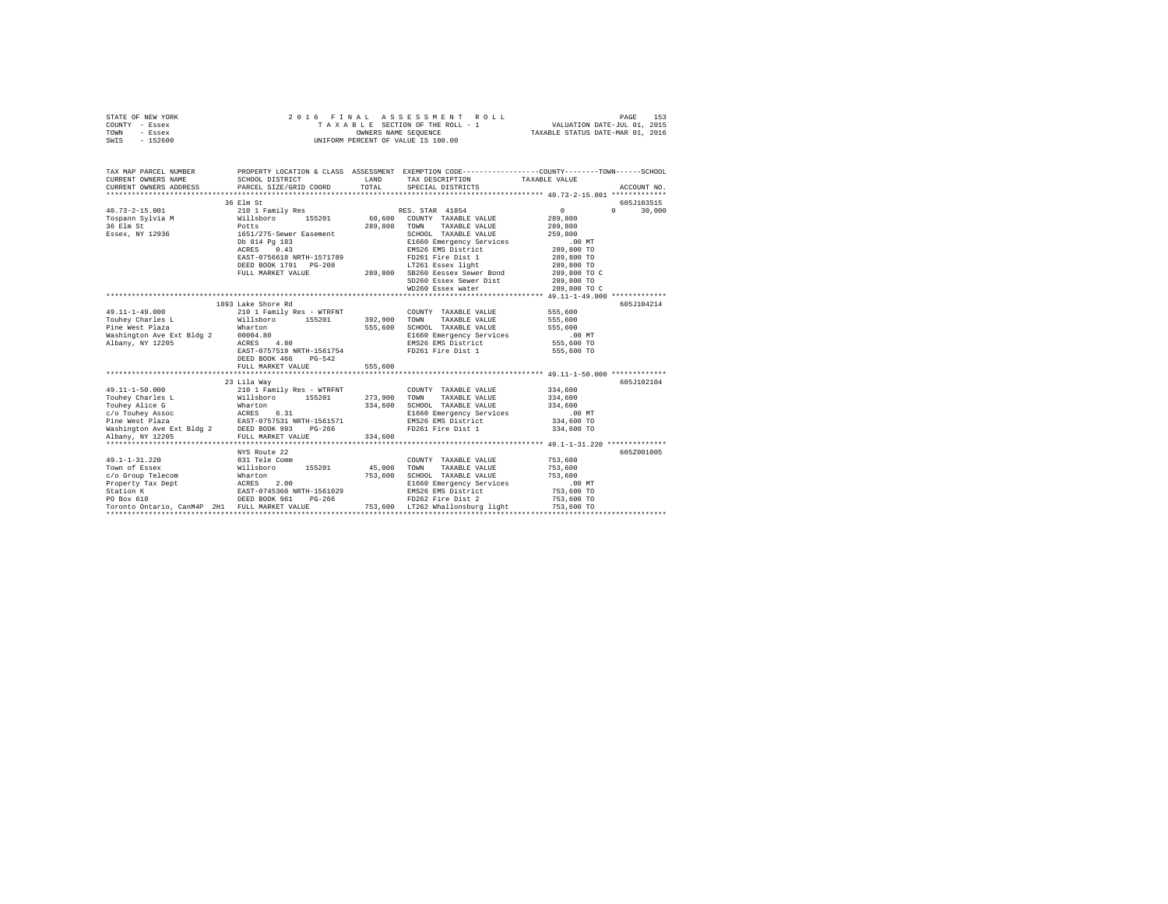| STATE OF NEW YORK | 2016 FINAL ASSESSMENT ROLL         | 153<br>PAGE                      |
|-------------------|------------------------------------|----------------------------------|
| COUNTY - Essex    | TAXABLE SECTION OF THE ROLL - 1    | VALUATION DATE-JUL 01, 2015      |
| TOWN<br>- Essex   | OWNERS NAME SEOUENCE               | TAXABLE STATUS DATE-MAR 01, 2016 |
| $-152600$<br>SWIS | UNIFORM PERCENT OF VALUE IS 100.00 |                                  |
|                   |                                    |                                  |

| TAX MAP PARCEL NUMBER                                                                                                                                                                                                                                                                                                                                                                                   |                                                                                                                                                                                                                                          |         | PROPERTY LOCATION & CLASS ASSESSMENT EXEMPTION CODE---------------COUNTY-------TOWN------SCHOOL                    |                            |               |
|---------------------------------------------------------------------------------------------------------------------------------------------------------------------------------------------------------------------------------------------------------------------------------------------------------------------------------------------------------------------------------------------------------|------------------------------------------------------------------------------------------------------------------------------------------------------------------------------------------------------------------------------------------|---------|--------------------------------------------------------------------------------------------------------------------|----------------------------|---------------|
| CURRENT OWNERS NAME SCHOOL DISTRICT                                                                                                                                                                                                                                                                                                                                                                     |                                                                                                                                                                                                                                          | LAND    | TAX DESCRIPTION TAXABLE VALUE                                                                                      |                            |               |
| CURRENT OWNERS ADDRESS                                                                                                                                                                                                                                                                                                                                                                                  | PARCEL SIZE/GRID COORD TOTAL SPECIAL DISTRICTS                                                                                                                                                                                           |         |                                                                                                                    |                            | ACCOUNT NO.   |
|                                                                                                                                                                                                                                                                                                                                                                                                         |                                                                                                                                                                                                                                          |         |                                                                                                                    |                            |               |
|                                                                                                                                                                                                                                                                                                                                                                                                         |                                                                                                                                                                                                                                          |         |                                                                                                                    |                            | 605J103515    |
|                                                                                                                                                                                                                                                                                                                                                                                                         |                                                                                                                                                                                                                                          |         |                                                                                                                    | $\sim$ 0 $\sim$            | $0 \t 30,000$ |
|                                                                                                                                                                                                                                                                                                                                                                                                         |                                                                                                                                                                                                                                          |         |                                                                                                                    | 289,800                    |               |
|                                                                                                                                                                                                                                                                                                                                                                                                         |                                                                                                                                                                                                                                          |         | 289,800 TOWN TAXABLE VALUE 289,800                                                                                 |                            |               |
|                                                                                                                                                                                                                                                                                                                                                                                                         |                                                                                                                                                                                                                                          |         |                                                                                                                    |                            |               |
|                                                                                                                                                                                                                                                                                                                                                                                                         | 1651/275-Sever Easement 2007,000 CHOOL TAXABLE VALUE 259,800<br>26100 814 Pg 183<br>26100 E14 Pg 183<br>26100 E14 E160 Energency Services 259,800 TO ATREL 289,800 TO EASET-0756618 NRTH-1571789<br>289,800 TO ENERGY SERVICE 208<br>289 |         |                                                                                                                    |                            |               |
|                                                                                                                                                                                                                                                                                                                                                                                                         |                                                                                                                                                                                                                                          |         |                                                                                                                    |                            |               |
|                                                                                                                                                                                                                                                                                                                                                                                                         |                                                                                                                                                                                                                                          |         |                                                                                                                    |                            |               |
|                                                                                                                                                                                                                                                                                                                                                                                                         |                                                                                                                                                                                                                                          |         |                                                                                                                    |                            |               |
|                                                                                                                                                                                                                                                                                                                                                                                                         |                                                                                                                                                                                                                                          |         |                                                                                                                    |                            |               |
|                                                                                                                                                                                                                                                                                                                                                                                                         |                                                                                                                                                                                                                                          |         | SD260 Essex Sewer Dist<br>WD260 Essex water                                                                        | 289,800 TO<br>289,800 TO C |               |
|                                                                                                                                                                                                                                                                                                                                                                                                         |                                                                                                                                                                                                                                          |         |                                                                                                                    |                            |               |
|                                                                                                                                                                                                                                                                                                                                                                                                         |                                                                                                                                                                                                                                          |         |                                                                                                                    |                            |               |
|                                                                                                                                                                                                                                                                                                                                                                                                         | 1893 Lake Shore Rd                                                                                                                                                                                                                       |         |                                                                                                                    |                            | 605J104214    |
| $49.11 - 1 - 49.000$                                                                                                                                                                                                                                                                                                                                                                                    | 210 1 Family Res - WTRFNT COUNTY TAXABLE VALUE 555,600<br>Willsboro 155201 392,900 TOWN TAXABLE VALUE 555,600                                                                                                                            |         |                                                                                                                    |                            |               |
| Touhey Charles L                                                                                                                                                                                                                                                                                                                                                                                        |                                                                                                                                                                                                                                          |         |                                                                                                                    |                            |               |
|                                                                                                                                                                                                                                                                                                                                                                                                         |                                                                                                                                                                                                                                          |         | 555,600 SCHOOL TAXABLE VALUE 555,600<br>E1660 Emergency Services 1060 E1660 E860<br>EMS266 EMS District 555,600 TO |                            |               |
|                                                                                                                                                                                                                                                                                                                                                                                                         |                                                                                                                                                                                                                                          |         |                                                                                                                    |                            |               |
|                                                                                                                                                                                                                                                                                                                                                                                                         |                                                                                                                                                                                                                                          |         |                                                                                                                    |                            |               |
|                                                                                                                                                                                                                                                                                                                                                                                                         |                                                                                                                                                                                                                                          |         | FD261 Fire Dist 1                                                                                                  | 555,600 TO                 |               |
|                                                                                                                                                                                                                                                                                                                                                                                                         | DEED BOOK 466 PG-542                                                                                                                                                                                                                     |         |                                                                                                                    |                            |               |
|                                                                                                                                                                                                                                                                                                                                                                                                         | FULL MARKET VALUE                                                                                                                                                                                                                        | 555,600 |                                                                                                                    |                            |               |
|                                                                                                                                                                                                                                                                                                                                                                                                         |                                                                                                                                                                                                                                          |         |                                                                                                                    |                            |               |
|                                                                                                                                                                                                                                                                                                                                                                                                         | 23 Lila Way                                                                                                                                                                                                                              |         |                                                                                                                    |                            | 605J102104    |
|                                                                                                                                                                                                                                                                                                                                                                                                         |                                                                                                                                                                                                                                          |         |                                                                                                                    |                            |               |
|                                                                                                                                                                                                                                                                                                                                                                                                         |                                                                                                                                                                                                                                          |         |                                                                                                                    |                            |               |
|                                                                                                                                                                                                                                                                                                                                                                                                         |                                                                                                                                                                                                                                          |         |                                                                                                                    |                            |               |
|                                                                                                                                                                                                                                                                                                                                                                                                         |                                                                                                                                                                                                                                          |         |                                                                                                                    |                            |               |
|                                                                                                                                                                                                                                                                                                                                                                                                         |                                                                                                                                                                                                                                          |         |                                                                                                                    |                            |               |
|                                                                                                                                                                                                                                                                                                                                                                                                         |                                                                                                                                                                                                                                          |         |                                                                                                                    |                            |               |
|                                                                                                                                                                                                                                                                                                                                                                                                         |                                                                                                                                                                                                                                          |         |                                                                                                                    |                            |               |
| $\begin{tabular}{l c c c c c} \multicolumn{3}{c c c c} \multicolumn{3}{c c c} \multicolumn{3}{c c c} \multicolumn{3}{c c c} \multicolumn{3}{c c c} \multicolumn{3}{c c c} \multicolumn{3}{c c c} \multicolumn{3}{c c c} \multicolumn{3}{c c c} \multicolumn{3}{c c c} \multicolumn{3}{c c c} \multicolumn{3}{c c c} \multicolumn{3}{c c c} \multicolumn{3}{c c c} \multicolumn{3}{c c c} \multicolumn{$ |                                                                                                                                                                                                                                          |         |                                                                                                                    |                            |               |
|                                                                                                                                                                                                                                                                                                                                                                                                         | NYS Route 22                                                                                                                                                                                                                             |         |                                                                                                                    |                            | 605Z001005    |
|                                                                                                                                                                                                                                                                                                                                                                                                         |                                                                                                                                                                                                                                          |         |                                                                                                                    |                            |               |
|                                                                                                                                                                                                                                                                                                                                                                                                         |                                                                                                                                                                                                                                          |         |                                                                                                                    |                            |               |
|                                                                                                                                                                                                                                                                                                                                                                                                         |                                                                                                                                                                                                                                          |         |                                                                                                                    |                            |               |
|                                                                                                                                                                                                                                                                                                                                                                                                         |                                                                                                                                                                                                                                          |         | E1660 Emergency Services .00 MT                                                                                    |                            |               |
|                                                                                                                                                                                                                                                                                                                                                                                                         |                                                                                                                                                                                                                                          |         |                                                                                                                    | 753,600 TO<br>753,600 TO   |               |
|                                                                                                                                                                                                                                                                                                                                                                                                         |                                                                                                                                                                                                                                          |         |                                                                                                                    |                            |               |
| $\begin{tabular}{ccccc} 49.1-1-31.220 & 831\; {\rm Tele\; count} & 45,000 & {\rm CONRTY} & {\rm TXABLE\; VALUE} & 753,600 \\ {\rm Town\; of\; Bsex} & 831\; {\rm Tele\; Comm} & 155201 & 45,000\; {\rm TVONRT} & {\rm TXABLE\; VALUE} & 753,600 \\ {\rm C/o\; Group\; Telecom} & 811\; {\rm Tele\; Comm} & 753.600\; {\rm SCHOOL\; TXABLE\; VALUE} & 753,600 \\ {\rm Property\; Tax\; Deptry\; Tax\;$   |                                                                                                                                                                                                                                          |         |                                                                                                                    | 753,600 TO                 |               |
|                                                                                                                                                                                                                                                                                                                                                                                                         |                                                                                                                                                                                                                                          |         |                                                                                                                    |                            |               |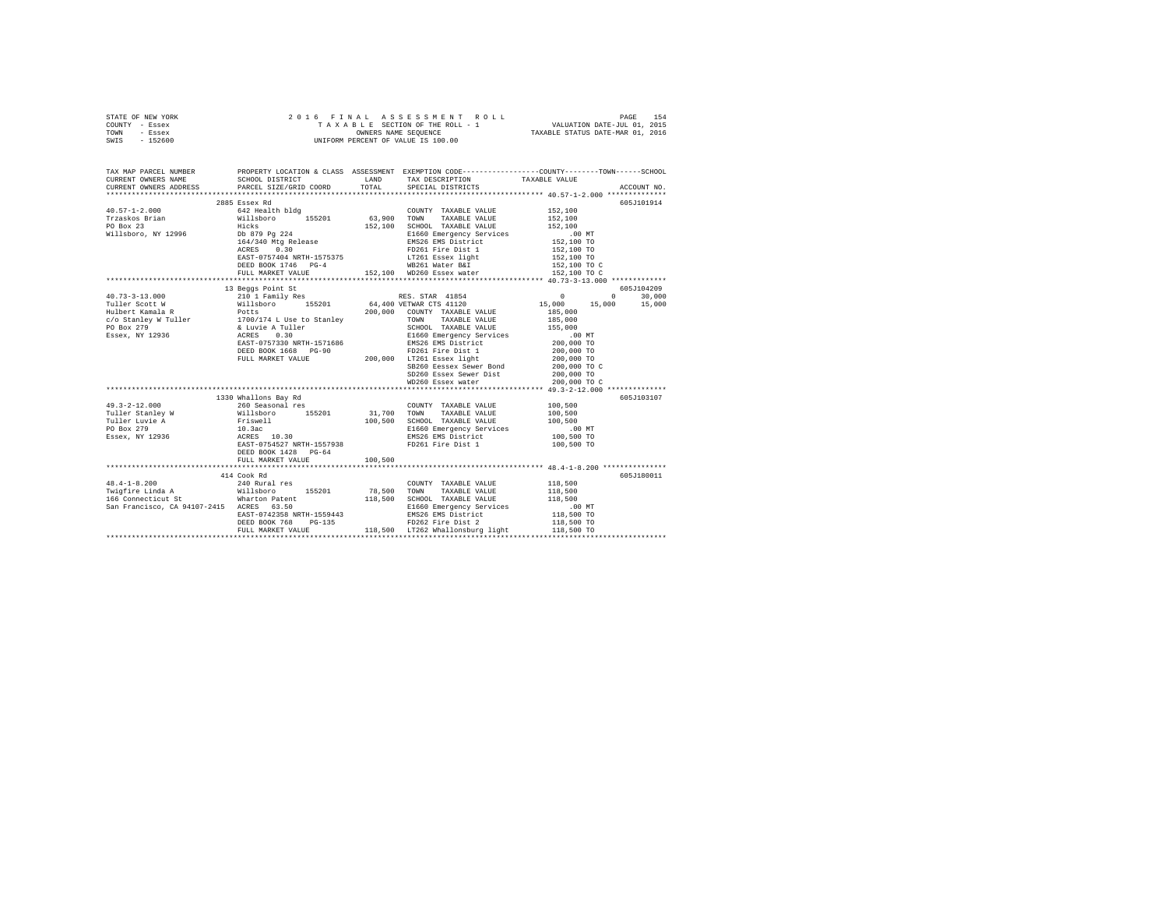|                | STATE OF NEW YORK |  |  | 2016 FINAL ASSESSMENT ROLL         |                                  | PAGE                        | 154 |
|----------------|-------------------|--|--|------------------------------------|----------------------------------|-----------------------------|-----|
| COUNTY - Essex |                   |  |  | TAXABLE SECTION OF THE ROLL - 1    |                                  | VALUATION DATE-JUL 01, 2015 |     |
| TOWN           | - Essex           |  |  | OWNERS NAME SEOUENCE               | TAXABLE STATUS DATE-MAR 01, 2016 |                             |     |
| SWIS           | $-152600$         |  |  | UNIFORM PERCENT OF VALUE IS 100.00 |                                  |                             |     |

| TAX MAP PARCEL NUMBER<br>CURRENT OWNERS NAME                                                                                                                                                                                        | SCHOOL DISTRICT TAND TAX DESCRIPTION | PROPERTY LOCATION & CLASS ASSESSMENT EXEMPTION CODE----------------COUNTY-------TOWN------SCHOOL                                                                                                                                                     | TAXABLE VALUE |            |
|-------------------------------------------------------------------------------------------------------------------------------------------------------------------------------------------------------------------------------------|--------------------------------------|------------------------------------------------------------------------------------------------------------------------------------------------------------------------------------------------------------------------------------------------------|---------------|------------|
|                                                                                                                                                                                                                                     |                                      |                                                                                                                                                                                                                                                      |               |            |
|                                                                                                                                                                                                                                     | 2885 Essex Rd                        |                                                                                                                                                                                                                                                      |               | 605J101914 |
|                                                                                                                                                                                                                                     |                                      |                                                                                                                                                                                                                                                      |               |            |
|                                                                                                                                                                                                                                     |                                      |                                                                                                                                                                                                                                                      |               |            |
|                                                                                                                                                                                                                                     |                                      |                                                                                                                                                                                                                                                      |               |            |
|                                                                                                                                                                                                                                     |                                      |                                                                                                                                                                                                                                                      |               |            |
|                                                                                                                                                                                                                                     |                                      |                                                                                                                                                                                                                                                      |               |            |
|                                                                                                                                                                                                                                     |                                      |                                                                                                                                                                                                                                                      |               |            |
|                                                                                                                                                                                                                                     |                                      |                                                                                                                                                                                                                                                      |               |            |
|                                                                                                                                                                                                                                     |                                      |                                                                                                                                                                                                                                                      |               |            |
|                                                                                                                                                                                                                                     |                                      | - (2002)<br>ERST-0757404 NRTH-1575375<br>DEED BOOK 1746 PG-4<br>DEED BOOK 1746 PG-4<br>HELL MARKET VALUE - 152,100 TO C<br>152,100 TO C<br>152,100 TO C<br>152,100 TO C<br>152,100 TO C<br>152,100 TO C<br>152,100 TO C<br>152,100 TO C<br>152,100 T |               |            |
|                                                                                                                                                                                                                                     |                                      |                                                                                                                                                                                                                                                      |               |            |
|                                                                                                                                                                                                                                     | 13 Beggs Point St                    |                                                                                                                                                                                                                                                      |               | 605J104209 |
|                                                                                                                                                                                                                                     |                                      |                                                                                                                                                                                                                                                      |               |            |
|                                                                                                                                                                                                                                     |                                      |                                                                                                                                                                                                                                                      |               |            |
|                                                                                                                                                                                                                                     |                                      |                                                                                                                                                                                                                                                      |               |            |
|                                                                                                                                                                                                                                     |                                      |                                                                                                                                                                                                                                                      |               |            |
|                                                                                                                                                                                                                                     |                                      |                                                                                                                                                                                                                                                      |               |            |
|                                                                                                                                                                                                                                     |                                      |                                                                                                                                                                                                                                                      |               |            |
|                                                                                                                                                                                                                                     |                                      |                                                                                                                                                                                                                                                      |               |            |
|                                                                                                                                                                                                                                     |                                      |                                                                                                                                                                                                                                                      |               |            |
|                                                                                                                                                                                                                                     |                                      |                                                                                                                                                                                                                                                      |               |            |
|                                                                                                                                                                                                                                     |                                      |                                                                                                                                                                                                                                                      |               |            |
|                                                                                                                                                                                                                                     |                                      |                                                                                                                                                                                                                                                      |               |            |
|                                                                                                                                                                                                                                     |                                      |                                                                                                                                                                                                                                                      |               |            |
|                                                                                                                                                                                                                                     | 1330 Whallons Bay Rd                 |                                                                                                                                                                                                                                                      |               | 605J103107 |
|                                                                                                                                                                                                                                     |                                      |                                                                                                                                                                                                                                                      |               |            |
|                                                                                                                                                                                                                                     |                                      |                                                                                                                                                                                                                                                      |               |            |
|                                                                                                                                                                                                                                     |                                      |                                                                                                                                                                                                                                                      |               |            |
|                                                                                                                                                                                                                                     |                                      |                                                                                                                                                                                                                                                      |               |            |
|                                                                                                                                                                                                                                     |                                      |                                                                                                                                                                                                                                                      |               |            |
|                                                                                                                                                                                                                                     |                                      |                                                                                                                                                                                                                                                      |               |            |
|                                                                                                                                                                                                                                     | DEED BOOK 1428 PG-64                 |                                                                                                                                                                                                                                                      |               |            |
|                                                                                                                                                                                                                                     | FULL MARKET VALUE 100.500            |                                                                                                                                                                                                                                                      |               |            |
|                                                                                                                                                                                                                                     |                                      |                                                                                                                                                                                                                                                      |               |            |
|                                                                                                                                                                                                                                     | 414 Cook Rd                          |                                                                                                                                                                                                                                                      |               | 605J180011 |
| 48.4-1-8.200<br>Twigfire Linda a 240 Rural res COUNTY TAXABLE VALUE 118,500<br>Tel The Same Company of the Millisboro 155201 78,500 TOWN TAXABLE VALUE 118,500<br>166 Connecticut St Martion Patent 118,500 SCHOOD TAXABLE VALUE 11 |                                      |                                                                                                                                                                                                                                                      |               |            |
|                                                                                                                                                                                                                                     |                                      |                                                                                                                                                                                                                                                      |               |            |
|                                                                                                                                                                                                                                     |                                      |                                                                                                                                                                                                                                                      |               |            |
|                                                                                                                                                                                                                                     |                                      |                                                                                                                                                                                                                                                      |               |            |
|                                                                                                                                                                                                                                     |                                      |                                                                                                                                                                                                                                                      |               |            |
|                                                                                                                                                                                                                                     |                                      |                                                                                                                                                                                                                                                      |               |            |
|                                                                                                                                                                                                                                     |                                      |                                                                                                                                                                                                                                                      |               |            |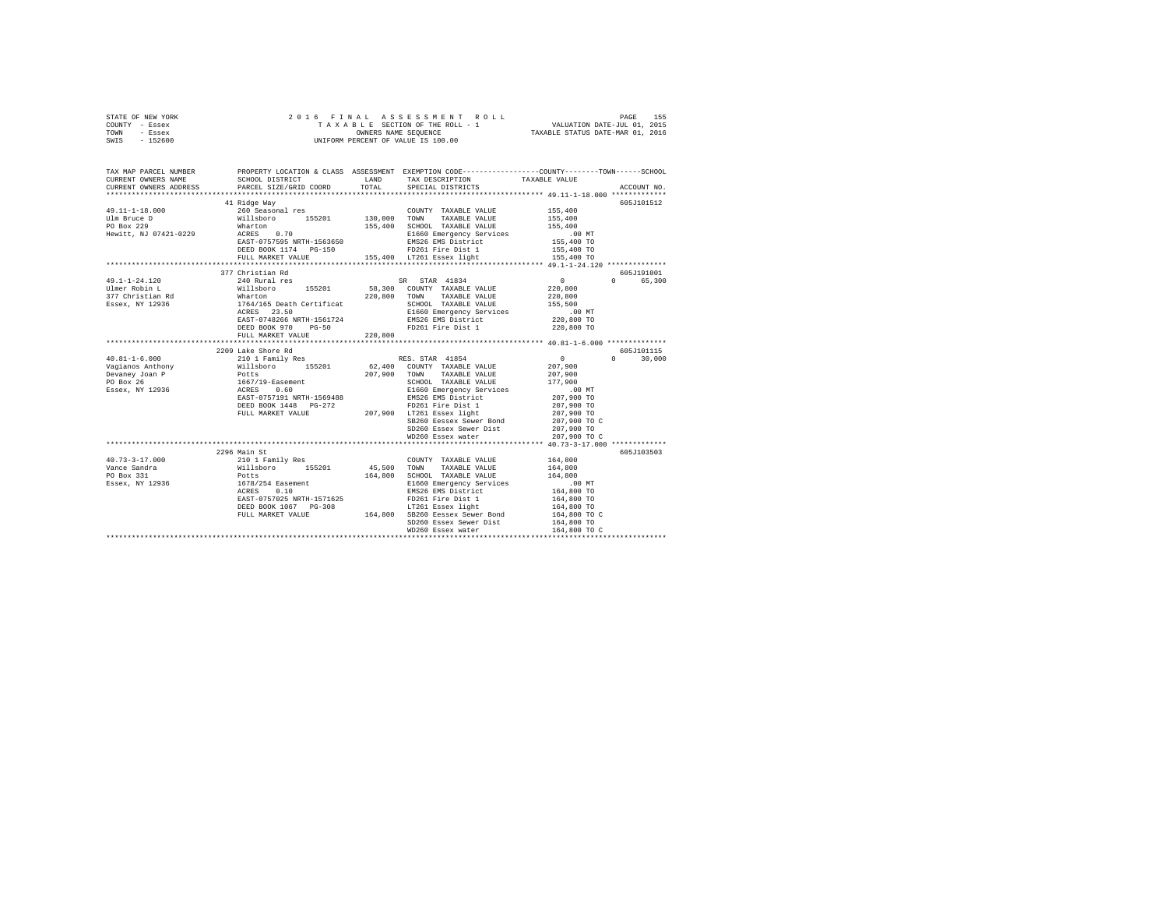|      | STATE OF NEW YORK |  |  | 2016 FINAL ASSESSMENT ROLL         | PAGE                             | 155 |
|------|-------------------|--|--|------------------------------------|----------------------------------|-----|
|      | COUNTY - Essex    |  |  | TAXABLE SECTION OF THE ROLL - 1    | VALUATION DATE-JUL 01, 2015      |     |
| TOWN | - Essex           |  |  | OWNERS NAME SEOUENCE               | TAXABLE STATUS DATE-MAR 01, 2016 |     |
| SWIS | - 152600          |  |  | UNIFORM PERCENT OF VALUE IS 100.00 |                                  |     |

| TAX MAP PARCEL NUMBER<br>CURRENT OWNERS NAME                                                                                                                                                                                            | SCHOOL DISTRICT                                                                                                            |         | PROPERTY LOCATION & CLASS ASSESSMENT EXEMPTION CODE---------------COUNTY-------TOWN------SCHOOL<br>LAND TAX DESCRIPTION | TAXABLE VALUE        |                    |
|-----------------------------------------------------------------------------------------------------------------------------------------------------------------------------------------------------------------------------------------|----------------------------------------------------------------------------------------------------------------------------|---------|-------------------------------------------------------------------------------------------------------------------------|----------------------|--------------------|
| CURRENT OWNERS ADDRESS PARCEL SIZE/GRID COORD                                                                                                                                                                                           |                                                                                                                            | TOTAL   | SPECIAL DISTRICTS                                                                                                       |                      | ACCOUNT NO.        |
|                                                                                                                                                                                                                                         |                                                                                                                            |         |                                                                                                                         |                      |                    |
|                                                                                                                                                                                                                                         | 41 Ridge Way                                                                                                               |         |                                                                                                                         |                      | 605J101512         |
|                                                                                                                                                                                                                                         |                                                                                                                            |         |                                                                                                                         |                      |                    |
| 49.11-1-18.000<br>155,400<br>1910.000<br>260 Seasonal res 155,000 130,000 TOWN TAXABLE VALUE 155,400<br>PO Box 229 Marton 155201 130,000 TAXABLE VALUE 155,400<br>Hewitt, NJ 07421-0229 ACRES 0.70 155,400 E1660 Emergency Services<br> |                                                                                                                            |         |                                                                                                                         |                      |                    |
|                                                                                                                                                                                                                                         |                                                                                                                            |         |                                                                                                                         |                      |                    |
|                                                                                                                                                                                                                                         |                                                                                                                            |         |                                                                                                                         | 00 MT.<br>155,400 TO |                    |
|                                                                                                                                                                                                                                         | DEED BOOK 1174 PG-150                                                                                                      |         | EMS26 EMS District<br>FD261 Fire Dist 1                                                                                 | 155,400 TO           |                    |
|                                                                                                                                                                                                                                         |                                                                                                                            |         |                                                                                                                         |                      |                    |
|                                                                                                                                                                                                                                         |                                                                                                                            |         |                                                                                                                         |                      |                    |
|                                                                                                                                                                                                                                         | 377 Christian Rd                                                                                                           |         |                                                                                                                         |                      | 605J191001         |
| $49.1 - 1 - 24.120$                                                                                                                                                                                                                     |                                                                                                                            |         |                                                                                                                         |                      | 0 65,300           |
|                                                                                                                                                                                                                                         |                                                                                                                            |         |                                                                                                                         |                      |                    |
|                                                                                                                                                                                                                                         |                                                                                                                            |         |                                                                                                                         |                      |                    |
|                                                                                                                                                                                                                                         |                                                                                                                            |         |                                                                                                                         |                      |                    |
|                                                                                                                                                                                                                                         |                                                                                                                            |         |                                                                                                                         | .00 MT<br>220,800 TO |                    |
|                                                                                                                                                                                                                                         |                                                                                                                            |         |                                                                                                                         |                      |                    |
|                                                                                                                                                                                                                                         | DEED BOOK 970 PG-50                                                                                                        | 220,800 | FD261 Fire Dist 1                                                                                                       | 220,800 TO           |                    |
|                                                                                                                                                                                                                                         | FULL MARKET VALUE                                                                                                          |         |                                                                                                                         |                      |                    |
|                                                                                                                                                                                                                                         | 2209 Lake Shore Rd                                                                                                         |         |                                                                                                                         |                      | 605J101115         |
|                                                                                                                                                                                                                                         |                                                                                                                            |         |                                                                                                                         |                      | 30,000<br>$\Omega$ |
|                                                                                                                                                                                                                                         |                                                                                                                            |         |                                                                                                                         | $0$<br>207,900       |                    |
|                                                                                                                                                                                                                                         |                                                                                                                            |         |                                                                                                                         | 207,900              |                    |
|                                                                                                                                                                                                                                         |                                                                                                                            |         |                                                                                                                         | 177,900              |                    |
|                                                                                                                                                                                                                                         |                                                                                                                            |         |                                                                                                                         | . 00 MT              |                    |
|                                                                                                                                                                                                                                         | EAST-0757191 NRTH-1569488<br>DEED BOOK 1448 PG-272<br>DEED BOOK 1448 PG-272<br>FULL MARKET VALUE 207,900 FDZ61 Easex light |         | EMS26 EMS District<br>ED261 Fine Dist 1                                                                                 | 207,900 TO           |                    |
|                                                                                                                                                                                                                                         |                                                                                                                            |         |                                                                                                                         | 207,900 TO           |                    |
|                                                                                                                                                                                                                                         |                                                                                                                            |         |                                                                                                                         | 207,900 TO           |                    |
|                                                                                                                                                                                                                                         |                                                                                                                            |         | SB260 Eessex Sewer Bond                                                                                                 | 207,900 TO C         |                    |
|                                                                                                                                                                                                                                         |                                                                                                                            |         | SD260 Essex Sewer Dist 207,900 TO                                                                                       |                      |                    |
|                                                                                                                                                                                                                                         |                                                                                                                            |         | WD260 Essex water                                                                                                       | 207,900 TO C         |                    |
|                                                                                                                                                                                                                                         | 2296 Main St                                                                                                               |         |                                                                                                                         |                      | 605J103503         |
| $40.73 - 3 - 17.000$                                                                                                                                                                                                                    |                                                                                                                            |         | COUNTY TAXABLE VALUE 164,800                                                                                            |                      |                    |
| Vance Sandra                                                                                                                                                                                                                            |                                                                                                                            |         | 45,500 TOWN TAXABLE VALUE                                                                                               | 164,800              |                    |
| PO Box 331                                                                                                                                                                                                                              |                                                                                                                            |         | 164,800 SCHOOL TAXABLE VALUE                                                                                            | 164,800              |                    |
| Essex, NY 12936                                                                                                                                                                                                                         |                                                                                                                            |         | E1660 Emergency Services                                                                                                |                      |                    |
|                                                                                                                                                                                                                                         | 2270 wall Strain<br>210 1 Family Res<br>Willsboro 155201<br>Potts<br>1678/254 Easement<br>ACRES 0.10                       |         | EMS26 EMS District                                                                                                      | 00 MT.<br>164,800 TO |                    |
|                                                                                                                                                                                                                                         | EAST-0757025 NRTH-1571625                                                                                                  |         | FD261 Fire Dist 1                                                                                                       | 164,800 TO           |                    |
|                                                                                                                                                                                                                                         | DEED BOOK 1067 PG-308                                                                                                      |         | LT261 Essex light                                                                                                       | 164,800 TO           |                    |
|                                                                                                                                                                                                                                         | FULL MARKET VALUE 164,800 SB260 Eessex Sewer Bond                                                                          |         |                                                                                                                         | 164,800 TO C         |                    |
|                                                                                                                                                                                                                                         |                                                                                                                            |         | SD260 Essex Sewer Dist                                                                                                  | 164,800 TO           |                    |
|                                                                                                                                                                                                                                         |                                                                                                                            |         | WD260 Essex water                                                                                                       | 164,800 TO C         |                    |
|                                                                                                                                                                                                                                         |                                                                                                                            |         |                                                                                                                         |                      |                    |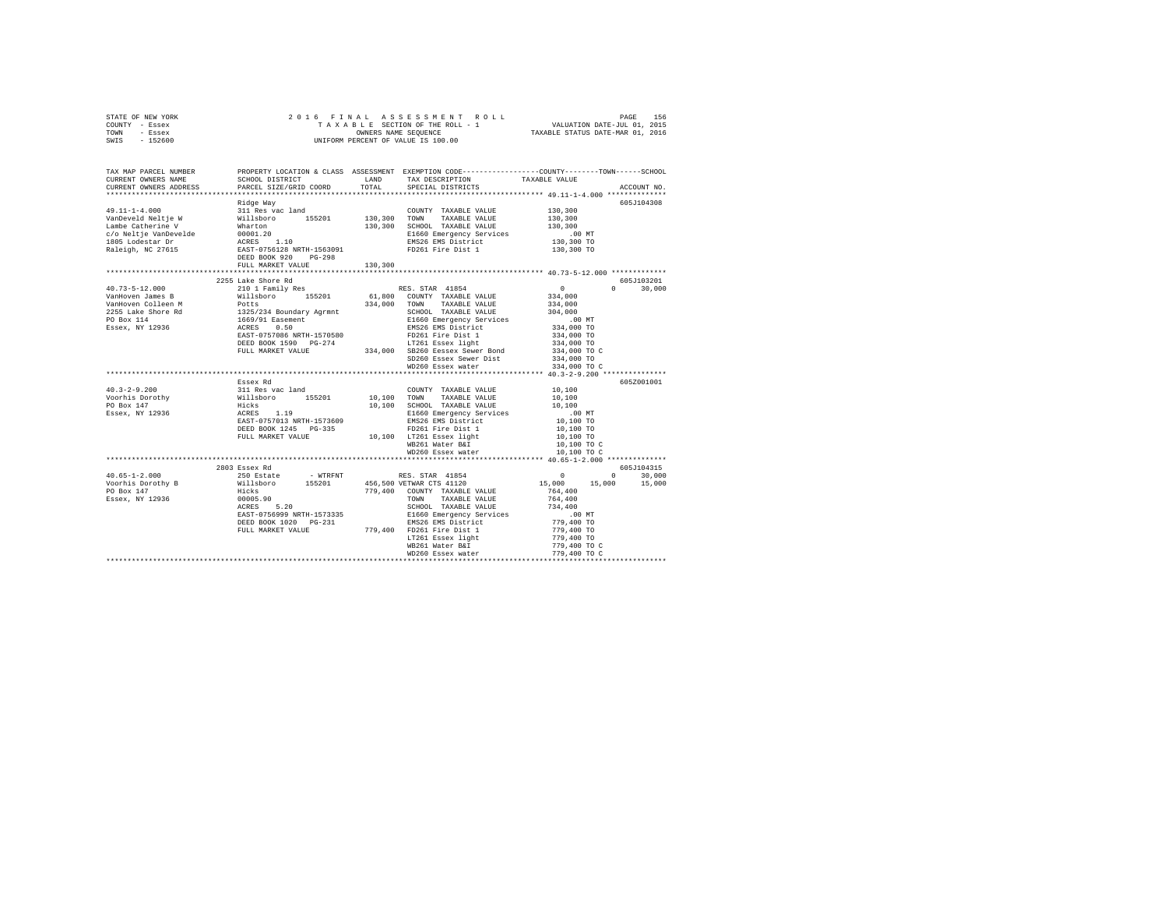| STATE OF NEW YORK<br>COUNTY - Essex<br>TOWN - Essex<br>SWIS - 152600                                                                                                                                                                                                                                                                                                                                                                        |                           |                                                                                                                                                                                                                                                                                                                                                                                                                                                                                              |                          |                            |
|---------------------------------------------------------------------------------------------------------------------------------------------------------------------------------------------------------------------------------------------------------------------------------------------------------------------------------------------------------------------------------------------------------------------------------------------|---------------------------|----------------------------------------------------------------------------------------------------------------------------------------------------------------------------------------------------------------------------------------------------------------------------------------------------------------------------------------------------------------------------------------------------------------------------------------------------------------------------------------------|--------------------------|----------------------------|
| TAX MAP PARCEL NUMBER PROPERTY LOCATION & CLASS ASSESSMENT EXEMPTION CODE---------------COUNTY-------TOWN------SCHOOL<br>CURRENT OWNERS NAME                                                                                                                                                                                                                                                                                                |                           | ${\tt SCHOOL\ DISTRICT}\qquad\qquad {\tt LAND}\qquad\qquad {\tt TAX\ DESCRIPTION}\qquad\qquad {\tt TAXABLE\ VALUE}\qquad\qquad {\tt PARCH\ SPECTAL\ DISTRICTS}\qquad\qquad {\tt TAXABLE\ VALUE}\qquad\qquad {\tt TAXBLE\ VALUE}\qquad\qquad {\tt TAXBCE}\qquad\qquad {\tt TAXBCE}\qquad\qquad {\tt TAXBCE}\qquad\qquad {\tt TAXBCE}\qquad\qquad {\tt TAXBCE}\qquad\qquad {\tt TAXBCE}\qquad\qquad {\tt TAXBCE}\qquad\qquad {\tt TAXBCE}\qquad\qquad {\tt TAXBCE}\qquad\qquad {\tt TAXBCE}\q$ |                          |                            |
| CURRENT OWNERS ADDRESS                                                                                                                                                                                                                                                                                                                                                                                                                      |                           |                                                                                                                                                                                                                                                                                                                                                                                                                                                                                              |                          | ACCOUNT NO.                |
|                                                                                                                                                                                                                                                                                                                                                                                                                                             |                           |                                                                                                                                                                                                                                                                                                                                                                                                                                                                                              |                          |                            |
|                                                                                                                                                                                                                                                                                                                                                                                                                                             |                           |                                                                                                                                                                                                                                                                                                                                                                                                                                                                                              |                          | 605J104308                 |
|                                                                                                                                                                                                                                                                                                                                                                                                                                             |                           |                                                                                                                                                                                                                                                                                                                                                                                                                                                                                              | 130,300                  |                            |
|                                                                                                                                                                                                                                                                                                                                                                                                                                             |                           |                                                                                                                                                                                                                                                                                                                                                                                                                                                                                              | $130,300$<br>$130,300$   |                            |
|                                                                                                                                                                                                                                                                                                                                                                                                                                             |                           |                                                                                                                                                                                                                                                                                                                                                                                                                                                                                              | .00 MT                   |                            |
|                                                                                                                                                                                                                                                                                                                                                                                                                                             |                           |                                                                                                                                                                                                                                                                                                                                                                                                                                                                                              |                          |                            |
|                                                                                                                                                                                                                                                                                                                                                                                                                                             |                           |                                                                                                                                                                                                                                                                                                                                                                                                                                                                                              | 130,300 TO<br>130,300 TO |                            |
|                                                                                                                                                                                                                                                                                                                                                                                                                                             |                           |                                                                                                                                                                                                                                                                                                                                                                                                                                                                                              |                          |                            |
|                                                                                                                                                                                                                                                                                                                                                                                                                                             | FULL MARKET VALUE 130,300 |                                                                                                                                                                                                                                                                                                                                                                                                                                                                                              |                          |                            |
|                                                                                                                                                                                                                                                                                                                                                                                                                                             |                           |                                                                                                                                                                                                                                                                                                                                                                                                                                                                                              |                          |                            |
|                                                                                                                                                                                                                                                                                                                                                                                                                                             | 2255 Lake Shore Rd        |                                                                                                                                                                                                                                                                                                                                                                                                                                                                                              |                          | 605J103201<br>$0 \t30.000$ |
|                                                                                                                                                                                                                                                                                                                                                                                                                                             |                           |                                                                                                                                                                                                                                                                                                                                                                                                                                                                                              |                          |                            |
|                                                                                                                                                                                                                                                                                                                                                                                                                                             |                           |                                                                                                                                                                                                                                                                                                                                                                                                                                                                                              |                          |                            |
|                                                                                                                                                                                                                                                                                                                                                                                                                                             |                           |                                                                                                                                                                                                                                                                                                                                                                                                                                                                                              |                          |                            |
|                                                                                                                                                                                                                                                                                                                                                                                                                                             |                           |                                                                                                                                                                                                                                                                                                                                                                                                                                                                                              |                          |                            |
|                                                                                                                                                                                                                                                                                                                                                                                                                                             |                           |                                                                                                                                                                                                                                                                                                                                                                                                                                                                                              |                          |                            |
|                                                                                                                                                                                                                                                                                                                                                                                                                                             |                           |                                                                                                                                                                                                                                                                                                                                                                                                                                                                                              |                          |                            |
|                                                                                                                                                                                                                                                                                                                                                                                                                                             |                           |                                                                                                                                                                                                                                                                                                                                                                                                                                                                                              |                          |                            |
| $\begin{tabular}{l c c c c c} \multicolumn{3}{c}{\textbf{40.73--5--12.000}} & \multicolumn{3}{c}{2255~\text{Lake Shore }\text{Rd}} & \multicolumn{3}{c}{255~\text{Lake Shore }\text{Rd}} & \multicolumn{3}{c}{255~\text{Lake Shore }\text{Rd}} & \multicolumn{3}{c}{255~\text{Lake Shore }\text{Millis} & \multicolumn{3}{c}{0}} & \multicolumn{3}{c}{0} & \multicolumn{3}{c}{0} & \multicolumn{3}{c}{0} & \multicolumn{3}{c}{0} & \multic$ |                           |                                                                                                                                                                                                                                                                                                                                                                                                                                                                                              |                          |                            |
|                                                                                                                                                                                                                                                                                                                                                                                                                                             |                           | WD260 Essex water                                                                                                                                                                                                                                                                                                                                                                                                                                                                            | 334,000 TO C             |                            |
|                                                                                                                                                                                                                                                                                                                                                                                                                                             |                           |                                                                                                                                                                                                                                                                                                                                                                                                                                                                                              |                          |                            |
|                                                                                                                                                                                                                                                                                                                                                                                                                                             |                           |                                                                                                                                                                                                                                                                                                                                                                                                                                                                                              |                          | 605Z001001                 |
|                                                                                                                                                                                                                                                                                                                                                                                                                                             |                           |                                                                                                                                                                                                                                                                                                                                                                                                                                                                                              |                          |                            |
|                                                                                                                                                                                                                                                                                                                                                                                                                                             |                           |                                                                                                                                                                                                                                                                                                                                                                                                                                                                                              |                          |                            |
|                                                                                                                                                                                                                                                                                                                                                                                                                                             |                           |                                                                                                                                                                                                                                                                                                                                                                                                                                                                                              |                          |                            |
|                                                                                                                                                                                                                                                                                                                                                                                                                                             |                           |                                                                                                                                                                                                                                                                                                                                                                                                                                                                                              |                          |                            |
|                                                                                                                                                                                                                                                                                                                                                                                                                                             |                           |                                                                                                                                                                                                                                                                                                                                                                                                                                                                                              |                          |                            |
|                                                                                                                                                                                                                                                                                                                                                                                                                                             |                           |                                                                                                                                                                                                                                                                                                                                                                                                                                                                                              |                          |                            |
|                                                                                                                                                                                                                                                                                                                                                                                                                                             |                           |                                                                                                                                                                                                                                                                                                                                                                                                                                                                                              |                          |                            |
|                                                                                                                                                                                                                                                                                                                                                                                                                                             |                           |                                                                                                                                                                                                                                                                                                                                                                                                                                                                                              |                          |                            |
|                                                                                                                                                                                                                                                                                                                                                                                                                                             |                           |                                                                                                                                                                                                                                                                                                                                                                                                                                                                                              |                          |                            |
|                                                                                                                                                                                                                                                                                                                                                                                                                                             |                           |                                                                                                                                                                                                                                                                                                                                                                                                                                                                                              |                          |                            |
|                                                                                                                                                                                                                                                                                                                                                                                                                                             |                           |                                                                                                                                                                                                                                                                                                                                                                                                                                                                                              |                          |                            |
|                                                                                                                                                                                                                                                                                                                                                                                                                                             |                           |                                                                                                                                                                                                                                                                                                                                                                                                                                                                                              |                          |                            |
|                                                                                                                                                                                                                                                                                                                                                                                                                                             |                           |                                                                                                                                                                                                                                                                                                                                                                                                                                                                                              |                          |                            |
|                                                                                                                                                                                                                                                                                                                                                                                                                                             |                           |                                                                                                                                                                                                                                                                                                                                                                                                                                                                                              |                          |                            |
|                                                                                                                                                                                                                                                                                                                                                                                                                                             |                           |                                                                                                                                                                                                                                                                                                                                                                                                                                                                                              |                          |                            |
|                                                                                                                                                                                                                                                                                                                                                                                                                                             |                           |                                                                                                                                                                                                                                                                                                                                                                                                                                                                                              |                          |                            |
|                                                                                                                                                                                                                                                                                                                                                                                                                                             |                           |                                                                                                                                                                                                                                                                                                                                                                                                                                                                                              |                          |                            |
|                                                                                                                                                                                                                                                                                                                                                                                                                                             |                           |                                                                                                                                                                                                                                                                                                                                                                                                                                                                                              |                          |                            |
|                                                                                                                                                                                                                                                                                                                                                                                                                                             |                           |                                                                                                                                                                                                                                                                                                                                                                                                                                                                                              |                          |                            |
|                                                                                                                                                                                                                                                                                                                                                                                                                                             |                           |                                                                                                                                                                                                                                                                                                                                                                                                                                                                                              |                          |                            |
|                                                                                                                                                                                                                                                                                                                                                                                                                                             |                           |                                                                                                                                                                                                                                                                                                                                                                                                                                                                                              |                          |                            |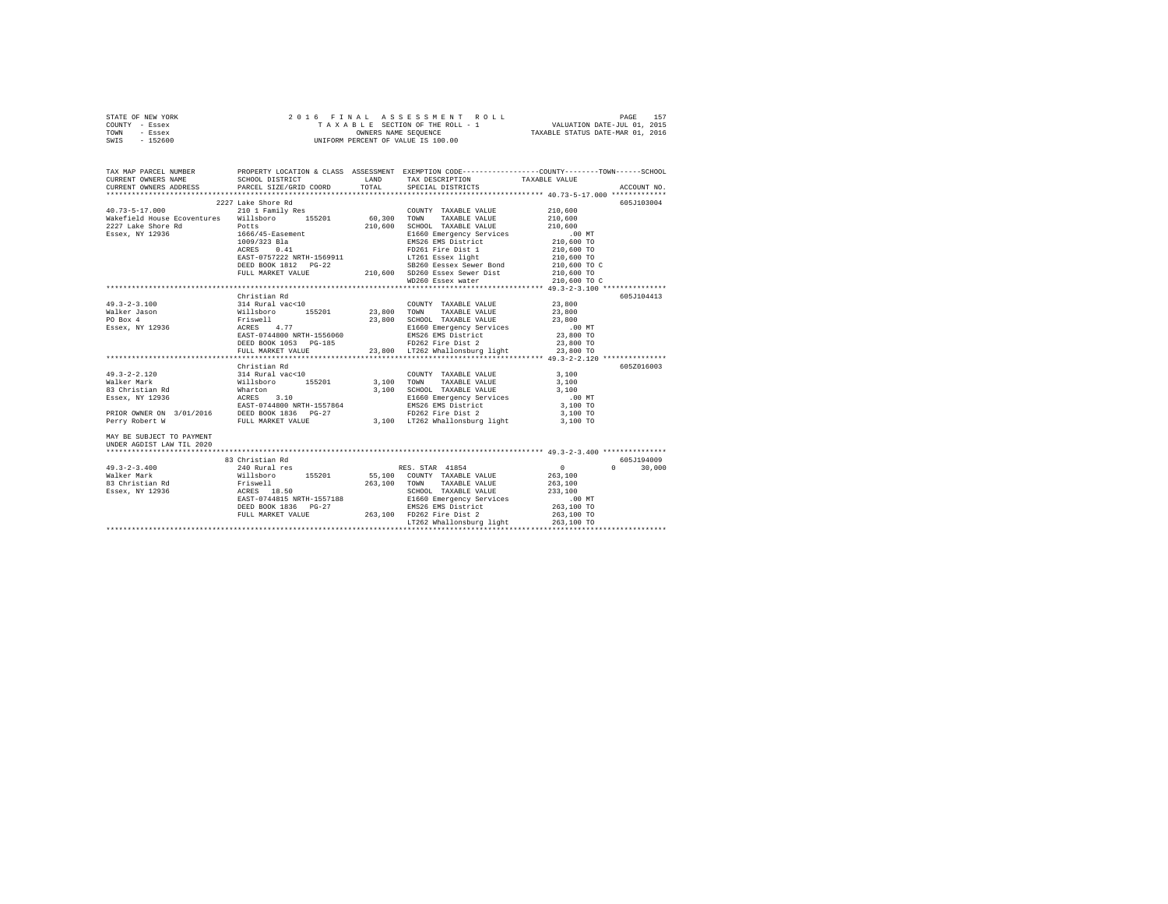| STATE OF NEW YORK | 2016 FINAL ASSESSMENT ROLL         | 157<br>PAGE                      |
|-------------------|------------------------------------|----------------------------------|
| COUNTY - Essex    | TAXABLE SECTION OF THE ROLL - 1    | VALUATION DATE-JUL 01, 2015      |
| TOWN<br>- Essex   | OWNERS NAME SEOUENCE               | TAXABLE STATUS DATE-MAR 01, 2016 |
| $-152600$<br>SWIS | UNIFORM PERCENT OF VALUE IS 100.00 |                                  |

| TAX MAP PARCEL NUMBER PROPERTY LOCATION & CLASS ASSESSMENT EXEMPTION CODE--------------COUNTY-------TOWN------SCHOOL                                                                                                               |                                                                                                                                                                                                                                          |  |              |             |
|------------------------------------------------------------------------------------------------------------------------------------------------------------------------------------------------------------------------------------|------------------------------------------------------------------------------------------------------------------------------------------------------------------------------------------------------------------------------------------|--|--------------|-------------|
| CURRENT OWNERS NAME SCHOOL DISTRICT LAND TAX DESCRIPTION TAXABLE VALUE<br>CURRENT OWNERS ADDRESS PARCEL SIZE/GRID COORD TOTAL SPECIAL DISTRICTS                                                                                    |                                                                                                                                                                                                                                          |  |              |             |
|                                                                                                                                                                                                                                    |                                                                                                                                                                                                                                          |  |              | ACCOUNT NO. |
| 1973-5-17.000 2227 Lake Shore Rd COUNTY TAXABLE VALUE 210,600<br>Waltefield Rouse Ecoventures Williabor 210 1 Family Res COUNTY TAXABLE VALUE 210,600<br>Waltefield Rouse Ecoventures Williabor 210,600 TOWN TAXABLE VALUE 210,600 |                                                                                                                                                                                                                                          |  |              | 605J103004  |
|                                                                                                                                                                                                                                    |                                                                                                                                                                                                                                          |  |              |             |
|                                                                                                                                                                                                                                    |                                                                                                                                                                                                                                          |  |              |             |
|                                                                                                                                                                                                                                    |                                                                                                                                                                                                                                          |  |              |             |
|                                                                                                                                                                                                                                    |                                                                                                                                                                                                                                          |  |              |             |
|                                                                                                                                                                                                                                    |                                                                                                                                                                                                                                          |  |              |             |
|                                                                                                                                                                                                                                    |                                                                                                                                                                                                                                          |  |              |             |
|                                                                                                                                                                                                                                    |                                                                                                                                                                                                                                          |  |              |             |
|                                                                                                                                                                                                                                    |                                                                                                                                                                                                                                          |  | 210,600 TO C |             |
|                                                                                                                                                                                                                                    |                                                                                                                                                                                                                                          |  |              |             |
|                                                                                                                                                                                                                                    |                                                                                                                                                                                                                                          |  | 210,600 TO C |             |
|                                                                                                                                                                                                                                    |                                                                                                                                                                                                                                          |  |              |             |
|                                                                                                                                                                                                                                    | Christian Rd                                                                                                                                                                                                                             |  |              | 605J104413  |
| $49.3 - 2 - 3.100$                                                                                                                                                                                                                 | COUNTY TAXABLE VALUE 23,800<br>314 Rural vac<10 23,800 TOWN TAXABLE VALUE 23,800<br>314 Rural vac<10 23,800 TOWN TAXABLE VALUE 23,800<br>Friewell 23,800 SCROOL TAXABLE VALUE 23,800 TOWN<br>ACRES 4.77<br>EXERT-0744800 NETH-1556060 EM |  |              |             |
| Walker Jason                                                                                                                                                                                                                       |                                                                                                                                                                                                                                          |  |              |             |
|                                                                                                                                                                                                                                    |                                                                                                                                                                                                                                          |  |              |             |
| PO Box 4<br>Essex, NY 12936                                                                                                                                                                                                        |                                                                                                                                                                                                                                          |  |              |             |
|                                                                                                                                                                                                                                    |                                                                                                                                                                                                                                          |  |              |             |
|                                                                                                                                                                                                                                    |                                                                                                                                                                                                                                          |  |              |             |
|                                                                                                                                                                                                                                    |                                                                                                                                                                                                                                          |  |              |             |
|                                                                                                                                                                                                                                    |                                                                                                                                                                                                                                          |  |              |             |
|                                                                                                                                                                                                                                    | Christian Rd                                                                                                                                                                                                                             |  |              | 605Z016003  |
|                                                                                                                                                                                                                                    |                                                                                                                                                                                                                                          |  |              |             |
|                                                                                                                                                                                                                                    |                                                                                                                                                                                                                                          |  |              |             |
|                                                                                                                                                                                                                                    |                                                                                                                                                                                                                                          |  |              |             |
|                                                                                                                                                                                                                                    |                                                                                                                                                                                                                                          |  |              |             |
|                                                                                                                                                                                                                                    |                                                                                                                                                                                                                                          |  |              |             |
|                                                                                                                                                                                                                                    |                                                                                                                                                                                                                                          |  |              |             |
|                                                                                                                                                                                                                                    |                                                                                                                                                                                                                                          |  |              |             |
| MAY BE SUBJECT TO PAYMENT                                                                                                                                                                                                          |                                                                                                                                                                                                                                          |  |              |             |
| UNDER AGDIST LAW TIL 2020                                                                                                                                                                                                          |                                                                                                                                                                                                                                          |  |              |             |
|                                                                                                                                                                                                                                    |                                                                                                                                                                                                                                          |  |              |             |
|                                                                                                                                                                                                                                    | 83 Christian Rd                                                                                                                                                                                                                          |  |              | 605J194009  |
|                                                                                                                                                                                                                                    |                                                                                                                                                                                                                                          |  |              |             |
|                                                                                                                                                                                                                                    |                                                                                                                                                                                                                                          |  |              |             |
|                                                                                                                                                                                                                                    |                                                                                                                                                                                                                                          |  |              |             |
|                                                                                                                                                                                                                                    |                                                                                                                                                                                                                                          |  |              |             |
|                                                                                                                                                                                                                                    |                                                                                                                                                                                                                                          |  |              |             |
|                                                                                                                                                                                                                                    |                                                                                                                                                                                                                                          |  |              |             |
|                                                                                                                                                                                                                                    |                                                                                                                                                                                                                                          |  |              |             |
|                                                                                                                                                                                                                                    |                                                                                                                                                                                                                                          |  |              |             |
|                                                                                                                                                                                                                                    |                                                                                                                                                                                                                                          |  |              |             |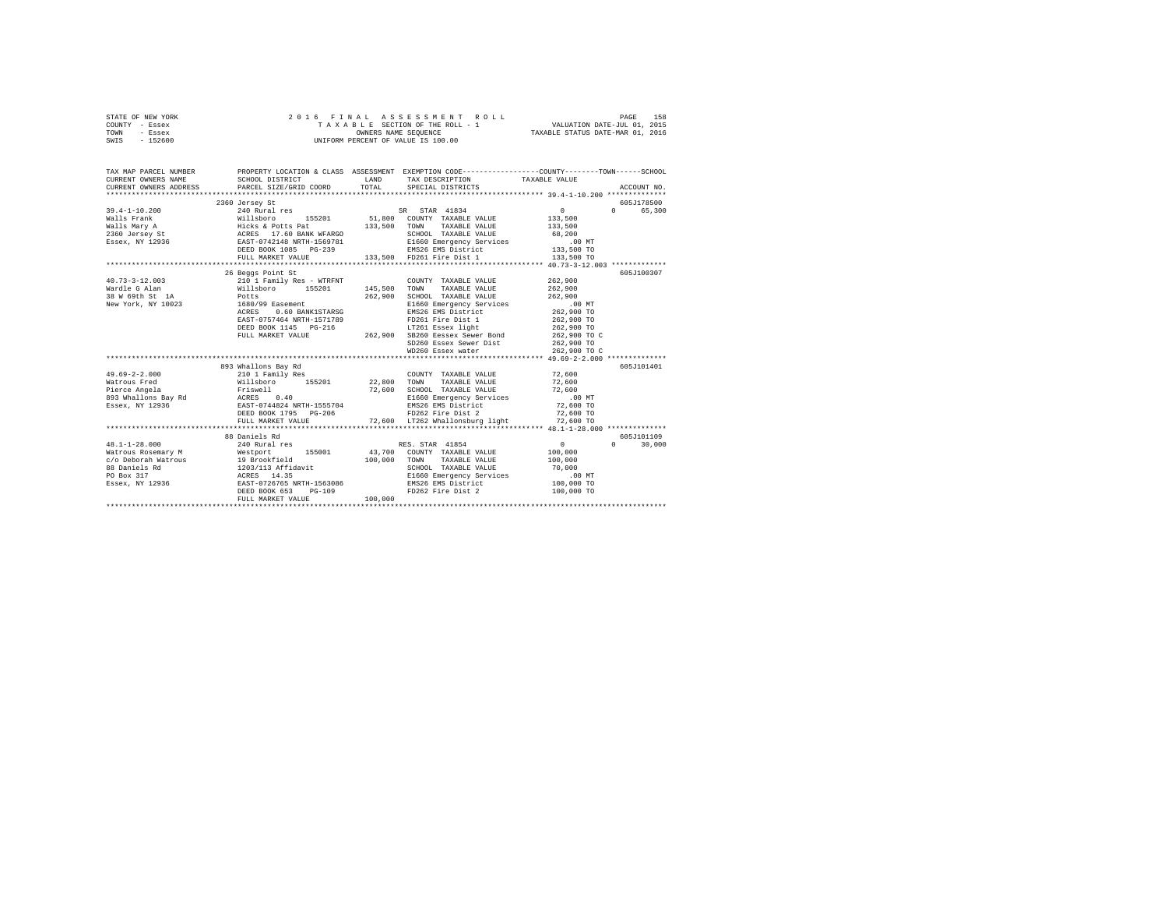| STATE OF NEW YORK | 2016 FINAL ASSESSMENT ROLL         | 158<br>PAGE                      |
|-------------------|------------------------------------|----------------------------------|
| COUNTY - Essex    | TAXABLE SECTION OF THE ROLL - 1    | VALUATION DATE-JUL 01, 2015      |
| TOWN<br>- Essex   | OWNERS NAME SEOUENCE               | TAXABLE STATUS DATE-MAR 01, 2016 |
| $-152600$<br>SWIS | UNIFORM PERCENT OF VALUE IS 100.00 |                                  |

| TAX MAP PARCEL NUMBER<br>CURRENT OWNERS NAME<br>CURRENT OWNERS ADDRESS FORCEL SIZE/GRID COORD TOTAL SPECIAL DISTRICTS                                                                                                                                                                                                                                                                              | SCHOOL DISTRICT                                                                                                                                                                                                                            | LAND    | PROPERTY LOCATION & CLASS ASSESSMENT EXEMPTION CODE----------------COUNTY-------TOWN-----SCHOOL<br>TAX DESCRIPTION TAXABLE VALUE                           |                    | ACCOUNT NO.                               |
|----------------------------------------------------------------------------------------------------------------------------------------------------------------------------------------------------------------------------------------------------------------------------------------------------------------------------------------------------------------------------------------------------|--------------------------------------------------------------------------------------------------------------------------------------------------------------------------------------------------------------------------------------------|---------|------------------------------------------------------------------------------------------------------------------------------------------------------------|--------------------|-------------------------------------------|
|                                                                                                                                                                                                                                                                                                                                                                                                    | 2360 Jersey St                                                                                                                                                                                                                             |         |                                                                                                                                                            |                    | 605J178500<br>0 65,300                    |
| $\begin{array}{cccccccc} 40.73 - 3 - 12.003 & 210^\circ & 1 & \text{Family Res - WTRFNT} & \text{COUNTY TAXABLE VALUE} & 262,900 \\ \text{Wardle G Alan} & \text{Willisboro} & 155201 & 145,500 & \text{TONNT Y TAXABLE VALUE} & 262,900 \end{array}$<br>Wardle G Alan<br>38 W 69th St 1A Potts Potts (1680/99 Easement Mew York, NY 10023 1680/99 Easement (171789)<br>ACRES (1600 POTT-1171789 ) | 26 Beggs Point St<br>262,900 TO 1145 PG-216<br>DEED BOOK 1145 PG-216<br>PULL MARKET VALUE<br>262,900 SB260 Resex Sewer Bond<br>262,900 SB260 Resex Sewer Dist<br>262,900 TO 8260 RSex water<br>262,900 TO 262,900 TO 262,900 TO 262,900 TO |         | 262,900 SCHOOL TAXABLE VALUE<br>E1660 Emergency Services .00 MT<br>EMS26 EMS District 262,900 TO<br>EAST-0757464 NRTH-1571789 PD261 Fire Dist 1 262,900 TO | 262,900<br>262,900 | 605J100307                                |
|                                                                                                                                                                                                                                                                                                                                                                                                    |                                                                                                                                                                                                                                            |         |                                                                                                                                                            |                    | 605J101401                                |
| $48.1 - 1 - 28.000$                                                                                                                                                                                                                                                                                                                                                                                | 88 Daniels Rd<br>FULL MARKET VALUE                                                                                                                                                                                                         | 100,000 | 240 Rural res 60 RES. STAR 41854 (0)                                                                                                                       |                    | 605J101109<br>$0 \qquad \qquad$<br>30,000 |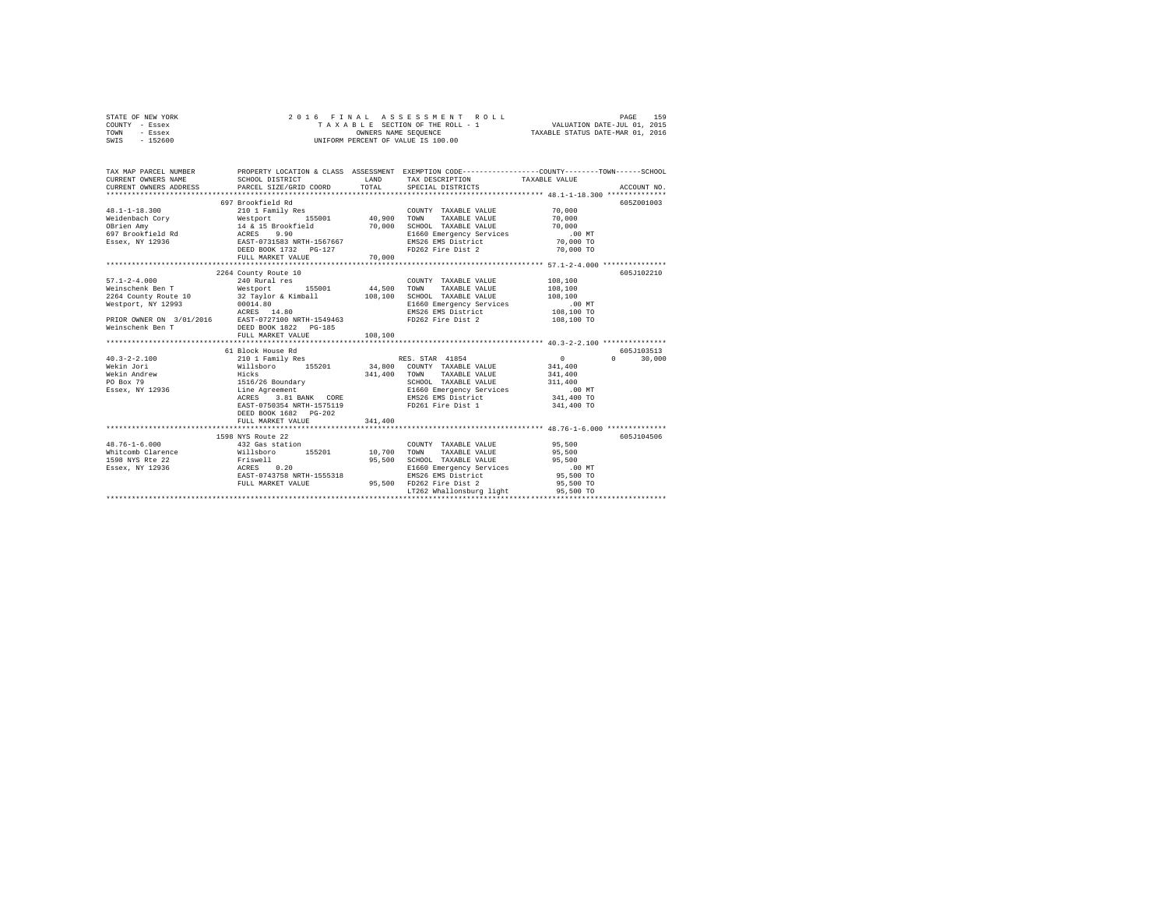| STATE OF NEW YORK |  |  | 2016 FINAL ASSESSMENT ROLL         |                                  | PAGE | 159 |
|-------------------|--|--|------------------------------------|----------------------------------|------|-----|
| COUNTY - Essex    |  |  | TAXABLE SECTION OF THE ROLL - 1    | VALUATION DATE-JUL 01, 2015      |      |     |
| TOWN<br>- Essex   |  |  | OWNERS NAME SEOUENCE               | TAXABLE STATUS DATE-MAR 01, 2016 |      |     |
| - 152600<br>SWIS  |  |  | UNIFORM PERCENT OF VALUE IS 100.00 |                                  |      |     |

| TAX MAP PARCEL NUMBER<br>CURRENT OWNERS NAME<br>CURRENT OWNERS NAME SCHOOL DISTRICT COORD CURRENT OWNERS ADDRESS PARCEL SIZE/GRID COORD | SCHOOL DISTRICT                                     | <b>T.AND</b> | TAX DESCRIPTION TAXABLE VALUE<br>TOTAL SPECIAL DISTRICTS                                         | PROPERTY LOCATION & CLASS ASSESSMENT EXEMPTION CODE----------------COUNTY-------TOWN-----SCHOOL |
|-----------------------------------------------------------------------------------------------------------------------------------------|-----------------------------------------------------|--------------|--------------------------------------------------------------------------------------------------|-------------------------------------------------------------------------------------------------|
|                                                                                                                                         |                                                     |              |                                                                                                  |                                                                                                 |
|                                                                                                                                         | 697 Brookfield Rd                                   |              |                                                                                                  | 605Z001003                                                                                      |
|                                                                                                                                         |                                                     |              | COUNTY TAXABLE VALUE                                                                             | 70,000                                                                                          |
|                                                                                                                                         |                                                     |              |                                                                                                  | 70,000                                                                                          |
|                                                                                                                                         |                                                     |              | SCHOOL TAXABLE VALUE 70,000                                                                      |                                                                                                 |
|                                                                                                                                         |                                                     |              | E1660 Emergency Services .00 MT<br>EMS26 EMS District 2000 TO<br>FD262 Fire Dist 2 70,000 TO     |                                                                                                 |
|                                                                                                                                         |                                                     |              |                                                                                                  |                                                                                                 |
|                                                                                                                                         |                                                     |              |                                                                                                  | 70,000 TO                                                                                       |
|                                                                                                                                         | FULL MARKET VALUE                                   | 70,000       |                                                                                                  |                                                                                                 |
|                                                                                                                                         |                                                     |              |                                                                                                  |                                                                                                 |
|                                                                                                                                         | 2264 County Route 10                                |              |                                                                                                  | 605J102210                                                                                      |
| $57.1 - 2 - 4.000$                                                                                                                      | 240 Rural res                                       |              | COUNTY TAXABLE VALUE                                                                             | 108,100                                                                                         |
| Weinschenk Ben T Westport                                                                                                               | 155001 44,500                                       |              | TOWN<br>TAXABLE VALUE                                                                            | 108,100                                                                                         |
| 2264 County Route 10 $32$ Taylor & Kimball $108,100$<br>Westport, NY 12993 $00014.80$                                                   |                                                     |              |                                                                                                  |                                                                                                 |
|                                                                                                                                         |                                                     |              | SCHOOL TAXABLE VALUE 108,100<br>E1660 Emergency Services .00 MT<br>EMS26 EMS District 108,100 TO |                                                                                                 |
|                                                                                                                                         |                                                     |              |                                                                                                  |                                                                                                 |
|                                                                                                                                         |                                                     |              | FD262 Fire Dist 2 108,100 TO                                                                     |                                                                                                 |
|                                                                                                                                         |                                                     |              |                                                                                                  |                                                                                                 |
|                                                                                                                                         | FULL MARKET VALUE                                   | 108,100      |                                                                                                  |                                                                                                 |
|                                                                                                                                         |                                                     |              |                                                                                                  |                                                                                                 |
|                                                                                                                                         | 61 Block House Rd                                   |              |                                                                                                  | 605J103513                                                                                      |
| $40.3 - 2 - 2.100$                                                                                                                      |                                                     |              |                                                                                                  | $\sim$ 0<br>$\Omega$<br>30,000                                                                  |
| Wekin Jori                                                                                                                              | Willsboro 155201 34,800 COUNTY TAXABLE VALUE        |              |                                                                                                  | 341,400                                                                                         |
| Wekin Andrew                                                                                                                            |                                                     |              | 341.400 TOWN TAXABLE VALUE 341.400                                                               |                                                                                                 |
| PO Box 79<br>Essex, NY 12936                                                                                                            |                                                     |              |                                                                                                  |                                                                                                 |
|                                                                                                                                         | Hicks<br>1516/26 Boundary<br>Line Agreement         |              | SCHOOL TAXABLE VALUE 311,400<br>E1660 Emergency Services .00 MT<br>EMS26 EMS District 341,400 TO |                                                                                                 |
|                                                                                                                                         | 3.81 BANK CORE<br>ACRES                             |              |                                                                                                  |                                                                                                 |
|                                                                                                                                         | EAST-0750354 NRTH-1575119                           |              | FD261 Fire Dist 1 341,400 TO                                                                     |                                                                                                 |
|                                                                                                                                         | DEED BOOK 1682 PG-202                               |              |                                                                                                  |                                                                                                 |
|                                                                                                                                         | FULL MARKET VALUE                                   | 341,400      |                                                                                                  |                                                                                                 |
|                                                                                                                                         |                                                     |              |                                                                                                  |                                                                                                 |
|                                                                                                                                         | 1598 NYS Route 22                                   |              |                                                                                                  | 605J104506                                                                                      |
| $48.76 - 1 - 6.000$                                                                                                                     | 432 Gas station                                     |              | COUNTY TAXABLE VALUE                                                                             | 95,500                                                                                          |
| whiteomb Clarence Millsboro 155201 10,700 TOWN TAXABLE VALUE                                                                            |                                                     |              |                                                                                                  | 95,500                                                                                          |
| 1598 NYS Rte 22                                                                                                                         |                                                     | 95,500       | SCHOOL TAXABLE VALUE                                                                             | 95,500                                                                                          |
| Essex, NY 12936                                                                                                                         |                                                     |              | E1660 Emergency Services                                                                         | $.00$ MT                                                                                        |
|                                                                                                                                         | Friswell<br>ACRES 0.20<br>EAST-0743758 NRTH-1555318 |              | EMS26 EMS District                                                                               | 95,500 TO                                                                                       |
|                                                                                                                                         | FULL MARKET VALUE                                   |              | 95,500 FD262 Fire Dist 2                                                                         | 95,500 TO                                                                                       |
|                                                                                                                                         |                                                     |              | LT262 Whallonsburg light                                                                         | 95,500 TO                                                                                       |
|                                                                                                                                         |                                                     |              |                                                                                                  |                                                                                                 |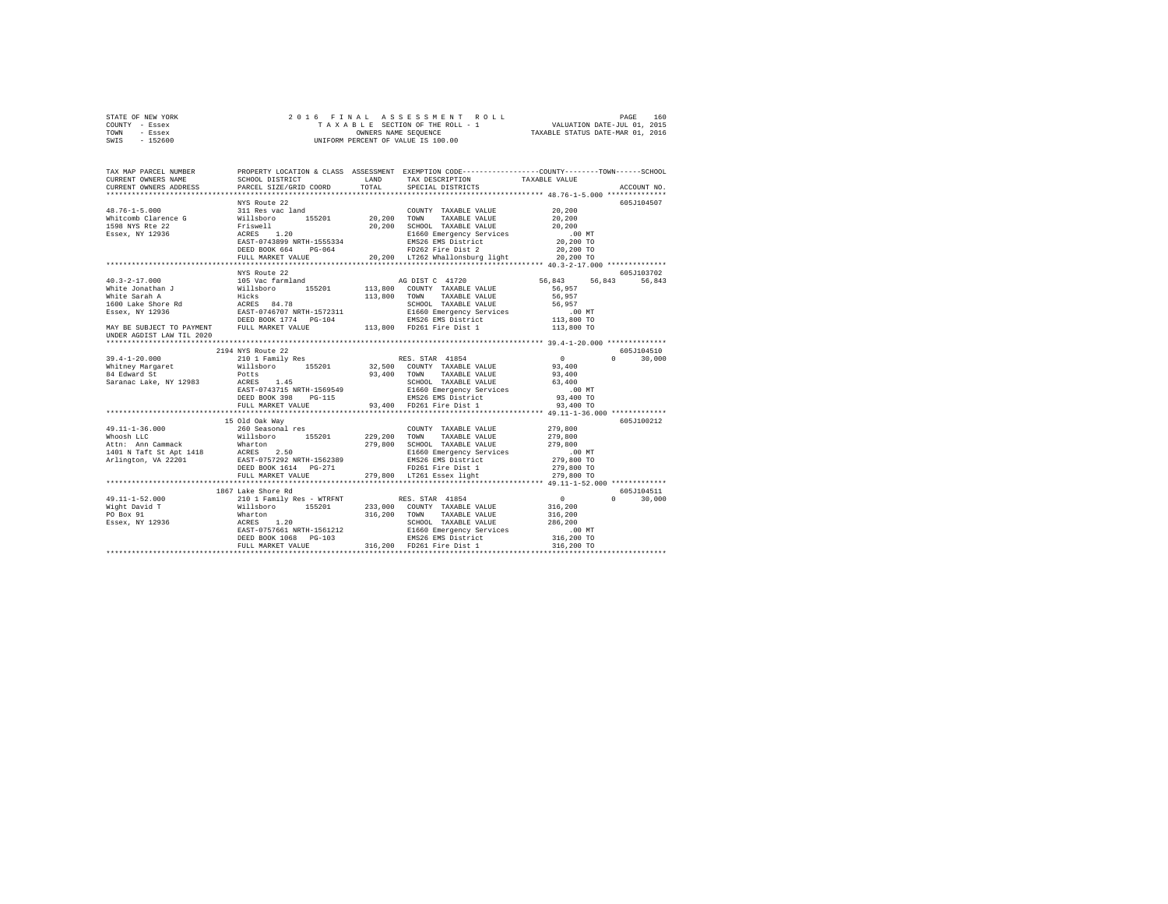| STATE OF NEW YORK | 2016 FINAL ASSESSMENT ROLL         | 160<br>PAGE                      |
|-------------------|------------------------------------|----------------------------------|
| COUNTY - Essex    | TAXABLE SECTION OF THE ROLL - 1    | VALUATION DATE-JUL 01, 2015      |
| TOWN<br>- Essex   | OWNERS NAME SEOUENCE               | TAXABLE STATUS DATE-MAR 01, 2016 |
| $-152600$<br>SWIS | UNIFORM PERCENT OF VALUE IS 100.00 |                                  |

| TAX MAP PARCEL NUMBER<br>CURRENT OWNERS NAME<br>CURRENT OWNERS ADDRESS | SCHOOL DISTRICT<br>PARCEL SIZE/GRID COORD                                                                                                                                                                                                                                                                                                        | TOTAL | LAND TAX DESCRIPTION<br>SPECIAL DISTRICTS                       | PROPERTY LOCATION & CLASS ASSESSMENT EXEMPTION CODE---------------COUNTY-------TOWN-----SCHOOL<br>TAXABLE VALUE | ACCOUNT NO.   |
|------------------------------------------------------------------------|--------------------------------------------------------------------------------------------------------------------------------------------------------------------------------------------------------------------------------------------------------------------------------------------------------------------------------------------------|-------|-----------------------------------------------------------------|-----------------------------------------------------------------------------------------------------------------|---------------|
|                                                                        |                                                                                                                                                                                                                                                                                                                                                  |       |                                                                 |                                                                                                                 |               |
|                                                                        | NYS Route 22                                                                                                                                                                                                                                                                                                                                     |       |                                                                 |                                                                                                                 | 605J104507    |
|                                                                        | 48.76-1-5.000 MYS Route 22<br>49.76-1-5.000 Millsboro 155201 COUNTY TAXABLE VALUE 20,200<br>Whitcomb Clarence G Willsboro 155201 20,200 TOWN TAXABLE VALUE 20,200<br>1598 NYS Ree 22 Friswell 20,200 SCHOOL TAXABLE VALUE<br>ESSEX, NY                                                                                                           |       |                                                                 |                                                                                                                 |               |
|                                                                        |                                                                                                                                                                                                                                                                                                                                                  |       |                                                                 |                                                                                                                 |               |
|                                                                        |                                                                                                                                                                                                                                                                                                                                                  |       |                                                                 |                                                                                                                 |               |
|                                                                        |                                                                                                                                                                                                                                                                                                                                                  |       |                                                                 |                                                                                                                 |               |
|                                                                        |                                                                                                                                                                                                                                                                                                                                                  |       |                                                                 |                                                                                                                 |               |
|                                                                        |                                                                                                                                                                                                                                                                                                                                                  |       |                                                                 |                                                                                                                 |               |
|                                                                        | ACRES 1.20<br>ELEGIO Emergency Services 2.00 NT<br>ELEGIO Emergency Services 20,200 TO<br>ELEGIO Emergency Services 20,200 TO<br>DEED BOOK 664 PG-064 20,200 LT262 Whallonsburg light 20,200 TO<br>PULL MARKET VALUE 20,200 LT262 Whallo                                                                                                         |       |                                                                 |                                                                                                                 |               |
|                                                                        |                                                                                                                                                                                                                                                                                                                                                  |       |                                                                 |                                                                                                                 |               |
|                                                                        | NYS Route 22                                                                                                                                                                                                                                                                                                                                     |       |                                                                 |                                                                                                                 | 605J103702    |
|                                                                        |                                                                                                                                                                                                                                                                                                                                                  |       |                                                                 | 56,843 56,843                                                                                                   | 56.843        |
|                                                                        |                                                                                                                                                                                                                                                                                                                                                  |       |                                                                 |                                                                                                                 |               |
|                                                                        |                                                                                                                                                                                                                                                                                                                                                  |       |                                                                 |                                                                                                                 |               |
|                                                                        |                                                                                                                                                                                                                                                                                                                                                  |       |                                                                 |                                                                                                                 |               |
|                                                                        |                                                                                                                                                                                                                                                                                                                                                  |       |                                                                 |                                                                                                                 |               |
|                                                                        |                                                                                                                                                                                                                                                                                                                                                  |       |                                                                 |                                                                                                                 |               |
|                                                                        |                                                                                                                                                                                                                                                                                                                                                  |       |                                                                 |                                                                                                                 |               |
| UNDER AGDIST LAW TIL 2020                                              |                                                                                                                                                                                                                                                                                                                                                  |       |                                                                 |                                                                                                                 |               |
|                                                                        | 2194 NYS Route 22                                                                                                                                                                                                                                                                                                                                |       |                                                                 |                                                                                                                 | 605J104510    |
|                                                                        | 2.40 Mhitney Margaret (1994) 4.40 A 2.50 MHz (1994) 2.50 MHz (1994) 2.50 MHz (1994) 2.50 MHz (1994) 2.50 MHz (<br>1948 Margaret (1994) 2.50 MHz (1994) 2.50 MHz (1994) 2.40 MHz (1994) 2.50 MHz (1994) 2.50 MHz (1994) 2.50 MHz<br>                                                                                                              |       |                                                                 | $\sim$ 0 $\sim$                                                                                                 | $0 \t 30,000$ |
|                                                                        |                                                                                                                                                                                                                                                                                                                                                  |       |                                                                 |                                                                                                                 |               |
|                                                                        |                                                                                                                                                                                                                                                                                                                                                  |       |                                                                 |                                                                                                                 |               |
|                                                                        |                                                                                                                                                                                                                                                                                                                                                  |       | SCHOOL TAXABLE VALUE 63,400                                     |                                                                                                                 |               |
|                                                                        | A REAL SALE of Potts<br>194 Edward St Politics 1.45<br>Saranac Lake, NY 12983 RAST-0743715 NRTH-1569549                                                                                                                                                                                                                                          |       |                                                                 |                                                                                                                 |               |
|                                                                        | DEED BOOK 398 PG-115                                                                                                                                                                                                                                                                                                                             |       | E1660 Emergency Services .00 MT<br>EMS26 EMS District 93,400 TO |                                                                                                                 |               |
|                                                                        | FULL MARKET VALUE                                                                                                                                                                                                                                                                                                                                |       | 93,400 FD261 Fire Dist 1                                        | 93,400 TO                                                                                                       |               |
|                                                                        |                                                                                                                                                                                                                                                                                                                                                  |       |                                                                 |                                                                                                                 |               |
|                                                                        | 15 Old Oak Wav                                                                                                                                                                                                                                                                                                                                   |       |                                                                 |                                                                                                                 | 605J100212    |
|                                                                        |                                                                                                                                                                                                                                                                                                                                                  |       |                                                                 |                                                                                                                 |               |
|                                                                        |                                                                                                                                                                                                                                                                                                                                                  |       |                                                                 |                                                                                                                 |               |
|                                                                        |                                                                                                                                                                                                                                                                                                                                                  |       |                                                                 |                                                                                                                 |               |
|                                                                        |                                                                                                                                                                                                                                                                                                                                                  |       |                                                                 |                                                                                                                 |               |
|                                                                        |                                                                                                                                                                                                                                                                                                                                                  |       |                                                                 |                                                                                                                 |               |
|                                                                        |                                                                                                                                                                                                                                                                                                                                                  |       |                                                                 |                                                                                                                 |               |
|                                                                        | للمات المستخدم المستخدم المستخدم المستخدم المستخدم المستخدم المستخدم المستخدم المستخدم المستخدم المستخدم المست<br>279,800 TD36 Basex 11ght (279,800 TD36 Basex 11ght) (279,800 TD36 Arrest 2011) (279,800 TD36 Arrest 2011) (279                                                                                                                 |       |                                                                 |                                                                                                                 |               |
|                                                                        |                                                                                                                                                                                                                                                                                                                                                  |       |                                                                 |                                                                                                                 |               |
|                                                                        | 1867 Lake Shore Rd                                                                                                                                                                                                                                                                                                                               |       |                                                                 |                                                                                                                 | 605J104511    |
|                                                                        |                                                                                                                                                                                                                                                                                                                                                  |       |                                                                 |                                                                                                                 | $0 \t 30,000$ |
|                                                                        |                                                                                                                                                                                                                                                                                                                                                  |       |                                                                 |                                                                                                                 |               |
|                                                                        |                                                                                                                                                                                                                                                                                                                                                  |       |                                                                 |                                                                                                                 |               |
|                                                                        |                                                                                                                                                                                                                                                                                                                                                  |       |                                                                 |                                                                                                                 |               |
|                                                                        |                                                                                                                                                                                                                                                                                                                                                  |       |                                                                 |                                                                                                                 |               |
|                                                                        |                                                                                                                                                                                                                                                                                                                                                  |       |                                                                 |                                                                                                                 |               |
|                                                                        | $\begin{tabular}{cccccc} 49.11-1-52.000 & 1007 LATE & 1007 LATE & 1008 L UP & 1008 L UP & 1008 L UP \\ \hline \text{Mij}h1~D=1001 & 21011 Family Res - WTRFWT & 1008 L UP & 1008 L UP \\ \text{Mij}h1~D=1001 & 1008 L UP & 1008 L UP & 316,200 & 008 L UP \\ \text{Mij}h1~D=1001 & 1008 L UP & 316,200 & 008 L UP \\ \text{E6}g_{\text{EX}} & 1$ |       |                                                                 |                                                                                                                 |               |
|                                                                        |                                                                                                                                                                                                                                                                                                                                                  |       |                                                                 |                                                                                                                 |               |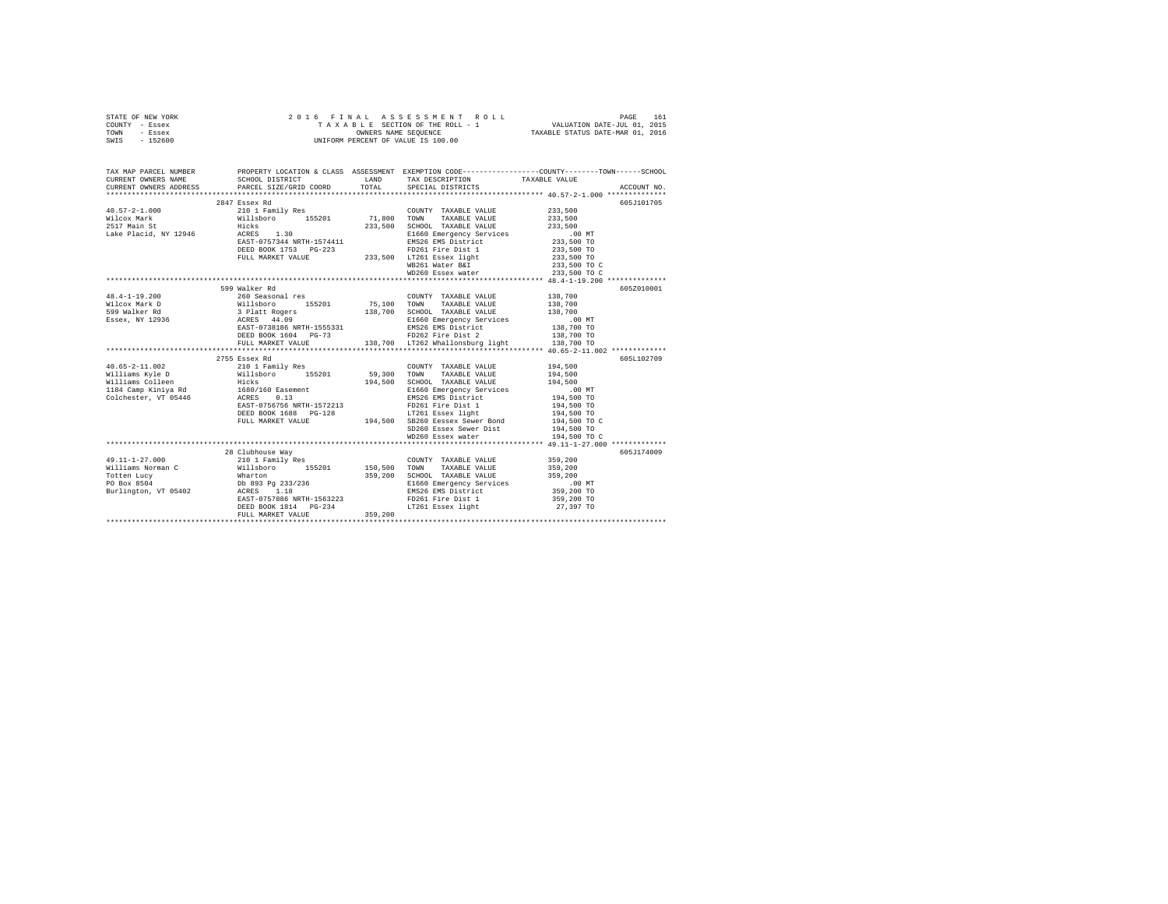| STATE OF NEW YORK |  |  | 2016 FINAL ASSESSMENT ROLL         |                                  | PAGE | 161 |
|-------------------|--|--|------------------------------------|----------------------------------|------|-----|
| COUNTY - Essex    |  |  | TAXABLE SECTION OF THE ROLL - 1    | VALUATION DATE-JUL 01, 2015      |      |     |
| TOWN<br>- Essex   |  |  | OWNERS NAME SEOUENCE               | TAXABLE STATUS DATE-MAR 01, 2016 |      |     |
| $-152600$<br>SWIS |  |  | UNIFORM PERCENT OF VALUE IS 100.00 |                                  |      |     |

| TAX MAP PARCEL NUMBER<br>CURRENT OWNERS NAME | SCHOOL DISTRICT TAND TAX DESCRIPTION                                                                                                                                                                                                     |                                                                                                                                                                                                                                 | PROPERTY LOCATION & CLASS ASSESSMENT EXEMPTION CODE---------------COUNTY-------TOWN------SCHOOL<br>TAXABLE VALUE                                                                                                                        |
|----------------------------------------------|------------------------------------------------------------------------------------------------------------------------------------------------------------------------------------------------------------------------------------------|---------------------------------------------------------------------------------------------------------------------------------------------------------------------------------------------------------------------------------|-----------------------------------------------------------------------------------------------------------------------------------------------------------------------------------------------------------------------------------------|
| CURRENT OWNERS ADDRESS                       |                                                                                                                                                                                                                                          | PARCEL SIZE/GRID COORD TOTAL SPECIAL DISTRICTS                                                                                                                                                                                  | ACCOUNT NO.                                                                                                                                                                                                                             |
|                                              | 2847 Essex Rd                                                                                                                                                                                                                            |                                                                                                                                                                                                                                 | 605J101705                                                                                                                                                                                                                              |
|                                              |                                                                                                                                                                                                                                          |                                                                                                                                                                                                                                 |                                                                                                                                                                                                                                         |
|                                              |                                                                                                                                                                                                                                          |                                                                                                                                                                                                                                 |                                                                                                                                                                                                                                         |
|                                              |                                                                                                                                                                                                                                          |                                                                                                                                                                                                                                 |                                                                                                                                                                                                                                         |
|                                              |                                                                                                                                                                                                                                          |                                                                                                                                                                                                                                 |                                                                                                                                                                                                                                         |
|                                              |                                                                                                                                                                                                                                          |                                                                                                                                                                                                                                 |                                                                                                                                                                                                                                         |
|                                              |                                                                                                                                                                                                                                          |                                                                                                                                                                                                                                 |                                                                                                                                                                                                                                         |
|                                              | DEED BOOK 1753 PG-223 PD261 Fire Dist 1<br>FULL MARKET VALUE 233,500 LT261 ESsex light<br>mp361 Metas PLF                                                                                                                                |                                                                                                                                                                                                                                 |                                                                                                                                                                                                                                         |
|                                              |                                                                                                                                                                                                                                          |                                                                                                                                                                                                                                 |                                                                                                                                                                                                                                         |
|                                              |                                                                                                                                                                                                                                          |                                                                                                                                                                                                                                 |                                                                                                                                                                                                                                         |
|                                              |                                                                                                                                                                                                                                          |                                                                                                                                                                                                                                 |                                                                                                                                                                                                                                         |
|                                              | 599 Walker Rd                                                                                                                                                                                                                            |                                                                                                                                                                                                                                 | 605Z010001                                                                                                                                                                                                                              |
|                                              | 48.4-1-19.200<br>999 Malleboot Millsboro 155201 75,100 TOWN'Y TAXABLE VALUE 138,700<br>Nilcox Mark D Willsboro 155201 75,100 TOWN TAXABLE VALUE 138,700<br>138,700 SCHOOL TAXABLE VALUE 138,700<br>ESSEX, NY 12936 ACRES 44.09<br>ESSEX  |                                                                                                                                                                                                                                 |                                                                                                                                                                                                                                         |
|                                              |                                                                                                                                                                                                                                          |                                                                                                                                                                                                                                 |                                                                                                                                                                                                                                         |
|                                              |                                                                                                                                                                                                                                          |                                                                                                                                                                                                                                 |                                                                                                                                                                                                                                         |
|                                              |                                                                                                                                                                                                                                          |                                                                                                                                                                                                                                 |                                                                                                                                                                                                                                         |
|                                              |                                                                                                                                                                                                                                          |                                                                                                                                                                                                                                 |                                                                                                                                                                                                                                         |
|                                              |                                                                                                                                                                                                                                          |                                                                                                                                                                                                                                 |                                                                                                                                                                                                                                         |
|                                              |                                                                                                                                                                                                                                          |                                                                                                                                                                                                                                 |                                                                                                                                                                                                                                         |
|                                              |                                                                                                                                                                                                                                          |                                                                                                                                                                                                                                 | - ADAL PUSED BOOK 1604 PG-73<br>PDED BOOK 1604 PG-73<br>PDED ANKERT VALUE AREAT VALUE ANARET VALUE ANARET VALUE ANARET VALUE ANARET VALUE ANARET VALUE ANARET VALUE A<br>PDED BOOK 1604 PG-73<br>PDED BOOK 1604 PG-73<br>PDED BOOK 1604 |
|                                              | 2755 Essex Rd                                                                                                                                                                                                                            |                                                                                                                                                                                                                                 | 605L102709                                                                                                                                                                                                                              |
|                                              |                                                                                                                                                                                                                                          | COUNTY TAXABLE VALUE                                                                                                                                                                                                            | 194,500                                                                                                                                                                                                                                 |
|                                              |                                                                                                                                                                                                                                          | TAXABLE VALUE                                                                                                                                                                                                                   | 194,500                                                                                                                                                                                                                                 |
|                                              |                                                                                                                                                                                                                                          |                                                                                                                                                                                                                                 |                                                                                                                                                                                                                                         |
|                                              |                                                                                                                                                                                                                                          | 194,500 SCHOOL TAXABLE VALUE<br>E1660 Emergency Services<br>SCHOOL TAXABLE VALUE 194,500<br>E1660 Emergency Services .00 MT<br>EMS26 EMS District 194,500 TO                                                                    |                                                                                                                                                                                                                                         |
|                                              |                                                                                                                                                                                                                                          |                                                                                                                                                                                                                                 |                                                                                                                                                                                                                                         |
|                                              |                                                                                                                                                                                                                                          |                                                                                                                                                                                                                                 |                                                                                                                                                                                                                                         |
|                                              |                                                                                                                                                                                                                                          |                                                                                                                                                                                                                                 |                                                                                                                                                                                                                                         |
|                                              | 1680/160 Basement<br>ACRES 0.13 EMS26 EMS District 194,500 TO<br>EAST-0756756 NRTH-1572213 FD261 Fire Dist 1 194,500 TO<br>DEED BOOK 1688 PG-128 194,500 SB260 Essex 19ht<br>FULL MARKET VALUE 194,500 SB260 Essex Sewer Bond<br>SD260 E |                                                                                                                                                                                                                                 |                                                                                                                                                                                                                                         |
|                                              |                                                                                                                                                                                                                                          |                                                                                                                                                                                                                                 |                                                                                                                                                                                                                                         |
|                                              |                                                                                                                                                                                                                                          | SD260 Essex Sewer Dist 194,500 TO<br>WD260 Essex water 194,500 TO C                                                                                                                                                             |                                                                                                                                                                                                                                         |
|                                              |                                                                                                                                                                                                                                          |                                                                                                                                                                                                                                 |                                                                                                                                                                                                                                         |
|                                              | 28 Clubhouse Way                                                                                                                                                                                                                         |                                                                                                                                                                                                                                 | 605J174009                                                                                                                                                                                                                              |
|                                              |                                                                                                                                                                                                                                          | COUNTY TAXABLE VALUE 359,200                                                                                                                                                                                                    |                                                                                                                                                                                                                                         |
|                                              |                                                                                                                                                                                                                                          |                                                                                                                                                                                                                                 | 359,200                                                                                                                                                                                                                                 |
|                                              |                                                                                                                                                                                                                                          |                                                                                                                                                                                                                                 | 359,200                                                                                                                                                                                                                                 |
|                                              |                                                                                                                                                                                                                                          |                                                                                                                                                                                                                                 |                                                                                                                                                                                                                                         |
|                                              |                                                                                                                                                                                                                                          | SCROOD RAARDER WELL SCROOD SCROOD METHOL CONTRACT SUBSTANCE SUBSTANCE SUBSTANCE SUBSTANCE SUBSTANCE SUBSTANCE<br>THE SERVICE SUBSTANCE SUBSTANCE SUBSTANCE SUBSTANCE SUBSTANCE SUBSTANCE SUBSTANCE SUBSTANCE SUBSTANCE SUBSTANC |                                                                                                                                                                                                                                         |
|                                              |                                                                                                                                                                                                                                          |                                                                                                                                                                                                                                 | 359,200 TO                                                                                                                                                                                                                              |
|                                              |                                                                                                                                                                                                                                          | LT261 Essex light 27,397 TO                                                                                                                                                                                                     |                                                                                                                                                                                                                                         |
|                                              |                                                                                                                                                                                                                                          |                                                                                                                                                                                                                                 |                                                                                                                                                                                                                                         |
|                                              |                                                                                                                                                                                                                                          |                                                                                                                                                                                                                                 |                                                                                                                                                                                                                                         |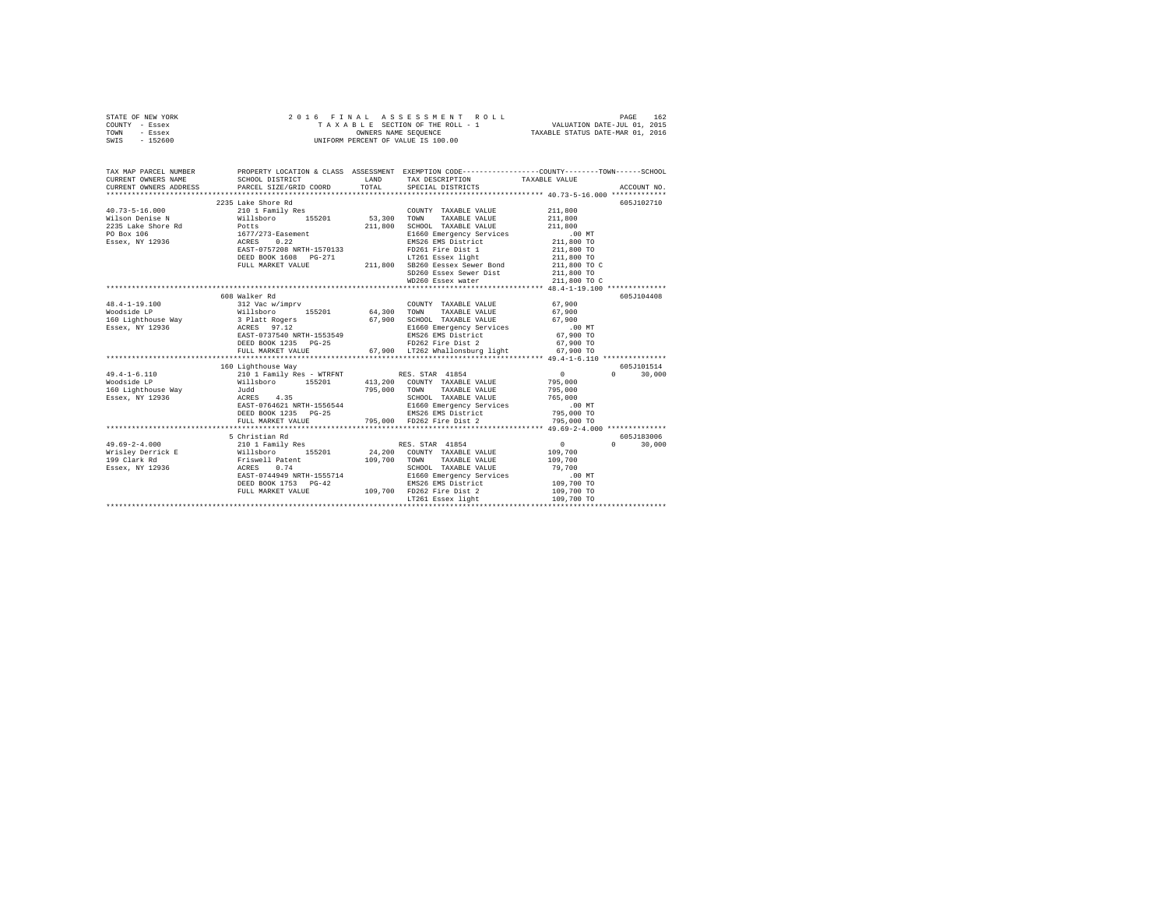|      | STATE OF NEW YORK |  |  | 2016 FINAL ASSESSMENT ROLL         | PAGE                             | 162 |
|------|-------------------|--|--|------------------------------------|----------------------------------|-----|
|      | COUNTY - Essex    |  |  | TAXABLE SECTION OF THE ROLL - 1    | VALUATION DATE-JUL 01, 2015      |     |
| TOWN | - Essex           |  |  | OWNERS NAME SEOUENCE               | TAXABLE STATUS DATE-MAR 01, 2016 |     |
| SWIS | $-152600$         |  |  | UNIFORM PERCENT OF VALUE IS 100.00 |                                  |     |

| TAX MAP PARCEL NUMBER                                                                                                                                                                                                                  | PROPERTY LOCATION & CLASS ASSESSMENT EXEMPTION CODE----------------COUNTY-------TOWN-----SCHOOL                                                                                                                                          |         |                                                  |                                                                                                                                                                                                                                                                                               |                    |
|----------------------------------------------------------------------------------------------------------------------------------------------------------------------------------------------------------------------------------------|------------------------------------------------------------------------------------------------------------------------------------------------------------------------------------------------------------------------------------------|---------|--------------------------------------------------|-----------------------------------------------------------------------------------------------------------------------------------------------------------------------------------------------------------------------------------------------------------------------------------------------|--------------------|
| CURRENT OWNERS NAME                                                                                                                                                                                                                    | SCHOOL DISTRICT                                                                                                                                                                                                                          |         | LAND TAX DESCRIPTION TAXABLE VALUE               |                                                                                                                                                                                                                                                                                               |                    |
| CURRENT OWNERS ADDRESS                                                                                                                                                                                                                 |                                                                                                                                                                                                                                          |         |                                                  |                                                                                                                                                                                                                                                                                               |                    |
|                                                                                                                                                                                                                                        |                                                                                                                                                                                                                                          |         |                                                  |                                                                                                                                                                                                                                                                                               |                    |
| $40.73 - 5 - 16.000$                                                                                                                                                                                                                   | 2235 Lake Shore Rd<br>210 1 Family Res                                                                                                                                                                                                   |         | COUNTY TAXABLE VALUE 211,800                     |                                                                                                                                                                                                                                                                                               | 605J102710         |
|                                                                                                                                                                                                                                        |                                                                                                                                                                                                                                          |         | TOWN                                             | 211,800                                                                                                                                                                                                                                                                                       |                    |
| Wilson Denise N Millsboro 155201 53,300                                                                                                                                                                                                |                                                                                                                                                                                                                                          | 211,800 | TAXABLE VALUE                                    | 211,800                                                                                                                                                                                                                                                                                       |                    |
| $\begin{tabular}{lllllllllll} \textbf{2235 Lake Shore Rd} & & \textbf{Potts} \\ \textbf{PO Box 106} & & 1677/273-Sasement \\ \textbf{ESsex, NY 12936} & & \textbf{ACRES} & 0.22 \\ \end{tabular}$                                      |                                                                                                                                                                                                                                          |         | SCHOOL TAXABLE VALUE<br>E1660 Emergency Services |                                                                                                                                                                                                                                                                                               |                    |
|                                                                                                                                                                                                                                        | 1677/273-1-sastement<br>RASEA - 10.22 - 10.22 - 10.23 - 10.24 First District<br>RASEA - 11,800 TO<br>PULL MARKET VALUE 211,800 - 211,800 TO<br>PULL MARKET VALUE 211,800 - 211,800 TO<br>PULL MARKET VALUE 211,800 - 121,800 - 121,800 T |         |                                                  |                                                                                                                                                                                                                                                                                               |                    |
|                                                                                                                                                                                                                                        |                                                                                                                                                                                                                                          |         |                                                  |                                                                                                                                                                                                                                                                                               |                    |
|                                                                                                                                                                                                                                        |                                                                                                                                                                                                                                          |         |                                                  |                                                                                                                                                                                                                                                                                               |                    |
|                                                                                                                                                                                                                                        |                                                                                                                                                                                                                                          |         |                                                  |                                                                                                                                                                                                                                                                                               |                    |
|                                                                                                                                                                                                                                        |                                                                                                                                                                                                                                          |         |                                                  |                                                                                                                                                                                                                                                                                               |                    |
|                                                                                                                                                                                                                                        |                                                                                                                                                                                                                                          |         | SD260 Essex Sewer Dist<br>WD260 Essex water      | 211,800 TO<br>211,800 TO C                                                                                                                                                                                                                                                                    |                    |
|                                                                                                                                                                                                                                        |                                                                                                                                                                                                                                          |         |                                                  |                                                                                                                                                                                                                                                                                               |                    |
|                                                                                                                                                                                                                                        |                                                                                                                                                                                                                                          |         |                                                  |                                                                                                                                                                                                                                                                                               |                    |
|                                                                                                                                                                                                                                        | 608 Walker Rd                                                                                                                                                                                                                            |         |                                                  |                                                                                                                                                                                                                                                                                               | 605J104408         |
| $\begin{array}{cccccc} 48.4-1-19.100 && 312\text{ Vac w/imprv} && 64,300\text{ TOWTY TAXABLE VALUE} && 67,900\\ \text{Wodside LP} && 8111\text{sboro} && 155201 && 64,300\text{ TOWN} && \text{TAXABLE VALUE} && 67,900\\ \end{array}$ |                                                                                                                                                                                                                                          |         | COUNTY TAXABLE VALUE 67.900                      |                                                                                                                                                                                                                                                                                               |                    |
|                                                                                                                                                                                                                                        |                                                                                                                                                                                                                                          |         |                                                  |                                                                                                                                                                                                                                                                                               |                    |
|                                                                                                                                                                                                                                        |                                                                                                                                                                                                                                          |         |                                                  |                                                                                                                                                                                                                                                                                               |                    |
|                                                                                                                                                                                                                                        |                                                                                                                                                                                                                                          |         |                                                  |                                                                                                                                                                                                                                                                                               |                    |
|                                                                                                                                                                                                                                        |                                                                                                                                                                                                                                          |         |                                                  |                                                                                                                                                                                                                                                                                               |                    |
|                                                                                                                                                                                                                                        | DEED BOOK 1235 PG-25                                                                                                                                                                                                                     |         | FD262 Fire Dist 2 67.900 TO                      |                                                                                                                                                                                                                                                                                               |                    |
|                                                                                                                                                                                                                                        | FULL MARKET VALUE                                                                                                                                                                                                                        |         | 67,900 LT262 Whallonsburg light 67,900 TO        |                                                                                                                                                                                                                                                                                               |                    |
|                                                                                                                                                                                                                                        |                                                                                                                                                                                                                                          |         |                                                  |                                                                                                                                                                                                                                                                                               |                    |
|                                                                                                                                                                                                                                        | 160 Lighthouse Way                                                                                                                                                                                                                       |         |                                                  |                                                                                                                                                                                                                                                                                               | 605J101514         |
| $49.4 - 1 - 6.110$                                                                                                                                                                                                                     |                                                                                                                                                                                                                                          |         |                                                  |                                                                                                                                                                                                                                                                                               | $0 \t 30.000$      |
| Woodside LP                                                                                                                                                                                                                            |                                                                                                                                                                                                                                          |         |                                                  |                                                                                                                                                                                                                                                                                               |                    |
| 160 Lighthouse Way 5udd                                                                                                                                                                                                                |                                                                                                                                                                                                                                          |         |                                                  |                                                                                                                                                                                                                                                                                               |                    |
| Essex, NY 12936                                                                                                                                                                                                                        |                                                                                                                                                                                                                                          |         |                                                  |                                                                                                                                                                                                                                                                                               |                    |
|                                                                                                                                                                                                                                        |                                                                                                                                                                                                                                          |         |                                                  |                                                                                                                                                                                                                                                                                               |                    |
|                                                                                                                                                                                                                                        |                                                                                                                                                                                                                                          |         |                                                  |                                                                                                                                                                                                                                                                                               |                    |
|                                                                                                                                                                                                                                        | FULL MARKET VALUE                                                                                                                                                                                                                        |         | 795,000 FD262 Fire Dist 2                        | 795,000 TO                                                                                                                                                                                                                                                                                    |                    |
|                                                                                                                                                                                                                                        |                                                                                                                                                                                                                                          |         |                                                  |                                                                                                                                                                                                                                                                                               |                    |
|                                                                                                                                                                                                                                        | 5 Christian Rd                                                                                                                                                                                                                           |         |                                                  |                                                                                                                                                                                                                                                                                               | 605J183006         |
| $49.69 - 2 - 4.000$                                                                                                                                                                                                                    | 210 1 Family Res RES. STAR 41854                                                                                                                                                                                                         |         |                                                  | $\sim$ 0 $\sim$ 0 $\sim$ 0 $\sim$ 0 $\sim$ 0 $\sim$ 0 $\sim$ 0 $\sim$ 0 $\sim$ 0 $\sim$ 0 $\sim$ 0 $\sim$ 0 $\sim$ 0 $\sim$ 0 $\sim$ 0 $\sim$ 0 $\sim$ 0 $\sim$ 0 $\sim$ 0 $\sim$ 0 $\sim$ 0 $\sim$ 0 $\sim$ 0 $\sim$ 0 $\sim$ 0 $\sim$ 0 $\sim$ 0 $\sim$ 0 $\sim$ 0 $\sim$ 0 $\sim$ 0 $\sim$ | $\Omega$<br>30,000 |
|                                                                                                                                                                                                                                        |                                                                                                                                                                                                                                          |         |                                                  |                                                                                                                                                                                                                                                                                               |                    |
|                                                                                                                                                                                                                                        |                                                                                                                                                                                                                                          |         | 109,700 TOWN TAXABLE VALUE                       |                                                                                                                                                                                                                                                                                               |                    |
|                                                                                                                                                                                                                                        |                                                                                                                                                                                                                                          |         | SCHOOL TAXABLE VALUE 79,700                      |                                                                                                                                                                                                                                                                                               |                    |
|                                                                                                                                                                                                                                        | EAST-0744949 NRTH-1555714                                                                                                                                                                                                                |         |                                                  |                                                                                                                                                                                                                                                                                               |                    |
|                                                                                                                                                                                                                                        | DEED BOOK 1753 PG-42                                                                                                                                                                                                                     |         |                                                  |                                                                                                                                                                                                                                                                                               |                    |
|                                                                                                                                                                                                                                        | FULL MARKET VALUE                                                                                                                                                                                                                        |         | 109,700 FD262 Fire Dist 2                        | 109,700 TO                                                                                                                                                                                                                                                                                    |                    |
|                                                                                                                                                                                                                                        |                                                                                                                                                                                                                                          |         |                                                  |                                                                                                                                                                                                                                                                                               |                    |
|                                                                                                                                                                                                                                        |                                                                                                                                                                                                                                          |         |                                                  |                                                                                                                                                                                                                                                                                               |                    |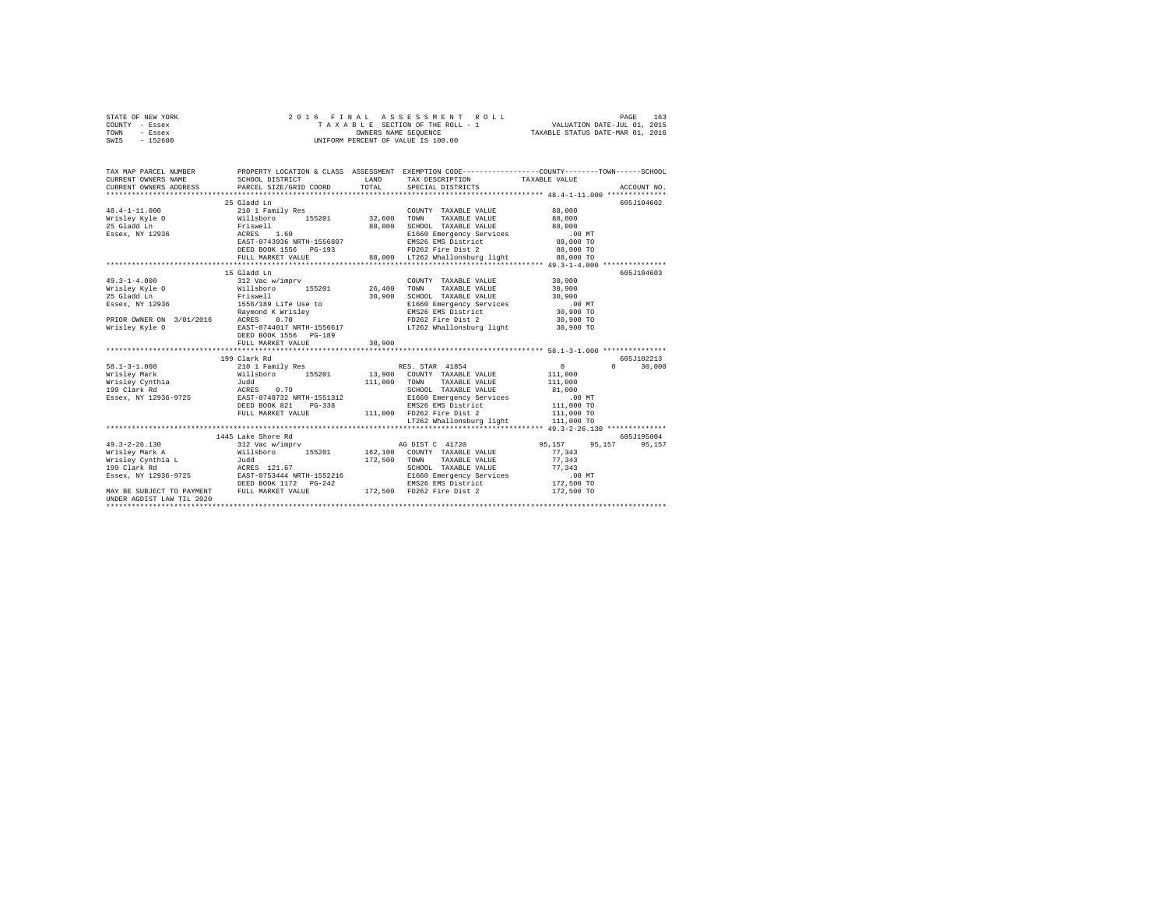| STATE OF NEW YORK | 2016 FINAL ASSESSMENT ROLL         | 163<br>PAGE                      |
|-------------------|------------------------------------|----------------------------------|
| COUNTY - Essex    | TAXABLE SECTION OF THE ROLL - 1    | VALUATION DATE-JUL 01, 2015      |
| TOWN<br>- Essex   | OWNERS NAME SEOUENCE               | TAXABLE STATUS DATE-MAR 01, 2016 |
| $-152600$<br>SWIS | UNIFORM PERCENT OF VALUE IS 100.00 |                                  |

| TAX MAP PARCEL NUMBER<br>CURRENT OWNERS NAME                                                    | SCHOOL DISTRICT<br>CURRENT OWNERS ADDRESS PARCEL SIZE/GRID COORD TOTAL                                                                                                                                                                                                                                                                       | LAND   | TAX DESCRIPTION TAXABLE VALUE<br>SPECIAL DISTRICTS                                                                                                                                                                     | PROPERTY LOCATION & CLASS ASSESSMENT EXEMPTION CODE---------------COUNTY-------TOWN------SCHOOL | ACCOUNT NO.                 |
|-------------------------------------------------------------------------------------------------|----------------------------------------------------------------------------------------------------------------------------------------------------------------------------------------------------------------------------------------------------------------------------------------------------------------------------------------------|--------|------------------------------------------------------------------------------------------------------------------------------------------------------------------------------------------------------------------------|-------------------------------------------------------------------------------------------------|-----------------------------|
|                                                                                                 | 25 Gladd Ln<br>48.4-1-11.000 - 21011 Family Res (2000)<br>Wrisley Kyle (2011 Family Res 155201 32,600 TOWN<br>25 Gladd Ln (2013)<br>25 Gladd Ln (2013)<br>25 Gladd Ln (2013)<br>258ex, NY 12936 (2013)<br>258826 (2013)<br>258826 (2013)<br>258826 (2013)<br>25                                                                              |        | COUNTY TAXABLE VALUE 88,000<br>TAXABLE VALUE 88,000<br>SCHOOL TAXABLE VALUE 88,000<br>E1660 Emergency Services .00 MT<br>EMS26 EMS District 88,000 TO<br>FD262 Fire Dist 2 88,000 TO                                   | 88,000 TO                                                                                       | 605J104602                  |
|                                                                                                 | 15 Gladd Ln<br>49.3-1-4.000 312 Vac w/imprv<br>Wrisley Kyle O Willsboro 155201 26,400<br>WIBELY NYE USE THE MANUFATURE OF THE MANUFATURE OF THE MANUFATURE OF THE MANUFATURE OF THE MANUFATURE OF THE MANUFATURE OF THE MANUFATURE OF THE MANUFATURE OF THE MANUFATURE OF THE MANUFATURE OF THE MANUFATURE OF THE MANUF<br>FULL MARKET VALUE | 30,900 | COUNTY TAXABLE VALUE 30,900<br>TOWN TAXABLE VALUE 30,900<br>SCHOOL TAXABLE VALUE 30,900<br>E1660 Emergency Services 6.00 MT<br>EMS26 EMS District 30,900 TO<br>FD262 Fire Dist 2<br>LT262 Whallonsburg light 30,900 TO | 30,900 TO                                                                                       | 605J104603                  |
|                                                                                                 | 199 Clark Rd<br>Essex, NY 12936-9725 EAST-0748732 NRTH-1551312                                                                                                                                                                                                                                                                               |        | LT262 Whallonsburg light 111,000 TO                                                                                                                                                                                    |                                                                                                 | 605J102213<br>$0 \t 30,000$ |
| $49.3 - 2 - 26.130$<br>MAY BE SUBJECT TO PAYMENT FULL MARKET VALUE<br>UNDER AGDIST LAW TIL 2020 | 1445 Lake Shore Rd                                                                                                                                                                                                                                                                                                                           |        | SCHOOL TAXABLE VALUE 77,343<br>E1660 Emergency Services 6.00 MT<br>EMS26 EMS District 172,500 TO<br>172,500 FD262 Fire Dist 2                                                                                          | 77,343<br>77,343<br>172,500 TO                                                                  | 605J195004<br>95,157        |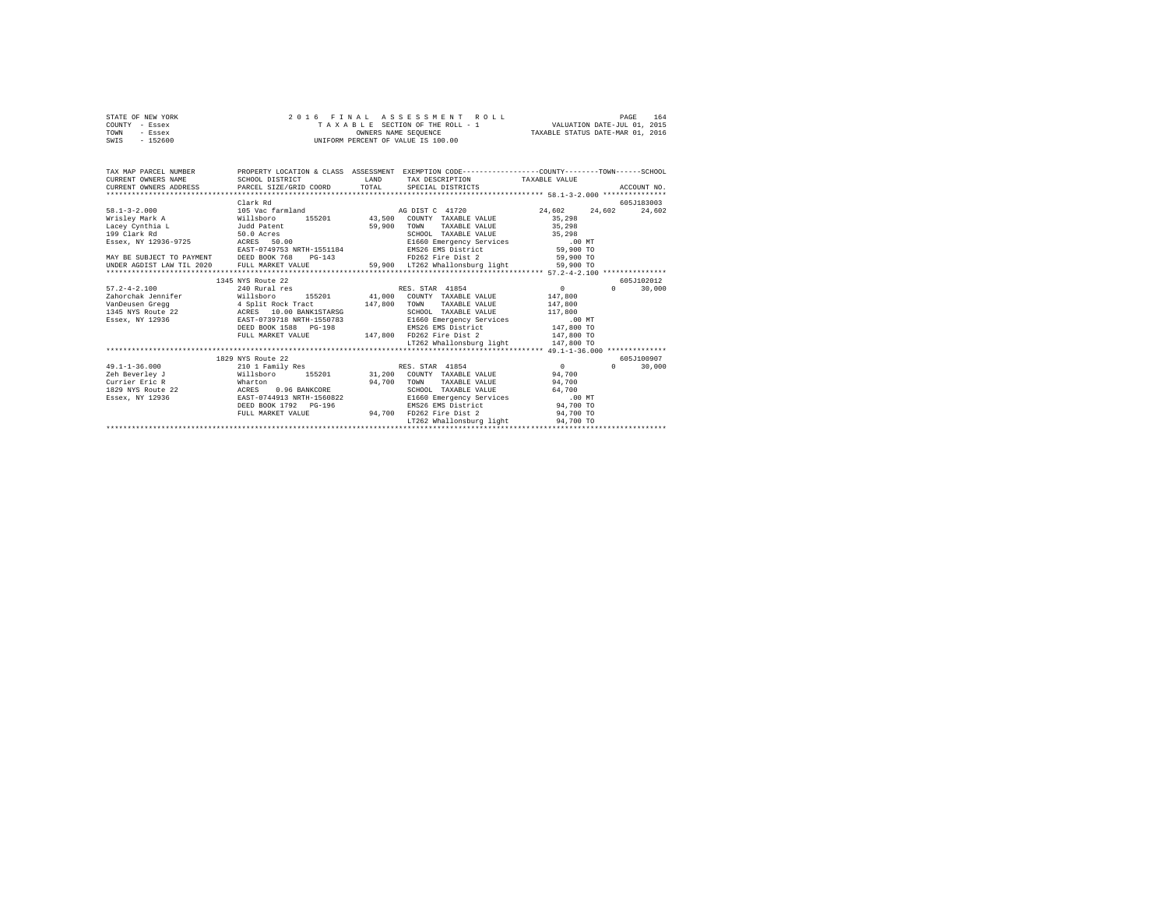|      | STATE OF NEW YORK |  | 2016 FINAL ASSESSMENT ROLL         | 164<br>PAGE                      |
|------|-------------------|--|------------------------------------|----------------------------------|
|      | COUNTY - Essex    |  | TAXABLE SECTION OF THE ROLL - 1    | VALUATION DATE-JUL 01, 2015      |
| TOWN | - Essex           |  | OWNERS NAME SEOUENCE               | TAXABLE STATUS DATE-MAR 01, 2016 |
| SWIS | - 152600          |  | UNIFORM PERCENT OF VALUE IS 100.00 |                                  |

| TAX MAP PARCEL NUMBER<br>CURRENT OWNERS NAME | PROPERTY LOCATION & CLASS ASSESSMENT EXEMPTION CODE---------------COUNTY-------TOWN-----SCHOOL<br>SCHOOL DISTRICT | <b>T.AND</b> | TAX DESCRIPTION                           | TAXABLE VALUE    |                    |
|----------------------------------------------|-------------------------------------------------------------------------------------------------------------------|--------------|-------------------------------------------|------------------|--------------------|
| CURRENT OWNERS ADDRESS                       | PARCEL SIZE/GRID COORD                                                                                            | TOTAL        | SPECIAL DISTRICTS                         |                  | ACCOUNT NO.        |
|                                              |                                                                                                                   |              |                                           |                  |                    |
|                                              | Clark Rd                                                                                                          |              |                                           |                  | 605J183003         |
| $58.1 - 3 - 2.000$                           | 105 Vac farmland                                                                                                  |              | AG DIST C 41720                           | 24.602<br>24,602 | 24,602             |
| Wrisley Mark A                               | 155201<br>Willsboro                                                                                               | 43,500       | COUNTY TAXABLE VALUE                      | 35,298           |                    |
| Lacey Cynthia L                              | Judd Patent                                                                                                       | 59,900       | TOWN<br>TAXABLE VALUE                     | 35,298           |                    |
| 199 Clark Rd                                 | 50.0 Acres                                                                                                        |              | SCHOOL TAXABLE VALUE                      | 35,298           |                    |
| Essex, NY 12936-9725                         | ACRES<br>50.00                                                                                                    |              | E1660 Emergency Services                  | .00MT            |                    |
|                                              | EAST-0749753 NRTH-1551184                                                                                         |              | EMS26 EMS District                        | 59,900 TO        |                    |
| MAY BE SUBJECT TO PAYMENT DEED BOOK 768      | $PG-143$                                                                                                          |              | FD262 Fire Dist 2                         | 59,900 TO        |                    |
| UNDER AGDIST LAW TIL 2020                    | FULL MARKET VALUE                                                                                                 |              | 59.900 LT262 Whallonsburg light 59.900 TO |                  |                    |
|                                              |                                                                                                                   |              |                                           |                  |                    |
|                                              | 1345 NYS Route 22                                                                                                 |              |                                           |                  | 605-102012         |
| $57.2 - 4 - 2.100$                           | 240 Rural res                                                                                                     |              | RES. STAR 41854                           | $\sim$           | $\Omega$<br>30,000 |
| Zahorchak Jennifer                           | Willsboro<br>155201                                                                                               | 41,000       | COUNTY TAXABLE VALUE                      | 147,800          |                    |
| VanDeusen Gregg                              | 4 Split Rock Tract                                                                                                | 147,800      | TOWN<br>TAXABLE VALUE                     | 147,800          |                    |
| 1345 NYS Route 22                            | ACRES 10.00 BANK1STARSG                                                                                           |              | SCHOOL TAXABLE VALUE                      | 117,800          |                    |
| Essex, NY 12936                              | EAST-0739718 NRTH-1550783                                                                                         |              | E1660 Emergency Services                  | .00MT            |                    |
|                                              | DEED BOOK 1588 PG-198                                                                                             |              | EMS26 EMS District                        | 147,800 TO       |                    |
|                                              | FULL MARKET VALUE                                                                                                 | 147,800      | FD262 Fire Dist 2                         | 147,800 TO       |                    |
|                                              |                                                                                                                   |              | LT262 Whallonsburg light                  | 147,800 TO       |                    |
|                                              |                                                                                                                   |              |                                           |                  |                    |
|                                              | 1829 NYS Route 22                                                                                                 |              |                                           |                  | 605J100907         |
| $49.1 - 1 - 36.000$                          | 210 1 Family Res                                                                                                  |              | RES. STAR 41854                           | $\Omega$         | 30,000<br>$\Omega$ |
| Zeh Beverley J                               | Willsboro<br>155201                                                                                               | 31,200       | COUNTY TAXABLE VALUE                      | 94,700           |                    |
| Currier Eric R                               | Wharton                                                                                                           | 94,700       | TOWN<br>TAXABLE VALUE                     | 94,700           |                    |
| 1829 NYS Route 22                            | 0.96 BANKCORE<br>ACRES                                                                                            |              | SCHOOL TAXABLE VALUE                      | 64,700           |                    |
| Essex, NY 12936                              | EAST-0744913 NRTH-1560822                                                                                         |              | E1660 Emergency Services                  | .00MT            |                    |
|                                              | DEED BOOK 1792 PG-196                                                                                             |              | EMS26 EMS District                        | 94,700 TO        |                    |
|                                              | FULL MARKET VALUE                                                                                                 | 94,700       | FD262 Fire Dist 2                         | 94,700 TO        |                    |
|                                              |                                                                                                                   |              | LT262 Whallonsburg light                  | 94,700 TO        |                    |
|                                              |                                                                                                                   |              |                                           |                  |                    |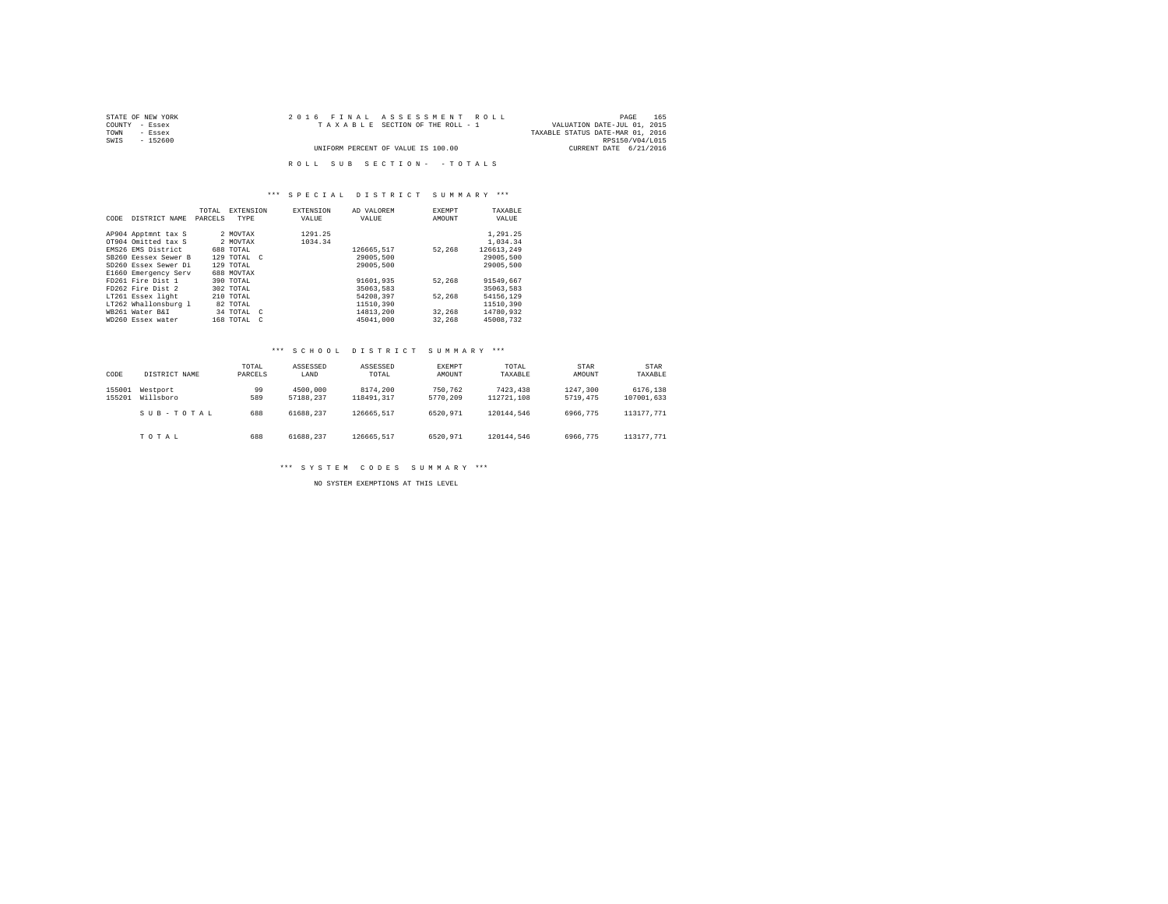| STATE OF NEW YORK | 2016 FINAL ASSESSMENT ROLL         | 165<br>PAGE                      |
|-------------------|------------------------------------|----------------------------------|
| COUNTY - Essex    | TAXABLE SECTION OF THE ROLL - 1    | VALUATION DATE-JUL 01, 2015      |
| TOWN<br>- Essex   |                                    | TAXABLE STATUS DATE-MAR 01, 2016 |
| SWIS<br>$-152600$ |                                    | RPS150/V04/L015                  |
|                   | UNIFORM PERCENT OF VALUE IS 100.00 | CURRENT DATE 6/21/2016           |
|                   |                                    |                                  |
|                   | ROLL SUB SECTION- - TOTALS         |                                  |

## \*\*\* S P E C I A L D I S T R I C T S U M M A R Y \*\*\*

|      |                      | TOTAL   | <b>EXTENSION</b>           | <b>EXTENSION</b> | AD VALOREM | EXEMPT | TAXABLE    |
|------|----------------------|---------|----------------------------|------------------|------------|--------|------------|
| CODE | DISTRICT NAME        | PARCELS | TYPE                       | VALUE            | VALUE      | AMOUNT | VALUE      |
|      |                      |         |                            |                  |            |        |            |
|      | AP904 Apptmnt tax S  |         | 2 MOVTAX                   | 1291.25          |            |        | 1,291.25   |
|      | OT904 Omitted tax S  |         | 2 MOVTAX                   | 1034.34          |            |        | 1,034.34   |
|      | EMS26 EMS District   |         | 688 TOTAL                  |                  | 126665.517 | 52.268 | 126613.249 |
|      | SB260 Eessex Sewer B |         | 129 TOTAL C                |                  | 29005,500  |        | 29005,500  |
|      | SD260 Essex Sewer Di |         | 129 TOTAL                  |                  | 29005,500  |        | 29005,500  |
|      | E1660 Emergency Serv |         | 688 MOVTAX                 |                  |            |        |            |
|      | FD261 Fire Dist 1    |         | 390 TOTAL                  |                  | 91601.935  | 52.268 | 91549.667  |
|      | FD262 Fire Dist 2    |         | 302 TOTAL                  |                  | 35063.583  |        | 35063.583  |
|      | LT261 Essex light    |         | $210$ TOTAL                |                  | 54208.397  | 52.268 | 54156.129  |
|      | LT262 Whallonsburg 1 |         | 82 TOTAL                   |                  | 11510,390  |        | 11510.390  |
|      | WB261 Water B&I      |         | 34 TOTAL C                 |                  | 14813,200  | 32,268 | 14780.932  |
|      | WD260 Essex water    |         | 168 TOTAL<br>$\mathcal{C}$ |                  | 45041.000  | 32,268 | 45008.732  |

## \*\*\* S C H O O L D I S T R I C T S U M M A R Y \*\*\*

| CODE             | DISTRICT NAME         | TOTAL<br>PARCELS | ASSESSED<br>LAND      | ASSESSED<br>TOTAL      | EXEMPT<br>AMOUNT    | TOTAL<br>TAXABLE       | STAR<br>AMOUNT       | <b>STAR</b><br>TAXABLE |
|------------------|-----------------------|------------------|-----------------------|------------------------|---------------------|------------------------|----------------------|------------------------|
| 155001<br>155201 | Westport<br>Willsboro | 99<br>589        | 4500,000<br>57188.237 | 8174,200<br>118491.317 | 750.762<br>5770.209 | 7423.438<br>112721.108 | 1247.300<br>5719,475 | 6176.138<br>107001.633 |
|                  | SUB-TOTAL             | 688              | 61688.237             | 126665.517             | 6520.971            | 120144.546             | 6966,775             | 113177.771             |
|                  | TOTAL                 | 688              | 61688.237             | 126665.517             | 6520.971            | 120144.546             | 6966,775             | 113177.771             |

\*\*\* S Y S T E M C O D E S S U M M A R Y \*\*\*

NO SYSTEM EXEMPTIONS AT THIS LEVEL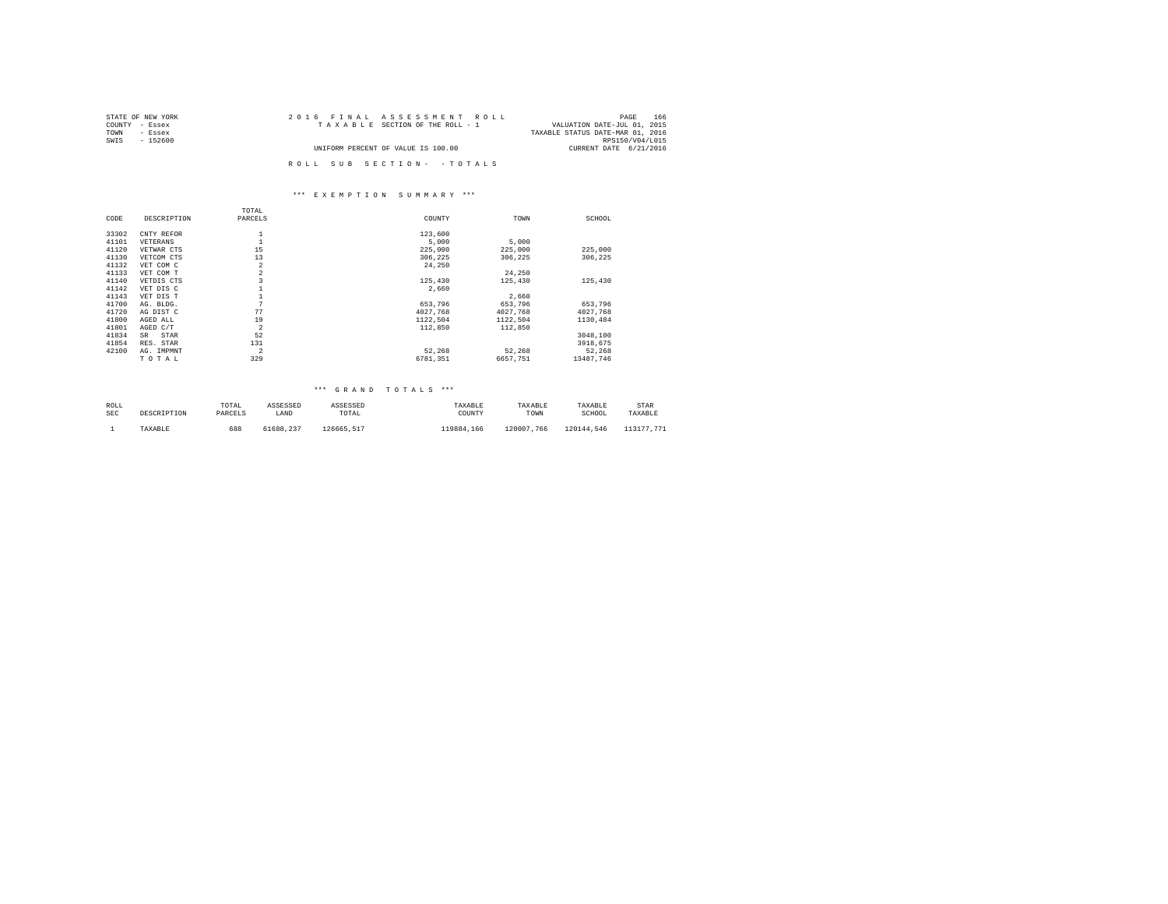| STATE OF NEW YORK | 2016 FINAL ASSESSMENT ROLL         | 166<br>PAGE                      |
|-------------------|------------------------------------|----------------------------------|
| COUNTY - Essex    | TAXABLE SECTION OF THE ROLL - 1    | VALUATION DATE-JUL 01, 2015      |
| TOWN<br>- Essex   |                                    | TAXABLE STATUS DATE-MAR 01, 2016 |
| SWIS<br>- 152600  |                                    | RPS150/V04/L015                  |
|                   | UNIFORM PERCENT OF VALUE IS 100.00 | CURRENT DATE 6/21/2016           |
|                   | ROLL SUB SECTION- - TOTALS         |                                  |

#### \*\*\* E X E M P T I O N S U M M A R Y \*\*\*

|       |              | TOTAL          |          |          |           |
|-------|--------------|----------------|----------|----------|-----------|
| CODE  | DESCRIPTION  | PARCELS        | COUNTY   | TOWN     | SCHOOL    |
| 33302 | CNTY REFOR   |                | 123,600  |          |           |
| 41101 | VETERANS     |                | 5,000    | 5,000    |           |
| 41120 | VETWAR CTS   | 15             | 225,000  | 225,000  | 225,000   |
| 41130 | VETCOM CTS   | 13             | 306.225  | 306,225  | 306,225   |
| 41132 | VET COM C    | $\overline{a}$ | 24,250   |          |           |
| 41133 | VET COM T    | $\overline{a}$ |          | 24,250   |           |
| 41140 | VETDIS CTS   | 3              | 125,430  | 125,430  | 125,430   |
| 41142 | VET DIS C    |                | 2.660    |          |           |
| 41143 | VET DIS T    |                |          | 2,660    |           |
| 41700 | AG. BLDG.    | 7              | 653.796  | 653,796  | 653.796   |
| 41720 | AG DIST C    | 77             | 4027.768 | 4027,768 | 4027.768  |
| 41800 | AGED ALL     | 19             | 1122,504 | 1122,504 | 1130,484  |
| 41801 | AGED C/T     | $\overline{2}$ | 112,850  | 112,850  |           |
| 41834 | STAR<br>SR   | 52             |          |          | 3048.100  |
| 41854 | RES.<br>STAR | 131            |          |          | 3918.675  |
| 42100 | AG. IMPMNT   | $\overline{2}$ | 52,268   | 52.268   | 52.268    |
|       | TOTAL        | 329            | 6781.351 | 6657.751 | 13487.746 |

#### \*\*\* G R A N D T O T A L S \*\*\*

| ROLL | DESCRIPTION | TOTAL   | ASSESSED  | ASSESSED   | TAXABLE    | TAXABLE    | TAXABLE    | STAR       |
|------|-------------|---------|-----------|------------|------------|------------|------------|------------|
| SEC  |             | PARCELS | LAND      | TOTAL      | COUNTY     | TOWN       | SCHOOL     | TAXABLE    |
|      | TAXABLE     | 688     | 61688.237 | 126665.517 | 119884.166 | 120007.766 | 120144.546 | 113177.771 |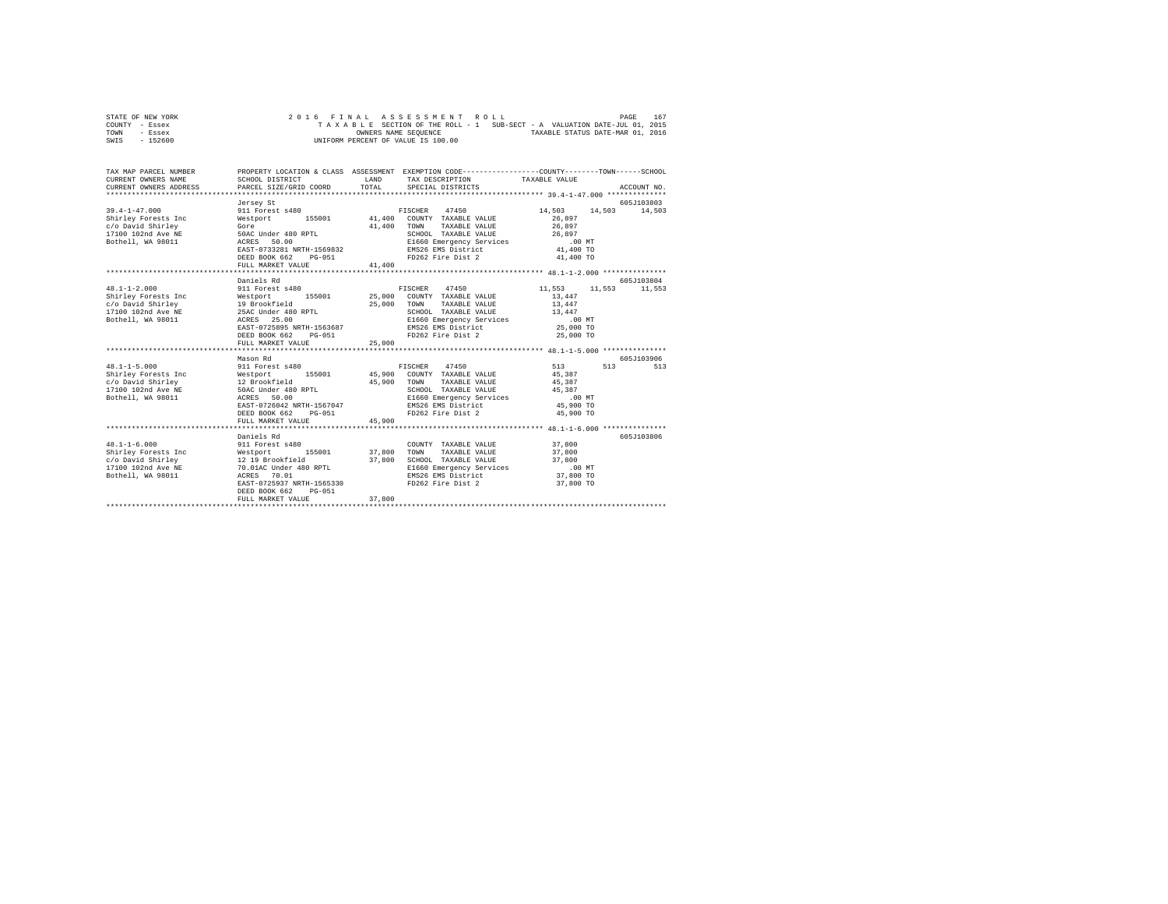| STATE OF NEW YORK |  | 2016 FINAL ASSESSMENT ROLL                                               |                                  | PAGE | 167 |
|-------------------|--|--------------------------------------------------------------------------|----------------------------------|------|-----|
| COUNTY - Essex    |  | TAXABLE SECTION OF THE ROLL - 1 SUB-SECT - A VALUATION DATE-JUL 01, 2015 |                                  |      |     |
| TOWN<br>- Essex   |  | OWNERS NAME SEOUENCE                                                     | TAXABLE STATUS DATE-MAR 01, 2016 |      |     |
| $-152600$<br>SWIS |  | UNIFORM PERCENT OF VALUE IS 100.00                                       |                                  |      |     |

| TAX MAP PARCEL NUMBER<br>CURRENT OWNERS NAME<br>CURRENT OWNERS ADDRESS                                                                                                                                                                       | PROPERTY LOCATION & CLASS ASSESSMENT EXEMPTION CODE----------------COUNTY-------TOWN------SCHOOL<br>SCHOOL DISTRICT<br>PARCEL SIZE/GRID COORD | <b>T.AND</b>         | TAX DESCRIPTION TAXABLE VALUE<br>TOTAL SPECIAL DISTRICTS                                         |                      | ACCOUNT NO.            |
|----------------------------------------------------------------------------------------------------------------------------------------------------------------------------------------------------------------------------------------------|-----------------------------------------------------------------------------------------------------------------------------------------------|----------------------|--------------------------------------------------------------------------------------------------|----------------------|------------------------|
|                                                                                                                                                                                                                                              |                                                                                                                                               |                      |                                                                                                  |                      |                        |
|                                                                                                                                                                                                                                              | Jersey St                                                                                                                                     |                      |                                                                                                  |                      | 605J103803             |
| $39.4 - 1 - 47.000$                                                                                                                                                                                                                          | 911 Forest s480                                                                                                                               |                      | FISCHER 47450                                                                                    | 14,503               | 14.503 14.503          |
| Shirley Forests Inc                                                                                                                                                                                                                          |                                                                                                                                               |                      |                                                                                                  | 26,897               |                        |
| Gore<br>c/o David Shirley                                                                                                                                                                                                                    |                                                                                                                                               | 41,400               | TOWN<br>TAXABLE VALUE 26,897                                                                     |                      |                        |
|                                                                                                                                                                                                                                              |                                                                                                                                               |                      |                                                                                                  |                      |                        |
| 17100 102nd Ave NE 50AC Under 480 RPTL<br>Bothell, WA 98011 ACRES 50.00                                                                                                                                                                      |                                                                                                                                               |                      | SCHOOL TAXABLE VALUE $26,897$<br>E1660 Emergency Services .00 MT<br>EMS26 EMS District 41,400 TO |                      |                        |
|                                                                                                                                                                                                                                              | EAST-0733281 NRTH-1569832                                                                                                                     |                      |                                                                                                  |                      |                        |
|                                                                                                                                                                                                                                              | DEED BOOK 662<br>PG-051                                                                                                                       |                      | FD262 Fire Dist 2 41,400 TO                                                                      |                      |                        |
|                                                                                                                                                                                                                                              | FULL MARKET VALUE                                                                                                                             | 41,400               |                                                                                                  |                      |                        |
|                                                                                                                                                                                                                                              |                                                                                                                                               |                      |                                                                                                  |                      |                        |
|                                                                                                                                                                                                                                              | Daniels Rd                                                                                                                                    |                      |                                                                                                  |                      | 605-7103804            |
| $48.1 - 1 - 2.000$                                                                                                                                                                                                                           | 911 Forest s480                                                                                                                               |                      | FISCHER 47450                                                                                    | 11,553 11,553 11,553 |                        |
| Shirley Forests Inc = 155001 25,000 COUNTY TAXABLE VALUE<br>26 OUNTY TAXABLE VALUE<br>27 ON TOWN TAXABLE VALUE<br>27 OUNTY TAXABLE VALUE<br>27 ON TOWN TAXABLE VALUE<br>27 OUNTY TAXABLE VALUE<br>27 OUNTY TAXABLE VALUE<br>27 OUNTY TAXABLE |                                                                                                                                               |                      |                                                                                                  | 13,447               |                        |
|                                                                                                                                                                                                                                              |                                                                                                                                               |                      | 25,000 TOWN TAXABLE VALUE 13,447                                                                 |                      |                        |
|                                                                                                                                                                                                                                              |                                                                                                                                               |                      |                                                                                                  |                      |                        |
|                                                                                                                                                                                                                                              |                                                                                                                                               |                      | SCHOOL TAXABLE VALUE $13,447$<br>E1660 Emergency Services .00 MT<br>EMS26 EMS District 25,000 TO |                      |                        |
|                                                                                                                                                                                                                                              | EAST-0725895 NRTH-1563687                                                                                                                     |                      |                                                                                                  |                      |                        |
|                                                                                                                                                                                                                                              | DEED BOOK 662<br>PG-051                                                                                                                       |                      | FD262 Fire Dist 2                                                                                | 25,000 TO            |                        |
|                                                                                                                                                                                                                                              | FULL MARKET VALUE                                                                                                                             | 25,000               |                                                                                                  |                      |                        |
|                                                                                                                                                                                                                                              |                                                                                                                                               |                      |                                                                                                  |                      |                        |
|                                                                                                                                                                                                                                              | Mason Rd                                                                                                                                      |                      |                                                                                                  |                      | 605J103906             |
| $48.1 - 1 - 5.000$                                                                                                                                                                                                                           | 911 Forest s480                                                                                                                               |                      | FISCHER 47450                                                                                    | 513 6                | $513$ and $513$<br>513 |
|                                                                                                                                                                                                                                              |                                                                                                                                               |                      | COUNTY TAXABLE VALUE 45,387                                                                      |                      |                        |
|                                                                                                                                                                                                                                              |                                                                                                                                               |                      | TAXABLE VALUE                                                                                    | 45,387               |                        |
| Shirley Forests Inc = 155001 = 165001 = 165001 = 165001 = 165001 = 176001 = 176001 = 176001 = 176001 = 176001 = 176001 = 176001 = 176001 = 176001 = 176001 = 176001 = 176001 = 176001 = 176001 = 176001 = 176001 = 176001 = 17               |                                                                                                                                               | 45,900 TOWN<br>SCHOO | SCHOOL TAXABLE VALUE                                                                             | 45,387               |                        |
|                                                                                                                                                                                                                                              |                                                                                                                                               |                      | E1660 Emergency Services .00 MT                                                                  |                      |                        |
|                                                                                                                                                                                                                                              | EAST-0726042 NRTH-1567047                                                                                                                     |                      |                                                                                                  | 45,900 TO            |                        |
|                                                                                                                                                                                                                                              | DEED BOOK 662 PG-051                                                                                                                          |                      | EMS26 EMS District<br>FD262 Fire Dist 2                                                          | 45,900 TO            |                        |
|                                                                                                                                                                                                                                              | FULL MARKET VALUE                                                                                                                             | 45,900               |                                                                                                  |                      |                        |
|                                                                                                                                                                                                                                              |                                                                                                                                               |                      |                                                                                                  |                      |                        |
|                                                                                                                                                                                                                                              | Daniels Rd                                                                                                                                    |                      |                                                                                                  |                      | 605J103806             |
| $48.1 - 1 - 6.000$                                                                                                                                                                                                                           | 911 Forest s480                                                                                                                               |                      | COUNTY TAXABLE VALUE 37,800                                                                      |                      |                        |
|                                                                                                                                                                                                                                              |                                                                                                                                               |                      |                                                                                                  |                      |                        |
|                                                                                                                                                                                                                                              |                                                                                                                                               |                      | TOWN TAXABLE VALUE 37,800                                                                        |                      |                        |
|                                                                                                                                                                                                                                              |                                                                                                                                               | 37,800               | SCHOOL TAXABLE VALUE 37,800<br>E1660 Emergency Services .00 MT<br>EMS26 EMS District 37,800 TO   |                      |                        |
| Bothell, WA 98011 ACRES 70.01                                                                                                                                                                                                                |                                                                                                                                               |                      |                                                                                                  |                      |                        |
|                                                                                                                                                                                                                                              | EAST-0725937 NRTH-1565330                                                                                                                     |                      | FD262 Fire Dist 2                                                                                | 37,800 TO            |                        |
|                                                                                                                                                                                                                                              | DEED BOOK 662<br>$PG-051$                                                                                                                     |                      |                                                                                                  |                      |                        |
|                                                                                                                                                                                                                                              | FULL MARKET VALUE                                                                                                                             | 37,800               |                                                                                                  |                      |                        |
|                                                                                                                                                                                                                                              |                                                                                                                                               |                      |                                                                                                  |                      |                        |
|                                                                                                                                                                                                                                              |                                                                                                                                               |                      |                                                                                                  |                      |                        |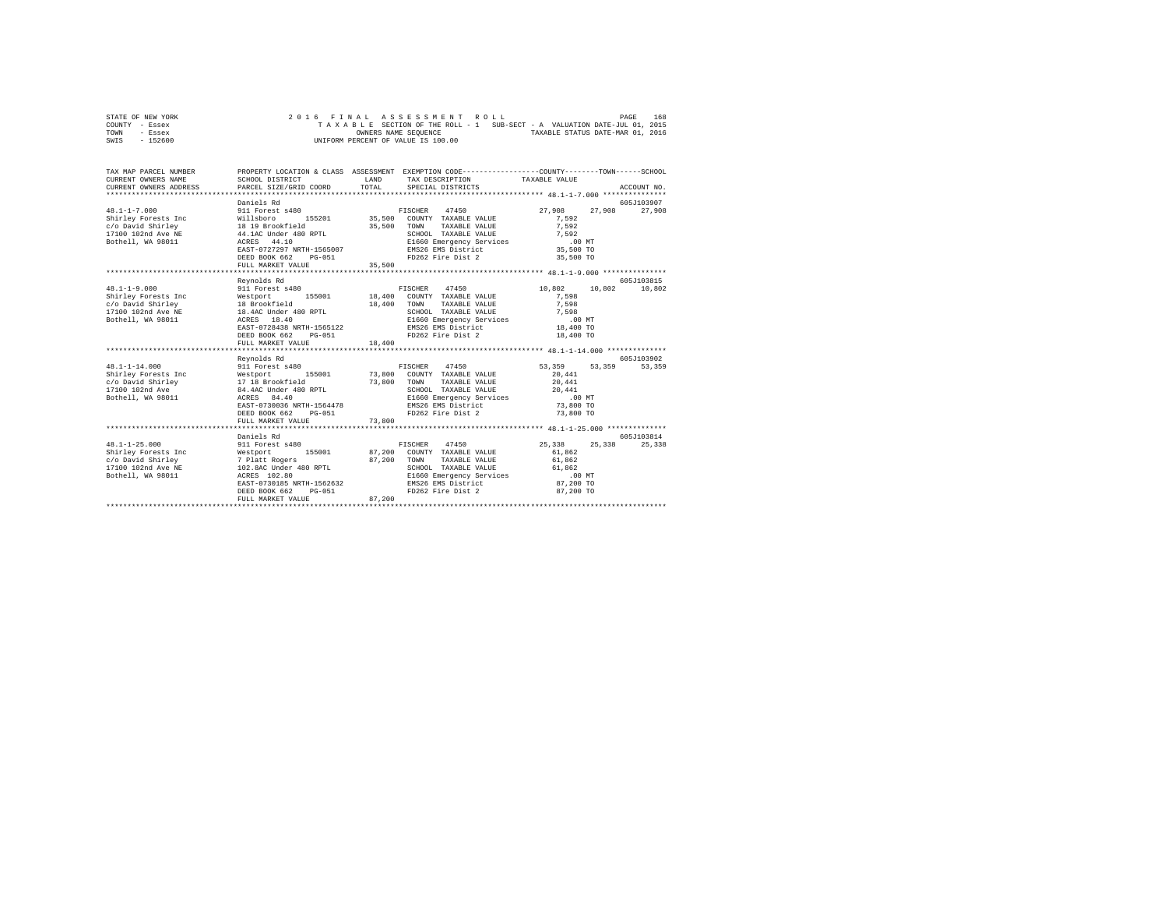| STATE OF NEW YORK |  |  |  | 2016 FINAL ASSESSMENT ROLL         |  |  |  |                                                                          | PAGE | 168 |
|-------------------|--|--|--|------------------------------------|--|--|--|--------------------------------------------------------------------------|------|-----|
| COUNTY - Essex    |  |  |  |                                    |  |  |  | TAXABLE SECTION OF THE ROLL - 1 SUB-SECT - A VALUATION DATE-JUL 01, 2015 |      |     |
| TOWN<br>- Essex   |  |  |  | OWNERS NAME SEOUENCE               |  |  |  | TAXABLE STATUS DATE-MAR 01, 2016                                         |      |     |
| $-152600$<br>SWIS |  |  |  | UNIFORM PERCENT OF VALUE IS 100.00 |  |  |  |                                                                          |      |     |

| TAX MAP PARCEL NUMBER<br>CURRENT OWNERS NAME<br>CURRENT OWNERS ADDRESS                                                                                                                                                            | PROPERTY LOCATION & CLASS ASSESSMENT EXEMPTION CODE----------------COUNTY-------TOWN------SCHOOL<br>SCHOOL DISTRICT<br>PARCEL SIZE/GRID COORD | <b>T.AND</b><br>TOTAL. | TAX DESCRIPTION TAXABLE VALUE<br>SPECIAL DISTRICTS                                                                                                                                                                               |                                                                | ACCOUNT NO.           |
|-----------------------------------------------------------------------------------------------------------------------------------------------------------------------------------------------------------------------------------|-----------------------------------------------------------------------------------------------------------------------------------------------|------------------------|----------------------------------------------------------------------------------------------------------------------------------------------------------------------------------------------------------------------------------|----------------------------------------------------------------|-----------------------|
| $48.1 - 1 - 7.000$<br>Shirley Forests Inc and Millsboro 155201 35,500 COUNTY TAXABLE VALUE<br>Shiriey Forests Inc. 2019<br>C/O David Shirley (18 19 Brookfield (19 10 102md Ave NE 14.1AC Under 480 RPTL (19 10 102md ACRES 44.10 | Daniels Rd<br>911 Forest s480<br>EAST-0727297 NRTH-1565007<br>DEED BOOK 662<br>PG-051<br>FULL MARKET VALUE                                    | 35,500 TOWN<br>35,500  | FISCHER 47450<br>TAXABLE VALUE<br>SCHOOL TAXABLE VALUE<br>E1660 Emergency Services 10 0 MT<br>EMS26 EMS District 35,500 TO<br>25,500 TO<br>FD262 Fire Dist 2 35,500 TO                                                           | 27.908<br>27,908<br>7.592<br>7.592                             | 605J103907<br>27,908  |
|                                                                                                                                                                                                                                   |                                                                                                                                               |                        |                                                                                                                                                                                                                                  |                                                                |                       |
| $48.1 - 1 - 9.000$                                                                                                                                                                                                                | Revnolds Rd<br>911 Forest s480<br>DEED BOOK 662<br>PG-051<br>FULL MARKET VALUE                                                                | 18,400                 | FISCHER 47450<br>TAXABLE VALUE<br>FD262 Fire Dist 2                                                                                                                                                                              | 10,802 10,802<br>7.598<br>7,598<br>18,400 TO                   | 605-7103815<br>10,802 |
|                                                                                                                                                                                                                                   |                                                                                                                                               |                        |                                                                                                                                                                                                                                  |                                                                |                       |
| $48.1 - 1 - 14.000$                                                                                                                                                                                                               | Revnolds Rd<br>911 Forest s480<br>EAST-0730036 NRTH-1564478<br>DEED BOOK 662 PG-051<br>FULL MARKET VALUE                                      | 73,800                 | FISCHER 47450<br>COUNTY TAXABLE VALUE<br>TAXABLE VALUE<br>SCHOOL TAXABLE VALUE $20,441$<br>E1660 Emergency Services  .00 MT<br>EMS26 EMS District<br>FD262 Fire Dist 2                                                           | 53,359<br>53,359<br>20,441<br>20,441<br>73,800 TO<br>73,800 TO | 605J103902<br>53,359  |
| $48.1 - 1 - 25.000$<br>Bothell, WA 98011 ACRES 102.80                                                                                                                                                                             | Daniels Rd<br>911 Forest s480<br>EAST-0730185 NRTH-1562632<br>DEED BOOK 662<br>$PG-051$<br>FULL MARKET VALUE                                  | 87,200                 | FISCHER 47450<br>87,200 TOWN TAXABLE VALUE<br>SCHOOL TAXABLE VALUE<br>SCHOOL TAXABLE VALUE 61,862<br>E1660 Emergency Services (00 MT)<br>EMS26 EMS District (87,200 TO<br>ED160 Eine Distant (200 To 200 To<br>FD262 Fire Dist 2 | 25, 338 25, 338<br>61,862<br>61,862<br>87,200 TO               | 605J103814<br>25,338  |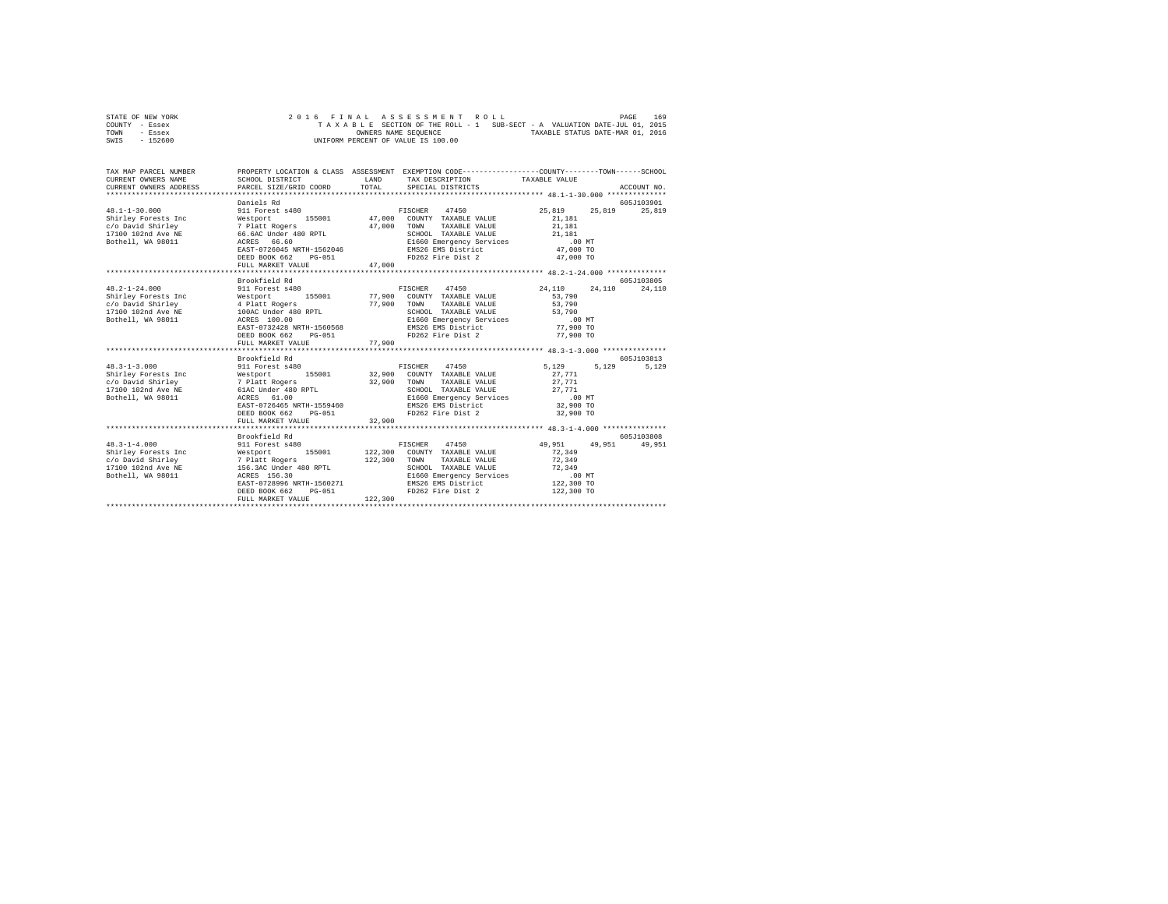| STATE OF NEW YORK |  |  |  | 2016 FINAL ASSESSMENT ROLL                                               |  |  |  |                                  | PAGE | 169 |
|-------------------|--|--|--|--------------------------------------------------------------------------|--|--|--|----------------------------------|------|-----|
| COUNTY - Essex    |  |  |  | TAXABLE SECTION OF THE ROLL - 1 SUB-SECT - A VALUATION DATE-JUL 01, 2015 |  |  |  |                                  |      |     |
| TOWN<br>- Essex   |  |  |  | OWNERS NAME SEOUENCE                                                     |  |  |  | TAXABLE STATUS DATE-MAR 01, 2016 |      |     |
| $-152600$<br>SWIS |  |  |  | UNIFORM PERCENT OF VALUE IS 100.00                                       |  |  |  |                                  |      |     |

| TAX MAP PARCEL NUMBER<br>CURRENT OWNERS NAME<br>CURRENT OWNERS ADDRESS                                                | SCHOOL DISTRICT<br>PARCEL SIZE/GRID COORD                                                                                                                                                       | LAND<br>TOTAL    | PROPERTY LOCATION & CLASS ASSESSMENT EXEMPTION CODE----------------COUNTY-------TOWN-----SCHOOL<br>TAX DESCRIPTION TAXABLE VALUE<br>SPECIAL DISTRICTS                          |                                                                                      | ACCOUNT NO.           |
|-----------------------------------------------------------------------------------------------------------------------|-------------------------------------------------------------------------------------------------------------------------------------------------------------------------------------------------|------------------|--------------------------------------------------------------------------------------------------------------------------------------------------------------------------------|--------------------------------------------------------------------------------------|-----------------------|
| $48.1 - 1 - 30.000$<br>Shirley Forests Inc<br>c/o David Shirley<br>17100 102nd Ave NE<br>Bothell, WA 98011            | Daniels Rd<br>911 Forest s480<br>Westport 155001<br>7 Platt Rogers<br>66.6AC Under 480 RPTL<br>ACRES 66.60<br>EAST-0726045 NRTH-1562046<br>DEED BOOK 662<br>PG-051<br>FULL MARKET VALUE         | 47,000<br>47.000 | FISCHER 47450<br>47,000 COUNTY TAXABLE VALUE<br>TOWN<br>TAXABLE VALUE<br>SCHOOL TAXABLE VALUE<br>E1660 Emergency Services<br>EMS26 EMS District<br>FD262 Fire Dist 2 47,000 TO | 25,819<br>25,819<br>21,181<br>21,181<br>21,181<br>.00 MT<br>47,000 TO                | 605J103901<br>25,819  |
|                                                                                                                       |                                                                                                                                                                                                 |                  |                                                                                                                                                                                |                                                                                      |                       |
| $48.2 - 1 - 24.000$                                                                                                   | Brookfield Rd<br>911 Forest s480                                                                                                                                                                |                  | FISCHER 47450                                                                                                                                                                  | 24,110<br>24,110                                                                     | 605J103805<br>24,110  |
| Shirley Forests Inc<br>c/o David Shirley<br>17100 102nd Ave NE<br>Bothell, WA 98011                                   | Westport<br>155001 77,900<br>--------<br>4 Platt Rogers<br>100AC Under 480 RPTL<br>ACRES 100.00<br>EAST-0732428 NRTH-1560568<br>DEED BOOK 662<br>PG-051<br>FULL MARKET VALUE                    | 77,900<br>77,900 | COUNTY TAXABLE VALUE<br>TOWN<br>TAXABLE VALUE<br>SCHOOL TAXABLE VALUE 53,790<br>E1660 Emergency Services .00 MT<br>EMS26 EMS District 77,900 TO<br>FD262 Fire Dist 2           | 53,790<br>53,790<br>77,900 TO                                                        |                       |
|                                                                                                                       |                                                                                                                                                                                                 |                  |                                                                                                                                                                                |                                                                                      |                       |
| $48.3 - 1 - 3.000$<br>Westport<br>Shirley Forests Inc<br>c/o David Shirley<br>17100 102nd Ave NE<br>Bothell, WA 98011 | Brookfield Rd<br>911 Forest s480<br>155001 32,900<br>Westport<br>7 Platt Rogers<br>61aC Under 480 RPTL<br>-- 61.00<br>EAST-0726465 NRTH-1559460<br>DEED BOOK 662<br>PG-051<br>FULL MARKET VALUE | 32,900<br>32,900 | FISCHER 47450<br>COUNTY TAXABLE VALUE<br>TOWN<br>TAXABLE VALUE<br>SCHOOL TAXABLE VALUE<br>E1660 Emergency Services .00 MT<br>EMS26 EMS District<br>FD262 Fire Dist 2           | 5,129<br>5,129<br>27.771<br>27.771<br>27.771<br>32,900 TO<br>32,900 TO               | 605J103813<br>5.129   |
| $48.3 - 1 - 4.000$<br>Bothell, WA 98011                                                                               | Brookfield Rd<br>911 Forest s480<br>155001<br>ACRES 156.30<br>EAST-0728996 NRTH-1560271<br>DEED BOOK 662<br>$PG-051$<br>FULL MARKET VALUE                                                       | 122,300          | FISCHER 47450<br>122,300 COUNTY TAXABLE VALUE<br>122,300 TOWN<br>TAXABLE VALUE<br>SCHOOL TAXABLE VALUE<br>E1660 Emergency Services<br>EMS26 EMS District<br>FD262 Fire Dist 2  | 49,951<br>49,951<br>72,349<br>72.349<br>72,349<br>.00 MT<br>122,300,70<br>122,300 TO | 605-T103808<br>49,951 |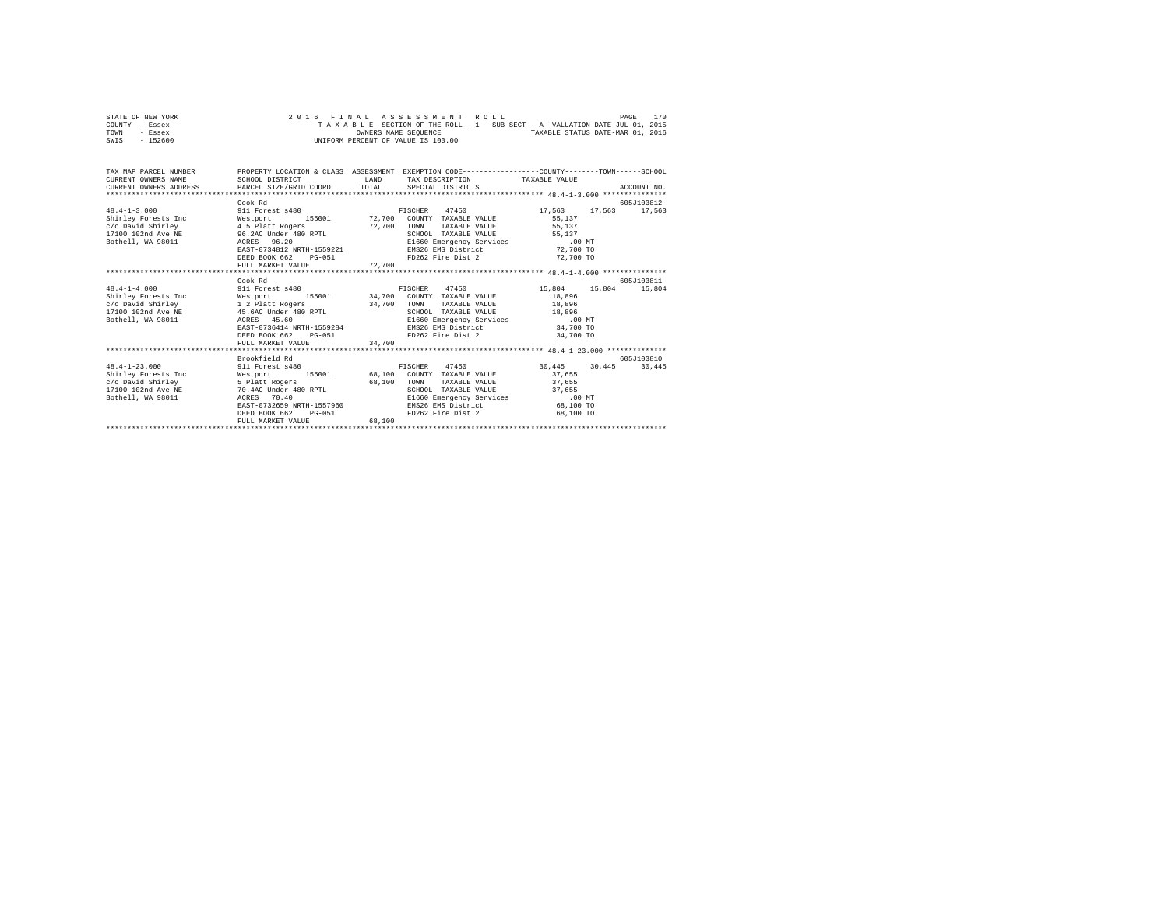| STATE OF NEW YORK |          |  |  |  | 2016 FINAL ASSESSMENT ROLL         |  |  |                                                                          |                                  | PAGE | 170 |
|-------------------|----------|--|--|--|------------------------------------|--|--|--------------------------------------------------------------------------|----------------------------------|------|-----|
| COUNTY - Essex    |          |  |  |  |                                    |  |  | TAXABLE SECTION OF THE ROLL - 1 SUB-SECT - A VALUATION DATE-JUL 01, 2015 |                                  |      |     |
| TOWN              | - Essex  |  |  |  | OWNERS NAME SEOUENCE               |  |  |                                                                          | TAXABLE STATUS DATE-MAR 01, 2016 |      |     |
| SWIS              | - 152600 |  |  |  | UNIFORM PERCENT OF VALUE IS 100.00 |  |  |                                                                          |                                  |      |     |

| TAX MAP PARCEL NUMBER PROPERTY LOCATION & CLASS ASSESSMENT EXEMPTION CODE--------------COUNTY-------TOWN-----SCHOOL<br>CURRENT OWNERS NAME<br>.CURRENT OWNERS ADDRESS PARCEL SIZE/GRID COORD TOTAL SPECIAL DISTRICTS (2011) ACCOUNT NO ACCOUNT NO CURRENT ACTOURS | SCHOOL DISTRICT                          |             | LAND TAX DESCRIPTION TAXABLE VALUE                                                                        |           |             |
|-------------------------------------------------------------------------------------------------------------------------------------------------------------------------------------------------------------------------------------------------------------------|------------------------------------------|-------------|-----------------------------------------------------------------------------------------------------------|-----------|-------------|
| $48.4 - 1 - 3.000$                                                                                                                                                                                                                                                | Cook Rd<br>911 Forest s480               |             | FISCHER 47450 17.563 17.563 17.563                                                                        |           | 605J103812  |
| Shirley Forests Inc                                                                                                                                                                                                                                               | Westport                                 |             | 155001 72,700 COUNTY TAXABLE VALUE                                                                        | 55,137    |             |
| c/o David Shirley                                                                                                                                                                                                                                                 | 4 5 Platt Rogers                         | 72,700 TOWN | TAXABLE VALUE 55,137                                                                                      |           |             |
|                                                                                                                                                                                                                                                                   |                                          |             | SCHOOL TAXABLE VALUE 55,137                                                                               |           |             |
|                                                                                                                                                                                                                                                                   | EAST-0734812 NRTH-1559221                |             |                                                                                                           |           |             |
|                                                                                                                                                                                                                                                                   | DEED BOOK 662 PG-051                     |             | E1660 Emergency Services<br>E1660 Emergency Services<br>EMS26 EMS District<br>FD262 Fire Dist 2 72,700 TO |           |             |
|                                                                                                                                                                                                                                                                   | FULL MARKET VALUE 72,700                 |             |                                                                                                           |           |             |
|                                                                                                                                                                                                                                                                   |                                          |             |                                                                                                           |           |             |
|                                                                                                                                                                                                                                                                   | Cook Rd                                  |             |                                                                                                           |           | 605-7103811 |
| $48.4 - 1 - 4.000$                                                                                                                                                                                                                                                | 911 Forest s480                          |             | FISCHER 47450 15,804 15,804 15,804                                                                        |           |             |
| Shirley Forests Inc                                                                                                                                                                                                                                               |                                          |             | Westport 155001 34,700 COUNTY TAXABLE VALUE<br>1 2 Platt Rogers 34,700 TOWN TAXABLE VALUE                 | 18,896    |             |
| c/o David Shirley                                                                                                                                                                                                                                                 |                                          |             | TAXABLE VALUE 18,896                                                                                      |           |             |
| 17100 102nd Ave NE 45.6AC Under 480 RPTL                                                                                                                                                                                                                          |                                          |             | SCHOOL TAXABLE VALUE 18,896                                                                               |           |             |
| Bothell, WA 98011 ACRES 45.60                                                                                                                                                                                                                                     | ACRES 45.60<br>EAST-0736414 NRTH-1559284 |             | E1660 Emergency Services .00 MT                                                                           |           |             |
|                                                                                                                                                                                                                                                                   |                                          |             | EMS26 EMS District 34,700 TO                                                                              |           |             |
|                                                                                                                                                                                                                                                                   | DEED BOOK 662 PG-051                     |             | FD262 Fire Dist 2 34,700 TO                                                                               |           |             |
|                                                                                                                                                                                                                                                                   | FULL MARKET VALUE 34,700                 |             |                                                                                                           |           |             |
|                                                                                                                                                                                                                                                                   | Brookfield Rd                            |             |                                                                                                           |           | 605-7103810 |
| 48.4-1-23.000 911 Forest s480 FISCHER 47450 30.445 30.445                                                                                                                                                                                                         |                                          |             |                                                                                                           |           | 30,445      |
| Shirley Forests Inc                                                                                                                                                                                                                                               |                                          |             | Westport 155001 68,100 COUNTY TAXABLE VALUE                                                               | 37,655    |             |
| c/o David Shirley                                                                                                                                                                                                                                                 |                                          | 68,100 TOWN | TAXABLE VALUE                                                                                             | 37,655    |             |
| 17100 102nd Ave NE                                                                                                                                                                                                                                                | 5 Platt Rogers<br>70.4AC Under 480 RPTL  |             | SCHOOL TAXABLE VALUE 37,655                                                                               |           |             |
| Bothell, WA 98011                                                                                                                                                                                                                                                 | ACRES<br>70.40                           |             | E1660 Emergency Services .00 MT                                                                           |           |             |
|                                                                                                                                                                                                                                                                   | EAST-0732659 NRTH-1557960                |             | EMS26 EMS District 68.100 TO                                                                              |           |             |
|                                                                                                                                                                                                                                                                   | DEED BOOK 662<br>$PG-051$                |             | FD262 Fire Dist 2                                                                                         | 68,100 TO |             |
|                                                                                                                                                                                                                                                                   | FULL MARKET VALUE                        | 68,100      |                                                                                                           |           |             |
|                                                                                                                                                                                                                                                                   |                                          |             |                                                                                                           |           |             |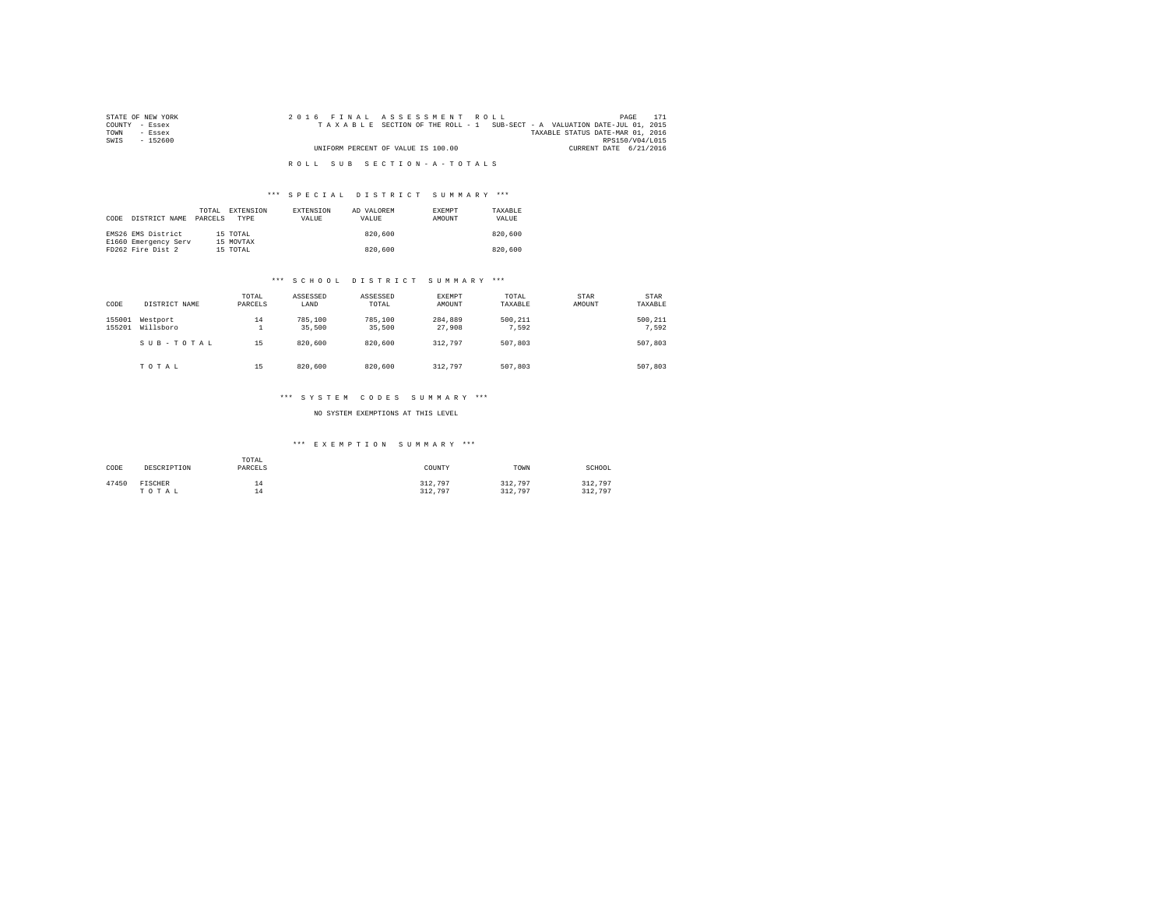| STATE OF NEW YORK | 2016 FINAL ASSESSMENT ROLL                                               | 171<br>PAGE                      |
|-------------------|--------------------------------------------------------------------------|----------------------------------|
| COUNTY - Essex    | TAXABLE SECTION OF THE ROLL - 1 SUB-SECT - A VALUATION DATE-JUL 01, 2015 |                                  |
| TOWN<br>- Essex   |                                                                          | TAXABLE STATUS DATE-MAR 01, 2016 |
| SWTS<br>- 152600  |                                                                          | RPS150/V04/L015                  |
|                   | UNIFORM PERCENT OF VALUE IS 100.00                                       | CURRENT DATE 6/21/2016           |
|                   |                                                                          |                                  |
|                   | ROLL SUB SECTION-A-TOTALS                                                |                                  |

## \*\*\* S P E C I A L D I S T R I C T S U M M A R Y \*\*\*

| CODE | DISTRICT NAME                             | TOTAL<br>PARCELS | EXTENSION<br><b>TYPE</b> | <b>EXTENSION</b><br>VALUE | AD VALOREM<br>VALUE | <b>EXEMPT</b><br>AMOUNT | TAXARLE<br>VALUE |
|------|-------------------------------------------|------------------|--------------------------|---------------------------|---------------------|-------------------------|------------------|
|      | EMS26 EMS District                        |                  | 15 TOTAL                 |                           | 820,600             |                         | 820,600          |
|      | E1660 Emergency Serv<br>FD262 Fire Dist 2 |                  | 15 MOVTAX<br>15 TOTAL    |                           | 820,600             |                         | 820,600          |

#### \*\*\* S C H O O L D I S T R I C T S U M M A R Y \*\*\*

| CODE             | DISTRICT NAME         | TOTAL<br>PARCELS | ASSESSED<br>LAND  | ASSESSED<br>TOTAL | EXEMPT<br>AMOUNT  | TOTAL<br>TAXABLE | <b>STAR</b><br>AMOUNT | STAR<br>TAXABLE  |
|------------------|-----------------------|------------------|-------------------|-------------------|-------------------|------------------|-----------------------|------------------|
| 155001<br>155201 | Westport<br>Willsboro | 14<br>÷.         | 785,100<br>35,500 | 785,100<br>35,500 | 284,889<br>27,908 | 500.211<br>7.592 |                       | 500.211<br>7.592 |
|                  | SUB-TOTAL             | 15               | 820,600           | 820,600           | 312.797           | 507.803          |                       | 507,803          |
|                  | TOTAL                 | 15               | 820,600           | 820,600           | 312.797           | 507,803          |                       | 507,803          |

# \*\*\* S Y S T E M C O D E S S U M M A R Y \*\*\*

## NO SYSTEM EXEMPTIONS AT THIS LEVEL

# \*\*\* E X E M P T I O N S U M M A R Y \*\*\*

| CODE  | DESCRIPTION      | TOTAL<br>PARCELS | COUNTY             | TOWN               | SCHOOL             |
|-------|------------------|------------------|--------------------|--------------------|--------------------|
| 47450 | FISCHER<br>TOTAL | 14<br>۰4<br>∸    | 312.797<br>312.797 | 312,797<br>312,797 | 312,797<br>312,797 |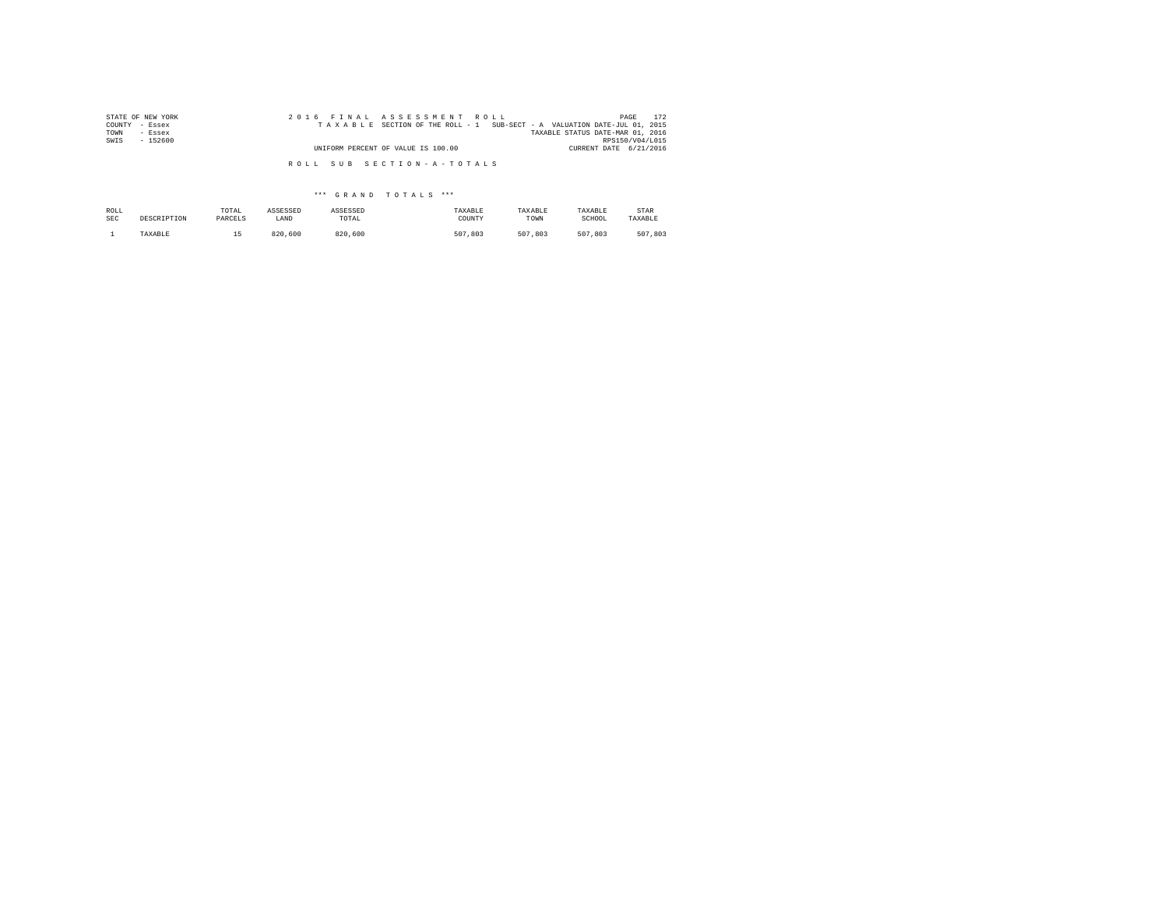| STATE OF NEW YORK<br>COUNTY<br>- Essex | 2016 FINAL ASSESSMENT ROLL<br>TAXABLE SECTION OF THE ROLL - 1 SUB-SECT - A VALUATION DATE-JUL 01, 2015 | 172<br>PAGE                               |
|----------------------------------------|--------------------------------------------------------------------------------------------------------|-------------------------------------------|
| TOWN<br>- Essex<br>$-152600$           |                                                                                                        | TAXABLE STATUS DATE-MAR 01, 2016          |
| SWIS                                   | UNIFORM PERCENT OF VALUE IS 100.00                                                                     | RPS150/V04/L015<br>CURRENT DATE 6/21/2016 |
|                                        | ROLL SUB SECTION-A-TOTALS                                                                              |                                           |

\*\*\* G R A N D T O T A L S \*\*\*

| ROLL       | DESCRIPTION | TOTAL   | ASSESSED | ASSESSED | TAXABLE | TAXABLE | TAXABLE | STAR    |
|------------|-------------|---------|----------|----------|---------|---------|---------|---------|
| <b>SEC</b> |             | PARCELS | LAND     | TOTAL    | COUNTY  | TOWN    | SCHOOL  | TAXABLE |
|            | TAXABLE     | --      | 820,600  | 820,600  | 507.803 | 507.803 | 507.803 | 507.803 |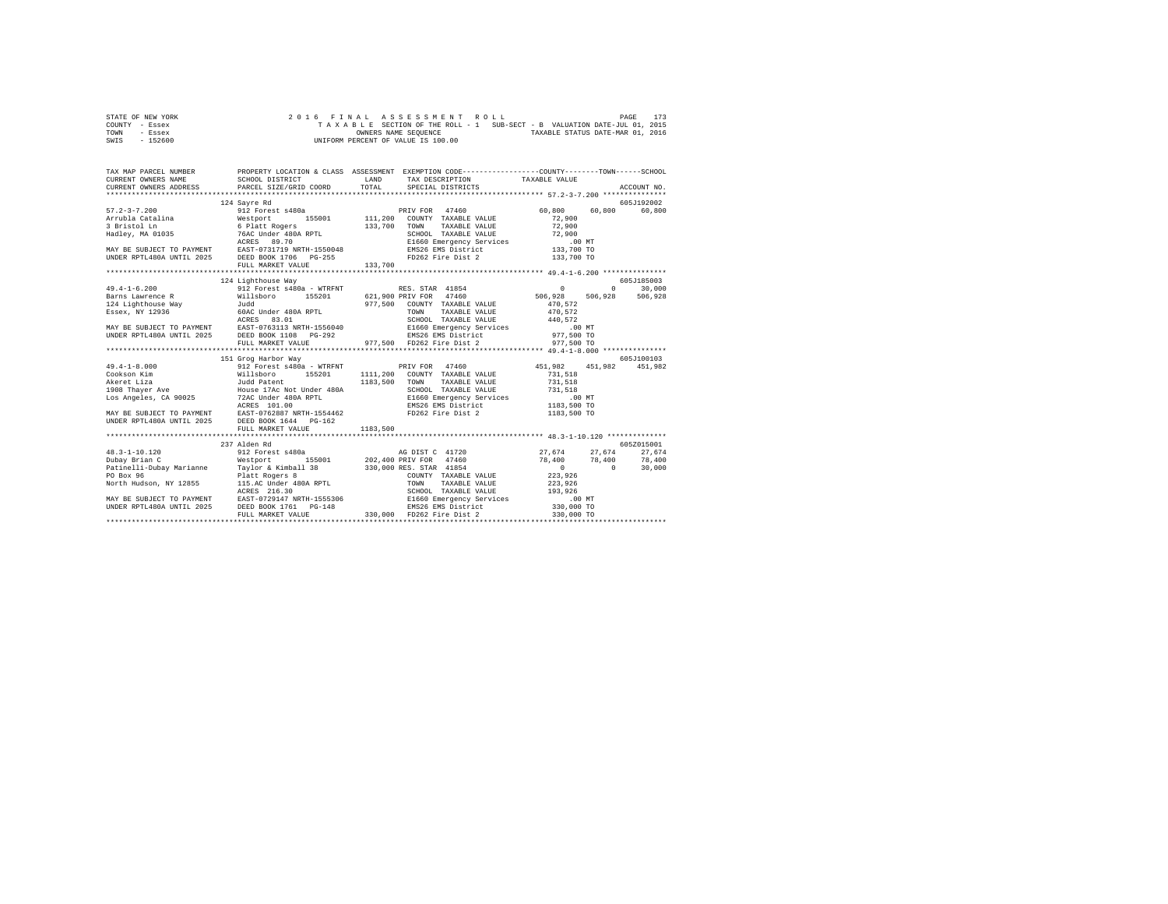| STATE OF NEW YORK | 2016 FINAL ASSESSMENT ROLL                                               | 173<br>PAGE                      |
|-------------------|--------------------------------------------------------------------------|----------------------------------|
| COUNTY - Essex    | TAXABLE SECTION OF THE ROLL - 1 SUB-SECT - B VALUATION DATE-JUL 01, 2015 |                                  |
| TOWN<br>- Essex   | OWNERS NAME SEOUENCE                                                     | TAXABLE STATUS DATE-MAR 01, 2016 |
| $-152600$<br>SWIS | UNIFORM PERCENT OF VALUE IS 100.00                                       |                                  |

| TAX MAP PARCEL NUMBER |                     | PROPERTY LOCATION & CLASS ASSESSMENT EXEMPTION CODE----------------COUNTY-------TOWN-----SCHOOL                                                                                                                                                                                                                                                                                              |            |
|-----------------------|---------------------|----------------------------------------------------------------------------------------------------------------------------------------------------------------------------------------------------------------------------------------------------------------------------------------------------------------------------------------------------------------------------------------------|------------|
|                       |                     |                                                                                                                                                                                                                                                                                                                                                                                              |            |
|                       |                     |                                                                                                                                                                                                                                                                                                                                                                                              |            |
|                       |                     |                                                                                                                                                                                                                                                                                                                                                                                              |            |
|                       | 124 Sayre Rd        |                                                                                                                                                                                                                                                                                                                                                                                              | 605J192002 |
|                       |                     |                                                                                                                                                                                                                                                                                                                                                                                              |            |
|                       |                     |                                                                                                                                                                                                                                                                                                                                                                                              |            |
|                       |                     |                                                                                                                                                                                                                                                                                                                                                                                              |            |
|                       |                     |                                                                                                                                                                                                                                                                                                                                                                                              |            |
|                       |                     |                                                                                                                                                                                                                                                                                                                                                                                              |            |
|                       |                     |                                                                                                                                                                                                                                                                                                                                                                                              |            |
|                       |                     |                                                                                                                                                                                                                                                                                                                                                                                              |            |
|                       |                     |                                                                                                                                                                                                                                                                                                                                                                                              |            |
|                       |                     |                                                                                                                                                                                                                                                                                                                                                                                              |            |
|                       | 124 Lighthouse Way  |                                                                                                                                                                                                                                                                                                                                                                                              | 605J185003 |
|                       |                     |                                                                                                                                                                                                                                                                                                                                                                                              |            |
|                       |                     |                                                                                                                                                                                                                                                                                                                                                                                              |            |
|                       |                     |                                                                                                                                                                                                                                                                                                                                                                                              |            |
|                       |                     |                                                                                                                                                                                                                                                                                                                                                                                              |            |
|                       |                     |                                                                                                                                                                                                                                                                                                                                                                                              |            |
|                       |                     |                                                                                                                                                                                                                                                                                                                                                                                              |            |
|                       |                     |                                                                                                                                                                                                                                                                                                                                                                                              |            |
|                       |                     |                                                                                                                                                                                                                                                                                                                                                                                              |            |
|                       |                     |                                                                                                                                                                                                                                                                                                                                                                                              |            |
|                       | 151 Grog Harbor Way |                                                                                                                                                                                                                                                                                                                                                                                              | 605J100103 |
|                       |                     |                                                                                                                                                                                                                                                                                                                                                                                              |            |
|                       |                     |                                                                                                                                                                                                                                                                                                                                                                                              |            |
|                       |                     |                                                                                                                                                                                                                                                                                                                                                                                              |            |
|                       |                     |                                                                                                                                                                                                                                                                                                                                                                                              |            |
|                       |                     |                                                                                                                                                                                                                                                                                                                                                                                              |            |
|                       |                     |                                                                                                                                                                                                                                                                                                                                                                                              |            |
|                       |                     |                                                                                                                                                                                                                                                                                                                                                                                              |            |
|                       |                     |                                                                                                                                                                                                                                                                                                                                                                                              |            |
|                       |                     |                                                                                                                                                                                                                                                                                                                                                                                              |            |
|                       | 237 Alden Rd        |                                                                                                                                                                                                                                                                                                                                                                                              | 605Z015001 |
|                       |                     |                                                                                                                                                                                                                                                                                                                                                                                              |            |
|                       |                     |                                                                                                                                                                                                                                                                                                                                                                                              |            |
|                       |                     |                                                                                                                                                                                                                                                                                                                                                                                              |            |
|                       |                     |                                                                                                                                                                                                                                                                                                                                                                                              |            |
|                       |                     |                                                                                                                                                                                                                                                                                                                                                                                              |            |
|                       |                     |                                                                                                                                                                                                                                                                                                                                                                                              |            |
|                       |                     |                                                                                                                                                                                                                                                                                                                                                                                              |            |
|                       |                     |                                                                                                                                                                                                                                                                                                                                                                                              |            |
|                       |                     | $\begin{tabular}{l c c c c} \multicolumn{1}{c}{\textbf{0.3--1-10.120}} & \multicolumn{1}{c}{27,674} & \multicolumn{1}{c}{27,674} & \multicolumn{1}{c}{27,674} & \multicolumn{1}{c}{27,674} & \multicolumn{1}{c}{27,674} & \multicolumn{1}{c}{27,674} & \multicolumn{1}{c}{27,674} & \multicolumn{1}{c}{27,674} & \multicolumn{1}{c}{27,674} & \multicolumn{1}{c}{27,674} & \multicolumn{1}{$ |            |
|                       |                     |                                                                                                                                                                                                                                                                                                                                                                                              |            |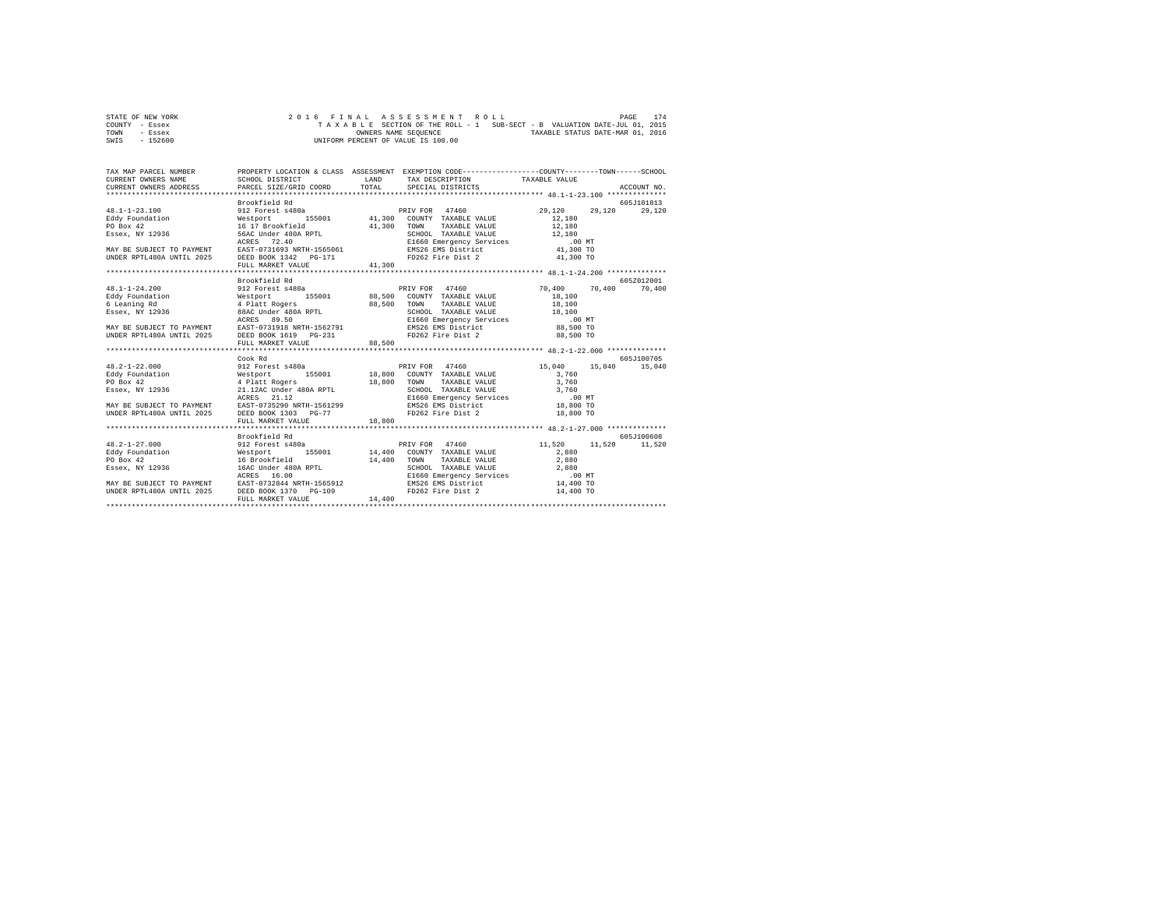| STATE OF NEW YORK |  |  | 2016 FINAL ASSESSMENT ROLL         |  |  |                                                                          |                                  | PAGE | 174 |
|-------------------|--|--|------------------------------------|--|--|--------------------------------------------------------------------------|----------------------------------|------|-----|
| COUNTY - Essex    |  |  |                                    |  |  | TAXABLE SECTION OF THE ROLL - 1 SUB-SECT - B VALUATION DATE-JUL 01, 2015 |                                  |      |     |
| TOWN<br>- Essex   |  |  | OWNERS NAME SEOUENCE               |  |  |                                                                          | TAXABLE STATUS DATE-MAR 01, 2016 |      |     |
| $-152600$<br>SWIS |  |  | UNIFORM PERCENT OF VALUE IS 100.00 |  |  |                                                                          |                                  |      |     |

| TAX MAP PARCEL NUMBER<br>CURRENT OWNERS NAME<br>CURRENT OWNERS ADDRESS PARCEL SIZE/GRID COORD          | SCHOOL DISTRICT                                                                                                  | LAND<br>TOTAL | PROPERTY LOCATION & CLASS ASSESSMENT EXEMPTION CODE----------------COUNTY-------TOWN-----SCHOOL<br>TAX DESCRIPTION TAXABLE VALUE<br>SPECIAL DISTRICTS |                  | ACCOUNT NO.   |
|--------------------------------------------------------------------------------------------------------|------------------------------------------------------------------------------------------------------------------|---------------|-------------------------------------------------------------------------------------------------------------------------------------------------------|------------------|---------------|
|                                                                                                        |                                                                                                                  |               |                                                                                                                                                       |                  |               |
|                                                                                                        | Brookfield Rd                                                                                                    |               |                                                                                                                                                       |                  | 605J101813    |
| $48.1 - 1 - 23.100$                                                                                    | 912 Forest s480a<br>Westport 1<br>16 17 Brookfield                                                               |               | PRIV FOR 47460                                                                                                                                        | 29,120<br>29,120 | 29,120        |
|                                                                                                        |                                                                                                                  |               |                                                                                                                                                       | 12,180           |               |
| Eddy Foundation<br>PO Box 42                                                                           |                                                                                                                  | 41,300        | TOWN<br>TAXABLE VALUE                                                                                                                                 | 12,180           |               |
|                                                                                                        |                                                                                                                  |               |                                                                                                                                                       | 12,180           |               |
| FO BOX 72<br>Essex, NY 12936 56AC Under 480A RPTL                                                      |                                                                                                                  |               | SCHOOL TAXABLE VALUE 12,180<br>E1660 Emergency Services .00 MT<br>EMS26 EMS District 41,300 TO                                                        |                  |               |
| MAY BE SUBJECT TO PAYMENT EAST-0731693 NRTH-1565061                                                    |                                                                                                                  |               |                                                                                                                                                       |                  |               |
| UNDER RPTL480A UNTIL 2025 DEED BOOK 1342 PG-171                                                        |                                                                                                                  |               | FD262 Fire Dist 2 41,300 TO                                                                                                                           |                  |               |
|                                                                                                        | FULL MARKET VALUE                                                                                                | 41,300        |                                                                                                                                                       |                  |               |
|                                                                                                        |                                                                                                                  |               |                                                                                                                                                       |                  |               |
|                                                                                                        | Brookfield Rd                                                                                                    |               |                                                                                                                                                       |                  | 605Z012001    |
| $48.1 - 1 - 24.200$                                                                                    | 912 Forest s480a                                                                                                 |               | PRIV FOR 47460                                                                                                                                        | 70.400 70.400    | 70,400        |
|                                                                                                        | Mission: 155001<br>Westport 155001<br>4 Platt Rogers 88,500<br>88AC Under 480A RPTL<br>Theo 89,50<br>1560 156001 |               | 155001 88,500 COUNTY TAXABLE VALUE                                                                                                                    |                  |               |
| Eddy Foundation                                                                                        |                                                                                                                  |               |                                                                                                                                                       | 18,100           |               |
| 6 Leaning Rd                                                                                           |                                                                                                                  |               | TOWN<br>TAXABLE VALUE                                                                                                                                 | 18,100           |               |
| Essex, NY 12936                                                                                        |                                                                                                                  |               | SCHOOL TAXABLE VALUE 18,100<br>E1660 Emergency Services .00 MT<br>EMS26 EMS District 88,500 TO                                                        |                  |               |
|                                                                                                        |                                                                                                                  |               |                                                                                                                                                       |                  |               |
| MAY BE SUBJECT TO PAYMENT EAST-0731918 NRTH-1562791                                                    |                                                                                                                  |               |                                                                                                                                                       |                  |               |
| UNDER RPTL480A UNTIL 2025                                                                              | DEED BOOK 1619 PG-231                                                                                            |               | FD262 Fire Dist 2                                                                                                                                     | 88,500 TO        |               |
|                                                                                                        | FULL MARKET VALUE                                                                                                | 88,500        |                                                                                                                                                       |                  |               |
|                                                                                                        |                                                                                                                  |               |                                                                                                                                                       |                  |               |
|                                                                                                        | Cook Rd                                                                                                          |               |                                                                                                                                                       |                  | 605J100705    |
|                                                                                                        |                                                                                                                  |               | PRIV FOR 47460                                                                                                                                        | 15,040           | 15,040 15,040 |
|                                                                                                        |                                                                                                                  |               | COUNTY TAXABLE VALUE                                                                                                                                  | 3,760            |               |
|                                                                                                        |                                                                                                                  |               | TOWN<br>TAXABLE VALUE                                                                                                                                 | 3,760            |               |
|                                                                                                        |                                                                                                                  |               |                                                                                                                                                       |                  |               |
|                                                                                                        |                                                                                                                  |               |                                                                                                                                                       |                  |               |
|                                                                                                        |                                                                                                                  |               | $ENSS26$ EMS District                                                                                                                                 | 18,800 TO        |               |
| MAY BE SUBJECT TO PAYMENT EAST-0735290 NRTH-1561299<br>UNDER RPTL480A UNTIL 2025 DEED BOOK 1303 PG-77  |                                                                                                                  |               | FD262 Fire Dist 2                                                                                                                                     | 18,800 TO        |               |
|                                                                                                        | FULL MARKET VALUE                                                                                                | 18,800        |                                                                                                                                                       |                  |               |
|                                                                                                        |                                                                                                                  |               |                                                                                                                                                       |                  |               |
|                                                                                                        | Brookfield Rd                                                                                                    |               |                                                                                                                                                       |                  | 605-7100608   |
| $48.2 - 1 - 27.000$                                                                                    | 912 Forest s480a                                                                                                 |               | PRIV FOR 47460                                                                                                                                        | 11,520<br>11,520 | 11,520        |
|                                                                                                        |                                                                                                                  |               | 155001 14,400 COUNTY TAXABLE VALUE                                                                                                                    | 2,880            |               |
|                                                                                                        |                                                                                                                  |               | 14,400 TOWN<br>TAXABLE VALUE                                                                                                                          | 2,880            |               |
|                                                                                                        |                                                                                                                  |               | SCHOOL TAXABLE VALUE                                                                                                                                  | 2,880            |               |
|                                                                                                        | ACRES<br>16.00                                                                                                   |               |                                                                                                                                                       |                  |               |
|                                                                                                        |                                                                                                                  |               | E1660 Emergency Services .00 MT<br>EMS26 EMS District 14,400 TO                                                                                       |                  |               |
| MAY BE SUBJECT TO PAYMENT EAST-0732844 NRTH-1565912<br>UNDER RPTL480A UNTIL 2025 DEED BOOK 1370 PG-109 |                                                                                                                  |               | FD262 Fire Dist 2                                                                                                                                     | 14,400 TO        |               |
|                                                                                                        | FULL MARKET VALUE                                                                                                | 14,400        |                                                                                                                                                       |                  |               |
|                                                                                                        |                                                                                                                  |               |                                                                                                                                                       |                  |               |
|                                                                                                        |                                                                                                                  |               |                                                                                                                                                       |                  |               |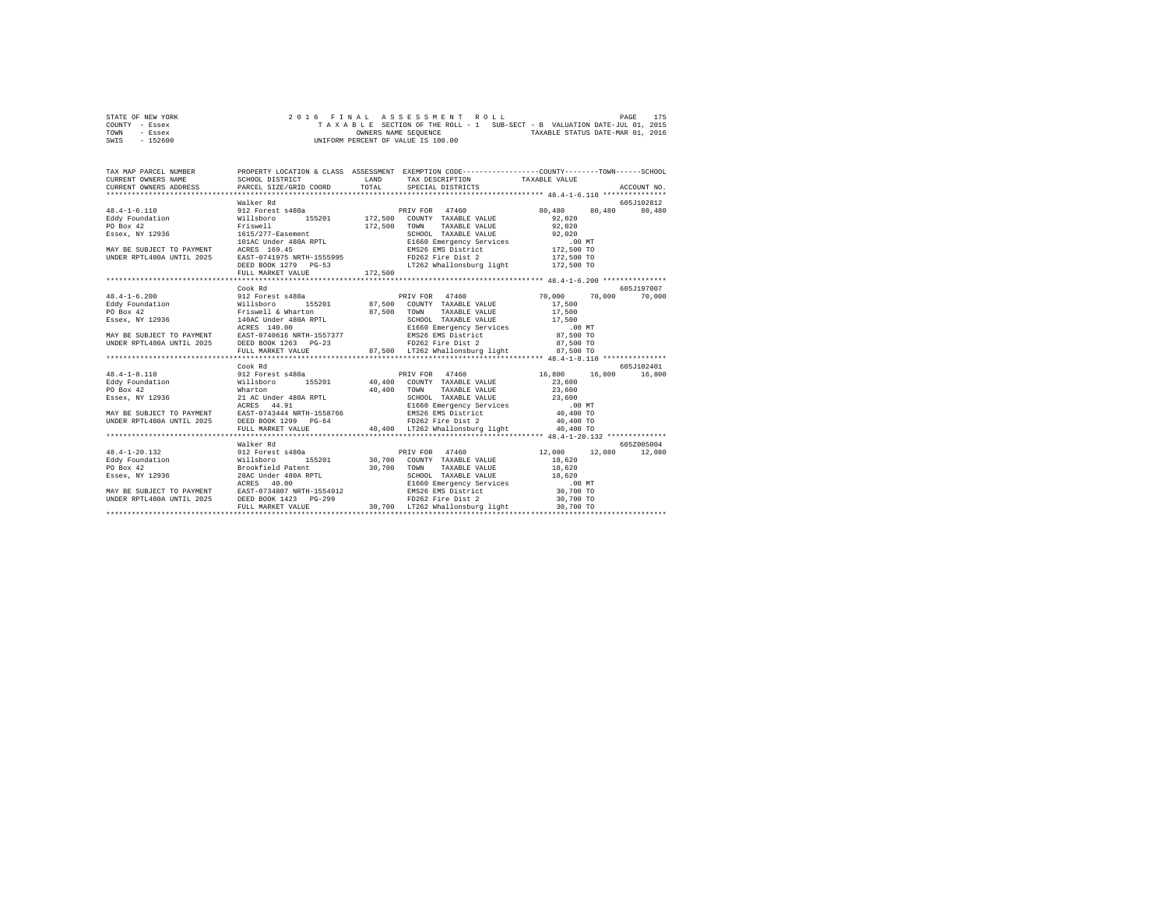| STATE OF NEW YORK |          |  |  |  |  | 2016 FINAL ASSESSMENT ROLL                                               |  |  |                                  | PAGE | 175 |
|-------------------|----------|--|--|--|--|--------------------------------------------------------------------------|--|--|----------------------------------|------|-----|
| COUNTY - Essex    |          |  |  |  |  | TAXABLE SECTION OF THE ROLL - 1 SUB-SECT - B VALUATION DATE-JUL 01, 2015 |  |  |                                  |      |     |
| TOWN              | - Essex  |  |  |  |  | OWNERS NAME SEOUENCE                                                     |  |  | TAXABLE STATUS DATE-MAR 01, 2016 |      |     |
| SWIS              | - 152600 |  |  |  |  | UNIFORM PERCENT OF VALUE IS 100.00                                       |  |  |                                  |      |     |

| 19.4-1-6.110 (1912 ROMER RELEVAL PRINT POLITIC SUPPLY ON THE RELEVAL PRINT POLITIC SUPPLY ON THE SEAL OF DEVICE AND THE POLITIC SUPPLY ON THE PRINT POLITIC SUPPLY ON THE PRINT POLITIC SUPPLY ON THE PRINT POLITIC SUPPLY ON                                                                                                                                                                   |         |  |            |
|-------------------------------------------------------------------------------------------------------------------------------------------------------------------------------------------------------------------------------------------------------------------------------------------------------------------------------------------------------------------------------------------------|---------|--|------------|
|                                                                                                                                                                                                                                                                                                                                                                                                 |         |  |            |
|                                                                                                                                                                                                                                                                                                                                                                                                 |         |  |            |
|                                                                                                                                                                                                                                                                                                                                                                                                 |         |  |            |
|                                                                                                                                                                                                                                                                                                                                                                                                 |         |  |            |
|                                                                                                                                                                                                                                                                                                                                                                                                 |         |  |            |
|                                                                                                                                                                                                                                                                                                                                                                                                 |         |  |            |
|                                                                                                                                                                                                                                                                                                                                                                                                 |         |  |            |
|                                                                                                                                                                                                                                                                                                                                                                                                 |         |  |            |
|                                                                                                                                                                                                                                                                                                                                                                                                 |         |  |            |
|                                                                                                                                                                                                                                                                                                                                                                                                 |         |  |            |
|                                                                                                                                                                                                                                                                                                                                                                                                 | Cook Rd |  | 605J197007 |
|                                                                                                                                                                                                                                                                                                                                                                                                 |         |  |            |
|                                                                                                                                                                                                                                                                                                                                                                                                 |         |  |            |
|                                                                                                                                                                                                                                                                                                                                                                                                 |         |  |            |
|                                                                                                                                                                                                                                                                                                                                                                                                 |         |  |            |
|                                                                                                                                                                                                                                                                                                                                                                                                 |         |  |            |
|                                                                                                                                                                                                                                                                                                                                                                                                 |         |  |            |
|                                                                                                                                                                                                                                                                                                                                                                                                 |         |  |            |
|                                                                                                                                                                                                                                                                                                                                                                                                 |         |  |            |
| 48.4-1-6.200<br>48.4-1-6.200<br>Eddy Foundation Willsboro 155201<br>Eddy Foundation Willsboro 155201 87,500 COUNTY TAXABLE VALUE 17,500<br>FOR ANY 12936 Fissuell & Wharton 87,500 TOM TAXABLE VALUE 17,500<br>ESSEX, NY 12936 I40AC                                                                                                                                                            |         |  |            |
|                                                                                                                                                                                                                                                                                                                                                                                                 | Cook Rd |  | 605J102401 |
|                                                                                                                                                                                                                                                                                                                                                                                                 |         |  |            |
|                                                                                                                                                                                                                                                                                                                                                                                                 |         |  |            |
|                                                                                                                                                                                                                                                                                                                                                                                                 |         |  |            |
|                                                                                                                                                                                                                                                                                                                                                                                                 |         |  |            |
|                                                                                                                                                                                                                                                                                                                                                                                                 |         |  |            |
|                                                                                                                                                                                                                                                                                                                                                                                                 |         |  |            |
|                                                                                                                                                                                                                                                                                                                                                                                                 |         |  |            |
|                                                                                                                                                                                                                                                                                                                                                                                                 |         |  |            |
|                                                                                                                                                                                                                                                                                                                                                                                                 |         |  |            |
|                                                                                                                                                                                                                                                                                                                                                                                                 |         |  |            |
|                                                                                                                                                                                                                                                                                                                                                                                                 |         |  |            |
|                                                                                                                                                                                                                                                                                                                                                                                                 |         |  |            |
|                                                                                                                                                                                                                                                                                                                                                                                                 |         |  |            |
|                                                                                                                                                                                                                                                                                                                                                                                                 |         |  |            |
| $\begin{tabular}{l cccc} \multicolumn{1}{c}{\textbf{18.4--120.132}} \multicolumn{1}{c}{\textbf{18.4--20.132}} \multicolumn{1}{c}{\textbf{18.4--20.132}} \multicolumn{1}{c}{\textbf{18.4--20.132}} \multicolumn{1}{c}{\textbf{18.4--20.132}} \multicolumn{1}{c}{\textbf{18.4--20.132}} \multicolumn{1}{c}{\textbf{18.4--20.132}} \multicolumn{1}{c}{\textbf{18.4--20.132}} \multicolumn{1}{c}{\$ |         |  |            |
|                                                                                                                                                                                                                                                                                                                                                                                                 |         |  |            |
|                                                                                                                                                                                                                                                                                                                                                                                                 |         |  |            |
|                                                                                                                                                                                                                                                                                                                                                                                                 |         |  |            |
|                                                                                                                                                                                                                                                                                                                                                                                                 |         |  |            |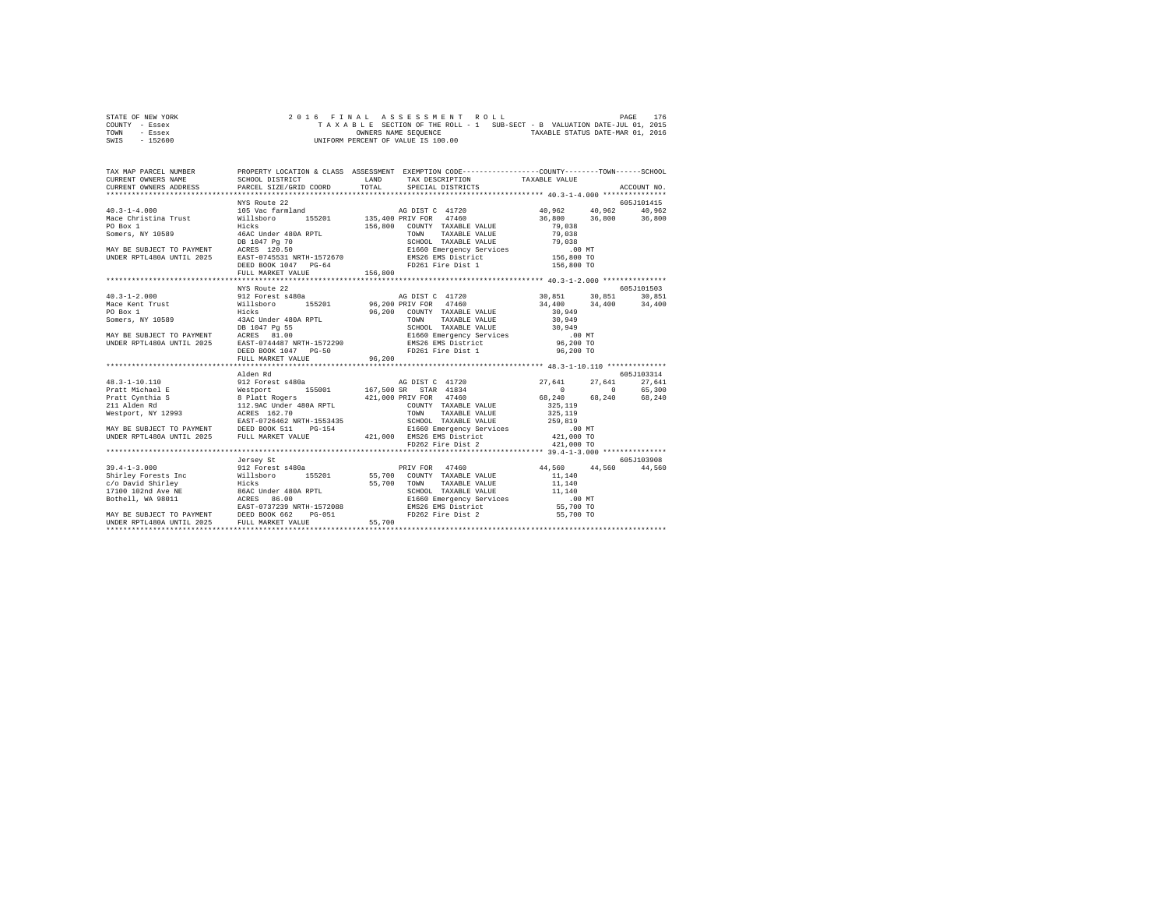| STATE OF NEW YORK |           |  |  |  |  | 2016 FINAL ASSESSMENT ROLL<br>PAGE                                       | 176 |
|-------------------|-----------|--|--|--|--|--------------------------------------------------------------------------|-----|
| COUNTY - Essex    |           |  |  |  |  | TAXABLE SECTION OF THE ROLL - 1 SUB-SECT - B VALUATION DATE-JUL 01, 2015 |     |
| TOWN              | - Essex   |  |  |  |  | TAXABLE STATUS DATE-MAR 01, 2016<br>OWNERS NAME SEOUENCE                 |     |
| SWIS              | $-152600$ |  |  |  |  | UNIFORM PERCENT OF VALUE IS 100.00                                       |     |

| TAX MAP PARCEL NUMBER                         | PROPERTY LOCATION & CLASS ASSESSMENT EXEMPTION CODE----------------COUNTY-------TOWN------SCHOOL |             |                                                            |             |
|-----------------------------------------------|--------------------------------------------------------------------------------------------------|-------------|------------------------------------------------------------|-------------|
| CURRENT OWNERS NAME                           | SCHOOL DISTRICT                                                                                  | <b>LAND</b> | LAND TAX DESCRIPTION TAXABLE VALUE TOTAL SPECIAL DISTRICTS |             |
| CURRENT OWNERS ADDRESS PARCEL SIZE/GRID COORD |                                                                                                  |             |                                                            | ACCOUNT NO. |
|                                               |                                                                                                  |             |                                                            |             |
|                                               |                                                                                                  |             |                                                            |             |
|                                               |                                                                                                  |             |                                                            |             |
|                                               |                                                                                                  |             |                                                            |             |
|                                               |                                                                                                  |             |                                                            |             |
|                                               |                                                                                                  |             |                                                            |             |
|                                               |                                                                                                  |             |                                                            |             |
|                                               |                                                                                                  |             |                                                            |             |
|                                               |                                                                                                  |             |                                                            |             |
|                                               | DEED BOOK 1047 PG-64                                                                             |             | FD261 Fire Dist 1 156,800 TO                               |             |
|                                               |                                                                                                  |             |                                                            |             |
|                                               |                                                                                                  |             |                                                            |             |
|                                               | NYS Route 22                                                                                     |             |                                                            | 605J101503  |
|                                               |                                                                                                  |             |                                                            |             |
|                                               |                                                                                                  |             |                                                            |             |
|                                               |                                                                                                  |             |                                                            |             |
|                                               |                                                                                                  |             |                                                            |             |
|                                               |                                                                                                  |             |                                                            |             |
|                                               |                                                                                                  |             |                                                            |             |
|                                               |                                                                                                  |             |                                                            |             |
|                                               |                                                                                                  |             |                                                            |             |
|                                               | FULL MARKET VALUE 96,200                                                                         |             |                                                            |             |
|                                               |                                                                                                  |             |                                                            |             |
|                                               | Alden Rd                                                                                         |             |                                                            | 605J103314  |
|                                               |                                                                                                  |             |                                                            |             |
|                                               |                                                                                                  |             |                                                            |             |
|                                               |                                                                                                  |             |                                                            |             |
|                                               |                                                                                                  |             |                                                            |             |
|                                               |                                                                                                  |             |                                                            |             |
|                                               |                                                                                                  |             |                                                            |             |
|                                               |                                                                                                  |             |                                                            |             |
|                                               |                                                                                                  |             |                                                            |             |
|                                               |                                                                                                  |             |                                                            |             |
|                                               |                                                                                                  |             |                                                            |             |
|                                               |                                                                                                  |             |                                                            |             |
|                                               | Jersey St                                                                                        |             |                                                            | 605.7103908 |
|                                               |                                                                                                  |             |                                                            |             |
|                                               |                                                                                                  |             |                                                            |             |
|                                               |                                                                                                  |             |                                                            |             |
|                                               |                                                                                                  |             |                                                            |             |
|                                               |                                                                                                  |             |                                                            |             |
|                                               |                                                                                                  |             |                                                            |             |
|                                               |                                                                                                  |             |                                                            |             |
|                                               |                                                                                                  |             |                                                            |             |
|                                               |                                                                                                  |             |                                                            |             |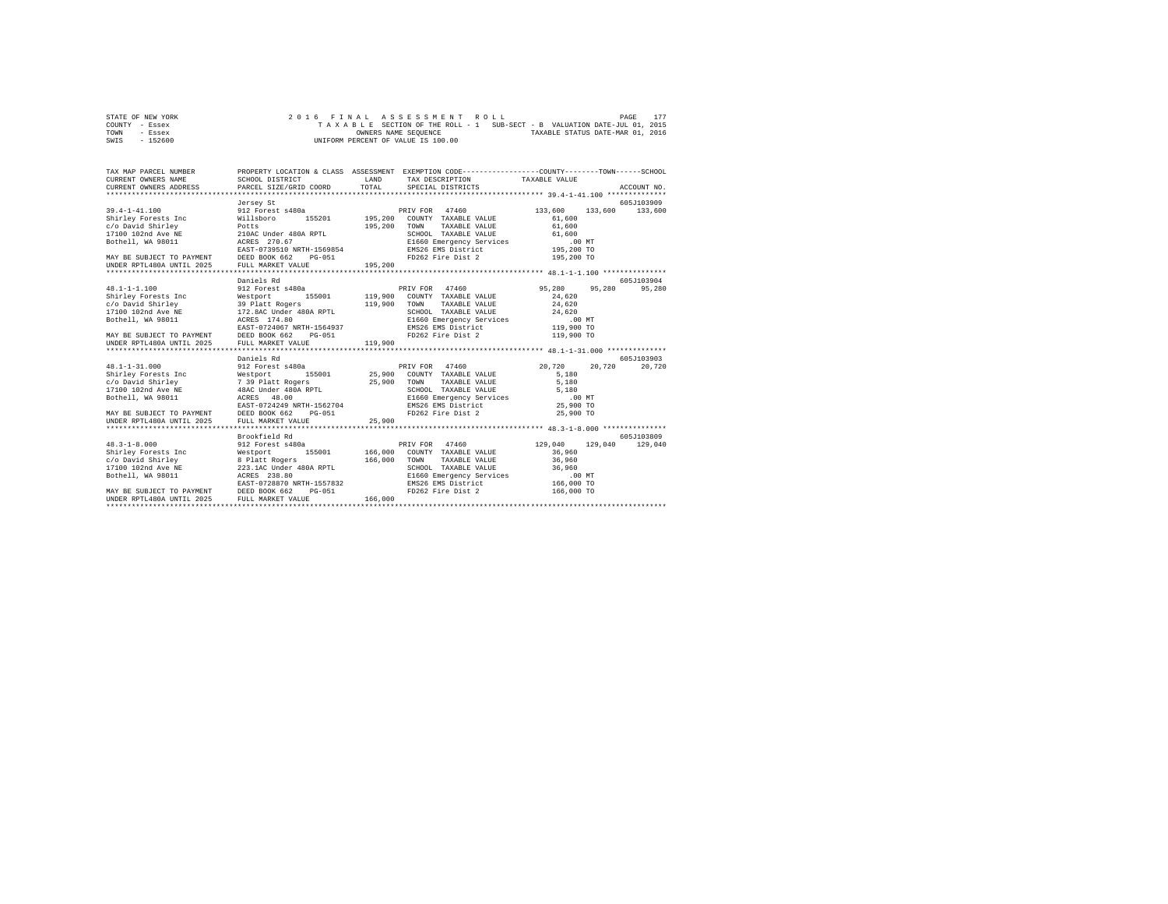| STATE OF NEW YORK | 2016 FINAL ASSESSMENT ROLL                                               | 177<br>PAGE                      |
|-------------------|--------------------------------------------------------------------------|----------------------------------|
| COUNTY - Essex    | TAXABLE SECTION OF THE ROLL - 1 SUB-SECT - B VALUATION DATE-JUL 01, 2015 |                                  |
| TOWN<br>- Essex   | OWNERS NAME SEOUENCE                                                     | TAXABLE STATUS DATE-MAR 01, 2016 |
| $-152600$<br>SWIS | UNIFORM PERCENT OF VALUE IS 100.00                                       |                                  |

| TAX MAP PARCEL NUMBER                                                                                                                                                                                                                                                                               | PROPERTY LOCATION & CLASS ASSESSMENT EXEMPTION CODE---------------COUNTY-------TOWN-----SCHOOL |         |                                                                                                                                                                                                                                                                                                |                   |                       |
|-----------------------------------------------------------------------------------------------------------------------------------------------------------------------------------------------------------------------------------------------------------------------------------------------------|------------------------------------------------------------------------------------------------|---------|------------------------------------------------------------------------------------------------------------------------------------------------------------------------------------------------------------------------------------------------------------------------------------------------|-------------------|-----------------------|
|                                                                                                                                                                                                                                                                                                     | Jersey St                                                                                      |         |                                                                                                                                                                                                                                                                                                |                   | 605J103909            |
| 39.4-1-41.100 912 Forest s480a<br>Shirley Forests Inc Willsboro 1<br>SILTING POTENTS IN THE STRUCTURE OF A STRUCTURE PRESSURE AND TRANSPORTED AND TRANSPORTED AND ISLAMIC PRESSURE OF A SCHOOL TAXABLE VALUE OF A SCHOOL TAXABLE VALUE OF A SCHOOL TAXABLE VALUE OF A SCHOOL TAXABLE VALUE OF A SCH |                                                                                                |         | ${\tt s480a} \begin{tabular}{lcccc} \multicolumn{2}{c}{\textbf{0}} & \multicolumn{2}{c}{\textbf{PRIV FOR}} & \multicolumn{2}{c}{\textbf{47460}}\\ \multicolumn{2}{c}{\textbf{155201}} & \multicolumn{2}{c}{\textbf{195,200}} & \multicolumn{2}{c}{\textbf{CONTY TRXABLE VALUE}} \end{tabular}$ | 133,600<br>61,600 | 133,600 133,600       |
|                                                                                                                                                                                                                                                                                                     |                                                                                                |         |                                                                                                                                                                                                                                                                                                |                   |                       |
|                                                                                                                                                                                                                                                                                                     |                                                                                                |         |                                                                                                                                                                                                                                                                                                |                   |                       |
|                                                                                                                                                                                                                                                                                                     | Daniels Rd                                                                                     |         |                                                                                                                                                                                                                                                                                                |                   | 605-7103904<br>95,280 |
|                                                                                                                                                                                                                                                                                                     |                                                                                                |         |                                                                                                                                                                                                                                                                                                |                   |                       |
|                                                                                                                                                                                                                                                                                                     | Daniels Rd                                                                                     |         |                                                                                                                                                                                                                                                                                                | 20.720            | 605J103903<br>20,720  |
| UNDER RPTL480A UNTIL 2025                                                                                                                                                                                                                                                                           | FULL MARKET VALUE                                                                              | 25,900  |                                                                                                                                                                                                                                                                                                |                   |                       |
| $48.3 - 1 - 8.000$                                                                                                                                                                                                                                                                                  | Brookfield Rd<br>912 Forest s480a                                                              |         | PRIV FOR 47460                                                                                                                                                                                                                                                                                 | 129,040 129,040   | 605J103809<br>129,040 |
|                                                                                                                                                                                                                                                                                                     |                                                                                                |         | 166,000 TOWN TAXABLE VALUE 36,960<br>166,000 TOWN TAXABLE VALUE 36,960<br>SHOGO TAXABLE VALUE 36,960<br>EIGO Emergency Services<br>ENS26 EWS District 166,000 TO<br>ENS26 EVE Dist 2 166,000 TO                                                                                                |                   |                       |
| UNDER RPTL480A UNTIL 2025 FULL MARKET VALUE                                                                                                                                                                                                                                                         |                                                                                                | 166,000 |                                                                                                                                                                                                                                                                                                |                   |                       |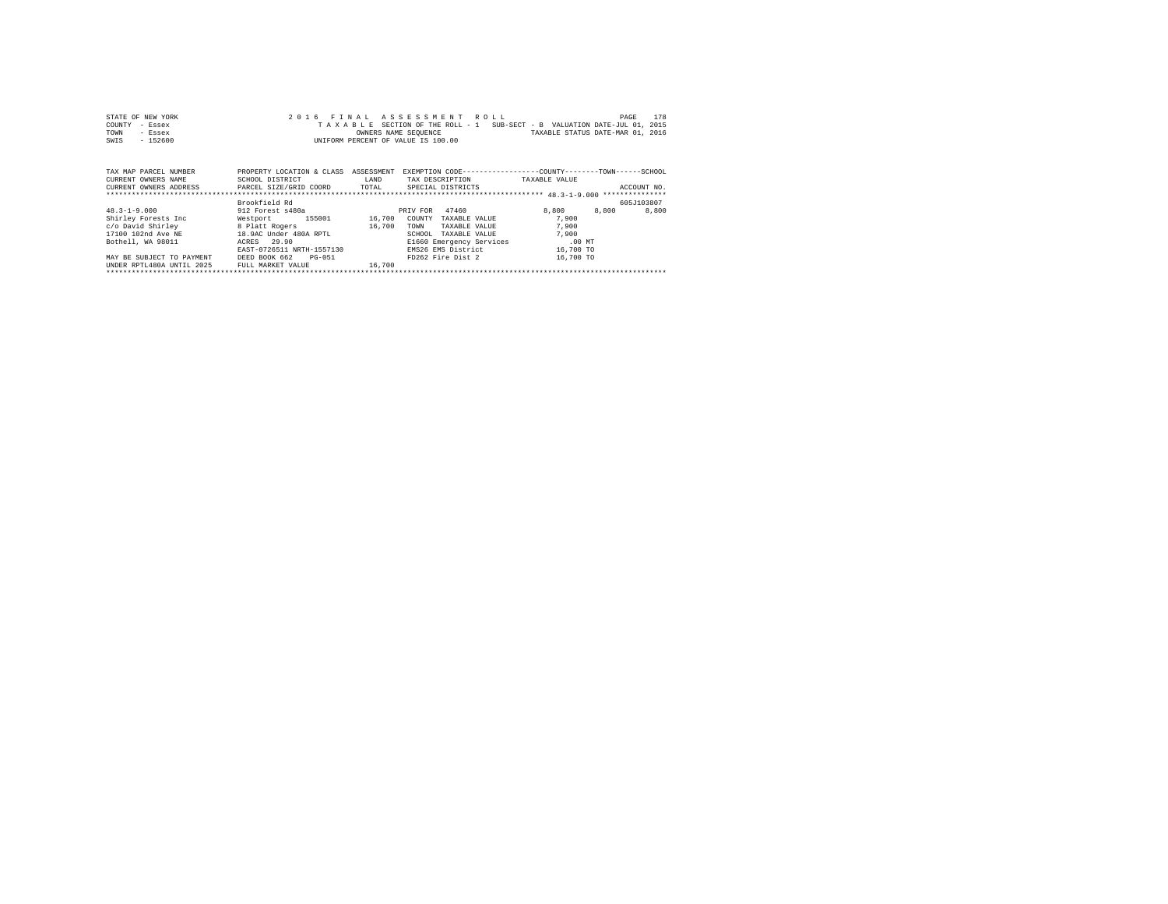| STATE OF NEW YORK | 2016 FINAL ASSESSMENT ROLL                                               | 178<br>PAGE                      |
|-------------------|--------------------------------------------------------------------------|----------------------------------|
| COUNTY - Essex    | TAXABLE SECTION OF THE ROLL - 1 SUB-SECT - B VALUATION DATE-JUL 01, 2015 |                                  |
| TOWN<br>- Essex   | OWNERS NAME SEOUENCE                                                     | TAXABLE STATUS DATE-MAR 01, 2016 |
| $-152600$<br>SWIS | UNIFORM PERCENT OF VALUE IS 100.00                                       |                                  |

| TAX MAP PARCEL NUMBER<br>CURRENT OWNERS NAME<br>CURRENT OWNERS ADDRESS | PROPERTY LOCATION & CLASS<br>SCHOOL DISTRICT<br>PARCEL SIZE/GRID COORD | ASSESSMENT<br>LAND<br>TOTAL | EXEMPTION CODE-----------------COUNTY-------TOWN------SCHOOL<br>TAX DESCRIPTION<br>SPECIAL DISTRICTS | TAXABLE VALUE  | ACCOUNT NO. |
|------------------------------------------------------------------------|------------------------------------------------------------------------|-----------------------------|------------------------------------------------------------------------------------------------------|----------------|-------------|
|                                                                        |                                                                        |                             |                                                                                                      |                |             |
|                                                                        | Brookfield Rd                                                          |                             |                                                                                                      |                | 605.T103807 |
| $48.3 - 1 - 9.000$                                                     | 912 Forest s480a                                                       |                             | 47460<br>PRIV FOR                                                                                    | 8,800<br>8,800 | 8,800       |
| Shirley Forests Inc                                                    | 155001<br>Westport                                                     | 16,700                      | COUNTY<br>TAXABLE VALUE                                                                              | 7.900          |             |
| c/o David Shirley                                                      | 8 Platt Rogers                                                         | 16,700                      | TOWN<br>TAXABLE VALUE                                                                                | 7,900          |             |
| 17100 102nd Ave NE                                                     | 18.9AC Under 480A RPTL                                                 |                             | TAXABLE VALUE<br>SCHOOL.                                                                             | 7,900          |             |
| Bothell, WA 98011                                                      | ACRES 29.90                                                            |                             | E1660 Emergency Services                                                                             | $.00$ MT       |             |
|                                                                        | EAST-0726511 NRTH-1557130                                              |                             | EMS26 EMS District                                                                                   | 16,700 TO      |             |
| MAY BE SUBJECT TO PAYMENT                                              | DEED BOOK 662<br>PG-051                                                |                             | FD262 Fire Dist 2                                                                                    | 16,700 TO      |             |
| UNDER RPTL480A UNTIL 2025                                              | FULL MARKET VALUE                                                      | 16,700                      |                                                                                                      |                |             |
|                                                                        |                                                                        |                             |                                                                                                      |                |             |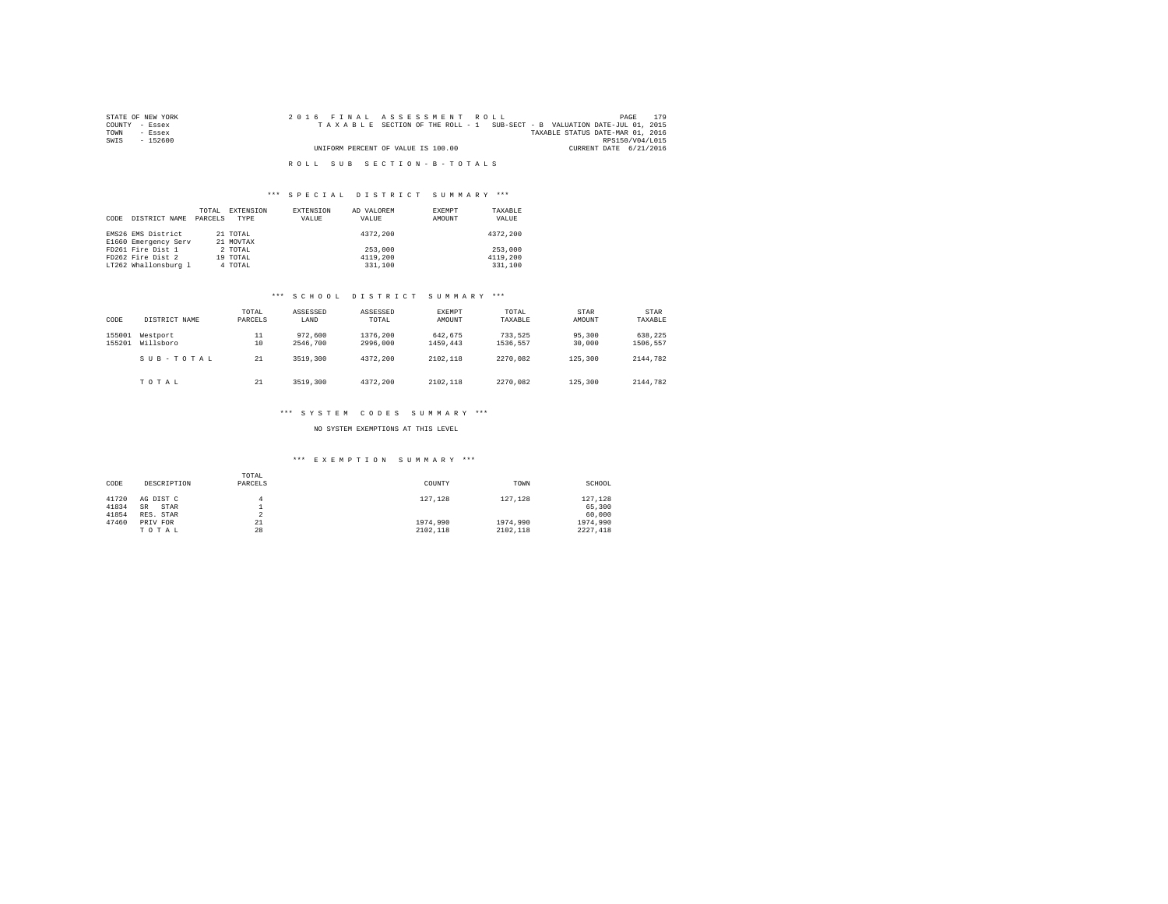| STATE OF NEW YORK | 2016 FINAL ASSESSMENT ROLL                                               | 179<br>PAGE                      |
|-------------------|--------------------------------------------------------------------------|----------------------------------|
| COUNTY - Essex    | TAXABLE SECTION OF THE ROLL - 1 SUB-SECT - B VALUATION DATE-JUL 01, 2015 |                                  |
| TOWN<br>- Essex   |                                                                          | TAXABLE STATUS DATE-MAR 01, 2016 |
| SWIS<br>- 152600  |                                                                          | RPS150/V04/L015                  |
|                   | UNIFORM PERCENT OF VALUE IS 100.00                                       | CURRENT DATE 6/21/2016           |
|                   |                                                                          |                                  |
|                   | ROLL SUB SECTION-B-TOTALS                                                |                                  |

## \*\*\* S P E C I A L D I S T R I C T S U M M A R Y \*\*\*

| CODE | DISTRICT NAME                              | TOTAL<br>PARCELS | EXTENSION<br>TYPE     | EXTENSION<br>VALUE | AD VALOREM<br>VALUE | EXEMPT<br>AMOUNT | TAXABLE<br>VALUE |
|------|--------------------------------------------|------------------|-----------------------|--------------------|---------------------|------------------|------------------|
|      | EMS26 EMS District<br>E1660 Emergency Serv |                  | 21 TOTAL<br>21 MOVTAX |                    | 4372.200            |                  | 4372,200         |
|      | FD261 Fire Dist 1                          |                  | 2 TOTAL               |                    | 253,000             |                  | 253,000          |
|      | FD262 Fire Dist 2                          |                  | 19 TOTAL              |                    | 4119,200            |                  | 4119,200         |
|      | LT262 Whallonsburg 1                       |                  | 4 TOTAL               |                    | 331,100             |                  | 331,100          |

## \*\*\* S C H O O L D I S T R I C T S U M M A R Y \*\*\*

| CODE             | DISTRICT NAME         | TOTAL<br>PARCELS | ASSESSED<br>LAND    | ASSESSED<br>TOTAL    | EXEMPT<br>AMOUNT    | TOTAL<br>TAXABLE    | <b>STAR</b><br>AMOUNT | STAR<br>TAXABLE     |
|------------------|-----------------------|------------------|---------------------|----------------------|---------------------|---------------------|-----------------------|---------------------|
| 155001<br>155201 | Westport<br>Willsboro | 11<br>10         | 972,600<br>2546,700 | 1376,200<br>2996,000 | 642.675<br>1459.443 | 733.525<br>1536.557 | 95,300<br>30,000      | 638,225<br>1506.557 |
|                  | SUB-TOTAL             | 21               | 3519,300            | 4372.200             | 2102.118            | 2270.082            | 125,300               | 2144.782            |
|                  | TOTAL                 | 21               | 3519,300            | 4372,200             | 2102.118            | 2270.082            | 125,300               | 2144.782            |

## \*\*\* S Y S T E M C O D E S S U M M A R Y \*\*\*

NO SYSTEM EXEMPTIONS AT THIS LEVEL

## \*\*\* E X E M P T I O N S U M M A R Y \*\*\*

| CODE  | DESCRIPTION       | TOTAL<br>PARCELS | COUNTY   | TOWN     | SCHOOL   |
|-------|-------------------|------------------|----------|----------|----------|
| 41720 | AG DIST C         | 4                | 127.128  | 127.128  | 127,128  |
| 41834 | STAR<br><b>SR</b> |                  |          |          | 65,300   |
| 41854 | RES. STAR         | $\sim$<br>∡      |          |          | 60,000   |
| 47460 | PRIV FOR          | 21               | 1974,990 | 1974,990 | 1974,990 |
|       | TOTAL             | 28               | 2102.118 | 2102.118 | 2227.418 |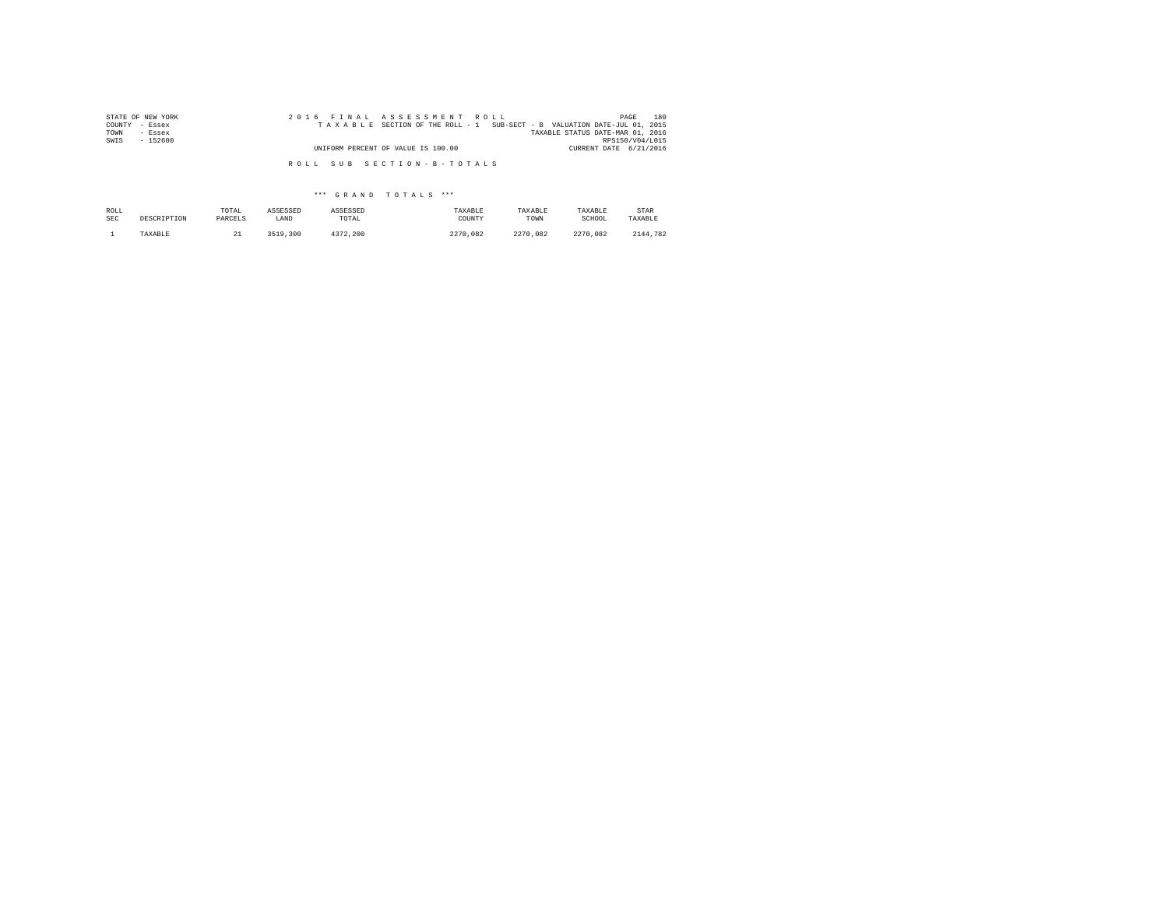| STATE OF NEW YORK | 2016 FINAL ASSESSMENT ROLL                                               | 180<br>PAGE                      |
|-------------------|--------------------------------------------------------------------------|----------------------------------|
| COUNTY - Essex    | TAXABLE SECTION OF THE ROLL - 1 SUB-SECT - B VALUATION DATE-JUL 01, 2015 |                                  |
| TOWN<br>- Essex   |                                                                          | TAXABLE STATUS DATE-MAR 01, 2016 |
| SWIS<br>$-152600$ |                                                                          | RPS150/V04/L015                  |
|                   | UNIFORM PERCENT OF VALUE IS 100.00                                       | CURRENT DATE 6/21/2016           |
|                   | ROLL SUB SECTION-B-TOTALS                                                |                                  |

## \*\*\* G R A N D T O T A L S \*\*\*

| ROLL | DESCRIPTION | TOTAL   | ASSESSED | ASSESSED | TAXABLE  | TAXABLE  | TAXABLE  | STAR     |
|------|-------------|---------|----------|----------|----------|----------|----------|----------|
| SEC  |             | PARCELS | LAND     | TOTAL    | COUNTY   | TOWN     | SCHOOL   | TAXABLE  |
|      | TAXABLE     | --      | 3519,300 | 4372.200 | 2270.082 | 2270.082 | 2270.082 | 2144.782 |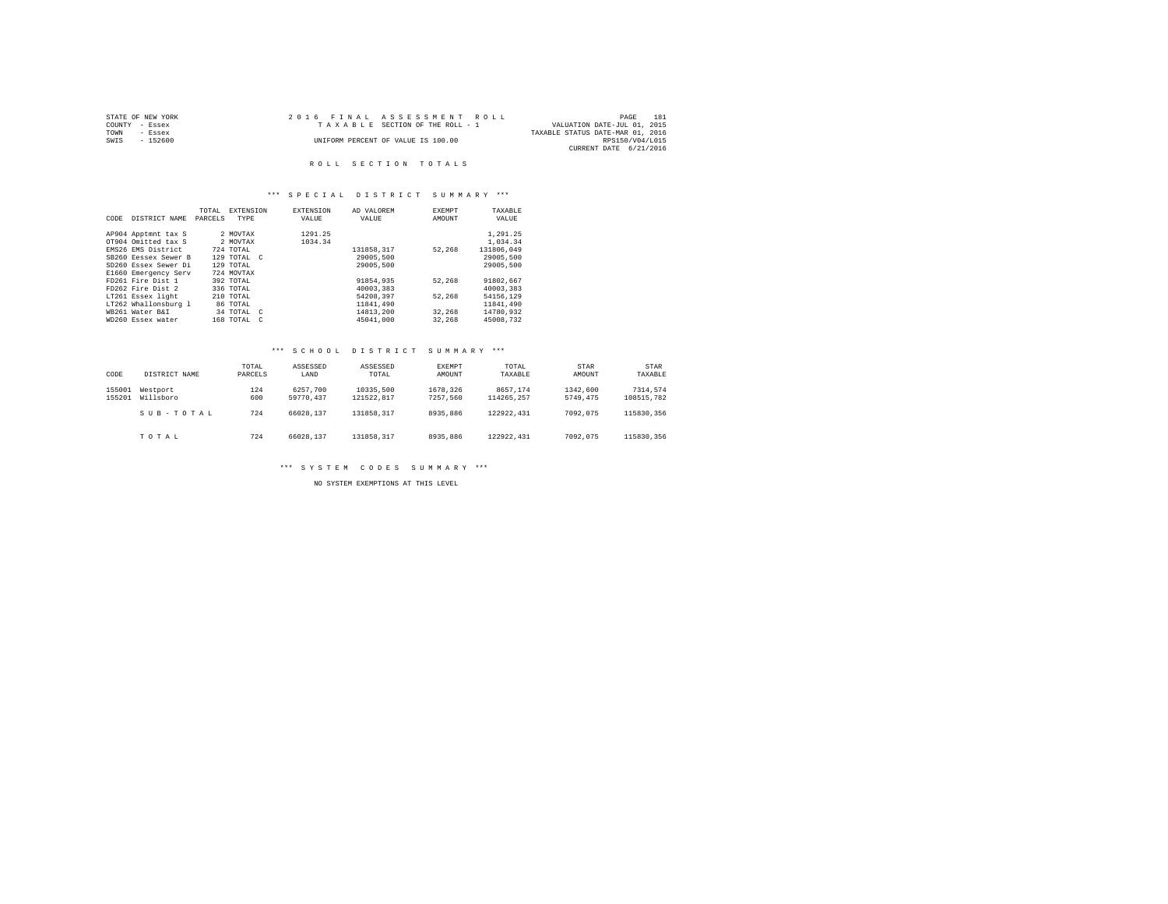|                | STATE OF NEW YORK | 2016 FINAL ASSESSMENT ROLL         |                                  | PAGE            | 181 |
|----------------|-------------------|------------------------------------|----------------------------------|-----------------|-----|
| COUNTY - Essex |                   | TAXABLE SECTION OF THE ROLL - 1    | VALUATION DATE-JUL 01, 2015      |                 |     |
| TOWN           | - Essex           |                                    | TAXABLE STATUS DATE-MAR 01, 2016 |                 |     |
| SWIS           | - 152600          | UNIFORM PERCENT OF VALUE IS 100.00 |                                  | RPS150/V04/L015 |     |
|                |                   |                                    | CURRENT DATE 6/21/2016           |                 |     |

## \*\*\* S P E C I A L D I S T R I C T S U M M A R Y \*\*\*

|      |                      | TOTAL   | <b>EXTENSION</b>           | <b>EXTENSION</b> | AD VALOREM | EXEMPT | TAXABLE    |
|------|----------------------|---------|----------------------------|------------------|------------|--------|------------|
| CODE | DISTRICT NAME        | PARCELS | TYPE                       | VALUE            | VALUE      | AMOUNT | VALUE      |
|      |                      |         |                            |                  |            |        |            |
|      | AP904 Apptmnt tax S  |         | 2 MOVTAX                   | 1291.25          |            |        | 1,291.25   |
|      | OT904 Omitted tax S  |         | 2 MOVTAX                   | 1034.34          |            |        | 1,034.34   |
|      | EMS26 EMS District   |         | 724 TOTAL                  |                  | 131858.317 | 52.268 | 131806.049 |
|      | SB260 Eessex Sewer B |         | 129 TOTAL C                |                  | 29005,500  |        | 29005,500  |
|      | SD260 Essex Sewer Di |         | 129 TOTAL                  |                  | 29005,500  |        | 29005,500  |
|      | E1660 Emergency Serv |         | 724 MOVTAX                 |                  |            |        |            |
|      | FD261 Fire Dist 1    |         | 392 TOTAL                  |                  | 91854,935  | 52.268 | 91802.667  |
|      | FD262 Fire Dist 2    |         | 336 TOTAL                  |                  | 40003,383  |        | 40003.383  |
|      | LT261 Essex light    |         | 210 TOTAL                  |                  | 54208.397  | 52.268 | 54156.129  |
|      | LT262 Whallonsburg 1 |         | 86 TOTAL                   |                  | 11841,490  |        | 11841.490  |
|      | WB261 Water B&I      |         | 34 TOTAL C                 |                  | 14813,200  | 32.268 | 14780.932  |
|      | WD260 Essex water    |         | 168 TOTAL<br>$\mathcal{C}$ |                  | 45041.000  | 32,268 | 45008.732  |

## \*\*\* S C H O O L D I S T R I C T S U M M A R Y \*\*\*

| CODE             | DISTRICT NAME         | TOTAL<br>PARCELS | ASSESSED<br>LAND      | ASSESSED<br>TOTAL       | EXEMPT<br>AMOUNT     | TOTAL<br>TAXABLE       | STAR<br>AMOUNT       | STAR<br>TAXABLE        |
|------------------|-----------------------|------------------|-----------------------|-------------------------|----------------------|------------------------|----------------------|------------------------|
| 155001<br>155201 | Westport<br>Willsboro | 124<br>600       | 6257.700<br>59770.437 | 10335,500<br>121522.817 | 1678.326<br>7257.560 | 8657.174<br>114265.257 | 1342,600<br>5749.475 | 7314.574<br>108515.782 |
|                  | SUB-TOTAL             | 724              | 66028.137             | 131858.317              | 8935,886             | 122922.431             | 7092.075             | 115830.356             |
|                  | TOTAL                 | 724              | 66028.137             | 131858.317              | 8935,886             | 122922.431             | 7092.075             | 115830.356             |

\*\*\* S Y S T E M C O D E S S U M M A R Y \*\*\*

NO SYSTEM EXEMPTIONS AT THIS LEVEL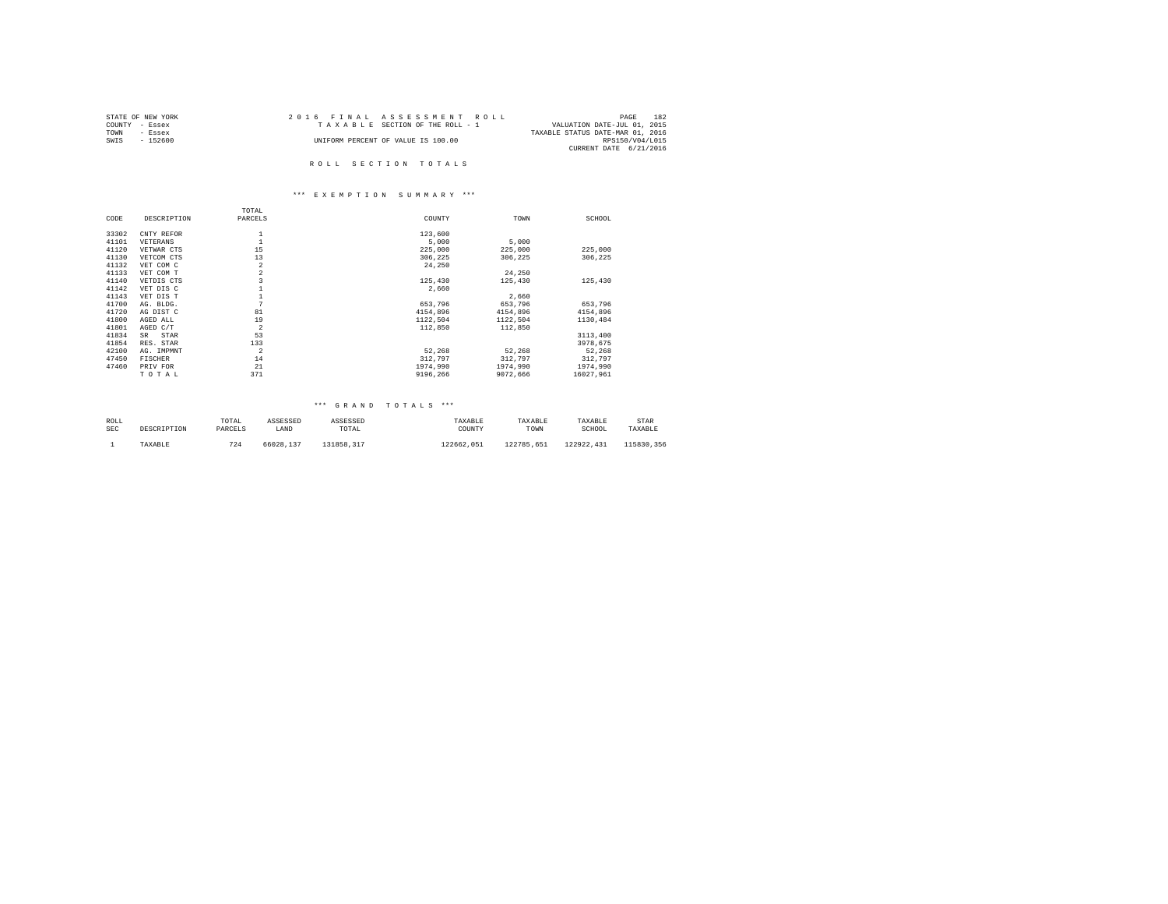| STATE OF NEW YORK | 2016 FINAL ASSESSMENT ROLL         | 182<br>PAGE                      |
|-------------------|------------------------------------|----------------------------------|
| COUNTY - Essex    | TAXABLE SECTION OF THE ROLL - 1    | VALUATION DATE-JUL 01, 2015      |
| TOWN<br>- Essex   |                                    | TAXABLE STATUS DATE-MAR 01, 2016 |
| SWIS<br>- 152600  | UNIFORM PERCENT OF VALUE IS 100.00 | RPS150/V04/L015                  |
|                   |                                    | CURRENT DATE 6/21/2016           |
|                   |                                    |                                  |

#### \*\*\* E X E M P T I O N S U M M A R Y \*\*\*

|       |             | TOTAL          |          |          |           |
|-------|-------------|----------------|----------|----------|-----------|
| CODE  | DESCRIPTION | PARCELS        | COUNTY   | TOWN     | SCHOOL    |
| 33302 |             |                | 123,600  |          |           |
|       | CNTY REFOR  |                |          |          |           |
| 41101 | VETERANS    |                | 5,000    | 5,000    |           |
| 41120 | VETWAR CTS  | 15             | 225,000  | 225,000  | 225,000   |
| 41130 | VETCOM CTS  | 13             | 306.225  | 306,225  | 306.225   |
| 41132 | VET COM C   | $\overline{a}$ | 24,250   |          |           |
| 41133 | VET COM T   | $\overline{a}$ |          | 24,250   |           |
| 41140 | VETDIS CTS  |                | 125,430  | 125,430  | 125,430   |
| 41142 | VET DIS C   |                | 2.660    |          |           |
| 41143 | VET DIS T   |                |          | 2,660    |           |
| 41700 | AG. BLDG.   | 7              | 653.796  | 653,796  | 653.796   |
| 41720 | AG DIST C   | 81             | 4154,896 | 4154,896 | 4154,896  |
| 41800 | AGED ALL    | 19             | 1122,504 | 1122,504 | 1130,484  |
| 41801 | AGED C/T    | $\overline{2}$ | 112,850  | 112,850  |           |
| 41834 | SR<br>STAR  | 53             |          |          | 3113,400  |
| 41854 | RES. STAR   | 133            |          |          | 3978.675  |
| 42100 | AG. IMPMNT  | $\overline{2}$ | 52.268   | 52,268   | 52,268    |
| 47450 | FISCHER     | 14             | 312.797  | 312,797  | 312,797   |
| 47460 | PRIV FOR    | 21             | 1974,990 | 1974,990 | 1974.990  |
|       | TOTAL       | 371            | 9196.266 | 9072.666 | 16027.961 |

| ROLL | DESCRIPTION | TOTAL   | ASSESSED  | ASSESSED   | TAXABLE    | TAXABLE    | TAXABLE    | STAR       |
|------|-------------|---------|-----------|------------|------------|------------|------------|------------|
| SEC  |             | PARCELS | LAND      | TOTAL      | COUNTY     | TOWN       | SCHOOL     | TAXABLE    |
|      | TAXABLE     | 724     | 66028.137 | 131858.317 | 122662.051 | 122785.651 | 122922.431 | 115830.356 |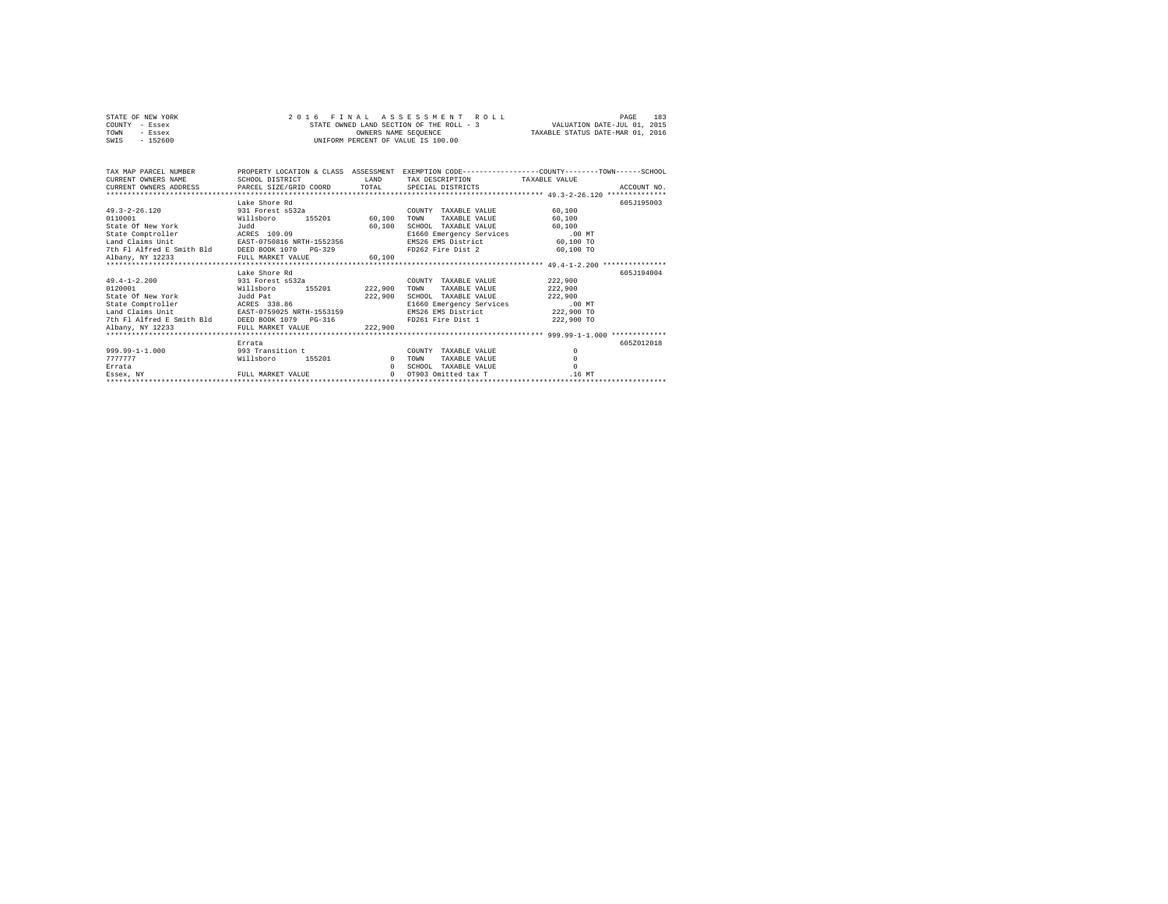|                | STATE OF NEW YORK |  | 2016 FINAL ASSESSMENT ROLL               |                                  | PAGE | 183 |
|----------------|-------------------|--|------------------------------------------|----------------------------------|------|-----|
| COUNTY - Essex |                   |  | STATE OWNED LAND SECTION OF THE ROLL - 3 | VALUATION DATE-JUL 01, 2015      |      |     |
| TOWN           | - Essex           |  | OWNERS NAME SEOUENCE                     | TAXABLE STATUS DATE-MAR 01, 2016 |      |     |
| SWIS           | $-152600$         |  | UNIFORM PERCENT OF VALUE IS 100.00       |                                  |      |     |

| CURRENT OWNERS NAME<br>CURRENT OWNERS ADDRESS PARCEL SIZE/GRID COORD TOTAL | SCHOOL DISTRICT             | T.AND    | TAX DESCRIPTION TAXABLE VALUE<br>SPECIAL DISTRICTS | TAX MAP PARCEL NUMBER PROPERTY LOCATION & CLASS ASSESSMENT EXEMPTION CODE--------------COUNTY-------TOWN------SCHOOL<br>ACCOUNT NO. |
|----------------------------------------------------------------------------|-----------------------------|----------|----------------------------------------------------|-------------------------------------------------------------------------------------------------------------------------------------|
|                                                                            |                             |          |                                                    |                                                                                                                                     |
|                                                                            | Lake Shore Rd               |          |                                                    | 605J195003                                                                                                                          |
| 49.3-2-26.120 931 Forest s532a                                             |                             |          | COUNTY TAXABLE VALUE                               | 60,100                                                                                                                              |
| 0110001                                                                    | 155201 60,100<br>Willsboro  |          | TOWN<br>TAXABLE VALUE                              | 60,100                                                                                                                              |
| State Of New York<br>Judd                                                  |                             | 60,100   | SCHOOL TAXABLE VALUE                               | 60,100                                                                                                                              |
| State Comptroller                                                          | ACRES 109.09                |          | E1660 Emergency Services .00 MT                    |                                                                                                                                     |
| Land Claims Unit                                                           | EAST-0750816 NRTH-1552356   |          | EMS26 EMS District                                 | 60,100 TO                                                                                                                           |
| 7th Fl Alfred E Smith Bld DEED BOOK 1070 PG-329                            |                             |          | FD262 Fire Dist 2 60,100 TO                        |                                                                                                                                     |
| Albany, NY 12233                                                           | FULL MARKET VALUE           | 60.100   |                                                    |                                                                                                                                     |
|                                                                            |                             |          |                                                    |                                                                                                                                     |
|                                                                            | Lake Shore Rd               |          |                                                    | 605J194004                                                                                                                          |
| 49.4-1-2.200 931 Forest s532a                                              |                             |          | COUNTY TAXABLE VALUE                               | 222,900                                                                                                                             |
| 0120001                                                                    | 155201 222,900<br>Willsboro |          | TOWN<br>TAXABLE VALUE                              | 222,900                                                                                                                             |
| Judd Pat<br>State Of New York                                              |                             | 222,900  | SCHOOL TAXABLE VALUE                               | 222,900                                                                                                                             |
| State Comptroller                                                          | ACRES 338.86                |          | E1660 Emergency Services                           | $.00$ MT                                                                                                                            |
| Land Claims Unit                                                           | EAST-0759025 NRTH-1553159   |          | EMS26 EMS District                                 | 222,900 TO                                                                                                                          |
| 7th Fl Alfred E Smith Bld DEED BOOK 1079 PG-316                            |                             |          | FD261 Fire Dist 1 222,900 TO                       |                                                                                                                                     |
| Albany, NY 12233                                                           | FULL MARKET VALUE           | 222.900  |                                                    |                                                                                                                                     |
|                                                                            |                             |          |                                                    |                                                                                                                                     |
|                                                                            | Errata                      |          |                                                    | 605Z012018                                                                                                                          |
| $999.99 - 1 - 1.000$                                                       | 993 Transition t            |          | COUNTY TAXABLE VALUE                               | $\circ$                                                                                                                             |
| 7777777                                                                    | 155201 0<br>Willsboro       |          | TAXABLE VALUE<br>TOWN                              | $\circ$                                                                                                                             |
| Errata                                                                     |                             | $\Omega$ | SCHOOL TAXABLE VALUE                               | $\Omega$                                                                                                                            |
| Essex, NY                                                                  | FULL MARKET VALUE           | $\cap$   | OT903 Omitted tax T                                | .16 MT                                                                                                                              |
|                                                                            |                             |          |                                                    |                                                                                                                                     |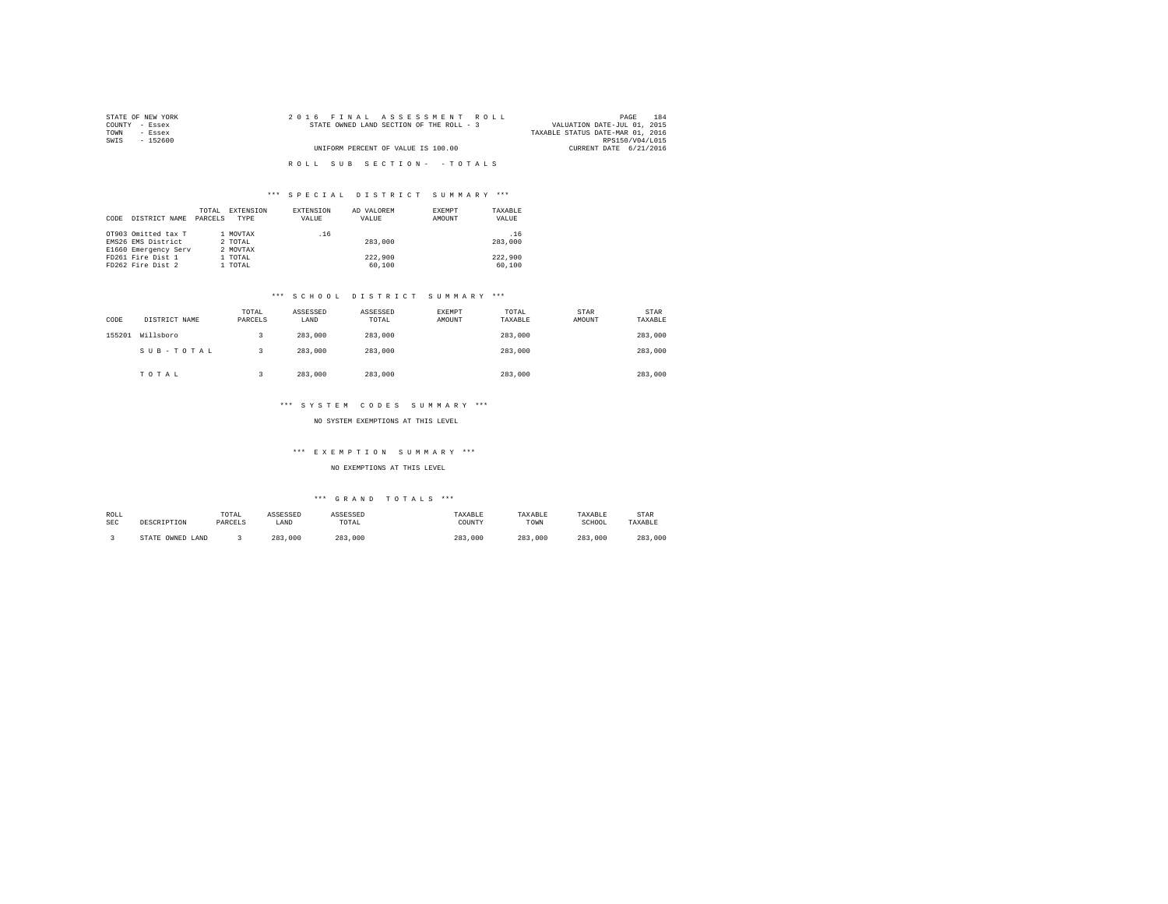| STATE OF NEW YORK | 2016 FINAL ASSESSMENT ROLL               | 184<br>PAGE                               |  |
|-------------------|------------------------------------------|-------------------------------------------|--|
| COUNTY - Essex    | STATE OWNED LAND SECTION OF THE ROLL - 3 | VALUATION DATE-JUL 01, 2015               |  |
| TOWN<br>- Essex   |                                          | TAXABLE STATUS DATE-MAR 01, 2016          |  |
| SWTS<br>- 152600  |                                          | RPS150/V04/L015<br>CURRENT DATE 6/21/2016 |  |
|                   | UNIFORM PERCENT OF VALUE IS 100.00       |                                           |  |
|                   | ROLL SUB SECTION- - TOTALS               |                                           |  |

| CODE | DISTRICT NAME                             | TOTAL<br>PARCELS | EXTENSION<br>TYPE   | EXTENSION<br>VALUE | AD VALOREM<br>VALUE | EXEMPT<br>AMOUNT | TAXABLE<br>VALUE |
|------|-------------------------------------------|------------------|---------------------|--------------------|---------------------|------------------|------------------|
|      | OT903 Omitted tax T<br>EMS26 EMS District |                  | 1 MOVTAX<br>2 TOTAL | .16                | 283,000             |                  | .16<br>283,000   |
|      | E1660 Emergency Serv                      |                  | 2 MOVTAX            |                    |                     |                  |                  |
|      | FD261 Fire Dist 1                         |                  | 1 TOTAL             |                    | 222,900             |                  | 222.900          |
|      | FD262 Fire Dist 2                         |                  | 1 TOTAL             |                    | 60,100              |                  | 60,100           |

## \*\*\* S C H O O L D I S T R I C T S U M M A R Y \*\*\*

| CODE   | DISTRICT NAME | TOTAL<br>PARCELS | ASSESSED<br>LAND | ASSESSED<br>TOTAL | <b>EXEMPT</b><br>AMOUNT | TOTAL<br>TAXABLE | <b>STAR</b><br>AMOUNT | STAR<br>TAXABLE |
|--------|---------------|------------------|------------------|-------------------|-------------------------|------------------|-----------------------|-----------------|
| 155201 | Willsboro     |                  | 283,000          | 283,000           |                         | 283,000          |                       | 283,000         |
|        | SUB-TOTAL     |                  | 283,000          | 283,000           |                         | 283,000          |                       | 283,000         |
|        | TOTAL         |                  | 283,000          | 283,000           |                         | 283,000          |                       | 283,000         |

## \*\*\* S Y S T E M C O D E S S U M M A R Y \*\*\*

NO SYSTEM EXEMPTIONS AT THIS LEVEL

### \*\*\* E X E M P T I O N S U M M A R Y \*\*\*

NO EXEMPTIONS AT THIS LEVEL

| ROLL | DESCRIPTION            | TOTAL   | ASSESSED | <b>\SSESSED</b> | "AXABLE | TAXABLE     | TAXABLE | STAR    |
|------|------------------------|---------|----------|-----------------|---------|-------------|---------|---------|
| SEC  |                        | PARCELS | LAND     | TOTAL           | COUNTY  | TOWN        | SCHOOL  | TAXABLE |
|      | OWNED<br>STATE<br>LAND |         | 283,000  | 283<br>.000     | 283,000 | 283<br>.000 | 283,000 | 283,000 |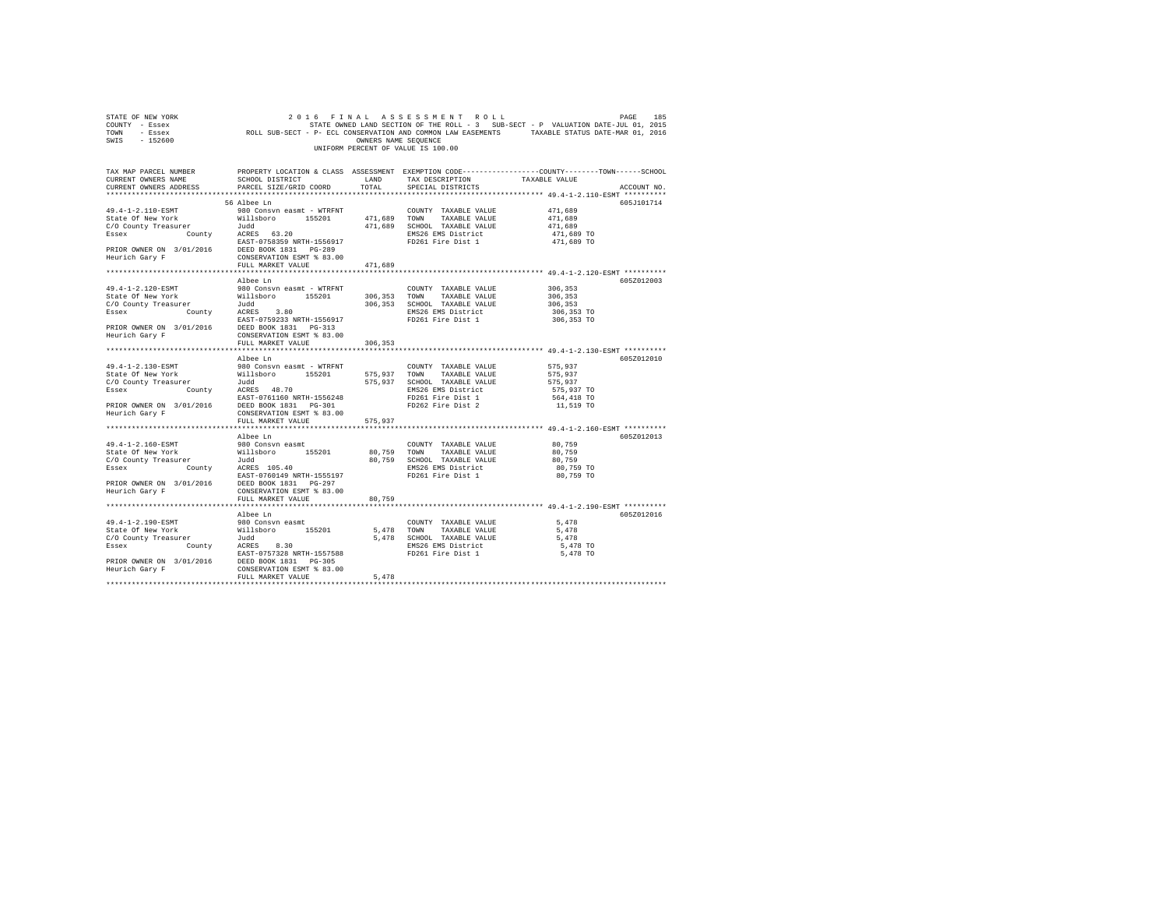| TOWN<br>- Essex<br>SWIS<br>$-152600$                                                                                     | ROLL SUB-SECT - P- ECL CONSERVATION AND COMMON LAW EASEMENTS                                                                                                                                                                      | TAXABLE STATUS DATE-MAR 01, 2016 |                                                   |                                                                                                                                       |
|--------------------------------------------------------------------------------------------------------------------------|-----------------------------------------------------------------------------------------------------------------------------------------------------------------------------------------------------------------------------------|----------------------------------|---------------------------------------------------|---------------------------------------------------------------------------------------------------------------------------------------|
|                                                                                                                          |                                                                                                                                                                                                                                   |                                  | UNIFORM PERCENT OF VALUE IS 100.00                |                                                                                                                                       |
|                                                                                                                          |                                                                                                                                                                                                                                   |                                  |                                                   |                                                                                                                                       |
| CURRENT OWNERS NAME                                                                                                      | SCHOOL DISTRICT                                                                                                                                                                                                                   | LAND                             | TAX DESCRIPTION                                   | TAX MAP PARCEL NUMBER PROPERTY LOCATION & CLASS ASSESSMENT EXEMPTION CODE--------------COUNTY-------TOWN------SCHOOL<br>TAXABLE VALUE |
| CURRENT OWNERS ADDRESS                                                                                                   | PARCEL SIZE/GRID COORD                                                                                                                                                                                                            | TOTAL                            | SPECIAL DISTRICTS                                 | ACCOUNT NO.                                                                                                                           |
|                                                                                                                          |                                                                                                                                                                                                                                   |                                  |                                                   |                                                                                                                                       |
|                                                                                                                          | 56 Albee Ln                                                                                                                                                                                                                       |                                  |                                                   | 605J101714                                                                                                                            |
| 49.4-1-2.110-ESMT                                                                                                        | 980 Consyn easmt - WTRFNT                                                                                                                                                                                                         |                                  | COUNTY TAXABLE VALUE                              | 471,689                                                                                                                               |
| State Of New York                                                                                                        | Willsboro 155201                                                                                                                                                                                                                  |                                  | 471,689 TOWN TAXABLE VALUE                        | 471,689                                                                                                                               |
| C/O County Treasurer                                                                                                     | Judd                                                                                                                                                                                                                              |                                  | 471,689 SCHOOL TAXABLE VALUE                      | 471,689                                                                                                                               |
| Essex County ACRES 63.20                                                                                                 |                                                                                                                                                                                                                                   |                                  | EMS26 EMS District                                | 471,689 TO                                                                                                                            |
|                                                                                                                          | EAST-0758359 NRTH-1556917                                                                                                                                                                                                         |                                  | FD261 Fire Dist 1                                 | 471,689 TO                                                                                                                            |
| PRIOR OWNER ON 3/01/2016 DEED BOOK 1831 PG-289                                                                           |                                                                                                                                                                                                                                   |                                  |                                                   |                                                                                                                                       |
| Heurich Gary F                                                                                                           | CONSERVATION ESMT % 83.00                                                                                                                                                                                                         |                                  |                                                   |                                                                                                                                       |
|                                                                                                                          | FULL MARKET VALUE                                                                                                                                                                                                                 | 471,689                          |                                                   |                                                                                                                                       |
|                                                                                                                          | Albee Ln                                                                                                                                                                                                                          |                                  |                                                   | 605Z012003                                                                                                                            |
| 49.4-1-2.120-ESMT                                                                                                        | 980 Consvn easmt - WTRFNT                                                                                                                                                                                                         |                                  | COUNTY TAXABLE VALUE                              | 306,353                                                                                                                               |
| State Of New York                                                                                                        |                                                                                                                                                                                                                                   | 306,353                          | TOWN<br>TAXABLE VALUE                             | 306,353                                                                                                                               |
| C/O County Treasurer                                                                                                     |                                                                                                                                                                                                                                   |                                  | 306,353 SCHOOL TAXABLE VALUE                      | 306,353                                                                                                                               |
| Essex                                                                                                                    |                                                                                                                                                                                                                                   |                                  | EMS26 EMS District                                | 306,353 TO                                                                                                                            |
|                                                                                                                          | Millsboro 155201<br>1991 - Judd<br>County ACRES 3.80<br>EAST-0759233 NRTH-15569<br>EAST-0759233 NRTH-1556917                                                                                                                      |                                  | FD261 Fire Dist 1                                 | 306,353 TO                                                                                                                            |
| PRIOR OWNER ON 3/01/2016 DEED BOOK 1831 PG-313                                                                           |                                                                                                                                                                                                                                   |                                  |                                                   |                                                                                                                                       |
| Heurich Gary F                                                                                                           | CONSERVATION ESMT % 83.00                                                                                                                                                                                                         |                                  |                                                   |                                                                                                                                       |
|                                                                                                                          | FULL MARKET VALUE                                                                                                                                                                                                                 | 306,353                          |                                                   |                                                                                                                                       |
|                                                                                                                          |                                                                                                                                                                                                                                   |                                  |                                                   |                                                                                                                                       |
|                                                                                                                          | Albee Ln                                                                                                                                                                                                                          |                                  |                                                   | 605Z012010                                                                                                                            |
| 49.4-1-2.130-ESMT                                                                                                        | 980 Consvn easmt - WTRFNT                                                                                                                                                                                                         |                                  | COUNTY TAXABLE VALUE                              | 575,937                                                                                                                               |
|                                                                                                                          |                                                                                                                                                                                                                                   |                                  | 575,937 TOWN TAXABLE VALUE                        | 575,937                                                                                                                               |
| State of New York Willsboro 155201<br>C/O County Treasurer Judd<br>Essex County ACRES 48.70<br>EAST-0761160 NRTH-1556248 |                                                                                                                                                                                                                                   |                                  | 575,937 SCHOOL TAXABLE VALUE                      | 575,937                                                                                                                               |
|                                                                                                                          |                                                                                                                                                                                                                                   |                                  | EMS26 EMS District                                | 575,937 TO                                                                                                                            |
|                                                                                                                          | EAST-0761160 NRTH-1556248                                                                                                                                                                                                         |                                  | FD261 Fire Dist 1                                 | 564,418 TO                                                                                                                            |
| PRIOR OWNER ON 3/01/2016                                                                                                 | DEED BOOK 1831    PG-301                                                                                                                                                                                                          |                                  | FD262 Fire Dist 2                                 | 11,519 TO                                                                                                                             |
| Heurich Gary F                                                                                                           | CONSERVATION ESMT % 83.00                                                                                                                                                                                                         |                                  |                                                   |                                                                                                                                       |
|                                                                                                                          | FULL MARKET VALUE                                                                                                                                                                                                                 | 575,937                          |                                                   |                                                                                                                                       |
|                                                                                                                          |                                                                                                                                                                                                                                   |                                  |                                                   |                                                                                                                                       |
| 49.4-1-2.160-ESMT                                                                                                        | Albee Ln<br>980 Consyn easmt                                                                                                                                                                                                      |                                  |                                                   | 605Z012013<br>80.759                                                                                                                  |
| State Of New York                                                                                                        | Willsboro 155201                                                                                                                                                                                                                  |                                  | COUNTY TAXABLE VALUE<br>80,759 TOWN TAXABLE VALUE | 80,759                                                                                                                                |
| C/O County Treasurer                                                                                                     | Judd                                                                                                                                                                                                                              |                                  | 80,759 SCHOOL TAXABLE VALUE                       | 80,759                                                                                                                                |
| Essex County ACRES 105.40                                                                                                |                                                                                                                                                                                                                                   |                                  | EMS26 EMS District                                | 80,759 TO                                                                                                                             |
|                                                                                                                          | EAST-0760149 NRTH-1555197                                                                                                                                                                                                         |                                  | FD261 Fire Dist 1                                 | 80,759 TO                                                                                                                             |
| PRIOR OWNER ON 3/01/2016 DEED BOOK 1831 PG-297                                                                           |                                                                                                                                                                                                                                   |                                  |                                                   |                                                                                                                                       |
| Heurich Gary F                                                                                                           | CONSERVATION ESMT % 83.00                                                                                                                                                                                                         |                                  |                                                   |                                                                                                                                       |
|                                                                                                                          | FULL MARKET VALUE                                                                                                                                                                                                                 | 80.759                           |                                                   |                                                                                                                                       |
|                                                                                                                          |                                                                                                                                                                                                                                   |                                  |                                                   |                                                                                                                                       |
|                                                                                                                          | Albee Ln                                                                                                                                                                                                                          |                                  |                                                   | 605Z012016                                                                                                                            |
| 49.4-1-2.190-ESMT                                                                                                        | 980 Consvn easmt                                                                                                                                                                                                                  |                                  | COUNTY TAXABLE VALUE                              | 5.478                                                                                                                                 |
| State Of New York                                                                                                        | % = 155201<br>er 3111 = 312 = 312 = 312 = 312 = 312 = 328 = 328 = 328 = 328 = 328 = 328 = 328 = 328 = 328 = 328 = 328 = 328 = 328 = 328 = 328 = 328 = 328 = 328 = 328 = 328 = 328 = 328 = 328 = 328 = 328 = 328 = 328 = 328 = 328 |                                  | 5,478 TOWN<br>TAXABLE VALUE                       | 5.478                                                                                                                                 |
| C/O County Treasurer                                                                                                     |                                                                                                                                                                                                                                   |                                  | 5,478 SCHOOL TAXABLE VALUE                        | 5.478                                                                                                                                 |
| Essex                                                                                                                    |                                                                                                                                                                                                                                   |                                  | EMS26 EMS District                                | 5,478 TO                                                                                                                              |
|                                                                                                                          |                                                                                                                                                                                                                                   |                                  | FD261 Fire Dist 1                                 | 5,478 TO                                                                                                                              |
| PRIOR OWNER ON 3/01/2016 DEED BOOK 1831 PG-305                                                                           |                                                                                                                                                                                                                                   |                                  |                                                   |                                                                                                                                       |
| Heurich Gary F                                                                                                           | CONSERVATION ESMT % 83.00                                                                                                                                                                                                         |                                  |                                                   |                                                                                                                                       |
|                                                                                                                          | FULL MARKET VALUE                                                                                                                                                                                                                 | 5,478                            |                                                   |                                                                                                                                       |
|                                                                                                                          |                                                                                                                                                                                                                                   |                                  |                                                   |                                                                                                                                       |

STATE OF NEW YORK<br>COUNTY - ESSEX STATE ON A STATE OWNED LAND SECTION OF THE ROLL - 3 SUB-SECT - P VALUATION DATE-JUL 01, 2015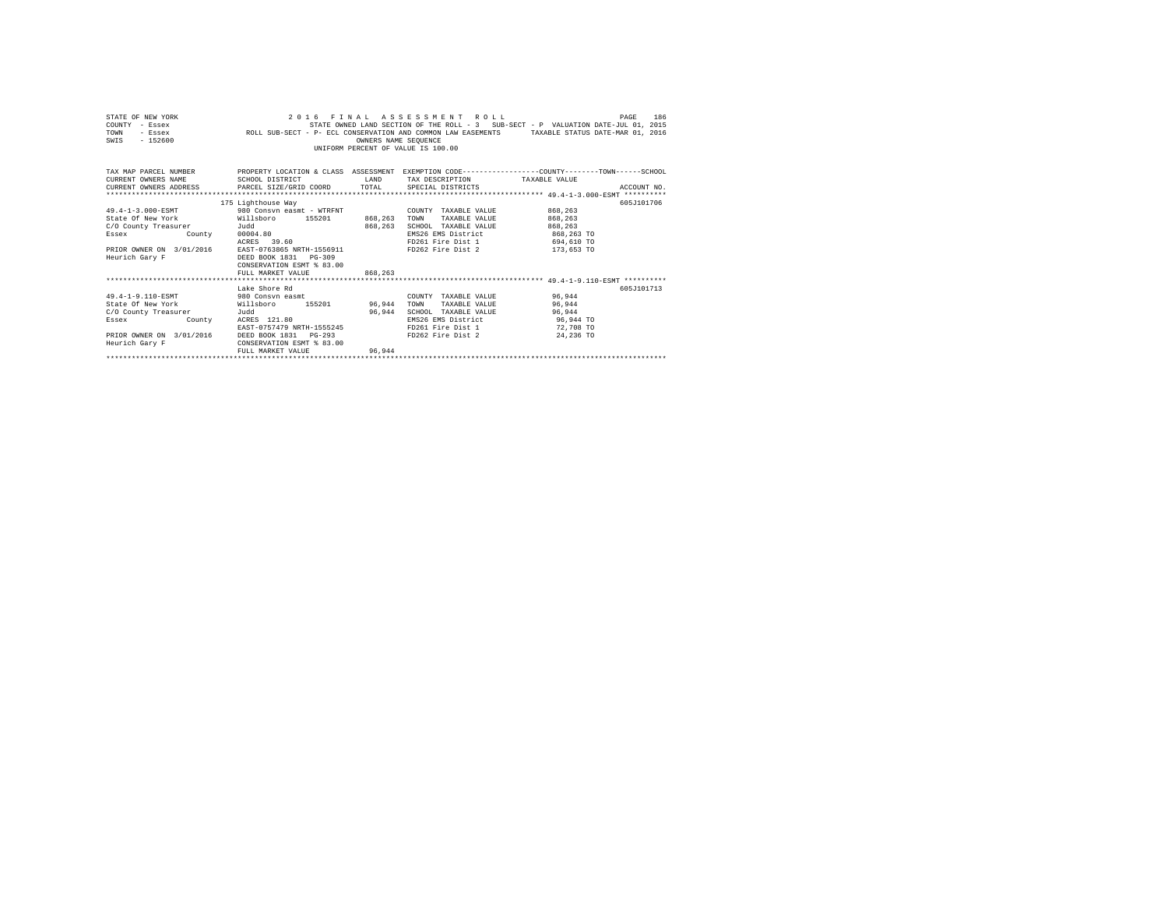| STATE OF NEW YORK<br>- Essex<br>COUNTY<br>TOWN<br>- Essex<br>$-152600$<br>SWIS | ROLL SUB-SECT - P- ECL CONSERVATION AND COMMON LAW EASEMENTS                 | OWNERS NAME SEQUENCE | 2016 FINAL ASSESSMENT ROLL<br>UNIFORM PERCENT OF VALUE IS 100.00 | STATE OWNED LAND SECTION OF THE ROLL - 3 SUB-SECT - P VALUATION DATE-JUL 01, 2015 |               | 186<br>PAGE<br>TAXABLE STATUS DATE-MAR 01, 2016 |
|--------------------------------------------------------------------------------|------------------------------------------------------------------------------|----------------------|------------------------------------------------------------------|-----------------------------------------------------------------------------------|---------------|-------------------------------------------------|
| TAX MAP PARCEL NUMBER<br>CURRENT OWNERS NAME<br>CURRENT OWNERS ADDRESS         | PROPERTY LOCATION & CLASS<br>SCHOOL DISTRICT<br>PARCEL SIZE/GRID COORD TOTAL | ASSESSMENT<br>LAND   | TAX DESCRIPTION<br>SPECIAL DISTRICTS                             | EXEMPTION CODE-----------------COUNTY-------TOWN------SCHOOL                      | TAXABLE VALUE | ACCOUNT NO.                                     |
|                                                                                |                                                                              |                      |                                                                  |                                                                                   |               |                                                 |
|                                                                                | 175 Lighthouse Way                                                           |                      |                                                                  |                                                                                   |               | 605.7101706                                     |
| 49.4-1-3.000-ESMT                                                              | 980 Consyn easmt - WTRFNT                                                    |                      | COUNTY                                                           | TAXABLE VALUE                                                                     | 868,263       |                                                 |
| State Of New York                                                              | Willsboro<br>155201                                                          | 868,263              | TOWN                                                             | TAXABLE VALUE                                                                     | 868,263       |                                                 |

| C/O County Treasurer     | Judd                      | 868,263 | TAXABLE VALUE<br>SCHOOL | 868,263    |
|--------------------------|---------------------------|---------|-------------------------|------------|
| Essex<br>County          | 00004.80                  |         | EMS26 EMS District      | 868.263 TO |
|                          | 39.60<br>ACRES            |         | FD261 Fire Dist 1       | 694,610 TO |
| PRIOR OWNER ON 3/01/2016 | EAST-0763865 NRTH-1556911 |         | FD262 Fire Dist 2       | 173,653 TO |
| Heurich Gary F           | DEED BOOK 1831 PG-309     |         |                         |            |
|                          | CONSERVATION ESMT % 83.00 |         |                         |            |
|                          | FULL MARKET VALUE         | 868,263 |                         |            |
|                          |                           |         |                         |            |
|                          | Lake Shore Rd             |         |                         | 605J101713 |
| 49.4-1-9.110-ESMT        | 980 Consyn easmt          |         | COUNTY<br>TAXABLE VALUE | 96.944     |
| State Of New York        | 155201<br>Willsboro       | 96.944  | TOWN<br>TAXABLE VALUE   | 96.944     |
| C/O County Treasurer     | Judd                      | 96.944  | SCHOOL<br>TAXABLE VALUE | 96.944     |
| Essex<br>County          | ACRES 121.80              |         | EMS26 EMS District      | 96,944 TO  |
|                          | EAST-0757479 NRTH-1555245 |         | FD261 Fire Dist 1       | 72,708 TO  |
| PRIOR OWNER ON 3/01/2016 | DEED BOOK 1831    PG-293  |         | FD262 Fire Dist 2       | 24,236 TO  |
| Heurich Gary F           | CONSERVATION ESMT % 83.00 |         |                         |            |
|                          | FULL MARKET VALUE         | 96.944  |                         |            |
|                          |                           |         |                         |            |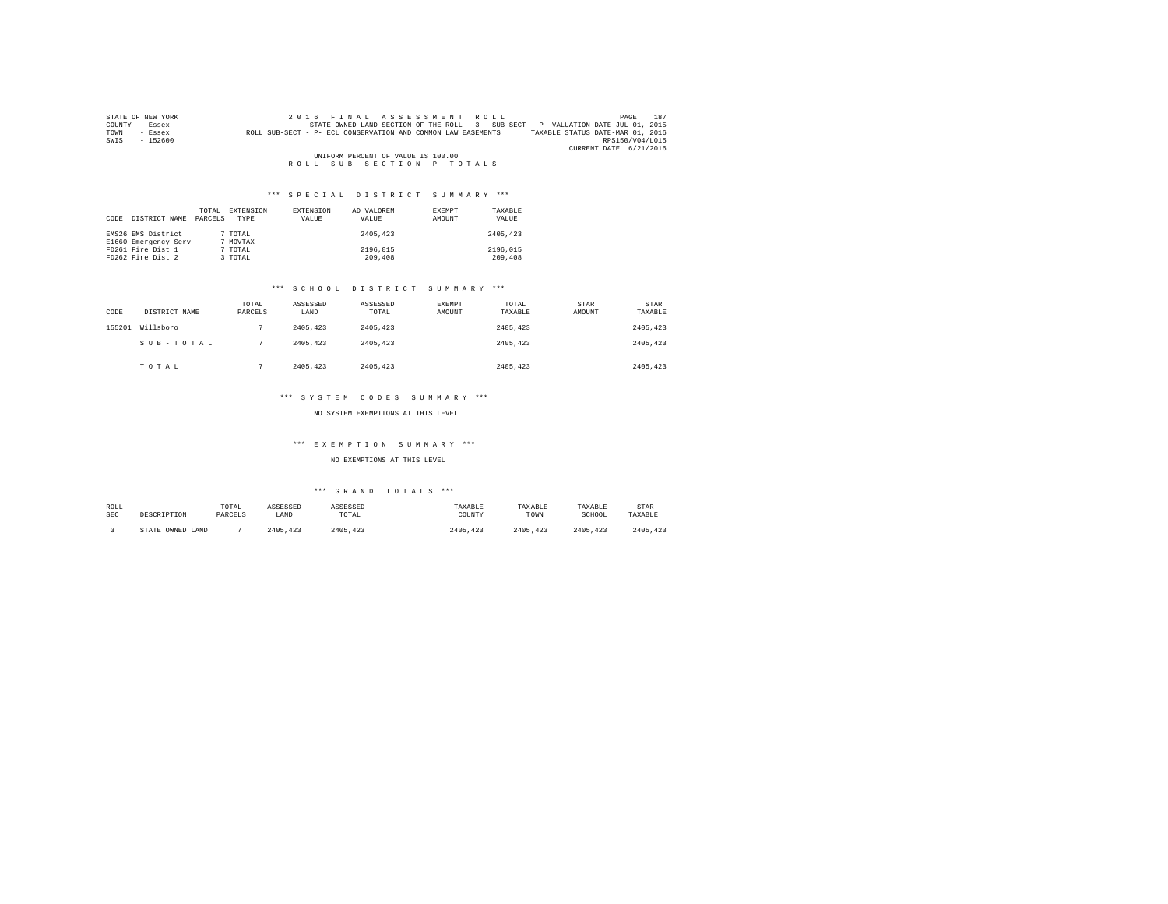| STATE OF NEW YORK | 2016 FINAL ASSESSMENT ROLL                                                                       | PAGE                   | 187 |
|-------------------|--------------------------------------------------------------------------------------------------|------------------------|-----|
| COUNTY - Essex    | STATE OWNED LAND SECTION OF THE ROLL - 3 SUB-SECT - P VALUATION DATE-JUL 01, 2015                |                        |     |
| TOWN<br>- Essex   | TAXABLE STATUS DATE-MAR 01, 2016<br>ROLL SUB-SECT - P- ECL CONSERVATION AND COMMON LAW EASEMENTS |                        |     |
| $-152600$<br>SWIS |                                                                                                  | RPS150/V04/L015        |     |
|                   |                                                                                                  | CURRENT DATE 6/21/2016 |     |
|                   | UNIFORM PERCENT OF VALUE IS 100.00                                                               |                        |     |
|                   | ROLL SUB SECTION-P-TOTALS                                                                        |                        |     |

| CODE | DISTRICT NAME                              | TOTAL<br>PARCELS | EXTENSION<br>TYPE   | EXTENSION<br>VALUE | AD VALOREM<br>VALUE | EXEMPT<br>AMOUNT | TAXARLE<br>VALUE    |
|------|--------------------------------------------|------------------|---------------------|--------------------|---------------------|------------------|---------------------|
|      | EMS26 EMS District<br>E1660 Emergency Serv |                  | 7 TOTAL<br>7 MOVTAX |                    | 2405,423            |                  | 2405,423            |
|      | FD261 Fire Dist 1<br>FD262 Fire Dist 2     |                  | 7 TOTAL<br>3 TOTAL  |                    | 2196.015<br>209,408 |                  | 2196,015<br>209,408 |

# \*\*\* S C H O O L D I S T R I C T S U M M A R Y \*\*\*

| CODE   | DISTRICT NAME | TOTAL<br>PARCELS | ASSESSED<br>LAND | ASSESSED<br>TOTAL | EXEMPT<br>AMOUNT | TOTAL<br>TAXABLE | STAR<br>AMOUNT | STAR<br>TAXABLE |
|--------|---------------|------------------|------------------|-------------------|------------------|------------------|----------------|-----------------|
| 155201 | Willsboro     |                  | 2405.423         | 2405.423          |                  | 2405.423         |                | 2405,423        |
|        | SUB-TOTAL     |                  | 2405.423         | 2405.423          |                  | 2405.423         |                | 2405.423        |
|        | TOTAL         |                  | 2405.423         | 2405.423          |                  | 2405,423         |                | 2405,423        |

# \*\*\* S Y S T E M C O D E S S U M M A R Y \*\*\*

## NO SYSTEM EXEMPTIONS AT THIS LEVEL

# \*\*\* E X E M P T I O N S U M M A R Y \*\*\*

## NO EXEMPTIONS AT THIS LEVEL

| ROLL<br>SEC | DESCRIPTION      | TOTAL<br>PARCELS | ASSESSED<br>LAND | ASSESSED<br>TOTAL | TAXABLE<br>COUNTY | TAXABLE<br>TOWN | TAXABLE<br>SCHOOL | <b>STAR</b><br>TAXABLE |
|-------------|------------------|------------------|------------------|-------------------|-------------------|-----------------|-------------------|------------------------|
|             | STATE OWNED LAND |                  | 2405, 423        | 2405.423          | 2405.423          | 2405.423        | 2405.423          | 2405.423               |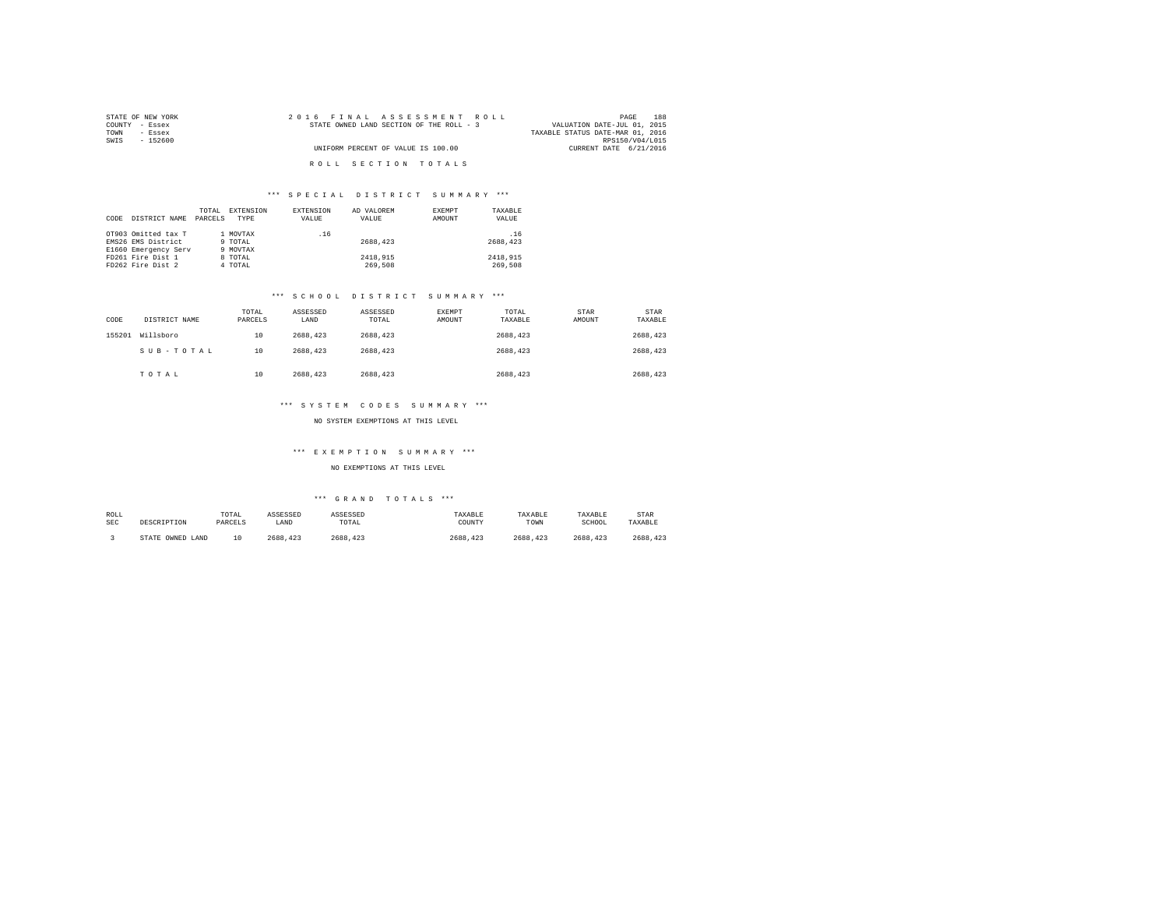| STATE OF NEW YORK | 2016 FINAL ASSESSMENT ROLL               | 188<br>PAGE                      |
|-------------------|------------------------------------------|----------------------------------|
| COUNTY - Essex    | STATE OWNED LAND SECTION OF THE ROLL - 3 | VALUATION DATE-JUL 01, 2015      |
| TOWN<br>- Essex   |                                          | TAXABLE STATUS DATE-MAR 01, 2016 |
| SWIS<br>$-152600$ |                                          | RPS150/V04/L015                  |
|                   | UNIFORM PERCENT OF VALUE IS 100.00       | CURRENT DATE 6/21/2016           |
|                   |                                          |                                  |
|                   | ROLL SECTION TOTALS                      |                                  |

| DISTRICT NAME<br>CODE                                          | TOTAL<br>PARCELS | EXTENSION<br>TYPE              | EXTENSION<br>VALUE | AD VALOREM<br>VALUE | EXEMPT<br>AMOUNT | TAXABLE<br>VALUE    |
|----------------------------------------------------------------|------------------|--------------------------------|--------------------|---------------------|------------------|---------------------|
| OT903 Omitted tax T<br>EMS26 EMS District                      |                  | 1 MOVTAX<br>9 TOTAL            | .16                | 2688.423            |                  | .16<br>2688.423     |
| E1660 Emergency Serv<br>FD261 Fire Dist 1<br>FD262 Fire Dist 2 |                  | 9 MOVTAX<br>8 TOTAL<br>4 TOTAL |                    | 2418,915<br>269,508 |                  | 2418,915<br>269,508 |

## \*\*\* S C H O O L D I S T R I C T S U M M A R Y \*\*\*

| CODE   | DISTRICT NAME | TOTAL<br>PARCELS | ASSESSED<br>LAND | ASSESSED<br>TOTAL | <b>EXEMPT</b><br>AMOUNT | TOTAL<br>TAXABLE | STAR<br>AMOUNT | <b>STAR</b><br>TAXABLE |
|--------|---------------|------------------|------------------|-------------------|-------------------------|------------------|----------------|------------------------|
| 155201 | Willsboro     | 10               | 2688,423         | 2688.423          |                         | 2688.423         |                | 2688.423               |
|        | SUB-TOTAL     | 10               | 2688.423         | 2688.423          |                         | 2688.423         |                | 2688.423               |
|        | TOTAL         | 10               | 2688.423         | 2688.423          |                         | 2688,423         |                | 2688.423               |

## \*\*\* S Y S T E M C O D E S S U M M A R Y \*\*\*

## NO SYSTEM EXEMPTIONS AT THIS LEVEL

### \*\*\* E X E M P T I O N S U M M A R Y \*\*\*

NO EXEMPTIONS AT THIS LEVEL

| ROLL       | DESCRIPTION      | TOTAL   | ASSESSED | ASSESSED | TAXABLE  | TAXABLE  | TAXABLE  | STAR    |
|------------|------------------|---------|----------|----------|----------|----------|----------|---------|
| <b>SEC</b> |                  | PARCELS | LAND     | TOTAL    | COUNTY   | TOWN     | SCHOOL   | TAXABLE |
|            | STATE OWNED LAND | 10      | 2688,423 | 2688.423 | 2688.423 | 2688.423 | 2688.423 | 2688.42 |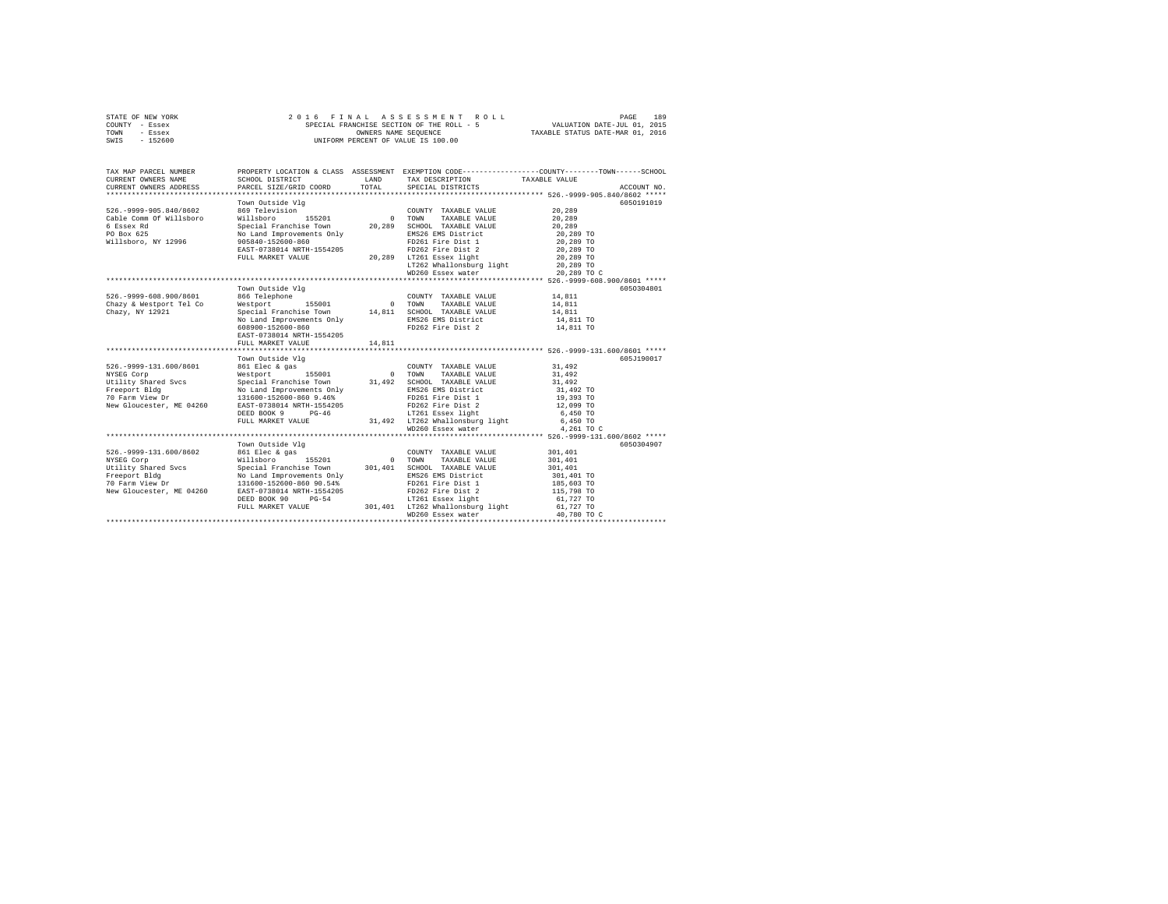| STATE OF NEW YORK | 2016 FINAL ASSESSMENT ROLL                | 189<br>PAGE                      |
|-------------------|-------------------------------------------|----------------------------------|
| COUNTY - Essex    | SPECIAL FRANCHISE SECTION OF THE ROLL - 5 | VALUATION DATE-JUL 01, 2015      |
| TOWN<br>- Essex   | OWNERS NAME SEOUENCE                      | TAXABLE STATUS DATE-MAR 01, 2016 |
| $-152600$<br>SWIS | UNIFORM PERCENT OF VALUE IS 100.00        |                                  |
|                   |                                           |                                  |

| TAX MAP PARCEL NUMBER<br>CURRENT OWNERS NAME<br>CURRENT OWNERS ADDRESS                                                                                                                                                                     | SCHOOL DISTRICT<br>PARCEL SIZE/GRID COORD                         | LAND<br>TOTAL                                                           | TAX DESCRIPTION<br>SPECIAL DISTRICTS                        | PROPERTY LOCATION & CLASS ASSESSMENT EXEMPTION CODE-----------------COUNTY-------TOWN------SCHOOL<br>TAXABLE VALUE<br>ACCOUNT NO. |
|--------------------------------------------------------------------------------------------------------------------------------------------------------------------------------------------------------------------------------------------|-------------------------------------------------------------------|-------------------------------------------------------------------------|-------------------------------------------------------------|-----------------------------------------------------------------------------------------------------------------------------------|
|                                                                                                                                                                                                                                            |                                                                   |                                                                         |                                                             |                                                                                                                                   |
|                                                                                                                                                                                                                                            | Town Outside Vlg                                                  |                                                                         |                                                             | 6050191019                                                                                                                        |
| 526. - 9999 - 905.840/8602                                                                                                                                                                                                                 | 869 Television                                                    |                                                                         | COUNTY TAXABLE VALUE                                        | 20,289                                                                                                                            |
| Cable Comm Of Willsboro                                                                                                                                                                                                                    | Willsboro 155201                                                  | $\sim$                                                                  | TOWN<br>TAXABLE VALUE                                       | 20,289                                                                                                                            |
| 6 Essex Rd                                                                                                                                                                                                                                 | Special Franchise Town 20.289                                     |                                                                         | SCHOOL TAXABLE VALUE                                        | 20,289                                                                                                                            |
| PO Box 625                                                                                                                                                                                                                                 |                                                                   |                                                                         | EMS26 EMS District                                          | 20,289 TO                                                                                                                         |
| Willsboro, NY 12996                                                                                                                                                                                                                        | No Land Improvements Only<br>905840-152600-860                    |                                                                         | FD261 Fire Dist 1                                           | 20,289 TO                                                                                                                         |
|                                                                                                                                                                                                                                            | EAST-0738014 NRTH-1554205                                         |                                                                         | FD262 Fire Dist 2                                           | 20,289 TO                                                                                                                         |
|                                                                                                                                                                                                                                            | FULL MARKET VALUE                                                 |                                                                         | 20,289 LT261 Essex light                                    | 20,289 TO                                                                                                                         |
|                                                                                                                                                                                                                                            |                                                                   |                                                                         | LT261 Essex light<br>LT262 Whallonsburg light               | 20,289 TO                                                                                                                         |
|                                                                                                                                                                                                                                            |                                                                   |                                                                         | WD260 Essex water                                           | 20,289 TO C                                                                                                                       |
|                                                                                                                                                                                                                                            |                                                                   |                                                                         |                                                             |                                                                                                                                   |
|                                                                                                                                                                                                                                            | Town Outside Vlg                                                  |                                                                         |                                                             | 6050304801                                                                                                                        |
| 526. - 9999-608.900/8601                                                                                                                                                                                                                   | 866 Telephone                                                     | $\begin{array}{cc} \text{COUNTY} \\ \text{1} & \text{TOWN} \end{array}$ | COUNTY TAXABLE VALUE                                        | 14,811<br>14,811                                                                                                                  |
| Chazy & Westport Tel Co                                                                                                                                                                                                                    | Westport 155001                                                   |                                                                         | TAXABLE VALUE                                               |                                                                                                                                   |
| Chazy, NY 12921                                                                                                                                                                                                                            | Special Franchise Town 14,811 SCHOOL TAXABLE VALUE                |                                                                         |                                                             | 14,811                                                                                                                            |
|                                                                                                                                                                                                                                            |                                                                   |                                                                         | EMS26 EMS District                                          | 14,811 TO                                                                                                                         |
|                                                                                                                                                                                                                                            |                                                                   |                                                                         |                                                             | 14,811 TO                                                                                                                         |
|                                                                                                                                                                                                                                            | EAST-0738014 NRTH-1554205                                         |                                                                         |                                                             |                                                                                                                                   |
|                                                                                                                                                                                                                                            | FULL MARKET VALUE                                                 | 14,811                                                                  |                                                             |                                                                                                                                   |
|                                                                                                                                                                                                                                            | Town Outside Vlg                                                  |                                                                         |                                                             | 605J190017                                                                                                                        |
| 526. - 9999-131.600/8601                                                                                                                                                                                                                   | 861 Elec & gas                                                    |                                                                         | COUNTY TAXABLE VALUE                                        | 31,492                                                                                                                            |
| NYSEG Corp                                                                                                                                                                                                                                 | Westport 155001 0                                                 |                                                                         | TOWN<br>TAXABLE VALUE                                       | 31,492                                                                                                                            |
| Utility Shared Svcs                                                                                                                                                                                                                        |                                                                   |                                                                         | SCHOOL TAXABLE VALUE                                        | 31,492                                                                                                                            |
| Freeport Bldg                                                                                                                                                                                                                              | Special Franchise Town 31,492<br>No Land Improvements Only 31,492 |                                                                         | EMS26 EMS District                                          | 31,492 TO                                                                                                                         |
|                                                                                                                                                                                                                                            |                                                                   |                                                                         |                                                             |                                                                                                                                   |
| 70 Farm View Dr 131600-152600-860 9.46%<br>New Gloucester, ME 04260 EAST-0738014 NRTH-1554205                                                                                                                                              |                                                                   |                                                                         | FD261 Fire Dist 1<br>FD262 Fire Dist 1<br>FD262 Fire Dist 2 | 19,393 TO<br>12,099 TO                                                                                                            |
|                                                                                                                                                                                                                                            | DEED BOOK 9 PG-46                                                 |                                                                         | LT261 Essex light                                           | 6,450 TO                                                                                                                          |
|                                                                                                                                                                                                                                            | FULL MARKET VALUE                                                 |                                                                         |                                                             | 6,450 TO                                                                                                                          |
|                                                                                                                                                                                                                                            |                                                                   |                                                                         | 31,492 LT262 Whallonsburg light<br>WD260 Essex water        | 4,261 TO C                                                                                                                        |
|                                                                                                                                                                                                                                            |                                                                   |                                                                         |                                                             |                                                                                                                                   |
|                                                                                                                                                                                                                                            |                                                                   |                                                                         |                                                             |                                                                                                                                   |
|                                                                                                                                                                                                                                            | Town Outside Vlg                                                  |                                                                         |                                                             | 6050304907                                                                                                                        |
| 526. - 9999 - 131. 600/8602                                                                                                                                                                                                                | 861 Elec & gas                                                    |                                                                         | COUNTY TAXABLE VALUE                                        | 301,401                                                                                                                           |
|                                                                                                                                                                                                                                            |                                                                   |                                                                         | TAXABLE VALUE                                               | 301,401                                                                                                                           |
|                                                                                                                                                                                                                                            |                                                                   |                                                                         | SCHOOL TAXABLE VALUE                                        | 301,401                                                                                                                           |
|                                                                                                                                                                                                                                            |                                                                   |                                                                         | EMS26 EMS District                                          | 301,401 TO                                                                                                                        |
|                                                                                                                                                                                                                                            |                                                                   |                                                                         | FD261 Fire Dist 1                                           | 185,603 TO                                                                                                                        |
|                                                                                                                                                                                                                                            |                                                                   |                                                                         | FD262 Fire Dist 2                                           | 115,798 TO                                                                                                                        |
| Utility Shared Svcs<br>Freeport Bldg<br>Town Wo Land Improvements Only<br>To Farm View Dr<br>No Land Improvements Only<br>New Gloucester, ME 04260 EAST-0738014 NEW STRACH PD261<br>New Gloucester, ME 04260 EAST-0738014 NEW STRACH PD261 | DEED BOOK 90 PG-54                                                |                                                                         |                                                             | 61,727 TO                                                                                                                         |
|                                                                                                                                                                                                                                            | FULL MARKET VALUE                                                 |                                                                         | G-54 LT261 Essex light<br>301,401 LT262 Whallonsburg light  | 61,727 TO                                                                                                                         |
|                                                                                                                                                                                                                                            |                                                                   |                                                                         | WD260 Essex water                                           | 40,780 TO C                                                                                                                       |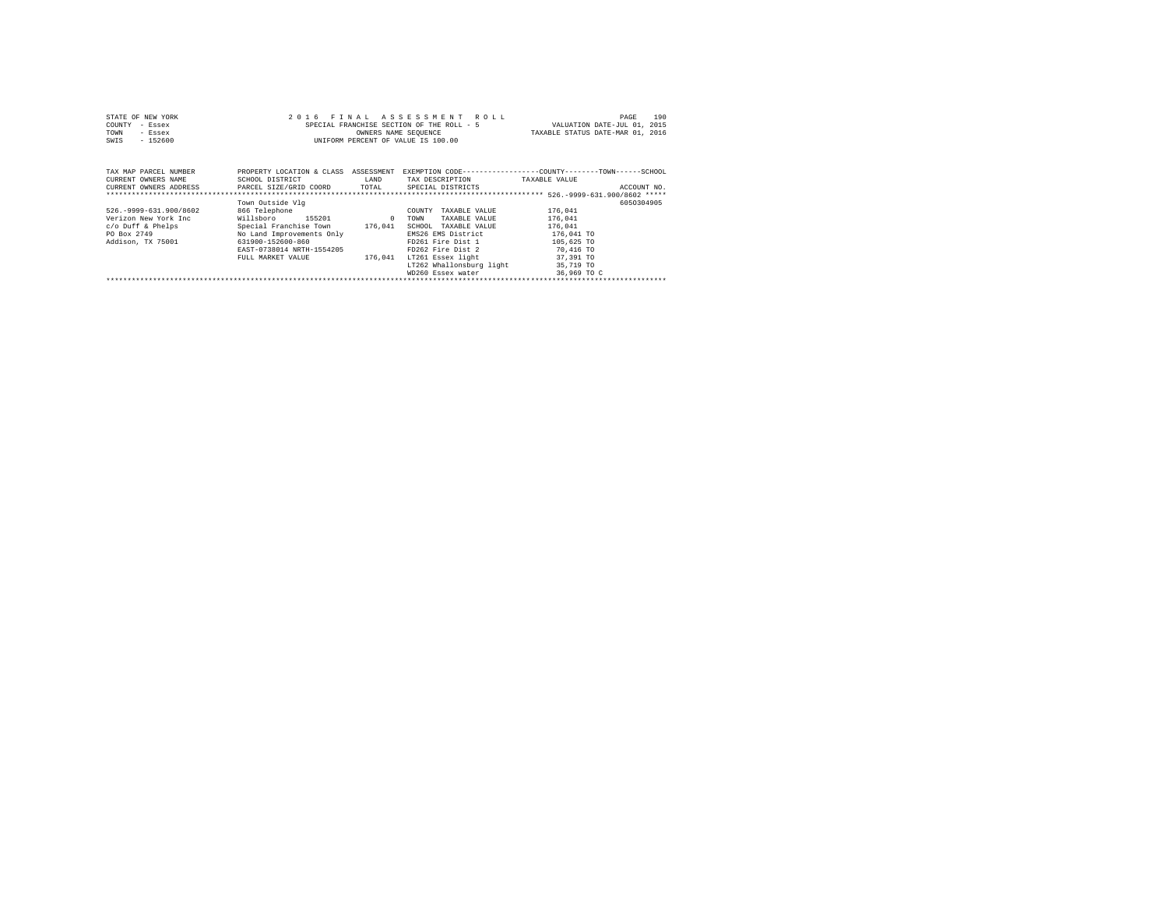|                | STATE OF NEW YORK     |  |  | 2016 FINAL ASSESSMENT ROLL                |                      |  |  |  |                                                                                                 | PAGE | 190 |
|----------------|-----------------------|--|--|-------------------------------------------|----------------------|--|--|--|-------------------------------------------------------------------------------------------------|------|-----|
| COUNTY - Essex |                       |  |  | SPECIAL FRANCHISE SECTION OF THE ROLL - 5 |                      |  |  |  | VALUATION DATE-JUL 01, 2015                                                                     |      |     |
| TOWN           | - Essex               |  |  |                                           | OWNERS NAME SEOUENCE |  |  |  | TAXABLE STATUS DATE-MAR 01, 2016                                                                |      |     |
| SWIS           | $-152600$             |  |  | UNIFORM PERCENT OF VALUE IS 100.00        |                      |  |  |  |                                                                                                 |      |     |
|                |                       |  |  |                                           |                      |  |  |  |                                                                                                 |      |     |
|                |                       |  |  |                                           |                      |  |  |  |                                                                                                 |      |     |
|                |                       |  |  |                                           |                      |  |  |  |                                                                                                 |      |     |
|                | TAX MAP PARCEL NUMBER |  |  |                                           |                      |  |  |  | PROPERTY LOCATION & CLASS ASSESSMENT EXEMPTION CODE---------------COUNTY-------TOWN------SCHOOL |      |     |

|                             | PROPERTY LOCATION & CLASS | ASSESSMENT |                          | EXEMPTION CODE-----------------COUNTY-------TOWN------SCHOOL |
|-----------------------------|---------------------------|------------|--------------------------|--------------------------------------------------------------|
| CURRENT OWNERS NAME         | SCHOOL DISTRICT           | LAND       | TAX DESCRIPTION          | TAXABLE VALUE                                                |
| CURRENT OWNERS ADDRESS      | PARCEL SIZE/GRID COORD    | TOTAL      | SPECIAL DISTRICTS        | ACCOUNT NO.                                                  |
|                             |                           |            |                          |                                                              |
|                             | Town Outside Vla          |            |                          | 6050304905                                                   |
| 526. - 9999 - 631. 900/8602 | 866 Telephone             |            | COUNTY TAXABLE VALUE     | 176.041                                                      |
| Verizon New York Inc        | Willsboro<br>155201       | $^{\circ}$ | TAXABLE VALUE<br>TOWN    | 176.041                                                      |
| c/o Duff & Phelps           | Special Franchise Town    | 176.041    | SCHOOL TAXABLE VALUE     | 176.041                                                      |
| PO Box 2749                 | No Land Improvements Only |            | EMS26 EMS District       | 176,041 TO                                                   |
| Addison, TX 75001           | 631900-152600-860         |            | FD261 Fire Dist 1        | 105,625 TO                                                   |
|                             | EAST-0738014 NRTH-1554205 |            | FD262 Fire Dist 2        | 70,416 TO                                                    |
|                             | FULL MARKET VALUE         | 176.041    | LT261 Essex light        | 37,391 TO                                                    |
|                             |                           |            | LT262 Whallonsburg light | 35,719 TO                                                    |
|                             |                           |            | WD260 Essex water        | 36,969 TO C                                                  |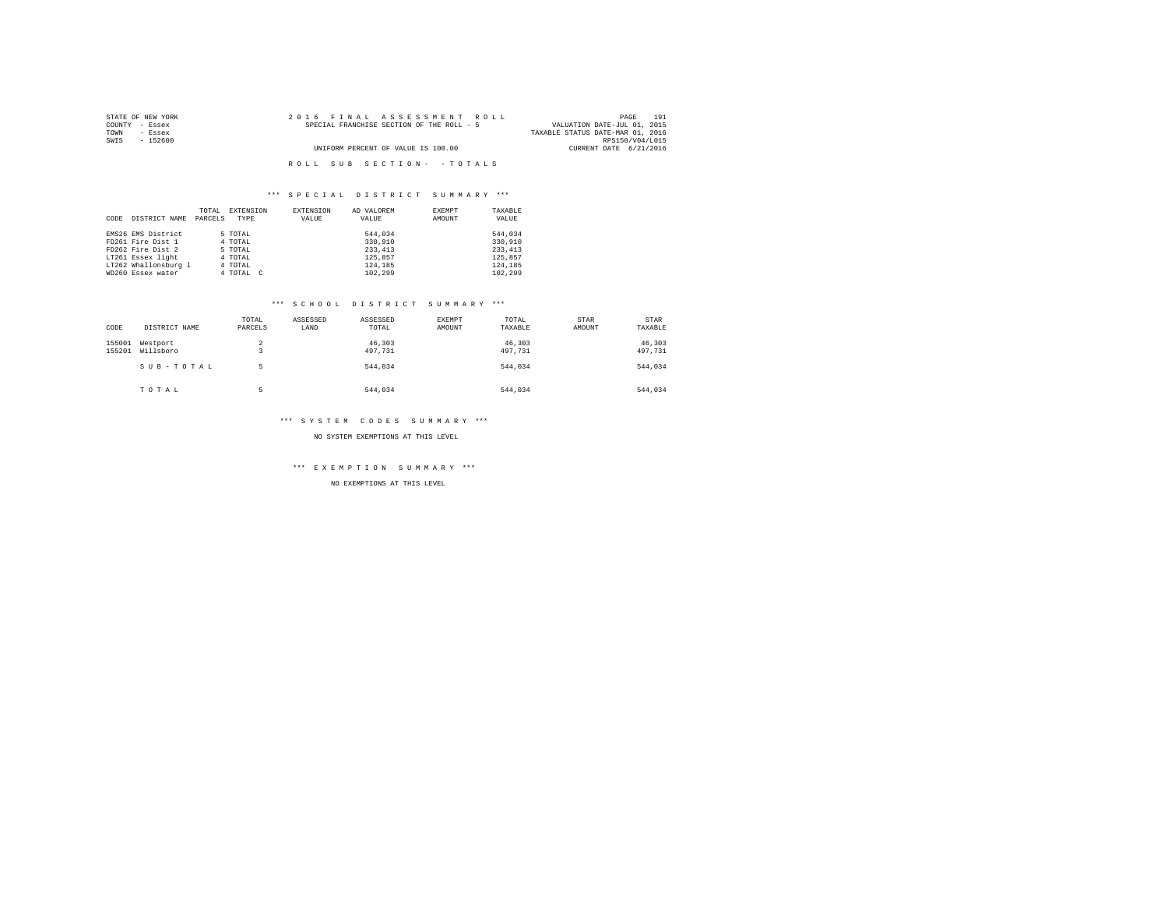| STATE OF NEW YORK | 2016 FINAL ASSESSMENT ROLL                | 191<br>PAGE                      |
|-------------------|-------------------------------------------|----------------------------------|
| COUNTY - Essex    | SPECIAL FRANCHISE SECTION OF THE ROLL - 5 | VALUATION DATE-JUL 01, 2015      |
| TOWN<br>- Essex   |                                           | TAXABLE STATUS DATE-MAR 01, 2016 |
| SWIS<br>$-152600$ |                                           | RPS150/V04/L015                  |
|                   | UNIFORM PERCENT OF VALUE IS 100.00        | CURRENT DATE 6/21/2016           |
|                   |                                           |                                  |
|                   | ROLL SUB SECTION- - TOTALS                |                                  |

|      |                      | TOTAL   | EXTENSION | EXTENSION | AD VALOREM | EXEMPT | TAXABLE  |
|------|----------------------|---------|-----------|-----------|------------|--------|----------|
| CODE | DISTRICT NAME        | PARCELS | TYPE      | VALUE     | VALUE      | AMOUNT | VALUE    |
|      |                      |         |           |           |            |        |          |
|      | EMS26 EMS District   |         | 5 TOTAL   |           | 544.034    |        | 544.034  |
|      | FD261 Fire Dist 1    |         | 4 TOTAL   |           | 330,910    |        | 330,910  |
|      | FD262 Fire Dist 2    |         | 5 TOTAL   |           | 233, 413   |        | 233, 413 |
|      | LT261 Essex light    |         | 4 TOTAL   |           | 125,857    |        | 125,857  |
|      | LT262 Whallonsburg 1 |         | 4 TOTAL   |           | 124,185    |        | 124,185  |
|      | WD260 Essex water    |         | 4 TOTAL C |           | 102.299    |        | 102,299  |

### \*\*\* S C H O O L D I S T R I C T S U M M A R Y \*\*\*

| CODE             | DISTRICT NAME         | TOTAL<br>PARCELS | ASSESSED<br>LAND | ASSESSED<br>TOTAL | EXEMPT<br>AMOUNT | TOTAL<br>TAXABLE  | STAR<br>AMOUNT | STAR<br>TAXABLE   |
|------------------|-----------------------|------------------|------------------|-------------------|------------------|-------------------|----------------|-------------------|
| 155001<br>155201 | Westport<br>Willsboro | 2                |                  | 46,303<br>497,731 |                  | 46,303<br>497,731 |                | 46,303<br>497,731 |
|                  | SUB-TOTAL             | ь                |                  | 544.034           |                  | 544.034           |                | 544.034           |
|                  | TOTAL                 | ь                |                  | 544.034           |                  | 544.034           |                | 544.034           |

## \*\*\* S Y S T E M C O D E S S U M M A R Y \*\*\*

NO SYSTEM EXEMPTIONS AT THIS LEVEL

\*\*\* E X E M P T I O N S U M M A R Y \*\*\*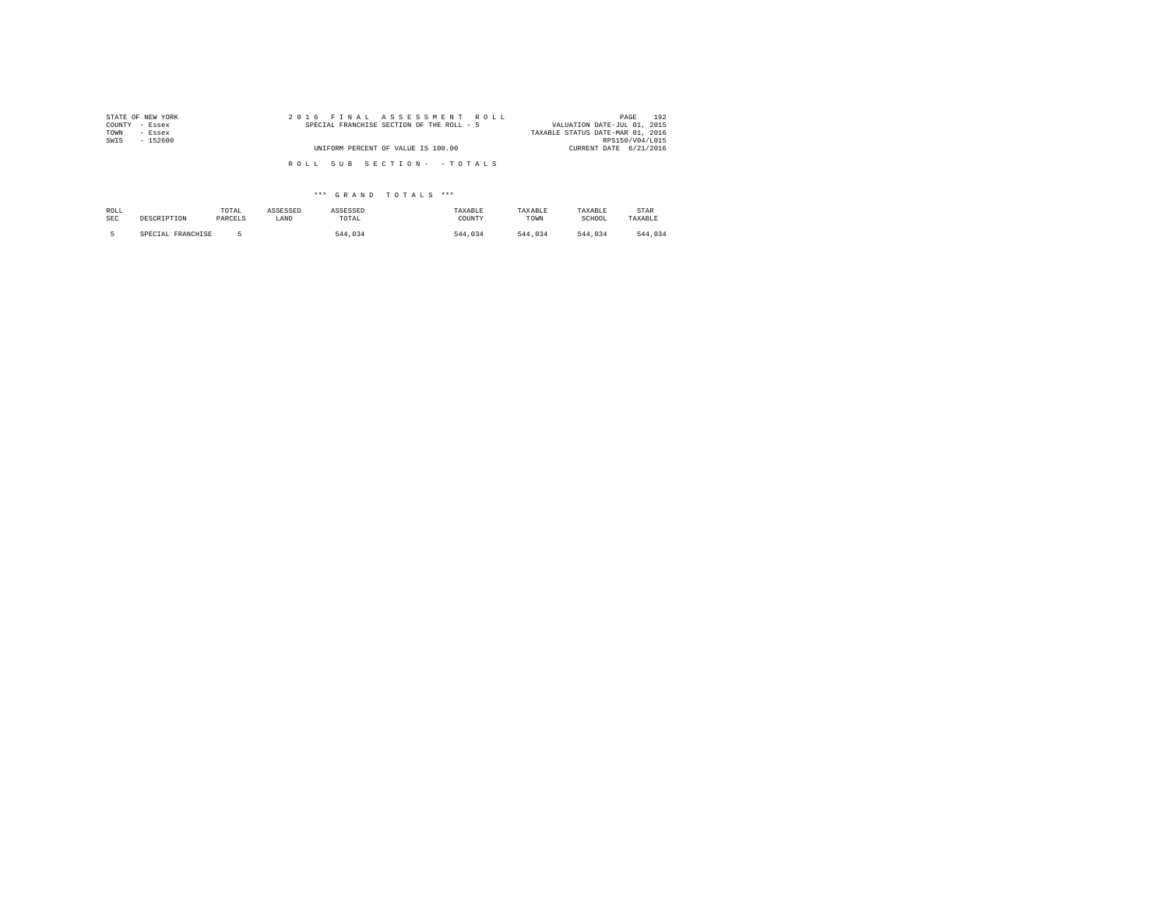| STATE OF NEW YORK | 2016 FINAL ASSESSMENT ROLL                | 192<br>PAGE                      |
|-------------------|-------------------------------------------|----------------------------------|
| COUNTY - Essex    | SPECIAL FRANCHISE SECTION OF THE ROLL - 5 | VALUATION DATE-JUL 01, 2015      |
| TOWN<br>- Essex   |                                           | TAXABLE STATUS DATE-MAR 01, 2016 |
| SWIS<br>$-152600$ |                                           | RPS150/V04/L015                  |
|                   | UNIFORM PERCENT OF VALUE IS 100.00        | CURRENT DATE 6/21/2016           |
|                   | ROLL SUB SECTION- - TOTALS                |                                  |

| ROLL       | DESCRIPTION       | TOTAL   | ASSESSED | ASSESSED | TAXABLE | TAXABLE | TAXABLE | STAR    |
|------------|-------------------|---------|----------|----------|---------|---------|---------|---------|
| <b>SEC</b> |                   | PARCELS | LAND     | TOTAL    | COUNTY  | TOWN    | SCHOOL  | TAXABLE |
|            | SPECIAL FRANCHISE |         |          | 544.034  | 544.034 | 544.034 | 544,034 | 544.034 |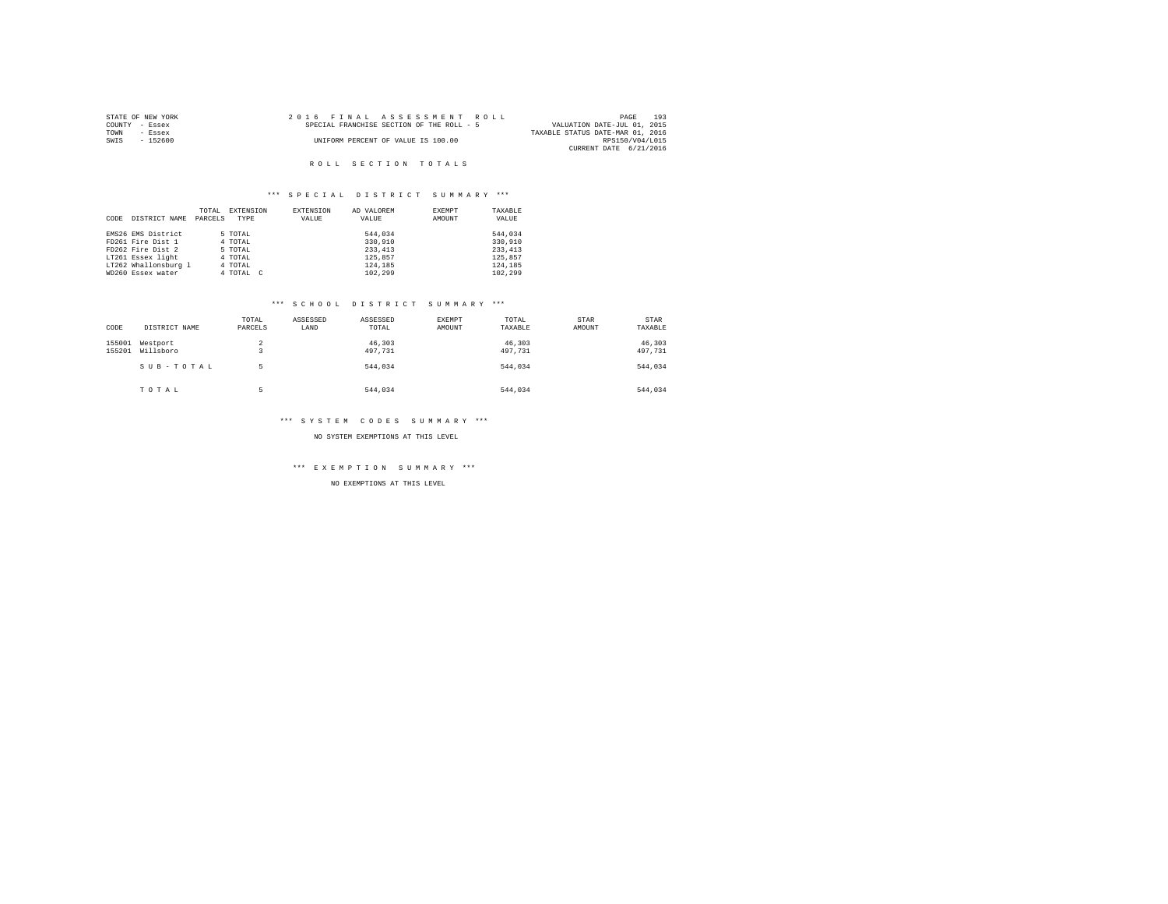|                | STATE OF NEW YORK | 2016 FINAL ASSESSMENT ROLL                |                                  | PAGE                   | 193 |
|----------------|-------------------|-------------------------------------------|----------------------------------|------------------------|-----|
| COUNTY - Essex |                   | SPECIAL FRANCHISE SECTION OF THE ROLL - 5 | VALUATION DATE-JUL 01, 2015      |                        |     |
| TOWN           | - Essex           |                                           | TAXABLE STATUS DATE-MAR 01, 2016 |                        |     |
| SWIS           | - 152600          | UNIFORM PERCENT OF VALUE IS 100.00        |                                  | RPS150/V04/L015        |     |
|                |                   |                                           |                                  | CURRENT DATE 6/21/2016 |     |

## \*\*\* S P E C I A L D I S T R I C T S U M M A R Y \*\*\*

|      |                      | TOTAL   | EXTENSION | EXTENSION | AD VALOREM | EXEMPT | TAXABLE  |
|------|----------------------|---------|-----------|-----------|------------|--------|----------|
| CODE | DISTRICT NAME        | PARCELS | TYPE      | VALUE     | VALUE      | AMOUNT | VALUE    |
|      |                      |         |           |           |            |        |          |
|      | EMS26 EMS District   |         | 5 TOTAL   |           | 544.034    |        | 544.034  |
|      | FD261 Fire Dist 1    |         | 4 TOTAL   |           | 330,910    |        | 330,910  |
|      | FD262 Fire Dist 2    |         | 5 TOTAL   |           | 233, 413   |        | 233, 413 |
|      | LT261 Essex light    |         | 4 TOTAL   |           | 125,857    |        | 125,857  |
|      | LT262 Whallonsburg 1 |         | 4 TOTAL   |           | 124,185    |        | 124,185  |
|      | WD260 Essex water    |         | 4 TOTAL C |           | 102.299    |        | 102.299  |

### \*\*\* S C H O O L D I S T R I C T S U M M A R Y \*\*\*

| CODE             | DISTRICT NAME         | TOTAL<br>PARCELS | ASSESSED<br>LAND | ASSESSED<br>TOTAL | EXEMPT<br>AMOUNT | TOTAL<br>TAXABLE  | STAR<br>AMOUNT | STAR<br>TAXABLE   |
|------------------|-----------------------|------------------|------------------|-------------------|------------------|-------------------|----------------|-------------------|
| 155001<br>155201 | Westport<br>Willsboro | 2<br>۰           |                  | 46,303<br>497,731 |                  | 46,303<br>497,731 |                | 46,303<br>497,731 |
|                  | SUB-TOTAL             | ь                |                  | 544.034           |                  | 544.034           |                | 544.034           |
|                  | TOTAL                 | ۰<br>н           |                  | 544.034           |                  | 544.034           |                | 544,034           |

## \*\*\* S Y S T E M C O D E S S U M M A R Y \*\*\*

NO SYSTEM EXEMPTIONS AT THIS LEVEL

\*\*\* E X E M P T I O N S U M M A R Y \*\*\*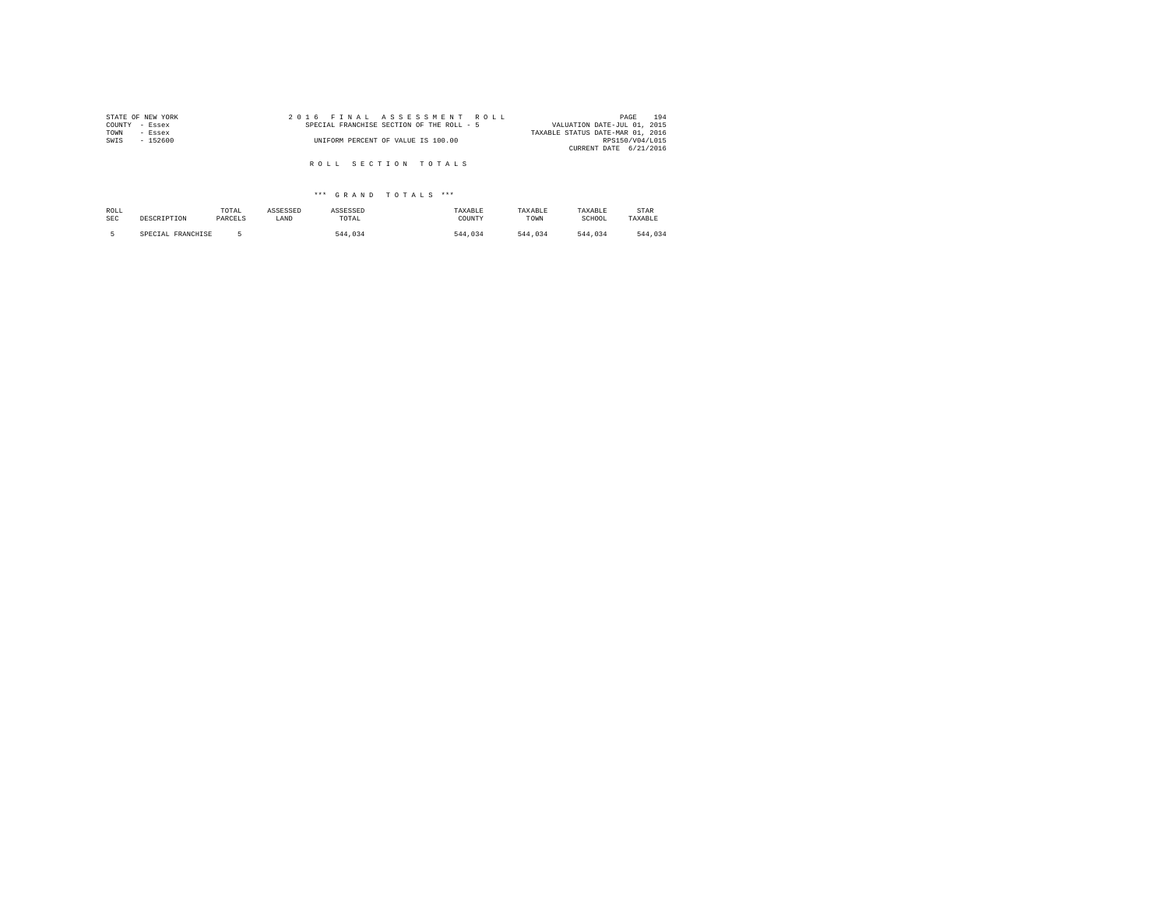| STATE OF NEW YORK | 2016 FINAL ASSESSMENT ROLL                | 194<br>PAGE                      |
|-------------------|-------------------------------------------|----------------------------------|
| COUNTY - Essex    | SPECIAL FRANCHISE SECTION OF THE ROLL - 5 | VALUATION DATE-JUL 01, 2015      |
| TOWN<br>- Essex   |                                           | TAXABLE STATUS DATE-MAR 01, 2016 |
| SWIS<br>$-152600$ | UNIFORM PERCENT OF VALUE IS 100.00        | RPS150/V04/L015                  |
|                   |                                           | CURRENT DATE 6/21/2016           |
|                   |                                           |                                  |
|                   | ROLL SECTION TOTALS                       |                                  |

| ROLL       | DESCRIPTION       | TOTAL   | ASSESSED | ASSESSED | TAXABLE | TAXABLE | TAXABLE | STAR    |
|------------|-------------------|---------|----------|----------|---------|---------|---------|---------|
| <b>SEC</b> |                   | PARCELS | LAND     | TOTAL    | COUNTY  | TOWN    | SCHOOL  | TAXABLE |
|            | SPECIAL FRANCHISE |         |          | 544.034  | 544.034 | 544.034 | 544.034 | 544.034 |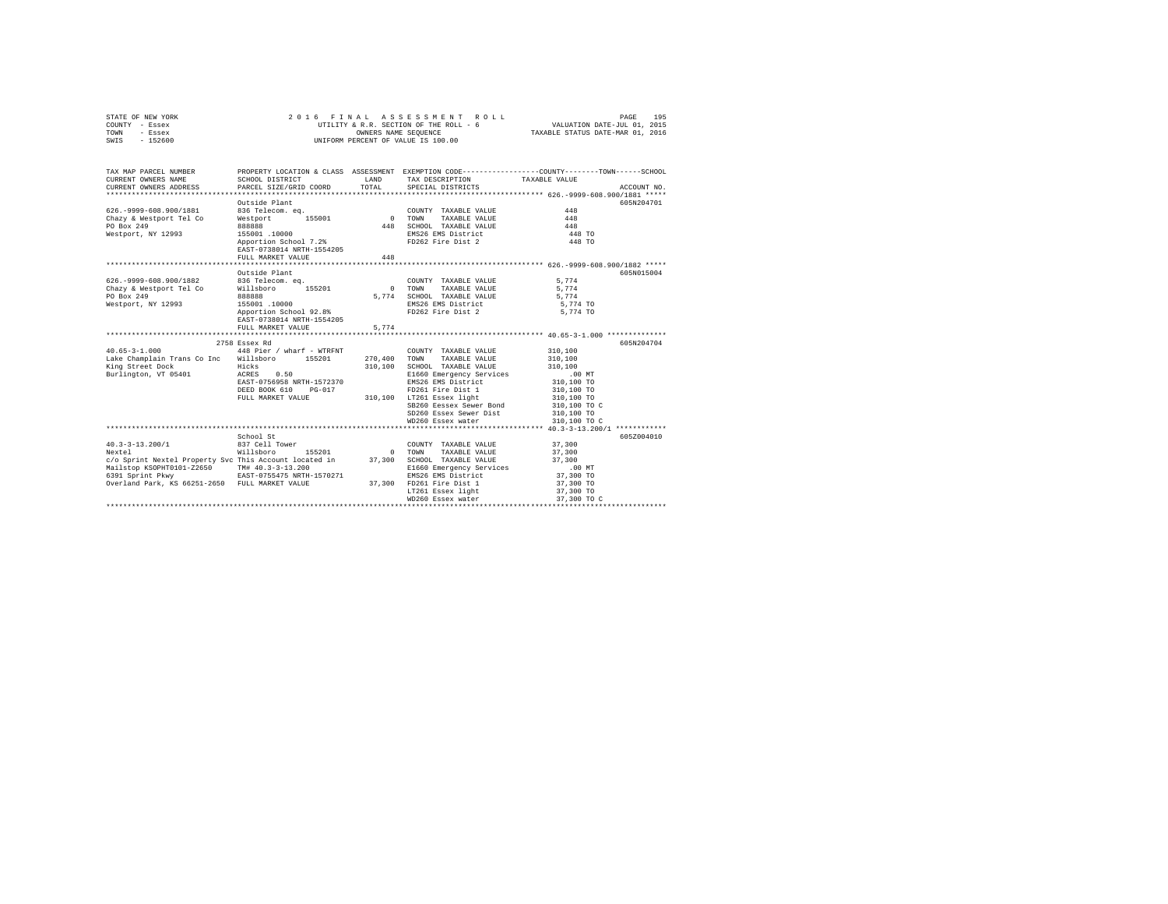|      | STATE OF NEW YORK | 2016 FINAL ASSESSMENT ROLL             | 195<br>PAGE                      |
|------|-------------------|----------------------------------------|----------------------------------|
|      | COUNTY - Essex    | UTILITY & R.R. SECTION OF THE ROLL - 6 | VALUATION DATE-JUL 01, 2015      |
| TOWN | - Essex           | OWNERS NAME SEOUENCE                   | TAXABLE STATUS DATE-MAR 01, 2016 |
| SWIS | $-152600$         | UNIFORM PERCENT OF VALUE IS 100.00     |                                  |

| TAX MAP PARCEL NUMBER<br>CURRENT OWNERS NAME<br>CURRENT OWNERS ADDRESS                                                                                                                                         | SCHOOL DISTRICT<br>PARCEL SIZE/GRID COORD                                                                                                                    | <b>T.AND</b><br>TOTAL. | TAX DESCRIPTION TAXABLE VALUE<br>SPECIAL DISTRICTS                                                                                                                                                                                                       | PROPERTY LOCATION & CLASS ASSESSMENT EXEMPTION CODE---------------COUNTY-------TOWN-----SCHOOL<br>ACCOUNT NO.                                   |
|----------------------------------------------------------------------------------------------------------------------------------------------------------------------------------------------------------------|--------------------------------------------------------------------------------------------------------------------------------------------------------------|------------------------|----------------------------------------------------------------------------------------------------------------------------------------------------------------------------------------------------------------------------------------------------------|-------------------------------------------------------------------------------------------------------------------------------------------------|
| 626. - 9999-608.900/1881<br>Chazy & Westport Tel Co<br>PO Box 249<br>Westport, NY 12993                                                                                                                        | Outside Plant<br>836 Telecom. eq.<br>Westport 155001<br>888888<br>155001 .10000<br>Apportion School 7.2%<br>EAST-0738014 NRTH-1554205<br>FULL MARKET VALUE   | 0 TOWN<br>448<br>448   | COUNTY TAXABLE VALUE<br>TAXABLE VALUE<br>SCHOOL TAXABLE VALUE<br>EMS26 EMS District<br>FD262 Fire Dist 2                                                                                                                                                 | 605N204701<br>448<br>448<br>448<br>448 TO<br>448 TO                                                                                             |
| 626. - 9999-608.900/1882<br>Chazy & Westport Tel Co<br>PO Box 249<br>Westport, NY 12993                                                                                                                        | Outside Plant<br>836 Telecom. ea.<br>Willsboro 155201<br>888888<br>155001 .10000<br>Apportion School 92.8%<br>EAST-0738014 NRTH-1554205<br>FULL MARKET VALUE | 5.774<br>5.774         | COUNTY TAXABLE VALUE<br>0 TOWN<br>TAXABLE VALUE<br>SCHOOL TAXABLE VALUE<br>EMS26 EMS District<br>FD262 Fire Dist 2                                                                                                                                       | 605N015004<br>5.774<br>5,774<br>5.774<br>5,774 TO<br>5,774 TO                                                                                   |
| $40.65 - 3 - 1.000$<br>Lake Champlain Trans Co Inc Willsboro 155201<br>King Street Dock<br>Burlington, VT 05401 ACRES                                                                                          | 2758 Essex Rd<br>448 Pier / wharf - WTRFNT<br>Hicks<br>0.50<br>EAST-0756958 NRTH-1572370<br>DEED BOOK 610<br>PG-017<br>FULL MARKET VALUE                     | 310,100                | COUNTY TAXABLE VALUE<br>270.400 TOWN TAXABLE VALUE<br>SCHOOL TAXABLE VALUE<br>E1660 Emergency Services<br>EMS26 EMS District<br>FD261 Fire Dist 1<br>310,100 LT261 Essex light<br>SB260 Eessex Sewer Bond<br>SD260 Essex Sewer Dist<br>WD260 Essex water | 605N204704<br>310,100<br>310,100<br>310,100<br>$.00$ MT<br>310,100 TO<br>310,100 TO<br>310,100 TO<br>310,100 TO C<br>310,100 TO<br>310,100 TO C |
| $40.3 - 3 - 13.200/1$<br>Nextel<br>c/o Sprint Nextel Property Svc This Account located in<br>Mailstop KSOPHT0101-Z2650 TM# 40.3-3-13.200<br>6391 Sprint Pkwy<br>Overland Park, KS 66251-2650 FULL MARKET VALUE | School St<br>837 Cell Tower<br>Willsboro<br>155201<br>EAST-0755475 NRTH-1570271                                                                              | $\sim$ 0<br>37,300     | COUNTY TAXABLE VALUE<br>TOWN<br>TAXABLE VALUE<br>SCHOOL TAXABLE VALUE<br>E1660 Emergency Services<br>EMS26 EMS District<br>37,300 FD261 Fire Dist 1<br>LT261 Essex light<br>WD260 Essex water                                                            | 605Z004010<br>37,300<br>37,300<br>37,300<br>$.00$ MT<br>37,300 TO<br>37,300 TO<br>37,300 TO<br>37,300 TO C                                      |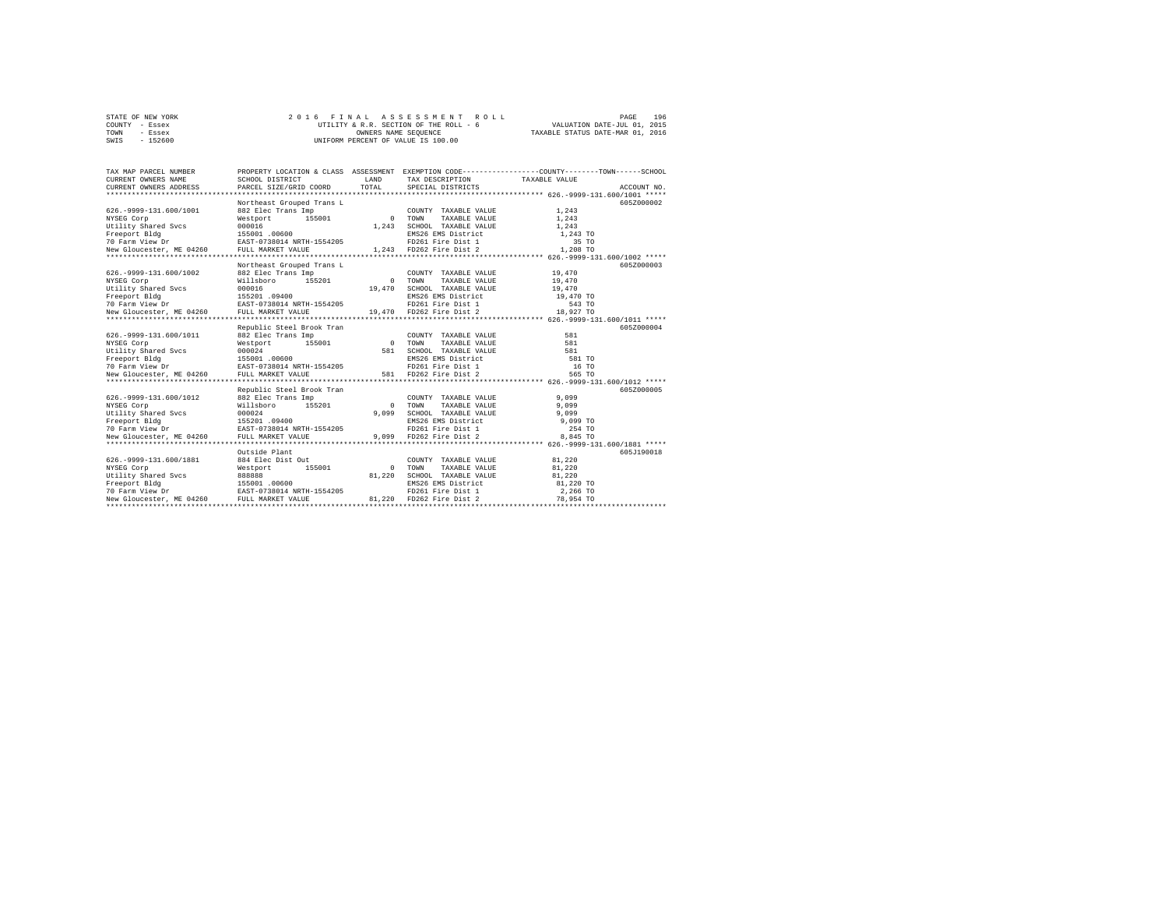| STATE OF NEW YORK | 2016 FINAL ASSESSMENT ROLL             | 196<br>PAGE                      |
|-------------------|----------------------------------------|----------------------------------|
| COUNTY - Essex    | UTILITY & R.R. SECTION OF THE ROLL - 6 | VALUATION DATE-JUL 01, 2015      |
| TOWN<br>- Essex   | OWNERS NAME SEOUENCE                   | TAXABLE STATUS DATE-MAR 01, 2016 |
| $-152600$<br>SWIS | UNIFORM PERCENT OF VALUE IS 100.00     |                                  |

| TAX MAP PARCEL NUMBER                                                                                                                                                                                                            |                           |        |                                                                                                                              | PROPERTY LOCATION & CLASS ASSESSMENT EXEMPTION CODE----------------COUNTY-------TOWN------SCHOOL |
|----------------------------------------------------------------------------------------------------------------------------------------------------------------------------------------------------------------------------------|---------------------------|--------|------------------------------------------------------------------------------------------------------------------------------|--------------------------------------------------------------------------------------------------|
|                                                                                                                                                                                                                                  |                           | T.AND  | TAX DESCRIPTION TAXABLE VALUE                                                                                                |                                                                                                  |
|                                                                                                                                                                                                                                  |                           | TOTAL  | SPECIAL DISTRICTS                                                                                                            | ACCOUNT NO.                                                                                      |
|                                                                                                                                                                                                                                  |                           |        |                                                                                                                              |                                                                                                  |
|                                                                                                                                                                                                                                  | Northeast Grouped Trans L |        |                                                                                                                              | 605Z000002                                                                                       |
| 626. - 9999-131. 600/1001                                                                                                                                                                                                        |                           |        |                                                                                                                              | 1.243                                                                                            |
| NYSEG Corp                                                                                                                                                                                                                       |                           |        |                                                                                                                              | 1,243                                                                                            |
|                                                                                                                                                                                                                                  |                           |        |                                                                                                                              |                                                                                                  |
|                                                                                                                                                                                                                                  |                           |        |                                                                                                                              |                                                                                                  |
|                                                                                                                                                                                                                                  |                           |        |                                                                                                                              |                                                                                                  |
|                                                                                                                                                                                                                                  |                           |        |                                                                                                                              |                                                                                                  |
|                                                                                                                                                                                                                                  |                           |        |                                                                                                                              |                                                                                                  |
|                                                                                                                                                                                                                                  | Northeast Grouped Trans L |        |                                                                                                                              | 605Z000003                                                                                       |
| 626.-9999-131.600/1002 882 Elec Trans Imp                                                                                                                                                                                        |                           |        | COUNTY TAXABLE VALUE 19,470                                                                                                  |                                                                                                  |
| NYSEG Corp                                                                                                                                                                                                                       | Willsboro 155201 0 TOWN   |        | TAXABLE VALUE                                                                                                                | 19,470                                                                                           |
|                                                                                                                                                                                                                                  |                           | 19,470 | SCHOOL TAXABLE VALUE                                                                                                         | 19,470                                                                                           |
|                                                                                                                                                                                                                                  |                           |        | EMS26 EMS District                                                                                                           | 19,470 TO                                                                                        |
|                                                                                                                                                                                                                                  |                           |        |                                                                                                                              |                                                                                                  |
| Nicolar Corp (1982)<br>Trelity Shared Svcs (1990)<br>Treeport Bldg (1982) 155201 09400<br>To Parm View Dr (1982–19738014 NRTH-1554205 19,470<br>New Gloucester, ME 04260 FULL MARKET VALUE (19,470                               |                           |        | 4205 FD261 Fire Dist 1 543 TO<br>19,470 FD262 Fire Dist 2 18,927 TO                                                          |                                                                                                  |
|                                                                                                                                                                                                                                  |                           |        |                                                                                                                              |                                                                                                  |
|                                                                                                                                                                                                                                  |                           |        |                                                                                                                              | 605Z000004                                                                                       |
|                                                                                                                                                                                                                                  |                           |        |                                                                                                                              | 581                                                                                              |
|                                                                                                                                                                                                                                  |                           |        |                                                                                                                              | 581                                                                                              |
|                                                                                                                                                                                                                                  |                           |        |                                                                                                                              | 581                                                                                              |
|                                                                                                                                                                                                                                  |                           |        |                                                                                                                              | 581 TO                                                                                           |
|                                                                                                                                                                                                                                  |                           |        |                                                                                                                              | 16 TO                                                                                            |
|                                                                                                                                                                                                                                  |                           |        |                                                                                                                              | 565 TO                                                                                           |
|                                                                                                                                                                                                                                  |                           |        |                                                                                                                              |                                                                                                  |
|                                                                                                                                                                                                                                  | Republic Steel Brook Tran |        |                                                                                                                              | 605Z000005                                                                                       |
| 626.-9999-131.600/1012 882 Elec Trans Imp                                                                                                                                                                                        |                           |        | COUNTY TAXABLE VALUE 9,099                                                                                                   |                                                                                                  |
|                                                                                                                                                                                                                                  |                           |        |                                                                                                                              |                                                                                                  |
|                                                                                                                                                                                                                                  |                           | 9,099  |                                                                                                                              |                                                                                                  |
|                                                                                                                                                                                                                                  |                           |        |                                                                                                                              |                                                                                                  |
|                                                                                                                                                                                                                                  |                           |        | TURN ANNUMENT ANNUMENT SCHOOL TAXABLE VALUE 9,099 TO<br>EMS26 EMS District 9,099 TO<br>FD261 Fire Dist 1 254 TO<br>26 A45 TO |                                                                                                  |
| NYSEG Corp 1999<br>The State of Company of the Company of the State of Company of the State of the State of the State of the State of the State of the State of the State of the State of the State of the State of the State of |                           |        | 9,099 FD262 Fire Dist 2                                                                                                      | 8,845 TO                                                                                         |
|                                                                                                                                                                                                                                  |                           |        |                                                                                                                              |                                                                                                  |
|                                                                                                                                                                                                                                  | Outside Plant             |        |                                                                                                                              | 605J190018                                                                                       |
| 626. - 9999-131.600/1881                                                                                                                                                                                                         | 884 Elec Dist Out         |        | COUNTY TAXABLE VALUE 81.220                                                                                                  |                                                                                                  |
| NYSEG Corp                                                                                                                                                                                                                       | Westport 155001           | 0 TOWN | TAXABLE VALUE                                                                                                                | 81,220                                                                                           |
|                                                                                                                                                                                                                                  |                           | 81,220 | SCHOOL TAXABLE VALUE 81,220                                                                                                  |                                                                                                  |
|                                                                                                                                                                                                                                  |                           |        | EMS26 EMS District                                                                                                           | 81,220 TO                                                                                        |
|                                                                                                                                                                                                                                  |                           |        | FD261 Fire Dist 1                                                                                                            | 2,266 TO                                                                                         |
| New Gloucester, ME 04260 FULL MARKET VALUE                                                                                                                                                                                       |                           |        | 81,220 FD262 Fire Dist 2                                                                                                     | 78,954 TO                                                                                        |
|                                                                                                                                                                                                                                  |                           |        |                                                                                                                              |                                                                                                  |
|                                                                                                                                                                                                                                  |                           |        |                                                                                                                              |                                                                                                  |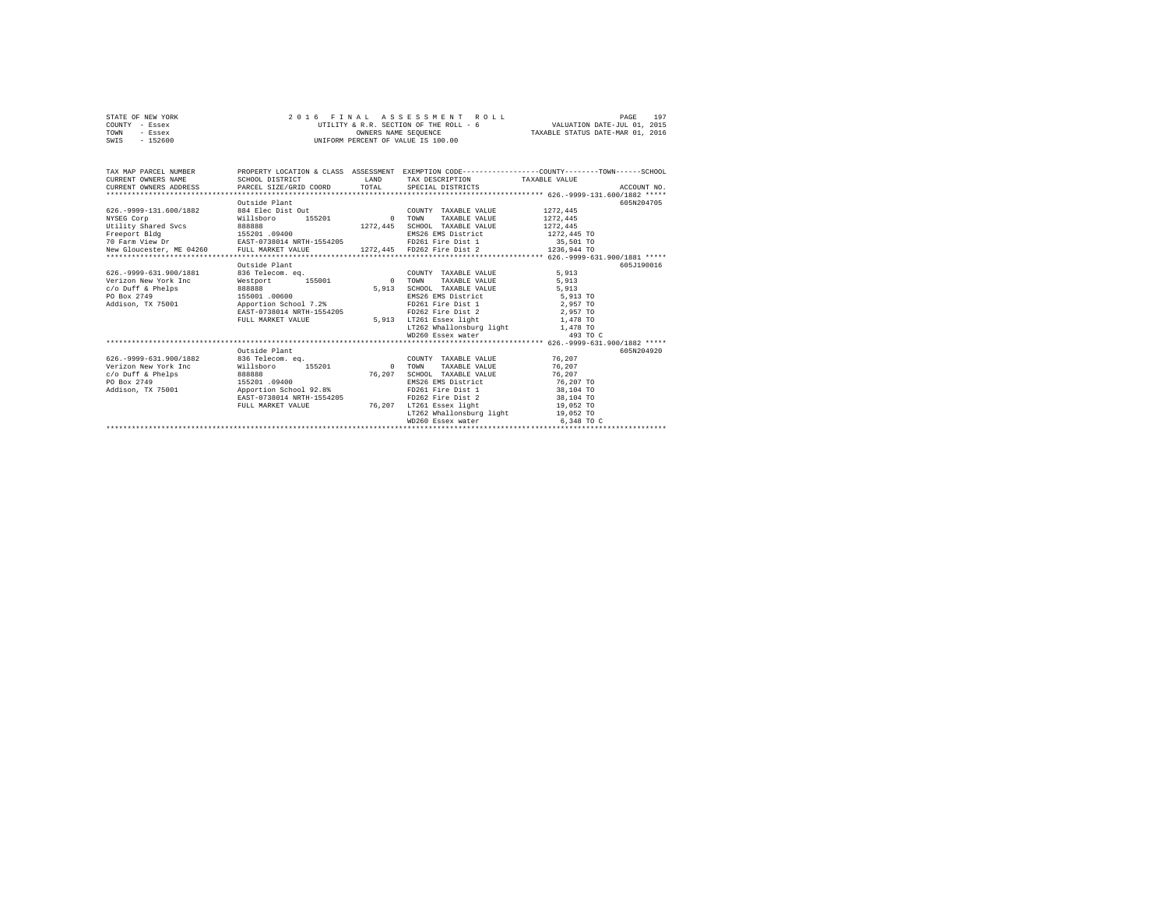|      | STATE OF NEW YORK | 2016 FINAL ASSESSMENT ROLL             | 197<br>PAGE                      |
|------|-------------------|----------------------------------------|----------------------------------|
|      | COUNTY - Essex    | UTILITY & R.R. SECTION OF THE ROLL - 6 | VALUATION DATE-JUL 01, 2015      |
| TOWN | - Essex           | OWNERS NAME SEOUENCE                   | TAXABLE STATUS DATE-MAR 01, 2016 |
| SWIS | $-152600$         | UNIFORM PERCENT OF VALUE IS 100.00     |                                  |

| TAX MAP PARCEL NUMBER<br>CURRENT OWNERS NAME                                                 | SCHOOL DISTRICT                            | <b>LAND</b> | TAX DESCRIPTION TAXABLE VALUE                                 | PROPERTY LOCATION & CLASS ASSESSMENT EXEMPTION CODE----------------COUNTY-------TOWN-----SCHOOL<br>.CURRENT OWNERS ADDRESS PARCEL SIZE/GRID COORD TOTAL SPECIAL DISTRICTS (26.-9999-131.600/1882 ***** |  |  |  |  |  |
|----------------------------------------------------------------------------------------------|--------------------------------------------|-------------|---------------------------------------------------------------|--------------------------------------------------------------------------------------------------------------------------------------------------------------------------------------------------------|--|--|--|--|--|
|                                                                                              | Outside Plant                              |             |                                                               | 605N204705                                                                                                                                                                                             |  |  |  |  |  |
| 626. - 9999-131. 600/1882                                                                    | 884 Elec Dist Out                          |             |                                                               | 1272.445                                                                                                                                                                                               |  |  |  |  |  |
| NYSEG Corp                                                                                   | 155201                                     | $\sim$ 0    | COUNTY TAXABLE VALUE<br>TOWN<br>TAXABLE VALUE                 | 1272.445                                                                                                                                                                                               |  |  |  |  |  |
|                                                                                              | Willsboro                                  |             | SCHOOL TAXABLE VALUE                                          | 1272.445                                                                                                                                                                                               |  |  |  |  |  |
| Utility Shared Svcs<br>Freeport Bldg<br>70 Farm View Dr 1980 19400<br>70 Farm View Dr 1.1.1. |                                            |             |                                                               |                                                                                                                                                                                                        |  |  |  |  |  |
|                                                                                              |                                            |             | EMS26 EMS District 1272,445 TO<br>FD261 Fire Dist 1 35,501 TO |                                                                                                                                                                                                        |  |  |  |  |  |
|                                                                                              |                                            |             |                                                               |                                                                                                                                                                                                        |  |  |  |  |  |
|                                                                                              |                                            |             |                                                               |                                                                                                                                                                                                        |  |  |  |  |  |
|                                                                                              | Outside Plant                              |             |                                                               | 605J190016                                                                                                                                                                                             |  |  |  |  |  |
| 626. - 9999-631.900/1881                                                                     |                                            |             | COUNTY TAXABLE VALUE                                          |                                                                                                                                                                                                        |  |  |  |  |  |
| Verizon New York Inc.                                                                        | 836 Telecom. eq.<br>Westport 155001 0 TOWN |             | TAXABLE VALUE                                                 | 5,913<br>5,913                                                                                                                                                                                         |  |  |  |  |  |
|                                                                                              |                                            | 5,913       | SCHOOL TAXABLE VALUE                                          | 5,913                                                                                                                                                                                                  |  |  |  |  |  |
| $c$ /o Duff & Phelps                                                                         |                                            |             |                                                               |                                                                                                                                                                                                        |  |  |  |  |  |
| PO Box 2749<br>Addison, TX 75001    Proportion School 7.2%                                   | 155001 .00600                              |             | EMS26 EMS District 5,913 TO<br>FD261 Fire Dist 1 2,957 TO     |                                                                                                                                                                                                        |  |  |  |  |  |
|                                                                                              |                                            |             |                                                               |                                                                                                                                                                                                        |  |  |  |  |  |
|                                                                                              | EAST-0738014 NRTH-1554205                  |             | FD262 Fire Dist 2 2,957 TO                                    |                                                                                                                                                                                                        |  |  |  |  |  |
|                                                                                              | FULL MARKET VALUE                          | 5,913       | LT261 Essex light 1,478 TO                                    |                                                                                                                                                                                                        |  |  |  |  |  |
|                                                                                              |                                            |             | LT262 Whallonsburg light 1,478 TO                             |                                                                                                                                                                                                        |  |  |  |  |  |
|                                                                                              |                                            |             |                                                               |                                                                                                                                                                                                        |  |  |  |  |  |
|                                                                                              |                                            |             |                                                               |                                                                                                                                                                                                        |  |  |  |  |  |
|                                                                                              | Outside Plant                              |             |                                                               | 605N204920                                                                                                                                                                                             |  |  |  |  |  |
| 626. - 9999 - 631. 900/1882                                                                  | 836 Telecom, eq.                           |             | COUNTY TAXABLE VALUE                                          | 76.207                                                                                                                                                                                                 |  |  |  |  |  |
| Verizon New York Inc                                                                         | Willsboro 155201                           | 0 TOWN      | TAXABLE VALUE                                                 | 76.207                                                                                                                                                                                                 |  |  |  |  |  |
| $c$ /o Duff & Phelps<br>888888                                                               |                                            | 76,207      | SCHOOL TAXABLE VALUE                                          | 76.207                                                                                                                                                                                                 |  |  |  |  |  |
| PO Box 2749                                                                                  | 155201 .09400                              |             | EMS26 EMS District                                            | 76,207 TO                                                                                                                                                                                              |  |  |  |  |  |
| Addison, TX 75001 Apportion School 92.8%                                                     |                                            |             | FD261 Fire Dist 1 38,104 TO                                   |                                                                                                                                                                                                        |  |  |  |  |  |
|                                                                                              | EAST-0738014 NRTH-1554205                  |             | FD262 Fire Dist 2 38,104 TO                                   |                                                                                                                                                                                                        |  |  |  |  |  |
|                                                                                              | FULL MARKET VALUE                          | 76.207      | LT261 Essex light 19,052 TO                                   |                                                                                                                                                                                                        |  |  |  |  |  |
|                                                                                              |                                            |             | LT262 Whallonsburg light 19,052 TO                            |                                                                                                                                                                                                        |  |  |  |  |  |
|                                                                                              |                                            |             | WD260 Essex water                                             | 6,348 TO C                                                                                                                                                                                             |  |  |  |  |  |
|                                                                                              |                                            |             |                                                               |                                                                                                                                                                                                        |  |  |  |  |  |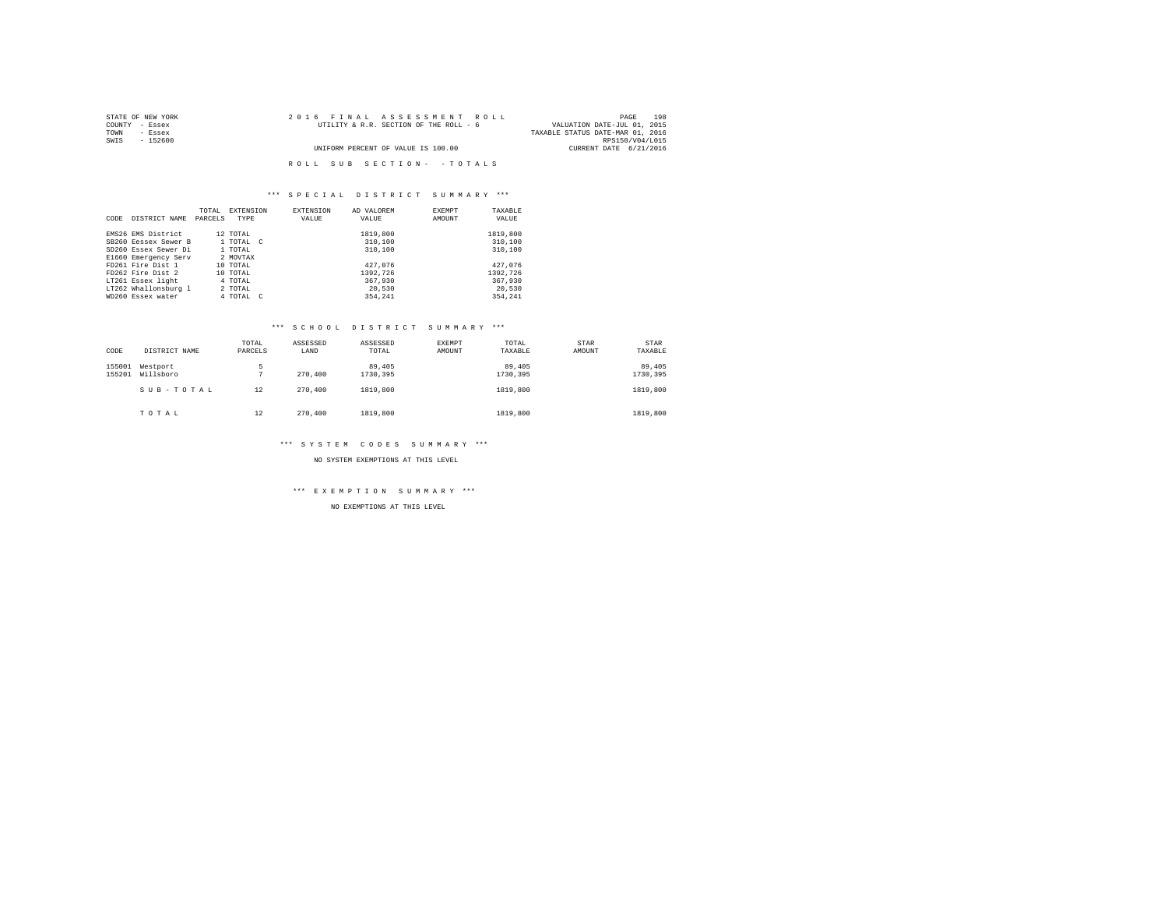| STATE OF NEW YORK | 2016 FINAL ASSESSMENT ROLL             | 198<br>PAGE                      |
|-------------------|----------------------------------------|----------------------------------|
| COUNTY - Essex    | UTILITY & R.R. SECTION OF THE ROLL - 6 | VALUATION DATE-JUL 01, 2015      |
| TOWN<br>- Essex   |                                        | TAXABLE STATUS DATE-MAR 01, 2016 |
| SWIS<br>- 152600  |                                        | RPS150/V04/L015                  |
|                   | UNIFORM PERCENT OF VALUE IS 100.00     | CURRENT DATE 6/21/2016           |
|                   |                                        |                                  |
|                   | ROLL SUB SECTION- - TOTALS             |                                  |

|      |                      | TOTAL   | <b>EXTENSION</b> | <b>EXTENSION</b> | AD VALOREM | EXEMPT | TAXABLE  |
|------|----------------------|---------|------------------|------------------|------------|--------|----------|
| CODE | DISTRICT NAME        | PARCELS | TYPE             | VALUE            | VALUE      | AMOUNT | VALUE    |
|      |                      |         |                  |                  |            |        |          |
|      | EMS26 EMS District   |         | 12 TOTAL         |                  | 1819,800   |        | 1819,800 |
|      | SB260 Eessex Sewer B |         | 1 TOTAL C        |                  | 310,100    |        | 310,100  |
|      | SD260 Essex Sewer Di |         | 1 TOTAL          |                  | 310,100    |        | 310,100  |
|      | E1660 Emergency Serv |         | 2 MOVTAX         |                  |            |        |          |
|      | FD261 Fire Dist 1    |         | 10 TOTAL         |                  | 427.076    |        | 427.076  |
|      | FD262 Fire Dist 2    |         | 10 TOTAL         |                  | 1392.726   |        | 1392.726 |
|      | LT261 Essex light    |         | 4 TOTAL          |                  | 367,930    |        | 367,930  |
|      | LT262 Whallonsburg 1 |         | 2 TOTAL          |                  | 20,530     |        | 20,530   |
|      | WD260 Essex water    |         | 4 TOTAL C        |                  | 354.241    |        | 354.241  |

## \*\*\* S C H O O L D I S T R I C T S U M M A R Y \*\*\*

| CODE             | DISTRICT NAME         | TOTAL<br>PARCELS | ASSESSED<br>LAND | ASSESSED<br>TOTAL  | <b>EXEMPT</b><br>AMOUNT | TOTAL<br>TAXABLE   | STAR<br>AMOUNT | STAR<br>TAXABLE    |
|------------------|-----------------------|------------------|------------------|--------------------|-------------------------|--------------------|----------------|--------------------|
| 155001<br>155201 | Westport<br>Willsboro | 5                | 270,400          | 89,405<br>1730.395 |                         | 89,405<br>1730.395 |                | 89,405<br>1730,395 |
|                  | SUB-TOTAL             | 12               | 270,400          | 1819,800           |                         | 1819,800           |                | 1819,800           |
|                  | TOTAL                 | 12               | 270,400          | 1819,800           |                         | 1819,800           |                | 1819,800           |

## \*\*\* S Y S T E M C O D E S S U M M A R Y \*\*\*

NO SYSTEM EXEMPTIONS AT THIS LEVEL

# \*\*\* E X E M P T I O N S U M M A R Y \*\*\*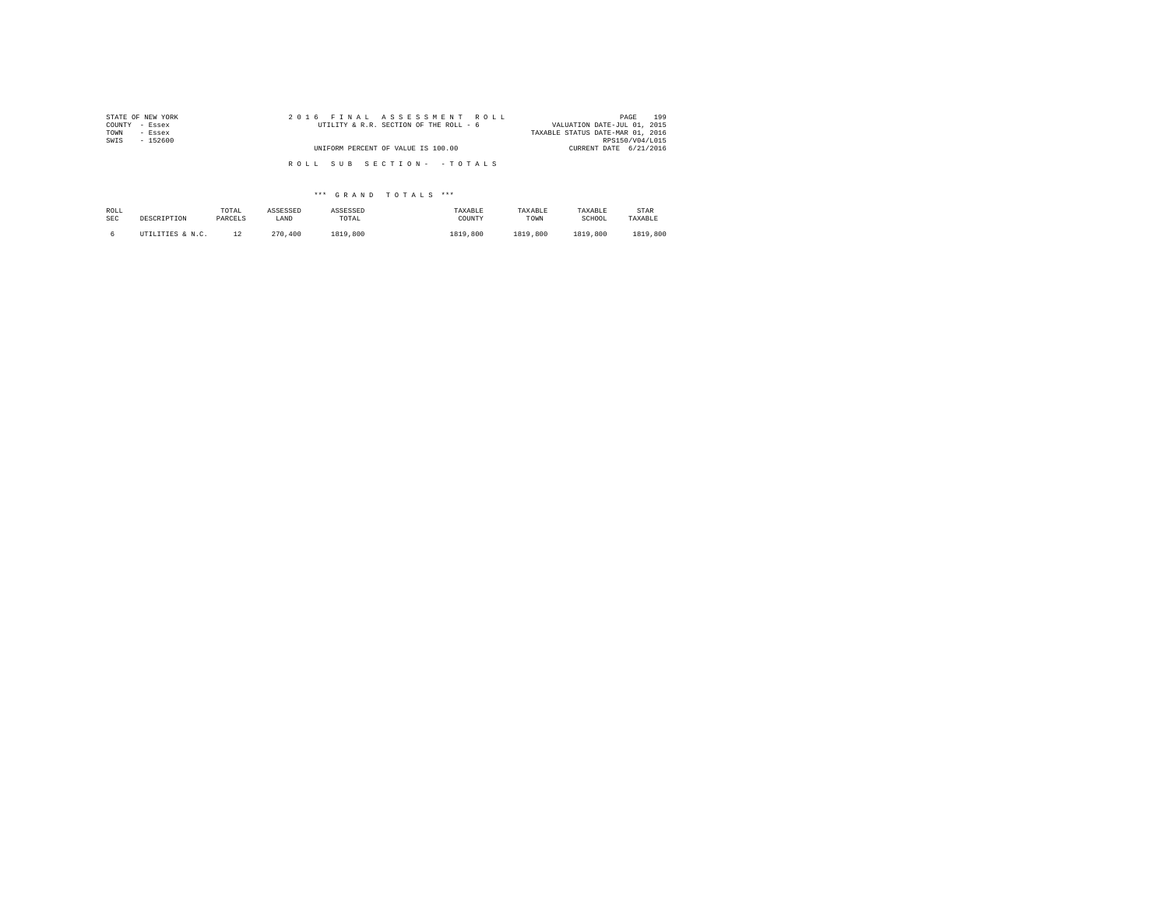| STATE OF NEW YORK | 2016 FINAL ASSESSMENT ROLL             | 199<br>PAGE                      |
|-------------------|----------------------------------------|----------------------------------|
| COUNTY - Essex    | UTILITY & R.R. SECTION OF THE ROLL - 6 | VALUATION DATE-JUL 01, 2015      |
| TOWN<br>- Essex   |                                        | TAXABLE STATUS DATE-MAR 01, 2016 |
| SWIS<br>$-152600$ |                                        | RPS150/V04/L015                  |
|                   | UNIFORM PERCENT OF VALUE IS 100.00     | CURRENT DATE 6/21/2016           |
|                   |                                        |                                  |
|                   | ROLL SUB SECTION- - TOTALS             |                                  |

| ROLL       | DESCRIPTION      | TOTAL   | ASSESSED | ASSESSED | TAXABLE  | TAXABLE  | TAXABLE  | STAR     |
|------------|------------------|---------|----------|----------|----------|----------|----------|----------|
| <b>SEC</b> |                  | PARCELS | LAND     | TOTAL    | COUNTY   | TOWN     | SCHOOL   | TAXABLE  |
|            | UTILITIES & N.C. |         | 270,400  | 1819,800 | 1819,800 | 1819,800 | 1819,800 | 1819,800 |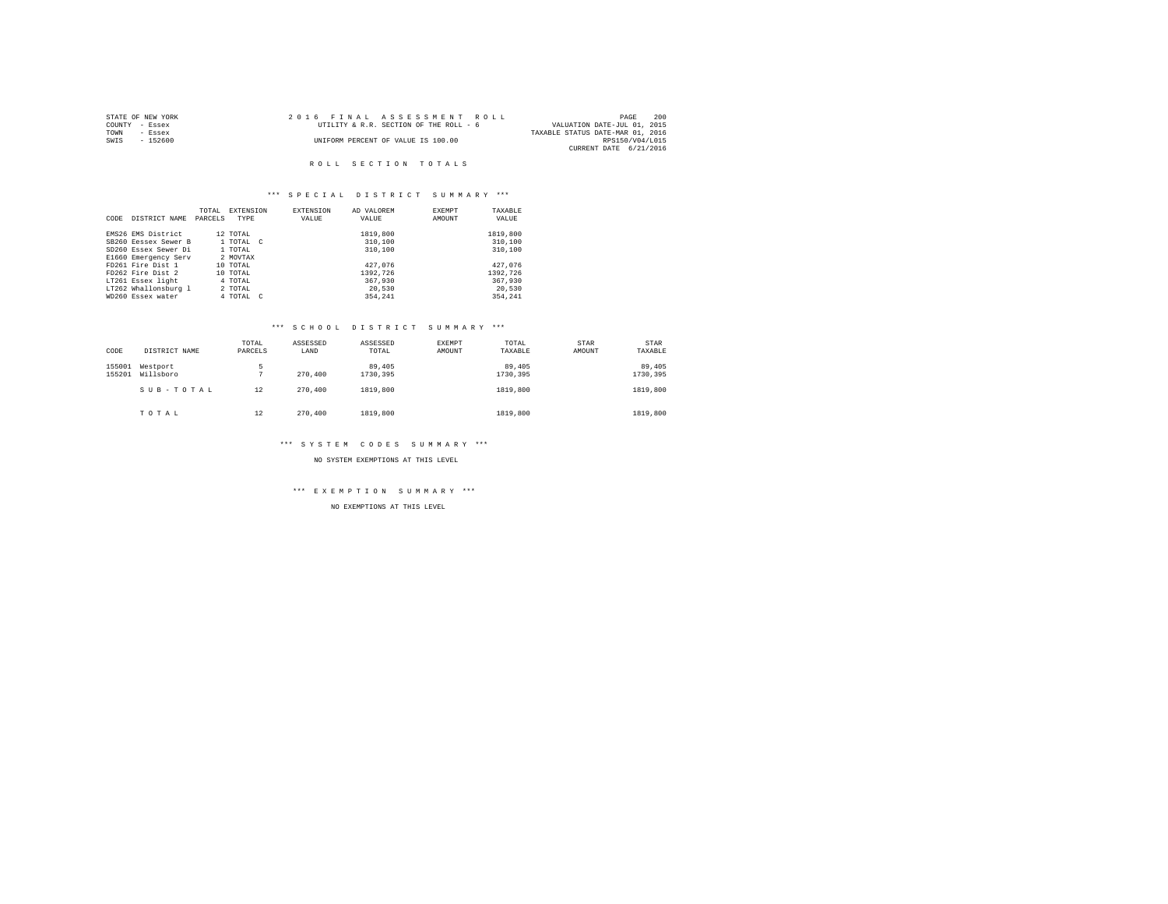| STATE OF NEW YORK | 2016 FINAL ASSESSMENT ROLL             | 200<br>PAGE                      |
|-------------------|----------------------------------------|----------------------------------|
| COUNTY - Essex    | UTILITY & R.R. SECTION OF THE ROLL - 6 | VALUATION DATE-JUL 01, 2015      |
| TOWN<br>- Essex   |                                        | TAXABLE STATUS DATE-MAR 01, 2016 |
| SWIS<br>- 152600  | UNIFORM PERCENT OF VALUE IS 100.00     | RPS150/V04/L015                  |
|                   |                                        | CURRENT DATE 6/21/2016           |

## ROLL SECTION TOTALS

## \*\*\* S P E C I A L D I S T R I C T S U M M A R Y \*\*\*

|      |                      | TOTAL   | EXTENSION | <b>EXTENSION</b> | AD VALOREM | EXEMPT | TAXABLE  |
|------|----------------------|---------|-----------|------------------|------------|--------|----------|
| CODE | DISTRICT NAME        | PARCELS | TYPE      | VALUE            | VALUE      | AMOUNT | VALUE    |
|      |                      |         |           |                  |            |        |          |
|      | EMS26 EMS District   |         | 12 TOTAL  |                  | 1819,800   |        | 1819,800 |
|      | SB260 Eessex Sewer B |         | 1 TOTAL C |                  | 310,100    |        | 310,100  |
|      | SD260 Essex Sewer Di |         | 1 TOTAL   |                  | 310,100    |        | 310,100  |
|      | E1660 Emergency Serv |         | 2 MOVTAX  |                  |            |        |          |
|      | FD261 Fire Dist 1    |         | 10 TOTAL  |                  | 427.076    |        | 427.076  |
|      | FD262 Fire Dist 2    |         | 10 TOTAL  |                  | 1392.726   |        | 1392.726 |
|      | LT261 Essex light    |         | 4 TOTAL   |                  | 367,930    |        | 367,930  |
|      | LT262 Whallonsburg 1 |         | 2 TOTAL   |                  | 20,530     |        | 20,530   |
|      | WD260 Essex water    |         | 4 TOTAL C |                  | 354,241    |        | 354.241  |

# \*\*\* S C H O O L D I S T R I C T S U M M A R Y \*\*\*

| CODE             | DISTRICT NAME         | TOTAL<br>PARCELS | ASSESSED<br>LAND | ASSESSED<br>TOTAL  | EXEMPT<br>AMOUNT | TOTAL<br>TAXABLE   | STAR<br>AMOUNT | <b>STAR</b><br>TAXABLE |
|------------------|-----------------------|------------------|------------------|--------------------|------------------|--------------------|----------------|------------------------|
| 155001<br>155201 | Westport<br>Willsboro | 5                | 270,400          | 89,405<br>1730,395 |                  | 89,405<br>1730.395 |                | 89,405<br>1730,395     |
|                  | SUB-TOTAL             | 12               | 270,400          | 1819,800           |                  | 1819,800           |                | 1819,800               |
|                  | TOTAL                 | 12               | 270,400          | 1819,800           |                  | 1819,800           |                | 1819,800               |

# \*\*\* S Y S T E M C O D E S S U M M A R Y \*\*\*

NO SYSTEM EXEMPTIONS AT THIS LEVEL

# \*\*\* E X E M P T I O N S U M M A R Y \*\*\*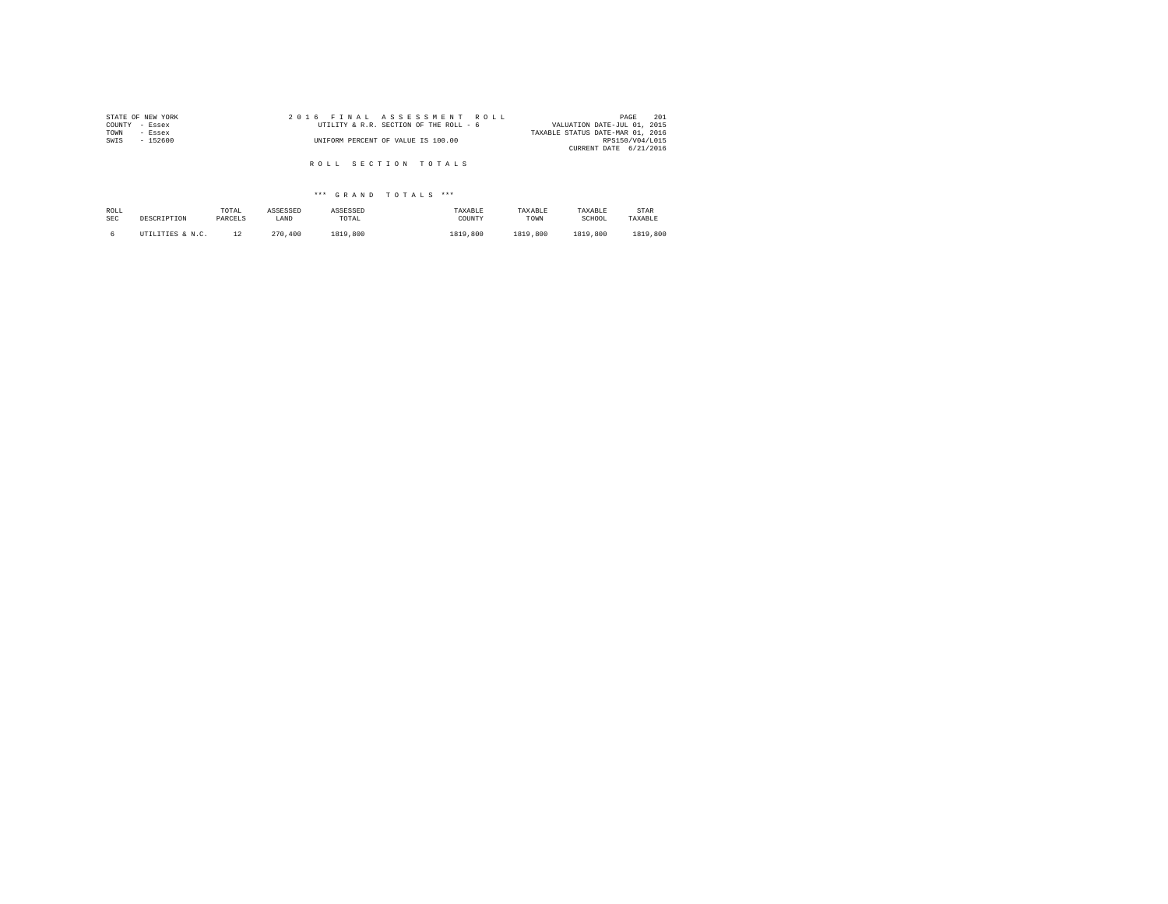| STATE OF NEW YORK | 2016 FINAL ASSESSMENT ROLL             | 201<br>PAGE                      |
|-------------------|----------------------------------------|----------------------------------|
| COUNTY<br>- Essex | UTILITY & R.R. SECTION OF THE ROLL - 6 | VALUATION DATE-JUL 01, 2015      |
| TOWN<br>- Essex   |                                        | TAXABLE STATUS DATE-MAR 01, 2016 |
| SWIS<br>$-152600$ | UNIFORM PERCENT OF VALUE IS 100.00     | RPS150/V04/L015                  |
|                   |                                        | CURRENT DATE 6/21/2016           |
|                   |                                        |                                  |
|                   | ROLL SECTION TOTALS                    |                                  |

| ROLL       | DESCRIPTION      | TOTAL   | ASSESSED | ASSESSED | TAXABLE  | TAXABLE  | TAXABLE  | STAR     |
|------------|------------------|---------|----------|----------|----------|----------|----------|----------|
| <b>SEC</b> |                  | PARCELS | LAND     | TOTAL    | COUNTY   | TOWN     | SCHOOL   | TAXABLE  |
|            | UTILITIES & N.C. | 1.2     | 270.400  | 1819,800 | 1819,800 | 1819,800 | 1819,800 | 1819,800 |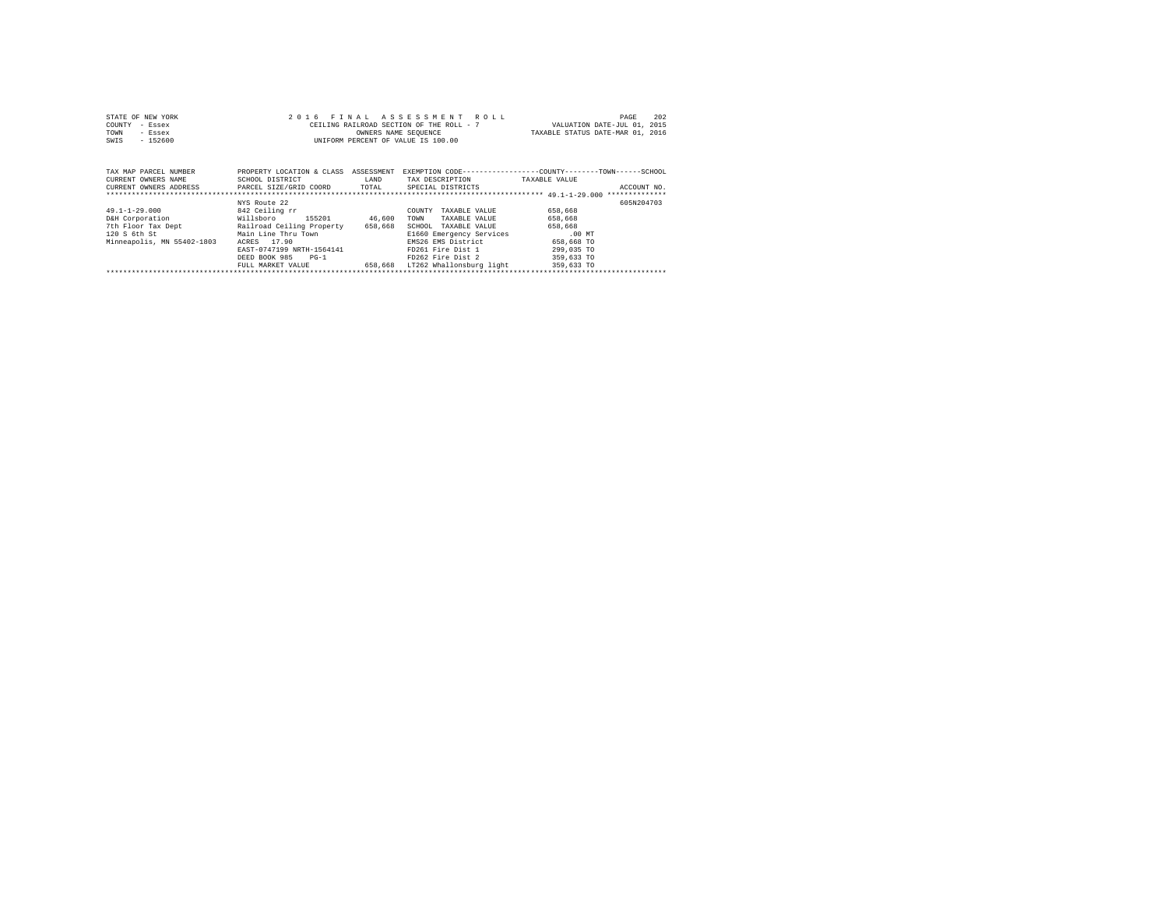| STATE OF NEW YORK | 2016 FINAL ASSESSMENT ROLL               | 202<br>PAGE                      |
|-------------------|------------------------------------------|----------------------------------|
| COUNTY - Essex    | CEILING RAILROAD SECTION OF THE ROLL - 7 | VALUATION DATE-JUL 01, 2015      |
| TOWN<br>- Essex   | OWNERS NAME SEOUENCE                     | TAXABLE STATUS DATE-MAR 01, 2016 |
| $-152600$<br>SWIS | UNIFORM PERCENT OF VALUE IS 100.00       |                                  |

| TAX MAP PARCEL NUMBER<br>CURRENT OWNERS NAME<br>CURRENT OWNERS ADDRESS                                     | PROPERTY LOCATION & CLASS<br>SCHOOL DISTRICT<br>PARCEL SIZE/GRID COORD                                                                                                                                       | ASSESSMENT<br>LAND<br>TOTAL  | EXEMPTION CODE-----------------COUNTY-------TOWN------SCHOOL<br>TAX DESCRIPTION<br>SPECIAL DISTRICTS                                                                                                | TAXABLE VALUE                                                                                     | ACCOUNT NO. |
|------------------------------------------------------------------------------------------------------------|--------------------------------------------------------------------------------------------------------------------------------------------------------------------------------------------------------------|------------------------------|-----------------------------------------------------------------------------------------------------------------------------------------------------------------------------------------------------|---------------------------------------------------------------------------------------------------|-------------|
| $49.1 - 1 - 29.000$<br>D&H Corporation<br>7th Floor Tax Dept<br>120 S 6th St<br>Minneapolis, MN 55402-1803 | NYS Route 22<br>842 Ceiling rr<br>155201<br>Willsboro<br>Railroad Ceiling Property<br>Main Line Thru Town<br>17.90<br>ACRES<br>EAST-0747199 NRTH-1564141<br>DEED BOOK 985<br>$PG-1$<br>FULL MARKET VALUE<br> | 46,600<br>658,668<br>658,668 | TAXABLE VALUE<br>COUNTY<br>TAXABLE VALUE<br>TOWN<br>SCHOOL<br>TAXABLE VALUE<br>E1660 Emergency Services<br>EMS26 EMS District<br>FD261 Fire Dist 1<br>FD262 Fire Dist 2<br>LT262 Whallonsburg light | 658,668<br>658,668<br>658,668<br>$.00$ MT<br>658,668 TO<br>299,035 TO<br>359,633 TO<br>359,633 TO | 605N204703  |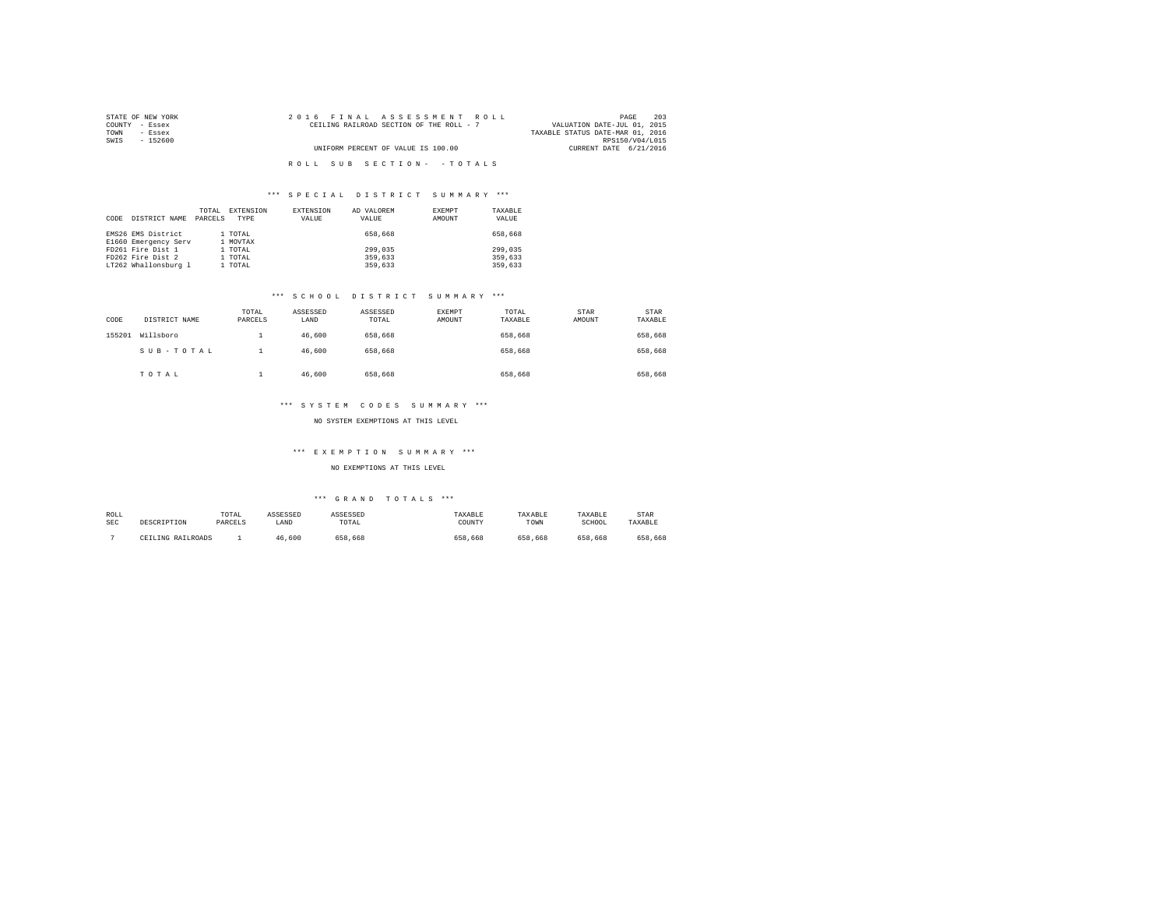| STATE OF NEW YORK | 2016 FINAL ASSESSMENT ROLL               | 203<br>PAGE                      |
|-------------------|------------------------------------------|----------------------------------|
| COUNTY - Essex    | CEILING RAILROAD SECTION OF THE ROLL - 7 | VALUATION DATE-JUL 01, 2015      |
| TOWN<br>- Essex   |                                          | TAXABLE STATUS DATE-MAR 01, 2016 |
| SWIS<br>- 152600  |                                          | RPS150/V04/L015                  |
|                   | UNIFORM PERCENT OF VALUE IS 100.00       | CURRENT DATE 6/21/2016           |
|                   |                                          |                                  |
|                   | ROLL SUB SECTION- - TOTALS               |                                  |

| CODE | DISTRICT NAME        | TOTAL<br>PARCELS | EXTENSION<br>TYPE | <b>EXTENSION</b><br>VALUE | AD VALOREM<br>VALUE | EXEMPT<br>AMOUNT | TAXABLE<br>VALUE |
|------|----------------------|------------------|-------------------|---------------------------|---------------------|------------------|------------------|
|      | EMS26 EMS District   |                  | 1 TOTAL           |                           | 658,668             |                  | 658,668          |
|      | E1660 Emergency Serv |                  | 1 MOVTAX          |                           |                     |                  |                  |
|      | FD261 Fire Dist 1    |                  | 1 TOTAL           |                           | 299,035             |                  | 299,035          |
|      | FD262 Fire Dist 2    |                  | 1 TOTAL           |                           | 359,633             |                  | 359,633          |
|      | LT262 Whallonsburg 1 |                  | 1 TOTAL           |                           | 359,633             |                  | 359,633          |

## \*\*\* S C H O O L D I S T R I C T S U M M A R Y \*\*\*

| CODE   | DISTRICT NAME | TOTAL<br>PARCELS | ASSESSED<br>LAND | ASSESSED<br>TOTAL | <b>EXEMPT</b><br>AMOUNT | TOTAL<br>TAXABLE | STAR<br>AMOUNT | STAR<br>TAXABLE |
|--------|---------------|------------------|------------------|-------------------|-------------------------|------------------|----------------|-----------------|
| 155201 | Willsboro     |                  | 46,600           | 658,668           |                         | 658,668          |                | 658,668         |
|        | SUB-TOTAL     |                  | 46,600           | 658,668           |                         | 658.668          |                | 658,668         |
|        | TOTAL         |                  | 46,600           | 658,668           |                         | 658,668          |                | 658,668         |

## \*\*\* S Y S T E M C O D E S S U M M A R Y \*\*\*

# NO SYSTEM EXEMPTIONS AT THIS LEVEL

### \*\*\* E X E M P T I O N S U M M A R Y \*\*\*

NO EXEMPTIONS AT THIS LEVEL

| ROLL       |                   | TOTAL   | ASSESSED | <b><i>ASSESSED</i></b> | TAXABLE | TAXABLE      | TAXABLE | STAR    |
|------------|-------------------|---------|----------|------------------------|---------|--------------|---------|---------|
| <b>SEC</b> | DESCRIPTION       | PARCELS | LAND     | TOTAL                  | COUNTY  | TOWN         | SCHOOL  | TAXABLE |
|            | CEILING RAILROADS |         | 46.600   | 658.668                | 658,668 | . 668<br>658 | 658,668 | 658,668 |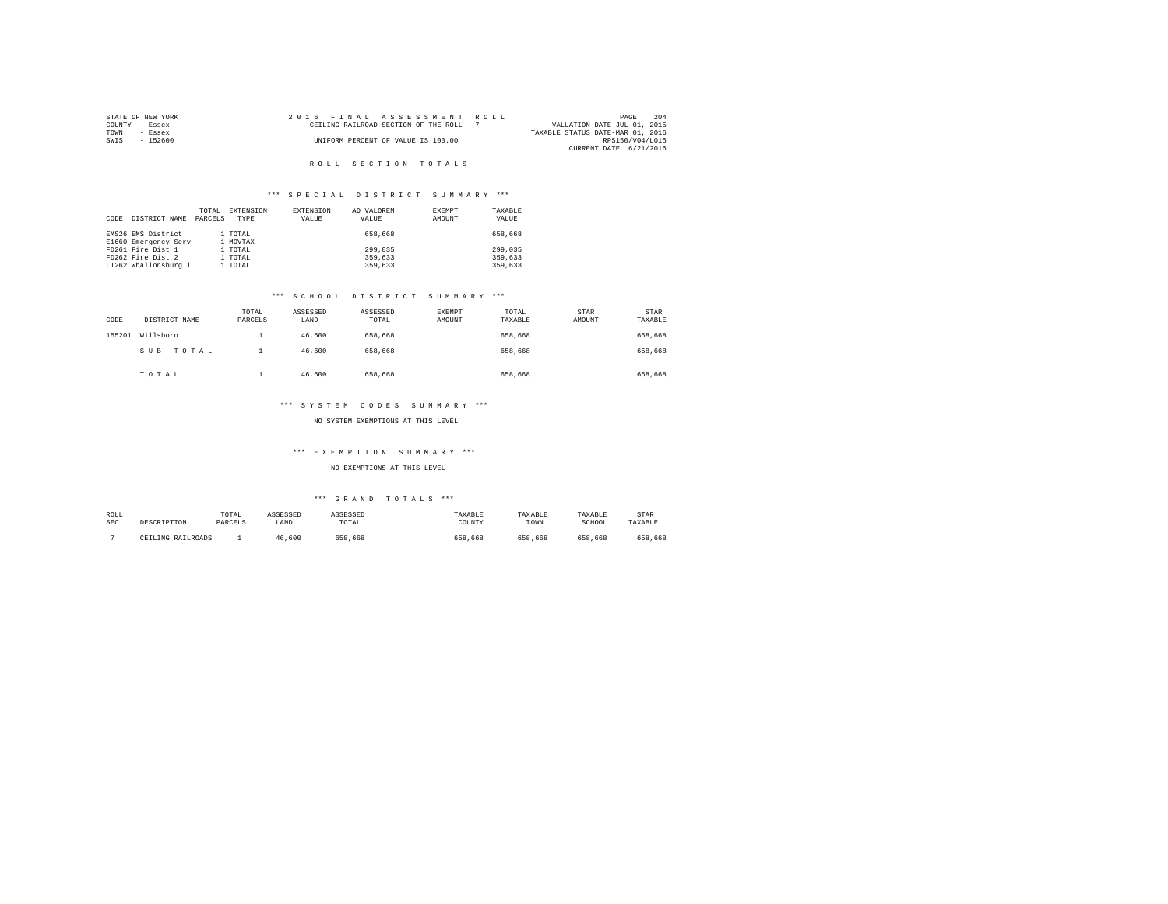|      | STATE OF NEW YORK |  |  | 2016 FINAL ASSESSMENT ROLL               |                                  | PAGE            | 204 |
|------|-------------------|--|--|------------------------------------------|----------------------------------|-----------------|-----|
|      | COUNTY - Essex    |  |  | CEILING RAILROAD SECTION OF THE ROLL - 7 | VALUATION DATE-JUL 01, 2015      |                 |     |
| TOWN | - Essex           |  |  |                                          | TAXABLE STATUS DATE-MAR 01, 2016 |                 |     |
| SWTS | - 152600          |  |  | UNIFORM PERCENT OF VALUE IS 100.00       |                                  | RPS150/V04/L015 |     |
|      |                   |  |  |                                          | CURRENT DATE 6/21/2016           |                 |     |

# \*\*\* S P E C I A L D I S T R I C T S U M M A R Y \*\*\*

| CODE | DISTRICT NAME        | TOTAL<br>PARCELS | EXTENSION<br>TYPE | EXTENSION<br>VALUE | AD VALOREM<br>VALUE | EXEMPT<br>AMOUNT | TAXABLE<br>VALUE |
|------|----------------------|------------------|-------------------|--------------------|---------------------|------------------|------------------|
|      | EMS26 EMS District   |                  | 1 TOTAL           |                    | 658,668             |                  | 658,668          |
|      | E1660 Emergency Serv |                  | 1 MOVTAX          |                    |                     |                  |                  |
|      | FD261 Fire Dist 1    |                  | 1 TOTAL           |                    | 299,035             |                  | 299,035          |
|      | FD262 Fire Dist 2    |                  | 1 TOTAL           |                    | 359,633             |                  | 359,633          |
|      | LT262 Whallonsburg 1 |                  | 1 TOTAL           |                    | 359,633             |                  | 359,633          |

## \*\*\* S C H O O L D I S T R I C T S U M M A R Y \*\*\*

| CODE   | DISTRICT NAME | TOTAL<br>PARCELS | ASSESSED<br>LAND | ASSESSED<br>TOTAL | EXEMPT<br>AMOUNT | TOTAL<br>TAXABLE | STAR<br>AMOUNT | STAR<br>TAXABLE |
|--------|---------------|------------------|------------------|-------------------|------------------|------------------|----------------|-----------------|
| 155201 | Willsboro     |                  | 46,600           | 658,668           |                  | 658.668          |                | 658,668         |
|        | SUB-TOTAL     |                  | 46.600           | 658,668           |                  | 658.668          |                | 658,668         |
|        | TOTAL         |                  | 46,600           | 658,668           |                  | 658,668          |                | 658,668         |

## \*\*\* S Y S T E M C O D E S S U M M A R Y \*\*\*

## NO SYSTEM EXEMPTIONS AT THIS LEVEL

### \*\*\* E X E M P T I O N S U M M A R Y \*\*\*

NO EXEMPTIONS AT THIS LEVEL

| ROLL       | DESCRIPTION       | TOTAL   | ASSESSED | ASSESSED | TAXABLE | TAXABLE | TAXABLE | STAR    |
|------------|-------------------|---------|----------|----------|---------|---------|---------|---------|
| <b>SEC</b> |                   | PARCELS | LAND     | TOTAL    | COUNTY  | TOWN    | SCHOOL  | TAXABLE |
|            | CEILING RAILROADS |         | 46.600   | 658.668  | 658,668 | 658.668 | 658,668 | 658.668 |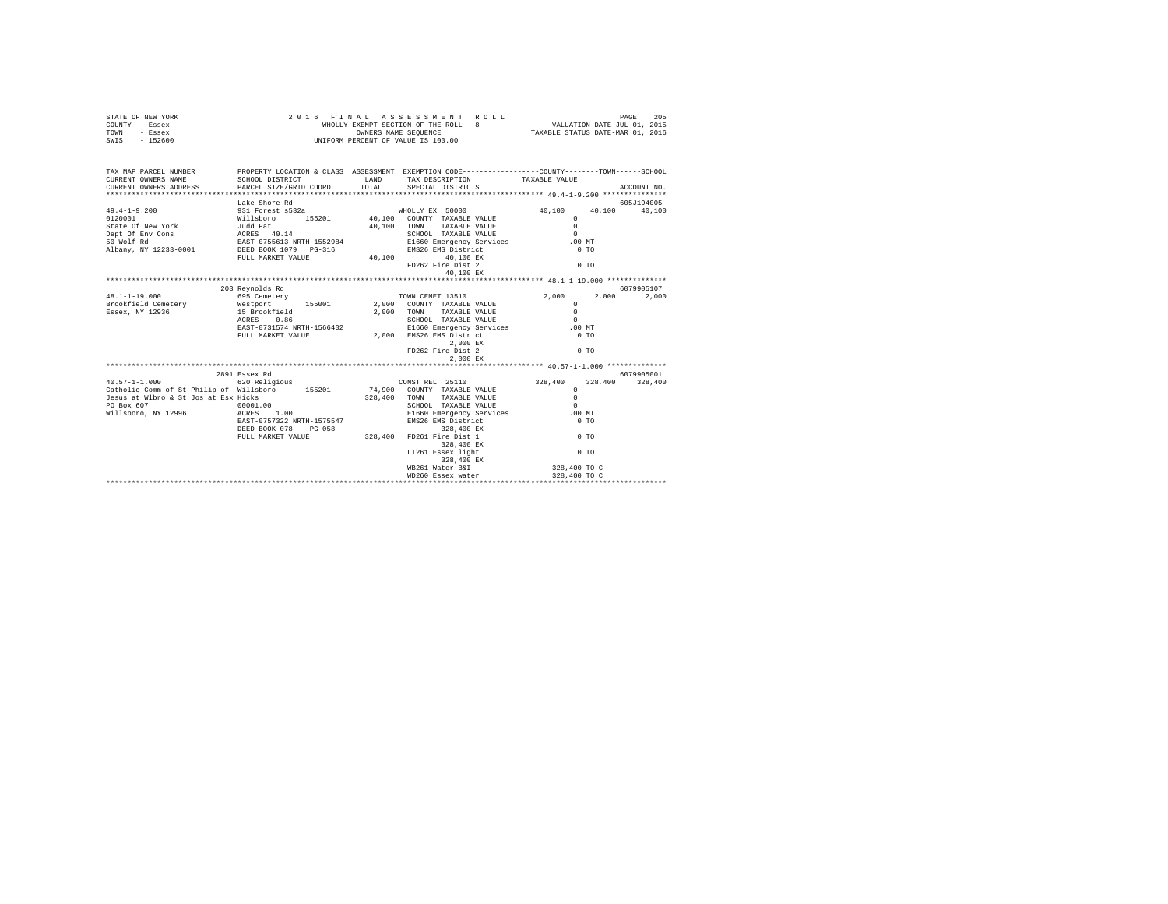|      | STATE OF NEW YORK |  | 2016 FINAL ASSESSMENT ROLL            | PAGE                             | 205 |
|------|-------------------|--|---------------------------------------|----------------------------------|-----|
|      | COUNTY - Essex    |  | WHOLLY EXEMPT SECTION OF THE ROLL - 8 | VALUATION DATE-JUL 01, 2015      |     |
| TOWN | - Essex           |  | OWNERS NAME SEOUENCE                  | TAXABLE STATUS DATE-MAR 01, 2016 |     |
| SWIS | - 152600          |  | UNIFORM PERCENT OF VALUE IS 100.00    |                                  |     |

| TAX MAP PARCEL NUMBER                                                                                                                                                                                                                      |                          | PROPERTY LOCATION & CLASS ASSESSMENT EXEMPTION CODE----------------COUNTY-------TOWN------SCHOOL                                                                        |                 |            |
|--------------------------------------------------------------------------------------------------------------------------------------------------------------------------------------------------------------------------------------------|--------------------------|-------------------------------------------------------------------------------------------------------------------------------------------------------------------------|-----------------|------------|
|                                                                                                                                                                                                                                            |                          |                                                                                                                                                                         |                 |            |
|                                                                                                                                                                                                                                            | Lake Shore Rd            |                                                                                                                                                                         |                 | 605J194005 |
|                                                                                                                                                                                                                                            |                          |                                                                                                                                                                         |                 |            |
|                                                                                                                                                                                                                                            |                          |                                                                                                                                                                         |                 |            |
|                                                                                                                                                                                                                                            |                          |                                                                                                                                                                         |                 |            |
|                                                                                                                                                                                                                                            |                          |                                                                                                                                                                         |                 |            |
|                                                                                                                                                                                                                                            |                          |                                                                                                                                                                         |                 |            |
|                                                                                                                                                                                                                                            |                          |                                                                                                                                                                         |                 |            |
|                                                                                                                                                                                                                                            | FULL MARKET VALUE 40,100 | 40,100 EX                                                                                                                                                               |                 |            |
|                                                                                                                                                                                                                                            |                          | FD262 Fire Dist 2                                                                                                                                                       | $0 \text{ to }$ |            |
|                                                                                                                                                                                                                                            |                          |                                                                                                                                                                         |                 |            |
|                                                                                                                                                                                                                                            |                          |                                                                                                                                                                         |                 |            |
|                                                                                                                                                                                                                                            | 203 Revnolds Rd          |                                                                                                                                                                         |                 | 6079905107 |
| $48.1 - 1 - 19.000$                                                                                                                                                                                                                        |                          | 695 Cemetery <b>EXECUTE:</b> TOWN CEMET 13510 2,000 2,000                                                                                                               |                 | 2,000      |
|                                                                                                                                                                                                                                            |                          |                                                                                                                                                                         |                 |            |
| 1991-11-12000 MOUNTY TAXABLE VALUE<br>Brookfield Cemetery Mestport 155001 2,000 COUNTY TAXABLE VALUE 0<br>1992-000 1000 MOUNTY TAXABLE VALUE 0<br>1993-101-12036 16<br>1993-101-12035 1.036 1.036 1.036 1.036 1.036 1.036 1.036 1.036 1.03 |                          |                                                                                                                                                                         |                 |            |
|                                                                                                                                                                                                                                            |                          |                                                                                                                                                                         |                 |            |
|                                                                                                                                                                                                                                            |                          |                                                                                                                                                                         |                 |            |
|                                                                                                                                                                                                                                            |                          |                                                                                                                                                                         |                 |            |
|                                                                                                                                                                                                                                            |                          | $2\, ,000$ $\,$ EX $\,$                                                                                                                                                 |                 |            |
|                                                                                                                                                                                                                                            |                          | FD262 Fire Dist 2                                                                                                                                                       | 0 T0            |            |
|                                                                                                                                                                                                                                            |                          | 2,000 EX                                                                                                                                                                |                 |            |
|                                                                                                                                                                                                                                            |                          |                                                                                                                                                                         |                 |            |
|                                                                                                                                                                                                                                            | 2891 Essex Rd            |                                                                                                                                                                         |                 | 6079905001 |
|                                                                                                                                                                                                                                            |                          |                                                                                                                                                                         |                 |            |
|                                                                                                                                                                                                                                            |                          |                                                                                                                                                                         |                 |            |
|                                                                                                                                                                                                                                            |                          |                                                                                                                                                                         |                 |            |
| PO Box 607 00001.00<br>Willsboro, NY 12996 ACRES 1.00                                                                                                                                                                                      |                          |                                                                                                                                                                         |                 |            |
|                                                                                                                                                                                                                                            |                          | E1660 Emergency Services .00 MT                                                                                                                                         |                 |            |
|                                                                                                                                                                                                                                            |                          | EAST-0757322 NRTH-1575547 EMS26 EMS District 0 TO TO TO TO TO TO BOOK 28,400 EMS26 EMS District 0 TO TO TO TO<br>DEED BOOK 078 PG-058 328,400 FD261 Fire Dist 1 0 TO TO |                 |            |
|                                                                                                                                                                                                                                            |                          |                                                                                                                                                                         |                 |            |
|                                                                                                                                                                                                                                            |                          |                                                                                                                                                                         |                 |            |
|                                                                                                                                                                                                                                            |                          | 328,400 EX                                                                                                                                                              |                 |            |
|                                                                                                                                                                                                                                            |                          | LT261 Essex light                                                                                                                                                       | 0 <sub>T</sub>  |            |
|                                                                                                                                                                                                                                            |                          | 328,400 EX                                                                                                                                                              |                 |            |
|                                                                                                                                                                                                                                            |                          | WB261 Water B&I                                                                                                                                                         | 328,400 TO C    |            |
|                                                                                                                                                                                                                                            |                          | WD260 Essex water                                                                                                                                                       | 328,400 TO C    |            |
|                                                                                                                                                                                                                                            |                          |                                                                                                                                                                         |                 |            |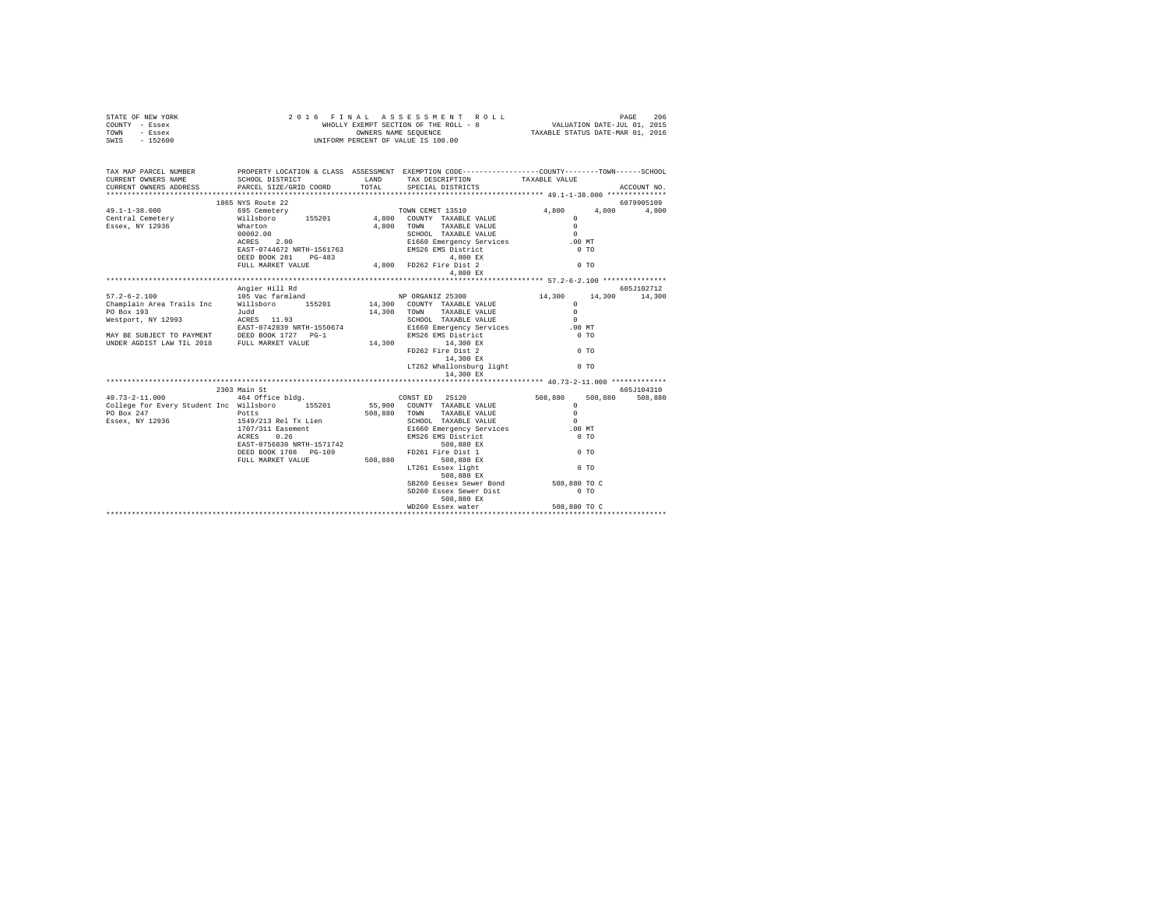| STATE OF NEW YORK<br>COUNTY - Essex<br>TOWN - Essex<br>SWIS - 152600                                                | 2016 FINAL ASSESSMENT<br>WHOLLY EXEMPT SECTION OF THE ROLL -<br>WHOLLY EXAMPERS NAME SEQUENCE<br>UNIFORM PERCENT OF VALUE IS 100.00 |                | FINAL ASSES MENT ROLL<br>WHOLLY EXEMPT SECTION OF THE ROLL - 8<br>WHOLLY EXEMPT SECTION OF THE ROLL - 8<br>WINDOWS ANNE SEQUEMES OF THE ROLL OF TAXABLE STATUS DATE-MAR 01, 2016<br>2016 FINAL ASSESSMENT ROLL |                |               |  |
|---------------------------------------------------------------------------------------------------------------------|-------------------------------------------------------------------------------------------------------------------------------------|----------------|----------------------------------------------------------------------------------------------------------------------------------------------------------------------------------------------------------------|----------------|---------------|--|
| TAX MAP PARCEL NUMBER PROPERTY LOCATION & CLASS ASSESSMENT EXEMPTION CODE--------------COUNTY-------TOWN-----SCHOOL |                                                                                                                                     |                | SCHOOL DISTRICT                     LAND        TAX DESCRIPTION                 TAXABLE VALUE                                                                                                                  |                |               |  |
|                                                                                                                     |                                                                                                                                     | $_{\tt TOTAL}$ | SPECIAL DISTRICTS                                                                                                                                                                                              |                | ACCOUNT NO.   |  |
|                                                                                                                     | 1865 NYS Route 22                                                                                                                   |                |                                                                                                                                                                                                                |                | 6079905109    |  |
|                                                                                                                     |                                                                                                                                     |                |                                                                                                                                                                                                                | 4,800 4,800    | 4,800         |  |
|                                                                                                                     |                                                                                                                                     |                |                                                                                                                                                                                                                |                |               |  |
|                                                                                                                     |                                                                                                                                     |                | $4,800$ EX                                                                                                                                                                                                     |                |               |  |
|                                                                                                                     |                                                                                                                                     |                |                                                                                                                                                                                                                |                |               |  |
|                                                                                                                     | Angier Hill Rd                                                                                                                      |                |                                                                                                                                                                                                                |                | 605J102712    |  |
|                                                                                                                     |                                                                                                                                     |                |                                                                                                                                                                                                                |                | 14,300 14,300 |  |
|                                                                                                                     |                                                                                                                                     |                |                                                                                                                                                                                                                |                |               |  |
|                                                                                                                     |                                                                                                                                     |                |                                                                                                                                                                                                                |                |               |  |
|                                                                                                                     |                                                                                                                                     |                |                                                                                                                                                                                                                |                |               |  |
|                                                                                                                     |                                                                                                                                     |                |                                                                                                                                                                                                                |                |               |  |
|                                                                                                                     |                                                                                                                                     |                | FD262 Fire Dist 2<br>14,300 EX                                                                                                                                                                                 | 0 <sub>T</sub> |               |  |
|                                                                                                                     |                                                                                                                                     |                | LT262 Whallonsburg light 0 TO<br>14,300 EX                                                                                                                                                                     |                |               |  |
|                                                                                                                     |                                                                                                                                     |                |                                                                                                                                                                                                                |                |               |  |
|                                                                                                                     | 2303 Main St                                                                                                                        |                |                                                                                                                                                                                                                |                | 605J104310    |  |
|                                                                                                                     |                                                                                                                                     |                |                                                                                                                                                                                                                |                | 508,880       |  |
|                                                                                                                     |                                                                                                                                     |                |                                                                                                                                                                                                                |                |               |  |
|                                                                                                                     |                                                                                                                                     |                |                                                                                                                                                                                                                |                |               |  |
|                                                                                                                     |                                                                                                                                     |                |                                                                                                                                                                                                                |                |               |  |
|                                                                                                                     |                                                                                                                                     |                |                                                                                                                                                                                                                |                |               |  |
|                                                                                                                     |                                                                                                                                     |                |                                                                                                                                                                                                                |                |               |  |
|                                                                                                                     |                                                                                                                                     |                |                                                                                                                                                                                                                |                |               |  |
|                                                                                                                     |                                                                                                                                     |                | 508,880 EX                                                                                                                                                                                                     |                |               |  |
|                                                                                                                     |                                                                                                                                     |                | SB260 Eessex Sewer Bond 508,880 TO C                                                                                                                                                                           |                |               |  |
|                                                                                                                     |                                                                                                                                     |                | SD260 Essex Sewer Dist                                                                                                                                                                                         | $0$ TO         |               |  |
|                                                                                                                     |                                                                                                                                     |                |                                                                                                                                                                                                                |                |               |  |
|                                                                                                                     |                                                                                                                                     |                |                                                                                                                                                                                                                |                |               |  |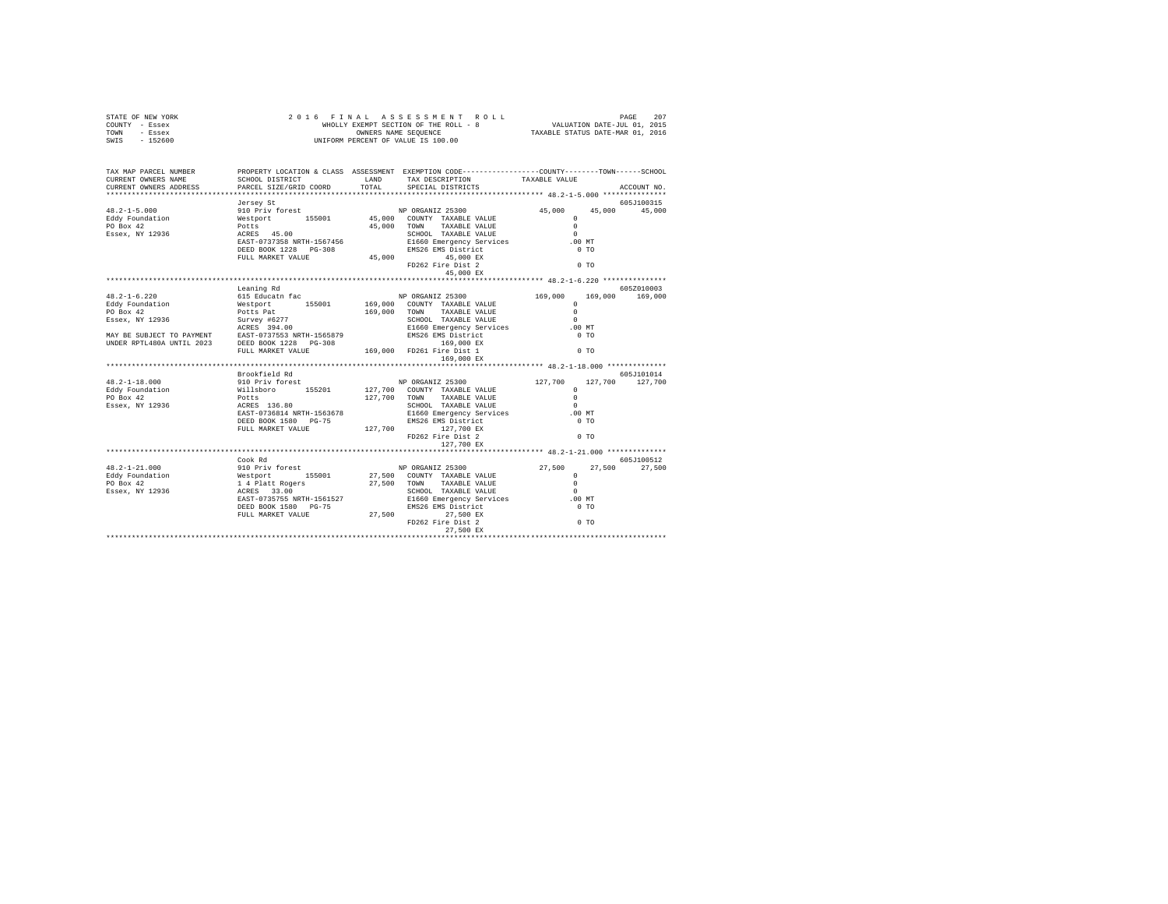| STATE OF NEW YORK<br>COUNTY - Essex                                                                                                                                                                                                                                                                                                                                                                                |            |                                                                                                                             |                      |             |
|--------------------------------------------------------------------------------------------------------------------------------------------------------------------------------------------------------------------------------------------------------------------------------------------------------------------------------------------------------------------------------------------------------------------|------------|-----------------------------------------------------------------------------------------------------------------------------|----------------------|-------------|
| TOWN - Essex                                                                                                                                                                                                                                                                                                                                                                                                       |            |                                                                                                                             |                      |             |
| SWIS - 152600                                                                                                                                                                                                                                                                                                                                                                                                      |            |                                                                                                                             |                      |             |
|                                                                                                                                                                                                                                                                                                                                                                                                                    |            |                                                                                                                             |                      |             |
|                                                                                                                                                                                                                                                                                                                                                                                                                    |            |                                                                                                                             |                      |             |
| TAX MAP PARCEL NUMBER                                                                                                                                                                                                                                                                                                                                                                                              |            | PROPERTY LOCATION & CLASS ASSESSMENT EXEMPTION CODE----------------COUNTY-------TOWN------SCHOOL                            |                      |             |
|                                                                                                                                                                                                                                                                                                                                                                                                                    |            | PROPERTI LOCATION & CHASS ASSESSMENT BARTETICA COMPUTER TRIABLE VALUE<br>SCHOOL DISTRICT LAND TAX DESCRIPTION TAXABLE VALUE |                      |             |
|                                                                                                                                                                                                                                                                                                                                                                                                                    |            | TOTAL SPECIAL DISTRICTS                                                                                                     |                      | ACCOUNT NO. |
|                                                                                                                                                                                                                                                                                                                                                                                                                    |            |                                                                                                                             |                      |             |
|                                                                                                                                                                                                                                                                                                                                                                                                                    |            |                                                                                                                             |                      | 605J100315  |
|                                                                                                                                                                                                                                                                                                                                                                                                                    |            |                                                                                                                             | 45,000 45,000 45,000 |             |
|                                                                                                                                                                                                                                                                                                                                                                                                                    |            |                                                                                                                             |                      |             |
|                                                                                                                                                                                                                                                                                                                                                                                                                    |            |                                                                                                                             |                      |             |
|                                                                                                                                                                                                                                                                                                                                                                                                                    |            |                                                                                                                             |                      |             |
|                                                                                                                                                                                                                                                                                                                                                                                                                    |            |                                                                                                                             |                      |             |
|                                                                                                                                                                                                                                                                                                                                                                                                                    |            |                                                                                                                             |                      |             |
|                                                                                                                                                                                                                                                                                                                                                                                                                    |            |                                                                                                                             |                      |             |
|                                                                                                                                                                                                                                                                                                                                                                                                                    |            |                                                                                                                             |                      |             |
| $\begin{tabular}{l c c c c c} \multicolumn{4}{c c c} \multicolumn{4}{c c} \cr \multicolumn{4}{c c} \cr 45.0-1-5.000 & 45 & 910~\mathrm{priv}} & \mathrm{Area} & \mathrm{NP} & \mathrm{ORGAN1Z} & 25300 & 45 \\ \mathrm{Edy~Foundation} & 910~\mathrm{priv} & 155001 & 45,000 & \mathrm{COUNT} & \mathrm{TXABLE~VALUE} & 0 \\ \mathrm{Edy~Foundation} & 96.5 & 45.00 & 45,000 & \mathrm{CONT} & \mathrm{TXABLE~VAL$ |            |                                                                                                                             |                      |             |
|                                                                                                                                                                                                                                                                                                                                                                                                                    | Leaning Rd |                                                                                                                             |                      | 605Z010003  |
|                                                                                                                                                                                                                                                                                                                                                                                                                    |            |                                                                                                                             |                      |             |
|                                                                                                                                                                                                                                                                                                                                                                                                                    |            |                                                                                                                             |                      |             |
|                                                                                                                                                                                                                                                                                                                                                                                                                    |            |                                                                                                                             |                      |             |
|                                                                                                                                                                                                                                                                                                                                                                                                                    |            |                                                                                                                             |                      |             |
|                                                                                                                                                                                                                                                                                                                                                                                                                    |            |                                                                                                                             |                      |             |
|                                                                                                                                                                                                                                                                                                                                                                                                                    |            |                                                                                                                             |                      |             |
|                                                                                                                                                                                                                                                                                                                                                                                                                    |            |                                                                                                                             |                      |             |
|                                                                                                                                                                                                                                                                                                                                                                                                                    |            |                                                                                                                             |                      |             |
| $\begin{tabular}{l c c c c c} \multicolumn{4}{c c c c} \multicolumn{4}{c c c} \multicolumn{4}{c c c} \multicolumn{4}{c c c} \multicolumn{4}{c c c} \multicolumn{4}{c c c} \multicolumn{4}{c c c} \multicolumn{4}{c c c} \multicolumn{4}{c c c} \multicolumn{4}{c c c} \multicolumn{4}{c c c} \multicolumn{4}{c c c} \multicolumn{4}{c c c} \multicolumn{4}{c c c} \multicolumn{4}{c c c} \multicolumn{$            |            |                                                                                                                             |                      |             |
|                                                                                                                                                                                                                                                                                                                                                                                                                    |            |                                                                                                                             |                      |             |
|                                                                                                                                                                                                                                                                                                                                                                                                                    |            |                                                                                                                             |                      |             |
|                                                                                                                                                                                                                                                                                                                                                                                                                    |            |                                                                                                                             |                      |             |
|                                                                                                                                                                                                                                                                                                                                                                                                                    |            |                                                                                                                             |                      |             |
|                                                                                                                                                                                                                                                                                                                                                                                                                    |            |                                                                                                                             |                      |             |
|                                                                                                                                                                                                                                                                                                                                                                                                                    |            |                                                                                                                             |                      |             |
|                                                                                                                                                                                                                                                                                                                                                                                                                    |            |                                                                                                                             |                      |             |
|                                                                                                                                                                                                                                                                                                                                                                                                                    |            |                                                                                                                             |                      |             |
|                                                                                                                                                                                                                                                                                                                                                                                                                    |            |                                                                                                                             |                      |             |
| $\begin{tabular}{l c c c c c} \hline \texttt{48.2--1-18.000} & \texttt{SO5101014} & \texttt{SO101014} & \texttt{SO101014} \\ \hline \texttt{48.2--1-18.000} & \texttt{300 Find the 127,700} & \texttt{3127,700} & \texttt{127,700} & \texttt{127,700} & \texttt{127,700} & \texttt{127,700} & \texttt{127,700} \\ \texttt{Eddy Foundation} & \texttt{W1B} & \$                                                     |            |                                                                                                                             |                      |             |
|                                                                                                                                                                                                                                                                                                                                                                                                                    | Cook Rd    |                                                                                                                             |                      | 605J100512  |
|                                                                                                                                                                                                                                                                                                                                                                                                                    |            |                                                                                                                             |                      |             |
|                                                                                                                                                                                                                                                                                                                                                                                                                    |            |                                                                                                                             |                      |             |
|                                                                                                                                                                                                                                                                                                                                                                                                                    |            |                                                                                                                             |                      |             |
|                                                                                                                                                                                                                                                                                                                                                                                                                    |            |                                                                                                                             |                      |             |
|                                                                                                                                                                                                                                                                                                                                                                                                                    |            |                                                                                                                             |                      |             |
|                                                                                                                                                                                                                                                                                                                                                                                                                    |            |                                                                                                                             |                      |             |
|                                                                                                                                                                                                                                                                                                                                                                                                                    |            |                                                                                                                             |                      |             |
|                                                                                                                                                                                                                                                                                                                                                                                                                    |            |                                                                                                                             |                      |             |
| $\begin{tabular}{l c c c c c} \multicolumn{3}{c c c c} \multicolumn{3}{c c c} \multicolumn{3}{c c c} \multicolumn{3}{c c c} \multicolumn{3}{c c c} \multicolumn{3}{c c c} \multicolumn{3}{c c c} \multicolumn{3}{c c c} \multicolumn{3}{c c c} \multicolumn{3}{c c c} \multicolumn{3}{c c c} \multicolumn{3}{c c c} \multicolumn{3}{c c c} \multicolumn{3}{c c c} \multicolumn{3}{c c c} \multicolumn{$            |            |                                                                                                                             |                      |             |
|                                                                                                                                                                                                                                                                                                                                                                                                                    |            |                                                                                                                             |                      |             |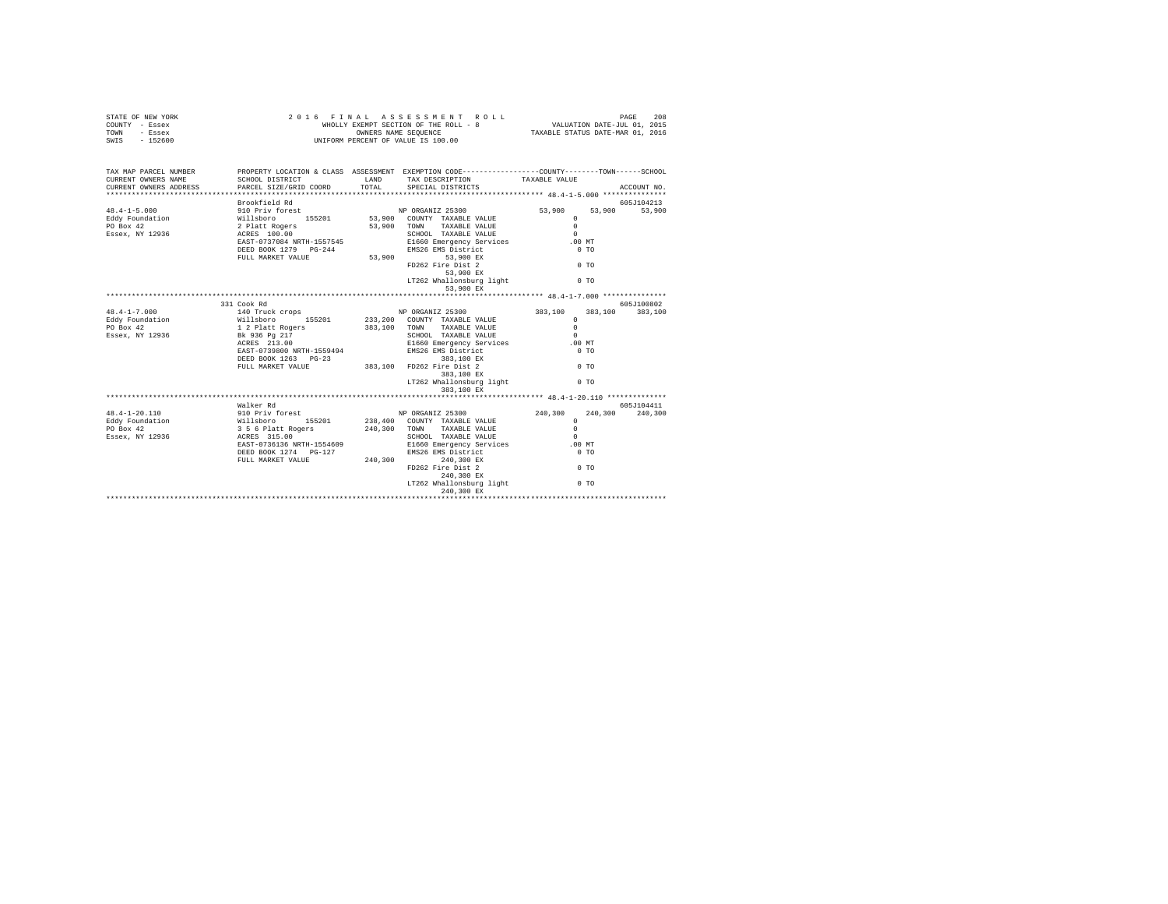| STATE OF NEW YORK<br>COUNTY - Essex<br>TOWN<br>- Essex<br>SWIS - 152600 |                                                                                                        |              | 2016 FINAL ASSESSMENT ROLL<br>WHOLLY EXEMPT SECTION OF THE ROLL - 8<br>OWNERS NAME SEQUENCE<br>UNIFORM PERCENT OF VALUE IS 100.00 | PAGE 208<br>VALUATION DATE-JUL 01, 2015<br>TAXABLE STATUS DATE-MAR 01, 2016 |                |             |
|-------------------------------------------------------------------------|--------------------------------------------------------------------------------------------------------|--------------|-----------------------------------------------------------------------------------------------------------------------------------|-----------------------------------------------------------------------------|----------------|-------------|
| TAX MAP PARCEL NUMBER<br>CURRENT OWNERS NAME                            | SCHOOL DISTRICT                                                                                        | LAND         | PROPERTY LOCATION & CLASS ASSESSMENT EXEMPTION CODE---------------COUNTY-------TOWN------SCHOOL<br>TAX DESCRIPTION                | TAXABLE VALUE                                                               |                |             |
| CURRENT OWNERS ADDRESS                                                  | PARCEL SIZE/GRID COORD                                                                                 | TOTAL        | SPECIAL DISTRICTS                                                                                                                 |                                                                             |                | ACCOUNT NO. |
|                                                                         | Brookfield Rd                                                                                          |              |                                                                                                                                   |                                                                             |                | 605J104213  |
| $48.4 - 1 - 5.000$                                                      | 910 Priv forest 1988 1999 NP ORGANIZ 25300                                                             |              |                                                                                                                                   | 53,900                                                                      | 53,900         | 53,900      |
| Eddy Foundation                                                         |                                                                                                        |              | 53,900 COUNTY TAXABLE VALUE                                                                                                       | $^{\circ}$                                                                  |                |             |
| PO Box 42                                                               |                                                                                                        |              | 53,900 TOWN<br>TAXABLE VALUE                                                                                                      | $\Omega$                                                                    |                |             |
| Essex, NY 12936                                                         |                                                                                                        |              | SCHOOL TAXABLE VALUE                                                                                                              | $\Omega$                                                                    |                |             |
|                                                                         |                                                                                                        |              | El660 Emscher Vervices<br>EMS26 EMS District<br>53,900 53,900 EX                                                                  | $.00$ MT                                                                    |                |             |
|                                                                         | DEED BOOK 1279 PG-244                                                                                  |              |                                                                                                                                   | 0 <sub>T</sub>                                                              |                |             |
|                                                                         | FULL MARKET VALUE                                                                                      |              |                                                                                                                                   |                                                                             |                |             |
|                                                                         |                                                                                                        |              | FD262 Fire Dist 2                                                                                                                 | $0$ TO                                                                      |                |             |
|                                                                         |                                                                                                        |              | $53,900$ EX                                                                                                                       |                                                                             |                |             |
|                                                                         |                                                                                                        |              | LT262 Whallonsburg light<br>53,900 EX                                                                                             |                                                                             | 0 <sub>T</sub> |             |
|                                                                         |                                                                                                        |              |                                                                                                                                   |                                                                             |                |             |
|                                                                         | 331 Cook Rd                                                                                            |              |                                                                                                                                   |                                                                             |                | 605J100802  |
| $48.4 - 1 - 7.000$                                                      | 140 Truck crops<br>Willsboro 155201<br>1 2 Platt Rogers<br>Bk 936 Pg 217                               |              | NP ORGANIZ 25300                                                                                                                  | 383,100                                                                     | 383,100        | 383,100     |
| Eddy Foundation                                                         |                                                                                                        |              | 233, 200 COUNTY TAXABLE VALUE                                                                                                     | $\Omega$                                                                    |                |             |
| PO Box 42                                                               |                                                                                                        |              | 383,100 TOWN<br>TAXABLE VALUE                                                                                                     | $^{\circ}$                                                                  |                |             |
| Essex, NY 12936                                                         |                                                                                                        |              | SCHOOL TAXABLE VALUE                                                                                                              | $\sim$                                                                      |                |             |
|                                                                         | $ACRES$ 213.00                                                                                         |              |                                                                                                                                   | $.00$ MT                                                                    |                |             |
|                                                                         | EAST-0739800 NRTH-1559494                                                                              |              | E1660 Emergency Services<br>EMS26 EMS District<br>383,100 EX                                                                      | 0 <sub>T</sub>                                                              |                |             |
|                                                                         | DEED BOOK 1263 PG-23                                                                                   |              | $383,100$ EX                                                                                                                      |                                                                             |                |             |
|                                                                         | FULL MARKET VALUE                                                                                      |              | 383,100 FD262 Fire Dist 2                                                                                                         | $0$ TO                                                                      |                |             |
|                                                                         |                                                                                                        |              | 383,100 EX                                                                                                                        |                                                                             |                |             |
|                                                                         |                                                                                                        |              | LT262 Whallonsburg light                                                                                                          |                                                                             | 0 <sub>T</sub> |             |
|                                                                         |                                                                                                        |              | 383,100 EX                                                                                                                        |                                                                             |                |             |
|                                                                         |                                                                                                        |              |                                                                                                                                   |                                                                             |                |             |
|                                                                         | Walker Rd                                                                                              |              |                                                                                                                                   |                                                                             |                | 605J104411  |
| 48.4-1-20.110                                                           | 910 Priv forest<br>Willsboro 155201<br>356 6 Platt Rogers<br>ACRES 315.00<br>EAST-0736136 NRTH-1554609 |              | NP ORGANIZ 25300                                                                                                                  | 240,300                                                                     | 240,300        | 240,300     |
| Eddy Foundation                                                         |                                                                                                        |              | 238,400 COUNTY TAXABLE VALUE                                                                                                      | $\Omega$                                                                    |                |             |
| PO Box 42                                                               |                                                                                                        | 240,300 TOWN | TAXABLE VALUE                                                                                                                     | $\Omega$                                                                    |                |             |
| Essex, NY 12936                                                         |                                                                                                        |              | SCHOOL TAXABLE VALUE                                                                                                              | $\Omega$                                                                    |                |             |
|                                                                         |                                                                                                        |              | E1660 Emergency Services                                                                                                          | .00 MT                                                                      |                |             |
|                                                                         | DEED BOOK 1274 PG-127                                                                                  |              | EMS26 EMS District                                                                                                                | 0 <sub>T</sub>                                                              |                |             |
|                                                                         | FULL MARKET VALUE                                                                                      | 240.300      | 240,300 EX                                                                                                                        |                                                                             |                |             |
|                                                                         |                                                                                                        |              | FD262 Fire Dist 2                                                                                                                 | 0 <sub>T</sub>                                                              |                |             |
|                                                                         |                                                                                                        |              | 240,300 EX                                                                                                                        |                                                                             |                |             |
|                                                                         |                                                                                                        |              | LT262 Whallonsburg light                                                                                                          |                                                                             | 0 <sub>T</sub> |             |
|                                                                         |                                                                                                        |              | 240,300 EX                                                                                                                        |                                                                             |                |             |
|                                                                         |                                                                                                        |              |                                                                                                                                   |                                                                             |                |             |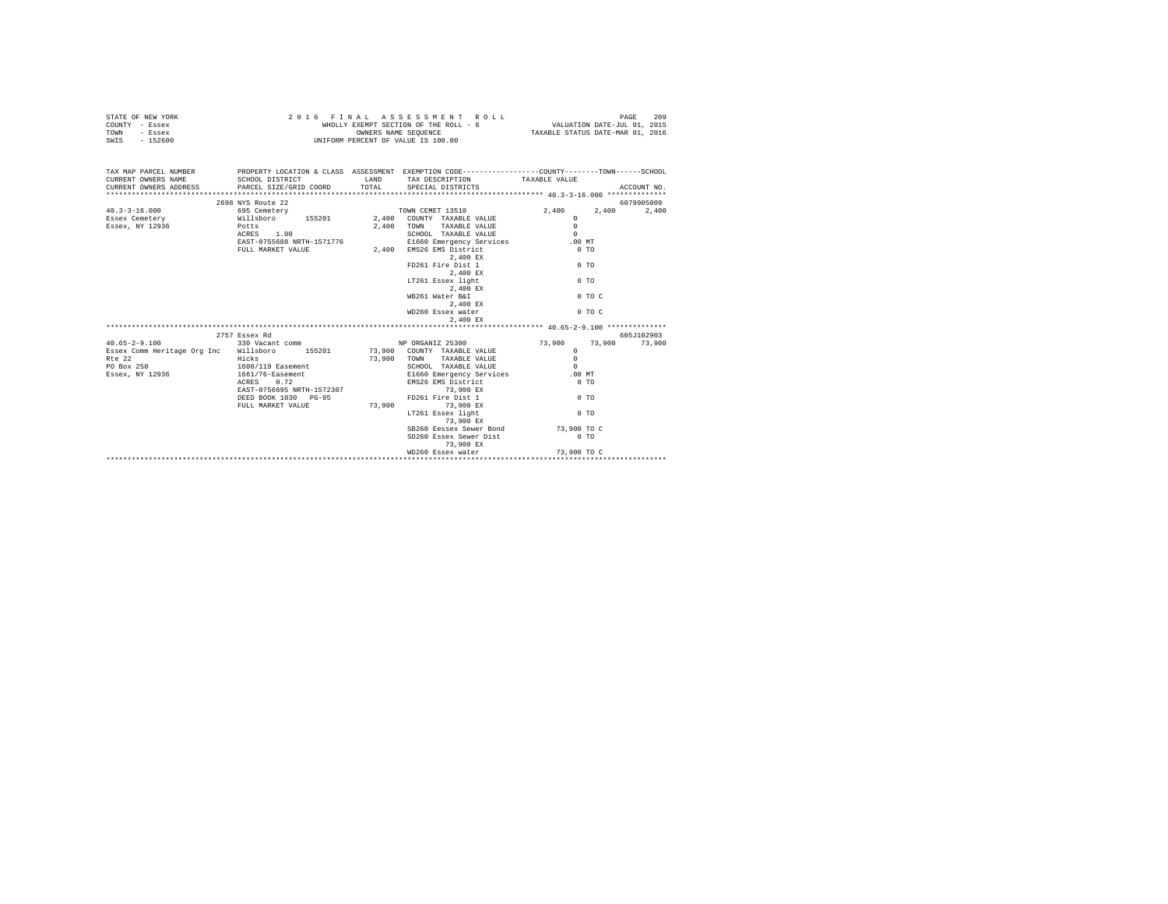| STATE OF NEW YORK | 2016 FINAL ASSESSMENT ROLL            | 209<br>PAGE                      |
|-------------------|---------------------------------------|----------------------------------|
| COUNTY - Essex    | WHOLLY EXEMPT SECTION OF THE ROLL - 8 | VALUATION DATE-JUL 01, 2015      |
| TOWN<br>- Essex   | OWNERS NAME SEOUENCE                  | TAXABLE STATUS DATE-MAR 01, 2016 |
| - 152600<br>SWIS  | UNIFORM PERCENT OF VALUE IS 100.00    |                                  |

| TAX MAP PARCEL NUMBER THE PROPERTY LOCATION & CLASS ASSESSMENT EXEMPTION CODE-------------COUNTY--------TOWN------SCHOOL<br>CURRENT OWNERS NAME SCHOOL DISTRICT TAND TAX DESCRIPTION TAXABLE VALUE                                  |                                         |                                                                          |                | ACCOUNT NO.    |
|-------------------------------------------------------------------------------------------------------------------------------------------------------------------------------------------------------------------------------------|-----------------------------------------|--------------------------------------------------------------------------|----------------|----------------|
|                                                                                                                                                                                                                                     | 2698 NYS Route 22                       |                                                                          |                | 6079905009     |
|                                                                                                                                                                                                                                     |                                         |                                                                          |                | 2,400<br>2,400 |
|                                                                                                                                                                                                                                     |                                         |                                                                          |                |                |
| Essex, NY 12936 Potts                                                                                                                                                                                                               |                                         |                                                                          | $\Omega$       |                |
|                                                                                                                                                                                                                                     | ACRES 1.00                              | 2,400 TOWN TAXABLE VALUE<br>SCHOOL TAXABLE VALUE                         | $\Omega$       |                |
|                                                                                                                                                                                                                                     | ACRES 1.00<br>EAST-0755688 NRTH-1571776 | 1571776 E1660 Emergency Services .00 MT<br>2,400 EMS26 EMS District 0 TO |                |                |
|                                                                                                                                                                                                                                     | FULL MARKET VALUE                       |                                                                          |                |                |
|                                                                                                                                                                                                                                     |                                         | $2\, , 400 \,$ EX                                                        |                |                |
|                                                                                                                                                                                                                                     |                                         | FD261 Fire Dist 1                                                        | $\sim$ 0 TO    |                |
|                                                                                                                                                                                                                                     |                                         | 2,400 EX                                                                 |                |                |
|                                                                                                                                                                                                                                     |                                         | LT261 Essex light                                                        | 0 <sub>T</sub> |                |
|                                                                                                                                                                                                                                     |                                         | 2.400 EX                                                                 |                |                |
|                                                                                                                                                                                                                                     |                                         | WB261 Water B&I                                                          | $0$ TO $C$     |                |
|                                                                                                                                                                                                                                     |                                         | 2.400 EX                                                                 |                |                |
|                                                                                                                                                                                                                                     |                                         | WD260 Essex water                                                        | $0$ TO C       |                |
|                                                                                                                                                                                                                                     |                                         | 2,400 EX                                                                 |                |                |
|                                                                                                                                                                                                                                     |                                         |                                                                          |                |                |
|                                                                                                                                                                                                                                     | 2757 Essex Rd                           |                                                                          |                | 605J102903     |
| 40.65-2-9.100    330 Vacant comm    VIP ORGANIZ 25300    73,900    73,900    73,900    73,900    73,900    73,900                                                                                                                   |                                         |                                                                          |                |                |
| Essex Comm Heritage Org Inc Willsboro 155201 73,900 COUNTY TAXABLE VALUE                                                                                                                                                            |                                         |                                                                          | $\Omega$       |                |
| Rte 22                                                                                                                                                                                                                              | <b>Example 2018</b>                     | 73,900 TOWN TAXABLE VALUE<br>SCHOOL TAXABLE VALUE                        | $\Omega$       |                |
| PO Box 250 1608/119 Easement                                                                                                                                                                                                        |                                         |                                                                          | $\Omega$       |                |
|                                                                                                                                                                                                                                     |                                         |                                                                          |                |                |
| בשנת 2012 ו-2012 ב-2014 ב-2014 ה-2014 ב-2014 ה-2014 ב-2014 ה-2014 ב-2014 ה-2014 ב-2014 ה-2014 ה-2014 ב-2014 ה<br>ה-2014 ה-2014 ה-2014 ה-2014 ה-2014 ה-2014 ה-2014 ה-2014 ה-2014 ה-2014 ה-2014 ה-2014 ה-2014 ה-2014 ה-2014 ה-20<br>ב |                                         |                                                                          |                |                |
|                                                                                                                                                                                                                                     |                                         |                                                                          |                |                |
|                                                                                                                                                                                                                                     | DEED BOOK 1030 PG-95                    | FD261 Fire Dist 1 0 TO                                                   |                |                |
|                                                                                                                                                                                                                                     | FULL MARKET VALUE 73.900 73.900 EX      |                                                                          | 0.70           |                |
|                                                                                                                                                                                                                                     |                                         | LT261 Essex light<br>73,900 EX                                           |                |                |
|                                                                                                                                                                                                                                     |                                         |                                                                          |                |                |
|                                                                                                                                                                                                                                     |                                         | SB260 Eessex Sewer Bond 73,900 TO C<br>SD260 Essex Sewer Dist            | $0$ TO         |                |
|                                                                                                                                                                                                                                     |                                         | 73,900 EX                                                                |                |                |
|                                                                                                                                                                                                                                     |                                         |                                                                          |                |                |
|                                                                                                                                                                                                                                     |                                         |                                                                          |                |                |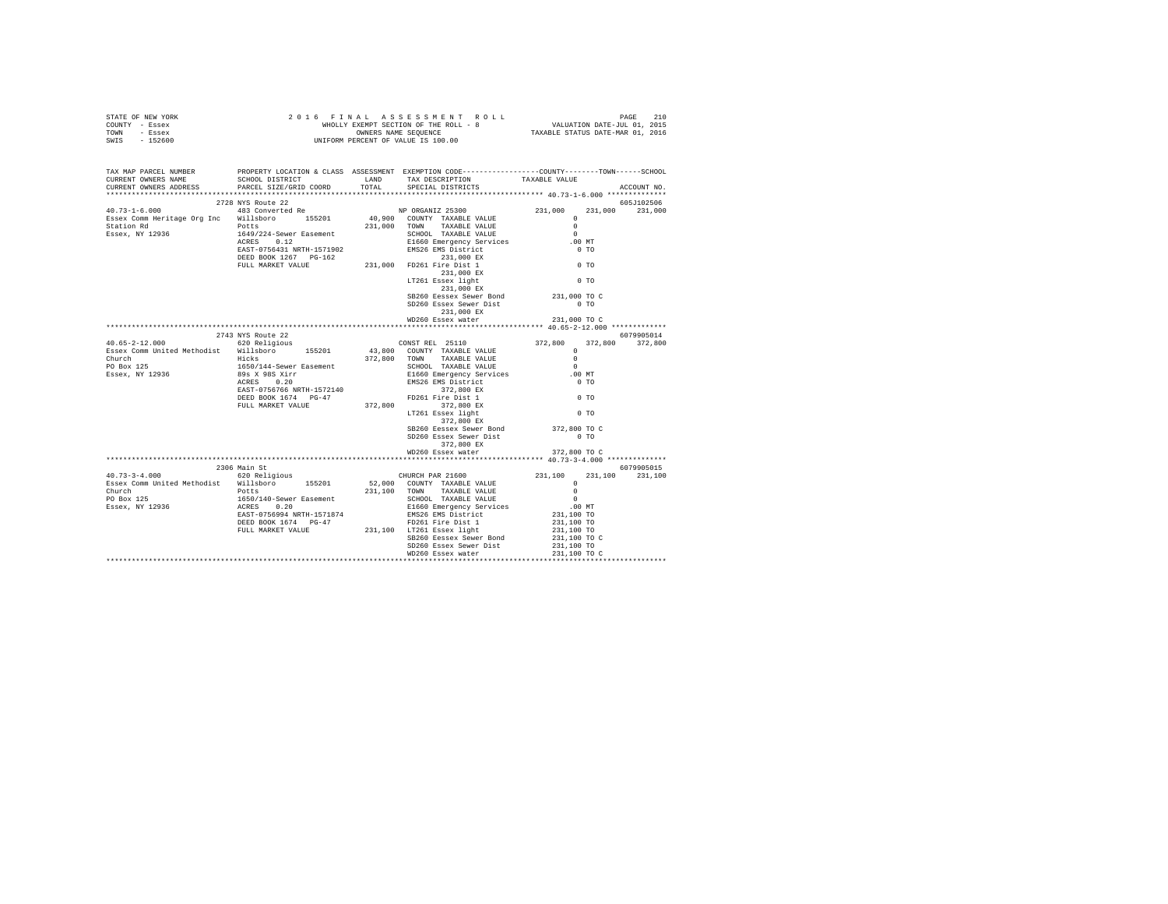| STATE OF NEW YORK | 2016 FINAL ASSESSMENT ROLL            | 210<br>PAGE                      |
|-------------------|---------------------------------------|----------------------------------|
| COUNTY - Essex    | WHOLLY EXEMPT SECTION OF THE ROLL - 8 | VALUATION DATE-JUL 01, 2015      |
| TOWN<br>- Essex   | OWNERS NAME SEOUENCE                  | TAXABLE STATUS DATE-MAR 01, 2016 |
| - 152600<br>SWIS  | UNIFORM PERCENT OF VALUE IS 100.00    |                                  |

| TAX MAP PARCEL NUMBER<br>CURRENT OWNERS NAME<br>CURRENT OWNERS ADDRESS PARCEL SIZE/GRID COORD TOTAL                      | SCHOOL DISTRICT TAND TAX DESCRIPTION | PROPERTY LOCATION & CLASS ASSESSMENT EXEMPTION CODE---------------COUNTY-------TOWN-----SCHOOL<br>SPECIAL DISTRICTS                                                                                                                 | TAXABLE VALUE                            | ACCOUNT NO.     |
|--------------------------------------------------------------------------------------------------------------------------|--------------------------------------|-------------------------------------------------------------------------------------------------------------------------------------------------------------------------------------------------------------------------------------|------------------------------------------|-----------------|
|                                                                                                                          |                                      |                                                                                                                                                                                                                                     |                                          |                 |
|                                                                                                                          |                                      |                                                                                                                                                                                                                                     |                                          | 605J102506      |
|                                                                                                                          |                                      |                                                                                                                                                                                                                                     | 231,000                                  | 231,000         |
|                                                                                                                          |                                      |                                                                                                                                                                                                                                     |                                          |                 |
|                                                                                                                          |                                      |                                                                                                                                                                                                                                     |                                          |                 |
|                                                                                                                          |                                      |                                                                                                                                                                                                                                     |                                          |                 |
|                                                                                                                          |                                      |                                                                                                                                                                                                                                     |                                          |                 |
|                                                                                                                          |                                      |                                                                                                                                                                                                                                     |                                          |                 |
|                                                                                                                          |                                      |                                                                                                                                                                                                                                     |                                          |                 |
|                                                                                                                          |                                      |                                                                                                                                                                                                                                     |                                          |                 |
|                                                                                                                          |                                      |                                                                                                                                                                                                                                     |                                          |                 |
|                                                                                                                          |                                      | 231,000 EX                                                                                                                                                                                                                          |                                          |                 |
|                                                                                                                          |                                      | SB260 Eessex Sewer Bond 231,000 TO C                                                                                                                                                                                                |                                          |                 |
|                                                                                                                          |                                      | SD260 Essex Sewer Dist                                                                                                                                                                                                              | $0$ TO                                   |                 |
|                                                                                                                          |                                      | 231,000 EX                                                                                                                                                                                                                          |                                          |                 |
|                                                                                                                          |                                      |                                                                                                                                                                                                                                     |                                          |                 |
|                                                                                                                          |                                      |                                                                                                                                                                                                                                     |                                          |                 |
|                                                                                                                          |                                      |                                                                                                                                                                                                                                     |                                          | 6079905014      |
|                                                                                                                          |                                      |                                                                                                                                                                                                                                     |                                          | 372,800 372,800 |
|                                                                                                                          |                                      |                                                                                                                                                                                                                                     |                                          |                 |
|                                                                                                                          |                                      |                                                                                                                                                                                                                                     |                                          |                 |
|                                                                                                                          |                                      |                                                                                                                                                                                                                                     | .00 MT                                   |                 |
|                                                                                                                          |                                      |                                                                                                                                                                                                                                     | $0$ TO                                   |                 |
|                                                                                                                          |                                      |                                                                                                                                                                                                                                     |                                          |                 |
|                                                                                                                          |                                      |                                                                                                                                                                                                                                     | $0$ TO                                   |                 |
|                                                                                                                          |                                      |                                                                                                                                                                                                                                     |                                          |                 |
|                                                                                                                          |                                      |                                                                                                                                                                                                                                     | $0$ TO                                   |                 |
|                                                                                                                          |                                      | 372,800 EX                                                                                                                                                                                                                          |                                          |                 |
|                                                                                                                          |                                      | SB260 Eessex Sewer Bond 372,800 TO C                                                                                                                                                                                                |                                          |                 |
|                                                                                                                          |                                      | SD260 Essex Sewer Dist                                                                                                                                                                                                              | $0$ TO                                   |                 |
|                                                                                                                          |                                      | 372,800 EX                                                                                                                                                                                                                          |                                          |                 |
|                                                                                                                          |                                      | WD260 Essex water                                                                                                                                                                                                                   | 372,800 TO C                             |                 |
|                                                                                                                          | 2306 Main St                         |                                                                                                                                                                                                                                     |                                          | 6079905015      |
|                                                                                                                          |                                      |                                                                                                                                                                                                                                     |                                          |                 |
| 40.73-3-4.000 620 Religious CHURCH PAR 21600<br>Essex Comm United Methodist Willsboro 155201 52,000 COUNTY TAXABLE VALUE |                                      |                                                                                                                                                                                                                                     |                                          |                 |
|                                                                                                                          |                                      |                                                                                                                                                                                                                                     |                                          |                 |
|                                                                                                                          |                                      |                                                                                                                                                                                                                                     |                                          |                 |
|                                                                                                                          |                                      |                                                                                                                                                                                                                                     |                                          |                 |
|                                                                                                                          |                                      | CHURCH PAR 21600 231,100 231,100 231,100<br>52,000 COUNTY TAXABLE VALUE 0<br>231,100 TOWN TAXABLE VALUE 0<br>SCHOOL TAXABLE VALUE 0<br>ELG60 Emergency Services 0<br>EMS26 EMS District 231,100 TO<br>EMS26 EMS District 231,100 TO |                                          |                 |
|                                                                                                                          |                                      |                                                                                                                                                                                                                                     | 231,100 TO                               |                 |
|                                                                                                                          |                                      |                                                                                                                                                                                                                                     | 231,100 TO<br>231,100 TO<br>231,100 TO C |                 |
|                                                                                                                          |                                      | SB260 Eessex Sewer Bond                                                                                                                                                                                                             |                                          |                 |
|                                                                                                                          |                                      |                                                                                                                                                                                                                                     |                                          |                 |
|                                                                                                                          |                                      |                                                                                                                                                                                                                                     |                                          |                 |
|                                                                                                                          |                                      |                                                                                                                                                                                                                                     |                                          |                 |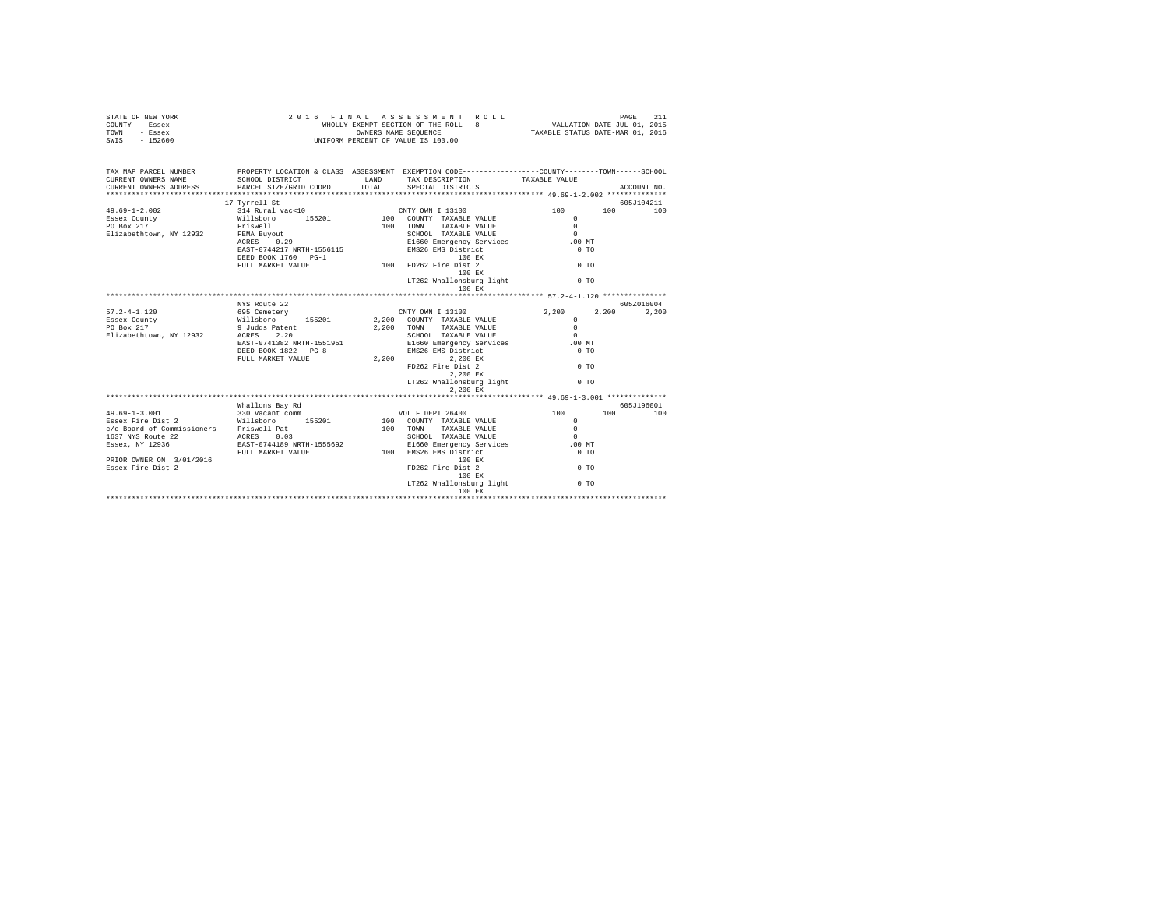| STATE OF NEW YORK<br>COUNTY - Essex<br>TOWN<br>- Essex<br>SWIS - 152600 | 2016 FINAL<br>WHOLLY EXEMPT SECTION OF THE ROLL - 8<br>UNIFORM PERCENT OF VALUE IS 100.00 | 211<br>PAGE<br>VALUATION DATE-JUL 01, 2015<br>TAXABLE STATUS DATE-MAR 01, 2016                                           |                      |                   |
|-------------------------------------------------------------------------|-------------------------------------------------------------------------------------------|--------------------------------------------------------------------------------------------------------------------------|----------------------|-------------------|
| TAX MAP PARCEL NUMBER<br>CURRENT OWNERS NAME                            | SCHOOL DISTRICT                                                                           | PROPERTY LOCATION & CLASS ASSESSMENT EXEMPTION CODE--------------COUNTY-------TOWN-----SCHOOL<br>LAND<br>TAX DESCRIPTION | TAXABLE VALUE        |                   |
| CURRENT OWNERS ADDRESS                                                  | PARCEL SIZE/GRID COORD                                                                    | TOTAL<br>SPECIAL DISTRICTS                                                                                               |                      | ACCOUNT NO.       |
|                                                                         | 17 Tyrrell St                                                                             |                                                                                                                          |                      | 605J104211        |
| $49.69 - 1 - 2.002$                                                     | 314 Rural vac<10                                                                          | CNTY OWN I 13100                                                                                                         | 100<br>100           | 100               |
| Essex County                                                            | Willsboro 155201                                                                          | 100 COUNTY TAXABLE VALUE                                                                                                 | $\Omega$             |                   |
| PO Box 217<br>Elizabethtown, NY 12932                                   | Friswell<br>FEMA Buyout                                                                   | $100$ TOWN<br>TAXABLE VALUE<br>SCHOOL TAXABLE VALUE                                                                      | $\Omega$<br>$\Omega$ |                   |
|                                                                         | FEMA Buyout<br>ACRES 0.29                                                                 |                                                                                                                          | $.00$ MT             |                   |
|                                                                         | EAST-0744217 NRTH-1556115                                                                 | E1660 Emergency Services<br>EMS26 EMS District<br>200 EMS 100 EX                                                         | 0 <sub>T</sub>       |                   |
|                                                                         | DEED BOOK 1760 PG-1                                                                       | 100 EX                                                                                                                   |                      |                   |
|                                                                         | FULL MARKET VALUE                                                                         | 100 FD262 Fire Dist 2                                                                                                    | $0$ TO               |                   |
|                                                                         |                                                                                           | 100 EX                                                                                                                   |                      |                   |
|                                                                         |                                                                                           | LT262 Whallonsburg light<br>100 EX                                                                                       | 0 <sub>T</sub>       |                   |
|                                                                         |                                                                                           |                                                                                                                          |                      |                   |
|                                                                         | NYS Route 22                                                                              |                                                                                                                          |                      | 6057016004        |
| $57.2 - 4 - 1.120$                                                      | 695 Cemetery                                                                              | CNTY OWN I 13100                                                                                                         | 2,200<br>2,200       | 2,200             |
| Essex County                                                            | Willsboro<br>155201                                                                       | 2.200 COUNTY TAXABLE VALUE                                                                                               | $\Omega$             |                   |
| PO Box 217                                                              | 9 Judds Patent                                                                            | 2.200 TOWN<br>TAXABLE VALUE                                                                                              | $\Omega$             |                   |
| Elizabethtown, NY 12932                                                 | ACRES 2.20                                                                                | SCHOOL TAXABLE VALUE                                                                                                     | $\Omega$             |                   |
|                                                                         | EAST-0741382 NRTH-1551951<br>DEED BOOK 1822 PG-8                                          | E1660 Emergency Services<br>EMS26 EMS Districts                                                                          | .00 MT<br>$0$ TO     |                   |
|                                                                         | FULL MARKET VALUE                                                                         | 2,200<br>2,200 EX                                                                                                        |                      |                   |
|                                                                         |                                                                                           | FD262 Fire Dist 2                                                                                                        | $0$ TO               |                   |
|                                                                         |                                                                                           | 2,200 EX                                                                                                                 |                      |                   |
|                                                                         |                                                                                           | LT262 Whallonsburg light                                                                                                 | $0$ TO               |                   |
|                                                                         |                                                                                           | 2,200 EX                                                                                                                 |                      |                   |
|                                                                         |                                                                                           |                                                                                                                          |                      |                   |
| $49.69 - 1 - 3.001$                                                     | Whallons Bay Rd<br>330 Vacant comm                                                        | VOL F DEPT 26400                                                                                                         | 100<br>100           | 605J196001<br>100 |
| Essex Fire Dist 2                                                       | Willsboro 155201                                                                          | 100 COUNTY TAXABLE VALUE                                                                                                 | $\mathbf{r}$         |                   |
| c/o Board of Commissioners Friswell Pat                                 |                                                                                           | 100 TOWN<br>TAXABLE VALUE                                                                                                | $\Omega$             |                   |
| $1637$ NYS Route $22$                                                   | ACRES 0.03                                                                                | SCHOOL TAXABLE VALUE                                                                                                     | $\Omega$             |                   |
| Essex, NY 12936                                                         | EAST-0744189 NRTH-1555692                                                                 | E1660 Emergency Services                                                                                                 | $.00$ MT             |                   |
|                                                                         |                                                                                           | FULL MARKET VALUE 6 100 EMS26 EMS District                                                                               | $0$ TO               |                   |
| PRIOR OWNER ON 3/01/2016                                                |                                                                                           | 100 EX                                                                                                                   |                      |                   |
| Essex Fire Dist 2                                                       |                                                                                           | FD262 Fire Dist 2                                                                                                        | $0$ TO               |                   |
|                                                                         |                                                                                           | 100 EX                                                                                                                   |                      |                   |
|                                                                         |                                                                                           |                                                                                                                          |                      |                   |
|                                                                         |                                                                                           | LT262 Whallonsburg light<br>100 EX                                                                                       | $0$ TO               |                   |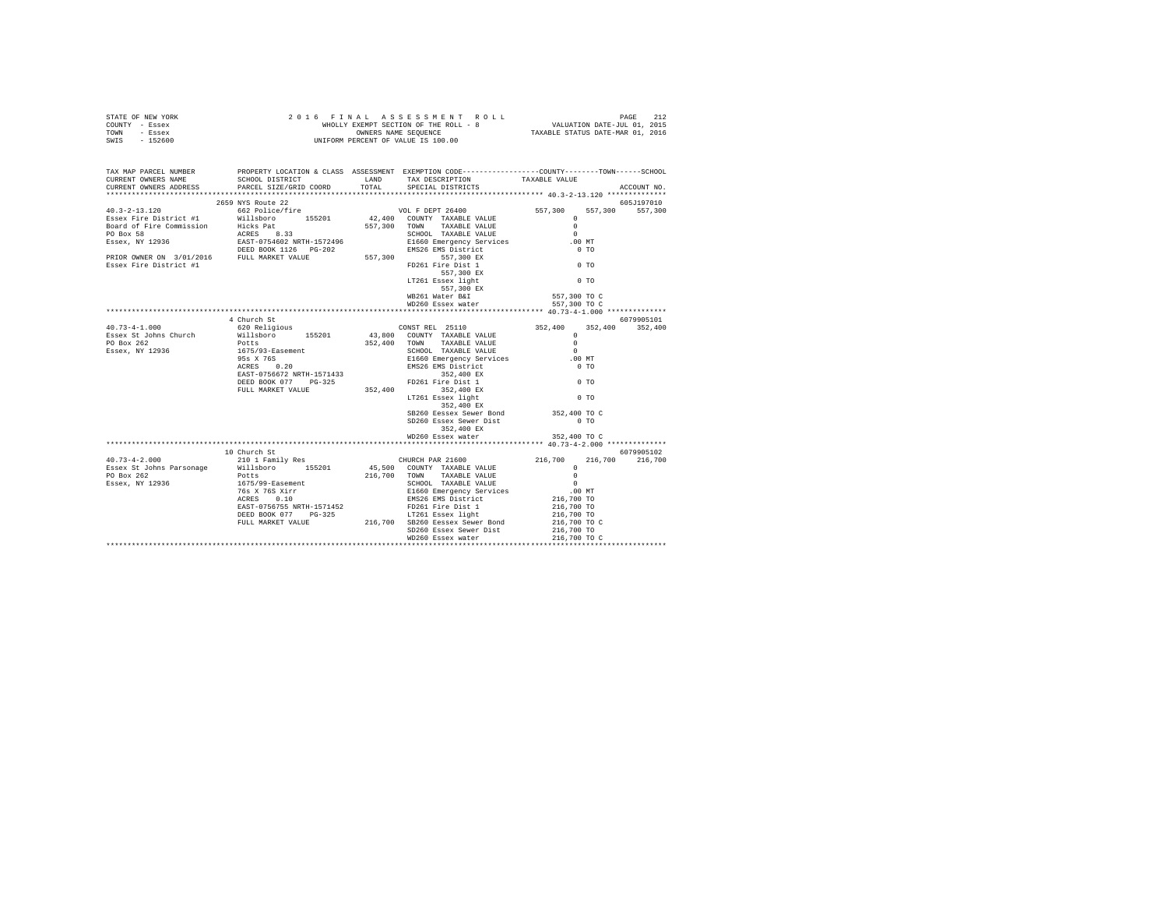| TAX MAP PARCEL NUMBER<br>CURRENT OWNERS NAME<br>CURRENT OWNERS ADDRESS                                                                                                                                                                                                                                                                                                    |              | PROPERTY LOCATION & CLASS ASSESSMENT EXEMPTION CODE---------------COUNTY-------TOWN-----SCHOOL<br>${\tt SRIOOL\,\, DISTRIBUT} \begin{tabular}{lcccc} LAND & TAX \,\, DESCRIPITION & TAXABLE \,\, VALUE \\ PARCHS \,\,IZE/GRID \,\,CORED & TOTAL & SPECTAL \,\, DISTRIBUTS \end{tabular}$ |              | ACCOUNT NO. |
|---------------------------------------------------------------------------------------------------------------------------------------------------------------------------------------------------------------------------------------------------------------------------------------------------------------------------------------------------------------------------|--------------|------------------------------------------------------------------------------------------------------------------------------------------------------------------------------------------------------------------------------------------------------------------------------------------|--------------|-------------|
|                                                                                                                                                                                                                                                                                                                                                                           |              |                                                                                                                                                                                                                                                                                          |              |             |
| 40.3–2–13.120<br>40.3–2–13.120<br>2659 NYS Route 22<br>2659 NYS Route 22<br>2669 Police/fire<br>Example 1557010<br>2667 Police/fire<br>2662 Police/fire<br>2662 Police/fire<br>2662 Police/fire<br>267,300 TOWNTY TAXABLE VALUE<br>267,300 TOWN TAXA                                                                                                                      |              |                                                                                                                                                                                                                                                                                          |              |             |
|                                                                                                                                                                                                                                                                                                                                                                           |              |                                                                                                                                                                                                                                                                                          |              |             |
|                                                                                                                                                                                                                                                                                                                                                                           |              |                                                                                                                                                                                                                                                                                          |              |             |
|                                                                                                                                                                                                                                                                                                                                                                           |              |                                                                                                                                                                                                                                                                                          |              |             |
|                                                                                                                                                                                                                                                                                                                                                                           |              |                                                                                                                                                                                                                                                                                          |              |             |
|                                                                                                                                                                                                                                                                                                                                                                           |              |                                                                                                                                                                                                                                                                                          |              |             |
|                                                                                                                                                                                                                                                                                                                                                                           |              |                                                                                                                                                                                                                                                                                          |              |             |
|                                                                                                                                                                                                                                                                                                                                                                           |              |                                                                                                                                                                                                                                                                                          |              |             |
|                                                                                                                                                                                                                                                                                                                                                                           |              |                                                                                                                                                                                                                                                                                          |              |             |
|                                                                                                                                                                                                                                                                                                                                                                           |              |                                                                                                                                                                                                                                                                                          |              |             |
|                                                                                                                                                                                                                                                                                                                                                                           |              |                                                                                                                                                                                                                                                                                          | 557,300 TO C |             |
|                                                                                                                                                                                                                                                                                                                                                                           |              | $557,300$ EX<br>WB261 Water B&I<br>WD260 Essex water                                                                                                                                                                                                                                     | 557,300 TO C |             |
| $\begin{tabular}{lcccc} \textbf{40.73--4-1.000} & \textbf{40.000} & \textbf{6079905101} & \textbf{6079905101} \\ \textbf{40.73--4-1.000} & \textbf{60.000} & \textbf{60.000} & \textbf{60.000} \\ \textbf{620} & \textbf{Religious} & \textbf{630} & \textbf{60.000} \\ \textbf{588ex & \textbf{50.000} } & \textbf{60.000} \\ \textbf{620} & \textbf{Religious} & \text$ |              |                                                                                                                                                                                                                                                                                          |              |             |
|                                                                                                                                                                                                                                                                                                                                                                           |              |                                                                                                                                                                                                                                                                                          |              |             |
|                                                                                                                                                                                                                                                                                                                                                                           |              |                                                                                                                                                                                                                                                                                          |              |             |
|                                                                                                                                                                                                                                                                                                                                                                           |              |                                                                                                                                                                                                                                                                                          |              |             |
|                                                                                                                                                                                                                                                                                                                                                                           |              |                                                                                                                                                                                                                                                                                          |              |             |
|                                                                                                                                                                                                                                                                                                                                                                           |              |                                                                                                                                                                                                                                                                                          |              |             |
|                                                                                                                                                                                                                                                                                                                                                                           |              |                                                                                                                                                                                                                                                                                          |              |             |
|                                                                                                                                                                                                                                                                                                                                                                           |              |                                                                                                                                                                                                                                                                                          |              |             |
|                                                                                                                                                                                                                                                                                                                                                                           |              |                                                                                                                                                                                                                                                                                          |              |             |
|                                                                                                                                                                                                                                                                                                                                                                           |              |                                                                                                                                                                                                                                                                                          |              |             |
|                                                                                                                                                                                                                                                                                                                                                                           |              | LT261 Essex light<br>352,400 EX                                                                                                                                                                                                                                                          |              |             |
|                                                                                                                                                                                                                                                                                                                                                                           |              | SB260 Eessex Sewer Bond 352,400 TO C                                                                                                                                                                                                                                                     |              |             |
|                                                                                                                                                                                                                                                                                                                                                                           |              | SD260 Essex Sewer Dist                                                                                                                                                                                                                                                                   | $0$ TO       |             |
|                                                                                                                                                                                                                                                                                                                                                                           |              | 352,400 EX                                                                                                                                                                                                                                                                               |              |             |
|                                                                                                                                                                                                                                                                                                                                                                           |              | WD260 Essex water 352,400 TO C                                                                                                                                                                                                                                                           |              |             |
|                                                                                                                                                                                                                                                                                                                                                                           | 10 Church St |                                                                                                                                                                                                                                                                                          |              | 6079905102  |
|                                                                                                                                                                                                                                                                                                                                                                           |              |                                                                                                                                                                                                                                                                                          | 216,700      | 216,700     |
|                                                                                                                                                                                                                                                                                                                                                                           |              |                                                                                                                                                                                                                                                                                          |              |             |
|                                                                                                                                                                                                                                                                                                                                                                           |              |                                                                                                                                                                                                                                                                                          |              |             |
|                                                                                                                                                                                                                                                                                                                                                                           |              |                                                                                                                                                                                                                                                                                          |              |             |
|                                                                                                                                                                                                                                                                                                                                                                           |              |                                                                                                                                                                                                                                                                                          |              |             |
|                                                                                                                                                                                                                                                                                                                                                                           |              |                                                                                                                                                                                                                                                                                          |              |             |
|                                                                                                                                                                                                                                                                                                                                                                           |              |                                                                                                                                                                                                                                                                                          |              |             |
|                                                                                                                                                                                                                                                                                                                                                                           |              |                                                                                                                                                                                                                                                                                          |              |             |
|                                                                                                                                                                                                                                                                                                                                                                           |              |                                                                                                                                                                                                                                                                                          |              |             |
|                                                                                                                                                                                                                                                                                                                                                                           |              |                                                                                                                                                                                                                                                                                          |              |             |
|                                                                                                                                                                                                                                                                                                                                                                           |              |                                                                                                                                                                                                                                                                                          |              |             |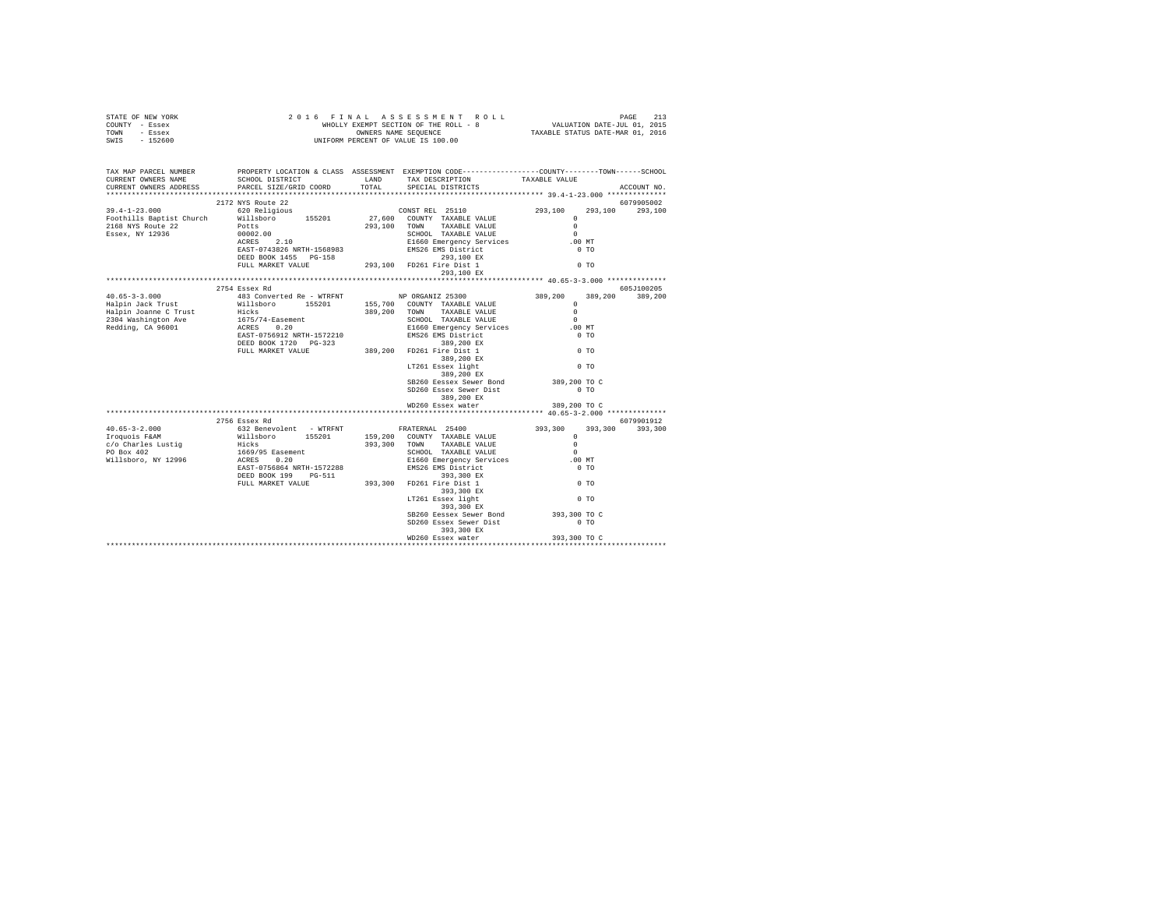| TAX MAP PARCEL NUMBER<br>CURRENT OWNERS NAME<br>CURRENT OWNERS ADDRESS                                                                                                                                                                                                                                                                                                                                           |               | PROPERTY LOCATION & CLASS ASSESSMENT EXEMPTION CODE----------------COUNTY-------TOWN------SCHOOL |              | ACCOUNT NO.     |
|------------------------------------------------------------------------------------------------------------------------------------------------------------------------------------------------------------------------------------------------------------------------------------------------------------------------------------------------------------------------------------------------------------------|---------------|--------------------------------------------------------------------------------------------------|--------------|-----------------|
| $\begin{tabular}{l c c c c c} \hline \texttt{39.4--1--23.000} & \texttt{2172 W8 Note} & \texttt{200}\xspace & \texttt{200}\xspace & \texttt{2017} & \texttt{2010} & \texttt{2010} & \texttt{2010} & \texttt{2010} & \texttt{2010} & \texttt{2010} & \texttt{2010} & \texttt{2010} & \texttt{2010} & \texttt{2010} & \texttt{2010} & \texttt{2010} & \texttt{2010} & \texttt{2$                                   |               |                                                                                                  |              | 6079905002      |
|                                                                                                                                                                                                                                                                                                                                                                                                                  |               |                                                                                                  |              | 293.100 293.100 |
|                                                                                                                                                                                                                                                                                                                                                                                                                  |               |                                                                                                  |              |                 |
|                                                                                                                                                                                                                                                                                                                                                                                                                  |               |                                                                                                  |              |                 |
|                                                                                                                                                                                                                                                                                                                                                                                                                  |               |                                                                                                  |              |                 |
|                                                                                                                                                                                                                                                                                                                                                                                                                  |               |                                                                                                  | $.00$ MT     |                 |
|                                                                                                                                                                                                                                                                                                                                                                                                                  |               |                                                                                                  | $0$ TO       |                 |
|                                                                                                                                                                                                                                                                                                                                                                                                                  |               |                                                                                                  | $0$ TO       |                 |
|                                                                                                                                                                                                                                                                                                                                                                                                                  |               |                                                                                                  |              |                 |
|                                                                                                                                                                                                                                                                                                                                                                                                                  |               |                                                                                                  |              |                 |
|                                                                                                                                                                                                                                                                                                                                                                                                                  | 2754 Essex Rd |                                                                                                  |              | 605J100205      |
|                                                                                                                                                                                                                                                                                                                                                                                                                  |               |                                                                                                  | 389,200      | 389,200         |
|                                                                                                                                                                                                                                                                                                                                                                                                                  |               |                                                                                                  |              |                 |
|                                                                                                                                                                                                                                                                                                                                                                                                                  |               |                                                                                                  |              |                 |
|                                                                                                                                                                                                                                                                                                                                                                                                                  |               |                                                                                                  |              |                 |
|                                                                                                                                                                                                                                                                                                                                                                                                                  |               |                                                                                                  |              |                 |
| $\begin{tabular}{l c c c c c} \multicolumn{3}{c}{\textbf{40.65--3-3.000}} & \multicolumn{3}{c}{2754\text{ Ssec X }\text{Rd}} & \multicolumn{3}{c}{483\text{ Converted Re}- \text{WTRENT}} & \multicolumn{3}{c}{\textbf{NP ORGANIZ 25300}} & \multicolumn{3}{c}{389,200} & \multicolumn{3}{c}{389,200} & \multicolumn{3}{c}{389,200} & \multicolumn{3}{c}{389,200} & \multicolumn{3}{c}{389,200} & \multicolumn{$ |               |                                                                                                  |              |                 |
|                                                                                                                                                                                                                                                                                                                                                                                                                  |               |                                                                                                  |              |                 |
|                                                                                                                                                                                                                                                                                                                                                                                                                  |               |                                                                                                  |              |                 |
|                                                                                                                                                                                                                                                                                                                                                                                                                  |               |                                                                                                  |              |                 |
|                                                                                                                                                                                                                                                                                                                                                                                                                  |               |                                                                                                  |              |                 |
|                                                                                                                                                                                                                                                                                                                                                                                                                  |               | SB260 Eessex Sewer Bond 389,200 TO C                                                             |              |                 |
|                                                                                                                                                                                                                                                                                                                                                                                                                  |               | SD260 Essex Sewer Dist                                                                           | $0$ TO       |                 |
|                                                                                                                                                                                                                                                                                                                                                                                                                  |               | 389,200 EX                                                                                       |              |                 |
|                                                                                                                                                                                                                                                                                                                                                                                                                  |               | WD260 Essex water                                                                                | 389,200 TO C |                 |
|                                                                                                                                                                                                                                                                                                                                                                                                                  |               |                                                                                                  |              |                 |
|                                                                                                                                                                                                                                                                                                                                                                                                                  | 2756 Essex Rd |                                                                                                  | 6079901912   |                 |
|                                                                                                                                                                                                                                                                                                                                                                                                                  |               |                                                                                                  |              |                 |
|                                                                                                                                                                                                                                                                                                                                                                                                                  |               |                                                                                                  |              |                 |
|                                                                                                                                                                                                                                                                                                                                                                                                                  |               |                                                                                                  |              |                 |
|                                                                                                                                                                                                                                                                                                                                                                                                                  |               |                                                                                                  |              |                 |
|                                                                                                                                                                                                                                                                                                                                                                                                                  |               |                                                                                                  |              |                 |
|                                                                                                                                                                                                                                                                                                                                                                                                                  |               |                                                                                                  |              |                 |
|                                                                                                                                                                                                                                                                                                                                                                                                                  |               |                                                                                                  |              |                 |
|                                                                                                                                                                                                                                                                                                                                                                                                                  |               |                                                                                                  |              |                 |
|                                                                                                                                                                                                                                                                                                                                                                                                                  |               |                                                                                                  |              |                 |
|                                                                                                                                                                                                                                                                                                                                                                                                                  |               | SB260 Eessex Sewer Bond 393,300 TO C                                                             |              |                 |
|                                                                                                                                                                                                                                                                                                                                                                                                                  |               | SD260 Essex Sewer Dist 0 TO                                                                      |              |                 |
|                                                                                                                                                                                                                                                                                                                                                                                                                  |               | 393,300 EX                                                                                       |              |                 |
|                                                                                                                                                                                                                                                                                                                                                                                                                  |               | WD260 Essex water                                                                                | 393,300 TO C |                 |
|                                                                                                                                                                                                                                                                                                                                                                                                                  |               |                                                                                                  |              |                 |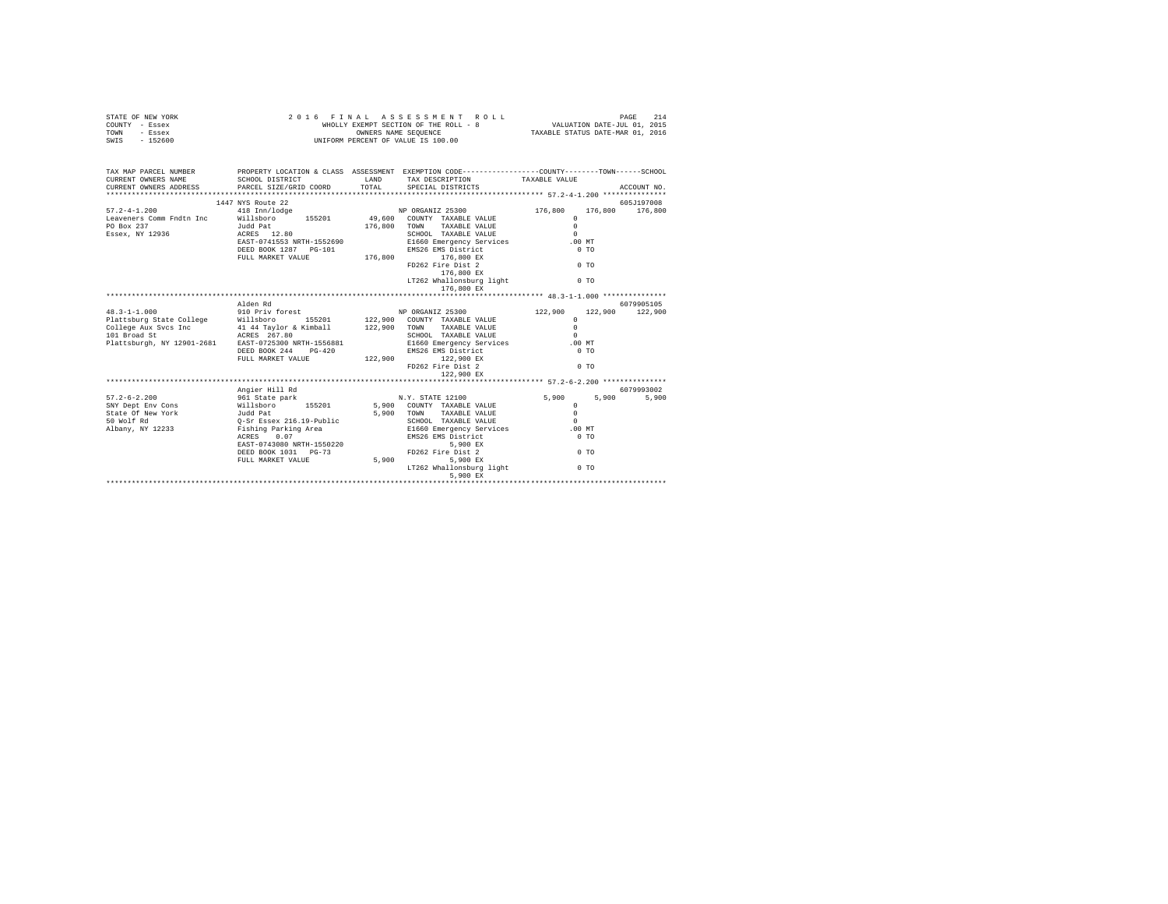| STATE OF NEW YORK<br>COUNTY - Essex<br>TOWN<br>- Essex<br>$-152600$<br>SWIS                                                                                                                                                                                                                                                                                                                                                                               | 2 0 1 6 F I N A L A S S E S S M E N T R (WHOLLY EXCHIVE ROLL - 8<br>WHOLLY EXEMPT SECTION OF THE ROLL - 8<br>UNIFORM PERCENT OF VALUE IS 100.00<br>2016 FINAL ASSESSMENT ROLL                                  |                                                         |                |  |                               |
|-----------------------------------------------------------------------------------------------------------------------------------------------------------------------------------------------------------------------------------------------------------------------------------------------------------------------------------------------------------------------------------------------------------------------------------------------------------|----------------------------------------------------------------------------------------------------------------------------------------------------------------------------------------------------------------|---------------------------------------------------------|----------------|--|-------------------------------|
| TAX MAP PARCEL NUMBER PROPERTY LOCATION & CLASS ASSESSMENT EXEMPTION CODE-------------COUNTY-------TOWN-----SCHOOL<br>CURRENT OWNERS NAME                                                                                                                                                                                                                                                                                                                 | SCHOOL DISTRICT                                                                                                                                                                                                |                                                         |                |  |                               |
| CURRENT OWNERS ADDRESS PARCEL SIZE/GRID COORD                                                                                                                                                                                                                                                                                                                                                                                                             |                                                                                                                                                                                                                |                                                         |                |  | ACCOUNT NO.                   |
|                                                                                                                                                                                                                                                                                                                                                                                                                                                           |                                                                                                                                                                                                                |                                                         |                |  |                               |
|                                                                                                                                                                                                                                                                                                                                                                                                                                                           | 1447 NYS Route 22                                                                                                                                                                                              |                                                         |                |  | 605J197008                    |
| $\begin{array}{lllllllllll} 57.2-4-1.200 & 418 & \texttt{Inn}/\texttt{long} & \texttt{NP ORGANIZ} & 25300 & 176,800 \\ \texttt{Leaveners Comm Fndtn Inc} & & & \texttt{Nilisboro} & 155201 & 49,600 & \texttt{COUNTY TAXABLE VALUE} & 0 \\ \texttt{PO Box} & & & \texttt{Judd Pat} & & & 176,800 & \texttt{TOMN} & \texttt{TAXABLE VALUE} & & & \\ \texttt{PQONY} & & & & \texttt{TrXABLE} & & & \texttt{VAtUIE} & & \\ \texttt$                          |                                                                                                                                                                                                                |                                                         |                |  | 176,800 176,800               |
|                                                                                                                                                                                                                                                                                                                                                                                                                                                           |                                                                                                                                                                                                                |                                                         |                |  |                               |
|                                                                                                                                                                                                                                                                                                                                                                                                                                                           | Judd Pat<br>ACRES 12.80<br>EAST-0741553 NRTH-1552690                                                                                                                                                           |                                                         |                |  |                               |
| Essex, NY 12936                                                                                                                                                                                                                                                                                                                                                                                                                                           |                                                                                                                                                                                                                | SCHOOL TAXABLE VALUE<br>E1660 Emergency Services .00 MT |                |  |                               |
|                                                                                                                                                                                                                                                                                                                                                                                                                                                           |                                                                                                                                                                                                                |                                                         | $0$ TO         |  |                               |
|                                                                                                                                                                                                                                                                                                                                                                                                                                                           | DEED BOOK 1287 PG-101 EMS26 EMS District<br>FULL MARKET VALUE 176,800 176,800 EX                                                                                                                               |                                                         |                |  |                               |
|                                                                                                                                                                                                                                                                                                                                                                                                                                                           |                                                                                                                                                                                                                | FD262 Fire Dist 2 0 TO                                  |                |  |                               |
|                                                                                                                                                                                                                                                                                                                                                                                                                                                           |                                                                                                                                                                                                                | 176,800 EX                                              |                |  |                               |
|                                                                                                                                                                                                                                                                                                                                                                                                                                                           |                                                                                                                                                                                                                | LT262 Whallonsburg light                                | $0$ TO         |  |                               |
|                                                                                                                                                                                                                                                                                                                                                                                                                                                           |                                                                                                                                                                                                                | 176,800 EX                                              |                |  |                               |
|                                                                                                                                                                                                                                                                                                                                                                                                                                                           |                                                                                                                                                                                                                |                                                         |                |  |                               |
| $48.3 - 1 - 1.000$                                                                                                                                                                                                                                                                                                                                                                                                                                        | Alden Rd<br>910 Priv forest                                                                                                                                                                                    | NP ORGANIZ 25300                                        | 122,900        |  | 6079905105<br>122,900 122,900 |
|                                                                                                                                                                                                                                                                                                                                                                                                                                                           |                                                                                                                                                                                                                |                                                         | $\Omega$       |  |                               |
| Plattaburg State College Millshoro 155201 122,900 COUNTY TAXABLE VALUE<br>College Aux Svcs Inc 414 Taylor & Kimball 122,900 TOWN TAXABLE VALUE<br>101 Broad St ACRES 267.80 SCROOL TAXABLE VALUE<br>Plattaburgh, NY 12901-2681 EAST-072                                                                                                                                                                                                                   |                                                                                                                                                                                                                |                                                         | $\Omega$       |  |                               |
|                                                                                                                                                                                                                                                                                                                                                                                                                                                           |                                                                                                                                                                                                                |                                                         | $\sim$         |  |                               |
|                                                                                                                                                                                                                                                                                                                                                                                                                                                           |                                                                                                                                                                                                                |                                                         | .00MT          |  |                               |
|                                                                                                                                                                                                                                                                                                                                                                                                                                                           |                                                                                                                                                                                                                |                                                         | $0$ TO         |  |                               |
|                                                                                                                                                                                                                                                                                                                                                                                                                                                           |                                                                                                                                                                                                                |                                                         |                |  |                               |
|                                                                                                                                                                                                                                                                                                                                                                                                                                                           | ACRES 267.80<br>EAST-0725300 NRTH-1556881 SCHOOL TAXABLE VALUE<br>DEED BOOK 244 PG-420 BMS26 EMS District<br>TULL MARKET VALUE 122,900 122,900 I22 PIC District<br>PULL MARKET VALUE 122,900 PD262 Pire Dist 2 |                                                         | 0 <sub>T</sub> |  |                               |
|                                                                                                                                                                                                                                                                                                                                                                                                                                                           |                                                                                                                                                                                                                |                                                         |                |  |                               |
|                                                                                                                                                                                                                                                                                                                                                                                                                                                           |                                                                                                                                                                                                                |                                                         |                |  |                               |
|                                                                                                                                                                                                                                                                                                                                                                                                                                                           | Angier Hill Rd                                                                                                                                                                                                 |                                                         |                |  | 6079993002                    |
|                                                                                                                                                                                                                                                                                                                                                                                                                                                           |                                                                                                                                                                                                                |                                                         |                |  |                               |
|                                                                                                                                                                                                                                                                                                                                                                                                                                                           |                                                                                                                                                                                                                |                                                         |                |  |                               |
|                                                                                                                                                                                                                                                                                                                                                                                                                                                           |                                                                                                                                                                                                                |                                                         |                |  |                               |
|                                                                                                                                                                                                                                                                                                                                                                                                                                                           |                                                                                                                                                                                                                |                                                         |                |  |                               |
|                                                                                                                                                                                                                                                                                                                                                                                                                                                           |                                                                                                                                                                                                                |                                                         |                |  |                               |
| $\begin{tabular}{l c c c c c} \hline 57.2-6-2.200 & \hline \multicolumn{3}{c}{\textbf{Angier Hill Rd}} & 6079993002 \\ \hline \multicolumn{3}{c}{\textbf{SNY Dept Env Cons}} & 961\text{ State park} \\ \hline \multicolumn{3}{c}{\textbf{SNY Dept Env Cons}} & 961\text{ State park} \\ \hline \multicolumn{3}{c}{\textbf{SNU Dept Env York}} & 155201 & 5,900\text{ COUNT TAXABLE VALUE} & 5,900\text{ TOH} \\ \hline \multicolumn{3}{c}{\textbf{S1W o$ |                                                                                                                                                                                                                |                                                         |                |  |                               |
|                                                                                                                                                                                                                                                                                                                                                                                                                                                           |                                                                                                                                                                                                                |                                                         |                |  |                               |
|                                                                                                                                                                                                                                                                                                                                                                                                                                                           |                                                                                                                                                                                                                |                                                         |                |  |                               |
|                                                                                                                                                                                                                                                                                                                                                                                                                                                           |                                                                                                                                                                                                                | LT262 Whallonsburg light                                | $0$ TO         |  |                               |
|                                                                                                                                                                                                                                                                                                                                                                                                                                                           |                                                                                                                                                                                                                |                                                         |                |  |                               |
|                                                                                                                                                                                                                                                                                                                                                                                                                                                           |                                                                                                                                                                                                                |                                                         |                |  |                               |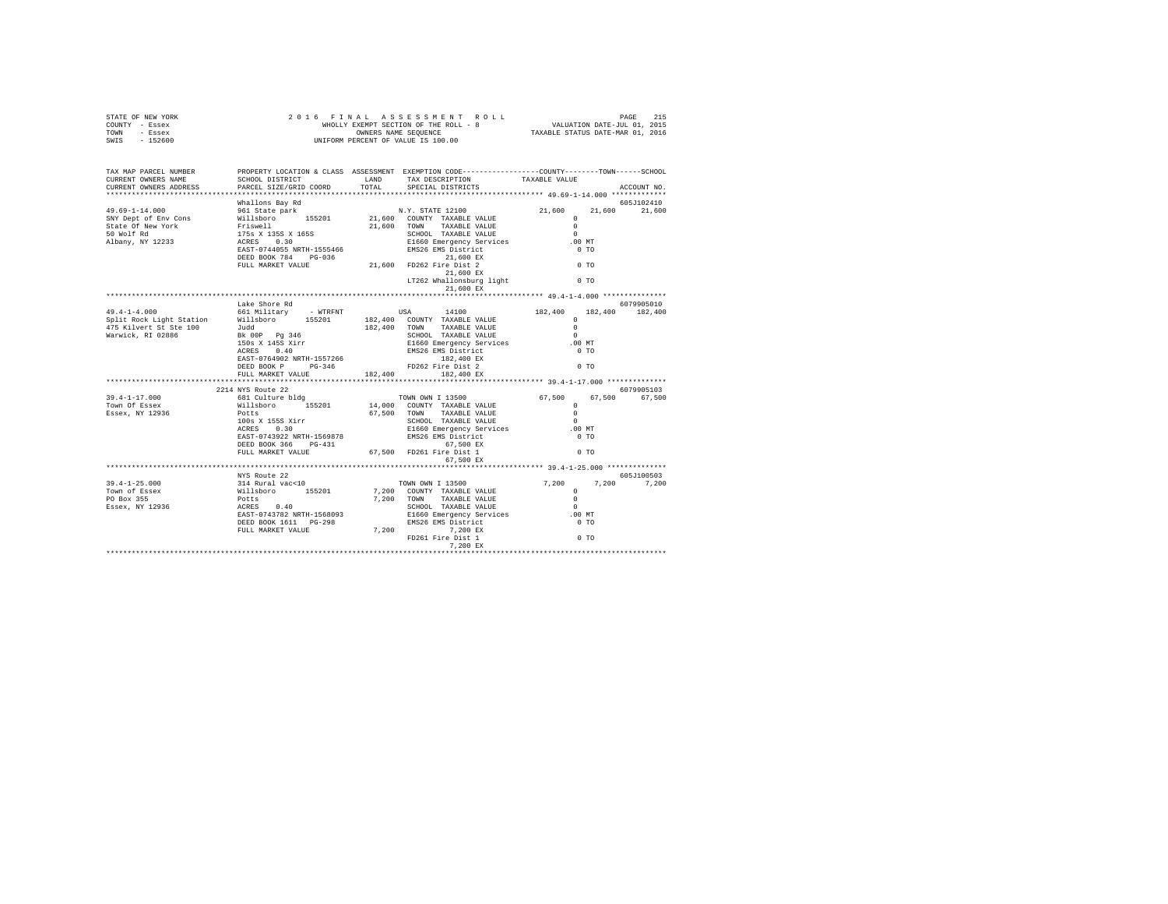| STATE OF NEW YORK<br>COUNTY - Essex<br>TOWN - Essex<br>SWIS - 152600                                                                                                                                                                          |                           | 2016 FINAL ASSESSMENT ROLL ROLL PAGE 215<br>WHOLLY EXEMPT SECTION OF THE ROLL - 8<br>WHOLLY EXEMPT SEQUENCE<br>ONNERS NAME SEQUENCE TRACKLE STATUS DATE-MAR 01, 2016<br>UNIFORM PERCENT OF VALUE IS 100.00 |                                                   |                       |
|-----------------------------------------------------------------------------------------------------------------------------------------------------------------------------------------------------------------------------------------------|---------------------------|------------------------------------------------------------------------------------------------------------------------------------------------------------------------------------------------------------|---------------------------------------------------|-----------------------|
| TAX MAP PARCEL NUMBER<br>CURRENT OWNERS NAME<br>CURRENT OWNERS ADDRESS                                                                                                                                                                        |                           | PROPERTY LOCATION & CLASS ASSESSMENT EXEMPTION CODE---------------COUNTY-------TOWN------SCHOOL                                                                                                            |                                                   | ACCOUNT NO.           |
|                                                                                                                                                                                                                                               | Whallons Bay Rd           |                                                                                                                                                                                                            |                                                   | 605J102410            |
|                                                                                                                                                                                                                                               |                           |                                                                                                                                                                                                            | 21,600                                            | 21,600                |
|                                                                                                                                                                                                                                               |                           |                                                                                                                                                                                                            |                                                   |                       |
|                                                                                                                                                                                                                                               |                           |                                                                                                                                                                                                            |                                                   |                       |
|                                                                                                                                                                                                                                               |                           |                                                                                                                                                                                                            |                                                   |                       |
|                                                                                                                                                                                                                                               |                           | 21,600 EX                                                                                                                                                                                                  |                                                   |                       |
|                                                                                                                                                                                                                                               |                           |                                                                                                                                                                                                            |                                                   |                       |
|                                                                                                                                                                                                                                               | Lake Shore Rd             |                                                                                                                                                                                                            | 182,400                                           | 6079905010<br>182,400 |
|                                                                                                                                                                                                                                               |                           |                                                                                                                                                                                                            |                                                   |                       |
|                                                                                                                                                                                                                                               |                           |                                                                                                                                                                                                            |                                                   |                       |
|                                                                                                                                                                                                                                               | FULL MARKET VALUE         | 182,400 182,400 EX                                                                                                                                                                                         |                                                   |                       |
|                                                                                                                                                                                                                                               | ************************* |                                                                                                                                                                                                            |                                                   |                       |
|                                                                                                                                                                                                                                               | 2214 NYS Route 22         |                                                                                                                                                                                                            |                                                   | 6079905103            |
| $39.4 - 1 - 17.000$<br>Town Of Essex                                                                                                                                                                                                          |                           |                                                                                                                                                                                                            |                                                   | 67.500                |
| Essex, NY 12936                                                                                                                                                                                                                               |                           |                                                                                                                                                                                                            |                                                   |                       |
|                                                                                                                                                                                                                                               |                           |                                                                                                                                                                                                            |                                                   |                       |
|                                                                                                                                                                                                                                               |                           |                                                                                                                                                                                                            |                                                   |                       |
|                                                                                                                                                                                                                                               |                           |                                                                                                                                                                                                            | ******************** 39.4-1-25.000 ************** |                       |
|                                                                                                                                                                                                                                               |                           |                                                                                                                                                                                                            |                                                   | 605J100503<br>7,200   |
|                                                                                                                                                                                                                                               |                           |                                                                                                                                                                                                            |                                                   |                       |
|                                                                                                                                                                                                                                               |                           |                                                                                                                                                                                                            |                                                   |                       |
|                                                                                                                                                                                                                                               |                           |                                                                                                                                                                                                            |                                                   |                       |
|                                                                                                                                                                                                                                               |                           |                                                                                                                                                                                                            |                                                   |                       |
| 39.4-1-25.000<br>39.4-1-25.000<br>39.4-1-25.000<br>39.4-1-25.000<br>39.4-1-25.000<br>39.4-1-25.000<br>39.4-1-25.000<br>39.4-1-25.000<br>39.4-1-25.000<br>39.4-1-25.000<br>39.4-1-25.000<br>39.400<br>39.400<br>39.400<br>39.5201<br>7,200 TOW |                           |                                                                                                                                                                                                            |                                                   |                       |
|                                                                                                                                                                                                                                               |                           |                                                                                                                                                                                                            |                                                   |                       |
|                                                                                                                                                                                                                                               |                           |                                                                                                                                                                                                            |                                                   |                       |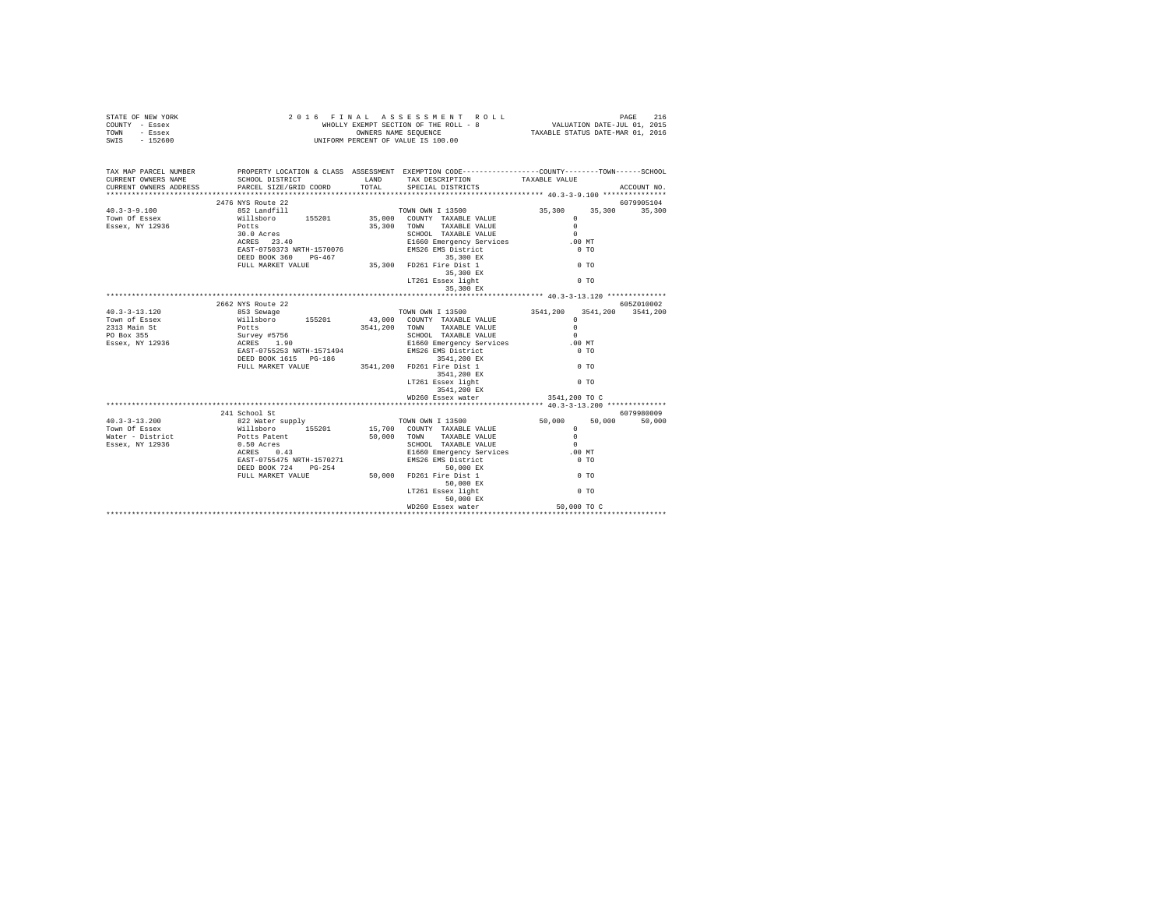| STATE OF NEW YORK<br>COUNTY - Essex<br>TOWN - Essex<br>SWIS - 152600                                                                                                                                                                          |                                                                                                                                                                                                                                                                                                                                                                                                                    | 2016 FINAL ASSESSMENT ROLL<br>WHOLLY EXEMPT SECTION OF THE ROLL - 8<br>UNIFORM PERCENT OF VALUE IS 100.00<br>WHOLLY EXEMPT SECTION OF THE ROLL - 8 VALUATION DATE-JUL 01, 2015<br>OWNERS NAME SEQUENCE TAXABLE STATUS DATE-MAR 01, 2016 |                      | PAGE<br>216 |
|-----------------------------------------------------------------------------------------------------------------------------------------------------------------------------------------------------------------------------------------------|--------------------------------------------------------------------------------------------------------------------------------------------------------------------------------------------------------------------------------------------------------------------------------------------------------------------------------------------------------------------------------------------------------------------|-----------------------------------------------------------------------------------------------------------------------------------------------------------------------------------------------------------------------------------------|----------------------|-------------|
| TAX MAP PARCEL NUMBER PROPERTY LOCATION & CLASS ASSESSMENT EXEMPTION CODE--------------COUNTY-------TOWN-----SCHOOL<br>CURRENT OWNERS NAME                                                                                                    |                                                                                                                                                                                                                                                                                                                                                                                                                    | SCHOOL DISTRICT                    LAND       TAX DESCRIPTION                 TAXABLE VALUE                                                                                                                                             |                      |             |
| CURRENT OWNERS NAME SCHOOL DISIRICI<br>CURRENT OWNERS ADDRESS PARCEL SIZE/GRID COORD                                                                                                                                                          |                                                                                                                                                                                                                                                                                                                                                                                                                    | TOTAL SPECIAL DISTRICTS                                                                                                                                                                                                                 |                      | ACCOUNT NO. |
|                                                                                                                                                                                                                                               | 2476 NYS Route 22                                                                                                                                                                                                                                                                                                                                                                                                  |                                                                                                                                                                                                                                         |                      | 6079905104  |
|                                                                                                                                                                                                                                               |                                                                                                                                                                                                                                                                                                                                                                                                                    |                                                                                                                                                                                                                                         | 35,300 35,300 35,300 |             |
|                                                                                                                                                                                                                                               | $\begin{tabular}{lllllllllllll} \textbf{W111} \textbf{Bob} & \textbf{15} & \textbf{20} & \textbf{20} & \textbf{7} & \textbf{W1} \\ \textbf{POLLs} & 10.0 \textbf{Area} & 25,300 & \textbf{50} & \textbf{W1} & \textbf{TAXABLE VALUE} & 0 \\ \textbf{30.0} & \textbf{ACRES} & 23.40 & \textbf{SCHOOL} & \textbf{TAXABLE VALUE} & 0.0 & \textbf{MT} \\ \textbf{RRES} & 23.40 & \textbf{RIST-070076} & \textbf{EMS26$ |                                                                                                                                                                                                                                         | $\Omega$             |             |
|                                                                                                                                                                                                                                               |                                                                                                                                                                                                                                                                                                                                                                                                                    |                                                                                                                                                                                                                                         |                      |             |
|                                                                                                                                                                                                                                               |                                                                                                                                                                                                                                                                                                                                                                                                                    | 35,300 EX                                                                                                                                                                                                                               |                      |             |
|                                                                                                                                                                                                                                               |                                                                                                                                                                                                                                                                                                                                                                                                                    |                                                                                                                                                                                                                                         |                      |             |
|                                                                                                                                                                                                                                               |                                                                                                                                                                                                                                                                                                                                                                                                                    |                                                                                                                                                                                                                                         |                      |             |
| 40.3-13.120 2662<br>40.3-13.120 2662<br>353.8ewage 155201<br>200 200 200 200 200 200 3541,200 3541,200 3541,200 3541,200<br>2313.8ain.st Williaboro 155201 43,000 200<br>2313.9ain.st Williaboro 155201<br>2313.8ain.st Williaboro 155201<br> |                                                                                                                                                                                                                                                                                                                                                                                                                    |                                                                                                                                                                                                                                         |                      |             |
|                                                                                                                                                                                                                                               |                                                                                                                                                                                                                                                                                                                                                                                                                    |                                                                                                                                                                                                                                         |                      |             |
|                                                                                                                                                                                                                                               |                                                                                                                                                                                                                                                                                                                                                                                                                    | 3541,200 EX                                                                                                                                                                                                                             |                      |             |
|                                                                                                                                                                                                                                               |                                                                                                                                                                                                                                                                                                                                                                                                                    |                                                                                                                                                                                                                                         |                      |             |
|                                                                                                                                                                                                                                               |                                                                                                                                                                                                                                                                                                                                                                                                                    |                                                                                                                                                                                                                                         |                      |             |
| 10.3 -13.2000 2018<br>10.3 -21 School St 2018<br>241 School St 2018<br>Town Of Essex<br>Town Of Essex<br>Millsboro 155201 15,700 COUNTY TAXABLE VALUE<br>Mater - District Potts Patent 50,000 TOWN TAXABLE VALUE<br>Essex, NY 12936 0.50,000  |                                                                                                                                                                                                                                                                                                                                                                                                                    |                                                                                                                                                                                                                                         |                      |             |
|                                                                                                                                                                                                                                               |                                                                                                                                                                                                                                                                                                                                                                                                                    | WD260 Essex water                                                                                                                                                                                                                       | 50,000 TO C          |             |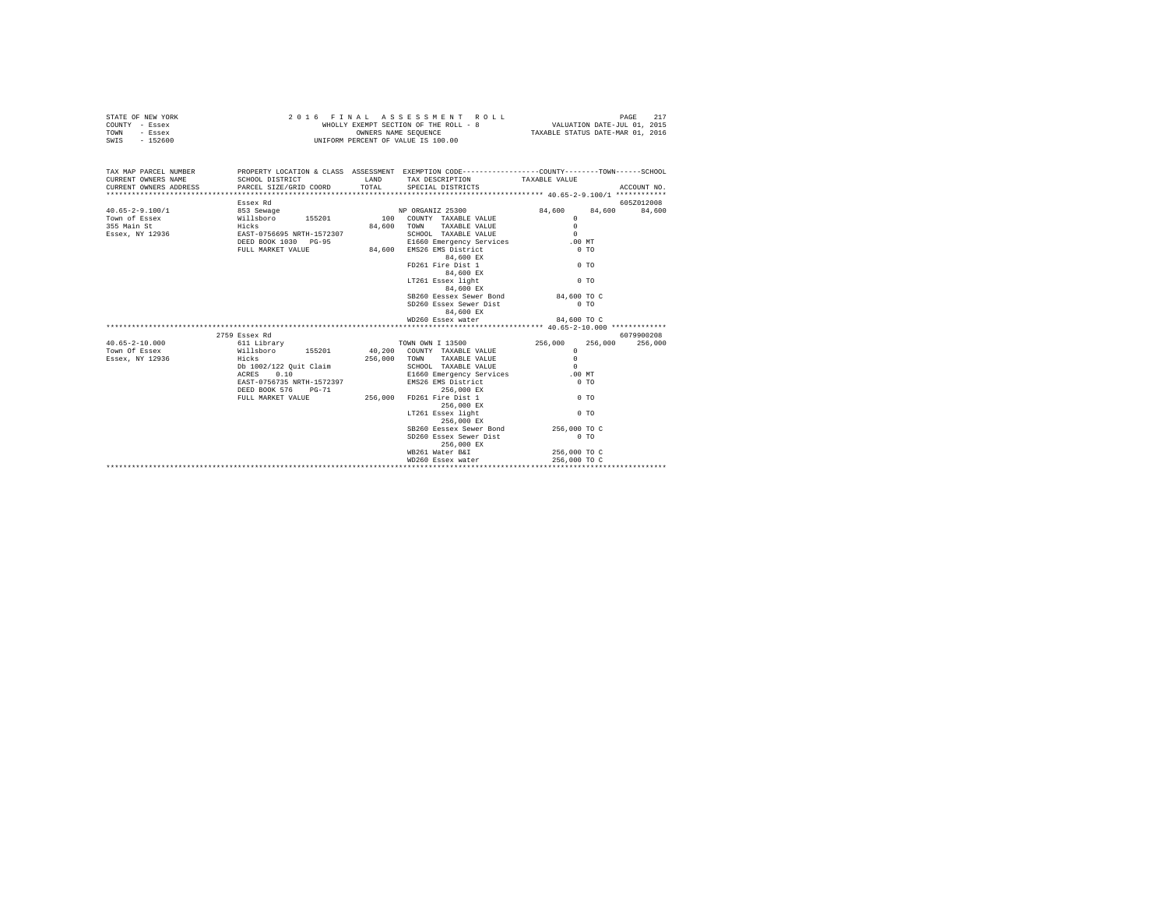| STATE OF NEW YORK                             |                                                                                                  |       | 2016 FINAL ASSESSMENT ROLL           |                                  |             |
|-----------------------------------------------|--------------------------------------------------------------------------------------------------|-------|--------------------------------------|----------------------------------|-------------|
| COUNTY - Essex                                |                                                                                                  |       |                                      |                                  |             |
| TOWN - Essex                                  |                                                                                                  |       | OWNERS NAME SEQUENCE                 | TAXABLE STATUS DATE-MAR 01, 2016 |             |
| SWIS - 152600                                 |                                                                                                  |       | UNIFORM PERCENT OF VALUE IS 100.00   |                                  |             |
|                                               |                                                                                                  |       |                                      |                                  |             |
| TAX MAP PARCEL NUMBER                         | PROPERTY LOCATION & CLASS ASSESSMENT EXEMPTION CODE----------------COUNTY-------TOWN------SCHOOL |       |                                      |                                  |             |
| CURRENT OWNERS NAME                           | SCHOOL DISTRICT TAND TAX DESCRIPTION TAXABLE VALUE                                               |       |                                      |                                  |             |
| CURRENT OWNERS ADDRESS PARCEL SIZE/GRID COORD |                                                                                                  | TOTAL | SPECIAL DISTRICTS                    |                                  | ACCOUNT NO. |
|                                               |                                                                                                  |       |                                      |                                  |             |
|                                               | Essex Rd                                                                                         |       |                                      |                                  | 605Z012008  |
|                                               |                                                                                                  |       |                                      | 84.600 84.600                    | 84,600      |
|                                               |                                                                                                  |       |                                      | $\Omega$                         |             |
|                                               |                                                                                                  |       | 84,600 TOWN TAXABLE VALUE            | $\Omega$                         |             |
|                                               |                                                                                                  |       | SCHOOL TAXABLE VALUE                 | $\Omega$                         |             |
|                                               |                                                                                                  |       | E1660 Emergency Services             | .00MT                            |             |
|                                               | FULL MARKET VALUE                                                                                |       | 84,600 EMS26 EMS District            | 0.70                             |             |
|                                               |                                                                                                  |       | 84,600 EX                            |                                  |             |
|                                               |                                                                                                  |       | FD261 Fire Dist 1                    | 0 <sub>T</sub>                   |             |
|                                               |                                                                                                  |       | 84,600 EX                            |                                  |             |
|                                               |                                                                                                  |       | LT261 Essex light                    | 0 <sub>T</sub>                   |             |
|                                               |                                                                                                  |       | 84,600 EX                            |                                  |             |
|                                               |                                                                                                  |       | SB260 Eessex Sewer Bond 84,600 TO C  |                                  |             |
|                                               |                                                                                                  |       | SD260 Essex Sewer Dist               | $0$ TO                           |             |
|                                               |                                                                                                  |       | 84,600 EX                            |                                  |             |
|                                               |                                                                                                  |       | WD260 Essex water                    | 84,600 TO C                      |             |
|                                               |                                                                                                  |       |                                      |                                  |             |
|                                               |                                                                                                  |       |                                      |                                  | 6079900208  |
| $40.65 - 2 - 10.000$                          |                                                                                                  |       |                                      | 256,000<br>256,000               | 256,000     |
| Town Of Essex                                 |                                                                                                  |       |                                      | $\Omega$                         |             |
| Essex, NY 12936                               |                                                                                                  |       |                                      |                                  |             |
|                                               | Db 1002/122 Quit Claim<br>ACRES 0.10                                                             |       |                                      |                                  |             |
|                                               |                                                                                                  |       |                                      |                                  |             |
|                                               | EAST-0756735 NRTH-1572397                                                                        |       | EMS26 EMS District                   | $0$ TO                           |             |
|                                               | DEED BOOK 576 PG-71<br>FULL MARKET VALUE 71                                                      |       | 256,000 EX                           | $0$ TO                           |             |
|                                               |                                                                                                  |       | FD261 Fire Dist 1                    |                                  |             |
|                                               |                                                                                                  |       | 256,000 EX                           |                                  |             |
|                                               |                                                                                                  |       | LT261 Essex light<br>256,000 EX      | 0 <sub>T</sub>                   |             |
|                                               |                                                                                                  |       | SB260 Eessex Sewer Bond 256,000 TO C |                                  |             |
|                                               |                                                                                                  |       | SD260 Essex Sewer Dist<br>256,000 EX | $0$ TO                           |             |
|                                               |                                                                                                  |       | WB261 Water B&I                      | 256,000 TO C                     |             |
|                                               |                                                                                                  |       | WD260 Essex water                    | 256,000 TO C                     |             |
|                                               |                                                                                                  |       |                                      |                                  |             |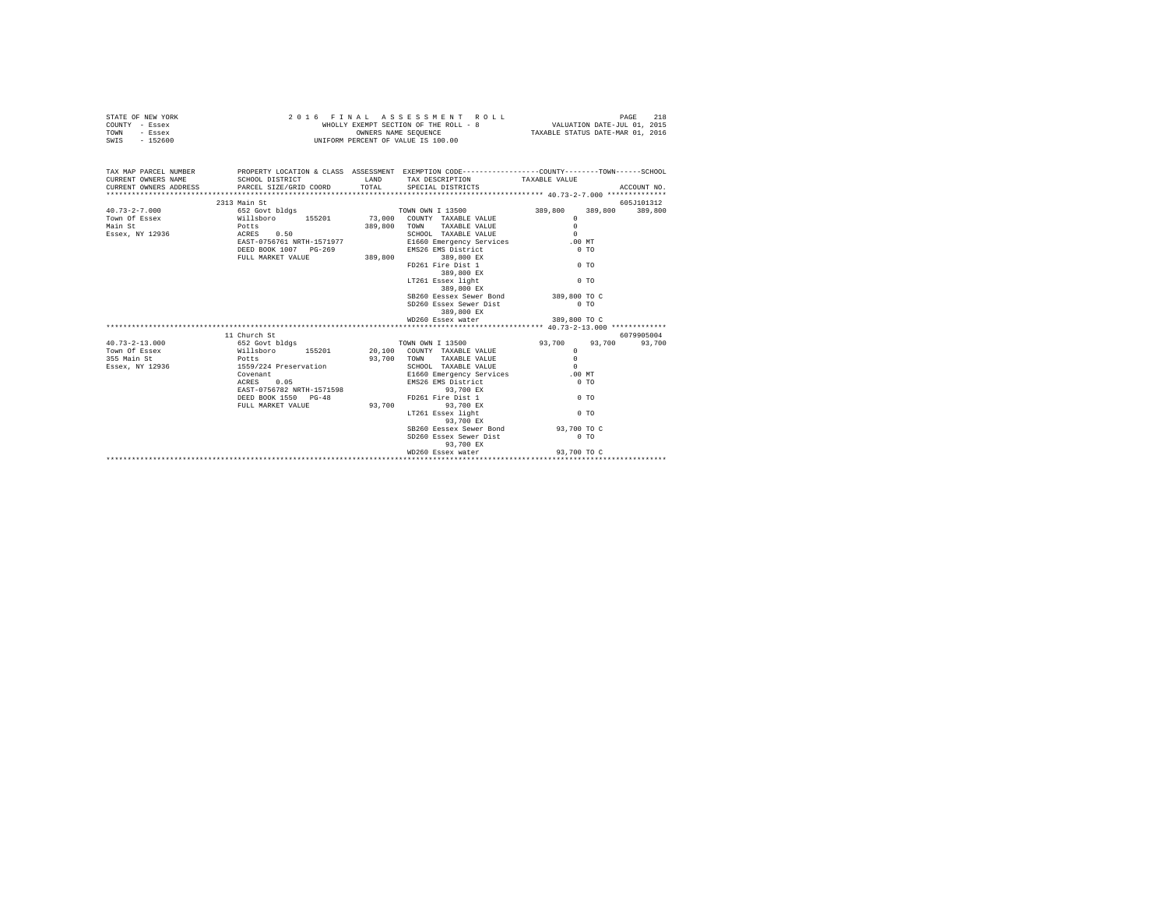| STATE OF NEW YORK                                                                                                                                                                                                                                                                                                                                                                                |                                                                                                                              | 2016 FINAL ASSESSMENT ROLL                                                                  |                                  | PAGE<br>218 |
|--------------------------------------------------------------------------------------------------------------------------------------------------------------------------------------------------------------------------------------------------------------------------------------------------------------------------------------------------------------------------------------------------|------------------------------------------------------------------------------------------------------------------------------|---------------------------------------------------------------------------------------------|----------------------------------|-------------|
| COUNTY - Essex                                                                                                                                                                                                                                                                                                                                                                                   |                                                                                                                              | WHOLLY EXEMPT SECTION OF THE ROLL - 8 VALUATION DATE-JUL 01, 2015                           |                                  |             |
| TOWN - Essex                                                                                                                                                                                                                                                                                                                                                                                     |                                                                                                                              |                                                                                             | TAXABLE STATUS DATE-MAR 01, 2016 |             |
| SWIS - 152600                                                                                                                                                                                                                                                                                                                                                                                    |                                                                                                                              | OWNERS NAME SEQUENCE<br>UNIFORM PERCENT OF VALUE IS 100.00                                  |                                  |             |
|                                                                                                                                                                                                                                                                                                                                                                                                  |                                                                                                                              |                                                                                             |                                  |             |
| TAX MAP PARCEL NUMBER PROPERTY LOCATION & CLASS ASSESSMENT EXEMPTION CODE---------------COUNTY-------TOWN------SCHOOL                                                                                                                                                                                                                                                                            |                                                                                                                              |                                                                                             |                                  |             |
| CURRENT OWNERS NAME                                                                                                                                                                                                                                                                                                                                                                              |                                                                                                                              | SCHOOL DISTRICT                    LAND       TAX DESCRIPTION                 TAXABLE VALUE |                                  |             |
| CURRENT OWNERS ADDRESS                                                                                                                                                                                                                                                                                                                                                                           |                                                                                                                              |                                                                                             |                                  |             |
|                                                                                                                                                                                                                                                                                                                                                                                                  |                                                                                                                              |                                                                                             |                                  |             |
|                                                                                                                                                                                                                                                                                                                                                                                                  | 2313 Main St                                                                                                                 |                                                                                             |                                  | 605J101312  |
| $40.73 - 2 - 7.000$                                                                                                                                                                                                                                                                                                                                                                              | در سد سد براہ ہے ۔<br>1899,800 کا 989,800 کا 989,800 کا 989,800 کا 989,800 کا 989,800 کا 989,800 کا 989,800 کا 989,800 کا 98 |                                                                                             |                                  |             |
| Town of Essex and the Millshoro 155201 73,000 COUNTY TAXABLE VALUE CONNECT AND TOWN COUNTY TAXABLE VALUE CONNE<br>Main St Millshoro 155201 901,800 TOWN TAXABLE VALUE<br>The SCHEN SCHEN SCHEN SCHEN SCHEN SCHEN SCHEN SCHEN SCHEN S                                                                                                                                                             |                                                                                                                              |                                                                                             | $\Omega$                         |             |
|                                                                                                                                                                                                                                                                                                                                                                                                  |                                                                                                                              |                                                                                             | $\Omega$                         |             |
|                                                                                                                                                                                                                                                                                                                                                                                                  |                                                                                                                              |                                                                                             | $\sim$                           |             |
|                                                                                                                                                                                                                                                                                                                                                                                                  | EAST-0756761 NRTH-1571977                                                                                                    | E1660 Emergency Services .00 MT                                                             |                                  |             |
|                                                                                                                                                                                                                                                                                                                                                                                                  |                                                                                                                              |                                                                                             | $0$ TO                           |             |
|                                                                                                                                                                                                                                                                                                                                                                                                  |                                                                                                                              | DEED BOOK 1007 PG-269 EMS26 EMS District<br>FULL MARKET VALUE 389,800 389,800 EX            |                                  |             |
|                                                                                                                                                                                                                                                                                                                                                                                                  |                                                                                                                              |                                                                                             |                                  |             |
|                                                                                                                                                                                                                                                                                                                                                                                                  |                                                                                                                              | FD261 Fire Dist 1                                                                           | $00$ TO                          |             |
|                                                                                                                                                                                                                                                                                                                                                                                                  |                                                                                                                              | 389,800 EX<br>LT261 Essex light                                                             |                                  |             |
|                                                                                                                                                                                                                                                                                                                                                                                                  |                                                                                                                              |                                                                                             | 0 <sub>T</sub>                   |             |
|                                                                                                                                                                                                                                                                                                                                                                                                  |                                                                                                                              | 389,800 EX                                                                                  |                                  |             |
|                                                                                                                                                                                                                                                                                                                                                                                                  |                                                                                                                              | SB260 Eessex Sewer Bond                                                                     | 389,800 TO C                     |             |
|                                                                                                                                                                                                                                                                                                                                                                                                  |                                                                                                                              | SD260 Essex Sewer Dist                                                                      | $0$ TO                           |             |
|                                                                                                                                                                                                                                                                                                                                                                                                  |                                                                                                                              | 389,800 EX                                                                                  |                                  |             |
|                                                                                                                                                                                                                                                                                                                                                                                                  |                                                                                                                              | WD260 Essex water                                                                           | 389,800 TO C                     |             |
|                                                                                                                                                                                                                                                                                                                                                                                                  |                                                                                                                              |                                                                                             |                                  |             |
| $\begin{tabular}{lcccc} \texttt{F*}}\texttt{F*} & \texttt{F*} & \texttt{F*} & \texttt{F*} & \texttt{F*} & \texttt{F*} \\ \texttt{40.73--2-13.000} & \texttt{652} & \texttt{652} & \texttt{652} & \texttt{652} & \texttt{700N} & \texttt{OWINY} & \texttt{TAXABLE} & \texttt{VAIUE} & \texttt{93.700} & \texttt{93.700} \\ \texttt{TwoN} & \texttt{658} & \texttt{658} & \texttt{700N} & \texttt$ |                                                                                                                              |                                                                                             |                                  | 6079905004  |
|                                                                                                                                                                                                                                                                                                                                                                                                  |                                                                                                                              |                                                                                             | $93,700$ $93,700$ $93,700$       |             |
|                                                                                                                                                                                                                                                                                                                                                                                                  |                                                                                                                              |                                                                                             |                                  |             |
|                                                                                                                                                                                                                                                                                                                                                                                                  |                                                                                                                              |                                                                                             |                                  |             |
|                                                                                                                                                                                                                                                                                                                                                                                                  |                                                                                                                              |                                                                                             |                                  |             |
|                                                                                                                                                                                                                                                                                                                                                                                                  |                                                                                                                              |                                                                                             |                                  |             |
|                                                                                                                                                                                                                                                                                                                                                                                                  | Covenant<br>ACRES 0.05                                                                                                       | EMS26 EMS District<br>93,700 EX<br>FD261 Fire Dist 1<br>93.700 EX<br>EMS26 EMS District     | $0$ TO                           |             |
|                                                                                                                                                                                                                                                                                                                                                                                                  | EAST-0756782 NRTH-1571598                                                                                                    |                                                                                             |                                  |             |
|                                                                                                                                                                                                                                                                                                                                                                                                  | DEED BOOK 1550 PG-48                                                                                                         |                                                                                             | $0$ TO                           |             |
|                                                                                                                                                                                                                                                                                                                                                                                                  |                                                                                                                              | FULL MARKET VALUE 93.700 93.700 BX                                                          |                                  |             |
|                                                                                                                                                                                                                                                                                                                                                                                                  |                                                                                                                              | LT261 Essex light                                                                           | $0$ TO                           |             |
|                                                                                                                                                                                                                                                                                                                                                                                                  |                                                                                                                              | 93,700 EX                                                                                   |                                  |             |
|                                                                                                                                                                                                                                                                                                                                                                                                  |                                                                                                                              | SB260 Eessex Sewer Bond 93,700 TO C                                                         |                                  |             |
|                                                                                                                                                                                                                                                                                                                                                                                                  |                                                                                                                              | SD260 Essex Sewer Dist                                                                      | $0$ TO                           |             |
|                                                                                                                                                                                                                                                                                                                                                                                                  |                                                                                                                              | 93,700 EX                                                                                   |                                  |             |
|                                                                                                                                                                                                                                                                                                                                                                                                  |                                                                                                                              |                                                                                             |                                  |             |
|                                                                                                                                                                                                                                                                                                                                                                                                  |                                                                                                                              |                                                                                             |                                  |             |
|                                                                                                                                                                                                                                                                                                                                                                                                  |                                                                                                                              |                                                                                             |                                  |             |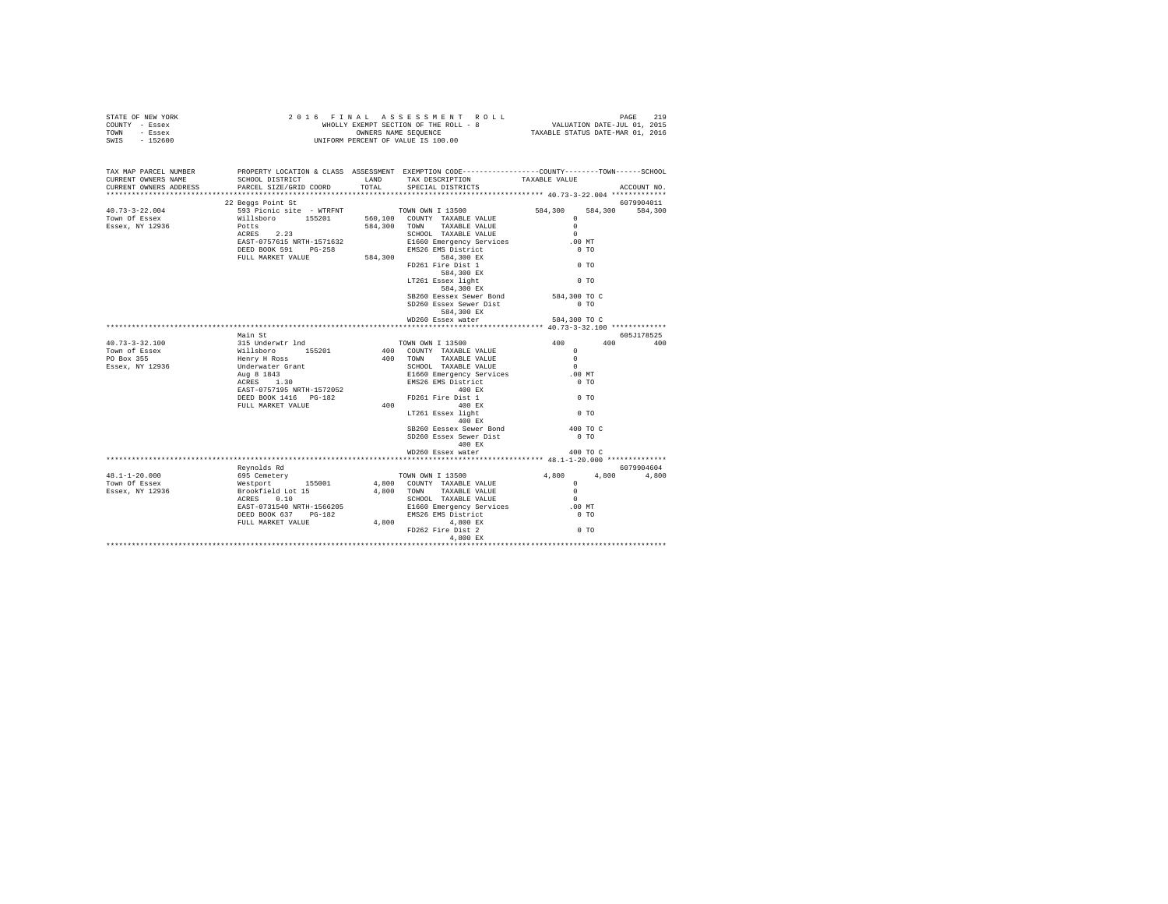| $\begin{array}{cccccccccccccccc} \texttt{STATE OF NEW VORE} & \texttt{PAGE} & \texttt{19} & \texttt{10} & \texttt{11} & \texttt{12} & \texttt{13} & \texttt{14} & \texttt{15} & \texttt{16} & \texttt{17} & \texttt{18} & \texttt{19} & \texttt{19} & \texttt{19} & \texttt{19} & \texttt{19} & \texttt{19} & \texttt{19} & \texttt{19} & \texttt{19} & \texttt{19} & \texttt{19} & \texttt{19} & \texttt{19} & \texttt{19$ |                   |                                                                                                                                                                                                                                                                                                                                                                                                             |                |             |
|-----------------------------------------------------------------------------------------------------------------------------------------------------------------------------------------------------------------------------------------------------------------------------------------------------------------------------------------------------------------------------------------------------------------------------|-------------------|-------------------------------------------------------------------------------------------------------------------------------------------------------------------------------------------------------------------------------------------------------------------------------------------------------------------------------------------------------------------------------------------------------------|----------------|-------------|
| TAX MAP PARCEL NUMBER<br>CURRENT OWNERS NAME<br>CURRENT OWNERS ADDRESS                                                                                                                                                                                                                                                                                                                                                      |                   | PROPERTY LOCATION & CLASS ASSESSMENT EXEMPTION CODE---------------COUNTY-------TOWN-----SCHOOL                                                                                                                                                                                                                                                                                                              |                | ACCOUNT NO. |
|                                                                                                                                                                                                                                                                                                                                                                                                                             |                   |                                                                                                                                                                                                                                                                                                                                                                                                             |                |             |
| $\begin{array}{cccc} \texttt{40.73--3-22.004} & \texttt{22 Beggs Point St} & \texttt{6079904011} \\ \texttt{Tom} & \texttt{593 p line} & \texttt{593 p line} \\ \texttt{Tom} & \texttt{583 p line} & \texttt{593 p line} \\ \texttt{Essex, NT 12936} & \texttt{Potts} & \texttt{23} \\ \texttt{ESsex, NT 12936} & \texttt{DCTS75151872} & \texttt{584,300} & \texttt{7000L TAXABLE VALUE} & \texttt{0} \\ \texttt{ESsex$    | 22 Beggs Point St |                                                                                                                                                                                                                                                                                                                                                                                                             |                | 6079904011  |
|                                                                                                                                                                                                                                                                                                                                                                                                                             |                   |                                                                                                                                                                                                                                                                                                                                                                                                             |                |             |
|                                                                                                                                                                                                                                                                                                                                                                                                                             |                   |                                                                                                                                                                                                                                                                                                                                                                                                             |                |             |
|                                                                                                                                                                                                                                                                                                                                                                                                                             |                   |                                                                                                                                                                                                                                                                                                                                                                                                             |                |             |
|                                                                                                                                                                                                                                                                                                                                                                                                                             |                   |                                                                                                                                                                                                                                                                                                                                                                                                             |                |             |
|                                                                                                                                                                                                                                                                                                                                                                                                                             |                   |                                                                                                                                                                                                                                                                                                                                                                                                             |                |             |
|                                                                                                                                                                                                                                                                                                                                                                                                                             |                   |                                                                                                                                                                                                                                                                                                                                                                                                             |                |             |
|                                                                                                                                                                                                                                                                                                                                                                                                                             |                   |                                                                                                                                                                                                                                                                                                                                                                                                             |                |             |
|                                                                                                                                                                                                                                                                                                                                                                                                                             |                   |                                                                                                                                                                                                                                                                                                                                                                                                             |                |             |
|                                                                                                                                                                                                                                                                                                                                                                                                                             |                   |                                                                                                                                                                                                                                                                                                                                                                                                             |                |             |
|                                                                                                                                                                                                                                                                                                                                                                                                                             |                   | SB260 Eessex Sewer Bond 584,300 TO C                                                                                                                                                                                                                                                                                                                                                                        |                |             |
|                                                                                                                                                                                                                                                                                                                                                                                                                             |                   | SD260 Essex Sewer Dist                                                                                                                                                                                                                                                                                                                                                                                      | $0$ TO         |             |
|                                                                                                                                                                                                                                                                                                                                                                                                                             |                   | 584,300 EX                                                                                                                                                                                                                                                                                                                                                                                                  |                |             |
|                                                                                                                                                                                                                                                                                                                                                                                                                             |                   | WD260 Essex water                                                                                                                                                                                                                                                                                                                                                                                           | 584,300 TO C   |             |
|                                                                                                                                                                                                                                                                                                                                                                                                                             | Main St           |                                                                                                                                                                                                                                                                                                                                                                                                             |                | 605J178525  |
|                                                                                                                                                                                                                                                                                                                                                                                                                             |                   |                                                                                                                                                                                                                                                                                                                                                                                                             |                | 400 400     |
|                                                                                                                                                                                                                                                                                                                                                                                                                             |                   |                                                                                                                                                                                                                                                                                                                                                                                                             |                |             |
|                                                                                                                                                                                                                                                                                                                                                                                                                             |                   |                                                                                                                                                                                                                                                                                                                                                                                                             |                |             |
|                                                                                                                                                                                                                                                                                                                                                                                                                             |                   |                                                                                                                                                                                                                                                                                                                                                                                                             |                |             |
|                                                                                                                                                                                                                                                                                                                                                                                                                             |                   |                                                                                                                                                                                                                                                                                                                                                                                                             |                |             |
|                                                                                                                                                                                                                                                                                                                                                                                                                             |                   |                                                                                                                                                                                                                                                                                                                                                                                                             |                |             |
|                                                                                                                                                                                                                                                                                                                                                                                                                             |                   |                                                                                                                                                                                                                                                                                                                                                                                                             |                |             |
|                                                                                                                                                                                                                                                                                                                                                                                                                             |                   |                                                                                                                                                                                                                                                                                                                                                                                                             |                |             |
|                                                                                                                                                                                                                                                                                                                                                                                                                             |                   |                                                                                                                                                                                                                                                                                                                                                                                                             |                |             |
|                                                                                                                                                                                                                                                                                                                                                                                                                             |                   |                                                                                                                                                                                                                                                                                                                                                                                                             |                |             |
|                                                                                                                                                                                                                                                                                                                                                                                                                             |                   | SB260 Eessex Sewer Bond                                                                                                                                                                                                                                                                                                                                                                                     | 400 TO C       |             |
|                                                                                                                                                                                                                                                                                                                                                                                                                             |                   | SD260 Essex Sewer Dist                                                                                                                                                                                                                                                                                                                                                                                      | 0 <sub>T</sub> |             |
|                                                                                                                                                                                                                                                                                                                                                                                                                             |                   | 400 EX<br>WD260 Essex water                                                                                                                                                                                                                                                                                                                                                                                 | 400 TO C       |             |
|                                                                                                                                                                                                                                                                                                                                                                                                                             |                   |                                                                                                                                                                                                                                                                                                                                                                                                             |                |             |
|                                                                                                                                                                                                                                                                                                                                                                                                                             |                   |                                                                                                                                                                                                                                                                                                                                                                                                             |                |             |
| $48.1 - 1 - 20.000$                                                                                                                                                                                                                                                                                                                                                                                                         |                   |                                                                                                                                                                                                                                                                                                                                                                                                             |                |             |
| Town Of Essex                                                                                                                                                                                                                                                                                                                                                                                                               |                   |                                                                                                                                                                                                                                                                                                                                                                                                             |                |             |
| Essex, NY 12936                                                                                                                                                                                                                                                                                                                                                                                                             |                   |                                                                                                                                                                                                                                                                                                                                                                                                             |                |             |
|                                                                                                                                                                                                                                                                                                                                                                                                                             |                   |                                                                                                                                                                                                                                                                                                                                                                                                             |                |             |
|                                                                                                                                                                                                                                                                                                                                                                                                                             |                   |                                                                                                                                                                                                                                                                                                                                                                                                             |                |             |
|                                                                                                                                                                                                                                                                                                                                                                                                                             |                   |                                                                                                                                                                                                                                                                                                                                                                                                             |                |             |
|                                                                                                                                                                                                                                                                                                                                                                                                                             |                   |                                                                                                                                                                                                                                                                                                                                                                                                             |                |             |
|                                                                                                                                                                                                                                                                                                                                                                                                                             |                   | ${\small \begin{tabular}{lcccc} \textbf{REy} & \textbf{0} & \textbf{0} & \textbf{0} & \textbf{0} & \textbf{0} & \textbf{0} \\ \hline 695 & \textbf{Cemetery} & 155001 & 4,800 & \textbf{COMNT} & TAKABLE VALUE & 4,800 & 4,800 & 4,800 \\ \textbf{Westport} & 155001 & 4,800 & \textbf{COMTT} & TAKABLE VALUE & 0 \\ \textbf{ErochYield LOLE} & 0 & 4,800 & \textbf{XAKBLE VALUE} & 0 \\ \textbf{RAST-0713$ |                |             |
|                                                                                                                                                                                                                                                                                                                                                                                                                             |                   |                                                                                                                                                                                                                                                                                                                                                                                                             |                |             |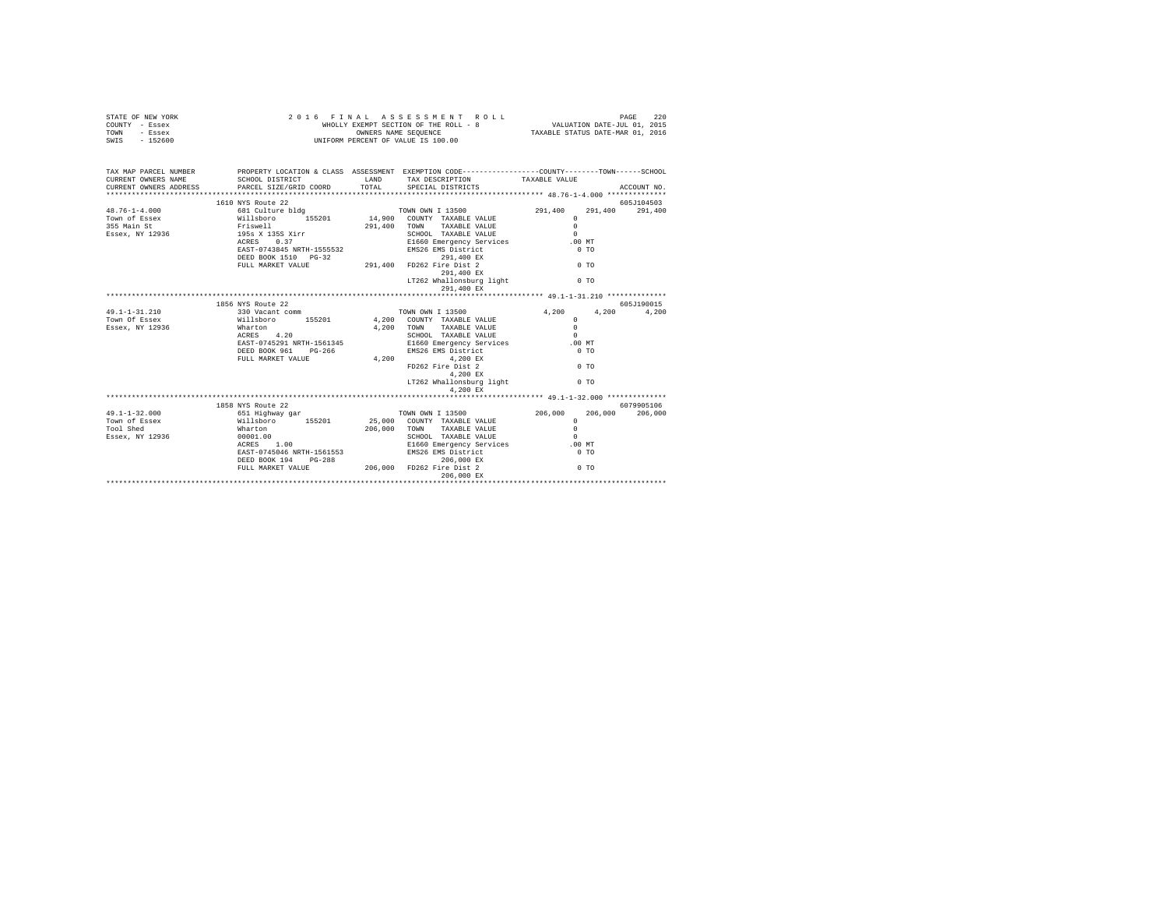| STATE OF NEW YORK<br>COUNTY - Essex<br>TOWN - Essex<br>SWIS - 152600                                                                                                                                                                                                                                                                                                                                            | 2016 FINAL ASSESSMENT RO<br>WHOLLY EXEMPT SECTION OF THE ROLL - 8<br>UNIFORM PERCENT OF VALUE IS 100.00 | FINAL ASSESSMENT ROLL MALL PAGE 220<br>WHOLLY EXEMPT SECTION OF THE ROLL - 8 VALUATION DATE-JUL 01, 2015<br>OWNERS NAME SEQUENCE TAXABLE STATUS DATE-MAR 01, 2016<br>2016 FINAL ASSESSMENT ROLL |                   |         |             |
|-----------------------------------------------------------------------------------------------------------------------------------------------------------------------------------------------------------------------------------------------------------------------------------------------------------------------------------------------------------------------------------------------------------------|---------------------------------------------------------------------------------------------------------|-------------------------------------------------------------------------------------------------------------------------------------------------------------------------------------------------|-------------------|---------|-------------|
| TAX MAP PARCEL NUMBER PROPERTY LOCATION & CLASS ASSESSMENT EXEMPTION CODE---------------COUNTY-------TOWN------SCHOOL                                                                                                                                                                                                                                                                                           |                                                                                                         |                                                                                                                                                                                                 |                   |         |             |
|                                                                                                                                                                                                                                                                                                                                                                                                                 |                                                                                                         |                                                                                                                                                                                                 |                   |         |             |
|                                                                                                                                                                                                                                                                                                                                                                                                                 |                                                                                                         |                                                                                                                                                                                                 |                   |         | ACCOUNT NO. |
|                                                                                                                                                                                                                                                                                                                                                                                                                 | 1610 NYS Route 22                                                                                       |                                                                                                                                                                                                 |                   |         | 605J104503  |
| $\begin{tabular}{l c c c c c} \multicolumn{3}{c}{\textbf{48.76--1-4.000}} & \multicolumn{3}{c}{\textbf{1610 WN}} & \multicolumn{3}{c}{\textbf{291.400}} & \multicolumn{3}{c}{\textbf{1610 WN}} & \multicolumn{3}{c}{\textbf{291.400}} & \multicolumn{3}{c}{\textbf{70WN}} & \multicolumn{3}{c}{\textbf{01 C0URTY}} & \multicolumn{3}{c}{\textbf{70W10 WI}} & \multicolumn{3}{c}{\textbf{1355 Main St}} & \mult$ |                                                                                                         |                                                                                                                                                                                                 |                   | 291,400 | 291,400     |
|                                                                                                                                                                                                                                                                                                                                                                                                                 |                                                                                                         |                                                                                                                                                                                                 |                   |         |             |
|                                                                                                                                                                                                                                                                                                                                                                                                                 |                                                                                                         |                                                                                                                                                                                                 |                   |         |             |
|                                                                                                                                                                                                                                                                                                                                                                                                                 |                                                                                                         |                                                                                                                                                                                                 |                   |         |             |
|                                                                                                                                                                                                                                                                                                                                                                                                                 |                                                                                                         |                                                                                                                                                                                                 |                   |         |             |
|                                                                                                                                                                                                                                                                                                                                                                                                                 |                                                                                                         |                                                                                                                                                                                                 |                   |         |             |
|                                                                                                                                                                                                                                                                                                                                                                                                                 |                                                                                                         |                                                                                                                                                                                                 |                   |         |             |
|                                                                                                                                                                                                                                                                                                                                                                                                                 |                                                                                                         |                                                                                                                                                                                                 |                   |         |             |
|                                                                                                                                                                                                                                                                                                                                                                                                                 |                                                                                                         | $291,400 \text{ EX}$ LT262 Whallonsburg light $0$ TO                                                                                                                                            |                   |         |             |
|                                                                                                                                                                                                                                                                                                                                                                                                                 |                                                                                                         |                                                                                                                                                                                                 |                   |         |             |
|                                                                                                                                                                                                                                                                                                                                                                                                                 |                                                                                                         | 291,400 EX                                                                                                                                                                                      |                   |         |             |
|                                                                                                                                                                                                                                                                                                                                                                                                                 | 1856 NYS Route 22                                                                                       |                                                                                                                                                                                                 |                   |         | 605J190015  |
|                                                                                                                                                                                                                                                                                                                                                                                                                 |                                                                                                         |                                                                                                                                                                                                 | 4,200 4,200 4,200 |         |             |
|                                                                                                                                                                                                                                                                                                                                                                                                                 |                                                                                                         |                                                                                                                                                                                                 |                   |         |             |
|                                                                                                                                                                                                                                                                                                                                                                                                                 |                                                                                                         |                                                                                                                                                                                                 |                   |         |             |
|                                                                                                                                                                                                                                                                                                                                                                                                                 |                                                                                                         |                                                                                                                                                                                                 |                   |         |             |
|                                                                                                                                                                                                                                                                                                                                                                                                                 |                                                                                                         |                                                                                                                                                                                                 |                   |         |             |
|                                                                                                                                                                                                                                                                                                                                                                                                                 |                                                                                                         |                                                                                                                                                                                                 |                   |         |             |
|                                                                                                                                                                                                                                                                                                                                                                                                                 |                                                                                                         |                                                                                                                                                                                                 |                   |         |             |
|                                                                                                                                                                                                                                                                                                                                                                                                                 |                                                                                                         |                                                                                                                                                                                                 |                   |         |             |
|                                                                                                                                                                                                                                                                                                                                                                                                                 |                                                                                                         |                                                                                                                                                                                                 |                   |         |             |
|                                                                                                                                                                                                                                                                                                                                                                                                                 |                                                                                                         | 4.200 EX                                                                                                                                                                                        |                   |         |             |
|                                                                                                                                                                                                                                                                                                                                                                                                                 |                                                                                                         |                                                                                                                                                                                                 |                   |         |             |
|                                                                                                                                                                                                                                                                                                                                                                                                                 | 1858 NYS Route 22                                                                                       |                                                                                                                                                                                                 |                   |         | 6079905106  |
|                                                                                                                                                                                                                                                                                                                                                                                                                 |                                                                                                         |                                                                                                                                                                                                 |                   |         |             |
|                                                                                                                                                                                                                                                                                                                                                                                                                 |                                                                                                         |                                                                                                                                                                                                 |                   |         |             |
|                                                                                                                                                                                                                                                                                                                                                                                                                 |                                                                                                         |                                                                                                                                                                                                 |                   |         |             |
|                                                                                                                                                                                                                                                                                                                                                                                                                 |                                                                                                         |                                                                                                                                                                                                 |                   |         |             |
|                                                                                                                                                                                                                                                                                                                                                                                                                 |                                                                                                         |                                                                                                                                                                                                 |                   |         |             |
|                                                                                                                                                                                                                                                                                                                                                                                                                 |                                                                                                         |                                                                                                                                                                                                 |                   |         |             |
|                                                                                                                                                                                                                                                                                                                                                                                                                 |                                                                                                         |                                                                                                                                                                                                 |                   |         |             |
|                                                                                                                                                                                                                                                                                                                                                                                                                 |                                                                                                         |                                                                                                                                                                                                 |                   |         |             |
|                                                                                                                                                                                                                                                                                                                                                                                                                 |                                                                                                         |                                                                                                                                                                                                 |                   |         |             |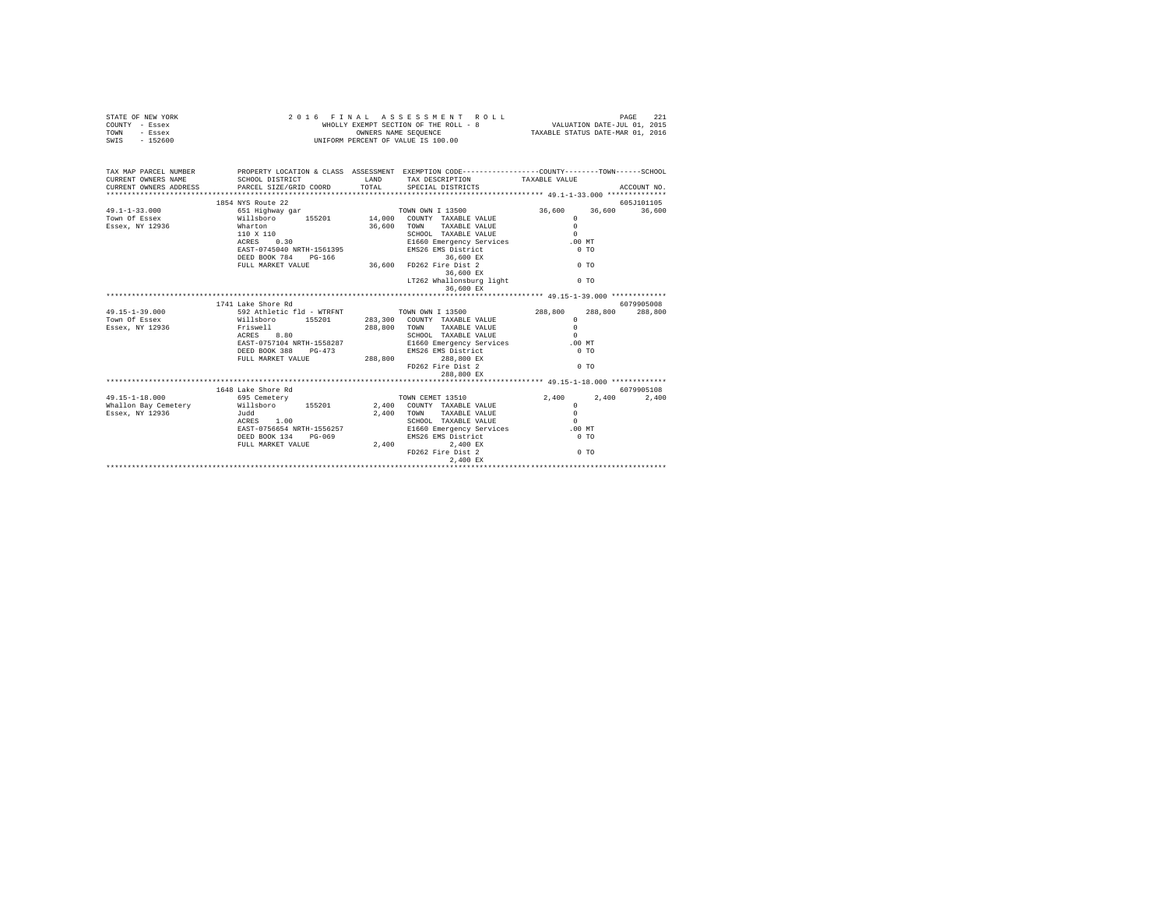| STATE OF NEW YORK<br>COUNTY - Essex<br>TOWN - Essex<br>SWIS - 152600                                                                                                                                                                                                                                                                                                                                                | WRUPPLE DUNINERS NAME SEQUENCE<br>OWNERS PERCENT OF VALUE IS 100.00                                                                                                                               |              | 2016 FINAL ASSESSMENT ROLL<br>WHOLLY EXEMPT SECTION OF THE ROLL - 8 $$\tt VALUATION\ DATE-JUL\ 01,\ 2015$<br>OWNERS NAME SEQUENCE                    | TAXABLE STATUS DATE-MAR 01, 2016 | 221<br>PAGE |
|---------------------------------------------------------------------------------------------------------------------------------------------------------------------------------------------------------------------------------------------------------------------------------------------------------------------------------------------------------------------------------------------------------------------|---------------------------------------------------------------------------------------------------------------------------------------------------------------------------------------------------|--------------|------------------------------------------------------------------------------------------------------------------------------------------------------|----------------------------------|-------------|
|                                                                                                                                                                                                                                                                                                                                                                                                                     |                                                                                                                                                                                                   |              |                                                                                                                                                      |                                  |             |
| TAX MAP PARCEL NUMBER<br>CURRENT OWNERS NAME                                                                                                                                                                                                                                                                                                                                                                        | PROPERTY LOCATION & CLASS ASSESSMENT EXEMPTION CODE----------------COUNTY-------TOWN-----SCHOOL<br>SCHOOL DISTRICT                     LAND        TAX DESCRIPTION                  TAXABLE VALUE |              |                                                                                                                                                      |                                  |             |
| CURRENT OWNERS ADDRESS PARCEL SIZE/GRID COORD                                                                                                                                                                                                                                                                                                                                                                       |                                                                                                                                                                                                   | <b>TOTAL</b> | SPECIAL DISTRICTS                                                                                                                                    |                                  | ACCOUNT NO. |
|                                                                                                                                                                                                                                                                                                                                                                                                                     | 1854 NYS Route 22                                                                                                                                                                                 |              |                                                                                                                                                      |                                  | 605J101105  |
| $\begin{array}{cccc} \texttt{49.1--1-33.000} & \texttt{651} & \texttt{Highway} & \texttt{gar} & \texttt{TOMN ONN} & \texttt{IM} & \texttt{13500} \\ \texttt{ToWm Of} & \texttt{Easex} & \texttt{Willaboro} & \texttt{155201} & \texttt{14,000} & \texttt{CONNY} & \texttt{TAKABLE VALUE} \\ \texttt{Easex, NY 12936} & \texttt{Wlathcon} & \texttt{36,600} & \texttt{TOMN} & \texttt{TAKABLE VALUF} \\ \end{array}$ |                                                                                                                                                                                                   |              |                                                                                                                                                      | 36,600 36,600                    | 36,600      |
|                                                                                                                                                                                                                                                                                                                                                                                                                     |                                                                                                                                                                                                   |              |                                                                                                                                                      | $\Omega$                         |             |
|                                                                                                                                                                                                                                                                                                                                                                                                                     |                                                                                                                                                                                                   |              | 36,600 TOWN TAXABLE VALUE                                                                                                                            | $\Omega$                         |             |
|                                                                                                                                                                                                                                                                                                                                                                                                                     |                                                                                                                                                                                                   |              | SCHOOL TAXABLE VALUE<br>E1660 Emergency Services                                                                                                     | $\Omega$                         |             |
|                                                                                                                                                                                                                                                                                                                                                                                                                     | 110 X 110<br>ACRES 0.30                                                                                                                                                                           |              |                                                                                                                                                      | .00MT                            |             |
|                                                                                                                                                                                                                                                                                                                                                                                                                     |                                                                                                                                                                                                   |              | EAST-0745040 NRTH-1561395 EMS26 EMS District                                                                                                         | $0$ TO                           |             |
|                                                                                                                                                                                                                                                                                                                                                                                                                     |                                                                                                                                                                                                   |              | $36,600$ EX                                                                                                                                          |                                  |             |
|                                                                                                                                                                                                                                                                                                                                                                                                                     | DEED BOOK 784 PG-166<br>FULL MARKET VALUE 36,600 FD262 Fire Dist 2                                                                                                                                |              |                                                                                                                                                      | 0.70                             |             |
|                                                                                                                                                                                                                                                                                                                                                                                                                     |                                                                                                                                                                                                   |              | 36,600 EX                                                                                                                                            |                                  |             |
|                                                                                                                                                                                                                                                                                                                                                                                                                     |                                                                                                                                                                                                   |              | LT262 Whallonsburg light 0 TO<br>36,600 EX                                                                                                           |                                  |             |
|                                                                                                                                                                                                                                                                                                                                                                                                                     |                                                                                                                                                                                                   |              |                                                                                                                                                      |                                  |             |
|                                                                                                                                                                                                                                                                                                                                                                                                                     | 1741 Lake Shore Rd                                                                                                                                                                                |              |                                                                                                                                                      |                                  | 6079905008  |
| 49.15-1-39.000                                                                                                                                                                                                                                                                                                                                                                                                      | 592 Athletic fld - WTRFNT TOWN OWN I 13500                                                                                                                                                        |              |                                                                                                                                                      | 288,800<br>288,800               | 288,800     |
| Town Of Essex                                                                                                                                                                                                                                                                                                                                                                                                       | Willsboro 155201 283,300 COUNTY TAXABLE VALUE<br>Friswell 288,800 TOWN TAXABLE VALUE                                                                                                              |              |                                                                                                                                                      | $\Omega$                         |             |
| Essex, NY 12936                                                                                                                                                                                                                                                                                                                                                                                                     |                                                                                                                                                                                                   |              |                                                                                                                                                      | $\Omega$                         |             |
|                                                                                                                                                                                                                                                                                                                                                                                                                     |                                                                                                                                                                                                   |              |                                                                                                                                                      | $\Omega$                         |             |
|                                                                                                                                                                                                                                                                                                                                                                                                                     |                                                                                                                                                                                                   |              |                                                                                                                                                      | $.00$ MT                         |             |
|                                                                                                                                                                                                                                                                                                                                                                                                                     |                                                                                                                                                                                                   |              |                                                                                                                                                      | 0.70                             |             |
|                                                                                                                                                                                                                                                                                                                                                                                                                     | ALASS 8.80<br>EAST-0757104 NRTH-1558287<br>SCHOOL TAXABLE VALUE<br>DEED BOOK 388 PG-473<br>PULL MARKET VALUE<br>PULL MARKET VALUE<br>288,800 288,800 EX                                           |              |                                                                                                                                                      | 0.70                             |             |
|                                                                                                                                                                                                                                                                                                                                                                                                                     |                                                                                                                                                                                                   |              | 288,800 EX                                                                                                                                           |                                  |             |
|                                                                                                                                                                                                                                                                                                                                                                                                                     |                                                                                                                                                                                                   |              |                                                                                                                                                      |                                  |             |
|                                                                                                                                                                                                                                                                                                                                                                                                                     | 1648 Lake Shore Rd                                                                                                                                                                                |              |                                                                                                                                                      |                                  | 6079905108  |
| $49.15 - 1 - 18.000$                                                                                                                                                                                                                                                                                                                                                                                                | 695 Cemetery                                                                                                                                                                                      |              | TOWN CEMET 13510                                                                                                                                     | 2,400 2,400                      | 2,400       |
| Whallon Bay Cemetery                                                                                                                                                                                                                                                                                                                                                                                                | Willsboro 155201 2,400 COUNTY TAXABLE VALUE                                                                                                                                                       |              |                                                                                                                                                      | $\Omega$                         |             |
| Essex, NY 12936                                                                                                                                                                                                                                                                                                                                                                                                     | Judd                                                                                                                                                                                              |              | 2.400 TOWN<br>TAXABLE VALUE                                                                                                                          | $\Omega$                         |             |
|                                                                                                                                                                                                                                                                                                                                                                                                                     | $ACRES$ $1.00$                                                                                                                                                                                    |              | SCHOOL TAXABLE VALUE                                                                                                                                 | $\sim$                           |             |
|                                                                                                                                                                                                                                                                                                                                                                                                                     |                                                                                                                                                                                                   |              |                                                                                                                                                      | .00MT                            |             |
|                                                                                                                                                                                                                                                                                                                                                                                                                     |                                                                                                                                                                                                   |              | سمجھنے سمجھنے سے 1956/1978 کے مسجد اللہ کا 1978 کے 1989 کا 1982<br>DEED BOOK 134 PG-069 BMS26 EMS District<br>FULL MARKET VALUE 2,400 2,400 2,400 BX | 0.70                             |             |
|                                                                                                                                                                                                                                                                                                                                                                                                                     |                                                                                                                                                                                                   |              |                                                                                                                                                      |                                  |             |
|                                                                                                                                                                                                                                                                                                                                                                                                                     |                                                                                                                                                                                                   |              |                                                                                                                                                      | 0.70                             |             |
|                                                                                                                                                                                                                                                                                                                                                                                                                     |                                                                                                                                                                                                   |              | 2,400 EX                                                                                                                                             |                                  |             |
|                                                                                                                                                                                                                                                                                                                                                                                                                     |                                                                                                                                                                                                   |              |                                                                                                                                                      |                                  |             |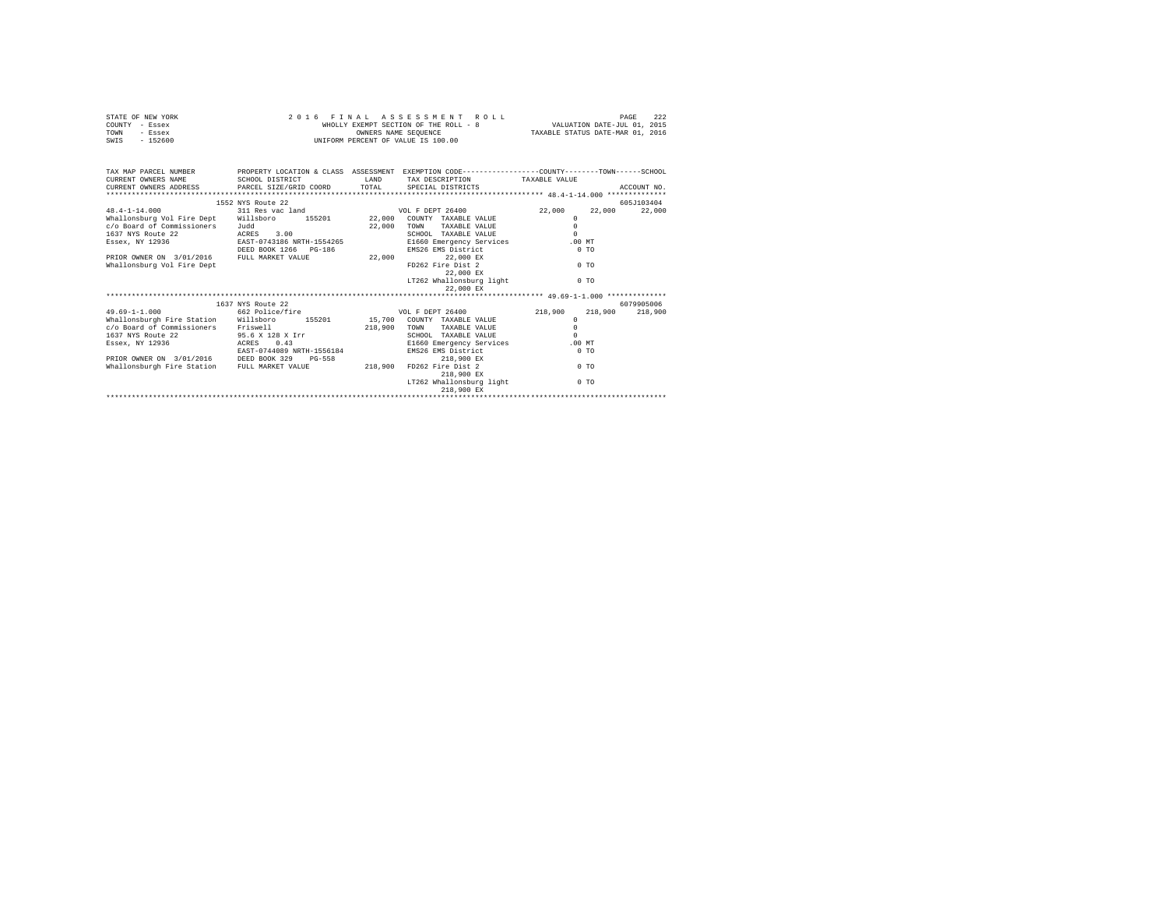|      | STATE OF NEW YORK | 2016 FINAL ASSESSMENT ROLL            | 222<br>PAGE                      |
|------|-------------------|---------------------------------------|----------------------------------|
|      | COUNTY - Essex    | WHOLLY EXEMPT SECTION OF THE ROLL - 8 | VALUATION DATE-JUL 01, 2015      |
| TOWN | - Essex           | OWNERS NAME SEOUENCE                  | TAXABLE STATUS DATE-MAR 01, 2016 |
| SWIS | - 152600          | UNIFORM PERCENT OF VALUE IS 100.00    |                                  |

| TAX MAP PARCEL NUMBER PROPERTY LOCATION & CLASS ASSESSMENT EXEMPTION CODE--------------COUNTY-------TOWN------SCHOOL<br>CURRENT OWNERS NAME SCHOOL DISTRICT                                                                                                                                                                                                                                                                                                                    |                                   | <b>LAND</b> | TAX DESCRIPTION TAXABLE VALUE |                    |                  |
|--------------------------------------------------------------------------------------------------------------------------------------------------------------------------------------------------------------------------------------------------------------------------------------------------------------------------------------------------------------------------------------------------------------------------------------------------------------------------------|-----------------------------------|-------------|-------------------------------|--------------------|------------------|
|                                                                                                                                                                                                                                                                                                                                                                                                                                                                                |                                   |             |                               |                    |                  |
| $\texttt{CURRE}\xspace \texttt{DRESE} \xspace \texttt{DDESE} \xspace \texttt{DREE} \xspace \texttt{DRESE} \xspace \texttt{DCE} \xspace \texttt{DCE} \xspace \texttt{DCE} \xspace \texttt{DCE} \xspace \texttt{DCE} \xspace \texttt{DCE} \xspace \texttt{DCE} \xspace \texttt{DCE} \xspace \texttt{DCE} \xspace \texttt{DCE} \xspace \texttt{DCE} \xspace \texttt{DCE} \xspace \texttt{DCE} \xspace \texttt{DCE} \xspace \texttt{DCE} \xspace \texttt{DCE} \xspace \texttt{DCE$ |                                   |             |                               |                    |                  |
|                                                                                                                                                                                                                                                                                                                                                                                                                                                                                | 1552 NYS Route 22                 |             |                               |                    | 605J103404       |
| $48.4 - 1 - 14.000$                                                                                                                                                                                                                                                                                                                                                                                                                                                            | 311 Res vac land COL F DEPT 26400 |             |                               | 22,000             | 22,000<br>22,000 |
| Whallonsburg Vol Fire Dept Willsboro                                                                                                                                                                                                                                                                                                                                                                                                                                           | 155201 22.000                     |             | COUNTY TAXABLE VALUE          | $\Omega$           |                  |
| c/o Board of Commissioners                                                                                                                                                                                                                                                                                                                                                                                                                                                     | Judd                              | 22,000      | TAXABLE VALUE<br>TOWN         | $\circ$            |                  |
| 1637 NYS Route 22                                                                                                                                                                                                                                                                                                                                                                                                                                                              | ACRES 3.00                        |             | SCHOOL TAXABLE VALUE          | $\Omega$           |                  |
| Essex, NY 12936                                                                                                                                                                                                                                                                                                                                                                                                                                                                | EAST-0743186 NRTH-1554265         |             | E1660 Emergency Services      | $.00$ MT           |                  |
|                                                                                                                                                                                                                                                                                                                                                                                                                                                                                | DEED BOOK 1266 PG-186             |             | EMS26 EMS District            | $0$ TO             |                  |
| PRIOR OWNER ON 3/01/2016 FULL MARKET VALUE                                                                                                                                                                                                                                                                                                                                                                                                                                     |                                   | 22,000      | 22,000 EX                     |                    |                  |
| Whallonsburg Vol Fire Dept                                                                                                                                                                                                                                                                                                                                                                                                                                                     |                                   |             | FD262 Fire Dist 2             | $0$ TO             |                  |
|                                                                                                                                                                                                                                                                                                                                                                                                                                                                                |                                   |             | 22,000 EX                     |                    |                  |
|                                                                                                                                                                                                                                                                                                                                                                                                                                                                                |                                   |             | LT262 Whallonsburg light      | 0.70               |                  |
|                                                                                                                                                                                                                                                                                                                                                                                                                                                                                |                                   |             | 22,000 EX                     |                    |                  |
|                                                                                                                                                                                                                                                                                                                                                                                                                                                                                |                                   |             |                               |                    |                  |
|                                                                                                                                                                                                                                                                                                                                                                                                                                                                                | 1637 NYS Route 22                 |             |                               |                    | 6079905006       |
| $49.69 - 1 - 1.000$                                                                                                                                                                                                                                                                                                                                                                                                                                                            | 662 Police/fire                   |             | VOL F DEPT 26400              | 218,900<br>218,900 | 218,900          |
| Whallonsburgh Fire Station Willsboro 155201 15,700 COUNTY TAXABLE VALUE                                                                                                                                                                                                                                                                                                                                                                                                        |                                   |             |                               | $\Omega$           |                  |
| c/o Board of Commissioners Friswell                                                                                                                                                                                                                                                                                                                                                                                                                                            |                                   | 218,900     | TOWN<br>TAXABLE VALUE         | $\Omega$           |                  |
| 1637 NYS Route 22 95.6 X 128 X Irr                                                                                                                                                                                                                                                                                                                                                                                                                                             |                                   |             | SCHOOL TAXABLE VALUE          | $\Omega$           |                  |
| Essex, NY 12936                                                                                                                                                                                                                                                                                                                                                                                                                                                                | ACRES 0.43                        |             | E1660 Emergency Services      | $.00$ MT           |                  |
|                                                                                                                                                                                                                                                                                                                                                                                                                                                                                | EAST-0744089 NRTH-1556184         |             | EMS26 EMS District            | 0.70               |                  |
| PRIOR OWNER ON 3/01/2016 DEED BOOK 329                                                                                                                                                                                                                                                                                                                                                                                                                                         | $PG-558$                          |             | 218,900 EX                    |                    |                  |
| Whallonsburgh Fire Station FULL MARKET VALUE                                                                                                                                                                                                                                                                                                                                                                                                                                   |                                   | 218,900     | FD262 Fire Dist 2             | 0 <sub>0</sub>     |                  |
|                                                                                                                                                                                                                                                                                                                                                                                                                                                                                |                                   |             | 218,900 EX                    |                    |                  |
|                                                                                                                                                                                                                                                                                                                                                                                                                                                                                |                                   |             | LT262 Whallonsburg light      | 0.70               |                  |
|                                                                                                                                                                                                                                                                                                                                                                                                                                                                                |                                   |             | 218,900 EX                    |                    |                  |
|                                                                                                                                                                                                                                                                                                                                                                                                                                                                                |                                   |             |                               |                    |                  |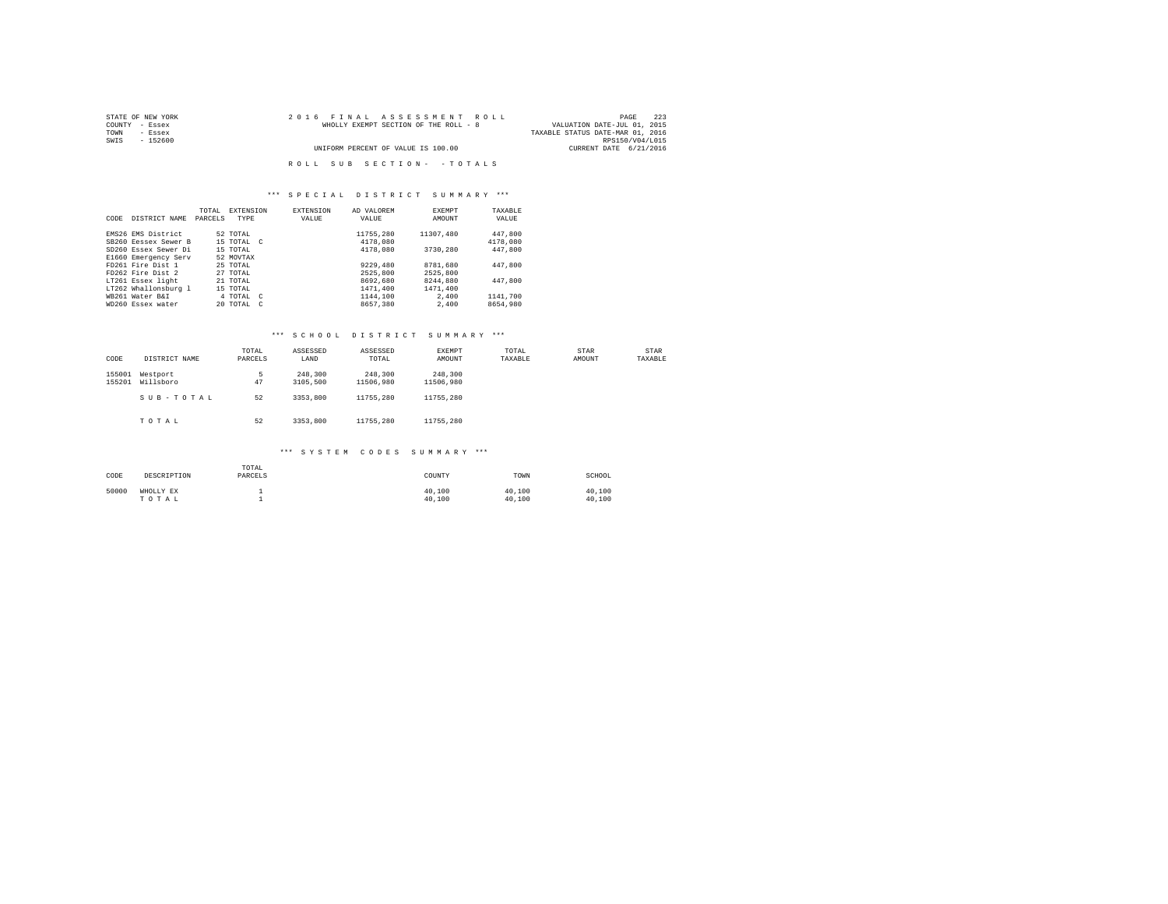| STATE OF NEW YORK | 2016 FINAL ASSESSMENT ROLL            | 223<br>PAGE                      |
|-------------------|---------------------------------------|----------------------------------|
| COUNTY - Essex    | WHOLLY EXEMPT SECTION OF THE ROLL - 8 | VALUATION DATE-JUL 01, 2015      |
| TOWN<br>- Essex   |                                       | TAXABLE STATUS DATE-MAR 01, 2016 |
| SWIS<br>- 152600  |                                       | RPS150/V04/L015                  |
|                   | UNIFORM PERCENT OF VALUE IS 100.00    | CURRENT DATE 6/21/2016           |
|                   |                                       |                                  |
|                   | ROLL SUB SECTION- - TOTALS            |                                  |

#### \*\*\* S P E C I A L D I S T R I C T S U M M A R Y \*\*\*

|      |                      | TOTAL   | EXTENSION       | <b>EXTENSION</b> | AD VALOREM | EXEMPT    | TAXABLE  |  |
|------|----------------------|---------|-----------------|------------------|------------|-----------|----------|--|
| CODE | DISTRICT NAME        | PARCELS | TYPE            | VALUE            | VALUE      | AMOUNT    | VALUE    |  |
|      | EMS26 EMS District   |         | 52 TOTAL        |                  | 11755,280  | 11307.480 | 447.800  |  |
|      | SB260 Eessex Sewer B |         | 15 TOTAL C      |                  | 4178,080   |           | 4178,080 |  |
|      | SD260 Essex Sewer Di |         | 15 TOTAL        |                  | 4178,080   | 3730.280  | 447,800  |  |
|      | E1660 Emergency Serv |         | 52 MOVTAX       |                  |            |           |          |  |
|      | FD261 Fire Dist 1    |         | 25 TOTAL        |                  | 9229,480   | 8781,680  | 447,800  |  |
|      | FD262 Fire Dist 2    |         | 27 TOTAL        |                  | 2525,800   | 2525,800  |          |  |
|      | LT261 Essex light    |         | 21 TOTAL        |                  | 8692,680   | 8244,880  | 447,800  |  |
|      | LT262 Whallonsburg 1 |         | 15 TOTAL        |                  | 1471,400   | 1471,400  |          |  |
|      | WR261 Water R&T      |         | 4 TOTAL C       |                  | 1144,100   | 2,400     | 1141,700 |  |
|      | WD260 Essex water    |         | 20 TOTAL<br>- C |                  | 8657,380   | 2,400     | 8654,980 |  |

#### \*\*\* S C H O O L D I S T R I C T S U M M A R Y \*\*\*

| CODE             | DISTRICT NAME         | TOTAL<br>PARCELS | ASSESSED<br>LAND    | ASSESSED<br>TOTAL    | <b>EXEMPT</b><br>AMOUNT | TOTAL<br>TAXABLE | STAR<br>AMOUNT | STAR<br>TAXABLE |
|------------------|-----------------------|------------------|---------------------|----------------------|-------------------------|------------------|----------------|-----------------|
| 155001<br>155201 | Westport<br>Willsboro | 5<br>47          | 248,300<br>3105,500 | 248,300<br>11506,980 | 248,300<br>11506.980    |                  |                |                 |
|                  | SUB-TOTAL             | 52               | 3353,800            | 11755.280            | 11755.280               |                  |                |                 |
|                  | TOTAL                 | 52               | 3353,800            | 11755.280            | 11755.280               |                  |                |                 |

| CODE  | DESCRIPTION        | TOTAL<br>PARCELS | COUNTY           | TOWN             | SCHOOL           |
|-------|--------------------|------------------|------------------|------------------|------------------|
| 50000 | WHOLLY EX<br>TOTAL |                  | 40,100<br>40.100 | 40.100<br>40.100 | 40.100<br>40.100 |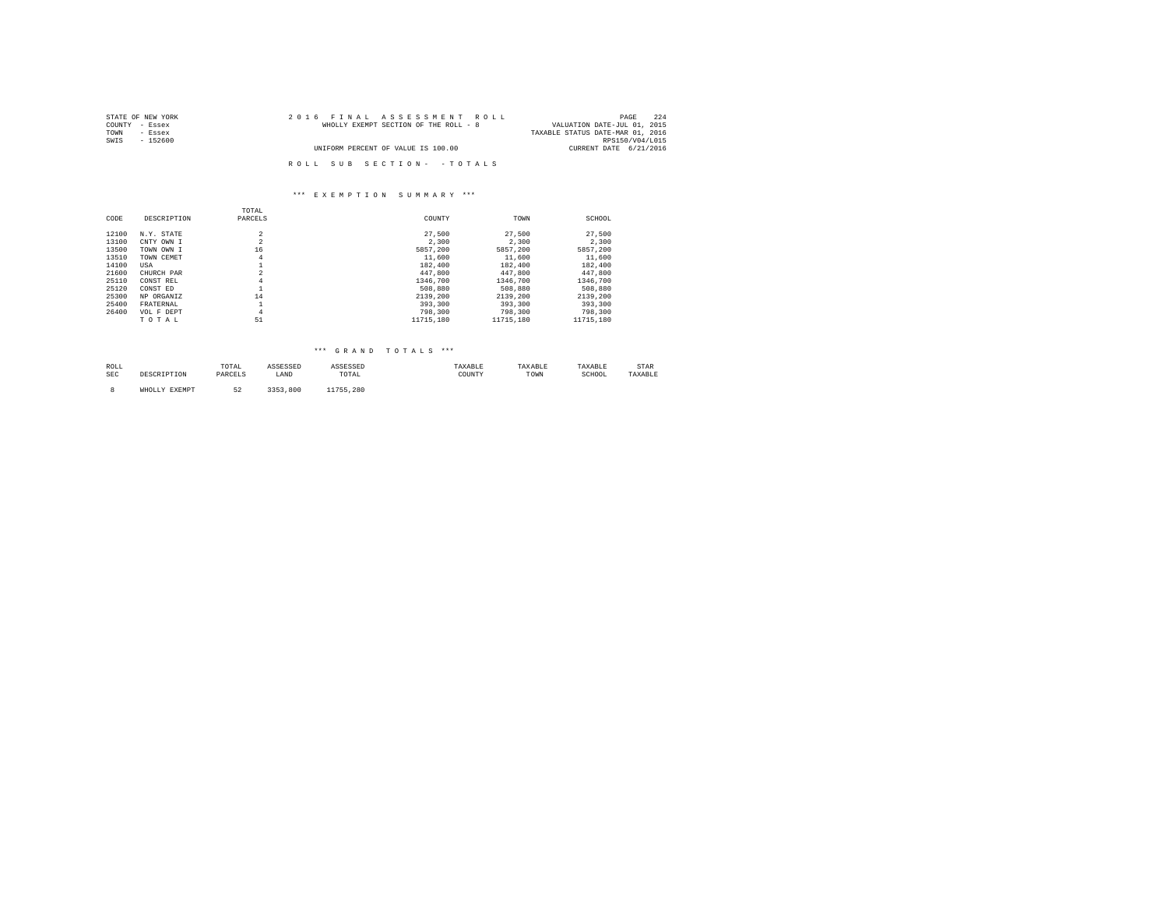| STATE OF NEW YORK | 2016 FINAL ASSESSMENT ROLL            | 224<br>PAGE                      |
|-------------------|---------------------------------------|----------------------------------|
| COUNTY - Essex    | WHOLLY EXEMPT SECTION OF THE ROLL - 8 | VALUATION DATE-JUL 01, 2015      |
| TOWN<br>- Essex   |                                       | TAXABLE STATUS DATE-MAR 01, 2016 |
| SWIS<br>$-152600$ |                                       | RPS150/V04/L015                  |
|                   | UNIFORM PERCENT OF VALUE IS 100.00    | CURRENT DATE 6/21/2016           |
|                   |                                       |                                  |
|                   | ROLL SUB SECTION- - TOTALS            |                                  |

|       |             | TOTAL             |           |           |           |
|-------|-------------|-------------------|-----------|-----------|-----------|
| CODE  | DESCRIPTION | PARCELS           | COUNTY    | TOWN      | SCHOOL    |
| 12100 | N.Y. STATE  | $\overline{2}$    | 27,500    | 27,500    | 27,500    |
| 13100 | CNTY OWN I  | $\overline{a}$    | 2,300     | 2,300     | 2,300     |
| 13500 | TOWN OWN I  | 16                | 5857.200  | 5857.200  | 5857.200  |
| 13510 | TOWN CEMET  | $\overline{4}$    | 11,600    | 11,600    | 11,600    |
| 14100 | USA         | ÷.                | 182,400   | 182,400   | 182,400   |
| 21600 | CHURCH PAR  | $\overline{a}$    | 447,800   | 447.800   | 447.800   |
| 25110 | CONST REL   | $\overline{4}$    | 1346,700  | 1346,700  | 1346,700  |
| 25120 | CONST ED    |                   | 508,880   | 508,880   | 508,880   |
| 25300 | NP ORGANIZ  | 14                | 2139,200  | 2139,200  | 2139.200  |
| 25400 | FRATERNAL   | $\mathbf{a}$<br>Ŧ | 393,300   | 393,300   | 393,300   |
| 26400 | VOL F DEPT  | $\overline{4}$    | 798,300   | 798,300   | 798,300   |
|       | TOTAL       | 51                | 11715,180 | 11715,180 | 11715,180 |

# \*\*\* G R A N D T O T A L S \*\*\*

| ROLL<br>the contract of the contract of the |      | UIAL    | .    | ,,,,,,,,,,,,                                             | AXABLI      | <b>SAAADLE</b> | .<br>IAAADLE | ----<br>STAR |
|---------------------------------------------|------|---------|------|----------------------------------------------------------|-------------|----------------|--------------|--------------|
| SEC                                         | ---- | ------- | LAND | TOTAL<br>the contract of the contract of the contract of | COUNTY<br>. | 'I OWN         | SCHOOL<br>.  |              |
|                                             |      |         |      |                                                          |             |                |              |              |

8 WHOLLY EXEMPT 52 3353,800 11755,280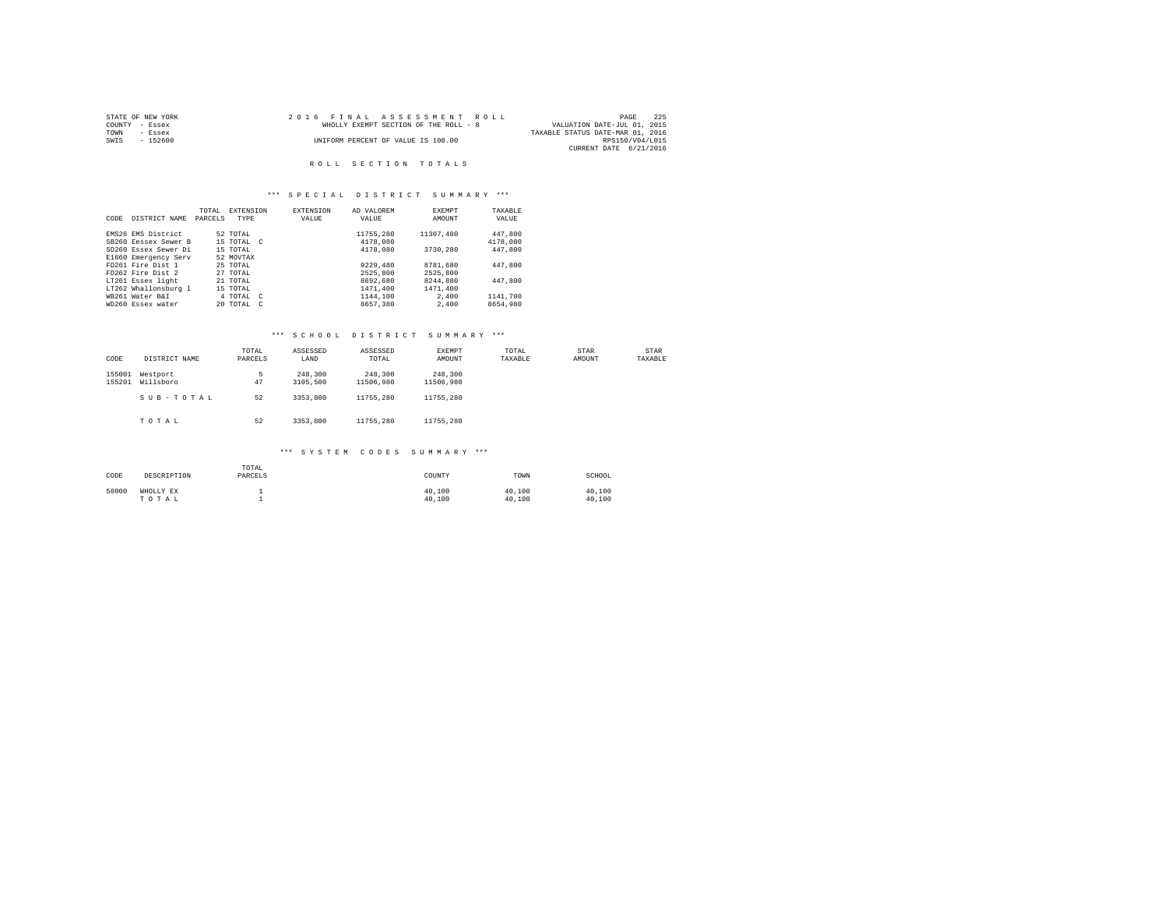| STATE OF NEW YORK | 2016 FINAL ASSESSMENT ROLL            | 225<br>PAGE                      |
|-------------------|---------------------------------------|----------------------------------|
| COUNTY - Essex    | WHOLLY EXEMPT SECTION OF THE ROLL - 8 | VALUATION DATE-JUL 01, 2015      |
| TOWN<br>- Essex   |                                       | TAXABLE STATUS DATE-MAR 01, 2016 |
| SWIS<br>- 152600  | UNIFORM PERCENT OF VALUE IS 100.00    | RPS150/V04/L015                  |
|                   |                                       | CURRENT DATE 6/21/2016           |

#### ROLL SECTION TOTALS

#### \*\*\* S P E C I A L D I S T R I C T S U M M A R Y \*\*\*

|      |                      | TOTAL   | EXTENSION  | <b>EXTENSION</b> | AD VALOREM | <b>EXEMPT</b> | TAXARLE  |  |
|------|----------------------|---------|------------|------------------|------------|---------------|----------|--|
| CODE | DISTRICT NAME        | PARCELS | TYPE       | VALUE            | VALUE      | AMOUNT        | VALUE    |  |
|      |                      |         |            |                  |            |               |          |  |
|      | EMS26 EMS District   |         | 52 TOTAL   |                  | 11755,280  | 11307,480     | 447,800  |  |
|      | SB260 Eessex Sewer B |         | 15 TOTAL C |                  | 4178,080   |               | 4178,080 |  |
|      | SD260 Essex Sewer Di |         | 15 TOTAL   |                  | 4178,080   | 3730,280      | 447.800  |  |
|      | E1660 Emergency Serv |         | 52 MOVTAX  |                  |            |               |          |  |
|      | FD261 Fire Dist 1    |         | 25 TOTAL   |                  | 9229,480   | 8781,680      | 447.800  |  |
|      | FD262 Fire Dist 2    |         | 27 TOTAL   |                  | 2525,800   | 2525,800      |          |  |
|      | LT261 Essex light    |         | 21 TOTAL   |                  | 8692,680   | 8244,880      | 447.800  |  |
|      | LT262 Whallonsburg 1 |         | 15 TOTAL   |                  | 1471,400   | 1471,400      |          |  |
|      | WR261 Water R&T      |         | 4 TOTAL C  |                  | 1144,100   | 2,400         | 1141,700 |  |
|      | WD260 Essex water    |         | 20 TOTAL   | $\epsilon$       | 8657.380   | 2,400         | 8654,980 |  |
|      |                      |         |            |                  |            |               |          |  |

#### \*\*\* S C H O O L D I S T R I C T S U M M A R Y \*\*\*

| CODE             | DISTRICT NAME         | TOTAL<br>PARCELS | ASSESSED<br>LAND    | ASSESSED<br>TOTAL    | EXEMPT<br>AMOUNT     | TOTAL<br>TAXABLE | STAR<br>AMOUNT | STAR<br>TAXABLE |
|------------------|-----------------------|------------------|---------------------|----------------------|----------------------|------------------|----------------|-----------------|
| 155001<br>155201 | Westport<br>Willsboro | 5<br>47          | 248,300<br>3105,500 | 248,300<br>11506,980 | 248,300<br>11506.980 |                  |                |                 |
|                  | SUB-TOTAL             | 52               | 3353,800            | 11755,280            | 11755.280            |                  |                |                 |
|                  | TOTAL                 | 52               | 3353,800            | 11755.280            | 11755.280            |                  |                |                 |

| CODE  | DESCRIPTION        | TOTAL<br>PARCELS | COUNTY           | TOWN             | SCHOOL           |
|-------|--------------------|------------------|------------------|------------------|------------------|
| 50000 | WHOLLY EX<br>TOTAL |                  | 40,100<br>40.100 | 40.100<br>40.100 | 40.100<br>40.100 |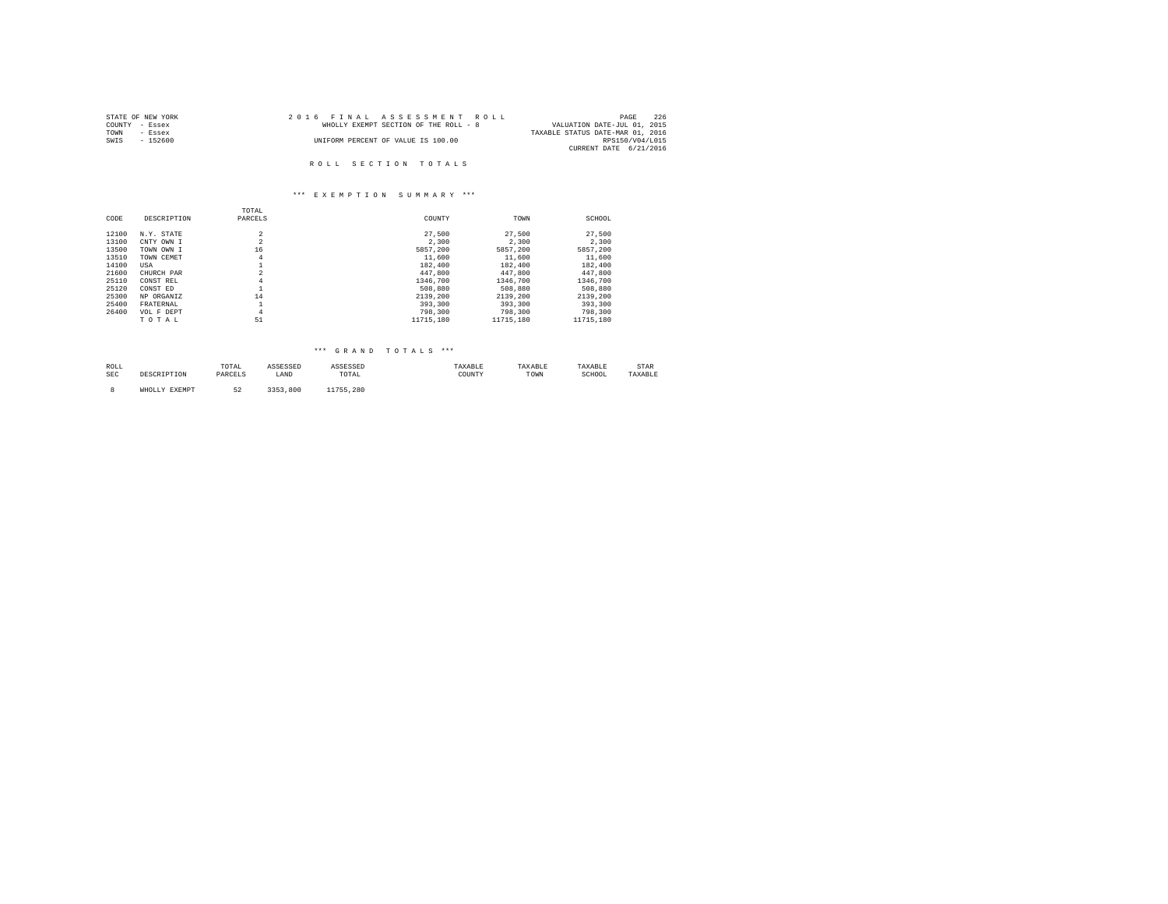| STATE OF NEW YORK | 2016 FINAL ASSESSMENT ROLL            | 226<br>PAGE                      |
|-------------------|---------------------------------------|----------------------------------|
| COUNTY - Essex    | WHOLLY EXEMPT SECTION OF THE ROLL - 8 | VALUATION DATE-JUL 01, 2015      |
| TOWN<br>- Essex   |                                       | TAXABLE STATUS DATE-MAR 01, 2016 |
| SWTS<br>- 152600  | UNIFORM PERCENT OF VALUE IS 100.00    | RPS150/V04/L015                  |
|                   |                                       | CURRENT DATE 6/21/2016           |
|                   |                                       |                                  |
|                   | ROLL SECTION TOTALS                   |                                  |

|       |             | TOTAL          |           |           |           |
|-------|-------------|----------------|-----------|-----------|-----------|
| CODE  | DESCRIPTION | PARCELS        | COUNTY    | TOWN      | SCHOOL    |
| 12100 | N.Y. STATE  | $\overline{a}$ | 27,500    | 27,500    | 27.500    |
| 13100 | CNTY OWN I  | $\overline{2}$ | 2,300     | 2,300     | 2,300     |
| 13500 | TOWN OWN I  | 16             | 5857.200  | 5857.200  | 5857.200  |
| 13510 | TOWN CEMET  | 4              | 11,600    | 11,600    | 11,600    |
| 14100 | USA         |                | 182,400   | 182,400   | 182,400   |
| 21600 | CHURCH PAR  | $\overline{2}$ | 447,800   | 447.800   | 447.800   |
| 25110 | CONST REL   | 4              | 1346,700  | 1346,700  | 1346,700  |
| 25120 | CONST ED    | ÷              | 508,880   | 508,880   | 508,880   |
| 25300 | NP ORGANIZ  | 14             | 2139,200  | 2139,200  | 2139.200  |
| 25400 | FRATERNAL   | $\mathbf{a}$   | 393,300   | 393,300   | 393,300   |
| 26400 | VOL F DEPT  | $\overline{4}$ | 798,300   | 798,300   | 798,300   |
|       | TOTAL       | 51             | 11715,180 | 11715.180 | 11715,180 |

## \*\*\* G R A N D T O T A L S \*\*\*

| ROLL |      | TOTAL<br>the contract of the contract of the contract of | .               | .                                                        | .<br>AAADII | .<br>. | VADT *<br>IAAADLE | STAR |
|------|------|----------------------------------------------------------|-----------------|----------------------------------------------------------|-------------|--------|-------------------|------|
| SEC  | ---- | ---------                                                | <b>BATT</b><br> | TOTAL<br>the contract of the contract of the contract of | COUNT)<br>. | TOWN   | SCHOOL<br>.       | .    |
|      |      |                                                          |                 |                                                          |             |        |                   |      |

8 WHOLLY EXEMPT 52 3353,800 11755,280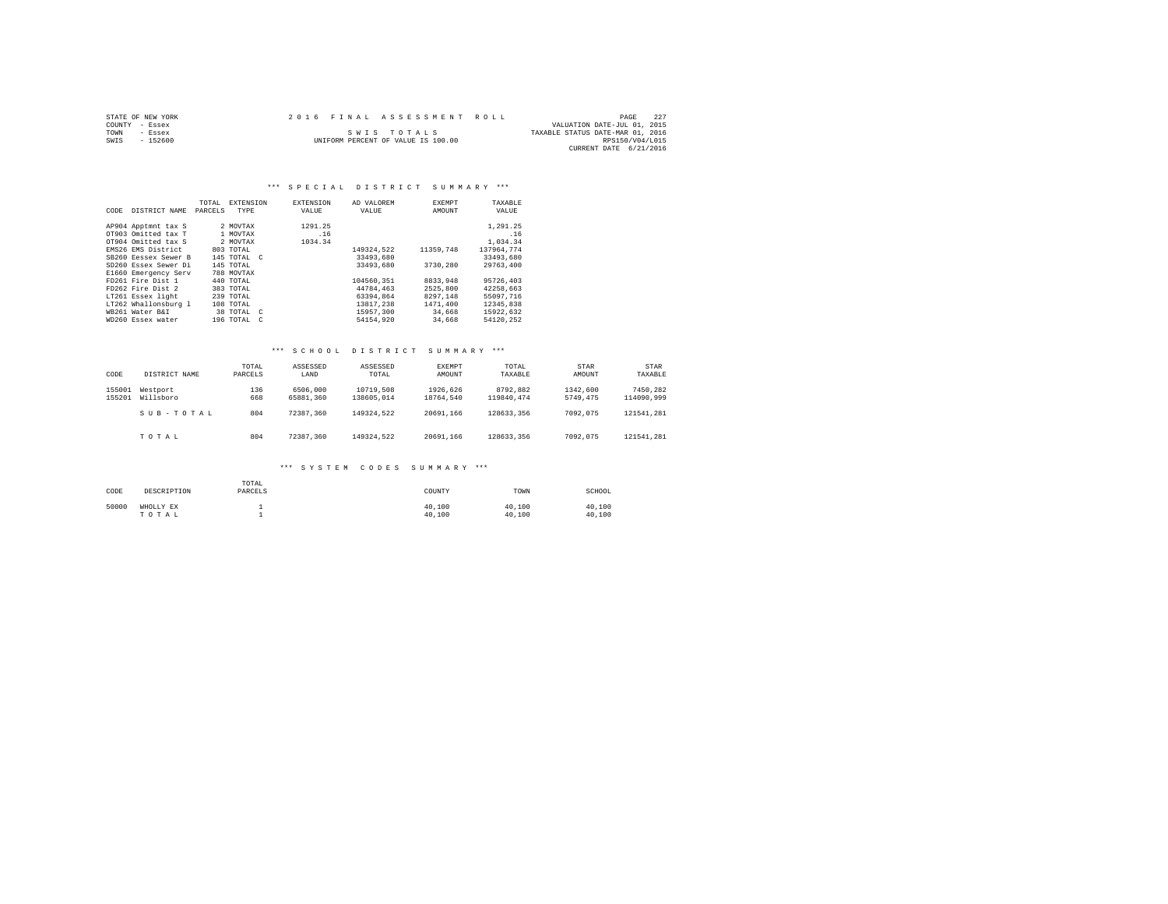|      | STATE OF NEW YORK | 2016 FINAL ASSESSMENT ROLL |                                    |                                  | PAGE            | - 227 |
|------|-------------------|----------------------------|------------------------------------|----------------------------------|-----------------|-------|
|      | COUNTY - Essex    |                            |                                    | VALUATION DATE-JUL 01, 2015      |                 |       |
| TOWN | - Essex           |                            | SWIS TOTALS                        | TAXABLE STATUS DATE-MAR 01, 2016 |                 |       |
| SWIS | $-152600$         |                            | UNIFORM PERCENT OF VALUE IS 100.00 |                                  | RPS150/V04/L015 |       |
|      |                   |                            |                                    | CURRENT DATE 6/21/2016           |                 |       |

#### \*\*\* SPECIAL DISTRICT SUMMARY \*\*\*

| CODE | DISTRICT NAME        | TOTAL<br>PARCELS | <b>EXTENSION</b><br>TYPE | <b>EXTENSION</b><br>VALUE | AD VALOREM<br>VALUE | EXEMPT<br>AMOUNT | TAXABLE<br>VALUE |
|------|----------------------|------------------|--------------------------|---------------------------|---------------------|------------------|------------------|
|      | AP904 Apptmnt tax S  |                  | 2 MOVTAX                 | 1291.25                   |                     |                  | 1,291.25         |
|      | OT903 Omitted tax T  |                  | 1 MOVTAX                 | .16                       |                     |                  | .16              |
|      | OT904 Omitted tax S  |                  | 2 MOVTAX                 | 1034.34                   |                     |                  | 1,034.34         |
|      | EMS26 EMS District   |                  | 803 TOTAL                |                           | 149324.522          | 11359.748        | 137964.774       |
|      | SB260 Ressex Sewer B |                  | 145 TOTAL C              |                           | 33493,680           |                  | 33493.680        |
|      | SD260 Essex Sewer Di |                  | 145 TOTAL                |                           | 33493.680           | 3730.280         | 29763,400        |
|      | E1660 Emergency Serv |                  | 788 MOVTAX               |                           |                     |                  |                  |
|      | FD261 Fire Dist 1    |                  | 440 TOTAL                |                           | 104560.351          | 8833,948         | 95726.403        |
|      | FD262 Fire Dist 2    |                  | 383 TOTAL                |                           | 44784,463           | 2525,800         | 42258.663        |
|      | LT261 Essex light    |                  | $239$ TOTAL              |                           | 63394.864           | 8297.148         | 55097.716        |
|      | LT262 Whallonsburg 1 |                  | 108 TOTAL                |                           | 13817.238           | 1471,400         | 12345.838        |
|      | WB261 Water B&I      |                  | 38 TOTAL<br>$\mathbb{C}$ |                           | 15957.300           | 34,668           | 15922.632        |
|      | WD260 Essex water    |                  | 196 TOTAL<br>$\epsilon$  |                           | 54154,920           | 34,668           | 54120.252        |

#### \*\*\* S C H O O L D I S T R I C T S U M M A R Y \*\*\*

| CODE             | DISTRICT NAME         | TOTAL<br>PARCELS | ASSESSED<br>LAND      | ASSESSED<br>TOTAL       | EXEMPT<br>AMOUNT      | TOTAL<br>TAXABLE       | <b>STAR</b><br>AMOUNT | <b>STAR</b><br>TAXABLE |
|------------------|-----------------------|------------------|-----------------------|-------------------------|-----------------------|------------------------|-----------------------|------------------------|
| 155001<br>155201 | Westport<br>Willsboro | 136<br>668       | 6506,000<br>65881,360 | 10719,508<br>138605,014 | 1926.626<br>18764.540 | 8792.882<br>119840.474 | 1342.600<br>5749.475  | 7450.282<br>114090.999 |
|                  | SUB-TOTAL             | 804              | 72387.360             | 149324.522              | 20691.166             | 128633.356             | 7092.075              | 121541.281             |
|                  | TOTAL                 | 804              | 72387.360             | 149324.522              | 20691.166             | 128633.356             | 7092.075              | 121541.281             |

| CODE  | DESCRIPTION        | TOTAL<br>PARCELS | COUNTY           | TOWN             | SCHOOL           |
|-------|--------------------|------------------|------------------|------------------|------------------|
| 50000 | WHOLLY EX<br>TOTAL |                  | 40.100<br>40.100 | 40.100<br>40,100 | 40.100<br>40.100 |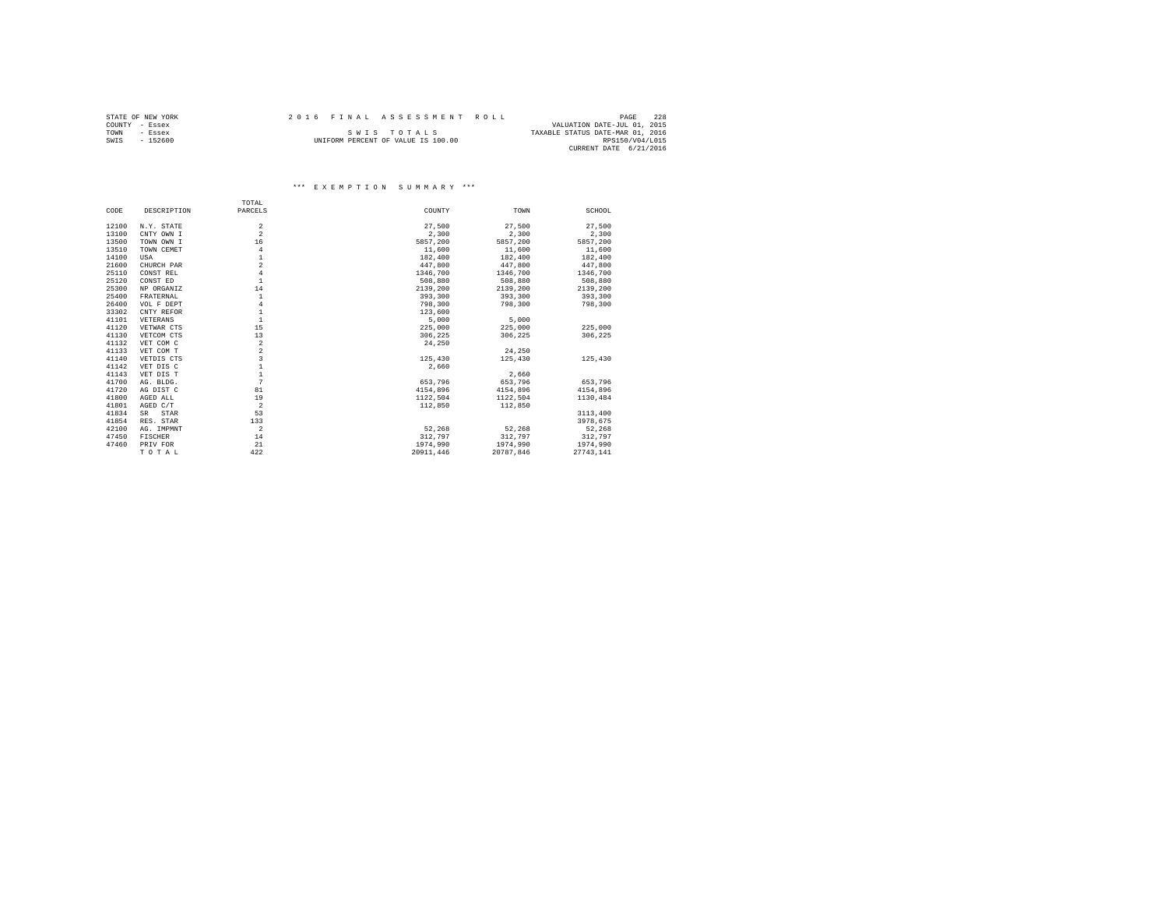|      | STATE OF NEW YORK | 2016 FINAL ASSESSMENT ROLL |                                    |                                  | PAGE            | 2.2.8 |
|------|-------------------|----------------------------|------------------------------------|----------------------------------|-----------------|-------|
|      | COUNTY - Essex    |                            |                                    | VALUATION DATE-JUL 01, 2015      |                 |       |
| TOWN | $-$ Essex         |                            | SWIS TOTALS                        | TAXABLE STATUS DATE-MAR 01, 2016 |                 |       |
| SWIS | $-152600$         |                            | UNIFORM PERCENT OF VALUE IS 100.00 |                                  | RPS150/V04/L015 |       |
|      |                   |                            |                                    | CURRENT DATE 6/21/2016           |                 |       |

|       |                     | TOTAL                   |           |           |           |
|-------|---------------------|-------------------------|-----------|-----------|-----------|
| CODE  | DESCRIPTION         | PARCELS                 | COUNTY    | TOWN      | SCHOOL    |
| 12100 | N.Y. STATE          | $\overline{a}$          | 27,500    | 27,500    | 27,500    |
| 13100 | CNTY OWN I          | $\overline{a}$          | 2,300     | 2,300     | 2,300     |
| 13500 | TOWN OWN I          | 16                      | 5857.200  | 5857.200  | 5857.200  |
| 13510 |                     | $\overline{4}$          | 11,600    | 11,600    | 11,600    |
|       | TOWN CEMET          | $\mathbf{1}$            |           |           |           |
| 14100 | USA                 |                         | 182,400   | 182,400   | 182,400   |
| 21600 | CHURCH PAR          | $\overline{a}$          | 447.800   | 447.800   | 447.800   |
| 25110 | CONST REL           | $\overline{4}$          | 1346,700  | 1346,700  | 1346,700  |
| 25120 | CONST ED            | $\mathbf{1}$            | 508,880   | 508,880   | 508,880   |
| 25300 | NP ORGANIZ          | 14                      | 2139,200  | 2139,200  | 2139.200  |
| 25400 | FRATERNAL           | $\mathbf{1}$            | 393,300   | 393,300   | 393,300   |
| 26400 | VOL F DEPT          | $\overline{4}$          | 798,300   | 798,300   | 798,300   |
| 33302 | CNTY REFOR          | $\mathbf{1}$            | 123,600   |           |           |
| 41101 | VETERANS            | $\mathbf{1}$            | 5,000     | 5,000     |           |
| 41120 | VETWAR CTS          | 15                      | 225,000   | 225,000   | 225,000   |
| 41130 | VETCOM CTS          | 13                      | 306.225   | 306.225   | 306,225   |
| 41132 | VET COM C           | $\,2\,$                 | 24,250    |           |           |
| 41133 | VET COM T           | $\overline{a}$          |           | 24,250    |           |
| 41140 | VETDIS CTS          | $\overline{\mathbf{3}}$ | 125,430   | 125,430   | 125,430   |
| 41142 | VET DIS C           | $\mathbf{1}$            | 2.660     |           |           |
| 41143 | VET DIS T           | 1                       |           | 2.660     |           |
| 41700 | AG. BLDG.           | 7                       | 653.796   | 653,796   | 653,796   |
| 41720 | AG DIST C           | 81                      | 4154.896  | 4154.896  | 4154.896  |
| 41800 | AGED ALL            | 19                      | 1122.504  | 1122.504  | 1130.484  |
| 41801 | AGED C/T            | $\overline{a}$          | 112,850   | 112,850   |           |
| 41834 | $_{\rm SR}$<br>STAR | 53                      |           |           | 3113,400  |
| 41854 | RES. STAR           | 133                     |           |           | 3978.675  |
| 42100 | AG. IMPMNT          | $\overline{2}$          | 52,268    | 52.268    | 52,268    |
| 47450 | FISCHER             | 14                      | 312,797   | 312,797   | 312,797   |
| 47460 | PRIV FOR            | 21                      | 1974,990  | 1974,990  | 1974,990  |
|       | TOTAL               | 422                     | 20911.446 | 20787.846 | 27743.141 |
|       |                     |                         |           |           |           |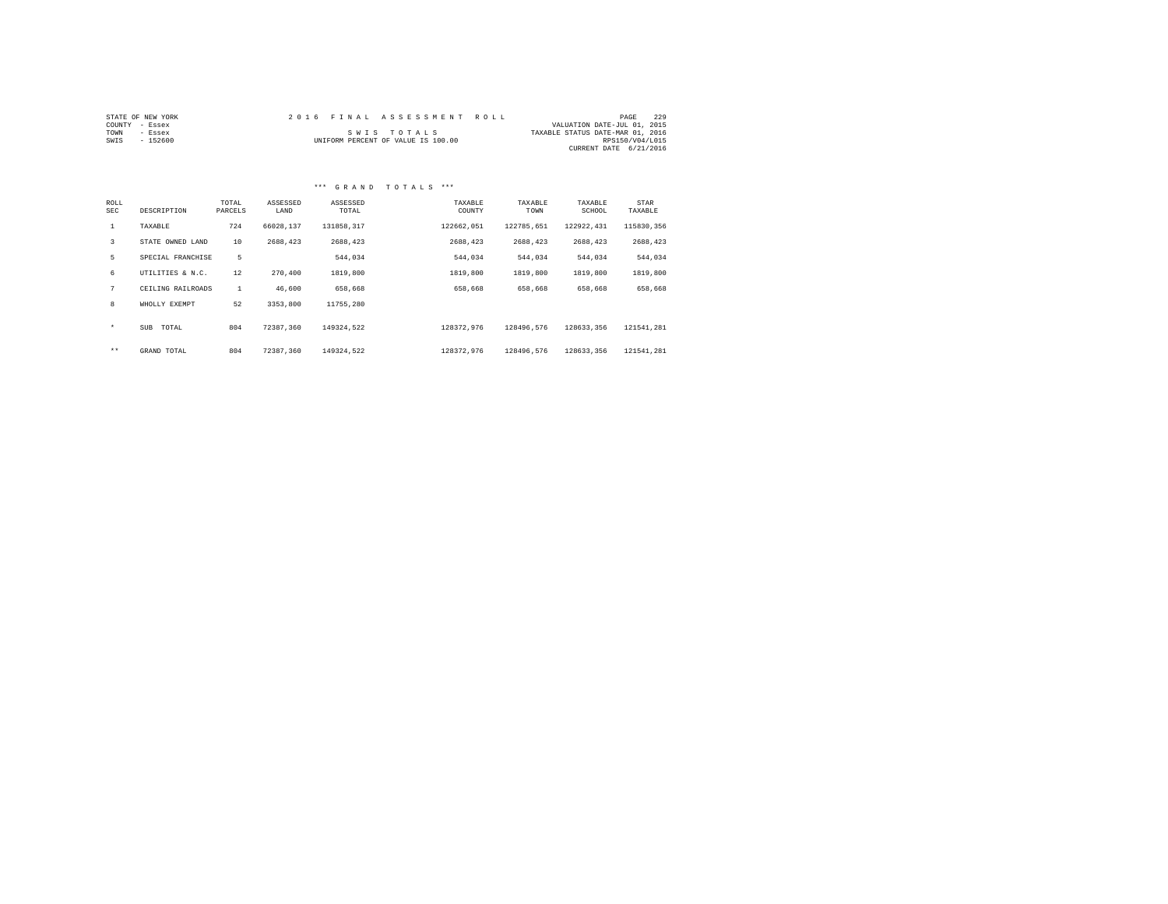|                | STATE OF NEW YORK |  | 2016 FINAL ASSESSMENT ROLL         |                                  | PAGE            | 229 |
|----------------|-------------------|--|------------------------------------|----------------------------------|-----------------|-----|
| COUNTY - Essex |                   |  |                                    | VALUATION DATE-JUL 01, 2015      |                 |     |
| TOWN           | - Essex           |  | SWIS TOTALS                        | TAXABLE STATUS DATE-MAR 01, 2016 |                 |     |
| SWIS           | - 152600          |  | UNIFORM PERCENT OF VALUE IS 100.00 |                                  | RPS150/V04/L015 |     |
|                |                   |  |                                    | CURRENT DATE 6/21/2016           |                 |     |

#### \*\*\* G R A N D T O T A L S \*\*\*

| ROLL<br>SEC  | DESCRIPTION         | TOTAL<br>PARCELS | ASSESSED<br>LAND | ASSESSED<br>TOTAL | TAXABLE<br>COUNTY | TAXABLE<br>TOWN | TAXABLE<br>SCHOOL | STAR<br>TAXABLE |
|--------------|---------------------|------------------|------------------|-------------------|-------------------|-----------------|-------------------|-----------------|
| $\mathbf{1}$ | TAXABLE             | 724              | 66028.137        | 131858.317        | 122662.051        | 122785,651      | 122922.431        | 115830.356      |
| 3            | STATE OWNED LAND    | 10               | 2688.423         | 2688.423          | 2688,423          | 2688.423        | 2688.423          | 2688,423        |
| 5            | SPECIAL FRANCHISE   | 5                |                  | 544,034           | 544,034           | 544.034         | 544.034           | 544.034         |
| 6            | UTILITIES & N.C.    | 12               | 270,400          | 1819,800          | 1819,800          | 1819,800        | 1819,800          | 1819,800        |
| 7            | CEILING RAILROADS   |                  | 46,600           | 658,668           | 658,668           | 658.668         | 658,668           | 658,668         |
| 8            | WHOLLY EXEMPT       | 52               | 3353,800         | 11755.280         |                   |                 |                   |                 |
| $\star$      | <b>SUB</b><br>TOTAL | 804              | 72387.360        | 149324.522        | 128372.976        | 128496.576      | 128633.356        | 121541.281      |
| $***$        | GRAND TOTAL         | 804              | 72387.360        | 149324.522        | 128372.976        | 128496.576      | 128633.356        | 121541.281      |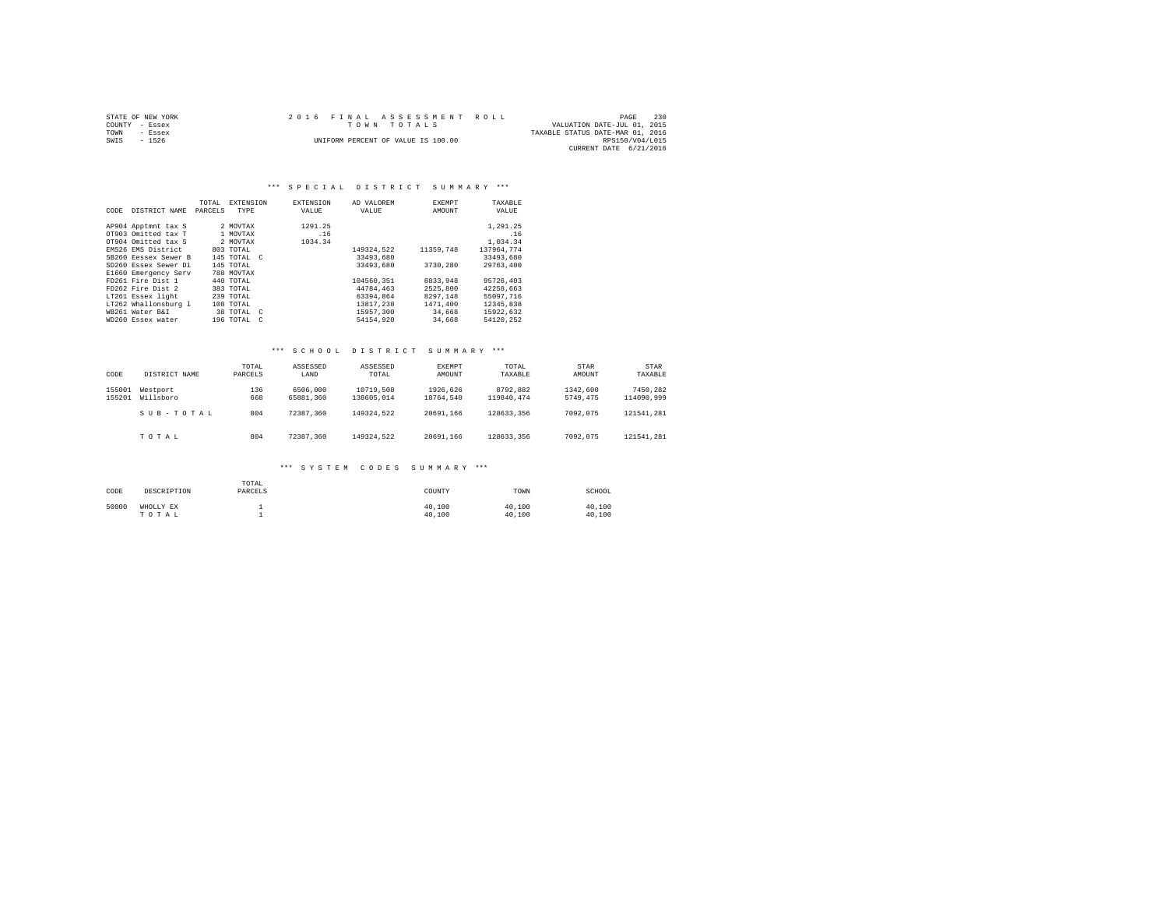| STATE OF NEW YORK | 2016 FINAL ASSESSMENT ROLL         | -230<br>PAGE                     |
|-------------------|------------------------------------|----------------------------------|
| COUNTY - Essex    | TOWN TOTALS                        | VALUATION DATE-JUL 01, 2015      |
| TOWN<br>- Essex   |                                    | TAXABLE STATUS DATE-MAR 01, 2016 |
| SWIS<br>$-1526$   | UNIFORM PERCENT OF VALUE IS 100.00 | RPS150/V04/L015                  |
|                   |                                    | CURRENT DATE 6/21/2016           |

#### \*\*\* SPECIAL DISTRICT SUMMARY \*\*\*

| CODE | DISTRICT NAME        | TOTAL<br>PARCELS | <b>EXTENSION</b><br>TYPE | <b>EXTENSION</b><br>VALUE | AD VALOREM<br>VALUE | <b>EXEMPT</b><br>AMOUNT | TAXABLE<br>VALUE |
|------|----------------------|------------------|--------------------------|---------------------------|---------------------|-------------------------|------------------|
|      | AP904 Apptmnt tax S  |                  | 2 MOVTAX                 | 1291.25                   |                     |                         | 1,291.25         |
|      | OT903 Omitted tax T  |                  | 1 MOVTAX                 | .16                       |                     |                         | .16              |
|      | OT904 Omitted tax S  |                  | 2 MOVTAX                 | 1034.34                   |                     |                         | 1,034.34         |
|      | EMS26 EMS District   |                  | 803 TOTAL                |                           | 149324.522          | 11359,748               | 137964.774       |
|      | SB260 Ressex Sewer B |                  | 145 TOTAL C              |                           | 33493,680           |                         | 33493.680        |
|      | SD260 Essex Sewer Di |                  | 145 TOTAL                |                           | 33493.680           | 3730.280                | 29763.400        |
|      | E1660 Emergency Serv |                  | 788 MOVTAX               |                           |                     |                         |                  |
|      | FD261 Fire Dist 1    |                  | 440 TOTAL                |                           | 104560.351          | 8833,948                | 95726,403        |
|      | FD262 Fire Dist 2    |                  | 383 TOTAL                |                           | 44784,463           | 2525,800                | 42258.663        |
|      | LT261 Essex light    |                  | 239 TOTAL                |                           | 63394.864           | 8297.148                | 55097.716        |
|      | LT262 Whallonsburg 1 |                  | 108 TOTAL                |                           | 13817.238           | 1471,400                | 12345.838        |
|      | WB261 Water B&I      |                  | 38 TOTAL C               |                           | 15957.300           | 34,668                  | 15922.632        |
|      | WD260 Essex water    |                  | 196 TOTAL<br>$\epsilon$  |                           | 54154.920           | 34,668                  | 54120.252        |

#### \*\*\* S C H O O L D I S T R I C T S U M M A R Y \*\*\*

| CODE             | DISTRICT NAME         | TOTAL<br>PARCELS | ASSESSED<br>LAND      | ASSESSED<br>TOTAL       | EXEMPT<br>AMOUNT      | TOTAL<br>TAXABLE       | <b>STAR</b><br>AMOUNT | <b>STAR</b><br>TAXABLE |
|------------------|-----------------------|------------------|-----------------------|-------------------------|-----------------------|------------------------|-----------------------|------------------------|
| 155001<br>155201 | Westport<br>Willsboro | 136<br>668       | 6506,000<br>65881,360 | 10719,508<br>138605,014 | 1926.626<br>18764.540 | 8792.882<br>119840.474 | 1342.600<br>5749.475  | 7450.282<br>114090.999 |
|                  | SUB-TOTAL             | 804              | 72387.360             | 149324.522              | 20691.166             | 128633.356             | 7092.075              | 121541.281             |
|                  | TOTAL                 | 804              | 72387.360             | 149324.522              | 20691.166             | 128633.356             | 7092.075              | 121541.281             |

| CODE  | DESCRIPTION        | TOTAL<br>PARCELS | COUNTY           | TOWN             | SCHOOL           |
|-------|--------------------|------------------|------------------|------------------|------------------|
| 50000 | WHOLLY EX<br>TOTAL |                  | 40.100<br>40.100 | 40.100<br>40,100 | 40.100<br>40.100 |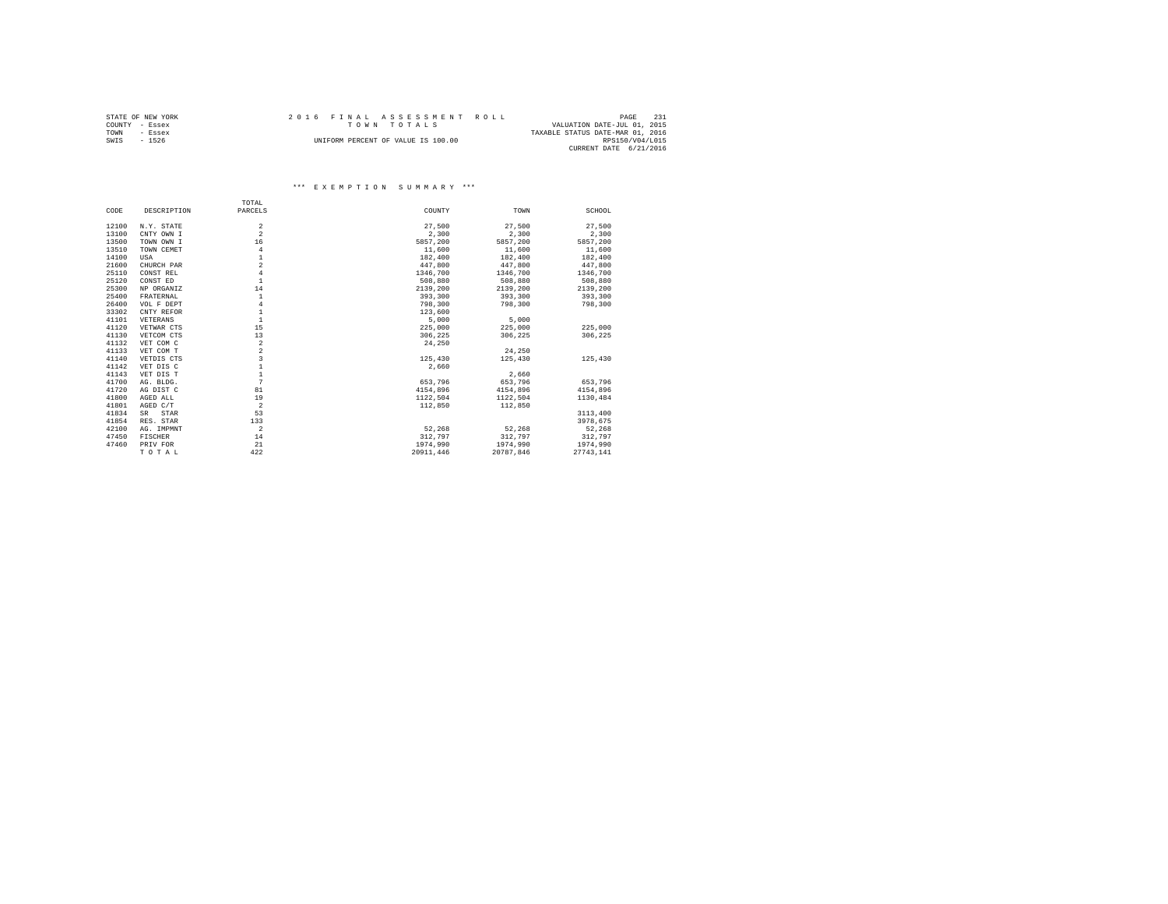|                | STATE OF NEW YORK |  |  |  |                                    |  |  |  | 2016 FINAL ASSESSMENT ROLL |  |                                  |                 | PAGE | 231 |
|----------------|-------------------|--|--|--|------------------------------------|--|--|--|----------------------------|--|----------------------------------|-----------------|------|-----|
| COUNTY - Essex |                   |  |  |  | TOWN TOTALS                        |  |  |  |                            |  | VALUATION DATE-JUL 01, 2015      |                 |      |     |
| TOWN           | - Essex           |  |  |  |                                    |  |  |  |                            |  | TAXABLE STATUS DATE-MAR 01, 2016 |                 |      |     |
| SWIS           | $-1526$           |  |  |  | UNIFORM PERCENT OF VALUE IS 100.00 |  |  |  |                            |  |                                  | RPS150/V04/L015 |      |     |
|                |                   |  |  |  |                                    |  |  |  |                            |  | CURRENT DATE 6/21/2016           |                 |      |     |

|       |             | TOTAL          |           |           |           |
|-------|-------------|----------------|-----------|-----------|-----------|
| CODE  | DESCRIPTION | PARCELS        | COUNTY    | TOWN      | SCHOOL    |
| 12100 | N.Y. STATE  | $\overline{a}$ | 27,500    | 27,500    | 27.500    |
| 13100 | CNTY OWN I  | $\overline{a}$ | 2.300     | 2,300     | 2,300     |
| 13500 | TOWN OWN I  | 16             | 5857.200  | 5857,200  | 5857,200  |
| 13510 | TOWN CEMET  | $\overline{4}$ | 11,600    | 11,600    | 11,600    |
| 14100 |             | $\mathbf{1}$   | 182,400   | 182,400   | 182,400   |
|       | USA         | $\overline{a}$ |           |           |           |
| 21600 | CHURCH PAR  |                | 447.800   | 447.800   | 447.800   |
| 25110 | CONST REL   | $\overline{4}$ | 1346,700  | 1346,700  | 1346,700  |
| 25120 | CONST ED    | $\mathbf{1}$   | 508,880   | 508,880   | 508,880   |
| 25300 | NP ORGANIZ  | 14             | 2139,200  | 2139,200  | 2139,200  |
| 25400 | FRATERNAL   | $\mathbf{1}$   | 393,300   | 393,300   | 393,300   |
| 26400 | VOL F DEPT  | $\overline{4}$ | 798,300   | 798,300   | 798,300   |
| 33302 | CNTY REFOR  | $\mathbf{1}$   | 123,600   |           |           |
| 41101 | VETERANS    | $\mathbf{1}$   | 5,000     | 5,000     |           |
| 41120 | VETWAR CTS  | 15             | 225,000   | 225,000   | 225,000   |
| 41130 | VETCOM CTS  | 13             | 306.225   | 306.225   | 306.225   |
| 41132 | VET COM C   | $\,2\,$        | 24,250    |           |           |
| 41133 | VET COM T   | $\overline{a}$ |           | 24,250    |           |
| 41140 | VETDIS CTS  | 3              | 125,430   | 125,430   | 125,430   |
| 41142 | VET DIS C   | $\mathbf{1}$   | 2,660     |           |           |
| 41143 | VET DIS T   | $\mathbf{1}$   |           | 2.660     |           |
| 41700 | AG. BLDG.   | 7              | 653,796   | 653,796   | 653.796   |
| 41720 | AG DIST C   | 81             | 4154.896  | 4154.896  | 4154.896  |
| 41800 | AGED ALL    | 19             | 1122.504  | 1122.504  | 1130.484  |
| 41801 | AGED C/T    | $\overline{2}$ | 112,850   | 112,850   |           |
| 41834 | STAR<br>SR. | 53             |           |           | 3113,400  |
| 41854 | RES. STAR   | 133            |           |           | 3978.675  |
| 42100 | AG. IMPMNT  | $\overline{2}$ | 52,268    | 52.268    | 52.268    |
| 47450 | FISCHER     | 14             | 312,797   | 312,797   | 312,797   |
| 47460 | PRIV FOR    | 21             | 1974,990  | 1974,990  | 1974,990  |
|       | TOTAL       | 422            | 20911,446 | 20787.846 | 27743,141 |
|       |             |                |           |           |           |